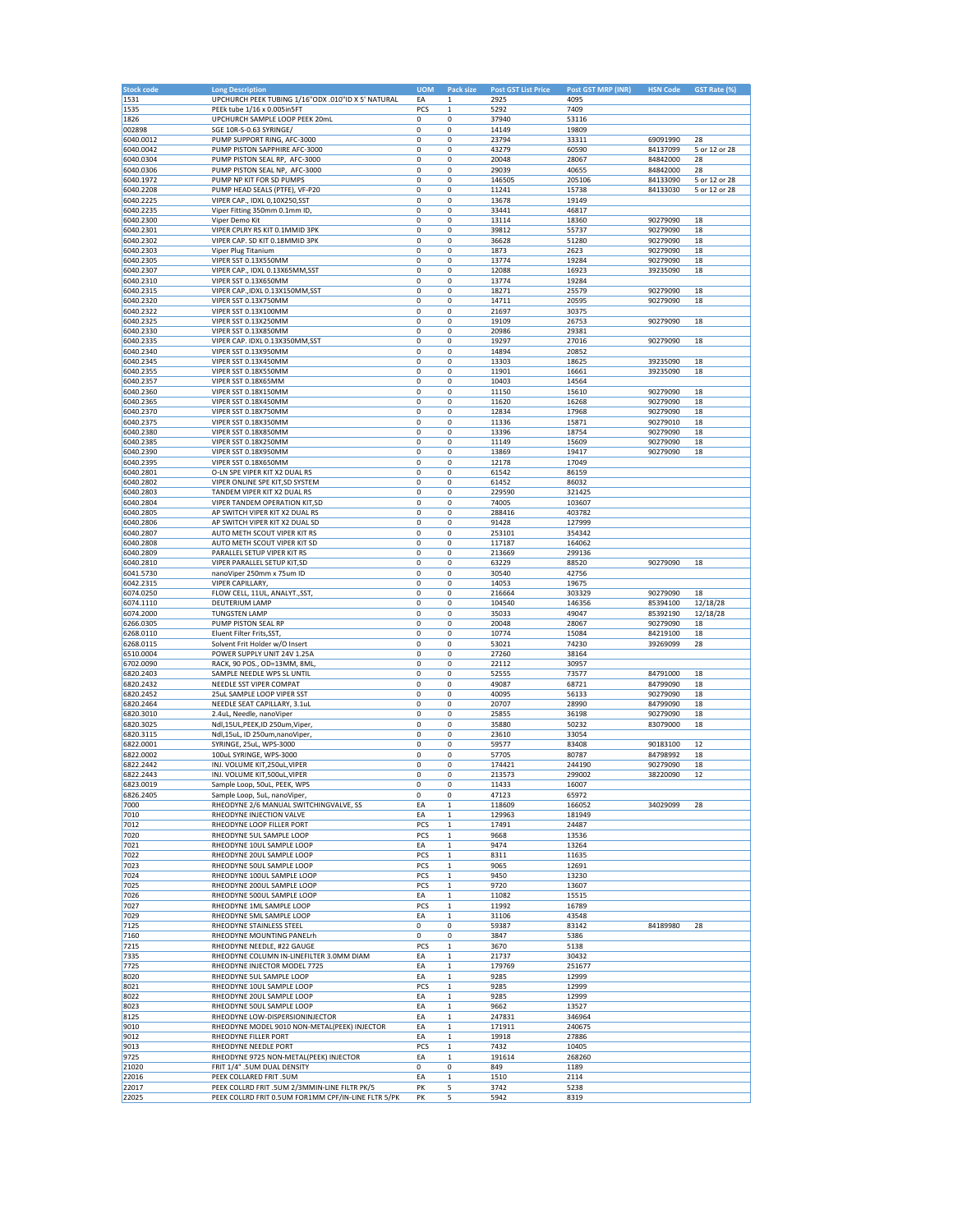| <b>Stock code</b> | <b>Long Description</b>                             | <b>UOM</b>  | Pack size    | <b>Post GST List Price</b> | Post GST MRP (INR) | <b>HSN Code</b> | GST Rate (%)  |
|-------------------|-----------------------------------------------------|-------------|--------------|----------------------------|--------------------|-----------------|---------------|
| 1531              | UPCHURCH PEEK TUBING 1/16"ODX .010"ID X 5' NATURAL  | EA          | 1            | 2925                       | 4095               |                 |               |
| 1535              | PEEk tube 1/16 x 0.005in5FT                         | PCS         | 1            | 5292                       | 7409               |                 |               |
| 1826              | UPCHURCH SAMPLE LOOP PEEK 20mL                      | $\mathbf 0$ | 0            | 37940                      | 53116              |                 |               |
|                   |                                                     |             |              |                            |                    |                 |               |
| 002898            | SGE 10R-S-0.63 SYRINGE/                             | 0           | 0            | 14149                      | 19809              |                 |               |
| 6040.0012         | PUMP SUPPORT RING, AFC-3000                         | 0           | $\mathbf 0$  | 23794                      | 33311              | 69091990        | 28            |
| 6040.0042         | PUMP PISTON SAPPHIRE AFC-3000                       | 0           | 0            | 43279                      | 60590              | 84137099        | 5 or 12 or 28 |
| 6040.0304         | PUMP PISTON SEAL RP, AFC-3000                       | 0           | 0            | 20048                      | 28067              | 84842000        | 28            |
| 6040.0306         | PUMP PISTON SEAL NP, AFC-3000                       | 0           | 0            | 29039                      | 40655              | 84842000        | 28            |
| 6040.1972         | PUMP NP KIT FOR SD PUMPS                            | 0           | 0            | 146505                     | 205106             | 84133090        | 5 or 12 or 28 |
| 6040.2208         | PUMP HEAD SEALS (PTFE), VF-P20                      | 0           | 0            | 11241                      | 15738              | 84133030        | 5 or 12 or 28 |
| 6040.2225         | VIPER CAP., IDXL 0,10X250,SST                       | 0           | 0            | 13678                      | 19149              |                 |               |
| 6040.2235         | Viper Fitting 350mm 0.1mm ID                        | 0           | 0            | 33441                      | 46817              |                 |               |
|                   |                                                     |             |              |                            |                    |                 |               |
| 6040.2300         | Viper Demo Kit                                      | 0           | 0            | 13114                      | 18360              | 90279090        | 18            |
| 6040.2301         | VIPER CPLRY RS KIT 0.1MMID 3PK                      | 0           | 0            | 39812                      | 55737              | 90279090        | 18            |
| 6040.2302         | VIPER CAP. SD KIT 0.18MMID 3PK                      | 0           | 0            | 36628                      | 51280              | 90279090        | 18            |
| 6040.2303         | Viper Plug Titanium                                 | 0           | 0            | 1873                       | 2623               | 90279090        | 18            |
| 6040.2305         | VIPER SST 0.13X550MM                                | 0           | 0            | 13774                      | 19284              | 90279090        | 18            |
| 6040.2307         | VIPER CAP., IDXL 0.13X65MM,SST                      | $\mathbf 0$ | 0            | 12088                      | 16923              | 39235090        | 18            |
| 6040.2310         | VIPER SST 0.13X650MM                                | 0           | 0            | 13774                      | 19284              |                 |               |
| 6040.2315         | VIPER CAP., IDXL 0.13X150MM, SST                    | 0           | 0            | 18271                      | 25579              | 90279090        | 18            |
|                   |                                                     |             |              |                            |                    |                 |               |
| 6040.2320         | VIPER SST 0.13X750MM                                | 0           | 0            | 14711                      | 20595              | 90279090        | 18            |
| 6040.2322         | VIPER SST 0.13X100MM                                | 0           | 0            | 21697                      | 30375              |                 |               |
| 6040.2325         | VIPER SST 0.13X250MM                                | 0           | 0            | 19109                      | 26753              | 90279090        | 18            |
| 6040.2330         | VIPER SST 0.13X850MM                                | 0           | 0            | 20986                      | 29381              |                 |               |
| 6040.2335         | VIPER CAP. IDXL 0.13X350MM,SST                      | 0           | 0            | 19297                      | 27016              | 90279090        | 18            |
| 6040.2340         | VIPER SST 0.13X950MM                                | 0           | 0            | 14894                      | 20852              |                 |               |
| 6040.2345         | VIPER SST 0.13X450MM                                | 0           | 0            | 13303                      | 18625              | 39235090        | 18            |
| 6040.2355         | VIPER SST 0.18X550MM                                | 0           | 0            | 11901                      | 16661              | 39235090        | 18            |
|                   |                                                     |             |              |                            |                    |                 |               |
| 6040.2357         | VIPER SST 0.18X65MM                                 | 0           | 0            | 10403                      | 14564              |                 |               |
| 6040.2360         | VIPER SST 0.18X150MM                                | 0           | $\mathbf 0$  | 11150                      | 15610              | 90279090        | 18            |
| 6040.2365         | VIPER SST 0.18X450MM                                | 0           | 0            | 11620                      | 16268              | 90279090        | 18            |
| 6040.2370         | VIPER SST 0.18X750MM                                | 0           | 0            | 12834                      | 17968              | 90279090        | 18            |
| 6040.2375         | VIPER SST 0.18X350MM                                | 0           | 0            | 11336                      | 15871              | 90279010        | 18            |
| 6040.2380         | VIPER SST 0.18X850MM                                | 0           | 0            | 13396                      | 18754              | 90279090        | 18            |
| 6040.2385         | VIPER SST 0.18X250MM                                |             |              |                            |                    |                 |               |
|                   |                                                     | 0           | 0            | 11149                      | 15609              | 90279090        | 18            |
| 6040.2390         | VIPER SST 0.18X950MM                                | 0           | 0            | 13869                      | 19417              | 90279090        | 18            |
| 6040.2395         | VIPER SST 0.18X650MM                                | $\mathbf 0$ | 0            | 12178                      | 17049              |                 |               |
| 6040.2801         | O-LN SPE VIPER KIT X2 DUAL RS                       | 0           | 0            | 61542                      | 86159              |                 |               |
| 6040.2802         | VIPER ONLINE SPE KIT, SD SYSTEM                     | 0           | 0            | 61452                      | 86032              |                 |               |
| 6040.2803         | TANDEM VIPER KIT X2 DUAL RS                         | 0           | 0            | 229590                     | 321425             |                 |               |
| 6040.2804         | <b>VIPER TANDEM OPERATION KIT.SD</b>                | 0           | 0            | 74005                      | 103607             |                 |               |
| 6040.2805         | AP SWITCH VIPER KIT X2 DUAL RS                      | 0           | 0            | 288416                     | 403782             |                 |               |
|                   |                                                     |             |              |                            |                    |                 |               |
| 6040.2806         | AP SWITCH VIPER KIT X2 DUAL SD                      | $\mathbf 0$ | 0            | 91428                      | 127999             |                 |               |
| 6040.2807         | AUTO METH SCOUT VIPER KIT RS                        | 0           | 0            | 253101                     | 354342             |                 |               |
| 6040.2808         | AUTO METH SCOUT VIPER KIT SD                        | 0           | 0            | 117187                     | 164062             |                 |               |
| 6040.2809         | PARALLEL SETUP VIPER KIT RS                         | 0           | 0            | 213669                     | 299136             |                 |               |
| 6040.2810         | VIPER PARALLEL SETUP KIT,SD                         | 0           | 0            | 63229                      | 88520              | 90279090        | 18            |
| 6041.5730         | nanoViper 250mm x 75um ID                           | 0           | 0            | 30540                      | 42756              |                 |               |
| 6042.2315         | VIPER CAPILLARY,                                    | 0           | 0            | 14053                      | 19675              |                 |               |
| 6074.0250         | FLOW CELL, 11UL, ANALYT., SST,                      | 0           | 0            | 216664                     | 303329             | 90279090        | 18            |
|                   |                                                     |             |              |                            |                    |                 |               |
| 6074.1110         | <b>DEUTERIUM LAMP</b>                               | 0           | 0            | 104540                     | 146356             | 85394100        | 12/18/28      |
| 6074.2000         | <b>TUNGSTEN LAMP</b>                                | 0           | 0            | 35033                      | 49047              | 85392190        | 12/18/28      |
| 6266.0305         | PUMP PISTON SEAL RP                                 | 0           | 0            | 20048                      | 28067              | 90279090        | 18            |
| 6268.0110         | Eluent Filter Frits, SST                            | 0           | 0            | 10774                      | 15084              | 84219100        | 18            |
| 6268.0115         | Solvent Frit Holder w/O Insert                      | 0           | $\mathbf 0$  | 53021                      | 74230              | 39269099        | 28            |
| 6510.0004         | POWER SUPPLY UNIT 24V 1.25A                         | 0           | 0            | 27260                      | 38164              |                 |               |
| 6702.0090         | RACK, 90 POS., OD=13MM, 8ML                         | 0           | 0            | 22112                      | 30957              |                 |               |
| 6820.2403         | SAMPLE NEEDLE WPS SL UNTIL                          | 0           | 0            | 52555                      | 73577              | 84791000        | 18            |
| 6820.2432         |                                                     |             |              |                            |                    |                 |               |
|                   | NEEDLE SST VIPER COMPAT                             | 0           | 0            | 49087                      | 68721              | 84799090        | 18            |
| 6820.2452         | 25uL SAMPLE LOOP VIPER SST                          | 0           | 0            | 40095                      | 56133              | 90279090        | 18            |
| 6820.2464         | NEEDLE SEAT CAPILLARY, 3.1uL                        | 0           | 0            | 20707                      | 28990              | 84799090        | 18            |
| 6820.3010         | 2.4uL, Needle, nanoViper                            | $\mathbf 0$ | 0            | 25855                      | 36198              | 90279090        | 18            |
| 6820.3025         | Ndl,15UL,PEEK,ID 250um,Viper,                       | 0           | 0            | 35880                      | 50232              | 83079000        | 18            |
| 6820.3115         | Ndl,15uL, ID 250um,nanoViper,                       | 0           | 0            | 23610                      | 33054              |                 |               |
| 6822.0001         | SYRINGE, 25uL, WPS-3000                             | 0           | 0            | 59577                      | 83408              | 90183100        | 12            |
| 6822.0002         | 100uL SYRINGE, WPS-3000                             | 0           | 0            | 57705                      | 80787              | 84798992        | 18            |
|                   |                                                     |             |              |                            |                    |                 |               |
| 6822.2442         | INJ. VOLUME KIT,250uL, VIPER                        | 0           | 0            | 174421                     | 244190             | 90279090        | 18            |
| 6822.2443         | INJ. VOLUME KIT,500uL, VIPER                        | 0           | 0            | 213573                     | 299002             | 38220090        | 12            |
| 6823.0019         | Sample Loop, 50uL, PEEK, WPS                        | 0           | 0            | 11433                      | 16007              |                 |               |
| 6826.2405         | Sample Loop, 5uL, nanoViper,                        | 0           | 0            | 47123                      | 65972              |                 |               |
| 7000              | RHEODYNE 2/6 MANUAL SWITCHINGVALVE, SS              | EA          | $\mathbf 1$  | 118609                     | 166052             | 34029099        | 28            |
| 7010              | RHEODYNE INJECTION VALVE                            | EA          | $\mathbf 1$  | 129963                     | 181949             |                 |               |
| 7012              | RHEODYNE LOOP FILLER PORT                           | PCS         | $\mathbf 1$  | 17491                      | 24487              |                 |               |
| 7020              | RHEODYNE 5UL SAMPLE LOOP                            | PCS         | $\mathbf 1$  | 9668                       | 13536              |                 |               |
|                   |                                                     |             |              |                            |                    |                 |               |
| 7021              | RHEODYNE 10UL SAMPLE LOOP                           | EA          | $\mathbf 1$  | 9474                       | 13264              |                 |               |
| 7022              | RHEODYNE 20UL SAMPLE LOOP                           | PCS         | 1            | 8311                       | 11635              |                 |               |
| 7023              | RHEODYNE 50UL SAMPLE LOOP                           | PCS         | $\mathbf 1$  | 9065                       | 12691              |                 |               |
| 7024              | RHEODYNE 100UL SAMPLE LOOP                          | PCS         | $\mathbf 1$  | 9450                       | 13230              |                 |               |
| 7025              | RHEODYNE 200UL SAMPLE LOOP                          | PCS         | 1            | 9720                       | 13607              |                 |               |
| 7026              | RHEODYNE 500UL SAMPLE LOOP                          | EA          | $\mathbf 1$  | 11082                      | 15515              |                 |               |
| 7027              | RHEODYNE 1ML SAMPLE LOOP                            | PCS         | $\mathbf 1$  | 11992                      | 16789              |                 |               |
|                   |                                                     |             | $\mathbf{1}$ |                            |                    |                 |               |
| 7029              | RHEODYNE 5ML SAMPLE LOOP                            | EA          |              | 31106                      | 43548              |                 |               |
| 7125              | RHEODYNE STAINLESS STEEL                            | 0           | 0            | 59387                      | 83142              | 84189980        | 28            |
| 7160              | RHEODYNE MOUNTING PANELrh                           | 0           | 0            | 3847                       | 5386               |                 |               |
| 7215              | RHEODYNE NEEDLE, #22 GAUGE                          | PCS         | 1            | 3670                       | 5138               |                 |               |
| 7335              | RHEODYNE COLUMN IN-LINEFILTER 3.0MM DIAM            | EA          | 1            | 21737                      | 30432              |                 |               |
| 7725              | RHEODYNE INJECTOR MODEL 7725                        | EA          | $\mathbf 1$  | 179769                     | 251677             |                 |               |
| 8020              | RHEODYNE 5UL SAMPLE LOOP                            | EA          | $\mathbf 1$  | 9285                       | 12999              |                 |               |
| 8021              | RHEODYNE 10UL SAMPLE LOOP                           | PCS         | $\mathbf 1$  | 9285                       | 12999              |                 |               |
|                   |                                                     |             |              |                            |                    |                 |               |
| 8022              | RHEODYNE 20UL SAMPLE LOOP                           | EA          | $\mathbf 1$  | 9285                       | 12999              |                 |               |
| 8023              | RHEODYNE 50UL SAMPLE LOOP                           | EA          | $\mathbf 1$  | 9662                       | 13527              |                 |               |
| 8125              | RHEODYNE LOW-DISPERSIONINJECTOR                     | EA          | $\mathbf 1$  | 247831                     | 346964             |                 |               |
| 9010              | RHEODYNE MODEL 9010 NON-METAL(PEEK) INJECTOR        | EA          | $\mathbf 1$  | 171911                     | 240675             |                 |               |
| 9012              | RHEODYNE FILLER PORT                                | EA          | $\mathbf 1$  | 19918                      | 27886              |                 |               |
| 9013              | RHEODYNE NEEDLE PORT                                | PCS         | $\mathbf 1$  | 7432                       | 10405              |                 |               |
| 9725              | RHEODYNE 9725 NON-METAL(PEEK) INJECTOR              | EA          | $\mathbf 1$  | 191614                     | 268260             |                 |               |
| 21020             | FRIT 1/4" .5UM DUAL DENSITY                         | 0           | 0            | 849                        | 1189               |                 |               |
|                   |                                                     |             |              |                            |                    |                 |               |
| 22016             | PEEK COLLARED FRIT .5UM                             | EA          | $\mathbf 1$  | 1510                       | 2114               |                 |               |
| 22017             | PEEK COLLRD FRIT .5UM 2/3MMIN-LINE FILTR PK/5       | PK          | 5            | 3742                       | 5238               |                 |               |
| 22025             | PEEK COLLRD FRIT 0.5UM FOR1MM CPF/IN-LINE FLTR 5/PK | PK          | 5            | 5942                       | 8319               |                 |               |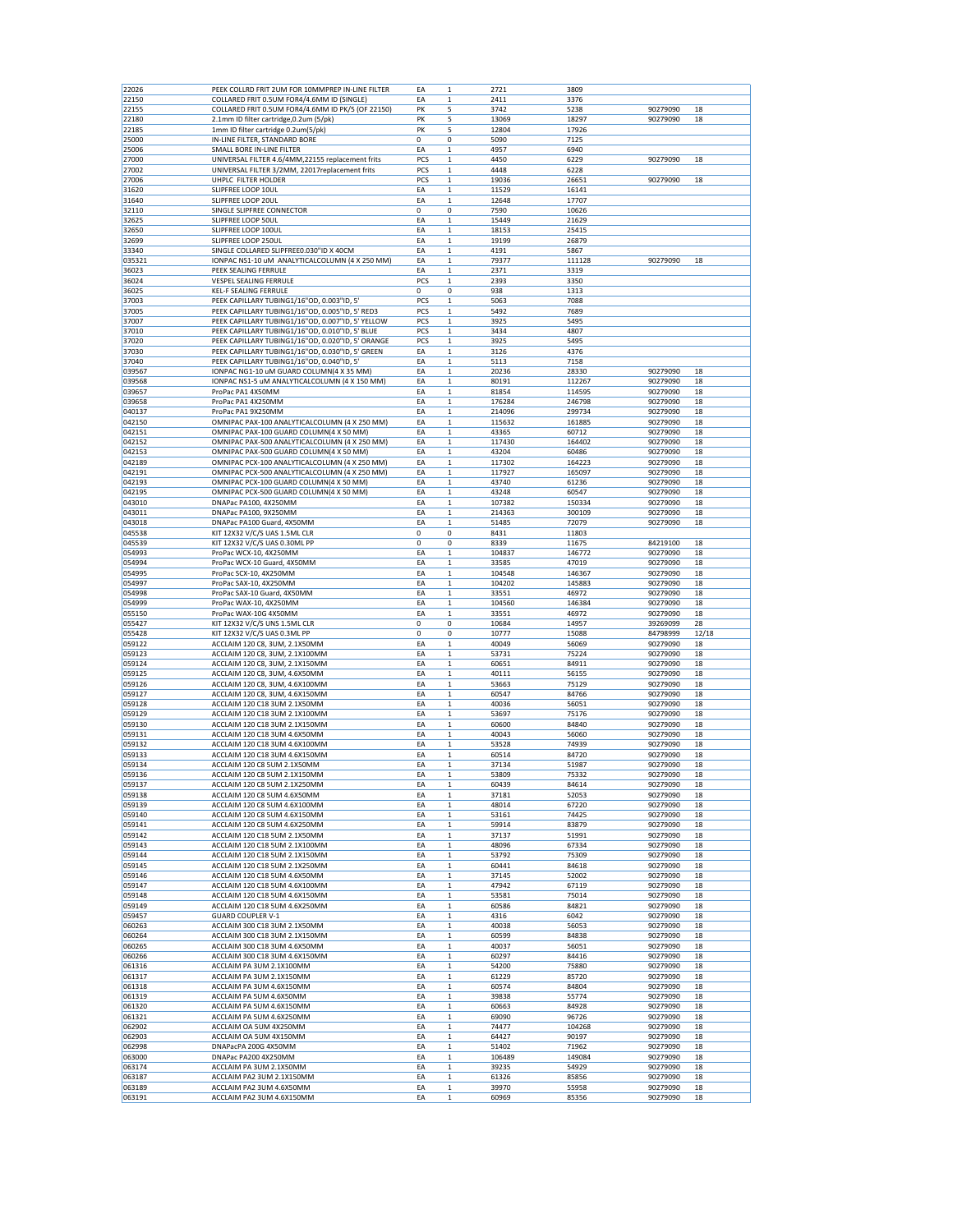| 22026            | PEEK COLLRD FRIT 2UM FOR 10MMPREP IN-LINE FILTER                                                    | EA          | $\mathbf 1$           | 2721           | 3809           |                      |          |
|------------------|-----------------------------------------------------------------------------------------------------|-------------|-----------------------|----------------|----------------|----------------------|----------|
| 22150            | COLLARED FRIT 0.5UM FOR4/4.6MM ID (SINGLE)                                                          | EA          | $\mathbf 1$           | 2411           | 3376           |                      |          |
| 22155            | COLLARED FRIT 0.5UM FOR4/4.6MM ID PK/5 (OF 22150)                                                   | PK          | 5                     | 3742           | 5238           | 90279090             | 18       |
| 22180            | 2.1mm ID filter cartridge, 0.2um (5/pk)                                                             | PK          | 5                     | 13069          | 18297          | 90279090             | 18       |
| 22185            | 1mm ID filter cartridge 0.2um(5/pk)                                                                 | PK          | 5                     | 12804          | 17926          |                      |          |
| 25000            | IN-LINE FILTER, STANDARD BORE                                                                       | 0           | 0                     | 5090           | 7125           |                      |          |
| 25006            | SMALL BORE IN-LINE FILTER                                                                           | EA          | $\mathbf{1}$          | 4957           | 6940           |                      |          |
|                  |                                                                                                     | PCS         | $\mathbf{1}$          |                |                |                      |          |
| 27000            | UNIVERSAL FILTER 4.6/4MM, 22155 replacement frits<br>UNIVERSAL FILTER 3/2MM, 22017replacement frits |             | 1                     | 4450           | 6229           | 90279090             | 18       |
| 27002            |                                                                                                     | PCS         |                       | 4448           | 6228           | 90279090             |          |
| 27006            | UHPLC FILTER HOLDER                                                                                 | PCS         | 1                     | 19036          | 26651          |                      | 18       |
| 31620            | SLIPFREE LOOP 10UL                                                                                  | EA          | 1                     | 11529          | 16141          |                      |          |
| 31640            | SLIPFREE LOOP 20UL                                                                                  | EA          | 1                     | 12648          | 17707          |                      |          |
| 32110            | SINGLE SLIPFREE CONNECTOR                                                                           | 0           | 0                     | 7590           | 10626          |                      |          |
| 32625            | SLIPFREE LOOP 50UL                                                                                  | EA          | $\mathbf 1$           | 15449          | 21629          |                      |          |
| 32650            | SLIPFREE LOOP 100UL                                                                                 | EA          | 1                     | 18153          | 25415          |                      |          |
| 32699            | SLIPFREE LOOP 250UL                                                                                 | EA          | 1                     | 19199          | 26879          |                      |          |
| 33340            | SINGLE COLLARED SLIPFREE0.030"ID X 40CM                                                             | EA          | $\mathbf 1$           | 4191           | 5867           |                      |          |
| 035321           | IONPAC NS1-10 uM ANALYTICALCOLUMN (4 X 250 MM)                                                      | EA          | 1                     | 79377          | 111128         | 90279090             | 18       |
| 36023            | PEEK SEALING FERRULE                                                                                | EA          | 1                     | 2371           | 3319           |                      |          |
| 36024            | <b>VESPEL SEALING FERRULE</b>                                                                       | PCS         | $\mathbf 1$           | 2393           | 3350           |                      |          |
| 36025            | <b>KEL-F SEALING FERRULE</b>                                                                        | $\mathbf 0$ | 0                     | 938            | 1313           |                      |          |
| 37003            | PEEK CAPILLARY TUBING1/16"OD, 0.003"ID, 5'                                                          | PCS         | 1                     | 5063           | 7088           |                      |          |
| 37005            | PEEK CAPILLARY TUBING1/16"OD, 0.005"ID, 5' RED3                                                     | PCS         | $\mathbf 1$           | 5492           | 7689           |                      |          |
| 37007            | PEEK CAPILLARY TUBING1/16"OD, 0.007"ID, 5' YELLOW                                                   | <b>PCS</b>  | 1                     | 3925           | 5495           |                      |          |
| 37010            | PEEK CAPILLARY TUBING1/16"OD, 0.010"ID, 5' BLUE                                                     | PCS         | 1                     | 3434           | 4807           |                      |          |
| 37020            | PEEK CAPILLARY TUBING1/16"OD, 0.020"ID, 5' ORANGE                                                   | PCS         | $\mathbf 1$           | 3925           | 5495           |                      |          |
| 37030            | PEEK CAPILLARY TUBING1/16"OD, 0.030"ID, 5' GREEN                                                    | EA          | 1                     | 3126           | 4376           |                      |          |
| 37040            | PEEK CAPILLARY TUBING1/16"OD, 0.040"ID, 5'                                                          | EA          | 1                     | 5113           | 7158           |                      |          |
| 039567           | IONPAC NG1-10 uM GUARD COLUMN(4 X 35 MM)                                                            | EA          | $\mathbf 1$           | 20236          | 28330          | 90279090             | 18       |
| 039568           | IONPAC NS1-5 uM ANALYTICALCOLUMN (4 X 150 MM)                                                       | EA          | 1                     | 80191          | 112267         | 90279090             | 18       |
| 039657           | ProPac PA1 4X50MM                                                                                   | EA          | 1                     | 81854          | 114595         | 90279090             | 18       |
| 039658           | ProPac PA1 4X250MM                                                                                  | EA          | $\mathbf{1}$          | 176284         | 246798         | 90279090             | 18       |
| 040137           | ProPac PA1 9X250MM                                                                                  | EA          | $\mathbf{1}$          | 214096         | 299734         | 90279090             | 18       |
| 042150           | OMNIPAC PAX-100 ANALYTICALCOLUMN (4 X 250 MM)                                                       | EA          | 1                     | 115632         | 161885         | 90279090             | 18       |
| 042151           | OMNIPAC PAX-100 GUARD COLUMN(4 X 50 MM)                                                             | EA          | 1                     | 43365          | 60712          | 90279090             | 18       |
| 042152           | OMNIPAC PAX-500 ANALYTICALCOLUMN (4 X 250 MM)                                                       | EA          | 1                     | 117430         | 164402         | 90279090             | 18       |
| 042153           | OMNIPAC PAX-500 GUARD COLUMN(4 X 50 MM)                                                             | EA          | 1                     | 43204          | 60486          | 90279090             | 18       |
| 042189           | OMNIPAC PCX-100 ANALYTICALCOLUMN (4 X 250 MM)                                                       | EA          | 1                     | 117302         | 164223         | 90279090             | 18       |
| 042191           | OMNIPAC PCX-500 ANALYTICALCOLUMN (4 X 250 MM)                                                       | EA          | $\mathbf 1$           | 117927         | 165097         | 90279090             | 18       |
| 042193           | OMNIPAC PCX-100 GUARD COLUMN(4 X 50 MM)                                                             | EA          | 1                     | 43740          | 61236          | 90279090             | 18       |
| 042195           | OMNIPAC PCX-500 GUARD COLUMN(4 X 50 MM)                                                             | EA          | 1                     | 43248          | 60547          | 90279090             | 18       |
| 043010           | DNAPac PA100, 4X250MM                                                                               | EA          | $\mathbf 1$           | 107382         | 150334         | 90279090             | 18       |
|                  |                                                                                                     |             |                       |                |                |                      | 18       |
| 043011           | DNAPac PA100, 9X250MM                                                                               | EA          | 1                     | 214363         | 300109         | 90279090             |          |
| 043018           | DNAPac PA100 Guard, 4X50MM<br>KIT 12X32 V/C/S UAS 1.5ML CLR                                         | EA          | 1                     | 51485          | 72079          | 90279090             | 18       |
| 045538           |                                                                                                     | 0           | 0                     | 8431           | 11803          |                      |          |
| 045539           | KIT 12X32 V/C/S UAS 0.30ML PP                                                                       | 0           | 0                     | 8339           | 11675          | 84219100             | 18       |
| 054993           | ProPac WCX-10, 4X250MM                                                                              | EA          | 1                     | 104837         | 146772         | 90279090             | 18       |
| 054994           | ProPac WCX-10 Guard, 4X50MM                                                                         | EA          | $\mathbf 1$           | 33585          | 47019          | 90279090             | 18       |
| 054995           | ProPac SCX-10, 4X250MM                                                                              | EA          | 1                     | 104548         | 146367         | 90279090             | 18       |
| 054997           | ProPac SAX-10, 4X250MM                                                                              | EA          | $\mathbf 1$           | 104202         | 145883         | 90279090             | 18       |
| 054998           | ProPac SAX-10 Guard, 4X50MM                                                                         | EA          | $\mathbf 1$           | 33551          | 46972          | 90279090             | 18       |
|                  |                                                                                                     |             |                       |                |                |                      |          |
| 054999           | ProPac WAX-10, 4X250MM                                                                              | EA          | 1                     | 104560         | 146384         | 90279090             | 18       |
| 055150           | ProPac WAX-10G 4X50MM                                                                               | EA          | 1                     | 33551          | 46972          | 90279090             | 18       |
| 055427           | KIT 12X32 V/C/S UNS 1.5ML CLR                                                                       | 0           | 0                     | 10684          | 14957          | 39269099             | 28       |
| 055428           | KIT 12X32 V/C/S UAS 0.3ML PP                                                                        | 0           | 0                     | 10777          | 15088          | 84798999             | 12/18    |
| 059122           | ACCLAIM 120 C8, 3UM, 2.1X50MM                                                                       | EA          | 1                     | 40049          | 56069          | 90279090             | 18       |
| 059123           | ACCLAIM 120 C8, 3UM, 2.1X100MM                                                                      | EA          | $\mathbf{1}$          | 53731          | 75224          | 90279090             | 18       |
| 059124           | ACCLAIM 120 C8, 3UM, 2.1X150MM                                                                      | EA          | $\mathbf{1}$          | 60651          | 84911          | 90279090             | 18       |
| 059125           | ACCLAIM 120 C8, 3UM, 4.6X50MM                                                                       | EA          | 1                     | 40111          | 56155          | 90279090             | 18       |
| 059126           | ACCLAIM 120 C8, 3UM, 4.6X100MM                                                                      | EA          | 1                     | 53663          | 75129          | 90279090             | 18       |
| 059127           | ACCLAIM 120 C8, 3UM, 4.6X150MM                                                                      | EA          | 1                     | 60547          | 84766          | 90279090             | 18       |
| 059128           | ACCLAIM 120 C18 3UM 2.1X50MM                                                                        | EA          | 1                     | 40036          | 56051          | 90279090             | 18       |
| 059129           | ACCLAIM 120 C18 3UM 2.1X100MM                                                                       | EA          | 1                     | 53697          | 75176          | 90279090             | 18       |
| 059130           | ACCLAIM 120 C18 3UM 2.1X150MM                                                                       | EA          | $\mathbf 1$           | 60600          | 84840          | 90279090             | 18       |
| 059131           | ACCLAIM 120 C18 3UM 4.6X50MM                                                                        | EA          | 1                     | 40043          | 56060          | 90279090             | 18       |
| 059132           | ACCLAIM 120 C18 3UM 4.6X100MM                                                                       | EA          | 1                     | 53528          | 74939          | 90279090             | 18       |
| 059133           | ACCLAIM 120 C18 3UM 4.6X150MM                                                                       | EA          | $\mathbf 1$           | 60514          | 84720          | 90279090             | 18       |
| 059134           | ACCLAIM 120 C8 5UM 2.1X50MM                                                                         | EA          | 1                     | 37134          | 51987          | 90279090             | 18       |
| 059136           | ACCLAIM 120 C8 5UM 2.1X150MM                                                                        | EA          | $\mathbf 1$           | 53809          | 75332          | 90279090             | 18       |
| 059137           | ACCLAIM 120 C8 5UM 2.1X250MM                                                                        | EA          | $\mathbf 1$           | 60439          | 84614          | 90279090             | 18       |
| 059138           | ACCLAIM 120 C8 5UM 4.6X50MM                                                                         | EA          | $\mathbf 1$           | 37181          | 52053          | 90279090             | 18       |
| 059139           | ACCLAIM 120 C8 5UM 4.6X100MM                                                                        | EA          | $\mathbf 1$           | 48014          | 67220          | 90279090             | 18       |
| 059140           | ACCLAIM 120 C8 5UM 4.6X150MM                                                                        | EA          | $\mathbf 1$           | 53161          | 74425          | 90279090             | 18       |
| 059141           | ACCLAIM 120 C8 5UM 4.6X250MM                                                                        | EA          | $\mathbf{1}$          | 59914          | 83879          | 90279090             | 18       |
| 059142           | ACCLAIM 120 C18 5UM 2.1X50MM                                                                        | EA          | $\mathbf 1$           | 37137          | 51991          | 90279090             | 18       |
| 059143           | ACCLAIM 120 C18 5UM 2.1X100MM                                                                       | EA          | $\mathbf 1$           | 48096          | 67334          | 90279090             | 18       |
| 059144           | ACCLAIM 120 C18 5UM 2.1X150MM                                                                       | EA          | $\mathbf 1$           | 53792          | 75309          | 90279090             | 18       |
| 059145           | ACCLAIM 120 C18 5UM 2.1X250MM                                                                       | EA          | $\mathbf 1$           | 60441          | 84618          | 90279090             | 18       |
| 059146           | ACCLAIM 120 C18 5UM 4.6X50MM                                                                        | EA          | $\mathbf 1$           | 37145          | 52002          | 90279090             | 18       |
| 059147           | ACCLAIM 120 C18 5UM 4.6X100MM                                                                       | EA          | 1                     | 47942          | 67119          | 90279090             | 18       |
| 059148           | ACCLAIM 120 C18 5UM 4.6X150MM                                                                       | EA          | $\mathbf 1$           | 53581          | 75014          | 90279090             | 18       |
| 059149           | ACCLAIM 120 C18 5UM 4.6X250MM                                                                       | EA          | $\mathbf 1$           | 60586          | 84821          | 90279090             | 18       |
| 059457           | <b>GUARD COUPLER V-1</b>                                                                            | EA          | $\mathbf{1}$          | 4316           | 6042           | 90279090             | 18       |
| 060263           | ACCLAIM 300 C18 3UM 2.1X50MM                                                                        | EA          | $\mathbf 1$           | 40038          | 56053          | 90279090             | 18       |
| 060264           | ACCLAIM 300 C18 3UM 2.1X150MM                                                                       | EA          | $\mathbf 1$           | 60599          | 84838          | 90279090             | 18       |
| 060265           | ACCLAIM 300 C18 3UM 4.6X50MM                                                                        | EA          | $\mathbf{1}$          |                | 56051          | 90279090             | 18       |
| 060266           | ACCLAIM 300 C18 3UM 4.6X150MM                                                                       | EA          | 1                     | 40037<br>60297 | 84416          | 90279090             | 18       |
| 061316           | ACCLAIM PA 3UM 2.1X100MM                                                                            | EA          | $\mathbf 1$           | 54200          | 75880          | 90279090             | 18       |
| 061317           |                                                                                                     |             |                       |                |                |                      |          |
|                  | ACCLAIM PA 3UM 2.1X150MM                                                                            | EA          | $\mathbf 1$           | 61229          | 85720          | 90279090             | 18       |
| 061318           | ACCLAIM PA 3UM 4.6X150MM                                                                            | EA          | $\mathbf 1$           | 60574          | 84804          | 90279090             | 18       |
| 061319           | ACCLAIM PA 5UM 4.6X50MM                                                                             | EA          | $\mathbf 1$           | 39838          | 55774          | 90279090             | 18<br>18 |
| 061320           | ACCLAIM PA 5UM 4.6X150MM                                                                            | EA          | $\mathbf 1$           | 60663          | 84928          | 90279090             |          |
| 061321           | ACCLAIM PA 5UM 4.6X250MM                                                                            | EA          | $\mathbf 1$           | 69090          | 96726          | 90279090             | 18       |
| 062902           | ACCLAIM OA 5UM 4X250MM                                                                              | EA          | $\mathbf 1$           | 74477          | 104268         | 90279090             | 18       |
| 062903           | ACCLAIM OA 5UM 4X150MM                                                                              | EA          | $\mathbf 1$           | 64427          | 90197          | 90279090             | 18       |
| 062998           | DNAPacPA 200G 4X50MM                                                                                | EA          | $\mathbf 1$           | 51402          | 71962          | 90279090             | 18       |
| 063000           | DNAPac PA200 4X250MM                                                                                | EA          | $\mathbf 1$           | 106489         | 149084         | 90279090             | 18       |
| 063174           | ACCLAIM PA 3UM 2.1X50MM                                                                             | EA          | $\mathbf 1$           | 39235          | 54929          | 90279090             | 18       |
| 063187           | ACCLAIM PA2 3UM 2.1X150MM                                                                           | EA          | 1                     | 61326          | 85856          | 90279090             | 18       |
| 063189<br>063191 | ACCLAIM PA2 3UM 4.6X50MM<br>ACCLAIM PA2 3UM 4.6X150MM                                               | EA<br>EA    | $\mathbf 1$<br>$\,$ 1 | 39970<br>60969 | 55958<br>85356 | 90279090<br>90279090 | 18<br>18 |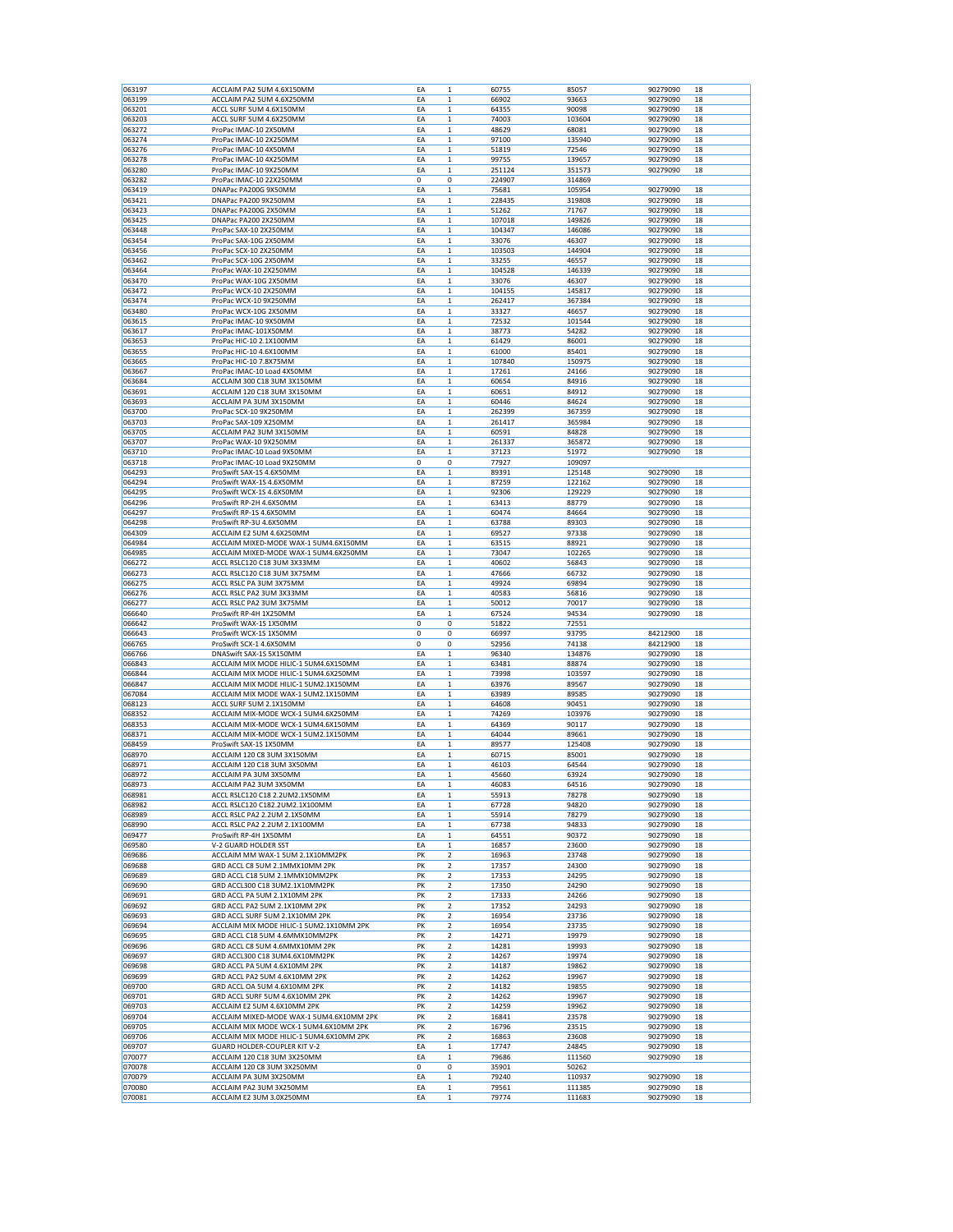| 063197           | ACCLAIM PA2 5UM 4.6X150MM                | EA          | $\mathbf{1}$            | 60755            | 85057            | 90279090 | 18 |
|------------------|------------------------------------------|-------------|-------------------------|------------------|------------------|----------|----|
| 063199           | ACCLAIM PA2 5UM 4.6X250MM                | EA          | 1                       | 66902            | 93663            | 90279090 | 18 |
| 063201           | ACCL SURF 5UM 4.6X150MM                  | EA          | $\mathbf 1$             | 64355            | 90098            | 90279090 | 18 |
| 063203           | ACCL SURF 5UM 4.6X250MM                  | EA          | 1                       | 74003            | 103604           | 90279090 | 18 |
| 063272           | ProPac IMAC-10 2X50MM                    | EA          | $\mathbf 1$             | 48629            | 68081            | 90279090 | 18 |
| 063274           | ProPac IMAC-10 2X250MM                   | EA          | $\mathbf 1$             | 97100            | 135940           | 90279090 | 18 |
|                  |                                          | EA          | $\mathbf 1$             |                  | 72546            |          | 18 |
| 063276           | ProPac IMAC-10 4X50MM                    |             |                         | 51819            |                  | 90279090 |    |
| 063278           | ProPac IMAC-10 4X250MM                   | EA          | $\mathbf 1$             | 99755            | 139657           | 90279090 | 18 |
| 063280           | ProPac IMAC-10 9X250MM                   | EA          | $\mathbf 1$             | 251124<br>224907 | 351573<br>314869 | 90279090 | 18 |
| 063282           | ProPac IMAC-10 22X250MM                  | $\mathbf 0$ | 0                       |                  |                  |          |    |
| 063419           | DNAPac PA200G 9X50MM                     | EA          | 1                       | 75681            | 105954           | 90279090 | 18 |
| 063421           | DNAPac PA200 9X250MM                     | EA          | 1                       | 228435           | 319808           | 90279090 | 18 |
| 063423           | DNAPac PA200G 2X50MM                     | EA          | $\mathbf 1$             | 51262            | 71767            | 90279090 | 18 |
| 063425           | DNAPac PA200 2X250MM                     | EA          | $\mathbf 1$             | 107018           | 149826           | 90279090 | 18 |
| 063448           | ProPac SAX-10 2X250MM                    | EA          | $\mathbf 1$             | 104347           | 146086           | 90279090 | 18 |
| 063454           | ProPac SAX-10G 2X50MM                    | EA          | $\mathbf 1$             | 33076            | 46307            | 90279090 | 18 |
| 063456           | ProPac SCX-10 2X250MM                    | EA          | 1                       | 103503           | 144904           | 90279090 | 18 |
| 063462           | ProPac SCX-10G 2X50MM                    | EA          | 1                       | 33255            | 46557            | 90279090 | 18 |
| 063464           | ProPac WAX-10 2X250MM                    | EA          | $\mathbf 1$             | 104528           | 146339           | 90279090 | 18 |
| 063470           | ProPac WAX-10G 2X50MM                    | EA          | $\mathbf 1$             | 33076            | 46307            | 90279090 | 18 |
| 063472           | ProPac WCX-10 2X250MM                    | EA          | $\mathbf 1$             | 104155           | 145817           | 90279090 | 18 |
| 063474           | ProPac WCX-10 9X250MM                    | EA          | $\mathbf 1$             | 262417           | 367384           | 90279090 | 18 |
| 063480           | ProPac WCX-10G 2X50MM                    | EA          | 1                       | 33327            | 46657            | 90279090 | 18 |
| 063615           | ProPac IMAC-10 9X50MM                    | EA          | $\mathbf 1$             | 72532            | 101544           | 90279090 | 18 |
| 063617           | ProPac IMAC-101X50MM                     | EA          | 1                       | 38773            | 54282            | 90279090 | 18 |
| 063653           | ProPac HIC-10 2.1X100MM                  | EA          | $\mathbf 1$             | 61429            | 86001            | 90279090 | 18 |
| 063655           | ProPac HIC-10 4.6X100MM                  | EA          | $\mathbf 1$             | 61000            | 85401            | 90279090 | 18 |
| 063665           | ProPac HIC-10 7.8X75MM                   | EA          | $\mathbf 1$             | 107840           | 150975           | 90279090 | 18 |
| 063667           | ProPac IMAC-10 Load 4X50MM               | EA          | 1                       | 17261            | 24166            | 90279090 | 18 |
| 063684           | ACCLAIM 300 C18 3UM 3X150MM              | EA          | $\mathbf 1$             | 60654            | 84916            | 90279090 | 18 |
| 063691           | ACCLAIM 120 C18 3UM 3X150MM              | EA          | $\mathbf 1$             | 60651            | 84912            | 90279090 | 18 |
| 063693           | ACCLAIM PA 3UM 3X150MM                   | EA          | $\mathbf 1$             | 60446            | 84624            | 90279090 | 18 |
|                  |                                          |             | $\mathbf 1$             |                  |                  | 90279090 |    |
| 063700<br>063703 | ProPac SCX-10 9X250MM                    | EA          |                         | 262399           | 367359           |          | 18 |
| 063705           | ProPac SAX-109 X250MM                    | EA          | $\mathbf 1$             | 261417           | 365984           | 90279090 | 18 |
|                  | ACCLAIM PA2 3UM 3X150MM                  | EA          | $\mathbf 1$             | 60591            | 84828            | 90279090 | 18 |
| 063707           | ProPac WAX-10 9X250MM                    | EA          | 1                       | 261337           | 365872           | 90279090 | 18 |
| 063710           | ProPac IMAC-10 Load 9X50MM               | EA          | 1                       | 37123            | 51972            | 90279090 | 18 |
| 063718           | ProPac IMAC-10 Load 9X250MM              | 0           | 0                       | 77927            | 109097           |          |    |
| 064293           | ProSwift SAX-1S 4.6X50MM                 | EA          | $\mathbf 1$             | 89391            | 125148           | 90279090 | 18 |
| 064294           | ProSwift WAX-1S 4.6X50MM                 | EA          | $\mathbf 1$             | 87259            | 122162           | 90279090 | 18 |
| 064295           | ProSwift WCX-1S 4.6X50MM                 | EA          | $\mathbf 1$             | 92306            | 129229           | 90279090 | 18 |
| 064296           | ProSwift RP-2H 4.6X50MM                  | EA          | 1                       | 63413            | 88779            | 90279090 | 18 |
| 064297           | ProSwift RP-1S 4.6X50MM                  | EA          | 1                       | 60474            | 84664            | 90279090 | 18 |
| 064298           | ProSwift RP-3U 4.6X50MM                  | EA          | $\mathbf 1$             | 63788            | 89303            | 90279090 | 18 |
| 064309           | ACCLAIM E2 5UM 4.6X250MM                 | EA          | $\mathbf 1$             | 69527            | 97338            | 90279090 | 18 |
| 064984           | ACCLAIM MIXED-MODE WAX-1 5UM4.6X150MM    | EA          | $\mathbf 1$             | 63515            | 88921            | 90279090 | 18 |
| 064985           | ACCLAIM MIXED-MODE WAX-1 5UM4.6X250MM    | EA          | $\mathbf 1$             | 73047            | 102265           | 90279090 | 18 |
| 066272           | ACCL RSLC120 C18 3UM 3X33MM              | EA          | 1                       | 40602            | 56843            | 90279090 | 18 |
| 066273           | ACCL RSLC120 C18 3UM 3X75MM              | EA          | 1                       | 47666            | 66732            | 90279090 | 18 |
| 066275           | ACCL RSLC PA 3UM 3X75MM                  | EA          | $\mathbf{1}$            | 49924            | 69894            | 90279090 | 18 |
| 066276           | ACCL RSLC PA2 3UM 3X33MM                 | EA          | $\mathbf 1$             | 40583            | 56816            | 90279090 | 18 |
| 066277           | ACCL RSLC PA2 3UM 3X75MM                 | EA          | 1                       | 50012            | 70017            | 90279090 | 18 |
| 066640           | ProSwift RP-4H 1X250MM                   | EA          | $\mathbf 1$             | 67524            | 94534            | 90279090 | 18 |
|                  |                                          |             | 0                       |                  |                  |          |    |
| 066642           | ProSwift WAX-1S 1X50MM                   | 0           |                         | 51822            | 72551            |          |    |
| 066643           | ProSwift WCX-1S 1X50MM                   | 0           | 0                       | 66997            | 93795            | 84212900 | 18 |
| 066765           | ProSwift SCX-1 4.6X50MM                  | 0           | 0                       | 52956            | 74138            | 84212900 | 18 |
| 066766           | DNASwift SAX-1S 5X150MM                  | EA          | $\mathbf 1$             | 96340            | 134876           | 90279090 | 18 |
| 066843           | ACCLAIM MIX MODE HILIC-1 5UM4.6X150MM    | EA          | $\mathbf 1$             | 63481            | 88874            | 90279090 | 18 |
| 066844           | ACCLAIM MIX MODE HILIC-1 5UM4.6X250MM    | EA          | 1                       | 73998            | 103597           | 90279090 | 18 |
| 066847           | ACCLAIM MIX MODE HILIC-1 5UM2.1X150MM    | EA          | $\mathbf 1$             | 63976            | 89567            | 90279090 | 18 |
| 067084           | ACCLAIM MIX MODE WAX-1 5UM2.1X150MM      | EA          | 1                       | 63989            | 89585            | 90279090 | 18 |
| 068123           | ACCL SURF 5UM 2.1X150MM                  | EA          | 1                       | 64608            | 90451            | 90279090 | 18 |
| 068352           | ACCLAIM MIX-MODE WCX-1 5UM4.6X250MM      | EA          | $\mathbf 1$             | 74269            | 103976           | 90279090 | 18 |
| 068353           | ACCLAIM MIX-MODE WCX-1 5UM4.6X150MM      | EA          | $\mathbf 1$             | 64369            | 90117            | 90279090 | 18 |
| 068371           | ACCLAIM MIX-MODE WCX-1 5UM2.1X150MM      | EA          | 1                       | 64044            | 89661            | 90279090 | 18 |
| 068459           | ProSwift SAX-1S 1X50MM                   | EA          | $\mathbf 1$             | 89577            | 125408           | 90279090 | 18 |
| 068970           | ACCLAIM 120 C8 3UM 3X150MM               | EA          | 1                       | 60715            | 85001            | 90279090 | 18 |
| 068971           | ACCLAIM 120 C18 3UM 3X50MM               | EA          | 1                       | 46103            | 64544            | 90279090 | 18 |
| 068972           | ACCLAIM PA 3UM 3X50MM                    | EA          | $\mathbf 1$             | 45660            | 63924            | 90279090 | 18 |
| 068973           | ACCLAIM PA2 3UM 3X50MM                   | EA          | $\mathbf 1$             | 46083            | 64516            | 90279090 | 18 |
| 068981           | ACCL RSLC120 C18 2.2UM2.1X50MM           | EA          | $\mathbf 1$             | 55913            | 78278            | 90279090 | 18 |
| 068982           | ACCL RSLC120 C182.2UM2.1X100MM           | EA          | $\mathbf 1$             | 67728            | 94820            | 90279090 | 18 |
| 068989           | ACCL RSLC PA2 2.2UM 2.1X50MM             | EA          | 1                       | 55914            | 78279            | 90279090 | 18 |
| 068990           | ACCL RSLC PA2 2.2UM 2.1X100MM            | EA          | 1                       | 67738            | 94833            | 90279090 | 18 |
| 069477           | ProSwift RP-4H 1X50MM                    | EA          | 1                       | 64551            | 90372            | 90279090 | 18 |
| 069580           | V-2 GUARD HOLDER SST                     | EA          | $\mathbf 1$             | 16857            | 23600            | 90279090 | 18 |
| 069686           | ACCLAIM MM WAX-1 5UM 2.1X10MM2PK         | PK          | 2                       | 16963            | 23748            | 90279090 | 18 |
| 069688           | GRD ACCL C8 5UM 2.1MMX10MM 2PK           | PK          | 2                       | 17357            | 24300            | 90279090 | 18 |
| 069689           | GRD ACCL C18 5UM 2.1MMX10MM2PK           | PK          | 2                       | 17353            | 24295            | 90279090 | 18 |
| 069690           | GRD ACCL300 C18 3UM2.1X10MM2PK           | PK          | 2                       | 17350            | 24290            | 90279090 | 18 |
| 069691           | GRD ACCL PA 5UM 2.1X10MM 2PK             | PK          | 2                       | 17333            | 24266            | 90279090 | 18 |
| 069692           | GRD ACCL PA2 5UM 2.1X10MM 2PK            | PK          | 2                       | 17352            | 24293            | 90279090 | 18 |
| 069693           | GRD ACCL SURF 5UM 2.1X10MM 2PK           | PK          | 2                       | 16954            | 23736            | 90279090 | 18 |
| 069694           | ACCLAIM MIX MODE HILIC-1 5UM2.1X10MM 2PK | PK          | 2                       | 16954            | 23735            | 90279090 | 18 |
| 069695           | GRD ACCL C18 5UM 4.6MMX10MM2PK           | PK          | $\overline{\mathbf{2}}$ | 14271            | 19979            | 90279090 | 18 |
| 069696           | GRD ACCL C8 5UM 4.6MMX10MM 2PK           | PK          | 2                       | 14281            | 19993            | 90279090 | 18 |
| 069697           | GRD ACCL300 C18 3UM4.6X10MM2PK           | PK          | 2                       | 14267            | 19974            | 90279090 | 18 |
| 069698           | GRD ACCL PA 5UM 4.6X10MM 2PK             | PK          | $\overline{2}$          | 14187            | 19862            | 90279090 | 18 |
|                  |                                          | PK          | 2                       |                  |                  |          |    |
| 069699           | GRD ACCL PA2 5UM 4.6X10MM 2PK            |             |                         | 14262            | 19967            | 90279090 | 18 |
| 069700           | GRD ACCL OA 5UM 4.6X10MM 2PK             | PK          | 2                       | 14182            | 19855            | 90279090 | 18 |
| 069701           | GRD ACCL SURF 5UM 4.6X10MM 2PK           | PK          | $\overline{2}$          | 14262            | 19967            | 90279090 | 18 |
| 069703           | ACCLAIM E2 5UM 4.6X10MM 2PK              | PK          | $\mathbf 2$             | 14259            | 19962            | 90279090 | 18 |
| 069704           | ACCLAIM MIXED-MODE WAX-1 5UM4.6X10MM 2PK | PK          | 2                       | 16841            | 23578            | 90279090 | 18 |
| 069705           | ACCLAIM MIX MODE WCX-1 5UM4.6X10MM 2PK   | PK          | $\overline{2}$          | 16796            | 23515            | 90279090 | 18 |
| 069706           | ACCLAIM MIX MODE HILIC-1 5UM4.6X10MM 2PK | PK          | 2                       | 16863            | 23608            | 90279090 | 18 |
| 069707           | GUARD HOLDER-COUPLER KIT V-2             | EA          | $\mathbf 1$             | 17747            | 24845            | 90279090 | 18 |
| 070077           | ACCLAIM 120 C18 3UM 3X250MM              | EA          | $\mathbf 1$             | 79686            | 111560           | 90279090 | 18 |
| 070078           | ACCLAIM 120 C8 3UM 3X250MM               | 0           | 0                       | 35901            | 50262            |          |    |
| 070079           | ACCLAIM PA 3UM 3X250MM                   | EA          | $\mathbf 1$             | 79240            | 110937           | 90279090 | 18 |
|                  |                                          |             |                         |                  |                  |          |    |
| 070080<br>070081 | ACCLAIM PA2 3UM 3X250MM                  | EA          | $\mathbf 1$             | 79561            | 111385           | 90279090 | 18 |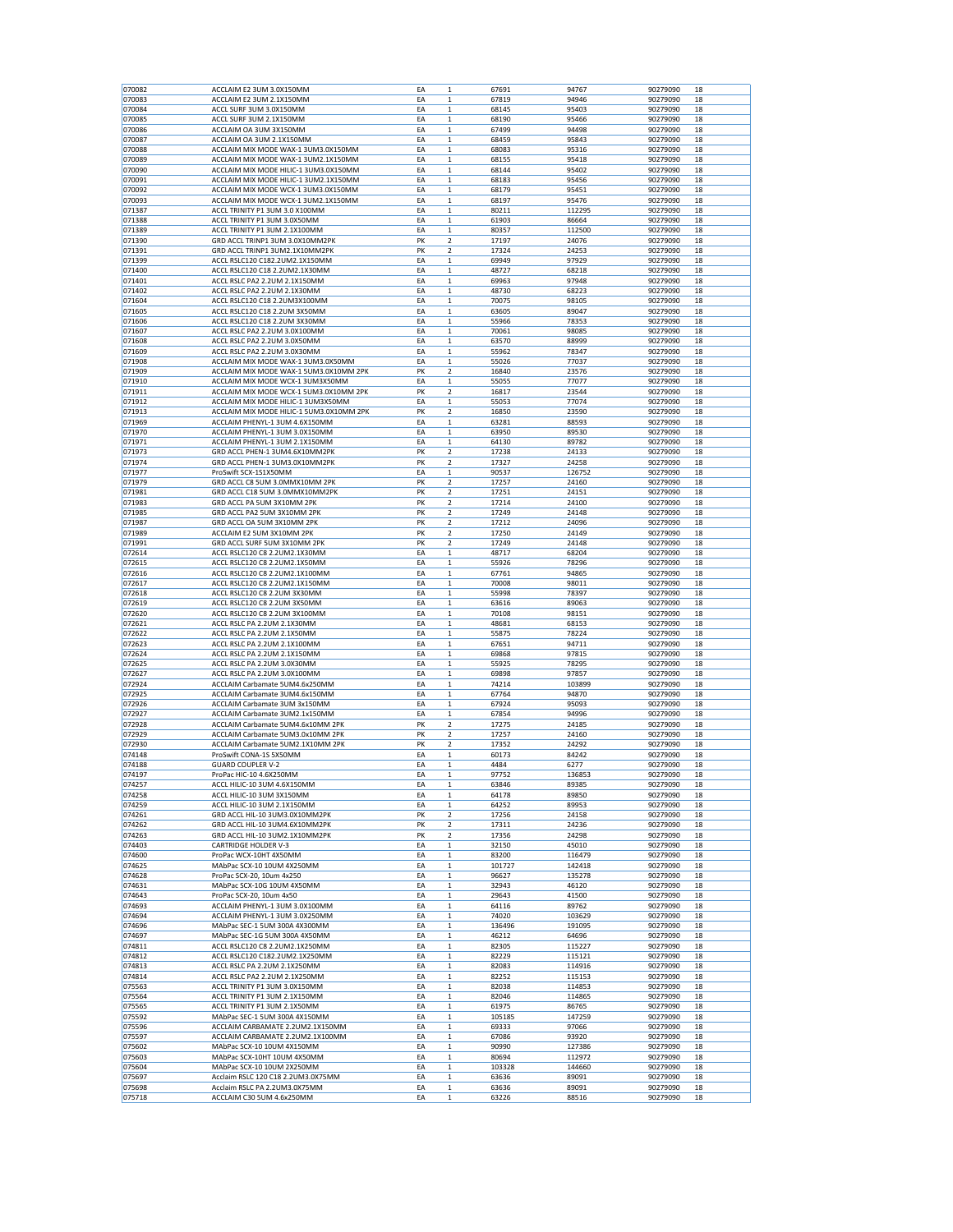| 070082 | ACCLAIM E2 3UM 3.0X150MM                 | EA | $\mathbf{1}$            | 67691  | 94767          | 90279090             | 18 |
|--------|------------------------------------------|----|-------------------------|--------|----------------|----------------------|----|
| 070083 | ACCLAIM E2 3UM 2.1X150MM                 | EA | 1                       | 67819  | 94946          | 90279090             | 18 |
| 070084 | ACCL SURF 3UM 3.0X150MM                  | EA | $\mathbf 1$             | 68145  | 95403          | 90279090             | 18 |
| 070085 | ACCL SURF 3UM 2.1X150MM                  | EA | 1                       | 68190  | 95466          | 90279090             | 18 |
| 070086 | ACCLAIM OA 3UM 3X150MM                   | EA | 1                       | 67499  | 94498          | 90279090             | 18 |
| 070087 | ACCLAIM OA 3UM 2.1X150MM                 | EA | 1                       | 68459  | 95843          | 90279090             | 18 |
| 070088 | ACCLAIM MIX MODE WAX-1 3UM3.0X150MM      | EA | $\mathbf 1$             |        |                |                      | 18 |
|        |                                          |    |                         | 68083  | 95316          | 90279090             |    |
| 070089 | ACCLAIM MIX MODE WAX-1 3UM2.1X150MM      | EA | $\mathbf 1$             | 68155  | 95418          | 90279090             | 18 |
| 070090 | ACCLAIM MIX MODE HILIC-1 3UM3.0X150MM    | EA | 1                       | 68144  | 95402          | 90279090             | 18 |
| 070091 | ACCLAIM MIX MODE HILIC-1 3UM2.1X150MM    | EA | $\mathbf 1$             | 68183  | 95456          | 90279090             | 18 |
| 070092 | ACCLAIM MIX MODE WCX-1 3UM3.0X150MM      | EA | 1                       | 68179  | 95451          | 90279090             | 18 |
| 070093 | ACCLAIM MIX MODE WCX-1 3UM2.1X150MM      | EA | 1                       | 68197  | 95476          | 90279090             | 18 |
| 071387 | ACCL TRINITY P1 3UM 3.0 X100MM           | EA | $\mathbf 1$             | 80211  | 112295         | 90279090             | 18 |
| 071388 | ACCL TRINITY P1 3UM 3.0X50MM             | EA | $\mathbf{1}$            | 61903  | 86664          | 90279090             | 18 |
| 071389 | ACCL TRINITY P1 3UM 2.1X100MM            | EA | 1                       | 80357  | 112500         | 90279090             | 18 |
| 071390 | GRD ACCL TRINP1 3UM 3.0X10MM2PK          | PK | $\overline{\mathbf{2}}$ | 17197  | 24076          | 90279090             | 18 |
| 071391 | GRD ACCL TRINP1 3UM2.1X10MM2PK           | PK | $\overline{\mathbf{2}}$ | 17324  | 24253          | 90279090             | 18 |
| 071399 | ACCL RSLC120 C182.2UM2.1X150MM           | EA | 1                       | 69949  | 97929          | 90279090             | 18 |
| 071400 | ACCL RSLC120 C18 2.2UM2.1X30MM           | EA | $\mathbf 1$             | 48727  | 68218          | 90279090             | 18 |
| 071401 | ACCL RSLC PA2 2.2UM 2.1X150MM            | EA | $\mathbf{1}$            | 69963  | 97948          | 90279090             | 18 |
| 071402 | ACCL RSLC PA2 2.2UM 2.1X30MM             | EA | 1                       | 48730  | 68223          | 90279090             | 18 |
| 071604 | ACCL RSLC120 C18 2.2UM3X100MM            | EA | $\mathbf 1$             | 70075  | 98105          | 90279090             | 18 |
| 071605 | ACCL RSLC120 C18 2.2UM 3X50MM            | EA | 1                       | 63605  | 89047          | 90279090             | 18 |
| 071606 | ACCL RSLC120 C18 2.2UM 3X30MM            | EA | 1                       | 55966  | 78353          | 90279090             | 18 |
| 071607 | ACCL RSLC PA2 2.2UM 3.0X100MM            | EA | 1                       | 70061  | 98085          | 90279090             | 18 |
| 071608 | ACCL RSLC PA2 2.2UM 3.0X50MM             | EA | $\mathbf{1}$            | 63570  | 88999          | 90279090             | 18 |
| 071609 | ACCL RSLC PA2 2.2UM 3.0X30MM             | EA | 1                       | 55962  | 78347          | 90279090             | 18 |
| 071908 | ACCLAIM MIX MODE WAX-1 3UM3.0X50MM       | EA | $\mathbf 1$             | 55026  | 77037          | 90279090             | 18 |
| 071909 | ACCLAIM MIX MODE WAX-1 5UM3.0X10MM 2PK   | PK | $\overline{\mathbf{2}}$ | 16840  | 23576          | 90279090             | 18 |
| 071910 | ACCLAIM MIX MODE WCX-1 3UM3X50MM         | EA | 1                       | 55055  | 77077          | 90279090             | 18 |
| 071911 | ACCLAIM MIX MODE WCX-1 5UM3.0X10MM 2PK   | PK | $\overline{\mathbf{2}}$ | 16817  | 23544          | 90279090             | 18 |
| 071912 | ACCLAIM MIX MODE HILIC-1 3UM3X50MM       | EA | $\mathbf 1$             | 55053  | 77074          | 90279090             | 18 |
| 071913 | ACCLAIM MIX MODE HILIC-1 5UM3.0X10MM 2PK | PK | $\overline{c}$          | 16850  | 23590          | 90279090             | 18 |
| 071969 | ACCLAIM PHENYL-1 3UM 4.6X150MM           | EA | 1                       | 63281  | 88593          | 90279090             | 18 |
| 071970 | ACCLAIM PHENYL-1 3UM 3.0X150MM           | EA | $\mathbf 1$             | 63950  | 89530          | 90279090             | 18 |
|        |                                          |    |                         |        |                |                      |    |
| 071971 | ACCLAIM PHENYL-1 3UM 2.1X150MM           | EA | 1                       | 64130  | 89782          | 90279090             | 18 |
| 071973 | GRD ACCL PHEN-1 3UM4.6X10MM2PK           | PK | 2                       | 17238  | 24133          | 90279090             | 18 |
| 071974 | GRD ACCL PHEN-1 3UM3.0X10MM2PK           | PK | $\overline{\mathbf{2}}$ | 17327  | 24258          | 90279090             | 18 |
| 071977 | ProSwift SCX-1S1X50MM                    | EA | $\mathbf{1}$            | 90537  | 126752         | 90279090             | 18 |
| 071979 | GRD ACCL C8 5UM 3.0MMX10MM 2PK           | PK | $\overline{c}$          | 17257  | 24160          | 90279090             | 18 |
| 071981 | GRD ACCL C18 5UM 3.0MMX10MM2PK           | PK | $\overline{\mathbf{2}}$ | 17251  | 24151          | 90279090             | 18 |
| 071983 | GRD ACCL PA 5UM 3X10MM 2PK               | PK | $\overline{\mathbf{2}}$ | 17214  | 24100          | 90279090             | 18 |
| 071985 | GRD ACCL PA2 5UM 3X10MM 2PK              | PK | 2                       | 17249  | 24148          | 90279090             | 18 |
| 071987 | GRD ACCL OA 5UM 3X10MM 2PK               | PK | $\overline{\mathbf{2}}$ | 17212  | 24096          | 90279090             | 18 |
| 071989 | ACCLAIM E2 5UM 3X10MM 2PK                | PK | $\overline{\mathbf{2}}$ | 17250  | 24149          | 90279090             | 18 |
| 071991 | GRD ACCL SURF 5UM 3X10MM 2PK             | PK | $\overline{\mathbf{2}}$ | 17249  | 24148          | 90279090             | 18 |
| 072614 | ACCL RSLC120 C8 2.2UM2.1X30MM            | EA | $\mathbf 1$             | 48717  | 68204          | 90279090             | 18 |
| 072615 | ACCL RSLC120 C8 2.2UM2.1X50MM            | EA | 1                       | 55926  | 78296          | 90279090             | 18 |
| 072616 | ACCL RSLC120 C8 2.2UM2.1X100MM           | EA | 1                       | 67761  | 94865          | 90279090             | 18 |
| 072617 | ACCL RSLC120 C8 2.2UM2.1X150MM           | EA | $\mathbf 1$             | 70008  | 98011          | 90279090             | 18 |
| 072618 | ACCL RSLC120 C8 2.2UM 3X30MM             | EA | $\mathbf{1}$            | 55998  | 78397          | 90279090             | 18 |
| 072619 | ACCL RSLC120 C8 2.2UM 3X50MM             | EA | 1                       | 63616  | 89063          | 90279090             | 18 |
| 072620 | ACCL RSLC120 C8 2.2UM 3X100MM            | EA | $\mathbf 1$             | 70108  | 98151          | 90279090             | 18 |
| 072621 | ACCL RSLC PA 2.2UM 2.1X30MM              | EA | 1                       | 48681  | 68153          | 90279090             | 18 |
| 072622 | ACCL RSLC PA 2.2UM 2.1X50MM              | EA | 1                       | 55875  | 78224          | 90279090             | 18 |
| 072623 | ACCL RSLC PA 2.2UM 2.1X100MM             | EA | 1                       | 67651  | 94711          | 90279090             | 18 |
| 072624 | ACCL RSLC PA 2.2UM 2.1X150MM             | EA | $\mathbf 1$             | 69868  | 97815          | 90279090             | 18 |
| 072625 | ACCL RSLC PA 2.2UM 3.0X30MM              | EA | $\mathbf 1$             | 55925  | 78295          | 90279090             | 18 |
| 072627 | ACCL RSLC PA 2.2UM 3.0X100MM             | EA | 1                       | 69898  | 97857          | 90279090             | 18 |
| 072924 | ACCLAIM Carbamate 5UM4.6x250MM           | EA | $\mathbf 1$             | 74214  | 103899         | 90279090             | 18 |
| 072925 | ACCLAIM Carbamate 3UM4.6x150MM           | EA | 1                       | 67764  | 94870          | 90279090             | 18 |
| 072926 | ACCLAIM Carbamate 3UM 3x150MM            | EA | $\mathbf 1$             | 67924  | 95093          | 90279090             | 18 |
| 072927 | ACCLAIM Carbamate 3UM2.1x150MM           | EA | $\mathbf 1$             | 67854  | 94996          | 90279090             | 18 |
| 072928 |                                          | PK | $\mathbf 2$             |        | 24185          |                      | 18 |
|        | ACCLAIM Carbamate 5UM4.6x10MM 2PK        |    |                         | 17275  |                | 90279090             |    |
| 072929 | ACCLAIM Carbamate 5UM3.0x10MM 2PK        | PK | 2                       | 17257  | 24160          | 90279090             | 18 |
| 072930 | ACCLAIM Carbamate 5UM2.1X10MM 2PK        | PK | $\overline{\mathbf{2}}$ | 17352  | 24292          | 90279090             | 18 |
| 074148 | ProSwift CONA-1S 5X50MM                  | EA | 1                       | 60173  | 84242          | 90279090             | 18 |
| 074188 | <b>GUARD COUPLER V-2</b>                 | EA | $\mathbf 1$             | 4484   | 6277<br>136853 | 90279090<br>90279090 | 18 |
| 074197 | ProPac HIC-10 4.6X250MM                  | EA | $\mathbf 1$             | 97752  |                |                      | 18 |
| 074257 | ACCL HILIC-10 3UM 4.6X150MM              | EA | 1                       | 63846  | 89385          | 90279090             | 18 |
| 074258 | ACCL HILIC-10 3UM 3X150MM                | EA | 1                       | 64178  | 89850          | 90279090             | 18 |
| 074259 | ACCL HILIC-10 3UM 2.1X150MM              | EA | $\mathbf 1$             | 64252  | 89953          | 90279090             | 18 |
| 074261 | GRD ACCL HIL-10 3UM3.0X10MM2PK           | PK | 2                       | 17256  | 24158          | 90279090             | 18 |
| 074262 | GRD ACCL HIL-10 3UM4.6X10MM2PK           | PK | 2                       | 17311  | 24236          | 90279090             | 18 |
| 074263 | GRD ACCL HIL-10 3UM2.1X10MM2PK           | PK | $\mathbf 2$             | 17356  | 24298          | 90279090             | 18 |
| 074403 | <b>CARTRIDGE HOLDER V-3</b>              | EA | $\mathbf{1}$            | 32150  | 45010          | 90279090             | 18 |
| 074600 | ProPac WCX-10HT 4X50MM                   | EA | 1                       | 83200  | 116479         | 90279090             | 18 |
| 074625 | MAbPac SCX-10 10UM 4X250MM               | EA | $\mathbf 1$             | 101727 | 142418         | 90279090             | 18 |
| 074628 | ProPac SCX-20, 10um 4x250                | EA | 1                       | 96627  | 135278         | 90279090             | 18 |
| 074631 | MAbPac SCX-10G 10UM 4X50MM               | EA | 1                       | 32943  | 46120          | 90279090             | 18 |
| 074643 | ProPac SCX-20, 10um 4x50                 | EA | $\mathbf 1$             | 29643  | 41500          | 90279090             | 18 |
| 074693 | ACCLAIM PHENYL-1 3UM 3.0X100MM           | EA | $\mathbf 1$             | 64116  | 89762          | 90279090             | 18 |
| 074694 | ACCLAIM PHENYL-1 3UM 3.0X250MM           | EA | $\mathbf 1$             | 74020  | 103629         | 90279090             | 18 |
| 074696 | MAbPac SEC-1 5UM 300A 4X300MM            | EA | $\mathbf 1$             | 136496 | 191095         | 90279090             | 18 |
| 074697 | MAbPac SEC-1G 5UM 300A 4X50MM            | EA | $\mathbf 1$             | 46212  | 64696          | 90279090             | 18 |
| 074811 | ACCL RSLC120 C8 2.2UM2.1X250MM           | EA | 1                       | 82305  | 115227         | 90279090             | 18 |
| 074812 | ACCL RSLC120 C182.2UM2.1X250MM           | EA | $\mathbf 1$             | 82229  | 115121         | 90279090             | 18 |
| 074813 | ACCL RSLC PA 2.2UM 2.1X250MM             | EA | $\mathbf 1$             | 82083  | 114916         | 90279090             | 18 |
| 074814 | ACCL RSLC PA2 2.2UM 2.1X250MM            | EA | $\mathbf 1$             | 82252  | 115153         | 90279090             | 18 |
| 075563 | ACCL TRINITY P1 3UM 3.0X150MM            | EA | $\mathbf 1$             | 82038  | 114853         | 90279090             | 18 |
| 075564 | ACCL TRINITY P1 3UM 2.1X150MM            | EA | $\mathbf 1$             | 82046  | 114865         | 90279090             | 18 |
| 075565 | ACCL TRINITY P1 3UM 2.1X50MM             | EA | 1                       | 61975  | 86765          | 90279090             | 18 |
| 075592 | MAbPac SEC-1 5UM 300A 4X150MM            | EA | $\mathbf 1$             | 105185 | 147259         | 90279090             | 18 |
| 075596 | ACCLAIM CARBAMATE 2.2UM2.1X150MM         | EA | $\mathbf 1$             | 69333  | 97066          | 90279090             | 18 |
| 075597 | ACCLAIM CARBAMATE 2.2UM2.1X100MM         | EA | $\mathbf 1$             | 67086  | 93920          | 90279090             | 18 |
| 075602 | MAbPac SCX-10 10UM 4X150MM               | EA | 1                       | 90990  | 127386         | 90279090             | 18 |
| 075603 | MAbPac SCX-10HT 10UM 4X50MM              | EA | $\mathbf 1$             | 80694  | 112972         | 90279090             | 18 |
| 075604 | MAbPac SCX-10 10UM 2X250MM               | EA | 1                       | 103328 | 144660         | 90279090             | 18 |
| 075697 | Acclaim RSLC 120 C18 2.2UM3.0X75MM       | EA | $\mathbf 1$             | 63636  | 89091          | 90279090             | 18 |
| 075698 | Acclaim RSLC PA 2.2UM3.0X75MM            | EA | $\mathbf 1$             | 63636  | 89091          | 90279090             | 18 |
| 075718 | ACCLAIM C30 5UM 4.6x250MM                | EA | $\mathbf 1$             | 63226  | 88516          | 90279090             | 18 |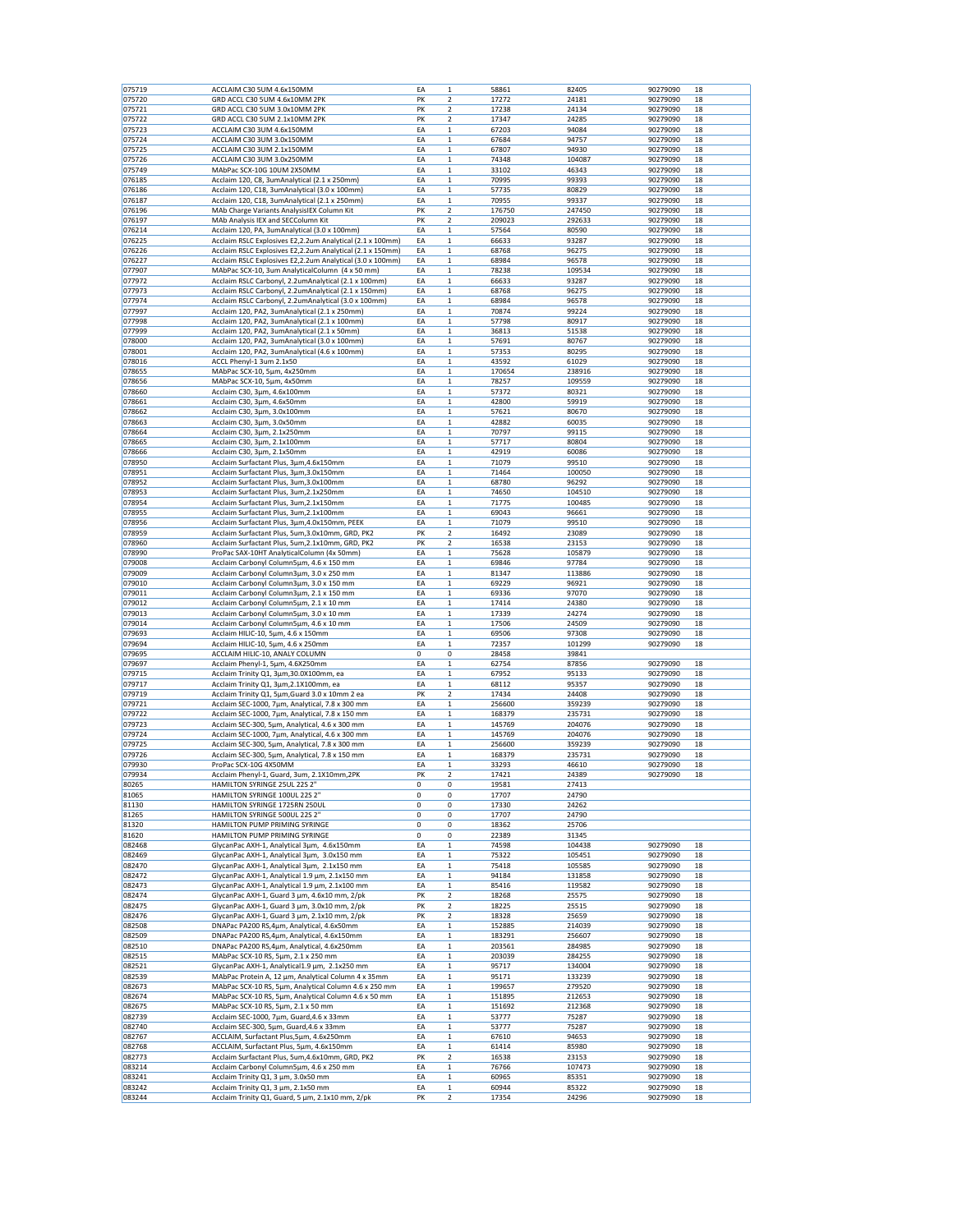| 075719 | ACCLAIM C30 5UM 4.6x150MM                                 | EA | 1              | 58861  | 82405  | 90279090 | 18 |
|--------|-----------------------------------------------------------|----|----------------|--------|--------|----------|----|
| 075720 | GRD ACCL C30 5UM 4.6x10MM 2PK                             | PK | 2              | 17272  | 24181  | 90279090 | 18 |
| 075721 | GRD ACCL C30 5UM 3.0x10MM 2PK                             | PK | 2              | 17238  | 24134  | 90279090 | 18 |
| 075722 | GRD ACCL C30 5UM 2.1x10MM 2PK                             | PK | 2              | 17347  | 24285  | 90279090 | 18 |
| 075723 | ACCLAIM C30 3UM 4.6x150MM                                 | EA | 1              | 67203  | 94084  | 90279090 | 18 |
| 075724 | ACCLAIM C30 3UM 3.0x150MM                                 | EA | $\mathbf 1$    | 67684  | 94757  | 90279090 | 18 |
|        |                                                           |    |                |        |        |          |    |
| 075725 | ACCLAIM C30 3UM 2.1x150MM                                 | EA | 1              | 67807  | 94930  | 90279090 | 18 |
| 075726 | ACCLAIM C30 3UM 3.0x250MM                                 | EA | 1              | 74348  | 104087 | 90279090 | 18 |
| 075749 | MAbPac SCX-10G 10UM 2X50MM                                | EA | $\mathbf{1}$   | 33102  | 46343  | 90279090 | 18 |
| 076185 | Acclaim 120, C8, 3umAnalytical (2.1 x 250mm)              | EA | 1              | 70995  | 99393  | 90279090 | 18 |
| 076186 | Acclaim 120, C18, 3umAnalytical (3.0 x 100mm)             | EA | 1              | 57735  | 80829  | 90279090 | 18 |
|        |                                                           |    |                |        |        |          |    |
| 076187 | Acclaim 120, C18, 3umAnalytical (2.1 x 250mm)             | EA | $\mathbf{1}$   | 70955  | 99337  | 90279090 | 18 |
| 076196 | MAb Charge Variants AnalysisIEX Column Kit                | PK | 2              | 176750 | 247450 | 90279090 | 18 |
| 076197 | MAb Analysis IEX and SECColumn Kit                        | PK | 2              | 209023 | 292633 | 90279090 | 18 |
| 076214 | Acclaim 120, PA, 3umAnalytical (3.0 x 100mm)              | EA | $\mathbf 1$    | 57564  | 80590  | 90279090 | 18 |
| 076225 | Acclaim RSLC Explosives E2,2.2um Analytical (2.1 x 100mm) | EA | 1              | 66633  | 93287  | 90279090 | 18 |
| 076226 |                                                           |    |                |        |        | 90279090 |    |
|        | Acclaim RSLC Explosives E2,2.2um Analytical (2.1 x 150mm) | EA | $\mathbf 1$    | 68768  | 96275  |          | 18 |
| 076227 | Acclaim RSLC Explosives E2,2.2um Analytical (3.0 x 100mm) | EA | $\mathbf 1$    | 68984  | 96578  | 90279090 | 18 |
| 077907 | MAbPac SCX-10, 3um AnalyticalColumn (4 x 50 mm)           | EA | 1              | 78238  | 109534 | 90279090 | 18 |
| 077972 | Acclaim RSLC Carbonyl, 2.2umAnalytical (2.1 x 100mm)      | EA | 1              | 66633  | 93287  | 90279090 | 18 |
| 077973 | Acclaim RSLC Carbonyl, 2.2umAnalytical (2.1 x 150mm)      | EA | $\mathbf 1$    | 68768  | 96275  | 90279090 | 18 |
| 077974 | Acclaim RSLC Carbonyl, 2.2umAnalytical (3.0 x 100mm)      | EA | 1              | 68984  | 96578  | 90279090 | 18 |
| 077997 | Acclaim 120, PA2, 3umAnalytical (2.1 x 250mm)             | EA | 1              | 70874  | 99224  | 90279090 | 18 |
|        |                                                           |    |                |        |        |          |    |
| 077998 | Acclaim 120, PA2, 3umAnalytical (2.1 x 100mm)             | EA | 1              | 57798  | 80917  | 90279090 | 18 |
| 077999 | Acclaim 120, PA2, 3umAnalytical (2.1 x 50mm)              | EA | $\mathbf 1$    | 36813  | 51538  | 90279090 | 18 |
| 078000 | Acclaim 120, PA2, 3umAnalytical (3.0 x 100mm)             | EA | 1              | 57691  | 80767  | 90279090 | 18 |
| 078001 | Acclaim 120, PA2, 3umAnalytical (4.6 x 100mm)             | EA | 1              | 57353  | 80295  | 90279090 | 18 |
| 078016 | ACCL Phenyl-1 3um 2.1x50                                  | EA | $\mathbf 1$    | 43592  | 61029  | 90279090 | 18 |
|        |                                                           |    |                |        |        |          | 18 |
| 078655 | MAbPac SCX-10, 5µm, 4x250mm                               | EA | 1              | 170654 | 238916 | 90279090 |    |
| 078656 | MAbPac SCX-10, 5µm, 4x50mm                                | EA | 1              | 78257  | 109559 | 90279090 | 18 |
| 078660 | Acclaim C30, 3μm, 4.6x100mm                               | EA | $\mathbf 1$    | 57372  | 80321  | 90279090 | 18 |
| 078661 | Acclaim C30, 3µm, 4.6x50mm                                | EA | 1              | 42800  | 59919  | 90279090 | 18 |
| 078662 | Acclaim C30, 3µm, 3.0x100mm                               | EA | 1              | 57621  | 80670  | 90279090 | 18 |
| 078663 | Acclaim C30, 3µm, 3.0x50mm                                | EA | $\mathbf{1}$   | 42882  | 60035  | 90279090 | 18 |
|        |                                                           |    |                |        |        |          |    |
| 078664 | Acclaim C30, 3µm, 2.1x250mm                               | EA | 1              | 70797  | 99115  | 90279090 | 18 |
| 078665 | Acclaim C30, 3µm, 2.1x100mm                               | EA | 1              | 57717  | 80804  | 90279090 | 18 |
| 078666 | Acclaim C30, 3µm, 2.1x50mm                                | EA | $\mathbf{1}$   | 42919  | 60086  | 90279090 | 18 |
| 078950 | Acclaim Surfactant Plus, 3µm,4.6x150mm                    | EA | 1              | 71079  | 99510  | 90279090 | 18 |
| 078951 | Acclaim Surfactant Plus, 3µm,3.0x150mm                    | EA | 1              | 71464  | 100050 | 90279090 | 18 |
|        |                                                           |    |                |        |        |          |    |
| 078952 | Acclaim Surfactant Plus, 3um, 3.0x100mm                   | EA | $\mathbf 1$    | 68780  | 96292  | 90279090 | 18 |
| 078953 | Acclaim Surfactant Plus, 3um, 2.1x250mm                   | EA | 1              | 74650  | 104510 | 90279090 | 18 |
| 078954 | Acclaim Surfactant Plus, 3um, 2.1x150mm                   | EA | 1              | 71775  | 100485 | 90279090 | 18 |
| 078955 | Acclaim Surfactant Plus, 3um, 2.1x100mm                   | EA | $\mathbf 1$    | 69043  | 96661  | 90279090 | 18 |
| 078956 | Acclaim Surfactant Plus, 3µm,4.0x150mm, PEEK              | EA | $\mathbf{1}$   | 71079  | 99510  | 90279090 | 18 |
|        |                                                           |    | $\overline{c}$ |        |        |          |    |
| 078959 | Acclaim Surfactant Plus, 5um, 3.0x10mm, GRD, PK2          | PK |                | 16492  | 23089  | 90279090 | 18 |
| 078960 | Acclaim Surfactant Plus, 5um, 2.1x10mm, GRD, PK2          | PK | 2              | 16538  | 23153  | 90279090 | 18 |
| 078990 | ProPac SAX-10HT AnalyticalColumn (4x 50mm)                | EA | 1              | 75628  | 105879 | 90279090 | 18 |
| 079008 | Acclaim Carbonyl Column5µm, 4.6 x 150 mm                  | EA | 1              | 69846  | 97784  | 90279090 | 18 |
| 079009 | Acclaim Carbonyl Column3µm, 3.0 x 250 mm                  | EA | 1              | 81347  | 113886 | 90279090 | 18 |
| 079010 | Acclaim Carbonyl Column3µm, 3.0 x 150 mm                  | EA | $\mathbf 1$    | 69229  | 96921  | 90279090 | 18 |
|        |                                                           |    |                |        |        |          |    |
| 079011 | Acclaim Carbonyl Column3um, 2.1 x 150 mm                  | EA | 1              | 69336  | 97070  | 90279090 | 18 |
| 079012 | Acclaim Carbonyl Column5µm, 2.1 x 10 mm                   | EA | 1              | 17414  | 24380  | 90279090 | 18 |
| 079013 | Acclaim Carbonyl Column5µm, 3.0 x 10 mm                   | EA | $\mathbf 1$    | 17339  | 24274  | 90279090 | 18 |
| 079014 | Acclaim Carbonyl Column5µm, 4.6 x 10 mm                   | EA | 1              | 17506  | 24509  | 90279090 | 18 |
| 079693 | Acclaim HILIC-10, 5µm, 4.6 x 150mm                        | EA | 1              | 69506  | 97308  | 90279090 | 18 |
| 079694 |                                                           | EA | $\mathbf{1}$   | 72357  | 101299 | 90279090 | 18 |
|        | Acclaim HILIC-10, 5µm, 4.6 x 250mm                        |    |                |        |        |          |    |
| 079695 | ACCLAIM HILIC-10, ANALY COLUMN                            | 0  | 0              | 28458  | 39841  |          |    |
| 079697 | Acclaim Phenyl-1, 5µm, 4.6X250mm                          | EA | 1              | 62754  | 87856  | 90279090 | 18 |
| 079715 | Acclaim Trinity Q1, 3µm,30.0X100mm, ea                    | EA | $\mathbf{1}$   | 67952  | 95133  | 90279090 | 18 |
| 079717 | Acclaim Trinity Q1, 3µm,2.1X100mm, ea                     | EA | 1              | 68112  | 95357  | 90279090 | 18 |
| 079719 | Acclaim Trinity Q1, 5µm, Guard 3.0 x 10mm 2 ea            | PK | 2              | 17434  | 24408  | 90279090 | 18 |
|        |                                                           |    |                |        |        |          |    |
| 079721 | Acclaim SEC-1000, 7µm, Analytical, 7.8 x 300 mm           | EA | $\mathbf{1}$   | 256600 | 359239 | 90279090 | 18 |
| 079722 | Acclaim SEC-1000, 7µm, Analytical, 7.8 x 150 mm           | EA | 1              | 168379 | 235731 | 90279090 | 18 |
| 079723 | Acclaim SEC-300, 5µm, Analytical, 4.6 x 300 mm            | EA | 1              | 145769 | 204076 | 90279090 | 18 |
| 079724 | Acclaim SEC-1000, 7µm, Analytical, 4.6 x 300 mm           | EA | $\mathbf 1$    | 145769 | 204076 | 90279090 | 18 |
| 079725 | Acclaim SEC-300, 5µm, Analytical, 7.8 x 300 mm            | EA | 1              | 256600 | 359239 | 90279090 | 18 |
|        |                                                           |    |                |        |        |          |    |
| 079726 | Acclaim SEC-300, 5µm, Analytical, 7.8 x 150 mm            | EA | 1              | 168379 | 235731 | 90279090 | 18 |
| 079930 | ProPac SCX-10G 4X50MM                                     | EA | $\mathbf 1$    | 33293  | 46610  | 90279090 | 18 |
| 079934 | Acclaim Phenyl-1, Guard, 3um, 2.1X10mm,2PK                | PK | $\overline{2}$ | 17421  | 24389  | 90279090 | 18 |
| 80265  | HAMILTON SYRINGE 25UL 22S 2"                              | 0  | 0              | 19581  | 27413  |          |    |
| 81065  | HAMILTON SYRINGE 100UL 22S 2"                             | 0  | 0              | 17707  | 24790  |          |    |
| 81130  | HAMILTON SYRINGE 1725RN 250UL                             | 0  | 0              | 17330  | 24262  |          |    |
| 81265  | HAMILTON SYRINGE 500UL 22S 2"                             | 0  | 0              | 17707  | 24790  |          |    |
| 81320  | HAMILTON PUMP PRIMING SYRINGE                             | 0  |                |        |        |          |    |
|        |                                                           |    | 0              | 18362  | 25706  |          |    |
| 81620  | HAMILTON PUMP PRIMING SYRINGE                             | 0  | 0              | 22389  | 31345  |          |    |
| 082468 | GlycanPac AXH-1, Analytical 3um, 4.6x150mm                | EA | 1              | 74598  | 104438 | 90279090 | 18 |
| 082469 | GlycanPac AXH-1, Analytical 3µm, 3.0x150 mm               | EA | $\mathbf 1$    | 75322  | 105451 | 90279090 | 18 |
| 082470 | GlycanPac AXH-1, Analytical 3µm, 2.1x150 mm               | EA | $\mathbf 1$    | 75418  | 105585 | 90279090 | 18 |
| 082472 | GlycanPac AXH-1, Analytical 1.9 µm, 2.1x150 mm            | EA | 1              | 94184  | 131858 | 90279090 | 18 |
| 082473 | GlycanPac AXH-1, Analytical 1.9 um, 2.1x100 mm            |    |                |        | 119582 | 90279090 |    |
|        |                                                           | EA | 1              | 85416  |        |          | 18 |
| 082474 | GlycanPac AXH-1, Guard 3 µm, 4.6x10 mm, 2/pk              | PK | 2              | 18268  | 25575  | 90279090 | 18 |
| 082475 | GlycanPac AXH-1, Guard 3 µm, 3.0x10 mm, 2/pk              | PK | 2              | 18225  | 25515  | 90279090 | 18 |
| 082476 | GlycanPac AXH-1, Guard 3 µm, 2.1x10 mm, 2/pk              | PK | 2              | 18328  | 25659  | 90279090 | 18 |
| 082508 | DNAPac PA200 RS,4µm, Analytical, 4.6x50mm                 | EA | 1              | 152885 | 214039 | 90279090 | 18 |
| 082509 | DNAPac PA200 RS, 4µm, Analytical, 4.6x150mm               | EA | 1              | 183291 | 256607 | 90279090 | 18 |
|        |                                                           |    |                |        |        |          |    |
| 082510 | DNAPac PA200 RS, 4µm, Analytical, 4.6x250mm               | EA | 1              | 203561 | 284985 | 90279090 | 18 |
| 082515 | MAbPac SCX-10 RS, 5µm, 2.1 x 250 mm                       | EA | $\mathbf 1$    | 203039 | 284255 | 90279090 | 18 |
| 082521 | GlycanPac AXH-1, Analytical1.9 µm, 2.1x250 mm             | EA | 1              | 95717  | 134004 | 90279090 | 18 |
| 082539 | MAbPac Protein A, 12 µm, Analytical Column 4 x 35mm       | EA | 1              | 95171  | 133239 | 90279090 | 18 |
| 082673 | MAbPac SCX-10 RS, 5µm, Analytical Column 4.6 x 250 mm     | EA | $\mathbf{1}$   | 199657 | 279520 | 90279090 | 18 |
| 082674 | MAbPac SCX-10 RS, 5µm, Analytical Column 4.6 x 50 mm      | EA | 1              |        |        | 90279090 | 18 |
|        |                                                           |    |                | 151895 | 212653 |          |    |
|        |                                                           |    | 1              | 151692 | 212368 | 90279090 | 18 |
| 082675 | MAbPac SCX-10 RS, 5µm, 2.1 x 50 mm                        | EA |                |        |        |          |    |
| 082739 | Acclaim SEC-1000, 7µm, Guard, 4.6 x 33mm                  | EA | $\mathbf 1$    | 53777  | 75287  | 90279090 | 18 |
| 082740 | Acclaim SEC-300, 5µm, Guard, 4.6 x 33mm                   | EA | 1              | 53777  | 75287  | 90279090 | 18 |
|        |                                                           |    |                |        |        |          |    |
| 082767 | ACCLAIM, Surfactant Plus, 5µm, 4.6x250mm                  | EA | 1              | 67610  | 94653  | 90279090 | 18 |
| 082768 | ACCLAIM, Surfactant Plus, 5µm, 4.6x150mm                  | EA | 1              | 61414  | 85980  | 90279090 | 18 |
| 082773 | Acclaim Surfactant Plus, 5um, 4.6x10mm, GRD, PK2          | PK | 2              | 16538  | 23153  | 90279090 | 18 |
| 083214 | Acclaim Carbonyl Column5µm, 4.6 x 250 mm                  | EA | 1              | 76766  | 107473 | 90279090 | 18 |
| 083241 | Acclaim Trinity Q1, 3 µm, 3.0x50 mm                       | EA | 1              | 60965  | 85351  | 90279090 | 18 |
| 083242 | Acclaim Trinity Q1, 3 µm, 2.1x50 mm                       | ΕA | $\mathbf 1$    | 60944  | 85322  | 90279090 | 18 |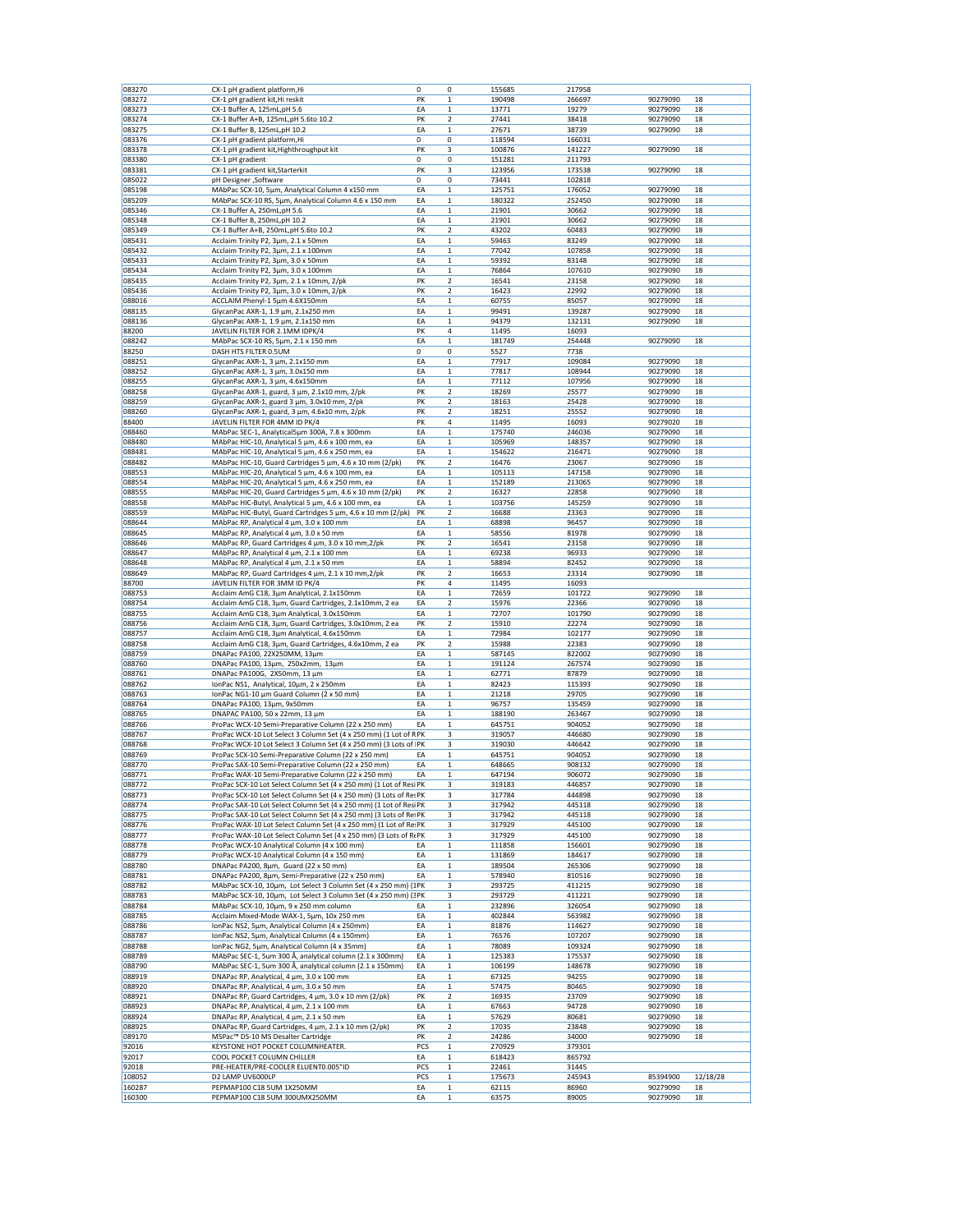| 083270           | CX-1 pH gradient platform, Hi                                                                                                     | 0        | 0                       | 155685           | 217958           |                      |          |
|------------------|-----------------------------------------------------------------------------------------------------------------------------------|----------|-------------------------|------------------|------------------|----------------------|----------|
| 083272           | CX-1 pH gradient kit, Hi reskit                                                                                                   | PK       | $\mathbf 1$             | 190498           | 266697           | 90279090             | 18       |
| 083273           | CX-1 Buffer A, 125mL, pH 5.6                                                                                                      | ΕA       | $\mathbf 1$             | 13771            | 19279            | 90279090             | 18       |
| 083274           | CX-1 Buffer A+B, 125mL, pH 5.6to 10.2                                                                                             | PK       | 2                       | 27441            | 38418            | 90279090             | 18       |
| 083275           | CX-1 Buffer B, 125mL,pH 10.2                                                                                                      | ΕA       | 1                       | 27671            | 38739            | 90279090             | 18       |
| 083376           | CX-1 pH gradient platform, Hi                                                                                                     | 0        | 0                       | 118594           | 166031           |                      |          |
| 083378           | CX-1 pH gradient kit, Highthroughput kit                                                                                          | PK       | 3                       | 100876           | 141227           | 90279090             | 18       |
| 083380           | CX-1 pH gradient                                                                                                                  | 0        | 0                       | 151281           | 211793           |                      |          |
| 083381           | CX-1 pH gradient kit, Starterkit                                                                                                  | PK       | 3                       | 123956           | 173538           | 90279090             | 18       |
| 085022           | pH Designer , Software                                                                                                            | 0        | 0                       | 73441            | 102818           |                      |          |
| 085198           | MAbPac SCX-10, 5µm, Analytical Column 4 x150 mm                                                                                   | ΕA       | 1                       | 125751           | 176052           | 90279090             | 18       |
| 085209           | MAbPac SCX-10 RS, 5µm, Analytical Column 4.6 x 150 mm                                                                             | ΕA       | 1                       | 180322           | 252450           | 90279090             | 18       |
| 085346           | CX-1 Buffer A, 250mL, pH 5.6                                                                                                      | EA       | $\mathbf 1$             | 21901            | 30662            | 90279090             | 18       |
| 085348           | CX-1 Buffer B, 250mL,pH 10.2                                                                                                      | ΕA       | $\mathbf 1$             | 21901            | 30662            | 90279090             | 18       |
| 085349           | CX-1 Buffer A+B, 250mL, pH 5.6to 10.2                                                                                             | PK       | 2                       | 43202            | 60483            | 90279090             | 18       |
| 085431           | Acclaim Trinity P2, 3µm, 2.1 x 50mm                                                                                               | EA       | $\mathbf 1$             | 59463            | 83249            | 90279090             | 18       |
| 085432           | Acclaim Trinity P2, 3µm, 2.1 x 100mm                                                                                              | ΕA       | $\mathbf 1$             | 77042            | 107858           | 90279090             | 18<br>18 |
| 085433<br>085434 | Acclaim Trinity P2, 3µm, 3.0 x 50mm<br>Acclaim Trinity P2, 3µm, 3.0 x 100mm                                                       | ΕA<br>EA | 1<br>$\mathbf 1$        | 59392<br>76864   | 83148<br>107610  | 90279090<br>90279090 | 18       |
| 085435           | Acclaim Trinity P2, 3µm, 2.1 x 10mm, 2/pk                                                                                         | PK       | $\overline{\mathbf{c}}$ | 16541            | 23158            | 90279090             | 18       |
| 085436           | Acclaim Trinity P2, 3µm, 3.0 x 10mm, 2/pk                                                                                         | PK       | 2                       | 16423            | 22992            | 90279090             | 18       |
| 088016           | ACCLAIM Phenyl-1 5µm 4.6X150mm                                                                                                    | EA       | $\mathbf 1$             | 60755            | 85057            | 90279090             | 18       |
| 088135           | GlycanPac AXR-1, 1.9 μm, 2.1x250 mm                                                                                               | ΕA       | 1                       | 99491            | 139287           | 90279090             | 18       |
| 088136           | GlycanPac AXR-1, 1.9 μm, 2.1x150 mm                                                                                               | ΕA       | 1                       | 94379            | 132131           | 90279090             | 18       |
| 88200            | JAVELIN FILTER FOR 2.1MM IDPK/4                                                                                                   | PK       | 4                       | 11495            | 16093            |                      |          |
| 088242           | MAbPac SCX-10 RS, 5µm, 2.1 x 150 mm                                                                                               | ΕA       | $\mathbf 1$             | 181749           | 254448           | 90279090             | 18       |
| 88250            | DASH HTS FILTER 0.5UM                                                                                                             | 0        | 0                       | 5527             | 7738             |                      |          |
| 088251           | GlycanPac AXR-1, 3 µm, 2.1x150 mm                                                                                                 | ΕA       | $\mathbf 1$             | 77917            | 109084           | 90279090             | 18       |
| 088252           | GlycanPac AXR-1, 3 µm, 3.0x150 mm                                                                                                 | ΕA       | $\mathbf 1$             | 77817            | 108944           | 90279090             | 18       |
| 088255           | GlycanPac AXR-1, 3 µm, 4.6x150mm                                                                                                  | ΕA       | 1                       | 77112            | 107956           | 90279090             | 18       |
| 088258           | GlycanPac AXR-1, guard, 3 µm, 2.1x10 mm, 2/pk                                                                                     | PK       | 2                       | 18269            | 25577            | 90279090             | 18       |
| 088259           | GlycanPac AXR-1, guard 3 µm, 3.0x10 mm, 2/pk                                                                                      | PK       | 2                       | 18163            | 25428            | 90279090             | 18       |
| 088260           | GlycanPac AXR-1, guard, 3 µm, 4.6x10 mm, 2/pk                                                                                     | PK       | 2                       | 18251            | 25552            | 90279090             | 18       |
| 88400            | JAVELIN FILTER FOR 4MM ID PK/4                                                                                                    | PK       | 4                       | 11495            | 16093            | 90279020             | 18       |
| 088460           | MAbPac SEC-1, Analytical5µm 300A, 7.8 x 300mm                                                                                     | EA       | $\mathbf 1$             | 175740           | 246036           | 90279090             | 18       |
| 088480           | MAbPac HIC-10, Analytical 5 µm, 4.6 x 100 mm, ea                                                                                  | ΕA       | 1                       | 105969           | 148357           | 90279090             | 18       |
| 088481           | MAbPac HIC-10, Analytical 5 µm, 4.6 x 250 mm, ea                                                                                  | ΕA       | 1                       | 154622           | 216471           | 90279090             | 18       |
| 088482           | MAbPac HIC-10, Guard Cartridges 5 µm, 4.6 x 10 mm (2/pk)                                                                          | PK       | 2                       | 16476            | 23067            | 90279090             | 18       |
| 088553           | MAbPac HIC-20, Analytical 5 µm, 4.6 x 100 mm, ea                                                                                  | EA       | $\mathbf 1$             | 105113           | 147158           | 90279090             | 18       |
| 088554           | MAbPac HIC-20, Analytical 5 µm, 4.6 x 250 mm, ea                                                                                  | EA       | $\mathbf 1$             | 152189           | 213065           | 90279090             | 18       |
| 088555           | MAbPac HIC-20, Guard Cartridges 5 µm, 4.6 x 10 mm (2/pk)                                                                          | PK       | 2                       | 16327            | 22858            | 90279090             | 18       |
| 088558           | MAbPac HIC-Butyl, Analytical 5 µm, 4.6 x 100 mm, ea                                                                               | ΕA       | 1                       | 103756           | 145259           | 90279090             | 18       |
| 088559           | MAbPac HIC-Butyl, Guard Cartridges 5 um, 4.6 x 10 mm (2/pk)                                                                       | PΚ       | 2                       | 16688            | 23363            | 90279090             | 18       |
| 088644           | MAbPac RP, Analytical 4 µm, 3.0 x 100 mm                                                                                          | EA       | $\mathbf 1$             | 68898            | 96457            | 90279090             | 18       |
| 088645           | MAbPac RP, Analytical 4 µm, 3.0 x 50 mm                                                                                           | EA       | $\mathbf 1$             | 58556            | 81978            | 90279090             | 18       |
| 088646           | MAbPac RP, Guard Cartridges 4 µm, 3.0 x 10 mm, 2/pk                                                                               | PK       | 2                       | 16541            | 23158            | 90279090             | 18       |
| 088647           | MAbPac RP, Analytical 4 µm, 2.1 x 100 mm                                                                                          | EA       | $\mathbf 1$             | 69238            | 96933            | 90279090             | 18       |
| 088648           | MAbPac RP, Analytical 4 µm, 2.1 x 50 mm                                                                                           | ΕA       | 1                       | 58894            | 82452            | 90279090             | 18       |
| 088649           | MAbPac RP, Guard Cartridges 4 µm, 2.1 x 10 mm, 2/pk                                                                               | PK<br>PK | 2<br>4                  | 16653            | 23314            | 90279090             | 18       |
| 88700            | JAVELIN FILTER FOR 3MM ID PK/4                                                                                                    |          |                         | 11495            | 16093            |                      |          |
| 088753           | Acclaim AmG C18, 3µm Analytical, 2.1x150mm                                                                                        | ΕA       | $\mathbf 1$<br>2        | 72659            | 101722           | 90279090             | 18       |
| 088754<br>088755 | Acclaim AmG C18, 3µm, Guard Cartridges, 2.1x10mm, 2 ea<br>Acclaim AmG C18, 3µm Analytical, 3.0x150mm                              | ΕA<br>EA | $\mathbf 1$             | 15976<br>72707   | 22366<br>101790  | 90279090<br>90279090 | 18<br>18 |
| 088756           |                                                                                                                                   | PK       | 2                       | 15910            | 22274            | 90279090             | 18       |
| 088757           | Acclaim AmG C18, 3µm, Guard Cartridges, 3.0x10mm, 2 ea<br>Acclaim AmG C18, 3µm Analytical, 4.6x150mm                              | ΕA       | 1                       | 72984            | 102177           | 90279090             | 18       |
| 088758           | Acclaim AmG C18, 3µm, Guard Cartridges, 4.6x10mm, 2 ea                                                                            | PK       | 2                       | 15988            | 22383            | 90279090             | 18       |
| 088759           | DNAPac PA100, 22Χ250ΜΜ, 13μm                                                                                                      | EA       | $\mathbf 1$             | 587145           | 822002           | 90279090             | 18       |
| 088760           | DNAPac PA100, 13μm, 250x2mm, 13μm                                                                                                 | EA       | $\mathbf 1$             | 191124           | 267574           | 90279090             | 18       |
| 088761           | DNAPac PA100G, 2X50mm, 13 μm                                                                                                      | EA       | $\mathbf 1$             | 62771            | 87879            | 90279090             | 18       |
| 088762           | IonPac NS1, Analytical, 10μm, 2 x 250mm                                                                                           | EA       | $\mathbf 1$             | 82423            | 115393           | 90279090             | 18       |
| 088763           | IonPac NG1-10 μm Guard Column (2 x 50 mm)                                                                                         | ΕA       | 1                       | 21218            | 29705            | 90279090             | 18       |
| 088764           | DNAPac PA100, 13µm, 9x50mm                                                                                                        | EA       | 1                       | 96757            | 135459           | 90279090             | 18       |
| 088765           | DNAPAC PA100, 50 x 22mm, 13 μm                                                                                                    | EA       | $\,1$                   | 188190           | 263467           | 90279090             | 18       |
| 088766           | ProPac WCX-10 Semi-Preparative Column (22 x 250 mm)                                                                               | ΕA       | $\mathbf 1$             | 645751           | 904052           | 90279090             | 18       |
| 088767           | ProPac WCX-10 Lot Select 3 Column Set (4 x 250 mm) (1 Lot of RPK                                                                  |          | 3                       | 319057           | 446680           | 90279090             | 18       |
| 088768           | ProPac WCX-10 Lot Select 3 Column Set (4 x 250 mm) (3 Lots of PK                                                                  |          | 3                       | 319030           | 446642           | 90279090             | 18       |
| 088769           | ProPac SCX-10 Semi-Preparative Column (22 x 250 mm)                                                                               | EA       | 1                       | 645751           | 904052           | 90279090             | 18       |
| 088770           | ProPac SAX-10 Semi-Preparative Column (22 x 250 mm)                                                                               | EA       | 1                       | 648665           | 908132           | 90279090             | 18       |
| 088771           | ProPac WAX-10 Semi-Preparative Column (22 x 250 mm)                                                                               | EA       | $\mathbf 1$             | 647194           | 906072           | 90279090             | 18       |
| 088772           | ProPac SCX-10 Lot Select Column Set (4 x 250 mm) (1 Lot of Resi PK                                                                |          | 3                       | 319183           | 446857           | 90279090             | 18       |
| 088773           | ProPac SCX-10 Lot Select Column Set (4 x 250 mm) (3 Lots of Res PK                                                                |          | 3                       | 317784           | 444898           | 90279090             | 18       |
| 088774           | ProPac SAX-10 Lot Select Column Set (4 x 250 mm) (1 Lot of Resi PK                                                                |          | 3                       | 317942           | 445118           | 90279090             | 18       |
| 088775           | ProPac SAX-10 Lot Select Column Set (4 x 250 mm) (3 Lots of Re: PK                                                                |          | 3                       | 317942           | 445118           | 90279090             | 18       |
| 088776           | ProPac WAX-10 Lot Select Column Set (4 x 250 mm) (1 Lot of Re: PK                                                                 |          | 3                       | 317929           | 445100           | 90279090             | 18       |
| 088777           | ProPac WAX-10 Lot Select Column Set (4 x 250 mm) (3 Lots of REPK                                                                  |          | 3                       | 317929           | 445100           | 90279090             | 18       |
| 088778           | ProPac WCX-10 Analytical Column (4 x 100 mm)                                                                                      | EA       | $\mathbf 1$             | 111858           | 156601           | 90279090             | 18       |
| 088779           | ProPac WCX-10 Analytical Column (4 x 150 mm)                                                                                      | ΕA       | $\mathbf 1$             | 131869           | 184617           | 90279090             | 18       |
| 088780           | DNAPac PA200, 8µm, Guard (22 x 50 mm)                                                                                             | ΕA       | $\mathbf 1$             | 189504           | 265306           | 90279090             | 18       |
| 088781<br>088782 | DNAPac PA200, 8µm, Semi-Preparative (22 x 250 mm)                                                                                 | EA       | $\mathbf 1$<br>3        | 578940           | 810516<br>411215 | 90279090             | 18       |
| 088783           | MAbPac SCX-10, 10µm, Lot Select 3 Column Set (4 x 250 mm) (1PK<br>MAbPac SCX-10, 10μm, Lot Select 3 Column Set (4 x 250 mm) (3 PK |          | 3                       | 293725<br>293729 | 411221           | 90279090<br>90279090 | 18<br>18 |
| 088784           | MAbPac SCX-10, 10µm, 9 x 250 mm column                                                                                            | ΕA       | $\mathbf 1$             | 232896           | 326054           | 90279090             | 18       |
| 088785           | Acclaim Mixed-Mode WAX-1, 5µm, 10x 250 mm                                                                                         | ΕA       | $\mathbf 1$             | 402844           | 563982           | 90279090             | 18       |
| 088786           | IonPac NS2, 5µm, Analytical Column (4 x 250mm)                                                                                    | ΕA       | $\mathbf 1$             | 81876            | 114627           | 90279090             | 18       |
| 088787           | IonPac NS2, 5µm, Analytical Column (4 x 150mm)                                                                                    | ΕA       | $\mathbf 1$             | 76576            | 107207           | 90279090             | 18       |
| 088788           | IonPac NG2, 5µm, Analytical Column (4 x 35mm)                                                                                     | ΕA       | 1                       | 78089            | 109324           | 90279090             | 18       |
| 088789           | MAbPac SEC-1, 5um 300 Å, analytical column (2.1 x 300mm)                                                                          | ΕA       | 1                       | 125383           | 175537           | 90279090             | 18       |
| 088790           | MAbPac SEC-1, 5um 300 Å, analytical column (2.1 x 150mm)                                                                          | EA       | $\,1$                   | 106199           | 148678           | 90279090             | 18       |
| 088919           | DNAPac RP, Analytical, 4 µm, 3.0 x 100 mm                                                                                         | ΕA       | $\mathbf 1$             | 67325            | 94255            | 90279090             | 18       |
| 088920           | DNAPac RP, Analytical, 4 µm, 3.0 x 50 mm                                                                                          | ΕA       | $\mathbf 1$             | 57475            | 80465            | 90279090             | 18       |
| 088921           | DNAPac RP, Guard Cartridges, 4 µm, 3.0 x 10 mm (2/pk)                                                                             | PK       | $\overline{\mathbf{2}}$ | 16935            | 23709            | 90279090             | 18       |
| 088923           | DNAPac RP, Analytical, 4 µm, 2.1 x 100 mm                                                                                         | ΕA       | 1                       | 67663            | 94728            | 90279090             | 18       |
| 088924           | DNAPac RP, Analytical, 4 µm, 2.1 x 50 mm                                                                                          | ΕA       | 1                       | 57629            | 80681            | 90279090             | 18       |
| 088925           | DNAPac RP, Guard Cartridges, 4 µm, 2.1 x 10 mm (2/pk)                                                                             | PK       | $\overline{2}$          | 17035            | 23848            | 90279090             | 18       |
| 089170           | MSPac™ DS-10 MS Desalter Cartridge                                                                                                | PK       | 2                       | 24286            | 34000            | 90279090             | 18       |
| 92016            | KEYSTONE HOT POCKET COLUMNHEATER.                                                                                                 | PCS      | $\mathbf 1$             | 270929           | 379301           |                      |          |
| 92017            | COOL POCKET COLUMN CHILLER                                                                                                        | ΕA       | $\,1$                   | 618423           | 865792           |                      |          |
| 92018            | PRE-HEATER/PRE-COOLER ELUENT0.005"ID                                                                                              | PCS      | 1                       | 22461            | 31445            |                      |          |
| 108052           | D2 LAMP UV6000LP                                                                                                                  | PCS      | 1                       | 175673           | 245943           | 85394900             | 12/18/28 |
| 160287           | PEPMAP100 C18 5UM 1X250MM                                                                                                         | ΕA       | 1                       | 62115            | 86960            | 90279090             | 18       |
| 160300           | PEPMAP100 C18 5UM 300UMX250MM                                                                                                     | ΕA       | $\mathbf{1}$            | 63575            | 89005            | 90279090             | 18       |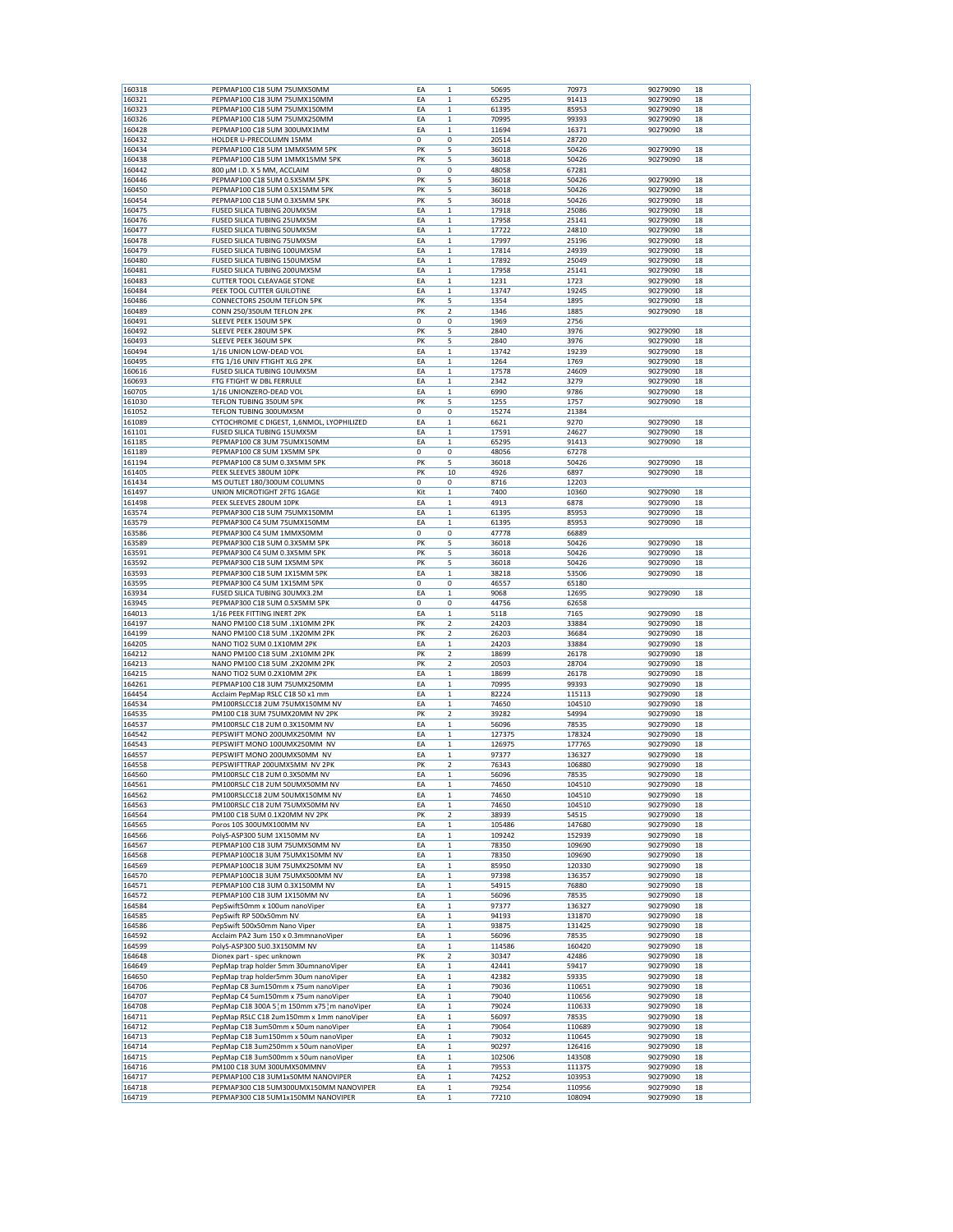| 160318           | PEPMAP100 C18 5UM 75UMX50MM                                                      | EA          | $\mathbf 1$                 | 50695          | 70973            | 90279090             | 18       |
|------------------|----------------------------------------------------------------------------------|-------------|-----------------------------|----------------|------------------|----------------------|----------|
| 160321           | PEPMAP100 C18 3UM 75UMX150MM                                                     | ΕA          | $\mathbf 1$                 | 65295          | 91413            | 90279090             | 18       |
| 160323           | PEPMAP100 C18 5UM 75UMX150MM                                                     | EA          | $\mathbf 1$                 | 61395          | 85953            | 90279090             | 18       |
| 160326           | PEPMAP100 C18 5UM 75UMX250MM                                                     | EA          | $\mathbf 1$                 | 70995          | 99393            | 90279090             | 18       |
| 160428           | PEPMAP100 C18 5UM 300UMX1MM                                                      | ΕA          | $\mathbf 1$                 | 11694          | 16371            | 90279090             | 18       |
| 160432           | HOLDER U-PRECOLUMN 15MM                                                          | $\mathbf 0$ | 0                           | 20514          | 28720            |                      |          |
| 160434           | PEPMAP100 C18 5UM 1MMX5MM 5PK<br>PEPMAP100 C18 5UM 1MMX15MM 5PK                  | PK          | 5<br>5                      | 36018          | 50426            | 90279090<br>90279090 | 18       |
| 160438<br>160442 | 800 µM I.D. X 5 MM, ACCLAIM                                                      | PK<br>0     | 0                           | 36018<br>48058 | 50426<br>67281   |                      | 18       |
| 160446           | PEPMAP100 C18 5UM 0.5X5MM 5PK                                                    | PK          | 5                           | 36018          | 50426            | 90279090             | 18       |
| 160450           | PEPMAP100 C18 5UM 0.5X15MM 5PK                                                   | PK          | 5                           | 36018          | 50426            | 90279090             | 18       |
| 160454           | PEPMAP100 C18 5UM 0.3X5MM 5PK                                                    | PK          | 5                           | 36018          | 50426            | 90279090             | 18       |
| 160475           | FUSED SILICA TUBING 20UMX5M                                                      | EA          | $\mathbf 1$                 | 17918          | 25086            | 90279090             | 18       |
| 160476           | <b>FUSED SILICA TUBING 25UMX5M</b>                                               | ΕA          | $\mathbf 1$                 | 17958          | 25141            | 90279090             | 18       |
| 160477           | FUSED SILICA TUBING 50UMX5M                                                      | ΕA          | $\mathbf 1$                 | 17722          | 24810            | 90279090             | 18       |
| 160478           | <b>FUSED SILICA TUBING 75UMX5M</b>                                               | EA          | $\mathbf 1$                 | 17997          | 25196            | 90279090             | 18       |
| 160479           | FUSED SILICA TUBING 100UMX5M                                                     | EA          | $\mathbf 1$                 | 17814          | 24939            | 90279090             | 18       |
| 160480           | FUSED SILICA TUBING 150UMX5M<br><b>FUSED SILICA TUBING 200UMX5M</b>              | EA          | $\mathbf 1$                 | 17892          | 25049            | 90279090             | 18       |
| 160481<br>160483 | <b>CUTTER TOOL CLEAVAGE STONE</b>                                                | EA<br>ΕA    | $\mathbf 1$<br>$\mathbf 1$  | 17958<br>1231  | 25141<br>1723    | 90279090<br>90279090 | 18<br>18 |
| 160484           | PEEK TOOL CUTTER GUILOTINE                                                       | EA          | $\mathbf 1$                 | 13747          | 19245            | 90279090             | 18       |
| 160486           | CONNECTORS 250UM TEFLON 5PK                                                      | PK          | 5                           | 1354           | 1895             | 90279090             | 18       |
| 160489           | CONN 250/350UM TEFLON 2PK                                                        | PK          | 2                           | 1346           | 1885             | 90279090             | 18       |
| 160491           | SLEEVE PEEK 150UM 5PK                                                            | 0           | 0                           | 1969           | 2756             |                      |          |
| 160492           | SLEEVE PEEK 280UM 5PK                                                            | PK          | 5                           | 2840           | 3976             | 90279090             | 18       |
| 160493           | SLEEVE PEEK 360UM 5PK                                                            | PK          | 5                           | 2840           | 3976             | 90279090             | 18       |
| 160494           | 1/16 UNION LOW-DEAD VOL                                                          | ΕA          | $\mathbf 1$                 | 13742          | 19239            | 90279090             | 18       |
| 160495           | FTG 1/16 UNIV FTIGHT XLG 2PK                                                     | ΕA          | $\mathbf 1$                 | 1264           | 1769             | 90279090             | 18       |
| 160616           | FUSED SILICA TUBING 10UMX5M                                                      | EA          | $\mathbf 1$                 | 17578          | 24609            | 90279090             | 18       |
| 160693<br>160705 | FTG FTIGHT W DBL FERRULE                                                         | ΕA<br>EA    | $\mathbf 1$<br>$\mathbf{1}$ | 2342<br>6990   | 3279<br>9786     | 90279090<br>90279090 | 18<br>18 |
| 161030           | 1/16 UNIONZERO-DEAD VOL<br>TEFLON TUBING 350UM 5PK                               | PK          | 5                           | 1255           | 1757             | 90279090             | 18       |
| 161052           | TEFLON TUBING 300UMX5M                                                           | 0           | 0                           | 15274          | 21384            |                      |          |
| 161089           | CYTOCHROME C DIGEST, 1,6NMOL, LYOPHILIZED                                        | EA          | $\mathbf 1$                 | 6621           | 9270             | 90279090             | 18       |
| 161101           | FUSED SILICA TUBING 15UMX5M                                                      | EA          | $\mathbf 1$                 | 17591          | 24627            | 90279090             | 18       |
| 161185           | PEPMAP100 C8 3UM 75UMX150MM                                                      | EA          | $\mathbf 1$                 | 65295          | 91413            | 90279090             | 18       |
| 161189           | PEPMAP100 C8 5UM 1X5MM 5PK                                                       | 0           | 0                           | 48056          | 67278            |                      |          |
| 161194           | PEPMAP100 C8 5UM 0.3X5MM 5PK                                                     | PK          | 5                           | 36018          | 50426            | 90279090             | 18       |
| 161405           | PEEK SLEEVES 380UM 10PK                                                          | PK          | 10                          | 4926           | 6897             | 90279090             | 18       |
| 161434           | MS OUTLET 180/300UM COLUMNS                                                      | 0           | 0                           | 8716           | 12203            |                      |          |
| 161497           | UNION MICROTIGHT 2FTG 1GAGE                                                      | Kit         | $\mathbf 1$                 | 7400           | 10360            | 90279090             | 18       |
| 161498           | PEEK SLEEVES 280UM 10PK                                                          | EA          | $\mathbf 1$                 | 4913           | 6878             | 90279090             | 18       |
| 163574<br>163579 | PEPMAP300 C18 5UM 75UMX150MM<br>PEPMAP300 C4 5UM 75UMX150MM                      | EA<br>EA    | $\mathbf 1$<br>$\mathbf 1$  | 61395<br>61395 | 85953<br>85953   | 90279090<br>90279090 | 18<br>18 |
| 163586           | PEPMAP300 C4 5UM 1MMX50MM                                                        | $\Omega$    | 0                           | 47778          | 66889            |                      |          |
| 163589           | PEPMAP300 C18 5UM 0.3X5MM 5PK                                                    | PK          | 5                           | 36018          | 50426            | 90279090             | 18       |
| 163591           | PEPMAP300 C4 5UM 0.3X5MM 5PK                                                     | PK          | 5                           | 36018          | 50426            | 90279090             | 18       |
| 163592           | PEPMAP300 C18 5UM 1X5MM 5PK                                                      | PK          | 5                           | 36018          | 50426            | 90279090             | 18       |
| 163593           | PEPMAP300 C18 5UM 1X15MM 5PK                                                     | EA          | $\mathbf 1$                 | 38218          | 53506            | 90279090             | 18       |
| 163595           | PEPMAP300 C4 5UM 1X15MM 5PK                                                      | 0           | 0                           | 46557          | 65180            |                      |          |
| 163934           | FUSED SILICA TUBING 30UMX3.2M                                                    | ΕA          | 1                           | 9068           | 12695            | 90279090             | 18       |
| 163945           | PEPMAP300 C18 5UM 0.5X5MM 5PK                                                    | 0           | 0                           | 44756          | 62658            |                      |          |
| 164013           | 1/16 PEEK FITTING INERT 2PK                                                      | ΕA          | $\mathbf 1$                 | 5118           | 7165             | 90279090             | 18       |
| 164197           | NANO PM100 C18 5UM .1X10MM 2PK                                                   | PK<br>PK    | 2                           | 24203          | 33884            | 90279090             | 18       |
| 164199<br>164205 | NANO PM100 C18 5UM .1X20MM 2PK<br>NANO TIO2 5UM 0.1X10MM 2PK                     | EA          | 2<br>$\mathbf{1}$           | 26203<br>24203 | 36684<br>33884   | 90279090<br>90279090 | 18<br>18 |
| 164212           | NANO PM100 C18 5UM .2X10MM 2PK                                                   | PK          | 2                           | 18699          | 26178            | 90279090             | 18       |
| 164213           | NANO PM100 C18 5UM .2X20MM 2PK                                                   | PK          | 2                           | 20503          | 28704            | 90279090             | 18       |
| 164215           | NANO TIO2 5UM 0.2X10MM 2PK                                                       | EA          | $\mathbf 1$                 | 18699          | 26178            | 90279090             | 18       |
| 164261           | PEPMAP100 C18 3UM 75UMX250MM                                                     | EA          | $\mathbf 1$                 | 70995          | 99393            | 90279090             | 18       |
| 164454           | Acclaim PepMap RSLC C18 50 x1 mm                                                 | EA          | $\mathbf 1$                 | 82224          | 115113           | 90279090             | 18       |
| 164534           | PM100RSLCC18 2UM 75UMX150MM NV                                                   | EA          | $\mathbf 1$                 | 74650          | 104510           | 90279090             | 18       |
| 164535           | PM100 C18 3UM 75UMX20MM NV 2PK                                                   | PK          | $\overline{\mathbf{2}}$     | 39282          | 54994            | 90279090             | 18       |
| 164537           | PM100RSLC C18 2UM 0.3X150MM NV                                                   | ΕA          | $\mathbf 1$                 | 56096          | 78535            | 90279090             | 18       |
| 164542           | PEPSWIFT MONO 200UMX250MM NV                                                     | ΕA          | $\mathbf 1$                 | 127375         | 178324           | 90279090             | 18       |
| 164543           | PEPSWIFT MONO 100UMX250MM NV                                                     | EA          | $\mathbf{1}$                | 126975         | 177765           | 90279090             | 18       |
| 164557<br>164558 | PEPSWIFT MONO 200UMX50MM NV<br>PEPSWIFTTRAP 200UMX5MM NV 2PK                     | EA<br>PK    | 1                           | 97377<br>76343 | 136327<br>106880 | 90279090<br>90279090 | 18<br>18 |
| 164560           | PM100RSLC C18 2UM 0.3X50MM NV                                                    | EA          | 2<br>$\mathbf 1$            | 56096          | 78535            | 90279090             | 18       |
| 164561           | PM100RSLC C18 2UM 50UMX50MM NV                                                   | EA          | $\mathbf 1$                 | 74650          | 104510           | 90279090             | 18       |
| 164562           | PM100RSLCC18 2UM 50UMX150MM NV                                                   | EA          | $\mathbf 1$                 | 74650          | 104510           | 90279090             | 18       |
| 164563           | PM100RSLC C18 2UM 75UMX50MM NV                                                   | EA          | $\mathbf 1$                 | 74650          | 104510           | 90279090             | 18       |
| 164564           | PM100 C18 5UM 0.1X20MM NV 2PK                                                    | PK          | 2                           | 38939          | 54515            | 90279090             | 18       |
| 164565           | Poros 10S 300UMX100MM NV                                                         | EA          | $\mathbf 1$                 | 105486         | 147680           | 90279090             | 18       |
| 164566           | PolyS-ASP300 5UM 1X150MM NV                                                      | EA          | $\mathbf 1$                 | 109242         | 152939           | 90279090             | 18       |
| 164567           | PEPMAP100 C18 3UM 75UMX50MM NV                                                   | EA          | $\mathbf 1$                 | 78350          | 109690           | 90279090             | 18       |
| 164568           | PEPMAP100C18 3UM 75UMX150MM NV                                                   | ΕA          | $\mathbf 1$                 | 78350          | 109690           | 90279090             | 18       |
| 164569           | PEPMAP100C18 3UM 75UMX250MM NV                                                   | EA          | $\mathbf 1$                 | 85950          | 120330           | 90279090             | 18       |
| 164570<br>164571 | PEPMAP100C18 3UM 75UMX500MM NV<br>PEPMAP100 C18 3UM 0.3X150MM NV                 | EA<br>ΕA    | $\mathbf 1$<br>$\mathbf 1$  | 97398<br>54915 | 136357<br>76880  | 90279090<br>90279090 | 18<br>18 |
| 164572           | PEPMAP100 C18 3UM 1X150MM NV                                                     | ΕA          | $\mathbf 1$                 | 56096          | 78535            | 90279090             | 18       |
| 164584           | PepSwift50mm x 100um nanoViper                                                   | EA          | $\mathbf 1$                 | 97377          | 136327           | 90279090             | 18       |
| 164585           | PepSwift RP 500x50mm NV                                                          | ΕA          | $\mathbf 1$                 | 94193          | 131870           | 90279090             | 18       |
| 164586           | PepSwift 500x50mm Nano Viper                                                     | ΕA          | $\mathbf 1$                 | 93875          | 131425           | 90279090             | 18       |
| 164592           | Acclaim PA2 3um 150 x 0.3mmnanoViper                                             | EA          | $\mathbf 1$                 | 56096          | 78535            | 90279090             | 18       |
| 164599           | PolyS-ASP300 5U0.3X150MM NV                                                      | ΕA          | 1                           | 114586         | 160420           | 90279090             | 18       |
| 164648           | Dionex part - spec unknown                                                       | PK          | 2                           | 30347          | 42486            | 90279090             | 18       |
| 164649           | PepMap trap holder 5mm 30umnanoViper                                             | EA          | $\mathbf 1$                 | 42441          | 59417            | 90279090             | 18       |
| 164650           | PepMap trap holder5mm 30um nanoViper                                             | EA          | $\mathbf 1$                 | 42382          | 59335            | 90279090             | 18       |
| 164706           | PepMap C8 3um150mm x 75um nanoViper                                              | ΕA          | $\mathbf 1$                 | 79036          | 110651           | 90279090             | 18       |
| 164707<br>164708 | PepMap C4 5um150mm x 75um nanoViper<br>PepMap C18 300A 5 m 150mm x75 m nanoViper | EA<br>ΕA    | $\mathbf 1$<br>$\mathbf 1$  | 79040<br>79024 | 110656<br>110633 | 90279090<br>90279090 | 18<br>18 |
| 164711           | PepMap RSLC C18 2um150mm x 1mm nanoViper                                         | ΕA          | $\mathbf 1$                 | 56097          | 78535            | 90279090             | 18       |
| 164712           | PepMap C18 3um50mm x 50um nanoViper                                              | EA          | $\mathbf 1$                 | 79064          | 110689           | 90279090             | 18       |
| 164713           | PepMap C18 3um150mm x 50um nanoViper                                             | ΕA          | $\mathbf 1$                 | 79032          | 110645           | 90279090             | 18       |
| 164714           | PepMap C18 3um250mm x 50um nanoViper                                             | ΕA          | $\mathbf 1$                 | 90297          | 126416           | 90279090             | 18       |
| 164715           | PepMap C18 3um500mm x 50um nanoViper                                             | EA          | $\mathbf 1$                 | 102506         | 143508           | 90279090             | 18       |
| 164716           | PM100 C18 3UM 300UMX50MMNV                                                       | EA          | 1                           | 79553          | 111375           | 90279090             | 18       |
| 164717           | PEPMAP100 C18 3UM1x50MM NANOVIPER                                                | EA          | $\mathbf 1$                 | 74252          | 103953           | 90279090             | 18       |
| 164718           | PEPMAP300 C18 5UM300UMX150MM NANOVIPER                                           | EA          | $\mathbf 1$                 | 79254          | 110956           | 90279090             | 18       |
| 164719           | PEPMAP300 C18 5UM1x150MM NANOVIPER                                               | EA          | $\mathbf 1$                 | 77210          | 108094           | 90279090             | 18       |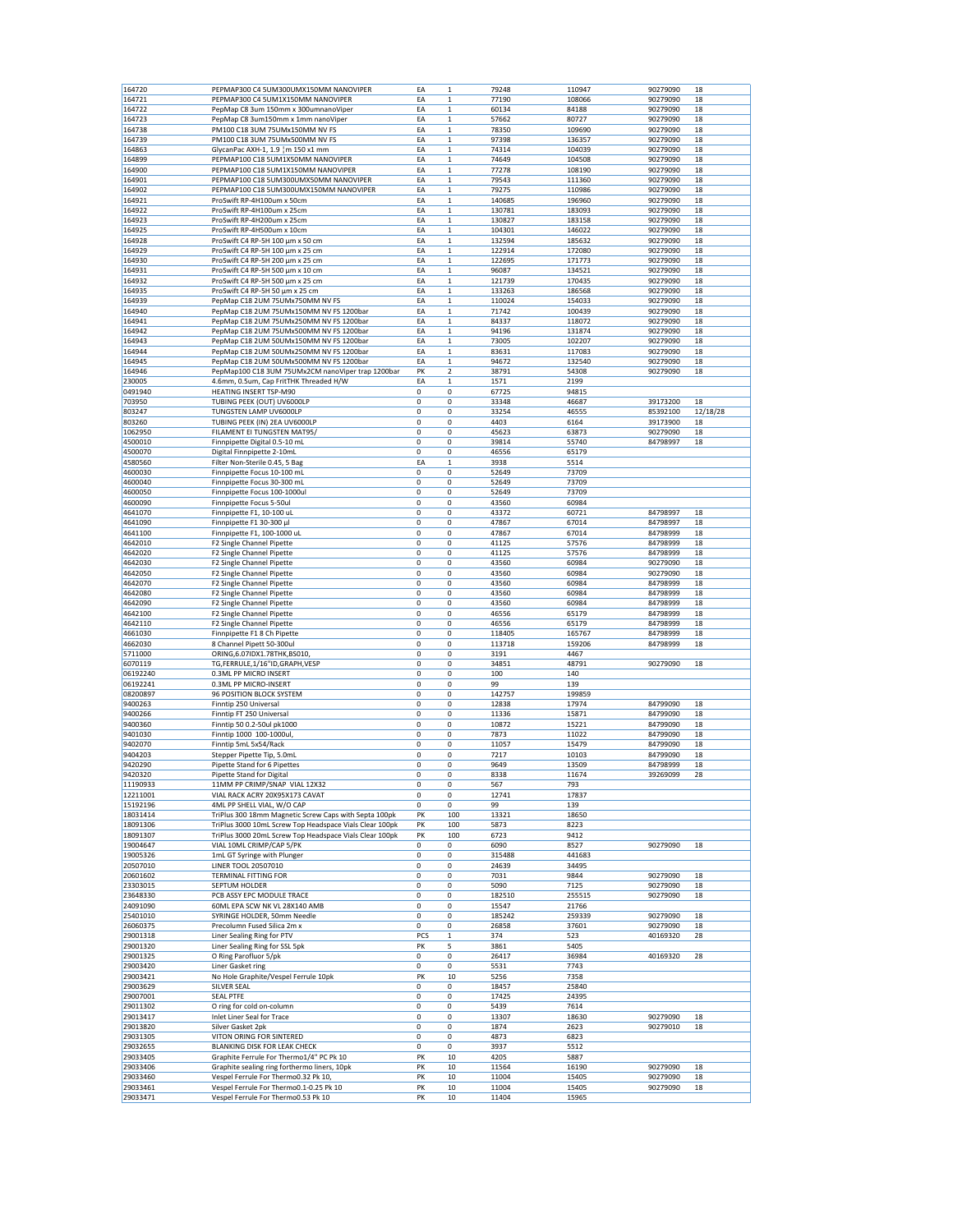| 164720               | PEPMAP300 C4 5UM300UMX150MM NANOVIPER                                          | EA          | $\mathbf 1$             | 79248          | 110947         | 90279090 | 18       |
|----------------------|--------------------------------------------------------------------------------|-------------|-------------------------|----------------|----------------|----------|----------|
| 164721               | PEPMAP300 C4 5UM1X150MM NANOVIPER                                              | EA          | $\mathbf{1}$            | 77190          | 108066         | 90279090 | 18       |
| 164722               | PepMap C8 3um 150mm x 300umnanoViper                                           | EA          | $\mathbf 1$             | 60134          | 84188          | 90279090 | 18       |
|                      |                                                                                |             |                         |                |                |          |          |
| 164723               | PepMap C8 3um150mm x 1mm nanoViper                                             | EA          | $\mathbf 1$             | 57662          | 80727          | 90279090 | 18       |
| 164738               | PM100 C18 3UM 75UMx150MM NV FS                                                 | EA          | 1                       | 78350          | 109690         | 90279090 | 18       |
| 164739               | PM100 C18 3UM 75UMx500MM NV FS                                                 | EA          | $\mathbf 1$             | 97398          | 136357         | 90279090 | 18       |
| 164863               | GlycanPac AXH-1, 1.9 m 150 x1 mm                                               | EA          | $\mathbf 1$             | 74314          | 104039         | 90279090 | 18       |
| 164899               | PEPMAP100 C18 5UM1X50MM NANOVIPER                                              | EA          | $\mathbf{1}$            | 74649          | 104508         | 90279090 | 18       |
| 164900               | PEPMAP100 C18 5UM1X150MM NANOVIPER                                             | EA          | 1                       | 77278          | 108190         | 90279090 | 18       |
| 164901               | PEPMAP100 C18 5UM300UMX50MM NANOVIPER                                          | EA          | $\mathbf{1}$            | 79543          | 111360         | 90279090 | 18       |
| 164902               | PEPMAP100 C18 5UM300UMX150MM NANOVIPER                                         | EA          | $\mathbf{1}$            | 79275          | 110986         | 90279090 | 18       |
|                      |                                                                                |             |                         |                |                |          |          |
| 164921               | ProSwift RP-4H100um x 50cm                                                     | EA          | 1                       | 140685         | 196960         | 90279090 | 18       |
| 164922               | ProSwift RP-4H100um x 25cm                                                     | EA          | 1                       | 130781         | 183093         | 90279090 | 18       |
| 164923               | ProSwift RP-4H200um x 25cm                                                     | EA          | $\mathbf 1$             | 130827         | 183158         | 90279090 | 18       |
| 164925               | ProSwift RP-4H500um x 10cm                                                     | EA          | $\mathbf{1}$            | 104301         | 146022         | 90279090 | 18       |
| 164928               | ProSwift C4 RP-5H 100 µm x 50 cm                                               | EA          | $\mathbf{1}$            | 132594         | 185632         | 90279090 | 18       |
| 164929               | ProSwift C4 RP-5H 100 µm x 25 cm                                               | EA          | $\mathbf 1$             | 122914         | 172080         | 90279090 | 18       |
|                      | ProSwift C4 RP-5H 200 µm x 25 cm                                               |             | $\mathbf 1$             |                |                |          | 18       |
| 164930               |                                                                                | EA          |                         | 122695         | 171773         | 90279090 |          |
| 164931               | ProSwift C4 RP-5H 500 µm x 10 cm                                               | EA          | $\mathbf 1$             | 96087          | 134521         | 90279090 | 18       |
| 164932               | ProSwift C4 RP-5H 500 µm x 25 cm                                               | EA          | $\mathbf 1$             | 121739         | 170435         | 90279090 | 18       |
| 164935               | ProSwift C4 RP-5H 50 µm x 25 cm                                                | EA          | $\mathbf{1}$            | 133263         | 186568         | 90279090 | 18       |
| 164939               | PepMap C18 2UM 75UMx750MM NV FS                                                | EA          | $\mathbf 1$             | 110024         | 154033         | 90279090 | 18       |
| 164940               | PepMap C18 2UM 75UMx150MM NV FS 1200bar                                        | EA          | $\mathbf 1$             | 71742          | 100439         | 90279090 | 18       |
| 164941               | PepMap C18 2UM 75UMx250MM NV FS 1200bar                                        | EA          | 1                       | 84337          | 118072         | 90279090 | 18       |
| 164942               | PepMap C18 2UM 75UMx500MM NV FS 1200bar                                        | EA          | $\mathbf 1$             | 94196          | 131874         | 90279090 | 18       |
|                      |                                                                                |             |                         |                |                |          |          |
| 164943               | PepMap C18 2UM 50UMx150MM NV FS 1200bar                                        | EA          | $\mathbf 1$             | 73005          | 102207         | 90279090 | 18       |
| 164944               | PepMap C18 2UM 50UMx250MM NV FS 1200bar                                        | EA          | $\mathbf{1}$            | 83631          | 117083         | 90279090 | 18       |
| 164945               | PepMap C18 2UM 50UMx500MM NV FS 1200bar                                        | EA          | $\mathbf 1$             | 94672          | 132540         | 90279090 | 18       |
| 164946               | PepMap100 C18 3UM 75UMx2CM nanoViper trap 1200bar                              | PK          | $\overline{\mathbf{2}}$ | 38791          | 54308          | 90279090 | 18       |
| 230005               | 4.6mm, 0.5um, Cap FritTHK Threaded H/W                                         | EA          | 1                       | 1571           | 2199           |          |          |
|                      |                                                                                |             |                         |                |                |          |          |
| 0491940              | <b>HEATING INSERT TSP-M90</b>                                                  | 0           | 0                       | 67725          | 94815          |          |          |
| 703950               | TUBING PEEK (OUT) UV6000LP                                                     | $\mathbf 0$ | 0                       | 33348          | 46687          | 39173200 | 18       |
| 803247               | TUNGSTEN LAMP UV6000LP                                                         | 0           | 0                       | 33254          | 46555          | 85392100 | 12/18/28 |
| 803260               | TUBING PEEK (IN) 2EA UV6000LP                                                  | 0           | 0                       | 4403           | 6164           | 39173900 | 18       |
| 1062950              | FILAMENT EI TUNGSTEN MAT95/                                                    | 0           | 0                       | 45623          | 63873          | 90279090 | 18       |
|                      | Finnpipette Digital 0.5-10 mL                                                  |             |                         |                |                |          |          |
| 4500010              |                                                                                | 0           | 0                       | 39814          | 55740          | 84798997 | 18       |
| 4500070              | Digital Finnpipette 2-10mL                                                     | 0           | 0                       | 46556          | 65179          |          |          |
| 4580560              | Filter Non-Sterile 0.45, 5 Bag                                                 | EA          | 1                       | 3938           | 5514           |          |          |
| 4600030              | Finnpipette Focus 10-100 mL                                                    | 0           | 0                       | 52649          | 73709          |          |          |
| 4600040              | Finnpipette Focus 30-300 mL                                                    | 0           | 0                       | 52649          | 73709          |          |          |
| 4600050              | Finnpipette Focus 100-1000ul                                                   | 0           | 0                       | 52649          | 73709          |          |          |
|                      |                                                                                |             |                         |                |                |          |          |
| 4600090              | Finnpipette Focus 5-50ul                                                       | $\mathbf 0$ | 0                       | 43560          | 60984          |          |          |
| 4641070              | Finnpipette F1, 10-100 uL                                                      | 0           | 0                       | 43372          | 60721          | 84798997 | 18       |
| 4641090              | Finnpipette F1 30-300 µl                                                       | $\mathbf 0$ | 0                       | 47867          | 67014          | 84798997 | 18       |
| 4641100              | Finnpipette F1, 100-1000 uL                                                    | 0           | 0                       | 47867          | 67014          | 84798999 | 18       |
| 4642010              | F2 Single Channel Pipette                                                      | 0           | 0                       | 41125          | 57576          | 84798999 | 18       |
|                      |                                                                                |             |                         |                |                |          |          |
| 4642020              | F2 Single Channel Pipette                                                      | 0           | 0                       | 41125          | 57576          | 84798999 | 18       |
| 4642030              | F2 Single Channel Pipette                                                      | $\mathbf 0$ | 0                       | 43560          | 60984          | 90279090 | 18       |
| 4642050              | F2 Single Channel Pipette                                                      | $\mathbf 0$ | 0                       | 43560          | 60984          | 90279090 | 18       |
| 4642070              | F2 Single Channel Pipette                                                      | 0           | 0                       | 43560          | 60984          | 84798999 | 18       |
| 4642080              | F2 Single Channel Pipette                                                      | 0           | 0                       | 43560          | 60984          | 84798999 | 18       |
| 4642090              | F2 Single Channel Pipette                                                      | 0           | 0                       | 43560          | 60984          | 84798999 | 18       |
|                      |                                                                                |             |                         |                |                |          |          |
| 4642100              | F2 Single Channel Pipette                                                      | 0           | 0                       | 46556          | 65179          | 84798999 | 18       |
| 4642110              | F2 Single Channel Pipette                                                      | 0           | 0                       | 46556          | 65179          | 84798999 | 18       |
| 4661030              | Finnpipette F1 8 Ch Pipette                                                    | 0           | 0                       | 118405         | 165767         | 84798999 | 18       |
| 4662030              | 8 Channel Pipett 50-300ul                                                      | 0           | 0                       | 113718         | 159206         | 84798999 | 18       |
| 5711000              | ORING, 6.07IDX1.78THK, BS010,                                                  | 0           | 0                       | 3191           | 4467           |          |          |
| 6070119              | TG,FERRULE,1/16"ID,GRAPH,VESP                                                  | 0           | 0                       | 34851          | 48791          | 90279090 | 18       |
|                      |                                                                                |             |                         |                |                |          |          |
| 06192240             | 0.3ML PP MICRO INSERT                                                          | 0           | 0                       | 100            | 140            |          |          |
| 06192241             | 0.3ML PP MICRO-INSERT                                                          | 0           | 0                       | 99             | 139            |          |          |
| 08200897             | 96 POSITION BLOCK SYSTEM                                                       | 0           | 0                       | 142757         | 199859         |          |          |
| 9400263              | Finntip 250 Universal                                                          | 0           | 0                       | 12838          | 17974          | 84799090 | 18       |
| 9400266              | Finntip FT 250 Universal                                                       | $\mathbf 0$ | 0                       | 11336          | 15871          | 84799090 | 18       |
| 9400360              | Finntip 50 0.2-50ul pk1000                                                     | 0           | 0                       | 10872          | 15221          | 84799090 | 18       |
|                      |                                                                                |             |                         |                |                |          |          |
| 9401030              | Finntip 1000 100-1000ul,                                                       | 0           | 0                       | 7873           | 11022          | 84799090 | 18       |
| 9402070              | Finntip 5mL 5x54/Rack                                                          | 0           | 0                       | 11057          | 15479          | 84799090 | 18       |
| 9404203              | Stepper Pipette Tip, 5.0mL                                                     | $\mathbf 0$ | 0                       | 7217           | 10103          | 84799090 | 18       |
| 9420290              | Pipette Stand for 6 Pipettes                                                   | 0           | 0                       | 9649           | 13509          | 84798999 | 18       |
| 9420320              | <b>Pipette Stand for Digital</b>                                               | $\mathbf 0$ | 0                       | 8338           | 11674          | 39269099 | 28       |
| 11190933             | 11MM PP CRIMP/SNAP VIAL 12X32                                                  | 0           | 0                       | 567            | 793            |          |          |
| 12211001             | VIAL RACK ACRY 20X95X173 CAVAT                                                 | 0           | 0                       |                |                |          |          |
|                      |                                                                                |             |                         | 12741          | 17837          |          |          |
| 15192196             | 4ML PP SHELL VIAL, W/O CAP                                                     | 0           | 0                       | 99             | 139            |          |          |
| 18031414             | TriPlus 300 18mm Magnetic Screw Caps with Septa 100pk                          | PK          | 100                     | 13321          | 18650          |          |          |
| 18091306             | TriPlus 3000 10mL Screw Top Headspace Vials Clear 100pk                        | PK          | 100                     | 5873           | 8223           |          |          |
| 18091307             | TriPlus 3000 20mL Screw Top Headspace Vials Clear 100pk                        | PK          | 100                     | 6723           | 9412           |          |          |
| 19004647             | VIAL 10ML CRIMP/CAP 5/PK                                                       | 0           | 0                       | 6090           | 8527           | 90279090 | 18       |
| 19005326             | 1mL GT Syringe with Plunger                                                    | 0           | 0                       | 315488         | 441683         |          |          |
|                      | LINER TOOL 20507010                                                            |             |                         |                |                |          |          |
| 20507010             |                                                                                | 0           | 0                       | 24639          | 34495          |          |          |
| 20601602             | TERMINAL FITTING FOR                                                           | 0           | 0                       | 7031           | 9844           | 90279090 | 18       |
| 23303015             | SEPTUM HOLDER                                                                  | 0           | 0                       | 5090           | 7125           | 90279090 | 18       |
| 23648330             | PCB ASSY EPC MODULE TRACE                                                      | 0           | 0                       | 182510         | 255515         | 90279090 | 18       |
| 24091090             | 60ML EPA SCW NK VL 28X140 AMB                                                  | 0           | 0                       | 15547          | 21766          |          |          |
| 25401010             | SYRINGE HOLDER, 50mm Needle                                                    | 0           | 0                       | 185242         | 259339         | 90279090 | 18       |
| 26060375             | Precolumn Fused Silica 2m x                                                    | 0           | 0                       | 26858          | 37601          | 90279090 | 18       |
|                      |                                                                                |             |                         |                |                |          |          |
| 29001318             | Liner Sealing Ring for PTV                                                     | PCS         | $\mathbf 1$             | 374            | 523            | 40169320 | 28       |
| 29001320             | Liner Sealing Ring for SSL 5pk                                                 | PK          | 5                       | 3861           | 5405           |          |          |
| 29001325             | O Ring Parofluor 5/pk                                                          | 0           | 0                       | 26417          | 36984          | 40169320 | 28       |
| 29003420             | Liner Gasket ring                                                              | 0           | 0                       | 5531           | 7743           |          |          |
| 29003421             | No Hole Graphite/Vespel Ferrule 10pk                                           | PK          | 10                      | 5256           | 7358           |          |          |
|                      |                                                                                |             |                         |                |                |          |          |
| 29003629             | SILVER SEAL                                                                    | 0           | 0                       | 18457          | 25840          |          |          |
| 29007001             | <b>SEAL PTFE</b>                                                               | 0           | 0                       | 17425          | 24395          |          |          |
| 29011302             | O ring for cold on-column                                                      | 0           | 0                       | 5439           | 7614           |          |          |
| 29013417             | Inlet Liner Seal for Trace                                                     | 0           | 0                       | 13307          | 18630          | 90279090 | 18       |
| 29013820             | Silver Gasket 2pk                                                              | 0           | 0                       | 1874           | 2623           | 90279010 | 18       |
|                      |                                                                                |             |                         |                |                |          |          |
| 29031305             | VITON ORING FOR SINTERED                                                       | 0           | 0                       | 4873           | 6823           |          |          |
| 29032655             |                                                                                | 0           | 0                       | 3937           | 5512           |          |          |
|                      | BLANKING DISK FOR LEAK CHECK                                                   |             |                         |                |                |          |          |
| 29033405             | Graphite Ferrule For Thermo1/4" PC Pk 10                                       | PK          | 10                      | 4205           | 5887           |          |          |
|                      |                                                                                |             | 10                      |                |                | 90279090 | 18       |
| 29033406             | Graphite sealing ring forthermo liners, 10pk                                   | PK          |                         | 11564          | 16190          |          |          |
| 29033460             | Vespel Ferrule For Thermo0.32 Pk 10,                                           | PK          | 10                      | 11004          | 15405          | 90279090 | 18       |
| 29033461<br>29033471 | Vespel Ferrule For Thermo0.1-0.25 Pk 10<br>Vespel Ferrule For Thermo0.53 Pk 10 | PK<br>PK    | 10<br>10                | 11004<br>11404 | 15405<br>15965 | 90279090 | 18       |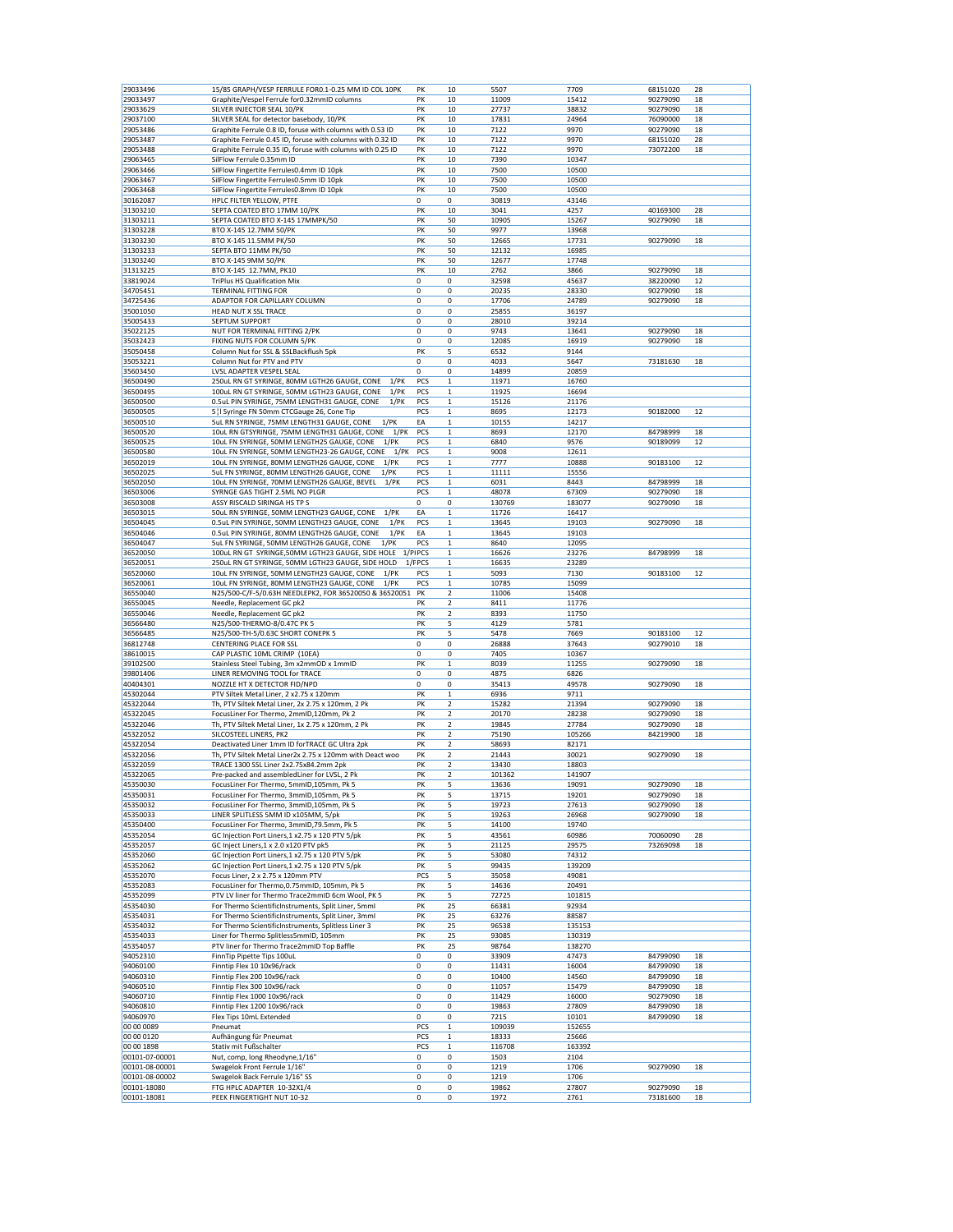| 29033496                   | 15/85 GRAPH/VESP FERRULE FOR0.1-0.25 MM ID COL 10PK        | PK          | 10           | 5507          | 7709          | 68151020             | 28       |
|----------------------------|------------------------------------------------------------|-------------|--------------|---------------|---------------|----------------------|----------|
| 29033497                   | Graphite/Vespel Ferrule for0.32mmID columns                | PK          | 10           | 11009         | 15412         | 90279090             | 18       |
| 29033629                   | SILVER INJECTOR SEAL 10/PK                                 | PK          | 10           | 27737         | 38832         | 90279090             | 18       |
|                            |                                                            | PK          |              |               | 24964         |                      |          |
| 29037100                   | SILVER SEAL for detector basebody, 10/PK                   |             | 10           | 17831         |               | 76090000             | 18       |
| 29053486                   | Graphite Ferrule 0.8 ID, foruse with columns with 0.53 ID  | PK          | 10           | 7122          | 9970          | 90279090             | 18       |
| 29053487                   | Graphite Ferrule 0.45 ID, foruse with columns with 0.32 ID | PK          | 10           | 7122          | 9970          | 68151020             | 28       |
| 29053488                   | Graphite Ferrule 0.35 ID, foruse with columns with 0.25 ID | PK          | 10           | 7122          | 9970          | 73072200             | 18       |
| 29063465                   | SilFlow Ferrule 0.35mm ID                                  | PK          | 10           | 7390          | 10347         |                      |          |
| 29063466                   | SilFlow Fingertite Ferrules0.4mm ID 10pk                   | PK          | 10           | 7500          | 10500         |                      |          |
| 29063467                   | SilFlow Fingertite Ferrules0.5mm ID 10pk                   | PK          | 10           | 7500          | 10500         |                      |          |
| 29063468                   | SilFlow Fingertite Ferrules0.8mm ID 10pk                   | PK          | 10           | 7500          | 10500         |                      |          |
|                            |                                                            | 0           |              |               |               |                      |          |
| 30162087                   | HPLC FILTER YELLOW, PTFE                                   |             | 0            | 30819         | 43146         |                      |          |
| 31303210                   | SEPTA COATED BTO 17MM 10/PK                                | PK          | 10           | 3041          | 4257          | 40169300             | 28       |
| 31303211                   | SEPTA COATED BTO X-145 17MMPK/50                           | PK          | 50           | 10905         | 15267         | 90279090             | 18       |
| 31303228                   | BTO X-145 12.7MM 50/PK                                     | PK          | 50           | 9977          | 13968         |                      |          |
| 31303230                   | BTO X-145 11.5MM PK/50                                     | PK          | 50           | 12665         | 17731         | 90279090             | 18       |
| 31303233                   | SEPTA BTO 11MM PK/50                                       | PK          | 50           | 12132         | 16985         |                      |          |
| 31303240                   | BTO X-145 9MM 50/PK                                        | PK          | 50           | 12677         | 17748         |                      |          |
|                            |                                                            |             |              |               |               | 90279090             |          |
| 31313225                   | BTO X-145 12.7MM, PK10                                     | PK          | 10           | 2762          | 3866          |                      | 18       |
| 33819024                   | TriPlus HS Qualification Mix                               | 0           | 0            | 32598         | 45637         | 38220090             | 12       |
| 34705451                   | TERMINAL FITTING FOR                                       | 0           | 0            | 20235         | 28330         | 90279090             | 18       |
| 34725436                   | ADAPTOR FOR CAPILLARY COLUMN                               | 0           | 0            | 17706         | 24789         | 90279090             | 18       |
| 35001050                   | HEAD NUT X SSL TRACE                                       | 0           | 0            | 25855         | 36197         |                      |          |
| 35005433                   | SEPTUM SUPPORT                                             | $\mathbf 0$ | 0            | 28010         | 39214         |                      |          |
| 35022125                   | NUT FOR TERMINAL FITTING 2/PK                              | $\mathbf 0$ | 0            | 9743          | 13641         | 90279090             | 18       |
|                            |                                                            |             |              |               |               |                      |          |
| 35032423                   | FIXING NUTS FOR COLUMN 5/PK                                | 0           | 0            | 12085         | 16919         | 90279090             | 18       |
| 35050458                   | Column Nut for SSL & SSLBackflush 5pk                      | PK          | 5            | 6532          | 9144          |                      |          |
| 35053221                   | Column Nut for PTV and PTV                                 | 0           | 0            | 4033          | 5647          | 73181630             | 18       |
| 35603450                   | LVSL ADAPTER VESPEL SEAL                                   | 0           | 0            | 14899         | 20859         |                      |          |
| 36500490                   | 250uL RN GT SYRINGE, 80MM LGTH26 GAUGE, CONE<br>$1$ /PK    | PCS         | 1            | 11971         | 16760         |                      |          |
| 36500495                   | 100uL RN GT SYRINGE, 50MM LGTH23 GAUGE, CONE<br>1/PK       | PCS         | $\mathbf{1}$ | 11925         | 16694         |                      |          |
| 36500500                   | 0.5uL PIN SYRINGE, 75MM LENGTH31 GAUGE, CONE<br>$1$ /PK    | PCS         | $\mathbf 1$  | 15126         | 21176         |                      |          |
|                            |                                                            |             |              |               |               |                      |          |
| 36500505                   | 5   I Syringe FN 50mm CTCGauge 26, Cone Tip                | PCS         | 1            | 8695          | 12173         | 90182000             | 12       |
| 36500510                   | 5uL RN SYRINGE, 75MM LENGTH31 GAUGE, CONE<br>$1$ /PK       | EA          | 1            | 10155         | 14217         |                      |          |
| 36500520                   | 10uL RN GTSYRINGE, 75MM LENGTH31 GAUGE, CONE<br>$1$ /PK    | PCS         | $\mathbf{1}$ | 8693          | 12170         | 84798999             | 18       |
| 36500525                   | 10uL FN SYRINGE, 50MM LENGTH25 GAUGE, CONE<br>$1$ /PK      | PCS         | 1            | 6840          | 9576          | 90189099             | 12       |
| 36500580                   | 10uL FN SYRINGE, 50MM LENGTH23-26 GAUGE, CONE<br>$1$ /PK   | PCS         | 1            | 9008          | 12611         |                      |          |
| 36502019                   | 10uL FN SYRINGE, 80MM LENGTH26 GAUGE, CONE<br>$1$ / $PK$   | PCS         | $\mathbf 1$  | 7777          | 10888         | 90183100             | 12       |
|                            | 1/PK                                                       | PCS         |              |               |               |                      |          |
| 36502025                   | 5uL FN SYRINGE, 80MM LENGTH26 GAUGE, CONE                  |             | 1            | 11111         | 15556         |                      |          |
| 36502050                   | 10uL FN SYRINGE, 70MM LENGTH26 GAUGE, BEVEL<br>$1$ /PK     | PCS         | 1            | 6031          | 8443          | 84798999             | 18       |
| 36503006                   | SYRNGE GAS TIGHT 2.5ML NO PLGR                             | PCS         | $\mathbf 1$  | 48078         | 67309         | 90279090             | 18       |
| 36503008                   | ASSY RISCALD SIRINGA HS TP S                               | 0           | 0            | 130769        | 183077        | 90279090             | 18       |
| 36503015                   | 50uL RN SYRINGE, 50MM LENGTH23 GAUGE, CONE<br>1/PK         | EA          | 1            | 11726         | 16417         |                      |          |
| 36504045                   | 0.5uL PIN SYRINGE, 50MM LENGTH23 GAUGE, CONE<br>$1$ /PK    | PCS         | $\mathbf 1$  | 13645         | 19103         | 90279090             | 18       |
| 36504046                   | $1$ /PK                                                    | EA          | $\mathbf{1}$ |               |               |                      |          |
|                            | 0.5uL PIN SYRINGE, 80MM LENGTH26 GAUGE, CONE               |             |              | 13645         | 19103         |                      |          |
| 36504047                   | 5uL FN SYRINGE, 50MM LENGTH26 GAUGE, CONE<br>1/PK          | PCS         | 1            | 8640          | 12095         |                      |          |
| 36520050                   | 100uL RN GT SYRINGE,50MM LGTH23 GAUGE, SIDE HOLE           | 1/PIPCS     | $\mathbf 1$  | 16626         | 23276         | 84798999             | 18       |
| 36520051                   | 250uL RN GT SYRINGE, 50MM LGTH23 GAUGE, SIDE HOLD          | 1/FPCS      | 1            | 16635         | 23289         |                      |          |
| 36520060                   | 10uL FN SYRINGE, 50MM LENGTH23 GAUGE, CONE<br>$1$ /PK      | PCS         | 1            | 5093          | 7130          | 90183100             | 12       |
| 36520061                   | 10uL FN SYRINGE, 80MM LENGTH23 GAUGE, CONE<br>$1$ / $PK$   | PCS         | $\mathbf 1$  | 10785         | 15099         |                      |          |
|                            |                                                            |             |              |               |               |                      |          |
| 36550040                   | N25/500-C/F-5/0.63H NEEDLEPK2, FOR 36520050 & 36520051     | PK          | 2            | 11006         | 15408         |                      |          |
| 36550045                   | Needle, Replacement GC pk2                                 | PΚ          | 2            | 8411          | 11776         |                      |          |
| 36550046                   | Needle, Replacement GC pk2                                 | PK          | 2            | 8393          | 11750         |                      |          |
| 36566480                   | N25/500-THERMO-8/0.47C PK 5                                | PK          | 5            | 4129          | 5781          |                      |          |
| 36566485                   | N25/500-TH-5/0.63C SHORT CONEPK 5                          | PK          | 5            | 5478          | 7669          | 90183100             | 12       |
| 36812748                   | CENTERING PLACE FOR SSL                                    | $\mathbf 0$ | 0            | 26888         | 37643         | 90279010             | 18       |
| 38610015                   | CAP PLASTIC 10ML CRIMP (10EA)                              | 0           | 0            | 7405          | 10367         |                      |          |
|                            |                                                            |             |              |               |               |                      |          |
| 39102500                   | Stainless Steel Tubing, 3m x2mmOD x 1mmID                  | PK          | 1            | 8039          | 11255         | 90279090             | 18       |
| 39801406                   | LINER REMOVING TOOL for TRACE                              | 0           | 0            | 4875          | 6826          |                      |          |
| 40404301                   | NOZZLE HT X DETECTOR FID/NPD                               | $\mathbf 0$ | 0            | 35413         | 49578         | 90279090             | 18       |
| 45302044                   | PTV Siltek Metal Liner, 2 x2.75 x 120mm                    | PK          | 1            | 6936          | 9711          |                      |          |
| 45322044                   | Th, PTV Siltek Metal Liner, 2x 2.75 x 120mm, 2 Pk          | PK          | 2            | 15282         | 21394         | 90279090             | 18       |
| 45322045                   | FocusLiner For Thermo, 2mmID,120mm, Pk 2                   | PK          | 2            | 20170         | 28238         | 90279090             | 18       |
|                            |                                                            |             |              |               |               | 90279090             |          |
| 45322046                   | Th, PTV Siltek Metal Liner, 1x 2.75 x 120mm, 2 Pk          | PK          | 2            | 19845         | 27784         |                      | 18       |
| 45322052                   | SILCOSTEEL LINERS, PK2                                     | PK          | 2            | 75190         | 105266        | 84219900             | 18       |
| 45322054                   | Deactivated Liner 1mm ID forTRACE GC Ultra 2pk             | PK          | 2            | 58693         | 82171         |                      |          |
| 45322056                   | Th, PTV Siltek Metal Liner2x 2.75 x 120mm with Deact woo   | PK          | 2            | 21443         | 30021         | 90279090             | 18       |
| 45322059                   | TRACE 1300 SSL Liner 2x2.75x84.2mm 2pk                     | PK          | 2            | 13430         | 18803         |                      |          |
| 45322065                   | Pre-packed and assembledLiner for LVSL, 2 Pk               | PK          | 2            | 101362        | 141907        |                      |          |
| 45350030                   | FocusLiner For Thermo, 5mmID,105mm, Pk 5                   | PK          | 5            | 13636         | 19091         | 90279090             | 18       |
| 45350031                   | FocusLiner For Thermo, 3mmID,105mm, Pk 5                   | PK          | 5            | 13715         | 19201         | 90279090             | 18       |
|                            |                                                            |             |              |               |               |                      |          |
| 45350032                   | FocusLiner For Thermo, 3mmID,105mm, Pk 5                   | PK          | 5            | 19723         | 27613         | 90279090             | 18       |
| 45350033                   | LINER SPLITLESS 5MM ID x105MM, 5/pk                        | PK          | 5            | 19263         | 26968         | 90279090             | 18       |
| 45350400                   | FocusLiner For Thermo, 3mmID,79.5mm, Pk 5                  | PK          | 5            | 14100         | 19740         |                      |          |
| 45352054                   | GC Injection Port Liners, 1 x2.75 x 120 PTV 5/pk           | PK          | 5            | 43561         | 60986         | 70060090             | 28       |
| 45352057                   | GC Inject Liners, 1 x 2.0 x120 PTV pk5                     | PK          | 5            | 21125         | 29575         | 73269098             | 18       |
| 45352060                   | GC Injection Port Liners, 1 x2.75 x 120 PTV 5/pk           | PK          | 5            | 53080         | 74312         |                      |          |
| 45352062                   | GC Injection Port Liners, 1 x2.75 x 120 PTV 5/pk           | PK          | 5            | 99435         | 139209        |                      |          |
|                            |                                                            |             |              |               |               |                      |          |
| 45352070                   | Focus Liner, 2 x 2.75 x 120mm PTV                          | PCS         | 5            | 35058         | 49081         |                      |          |
| 45352083                   | FocusLiner for Thermo, 0.75mmID, 105mm, Pk 5               | PK          | 5            | 14636         | 20491         |                      |          |
| 45352099                   | PTV LV liner for Thermo Trace2mmID 6cm Wool, PK 5          | PK          | 5            | 72725         | 101815        |                      |          |
| 45354030                   | For Thermo ScientificInstruments, Split Liner, 5mml        | PK          | 25           | 66381         | 92934         |                      |          |
| 45354031                   | For Thermo ScientificInstruments, Split Liner, 3mml        | PK          | 25           | 63276         | 88587         |                      |          |
| 45354032                   | For Thermo ScientificInstruments, Splitless Liner 3        | PK          | 25           | 96538         | 135153        |                      |          |
| 45354033                   | Liner for Thermo Splitless5mmID, 105mm                     | PK          | 25           | 93085         | 130319        |                      |          |
|                            |                                                            |             |              |               |               |                      |          |
| 45354057                   | PTV liner for Thermo Trace2mmID Top Baffle                 | PK          | 25           | 98764         | 138270        |                      |          |
| 94052310                   | FinnTip Pipette Tips 100uL                                 | 0           | 0            | 33909         | 47473         | 84799090             | 18       |
| 94060100                   | Finntip Flex 10 10x96/rack                                 | 0           | 0            | 11431         | 16004         | 84799090             | 18       |
| 94060310                   | Finntip Flex 200 10x96/rack                                | 0           | 0            | 10400         | 14560         | 84799090             | 18       |
| 94060510                   | Finntip Flex 300 10x96/rack                                | 0           | 0            | 11057         | 15479         | 84799090             | 18       |
| 94060710                   | Finntip Flex 1000 10x96/rack                               | 0           | 0            | 11429         | 16000         | 90279090             | 18       |
| 94060810                   |                                                            |             | 0            |               |               |                      |          |
|                            | Finntip Flex 1200 10x96/rack                               | 0           |              | 19863         | 27809         | 84799090             | 18       |
| 94060970                   | Flex Tips 10mL Extended                                    | 0           | 0            | 7215          | 10101         | 84799090             | 18       |
| 00 00 0089                 | Pneumat                                                    | PCS         | $\mathbf 1$  | 109039        | 152655        |                      |          |
| 00 00 0120                 | Aufhängung für Pneumat                                     | PCS         | 1            | 18333         | 25666         |                      |          |
| 00 00 1898                 |                                                            |             |              |               | 163392        |                      |          |
|                            | Stativ mit Fußschalter                                     | PCS         | 1            | 116708        |               |                      |          |
| 00101-07-00001             |                                                            | 0           | 0            | 1503          | 2104          |                      |          |
|                            | Nut, comp, long Rheodyne, 1/16"                            |             |              |               |               |                      |          |
| 00101-08-00001             | Swagelok Front Ferrule 1/16"                               | 0           | 0            | 1219          | 1706          | 90279090             | 18       |
| 00101-08-00002             | Swagelok Back Ferrule 1/16" SS                             | 0           | 0            | 1219          | 1706          |                      |          |
| 00101-18080<br>00101-18081 | FTG HPLC ADAPTER 10-32X1/4<br>PEEK FINGERTIGHT NUT 10-32   | 0<br>0      | 0<br>0       | 19862<br>1972 | 27807<br>2761 | 90279090<br>73181600 | 18<br>18 |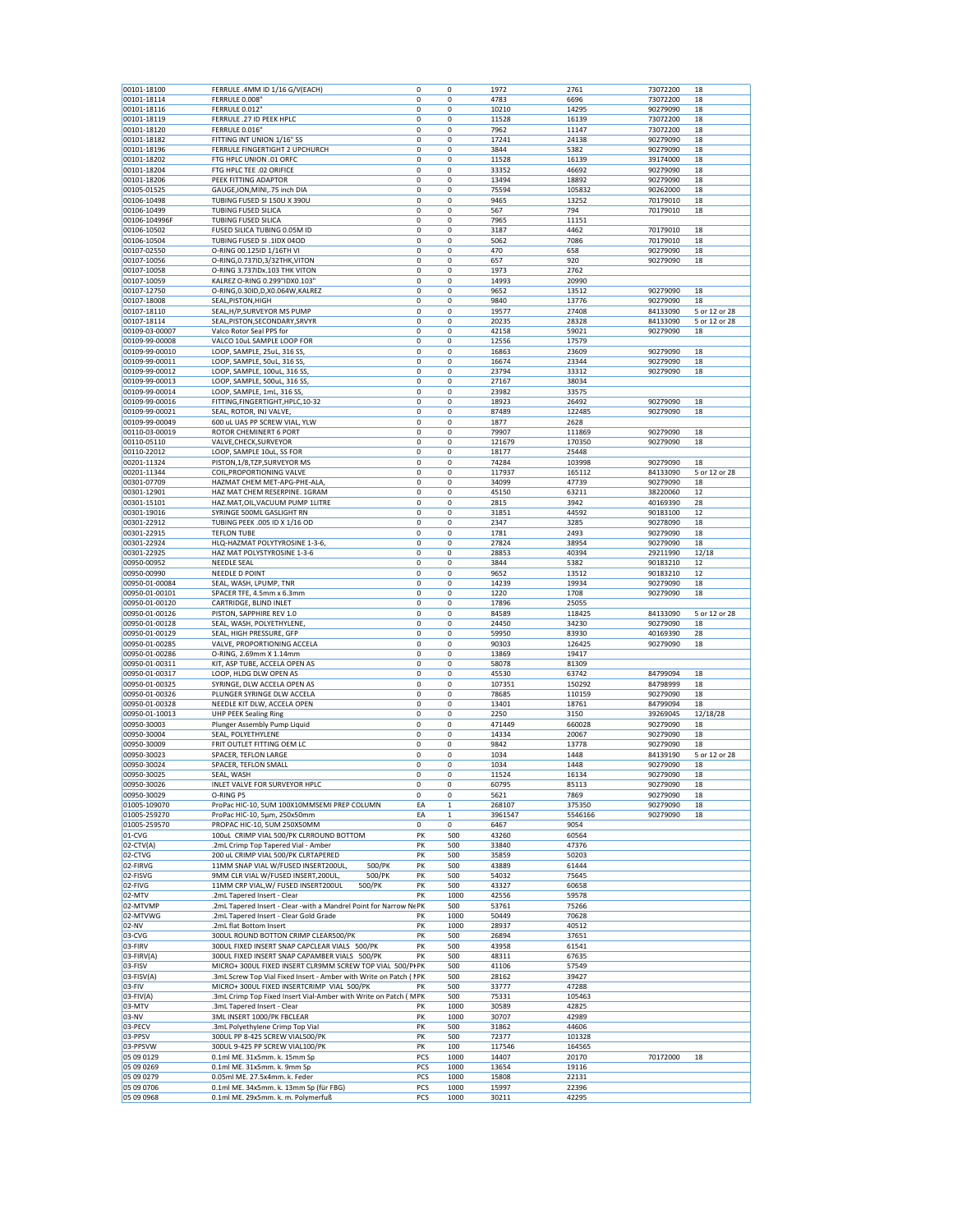| 00101-18114<br>00101-18116<br>00101-18119<br>00101-18120<br>00101-18182<br>00101-18196<br>00101-18202<br>00101-18204<br>00101-18206<br>00105-01525<br>00106-10498<br>00106-10499<br>00106-104996F<br>00106-10502<br>00106-10504<br>00107-02550<br>00107-10056<br>00107-10058<br>00107-10059<br>00107-12750<br>00107-18008<br>00107-18110 | FERRULE 0.008'<br>FERRULE 0.012<br>FERRULE .27 ID PEEK HPLC<br>FERRULE 0.016"<br>FITTING INT UNION 1/16" SS<br>FERRULE FINGERTIGHT 2 UPCHURCH<br>FTG HPLC UNION .01 ORFC<br>FTG HPLC TEE .02 ORIFICE<br>PEEK FITTING ADAPTOR<br>GAUGE, ION, MINI, .75 inch DIA<br>TUBING FUSED SI 150U X 390U<br><b>TUBING FUSED SILICA</b><br><b>TUBING FUSED SILICA</b><br>FUSED SILICA TUBING 0.05M ID<br>TUBING FUSED SI .1IDX 04OD | 0<br>$\mathbf 0$<br>$\mathbf 0$<br>0<br>$\mathbf 0$<br>0<br>0<br>0<br>0<br>0<br>$\mathbf 0$<br>0<br>$\mathbf 0$ | 0<br>0<br>0<br>0<br>$\mathbf 0$<br>$\mathbf 0$<br>0<br>0<br>0<br>0 | 4783<br>10210<br>11528<br>7962<br>17241<br>3844<br>11528<br>33352 | 6696<br>14295<br>16139<br>11147<br>24138<br>5382<br>16139<br>46692 | 73072200<br>90279090<br>73072200<br>73072200<br>90279090<br>90279090<br>39174000 | 18<br>18<br>18<br>18<br>18<br>18<br>18 |
|------------------------------------------------------------------------------------------------------------------------------------------------------------------------------------------------------------------------------------------------------------------------------------------------------------------------------------------|-------------------------------------------------------------------------------------------------------------------------------------------------------------------------------------------------------------------------------------------------------------------------------------------------------------------------------------------------------------------------------------------------------------------------|-----------------------------------------------------------------------------------------------------------------|--------------------------------------------------------------------|-------------------------------------------------------------------|--------------------------------------------------------------------|----------------------------------------------------------------------------------|----------------------------------------|
|                                                                                                                                                                                                                                                                                                                                          |                                                                                                                                                                                                                                                                                                                                                                                                                         |                                                                                                                 |                                                                    |                                                                   |                                                                    |                                                                                  |                                        |
|                                                                                                                                                                                                                                                                                                                                          |                                                                                                                                                                                                                                                                                                                                                                                                                         |                                                                                                                 |                                                                    |                                                                   |                                                                    |                                                                                  |                                        |
|                                                                                                                                                                                                                                                                                                                                          |                                                                                                                                                                                                                                                                                                                                                                                                                         |                                                                                                                 |                                                                    |                                                                   |                                                                    |                                                                                  |                                        |
|                                                                                                                                                                                                                                                                                                                                          |                                                                                                                                                                                                                                                                                                                                                                                                                         |                                                                                                                 |                                                                    |                                                                   |                                                                    |                                                                                  |                                        |
|                                                                                                                                                                                                                                                                                                                                          |                                                                                                                                                                                                                                                                                                                                                                                                                         |                                                                                                                 |                                                                    |                                                                   |                                                                    |                                                                                  |                                        |
|                                                                                                                                                                                                                                                                                                                                          |                                                                                                                                                                                                                                                                                                                                                                                                                         |                                                                                                                 |                                                                    |                                                                   |                                                                    |                                                                                  |                                        |
|                                                                                                                                                                                                                                                                                                                                          |                                                                                                                                                                                                                                                                                                                                                                                                                         |                                                                                                                 |                                                                    |                                                                   |                                                                    |                                                                                  |                                        |
|                                                                                                                                                                                                                                                                                                                                          |                                                                                                                                                                                                                                                                                                                                                                                                                         |                                                                                                                 |                                                                    |                                                                   |                                                                    |                                                                                  |                                        |
|                                                                                                                                                                                                                                                                                                                                          |                                                                                                                                                                                                                                                                                                                                                                                                                         |                                                                                                                 |                                                                    |                                                                   |                                                                    | 90279090                                                                         | 18                                     |
|                                                                                                                                                                                                                                                                                                                                          |                                                                                                                                                                                                                                                                                                                                                                                                                         |                                                                                                                 |                                                                    | 13494                                                             | 18892                                                              | 90279090                                                                         | 18                                     |
|                                                                                                                                                                                                                                                                                                                                          |                                                                                                                                                                                                                                                                                                                                                                                                                         |                                                                                                                 |                                                                    | 75594                                                             | 105832                                                             | 90262000                                                                         | 18                                     |
|                                                                                                                                                                                                                                                                                                                                          |                                                                                                                                                                                                                                                                                                                                                                                                                         |                                                                                                                 | $\mathbf 0$                                                        | 9465                                                              | 13252                                                              | 70179010                                                                         | 18                                     |
|                                                                                                                                                                                                                                                                                                                                          |                                                                                                                                                                                                                                                                                                                                                                                                                         |                                                                                                                 | 0                                                                  | 567                                                               | 794                                                                | 70179010                                                                         | 18                                     |
|                                                                                                                                                                                                                                                                                                                                          |                                                                                                                                                                                                                                                                                                                                                                                                                         |                                                                                                                 | 0                                                                  | 7965                                                              | 11151                                                              |                                                                                  |                                        |
|                                                                                                                                                                                                                                                                                                                                          |                                                                                                                                                                                                                                                                                                                                                                                                                         | 0                                                                                                               | 0                                                                  | 3187                                                              | 4462                                                               | 70179010                                                                         | 18                                     |
|                                                                                                                                                                                                                                                                                                                                          |                                                                                                                                                                                                                                                                                                                                                                                                                         | 0                                                                                                               | 0                                                                  | 5062                                                              | 7086                                                               | 70179010                                                                         | 18                                     |
|                                                                                                                                                                                                                                                                                                                                          | O-RING 00.125ID 1/16TH VI                                                                                                                                                                                                                                                                                                                                                                                               | $\mathbf 0$                                                                                                     | $\mathbf 0$                                                        | 470                                                               | 658                                                                | 90279090                                                                         | 18                                     |
|                                                                                                                                                                                                                                                                                                                                          | O-RING, 0.737ID, 3/32THK, VITON                                                                                                                                                                                                                                                                                                                                                                                         | 0                                                                                                               | $\overline{0}$                                                     | 657                                                               | 920                                                                | 90279090                                                                         | 18                                     |
|                                                                                                                                                                                                                                                                                                                                          | O-RING 3.737IDx.103 THK VITON                                                                                                                                                                                                                                                                                                                                                                                           | 0                                                                                                               | 0                                                                  | 1973                                                              | 2762                                                               |                                                                                  |                                        |
|                                                                                                                                                                                                                                                                                                                                          | KALREZ O-RING 0.299"IDX0.103"                                                                                                                                                                                                                                                                                                                                                                                           | $\mathbf 0$                                                                                                     | 0                                                                  | 14993                                                             | 20990                                                              |                                                                                  |                                        |
|                                                                                                                                                                                                                                                                                                                                          | O-RING, 0.30ID, D, X0.064W, KALREZ                                                                                                                                                                                                                                                                                                                                                                                      | 0                                                                                                               | 0                                                                  | 9652                                                              | 13512                                                              | 90279090                                                                         | 18                                     |
|                                                                                                                                                                                                                                                                                                                                          |                                                                                                                                                                                                                                                                                                                                                                                                                         |                                                                                                                 |                                                                    |                                                                   |                                                                    |                                                                                  |                                        |
|                                                                                                                                                                                                                                                                                                                                          | SEAL, PISTON, HIGH                                                                                                                                                                                                                                                                                                                                                                                                      | 0                                                                                                               | 0                                                                  | 9840                                                              | 13776                                                              | 90279090                                                                         | 18                                     |
|                                                                                                                                                                                                                                                                                                                                          | SEAL, H/P, SURVEYOR MS PUMP                                                                                                                                                                                                                                                                                                                                                                                             | 0                                                                                                               | 0                                                                  | 19577                                                             | 27408                                                              | 84133090                                                                         | 5 or 12 or 28                          |
| 00107-18114                                                                                                                                                                                                                                                                                                                              | SEAL, PISTON, SECONDARY, SRVYR                                                                                                                                                                                                                                                                                                                                                                                          | 0                                                                                                               | 0                                                                  | 20235                                                             | 28328                                                              | 84133090                                                                         | 5 or 12 or 28                          |
| 00109-03-00007                                                                                                                                                                                                                                                                                                                           | Valco Rotor Seal PPS for                                                                                                                                                                                                                                                                                                                                                                                                | $\mathbf 0$                                                                                                     | 0                                                                  | 42158                                                             | 59021                                                              | 90279090                                                                         | 18                                     |
| 00109-99-00008                                                                                                                                                                                                                                                                                                                           | VALCO 10uL SAMPLE LOOP FOR                                                                                                                                                                                                                                                                                                                                                                                              | $\mathbf 0$                                                                                                     | 0                                                                  | 12556                                                             | 17579                                                              |                                                                                  |                                        |
| 00109-99-00010                                                                                                                                                                                                                                                                                                                           | LOOP, SAMPLE, 25uL, 316 SS,                                                                                                                                                                                                                                                                                                                                                                                             | 0                                                                                                               | 0                                                                  | 16863                                                             | 23609                                                              | 90279090                                                                         | 18                                     |
| 00109-99-00011                                                                                                                                                                                                                                                                                                                           | LOOP, SAMPLE, 50uL, 316 SS,                                                                                                                                                                                                                                                                                                                                                                                             | 0                                                                                                               | 0                                                                  | 16674                                                             | 23344                                                              | 90279090                                                                         | 18                                     |
| 00109-99-00012                                                                                                                                                                                                                                                                                                                           | LOOP, SAMPLE, 100uL, 316 SS                                                                                                                                                                                                                                                                                                                                                                                             | $\mathbf 0$                                                                                                     | 0                                                                  | 23794                                                             | 33312                                                              | 90279090                                                                         | 18                                     |
| 00109-99-00013                                                                                                                                                                                                                                                                                                                           | LOOP, SAMPLE, 500uL, 316 SS,                                                                                                                                                                                                                                                                                                                                                                                            | 0                                                                                                               | 0                                                                  | 27167                                                             | 38034                                                              |                                                                                  |                                        |
| 00109-99-00014                                                                                                                                                                                                                                                                                                                           | LOOP, SAMPLE, 1mL, 316 SS,                                                                                                                                                                                                                                                                                                                                                                                              | $\mathbf 0$                                                                                                     | $\mathbf 0$                                                        | 23982                                                             | 33575                                                              |                                                                                  |                                        |
|                                                                                                                                                                                                                                                                                                                                          |                                                                                                                                                                                                                                                                                                                                                                                                                         |                                                                                                                 |                                                                    |                                                                   |                                                                    |                                                                                  | 18                                     |
| 00109-99-00016                                                                                                                                                                                                                                                                                                                           | FITTING, FINGERTIGHT, HPLC, 10-32                                                                                                                                                                                                                                                                                                                                                                                       | 0                                                                                                               | 0                                                                  | 18923                                                             | 26492                                                              | 90279090                                                                         |                                        |
| 00109-99-00021                                                                                                                                                                                                                                                                                                                           | SEAL, ROTOR, INJ VALVE.                                                                                                                                                                                                                                                                                                                                                                                                 | 0                                                                                                               | 0                                                                  | 87489                                                             | 122485                                                             | 90279090                                                                         | 18                                     |
| 00109-99-00049                                                                                                                                                                                                                                                                                                                           | 600 uL UAS PP SCREW VIAL, YLW                                                                                                                                                                                                                                                                                                                                                                                           | 0                                                                                                               | 0                                                                  | 1877                                                              | 2628                                                               |                                                                                  |                                        |
| 00110-03-00019                                                                                                                                                                                                                                                                                                                           | ROTOR CHEMINERT 6 PORT                                                                                                                                                                                                                                                                                                                                                                                                  | 0                                                                                                               | 0                                                                  | 79907                                                             | 111869                                                             | 90279090                                                                         | 18                                     |
| 00110-05110                                                                                                                                                                                                                                                                                                                              | VALVE, CHECK, SURVEYOR                                                                                                                                                                                                                                                                                                                                                                                                  | 0                                                                                                               | 0                                                                  | 121679                                                            | 170350                                                             | 90279090                                                                         | 18                                     |
| 00110-22012                                                                                                                                                                                                                                                                                                                              | LOOP, SAMPLE 10uL, SS FOR                                                                                                                                                                                                                                                                                                                                                                                               | $\mathbf 0$                                                                                                     | $\mathbf 0$                                                        | 18177                                                             | 25448                                                              |                                                                                  |                                        |
| 00201-11324                                                                                                                                                                                                                                                                                                                              | PISTON, 1/8, TZP, SURVEYOR MS                                                                                                                                                                                                                                                                                                                                                                                           | 0                                                                                                               | 0                                                                  | 74284                                                             | 103998                                                             | 90279090                                                                         | 18                                     |
| 00201-11344                                                                                                                                                                                                                                                                                                                              | COIL, PROPORTIONING VALVE                                                                                                                                                                                                                                                                                                                                                                                               | $\mathbf 0$                                                                                                     | 0                                                                  | 117937                                                            | 165112                                                             | 84133090                                                                         | 5 or 12 or 28                          |
| 00301-07709                                                                                                                                                                                                                                                                                                                              | HAZMAT CHEM MET-APG-PHE-ALA,                                                                                                                                                                                                                                                                                                                                                                                            | 0                                                                                                               | 0                                                                  | 34099                                                             | 47739                                                              | 90279090                                                                         | 18                                     |
|                                                                                                                                                                                                                                                                                                                                          |                                                                                                                                                                                                                                                                                                                                                                                                                         |                                                                                                                 |                                                                    |                                                                   |                                                                    | 38220060                                                                         |                                        |
| 00301-12901                                                                                                                                                                                                                                                                                                                              | HAZ MAT CHEM RESERPINE. 1GRAM                                                                                                                                                                                                                                                                                                                                                                                           | 0                                                                                                               | 0                                                                  | 45150                                                             | 63211                                                              |                                                                                  | 12                                     |
| 00301-15101                                                                                                                                                                                                                                                                                                                              | HAZ.MAT, OIL, VACUUM PUMP 1LITRE                                                                                                                                                                                                                                                                                                                                                                                        | $\mathbf 0$                                                                                                     | 0                                                                  | 2815                                                              | 3942                                                               | 40169390                                                                         | 28                                     |
| 00301-19016                                                                                                                                                                                                                                                                                                                              | SYRINGE 500ML GASLIGHT RN                                                                                                                                                                                                                                                                                                                                                                                               | $\mathbf 0$                                                                                                     | $\mathbf 0$                                                        | 31851                                                             | 44592                                                              | 90183100                                                                         | 12                                     |
| 00301-22912                                                                                                                                                                                                                                                                                                                              | TUBING PEEK .005 ID X 1/16 OD                                                                                                                                                                                                                                                                                                                                                                                           | 0                                                                                                               | 0                                                                  | 2347                                                              | 3285                                                               | 90278090                                                                         | 18                                     |
| 00301-22915                                                                                                                                                                                                                                                                                                                              | <b>TEFLON TUBE</b>                                                                                                                                                                                                                                                                                                                                                                                                      | $\mathbf 0$                                                                                                     | 0                                                                  | 1781                                                              | 2493                                                               | 90279090                                                                         | 18                                     |
| 00301-22924                                                                                                                                                                                                                                                                                                                              | HLQ-HAZMAT POLYTYROSINE 1-3-6,                                                                                                                                                                                                                                                                                                                                                                                          | 0                                                                                                               | 0                                                                  | 27824                                                             | 38954                                                              | 90279090                                                                         | 18                                     |
| 00301-22925                                                                                                                                                                                                                                                                                                                              | HAZ MAT POLYSTYROSINE 1-3-6                                                                                                                                                                                                                                                                                                                                                                                             | 0                                                                                                               | 0                                                                  | 28853                                                             | 40394                                                              | 29211990                                                                         | 12/18                                  |
| 00950-00952                                                                                                                                                                                                                                                                                                                              | NEEDLE SEAL                                                                                                                                                                                                                                                                                                                                                                                                             | 0                                                                                                               | 0                                                                  | 3844                                                              | 5382                                                               | 90183210                                                                         | 12                                     |
| 00950-00990                                                                                                                                                                                                                                                                                                                              | <b>NEEDLE D POINT</b>                                                                                                                                                                                                                                                                                                                                                                                                   | 0                                                                                                               | 0                                                                  | 9652                                                              | 13512                                                              | 90183210                                                                         | 12                                     |
| 00950-01-00084                                                                                                                                                                                                                                                                                                                           | SEAL, WASH, LPUMP, TNR                                                                                                                                                                                                                                                                                                                                                                                                  | $\mathbf 0$                                                                                                     | 0                                                                  | 14239                                                             | 19934                                                              | 90279090                                                                         | 18                                     |
|                                                                                                                                                                                                                                                                                                                                          |                                                                                                                                                                                                                                                                                                                                                                                                                         | $\mathbf 0$                                                                                                     | 0                                                                  |                                                                   |                                                                    |                                                                                  |                                        |
| 00950-01-00101                                                                                                                                                                                                                                                                                                                           | SPACER TFE, 4.5mm x 6.3mm                                                                                                                                                                                                                                                                                                                                                                                               |                                                                                                                 |                                                                    | 1220                                                              | 1708                                                               | 90279090                                                                         | 18                                     |
| 00950-01-00120                                                                                                                                                                                                                                                                                                                           | CARTRIDGE, BLIND INLET                                                                                                                                                                                                                                                                                                                                                                                                  | 0                                                                                                               | 0                                                                  | 17896                                                             | 25055                                                              |                                                                                  |                                        |
| 00950-01-00126                                                                                                                                                                                                                                                                                                                           | PISTON, SAPPHIRE REV 1.0                                                                                                                                                                                                                                                                                                                                                                                                | 0                                                                                                               | 0                                                                  | 84589                                                             | 118425                                                             | 84133090                                                                         | 5 or 12 or 28                          |
| 00950-01-00128                                                                                                                                                                                                                                                                                                                           | SEAL, WASH, POLYETHYLENE,                                                                                                                                                                                                                                                                                                                                                                                               | $\mathbf 0$                                                                                                     | 0                                                                  | 24450                                                             | 34230                                                              | 90279090                                                                         | 18                                     |
| 00950-01-00129                                                                                                                                                                                                                                                                                                                           | SEAL, HIGH PRESSURE, GFP                                                                                                                                                                                                                                                                                                                                                                                                | 0                                                                                                               | 0                                                                  | 59950                                                             | 83930                                                              | 40169390                                                                         | 28                                     |
| 00950-01-00285                                                                                                                                                                                                                                                                                                                           | VALVE, PROPORTIONING ACCELA                                                                                                                                                                                                                                                                                                                                                                                             | $\mathbf 0$                                                                                                     | $\mathbf 0$                                                        | 90303                                                             | 126425                                                             | 90279090                                                                         | 18                                     |
| 00950-01-00286                                                                                                                                                                                                                                                                                                                           | O-RING, 2.69mm X 1.14mm                                                                                                                                                                                                                                                                                                                                                                                                 | 0                                                                                                               | 0                                                                  | 13869                                                             | 19417                                                              |                                                                                  |                                        |
| 00950-01-00311                                                                                                                                                                                                                                                                                                                           | KIT, ASP TUBE, ACCELA OPEN AS                                                                                                                                                                                                                                                                                                                                                                                           | 0                                                                                                               | 0                                                                  | 58078                                                             | 81309                                                              |                                                                                  |                                        |
| 00950-01-00317                                                                                                                                                                                                                                                                                                                           | LOOP, HLDG DLW OPEN AS                                                                                                                                                                                                                                                                                                                                                                                                  | 0                                                                                                               | 0                                                                  | 45530                                                             | 63742                                                              | 84799094                                                                         | 18                                     |
| 00950-01-00325                                                                                                                                                                                                                                                                                                                           | SYRINGE, DLW ACCELA OPEN AS                                                                                                                                                                                                                                                                                                                                                                                             | 0                                                                                                               | 0                                                                  | 107351                                                            | 150292                                                             | 84798999                                                                         | 18                                     |
| 00950-01-00326                                                                                                                                                                                                                                                                                                                           | PLUNGER SYRINGE DLW ACCELA                                                                                                                                                                                                                                                                                                                                                                                              | 0                                                                                                               | 0                                                                  | 78685                                                             | 110159                                                             | 90279090                                                                         | 18                                     |
| 00950-01-00328                                                                                                                                                                                                                                                                                                                           | NEEDLE KIT DLW, ACCELA OPEN                                                                                                                                                                                                                                                                                                                                                                                             | $\mathbf 0$                                                                                                     | $\mathbf 0$                                                        | 13401                                                             | 18761                                                              | 84799094                                                                         | 18                                     |
|                                                                                                                                                                                                                                                                                                                                          |                                                                                                                                                                                                                                                                                                                                                                                                                         |                                                                                                                 |                                                                    |                                                                   |                                                                    |                                                                                  |                                        |
| 00950-01-10013                                                                                                                                                                                                                                                                                                                           | <b>UHP PEEK Sealing Ring</b>                                                                                                                                                                                                                                                                                                                                                                                            | 0                                                                                                               | 0                                                                  | 2250                                                              | 3150                                                               | 39269045                                                                         | 12/18/28                               |
| 00950-30003                                                                                                                                                                                                                                                                                                                              | Plunger Assembly Pump Liquid                                                                                                                                                                                                                                                                                                                                                                                            | $\mathbf 0$                                                                                                     | 0                                                                  | 471449                                                            | 660028                                                             | 90279090                                                                         | 18                                     |
| 00950-30004                                                                                                                                                                                                                                                                                                                              | SEAL, POLYETHYLENE                                                                                                                                                                                                                                                                                                                                                                                                      | 0                                                                                                               | 0                                                                  | 14334                                                             | 20067                                                              | 90279090                                                                         | 18                                     |
| 00950-30009                                                                                                                                                                                                                                                                                                                              | FRIT OUTLET FITTING OEM LC                                                                                                                                                                                                                                                                                                                                                                                              | 0                                                                                                               | 0                                                                  | 9842                                                              | 13778                                                              | 90279090                                                                         | 18                                     |
| 00950-30023                                                                                                                                                                                                                                                                                                                              | SPACER, TEFLON LARGE                                                                                                                                                                                                                                                                                                                                                                                                    | 0                                                                                                               | 0                                                                  | 1034                                                              | 1448                                                               | 84139190                                                                         | 5 or 12 or 28                          |
| 00950-30024                                                                                                                                                                                                                                                                                                                              | SPACER, TEFLON SMALL                                                                                                                                                                                                                                                                                                                                                                                                    | $\mathbf 0$                                                                                                     | 0                                                                  | 1034                                                              | 1448                                                               | 90279090                                                                         | 18                                     |
| 00950-30025                                                                                                                                                                                                                                                                                                                              | SEAL, WASH                                                                                                                                                                                                                                                                                                                                                                                                              | $\mathbf 0$                                                                                                     | 0                                                                  | 11524                                                             | 16134                                                              | 90279090                                                                         | 18                                     |
| 00950-30026                                                                                                                                                                                                                                                                                                                              | INLET VALVE FOR SURVEYOR HPLC                                                                                                                                                                                                                                                                                                                                                                                           | $\mathbf 0$                                                                                                     | 0                                                                  | 60795                                                             | 85113                                                              | 90279090                                                                         | 18                                     |
| 00950-30029                                                                                                                                                                                                                                                                                                                              | O-RING P5                                                                                                                                                                                                                                                                                                                                                                                                               | 0                                                                                                               | 0                                                                  | 5621                                                              | 7869                                                               | 90279090                                                                         | 18                                     |
| 01005-109070                                                                                                                                                                                                                                                                                                                             | ProPac HIC-10, 5UM 100X10MMSEMI PREP COLUMN                                                                                                                                                                                                                                                                                                                                                                             |                                                                                                                 | $\mathbf 1$                                                        | 268107                                                            | 375350                                                             | 90279090                                                                         |                                        |
|                                                                                                                                                                                                                                                                                                                                          |                                                                                                                                                                                                                                                                                                                                                                                                                         | EA                                                                                                              |                                                                    | 3961547                                                           |                                                                    |                                                                                  | 18                                     |
| 01005-259270                                                                                                                                                                                                                                                                                                                             | ProPac HIC-10, 5µm, 250x50mm                                                                                                                                                                                                                                                                                                                                                                                            | EA                                                                                                              | $\mathbf 1$                                                        |                                                                   | 5546166                                                            | 90279090                                                                         | 18                                     |
| 01005-259570                                                                                                                                                                                                                                                                                                                             | PROPAC HIC-10, 5UM 250X50MM                                                                                                                                                                                                                                                                                                                                                                                             | 0                                                                                                               | 0                                                                  | 6467                                                              | 9054                                                               |                                                                                  |                                        |
| $01$ -CVG                                                                                                                                                                                                                                                                                                                                | 100uL CRIMP VIAL 500/PK CLRROUND BOTTOM                                                                                                                                                                                                                                                                                                                                                                                 | PK                                                                                                              | 500                                                                | 43260                                                             | 60564                                                              |                                                                                  |                                        |
| 02-CTV(A)                                                                                                                                                                                                                                                                                                                                | .2mL Crimp Top Tapered Vial - Amber                                                                                                                                                                                                                                                                                                                                                                                     | PK                                                                                                              | 500                                                                | 33840                                                             | 47376                                                              |                                                                                  |                                        |
| 02-CTVG                                                                                                                                                                                                                                                                                                                                  | 200 uL CRIMP VIAL 500/PK CLRTAPERED                                                                                                                                                                                                                                                                                                                                                                                     | PK                                                                                                              | 500                                                                | 35859                                                             | 50203                                                              |                                                                                  |                                        |
| 02-FIRVG                                                                                                                                                                                                                                                                                                                                 | 11MM SNAP VIAL W/FUSED INSERT200UL<br>500/PK                                                                                                                                                                                                                                                                                                                                                                            | PK                                                                                                              | 500                                                                | 43889                                                             | 61444                                                              |                                                                                  |                                        |
| 02-FISVG                                                                                                                                                                                                                                                                                                                                 | 500/PK<br>9MM CLR VIAL W/FUSED INSERT,200UL,                                                                                                                                                                                                                                                                                                                                                                            | PK                                                                                                              | 500                                                                | 54032                                                             | 75645                                                              |                                                                                  |                                        |
| 02-FIVG                                                                                                                                                                                                                                                                                                                                  | 11MM CRP VIAL, W/ FUSED INSERT200UL<br>500/PK                                                                                                                                                                                                                                                                                                                                                                           | PK                                                                                                              | 500                                                                | 43327                                                             | 60658                                                              |                                                                                  |                                        |
| 02-MTV                                                                                                                                                                                                                                                                                                                                   | .2mL Tapered Insert - Clear                                                                                                                                                                                                                                                                                                                                                                                             | PK                                                                                                              | 1000                                                               | 42556                                                             | 59578                                                              |                                                                                  |                                        |
| 02-MTVMP                                                                                                                                                                                                                                                                                                                                 | .2mL Tapered Insert - Clear -with a Mandrel Point for Narrow NePK                                                                                                                                                                                                                                                                                                                                                       |                                                                                                                 | 500                                                                | 53761                                                             | 75266                                                              |                                                                                  |                                        |
| 02-MTVWG                                                                                                                                                                                                                                                                                                                                 | .2mL Tapered Insert - Clear Gold Grade                                                                                                                                                                                                                                                                                                                                                                                  | PK                                                                                                              | 1000                                                               | 50449                                                             | 70628                                                              |                                                                                  |                                        |
| 02-NV                                                                                                                                                                                                                                                                                                                                    | .2mL flat Bottom Insert                                                                                                                                                                                                                                                                                                                                                                                                 | PK                                                                                                              | 1000                                                               |                                                                   | 40512                                                              |                                                                                  |                                        |
|                                                                                                                                                                                                                                                                                                                                          |                                                                                                                                                                                                                                                                                                                                                                                                                         |                                                                                                                 |                                                                    | 28937                                                             |                                                                    |                                                                                  |                                        |
| 03-CVG                                                                                                                                                                                                                                                                                                                                   | 300UL ROUND BOTTON CRIMP CLEAR500/PK                                                                                                                                                                                                                                                                                                                                                                                    | PK                                                                                                              | 500                                                                | 26894                                                             | 37651                                                              |                                                                                  |                                        |
| 03-FIRV                                                                                                                                                                                                                                                                                                                                  | 300UL FIXED INSERT SNAP CAPCLEAR VIALS 500/PK                                                                                                                                                                                                                                                                                                                                                                           | PK                                                                                                              | 500                                                                | 43958                                                             | 61541                                                              |                                                                                  |                                        |
| 03-FIRV(A)                                                                                                                                                                                                                                                                                                                               | 300UL FIXED INSERT SNAP CAPAMBER VIALS 500/PK                                                                                                                                                                                                                                                                                                                                                                           | PK                                                                                                              | 500                                                                | 48311                                                             | 67635                                                              |                                                                                  |                                        |
| 03-FISV                                                                                                                                                                                                                                                                                                                                  | MICRO+ 300UL FIXED INSERT CLR9MM SCREW TOP VIAL 500/PI PK                                                                                                                                                                                                                                                                                                                                                               |                                                                                                                 | 500                                                                | 41106                                                             | 57549                                                              |                                                                                  |                                        |
| 03-FISV(A)                                                                                                                                                                                                                                                                                                                               | .3mL Screw Top Vial Fixed Insert - Amber with Write on Patch ( IPK                                                                                                                                                                                                                                                                                                                                                      |                                                                                                                 | 500                                                                | 28162                                                             | 39427                                                              |                                                                                  |                                        |
|                                                                                                                                                                                                                                                                                                                                          | MICRO+ 300UL FIXED INSERTCRIMP VIAL 500/PK                                                                                                                                                                                                                                                                                                                                                                              | PK                                                                                                              | 500                                                                |                                                                   | 47288                                                              |                                                                                  |                                        |
|                                                                                                                                                                                                                                                                                                                                          |                                                                                                                                                                                                                                                                                                                                                                                                                         |                                                                                                                 |                                                                    |                                                                   |                                                                    |                                                                                  |                                        |
|                                                                                                                                                                                                                                                                                                                                          |                                                                                                                                                                                                                                                                                                                                                                                                                         |                                                                                                                 |                                                                    |                                                                   |                                                                    |                                                                                  |                                        |
|                                                                                                                                                                                                                                                                                                                                          |                                                                                                                                                                                                                                                                                                                                                                                                                         |                                                                                                                 |                                                                    |                                                                   |                                                                    |                                                                                  |                                        |
|                                                                                                                                                                                                                                                                                                                                          |                                                                                                                                                                                                                                                                                                                                                                                                                         |                                                                                                                 |                                                                    |                                                                   |                                                                    |                                                                                  |                                        |
|                                                                                                                                                                                                                                                                                                                                          |                                                                                                                                                                                                                                                                                                                                                                                                                         |                                                                                                                 |                                                                    |                                                                   |                                                                    |                                                                                  |                                        |
|                                                                                                                                                                                                                                                                                                                                          |                                                                                                                                                                                                                                                                                                                                                                                                                         |                                                                                                                 |                                                                    |                                                                   |                                                                    |                                                                                  |                                        |
|                                                                                                                                                                                                                                                                                                                                          |                                                                                                                                                                                                                                                                                                                                                                                                                         |                                                                                                                 |                                                                    |                                                                   |                                                                    |                                                                                  |                                        |
|                                                                                                                                                                                                                                                                                                                                          | 0.1ml ME. 31x5mm. k. 15mm Sp                                                                                                                                                                                                                                                                                                                                                                                            | PCS                                                                                                             | 1000                                                               | 14407                                                             | 20170                                                              | 70172000                                                                         | 18                                     |
| 05 09 0269                                                                                                                                                                                                                                                                                                                               | 0.1ml ME. 31x5mm. k. 9mm Sp                                                                                                                                                                                                                                                                                                                                                                                             | PCS                                                                                                             | 1000                                                               | 13654                                                             | 19116                                                              |                                                                                  |                                        |
| 05 09 0279                                                                                                                                                                                                                                                                                                                               | 0.05ml ME. 27.5x4mm. k. Feder                                                                                                                                                                                                                                                                                                                                                                                           | PCS                                                                                                             | 1000                                                               | 15808                                                             | 22131                                                              |                                                                                  |                                        |
| 05 09 0706                                                                                                                                                                                                                                                                                                                               | 0.1ml ME. 34x5mm. k. 13mm Sp (für FBG)                                                                                                                                                                                                                                                                                                                                                                                  | PCS                                                                                                             | 1000                                                               | 15997                                                             | 22396                                                              |                                                                                  |                                        |
| 03-FIV<br>03-FIV(A)<br>03-MTV<br>03-NV<br>03-PECV<br>03-PPSV<br>03-PPSVW<br>05 09 0129                                                                                                                                                                                                                                                   | .3mL Crimp Top Fixed Insert Vial-Amber with Write on Patch (<br>.3mL Tapered Insert - Clear<br>3ML INSERT 1000/PK FBCLEAR<br>.3mL Polyethylene Crimp Top Vial<br>300UL PP 8-425 SCREW VIAL500/PK<br>300UL 9-425 PP SCREW VIAL100/PK                                                                                                                                                                                     | <b>MPK</b><br>PK<br>PK<br>PK<br>PK<br>PK                                                                        | 500<br>1000<br>1000<br>500<br>500<br>100                           | 33777<br>75331<br>30589<br>30707<br>31862<br>72377<br>117546      | 105463<br>42825<br>42989<br>44606<br>101328<br>164565              |                                                                                  |                                        |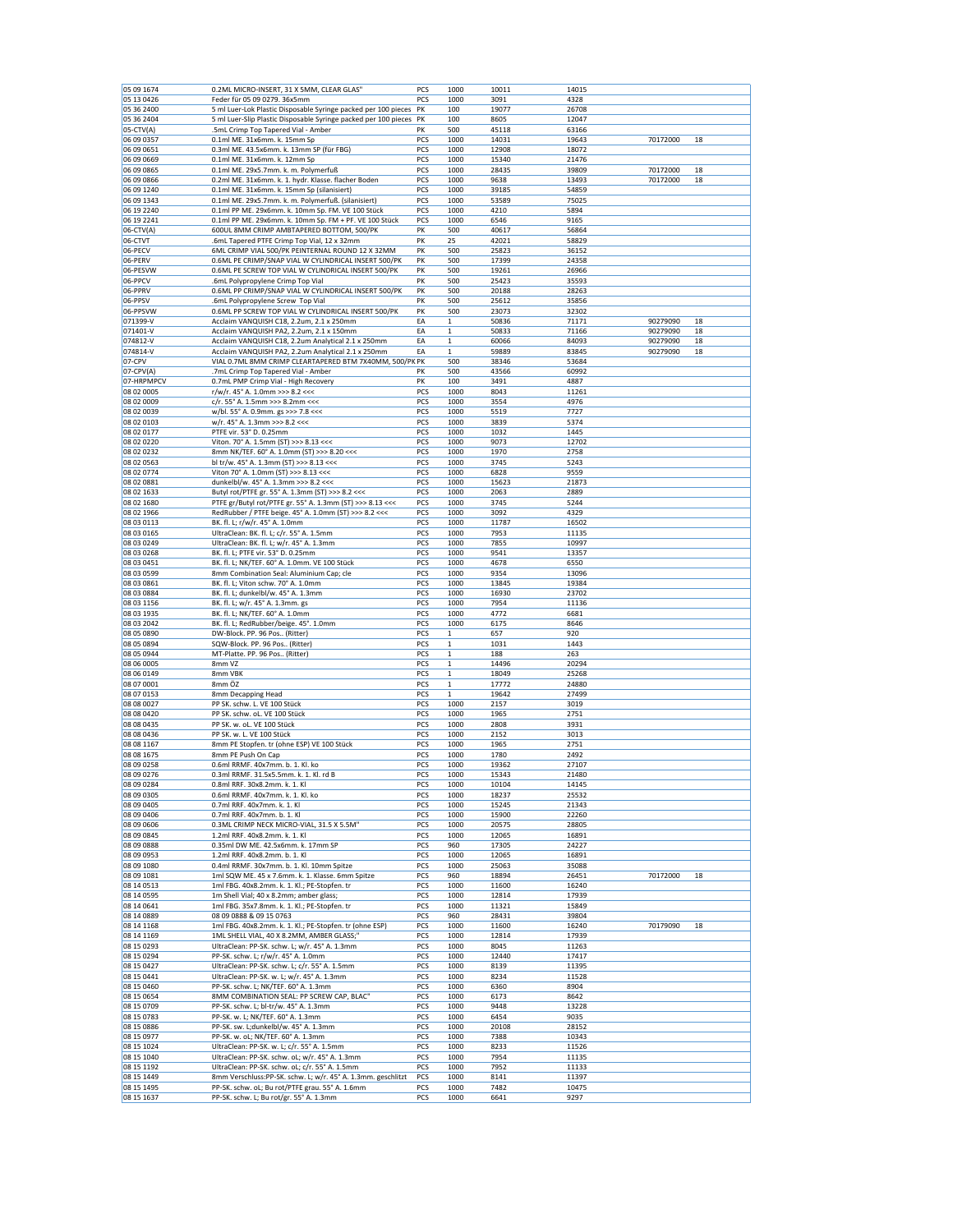| 05 09 1674                | 0.2ML MICRO-INSERT, 31 X 5MM, CLEAR GLAS"                                                                       | PCS        | 1000                        | 10011          | 14015          |                      |          |
|---------------------------|-----------------------------------------------------------------------------------------------------------------|------------|-----------------------------|----------------|----------------|----------------------|----------|
| 05 13 04 26               | Feder für 05 09 0279. 36x5mm                                                                                    | PCS        | 1000                        | 3091           | 4328           |                      |          |
| 05 36 2400                | 5 ml Luer-Lok Plastic Disposable Syringe packed per 100 pieces                                                  | PK         | 100                         | 19077          | 26708          |                      |          |
| 05 36 2404                | 5 ml Luer-Slip Plastic Disposable Syringe packed per 100 pieces                                                 | PK         | 100                         | 8605           | 12047          |                      |          |
| 05-CTV(A)<br>06 09 0357   | .5mL Crimp Top Tapered Vial - Amber<br>0.1ml ME. 31x6mm. k. 15mm Sp                                             | PΚ<br>PCS  | 500<br>1000                 | 45118<br>14031 | 63166<br>19643 | 70172000             | 18       |
| 06 09 0651                | 0.3ml ME. 43.5x6mm. k. 13mm SP (für FBG)                                                                        | PCS        | 1000                        | 12908          | 18072          |                      |          |
| 06 09 0669                | 0.1ml ME. 31x6mm. k. 12mm Sp                                                                                    | PCS        | 1000                        | 15340          | 21476          |                      |          |
| 06 09 0865                | 0.1ml ME. 29x5.7mm. k. m. Polymerfuß                                                                            | PCS        | 1000                        | 28435          | 39809          | 70172000             | 18       |
| 06 09 0866                | 0.2ml ME. 31x6mm. k. 1. hydr. Klasse. flacher Boden                                                             | PCS        | 1000                        | 9638           | 13493          | 70172000             | 18       |
| 06 09 1240<br>06 09 1343  | 0.1ml ME. 31x6mm. k. 15mm Sp (silanisiert)<br>0.1ml ME. 29x5.7mm. k. m. Polymerfuß. (silanisiert)               | PCS<br>PCS | 1000                        | 39185<br>53589 | 54859<br>75025 |                      |          |
| 06 19 2240                | 0.1ml PP ME. 29x6mm. k. 10mm Sp. FM. VE 100 Stück                                                               | PCS        | 1000<br>1000                | 4210           | 5894           |                      |          |
| 06 19 2241                | 0.1ml PP ME. 29x6mm. k. 10mm Sp. FM + PF. VE 100 Stück                                                          | PCS        | 1000                        | 6546           | 9165           |                      |          |
| 06-CTV(A)                 | 600UL 8MM CRIMP AMBTAPERED BOTTOM, 500/PK                                                                       | PK         | 500                         | 40617          | 56864          |                      |          |
| 06-CTVT                   | .6mL Tapered PTFE Crimp Top Vial, 12 x 32mm                                                                     | PK         | 25                          | 42021          | 58829          |                      |          |
| 06-PECV                   | 6ML CRIMP VIAL 500/PK PEINTERNAL ROUND 12 X 32MM                                                                | PK         | 500                         | 25823          | 36152          |                      |          |
| 06-PERV<br>06-PESVW       | 0.6ML PE CRIMP/SNAP VIAL W CYLINDRICAL INSERT 500/PK<br>0.6ML PE SCREW TOP VIAL W CYLINDRICAL INSERT 500/PK     | PK<br>PK   | 500<br>500                  | 17399<br>19261 | 24358<br>26966 |                      |          |
| 06-PPCV                   | .6mL Polypropylene Crimp Top Vial                                                                               | PK         | 500                         | 25423          | 35593          |                      |          |
| 06-PPRV                   | 0.6ML PP CRIMP/SNAP VIAL W CYLINDRICAL INSERT 500/PK                                                            | PK         | 500                         | 20188          | 28263          |                      |          |
| 06-PPSV                   | .6mL Polypropylene Screw Top Vial                                                                               | PK         | 500                         | 25612          | 35856          |                      |          |
| 06-PPSVW                  | 0.6ML PP SCREW TOP VIAL W CYLINDRICAL INSERT 500/PK                                                             | PK         | 500                         | 23073          | 32302          |                      |          |
| 071399-V<br>071401-V      | Acclaim VANQUISH C18, 2.2um, 2.1 x 250mm<br>Acclaim VANQUISH PA2, 2.2um, 2.1 x 150mm                            | EA<br>EA   | $\mathbf{1}$<br>$\mathbf 1$ | 50836<br>50833 | 71171<br>71166 | 90279090<br>90279090 | 18<br>18 |
| 074812-V                  | Acclaim VANQUISH C18, 2.2um Analytical 2.1 x 250mm                                                              | EA         | $\mathbf 1$                 | 60066          | 84093          | 90279090             | 18       |
| 074814-V                  | Acclaim VANQUISH PA2, 2.2um Analytical 2.1 x 250mm                                                              | EA         | $\mathbf 1$                 | 59889          | 83845          | 90279090             | 18       |
| 07-CPV                    | VIAL 0.7ML 8MM CRIMP CLEARTAPERED BTM 7X40MM, 500/PK PK                                                         |            | 500                         | 38346          | 53684          |                      |          |
| 07-CPV(A)                 | .7mL Crimp Top Tapered Vial - Amber                                                                             | PK         | 500                         | 43566          | 60992          |                      |          |
| 07-HRPMPCV                | 0.7mL PMP Crimp Vial - High Recovery                                                                            | PK<br>PCS  | 100                         | 3491<br>8043   | 4887           |                      |          |
| 08 02 0005<br>08 02 0009  | r/w/r. 45° A. 1.0mm >>> 8.2 <<<<br>c/r. 55° A. 1.5mm >>> 8.2mm <<<                                              | PCS        | 1000<br>1000                | 3554           | 11261<br>4976  |                      |          |
| 08 02 0039                | w/bl. 55° A. 0.9mm. gs >>> 7.8 <<<                                                                              | PCS        | 1000                        | 5519           | 7727           |                      |          |
| 08 02 0103                | w/r. 45° A. 1.3mm >>> 8.2 <<<                                                                                   | PCS        | 1000                        | 3839           | 5374           |                      |          |
| 08 02 0177                | PTFE vir. 53° D. 0.25mm                                                                                         | PCS        | 1000                        | 1032           | 1445           |                      |          |
| 08 02 02 20               | Viton. 70° A. 1.5mm (ST) >>> 8.13 <<<                                                                           | PCS        | 1000                        | 9073           | 12702          |                      |          |
| 08 02 02 32<br>08 02 0563 | 8mm NK/TEF. 60° A. 1.0mm (ST) >>> 8.20 <<<<br>bl tr/w. 45° A. 1.3mm (ST) >>> 8.13 <<<                           | PCS<br>PCS | 1000<br>1000                | 1970<br>3745   | 2758<br>5243   |                      |          |
| 08 02 0774                | Viton 70° A. 1.0mm (ST) >>> 8.13 <<<                                                                            | PCS        | 1000                        | 6828           | 9559           |                      |          |
| 08 02 0881                | dunkelbl/w. 45° A. 1.3mm >>> 8.2 <<<                                                                            | PCS        | 1000                        | 15623          | 21873          |                      |          |
| 08 02 1633                | Butyl rot/PTFE gr. 55° A. 1.3mm (ST) >>> 8.2 <<<                                                                | PCS        | 1000                        | 2063           | 2889           |                      |          |
| 08 02 1680                | PTFE gr/Butyl rot/PTFE gr. 55° A. 1.3mm (ST) >>> 8.13 <<<                                                       | PCS        | 1000                        | 3745           | 5244           |                      |          |
| 08 02 1966<br>08 03 0113  | RedRubber / PTFE beige. 45° A. 1.0mm (ST) >>> 8.2 <<<<br>BK. fl. L; r/w/r. 45° A. 1.0mm                         | PCS<br>PCS | 1000<br>1000                | 3092<br>11787  | 4329<br>16502  |                      |          |
| 08 03 0165                | UltraClean: BK. fl. L; c/r. 55° A. 1.5mm                                                                        | PCS        | 1000                        | 7953           | 11135          |                      |          |
| 08 03 0249                | UltraClean: BK. fl. L; w/r. 45° A. 1.3mm                                                                        | PCS        | 1000                        | 7855           | 10997          |                      |          |
| 08 03 0268                | BK. fl. L; PTFE vir. 53° D. 0.25mm                                                                              | PCS        | 1000                        | 9541           | 13357          |                      |          |
| 08 03 0451                | BK. fl. L; NK/TEF. 60° A. 1.0mm. VE 100 Stück                                                                   | PCS        | 1000                        | 4678           | 6550           |                      |          |
| 08 03 0599<br>08 03 0861  | 8mm Combination Seal: Aluminium Cap; cle<br>BK. fl. L; Viton schw. 70° A. 1.0mm                                 | PCS<br>PCS | 1000<br>1000                | 9354<br>13845  | 13096<br>19384 |                      |          |
| 08 03 0884                | BK. fl. L; dunkelbl/w. 45° A. 1.3mm                                                                             | PCS        | 1000                        | 16930          | 23702          |                      |          |
| 08 03 1156                | BK. fl. L; w/r. 45° A. 1.3mm. gs                                                                                | PCS        | 1000                        | 7954           | 11136          |                      |          |
| 08 03 1935                | BK. fl. L; NK/TEF. 60° A. 1.0mm                                                                                 | PCS        | 1000                        | 4772           | 6681           |                      |          |
|                           |                                                                                                                 |            |                             |                |                |                      |          |
| 08 03 2042                | BK. fl. L; RedRubber/beige. 45°. 1.0mm                                                                          | PCS        | 1000                        | 6175           | 8646           |                      |          |
| 08 05 0890                | DW-Block. PP. 96 Pos (Ritter)                                                                                   | PCS        | $\mathbf 1$                 | 657            | 920            |                      |          |
| 08 05 0894                | SQW-Block. PP. 96 Pos (Ritter)                                                                                  | PCS        | $\mathbf{1}$                | 1031           | 1443           |                      |          |
| 08 05 0944<br>08 06 0005  | MT-Platte. PP. 96 Pos (Ritter)<br>8mm VZ                                                                        | PCS<br>PCS | $\mathbf 1$<br>$\mathbf 1$  | 188<br>14496   | 263<br>20294   |                      |          |
| 08 06 0149                | 8mm VBK                                                                                                         | PCS        | $\mathbf 1$                 | 18049          | 25268          |                      |          |
| 08 07 0001                | 8mm ÖZ                                                                                                          | PCS        | $\mathbf 1$                 | 17772          | 24880          |                      |          |
| 08 07 0153                | 8mm Decapping Head                                                                                              | PCS        | $\mathbf{1}$                | 19642          | 27499          |                      |          |
| 08 08 0027                | PP SK. schw. L. VE 100 Stück                                                                                    | PCS        | 1000                        | 2157           | 3019           |                      |          |
| 08 08 04 20               | PP SK. schw. oL. VE 100 Stück<br>PP SK. w. oL. VE 100 Stück                                                     | PCS<br>PCS | 1000<br>1000                | 1965<br>2808   | 2751<br>3931   |                      |          |
| 08 08 0435<br>08 08 04 36 | PP SK. w. L. VE 100 Stück                                                                                       | PCS        | 1000                        | 2152           | 3013           |                      |          |
| 08 08 1167                | 8mm PE Stopfen. tr (ohne ESP) VE 100 Stück                                                                      | PCS        | 1000                        | 1965           | 2751           |                      |          |
| 08 08 1675                | 8mm PE Push On Cap                                                                                              | PCS        | 1000                        | 1780           | 2492           |                      |          |
| 08 09 0258                | 0.6ml RRMF. 40x7mm. b. 1. Kl. ko                                                                                | PCS        | 1000                        | 19362          | 27107          |                      |          |
| 08 09 0276                | 0.3ml RRMF. 31.5x5.5mm. k. 1. Kl. rd B                                                                          | PCS        | 1000                        | 15343          | 21480          |                      |          |
| 08 09 0284<br>08 09 0305  | 0.8ml RRF. 30x8.2mm. k. 1. Kl<br>0.6ml RRMF. 40x7mm. k. 1. Kl. ko                                               | PCS<br>PCS | 1000<br>1000                | 10104<br>18237 | 14145<br>25532 |                      |          |
| 08 09 04 05               | 0.7ml RRF. 40x7mm. k. 1. Kl                                                                                     | PCS        | 1000                        | 15245          | 21343          |                      |          |
| 08 09 04 06               | 0.7ml RRF. 40x7mm. b. 1. Kl                                                                                     | PCS        | 1000                        | 15900          | 22260          |                      |          |
| 08 09 0606                | 0.3ML CRIMP NECK MICRO-VIAL, 31.5 X 5.5M"                                                                       | PCS        | 1000                        | 20575          | 28805          |                      |          |
| 08 09 0845                | 1.2ml RRF. 40x8.2mm. k. 1. Kl<br>0.35ml DW ME. 42.5x6mm. k. 17mm SP                                             | PCS<br>PCS | 1000<br>960                 | 12065          | 16891          |                      |          |
| 08 09 0888<br>08 09 0953  | 1.2ml RRF. 40x8.2mm. b. 1. Kl                                                                                   | PCS        | 1000                        | 17305<br>12065 | 24227<br>16891 |                      |          |
| 08 09 1080                | 0.4ml RRMF. 30x7mm. b. 1. Kl. 10mm Spitze                                                                       | PCS        | 1000                        | 25063          | 35088          |                      |          |
| 08 09 1081                | 1ml SQW ME. 45 x 7.6mm. k. 1. Klasse. 6mm Spitze                                                                | PCS        | 960                         | 18894          | 26451          | 70172000             | 18       |
| 08 14 05 13               | 1ml FBG. 40x8.2mm. k. 1. Kl.; PE-Stopfen. tr                                                                    | PCS        | 1000                        | 11600          | 16240          |                      |          |
| 08 14 05 95<br>08 14 0641 | 1m Shell Vial; 40 x 8.2mm; amber glass;<br>1ml FBG. 35x7.8mm. k. 1. Kl.; PE-Stopfen. tr                         | PCS<br>PCS | 1000<br>1000                | 12814<br>11321 | 17939<br>15849 |                      |          |
| 08 14 08 89               | 08 09 0888 & 09 15 0763                                                                                         | PCS        | 960                         | 28431          | 39804          |                      |          |
| 08 14 11 68               | 1ml FBG. 40x8.2mm. k. 1. Kl.; PE-Stopfen. tr (ohne ESP)                                                         | PCS        | 1000                        | 11600          | 16240          | 70179090             | 18       |
| 08 14 1169                | 1ML SHELL VIAL, 40 X 8.2MM, AMBER GLASS;'                                                                       | PCS        | 1000                        | 12814          | 17939          |                      |          |
| 08 15 0293                | UltraClean: PP-SK. schw. L; w/r. 45° A. 1.3mm<br>PP-SK. schw. L; r/w/r. 45° A. 1.0mm                            | PCS        | 1000                        | 8045           | 11263          |                      |          |
| 08 15 0294<br>08 15 04 27 | UltraClean: PP-SK. schw. L; c/r. 55° A. 1.5mm                                                                   | PCS<br>PCS | 1000<br>1000                | 12440<br>8139  | 17417<br>11395 |                      |          |
| 08 15 0441                | UltraClean: PP-SK. w. L; w/r. 45° A. 1.3mm                                                                      | PCS        | 1000                        | 8234           | 11528          |                      |          |
| 08 15 0460                | PP-SK. schw. L; NK/TEF. 60° A. 1.3mm                                                                            | PCS        | 1000                        | 6360           | 8904           |                      |          |
| 08 15 0654                | 8MM COMBINATION SEAL: PP SCREW CAP, BLAC"                                                                       | PCS        | 1000                        | 6173           | 8642           |                      |          |
| 08 15 0709                | PP-SK. schw. L; bl-tr/w. 45° A. 1.3mm                                                                           | PCS        | 1000                        | 9448           | 13228          |                      |          |
| 08 15 0783<br>08 15 0886  | PP-SK. w. L; NK/TEF. 60° A. 1.3mm<br>PP-SK. sw. L;dunkelbl/w. 45° A. 1.3mm                                      | PCS<br>PCS | 1000<br>1000                | 6454<br>20108  | 9035<br>28152  |                      |          |
| 08 15 0977                | PP-SK. w. oL; NK/TEF. 60° A. 1.3mm                                                                              | PCS        | 1000                        | 7388           | 10343          |                      |          |
| 08 15 10 24               | UltraClean: PP-SK. w. L; c/r. 55° A. 1.5mm                                                                      | PCS        | 1000                        | 8233           | 11526          |                      |          |
| 08 15 1040                | UltraClean: PP-SK. schw. oL; w/r. 45° A. 1.3mm                                                                  | PCS        | 1000                        | 7954           | 11135          |                      |          |
| 08 15 1192                | UltraClean: PP-SK. schw. oL; c/r. 55° A. 1.5mm                                                                  | PCS        | 1000                        | 7952           | 11133          |                      |          |
| 08 15 1449<br>08 15 1495  | 8mm Verschluss:PP-SK. schw. L; w/r. 45° A. 1.3mm. geschlitzt<br>PP-SK. schw. oL; Bu rot/PTFE grau. 55° A. 1.6mm | PCS<br>PCS | 1000<br>1000                | 8141<br>7482   | 11397<br>10475 |                      |          |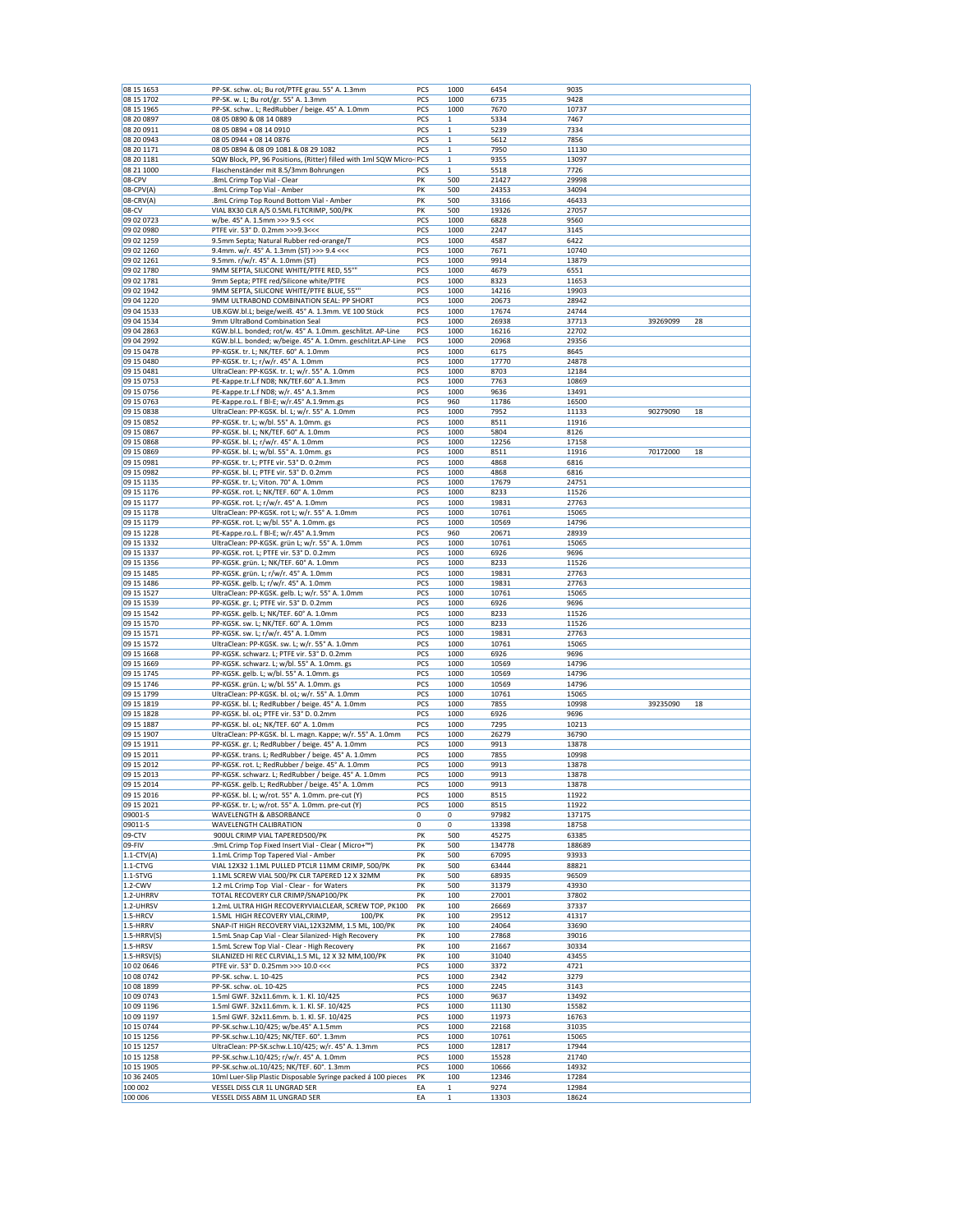| 08 15 1653<br>08 15 1702 | PP-SK. schw. oL; Bu rot/PTFE grau. 55° A. 1.3mm                                                               | PCS | 1000         | 6454   | 9035   |          |    |
|--------------------------|---------------------------------------------------------------------------------------------------------------|-----|--------------|--------|--------|----------|----|
|                          | PP-SK. w. L; Bu rot/gr. 55° A. 1.3mm                                                                          | PCS | 1000         | 6735   | 9428   |          |    |
| 08 15 1965               | PP-SK. schw L; RedRubber / beige. 45° A. 1.0mm                                                                | PCS | 1000         | 7670   | 10737  |          |    |
| 08 20 08 97              | 08 05 0890 & 08 14 0889                                                                                       | PCS | $\mathbf{1}$ | 5334   | 7467   |          |    |
| 08 20 09 11              | 08 05 0894 + 08 14 0910                                                                                       | PCS | $\mathbf{1}$ | 5239   | 7334   |          |    |
| 08 20 0943               | 08 05 0944 + 08 14 0876                                                                                       | PCS | $\mathbf 1$  | 5612   | 7856   |          |    |
| 08 20 1171               | 08 05 0894 & 08 09 1081 & 08 29 1082                                                                          | PCS | $\mathbf{1}$ | 7950   | 11130  |          |    |
| 08 20 1181               | SQW Block, PP, 96 Positions, (Ritter) filled with 1ml SQW Micro- PCS                                          |     | $\mathbf 1$  | 9355   | 13097  |          |    |
| 08 21 1000               | Flaschenständer mit 8.5/3mm Bohrungen                                                                         | PCS | $\,$ 1       | 5518   | 7726   |          |    |
|                          |                                                                                                               |     |              |        |        |          |    |
| 08-CPV                   | .8mL Crimp Top Vial - Clear                                                                                   | PK  | 500          | 21427  | 29998  |          |    |
| 08-CPV(A)                | .8mL Crimp Top Vial - Amber                                                                                   | PK  | 500          | 24353  | 34094  |          |    |
| 08-CRV(A)                | .8mL Crimp Top Round Bottom Vial - Amber                                                                      | PK  | 500          | 33166  | 46433  |          |    |
| 08-CV                    | VIAL 8X30 CLR A/S 0.5ML FLTCRIMP, 500/PK                                                                      | PK  | 500          | 19326  | 27057  |          |    |
| 09 02 0723               | w/be. 45° A. 1.5mm >>> 9.5 <<<                                                                                | PCS | 1000         | 6828   | 9560   |          |    |
| 09 02 0980               | PTFE vir. 53° D. 0.2mm >>>9.3<<<                                                                              | PCS | 1000         | 2247   | 3145   |          |    |
| 09 02 1259               | 9.5mm Septa; Natural Rubber red-orange/T                                                                      | PCS | 1000         | 4587   | 6422   |          |    |
| 09 02 1260               | 9.4mm. w/r. 45° A. 1.3mm (ST) >>> 9.4 <<<                                                                     | PCS | 1000         | 7671   | 10740  |          |    |
| 09 02 1261               | 9.5mm. r/w/r. 45° A. 1.0mm (ST)                                                                               | PCS | 1000         | 9914   | 13879  |          |    |
| 09 02 1780               | 9MM SEPTA, SILICONE WHITE/PTFE RED, 55°"                                                                      | PCS | 1000         | 4679   | 6551   |          |    |
| 09 02 1781               | 9mm Septa; PTFE red/Silicone white/PTFE                                                                       | PCS | 1000         | 8323   | 11653  |          |    |
| 09 02 1942               | 9MM SEPTA, SILICONE WHITE/PTFE BLUE, 55°"                                                                     | PCS | 1000         | 14216  | 19903  |          |    |
| 09 04 1220               | 9MM ULTRABOND COMBINATION SEAL: PP SHORT                                                                      |     |              |        |        |          |    |
|                          |                                                                                                               | PCS | 1000         | 20673  | 28942  |          |    |
| 09 04 1533               | UB.KGW.bl.L; beige/weiß. 45° A. 1.3mm. VE 100 Stück                                                           | PCS | 1000         | 17674  | 24744  |          |    |
| 09 04 1534               | 9mm UltraBond Combination Seal                                                                                | PCS | 1000         | 26938  | 37713  | 39269099 | 28 |
| 09 04 2863               | KGW.bl.L. bonded; rot/w. 45° A. 1.0mm. geschlitzt. AP-Line                                                    | PCS | 1000         | 16216  | 22702  |          |    |
| 09 04 2992               | KGW.bl.L. bonded; w/beige. 45° A. 1.0mm. geschlitzt.AP-Line                                                   | PCS | 1000         | 20968  | 29356  |          |    |
| 09 15 0478               | PP-KGSK. tr. L; NK/TEF. 60° A. 1.0mm                                                                          | PCS | 1000         | 6175   | 8645   |          |    |
| 09 15 0480               | PP-KGSK. tr. L; r/w/r. 45° A. 1.0mm                                                                           | PCS | 1000         | 17770  | 24878  |          |    |
| 09 15 0481               | UltraClean: PP-KGSK. tr. L; w/r. 55° A. 1.0mm                                                                 | PCS | 1000         | 8703   | 12184  |          |    |
| 09 15 0753               | PE-Kappe.tr.L.f ND8; NK/TEF.60° A.1.3mm                                                                       | PCS | 1000         | 7763   | 10869  |          |    |
| 09 15 0756               | PE-Kappe.tr.L.f ND8; w/r. 45° A.1.3mm                                                                         | PCS | 1000         | 9636   | 13491  |          |    |
| 09 15 0763               | PE-Kappe.ro.L. f Bl-E; w/r.45° A.1.9mm.gs                                                                     | PCS | 960          | 11786  | 16500  |          |    |
| 09 15 0838               | UltraClean: PP-KGSK. bl. L; w/r. 55° A. 1.0mm                                                                 | PCS | 1000         | 7952   | 11133  | 90279090 | 18 |
|                          |                                                                                                               | PCS | 1000         | 8511   | 11916  |          |    |
| 09 15 0852               | PP-KGSK. tr. L; w/bl. 55° A. 1.0mm. gs                                                                        |     |              |        |        |          |    |
| 09 15 0867               | PP-KGSK. bl. L; NK/TEF. 60° A. 1.0mm                                                                          | PCS | 1000         | 5804   | 8126   |          |    |
| 09 15 0868               | PP-KGSK. bl. L; r/w/r. 45° A. 1.0mm                                                                           | PCS | 1000         | 12256  | 17158  |          |    |
| 09 15 0869               | PP-KGSK. bl. L; w/bl. 55° A. 1.0mm. gs                                                                        | PCS | 1000         | 8511   | 11916  | 70172000 | 18 |
| 09 15 09 81              | PP-KGSK. tr. L; PTFE vir. 53° D. 0.2mm                                                                        | PCS | 1000         | 4868   | 6816   |          |    |
| 09 15 09 82              | PP-KGSK. bl. L; PTFE vir. 53° D. 0.2mm                                                                        | PCS | 1000         | 4868   | 6816   |          |    |
| 09 15 1135               | PP-KGSK. tr. L; Viton. 70° A. 1.0mm                                                                           | PCS | 1000         | 17679  | 24751  |          |    |
| 09 15 1176               | PP-KGSK. rot. L; NK/TEF. 60° A. 1.0mm                                                                         | PCS | 1000         | 8233   | 11526  |          |    |
| 09 15 1177               | PP-KGSK. rot. L; r/w/r. 45° A. 1.0mm                                                                          | PCS | 1000         | 19831  | 27763  |          |    |
| 09 15 1178               | UltraClean: PP-KGSK. rot L; w/r. 55° A. 1.0mm                                                                 | PCS | 1000         | 10761  | 15065  |          |    |
| 09 15 1179               | PP-KGSK. rot. L; w/bl. 55° A. 1.0mm. gs                                                                       | PCS | 1000         | 10569  | 14796  |          |    |
| 09 15 1228               | PE-Kappe.ro.L. f Bl-E; w/r.45° A.1.9mm                                                                        | PCS | 960          | 20671  | 28939  |          |    |
| 09 15 1332               | UltraClean: PP-KGSK. grün L; w/r. 55° A. 1.0mm                                                                | PCS | 1000         | 10761  | 15065  |          |    |
|                          |                                                                                                               |     |              |        |        |          |    |
| 09 15 1337               | PP-KGSK. rot. L; PTFE vir. 53° D. 0.2mm                                                                       | PCS | 1000         | 6926   | 9696   |          |    |
| 09 15 1356               | PP-KGSK. grün. L; NK/TEF. 60° A. 1.0mm                                                                        | PCS | 1000         | 8233   | 11526  |          |    |
| 09 15 1485               | PP-KGSK. grün. L; r/w/r. 45° A. 1.0mm                                                                         | PCS | 1000         | 19831  | 27763  |          |    |
| 09 15 1486               | PP-KGSK. gelb. L; r/w/r. 45° A. 1.0mm                                                                         | PCS | 1000         | 19831  | 27763  |          |    |
| 09 15 15 27              | UltraClean: PP-KGSK. gelb. L; w/r. 55° A. 1.0mm                                                               | PCS | 1000         | 10761  | 15065  |          |    |
| 09 15 15 39              | PP-KGSK. gr. L; PTFE vir. 53° D. 0.2mm                                                                        | PCS | 1000         | 6926   | 9696   |          |    |
|                          | PP-KGSK. gelb. L; NK/TEF. 60° A. 1.0mm                                                                        | PCS | 1000         | 8233   | 11526  |          |    |
|                          |                                                                                                               |     |              |        |        |          |    |
| 09 15 15 42              |                                                                                                               |     |              |        |        |          |    |
| 09 15 1570               | PP-KGSK. sw. L; NK/TEF. 60° A. 1.0mm                                                                          | PCS | 1000         | 8233   | 11526  |          |    |
| 09 15 15 71              | PP-KGSK. sw. L; r/w/r. 45° A. 1.0mm                                                                           | PCS | 1000         | 19831  | 27763  |          |    |
| 09 15 15 72              | UltraClean: PP-KGSK. sw. L; w/r. 55° A. 1.0mm                                                                 | PCS | 1000         | 10761  | 15065  |          |    |
| 09 15 1668               | PP-KGSK. schwarz. L; PTFE vir. 53° D. 0.2mm                                                                   | PCS | 1000         | 6926   | 9696   |          |    |
| 09 15 1669               | PP-KGSK. schwarz. L; w/bl. 55° A. 1.0mm. gs                                                                   | PCS | 1000         | 10569  | 14796  |          |    |
| 09 15 1745               | PP-KGSK. gelb. L; w/bl. 55° A. 1.0mm. gs                                                                      | PCS | 1000         | 10569  | 14796  |          |    |
| 09 15 1746               | PP-KGSK. grün. L; w/bl. 55° A. 1.0mm. gs                                                                      | PCS | 1000         | 10569  | 14796  |          |    |
| 09 15 1799               | UltraClean: PP-KGSK. bl. oL; w/r. 55° A. 1.0mm                                                                | PCS | 1000         | 10761  | 15065  |          |    |
| 09 15 18 19              | PP-KGSK. bl. L; RedRubber / beige. 45° A. 1.0mm                                                               | PCS | 1000         | 7855   | 10998  | 39235090 | 18 |
| 09 15 1828               | PP-KGSK. bl. oL; PTFE vir. 53° D. 0.2mm                                                                       | PCS | 1000         | 6926   | 9696   |          |    |
| 09 15 1887               | PP-KGSK. bl. oL; NK/TEF. 60° A. 1.0mm                                                                         | PCS | 1000         | 7295   | 10213  |          |    |
| 09 15 1907               |                                                                                                               | PCS | 1000         | 26279  | 36790  |          |    |
| 09 15 1911               | UltraClean: PP-KGSK. bl. L. magn. Kappe; w/r. 55° A. 1.0mm<br>PP-KGSK. gr. L; RedRubber / beige. 45° A. 1.0mm |     |              |        |        |          |    |
|                          |                                                                                                               | PCS | 1000         | 9913   | 13878  |          |    |
| 09 15 2011               | PP-KGSK. trans. L; RedRubber / beige. 45° A. 1.0mm                                                            | PCS | 1000         | 7855   | 10998  |          |    |
| 09 15 2012               | PP-KGSK. rot. L; RedRubber / beige. 45° A. 1.0mm                                                              | PCS | 1000         | 9913   | 13878  |          |    |
| 09 15 2013               | PP-KGSK. schwarz. L; RedRubber / beige. 45° A. 1.0mm                                                          | PCS | 1000         | 9913   | 13878  |          |    |
| 09 15 2014               | PP-KGSK. gelb. L; RedRubber / beige. 45° A. 1.0mm                                                             | PCS | 1000         | 9913   | 13878  |          |    |
| 09 15 2016               | PP-KGSK. bl. L; w/rot. 55° A. 1.0mm. pre-cut (Y)                                                              | PCS | 1000         | 8515   | 11922  |          |    |
| 09 15 2021               | PP-KGSK. tr. L; w/rot. 55° A. 1.0mm. pre-cut (Y)                                                              | PCS | 1000         | 8515   | 11922  |          |    |
| 09001-S                  | WAVELENGTH & ABSORBANCE                                                                                       | 0   | 0            | 97982  | 137175 |          |    |
| 09011-S                  | WAVELENGTH CALIBRATION                                                                                        | 0   | 0            | 13398  | 18758  |          |    |
| 09-CTV                   | 900UL CRIMP VIAL TAPERED500/PK                                                                                | PK  | 500          | 45275  | 63385  |          |    |
| 09-FIV                   | .9mL Crimp Top Fixed Insert Vial - Clear ( Micro+™)                                                           | PK  | 500          | 134778 | 188689 |          |    |
| $1.1$ -CTV(A)            | 1.1mL Crimp Top Tapered Vial - Amber                                                                          | PK  | 500          | 67095  | 93933  |          |    |
| $1.1 - CTVG$             | VIAL 12X32 1.1ML PULLED PTCLR 11MM CRIMP, 500/PK                                                              | PK  | 500          | 63444  | 88821  |          |    |
| $1.1 - STVG$             | 1.1ML SCREW VIAL 500/PK CLR TAPERED 12 X 32MM                                                                 | PK  | 500          | 68935  | 96509  |          |    |
| 1.2-CWV                  | 1.2 mL Crimp Top Vial - Clear - for Waters                                                                    | PK  | 500          | 31379  | 43930  |          |    |
|                          |                                                                                                               |     |              |        |        |          |    |
| 1.2-UHRRV                | TOTAL RECOVERY CLR CRIMP/SNAP100/PK                                                                           | PK  | 100          | 27001  | 37802  |          |    |
| 1.2-UHRSV                | 1.2mL ULTRA HIGH RECOVERYVIALCLEAR, SCREW TOP, PK100                                                          | PK  | 100          | 26669  | 37337  |          |    |
| 1.5-HRCV                 | 1.5ML HIGH RECOVERY VIAL, CRIMP,<br>100/PK                                                                    | PK  | 100          | 29512  | 41317  |          |    |
| 1.5-HRRV                 | SNAP-IT HIGH RECOVERY VIAL, 12X32MM, 1.5 ML, 100/PK                                                           | PK  | 100          | 24064  | 33690  |          |    |
| $1.5-HRRV(S)$            | 1.5mL Snap Cap Vial - Clear Silanized- High Recovery                                                          | PK  | 100          | 27868  | 39016  |          |    |
| 1.5-HRSV                 | 1.5mL Screw Top Vial - Clear - High Recovery                                                                  | PK  | 100          | 21667  | 30334  |          |    |
| $1.5-HRSV(S)$            | SILANIZED HI REC CLRVIAL, 1.5 ML, 12 X 32 MM, 100/PK                                                          | PK  | 100          | 31040  | 43455  |          |    |
| 10 02 0646               | PTFE vir. 53° D. 0.25mm >>> 10.0 <<<                                                                          | PCS | 1000         | 3372   | 4721   |          |    |
| 10 08 0742               | PP-SK. schw. L. 10-425                                                                                        | PCS | 1000         | 2342   | 3279   |          |    |
| 10 08 1899               | PP-SK. schw. oL. 10-425                                                                                       | PCS | 1000         | 2245   | 3143   |          |    |
| 10 09 0743               | 1.5ml GWF. 32x11.6mm. k. 1. Kl. 10/425                                                                        | PCS | 1000         | 9637   | 13492  |          |    |
|                          |                                                                                                               |     |              |        |        |          |    |
| 10 09 1196               | 1.5ml GWF. 32x11.6mm. k. 1. Kl. SF. 10/425                                                                    | PCS | 1000         | 11130  | 15582  |          |    |
| 10 09 1197               | 1.5ml GWF. 32x11.6mm. b. 1. Kl. SF. 10/425                                                                    | PCS | 1000         | 11973  | 16763  |          |    |
| 10 15 0744               | PP-SK.schw.L.10/425; w/be.45° A.1.5mm                                                                         | PCS | 1000         | 22168  | 31035  |          |    |
| 10 15 1256               | PP-SK.schw.L.10/425; NK/TEF. 60°. 1.3mm                                                                       | PCS | 1000         | 10761  | 15065  |          |    |
| 10 15 1257               | UltraClean: PP-SK.schw.L.10/425; w/r. 45° A. 1.3mm                                                            | PCS | 1000         | 12817  | 17944  |          |    |
| 10 15 1258               | PP-SK.schw.L.10/425; r/w/r. 45° A. 1.0mm                                                                      | PCS | 1000         | 15528  | 21740  |          |    |
| 10 15 1905               | PP-SK.schw.oL.10/425; NK/TEF. 60°. 1.3mm                                                                      | PCS | 1000         | 10666  | 14932  |          |    |
| 10 36 2405               | 10ml Luer-Slip Plastic Disposable Syringe packed á 100 pieces                                                 | PK  | 100          | 12346  | 17284  |          |    |
| 100 002                  | VESSEL DISS CLR 1L UNGRAD SER                                                                                 | EA  | $\mathbf{1}$ | 9274   | 12984  |          |    |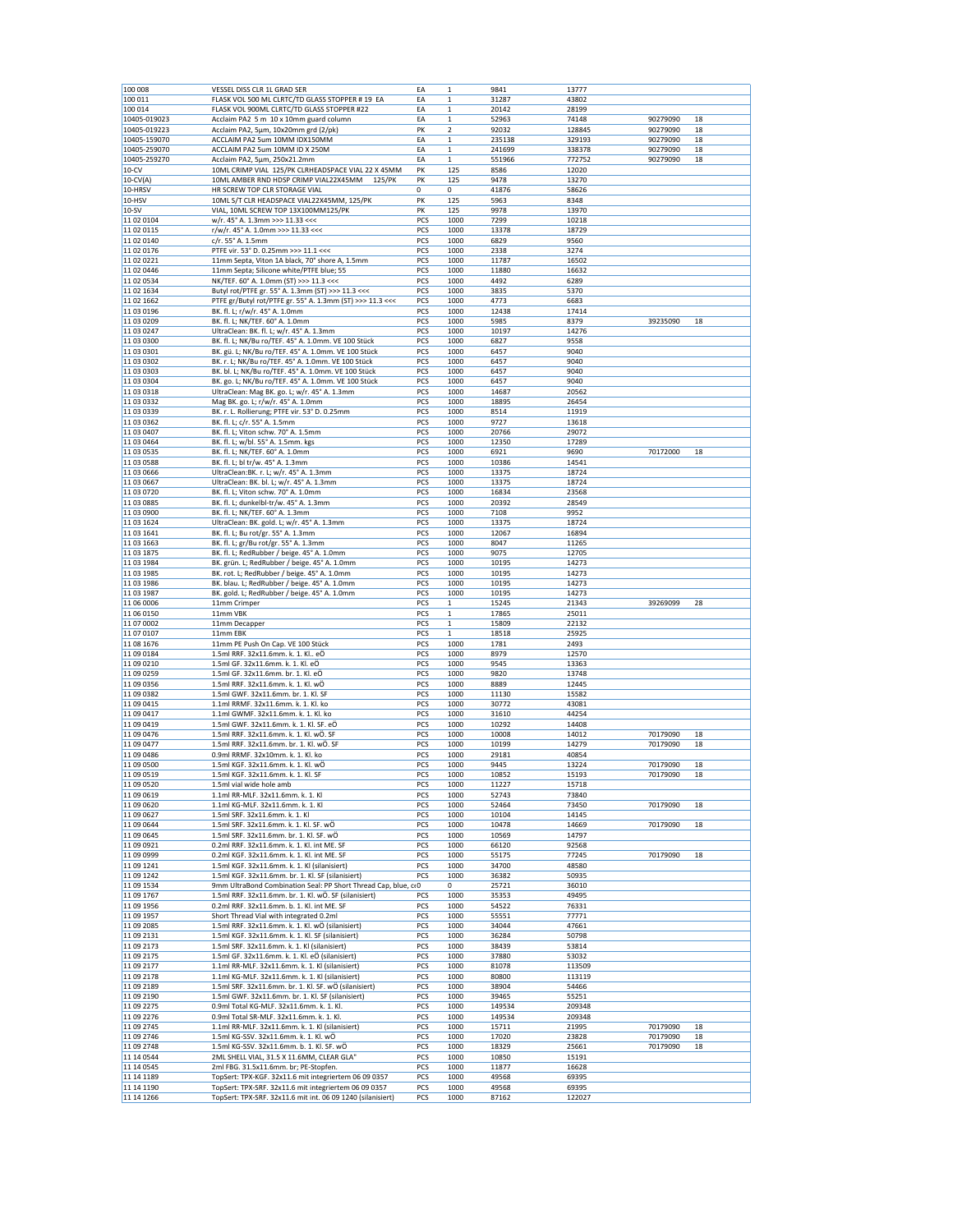| 100 008                   | VESSEL DISS CLR 1L GRAD SER                                                                               | EA         | $\mathbf 1$             | 9841           | 13777          |          |    |
|---------------------------|-----------------------------------------------------------------------------------------------------------|------------|-------------------------|----------------|----------------|----------|----|
| 100 011                   | FLASK VOL 500 ML CLRTC/TD GLASS STOPPER # 19 EA                                                           | EA         | $\mathbf 1$             | 31287          | 43802          |          |    |
| 100 014                   | FLASK VOL 900ML CLRTC/TD GLASS STOPPER #22                                                                | EA         | $\mathbf{1}$            | 20142          | 28199          |          |    |
| 10405-019023              | Acclaim PA2 5 m 10 x 10mm guard column                                                                    | EA         | $\,1$                   | 52963          | 74148          | 90279090 | 18 |
| 10405-019223              | Acclaim PA2, 5µm, 10x20mm grd (2/pk)                                                                      | PK         | $\overline{\mathbf{2}}$ | 92032          | 128845         | 90279090 | 18 |
| 10405-159070              | ACCLAIM PA2 5um 10MM IDX150MM                                                                             | EA         | $\mathbf 1$             | 235138         | 329193         | 90279090 | 18 |
| 10405-259070              | ACCLAIM PA2 5um 10MM ID X 250M                                                                            | EA         | $\mathbf 1$             | 241699         | 338378         | 90279090 | 18 |
| 10405-259270              | Acclaim PA2, 5µm, 250x21.2mm                                                                              | EA         | $\mathbf{1}$            | 551966         | 772752         | 90279090 | 18 |
| $10-CV$                   | 10ML CRIMP VIAL 125/PK CLRHEADSPACE VIAL 22 X 45MM                                                        | PK         | 125                     | 8586           | 12020          |          |    |
| $10$ -CV(A)               | 10ML AMBER RND HDSP CRIMP VIAL22X45MM 125/PK                                                              | PK         | 125                     | 9478           | 13270          |          |    |
| 10-HRSV                   | HR SCREW TOP CLR STORAGE VIAL                                                                             | 0          | 0                       | 41876          | 58626          |          |    |
| 10-HSV                    | 10ML S/T CLR HEADSPACE VIAL22X45MM, 125/PK                                                                | PK         | 125                     | 5963           | 8348           |          |    |
| $10-SV$                   | VIAL, 10ML SCREW TOP 13X100MM125/PK                                                                       | PK         | 125                     | 9978           | 13970          |          |    |
| 11 02 0104                | w/r. 45° A. 1.3mm >>> 11.33 <<<                                                                           | PCS        | 1000                    | 7299           | 10218          |          |    |
| 11 02 0115                | r/w/r. 45° A. 1.0mm >>> 11.33 <<<                                                                         | PCS        | 1000                    | 13378          | 18729          |          |    |
| 11 02 0140                | c/r. 55° A. 1.5mm                                                                                         | PCS        | 1000                    | 6829           | 9560           |          |    |
| 11 02 0176                | PTFE vir. 53° D. 0.25mm >>> 11.1 <<<                                                                      | PCS        | 1000                    | 2338           | 3274           |          |    |
| 11 02 0221                | 11mm Septa, Viton 1A black, 70° shore A, 1.5mm                                                            | PCS        | 1000                    | 11787          | 16502          |          |    |
| 11 02 0446                | 11mm Septa; Silicone white/PTFE blue; 55                                                                  | PCS        | 1000                    | 11880          | 16632          |          |    |
| 11 02 0534                | NK/TEF. 60° A. 1.0mm (ST) >>> 11.3 <<<                                                                    | PCS        | 1000                    | 4492           | 6289           |          |    |
| 11 02 1634                | Butyl rot/PTFE gr. 55° A. 1.3mm (ST) >>> 11.3 <<<                                                         | PCS        | 1000                    | 3835           | 5370           |          |    |
| 11 02 1662                | PTFE gr/Butyl rot/PTFE gr. 55° A. 1.3mm (ST) >>> 11.3 <<<                                                 | PCS        | 1000                    | 4773           | 6683           |          |    |
| 11 03 0196                | BK. fl. L; r/w/r. 45° A. 1.0mm                                                                            | PCS        | 1000                    | 12438          | 17414          |          |    |
| 11 03 0209                | BK. fl. L; NK/TEF. 60° A. 1.0mm                                                                           | PCS        | 1000                    | 5985           | 8379           | 39235090 | 18 |
| 11 03 0247                | UltraClean: BK. fl. L; w/r. 45° A. 1.3mm                                                                  | PCS        | 1000                    | 10197          | 14276          |          |    |
| 11 03 0300                | BK. fl. L; NK/Bu ro/TEF. 45° A. 1.0mm. VE 100 Stück                                                       | PCS        | 1000                    | 6827           | 9558           |          |    |
|                           |                                                                                                           |            |                         |                |                |          |    |
| 11 03 0301                | BK. gü. L; NK/Bu ro/TEF. 45° A. 1.0mm. VE 100 Stück<br>BK. r. L; NK/Bu ro/TEF. 45° A. 1.0mm. VE 100 Stück | PCS<br>PCS | 1000<br>1000            | 6457<br>6457   | 9040<br>9040   |          |    |
| 11 03 0302                |                                                                                                           |            |                         |                |                |          |    |
| 11 03 0303                | BK. bl. L; NK/Bu ro/TEF. 45° A. 1.0mm. VE 100 Stück                                                       | PCS        | 1000                    | 6457           | 9040           |          |    |
| 11 03 0304<br>11 03 03 18 | BK. go. L; NK/Bu ro/TEF. 45° A. 1.0mm. VE 100 Stück<br>UltraClean: Mag BK. go. L; w/r. 45° A. 1.3mm       | PCS        | 1000<br>1000            | 6457<br>14687  | 9040<br>20562  |          |    |
| 11 03 0332                | Mag BK. go. L; r/w/r. 45° A. 1.0mm                                                                        | PCS<br>PCS | 1000                    | 18895          | 26454          |          |    |
|                           |                                                                                                           |            |                         |                |                |          |    |
| 11 03 0339<br>11 03 0362  | BK. r. L. Rollierung; PTFE vir. 53° D. 0.25mm<br>BK. fl. L; c/r. 55° A. 1.5mm                             | PCS        | 1000                    | 8514           | 11919          |          |    |
|                           | BK. fl. L; Viton schw. 70° A. 1.5mm                                                                       | PCS        | 1000                    | 9727           | 13618          |          |    |
| 11 03 0407                |                                                                                                           | PCS        | 1000                    | 20766          | 29072          |          |    |
| 11 03 04 64               | BK. fl. L; w/bl. 55° A. 1.5mm. kgs<br>BK. fl. L; NK/TEF. 60° A. 1.0mm                                     | PCS        | 1000<br>1000            | 12350          | 17289          |          |    |
| 11 03 0535                | BK. fl. L; bl tr/w. 45° A. 1.3mm                                                                          | PCS        | 1000                    | 6921           | 9690<br>14541  | 70172000 | 18 |
| 11 03 0588                |                                                                                                           | PCS<br>PCS | 1000                    | 10386          |                |          |    |
| 11 03 0666<br>11 03 0667  | UltraClean:BK. r. L; w/r. 45° A. 1.3mm<br>UltraClean: BK. bl. L; w/r. 45° A. 1.3mm                        | PCS        | 1000                    | 13375<br>13375 | 18724<br>18724 |          |    |
| 11 03 07 20               | BK. fl. L; Viton schw. 70° A. 1.0mm                                                                       | PCS        | 1000                    | 16834          | 23568          |          |    |
| 11 03 0885                |                                                                                                           | PCS        | 1000                    |                | 28549          |          |    |
|                           | BK. fl. L; dunkelbl-tr/w. 45° A. 1.3mm<br>BK. fl. L; NK/TEF. 60° A. 1.3mm                                 | PCS        | 1000                    | 20392<br>7108  | 9952           |          |    |
| 11 03 0900<br>11 03 1624  | UltraClean: BK. gold. L; w/r. 45° A. 1.3mm                                                                | PCS        | 1000                    | 13375          | 18724          |          |    |
| 11 03 1641                |                                                                                                           | PCS        | 1000                    | 12067          | 16894          |          |    |
| 11 03 1663                | BK. fl. L; Bu rot/gr. 55° A. 1.3mm<br>BK. fl. L; gr/Bu rot/gr. 55° A. 1.3mm                               | PCS        | 1000                    | 8047           | 11265          |          |    |
| 11 03 1875                | BK. fl. L; RedRubber / beige. 45° A. 1.0mm                                                                | PCS        | 1000                    | 9075           | 12705          |          |    |
|                           |                                                                                                           | PCS        |                         |                |                |          |    |
| 11 03 1984<br>11 03 1985  | BK. grün. L; RedRubber / beige. 45° A. 1.0mm                                                              | PCS        | 1000<br>1000            | 10195<br>10195 | 14273<br>14273 |          |    |
| 11 03 1986                | BK. rot. L; RedRubber / beige. 45° A. 1.0mm<br>BK. blau. L; RedRubber / beige. 45° A. 1.0mm               | PCS        | 1000                    | 10195          | 14273          |          |    |
| 11 03 1987                | BK. gold. L; RedRubber / beige. 45° A. 1.0mm                                                              | PCS        | 1000                    | 10195          | 14273          |          |    |
| 11 06 0006                | 11mm Crimper                                                                                              | PCS        | $\mathbf{1}$            | 15245          | 21343          | 39269099 | 28 |
| 11 06 0150                | 11mm VBK                                                                                                  | PCS        | $\mathbf{1}$            | 17865          | 25011          |          |    |
| 11 07 0002                | 11mm Decapper                                                                                             | PCS        | $\mathbf{1}$            | 15809          | 22132          |          |    |
| 11 07 0107                | 11mm EBK                                                                                                  | PCS        | $\mathbf{1}$            | 18518          | 25925          |          |    |
| 11 08 1676                | 11mm PE Push On Cap. VE 100 Stück                                                                         | PCS        | 1000                    | 1781           | 2493           |          |    |
| 11 09 0184                | 1.5ml RRF. 32x11.6mm. k. 1. Kl eÖ                                                                         | PCS        | 1000                    | 8979           | 12570          |          |    |
| 11 09 02 10               | 1.5ml GF. 32x11.6mm. k. 1. Kl. eÖ                                                                         | PCS        | 1000                    | 9545           | 13363          |          |    |
| 11 09 0259                | 1.5ml GF. 32x11.6mm. br. 1. Kl. eÖ                                                                        | PCS        | 1000                    | 9820           | 13748          |          |    |
| 11 09 0356                | 1.5ml RRF. 32x11.6mm. k. 1. Kl. wÖ                                                                        | PCS        | 1000                    | 8889           | 12445          |          |    |
| 11 09 0382                | 1.5ml GWF. 32x11.6mm. br. 1. Kl. SF                                                                       | PCS        | 1000                    | 11130          | 15582          |          |    |
| 11 09 04 15               | 1.1ml RRMF. 32x11.6mm. k. 1. Kl. ko                                                                       | PCS        | 1000                    | 30772          | 43081          |          |    |
| 11 09 04 17               | 1.1ml GWMF. 32x11.6mm. k. 1. Kl. ko                                                                       | PCS        | 1000                    | 31610          | 44254          |          |    |
| 11 09 04 19               | 1.5ml GWF. 32x11.6mm. k. 1. Kl. SF. eÖ                                                                    | PCS        | 1000                    | 10292          | 14408          |          |    |
| 11 09 0476                | 1.5ml RRF. 32x11.6mm. k. 1. Kl. wÖ. SF                                                                    | PCS        | 1000                    | 10008          | 14012          | 70179090 | 18 |
| 11 09 0477                | 1.5ml RRF. 32x11.6mm. br. 1. Kl. wÖ. SF                                                                   | PCS        | 1000                    | 10199          | 14279          | 70179090 | 18 |
| 11 09 0486                | 0.9ml RRMF. 32x10mm. k. 1. Kl. ko                                                                         | PCS        | 1000                    | 29181          | 40854          |          |    |
| 11 09 0500                | 1.5ml KGF. 32x11.6mm. k. 1. Kl. wÖ                                                                        | PCS        | 1000                    | 9445           | 13224          | 70179090 | 18 |
| 11 09 05 19               | 1.5ml KGF. 32x11.6mm. k. 1. Kl. SF                                                                        | PCS        | 1000                    | 10852          | 15193          | 70179090 | 18 |
| 11 09 05 20               | 1.5ml vial wide hole amb                                                                                  | PCS        | 1000                    | 11227          | 15718          |          |    |
| 11 09 06 19               | 1.1ml RR-MLF. 32x11.6mm. k. 1. Kl                                                                         | PCS        | 1000                    | 52743          | 73840          |          |    |
| 11 09 06 20               | 1.1ml KG-MLF. 32x11.6mm. k. 1. Kl                                                                         | PCS        | 1000                    | 52464          | 73450          | 70179090 | 18 |
| 11 09 06 27               | 1.5ml SRF. 32x11.6mm. k. 1. Kl                                                                            | PCS        | 1000                    | 10104          | 14145          |          |    |
| 11 09 0644                | 1.5ml SRF. 32x11.6mm. k. 1. Kl. SF. wÖ                                                                    | PCS        | 1000                    | 10478          | 14669          | 70179090 | 18 |
| 11 09 0645                | 1.5ml SRF. 32x11.6mm. br. 1. Kl. SF. wÖ                                                                   | PCS        | 1000                    | 10569          | 14797          |          |    |
|                           |                                                                                                           | PCS        | 1000                    | 66120          | 92568          |          |    |
| 11 09 09 21               | 0.2ml RRF. 32x11.6mm. k. 1. Kl. int ME. SF                                                                |            |                         |                | 77245          | 70179090 | 18 |
| 11 09 0999                | 0.2ml KGF. 32x11.6mm. k. 1. Kl. int ME. SF                                                                | PCS        | 1000                    | 55175          |                |          |    |
| 11 09 1241                | 1.5ml KGF. 32x11.6mm. k. 1. Kl (silanisiert)                                                              | PCS        | 1000                    | 34700          | 48580          |          |    |
| 11 09 1242                | 1.5ml KGF. 32x11.6mm. br. 1. Kl. SF (silanisiert)                                                         | PCS        | 1000                    | 36382          | 50935          |          |    |
| 11 09 15 34               | 9mm UltraBond Combination Seal: PP Short Thread Cap, blue, coO                                            |            | 0                       | 25721          | 36010          |          |    |
| 11 09 1767                | 1.5ml RRF. 32x11.6mm. br. 1. Kl. wÖ. SF (silanisiert)                                                     | PCS        | 1000                    | 35353          | 49495          |          |    |
| 11 09 1956                | 0.2ml RRF. 32x11.6mm. b. 1. Kl. int ME. SF                                                                | PCS        | 1000                    | 54522          | 76331          |          |    |
| 11 09 1957                | Short Thread Vial with integrated 0.2ml                                                                   | PCS        | 1000                    | 55551          | 77771          |          |    |
| 11 09 2085                | 1.5ml RRF. 32x11.6mm. k. 1. Kl. wÖ (silanisiert)                                                          | PCS        | 1000                    | 34044          | 47661          |          |    |
| 11 09 21 31               | 1.5ml KGF. 32x11.6mm. k. 1. Kl. SF (silanisiert)                                                          | PCS        | 1000                    | 36284          | 50798          |          |    |
| 11 09 2173                | 1.5ml SRF. 32x11.6mm. k. 1. Kl (silanisiert)                                                              | PCS        | 1000                    | 38439          | 53814          |          |    |
| 11 09 2175                | 1.5ml GF. 32x11.6mm. k. 1. Kl. eÖ (silanisiert)                                                           | PCS        | 1000                    | 37880          | 53032          |          |    |
| 11 09 2177                | 1.1ml RR-MLF. 32x11.6mm. k. 1. KI (silanisiert)                                                           | PCS        | 1000                    | 81078          | 113509         |          |    |
| 11 09 2178                | 1.1ml KG-MLF. 32x11.6mm. k. 1. Kl (silanisiert)                                                           | PCS        | 1000                    | 80800          | 113119         |          |    |
| 11 09 2189                | 1.5ml SRF. 32x11.6mm. br. 1. Kl. SF. wÖ (silanisiert)                                                     | PCS        | 1000                    | 38904          | 54466          |          |    |
| 11 09 2190                | 1.5ml GWF. 32x11.6mm. br. 1. Kl. SF (silanisiert)                                                         | PCS        | 1000                    | 39465          | 55251          |          |    |
| 11 09 2275                | 0.9ml Total KG-MLF. 32x11.6mm. k. 1. Kl.                                                                  | PCS        | 1000                    | 149534         | 209348         |          |    |
| 11 09 2276                | 0.9ml Total SR-MLF. 32x11.6mm. k. 1. Kl.                                                                  | PCS        | 1000                    | 149534         | 209348         |          |    |
| 11 09 2745                | 1.1ml RR-MLF. 32x11.6mm. k. 1. KI (silanisiert)                                                           | PCS        | 1000                    | 15711          | 21995          | 70179090 | 18 |
| 11 09 2746                | 1.5ml KG-SSV. 32x11.6mm. k. 1. Kl. wÖ                                                                     | PCS        | 1000                    | 17020          | 23828          | 70179090 | 18 |
| 11 09 2748                | 1.5ml KG-SSV. 32x11.6mm. b. 1. Kl. SF. wO                                                                 | PCS        | 1000                    | 18329          | 25661          | 70179090 | 18 |
| 11 14 0544                | 2ML SHELL VIAL, 31.5 X 11.6MM, CLEAR GLA"                                                                 | PCS        | 1000                    | 10850          | 15191          |          |    |
| 11 14 0545<br>11 14 1189  | 2ml FBG. 31.5x11.6mm. br; PE-Stopfen.<br>TopSert: TPX-KGF. 32x11.6 mit integriertem 06 09 0357            | PCS<br>PCS | 1000<br>1000            | 11877<br>49568 | 16628<br>69395 |          |    |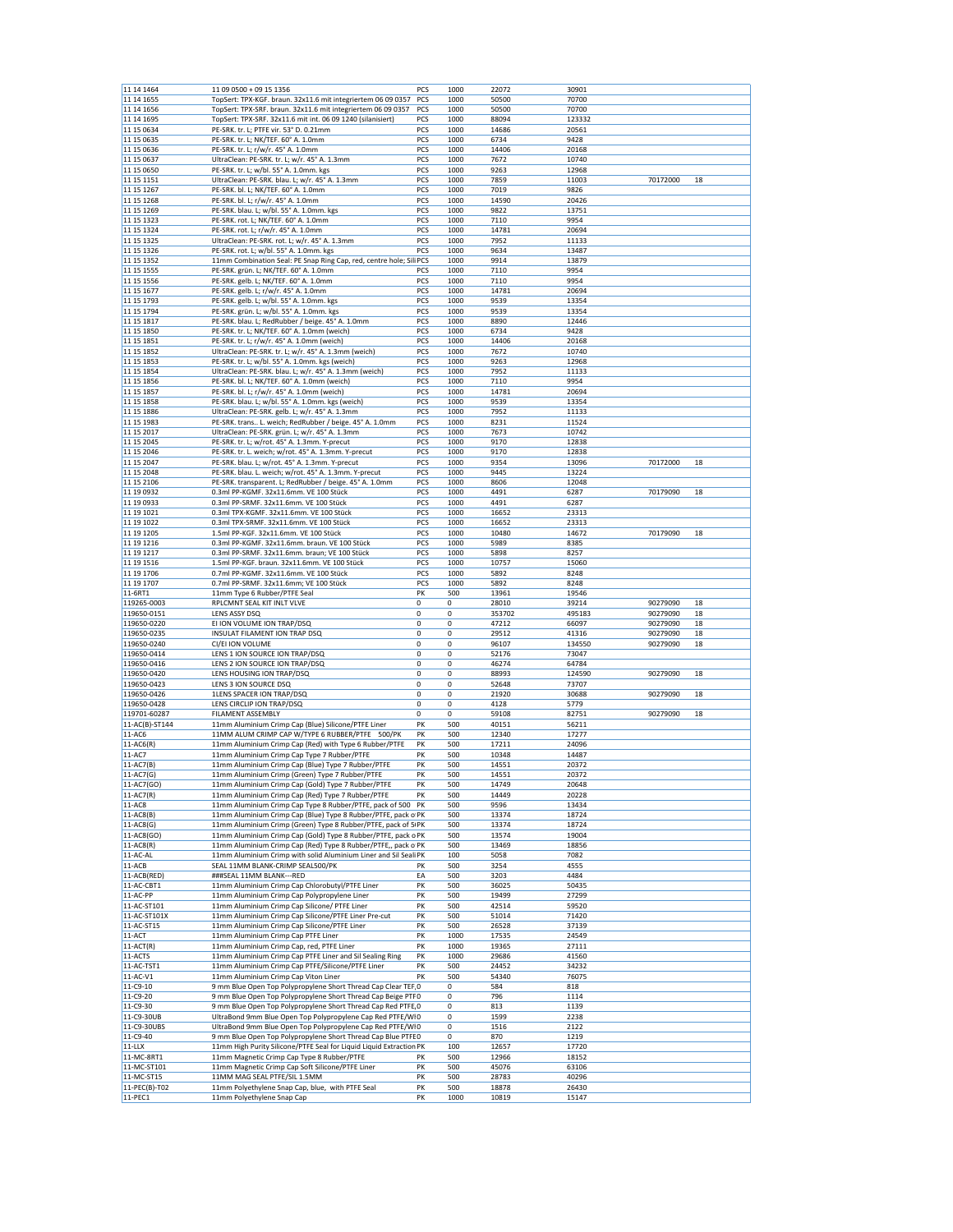| 11 14 14 64              | 11 09 0500 + 09 15 1356                                                        | PCS         | 1000        | 22072          | 30901          |          |    |
|--------------------------|--------------------------------------------------------------------------------|-------------|-------------|----------------|----------------|----------|----|
| 11 14 1655               | TopSert: TPX-KGF. braun. 32x11.6 mit integriertem 06 09 0357                   | PCS         | 1000        | 50500          | 70700          |          |    |
| 11 14 1656               | TopSert: TPX-SRF. braun. 32x11.6 mit integriertem 06 09 0357                   | PCS         | 1000        | 50500          | 70700          |          |    |
| 11 14 16 95              | TopSert: TPX-SRF. 32x11.6 mit int. 06 09 1240 (silanisiert)                    | PCS         | 1000        | 88094          | 123332         |          |    |
| 11 15 06 34              | PE-SRK. tr. L; PTFE vir. 53° D. 0.21mm                                         | PCS         | 1000        | 14686          | 20561          |          |    |
| 11 15 06 35              | PE-SRK. tr. L; NK/TEF. 60° A. 1.0mm                                            | PCS         | 1000        | 6734           | 9428           |          |    |
|                          |                                                                                |             |             |                |                |          |    |
| 11 15 0636               | PE-SRK. tr. L; r/w/r. 45° A. 1.0mm                                             | PCS         | 1000        | 14406          | 20168          |          |    |
| 11 15 0637               | UltraClean: PE-SRK. tr. L; w/r. 45° A. 1.3mm                                   | PCS         | 1000        | 7672           | 10740          |          |    |
| 11 15 0650               | PE-SRK. tr. L; w/bl. 55° A. 1.0mm. kgs                                         | PCS         | 1000        | 9263           | 12968          |          |    |
| 11 15 1151               | UltraClean: PE-SRK. blau. L; w/r. 45° A. 1.3mm                                 | PCS         | 1000        | 7859           | 11003          | 70172000 | 18 |
| 11 15 1267               | PE-SRK. bl. L; NK/TEF. 60° A. 1.0mm                                            | PCS         | 1000        | 7019           | 9826           |          |    |
|                          |                                                                                | PCS         | 1000        |                | 20426          |          |    |
| 11 15 1268               | PE-SRK. bl. L; r/w/r. 45° A. 1.0mm                                             |             |             | 14590          |                |          |    |
| 11 15 1269               | PE-SRK. blau. L; w/bl. 55° A. 1.0mm. kgs                                       | PCS         | 1000        | 9822           | 13751          |          |    |
| 11 15 1323               | PE-SRK. rot. L; NK/TEF. 60° A. 1.0mm                                           | PCS         | 1000        | 7110           | 9954           |          |    |
| 11 15 1324               | PE-SRK. rot. L; r/w/r. 45° A. 1.0mm                                            | PCS         | 1000        | 14781          | 20694          |          |    |
| 11 15 1325               | UltraClean: PE-SRK. rot. L; w/r. 45° A. 1.3mm                                  | PCS         | 1000        | 7952           | 11133          |          |    |
| 11 15 1326               | PE-SRK. rot. L; w/bl. 55° A. 1.0mm. kgs                                        | PCS         | 1000        | 9634           | 13487          |          |    |
| 11 15 1352               | 11mm Combination Seal: PE Snap Ring Cap, red, centre hole; Sili PCS            |             | 1000        | 9914           | 13879          |          |    |
|                          |                                                                                |             |             |                |                |          |    |
| 11 15 1555               | PE-SRK. grün. L; NK/TEF. 60° A. 1.0mm                                          | PCS         | 1000        | 7110           | 9954           |          |    |
| 11 15 1556               | PE-SRK. gelb. L; NK/TEF. 60° A. 1.0mm                                          | PCS         | 1000        | 7110           | 9954           |          |    |
| 11 15 1677               | PE-SRK. gelb. L; r/w/r. 45° A. 1.0mm                                           | PCS         | 1000        | 14781          | 20694          |          |    |
| 11 15 1793               | PE-SRK. gelb. L; w/bl. 55° A. 1.0mm. kgs                                       | PCS         | 1000        | 9539           | 13354          |          |    |
| 11 15 1794               | PE-SRK. grün. L; w/bl. 55° A. 1.0mm. kgs                                       | PCS         | 1000        | 9539           | 13354          |          |    |
| 11 15 1817               | PE-SRK. blau. L; RedRubber / beige. 45° A. 1.0mm                               | PCS         | 1000        | 8890           | 12446          |          |    |
| 11 15 1850               | PE-SRK. tr. L; NK/TEF. 60° A. 1.0mm (weich)                                    | PCS         | 1000        | 6734           | 9428           |          |    |
|                          |                                                                                |             |             |                |                |          |    |
| 11 15 1851               | PE-SRK. tr. L; r/w/r. 45° A. 1.0mm (weich)                                     | PCS         | 1000        | 14406          | 20168          |          |    |
| 11 15 1852               | UltraClean: PE-SRK. tr. L; w/r. 45° A. 1.3mm (weich)                           | PCS         | 1000        | 7672           | 10740          |          |    |
| 11 15 1853               | PE-SRK. tr. L; w/bl. 55° A. 1.0mm. kgs (weich)                                 | PCS         | 1000        | 9263           | 12968          |          |    |
| 11 15 1854               | UltraClean: PE-SRK. blau. L; w/r. 45° A. 1.3mm (weich)                         | PCS         | 1000        | 7952           | 11133          |          |    |
| 11 15 1856               | PE-SRK. bl. L; NK/TEF. 60° A. 1.0mm (weich)                                    | PCS         | 1000        | 7110           | 9954           |          |    |
| 11 15 1857               | PE-SRK. bl. L; r/w/r. 45° A. 1.0mm (weich)                                     | PCS         | 1000        | 14781          | 20694          |          |    |
| 11 15 1858               | PE-SRK. blau. L; w/bl. 55° A. 1.0mm. kgs (weich)                               | PCS         | 1000        | 9539           | 13354          |          |    |
|                          |                                                                                |             |             |                |                |          |    |
| 11 15 1886               | UltraClean: PE-SRK. gelb. L; w/r. 45° A. 1.3mm                                 | PCS         | 1000        | 7952           | 11133          |          |    |
| 11 15 1983               | PE-SRK. trans L. weich; RedRubber / beige. 45° A. 1.0mm                        | PCS         | 1000        | 8231           | 11524          |          |    |
| 11 15 2017               | UltraClean: PE-SRK. grün. L; w/r. 45° A. 1.3mm                                 | PCS         | 1000        | 7673           | 10742          |          |    |
| 11 15 2045               | PE-SRK. tr. L; w/rot. 45° A. 1.3mm. Y-precut                                   | PCS         | 1000        | 9170           | 12838          |          |    |
| 11 15 2046               | PE-SRK. tr. L. weich; w/rot. 45° A. 1.3mm. Y-precut                            | PCS         | 1000        | 9170           | 12838          |          |    |
| 11 15 2047               | PE-SRK. blau. L; w/rot. 45° A. 1.3mm. Y-precut                                 | PCS         | 1000        | 9354           | 13096          | 70172000 | 18 |
| 11 15 2048               | PE-SRK. blau. L. weich; w/rot. 45° A. 1.3mm. Y-precut                          | PCS         | 1000        | 9445           | 13224          |          |    |
|                          |                                                                                |             |             |                |                |          |    |
| 11 15 2106               | PE-SRK. transparent. L; RedRubber / beige. 45° A. 1.0mm                        | PCS         | 1000        | 8606           | 12048          |          |    |
| 11 19 09 32              | 0.3ml PP-KGMF. 32x11.6mm. VE 100 Stück                                         | PCS         | 1000        | 4491           | 6287           | 70179090 | 18 |
| 11 19 0933               | 0.3ml PP-SRMF. 32x11.6mm. VE 100 Stück                                         | PCS         | 1000        | 4491           | 6287           |          |    |
| 11 19 10 21              | 0.3ml TPX-KGMF. 32x11.6mm. VE 100 Stück                                        | PCS         | 1000        | 16652          | 23313          |          |    |
| 11 19 10 22              | 0.3ml TPX-SRMF. 32x11.6mm. VE 100 Stück                                        | PCS         | 1000        | 16652          | 23313          |          |    |
| 11 19 1205               | 1.5ml PP-KGF. 32x11.6mm. VE 100 Stück                                          | PCS         | 1000        | 10480          | 14672          | 70179090 | 18 |
| 11 19 12 16              |                                                                                |             |             | 5989           | 8385           |          |    |
|                          | 0.3ml PP-KGMF. 32x11.6mm. braun. VE 100 Stück                                  | PCS         | 1000        |                |                |          |    |
| 11 19 12 17              | 0.3ml PP-SRMF. 32x11.6mm. braun; VE 100 Stück                                  | PCS         | 1000        | 5898           | 8257           |          |    |
| 11 19 15 16              | 1.5ml PP-KGF. braun. 32x11.6mm. VE 100 Stück                                   | PCS         | 1000        | 10757          | 15060          |          |    |
| 11 19 1706               | 0.7ml PP-KGMF. 32x11.6mm. VE 100 Stück                                         | PCS         | 1000        | 5892           | 8248           |          |    |
| 11 19 1707               |                                                                                |             |             |                |                |          |    |
|                          |                                                                                | PCS         | 1000        | 5892           | 8248           |          |    |
|                          | 0.7ml PP-SRMF. 32x11.6mm; VE 100 Stück                                         |             |             |                |                |          |    |
| 11-6RT1                  | 11mm Type 6 Rubber/PTFE Seal                                                   | PK          | 500         | 13961          | 19546          |          |    |
| 119265-0003              | RPLCMNT SEAL KIT INLT VLVE                                                     | 0           | $\mathbf 0$ | 28010          | 39214          | 90279090 | 18 |
| 119650-0151              | LENS ASSY DSQ                                                                  | 0           | $^{\circ}$  | 353702         | 495183         | 90279090 | 18 |
| 119650-0220              | EI ION VOLUME ION TRAP/DSQ                                                     | $\mathbf 0$ | $\mathbf 0$ | 47212          | 66097          | 90279090 | 18 |
| 119650-0235              | INSULAT FILAMENT ION TRAP DSQ                                                  | 0           | 0           | 29512          | 41316          | 90279090 | 18 |
| 119650-0240              | CI/EI ION VOLUME                                                               | 0           | 0           | 96107          | 134550         | 90279090 | 18 |
|                          |                                                                                |             |             |                |                |          |    |
| 119650-0414              | LENS 1 ION SOURCE ION TRAP/DSQ                                                 | 0           | 0           | 52176          | 73047          |          |    |
| 119650-0416              | LENS 2 ION SOURCE ION TRAP/DSQ                                                 | 0           | $\bf 0$     | 46274          | 64784          |          |    |
| 119650-0420              | LENS HOUSING ION TRAP/DSQ                                                      | 0           | 0           | 88993          | 124590         | 90279090 | 18 |
| 119650-0423              | LENS 3 ION SOURCE DSQ                                                          | 0           | 0           | 52648          | 73707          |          |    |
| 119650-0426              | 1LENS SPACER ION TRAP/DSQ                                                      | 0           | 0           | 21920          | 30688          | 90279090 | 18 |
| 119650-0428              | LENS CIRCLIP ION TRAP/DSQ                                                      | 0           | 0           | 4128           | 5779           |          |    |
| 119701-60287             | <b>FILAMENT ASSEMBLY</b>                                                       | 0           | 0           | 59108          | 82751          | 90279090 | 18 |
|                          | 11mm Aluminium Crimp Cap (Blue) Silicone/PTFE Liner                            |             |             |                |                |          |    |
| 11-AC(B)-ST144           |                                                                                | PK          | 500         | 40151          | 56211          |          |    |
| 11-AC6                   | 11MM ALUM CRIMP CAP W/TYPE 6 RUBBER/PTFE 500/PK                                | PK          | 500         | 12340          | 17277          |          |    |
| $11-AC6(R)$              | 11mm Aluminium Crimp Cap (Red) with Type 6 Rubber/PTFE                         | PK          | 500         | 17211          | 24096          |          |    |
| 11-AC7                   | 11mm Aluminium Crimp Cap Type 7 Rubber/PTFE                                    | PK          | 500         | 10348          | 14487          |          |    |
| 11-AC7(B)                | 11mm Aluminium Crimp Cap (Blue) Type 7 Rubber/PTFE                             | PK          | 500         | 14551          | 20372          |          |    |
| $11-AC7(G)$              | 11mm Aluminium Crimp (Green) Type 7 Rubber/PTFE                                | PK          | 500         | 14551          | 20372          |          |    |
| 11-AC7(GO)               | 11mm Aluminium Crimp Cap (Gold) Type 7 Rubber/PTFE                             | PK          | 500         | 14749          | 20648          |          |    |
| $11-AC7(R)$              | 11mm Aluminium Crimp Cap (Red) Type 7 Rubber/PTFE                              | PK          | 500         | 14449          | 20228          |          |    |
|                          |                                                                                | PK          |             |                |                |          |    |
| 11-AC8                   | 11mm Aluminium Crimp Cap Type 8 Rubber/PTFE, pack of 500                       |             | 500         | 9596           | 13434          |          |    |
| $11-AC8(B)$              | 11mm Aluminium Crimp Cap (Blue) Type 8 Rubber/PTFE, pack o PK                  |             | 500         | 13374          | 18724          |          |    |
| 11-AC8(G)                | 11mm Aluminium Crimp (Green) Type 8 Rubber/PTFE, pack of 5/PK                  |             | 500         | 13374          | 18724          |          |    |
| 11-AC8(GO)               | 11mm Aluminium Crimp Cap (Gold) Type 8 Rubber/PTFE, pack o PK                  |             | 500         | 13574          | 19004          |          |    |
| $11 - AC8(R)$            | 11mm Aluminium Crimp Cap (Red) Type 8 Rubber/PTFE,, pack o PK                  |             | 500         | 13469          | 18856          |          |    |
| 11-AC-AL                 | 11mm Aluminium Crimp with solid Aluminium Liner and Sil Seali PK               |             | 100         | 5058           | 7082           |          |    |
| 11-ACB                   | SEAL 11MM BLANK-CRIMP SEAL500/PK                                               | PK          | 500         | 3254           | 4555           |          |    |
| 11-ACB(RED)              | ###SEAL 11MM BLANK --- RED                                                     | EA          | 500         | 3203           | 4484           |          |    |
|                          |                                                                                | PK          |             |                | 50435          |          |    |
| 11-AC-CBT1               | 11mm Aluminium Crimp Cap Chlorobutyl/PTFE Liner                                |             | 500         | 36025          |                |          |    |
| 11-AC-PP                 | 11mm Aluminium Crimp Cap Polypropylene Liner                                   | PK          | 500         | 19499          | 27299          |          |    |
| 11-AC-ST101              | 11mm Aluminium Crimp Cap Silicone/ PTFE Liner                                  | PK          | 500         | 42514          | 59520          |          |    |
| 11-AC-ST101X             | 11mm Aluminium Crimp Cap Silicone/PTFE Liner Pre-cut                           | PK          | 500         | 51014          | 71420          |          |    |
| 11-AC-ST15               | 11mm Aluminium Crimp Cap Silicone/PTFE Liner                                   | PK          | 500         | 26528          | 37139          |          |    |
| $11-ACT$                 | 11mm Aluminium Crimp Cap PTFE Liner                                            | PK          | 1000        | 17535          | 24549          |          |    |
| $11-ACT(R)$              | 11mm Aluminium Crimp Cap, red, PTFE Liner                                      | PK          | 1000        | 19365          | 27111          |          |    |
| 11-ACTS                  | 11mm Aluminium Crimp Cap PTFE Liner and Sil Sealing Ring                       | PK          | 1000        | 29686          | 41560          |          |    |
|                          |                                                                                |             |             |                |                |          |    |
| 11-AC-TST1               | 11mm Aluminium Crimp Cap PTFE/Silicone/PTFE Liner                              | PΚ          | 500         | 24452          | 34232          |          |    |
| 11-AC-V1                 | 11mm Aluminium Crimp Cap Viton Liner                                           | PK          | 500         | 54340          | 76075          |          |    |
| 11-C9-10                 | 9 mm Blue Open Top Polypropylene Short Thread Cap Clear TEF 0                  |             | 0           | 584            | 818            |          |    |
| 11-C9-20                 | 9 mm Blue Open Top Polypropylene Short Thread Cap Beige PTF 0                  |             | 0           | 796            | 1114           |          |    |
| 11-C9-30                 | 9 mm Blue Open Top Polypropylene Short Thread Cap Red PTFE 0                   |             | 0           | 813            | 1139           |          |    |
| 11-C9-30UB               | UltraBond 9mm Blue Open Top Polypropylene Cap Red PTFE/WIO                     |             | 0           | 1599           | 2238           |          |    |
| 11-C9-30UBS              | UltraBond 9mm Blue Open Top Polypropylene Cap Red PTFE/WIO                     |             | 0           | 1516           | 2122           |          |    |
| 11-C9-40                 | 9 mm Blue Open Top Polypropylene Short Thread Cap Blue PTFEO                   |             | $\bf 0$     | 870            | 1219           |          |    |
| $11-LLX$                 | 11mm High Purity Silicone/PTFE Seal for Liquid Liquid Extraction PK            |             | 100         | 12657          | 17720          |          |    |
|                          |                                                                                |             |             |                |                |          |    |
| 11-MC-8RT1               | 11mm Magnetic Crimp Cap Type 8 Rubber/PTFE                                     | PK          | 500         | 12966          | 18152          |          |    |
| 11-MC-ST101              | 11mm Magnetic Crimp Cap Soft Silicone/PTFE Liner                               | PK          | 500         | 45076          | 63106          |          |    |
| 11-MC-ST15               | 11MM MAG SEAL PTFE/SIL 1.5MM                                                   | PK          | 500         | 28783          | 40296          |          |    |
| 11-PEC(B)-T02<br>11-PEC1 | 11mm Polyethylene Snap Cap, blue, with PTFE Seal<br>11mm Polyethylene Snap Cap | PK<br>PK    | 500<br>1000 | 18878<br>10819 | 26430<br>15147 |          |    |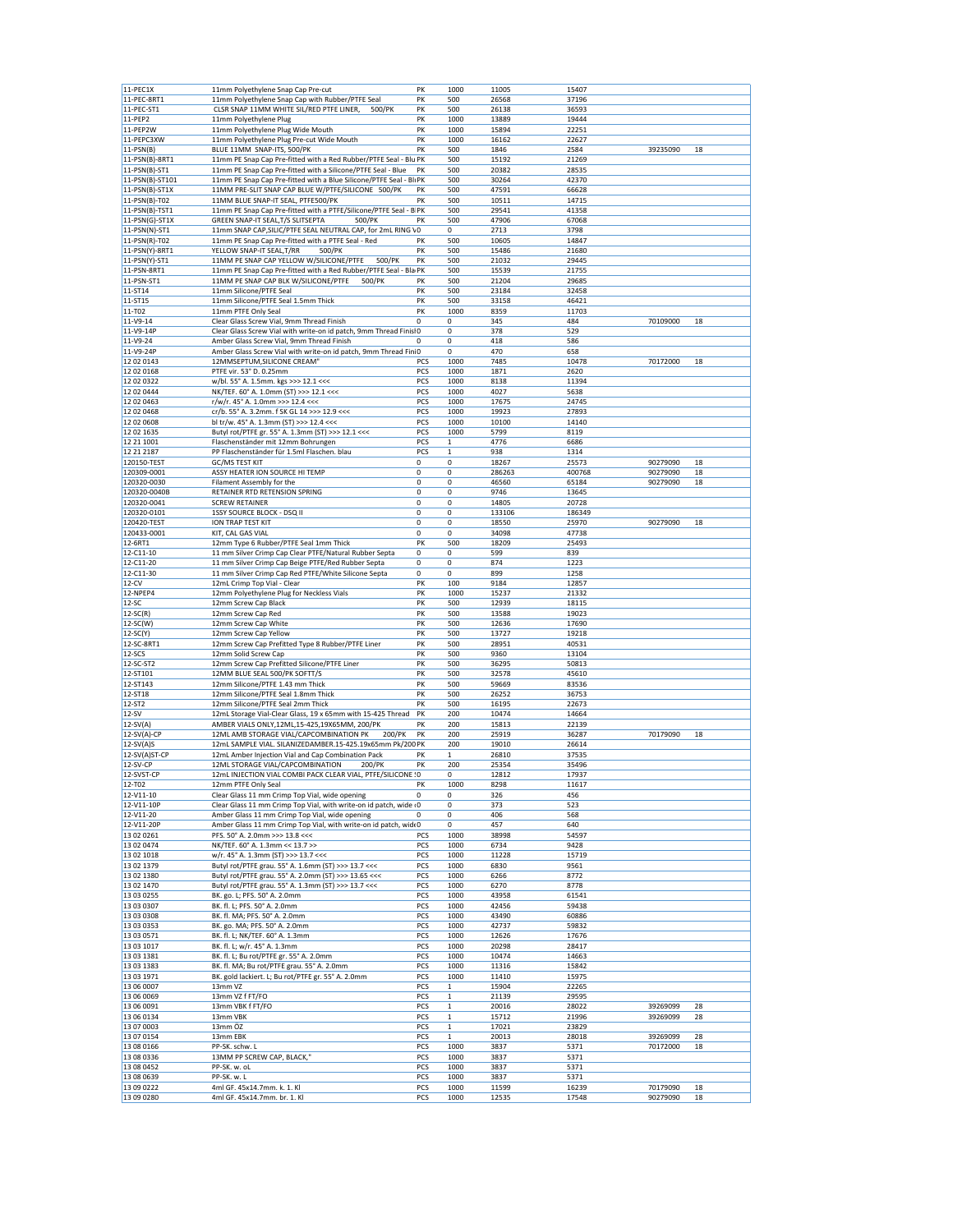| 11-PEC1X                 |                                                                     |             |              |                |                |                      |          |
|--------------------------|---------------------------------------------------------------------|-------------|--------------|----------------|----------------|----------------------|----------|
|                          | 11mm Polyethylene Snap Cap Pre-cut                                  | PK          | 1000         | 11005          | 15407          |                      |          |
| 11-PEC-8RT1              | 11mm Polyethylene Snap Cap with Rubber/PTFE Seal                    | PK          | 500          | 26568          | 37196          |                      |          |
| 11-PEC-ST1               | CLSR SNAP 11MM WHITE SIL/RED PTFE LINER,<br>500/PK                  | PK          | 500          | 26138          | 36593          |                      |          |
| 11-PEP2                  | 11mm Polyethylene Plug                                              | PK          | 1000         | 13889          | 19444          |                      |          |
|                          | 11mm Polyethylene Plug Wide Mouth                                   |             |              |                |                |                      |          |
| 11-PEP2W                 |                                                                     | PK          | 1000         | 15894          | 22251          |                      |          |
| 11-PEPC3XW               | 11mm Polyethylene Plug Pre-cut Wide Mouth                           | PK          | 1000         | 16162          | 22627          |                      |          |
| $11-PSN(B)$              | BLUE 11MM SNAP-ITS, 500/PK                                          | PK          | 500          | 1846           | 2584           | 39235090             | 18       |
| 11-PSN(B)-8RT1           | 11mm PE Snap Cap Pre-fitted with a Red Rubber/PTFE Seal - Blu PK    |             | 500          | 15192          | 21269          |                      |          |
|                          | 11mm PE Snap Cap Pre-fitted with a Silicone/PTFE Seal - Blue        | PK          |              |                |                |                      |          |
| $11-PSN(B)-ST1$          |                                                                     |             | 500          | 20382          | 28535          |                      |          |
| 11-PSN(B)-ST101          | 11mm PE Snap Cap Pre-fitted with a Blue Silicone/PTFE Seal - Bli PK |             | 500          | 30264          | 42370          |                      |          |
| 11-PSN(B)-ST1X           | 11MM PRE-SLIT SNAP CAP BLUE W/PTFE/SILICONE 500/PK                  | PK          | 500          | 47591          | 66628          |                      |          |
| 11-PSN(B)-T02            | 11MM BLUE SNAP-IT SEAL, PTFE500/PK                                  | PK          | 500          | 10511          | 14715          |                      |          |
|                          |                                                                     |             |              |                |                |                      |          |
| 11-PSN(B)-TST1           | 11mm PE Snap Cap Pre-fitted with a PTFE/Silicone/PTFE Seal - B PK   |             | 500          | 29541          | 41358          |                      |          |
| $11-PSN(G)-ST1X$         | GREEN SNAP-IT SEAL, T/S SLITSEPTA<br>500/PK                         | PK          | 500          | 47906          | 67068          |                      |          |
| 11-PSN(N)-ST1            | 11mm SNAP CAP, SILIC/PTFE SEAL NEUTRAL CAP, for 2mL RING VO         |             | 0            | 2713           | 3798           |                      |          |
| 11-PSN(R)-T02            | 11mm PE Snap Cap Pre-fitted with a PTFE Seal - Red                  | PK          | 500          | 10605          | 14847          |                      |          |
| 11-PSN(Y)-8RT1           | YELLOW SNAP-IT SEAL, T/RR<br>500/PK                                 | PK          | 500          |                |                |                      |          |
|                          |                                                                     |             |              | 15486          | 21680          |                      |          |
| 11-PSN(Y)-ST1            | 11MM PE SNAP CAP YELLOW W/SILICONE/PTFE<br>500/PK                   | PK          | 500          | 21032          | 29445          |                      |          |
| 11-PSN-8RT1              | 11mm PE Snap Cap Pre-fitted with a Red Rubber/PTFE Seal - Bla PK    |             | 500          | 15539          | 21755          |                      |          |
| 11-PSN-ST1               | 11MM PE SNAP CAP BLK W/SILICONE/PTFE<br>500/PK                      | PK          | 500          | 21204          | 29685          |                      |          |
| 11-ST14                  | 11mm Silicone/PTFE Seal                                             | PK          | 500          | 23184          | 32458          |                      |          |
|                          |                                                                     |             |              |                |                |                      |          |
| 11-ST15                  | 11mm Silicone/PTFE Seal 1.5mm Thick                                 | PK          | 500          | 33158          | 46421          |                      |          |
| 11-T02                   | 11mm PTFE Only Seal                                                 | PK          | 1000         | 8359           | 11703          |                      |          |
| 11-V9-14                 | Clear Glass Screw Vial, 9mm Thread Finish                           | 0           | 0            | 345            | 484            | 70109000             | 18       |
|                          |                                                                     |             | 0            | 378            | 529            |                      |          |
| 11-V9-14P                | Clear Glass Screw Vial with write-on id patch, 9mm Thread FinislO   |             |              |                |                |                      |          |
| 11-V9-24                 | Amber Glass Screw Vial, 9mm Thread Finish                           | 0           | 0            | 418            | 586            |                      |          |
| 11-V9-24P                | Amber Glass Screw Vial with write-on id patch, 9mm Thread Fini0     |             | $\bf 0$      | 470            | 658            |                      |          |
| 12 02 0143               | 12MMSEPTUM, SILICONE CREAM"                                         | PCS         | 1000         | 7485           | 10478          | 70172000             | 18       |
|                          |                                                                     |             |              |                |                |                      |          |
| 12 02 0168               | PTFE vir. 53° D. 0.25mm                                             | PCS         | 1000         | 1871           | 2620           |                      |          |
| 12 02 03 22              | w/bl. 55° A. 1.5mm. kgs >>> 12.1 <<<                                | PCS         | 1000         | 8138           | 11394          |                      |          |
| 12 02 0444               | NK/TEF. 60° A. 1.0mm (ST) >>> 12.1 <<<                              | PCS         | 1000         | 4027           | 5638           |                      |          |
| 12 02 0463               | r/w/r. 45° A. 1.0mm >>> 12.4 <<<                                    | PCS         | 1000         | 17675          | 24745          |                      |          |
|                          |                                                                     |             |              |                |                |                      |          |
| 12 02 04 68              | cr/b. 55° A. 3.2mm. f SK GL 14 >>> 12.9 <<<                         | PCS         | 1000         | 19923          | 27893          |                      |          |
| 12 02 0608               | bl tr/w. 45° A. 1.3mm (ST) >>> 12.4 <<<                             | PCS         | 1000         | 10100          | 14140          |                      |          |
| 12 02 1635               | Butyl rot/PTFE gr. 55° A. 1.3mm (ST) >>> 12.1 <<<                   | PCS         | 1000         | 5799           | 8119           |                      |          |
| 12 21 1001               | Flaschenständer mit 12mm Bohrungen                                  | PCS         | $\mathbf 1$  | 4776           | 6686           |                      |          |
|                          |                                                                     |             |              |                |                |                      |          |
| 12 21 21 87              | PP Flaschenständer für 1.5ml Flaschen. blau                         | PCS         | $\mathbf{1}$ | 938            | 1314           |                      |          |
| 120150-TEST              | GC/MS TEST KIT                                                      | 0           | 0            | 18267          | 25573          | 90279090             | 18       |
| 120309-0001              | ASSY HEATER ION SOURCE HI TEMP                                      | 0           | 0            | 286263         | 400768         | 90279090             | 18       |
|                          |                                                                     | 0           | $\bf 0$      |                |                |                      |          |
| 120320-0030              | Filament Assembly for the                                           |             |              | 46560          | 65184          | 90279090             | 18       |
| 120320-0040B             | RETAINER RTD RETENSION SPRING                                       | 0           | 0            | 9746           | 13645          |                      |          |
| 120320-0041              | <b>SCREW RETAINER</b>                                               | 0           | 0            | 14805          | 20728          |                      |          |
| 120320-0101              | 1SSY SOURCE BLOCK - DSQ II                                          | 0           | 0            | 133106         | 186349         |                      |          |
|                          |                                                                     |             |              |                |                |                      |          |
| 120420-TEST              | ION TRAP TEST KIT                                                   | 0           | 0            | 18550          | 25970          | 90279090             | 18       |
| 120433-0001              | KIT, CAL GAS VIAL                                                   | 0           | 0            | 34098          | 47738          |                      |          |
| 12-6RT1                  | 12mm Type 6 Rubber/PTFE Seal 1mm Thick                              | PK          | 500          | 18209          | 25493          |                      |          |
| 12-C11-10                | 11 mm Silver Crimp Cap Clear PTFE/Natural Rubber Septa              | 0           | 0            | 599            | 839            |                      |          |
|                          |                                                                     |             |              |                |                |                      |          |
| 12-C11-20                | 11 mm Silver Crimp Cap Beige PTFE/Red Rubber Septa                  | $\mathbf 0$ | 0            | 874            | 1223           |                      |          |
| 12-C11-30                | 11 mm Silver Crimp Cap Red PTFE/White Silicone Septa                | 0           | 0            | 899            | 1258           |                      |          |
| $12-CV$                  | 12mL Crimp Top Vial - Clear                                         | PK          | 100          | 9184           | 12857          |                      |          |
| 12-NPEP4                 | 12mm Polyethylene Plug for Neckless Vials                           | PK          | 1000         | 15237          | 21332          |                      |          |
| $12-SC$                  | 12mm Screw Cap Black                                                | PK          | 500          | 12939          | 18115          |                      |          |
|                          |                                                                     |             |              |                |                |                      |          |
|                          |                                                                     |             |              |                |                |                      |          |
| $12-SC(R)$               | 12mm Screw Cap Red                                                  | PK          | 500          | 13588          | 19023          |                      |          |
| $12-SC(W)$               | 12mm Screw Cap White                                                | PK          | 500          | 12636          | 17690          |                      |          |
|                          |                                                                     |             |              |                |                |                      |          |
| $12-SC(Y)$               | 12mm Screw Cap Yellow                                               | PK          | 500          | 13727          | 19218          |                      |          |
| 12-SC-8RT1               | 12mm Screw Cap Prefitted Type 8 Rubber/PTFE Liner                   | PK          | 500          | 28951          | 40531          |                      |          |
| $12-SCS$                 | 12mm Solid Screw Cap                                                | PK          | 500          | 9360           | 13104          |                      |          |
| 12-SC-ST2                | 12mm Screw Cap Prefitted Silicone/PTFE Liner                        | PK          | 500          | 36295          | 50813          |                      |          |
|                          |                                                                     |             |              |                |                |                      |          |
| 12-ST101                 | 12MM BLUE SEAL 500/PK SOFTT/S                                       | PK          | 500          | 32578          | 45610          |                      |          |
| 12-ST143                 | 12mm Silicone/PTFE 1.43 mm Thick                                    | PK          | 500          | 59669          | 83536          |                      |          |
| 12-ST18                  | 12mm Silicone/PTFE Seal 1.8mm Thick                                 | PK          | 500          | 26252          | 36753          |                      |          |
|                          |                                                                     | PK          | 500          |                |                |                      |          |
| 12-ST2                   | 12mm Silicone/PTFE Seal 2mm Thick                                   |             |              | 16195          | 22673          |                      |          |
| $12-SV$                  | 12mL Storage Vial-Clear Glass, 19 x 65mm with 15-425 Thread         | PK          | 200          | 10474          | 14664          |                      |          |
| $12-SV(A)$               | AMBER VIALS ONLY, 12ML, 15-425, 19X65MM, 200/PK                     | PK          | 200          | 15813          | 22139          |                      |          |
| 12-SV(A)-CP              | 12ML AMB STORAGE VIAL/CAPCOMBINATION PK<br>200/PK                   | PK          | 200          | 25919          | 36287          | 70179090             | 18       |
| $12-SV(A)S$              | 12mL SAMPLE VIAL. SILANIZEDAMBER.15-425.19x65mm Pk/200 PK           |             | 200          | 19010          | 26614          |                      |          |
|                          |                                                                     | PK          | $\mathbf{1}$ |                |                |                      |          |
| 12-SV(A)ST-CP            | 12mL Amber Injection Vial and Cap Combination Pack                  |             |              | 26810          | 37535          |                      |          |
| 12-SV-CP                 | 12ML STORAGE VIAL/CAPCOMBINATION<br>200/PK                          | PK          | 200          | 25354          | 35496          |                      |          |
| 12-SVST-CP               | 12mL INJECTION VIAL COMBI PACK CLEAR VIAL, PTFE/SILICONE ! 0        |             | $\mathbf 0$  | 12812          | 17937          |                      |          |
| 12-T02                   | 12mm PTFE Only Seal                                                 | PK          | 1000         | 8298           | 11617          |                      |          |
| 12-V11-10                | Clear Glass 11 mm Crimp Top Vial, wide opening                      | 0           | 0            | 326            | 456            |                      |          |
|                          |                                                                     |             |              |                |                |                      |          |
| 12-V11-10P               | Clear Glass 11 mm Crimp Top Vial, with write-on id patch, wide (0   |             | 0            | 373            | 523            |                      |          |
| 12-V11-20                | Amber Glass 11 mm Crimp Top Vial, wide opening                      | $\mathbf 0$ | 0            | 406            | 568            |                      |          |
| 12-V11-20P               | Amber Glass 11 mm Crimp Top Vial, with write-on id patch, widt0     |             | 0            | 457            | 640            |                      |          |
| 13 02 0261               | PFS. 50° A. 2.0mm >>> 13.8 <<<                                      | PCS         | 1000         | 38998          | 54597          |                      |          |
|                          |                                                                     |             |              |                |                |                      |          |
| 13 02 0474               | NK/TEF. 60° A. 1.3mm << 13.7 >>                                     | PCS         | 1000         | 6734           | 9428           |                      |          |
| 13 02 10 18              | w/r. 45° A. 1.3mm (ST) >>> 13.7 <<<                                 | PCS         | 1000         | 11228          | 15719          |                      |          |
| 13 02 1379               | Butyl rot/PTFE grau. 55° A. 1.6mm (ST) >>> 13.7 <<<                 | PCS         | 1000         | 6830           | 9561           |                      |          |
| 13 02 1380               | Butyl rot/PTFE grau. 55° A. 2.0mm (ST) >>> 13.65 <<<                | PCS         | 1000         | 6266           | 8772           |                      |          |
|                          |                                                                     |             |              |                |                |                      |          |
| 13 02 1470               | Butyl rot/PTFE grau. 55° A. 1.3mm (ST) >>> 13.7 <<<                 | PCS         | 1000         | 6270           | 8778           |                      |          |
| 13 03 0255               | BK. go. L; PFS. 50° A. 2.0mm                                        | PCS         | 1000         | 43958          | 61541          |                      |          |
| 13 03 0307               | BK. fl. L; PFS. 50° A. 2.0mm                                        | PCS         | 1000         | 42456          | 59438          |                      |          |
| 13 03 0308               | BK. fl. MA; PFS. 50° A. 2.0mm                                       | PCS         | 1000         | 43490          | 60886          |                      |          |
|                          |                                                                     |             |              |                |                |                      |          |
| 13 03 0353               | BK. go. MA; PFS. 50° A. 2.0mm                                       | PCS         | 1000         | 42737          | 59832          |                      |          |
| 13 03 0571               | BK. fl. L; NK/TEF. 60° A. 1.3mm                                     | PCS         | 1000         | 12626          | 17676          |                      |          |
| 13 03 1017               | BK. fl. L; w/r. 45° A. 1.3mm                                        | PCS         | 1000         | 20298          | 28417          |                      |          |
|                          |                                                                     | PCS         |              |                |                |                      |          |
| 13 03 1381               | BK. fl. L; Bu rot/PTFE gr. 55° A. 2.0mm                             |             | 1000         | 10474          | 14663          |                      |          |
| 13 03 1383               | BK. fl. MA; Bu rot/PTFE grau. 55° A. 2.0mm                          | PCS         | 1000         | 11316          | 15842          |                      |          |
| 13 03 1971               | BK. gold lackiert. L; Bu rot/PTFE gr. 55° A. 2.0mm                  | PCS         | 1000         | 11410          | 15975          |                      |          |
| 13 06 0007               | 13mm VZ                                                             | PCS         | 1            | 15904          | 22265          |                      |          |
| 13 06 0069               | 13mm VZ f FT/FO                                                     | PCS         | 1            | 21139          | 29595          |                      |          |
|                          |                                                                     |             |              |                |                |                      |          |
| 13 06 0091               | 13mm VBK f FT/FO                                                    | PCS         | $\mathbf{1}$ | 20016          | 28022          | 39269099             | 28       |
| 13 06 0134               | 13mm VBK                                                            | PCS         | 1            | 15712          | 21996          | 39269099             | 28       |
| 13 07 0003               | 13mm ÖZ                                                             | PCS         | 1            | 17021          | 23829          |                      |          |
|                          |                                                                     |             |              |                |                |                      |          |
| 13 07 0154               | 13mm EBK                                                            | PCS         | $\mathbf{1}$ | 20013          | 28018          | 39269099             | 28       |
| 13 08 0166               | PP-SK. schw. L                                                      | PCS         | 1000         | 3837           | 5371           | 70172000             | 18       |
| 13 08 0336               | 13MM PP SCREW CAP, BLACK,"                                          | PCS         | 1000         | 3837           | 5371           |                      |          |
| 13 08 0452               | PP-SK. w. oL                                                        | PCS         | 1000         | 3837           | 5371           |                      |          |
|                          |                                                                     |             |              |                |                |                      |          |
| 13 08 0639               | PP-SK. w. L                                                         | PCS         | 1000         | 3837           | 5371           |                      |          |
| 13 09 0222<br>13 09 0280 | 4ml GF. 45x14.7mm. k. 1. Kl<br>4ml GF. 45x14.7mm. br. 1. Kl         | PCS<br>PCS  | 1000<br>1000 | 11599<br>12535 | 16239<br>17548 | 70179090<br>90279090 | 18<br>18 |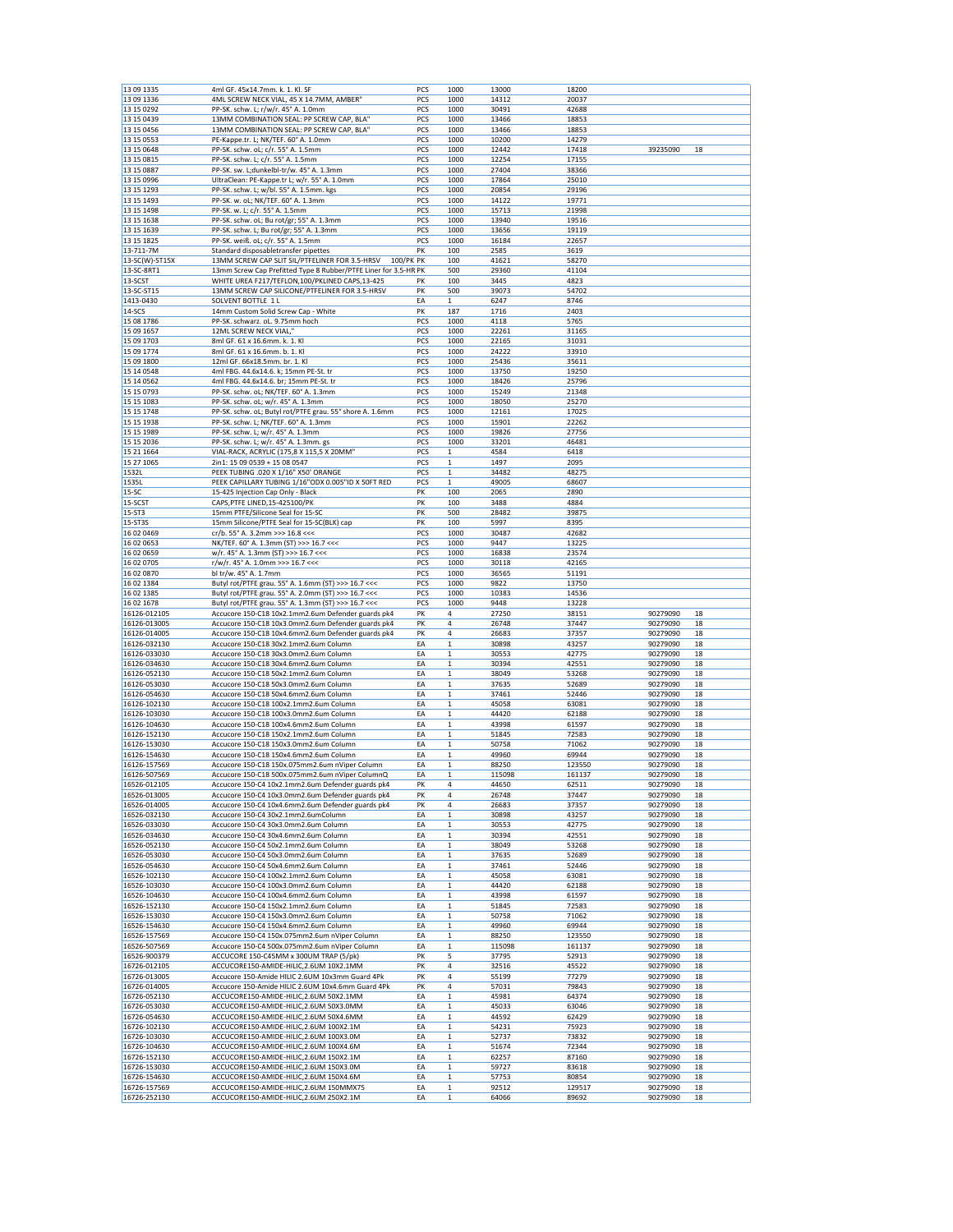| 13 09 1335                   | 4ml GF. 45x14.7mm. k. 1. Kl. SF                                                    | PCS      | 1000                       | 13000          | 18200           |                      |          |
|------------------------------|------------------------------------------------------------------------------------|----------|----------------------------|----------------|-----------------|----------------------|----------|
| 13 09 1336                   | 4ML SCREW NECK VIAL, 45 X 14.7MM, AMBER"                                           | PCS      | 1000                       | 14312          | 20037           |                      |          |
| 13 15 0292                   | PP-SK. schw. L; r/w/r. 45° A. 1.0mm                                                | PCS      | 1000                       | 30491          | 42688           |                      |          |
| 13 15 04 39                  | 13MM COMBINATION SEAL: PP SCREW CAP, BLA"                                          | PCS      | 1000                       | 13466          | 18853           |                      |          |
| 13 15 0456                   | 13MM COMBINATION SEAL: PP SCREW CAP, BLA"                                          | PCS      | 1000                       | 13466          | 18853           |                      |          |
| 13 15 0553                   | PE-Kappe.tr. L; NK/TEF. 60° A. 1.0mm                                               | PCS      | 1000                       | 10200          | 14279           |                      |          |
| 13 15 0648                   | PP-SK. schw. oL; c/r. 55° A. 1.5mm                                                 | PCS      | 1000                       | 12442          | 17418           | 39235090             | 18       |
|                              |                                                                                    |          |                            |                |                 |                      |          |
| 13 15 08 15                  | PP-SK. schw. L; c/r. 55° A. 1.5mm                                                  | PCS      | 1000                       | 12254          | 17155           |                      |          |
| 13 15 0887                   | PP-SK. sw. L;dunkelbl-tr/w. 45° A. 1.3mm                                           | PCS      | 1000                       | 27404          | 38366           |                      |          |
| 13 15 0996                   | UltraClean: PE-Kappe.tr L; w/r. 55° A. 1.0mm                                       | PCS      | 1000                       | 17864          | 25010           |                      |          |
| 13 15 1293                   | PP-SK. schw. L; w/bl. 55° A. 1.5mm. kgs                                            | PCS      | 1000                       | 20854          | 29196           |                      |          |
| 13 15 1493                   | PP-SK. w. oL; NK/TEF. 60° A. 1.3mm                                                 | PCS      | 1000                       | 14122          | 19771           |                      |          |
| 13 15 1498                   | PP-SK. w. L; c/r. 55° A. 1.5mm                                                     | PCS      | 1000                       | 15713          | 21998           |                      |          |
| 13 15 1638                   | PP-SK. schw. oL; Bu rot/gr; 55° A. 1.3mm                                           | PCS      | 1000                       | 13940          | 19516           |                      |          |
| 13 15 1639                   | PP-SK. schw. L; Bu rot/gr; 55° A. 1.3mm                                            | PCS      | 1000                       | 13656          | 19119           |                      |          |
|                              |                                                                                    |          |                            |                |                 |                      |          |
| 13 15 1825                   | PP-SK. weiß. oL; c/r. 55° A. 1.5mm                                                 | PCS      | 1000                       | 16184          | 22657           |                      |          |
| 13-711-7M                    | Standard disposabletransfer pipettes                                               | PK       | 100                        | 2585           | 3619            |                      |          |
| 13-SC(W)-ST15X               | 13MM SCREW CAP SLIT SIL/PTFELINER FOR 3.5-HRSV<br>100/PK PK                        |          | 100                        | 41621          | 58270           |                      |          |
| 13-SC-8RT1                   | 13mm Screw Cap Prefitted Type 8 Rubber/PTFE Liner for 3.5-HR PK                    |          | 500                        | 29360          | 41104           |                      |          |
| 13-SCST                      | WHITE UREA F217/TEFLON, 100/PKLINED CAPS, 13-425                                   | PΚ       | 100                        | 3445           | 4823            |                      |          |
| 13-SC-ST15                   | 13MM SCREW CAP SILICONE/PTFELINER FOR 3.5-HRSV                                     | PK       | 500                        | 39073          | 54702           |                      |          |
| 1413-0430                    | SOLVENT BOTTLE 1 L                                                                 | EA       | 1                          | 6247           | 8746            |                      |          |
|                              |                                                                                    |          |                            |                |                 |                      |          |
| 14-SCS                       | 14mm Custom Solid Screw Cap - White                                                | PK       | 187                        | 1716           | 2403            |                      |          |
| 15 08 1786                   | PP-SK. schwarz. oL. 9.75mm hoch                                                    | PCS      | 1000                       | 4118           | 5765            |                      |          |
| 15 09 1657                   | 12ML SCREW NECK VIAL,"                                                             | PCS      | 1000                       | 22261          | 31165           |                      |          |
| 15 09 1703                   | 8ml GF. 61 x 16.6mm. k. 1. Kl                                                      | PCS      | 1000                       | 22165          | 31031           |                      |          |
| 15 09 1774                   | 8ml GF. 61 x 16.6mm. b. 1. Kl                                                      | PCS      | 1000                       | 24222          | 33910           |                      |          |
| 15 09 1800                   | 12ml GF. 66x18.5mm. br. 1. Kl                                                      | PCS      | 1000                       | 25436          | 35611           |                      |          |
| 15 14 0548                   | 4ml FBG. 44.6x14.6. k; 15mm PE-St. tr                                              | PCS      | 1000                       | 13750          | 19250           |                      |          |
|                              |                                                                                    |          |                            |                |                 |                      |          |
| 15 14 05 62                  | 4ml FBG. 44.6x14.6. br; 15mm PE-St. tr                                             | PCS      | 1000                       | 18426          | 25796           |                      |          |
| 15 15 0793                   | PP-SK. schw. oL; NK/TEF. 60° A. 1.3mm                                              | PCS      | 1000                       | 15249          | 21348           |                      |          |
| 15 15 1083                   | PP-SK. schw. oL; w/r. 45° A. 1.3mm                                                 | PCS      | 1000                       | 18050          | 25270           |                      |          |
| 15 15 1748                   | PP-SK. schw. oL; Butyl rot/PTFE grau. 55° shore A. 1.6mm                           | PCS      | 1000                       | 12161          | 17025           |                      |          |
| 15 15 1938                   | PP-SK. schw. L; NK/TEF. 60° A. 1.3mm                                               | PCS      | 1000                       | 15901          | 22262           |                      |          |
| 15 15 1989                   | PP-SK. schw. L; w/r. 45° A. 1.3mm                                                  | PCS      | 1000                       | 19826          | 27756           |                      |          |
| 15 15 2036                   | PP-SK. schw. L; w/r. 45° A. 1.3mm. gs                                              | PCS      | 1000                       | 33201          | 46481           |                      |          |
|                              |                                                                                    |          |                            |                |                 |                      |          |
| 15 21 1664                   | VIAL-RACK, ACRYLIC (175,8 X 115,5 X 20MM"                                          | PCS      | $\mathbf{1}$               | 4584           | 6418            |                      |          |
| 15 27 1065                   | 2in1: 15 09 0539 + 15 08 0547                                                      | PCS      | 1                          | 1497           | 2095            |                      |          |
| 1532L                        | PEEK TUBING .020 X 1/16" X50' ORANGE                                               | PCS      | $\mathbf 1$                | 34482          | 48275           |                      |          |
| 1535L                        | PEEK CAPILLARY TUBING 1/16"ODX 0.005"ID X 50FT RED                                 | PCS      | $\mathbf 1$                | 49005          | 68607           |                      |          |
| $15-SC$                      | 15-425 Injection Cap Only - Black                                                  | PK       | 100                        | 2065           | 2890            |                      |          |
| 15-SCST                      | CAPS, PTFE LINED, 15-425100/PK                                                     | PK       | 100                        | 3488           | 4884            |                      |          |
|                              | 15mm PTFE/Silicone Seal for 15-SC                                                  |          |                            |                |                 |                      |          |
| 15-ST3                       |                                                                                    | PK       | 500                        | 28482          | 39875           |                      |          |
| 15-ST3S                      | 15mm Silicone/PTFE Seal for 15-SC(BLK) cap                                         | PK       | 100                        | 5997           | 8395            |                      |          |
| 16 02 0469                   | cr/b. 55° A. 3.2mm >>> 16.8 <<<                                                    | PCS      | 1000                       | 30487          | 42682           |                      |          |
| 16 02 0653                   | NK/TEF. 60° A. 1.3mm (ST) >>> 16.7 <<<                                             | PCS      | 1000                       | 9447           | 13225           |                      |          |
| 16 02 0659                   | w/r. 45° A. 1.3mm (ST) >>> 16.7 <<<                                                | PCS      | 1000                       | 16838          | 23574           |                      |          |
| 16 02 0705                   | r/w/r. 45° A. 1.0mm >>> 16.7 <<<                                                   | PCS      | 1000                       | 30118          | 42165           |                      |          |
| 16 02 0870                   | bl tr/w. 45° A. 1.7mm                                                              | PCS      | 1000                       | 36565          | 51191           |                      |          |
|                              |                                                                                    | PCS      | 1000                       | 9822           | 13750           |                      |          |
| 16 02 1384                   | Butyl rot/PTFE grau. 55° A. 1.6mm (ST) >>> 16.7 <<<                                |          |                            |                |                 |                      |          |
| 16 02 1385                   | Butyl rot/PTFE grau. 55° A. 2.0mm (ST) >>> 16.7 <<<                                | PCS      | 1000                       | 10383          | 14536           |                      |          |
| 16 02 1678                   | Butyl rot/PTFE grau. 55° A. 1.3mm (ST) >>> 16.7 <<<                                | PCS      | 1000                       | 9448           | 13228           |                      |          |
| 16126-012105                 | Accucore 150-C18 10x2.1mm2.6um Defender guards pk4                                 | PK       | 4                          | 27250          | 38151           | 90279090             | 18       |
| 16126-013005                 | Accucore 150-C18 10x3.0mm2.6um Defender guards pk4                                 | PK       | 4                          | 26748          | 37447           | 90279090             | 18       |
| 16126-014005                 | Accucore 150-C18 10x4.6mm2.6um Defender guards pk4                                 | PK       | 4                          | 26683          | 37357           | 90279090             | 18       |
| 16126-032130                 | Accucore 150-C18 30x2.1mm2.6um Column                                              | EA       | $\mathbf 1$                | 30898          | 43257           | 90279090             | 18       |
|                              |                                                                                    |          |                            |                |                 |                      |          |
| 16126-033030                 | Accucore 150-C18 30x3.0mm2.6um Column                                              | EA       | $\mathbf 1$                | 30553          | 42775           | 90279090             | 18       |
| 16126-034630                 | Accucore 150-C18 30x4.6mm2.6um Column                                              | EA       | $\mathbf 1$                | 30394          | 42551           | 90279090             | 18       |
| 16126-052130                 | Accucore 150-C18 50x2.1mm2.6um Column                                              | EA       | $\mathbf{1}$               | 38049          | 53268           | 90279090             | 18       |
| 16126-053030                 | Accucore 150-C18 50x3.0mm2.6um Column                                              | EA       | 1                          | 37635          | 52689           | 90279090             | 18       |
| 16126-054630                 | Accucore 150-C18 50x4.6mm2.6um Column                                              | EA       | $\mathbf 1$                | 37461          | 52446           | 90279090             | 18       |
| 16126-102130                 | Accucore 150-C18 100x2.1mm2.6um Column                                             | EA       | $\mathbf 1$                | 45058          | 63081           | 90279090             | 18       |
| 16126-103030                 | Accucore 150-C18 100x3.0mm2.6um Column                                             | EA       | $\mathbf 1$                |                |                 |                      | 18       |
|                              | Accucore 150-C18 100x4.6mm2.6um Column                                             |          |                            |                |                 |                      |          |
| 16126-104630                 |                                                                                    | EA       |                            | 44420          | 62188           | 90279090             |          |
| 16126-152130                 |                                                                                    |          | $\mathbf 1$                | 43998          | 61597           | 90279090             | 18       |
|                              | Accucore 150-C18 150x2.1mm2.6um Column                                             | EA       | $\mathbf 1$                | 51845          | 72583           | 90279090             | 18       |
| 16126-153030                 | Accucore 150-C18 150x3.0mm2.6um Column                                             | EA       | 1                          | 50758          | 71062           | 90279090             | 18       |
| 16126-154630                 | Accucore 150-C18 150x4.6mm2.6um Column                                             | EA       | $\mathbf 1$                | 49960          | 69944           | 90279090             | 18       |
| 16126-157569                 | Accucore 150-C18 150x.075mm2.6um nViper Column                                     | EA       | $\mathbf 1$                | 88250          | 123550          | 90279090             | 18       |
| 16126-507569                 | Accucore 150-C18 500x.075mm2.6um nViper ColumnQ                                    | EA       | 1                          | 115098         | 161137          | 90279090             | 18       |
|                              |                                                                                    |          |                            |                |                 |                      |          |
| 16526-012105                 | Accucore 150-C4 10x2.1mm2.6um Defender guards pk4                                  | PK       | 4                          | 44650          | 62511           | 90279090             | 18       |
| 16526-013005                 | Accucore 150-C4 10x3.0mm2.6um Defender guards pk4                                  | PK       | 4                          | 26748          | 37447           | 90279090             | 18       |
| 16526-014005                 | Accucore 150-C4 10x4.6mm2.6um Defender guards pk4                                  | PK       | 4                          | 26683          | 37357           | 90279090             | 18       |
| 16526-032130                 | Accucore 150-C4 30x2.1mm2.6umColumn                                                | EA       | $\mathbf 1$                | 30898          | 43257           | 90279090             | 18       |
| 16526-033030                 | Accucore 150-C4 30x3.0mm2.6um Column                                               | EA       | $\mathbf 1$                | 30553          | 42775           | 90279090             | 18       |
| 16526-034630                 | Accucore 150-C4 30x4.6mm2.6um Column                                               | EA       | $\mathbf 1$                | 30394          | 42551           | 90279090             | 18       |
| 16526-052130                 | Accucore 150-C4 50x2.1mm2.6um Column                                               | EA       | $\mathbf 1$                | 38049          | 53268           | 90279090             | 18       |
| 16526-053030                 | Accucore 150-C4 50x3.0mm2.6um Column                                               | EA       | $\mathbf 1$                | 37635          | 52689           | 90279090             | 18       |
|                              |                                                                                    |          |                            |                |                 |                      |          |
| 16526-054630                 | Accucore 150-C4 50x4.6mm2.6um Column                                               | EA       | $\mathbf 1$                | 37461          | 52446           | 90279090             | 18       |
| 16526-102130                 | Accucore 150-C4 100x2.1mm2.6um Column                                              | EA       | $\mathbf 1$                | 45058          | 63081           | 90279090             | 18       |
| 16526-103030                 | Accucore 150-C4 100x3.0mm2.6um Column                                              | EA       | $\mathbf 1$                | 44420          | 62188           | 90279090             | 18       |
| 16526-104630                 | Accucore 150-C4 100x4.6mm2.6um Column                                              | EA       | $\mathbf 1$                | 43998          | 61597           | 90279090             | 18       |
| 16526-152130                 | Accucore 150-C4 150x2.1mm2.6um Column                                              | EA       | 1                          | 51845          | 72583           | 90279090             | 18       |
| 16526-153030                 | Accucore 150-C4 150x3.0mm2.6um Column                                              | EA       | $\mathbf 1$                | 50758          | 71062           | 90279090             | 18       |
| 16526-154630                 | Accucore 150-C4 150x4.6mm2.6um Column                                              | EA       | $\mathbf 1$                | 49960          | 69944           | 90279090             | 18       |
|                              |                                                                                    |          |                            |                |                 | 90279090             |          |
| 16526-157569                 | Accucore 150-C4 150x.075mm2.6um nViper Column                                      | EA       | 1                          | 88250          | 123550          |                      | 18       |
| 16526-507569                 | Accucore 150-C4 500x.075mm2.6um nViper Column                                      | EA       | $\mathbf 1$                | 115098         | 161137          | 90279090             | 18       |
| 16526-900379                 | ACCUCORE 150-C45MM x 300UM TRAP (5/pk)                                             | PK       | 5                          | 37795          | 52913           | 90279090             | 18       |
| 16726-012105                 | ACCUCORE150-AMIDE-HILIC, 2.6UM 10X2.1MM                                            | PK       | 4                          | 32516          | 45522           | 90279090             | 18       |
| 16726-013005                 | Accucore 150-Amide HILIC 2.6UM 10x3mm Guard 4Pk                                    | PK       | 4                          | 55199          | 77279           | 90279090             | 18       |
| 16726-014005                 | Accucore 150-Amide HILIC 2.6UM 10x4.6mm Guard 4Pk                                  | PK       | 4                          | 57031          | 79843           | 90279090             | 18       |
|                              |                                                                                    |          |                            |                |                 |                      |          |
| 16726-052130                 | ACCUCORE150-AMIDE-HILIC, 2.6UM 50X2.1MM                                            | EA       | 1                          | 45981          | 64374           | 90279090             | 18       |
| 16726-053030                 | ACCUCORE150-AMIDE-HILIC, 2.6UM 50X3.0MM                                            | EA       | $\mathbf 1$                | 45033          | 63046           | 90279090             | 18       |
| 16726-054630                 | ACCUCORE150-AMIDE-HILIC, 2.6UM 50X4.6MM                                            | EA       | $\mathbf 1$                | 44592          | 62429           | 90279090             | 18       |
| 16726-102130                 | ACCUCORE150-AMIDE-HILIC, 2.6UM 100X2.1M                                            | EA       | 1                          | 54231          | 75923           | 90279090             | 18       |
| 16726-103030                 | ACCUCORE150-AMIDE-HILIC, 2.6UM 100X3.0M                                            | EA       | 1                          | 52737          | 73832           | 90279090             | 18       |
| 16726-104630                 | ACCUCORE150-AMIDE-HILIC, 2.6UM 100X4.6M                                            | EA       | $\mathbf 1$                | 51674          | 72344           | 90279090             | 18       |
| 16726-152130                 | ACCUCORE150-AMIDE-HILIC, 2.6UM 150X2.1M                                            | EA       | 1                          | 62257          | 87160           | 90279090             | 18       |
| 16726-153030                 | ACCUCORE150-AMIDE-HILIC, 2.6UM 150X3.0M                                            | EA       | $\mathbf 1$                | 59727          | 83618           | 90279090             | 18       |
|                              |                                                                                    |          |                            |                |                 |                      |          |
| 16726-154630                 | ACCUCORE150-AMIDE-HILIC, 2.6UM 150X4.6M                                            | EA       | $\mathbf 1$                | 57753          | 80854           | 90279090             | 18       |
| 16726-157569<br>16726-252130 | ACCUCORE150-AMIDE-HILIC, 2.6UM 150MMX75<br>ACCUCORE150-AMIDE-HILIC, 2.6UM 250X2.1M | EA<br>ΕA | $\mathbf 1$<br>$\mathbf 1$ | 92512<br>64066 | 129517<br>89692 | 90279090<br>90279090 | 18<br>18 |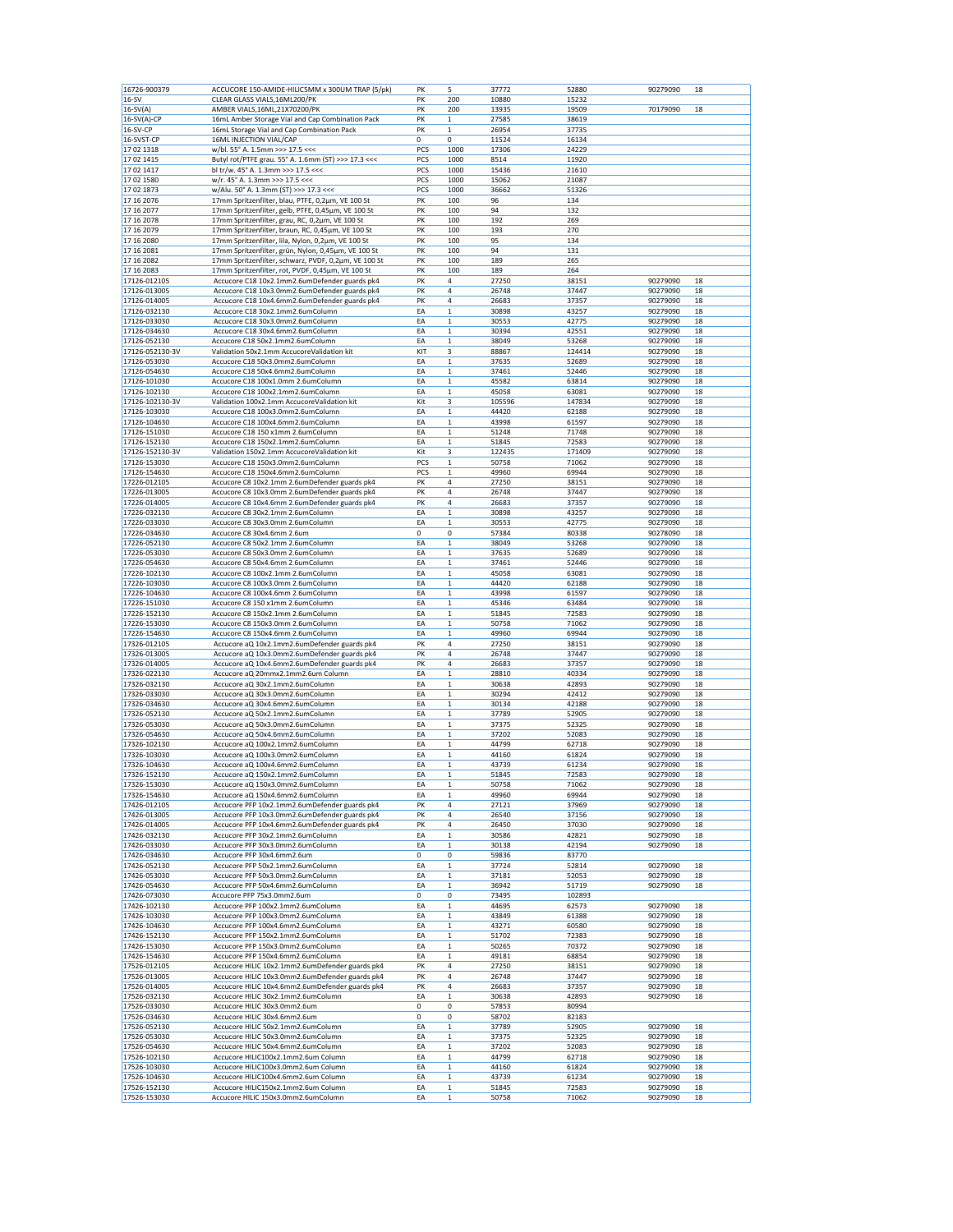| 16726-900379                 | ACCUCORE 150-AMIDE-HILIC5MM x 300UM TRAP (5/pk)                                                         | PK                 | 5                          | 37772          | 52880          | 90279090             | 18       |
|------------------------------|---------------------------------------------------------------------------------------------------------|--------------------|----------------------------|----------------|----------------|----------------------|----------|
| $16-SV$                      | CLEAR GLASS VIALS, 16ML200/PK                                                                           | PΚ                 | 200                        | 10880          | 15232          |                      |          |
| $16-SV(A)$                   | AMBER VIALS, 16ML, 21X70200/PK                                                                          | PK                 | 200                        | 13935          | 19509          | 70179090             | 18       |
| 16-SV(A)-CP                  | 16mL Amber Storage Vial and Cap Combination Pack                                                        | PK                 | 1                          | 27585          | 38619          |                      |          |
| 16-SV-CP                     | 16mL Storage Vial and Cap Combination Pack                                                              | PK                 | $\mathbf 1$                | 26954          | 37735          |                      |          |
| 16-SVST-CP<br>17 02 1318     | 16ML INJECTION VIAL/CAP<br>w/bl. 55° A. 1.5mm >>> 17.5 <<<                                              | $\mathbf 0$<br>PCS | $\mathbf 0$<br>1000        | 11524<br>17306 | 16134<br>24229 |                      |          |
| 17 02 14 15                  | Butyl rot/PTFE grau. 55° A. 1.6mm (ST) >>> 17.3 <<<                                                     | PCS                | 1000                       | 8514           | 11920          |                      |          |
| 17 02 14 17                  | bl tr/w. 45° A. 1.3mm >>> 17.5 <<<                                                                      | PCS                | 1000                       | 15436          | 21610          |                      |          |
| 17 02 1580                   | w/r. 45° A. 1.3mm >>> 17.5 <<<                                                                          | PCS                | 1000                       | 15062          | 21087          |                      |          |
| 1702 1873                    | w/Alu. 50° A. 1.3mm (ST) >>> 17.3 <<<                                                                   | PCS                | 1000                       | 36662          | 51326          |                      |          |
| 17 16 2076                   | 17mm Spritzenfilter, blau, PTFE, 0,2µm, VE 100 St                                                       | PK                 | 100                        | 96             | 134            |                      |          |
| 17 16 2077                   | 17mm Spritzenfilter, gelb, PTFE, 0,45µm, VE 100 St                                                      | PK                 | 100                        | 94             | 132            |                      |          |
| 17 16 2078                   | 17mm Spritzenfilter, grau, RC, 0,2µm, VE 100 St                                                         | PK<br>PK           | 100                        | 192            | 269<br>270     |                      |          |
| 17 16 2079<br>17 16 2080     | 17mm Spritzenfilter, braun, RC, 0,45µm, VE 100 St<br>17mm Spritzenfilter, lila, Nylon, 0,2µm, VE 100 St | PK                 | 100<br>100                 | 193<br>95      | 134            |                      |          |
| 17 16 2081                   | 17mm Spritzenfilter, grün, Nylon, 0,45µm, VE 100 St                                                     | PK                 | 100                        | 94             | 131            |                      |          |
| 17 16 2082                   | 17mm Spritzenfilter, schwarz, PVDF, 0,2µm, VE 100 St                                                    | PK                 | 100                        | 189            | 265            |                      |          |
| 17 16 2083                   | 17mm Spritzenfilter, rot, PVDF, 0,45µm, VE 100 St                                                       | PK                 | 100                        | 189            | 264            |                      |          |
| 17126-012105                 | Accucore C18 10x2.1mm2.6umDefender guards pk4                                                           | PK                 | 4                          | 27250          | 38151          | 90279090             | 18       |
| 17126-013005                 | Accucore C18 10x3.0mm2.6umDefender guards pk4                                                           | PK                 | 4                          | 26748          | 37447          | 90279090             | 18       |
| 17126-014005                 | Accucore C18 10x4.6mm2.6umDefender guards pk4                                                           | PK                 | 4                          | 26683          | 37357          | 90279090             | 18       |
| 17126-032130<br>17126-033030 | Accucore C18 30x2.1mm2.6umColumn<br>Accucore C18 30x3.0mm2.6umColumn                                    | EA<br>EA           | 1<br>$\mathbf 1$           | 30898<br>30553 | 43257<br>42775 | 90279090<br>90279090 | 18<br>18 |
| 17126-034630                 | Accucore C18 30x4.6mm2.6umColumn                                                                        | EA                 | $\mathbf{1}$               | 30394          | 42551          | 90279090             | 18       |
| 17126-052130                 | Accucore C18 50x2.1mm2.6umColumn                                                                        | EA                 | $\mathbf 1$                | 38049          | 53268          | 90279090             | 18       |
| 17126-052130-3V              | Validation 50x2.1mm AccucoreValidation kit                                                              | KIT                | 3                          | 88867          | 124414         | 90279090             | 18       |
| 17126-053030                 | Accucore C18 50x3.0mm2.6umColumn                                                                        | EA                 | $\mathbf 1$                | 37635          | 52689          | 90279090             | 18       |
| 17126-054630                 | Accucore C18 50x4.6mm2.6umColumn                                                                        | EA                 | $\mathbf 1$                | 37461          | 52446          | 90279090             | 18       |
| 17126-101030                 | Accucore C18 100x1.0mm 2.6umColumn                                                                      | EA                 | 1                          | 45582          | 63814          | 90279090             | 18       |
| 17126-102130                 | Accucore C18 100x2.1mm2.6umColumn                                                                       | EA                 | $\mathbf 1$                | 45058          | 63081          | 90279090             | 18       |
| 17126-102130-3V              | Validation 100x2.1mm AccucoreValidation kit                                                             | Kit                | 3                          | 105596         | 147834         | 90279090             | 18       |
| 17126-103030<br>17126-104630 | Accucore C18 100x3.0mm2.6umColumn<br>Accucore C18 100x4.6mm2.6umColumn                                  | ΕA<br>EA           | 1<br>$\mathbf 1$           | 44420<br>43998 | 62188<br>61597 | 90279090<br>90279090 | 18<br>18 |
| 17126-151030                 | Accucore C18 150 x1mm 2.6umColumn                                                                       | EA                 | $\mathbf 1$                | 51248          | 71748          | 90279090             | 18       |
| 17126-152130                 | Accucore C18 150x2.1mm2.6umColumn                                                                       | EA                 | $\mathbf 1$                | 51845          | 72583          | 90279090             | 18       |
| 17126-152130-3V              | Validation 150x2.1mm AccucoreValidation kit                                                             | Kit                | 3                          | 122435         | 171409         | 90279090             | 18       |
| 17126-153030                 | Accucore C18 150x3.0mm2.6umColumn                                                                       | PCS                | $\mathbf 1$                | 50758          | 71062          | 90279090             | 18       |
| 17126-154630                 | Accucore C18 150x4.6mm2.6umColumn                                                                       | PCS                | 1                          | 49960          | 69944          | 90279090             | 18       |
| 17226-012105                 | Accucore C8 10x2.1mm 2.6umDefender guards pk4                                                           | PK                 | 4                          | 27250          | 38151          | 90279090             | 18       |
| 17226-013005                 | Accucore C8 10x3.0mm 2.6umDefender guards pk4                                                           | PK                 | 4                          | 26748          | 37447          | 90279090             | 18       |
| 17226-014005<br>17226-032130 | Accucore C8 10x4.6mm 2.6umDefender guards pk4<br>Accucore C8 30x2.1mm 2.6umColumn                       | PK<br>EA           | 4<br>$\mathbf 1$           | 26683<br>30898 | 37357<br>43257 | 90279090<br>90279090 | 18<br>18 |
| 17226-033030                 | Accucore C8 30x3.0mm 2.6umColumn                                                                        | EA                 | $\mathbf 1$                | 30553          | 42775          | 90279090             | 18       |
| 17226-034630                 | Accucore C8 30x4.6mm 2.6um                                                                              | 0                  | 0                          | 57384          | 80338          | 90278090             | 18       |
| 17226-052130                 | Accucore C8 50x2.1mm 2.6umColumn                                                                        | EA                 | 1                          | 38049          | 53268          | 90279090             | 18       |
| 17226-053030                 | Accucore C8 50x3.0mm 2.6umColumn                                                                        | EA                 | $\mathbf 1$                | 37635          | 52689          | 90279090             | 18       |
| 17226-054630                 | Accucore C8 50x4.6mm 2.6umColumn                                                                        | EA                 | 1                          | 37461          | 52446          | 90279090             | 18       |
| 17226-102130                 | Accucore C8 100x2.1mm 2.6umColumn                                                                       | EA                 | $\mathbf 1$                | 45058          | 63081          | 90279090             | 18       |
| 17226-103030                 | Accucore C8 100x3.0mm 2.6umColumn                                                                       | EA                 | $\mathbf{1}$               | 44420          | 62188          | 90279090             | 18       |
| 17226-104630<br>17226-151030 | Accucore C8 100x4.6mm 2.6umColumn<br>Accucore C8 150 x1mm 2.6umColumn                                   | EA<br>EA           | $\mathbf 1$<br>1           | 43998<br>45346 | 61597<br>63484 | 90279090<br>90279090 | 18<br>18 |
| 17226-152130                 | Accucore C8 150x2.1mm 2.6umColumn                                                                       | EA                 | $\mathbf 1$                | 51845          | 72583          | 90279090             | 18       |
| 17226-153030                 | Accucore C8 150x3.0mm 2.6umColumn                                                                       | EA                 | $\mathbf 1$                | 50758          | 71062          | 90279090             | 18       |
| 17226-154630                 | Accucore C8 150x4.6mm 2.6umColumn                                                                       | EA                 | 1                          | 49960          | 69944          | 90279090             | 18       |
| 17326-012105                 | Accucore aQ 10x2.1mm2.6umDefender guards pk4                                                            | PK                 | 4                          | 27250          | 38151          | 90279090             | 18       |
| 17326-013005                 | Accucore aQ 10x3.0mm2.6umDefender guards pk4                                                            | PK                 | 4                          | 26748          | 37447          | 90279090             | 18       |
| 17326-014005                 | Accucore aQ 10x4.6mm2.6umDefender guards pk4                                                            | PK                 | 4                          | 26683          | 37357          | 90279090             | 18       |
| 17326-022130                 | Accucore aQ 20mmx2.1mm2.6um Column                                                                      | EA                 | $\mathbf 1$                | 28810          | 40334          | 90279090             | 18       |
| 17326-032130                 | Accucore aQ 30x2.1mm2.6umColumn                                                                         | EA<br>EA           | $\mathbf 1$                | 30638          | 42893          | 90279090             | 18       |
| 17326-033030<br>17326-034630 | Accucore aQ 30x3.0mm2.6umColumn<br>Accucore aQ 30x4.6mm2.6umColumn                                      | EA                 | $\mathbf 1$<br>$\mathbf 1$ | 30294<br>30134 | 42412<br>42188 | 90279090<br>90279090 | 18<br>18 |
| 17326-052130                 | Accucore aQ 50x2.1mm2.6umColumn                                                                         | EA                 | $\mathbf 1$                | 37789          | 52905          | 90279090             | 18       |
| 17326-053030                 | Accucore aQ 50x3.0mm2.6umColumn                                                                         | EA                 | $\mathbf 1$                | 37375          | 52325          | 90279090             | 18       |
| 17326-054630                 | Accucore aQ 50x4.6mm2.6umColumn                                                                         | EA                 | $\mathbf 1$                | 37202          | 52083          | 90279090             | 18       |
| 17326-102130                 | Accucore aQ 100x2.1mm2.6umColumn                                                                        | EA                 | $\mathbf 1$                | 44799          | 62718          | 90279090             | 18       |
| 17326-103030                 | Accucore aQ 100x3.0mm2.6umColumn                                                                        | EA                 | 1                          | 44160          | 61824          | 90279090             | 18       |
| 17326-104630                 | Accucore aQ 100x4.6mm2.6umColumn                                                                        | EA                 | $\mathbf 1$                | 43739          | 61234          | 90279090             | 18       |
| 17326-152130                 | Accucore aQ 150x2.1mm2.6umColumn<br>Accucore aQ 150x3.0mm2.6umColumn                                    | EA<br>EA           | $\mathbf 1$<br>1           | 51845<br>50758 | 72583<br>71062 | 90279090             | 18<br>18 |
| 17326-153030<br>17326-154630 | Accucore aQ 150x4.6mm2.6umColumn                                                                        | EA                 | 1                          | 49960          | 69944          | 90279090<br>90279090 | 18       |
| 17426-012105                 | Accucore PFP 10x2.1mm2.6umDefender guards pk4                                                           | PK                 | 4                          | 27121          | 37969          | 90279090             | 18       |
| 17426-013005                 | Accucore PFP 10x3.0mm2.6umDefender guards pk4                                                           | PK                 | 4                          | 26540          | 37156          | 90279090             | 18       |
| 17426-014005                 | Accucore PFP 10x4.6mm2.6umDefender guards pk4                                                           | PK                 | 4                          | 26450          | 37030          | 90279090             | 18       |
| 17426-032130                 | Accucore PFP 30x2.1mm2.6umColumn                                                                        | EA                 | $\mathbf 1$                | 30586          | 42821          | 90279090             | 18       |
| 17426-033030                 | Accucore PFP 30x3.0mm2.6umColumn                                                                        | EA                 | 1                          | 30138          | 42194          | 90279090             | 18       |
| 17426-034630                 | Accucore PFP 30x4.6mm2.6um                                                                              | 0                  | 0                          | 59836          | 83770          |                      |          |
| 17426-052130                 | Accucore PFP 50x2.1mm2.6umColumn                                                                        | EA                 | $\mathbf 1$                | 37724          | 52814          | 90279090             | 18       |
| 17426-053030<br>17426-054630 | Accucore PFP 50x3.0mm2.6umColumn<br>Accucore PFP 50x4.6mm2.6umColumn                                    | EA<br>EA           | $\mathbf 1$<br>1           | 37181<br>36942 | 52053<br>51719 | 90279090<br>90279090 | 18<br>18 |
| 17426-073030                 | Accucore PFP 75x3.0mm2.6um                                                                              | $\mathbf 0$        | 0                          | 73495          | 102893         |                      |          |
| 17426-102130                 | Accucore PFP 100x2.1mm2.6umColumn                                                                       | EA                 | $\mathbf 1$                | 44695          | 62573          | 90279090             | 18       |
| 17426-103030                 | Accucore PFP 100x3.0mm2.6umColumn                                                                       | EA                 | 1                          | 43849          | 61388          | 90279090             | 18       |
| 17426-104630                 | Accucore PFP 100x4.6mm2.6umColumn                                                                       | EA                 | $\mathbf 1$                | 43271          | 60580          | 90279090             | 18       |
| 17426-152130                 | Accucore PFP 150x2.1mm2.6umColumn                                                                       | EA                 | $\mathbf 1$                | 51702          | 72383          | 90279090             | 18       |
| 17426-153030                 | Accucore PFP 150x3.0mm2.6umColumn                                                                       | EA                 | $\mathbf 1$                | 50265          | 70372          | 90279090             | 18       |
| 17426-154630<br>17526-012105 | Accucore PFP 150x4.6mm2.6umColumn<br>Accucore HILIC 10x2.1mm2.6umDefender guards pk4                    | EA<br>PK           | $\mathbf 1$<br>4           | 49181<br>27250 | 68854<br>38151 | 90279090<br>90279090 | 18<br>18 |
| 17526-013005                 | Accucore HILIC 10x3.0mm2.6umDefender guards pk4                                                         | PK                 | 4                          | 26748          | 37447          | 90279090             | 18       |
| 17526-014005                 | Accucore HILIC 10x4.6mm2.6umDefender guards pk4                                                         | PK                 | 4                          | 26683          | 37357          | 90279090             | 18       |
| 17526-032130                 | Accucore HILIC 30x2.1mm2.6umColumn                                                                      | EA                 | $\mathbf 1$                | 30638          | 42893          | 90279090             | 18       |
| 17526-033030                 | Accucore HILIC 30x3.0mm2.6um                                                                            | 0                  | 0                          | 57853          | 80994          |                      |          |
| 17526-034630                 | Accucore HILIC 30x4.6mm2.6um                                                                            | 0                  | 0                          | 58702          | 82183          |                      |          |
| 17526-052130                 | Accucore HILIC 50x2.1mm2.6umColumn                                                                      | EA                 | $\mathbf 1$                | 37789          | 52905          | 90279090             | 18       |
| 17526-053030                 | Accucore HILIC 50x3.0mm2.6umColumn                                                                      | EA                 | $\mathbf 1$                | 37375          | 52325          | 90279090             | 18       |
| 17526-054630<br>17526-102130 | Accucore HILIC 50x4.6mm2.6umColumn<br>Accucore HILIC100x2.1mm2.6um Column                               | EA<br>EA           | $\mathbf 1$<br>$\mathbf 1$ | 37202<br>44799 | 52083<br>62718 | 90279090<br>90279090 | 18<br>18 |
| 17526-103030                 | Accucore HILIC100x3.0mm2.6um Column                                                                     | EA                 | 1                          | 44160          | 61824          | 90279090             | 18       |
| 17526-104630                 | Accucore HILIC100x4.6mm2.6um Column                                                                     | EA                 | $\mathbf 1$                | 43739          | 61234          | 90279090             | 18       |
| 17526-152130                 | Accucore HILIC150x2.1mm2.6um Column                                                                     | EA                 | $\mathbf 1$                | 51845          | 72583          | 90279090             | 18       |
| 17526-153030                 | Accucore HILIC 150x3.0mm2.6umColumn                                                                     | EA                 | 1                          | 50758          | 71062          | 90279090             | 18       |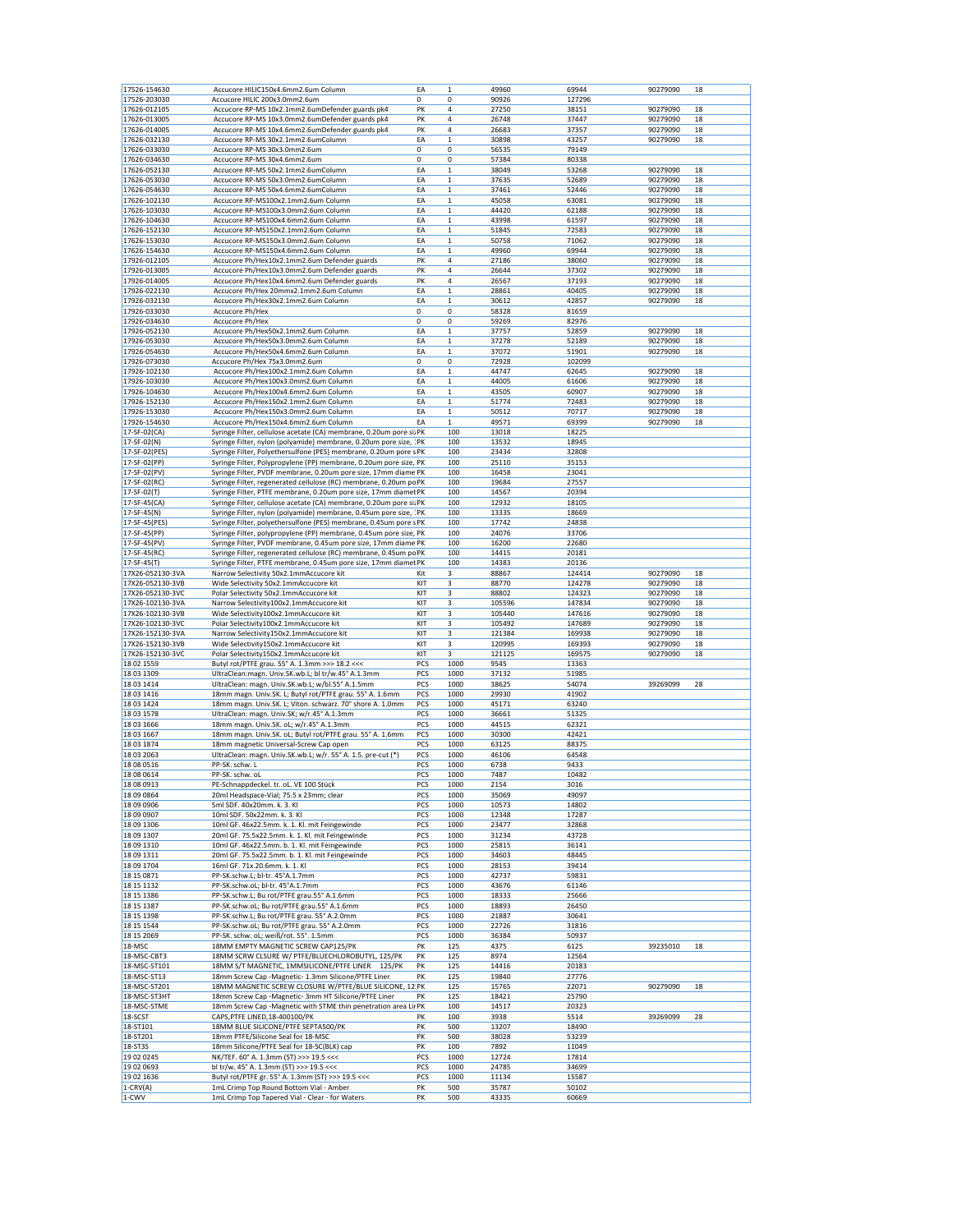| 17526-154630<br>17526-203030<br>17626-012105 | Accucore HILIC150x4.6mm2.6um Column                                                          | EA          | $\mathbf{1}$ | 49960          | 69944          | 90279090 | 18 |
|----------------------------------------------|----------------------------------------------------------------------------------------------|-------------|--------------|----------------|----------------|----------|----|
|                                              | Accucore HILIC 200x3.0mm2.6um                                                                | 0           | 0            | 90926          | 127296         |          |    |
|                                              | Accucore RP-MS 10x2.1mm2.6umDefender guards pk4                                              | PK          | 4            | 27250          | 38151          | 90279090 | 18 |
| 17626-013005                                 | Accucore RP-MS 10x3.0mm2.6umDefender guards pk4                                              | PK          | 4            | 26748          | 37447          | 90279090 | 18 |
| 17626-014005                                 | Accucore RP-MS 10x4.6mm2.6umDefender guards pk4                                              | PK          | 4            | 26683          | 37357          | 90279090 | 18 |
| 17626-032130                                 | Accucore RP-MS 30x2.1mm2.6umColumn                                                           | EA          | $\mathbf 1$  | 30898          | 43257          | 90279090 | 18 |
| 17626-033030                                 | Accucore RP-MS 30x3.0mm2.6um                                                                 | 0           | 0            | 56535          | 79149          |          |    |
| 17626-034630                                 | Accucore RP-MS 30x4.6mm2.6um                                                                 | 0           | 0            | 57384          | 80338          |          |    |
| 17626-052130                                 | Accucore RP-MS 50x2.1mm2.6umColumn                                                           | EA          | $\mathbf 1$  | 38049          | 53268          | 90279090 | 18 |
| 17626-053030                                 | Accucore RP-MS 50x3.0mm2.6umColumn                                                           | EA          | $\mathbf 1$  | 37635          | 52689          | 90279090 | 18 |
| 17626-054630                                 |                                                                                              |             |              |                |                |          | 18 |
|                                              | Accucore RP-MS 50x4.6mm2.6umColumn                                                           | EA          | $\mathbf 1$  | 37461          | 52446          | 90279090 |    |
| 17626-102130                                 | Accucore RP-MS100x2.1mm2.6um Column                                                          | EA          | $\mathbf 1$  | 45058          | 63081          | 90279090 | 18 |
| 17626-103030                                 | Accucore RP-MS100x3.0mm2.6um Column                                                          | EA          | $\mathbf 1$  | 44420          | 62188          | 90279090 | 18 |
| 17626-104630                                 | Accucore RP-MS100x4.6mm2.6um Column                                                          | EA          | $\mathbf 1$  | 43998          | 61597          | 90279090 | 18 |
| 17626-152130                                 | Accucore RP-MS150x2.1mm2.6um Column                                                          | EA          | $\mathbf 1$  | 51845          | 72583          | 90279090 | 18 |
| 17626-153030                                 | Accucore RP-MS150x3.0mm2.6um Column                                                          | EA          | $\mathbf 1$  | 50758          | 71062          | 90279090 | 18 |
| 17626-154630                                 | Accucore RP-MS150x4.6mm2.6um Column                                                          | EA          | $\mathbf 1$  | 49960          | 69944          | 90279090 | 18 |
| 17926-012105                                 | Accucore Ph/Hex10x2.1mm2.6um Defender guards                                                 | PK          | 4            | 27186          | 38060          | 90279090 | 18 |
| 17926-013005                                 | Accucore Ph/Hex10x3.0mm2.6um Defender guards                                                 | PK          | 4            | 26644          | 37302          | 90279090 | 18 |
| 17926-014005                                 | Accucore Ph/Hex10x4.6mm2.6um Defender guards                                                 | PK          | 4            | 26567          | 37193          | 90279090 | 18 |
| 17926-022130                                 | Accucore Ph/Hex 20mmx2.1mm2.6um Column                                                       | EA          | $\mathbf 1$  | 28861          | 40405          | 90279090 | 18 |
| 17926-032130                                 | Accucore Ph/Hex30x2.1mm2.6um Column                                                          | EA          | $\mathbf 1$  | 30612          | 42857          | 90279090 | 18 |
| 17926-033030                                 | Accucore Ph/Hex                                                                              | 0           | 0            | 58328          | 81659          |          |    |
| 17926-034630                                 | Accucore Ph/Hex                                                                              | 0           | 0            | 59269          | 82976          |          |    |
| 17926-052130                                 | Accucore Ph/Hex50x2.1mm2.6um Column                                                          | EA          | $\mathbf 1$  | 37757          | 52859          | 90279090 | 18 |
| 17926-053030                                 | Accucore Ph/Hex50x3.0mm2.6um Column                                                          | EA          | $\mathbf 1$  | 37278          | 52189          | 90279090 | 18 |
| 17926-054630                                 | Accucore Ph/Hex50x4.6mm2.6um Column                                                          | EA          | $\mathbf 1$  | 37072          | 51901          | 90279090 | 18 |
| 17926-073030                                 | Accucore Ph/Hex 75x3.0mm2.6um                                                                | $\mathbf 0$ | 0            | 72928          | 102099         |          |    |
| 17926-102130                                 | Accucore Ph/Hex100x2.1mm2.6um Column                                                         | EA          |              | 44747          |                | 90279090 | 18 |
|                                              |                                                                                              |             | $\mathbf 1$  |                | 62645          |          |    |
| 17926-103030                                 | Accucore Ph/Hex100x3.0mm2.6um Column                                                         | EA          | $\mathbf 1$  | 44005          | 61606          | 90279090 | 18 |
| 17926-104630                                 | Accucore Ph/Hex100x4.6mm2.6um Column                                                         | EA          | $\mathbf{1}$ | 43505          | 60907          | 90279090 | 18 |
| 17926-152130                                 | Accucore Ph/Hex150x2.1mm2.6um Column                                                         | EA          | $\mathbf 1$  | 51774          | 72483          | 90279090 | 18 |
| 17926-153030                                 | Accucore Ph/Hex150x3.0mm2.6um Column                                                         | EA          | $\,1$        | 50512          | 70717          | 90279090 | 18 |
| 17926-154630                                 | Accucore Ph/Hex150x4.6mm2.6um Column                                                         | EA          | $\,1$        | 49571          | 69399          | 90279090 | 18 |
| 17-SF-02(CA)                                 | Syringe Filter, cellulose acetate (CA) membrane, 0.20um pore si: PK                          |             | 100          | 13018          | 18225          |          |    |
| 17-SF-02(N)                                  | Syringe Filter, nylon (polyamide) membrane, 0.20um pore size, : PK                           |             | 100          | 13532          | 18945          |          |    |
| 17-SF-02(PES)                                | Syringe Filter, Polyethersulfone (PES) membrane, 0.20um pore s PK                            |             | 100          | 23434          | 32808          |          |    |
| 17-SF-02(PP)                                 | Syringe Filter, Polypropylene (PP) membrane, 0.20um pore size, PK                            |             | 100          | 25110          | 35153          |          |    |
| 17-SF-02(PV)                                 | Syringe Filter, PVDF membrane, 0.20um pore size, 17mm diame PK                               |             | 100          | 16458          | 23041          |          |    |
| 17-SF-02(RC)                                 | Syringe Filter, regenerated cellulose (RC) membrane, 0.20um po PK                            |             | 100          | 19684          | 27557          |          |    |
| 17-SF-02(T)                                  | Syringe Filter, PTFE membrane, 0.20um pore size, 17mm diamet PK                              |             | 100          | 14567          | 20394          |          |    |
| 17-SF-45(CA)                                 | Syringe Filter, cellulose acetate (CA) membrane, 0.20um pore si: PK                          |             | 100          | 12932          | 18105          |          |    |
| 17-SF-45(N)                                  | Syringe Filter, nylon (polyamide) membrane, 0.45um pore size, : PK                           |             | 100          | 13335          | 18669          |          |    |
| 17-SF-45(PES)                                | Syringe Filter, polyethersulfone (PES) membrane, 0.45um pore s PK                            |             | 100          | 17742          | 24838          |          |    |
| 17-SF-45(PP)                                 | Syringe Filter, polypropylene (PP) membrane, 0.45um pore size, PK                            |             | 100          | 24076          | 33706          |          |    |
| 17-SF-45(PV)                                 |                                                                                              |             |              |                | 22680          |          |    |
|                                              | Syringe Filter, PVDF membrane, 0.45um pore size, 17mm diame PK                               |             | 100          | 16200          |                |          |    |
| 17-SF-45(RC)                                 | Syringe Filter, regenerated cellulose (RC) membrane, 0.45um po PK                            |             | 100          | 14415          | 20181          |          |    |
| 17-SF-45(T)                                  | Syringe Filter, PTFE membrane, 0.45um pore size, 17mm diamet PK                              |             | 100          | 14383          | 20136          |          |    |
| 17X26-052130-3VA                             | Narrow Selectivity 50x2.1mmAccucore kit                                                      | Kit         | 3            | 88867          | 124414         | 90279090 | 18 |
| 17X26-052130-3VB                             | Wide Selectivity 50x2.1mmAccucore kit                                                        | KIT         | 3            | 88770          | 124278         | 90279090 | 18 |
| 17X26-052130-3VC                             | Polar Selectivity 50x2.1mmAccucore kit                                                       | KIT         | 3            | 88802          | 124323         | 90279090 | 18 |
| 17X26-102130-3VA                             | Narrow Selectivity100x2.1mmAccucore kit                                                      | KIT         | 3            | 105596         | 147834         | 90279090 | 18 |
| 17X26-102130-3VB                             | Wide Selectivity100x2.1mmAccucore kit                                                        | KIT         | 3            | 105440         | 147616         | 90279090 | 18 |
| 17X26-102130-3VC                             | Polar Selectivity100x2.1mmAccucore kit                                                       | KIT         | 3            | 105492         | 147689         | 90279090 | 18 |
| 17X26-152130-3VA                             | Narrow Selectivity150x2.1mmAccucore kit                                                      | KIT         | 3            | 121384         | 169938         | 90279090 | 18 |
| 17X26-152130-3VB                             | Wide Selectivity150x2.1mmAccucore kit                                                        | KIT         | 3            | 120995         | 169393         | 90279090 | 18 |
| 17X26-152130-3VC                             | Polar Selectivity150x2.1mmAccucore kit                                                       | KIT         | 3            | 121125         | 169575         | 90279090 | 18 |
| 18 02 1559                                   | Butyl rot/PTFE grau. 55° A. 1.3mm >>> 18.2 <<<                                               | PCS         | 1000         | 9545           | 13363          |          |    |
| 18 03 1309                                   | UltraClean:magn. Univ.SK.wb.L; bl tr/w.45° A.1.3mm                                           | PCS         | 1000         | 37132          | 51985          |          |    |
| 18 03 14 14                                  | UltraClean: magn. Univ.SK.wb.L; w/bl.55° A.1.5mm                                             | PCS         | 1000         | 38625          |                |          | 28 |
| 18 03 14 16                                  | 18mm magn. Univ.SK. L; Butyl rot/PTFE grau. 55° A. 1.6mm                                     | PCS         |              |                |                |          |    |
| 18 03 14 24                                  |                                                                                              |             |              |                | 54074          | 39269099 |    |
|                                              |                                                                                              |             | 1000         | 29930          | 41902          |          |    |
|                                              | 18mm magn. Univ.SK. L; Viton. schwarz. 70° shore A. 1.0mm                                    | PCS         | 1000         | 45171          | 63240          |          |    |
| 18 03 1578                                   | UltraClean: magn. Univ.SK; w/r.45° A.1.3mm                                                   | PCS         | 1000         | 36661          | 51325          |          |    |
| 18 03 1666                                   | 18mm magn. Univ.SK. oL; w/r.45° A.1.3mm                                                      | PCS         | 1000         | 44515          | 62321          |          |    |
| 18 03 1667                                   | 18mm magn. Univ.SK. oL; Butyl rot/PTFE grau. 55° A. 1.6mm                                    | PCS         | 1000         | 30300          | 42421          |          |    |
| 18 03 1874                                   | 18mm magnetic Universal-Screw Cap open                                                       | PCS         | 1000         | 63125          | 88375          |          |    |
| 18 03 2063                                   | UltraClean: magn. Univ.SK.wb.L; w/r. 55° A. 1.5. pre-cut (*)                                 | PCS         | 1000         | 46106          | 64548          |          |    |
| 18 08 05 16                                  | PP-SK. schw. L                                                                               | PCS         | 1000         | 6738           | 9433           |          |    |
| 18 08 06 14                                  | PP-SK. schw. oL                                                                              | PCS         | 1000         | 7487           | 10482          |          |    |
| 18 08 0913                                   | PE-Schnappdeckel. tr. oL. VE 100 Stück                                                       | PCS         | 1000         | 2154           | 3016           |          |    |
| 18 09 08 64                                  | 20ml Headspace-Vial; 75.5 x 23mm; clear                                                      | PCS         | 1000         | 35069          | 49097          |          |    |
| 18 09 0906                                   | 5ml SDF. 40x20mm. k. 3. Kl                                                                   | PCS         | 1000         | 10573          | 14802          |          |    |
| 18 09 0907                                   | 10ml SDF. 50x22mm. k. 3. Kl                                                                  | PCS         | 1000         | 12348          | 17287          |          |    |
| 18 09 1306                                   | 10ml GF. 46x22.5mm. k. 1. Kl. mit Feingewinde                                                | PCS         | 1000         | 23477          | 32868          |          |    |
| 18 09 1307                                   | 20ml GF. 75.5x22.5mm. k. 1. Kl. mit Feingewinde                                              | PCS         | 1000         | 31234          | 43728          |          |    |
| 18 09 13 10                                  | 10ml GF. 46x22.5mm. b. 1. Kl. mit Feingewinde                                                | PCS         | 1000         | 25815          | 36141          |          |    |
| 18 09 13 11                                  | 20ml GF. 75.5x22.5mm. b. 1. Kl. mit Feingewinde                                              | PCS         | 1000         | 34603          | 48445          |          |    |
| 18 09 1704                                   | 16ml GF. 71x 20.6mm. k. 1. Kl                                                                | PCS         | 1000         | 28153          | 39414          |          |    |
|                                              |                                                                                              |             |              |                |                |          |    |
| 18 15 0871                                   | PP-SK.schw.L; bl-tr. 45°A.1.7mm                                                              | PCS         | 1000         | 42737          | 59831          |          |    |
| 18 15 1132                                   | PP-SK.schw.oL; bl-tr. 45°A.1.7mm                                                             | PCS         | 1000         | 43676          | 61146          |          |    |
| 18 15 1386                                   | PP-SK.schw.L; Bu rot/PTFE grau.55° A.1.6mm                                                   | PCS         | 1000         | 18333          | 25666          |          |    |
| 18 15 1387                                   | PP-SK.schw.oL; Bu rot/PTFE grau.55° A.1.6mm                                                  | PCS         | 1000         | 18893          | 26450          |          |    |
| 18 15 1398                                   | PP-SK.schw.L; Bu rot/PTFE grau. 55° A.2.0mm                                                  | PCS         | 1000         | 21887          | 30641          |          |    |
| 18 15 15 44                                  | PP-SK.schw.oL; Bu rot/PTFE grau. 55° A.2.0mm                                                 | PCS         | 1000         | 22726          | 31816          |          |    |
| 18 15 2069                                   | PP-SK. schw. oL; weiß/rot. 55°. 1.5mm                                                        | PCS         | 1000         | 36384          | 50937          |          |    |
| 18-MSC                                       | 18MM EMPTY MAGNETIC SCREW CAP125/PK                                                          | PK          | 125          | 4375           | 6125           | 39235010 | 18 |
| 18-MSC-CBT3                                  | 18MM SCRW CLSURE W/ PTFE/BLUECHLOROBUTYL, 125/PK                                             | PK          | 125          | 8974           | 12564          |          |    |
| 18-MSC-ST101                                 | 18MM S/T MAGNETIC, 1MMSILICONE/PTFE LINER 125/PK                                             | PK          | 125          | 14416          | 20183          |          |    |
| 18-MSC-ST13                                  | 18mm Screw Cap - Magnetic- 1.3mm Silicone/PTFE Liner                                         | PK          | 125          | 19840          | 27776          |          |    |
| 18-MSC-ST201                                 | 18MM MAGNETIC SCREW CLOSURE W/PTFE/BLUE SILICONE, 12 PK                                      |             | 125          | 15765          | 22071          | 90279090 | 18 |
| 18-MSC-ST3HT                                 | 18mm Screw Cap - Magnetic- 3mm HT Silicone/PTFE Liner                                        | PK          | 125          | 18421          | 25790          |          |    |
| 18-MSC-STME                                  | 18mm Screw Cap - Magnetic with STME thin penetration area LirPK                              |             | 100          | 14517          | 20323          |          |    |
| 18-SCST                                      | CAPS, PTFE LINED, 18-400100/PK                                                               | PK          | 100          | 3938           | 5514           | 39269099 | 28 |
| 18-ST101                                     | 18MM BLUE SILICONE/PTFE SEPTA500/PK                                                          | PK          | 500          | 13207          | 18490          |          |    |
| 18-ST201                                     | 18mm PTFE/Silicone Seal for 18-MSC                                                           | PK          | 500          | 38028          | 53239          |          |    |
| 18-ST3S                                      | 18mm Silicone/PTFE Seal for 18-SC(BLK) cap                                                   | PK          | 100          | 7892           | 11049          |          |    |
|                                              | NK/TEF. 60° A. 1.3mm (ST) >>> 19.5 <<<                                                       |             | 1000         | 12724          |                |          |    |
| 19 02 0245                                   |                                                                                              | PCS         |              |                | 17814          |          |    |
| 19 02 0693                                   | bl tr/w. 45° A. 1.3mm (ST) >>> 19.5 <<<                                                      | PCS         | 1000         | 24785          | 34699          |          |    |
| 19 02 1636<br>$1-CRV(A)$                     | Butyl rot/PTFE gr. 55° A. 1.3mm (ST) >>> 19.5 <<<<br>1mL Crimp Top Round Bottom Vial - Amber | PCS<br>PK   | 1000<br>500  | 11134<br>35787 | 15587<br>50102 |          |    |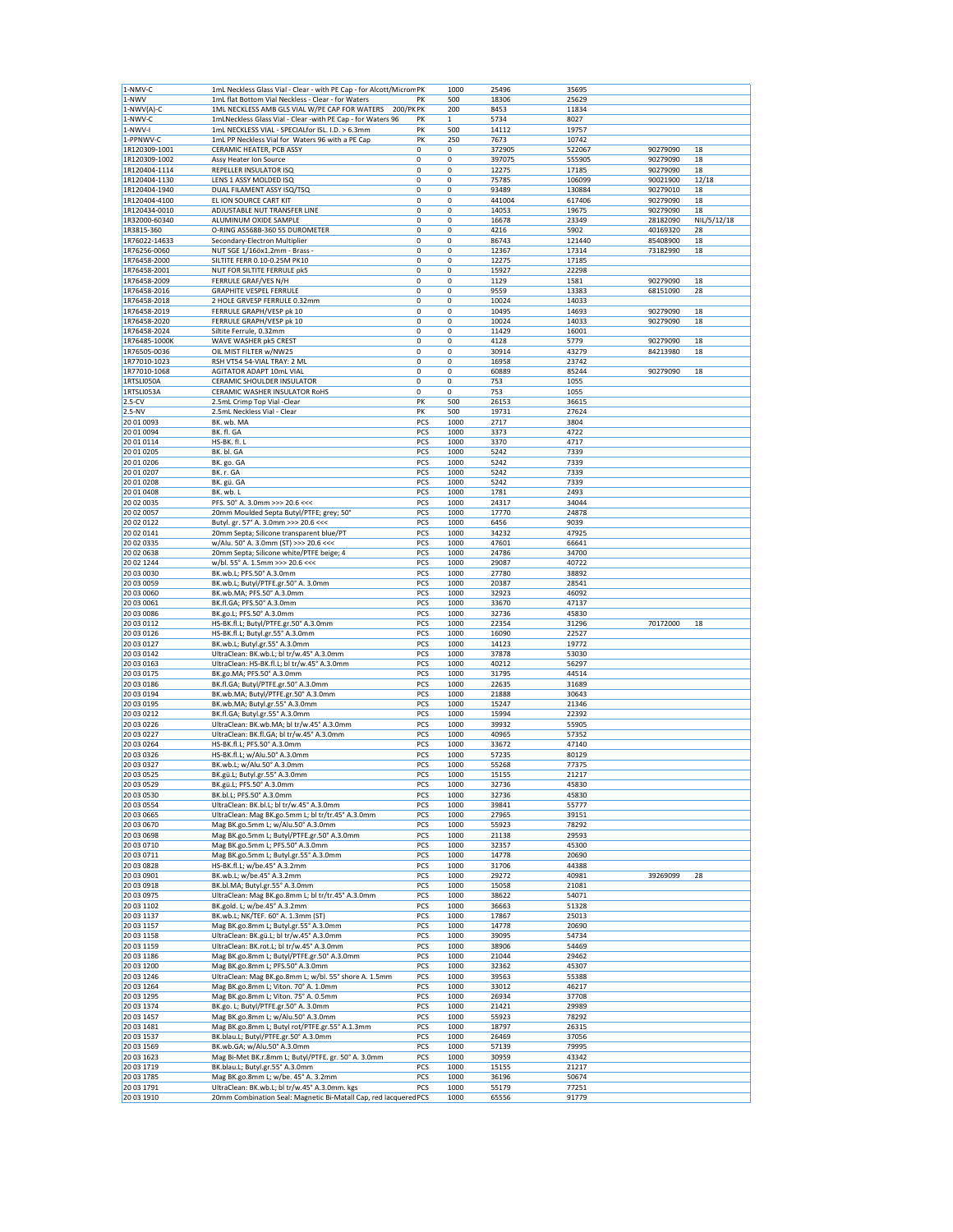| 1-NWV                    | 1mL Neckless Glass Vial - Clear - with PE Cap - for Alcott/Microm PK                 |            | 1000         | 25496          | 35695          |          |             |
|--------------------------|--------------------------------------------------------------------------------------|------------|--------------|----------------|----------------|----------|-------------|
|                          | 1mL flat Bottom Vial Neckless - Clear - for Waters                                   | PK         | 500          | 18306          | 25629          |          |             |
| 1-NWV(A)-C               | 1ML NECKLESS AMB GLS VIAL W/PE CAP FOR WATERS<br>200/PK PK                           |            | 200          | 8453           | 11834          |          |             |
| 1-NWV-C                  | 1mLNeckless Glass Vial - Clear -with PE Cap - for Waters 96                          | PK         | $\mathbf{1}$ | 5734           | 8027           |          |             |
| 1-NWV-I                  | 1mL NECKLESS VIAL - SPECIALfor ISL. I.D. > 6.3mm                                     | PK         | 500          | 14112          | 19757          |          |             |
| 1-PPNWV-C                | 1mL PP Neckless Vial for Waters 96 with a PE Cap                                     | PK         | 250          | 7673           | 10742          |          |             |
| 1R120309-1001            | CERAMIC HEATER, PCB ASSY                                                             | 0          | 0            | 372905         | 522067         | 90279090 | 18          |
| 1R120309-1002            | Assy Heater Ion Source                                                               | 0          | 0            | 397075         | 555905         | 90279090 | 18          |
| 1R120404-1114            | REPELLER INSULATOR ISQ                                                               | 0          | 0            | 12275          | 17185          | 90279090 | 18          |
| 1R120404-1130            | LENS 1 ASSY MOLDED ISQ                                                               | 0          | 0            | 75785          | 106099         | 90021900 | 12/18       |
| 1R120404-1940            | DUAL FILAMENT ASSY ISQ/TSQ                                                           | 0          | 0            | 93489          | 130884         | 90279010 | 18          |
| 1R120404-4100            | EL ION SOURCE CART KIT                                                               | 0          | 0            | 441004         | 617406         | 90279090 | 18          |
| 1R120434-0010            | ADJUSTABLE NUT TRANSFER LINE                                                         | 0          | 0            | 14053          | 19675          | 90279090 | 18          |
| 1R32000-60340            | ALUMINUM OXIDE SAMPLE                                                                | 0          | 0            | 16678          | 23349          | 28182090 | NIL/5/12/18 |
|                          |                                                                                      |            |              |                |                |          |             |
| 1R3815-360               | O-RING AS568B-360 55 DUROMETER                                                       | 0          | 0            | 4216           | 5902           | 40169320 | 28          |
| 1R76022-14633            | Secondary-Electron Multiplier                                                        | 0          | 0            | 86743          | 121440         | 85408900 | 18          |
| 1R76256-0060             | NUT SGE 1/16öx1.2mm - Brass -                                                        | 0          | 0            | 12367          | 17314          | 73182990 | 18          |
| 1R76458-2000             | SILTITE FERR 0.10-0.25M PK10                                                         | 0          | 0            | 12275          | 17185          |          |             |
| 1R76458-2001             | NUT FOR SILTITE FERRULE pk5                                                          | 0          | 0            | 15927          | 22298          |          |             |
| 1R76458-2009             | FERRULE GRAF/VES N/H                                                                 | 0          | 0            | 1129           | 1581           | 90279090 | 18          |
| 1R76458-2016             | <b>GRAPHITE VESPEL FERRULE</b>                                                       | 0          | 0            | 9559           | 13383          | 68151090 | 28          |
| 1R76458-2018             | 2 HOLE GRVESP FERRULE 0.32mm                                                         | 0          | 0            | 10024          | 14033          |          |             |
| 1R76458-2019             | FERRULE GRAPH/VESP pk 10                                                             | 0          | 0            | 10495          | 14693          | 90279090 | 18          |
| 1R76458-2020             | FERRULE GRAPH/VESP pk 10                                                             | 0          | 0            | 10024          | 14033          | 90279090 | 18          |
| 1R76458-2024             | Siltite Ferrule, 0.32mm                                                              | 0          | 0            | 11429          | 16001          |          |             |
| 1R76485-1000K            | WAVE WASHER pk5 CREST                                                                | 0          | 0            | 4128           | 5779           | 90279090 | 18          |
| 1R76505-0036             | OIL MIST FILTER w/NW25                                                               | 0          | 0            | 30914          | 43279          | 84213980 | 18          |
| 1R77010-1023             | RSH VT54 54-VIAL TRAY: 2 ML                                                          | 0          | 0            | 16958          | 23742          |          |             |
| 1R77010-1068             | AGITATOR ADAPT 10mL VIAL                                                             | 0          | 0            | 60889          | 85244          | 90279090 | 18          |
|                          |                                                                                      |            | 0            |                |                |          |             |
| 1RTSLI050A               | CERAMIC SHOULDER INSULATOR                                                           | 0          |              | 753            | 1055           |          |             |
| 1RTSLI053A               | CERAMIC WASHER INSULATOR RoHS                                                        | 0          | 0            | 753            | 1055           |          |             |
| $2.5-CV$                 | 2.5mL Crimp Top Vial -Clear                                                          | PK         | 500          | 26153          | 36615          |          |             |
| $2.5-NV$                 | 2.5mL Neckless Vial - Clear                                                          | PK         | 500          | 19731          | 27624          |          |             |
| 20 01 0093               | BK. wb. MA                                                                           | PCS        | 1000         | 2717           | 3804           |          |             |
| 20 01 0094               | BK. fl. GA                                                                           | PCS        | 1000         | 3373           | 4722           |          |             |
| 20 01 0114               | HS-BK. fl. L                                                                         | PCS        | 1000         | 3370           | 4717           |          |             |
| 20 01 0205               | BK. bl. GA                                                                           | PCS        | 1000         | 5242           | 7339           |          |             |
| 20 01 0206               | BK. go. GA                                                                           | PCS        | 1000         | 5242           | 7339           |          |             |
| 20 01 0207               | BK. r. GA                                                                            | PCS        | 1000         | 5242           | 7339           |          |             |
| 20 01 0208               | BK. gü. GA                                                                           | PCS        | 1000         | 5242           | 7339           |          |             |
| 20 01 0408               | BK. wb. L                                                                            | PCS        | 1000         | 1781           | 2493           |          |             |
| 20 02 0035               | PFS. 50° A. 3.0mm >>> 20.6 <<<                                                       | PCS        | 1000         | 24317          | 34044          |          |             |
| 20 02 0057               |                                                                                      |            |              |                |                |          |             |
|                          | 20mm Moulded Septa Butyl/PTFE; grey; 50°                                             | PCS        | 1000         | 17770          | 24878          |          |             |
| 20 02 0122               | Butyl. gr. 57° A. 3.0mm >>> 20.6 <<<                                                 | PCS        | 1000         | 6456           | 9039           |          |             |
| 20 02 0141               | 20mm Septa; Silicone transparent blue/PT                                             | PCS        | 1000         | 34232          | 47925          |          |             |
| 20 02 0335               | w/Alu. 50° A. 3.0mm (ST) >>> 20.6 <<<                                                | PCS        | 1000         | 47601          | 66641          |          |             |
| 20 02 0638               | 20mm Septa; Silicone white/PTFE beige; 4                                             | PCS        | 1000         | 24786          | 34700          |          |             |
| 20 02 1244               | w/bl. 55° A. 1.5mm >>> 20.6 <<<                                                      | PCS        | 1000         | 29087          | 40722          |          |             |
| 20 03 0030               | BK.wb.L; PFS.50° A.3.0mm                                                             | PCS        | 1000         | 27780          | 38892          |          |             |
| 20 03 0059               | BK.wb.L; Butyl/PTFE.gr.50° A. 3.0mm                                                  | PCS        | 1000         | 20387          | 28541          |          |             |
| 20 03 0060               | BK.wb.MA; PFS.50° A.3.0mm                                                            | PCS        | 1000         | 32923          | 46092          |          |             |
| 20 03 0061               | BK.fl.GA; PFS.50° A.3.0mm                                                            | PCS        | 1000         | 33670          | 47137          |          |             |
| 20 03 0086               | BK.go.L; PFS.50° A.3.0mm                                                             | PCS        | 1000         | 32736          | 45830          |          |             |
| 20 03 0112               | HS-BK.fl.L; Butyl/PTFE.gr.50° A.3.0mm                                                | PCS        | 1000         | 22354          | 31296          | 70172000 | 18          |
| 20 03 01 26              |                                                                                      | PCS        | 1000         | 16090          | 22527          |          |             |
|                          | HS-BK.fl.L; Butyl.gr.55° A.3.0mm                                                     |            |              |                |                |          |             |
| 20 03 0127               | BK.wb.L; Butyl.gr.55° A.3.0mm                                                        | PCS        | 1000         | 14123          | 19772          |          |             |
| 20 03 0142               | UltraClean: BK.wb.L; bl tr/w.45° A.3.0mm                                             | PCS        | 1000         | 37878          | 53030          |          |             |
| 20 03 0163               | UltraClean: HS-BK.fl.L; bl tr/w.45° A.3.0mm                                          | PCS        | 1000         | 40212          | 56297          |          |             |
| 20 03 0175               | BK.go.MA; PFS.50° A.3.0mm                                                            | PCS        | 1000         | 31795          | 44514          |          |             |
| 20 03 0186               | BK.fl.GA; Butyl/PTFE.gr.50° A.3.0mm                                                  | PCS        | 1000         | 22635          | 31689          |          |             |
| 20 03 0194               |                                                                                      |            |              |                |                |          |             |
|                          | BK.wb.MA; Butyl/PTFE.gr.50° A.3.0mm                                                  | PCS        | 1000         | 21888          | 30643          |          |             |
| 20 03 0195               | BK.wb.MA; Butyl.gr.55° A.3.0mm                                                       | PCS        | 1000         | 15247          | 21346          |          |             |
| 20 03 0212               | BK.fl.GA; Butyl.gr.55° A.3.0mm                                                       | PCS        | 1000         | 15994          | 22392          |          |             |
| 20 03 02 26              | UltraClean: BK.wb.MA; bl tr/w.45° A.3.0mm                                            | PCS        | 1000         | 39932          | 55905          |          |             |
| 20 03 0227               | UltraClean: BK.fl.GA; bl tr/w.45° A.3.0mm                                            | PCS        | 1000         | 40965          | 57352          |          |             |
| 20 03 0264               | HS-BK.fl.L; PFS.50° A.3.0mm                                                          | PCS        | 1000         | 33672          | 47140          |          |             |
|                          |                                                                                      |            | 1000         | 57235          | 80129          |          |             |
| 20 03 03 26              | HS-BK.fl.L; w/Alu.50° A.3.0mm                                                        | PCS        |              |                |                |          |             |
| 20 03 03 27              | BK.wb.L; w/Alu.50° A.3.0mm                                                           | PCS        | 1000<br>1000 | 55268          | 77375          |          |             |
| 20 03 05 25              | BK.gü.L; Butyl.gr.55° A.3.0mm                                                        | PCS        |              | 15155          | 21217          |          |             |
| 20 03 05 29              | BK.gü.L; PFS.50° A.3.0mm                                                             | PCS        | 1000         | 32736          | 45830          |          |             |
| 20 03 0530               | BK.bl.L; PFS.50° A.3.0mm                                                             | PCS        | 1000         | 32736          | 45830          |          |             |
| 20 03 0554               | UltraClean: BK.bl.L; bl tr/w.45° A.3.0mm                                             | PCS        | 1000         | 39841          | 55777          |          |             |
| 20 03 0665               | UltraClean: Mag BK.go.5mm L; bl tr/tr.45° A.3.0mm                                    | PCS        | 1000         | 27965          | 39151          |          |             |
| 20 03 0670               | Mag BK.go.5mm L; w/Alu.50° A.3.0mm                                                   | PCS        | 1000         | 55923          | 78292          |          |             |
| 20 03 0698               | Mag BK.go.5mm L; Butyl/PTFE.gr.50° A.3.0mm                                           | PCS        | 1000         | 21138          | 29593          |          |             |
| 20 03 0710               | Mag BK.go.5mm L; PFS.50° A.3.0mm                                                     | PCS        | 1000         | 32357          | 45300          |          |             |
| 20 03 0711               | Mag BK.go.5mm L; Butyl.gr.55° A.3.0mm                                                | PCS        | 1000         | 14778          | 20690          |          |             |
| 20 03 08 28              | HS-BK.fl.L; w/be.45° A.3.2mm                                                         | PCS        | 1000         | 31706          | 44388          |          |             |
| 20 03 0901               | BK.wb.L; w/be.45° A.3.2mm                                                            | PCS        | 1000         | 29272          | 40981          | 39269099 | 28          |
| 20 03 09 18              | BK.bl.MA; Butyl.gr.55° A.3.0mm                                                       | PCS        | 1000         | 15058          | 21081          |          |             |
| 20 03 0975               | UltraClean: Mag BK.go.8mm L; bl tr/tr.45° A.3.0mm                                    | PCS        | 1000         | 38622          | 54071          |          |             |
| 20 03 1102               | BK.gold. L; w/be.45° A.3.2mm                                                         | PCS        | 1000         | 36663          | 51328          |          |             |
| 20 03 1137               | BK.wb.L; NK/TEF. 60° A. 1.3mm (ST)                                                   | PCS        | 1000         | 17867          | 25013          |          |             |
|                          | Mag BK.go.8mm L; Butyl.gr.55° A.3.0mm                                                | PCS        | 1000         | 14778          | 20690          |          |             |
| 20 03 1157<br>20 03 1158 | UltraClean: BK.gü.L; bl tr/w.45° A.3.0mm                                             | PCS        | 1000         | 39095          | 54734          |          |             |
|                          |                                                                                      |            |              |                |                |          |             |
| 20 03 1159               | UltraClean: BK.rot.L; bl tr/w.45° A.3.0mm                                            | PCS        | 1000         | 38906          | 54469          |          |             |
| 20 03 1186               | Mag BK.go.8mm L; Butyl/PTFE.gr.50° A.3.0mm                                           | PCS        | 1000         | 21044          | 29462          |          |             |
| 20 03 1200               | Mag BK.go.8mm L; PFS.50° A.3.0mm                                                     | PCS        | 1000         | 32362          | 45307          |          |             |
| 20 03 1246               | UltraClean: Mag BK.go.8mm L; w/bl. 55° shore A. 1.5mm                                | PCS        | 1000         | 39563          | 55388          |          |             |
| 20 03 1264               | Mag BK.go.8mm L; Viton. 70° A. 1.0mm                                                 | PCS        | 1000         | 33012          | 46217          |          |             |
| 20 03 1295               | Mag BK.go.8mm L; Viton. 75° A. 0.5mm                                                 | PCS        | 1000         | 26934          | 37708          |          |             |
| 20 03 1374               | BK.go. L; Butyl/PTFE.gr.50° A. 3.0mm                                                 | PCS        | 1000         | 21421          | 29989          |          |             |
| 20 03 1457               | Mag BK.go.8mm L; w/Alu.50° A.3.0mm                                                   | PCS        | 1000         | 55923          | 78292          |          |             |
| 20 03 1481               | Mag BK.go.8mm L; Butyl rot/PTFE.gr.55° A.1.3mm                                       | PCS        | 1000         | 18797          | 26315          |          |             |
| 20 03 1537               | BK.blau.L; Butyl/PTFE.gr.50° A.3.0mm                                                 | PCS        | 1000         | 26469          | 37056          |          |             |
| 20 03 1569               | BK.wb.GA; w/Alu.50° A.3.0mm                                                          | PCS        | 1000         | 57139          | 79995          |          |             |
| 20 03 1623               | Mag Bi-Met BK.r.8mm L; Butyl/PTFE. gr. 50° A. 3.0mm                                  | PCS        | 1000         | 30959          | 43342          |          |             |
| 20 03 1719               | BK.blau.L; Butyl.gr.55° A.3.0mm                                                      | PCS        | 1000         | 15155          | 21217          |          |             |
|                          |                                                                                      |            |              |                |                |          |             |
| 20 03 1785<br>20 03 1791 | Mag BK.go.8mm L; w/be. 45° A. 3.2mm<br>UltraClean: BK.wb.L; bl tr/w.45° A.3.0mm. kgs | PCS<br>PCS | 1000<br>1000 | 36196<br>55179 | 50674<br>77251 |          |             |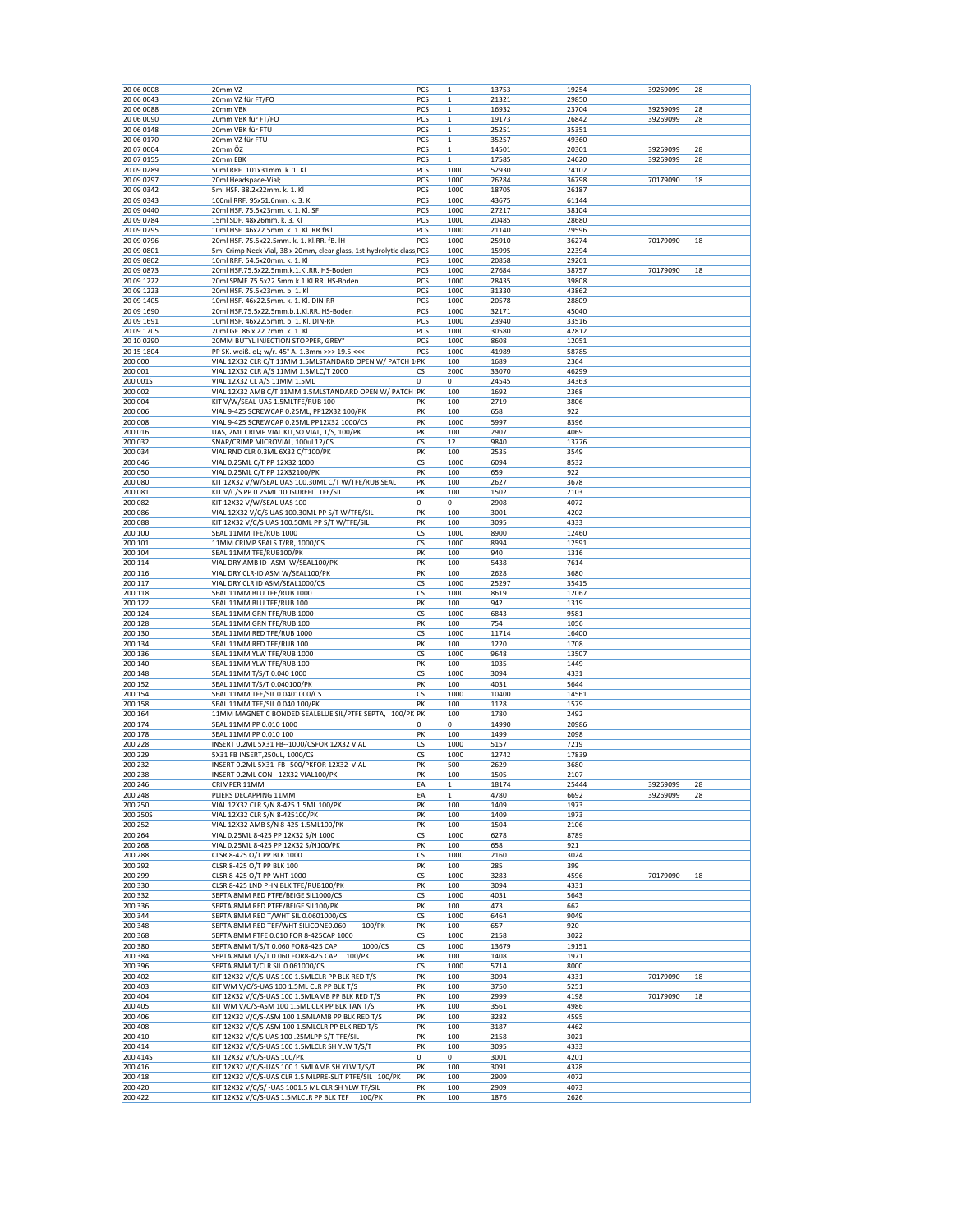| 20 06 0008 | 20mm VZ                                                               | PCS        | $\mathbf 1$  | 13753 | 19254 | 39269099 | 28 |
|------------|-----------------------------------------------------------------------|------------|--------------|-------|-------|----------|----|
| 20 06 0043 | 20mm VZ für FT/FO                                                     | <b>PCS</b> | 1            | 21321 | 29850 |          |    |
| 20 06 0088 | 20mm VBK                                                              | PCS        | $\mathbf 1$  | 16932 | 23704 | 39269099 | 28 |
| 20 06 0090 | 20mm VBK für FT/FO                                                    | PCS        | $\mathbf 1$  | 19173 | 26842 | 39269099 | 28 |
|            | 20mm VBK für FTU                                                      | PCS        | 1            |       |       |          |    |
| 20 06 0148 |                                                                       |            |              | 25251 | 35351 |          |    |
| 20 06 0170 | 20mm VZ für FTU                                                       | PCS        | 1            | 35257 | 49360 |          |    |
| 20 07 0004 | 20mm ÖZ                                                               | PCS        | $\mathbf 1$  | 14501 | 20301 | 39269099 | 28 |
| 20 07 0155 | 20mm EBK                                                              | PCS        | $\mathbf{1}$ | 17585 | 24620 | 39269099 | 28 |
| 20 09 0289 | 50ml RRF. 101x31mm. k. 1. Kl                                          | PCS        | 1000         | 52930 | 74102 |          |    |
| 20 09 0297 | 20ml Headspace-Vial;                                                  | PCS        | 1000         | 26284 | 36798 | 70179090 | 18 |
|            |                                                                       |            |              |       |       |          |    |
| 20 09 0342 | 5ml HSF. 38.2x22mm. k. 1. Kl                                          | PCS        | 1000         | 18705 | 26187 |          |    |
| 20 09 0343 | 100ml RRF. 95x51.6mm. k. 3. Kl                                        | PCS        | 1000         | 43675 | 61144 |          |    |
| 20 09 0440 | 20ml HSF. 75.5x23mm. k. 1. Kl. SF                                     | PCS        | 1000         | 27217 | 38104 |          |    |
| 20 09 0784 | 15ml SDF. 48x26mm. k. 3. Kl                                           | PCS        | 1000         | 20485 | 28680 |          |    |
|            |                                                                       |            |              |       |       |          |    |
| 20 09 0795 | 10ml HSF. 46x22.5mm. k. 1. Kl. RR.fB.I                                | PCS        | 1000         | 21140 | 29596 |          |    |
| 20 09 0796 | 20ml HSF. 75.5x22.5mm. k. 1. Kl.RR. fB. IH                            | PCS        | 1000         | 25910 | 36274 | 70179090 | 18 |
| 20 09 0801 | 5ml Crimp Neck Vial, 38 x 20mm, clear glass, 1st hydrolytic class PCS |            | 1000         | 15995 | 22394 |          |    |
| 20 09 0802 | 10ml RRF. 54.5x20mm. k. 1. Kl                                         | PCS        | 1000         | 20858 | 29201 |          |    |
| 20 09 0873 | 20ml HSF.75.5x22.5mm.k.1.Kl.RR. HS-Boden                              | PCS        | 1000         | 27684 | 38757 | 70179090 | 18 |
|            |                                                                       |            |              |       |       |          |    |
| 20 09 1222 | 20ml SPME.75.5x22.5mm.k.1.Kl.RR. HS-Boden                             | PCS        | 1000         | 28435 | 39808 |          |    |
| 20 09 1223 | 20ml HSF. 75.5x23mm. b. 1. Kl                                         | PCS        | 1000         | 31330 | 43862 |          |    |
| 20 09 1405 | 10ml HSF. 46x22.5mm. k. 1. Kl. DIN-RR                                 | PCS        | 1000         | 20578 | 28809 |          |    |
| 20 09 1690 | 20ml HSF.75.5x22.5mm.b.1.Kl.RR. HS-Boden                              | PCS        | 1000         | 32171 | 45040 |          |    |
| 20 09 1691 | 10ml HSF. 46x22.5mm. b. 1. Kl. DIN-RR                                 | PCS        | 1000         | 23940 | 33516 |          |    |
| 20 09 1705 | 20ml GF. 86 x 22.7mm. k. 1. Kl                                        | PCS        | 1000         | 30580 | 42812 |          |    |
|            |                                                                       |            |              |       |       |          |    |
| 20 10 0290 | 20MM BUTYL INJECTION STOPPER, GREY'                                   | PCS        | 1000         | 8608  | 12051 |          |    |
| 20 15 1804 | PP SK. weiß. oL; w/r. 45° A. 1.3mm >>> 19.5 <<<                       | PCS        | 1000         | 41989 | 58785 |          |    |
| 200 000    | VIAL 12X32 CLR C/T 11MM 1.5MLSTANDARD OPEN W/ PATCH 1 PK              |            | 100          | 1689  | 2364  |          |    |
| 200 001    | VIAL 12X32 CLR A/S 11MM 1.5MLC/T 2000                                 | CS         | 2000         | 33070 | 46299 |          |    |
|            |                                                                       | 0          | 0            |       |       |          |    |
| 200 001S   | VIAL 12X32 CL A/S 11MM 1.5ML                                          |            |              | 24545 | 34363 |          |    |
| 200 002    | VIAL 12X32 AMB C/T 11MM 1.5MLSTANDARD OPEN W/ PATCH PK                |            | 100          | 1692  | 2368  |          |    |
| 200 004    | KIT V/W/SEAL-UAS 1.5MLTFE/RUB 100                                     | PK         | 100          | 2719  | 3806  |          |    |
| 200 006    | VIAL 9-425 SCREWCAP 0.25ML, PP12X32 100/PK                            | PK         | 100          | 658   | 922   |          |    |
| 200 008    | VIAL 9-425 SCREWCAP 0.25ML PP12X32 1000/CS                            | PK         | 1000         | 5997  | 8396  |          |    |
|            |                                                                       | PK         |              |       |       |          |    |
| 200 016    | UAS, 2ML CRIMP VIAL KIT, SO VIAL, T/S, 100/PK                         |            | 100          | 2907  | 4069  |          |    |
| 200 032    | SNAP/CRIMP MICROVIAL, 100uL12/CS                                      | CS         | 12           | 9840  | 13776 |          |    |
| 200 034    | VIAL RND CLR 0.3ML 6X32 C/T100/PK                                     | PK         | 100          | 2535  | 3549  |          |    |
| 200 046    | VIAL 0.25ML C/T PP 12X32 1000                                         | CS         | 1000         | 6094  | 8532  |          |    |
| 200 050    | VIAL 0.25ML C/T PP 12X32100/PK                                        | PK         | 100          | 659   | 922   |          |    |
|            |                                                                       |            |              |       |       |          |    |
| 200 080    | KIT 12X32 V/W/SEAL UAS 100.30ML C/T W/TFE/RUB SEAL                    | PK         | 100          | 2627  | 3678  |          |    |
| 200 081    | KIT V/C/S PP 0.25ML 100SUREFIT TFE/SIL                                | PK         | 100          | 1502  | 2103  |          |    |
| 200 082    | KIT 12X32 V/W/SEAL UAS 100                                            | 0          | 0            | 2908  | 4072  |          |    |
| 200 086    | VIAL 12X32 V/C/S UAS 100.30ML PP S/T W/TFE/SIL                        | PK         | 100          | 3001  | 4202  |          |    |
|            |                                                                       |            |              |       |       |          |    |
| 200 088    | KIT 12X32 V/C/S UAS 100.50ML PP S/T W/TFE/SIL                         | PK         | 100          | 3095  | 4333  |          |    |
| 200 100    | SEAL 11MM TFE/RUB 1000                                                | CS         | 1000         | 8900  | 12460 |          |    |
| 200 101    | 11MM CRIMP SEALS T/RR, 1000/CS                                        | CS         | 1000         | 8994  | 12591 |          |    |
| 200 104    | SEAL 11MM TFE/RUB100/PK                                               | PK         | 100          | 940   | 1316  |          |    |
| 200 114    | VIAL DRY AMB ID- ASM W/SEAL100/PK                                     | PK         | 100          | 5438  | 7614  |          |    |
|            |                                                                       |            |              |       |       |          |    |
| 200 116    | VIAL DRY CLR-ID ASM W/SEAL100/PK                                      | PK         | 100          | 2628  | 3680  |          |    |
| 200 117    | VIAL DRY CLR ID ASM/SEAL1000/CS                                       | CS         | 1000         | 25297 | 35415 |          |    |
| 200 118    | SEAL 11MM BLU TFE/RUB 1000                                            | CS         | 1000         | 8619  | 12067 |          |    |
| 200 122    | SEAL 11MM BLU TFE/RUB 100                                             | PK         | 100          | 942   | 1319  |          |    |
| 200 124    | SEAL 11MM GRN TFE/RUB 1000                                            | CS         | 1000         | 6843  | 9581  |          |    |
|            |                                                                       |            |              |       |       |          |    |
| 200 128    | SEAL 11MM GRN TFE/RUB 100                                             | PK         | 100          | 754   | 1056  |          |    |
| 200 130    | SEAL 11MM RED TFE/RUB 1000                                            | CS         | 1000         | 11714 | 16400 |          |    |
| 200 134    | SEAL 11MM RED TFE/RUB 100                                             | PK         | 100          | 1220  | 1708  |          |    |
| 200 136    | SEAL 11MM YLW TFE/RUB 1000                                            | CS         | 1000         | 9648  | 13507 |          |    |
| 200 140    | SEAL 11MM YLW TFE/RUB 100                                             | PK         | 100          | 1035  | 1449  |          |    |
|            |                                                                       |            |              |       |       |          |    |
| 200 148    | SEAL 11MM T/S/T 0.040 1000                                            | CS         | 1000         | 3094  | 4331  |          |    |
| 200 152    | SEAL 11MM T/S/T 0.040100/PK                                           | PK         | 100          | 4031  | 5644  |          |    |
| 200 154    | SEAL 11MM TFE/SIL 0.0401000/CS                                        | CS         | 1000         | 10400 | 14561 |          |    |
| 200 158    | SEAL 11MM TFE/SIL 0.040 100/PK                                        | PK         | 100          | 1128  | 1579  |          |    |
| 200 164    |                                                                       |            |              |       | 2492  |          |    |
|            | 11MM MAGNETIC BONDED SEALBLUE SIL/PTFE SEPTA, 100/PK PK               |            | 100          | 1780  |       |          |    |
| 200 174    | SEAL 11MM PP 0.010 1000                                               | 0          | 0            | 14990 | 20986 |          |    |
| 200 178    | SEAL 11MM PP 0.010 100                                                | PK         | 100          | 1499  | 2098  |          |    |
| 200 228    | INSERT 0.2ML 5X31 FB--1000/CSFOR 12X32 VIAL                           | CS         | 1000         | 5157  | 7219  |          |    |
| 200 229    | 5X31 FB INSERT, 250uL, 1000/CS                                        | CS         | 1000         | 12742 | 17839 |          |    |
| 200 232    | INSERT 0.2ML 5X31 FB--500/PKFOR 12X32 VIAL                            | PK         | 500          | 2629  | 3680  |          |    |
|            |                                                                       |            |              |       |       |          |    |
| 200 238    | INSERT 0.2ML CON - 12X32 VIAL100/PK                                   | PK         | 100          | 1505  | 2107  |          |    |
| 200 246    | CRIMPER 11MM                                                          | EA         | $\mathbf 1$  | 18174 | 25444 | 39269099 | 28 |
| 200 248    | PLIERS DECAPPING 11MM                                                 | EA         | $\mathbf 1$  | 4780  | 6692  | 39269099 | 28 |
| 200 250    | VIAL 12X32 CLR S/N 8-425 1.5ML 100/PK                                 | PK         | 100          | 1409  | 1973  |          |    |
| 200 250S   | VIAL 12X32 CLR S/N 8-425100/PK                                        | PK         | 100          | 1409  | 1973  |          |    |
| 200 252    | VIAL 12X32 AMB S/N 8-425 1.5ML100/PK                                  | PK         | 100          | 1504  | 2106  |          |    |
|            |                                                                       |            |              |       |       |          |    |
| 200 264    | VIAL 0.25ML 8-425 PP 12X32 S/N 1000                                   | CS         | 1000         | 6278  | 8789  |          |    |
| 200 268    | VIAL 0.25ML 8-425 PP 12X32 S/N100/PK                                  | PK         | 100          | 658   | 921   |          |    |
| 200 288    | CLSR 8-425 O/T PP BLK 1000                                            | CS         | 1000         | 2160  | 3024  |          |    |
| 200 292    | CLSR 8-425 O/T PP BLK 100                                             | PK         | 100          | 285   | 399   |          |    |
| 200 299    | CLSR 8-425 O/T PP WHT 1000                                            | CS         | 1000         | 3283  | 4596  | 70179090 | 18 |
|            |                                                                       |            |              |       |       |          |    |
| 200 330    | CLSR 8-425 LND PHN BLK TFE/RUB100/PK                                  | PK         | 100          | 3094  | 4331  |          |    |
| 200 332    | SEPTA 8MM RED PTFE/BEIGE SIL1000/CS                                   | CS         | 1000         | 4031  | 5643  |          |    |
| 200 336    | SEPTA 8MM RED PTFE/BEIGE SIL100/PK                                    | PK         | 100          | 473   | 662   |          |    |
| 200 344    | SEPTA 8MM RED T/WHT SIL 0.0601000/CS                                  | CS         | 1000         | 6464  | 9049  |          |    |
| 200 348    | 100/PK<br>SEPTA 8MM RED TEF/WHT SILICONE0.060                         | PK         | 100          | 657   | 920   |          |    |
|            |                                                                       |            |              |       |       |          |    |
| 200 368    | SEPTA 8MM PTFE 0.010 FOR 8-425CAP 1000                                | CS         | 1000         | 2158  | 3022  |          |    |
| 200 380    | SEPTA 8MM T/S/T 0.060 FOR8-425 CAP<br>1000/CS                         | CS         | 1000         | 13679 | 19151 |          |    |
| 200 384    | SEPTA 8MM T/S/T 0.060 FOR8-425 CAP<br>100/PK                          | PK         | 100          | 1408  | 1971  |          |    |
| 200 396    | SEPTA 8MM T/CLR SIL 0.061000/CS                                       | CS         | 1000         | 5714  | 8000  |          |    |
| 200 402    |                                                                       |            | 100          | 3094  | 4331  | 70179090 | 18 |
|            | KIT 12X32 V/C/S-UAS 100 1.5MLCLR PP BLK RED T/S                       | PK         |              |       |       |          |    |
| 200 403    | KIT WM V/C/S-UAS 100 1.5ML CLR PP BLK T/S                             | PK         | 100          | 3750  | 5251  |          |    |
| 200 404    | KIT 12X32 V/C/S-UAS 100 1.5MLAMB PP BLK RED T/S                       | PK         | 100          | 2999  | 4198  | 70179090 | 18 |
| 200 405    | KIT WM V/C/S-ASM 100 1.5ML CLR PP BLK TAN T/S                         | PK         | 100          | 3561  | 4986  |          |    |
| 200 406    | KIT 12X32 V/C/S-ASM 100 1.5MLAMB PP BLK RED T/S                       | PK         |              |       | 4595  |          |    |
|            |                                                                       |            | 100          | 3282  |       |          |    |
| 200 408    | KIT 12X32 V/C/S-ASM 100 1.5MLCLR PP BLK RED T/S                       | PK         | 100          | 3187  | 4462  |          |    |
|            |                                                                       |            | 100          | 2158  | 3021  |          |    |
| 200 410    | KIT 12X32 V/C/S UAS 100 .25MLPP S/T TFE/SIL                           | PK         |              |       |       |          |    |
| 200 414    |                                                                       | PK         | 100          | 3095  | 4333  |          |    |
|            | KIT 12X32 V/C/S-UAS 100 1.5MLCLR SH YLW T/S/T                         |            |              |       |       |          |    |
| 200 414S   | KIT 12X32 V/C/S-UAS 100/PK                                            | 0          | 0            | 3001  | 4201  |          |    |
| 200 416    | KIT 12X32 V/C/S-UAS 100 1.5MLAMB SH YLW T/S/T                         | PK         | 100          | 3091  | 4328  |          |    |
| 200 418    | KIT 12X32 V/C/S-UAS CLR 1.5 MLPRE-SLIT PTFE/SIL 100/PK                | PK         | 100          | 2909  | 4072  |          |    |
| 200 420    | KIT 12X32 V/C/S/ - UAS 1001.5 ML CLR SH YLW TF/SIL                    | PK         | 100          | 2909  | 4073  |          |    |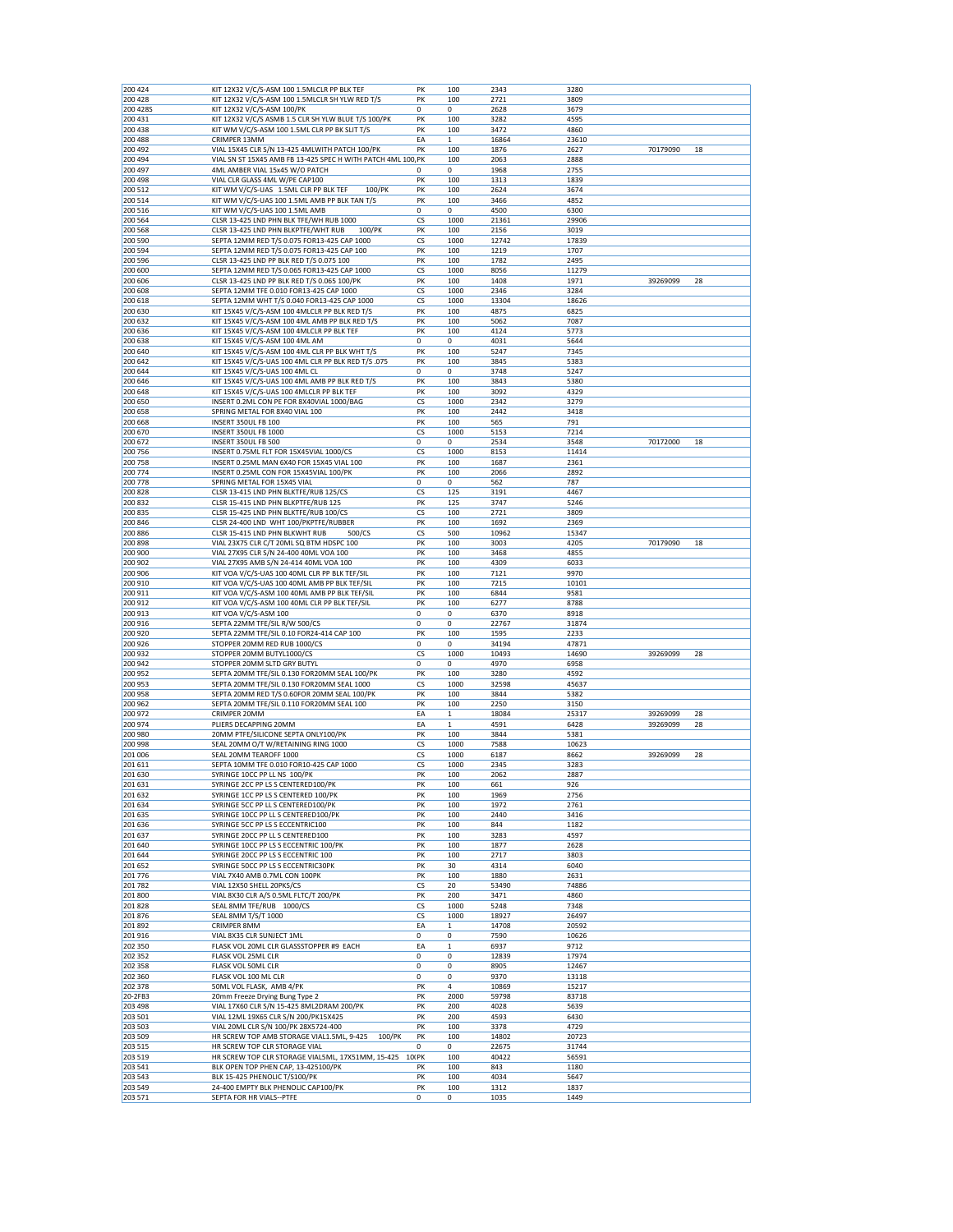| KIT 12X32 V/C/S-ASM 100 1.5MLCLR PP BLK TEF                 | PK                                                                                                                                                                                                                                                                                                                                                                                                                                                                                                                                                                                                                                                                                                                                                                                                                                                                                                                                                                                                                                                                                                                                                                                                                                                                                                                                                                                                                                                                                                                                                                                                                                                                                                                                                                                                                                                                                                                                                                                                                                                                                                                                                                                                                                                                                             | 100                                                                                                                                                                                                                                                                                                                      | 2343                                                                                                                                                                                                                                                                                                                                                                                       | 3280                                                                                                                                                                                                                                                                                                                                                                                                                        |                                                                                                                                                                                                                                                                                                                                                                                                                                         |                                                          |
|-------------------------------------------------------------|------------------------------------------------------------------------------------------------------------------------------------------------------------------------------------------------------------------------------------------------------------------------------------------------------------------------------------------------------------------------------------------------------------------------------------------------------------------------------------------------------------------------------------------------------------------------------------------------------------------------------------------------------------------------------------------------------------------------------------------------------------------------------------------------------------------------------------------------------------------------------------------------------------------------------------------------------------------------------------------------------------------------------------------------------------------------------------------------------------------------------------------------------------------------------------------------------------------------------------------------------------------------------------------------------------------------------------------------------------------------------------------------------------------------------------------------------------------------------------------------------------------------------------------------------------------------------------------------------------------------------------------------------------------------------------------------------------------------------------------------------------------------------------------------------------------------------------------------------------------------------------------------------------------------------------------------------------------------------------------------------------------------------------------------------------------------------------------------------------------------------------------------------------------------------------------------------------------------------------------------------------------------------------------------|--------------------------------------------------------------------------------------------------------------------------------------------------------------------------------------------------------------------------------------------------------------------------------------------------------------------------|--------------------------------------------------------------------------------------------------------------------------------------------------------------------------------------------------------------------------------------------------------------------------------------------------------------------------------------------------------------------------------------------|-----------------------------------------------------------------------------------------------------------------------------------------------------------------------------------------------------------------------------------------------------------------------------------------------------------------------------------------------------------------------------------------------------------------------------|-----------------------------------------------------------------------------------------------------------------------------------------------------------------------------------------------------------------------------------------------------------------------------------------------------------------------------------------------------------------------------------------------------------------------------------------|----------------------------------------------------------|
|                                                             |                                                                                                                                                                                                                                                                                                                                                                                                                                                                                                                                                                                                                                                                                                                                                                                                                                                                                                                                                                                                                                                                                                                                                                                                                                                                                                                                                                                                                                                                                                                                                                                                                                                                                                                                                                                                                                                                                                                                                                                                                                                                                                                                                                                                                                                                                                |                                                                                                                                                                                                                                                                                                                          |                                                                                                                                                                                                                                                                                                                                                                                            |                                                                                                                                                                                                                                                                                                                                                                                                                             |                                                                                                                                                                                                                                                                                                                                                                                                                                         |                                                          |
| KIT 12X32 V/C/S-ASM 100 1.5MLCLR SH YLW RED T/S             | PK                                                                                                                                                                                                                                                                                                                                                                                                                                                                                                                                                                                                                                                                                                                                                                                                                                                                                                                                                                                                                                                                                                                                                                                                                                                                                                                                                                                                                                                                                                                                                                                                                                                                                                                                                                                                                                                                                                                                                                                                                                                                                                                                                                                                                                                                                             | 100                                                                                                                                                                                                                                                                                                                      | 2721                                                                                                                                                                                                                                                                                                                                                                                       | 3809                                                                                                                                                                                                                                                                                                                                                                                                                        |                                                                                                                                                                                                                                                                                                                                                                                                                                         |                                                          |
| KIT 12X32 V/C/S-ASM 100/PK                                  | 0                                                                                                                                                                                                                                                                                                                                                                                                                                                                                                                                                                                                                                                                                                                                                                                                                                                                                                                                                                                                                                                                                                                                                                                                                                                                                                                                                                                                                                                                                                                                                                                                                                                                                                                                                                                                                                                                                                                                                                                                                                                                                                                                                                                                                                                                                              | 0                                                                                                                                                                                                                                                                                                                        | 2628                                                                                                                                                                                                                                                                                                                                                                                       | 3679                                                                                                                                                                                                                                                                                                                                                                                                                        |                                                                                                                                                                                                                                                                                                                                                                                                                                         |                                                          |
| KIT 12X32 V/C/S ASMB 1.5 CLR SH YLW BLUE T/S 100/PK         | PK                                                                                                                                                                                                                                                                                                                                                                                                                                                                                                                                                                                                                                                                                                                                                                                                                                                                                                                                                                                                                                                                                                                                                                                                                                                                                                                                                                                                                                                                                                                                                                                                                                                                                                                                                                                                                                                                                                                                                                                                                                                                                                                                                                                                                                                                                             | 100                                                                                                                                                                                                                                                                                                                      | 3282                                                                                                                                                                                                                                                                                                                                                                                       | 4595                                                                                                                                                                                                                                                                                                                                                                                                                        |                                                                                                                                                                                                                                                                                                                                                                                                                                         |                                                          |
| KIT WM V/C/S-ASM 100 1.5ML CLR PP BK SLIT T/S               | PK                                                                                                                                                                                                                                                                                                                                                                                                                                                                                                                                                                                                                                                                                                                                                                                                                                                                                                                                                                                                                                                                                                                                                                                                                                                                                                                                                                                                                                                                                                                                                                                                                                                                                                                                                                                                                                                                                                                                                                                                                                                                                                                                                                                                                                                                                             | 100                                                                                                                                                                                                                                                                                                                      | 3472                                                                                                                                                                                                                                                                                                                                                                                       | 4860                                                                                                                                                                                                                                                                                                                                                                                                                        |                                                                                                                                                                                                                                                                                                                                                                                                                                         |                                                          |
| CRIMPER 13MM                                                | EA                                                                                                                                                                                                                                                                                                                                                                                                                                                                                                                                                                                                                                                                                                                                                                                                                                                                                                                                                                                                                                                                                                                                                                                                                                                                                                                                                                                                                                                                                                                                                                                                                                                                                                                                                                                                                                                                                                                                                                                                                                                                                                                                                                                                                                                                                             | $\mathbf 1$                                                                                                                                                                                                                                                                                                              | 16864                                                                                                                                                                                                                                                                                                                                                                                      | 23610                                                                                                                                                                                                                                                                                                                                                                                                                       |                                                                                                                                                                                                                                                                                                                                                                                                                                         |                                                          |
| VIAL 15X45 CLR S/N 13-425 4MLWITH PATCH 100/PK              | PK                                                                                                                                                                                                                                                                                                                                                                                                                                                                                                                                                                                                                                                                                                                                                                                                                                                                                                                                                                                                                                                                                                                                                                                                                                                                                                                                                                                                                                                                                                                                                                                                                                                                                                                                                                                                                                                                                                                                                                                                                                                                                                                                                                                                                                                                                             | 100                                                                                                                                                                                                                                                                                                                      | 1876                                                                                                                                                                                                                                                                                                                                                                                       | 2627                                                                                                                                                                                                                                                                                                                                                                                                                        | 70179090                                                                                                                                                                                                                                                                                                                                                                                                                                | 18                                                       |
| VIAL SN ST 15X45 AMB FB 13-425 SPEC H WITH PATCH 4ML 100 PK |                                                                                                                                                                                                                                                                                                                                                                                                                                                                                                                                                                                                                                                                                                                                                                                                                                                                                                                                                                                                                                                                                                                                                                                                                                                                                                                                                                                                                                                                                                                                                                                                                                                                                                                                                                                                                                                                                                                                                                                                                                                                                                                                                                                                                                                                                                | 100                                                                                                                                                                                                                                                                                                                      | 2063                                                                                                                                                                                                                                                                                                                                                                                       | 2888                                                                                                                                                                                                                                                                                                                                                                                                                        |                                                                                                                                                                                                                                                                                                                                                                                                                                         |                                                          |
| 4ML AMBER VIAL 15x45 W/O PATCH                              | 0                                                                                                                                                                                                                                                                                                                                                                                                                                                                                                                                                                                                                                                                                                                                                                                                                                                                                                                                                                                                                                                                                                                                                                                                                                                                                                                                                                                                                                                                                                                                                                                                                                                                                                                                                                                                                                                                                                                                                                                                                                                                                                                                                                                                                                                                                              | 0                                                                                                                                                                                                                                                                                                                        | 1968                                                                                                                                                                                                                                                                                                                                                                                       | 2755                                                                                                                                                                                                                                                                                                                                                                                                                        |                                                                                                                                                                                                                                                                                                                                                                                                                                         |                                                          |
| VIAL CLR GLASS 4ML W/PE CAP100                              | PK                                                                                                                                                                                                                                                                                                                                                                                                                                                                                                                                                                                                                                                                                                                                                                                                                                                                                                                                                                                                                                                                                                                                                                                                                                                                                                                                                                                                                                                                                                                                                                                                                                                                                                                                                                                                                                                                                                                                                                                                                                                                                                                                                                                                                                                                                             | 100                                                                                                                                                                                                                                                                                                                      | 1313                                                                                                                                                                                                                                                                                                                                                                                       | 1839                                                                                                                                                                                                                                                                                                                                                                                                                        |                                                                                                                                                                                                                                                                                                                                                                                                                                         |                                                          |
|                                                             |                                                                                                                                                                                                                                                                                                                                                                                                                                                                                                                                                                                                                                                                                                                                                                                                                                                                                                                                                                                                                                                                                                                                                                                                                                                                                                                                                                                                                                                                                                                                                                                                                                                                                                                                                                                                                                                                                                                                                                                                                                                                                                                                                                                                                                                                                                |                                                                                                                                                                                                                                                                                                                          |                                                                                                                                                                                                                                                                                                                                                                                            |                                                                                                                                                                                                                                                                                                                                                                                                                             |                                                                                                                                                                                                                                                                                                                                                                                                                                         |                                                          |
|                                                             |                                                                                                                                                                                                                                                                                                                                                                                                                                                                                                                                                                                                                                                                                                                                                                                                                                                                                                                                                                                                                                                                                                                                                                                                                                                                                                                                                                                                                                                                                                                                                                                                                                                                                                                                                                                                                                                                                                                                                                                                                                                                                                                                                                                                                                                                                                |                                                                                                                                                                                                                                                                                                                          |                                                                                                                                                                                                                                                                                                                                                                                            |                                                                                                                                                                                                                                                                                                                                                                                                                             |                                                                                                                                                                                                                                                                                                                                                                                                                                         |                                                          |
|                                                             |                                                                                                                                                                                                                                                                                                                                                                                                                                                                                                                                                                                                                                                                                                                                                                                                                                                                                                                                                                                                                                                                                                                                                                                                                                                                                                                                                                                                                                                                                                                                                                                                                                                                                                                                                                                                                                                                                                                                                                                                                                                                                                                                                                                                                                                                                                |                                                                                                                                                                                                                                                                                                                          |                                                                                                                                                                                                                                                                                                                                                                                            |                                                                                                                                                                                                                                                                                                                                                                                                                             |                                                                                                                                                                                                                                                                                                                                                                                                                                         |                                                          |
|                                                             |                                                                                                                                                                                                                                                                                                                                                                                                                                                                                                                                                                                                                                                                                                                                                                                                                                                                                                                                                                                                                                                                                                                                                                                                                                                                                                                                                                                                                                                                                                                                                                                                                                                                                                                                                                                                                                                                                                                                                                                                                                                                                                                                                                                                                                                                                                |                                                                                                                                                                                                                                                                                                                          |                                                                                                                                                                                                                                                                                                                                                                                            |                                                                                                                                                                                                                                                                                                                                                                                                                             |                                                                                                                                                                                                                                                                                                                                                                                                                                         |                                                          |
|                                                             |                                                                                                                                                                                                                                                                                                                                                                                                                                                                                                                                                                                                                                                                                                                                                                                                                                                                                                                                                                                                                                                                                                                                                                                                                                                                                                                                                                                                                                                                                                                                                                                                                                                                                                                                                                                                                                                                                                                                                                                                                                                                                                                                                                                                                                                                                                |                                                                                                                                                                                                                                                                                                                          |                                                                                                                                                                                                                                                                                                                                                                                            |                                                                                                                                                                                                                                                                                                                                                                                                                             |                                                                                                                                                                                                                                                                                                                                                                                                                                         |                                                          |
|                                                             |                                                                                                                                                                                                                                                                                                                                                                                                                                                                                                                                                                                                                                                                                                                                                                                                                                                                                                                                                                                                                                                                                                                                                                                                                                                                                                                                                                                                                                                                                                                                                                                                                                                                                                                                                                                                                                                                                                                                                                                                                                                                                                                                                                                                                                                                                                |                                                                                                                                                                                                                                                                                                                          |                                                                                                                                                                                                                                                                                                                                                                                            |                                                                                                                                                                                                                                                                                                                                                                                                                             |                                                                                                                                                                                                                                                                                                                                                                                                                                         |                                                          |
|                                                             |                                                                                                                                                                                                                                                                                                                                                                                                                                                                                                                                                                                                                                                                                                                                                                                                                                                                                                                                                                                                                                                                                                                                                                                                                                                                                                                                                                                                                                                                                                                                                                                                                                                                                                                                                                                                                                                                                                                                                                                                                                                                                                                                                                                                                                                                                                |                                                                                                                                                                                                                                                                                                                          |                                                                                                                                                                                                                                                                                                                                                                                            |                                                                                                                                                                                                                                                                                                                                                                                                                             |                                                                                                                                                                                                                                                                                                                                                                                                                                         |                                                          |
|                                                             |                                                                                                                                                                                                                                                                                                                                                                                                                                                                                                                                                                                                                                                                                                                                                                                                                                                                                                                                                                                                                                                                                                                                                                                                                                                                                                                                                                                                                                                                                                                                                                                                                                                                                                                                                                                                                                                                                                                                                                                                                                                                                                                                                                                                                                                                                                |                                                                                                                                                                                                                                                                                                                          |                                                                                                                                                                                                                                                                                                                                                                                            |                                                                                                                                                                                                                                                                                                                                                                                                                             |                                                                                                                                                                                                                                                                                                                                                                                                                                         |                                                          |
|                                                             |                                                                                                                                                                                                                                                                                                                                                                                                                                                                                                                                                                                                                                                                                                                                                                                                                                                                                                                                                                                                                                                                                                                                                                                                                                                                                                                                                                                                                                                                                                                                                                                                                                                                                                                                                                                                                                                                                                                                                                                                                                                                                                                                                                                                                                                                                                |                                                                                                                                                                                                                                                                                                                          |                                                                                                                                                                                                                                                                                                                                                                                            |                                                                                                                                                                                                                                                                                                                                                                                                                             |                                                                                                                                                                                                                                                                                                                                                                                                                                         |                                                          |
|                                                             |                                                                                                                                                                                                                                                                                                                                                                                                                                                                                                                                                                                                                                                                                                                                                                                                                                                                                                                                                                                                                                                                                                                                                                                                                                                                                                                                                                                                                                                                                                                                                                                                                                                                                                                                                                                                                                                                                                                                                                                                                                                                                                                                                                                                                                                                                                |                                                                                                                                                                                                                                                                                                                          |                                                                                                                                                                                                                                                                                                                                                                                            |                                                                                                                                                                                                                                                                                                                                                                                                                             |                                                                                                                                                                                                                                                                                                                                                                                                                                         |                                                          |
|                                                             |                                                                                                                                                                                                                                                                                                                                                                                                                                                                                                                                                                                                                                                                                                                                                                                                                                                                                                                                                                                                                                                                                                                                                                                                                                                                                                                                                                                                                                                                                                                                                                                                                                                                                                                                                                                                                                                                                                                                                                                                                                                                                                                                                                                                                                                                                                |                                                                                                                                                                                                                                                                                                                          |                                                                                                                                                                                                                                                                                                                                                                                            |                                                                                                                                                                                                                                                                                                                                                                                                                             |                                                                                                                                                                                                                                                                                                                                                                                                                                         | 28                                                       |
|                                                             |                                                                                                                                                                                                                                                                                                                                                                                                                                                                                                                                                                                                                                                                                                                                                                                                                                                                                                                                                                                                                                                                                                                                                                                                                                                                                                                                                                                                                                                                                                                                                                                                                                                                                                                                                                                                                                                                                                                                                                                                                                                                                                                                                                                                                                                                                                |                                                                                                                                                                                                                                                                                                                          |                                                                                                                                                                                                                                                                                                                                                                                            |                                                                                                                                                                                                                                                                                                                                                                                                                             |                                                                                                                                                                                                                                                                                                                                                                                                                                         |                                                          |
|                                                             |                                                                                                                                                                                                                                                                                                                                                                                                                                                                                                                                                                                                                                                                                                                                                                                                                                                                                                                                                                                                                                                                                                                                                                                                                                                                                                                                                                                                                                                                                                                                                                                                                                                                                                                                                                                                                                                                                                                                                                                                                                                                                                                                                                                                                                                                                                |                                                                                                                                                                                                                                                                                                                          | 13304                                                                                                                                                                                                                                                                                                                                                                                      | 18626                                                                                                                                                                                                                                                                                                                                                                                                                       |                                                                                                                                                                                                                                                                                                                                                                                                                                         |                                                          |
| KIT 15X45 V/C/S-ASM 100 4MLCLR PP BLK RED T/S               |                                                                                                                                                                                                                                                                                                                                                                                                                                                                                                                                                                                                                                                                                                                                                                                                                                                                                                                                                                                                                                                                                                                                                                                                                                                                                                                                                                                                                                                                                                                                                                                                                                                                                                                                                                                                                                                                                                                                                                                                                                                                                                                                                                                                                                                                                                | 100                                                                                                                                                                                                                                                                                                                      | 4875                                                                                                                                                                                                                                                                                                                                                                                       | 6825                                                                                                                                                                                                                                                                                                                                                                                                                        |                                                                                                                                                                                                                                                                                                                                                                                                                                         |                                                          |
| KIT 15X45 V/C/S-ASM 100 4ML AMB PP BLK RED T/S              | PK                                                                                                                                                                                                                                                                                                                                                                                                                                                                                                                                                                                                                                                                                                                                                                                                                                                                                                                                                                                                                                                                                                                                                                                                                                                                                                                                                                                                                                                                                                                                                                                                                                                                                                                                                                                                                                                                                                                                                                                                                                                                                                                                                                                                                                                                                             | 100                                                                                                                                                                                                                                                                                                                      | 5062                                                                                                                                                                                                                                                                                                                                                                                       | 7087                                                                                                                                                                                                                                                                                                                                                                                                                        |                                                                                                                                                                                                                                                                                                                                                                                                                                         |                                                          |
| KIT 15X45 V/C/S-ASM 100 4MLCLR PP BLK TEF                   | PK                                                                                                                                                                                                                                                                                                                                                                                                                                                                                                                                                                                                                                                                                                                                                                                                                                                                                                                                                                                                                                                                                                                                                                                                                                                                                                                                                                                                                                                                                                                                                                                                                                                                                                                                                                                                                                                                                                                                                                                                                                                                                                                                                                                                                                                                                             | 100                                                                                                                                                                                                                                                                                                                      | 4124                                                                                                                                                                                                                                                                                                                                                                                       | 5773                                                                                                                                                                                                                                                                                                                                                                                                                        |                                                                                                                                                                                                                                                                                                                                                                                                                                         |                                                          |
|                                                             |                                                                                                                                                                                                                                                                                                                                                                                                                                                                                                                                                                                                                                                                                                                                                                                                                                                                                                                                                                                                                                                                                                                                                                                                                                                                                                                                                                                                                                                                                                                                                                                                                                                                                                                                                                                                                                                                                                                                                                                                                                                                                                                                                                                                                                                                                                |                                                                                                                                                                                                                                                                                                                          | 4031                                                                                                                                                                                                                                                                                                                                                                                       |                                                                                                                                                                                                                                                                                                                                                                                                                             |                                                                                                                                                                                                                                                                                                                                                                                                                                         |                                                          |
|                                                             |                                                                                                                                                                                                                                                                                                                                                                                                                                                                                                                                                                                                                                                                                                                                                                                                                                                                                                                                                                                                                                                                                                                                                                                                                                                                                                                                                                                                                                                                                                                                                                                                                                                                                                                                                                                                                                                                                                                                                                                                                                                                                                                                                                                                                                                                                                |                                                                                                                                                                                                                                                                                                                          |                                                                                                                                                                                                                                                                                                                                                                                            |                                                                                                                                                                                                                                                                                                                                                                                                                             |                                                                                                                                                                                                                                                                                                                                                                                                                                         |                                                          |
|                                                             |                                                                                                                                                                                                                                                                                                                                                                                                                                                                                                                                                                                                                                                                                                                                                                                                                                                                                                                                                                                                                                                                                                                                                                                                                                                                                                                                                                                                                                                                                                                                                                                                                                                                                                                                                                                                                                                                                                                                                                                                                                                                                                                                                                                                                                                                                                |                                                                                                                                                                                                                                                                                                                          |                                                                                                                                                                                                                                                                                                                                                                                            |                                                                                                                                                                                                                                                                                                                                                                                                                             |                                                                                                                                                                                                                                                                                                                                                                                                                                         |                                                          |
|                                                             |                                                                                                                                                                                                                                                                                                                                                                                                                                                                                                                                                                                                                                                                                                                                                                                                                                                                                                                                                                                                                                                                                                                                                                                                                                                                                                                                                                                                                                                                                                                                                                                                                                                                                                                                                                                                                                                                                                                                                                                                                                                                                                                                                                                                                                                                                                |                                                                                                                                                                                                                                                                                                                          |                                                                                                                                                                                                                                                                                                                                                                                            |                                                                                                                                                                                                                                                                                                                                                                                                                             |                                                                                                                                                                                                                                                                                                                                                                                                                                         |                                                          |
|                                                             |                                                                                                                                                                                                                                                                                                                                                                                                                                                                                                                                                                                                                                                                                                                                                                                                                                                                                                                                                                                                                                                                                                                                                                                                                                                                                                                                                                                                                                                                                                                                                                                                                                                                                                                                                                                                                                                                                                                                                                                                                                                                                                                                                                                                                                                                                                |                                                                                                                                                                                                                                                                                                                          |                                                                                                                                                                                                                                                                                                                                                                                            |                                                                                                                                                                                                                                                                                                                                                                                                                             |                                                                                                                                                                                                                                                                                                                                                                                                                                         |                                                          |
|                                                             |                                                                                                                                                                                                                                                                                                                                                                                                                                                                                                                                                                                                                                                                                                                                                                                                                                                                                                                                                                                                                                                                                                                                                                                                                                                                                                                                                                                                                                                                                                                                                                                                                                                                                                                                                                                                                                                                                                                                                                                                                                                                                                                                                                                                                                                                                                |                                                                                                                                                                                                                                                                                                                          |                                                                                                                                                                                                                                                                                                                                                                                            |                                                                                                                                                                                                                                                                                                                                                                                                                             |                                                                                                                                                                                                                                                                                                                                                                                                                                         |                                                          |
|                                                             |                                                                                                                                                                                                                                                                                                                                                                                                                                                                                                                                                                                                                                                                                                                                                                                                                                                                                                                                                                                                                                                                                                                                                                                                                                                                                                                                                                                                                                                                                                                                                                                                                                                                                                                                                                                                                                                                                                                                                                                                                                                                                                                                                                                                                                                                                                |                                                                                                                                                                                                                                                                                                                          |                                                                                                                                                                                                                                                                                                                                                                                            |                                                                                                                                                                                                                                                                                                                                                                                                                             |                                                                                                                                                                                                                                                                                                                                                                                                                                         |                                                          |
|                                                             |                                                                                                                                                                                                                                                                                                                                                                                                                                                                                                                                                                                                                                                                                                                                                                                                                                                                                                                                                                                                                                                                                                                                                                                                                                                                                                                                                                                                                                                                                                                                                                                                                                                                                                                                                                                                                                                                                                                                                                                                                                                                                                                                                                                                                                                                                                |                                                                                                                                                                                                                                                                                                                          |                                                                                                                                                                                                                                                                                                                                                                                            |                                                                                                                                                                                                                                                                                                                                                                                                                             |                                                                                                                                                                                                                                                                                                                                                                                                                                         |                                                          |
|                                                             |                                                                                                                                                                                                                                                                                                                                                                                                                                                                                                                                                                                                                                                                                                                                                                                                                                                                                                                                                                                                                                                                                                                                                                                                                                                                                                                                                                                                                                                                                                                                                                                                                                                                                                                                                                                                                                                                                                                                                                                                                                                                                                                                                                                                                                                                                                |                                                                                                                                                                                                                                                                                                                          |                                                                                                                                                                                                                                                                                                                                                                                            |                                                                                                                                                                                                                                                                                                                                                                                                                             |                                                                                                                                                                                                                                                                                                                                                                                                                                         |                                                          |
| INSERT 350UL FB 100                                         | PK                                                                                                                                                                                                                                                                                                                                                                                                                                                                                                                                                                                                                                                                                                                                                                                                                                                                                                                                                                                                                                                                                                                                                                                                                                                                                                                                                                                                                                                                                                                                                                                                                                                                                                                                                                                                                                                                                                                                                                                                                                                                                                                                                                                                                                                                                             | 100                                                                                                                                                                                                                                                                                                                      | 565                                                                                                                                                                                                                                                                                                                                                                                        | 791                                                                                                                                                                                                                                                                                                                                                                                                                         |                                                                                                                                                                                                                                                                                                                                                                                                                                         |                                                          |
| INSERT 350UL FB 1000                                        | CS                                                                                                                                                                                                                                                                                                                                                                                                                                                                                                                                                                                                                                                                                                                                                                                                                                                                                                                                                                                                                                                                                                                                                                                                                                                                                                                                                                                                                                                                                                                                                                                                                                                                                                                                                                                                                                                                                                                                                                                                                                                                                                                                                                                                                                                                                             | 1000                                                                                                                                                                                                                                                                                                                     | 5153                                                                                                                                                                                                                                                                                                                                                                                       | 7214                                                                                                                                                                                                                                                                                                                                                                                                                        |                                                                                                                                                                                                                                                                                                                                                                                                                                         |                                                          |
| INSERT 350UL FB 500                                         | 0                                                                                                                                                                                                                                                                                                                                                                                                                                                                                                                                                                                                                                                                                                                                                                                                                                                                                                                                                                                                                                                                                                                                                                                                                                                                                                                                                                                                                                                                                                                                                                                                                                                                                                                                                                                                                                                                                                                                                                                                                                                                                                                                                                                                                                                                                              | 0                                                                                                                                                                                                                                                                                                                        | 2534                                                                                                                                                                                                                                                                                                                                                                                       | 3548                                                                                                                                                                                                                                                                                                                                                                                                                        | 70172000                                                                                                                                                                                                                                                                                                                                                                                                                                | 18                                                       |
| INSERT 0.75ML FLT FOR 15X45VIAL 1000/CS                     | CS                                                                                                                                                                                                                                                                                                                                                                                                                                                                                                                                                                                                                                                                                                                                                                                                                                                                                                                                                                                                                                                                                                                                                                                                                                                                                                                                                                                                                                                                                                                                                                                                                                                                                                                                                                                                                                                                                                                                                                                                                                                                                                                                                                                                                                                                                             | 1000                                                                                                                                                                                                                                                                                                                     | 8153                                                                                                                                                                                                                                                                                                                                                                                       | 11414                                                                                                                                                                                                                                                                                                                                                                                                                       |                                                                                                                                                                                                                                                                                                                                                                                                                                         |                                                          |
|                                                             |                                                                                                                                                                                                                                                                                                                                                                                                                                                                                                                                                                                                                                                                                                                                                                                                                                                                                                                                                                                                                                                                                                                                                                                                                                                                                                                                                                                                                                                                                                                                                                                                                                                                                                                                                                                                                                                                                                                                                                                                                                                                                                                                                                                                                                                                                                |                                                                                                                                                                                                                                                                                                                          |                                                                                                                                                                                                                                                                                                                                                                                            |                                                                                                                                                                                                                                                                                                                                                                                                                             |                                                                                                                                                                                                                                                                                                                                                                                                                                         |                                                          |
|                                                             |                                                                                                                                                                                                                                                                                                                                                                                                                                                                                                                                                                                                                                                                                                                                                                                                                                                                                                                                                                                                                                                                                                                                                                                                                                                                                                                                                                                                                                                                                                                                                                                                                                                                                                                                                                                                                                                                                                                                                                                                                                                                                                                                                                                                                                                                                                |                                                                                                                                                                                                                                                                                                                          |                                                                                                                                                                                                                                                                                                                                                                                            |                                                                                                                                                                                                                                                                                                                                                                                                                             |                                                                                                                                                                                                                                                                                                                                                                                                                                         |                                                          |
|                                                             |                                                                                                                                                                                                                                                                                                                                                                                                                                                                                                                                                                                                                                                                                                                                                                                                                                                                                                                                                                                                                                                                                                                                                                                                                                                                                                                                                                                                                                                                                                                                                                                                                                                                                                                                                                                                                                                                                                                                                                                                                                                                                                                                                                                                                                                                                                |                                                                                                                                                                                                                                                                                                                          |                                                                                                                                                                                                                                                                                                                                                                                            |                                                                                                                                                                                                                                                                                                                                                                                                                             |                                                                                                                                                                                                                                                                                                                                                                                                                                         |                                                          |
|                                                             |                                                                                                                                                                                                                                                                                                                                                                                                                                                                                                                                                                                                                                                                                                                                                                                                                                                                                                                                                                                                                                                                                                                                                                                                                                                                                                                                                                                                                                                                                                                                                                                                                                                                                                                                                                                                                                                                                                                                                                                                                                                                                                                                                                                                                                                                                                |                                                                                                                                                                                                                                                                                                                          |                                                                                                                                                                                                                                                                                                                                                                                            |                                                                                                                                                                                                                                                                                                                                                                                                                             |                                                                                                                                                                                                                                                                                                                                                                                                                                         |                                                          |
|                                                             |                                                                                                                                                                                                                                                                                                                                                                                                                                                                                                                                                                                                                                                                                                                                                                                                                                                                                                                                                                                                                                                                                                                                                                                                                                                                                                                                                                                                                                                                                                                                                                                                                                                                                                                                                                                                                                                                                                                                                                                                                                                                                                                                                                                                                                                                                                |                                                                                                                                                                                                                                                                                                                          |                                                                                                                                                                                                                                                                                                                                                                                            |                                                                                                                                                                                                                                                                                                                                                                                                                             |                                                                                                                                                                                                                                                                                                                                                                                                                                         |                                                          |
|                                                             |                                                                                                                                                                                                                                                                                                                                                                                                                                                                                                                                                                                                                                                                                                                                                                                                                                                                                                                                                                                                                                                                                                                                                                                                                                                                                                                                                                                                                                                                                                                                                                                                                                                                                                                                                                                                                                                                                                                                                                                                                                                                                                                                                                                                                                                                                                |                                                                                                                                                                                                                                                                                                                          |                                                                                                                                                                                                                                                                                                                                                                                            |                                                                                                                                                                                                                                                                                                                                                                                                                             |                                                                                                                                                                                                                                                                                                                                                                                                                                         |                                                          |
|                                                             |                                                                                                                                                                                                                                                                                                                                                                                                                                                                                                                                                                                                                                                                                                                                                                                                                                                                                                                                                                                                                                                                                                                                                                                                                                                                                                                                                                                                                                                                                                                                                                                                                                                                                                                                                                                                                                                                                                                                                                                                                                                                                                                                                                                                                                                                                                |                                                                                                                                                                                                                                                                                                                          |                                                                                                                                                                                                                                                                                                                                                                                            |                                                                                                                                                                                                                                                                                                                                                                                                                             |                                                                                                                                                                                                                                                                                                                                                                                                                                         |                                                          |
|                                                             |                                                                                                                                                                                                                                                                                                                                                                                                                                                                                                                                                                                                                                                                                                                                                                                                                                                                                                                                                                                                                                                                                                                                                                                                                                                                                                                                                                                                                                                                                                                                                                                                                                                                                                                                                                                                                                                                                                                                                                                                                                                                                                                                                                                                                                                                                                |                                                                                                                                                                                                                                                                                                                          |                                                                                                                                                                                                                                                                                                                                                                                            |                                                                                                                                                                                                                                                                                                                                                                                                                             |                                                                                                                                                                                                                                                                                                                                                                                                                                         |                                                          |
|                                                             |                                                                                                                                                                                                                                                                                                                                                                                                                                                                                                                                                                                                                                                                                                                                                                                                                                                                                                                                                                                                                                                                                                                                                                                                                                                                                                                                                                                                                                                                                                                                                                                                                                                                                                                                                                                                                                                                                                                                                                                                                                                                                                                                                                                                                                                                                                |                                                                                                                                                                                                                                                                                                                          |                                                                                                                                                                                                                                                                                                                                                                                            |                                                                                                                                                                                                                                                                                                                                                                                                                             |                                                                                                                                                                                                                                                                                                                                                                                                                                         |                                                          |
|                                                             |                                                                                                                                                                                                                                                                                                                                                                                                                                                                                                                                                                                                                                                                                                                                                                                                                                                                                                                                                                                                                                                                                                                                                                                                                                                                                                                                                                                                                                                                                                                                                                                                                                                                                                                                                                                                                                                                                                                                                                                                                                                                                                                                                                                                                                                                                                |                                                                                                                                                                                                                                                                                                                          |                                                                                                                                                                                                                                                                                                                                                                                            |                                                                                                                                                                                                                                                                                                                                                                                                                             |                                                                                                                                                                                                                                                                                                                                                                                                                                         | 18                                                       |
| VIAL 27X95 CLR S/N 24-400 40ML VOA 100                      | PK                                                                                                                                                                                                                                                                                                                                                                                                                                                                                                                                                                                                                                                                                                                                                                                                                                                                                                                                                                                                                                                                                                                                                                                                                                                                                                                                                                                                                                                                                                                                                                                                                                                                                                                                                                                                                                                                                                                                                                                                                                                                                                                                                                                                                                                                                             | 100                                                                                                                                                                                                                                                                                                                      | 3468                                                                                                                                                                                                                                                                                                                                                                                       | 4855                                                                                                                                                                                                                                                                                                                                                                                                                        |                                                                                                                                                                                                                                                                                                                                                                                                                                         |                                                          |
| VIAL 27X95 AMB S/N 24-414 40ML VOA 100                      | PK                                                                                                                                                                                                                                                                                                                                                                                                                                                                                                                                                                                                                                                                                                                                                                                                                                                                                                                                                                                                                                                                                                                                                                                                                                                                                                                                                                                                                                                                                                                                                                                                                                                                                                                                                                                                                                                                                                                                                                                                                                                                                                                                                                                                                                                                                             | 100                                                                                                                                                                                                                                                                                                                      | 4309                                                                                                                                                                                                                                                                                                                                                                                       | 6033                                                                                                                                                                                                                                                                                                                                                                                                                        |                                                                                                                                                                                                                                                                                                                                                                                                                                         |                                                          |
|                                                             | PK                                                                                                                                                                                                                                                                                                                                                                                                                                                                                                                                                                                                                                                                                                                                                                                                                                                                                                                                                                                                                                                                                                                                                                                                                                                                                                                                                                                                                                                                                                                                                                                                                                                                                                                                                                                                                                                                                                                                                                                                                                                                                                                                                                                                                                                                                             | 100                                                                                                                                                                                                                                                                                                                      |                                                                                                                                                                                                                                                                                                                                                                                            | 9970                                                                                                                                                                                                                                                                                                                                                                                                                        |                                                                                                                                                                                                                                                                                                                                                                                                                                         |                                                          |
|                                                             |                                                                                                                                                                                                                                                                                                                                                                                                                                                                                                                                                                                                                                                                                                                                                                                                                                                                                                                                                                                                                                                                                                                                                                                                                                                                                                                                                                                                                                                                                                                                                                                                                                                                                                                                                                                                                                                                                                                                                                                                                                                                                                                                                                                                                                                                                                |                                                                                                                                                                                                                                                                                                                          |                                                                                                                                                                                                                                                                                                                                                                                            |                                                                                                                                                                                                                                                                                                                                                                                                                             |                                                                                                                                                                                                                                                                                                                                                                                                                                         |                                                          |
|                                                             |                                                                                                                                                                                                                                                                                                                                                                                                                                                                                                                                                                                                                                                                                                                                                                                                                                                                                                                                                                                                                                                                                                                                                                                                                                                                                                                                                                                                                                                                                                                                                                                                                                                                                                                                                                                                                                                                                                                                                                                                                                                                                                                                                                                                                                                                                                |                                                                                                                                                                                                                                                                                                                          |                                                                                                                                                                                                                                                                                                                                                                                            |                                                                                                                                                                                                                                                                                                                                                                                                                             |                                                                                                                                                                                                                                                                                                                                                                                                                                         |                                                          |
|                                                             |                                                                                                                                                                                                                                                                                                                                                                                                                                                                                                                                                                                                                                                                                                                                                                                                                                                                                                                                                                                                                                                                                                                                                                                                                                                                                                                                                                                                                                                                                                                                                                                                                                                                                                                                                                                                                                                                                                                                                                                                                                                                                                                                                                                                                                                                                                |                                                                                                                                                                                                                                                                                                                          |                                                                                                                                                                                                                                                                                                                                                                                            |                                                                                                                                                                                                                                                                                                                                                                                                                             |                                                                                                                                                                                                                                                                                                                                                                                                                                         |                                                          |
|                                                             |                                                                                                                                                                                                                                                                                                                                                                                                                                                                                                                                                                                                                                                                                                                                                                                                                                                                                                                                                                                                                                                                                                                                                                                                                                                                                                                                                                                                                                                                                                                                                                                                                                                                                                                                                                                                                                                                                                                                                                                                                                                                                                                                                                                                                                                                                                |                                                                                                                                                                                                                                                                                                                          |                                                                                                                                                                                                                                                                                                                                                                                            |                                                                                                                                                                                                                                                                                                                                                                                                                             |                                                                                                                                                                                                                                                                                                                                                                                                                                         |                                                          |
|                                                             |                                                                                                                                                                                                                                                                                                                                                                                                                                                                                                                                                                                                                                                                                                                                                                                                                                                                                                                                                                                                                                                                                                                                                                                                                                                                                                                                                                                                                                                                                                                                                                                                                                                                                                                                                                                                                                                                                                                                                                                                                                                                                                                                                                                                                                                                                                |                                                                                                                                                                                                                                                                                                                          |                                                                                                                                                                                                                                                                                                                                                                                            |                                                                                                                                                                                                                                                                                                                                                                                                                             |                                                                                                                                                                                                                                                                                                                                                                                                                                         |                                                          |
|                                                             |                                                                                                                                                                                                                                                                                                                                                                                                                                                                                                                                                                                                                                                                                                                                                                                                                                                                                                                                                                                                                                                                                                                                                                                                                                                                                                                                                                                                                                                                                                                                                                                                                                                                                                                                                                                                                                                                                                                                                                                                                                                                                                                                                                                                                                                                                                |                                                                                                                                                                                                                                                                                                                          |                                                                                                                                                                                                                                                                                                                                                                                            |                                                                                                                                                                                                                                                                                                                                                                                                                             |                                                                                                                                                                                                                                                                                                                                                                                                                                         |                                                          |
|                                                             |                                                                                                                                                                                                                                                                                                                                                                                                                                                                                                                                                                                                                                                                                                                                                                                                                                                                                                                                                                                                                                                                                                                                                                                                                                                                                                                                                                                                                                                                                                                                                                                                                                                                                                                                                                                                                                                                                                                                                                                                                                                                                                                                                                                                                                                                                                |                                                                                                                                                                                                                                                                                                                          |                                                                                                                                                                                                                                                                                                                                                                                            |                                                                                                                                                                                                                                                                                                                                                                                                                             |                                                                                                                                                                                                                                                                                                                                                                                                                                         |                                                          |
|                                                             |                                                                                                                                                                                                                                                                                                                                                                                                                                                                                                                                                                                                                                                                                                                                                                                                                                                                                                                                                                                                                                                                                                                                                                                                                                                                                                                                                                                                                                                                                                                                                                                                                                                                                                                                                                                                                                                                                                                                                                                                                                                                                                                                                                                                                                                                                                |                                                                                                                                                                                                                                                                                                                          |                                                                                                                                                                                                                                                                                                                                                                                            |                                                                                                                                                                                                                                                                                                                                                                                                                             |                                                                                                                                                                                                                                                                                                                                                                                                                                         |                                                          |
|                                                             |                                                                                                                                                                                                                                                                                                                                                                                                                                                                                                                                                                                                                                                                                                                                                                                                                                                                                                                                                                                                                                                                                                                                                                                                                                                                                                                                                                                                                                                                                                                                                                                                                                                                                                                                                                                                                                                                                                                                                                                                                                                                                                                                                                                                                                                                                                |                                                                                                                                                                                                                                                                                                                          |                                                                                                                                                                                                                                                                                                                                                                                            |                                                                                                                                                                                                                                                                                                                                                                                                                             |                                                                                                                                                                                                                                                                                                                                                                                                                                         | 28                                                       |
|                                                             |                                                                                                                                                                                                                                                                                                                                                                                                                                                                                                                                                                                                                                                                                                                                                                                                                                                                                                                                                                                                                                                                                                                                                                                                                                                                                                                                                                                                                                                                                                                                                                                                                                                                                                                                                                                                                                                                                                                                                                                                                                                                                                                                                                                                                                                                                                |                                                                                                                                                                                                                                                                                                                          |                                                                                                                                                                                                                                                                                                                                                                                            |                                                                                                                                                                                                                                                                                                                                                                                                                             |                                                                                                                                                                                                                                                                                                                                                                                                                                         |                                                          |
|                                                             |                                                                                                                                                                                                                                                                                                                                                                                                                                                                                                                                                                                                                                                                                                                                                                                                                                                                                                                                                                                                                                                                                                                                                                                                                                                                                                                                                                                                                                                                                                                                                                                                                                                                                                                                                                                                                                                                                                                                                                                                                                                                                                                                                                                                                                                                                                |                                                                                                                                                                                                                                                                                                                          |                                                                                                                                                                                                                                                                                                                                                                                            |                                                                                                                                                                                                                                                                                                                                                                                                                             |                                                                                                                                                                                                                                                                                                                                                                                                                                         |                                                          |
|                                                             |                                                                                                                                                                                                                                                                                                                                                                                                                                                                                                                                                                                                                                                                                                                                                                                                                                                                                                                                                                                                                                                                                                                                                                                                                                                                                                                                                                                                                                                                                                                                                                                                                                                                                                                                                                                                                                                                                                                                                                                                                                                                                                                                                                                                                                                                                                |                                                                                                                                                                                                                                                                                                                          |                                                                                                                                                                                                                                                                                                                                                                                            |                                                                                                                                                                                                                                                                                                                                                                                                                             |                                                                                                                                                                                                                                                                                                                                                                                                                                         |                                                          |
| SEPTA 20MM RED T/S 0.60FOR 20MM SEAL 100/PK                 | PK                                                                                                                                                                                                                                                                                                                                                                                                                                                                                                                                                                                                                                                                                                                                                                                                                                                                                                                                                                                                                                                                                                                                                                                                                                                                                                                                                                                                                                                                                                                                                                                                                                                                                                                                                                                                                                                                                                                                                                                                                                                                                                                                                                                                                                                                                             | 100                                                                                                                                                                                                                                                                                                                      | 3844                                                                                                                                                                                                                                                                                                                                                                                       | 5382                                                                                                                                                                                                                                                                                                                                                                                                                        |                                                                                                                                                                                                                                                                                                                                                                                                                                         |                                                          |
| SEPTA 20MM TFE/SIL 0.110 FOR20MM SEAL 100                   | PK                                                                                                                                                                                                                                                                                                                                                                                                                                                                                                                                                                                                                                                                                                                                                                                                                                                                                                                                                                                                                                                                                                                                                                                                                                                                                                                                                                                                                                                                                                                                                                                                                                                                                                                                                                                                                                                                                                                                                                                                                                                                                                                                                                                                                                                                                             | 100                                                                                                                                                                                                                                                                                                                      | 2250                                                                                                                                                                                                                                                                                                                                                                                       | 3150                                                                                                                                                                                                                                                                                                                                                                                                                        |                                                                                                                                                                                                                                                                                                                                                                                                                                         |                                                          |
| <b>CRIMPER 20MM</b>                                         |                                                                                                                                                                                                                                                                                                                                                                                                                                                                                                                                                                                                                                                                                                                                                                                                                                                                                                                                                                                                                                                                                                                                                                                                                                                                                                                                                                                                                                                                                                                                                                                                                                                                                                                                                                                                                                                                                                                                                                                                                                                                                                                                                                                                                                                                                                |                                                                                                                                                                                                                                                                                                                          | 18084                                                                                                                                                                                                                                                                                                                                                                                      |                                                                                                                                                                                                                                                                                                                                                                                                                             | 39269099                                                                                                                                                                                                                                                                                                                                                                                                                                | 28                                                       |
|                                                             |                                                                                                                                                                                                                                                                                                                                                                                                                                                                                                                                                                                                                                                                                                                                                                                                                                                                                                                                                                                                                                                                                                                                                                                                                                                                                                                                                                                                                                                                                                                                                                                                                                                                                                                                                                                                                                                                                                                                                                                                                                                                                                                                                                                                                                                                                                |                                                                                                                                                                                                                                                                                                                          |                                                                                                                                                                                                                                                                                                                                                                                            |                                                                                                                                                                                                                                                                                                                                                                                                                             |                                                                                                                                                                                                                                                                                                                                                                                                                                         | 28                                                       |
|                                                             |                                                                                                                                                                                                                                                                                                                                                                                                                                                                                                                                                                                                                                                                                                                                                                                                                                                                                                                                                                                                                                                                                                                                                                                                                                                                                                                                                                                                                                                                                                                                                                                                                                                                                                                                                                                                                                                                                                                                                                                                                                                                                                                                                                                                                                                                                                |                                                                                                                                                                                                                                                                                                                          |                                                                                                                                                                                                                                                                                                                                                                                            |                                                                                                                                                                                                                                                                                                                                                                                                                             |                                                                                                                                                                                                                                                                                                                                                                                                                                         |                                                          |
|                                                             |                                                                                                                                                                                                                                                                                                                                                                                                                                                                                                                                                                                                                                                                                                                                                                                                                                                                                                                                                                                                                                                                                                                                                                                                                                                                                                                                                                                                                                                                                                                                                                                                                                                                                                                                                                                                                                                                                                                                                                                                                                                                                                                                                                                                                                                                                                |                                                                                                                                                                                                                                                                                                                          |                                                                                                                                                                                                                                                                                                                                                                                            |                                                                                                                                                                                                                                                                                                                                                                                                                             |                                                                                                                                                                                                                                                                                                                                                                                                                                         |                                                          |
|                                                             |                                                                                                                                                                                                                                                                                                                                                                                                                                                                                                                                                                                                                                                                                                                                                                                                                                                                                                                                                                                                                                                                                                                                                                                                                                                                                                                                                                                                                                                                                                                                                                                                                                                                                                                                                                                                                                                                                                                                                                                                                                                                                                                                                                                                                                                                                                |                                                                                                                                                                                                                                                                                                                          |                                                                                                                                                                                                                                                                                                                                                                                            |                                                                                                                                                                                                                                                                                                                                                                                                                             |                                                                                                                                                                                                                                                                                                                                                                                                                                         |                                                          |
|                                                             |                                                                                                                                                                                                                                                                                                                                                                                                                                                                                                                                                                                                                                                                                                                                                                                                                                                                                                                                                                                                                                                                                                                                                                                                                                                                                                                                                                                                                                                                                                                                                                                                                                                                                                                                                                                                                                                                                                                                                                                                                                                                                                                                                                                                                                                                                                |                                                                                                                                                                                                                                                                                                                          |                                                                                                                                                                                                                                                                                                                                                                                            |                                                                                                                                                                                                                                                                                                                                                                                                                             |                                                                                                                                                                                                                                                                                                                                                                                                                                         | 28                                                       |
|                                                             |                                                                                                                                                                                                                                                                                                                                                                                                                                                                                                                                                                                                                                                                                                                                                                                                                                                                                                                                                                                                                                                                                                                                                                                                                                                                                                                                                                                                                                                                                                                                                                                                                                                                                                                                                                                                                                                                                                                                                                                                                                                                                                                                                                                                                                                                                                |                                                                                                                                                                                                                                                                                                                          |                                                                                                                                                                                                                                                                                                                                                                                            |                                                                                                                                                                                                                                                                                                                                                                                                                             |                                                                                                                                                                                                                                                                                                                                                                                                                                         |                                                          |
|                                                             |                                                                                                                                                                                                                                                                                                                                                                                                                                                                                                                                                                                                                                                                                                                                                                                                                                                                                                                                                                                                                                                                                                                                                                                                                                                                                                                                                                                                                                                                                                                                                                                                                                                                                                                                                                                                                                                                                                                                                                                                                                                                                                                                                                                                                                                                                                |                                                                                                                                                                                                                                                                                                                          |                                                                                                                                                                                                                                                                                                                                                                                            |                                                                                                                                                                                                                                                                                                                                                                                                                             |                                                                                                                                                                                                                                                                                                                                                                                                                                         |                                                          |
| SYRINGE 2CC PP LS S CENTERED100/PK                          | РK                                                                                                                                                                                                                                                                                                                                                                                                                                                                                                                                                                                                                                                                                                                                                                                                                                                                                                                                                                                                                                                                                                                                                                                                                                                                                                                                                                                                                                                                                                                                                                                                                                                                                                                                                                                                                                                                                                                                                                                                                                                                                                                                                                                                                                                                                             | 100                                                                                                                                                                                                                                                                                                                      | 661                                                                                                                                                                                                                                                                                                                                                                                        | 926                                                                                                                                                                                                                                                                                                                                                                                                                         |                                                                                                                                                                                                                                                                                                                                                                                                                                         |                                                          |
|                                                             | PK                                                                                                                                                                                                                                                                                                                                                                                                                                                                                                                                                                                                                                                                                                                                                                                                                                                                                                                                                                                                                                                                                                                                                                                                                                                                                                                                                                                                                                                                                                                                                                                                                                                                                                                                                                                                                                                                                                                                                                                                                                                                                                                                                                                                                                                                                             | 100                                                                                                                                                                                                                                                                                                                      | 1969                                                                                                                                                                                                                                                                                                                                                                                       | 2756                                                                                                                                                                                                                                                                                                                                                                                                                        |                                                                                                                                                                                                                                                                                                                                                                                                                                         |                                                          |
| SYRINGE 5CC PP LL S CENTERED100/PK                          | PK                                                                                                                                                                                                                                                                                                                                                                                                                                                                                                                                                                                                                                                                                                                                                                                                                                                                                                                                                                                                                                                                                                                                                                                                                                                                                                                                                                                                                                                                                                                                                                                                                                                                                                                                                                                                                                                                                                                                                                                                                                                                                                                                                                                                                                                                                             | 100                                                                                                                                                                                                                                                                                                                      | 1972                                                                                                                                                                                                                                                                                                                                                                                       | 2761                                                                                                                                                                                                                                                                                                                                                                                                                        |                                                                                                                                                                                                                                                                                                                                                                                                                                         |                                                          |
| SYRINGE 10CC PP LL S CENTERED100/PK                         | PK                                                                                                                                                                                                                                                                                                                                                                                                                                                                                                                                                                                                                                                                                                                                                                                                                                                                                                                                                                                                                                                                                                                                                                                                                                                                                                                                                                                                                                                                                                                                                                                                                                                                                                                                                                                                                                                                                                                                                                                                                                                                                                                                                                                                                                                                                             | 100                                                                                                                                                                                                                                                                                                                      | 2440                                                                                                                                                                                                                                                                                                                                                                                       | 3416                                                                                                                                                                                                                                                                                                                                                                                                                        |                                                                                                                                                                                                                                                                                                                                                                                                                                         |                                                          |
| SYRINGE 5CC PP LS S ECCENTRIC100                            | PK                                                                                                                                                                                                                                                                                                                                                                                                                                                                                                                                                                                                                                                                                                                                                                                                                                                                                                                                                                                                                                                                                                                                                                                                                                                                                                                                                                                                                                                                                                                                                                                                                                                                                                                                                                                                                                                                                                                                                                                                                                                                                                                                                                                                                                                                                             | 100                                                                                                                                                                                                                                                                                                                      | 844                                                                                                                                                                                                                                                                                                                                                                                        | 1182                                                                                                                                                                                                                                                                                                                                                                                                                        |                                                                                                                                                                                                                                                                                                                                                                                                                                         |                                                          |
| SYRINGE 20CC PP LL S CENTERED100                            | PK                                                                                                                                                                                                                                                                                                                                                                                                                                                                                                                                                                                                                                                                                                                                                                                                                                                                                                                                                                                                                                                                                                                                                                                                                                                                                                                                                                                                                                                                                                                                                                                                                                                                                                                                                                                                                                                                                                                                                                                                                                                                                                                                                                                                                                                                                             | 100                                                                                                                                                                                                                                                                                                                      | 3283                                                                                                                                                                                                                                                                                                                                                                                       | 4597                                                                                                                                                                                                                                                                                                                                                                                                                        |                                                                                                                                                                                                                                                                                                                                                                                                                                         |                                                          |
|                                                             |                                                                                                                                                                                                                                                                                                                                                                                                                                                                                                                                                                                                                                                                                                                                                                                                                                                                                                                                                                                                                                                                                                                                                                                                                                                                                                                                                                                                                                                                                                                                                                                                                                                                                                                                                                                                                                                                                                                                                                                                                                                                                                                                                                                                                                                                                                |                                                                                                                                                                                                                                                                                                                          |                                                                                                                                                                                                                                                                                                                                                                                            |                                                                                                                                                                                                                                                                                                                                                                                                                             |                                                                                                                                                                                                                                                                                                                                                                                                                                         |                                                          |
|                                                             |                                                                                                                                                                                                                                                                                                                                                                                                                                                                                                                                                                                                                                                                                                                                                                                                                                                                                                                                                                                                                                                                                                                                                                                                                                                                                                                                                                                                                                                                                                                                                                                                                                                                                                                                                                                                                                                                                                                                                                                                                                                                                                                                                                                                                                                                                                |                                                                                                                                                                                                                                                                                                                          |                                                                                                                                                                                                                                                                                                                                                                                            |                                                                                                                                                                                                                                                                                                                                                                                                                             |                                                                                                                                                                                                                                                                                                                                                                                                                                         |                                                          |
|                                                             |                                                                                                                                                                                                                                                                                                                                                                                                                                                                                                                                                                                                                                                                                                                                                                                                                                                                                                                                                                                                                                                                                                                                                                                                                                                                                                                                                                                                                                                                                                                                                                                                                                                                                                                                                                                                                                                                                                                                                                                                                                                                                                                                                                                                                                                                                                |                                                                                                                                                                                                                                                                                                                          |                                                                                                                                                                                                                                                                                                                                                                                            |                                                                                                                                                                                                                                                                                                                                                                                                                             |                                                                                                                                                                                                                                                                                                                                                                                                                                         |                                                          |
|                                                             |                                                                                                                                                                                                                                                                                                                                                                                                                                                                                                                                                                                                                                                                                                                                                                                                                                                                                                                                                                                                                                                                                                                                                                                                                                                                                                                                                                                                                                                                                                                                                                                                                                                                                                                                                                                                                                                                                                                                                                                                                                                                                                                                                                                                                                                                                                |                                                                                                                                                                                                                                                                                                                          |                                                                                                                                                                                                                                                                                                                                                                                            |                                                                                                                                                                                                                                                                                                                                                                                                                             |                                                                                                                                                                                                                                                                                                                                                                                                                                         |                                                          |
|                                                             |                                                                                                                                                                                                                                                                                                                                                                                                                                                                                                                                                                                                                                                                                                                                                                                                                                                                                                                                                                                                                                                                                                                                                                                                                                                                                                                                                                                                                                                                                                                                                                                                                                                                                                                                                                                                                                                                                                                                                                                                                                                                                                                                                                                                                                                                                                |                                                                                                                                                                                                                                                                                                                          |                                                                                                                                                                                                                                                                                                                                                                                            |                                                                                                                                                                                                                                                                                                                                                                                                                             |                                                                                                                                                                                                                                                                                                                                                                                                                                         |                                                          |
|                                                             |                                                                                                                                                                                                                                                                                                                                                                                                                                                                                                                                                                                                                                                                                                                                                                                                                                                                                                                                                                                                                                                                                                                                                                                                                                                                                                                                                                                                                                                                                                                                                                                                                                                                                                                                                                                                                                                                                                                                                                                                                                                                                                                                                                                                                                                                                                |                                                                                                                                                                                                                                                                                                                          |                                                                                                                                                                                                                                                                                                                                                                                            |                                                                                                                                                                                                                                                                                                                                                                                                                             |                                                                                                                                                                                                                                                                                                                                                                                                                                         |                                                          |
|                                                             |                                                                                                                                                                                                                                                                                                                                                                                                                                                                                                                                                                                                                                                                                                                                                                                                                                                                                                                                                                                                                                                                                                                                                                                                                                                                                                                                                                                                                                                                                                                                                                                                                                                                                                                                                                                                                                                                                                                                                                                                                                                                                                                                                                                                                                                                                                |                                                                                                                                                                                                                                                                                                                          |                                                                                                                                                                                                                                                                                                                                                                                            |                                                                                                                                                                                                                                                                                                                                                                                                                             |                                                                                                                                                                                                                                                                                                                                                                                                                                         |                                                          |
| SEAL 8MM TFE/RUB 1000/CS                                    | CS                                                                                                                                                                                                                                                                                                                                                                                                                                                                                                                                                                                                                                                                                                                                                                                                                                                                                                                                                                                                                                                                                                                                                                                                                                                                                                                                                                                                                                                                                                                                                                                                                                                                                                                                                                                                                                                                                                                                                                                                                                                                                                                                                                                                                                                                                             | 1000                                                                                                                                                                                                                                                                                                                     | 5248                                                                                                                                                                                                                                                                                                                                                                                       | 7348                                                                                                                                                                                                                                                                                                                                                                                                                        |                                                                                                                                                                                                                                                                                                                                                                                                                                         |                                                          |
| SEAL 8MM T/S/T 1000                                         | CS                                                                                                                                                                                                                                                                                                                                                                                                                                                                                                                                                                                                                                                                                                                                                                                                                                                                                                                                                                                                                                                                                                                                                                                                                                                                                                                                                                                                                                                                                                                                                                                                                                                                                                                                                                                                                                                                                                                                                                                                                                                                                                                                                                                                                                                                                             | 1000                                                                                                                                                                                                                                                                                                                     | 18927                                                                                                                                                                                                                                                                                                                                                                                      | 26497                                                                                                                                                                                                                                                                                                                                                                                                                       |                                                                                                                                                                                                                                                                                                                                                                                                                                         |                                                          |
| <b>CRIMPER 8MM</b>                                          | EA                                                                                                                                                                                                                                                                                                                                                                                                                                                                                                                                                                                                                                                                                                                                                                                                                                                                                                                                                                                                                                                                                                                                                                                                                                                                                                                                                                                                                                                                                                                                                                                                                                                                                                                                                                                                                                                                                                                                                                                                                                                                                                                                                                                                                                                                                             | $\mathbf 1$                                                                                                                                                                                                                                                                                                              | 14708                                                                                                                                                                                                                                                                                                                                                                                      | 20592                                                                                                                                                                                                                                                                                                                                                                                                                       |                                                                                                                                                                                                                                                                                                                                                                                                                                         |                                                          |
| VIAL 8X35 CLR SUNJECT 1ML                                   | 0                                                                                                                                                                                                                                                                                                                                                                                                                                                                                                                                                                                                                                                                                                                                                                                                                                                                                                                                                                                                                                                                                                                                                                                                                                                                                                                                                                                                                                                                                                                                                                                                                                                                                                                                                                                                                                                                                                                                                                                                                                                                                                                                                                                                                                                                                              | 0                                                                                                                                                                                                                                                                                                                        | 7590                                                                                                                                                                                                                                                                                                                                                                                       | 10626                                                                                                                                                                                                                                                                                                                                                                                                                       |                                                                                                                                                                                                                                                                                                                                                                                                                                         |                                                          |
| FLASK VOL 20ML CLR GLASSSTOPPER #9 EACH                     | EA                                                                                                                                                                                                                                                                                                                                                                                                                                                                                                                                                                                                                                                                                                                                                                                                                                                                                                                                                                                                                                                                                                                                                                                                                                                                                                                                                                                                                                                                                                                                                                                                                                                                                                                                                                                                                                                                                                                                                                                                                                                                                                                                                                                                                                                                                             | $\mathbf 1$                                                                                                                                                                                                                                                                                                              | 6937                                                                                                                                                                                                                                                                                                                                                                                       | 9712                                                                                                                                                                                                                                                                                                                                                                                                                        |                                                                                                                                                                                                                                                                                                                                                                                                                                         |                                                          |
|                                                             | 0                                                                                                                                                                                                                                                                                                                                                                                                                                                                                                                                                                                                                                                                                                                                                                                                                                                                                                                                                                                                                                                                                                                                                                                                                                                                                                                                                                                                                                                                                                                                                                                                                                                                                                                                                                                                                                                                                                                                                                                                                                                                                                                                                                                                                                                                                              | 0                                                                                                                                                                                                                                                                                                                        | 12839                                                                                                                                                                                                                                                                                                                                                                                      | 17974                                                                                                                                                                                                                                                                                                                                                                                                                       |                                                                                                                                                                                                                                                                                                                                                                                                                                         |                                                          |
| FLASK VOL 25ML CLR                                          | 0                                                                                                                                                                                                                                                                                                                                                                                                                                                                                                                                                                                                                                                                                                                                                                                                                                                                                                                                                                                                                                                                                                                                                                                                                                                                                                                                                                                                                                                                                                                                                                                                                                                                                                                                                                                                                                                                                                                                                                                                                                                                                                                                                                                                                                                                                              | 0                                                                                                                                                                                                                                                                                                                        | 8905                                                                                                                                                                                                                                                                                                                                                                                       | 12467                                                                                                                                                                                                                                                                                                                                                                                                                       |                                                                                                                                                                                                                                                                                                                                                                                                                                         |                                                          |
| FLASK VOL 50ML CLR                                          |                                                                                                                                                                                                                                                                                                                                                                                                                                                                                                                                                                                                                                                                                                                                                                                                                                                                                                                                                                                                                                                                                                                                                                                                                                                                                                                                                                                                                                                                                                                                                                                                                                                                                                                                                                                                                                                                                                                                                                                                                                                                                                                                                                                                                                                                                                | 0                                                                                                                                                                                                                                                                                                                        | 9370                                                                                                                                                                                                                                                                                                                                                                                       | 13118                                                                                                                                                                                                                                                                                                                                                                                                                       |                                                                                                                                                                                                                                                                                                                                                                                                                                         |                                                          |
| FLASK VOL 100 ML CLR                                        | 0                                                                                                                                                                                                                                                                                                                                                                                                                                                                                                                                                                                                                                                                                                                                                                                                                                                                                                                                                                                                                                                                                                                                                                                                                                                                                                                                                                                                                                                                                                                                                                                                                                                                                                                                                                                                                                                                                                                                                                                                                                                                                                                                                                                                                                                                                              |                                                                                                                                                                                                                                                                                                                          |                                                                                                                                                                                                                                                                                                                                                                                            |                                                                                                                                                                                                                                                                                                                                                                                                                             |                                                                                                                                                                                                                                                                                                                                                                                                                                         |                                                          |
|                                                             |                                                                                                                                                                                                                                                                                                                                                                                                                                                                                                                                                                                                                                                                                                                                                                                                                                                                                                                                                                                                                                                                                                                                                                                                                                                                                                                                                                                                                                                                                                                                                                                                                                                                                                                                                                                                                                                                                                                                                                                                                                                                                                                                                                                                                                                                                                |                                                                                                                                                                                                                                                                                                                          |                                                                                                                                                                                                                                                                                                                                                                                            |                                                                                                                                                                                                                                                                                                                                                                                                                             |                                                                                                                                                                                                                                                                                                                                                                                                                                         |                                                          |
| 50ML VOL FLASK, AMB 4/PK                                    | PK                                                                                                                                                                                                                                                                                                                                                                                                                                                                                                                                                                                                                                                                                                                                                                                                                                                                                                                                                                                                                                                                                                                                                                                                                                                                                                                                                                                                                                                                                                                                                                                                                                                                                                                                                                                                                                                                                                                                                                                                                                                                                                                                                                                                                                                                                             | 4                                                                                                                                                                                                                                                                                                                        | 10869                                                                                                                                                                                                                                                                                                                                                                                      | 15217                                                                                                                                                                                                                                                                                                                                                                                                                       |                                                                                                                                                                                                                                                                                                                                                                                                                                         |                                                          |
| 20mm Freeze Drying Bung Type 2                              | PK                                                                                                                                                                                                                                                                                                                                                                                                                                                                                                                                                                                                                                                                                                                                                                                                                                                                                                                                                                                                                                                                                                                                                                                                                                                                                                                                                                                                                                                                                                                                                                                                                                                                                                                                                                                                                                                                                                                                                                                                                                                                                                                                                                                                                                                                                             | 2000                                                                                                                                                                                                                                                                                                                     | 59798                                                                                                                                                                                                                                                                                                                                                                                      | 83718                                                                                                                                                                                                                                                                                                                                                                                                                       |                                                                                                                                                                                                                                                                                                                                                                                                                                         |                                                          |
| VIAL 17X60 CLR S/N 15-425 8ML2DRAM 200/PK                   | PK                                                                                                                                                                                                                                                                                                                                                                                                                                                                                                                                                                                                                                                                                                                                                                                                                                                                                                                                                                                                                                                                                                                                                                                                                                                                                                                                                                                                                                                                                                                                                                                                                                                                                                                                                                                                                                                                                                                                                                                                                                                                                                                                                                                                                                                                                             | 200                                                                                                                                                                                                                                                                                                                      | 4028                                                                                                                                                                                                                                                                                                                                                                                       | 5639                                                                                                                                                                                                                                                                                                                                                                                                                        |                                                                                                                                                                                                                                                                                                                                                                                                                                         |                                                          |
| VIAL 12ML 19X65 CLR S/N 200/PK15X425                        | PK                                                                                                                                                                                                                                                                                                                                                                                                                                                                                                                                                                                                                                                                                                                                                                                                                                                                                                                                                                                                                                                                                                                                                                                                                                                                                                                                                                                                                                                                                                                                                                                                                                                                                                                                                                                                                                                                                                                                                                                                                                                                                                                                                                                                                                                                                             | 200                                                                                                                                                                                                                                                                                                                      | 4593                                                                                                                                                                                                                                                                                                                                                                                       | 6430                                                                                                                                                                                                                                                                                                                                                                                                                        |                                                                                                                                                                                                                                                                                                                                                                                                                                         |                                                          |
| VIAL 20ML CLR S/N 100/PK 28X5724-400                        | PK                                                                                                                                                                                                                                                                                                                                                                                                                                                                                                                                                                                                                                                                                                                                                                                                                                                                                                                                                                                                                                                                                                                                                                                                                                                                                                                                                                                                                                                                                                                                                                                                                                                                                                                                                                                                                                                                                                                                                                                                                                                                                                                                                                                                                                                                                             | 100                                                                                                                                                                                                                                                                                                                      | 3378                                                                                                                                                                                                                                                                                                                                                                                       | 4729                                                                                                                                                                                                                                                                                                                                                                                                                        |                                                                                                                                                                                                                                                                                                                                                                                                                                         |                                                          |
| HR SCREW TOP AMB STORAGE VIAL1.5ML, 9-425<br>100/PK         | PK                                                                                                                                                                                                                                                                                                                                                                                                                                                                                                                                                                                                                                                                                                                                                                                                                                                                                                                                                                                                                                                                                                                                                                                                                                                                                                                                                                                                                                                                                                                                                                                                                                                                                                                                                                                                                                                                                                                                                                                                                                                                                                                                                                                                                                                                                             | 100                                                                                                                                                                                                                                                                                                                      | 14802                                                                                                                                                                                                                                                                                                                                                                                      | 20723                                                                                                                                                                                                                                                                                                                                                                                                                       |                                                                                                                                                                                                                                                                                                                                                                                                                                         |                                                          |
| HR SCREW TOP CLR STORAGE VIAL                               | 0                                                                                                                                                                                                                                                                                                                                                                                                                                                                                                                                                                                                                                                                                                                                                                                                                                                                                                                                                                                                                                                                                                                                                                                                                                                                                                                                                                                                                                                                                                                                                                                                                                                                                                                                                                                                                                                                                                                                                                                                                                                                                                                                                                                                                                                                                              | 0                                                                                                                                                                                                                                                                                                                        | 22675                                                                                                                                                                                                                                                                                                                                                                                      | 31744                                                                                                                                                                                                                                                                                                                                                                                                                       |                                                                                                                                                                                                                                                                                                                                                                                                                                         |                                                          |
| HR SCREW TOP CLR STORAGE VIAL5ML, 17X51MM, 15-425 10(PK     |                                                                                                                                                                                                                                                                                                                                                                                                                                                                                                                                                                                                                                                                                                                                                                                                                                                                                                                                                                                                                                                                                                                                                                                                                                                                                                                                                                                                                                                                                                                                                                                                                                                                                                                                                                                                                                                                                                                                                                                                                                                                                                                                                                                                                                                                                                | 100                                                                                                                                                                                                                                                                                                                      | 40422                                                                                                                                                                                                                                                                                                                                                                                      | 56591                                                                                                                                                                                                                                                                                                                                                                                                                       |                                                                                                                                                                                                                                                                                                                                                                                                                                         |                                                          |
| BLK OPEN TOP PHEN CAP, 13-425100/PK                         | PK                                                                                                                                                                                                                                                                                                                                                                                                                                                                                                                                                                                                                                                                                                                                                                                                                                                                                                                                                                                                                                                                                                                                                                                                                                                                                                                                                                                                                                                                                                                                                                                                                                                                                                                                                                                                                                                                                                                                                                                                                                                                                                                                                                                                                                                                                             | 100                                                                                                                                                                                                                                                                                                                      | 843                                                                                                                                                                                                                                                                                                                                                                                        | 1180                                                                                                                                                                                                                                                                                                                                                                                                                        |                                                                                                                                                                                                                                                                                                                                                                                                                                         |                                                          |
| BLK 15-425 PHENOLIC T/S100/PK                               | PK                                                                                                                                                                                                                                                                                                                                                                                                                                                                                                                                                                                                                                                                                                                                                                                                                                                                                                                                                                                                                                                                                                                                                                                                                                                                                                                                                                                                                                                                                                                                                                                                                                                                                                                                                                                                                                                                                                                                                                                                                                                                                                                                                                                                                                                                                             | 100                                                                                                                                                                                                                                                                                                                      | 4034                                                                                                                                                                                                                                                                                                                                                                                       | 5647                                                                                                                                                                                                                                                                                                                                                                                                                        |                                                                                                                                                                                                                                                                                                                                                                                                                                         |                                                          |
|                                                             | KIT WM V/C/S-UAS 1.5ML CLR PP BLK TEF<br>100/PK<br>KIT WM V/C/S-UAS 100 1.5ML AMB PP BLK TAN T/S<br>KIT WM V/C/S-UAS 100 1.5ML AMB<br>CLSR 13-425 LND PHN BLK TFE/WH RUB 1000<br>CLSR 13-425 LND PHN BLKPTFE/WHT RUB<br>100/PK<br>SEPTA 12MM RED T/S 0.075 FOR13-425 CAP 1000<br>SEPTA 12MM RED T/S 0.075 FOR13-425 CAP 100<br>CLSR 13-425 LND PP BLK RED T/S 0.075 100<br>SEPTA 12MM RED T/S 0.065 FOR13-425 CAP 1000<br>CLSR 13-425 LND PP BLK RED T/S 0.065 100/PK<br>SEPTA 12MM TFE 0.010 FOR13-425 CAP 1000<br>SEPTA 12MM WHT T/S 0.040 FOR13-425 CAP 1000<br>KIT 15X45 V/C/S-ASM 100 4ML AM<br>KIT 15X45 V/C/S-ASM 100 4ML CLR PP BLK WHT T/S<br>KIT 15X45 V/C/S-UAS 100 4ML CLR PP BLK RED T/S .075<br>KIT 15X45 V/C/S-UAS 100 4ML CL<br>KIT 15X45 V/C/S-UAS 100 4ML AMB PP BLK RED T/S<br>KIT 15X45 V/C/S-UAS 100 4MLCLR PP BLK TEF<br>INSERT 0.2ML CON PE FOR 8X40VIAL 1000/BAG<br>SPRING METAL FOR 8X40 VIAL 100<br>INSERT 0.25ML MAN 6X40 FOR 15X45 VIAL 100<br>INSERT 0.25ML CON FOR 15X45VIAL 100/PK<br>SPRING METAL FOR 15X45 VIAL<br>CLSR 13-415 LND PHN BLKTFE/RUB 125/CS<br>CLSR 15-415 LND PHN BLKPTFE/RUB 125<br>CLSR 15-425 LND PHN BLKTFE/RUB 100/CS<br>CLSR 24-400 LND WHT 100/PKPTFE/RUBBER<br>500/CS<br>CLSR 15-415 LND PHN BLKWHT RUB<br>VIAL 23X75 CLR C/T 20ML SQ BTM HDSPC 100<br>KIT VOA V/C/S-UAS 100 40ML CLR PP BLK TEF/SIL<br>KIT VOA V/C/S-UAS 100 40ML AMB PP BLK TEF/SIL<br>KIT VOA V/C/S-ASM 100 40ML AMB PP BLK TEF/SIL<br>KIT VOA V/C/S-ASM 100 40ML CLR PP BLK TEF/SIL<br>KIT VOA V/C/S-ASM 100<br>SEPTA 22MM TFE/SIL R/W 500/CS<br>SEPTA 22MM TFE/SIL 0.10 FOR24-414 CAP 100<br>STOPPER 20MM RED RUB 1000/CS<br>STOPPER 20MM BUTYL1000/CS<br>STOPPER 20MM SLTD GRY BUTYL<br>SEPTA 20MM TFE/SIL 0.130 FOR20MM SEAL 100/PK<br>SEPTA 20MM TFE/SIL 0.130 FOR20MM SEAL 1000<br>PLIERS DECAPPING 20MM<br>20MM PTFE/SILICONE SEPTA ONLY100/PK<br>SEAL 20MM O/T W/RETAINING RING 1000<br>SEAL 20MM TEAROFF 1000<br>SEPTA 10MM TFE 0.010 FOR10-425 CAP 1000<br>SYRINGE 10CC PP LL NS 100/PK<br>SYRINGE 1CC PP LS S CENTERED 100/PK<br>SYRINGE 10CC PP LS S ECCENTRIC 100/PK<br>SYRINGE 20CC PP LS S ECCENTRIC 100<br>SYRINGE 50CC PP LS S ECCENTRIC30PK<br>VIAL 7X40 AMB 0.7ML CON 100PK<br>VIAL 12X50 SHELL 20PKS/CS<br>VIAL 8X30 CLR A/S 0.5ML FLTC/T 200/PK | PK<br>PK<br>0<br>CS<br>PK<br>CS<br>PK<br>PK<br>CS<br>PK<br>CS<br>CS<br>PK<br>0<br>PK<br>PK<br>0<br>PK<br>PK<br>CS<br>PK<br>PK<br>PK<br>0<br>CS<br>PK<br>CS<br>PK<br>CS<br>PK<br>PK<br>PK<br>PK<br>0<br>0<br>PK<br>0<br>CS<br>0<br>PK<br>CS<br>EA<br>EA<br>PK<br>CS<br>CS<br>CS<br>PK<br>PK<br>PK<br>PK<br>PK<br>CS<br>PK | 100<br>100<br>0<br>1000<br>100<br>1000<br>100<br>100<br>1000<br>100<br>1000<br>1000<br>0<br>100<br>100<br>0<br>100<br>100<br>1000<br>100<br>100<br>100<br>0<br>125<br>125<br>100<br>100<br>500<br>100<br>100<br>100<br>100<br>0<br>0<br>100<br>0<br>1000<br>0<br>100<br>1000<br>$\mathbf{1}$<br>$\mathbf{1}$<br>100<br>1000<br>1000<br>1000<br>100<br>100<br>100<br>30<br>100<br>20<br>200 | 2624<br>3466<br>4500<br>21361<br>2156<br>12742<br>1219<br>1782<br>8056<br>1408<br>2346<br>5247<br>3845<br>3748<br>3843<br>3092<br>2342<br>2442<br>1687<br>2066<br>562<br>3191<br>3747<br>2721<br>1692<br>10962<br>3003<br>7121<br>7215<br>6844<br>6277<br>6370<br>22767<br>1595<br>34194<br>10493<br>4970<br>3280<br>32598<br>4591<br>3844<br>7588<br>6187<br>2345<br>2062<br>1877<br>2717<br>4314<br>1880<br>53490<br>3471 | 3674<br>4852<br>6300<br>29906<br>3019<br>17839<br>1707<br>2495<br>11279<br>1971<br>3284<br>5644<br>7345<br>5383<br>5247<br>5380<br>4329<br>3279<br>3418<br>2361<br>2892<br>787<br>4467<br>5246<br>3809<br>2369<br>15347<br>4205<br>10101<br>9581<br>8788<br>8918<br>31874<br>2233<br>47871<br>14690<br>6958<br>4592<br>45637<br>25317<br>6428<br>5381<br>10623<br>8662<br>3283<br>2887<br>2628<br>3803<br>6040<br>2631<br>74886<br>4860 | 39269099<br>70179090<br>39269099<br>39269099<br>39269099 |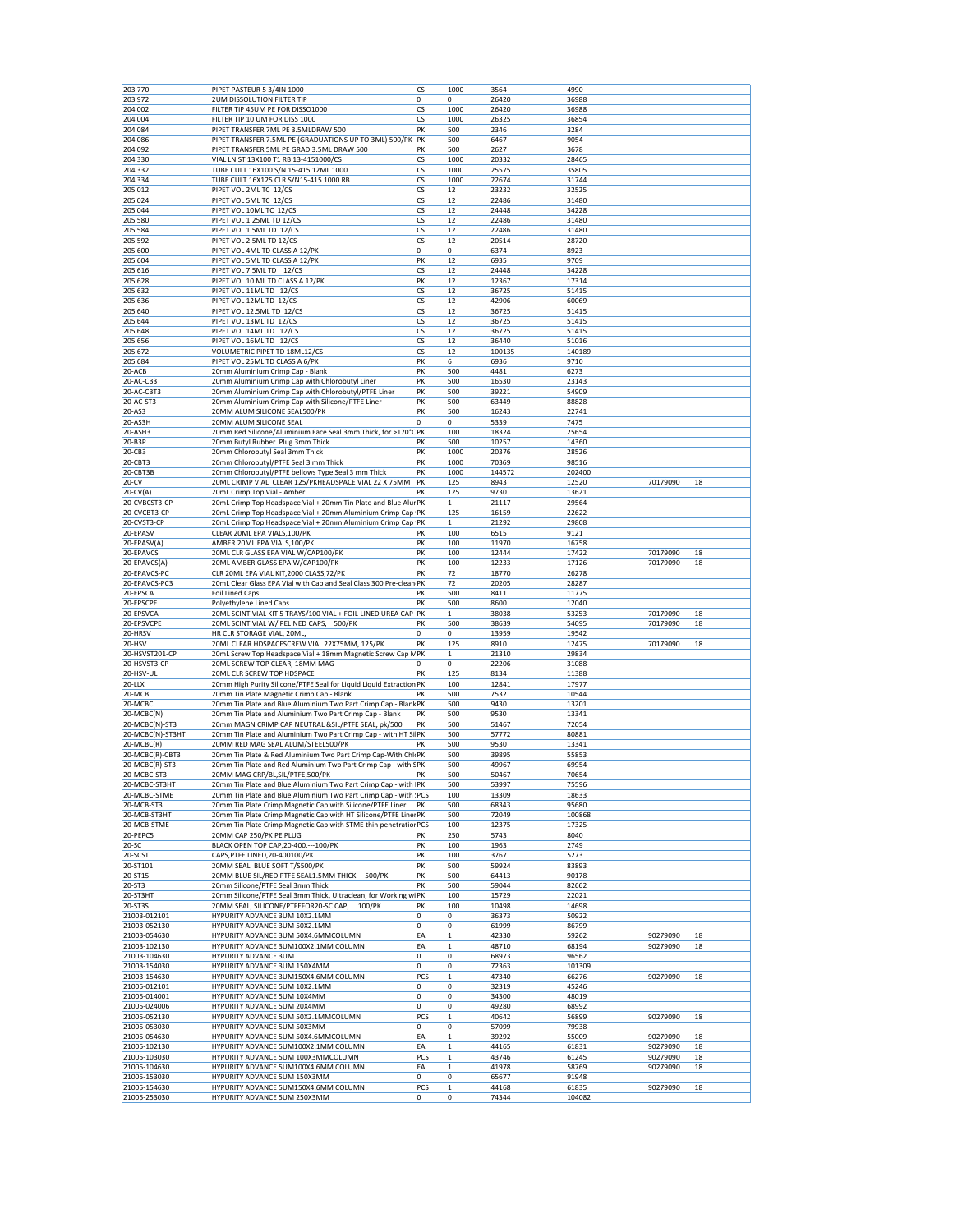| 203 770                                                                                                                                                                                                                                             | PIPET PASTEUR 5 3/4IN 1000                                          | cs  | 1000         | 3564   | 4990   |          |    |
|-----------------------------------------------------------------------------------------------------------------------------------------------------------------------------------------------------------------------------------------------------|---------------------------------------------------------------------|-----|--------------|--------|--------|----------|----|
| 203 972                                                                                                                                                                                                                                             | <b>2UM DISSOLUTION FILTER TIP</b>                                   | 0   | 0            | 26420  | 36988  |          |    |
| 204 002                                                                                                                                                                                                                                             | FILTER TIP 45UM PE FOR DISSO1000                                    | CS  | 1000         | 26420  | 36988  |          |    |
| 204 004                                                                                                                                                                                                                                             | FILTER TIP 10 UM FOR DISS 1000                                      | CS  | 1000         | 26325  | 36854  |          |    |
| 204 084                                                                                                                                                                                                                                             | PIPET TRANSFER 7ML PE 3.5MLDRAW 500                                 | PK  | 500          | 2346   | 3284   |          |    |
| 204 086                                                                                                                                                                                                                                             | PIPET TRANSFER 7.5ML PE (GRADUATIONS UP TO 3ML) 500/PK              | PK  | 500          | 6467   | 9054   |          |    |
| 204 092                                                                                                                                                                                                                                             | PIPET TRANSFER 5ML PE GRAD 3.5ML DRAW 500                           | PK  | 500          | 2627   | 3678   |          |    |
| 204 330                                                                                                                                                                                                                                             | VIAL LN ST 13X100 T1 RB 13-4151000/CS                               | CS  | 1000         | 20332  | 28465  |          |    |
| 204 332                                                                                                                                                                                                                                             | TUBE CULT 16X100 S/N 15-415 12ML 1000                               | CS  | 1000         | 25575  | 35805  |          |    |
| 204 334                                                                                                                                                                                                                                             | TUBE CULT 16X125 CLR S/N15-415 1000 RB                              | CS  | 1000         | 22674  | 31744  |          |    |
| 205 012                                                                                                                                                                                                                                             | PIPET VOL 2ML TC 12/CS                                              | CS  | 12           | 23232  | 32525  |          |    |
| 205 024                                                                                                                                                                                                                                             | PIPET VOL 5ML TC 12/CS                                              | CS  | 12           | 22486  | 31480  |          |    |
|                                                                                                                                                                                                                                                     |                                                                     |     |              |        |        |          |    |
| 205 044                                                                                                                                                                                                                                             | PIPET VOL 10ML TC 12/CS                                             | CS  | 12           | 24448  | 34228  |          |    |
| 205 580                                                                                                                                                                                                                                             | PIPET VOL 1.25ML TD 12/CS                                           | CS  | 12           | 22486  | 31480  |          |    |
| 205 584                                                                                                                                                                                                                                             | PIPET VOL 1.5ML TD 12/CS                                            | CS  | 12           | 22486  | 31480  |          |    |
| 205 592                                                                                                                                                                                                                                             | PIPET VOL 2.5ML TD 12/CS                                            | CS  | 12           | 20514  | 28720  |          |    |
| 205 600                                                                                                                                                                                                                                             | PIPET VOL 4ML TD CLASS A 12/PK                                      | 0   | 0            | 6374   | 8923   |          |    |
| 205 604                                                                                                                                                                                                                                             | PIPET VOL 5ML TD CLASS A 12/PK                                      | PK  | 12           | 6935   | 9709   |          |    |
| 205 616                                                                                                                                                                                                                                             | PIPET VOL 7.5ML TD 12/CS                                            | CS  | 12           | 24448  | 34228  |          |    |
| 205 628                                                                                                                                                                                                                                             | PIPET VOL 10 ML TD CLASS A 12/PK                                    | PK  | 12           | 12367  | 17314  |          |    |
| 205 632                                                                                                                                                                                                                                             | PIPET VOL 11ML TD 12/CS                                             | CS  | 12           | 36725  | 51415  |          |    |
| 205 636                                                                                                                                                                                                                                             | PIPET VOL 12ML TD 12/CS                                             | CS  | 12           | 42906  | 60069  |          |    |
| 205 640                                                                                                                                                                                                                                             | PIPET VOL 12.5ML TD 12/CS                                           | CS  | 12           | 36725  | 51415  |          |    |
| 205 644                                                                                                                                                                                                                                             | PIPET VOL 13ML TD 12/CS                                             | CS  | 12           | 36725  | 51415  |          |    |
| 205 648                                                                                                                                                                                                                                             | PIPET VOL 14ML TD 12/CS                                             | CS  | 12           | 36725  | 51415  |          |    |
| 205 656                                                                                                                                                                                                                                             | PIPET VOL 16ML TD 12/CS                                             | CS  | 12           |        |        |          |    |
|                                                                                                                                                                                                                                                     |                                                                     |     |              | 36440  | 51016  |          |    |
| 205 672                                                                                                                                                                                                                                             | VOLUMETRIC PIPET TD 18ML12/CS                                       | CS  | 12           | 100135 | 140189 |          |    |
| 205 684                                                                                                                                                                                                                                             | PIPET VOL 25ML TD CLASS A 6/PK                                      | PK  | 6            | 6936   | 9710   |          |    |
| 20-ACB                                                                                                                                                                                                                                              | 20mm Aluminium Crimp Cap - Blank                                    | PK  | 500          | 4481   | 6273   |          |    |
| 20-AC-CB3                                                                                                                                                                                                                                           | 20mm Aluminium Crimp Cap with Chlorobutyl Liner                     | PK  | 500          | 16530  | 23143  |          |    |
| 20-AC-CBT3                                                                                                                                                                                                                                          | 20mm Aluminium Crimp Cap with Chlorobutyl/PTFE Liner                | PK  | 500          | 39221  | 54909  |          |    |
| 20-AC-ST3                                                                                                                                                                                                                                           | 20mm Aluminium Crimp Cap with Silicone/PTFE Liner                   | PK  | 500          | 63449  | 88828  |          |    |
| 20-AS3                                                                                                                                                                                                                                              | 20MM ALUM SILICONE SEAL500/PK                                       | PK  | 500          | 16243  | 22741  |          |    |
| 20-AS3H                                                                                                                                                                                                                                             | 20MM ALUM SILICONE SEAL                                             | 0   | 0            | 5339   | 7475   |          |    |
| 20-ASH3                                                                                                                                                                                                                                             | 20mm Red Silicone/Aluminium Face Seal 3mm Thick, for >170°C PK      |     | 100          | 18324  | 25654  |          |    |
|                                                                                                                                                                                                                                                     |                                                                     |     |              |        |        |          |    |
| 20-B3P                                                                                                                                                                                                                                              | 20mm Butyl Rubber Plug 3mm Thick                                    | PK  | 500          | 10257  | 14360  |          |    |
| 20-CB3                                                                                                                                                                                                                                              | 20mm Chlorobutyl Seal 3mm Thick                                     | PK  | 1000         | 20376  | 28526  |          |    |
| 20-CBT3                                                                                                                                                                                                                                             | 20mm Chlorobutyl/PTFE Seal 3 mm Thick                               | PK  | 1000         | 70369  | 98516  |          |    |
| 20-CBT3B                                                                                                                                                                                                                                            | 20mm Chlorobutyl/PTFE bellows Type Seal 3 mm Thick                  | PK  | 1000         | 144572 | 202400 |          |    |
| 20-CV                                                                                                                                                                                                                                               | 20ML CRIMP VIAL CLEAR 125/PKHEADSPACE VIAL 22 X 75MM                | PK  | 125          | 8943   | 12520  | 70179090 | 18 |
| $20$ -CV(A)                                                                                                                                                                                                                                         | 20mL Crimp Top Vial - Amber                                         | PK  | 125          | 9730   | 13621  |          |    |
| 20-CVBCST3-CP                                                                                                                                                                                                                                       | 20mL Crimp Top Headspace Vial + 20mm Tin Plate and Blue Alur PK     |     | $\mathbf{1}$ | 21117  | 29564  |          |    |
| 20-CVCBT3-CP                                                                                                                                                                                                                                        | 20mL Crimp Top Headspace Vial + 20mm Aluminium Crimp Cap PK         |     | 125          | 16159  | 22622  |          |    |
| 20-CVST3-CP                                                                                                                                                                                                                                         | 20mL Crimp Top Headspace Vial + 20mm Aluminium Crimp Cap PK         |     | 1            | 21292  | 29808  |          |    |
|                                                                                                                                                                                                                                                     |                                                                     |     |              |        |        |          |    |
| 20-EPASV                                                                                                                                                                                                                                            | CLEAR 20ML EPA VIALS, 100/PK                                        | PK  | 100          | 6515   | 9121   |          |    |
| 20-EPASV(A)                                                                                                                                                                                                                                         | AMBER 20ML EPA VIALS, 100/PK                                        | PK  | 100          | 11970  | 16758  |          |    |
| 20-EPAVCS                                                                                                                                                                                                                                           | 20ML CLR GLASS EPA VIAL W/CAP100/PK                                 | PK  | 100          | 12444  | 17422  | 70179090 | 18 |
| 20-EPAVCS(A)                                                                                                                                                                                                                                        | 20ML AMBER GLASS EPA W/CAP100/PK                                    | PK  | 100          | 12233  | 17126  | 70179090 | 18 |
| 20-EPAVCS-PC                                                                                                                                                                                                                                        | CLR 20ML EPA VIAL KIT, 2000 CLASS, 72/PK                            | PK  | 72           | 18770  | 26278  |          |    |
| 20-EPAVCS-PC3                                                                                                                                                                                                                                       | 20mL Clear Glass EPA Vial with Cap and Seal Class 300 Pre-clean PK  |     | 72           | 20205  | 28287  |          |    |
| 20-EPSCA                                                                                                                                                                                                                                            | <b>Foil Lined Caps</b>                                              | PK  | 500          | 8411   | 11775  |          |    |
| 20-EPSCPE                                                                                                                                                                                                                                           | Polyethylene Lined Caps                                             | PK  | 500          | 8600   | 12040  |          |    |
| 20-EPSVCA                                                                                                                                                                                                                                           | 20ML SCINT VIAL KIT 5 TRAYS/100 VIAL + FOIL-LINED UREA CAP PK       |     | $\mathbf 1$  | 38038  | 53253  | 70179090 | 18 |
| 20-EPSVCPE                                                                                                                                                                                                                                          | 20ML SCINT VIAL W/ PELINED CAPS, 500/PK                             | PK  | 500          | 38639  | 54095  | 70179090 | 18 |
| 20-HRSV                                                                                                                                                                                                                                             | HR CLR STORAGE VIAL, 20ML,                                          | 0   | 0            | 13959  | 19542  |          |    |
| 20-HSV                                                                                                                                                                                                                                              | 20ML CLEAR HDSPACESCREW VIAL 22X75MM, 125/PK                        | PK  | 125          | 8910   | 12475  | 70179090 | 18 |
|                                                                                                                                                                                                                                                     |                                                                     |     |              |        |        |          |    |
| 20-HSVST201-CP                                                                                                                                                                                                                                      | 20mL Screw Top Headspace Vial + 18mm Magnetic Screw Cap N PK        |     | $\mathbf{1}$ | 21310  | 29834  |          |    |
| 20-HSVST3-CP                                                                                                                                                                                                                                        | 20ML SCREW TOP CLEAR, 18MM MAG                                      | 0   | 0            | 22206  | 31088  |          |    |
| 20-HSV-UL                                                                                                                                                                                                                                           | 20ML CLR SCREW TOP HDSPACE                                          | PK  | 125          | 8134   | 11388  |          |    |
| $20-LLX$                                                                                                                                                                                                                                            | 20mm High Purity Silicone/PTFE Seal for Liquid Liquid Extraction PK |     | 100          | 12841  | 17977  |          |    |
| 20-MCB                                                                                                                                                                                                                                              | 20mm Tin Plate Magnetic Crimp Cap - Blank                           | PK  | 500          | 7532   | 10544  |          |    |
| 20-MCBC                                                                                                                                                                                                                                             | 20mm Tin Plate and Blue Aluminium Two Part Crimp Cap - Blank PK     |     | 500          | 9430   | 13201  |          |    |
| 20-MCBC(N)                                                                                                                                                                                                                                          | 20mm Tin Plate and Aluminium Two Part Crimp Cap - Blank             | PK  | 500          | 9530   | 13341  |          |    |
| 20-MCBC(N)-ST3                                                                                                                                                                                                                                      | 20mm MAGN CRIMP CAP NEUTRAL & SIL/PTFE SEAL, pk/500                 | PK  | 500          | 51467  | 72054  |          |    |
| 20-MCBC(N)-ST3HT                                                                                                                                                                                                                                    | 20mm Tin Plate and Aluminium Two Part Crimp Cap - with HT Si PK     |     | 500          | 57772  | 80881  |          |    |
|                                                                                                                                                                                                                                                     |                                                                     |     |              |        |        |          |    |
| 20-MCBC(R)                                                                                                                                                                                                                                          | 20MM RED MAG SEAL ALUM/STEEL500/PK                                  | PK  | 500          | 9530   | 13341  |          |    |
| 20-MCBC(R)-CBT3                                                                                                                                                                                                                                     | 20mm Tin Plate & Red Aluminium Two Part Crimp Cap-With Chli PK      |     | 500          | 39895  | 55853  |          |    |
| 20-MCBC(R)-ST3                                                                                                                                                                                                                                      | 20mm Tin Plate and Red Aluminium Two Part Crimp Cap - with SPK      |     | 500          | 49967  | 69954  |          |    |
| 20-MCBC-ST3                                                                                                                                                                                                                                         | 20MM MAG CRP/BL, SIL/PTFE, 500/PK                                   | PK  | 500          | 50467  | 70654  |          |    |
| 20-MCBC-ST3HT                                                                                                                                                                                                                                       | 20mm Tin Plate and Blue Aluminium Two Part Crimp Cap - with PK      |     | 500          | 53997  | 75596  |          |    |
| 20-MCBC-STME                                                                                                                                                                                                                                        | 20mm Tin Plate and Blue Aluminium Two Part Crimp Cap - with : PCS   |     | 100          | 13309  | 18633  |          |    |
| 20-MCB-ST3                                                                                                                                                                                                                                          | 20mm Tin Plate Crimp Magnetic Cap with Silicone/PTFE Liner PK       |     | 500          | 68343  | 95680  |          |    |
| 20-MCB-ST3HT                                                                                                                                                                                                                                        | 20mm Tin Plate Crimp Magnetic Cap with HT Silicone/PTFE Liner PK    |     | 500          | 72049  | 100868 |          |    |
| 20-MCB-STME                                                                                                                                                                                                                                         | 20mm Tin Plate Crimp Magnetic Cap with STME thin penetratior PCS    |     | 100          | 12375  | 17325  |          |    |
| 20-PEPC5                                                                                                                                                                                                                                            | 20MM CAP 250/PK PE PLUG                                             | PK  | 250          | 5743   | 8040   |          |    |
| 20-SC                                                                                                                                                                                                                                               | BLACK OPEN TOP CAP, 20-400, --- 100/PK                              | PK  | 100          | 1963   | 2749   |          |    |
| 20-SCST                                                                                                                                                                                                                                             | CAPS, PTFE LINED, 20-400100/PK                                      |     |              |        | 5273   |          |    |
|                                                                                                                                                                                                                                                     |                                                                     | PK  | 100          | 3767   |        |          |    |
| 20-ST101                                                                                                                                                                                                                                            | 20MM SEAL BLUE SOFT T/S500/PK                                       | PK  | 500          | 59924  | 83893  |          |    |
| 20-ST15                                                                                                                                                                                                                                             | 20MM BLUE SIL/RED PTFE SEAL1.5MM THICK<br>500/PK                    | PK  | 500          | 64413  | 90178  |          |    |
| 20-ST3                                                                                                                                                                                                                                              | 20mm Silicone/PTFE Seal 3mm Thick                                   | PK  | 500          | 59044  | 82662  |          |    |
|                                                                                                                                                                                                                                                     | 20mm Silicone/PTFE Seal 3mm Thick, Ultraclean, for Working wiPK     |     | 100          | 15729  | 22021  |          |    |
|                                                                                                                                                                                                                                                     |                                                                     | PK  | 100          | 10498  | 14698  |          |    |
|                                                                                                                                                                                                                                                     | 20MM SEAL, SILICONE/PTFEFOR20-SC CAP,<br>100/PK                     |     | 0            | 36373  | 50922  |          |    |
|                                                                                                                                                                                                                                                     | HYPURITY ADVANCE 3UM 10X2.1MM                                       | 0   |              |        |        |          |    |
|                                                                                                                                                                                                                                                     | HYPURITY ADVANCE 3UM 50X2.1MM                                       | 0   | 0            | 61999  | 86799  |          |    |
|                                                                                                                                                                                                                                                     |                                                                     |     |              |        |        |          |    |
|                                                                                                                                                                                                                                                     | HYPURITY ADVANCE 3UM 50X4.6MMCOLUMN                                 | EA  | $\mathbf 1$  | 42330  | 59262  | 90279090 | 18 |
|                                                                                                                                                                                                                                                     | HYPURITY ADVANCE 3UM100X2.1MM COLUMN                                | EA  | $\mathbf 1$  | 48710  | 68194  | 90279090 | 18 |
|                                                                                                                                                                                                                                                     | HYPURITY ADVANCE 3UM                                                | 0   | 0            | 68973  | 96562  |          |    |
|                                                                                                                                                                                                                                                     | HYPURITY ADVANCE 3UM 150X4MM                                        | 0   | 0            | 72363  | 101309 |          |    |
|                                                                                                                                                                                                                                                     | HYPURITY ADVANCE 3UM150X4.6MM COLUMN                                | PCS | $\mathbf{1}$ | 47340  | 66276  | 90279090 | 18 |
|                                                                                                                                                                                                                                                     | HYPURITY ADVANCE 5UM 10X2.1MM                                       | 0   | 0            | 32319  | 45246  |          |    |
|                                                                                                                                                                                                                                                     | HYPURITY ADVANCE 5UM 10X4MM                                         | 0   | 0            | 34300  | 48019  |          |    |
|                                                                                                                                                                                                                                                     | HYPURITY ADVANCE 5UM 20X4MM                                         | 0   | 0            | 49280  | 68992  |          |    |
|                                                                                                                                                                                                                                                     | HYPURITY ADVANCE 5UM 50X2.1MMCOLUMN                                 | PCS | $\mathbf 1$  | 40642  | 56899  | 90279090 | 18 |
|                                                                                                                                                                                                                                                     |                                                                     |     |              |        |        |          |    |
|                                                                                                                                                                                                                                                     | HYPURITY ADVANCE 5UM 50X3MM                                         | 0   | 0            | 57099  | 79938  |          |    |
|                                                                                                                                                                                                                                                     | HYPURITY ADVANCE 5UM 50X4.6MMCOLUMN                                 | EA  | $\mathbf 1$  | 39292  | 55009  | 90279090 | 18 |
| 20-ST3HT<br>20-ST3S<br>21003-012101<br>21003-052130<br>21003-054630<br>21003-102130<br>21003-104630<br>21003-154030<br>21003-154630<br>21005-012101<br>21005-014001<br>21005-024006<br>21005-052130<br>21005-053030<br>21005-054630<br>21005-102130 | HYPURITY ADVANCE 5UM100X2.1MM COLUMN                                | EA  | $\mathbf{1}$ | 44165  | 61831  | 90279090 | 18 |
| 21005-103030                                                                                                                                                                                                                                        | HYPURITY ADVANCE 5UM 100X3MMCOLUMN                                  | PCS | $\mathbf 1$  | 43746  | 61245  | 90279090 | 18 |
| 21005-104630                                                                                                                                                                                                                                        | HYPURITY ADVANCE 5UM100X4.6MM COLUMN                                | EA  | $\mathbf{1}$ | 41978  | 58769  | 90279090 | 18 |
|                                                                                                                                                                                                                                                     | HYPURITY ADVANCE 5UM 150X3MM                                        | 0   | 0            | 65677  | 91948  |          |    |
| 21005-153030<br>21005-154630                                                                                                                                                                                                                        | HYPURITY ADVANCE 5UM150X4.6MM COLUMN                                | PCS | $\mathbf{1}$ | 44168  | 61835  | 90279090 | 18 |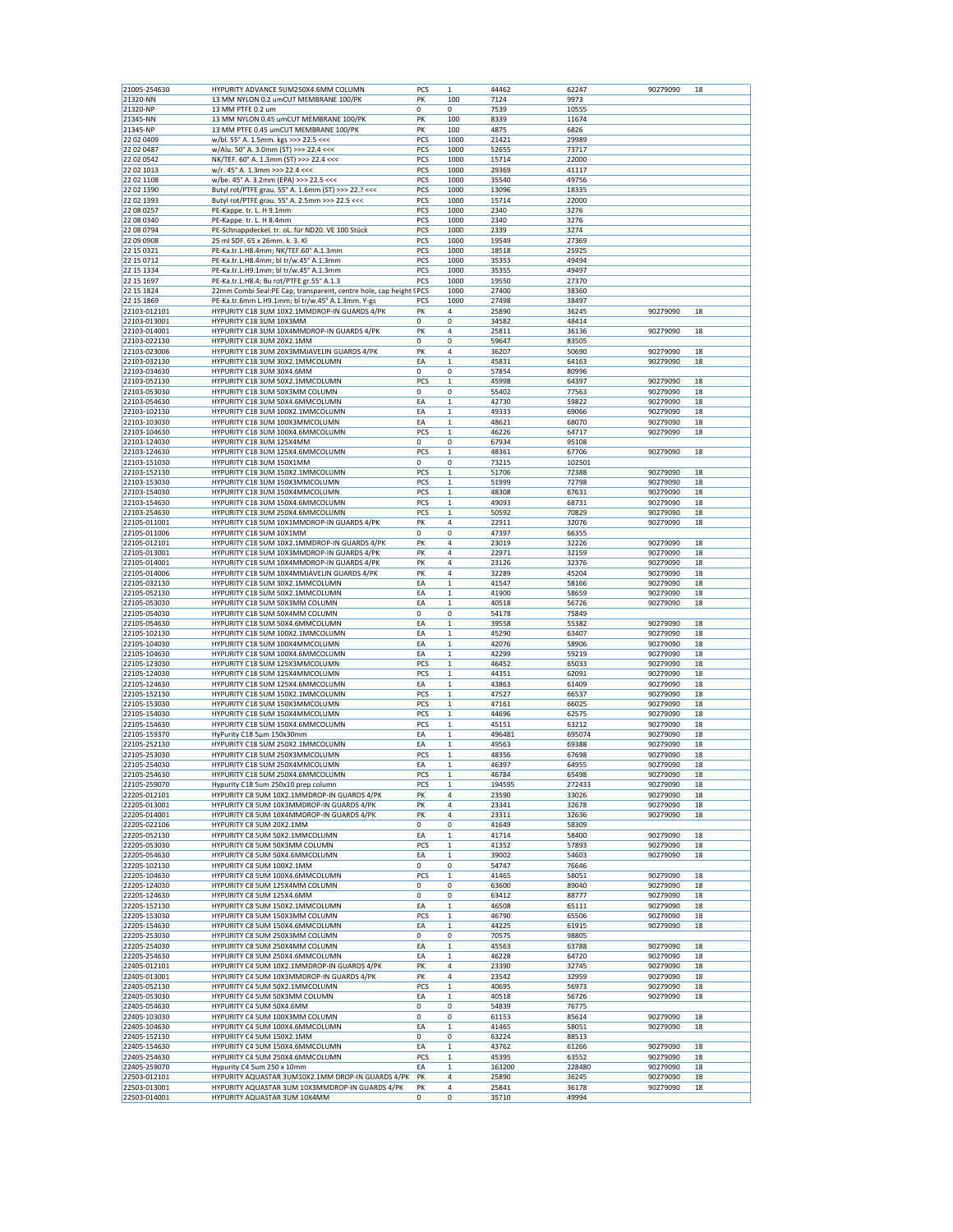| 21005-254630 | HYPURITY ADVANCE 5UM250X4.6MM COLUMN                               | PCS         | $\mathbf 1$  | 44462  | 62247  | 90279090 | 18 |
|--------------|--------------------------------------------------------------------|-------------|--------------|--------|--------|----------|----|
| 21320-NN     | 13 MM NYLON 0.2 umCUT MEMBRANE 100/PK                              | PK          | 100          | 7124   | 9973   |          |    |
| 21320-NP     | 13 MM PTFE 0.2 um                                                  | $\mathbf 0$ | 0            | 7539   | 10555  |          |    |
|              |                                                                    |             |              |        |        |          |    |
| 21345-NN     | 13 MM NYLON 0.45 umCUT MEMBRANE 100/PK                             | PK          | 100          | 8339   | 11674  |          |    |
| 21345-NP     | 13 MM PTFE 0.45 umCUT MEMBRANE 100/PK                              | PK          | 100          | 4875   | 6826   |          |    |
| 22 02 0409   | w/bl. 55° A. 1.5mm. kgs >>> 22.5 <<<                               | PCS         | 1000         | 21421  | 29989  |          |    |
| 22 02 0487   | w/Alu. 50° A. 3.0mm (ST) >>> 22.4 <<<                              | PCS         | 1000         | 52655  | 73717  |          |    |
| 22 02 0542   | NK/TEF. 60° A. 1.3mm (ST) >>> 22.4 <<<                             | PCS         | 1000         | 15714  | 22000  |          |    |
| 22 02 1013   | w/r. 45° A. 1.3mm >>> 22.4 <<<                                     | PCS         | 1000         | 29369  | 41117  |          |    |
| 22 02 1108   | w/be. 45° A. 3.2mm (EPA) >>> 22.5 <<<                              | PCS         | 1000         | 35540  | 49756  |          |    |
| 22 02 1390   |                                                                    | PCS         |              |        |        |          |    |
|              | Butyl rot/PTFE grau. 55° A. 1.6mm (ST) >>> 22.? <<<                |             | 1000         | 13096  | 18335  |          |    |
| 22 02 1393   | Butyl rot/PTFE grau. 55° A. 2.5mm >>> 22.5 <<<                     | PCS         | 1000         | 15714  | 22000  |          |    |
| 22 08 0257   | PE-Kappe. tr. L. H 9.1mm                                           | PCS         | 1000         | 2340   | 3276   |          |    |
| 22 08 0340   | PE-Kappe. tr. L. H 8.4mm                                           | PCS         | 1000         | 2340   | 3276   |          |    |
| 22 08 0794   | PE-Schnappdeckel. tr. oL. für ND20. VE 100 Stück                   | PCS         | 1000         | 2339   | 3274   |          |    |
| 22 09 0908   | 25 ml SDF. 65 x 26mm. k. 3. Kl                                     | PCS         | 1000         | 19549  | 27369  |          |    |
| 22 15 03 21  | PE-Ka.tr.L.H8.4mm; NK/TEF.60° A.1.3mm                              | PCS         | 1000         | 18518  | 25925  |          |    |
|              |                                                                    |             |              |        |        |          |    |
| 22 15 07 12  | PE-Ka.tr.L.H8.4mm; bl tr/w.45° A.1.3mm                             | PCS         | 1000         | 35353  | 49494  |          |    |
| 22 15 1334   | PE-Ka.tr.L.H9.1mm; bl tr/w.45° A.1.3mm                             | PCS         | 1000         | 35355  | 49497  |          |    |
| 22 15 1697   | PE-Ka.tr.L.H8.4; Bu rot/PTFE gr.55° A.1.3                          | PCS         | 1000         | 19550  | 27370  |          |    |
| 22 15 1824   | 22mm Combi Seal:PE Cap, transparent, centre hole, cap height ! PCS |             | 1000         | 27400  | 38360  |          |    |
| 22 15 1869   | PE-Ka.tr.6mm L.H9.1mm; bl tr/w.45° A.1.3mm. Y-gs                   | PCS         | 1000         | 27498  | 38497  |          |    |
| 22103-012101 | HYPURITY C18 3UM 10X2.1MMDROP-IN GUARDS 4/PK                       | PK          | 4            | 25890  | 36245  | 90279090 | 18 |
|              |                                                                    | $\mathbf 0$ | 0            |        |        |          |    |
| 22103-013001 | HYPURITY C18 3UM 10X3MM                                            |             |              | 34582  | 48414  |          |    |
| 22103-014001 | HYPURITY C18 3UM 10X4MMDROP-IN GUARDS 4/PK                         | PK          | 4            | 25811  | 36136  | 90279090 | 18 |
| 22103-022130 | HYPURITY C18 3UM 20X2.1MM                                          | 0           | 0            | 59647  | 83505  |          |    |
| 22103-023006 | HYPURITY C18 3UM 20X3MMJAVELIN GUARDS 4/PK                         | PK          | 4            | 36207  | 50690  | 90279090 | 18 |
| 22103-032130 | HYPURITY C18 3UM 30X2.1MMCOLUMN                                    | EA          | 1            | 45831  | 64163  | 90279090 | 18 |
| 22103-034630 | HYPURITY C18 3UM 30X4.6MM                                          | 0           | 0            | 57854  | 80996  |          |    |
|              |                                                                    | PCS         |              |        |        | 90279090 |    |
| 22103-052130 | HYPURITY C18 3UM 50X2.1MMCOLUMN                                    |             | 1            | 45998  | 64397  |          | 18 |
| 22103-053030 | HYPURITY C18 3UM 50X3MM COLUMN                                     | $\mathbf 0$ | 0            | 55402  | 77563  | 90279090 | 18 |
| 22103-054630 | HYPURITY C18 3UM 50X4.6MMCOLUMN                                    | EA          | $\mathbf 1$  | 42730  | 59822  | 90279090 | 18 |
| 22103-102130 | HYPURITY C18 3UM 100X2.1MMCOLUMN                                   | EA          | $\mathbf 1$  | 49333  | 69066  | 90279090 | 18 |
| 22103-103030 | HYPURITY C18 3UM 100X3MMCOLUMN                                     | EA          | 1            | 48621  | 68070  | 90279090 | 18 |
| 22103-104630 | HYPURITY C18 3UM 100X4.6MMCOLUMN                                   | PCS         | $\mathbf 1$  | 46226  | 64717  | 90279090 | 18 |
|              |                                                                    |             |              |        |        |          |    |
| 22103-124030 | HYPURITY C18 3UM 125X4MM                                           | 0           | 0            | 67934  | 95108  |          |    |
| 22103-124630 | HYPURITY C18 3UM 125X4.6MMCOLUMN                                   | PCS         | 1            | 48361  | 67706  | 90279090 | 18 |
| 22103-151030 | HYPURITY C18 3UM 150X1MM                                           | $\mathbf 0$ | $\mathbf 0$  | 73215  | 102501 |          |    |
| 22103-152130 | HYPURITY C18 3UM 150X2.1MMCOLUMN                                   | PCS         | $\mathbf 1$  | 51706  | 72388  | 90279090 | 18 |
| 22103-153030 | HYPURITY C18 3UM 150X3MMCOLUMN                                     | PCS         | 1            | 51999  | 72798  | 90279090 | 18 |
|              |                                                                    | PCS         |              |        |        |          |    |
| 22103-154030 | HYPURITY C18 3UM 150X4MMCOLUMN                                     |             | $\mathbf 1$  | 48308  | 67631  | 90279090 | 18 |
| 22103-154630 | HYPURITY C18 3UM 150X4.6MMCOLUMN                                   | PCS         | $\mathbf 1$  | 49093  | 68731  | 90279090 | 18 |
| 22103-254630 | HYPURITY C18 3UM 250X4.6MMCOLUMN                                   | PCS         | $\mathbf 1$  | 50592  | 70829  | 90279090 | 18 |
| 22105-011001 | HYPURITY C18 5UM 10X1MMDROP-IN GUARDS 4/PK                         | PK          | 4            | 22911  | 32076  | 90279090 | 18 |
| 22105-011006 | HYPURITY C18 5UM 10X1MM                                            | 0           | 0            | 47397  | 66355  |          |    |
| 22105-012101 | HYPURITY C18 5UM 10X2.1MMDROP-IN GUARDS 4/PK                       | PK          | 4            | 23019  | 32226  | 90279090 | 18 |
|              |                                                                    |             |              |        |        |          |    |
| 22105-013001 | HYPURITY C18 5UM 10X3MMDROP-IN GUARDS 4/PK                         | PK          | 4            | 22971  | 32159  | 90279090 | 18 |
| 22105-014001 | HYPURITY C18 5UM 10X4MMDROP-IN GUARDS 4/PK                         | PK          | 4            | 23126  | 32376  | 90279090 | 18 |
| 22105-014006 | HYPURITY C18 5UM 10X4MMJAVELIN GUARDS 4/PK                         | PK          | 4            | 32289  | 45204  | 90279090 | 18 |
| 22105-032130 | HYPURITY C18 5UM 30X2.1MMCOLUMN                                    | EA          | $\mathbf 1$  | 41547  | 58166  | 90279090 | 18 |
| 22105-052130 | HYPURITY C18 5UM 50X2.1MMCOLUMN                                    | EA          | $\mathbf 1$  | 41900  | 58659  | 90279090 | 18 |
| 22105-053030 | HYPURITY C18 5UM 50X3MM COLUMN                                     | EA          | $\mathbf 1$  | 40518  | 56726  | 90279090 | 18 |
|              |                                                                    |             |              |        |        |          |    |
| 22105-054030 | HYPURITY C18 5UM 50X4MM COLUMN                                     | 0           | 0            | 54178  | 75849  |          |    |
| 22105-054630 | HYPURITY C18 5UM 50X4.6MMCOLUMN                                    | EA          | $\mathbf 1$  | 39558  | 55382  | 90279090 | 18 |
| 22105-102130 | HYPURITY C18 5UM 100X2.1MMCOLUMN                                   | EA          | $\mathbf 1$  | 45290  | 63407  | 90279090 | 18 |
| 22105-104030 | HYPURITY C18 5UM 100X4MMCOLUMN                                     | EA          | $\mathbf 1$  | 42076  | 58906  | 90279090 | 18 |
| 22105-104630 | HYPURITY C18 5UM 100X4.6MMCOLUMN                                   | EA          | $\mathbf 1$  | 42299  | 59219  | 90279090 | 18 |
| 22105-123030 | HYPURITY C18 5UM 125X3MMCOLUMN                                     | PCS         | $\mathbf 1$  | 46452  | 65033  | 90279090 | 18 |
|              |                                                                    |             |              |        |        |          |    |
| 22105-124030 | HYPURITY C18 5UM 125X4MMCOLUMN                                     | PCS         | 1            | 44351  | 62091  | 90279090 | 18 |
| 22105-124630 | HYPURITY C18 5UM 125X4.6MMCOLUMN                                   | EA          | $\mathbf 1$  | 43863  | 61409  | 90279090 | 18 |
| 22105-152130 | HYPURITY C18 5UM 150X2.1MMCOLUMN                                   | PCS         | $\mathbf 1$  | 47527  | 66537  | 90279090 | 18 |
| 22105-153030 | HYPURITY C18 5UM 150X3MMCOLUMN                                     | PCS         | $\mathbf 1$  | 47161  | 66025  | 90279090 | 18 |
| 22105-154030 | HYPURITY C18 5UM 150X4MMCOLUMN                                     | PCS         | $\mathbf{1}$ | 44696  | 62575  | 90279090 | 18 |
| 22105-154630 | HYPURITY C18 5UM 150X4.6MMCOLUMN                                   | PCS         | $\mathbf 1$  | 45151  | 63212  | 90279090 | 18 |
|              |                                                                    |             |              |        |        |          |    |
| 22105-159370 | HyPurity C18 5µm 150x30mm                                          | ΕA          | 1            | 496481 | 695074 | 90279090 | 18 |
| 22105-252130 | HYPURITY C18 5UM 250X2.1MMCOLUMN                                   | EA          | $\mathbf 1$  | 49563  | 69388  | 90279090 | 18 |
| 22105-253030 | HYPURITY C18 5UM 250X3MMCOLUMN                                     | PCS         | $\mathbf 1$  | 48356  | 67698  | 90279090 | 18 |
| 22105-254030 | HYPURITY C18 5UM 250X4MMCOLUMN                                     | EA          | $\mathbf{1}$ | 46397  | 64955  | 90279090 | 18 |
| 22105-254630 | HYPURITY C18 5UM 250X4.6MMCOLUMN                                   | PCS         | $\mathbf{1}$ | 46784  | 65498  | 90279090 | 18 |
| 22105-259070 | Hypurity C18 5um 250x10 prep column                                | PCS         | $\mathbf 1$  | 194595 | 272433 | 90279090 | 18 |
| 22205-012101 | HYPURITY C8 5UM 10X2.1MMDROP-IN GUARDS 4/PK                        | PK          | 4            | 23590  | 33026  | 90279090 | 18 |
|              |                                                                    |             |              |        |        |          |    |
| 22205-013001 | HYPURITY C8 5UM 10X3MMDROP-IN GUARDS 4/PK                          | PK          | 4            | 23341  | 32678  | 90279090 | 18 |
| 22205-014001 | HYPURITY C8 5UM 10X4MMDROP-IN GUARDS 4/PK                          | PK          | 4            | 23311  | 32636  | 90279090 | 18 |
| 22205-022106 | HYPURITY C8 5UM 20X2.1MM                                           | 0           | 0            | 41649  | 58309  |          |    |
| 22205-052130 | HYPURITY C8 5UM 50X2.1MMCOLUMN                                     | EA          | $\mathbf 1$  | 41714  | 58400  | 90279090 | 18 |
| 22205-053030 | HYPURITY C8 5UM 50X3MM COLUMN                                      | PCS         | $\mathbf 1$  | 41352  | 57893  | 90279090 | 18 |
| 22205-054630 | HYPURITY C8 5UM 50X4.6MMCOLUMN                                     | EA          | 1            | 39002  | 54603  | 90279090 | 18 |
| 22205-102130 | HYPURITY C8 5UM 100X2.1MM                                          | 0           | 0            | 54747  | 76646  |          |    |
|              |                                                                    |             |              |        |        |          |    |
| 22205-104630 | HYPURITY C8 5UM 100X4.6MMCOLUMN                                    | PCS         | $\mathbf 1$  | 41465  | 58051  | 90279090 | 18 |
| 22205-124030 | HYPURITY C8 5UM 125X4MM COLUMN                                     | 0           | 0            | 63600  | 89040  | 90279090 | 18 |
| 22205-124630 | HYPURITY C8 5UM 125X4.6MM                                          | 0           | 0            | 63412  | 88777  | 90279090 | 18 |
| 22205-152130 | HYPURITY C8 5UM 150X2.1MMCOLUMN                                    | EA          | $\mathbf 1$  | 46508  | 65111  | 90279090 | 18 |
| 22205-153030 | HYPURITY C8 5UM 150X3MM COLUMN                                     | PCS         | $\mathbf 1$  | 46790  | 65506  | 90279090 | 18 |
| 22205-154630 | HYPURITY C8 5UM 150X4.6MMCOLUMN                                    | ΕA          | 1            | 44225  | 61915  | 90279090 | 18 |
|              |                                                                    |             |              |        |        |          |    |
| 22205-253030 | HYPURITY C8 5UM 250X3MM COLUMN                                     | 0           | 0            | 70575  | 98805  |          |    |
| 22205-254030 | HYPURITY C8 5UM 250X4MM COLUMN                                     | EA          | 1            | 45563  | 63788  | 90279090 | 18 |
| 22205-254630 | HYPURITY C8 5UM 250X4.6MMCOLUMN                                    | EA          | $\mathbf 1$  | 46228  | 64720  | 90279090 | 18 |
| 22405-012101 | HYPURITY C4 5UM 10X2.1MMDROP-IN GUARDS 4/PK                        | PK          | 4            | 23390  | 32745  | 90279090 | 18 |
| 22405-013001 | HYPURITY C4 5UM 10X3MMDROP-IN GUARDS 4/PK                          | PK          | 4            | 23542  | 32959  | 90279090 | 18 |
|              |                                                                    |             |              |        |        |          |    |
| 22405-052130 | HYPURITY C4 5UM 50X2.1MMCOLUMN                                     | PCS         | 1            | 40695  | 56973  | 90279090 | 18 |
| 22405-053030 | HYPURITY C4 5UM 50X3MM COLUMN                                      | EA          | $\mathbf 1$  | 40518  | 56726  | 90279090 | 18 |
| 22405-054630 | HYPURITY C4 5UM 50X4.6MM                                           | 0           | 0            | 54839  | 76775  |          |    |
| 22405-103030 | HYPURITY C4 5UM 100X3MM COLUMN                                     | 0           | 0            | 61153  | 85614  | 90279090 | 18 |
| 22405-104630 | HYPURITY C4 5UM 100X4.6MMCOLUMN                                    | EA          | $\mathbf 1$  | 41465  | 58051  | 90279090 | 18 |
| 22405-152130 |                                                                    | 0           | 0            | 63224  | 88513  |          |    |
|              |                                                                    |             |              |        |        |          |    |
|              | HYPURITY C4 5UM 150X2.1MM                                          |             |              |        |        |          |    |
| 22405-154630 | HYPURITY C4 5UM 150X4.6MMCOLUMN                                    | EA          | 1            | 43762  | 61266  | 90279090 | 18 |
| 22405-254630 | HYPURITY C4 5UM 250X4.6MMCOLUMN                                    | PCS         | $\mathbf 1$  | 45395  | 63552  | 90279090 | 18 |
| 22405-259070 | Hypurity C4 5um 250 x 10mm                                         | EA          | $\mathbf{1}$ | 163200 | 228480 | 90279090 | 18 |
| 22503-012101 | HYPURITY AQUASTAR 3UM10X2.1MM DROP-IN GUARDS 4/PK                  | PK          | 4            | 25890  | 36245  | 90279090 | 18 |
| 22503-013001 | HYPURITY AQUASTAR 3UM 10X3MMDROP-IN GUARDS 4/PK                    | PK          | 4            | 25841  | 36178  | 90279090 | 18 |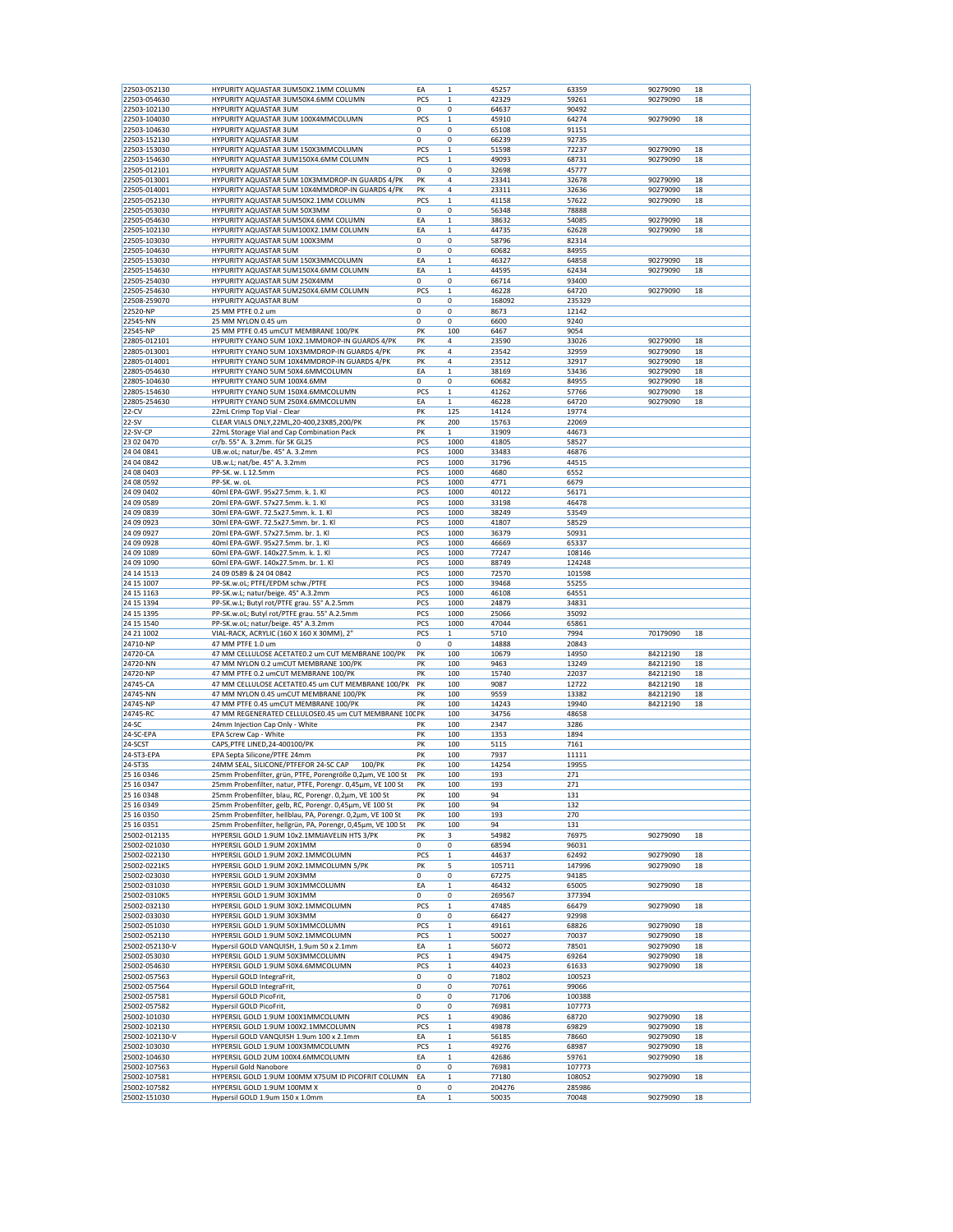| 22503-052130                 | HYPURITY AQUASTAR 3UM50X2.1MM COLUMN                           |     | $\mathbf{1}$     |                 |                 |          |    |
|------------------------------|----------------------------------------------------------------|-----|------------------|-----------------|-----------------|----------|----|
|                              |                                                                | EA  |                  | 45257           | 63359           | 90279090 | 18 |
| 22503-054630                 | HYPURITY AQUASTAR 3UM50X4.6MM COLUMN                           | PCS | $\mathbf 1$      | 42329           | 59261           | 90279090 | 18 |
| 22503-102130                 | HYPURITY AQUASTAR 3UM                                          | 0   | 0                | 64637           | 90492           |          |    |
| 22503-104030                 | HYPURITY AQUASTAR 3UM 100X4MMCOLUMN                            | PCS | 1                | 45910           | 64274           | 90279090 | 18 |
| 22503-104630                 | HYPURITY AQUASTAR 3UM                                          | 0   | 0                | 65108           | 91151           |          |    |
|                              |                                                                |     |                  |                 |                 |          |    |
| 22503-152130                 | HYPURITY AQUASTAR 3UM                                          | 0   | 0                | 66239           | 92735           |          |    |
| 22503-153030                 | HYPURITY AQUASTAR 3UM 150X3MMCOLUMN                            | PCS | 1                | 51598           | 72237           | 90279090 | 18 |
| 22503-154630                 | HYPURITY AQUASTAR 3UM150X4.6MM COLUMN                          | PCS | $\mathbf 1$      | 49093           | 68731           | 90279090 | 18 |
|                              |                                                                | 0   |                  |                 |                 |          |    |
| 22505-012101                 | HYPURITY AQUASTAR 5UM                                          |     | 0                | 32698           | 45777           |          |    |
| 22505-013001                 | HYPURITY AQUASTAR 5UM 10X3MMDROP-IN GUARDS 4/PK                | PK  | 4                | 23341           | 32678           | 90279090 | 18 |
| 22505-014001                 | HYPURITY AQUASTAR 5UM 10X4MMDROP-IN GUARDS 4/PK                | PK  | 4                | 23311           | 32636           | 90279090 | 18 |
| 22505-052130                 | HYPURITY AQUASTAR 5UM50X2.1MM COLUMN                           | PCS | $\mathbf 1$      | 41158           | 57622           | 90279090 | 18 |
|                              |                                                                |     |                  |                 |                 |          |    |
| 22505-053030                 | HYPURITY AQUASTAR 5UM 50X3MM                                   | 0   | 0                | 56348           | 78888           |          |    |
| 22505-054630                 | HYPURITY AQUASTAR 5UM50X4.6MM COLUMN                           | ΕA  | $\mathbf 1$      | 38632           | 54085           | 90279090 | 18 |
| 22505-102130                 | HYPURITY AQUASTAR 5UM100X2.1MM COLUMN                          | ΕA  | 1                | 44735           | 62628           | 90279090 | 18 |
| 22505-103030                 | HYPURITY AQUASTAR 5UM 100X3MM                                  | 0   | 0                | 58796           | 82314           |          |    |
|                              |                                                                |     |                  |                 |                 |          |    |
| 22505-104630                 | HYPURITY AQUASTAR 5UM                                          | 0   | 0                | 60682           | 84955           |          |    |
| 22505-153030                 | HYPURITY AQUASTAR 5UM 150X3MMCOLUMN                            | EA  | $\mathbf 1$      | 46327           | 64858           | 90279090 | 18 |
| 22505-154630                 | HYPURITY AQUASTAR 5UM150X4.6MM COLUMN                          | ΕA  | 1                | 44595           | 62434           | 90279090 | 18 |
|                              |                                                                | 0   | 0                |                 |                 |          |    |
| 22505-254030                 | HYPURITY AQUASTAR 5UM 250X4MM                                  |     |                  | 66714           | 93400           |          |    |
| 22505-254630                 | HYPURITY AQUASTAR 5UM250X4.6MM COLUMN                          | PCS | 1                | 46228           | 64720           | 90279090 | 18 |
| 22508-259070                 | HYPURITY AQUASTAR 8UM                                          | 0   | 0                | 168092          | 235329          |          |    |
| 22520-NP                     | 25 MM PTFE 0.2 um                                              | 0   | 0                | 8673            | 12142           |          |    |
| 22545-NN                     | 25 MM NYLON 0.45 um                                            | 0   | 0                | 6600            | 9240            |          |    |
|                              |                                                                |     |                  |                 |                 |          |    |
| 22545-NP                     | 25 MM PTFE 0.45 umCUT MEMBRANE 100/PK                          | PK  | 100              | 6467            | 9054            |          |    |
| 22805-012101                 | HYPURITY CYANO 5UM 10X2.1MMDROP-IN GUARDS 4/PK                 | PK  | 4                | 23590           | 33026           | 90279090 | 18 |
| 22805-013001                 | HYPURITY CYANO 5UM 10X3MMDROP-IN GUARDS 4/PK                   | PK  | 4                | 23542           | 32959           | 90279090 | 18 |
|                              |                                                                |     |                  |                 |                 |          |    |
| 22805-014001                 | HYPURITY CYANO 5UM 10X4MMDROP-IN GUARDS 4/PK                   | PK  | 4                | 23512           | 32917           | 90279090 | 18 |
| 22805-054630                 | HYPURITY CYANO 5UM 50X4.6MMCOLUMN                              | ΕA  | 1                | 38169           | 53436           | 90279090 | 18 |
| 22805-104630                 | HYPURITY CYANO 5UM 100X4.6MM                                   | 0   | 0                | 60682           | 84955           | 90279090 | 18 |
|                              |                                                                |     |                  |                 |                 |          |    |
| 22805-154630                 | HYPURITY CYANO 5UM 150X4.6MMCOLUMN                             | PCS | $\mathbf 1$      | 41262           | 57766           | 90279090 | 18 |
| 22805-254630                 | HYPURITY CYANO 5UM 250X4.6MMCOLUMN                             | ΕA  | $\mathbf 1$      | 46228           | 64720           | 90279090 | 18 |
| 22-CV                        | 22mL Crimp Top Vial - Clear                                    | PK  | 125              | 14124           | 19774           |          |    |
|                              |                                                                |     |                  |                 |                 |          |    |
| $22-SV$                      | CLEAR VIALS ONLY, 22ML, 20-400, 23X85, 200/PK                  | PK  | 200              | 15763           | 22069           |          |    |
| 22-SV-CP                     | 22mL Storage Vial and Cap Combination Pack                     | PK  | $\mathbf{1}$     | 31909           | 44673           |          |    |
| 23 02 0470                   | cr/b. 55° A. 3.2mm. für SK GL25                                | PCS | 1000             | 41805           | 58527           |          |    |
|                              |                                                                |     |                  |                 |                 |          |    |
| 24 04 0841                   | UB.w.oL; natur/be. 45° A. 3.2mm                                | PCS | 1000             | 33483           | 46876           |          |    |
| 24 04 0842                   | UB.w.L; nat/be. 45° A. 3.2mm                                   | PCS | 1000             | 31796           | 44515           |          |    |
| 24 08 04 03                  | PP-SK. w. L 12.5mm                                             | PCS | 1000             | 4680            | 6552            |          |    |
|                              |                                                                |     |                  |                 |                 |          |    |
| 24 08 0592                   | PP-SK, w. oL                                                   | PCS | 1000             | 4771            | 6679            |          |    |
| 24 09 04 02                  | 40ml EPA-GWF. 95x27.5mm. k. 1. Kl                              | PCS | 1000             | 40122           | 56171           |          |    |
| 24 09 0589                   | 20ml EPA-GWF. 57x27.5mm. k. 1. Kl                              | PCS | 1000             | 33198           | 46478           |          |    |
|                              |                                                                |     |                  |                 |                 |          |    |
| 24 09 0839                   | 30ml EPA-GWF. 72.5x27.5mm. k. 1. Kl                            | PCS | 1000             | 38249           | 53549           |          |    |
| 24 09 09 23                  | 30ml EPA-GWF. 72.5x27.5mm. br. 1. Kl                           | PCS | 1000             | 41807           | 58529           |          |    |
| 24 09 09 27                  | 20ml EPA-GWF. 57x27.5mm. br. 1. Kl                             | PCS | 1000             | 36379           | 50931           |          |    |
| 24 09 09 28                  | 40ml EPA-GWF. 95x27.5mm. br. 1. Kl                             | PCS | 1000             | 46669           | 65337           |          |    |
|                              |                                                                |     |                  |                 |                 |          |    |
| 24 09 1089                   | 60ml EPA-GWF. 140x27.5mm. k. 1. Kl                             | PCS | 1000             | 77247           | 108146          |          |    |
| 24 09 1090                   | 60ml EPA-GWF. 140x27.5mm. br. 1. Kl                            | PCS | 1000             | 88749           | 124248          |          |    |
| 24 14 15 13                  | 24 09 0589 & 24 04 0842                                        | PCS | 1000             | 72570           | 101598          |          |    |
|                              |                                                                |     |                  |                 |                 |          |    |
| 24 15 1007                   | PP-SK.w.oL; PTFE/EPDM schw./PTFE                               | PCS | 1000             | 39468           | 55255           |          |    |
| 24 15 1163                   | PP-SK.w.L; natur/beige. 45° A.3.2mm                            | PCS | 1000             | 46108           | 64551           |          |    |
| 24 15 1394                   | PP-SK.w.L; Butyl rot/PTFE grau. 55° A.2.5mm                    | PCS | 1000             | 24879           | 34831           |          |    |
| 24 15 1395                   | PP-SK.w.oL; Butyl rot/PTFE grau. 55° A.2.5mm                   | PCS | 1000             | 25066           | 35092           |          |    |
|                              |                                                                |     |                  |                 |                 |          |    |
|                              |                                                                |     |                  |                 |                 |          |    |
| 24 15 1540                   | PP-SK.w.oL; natur/beige. 45° A.3.2mm                           | PCS | 1000             | 47044           | 65861           |          |    |
| 24 21 1002                   | VIAL-RACK, ACRYLIC (160 X 160 X 30MM), 2"                      | PCS | $\mathbf 1$      | 5710            | 7994            | 70179090 | 18 |
|                              |                                                                |     |                  |                 |                 |          |    |
| 24710-NP                     | 47 MM PTFE 1.0 um                                              | 0   | 0                | 14888           | 20843           |          |    |
| 24720-CA                     | 47 MM CELLULOSE ACETATE0.2 um CUT MEMBRANE 100/PK              | PK  | 100              | 10679           | 14950           | 84212190 | 18 |
| 24720-NN                     | 47 MM NYLON 0.2 umCUT MEMBRANE 100/PK                          | PK  | 100              | 9463            | 13249           | 84212190 | 18 |
|                              |                                                                |     |                  |                 |                 |          |    |
| 24720-NP                     | 47 MM PTFE 0.2 umCUT MEMBRANE 100/PK                           | PK  | 100              | 15740           | 22037           | 84212190 | 18 |
| 24745-CA                     | 47 MM CELLULOSE ACETATE0.45 um CUT MEMBRANE 100/PK             | PK  | 100              | 9087            | 12722           | 84212190 | 18 |
| 24745-NN                     | 47 MM NYLON 0.45 umCUT MEMBRANE 100/PK                         | PK  | 100              | 9559            | 13382           | 84212190 | 18 |
|                              |                                                                |     |                  |                 |                 |          |    |
| 24745-NP                     | 47 MM PTFE 0.45 umCUT MEMBRANE 100/PK                          | PK  | 100              | 14243           | 19940           | 84212190 | 18 |
| 24745-RC                     | 47 MM REGENERATED CELLULOSE0.45 um CUT MEMBRANE 10CPK          |     | 100              | 34756           | 48658           |          |    |
| 24-SC                        | 24mm Injection Cap Only - White                                | PK  | 100              | 2347            | 3286            |          |    |
| 24-SC-EPA                    | EPA Screw Cap - White                                          | PK  | 100              | 1353            | 1894            |          |    |
|                              | CAPS, PTFE LINED, 24-400100/PK                                 |     |                  |                 |                 |          |    |
| 24-SCST                      |                                                                | PK  | 100              | 5115            | 7161            |          |    |
| 24-ST3-EPA                   | EPA Septa Silicone/PTFE 24mm                                   | PK  | 100              | 7937            | 11111           |          |    |
| 24-ST3S                      | 24MM SEAL, SILICONE/PTFEFOR 24-SC CAP<br>100/PK                | PK  | 100              | 14254           | 19955           |          |    |
| 25 16 0346                   |                                                                | PK  | 100              | 193             | 271             |          |    |
|                              | 25mm Probenfilter, grün, PTFE, Porengröße 0,2µm, VE 100 St     |     |                  |                 |                 |          |    |
| 25 16 0347                   | 25mm Probenfilter, natur, PTFE, Porengr. 0,45µm, VE 100 St     | PK  | 100              | 193             | 271             |          |    |
| 25 16 0348                   | 25mm Probenfilter, blau, RC, Porengr. 0,2µm, VE 100 St         | PK  | 100              | 94              | 131             |          |    |
| 25 16 0349                   | 25mm Probenfilter, gelb, RC, Porengr. 0,45µm, VE 100 St        | PK  | 100              | 94              | 132             |          |    |
|                              | 25mm Probenfilter, hellblau, PA, Porengr. 0,2µm, VE 100 St     | PK  |                  |                 |                 |          |    |
| 25 16 0350                   |                                                                |     | 100              | 193             | 270             |          |    |
| 25 16 0351                   | 25mm Probenfilter, hellgrün, PA, Porengr, 0,45µm, VE 100 St    | PK  | 100              | 94              | 131             |          |    |
| 25002-012135                 | HYPERSIL GOLD 1.9UM 10x2.1MMJAVELIN HTS 3/PK                   | PK  | 3                | 54982           | 76975           | 90279090 | 18 |
| 25002-021030                 | HYPERSIL GOLD 1.9UM 20X1MM                                     | 0   | 0                | 68594           | 96031           |          |    |
|                              |                                                                |     |                  |                 |                 |          |    |
| 25002-022130                 | HYPERSIL GOLD 1.9UM 20X2.1MMCOLUMN                             | PCS | $\,1$            | 44637           | 62492           | 90279090 | 18 |
| 25002-0221K5                 | HYPERSIL GOLD 1.9UM 20X2.1MMCOLUMN 5/PK                        | PK  | 5                | 105711          | 147996          | 90279090 | 18 |
| 25002-023030                 | HYPERSIL GOLD 1.9UM 20X3MM                                     | 0   | 0                | 67275           | 94185           |          |    |
|                              |                                                                |     |                  |                 |                 |          |    |
| 25002-031030                 | HYPERSIL GOLD 1.9UM 30X1MMCOLUMN                               | EA  | $\mathbf 1$      | 46432           | 65005           | 90279090 | 18 |
| 25002-0310K5                 | HYPERSIL GOLD 1.9UM 30X1MM                                     | 0   | 0                | 269567          | 377394          |          |    |
| 25002-032130                 | HYPERSIL GOLD 1.9UM 30X2.1MMCOLUMN                             | PCS | $\mathbf 1$      | 47485           | 66479           | 90279090 | 18 |
| 25002-033030                 | HYPERSIL GOLD 1.9UM 30X3MM                                     | 0   | 0                | 66427           | 92998           |          |    |
|                              |                                                                |     |                  |                 |                 |          |    |
| 25002-051030                 | HYPERSIL GOLD 1.9UM 50X1MMCOLUMN                               | PCS | 1                | 49161           | 68826           | 90279090 | 18 |
| 25002-052130                 | HYPERSIL GOLD 1.9UM 50X2.1MMCOLUMN                             | PCS | 1                | 50027           | 70037           | 90279090 | 18 |
| 25002-052130-V               | Hypersil GOLD VANQUISH, 1.9um 50 x 2.1mm                       | EA  | $\mathbf{1}$     | 56072           | 78501           | 90279090 | 18 |
|                              |                                                                |     |                  |                 |                 |          |    |
| 25002-053030                 | HYPERSIL GOLD 1.9UM 50X3MMCOLUMN                               | PCS | $\mathbf 1$      | 49475           | 69264           | 90279090 | 18 |
| 25002-054630                 | HYPERSIL GOLD 1.9UM 50X4.6MMCOLUMN                             | PCS | $\mathbf 1$      | 44023           | 61633           | 90279090 | 18 |
| 25002-057563                 | Hypersil GOLD IntegraFrit,                                     | 0   | 0                | 71802           | 100523          |          |    |
|                              |                                                                |     |                  |                 |                 |          |    |
| 25002-057564                 | Hypersil GOLD IntegraFrit,                                     | 0   | 0                | 70761           | 99066           |          |    |
| 25002-057581                 | Hypersil GOLD PicoFrit,                                        | 0   | 0                | 71706           | 100388          |          |    |
| 25002-057582                 | Hypersil GOLD PicoFrit,                                        | 0   | 0                | 76981           | 107773          |          |    |
|                              |                                                                |     |                  |                 |                 |          |    |
| 25002-101030                 | HYPERSIL GOLD 1.9UM 100X1MMCOLUMN                              | PCS | $\mathbf 1$      | 49086           | 68720           | 90279090 | 18 |
| 25002-102130                 | HYPERSIL GOLD 1.9UM 100X2.1MMCOLUMN                            | PCS | $\mathbf 1$      | 49878           | 69829           | 90279090 | 18 |
| 25002-102130-V               | Hypersil GOLD VANQUISH 1.9um 100 x 2.1mm                       | EA  | $\,1$            | 56185           | 78660           | 90279090 | 18 |
| 25002-103030                 | HYPERSIL GOLD 1.9UM 100X3MMCOLUMN                              | PCS | $\mathbf 1$      | 49276           | 68987           | 90279090 | 18 |
|                              |                                                                |     |                  |                 |                 |          |    |
| 25002-104630                 | HYPERSIL GOLD 2UM 100X4.6MMCOLUMN                              | EA  | 1                | 42686           | 59761           | 90279090 | 18 |
| 25002-107563                 | <b>Hypersil Gold Nanobore</b>                                  | 0   | 0                | 76981           | 107773          |          |    |
| 25002-107581                 | HYPERSIL GOLD 1.9UM 100MM X75UM ID PICOFRIT COLUMN             | EA  | $\,1$            | 77180           | 108052          | 90279090 | 18 |
|                              |                                                                | 0   |                  |                 |                 |          |    |
| 25002-107582<br>25002-151030 | HYPERSIL GOLD 1.9UM 100MM X<br>Hypersil GOLD 1.9um 150 x 1.0mm | EA  | 0<br>$\mathbf 1$ | 204276<br>50035 | 285986<br>70048 | 90279090 | 18 |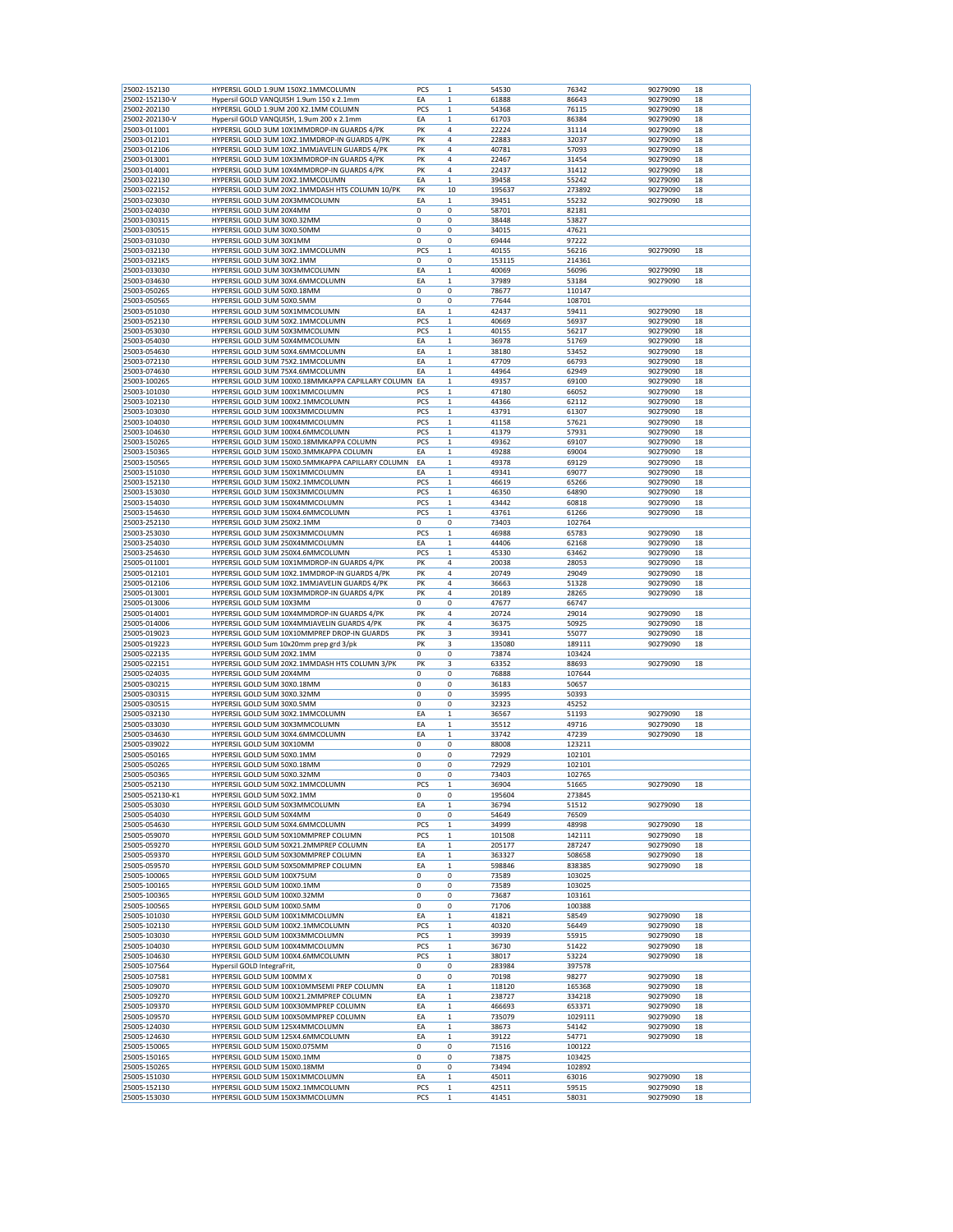|                 |                                                       | PCS         |              |        |         |          |    |
|-----------------|-------------------------------------------------------|-------------|--------------|--------|---------|----------|----|
| 25002-152130    | HYPERSIL GOLD 1.9UM 150X2.1MMCOLUMN                   |             | 1            | 54530  | 76342   | 90279090 | 18 |
| 25002-152130-V  | Hypersil GOLD VANQUISH 1.9um 150 x 2.1mm              | EA          | 1            | 61888  | 86643   | 90279090 | 18 |
| 25002-202130    | HYPERSIL GOLD 1.9UM 200 X2.1MM COLUMN                 | PCS         | $\mathbf 1$  | 54368  | 76115   | 90279090 | 18 |
| 25002-202130-V  | Hypersil GOLD VANQUISH, 1.9um 200 x 2.1mm             | EA          | $\mathbf 1$  | 61703  | 86384   | 90279090 | 18 |
|                 | HYPERSIL GOLD 3UM 10X1MMDROP-IN GUARDS 4/PK           | PK          | 4            |        |         |          | 18 |
| 25003-011001    |                                                       |             |              | 22224  | 31114   | 90279090 |    |
| 25003-012101    | HYPERSIL GOLD 3UM 10X2.1MMDROP-IN GUARDS 4/PK         | PK          | 4            | 22883  | 32037   | 90279090 | 18 |
| 25003-012106    | HYPERSIL GOLD 3UM 10X2.1MMJAVELIN GUARDS 4/PK         | PK          | 4            | 40781  | 57093   | 90279090 | 18 |
| 25003-013001    | HYPERSIL GOLD 3UM 10X3MMDROP-IN GUARDS 4/PK           | PK          | 4            | 22467  | 31454   | 90279090 | 18 |
|                 |                                                       |             |              |        |         |          |    |
| 25003-014001    | HYPERSIL GOLD 3UM 10X4MMDROP-IN GUARDS 4/PK           | PK          | 4            | 22437  | 31412   | 90279090 | 18 |
| 25003-022130    | HYPERSIL GOLD 3UM 20X2.1MMCOLUMN                      | EA          | 1            | 39458  | 55242   | 90279090 | 18 |
| 25003-022152    | HYPERSIL GOLD 3UM 20X2.1MMDASH HTS COLUMN 10/PK       | PK          | 10           | 195637 | 273892  | 90279090 | 18 |
| 25003-023030    | HYPERSIL GOLD 3UM 20X3MMCOLUMN                        | EA          | $\mathbf{1}$ | 39451  | 55232   | 90279090 | 18 |
|                 |                                                       |             |              |        |         |          |    |
| 25003-024030    | HYPERSIL GOLD 3UM 20X4MM                              | 0           | 0            | 58701  | 82181   |          |    |
| 25003-030315    | HYPERSIL GOLD 3UM 30X0.32MM                           | 0           | 0            | 38448  | 53827   |          |    |
| 25003-030515    | HYPERSIL GOLD 3UM 30X0.50MM                           | 0           | 0            | 34015  | 47621   |          |    |
| 25003-031030    | HYPERSIL GOLD 3UM 30X1MM                              | o           | 0            | 69444  | 97222   |          |    |
|                 |                                                       |             |              |        |         |          |    |
| 25003-032130    | HYPERSIL GOLD 3UM 30X2.1MMCOLUMN                      | PCS         | $\mathbf 1$  | 40155  | 56216   | 90279090 | 18 |
| 25003-0321K5    | HYPERSIL GOLD 3UM 30X2.1MM                            | 0           | 0            | 153115 | 214361  |          |    |
| 25003-033030    | HYPERSIL GOLD 3UM 30X3MMCOLUMN                        | ΕA          | $\mathbf 1$  | 40069  | 56096   | 90279090 | 18 |
|                 |                                                       |             |              |        |         |          |    |
| 25003-034630    | HYPERSIL GOLD 3UM 30X4.6MMCOLUMN                      | ΕA          | 1            | 37989  | 53184   | 90279090 | 18 |
| 25003-050265    | HYPERSIL GOLD 3UM 50X0.18MM                           | 0           | 0            | 78677  | 110147  |          |    |
| 25003-050565    | HYPERSIL GOLD 3UM 50X0.5MM                            | 0           | 0            | 77644  | 108701  |          |    |
| 25003-051030    | HYPERSIL GOLD 3UM 50X1MMCOLUMN                        | ΕA          | 1            | 42437  | 59411   | 90279090 | 18 |
|                 |                                                       |             |              |        |         |          |    |
| 25003-052130    | HYPERSIL GOLD 3UM 50X2.1MMCOLUMN                      | PCS         | $\mathbf 1$  | 40669  | 56937   | 90279090 | 18 |
| 25003-053030    | HYPERSIL GOLD 3UM 50X3MMCOLUMN                        | PCS         | $\mathbf 1$  | 40155  | 56217   | 90279090 | 18 |
| 25003-054030    | HYPERSIL GOLD 3UM 50X4MMCOLUMN                        | ΕA          | 1            | 36978  | 51769   | 90279090 | 18 |
|                 |                                                       |             |              |        |         |          |    |
| 25003-054630    | HYPERSIL GOLD 3UM 50X4.6MMCOLUMN                      | EA          | $\mathbf 1$  | 38180  | 53452   | 90279090 | 18 |
| 25003-072130    | HYPERSIL GOLD 3UM 75X2.1MMCOLUMN                      | EA          | $\mathbf 1$  | 47709  | 66793   | 90279090 | 18 |
| 25003-074630    | HYPERSIL GOLD 3UM 75X4.6MMCOLUMN                      | EA          | $\mathbf 1$  | 44964  | 62949   | 90279090 | 18 |
|                 |                                                       |             |              |        |         |          | 18 |
| 25003-100265    | HYPERSIL GOLD 3UM 100X0.18MMKAPPA CAPILLARY COLUMN EA |             | 1            | 49357  | 69100   | 90279090 |    |
| 25003-101030    | HYPERSIL GOLD 3UM 100X1MMCOLUMN                       | PCS         | $\mathbf 1$  | 47180  | 66052   | 90279090 | 18 |
| 25003-102130    | HYPERSIL GOLD 3UM 100X2.1MMCOLUMN                     | PCS         | $\mathbf 1$  | 44366  | 62112   | 90279090 | 18 |
|                 |                                                       |             |              |        | 61307   | 90279090 |    |
| 25003-103030    | HYPERSIL GOLD 3UM 100X3MMCOLUMN                       | PCS         | $\mathbf 1$  | 43791  |         |          | 18 |
| 25003-104030    | HYPERSIL GOLD 3UM 100X4MMCOLUMN                       | PCS         | $\mathbf 1$  | 41158  | 57621   | 90279090 | 18 |
| 25003-104630    | HYPERSIL GOLD 3UM 100X4.6MMCOLUMN                     | PCS         | 1            | 41379  | 57931   | 90279090 | 18 |
|                 |                                                       | PCS         |              |        |         | 90279090 | 18 |
| 25003-150265    | HYPERSIL GOLD 3UM 150X0.18MMKAPPA COLUMN              |             | 1            | 49362  | 69107   |          |    |
| 25003-150365    | HYPERSIL GOLD 3UM 150X0.3MMKAPPA COLUMN               | EA          | $\mathbf 1$  | 49288  | 69004   | 90279090 | 18 |
| 25003-150565    | HYPERSIL GOLD 3UM 150X0.5MMKAPPA CAPILLARY COLUMN     | EA          | $\mathbf 1$  | 49378  | 69129   | 90279090 | 18 |
| 25003-151030    | HYPERSIL GOLD 3UM 150X1MMCOLUMN                       | ΕA          | 1            | 49341  | 69077   | 90279090 | 18 |
|                 |                                                       |             |              |        |         |          |    |
| 25003-152130    | HYPERSIL GOLD 3UM 150X2.1MMCOLUMN                     | PCS         | $\mathbf 1$  | 46619  | 65266   | 90279090 | 18 |
| 25003-153030    | HYPERSIL GOLD 3UM 150X3MMCOLUMN                       | PCS         | 1            | 46350  | 64890   | 90279090 | 18 |
|                 |                                                       |             |              |        |         |          |    |
| 25003-154030    | HYPERSIL GOLD 3UM 150X4MMCOLUMN                       | PCS         | $\mathbf 1$  | 43442  | 60818   | 90279090 | 18 |
| 25003-154630    | HYPERSIL GOLD 3UM 150X4.6MMCOLUMN                     | PCS         | $\mathbf 1$  | 43761  | 61266   | 90279090 | 18 |
| 25003-252130    | HYPERSIL GOLD 3UM 250X2.1MM                           | 0           | 0            | 73403  | 102764  |          |    |
| 25003-253030    | HYPERSIL GOLD 3UM 250X3MMCOLUMN                       | PCS         | 1            | 46988  | 65783   | 90279090 | 18 |
|                 |                                                       |             |              |        |         |          |    |
| 25003-254030    | HYPERSIL GOLD 3UM 250X4MMCOLUMN                       | ΕA          | $\mathbf 1$  | 44406  | 62168   | 90279090 | 18 |
| 25003-254630    | HYPERSIL GOLD 3UM 250X4.6MMCOLUMN                     | PCS         | 1            | 45330  | 63462   | 90279090 | 18 |
| 25005-011001    | HYPERSIL GOLD 5UM 10X1MMDROP-IN GUARDS 4/PK           | PK          | 4            | 20038  | 28053   | 90279090 | 18 |
|                 |                                                       |             |              |        |         |          |    |
| 25005-012101    | HYPERSIL GOLD 5UM 10X2.1MMDROP-IN GUARDS 4/PK         | PK          | 4            | 20749  | 29049   | 90279090 | 18 |
| 25005-012106    | HYPERSIL GOLD 5UM 10X2.1MMJAVELIN GUARDS 4/PK         | PK          | 4            | 36663  | 51328   | 90279090 | 18 |
| 25005-013001    | HYPERSIL GOLD 5UM 10X3MMDROP-IN GUARDS 4/PK           | PK          | 4            | 20189  | 28265   | 90279090 | 18 |
|                 |                                                       | 0           | 0            | 47677  | 66747   |          |    |
| 25005-013006    | HYPERSIL GOLD 5UM 10X3MM                              |             |              |        |         |          |    |
| 25005-014001    | HYPERSIL GOLD 5UM 10X4MMDROP-IN GUARDS 4/PK           | PK          | 4            | 20724  | 29014   | 90279090 | 18 |
| 25005-014006    | HYPERSIL GOLD 5UM 10X4MMJAVELIN GUARDS 4/PK           | PK          | 4            | 36375  | 50925   | 90279090 | 18 |
| 25005-019023    | HYPERSIL GOLD 5UM 10X10MMPREP DROP-IN GUARDS          | PK          | 3            | 39341  | 55077   | 90279090 | 18 |
|                 |                                                       |             |              |        |         |          |    |
| 25005-019223    | HYPERSIL GOLD 5um 10x20mm prep grd 3/pk               | PK          | 3            | 135080 | 189111  | 90279090 | 18 |
| 25005-022135    | HYPERSIL GOLD 5UM 20X2.1MM                            | 0           | 0            | 73874  | 103424  |          |    |
| 25005-022151    | HYPERSIL GOLD 5UM 20X2.1MMDASH HTS COLUMN 3/PK        | PK          | 3            | 63352  | 88693   | 90279090 | 18 |
| 25005-024035    | HYPERSIL GOLD 5UM 20X4MM                              | $\mathbf 0$ | 0            | 76888  | 107644  |          |    |
|                 |                                                       |             |              |        |         |          |    |
| 25005-030215    | HYPERSIL GOLD 5UM 30X0.18MM                           | 0           | 0            | 36183  | 50657   |          |    |
| 25005-030315    | HYPERSIL GOLD 5UM 30X0.32MM                           | 0           | 0            | 35995  | 50393   |          |    |
| 25005-030515    | HYPERSIL GOLD 5UM 30X0.5MM                            | 0           | 0            | 32323  | 45252   |          |    |
|                 |                                                       |             |              |        |         |          |    |
| 25005-032130    | HYPERSIL GOLD 5UM 30X2.1MMCOLUMN                      | ΕA          | $\mathbf 1$  | 36567  | 51193   | 90279090 | 18 |
| 25005-033030    | HYPERSIL GOLD 5UM 30X3MMCOLUMN                        | ΕA          | 1            | 35512  | 49716   | 90279090 | 18 |
| 25005-034630    | HYPERSIL GOLD 5UM 30X4.6MMCOLUMN                      | EA          | $\mathbf 1$  | 33742  | 47239   | 90279090 | 18 |
|                 |                                                       |             |              |        |         |          |    |
| 25005-039022    | HYPERSIL GOLD 5UM 30X10MM                             | 0           | 0            | 88008  | 123211  |          |    |
| 25005-050165    | HYPERSIL GOLD 5UM 50X0.1MM                            | 0           | $\mathbf 0$  | 72929  | 102101  |          |    |
| 25005-050265    | HYPERSIL GOLD 5UM 50X0.18MM                           | 0           | 0            | 72929  | 102101  |          |    |
|                 |                                                       | 0           | 0            |        |         |          |    |
| 25005-050365    | HYPERSIL GOLD 5UM 50X0.32MM                           |             |              | 73403  | 102765  |          |    |
| 25005-052130    | HYPERSIL GOLD 5UM 50X2.1MMCOLUMN                      | PCS         | 1            | 36904  | 51665   | 90279090 | 18 |
| 25005-052130-K1 | HYPERSIL GOLD 5UM 50X2.1MM                            | 0           | 0            | 195604 | 273845  |          |    |
| 25005-053030    | HYPERSIL GOLD 5UM 50X3MMCOLUMN                        | EA          | 1            | 36794  | 51512   | 90279090 | 18 |
|                 |                                                       |             |              |        |         |          |    |
| 25005-054030    | HYPERSIL GOLD 5UM 50X4MM                              | 0           | 0            | 54649  | 76509   |          |    |
| 25005-054630    | HYPERSIL GOLD 5UM 50X4.6MMCOLUMN                      | PCS         | 1            | 34999  | 48998   | 90279090 | 18 |
| 25005-059070    | HYPERSIL GOLD 5UM 50X10MMPREP COLUMN                  | PCS         | $\mathbf 1$  | 101508 | 142111  | 90279090 | 18 |
| 25005-059270    | HYPERSIL GOLD 5UM 50X21.2MMPREP COLUMN                | EA          | $\mathbf 1$  | 205177 | 287247  | 90279090 | 18 |
|                 |                                                       |             |              |        |         |          |    |
| 25005-059370    | HYPERSIL GOLD 5UM 50X30MMPREP COLUMN                  | ΕA          | $\mathbf 1$  | 363327 | 508658  | 90279090 | 18 |
| 25005-059570    | HYPERSIL GOLD 5UM 50X50MMPREP COLUMN                  | EA          | $\mathbf 1$  | 598846 | 838385  | 90279090 | 18 |
| 25005-100065    | HYPERSIL GOLD 5UM 100X75UM                            | 0           | 0            | 73589  | 103025  |          |    |
| 25005-100165    | HYPERSIL GOLD 5UM 100X0.1MM                           | 0           | 0            | 73589  | 103025  |          |    |
|                 |                                                       |             |              |        |         |          |    |
| 25005-100365    | HYPERSIL GOLD 5UM 100X0.32MM                          | 0           | 0            | 73687  | 103161  |          |    |
| 25005-100565    | HYPERSIL GOLD 5UM 100X0.5MM                           | 0           | 0            | 71706  | 100388  |          |    |
| 25005-101030    | HYPERSIL GOLD 5UM 100X1MMCOLUMN                       | ΕA          | $\mathbf 1$  | 41821  | 58549   | 90279090 | 18 |
|                 |                                                       |             |              |        |         |          |    |
| 25005-102130    | HYPERSIL GOLD 5UM 100X2.1MMCOLUMN                     | PCS         | $\mathbf 1$  | 40320  | 56449   | 90279090 | 18 |
| 25005-103030    | HYPERSIL GOLD 5UM 100X3MMCOLUMN                       | PCS         | 1            | 39939  | 55915   | 90279090 | 18 |
| 25005-104030    | HYPERSIL GOLD 5UM 100X4MMCOLUMN                       | PCS         | 1            | 36730  | 51422   | 90279090 | 18 |
|                 |                                                       |             |              |        |         |          |    |
| 25005-104630    | HYPERSIL GOLD 5UM 100X4.6MMCOLUMN                     | PCS         | $\mathbf 1$  | 38017  | 53224   | 90279090 | 18 |
| 25005-107564    | Hypersil GOLD IntegraFrit,                            | 0           | 0            | 283984 | 397578  |          |    |
| 25005-107581    | HYPERSIL GOLD 5UM 100MM X                             | 0           | 0            | 70198  | 98277   | 90279090 | 18 |
| 25005-109070    | HYPERSIL GOLD 5UM 100X10MMSEMI PREP COLUMN            | EA          | $\mathbf 1$  | 118120 | 165368  | 90279090 | 18 |
|                 |                                                       |             |              |        |         |          |    |
| 25005-109270    | HYPERSIL GOLD 5UM 100X21.2MMPREP COLUMN               | ΕA          | 1            | 238727 | 334218  | 90279090 | 18 |
| 25005-109370    | HYPERSIL GOLD 5UM 100X30MMPREP COLUMN                 | ΕA          | $\mathbf 1$  | 466693 | 653371  | 90279090 | 18 |
| 25005-109570    | HYPERSIL GOLD 5UM 100X50MMPREP COLUMN                 | EA          | $\mathbf 1$  | 735079 | 1029111 | 90279090 | 18 |
|                 |                                                       |             |              |        |         |          |    |
| 25005-124030    | HYPERSIL GOLD 5UM 125X4MMCOLUMN                       | EA          | $\mathbf 1$  | 38673  | 54142   | 90279090 | 18 |
| 25005-124630    | HYPERSIL GOLD 5UM 125X4.6MMCOLUMN                     | ΕA          | $\mathbf 1$  | 39122  | 54771   | 90279090 | 18 |
| 25005-150065    | HYPERSIL GOLD 5UM 150X0.075MM                         | 0           | 0            | 71516  | 100122  |          |    |
|                 |                                                       |             |              |        |         |          |    |
| 25005-150165    | HYPERSIL GOLD 5UM 150X0.1MM                           | 0           | 0            | 73875  | 103425  |          |    |
| 25005-150265    | HYPERSIL GOLD 5UM 150X0.18MM                          | 0           | 0            | 73494  | 102892  |          |    |
| 25005-151030    | HYPERSIL GOLD 5UM 150X1MMCOLUMN                       | ΕA          | 1            | 45011  | 63016   | 90279090 | 18 |
| 25005-152130    | HYPERSIL GOLD 5UM 150X2.1MMCOLUMN                     | PCS         | $\mathbf 1$  | 42511  | 59515   | 90279090 | 18 |
|                 |                                                       |             |              |        |         |          |    |
| 25005-153030    | HYPERSIL GOLD 5UM 150X3MMCOLUMN                       | PCS         | $\mathbf 1$  | 41451  | 58031   | 90279090 | 18 |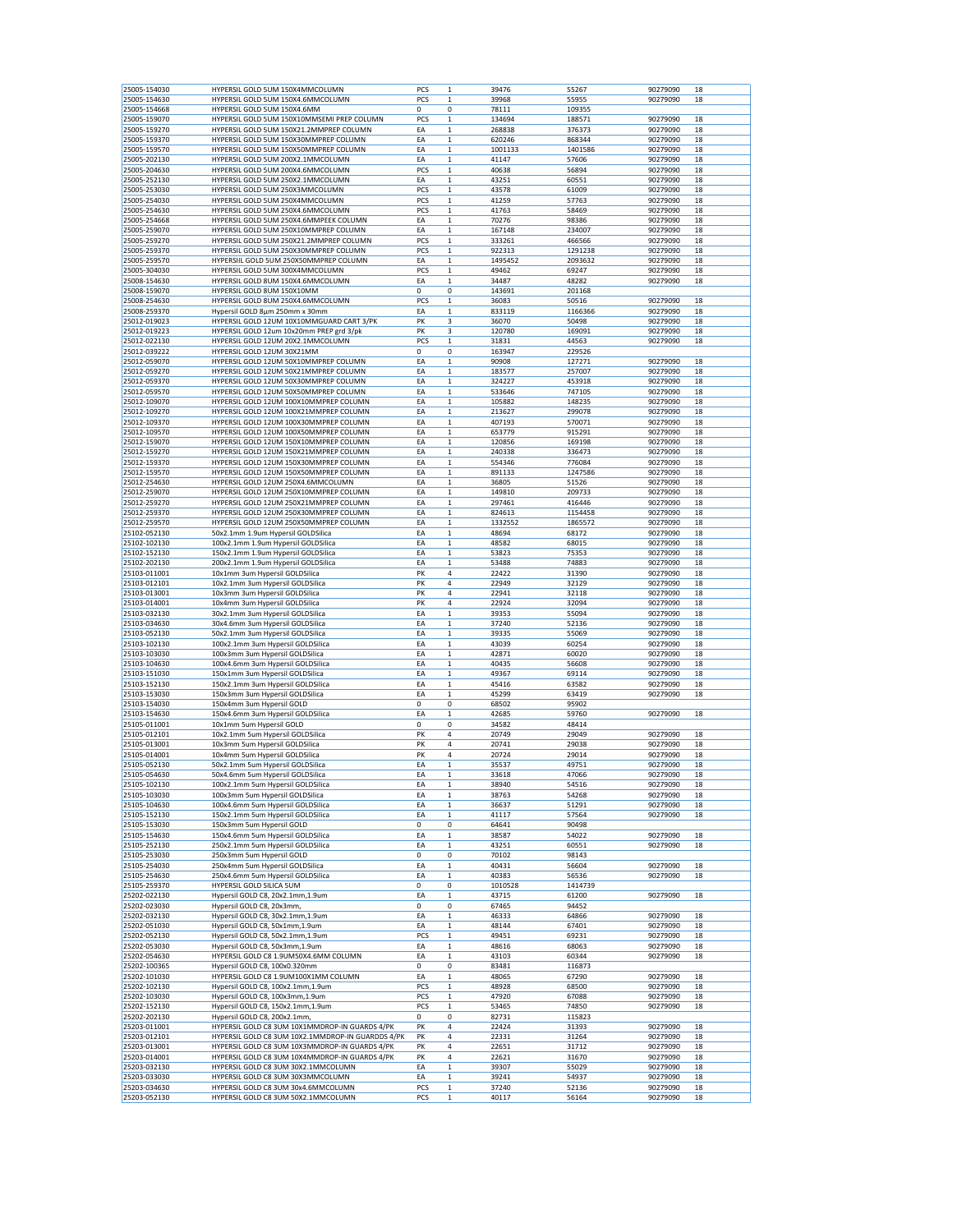| 25005-154030                 |                                                                            |            |             |                |                |                      |
|------------------------------|----------------------------------------------------------------------------|------------|-------------|----------------|----------------|----------------------|
|                              | HYPERSIL GOLD 5UM 150X4MMCOLUMN                                            | PCS        | 1           | 39476          | 55267          | 90279090             |
| 25005-154630                 | HYPERSIL GOLD 5UM 150X4.6MMCOLUMN                                          | PCS        | $\mathbf 1$ | 39968          | 55955          | 90279090             |
| 25005-154668                 | HYPERSIL GOLD 5UM 150X4.6MM                                                | 0          | 0           | 78111          | 109355         |                      |
|                              |                                                                            |            |             |                |                |                      |
| 25005-159070                 | HYPERSIL GOLD 5UM 150X10MMSEMI PREP COLUMN                                 | PCS        | 1           | 134694         | 188571         | 90279090             |
| 25005-159270                 | HYPERSIL GOLD 5UM 150X21.2MMPREP COLUMN                                    | ΕA         | 1           | 268838         | 376373         | 90279090             |
| 25005-159370                 | HYPERSIL GOLD 5UM 150X30MMPREP COLUMN                                      | EA         | $\mathbf 1$ | 620246         | 868344         | 90279090             |
|                              |                                                                            |            |             |                |                |                      |
| 25005-159570                 | HYPERSIL GOLD 5UM 150X50MMPREP COLUMN                                      | ΕA         | $\mathbf 1$ | 1001133        | 1401586        | 90279090             |
| 25005-202130                 | HYPERSIL GOLD 5UM 200X2.1MMCOLUMN                                          | ΕA         | $\mathbf 1$ | 41147          | 57606          | 90279090             |
|                              |                                                                            |            | $\mathbf 1$ | 40638          | 56894          | 90279090             |
| 25005-204630                 | HYPERSIL GOLD 5UM 200X4.6MMCOLUMN                                          | PCS        |             |                |                |                      |
| 25005-252130                 | HYPERSIL GOLD 5UM 250X2.1MMCOLUMN                                          | ΕA         | 1           | 43251          | 60551          | 90279090             |
| 25005-253030                 | HYPERSIL GOLD 5UM 250X3MMCOLUMN                                            | PCS        | 1           | 43578          | 61009          | 90279090             |
|                              |                                                                            |            |             |                |                |                      |
| 25005-254030                 | HYPERSIL GOLD 5UM 250X4MMCOLUMN                                            | PCS        | $\mathbf 1$ | 41259          | 57763          | 90279090             |
| 25005-254630                 | HYPERSIL GOLD 5UM 250X4.6MMCOLUMN                                          | PCS        | $\mathbf 1$ | 41763          | 58469          | 90279090             |
| 25005-254668                 | HYPERSIL GOLD 5UM 250X4.6MMPEEK COLUMN                                     | ΕA         | $\mathbf 1$ | 70276          | 98386          | 90279090             |
|                              |                                                                            |            |             |                |                |                      |
| 25005-259070                 | HYPERSIL GOLD 5UM 250X10MMPREP COLUMN                                      | EA         | $\mathbf 1$ | 167148         | 234007         | 90279090             |
| 25005-259270                 | HYPERSIL GOLD 5UM 250X21.2MMPREP COLUMN                                    | PCS        | 1           | 333261         | 466566         | 90279090             |
|                              |                                                                            |            |             |                |                | 90279090             |
| 25005-259370                 | HYPERSIL GOLD 5UM 250X30MMPREP COLUMN                                      | PCS        | $\mathbf 1$ | 922313         | 1291238        |                      |
| 25005-259570                 | HYPERSIIL GOLD 5UM 250X50MMPREP COLUMN                                     | EA         | $\mathbf 1$ | 1495452        | 2093632        | 90279090             |
| 25005-304030                 | HYPERSIL GOLD 5UM 300X4MMCOLUMN                                            | PCS        | $\mathbf 1$ | 49462          | 69247          | 90279090             |
|                              |                                                                            |            |             |                |                |                      |
| 25008-154630                 | HYPERSIL GOLD 8UM 150X4.6MMCOLUMN                                          | ΕA         | $\mathbf 1$ | 34487          | 48282          | 90279090             |
| 25008-159070                 | HYPERSIL GOLD 8UM 150X10MM                                                 | 0          | 0           | 143691         | 201168         |                      |
| 25008-254630                 | HYPERSIL GOLD 8UM 250X4.6MMCOLUMN                                          | PCS        | 1           | 36083          | 50516          | 90279090             |
|                              |                                                                            |            |             |                |                |                      |
| 25008-259370                 | Hypersil GOLD 8µm 250mm x 30mm                                             | ΕA         | 1           | 833119         | 1166366        | 90279090             |
| 25012-019023                 | HYPERSIL GOLD 12UM 10X10MMGUARD CART 3/PK                                  | PK         | 3           | 36070          | 50498          | 90279090             |
| 25012-019223                 | HYPERSIL GOLD 12um 10x20mm PREP grd 3/pk                                   | PK         | 3           | 120780         | 169091         | 90279090             |
|                              |                                                                            |            |             |                |                |                      |
| 25012-022130                 | HYPERSIL GOLD 12UM 20X2.1MMCOLUMN                                          | PCS        | $\mathbf 1$ | 31831          | 44563          | 90279090             |
| 25012-039222                 | HYPERSIL GOLD 12UM 30X21MM                                                 | 0          | 0           | 163947         | 229526         |                      |
|                              |                                                                            |            |             |                |                |                      |
| 25012-059070                 | HYPERSIL GOLD 12UM 50X10MMPREP COLUMN                                      | EA         | $\mathbf 1$ | 90908          | 127271         | 90279090             |
| 25012-059270                 | HYPERSIL GOLD 12UM 50X21MMPREP COLUMN                                      | ΕA         | 1           | 183577         | 257007         | 90279090             |
| 25012-059370                 | HYPERSIL GOLD 12UM 50X30MMPREP COLUMN                                      | ΕA         | 1           | 324227         | 453918         | 90279090             |
|                              |                                                                            |            |             |                |                |                      |
| 25012-059570                 | HYPERSIL GOLD 12UM 50X50MMPREP COLUMN                                      | EA         | $\mathbf 1$ | 533646         | 747105         | 90279090             |
| 25012-109070                 | HYPERSIL GOLD 12UM 100X10MMPREP COLUMN                                     | ΕA         | $\mathbf 1$ | 105882         | 148235         | 90279090             |
|                              |                                                                            |            |             |                |                |                      |
| 25012-109270                 | HYPERSIL GOLD 12UM 100X21MMPREP COLUMN                                     | ΕA         | $\mathbf 1$ | 213627         | 299078         | 90279090             |
| 25012-109370                 | HYPERSIL GOLD 12UM 100X30MMPREP COLUMN                                     | EA         | $\mathbf 1$ | 407193         | 570071         | 90279090             |
| 25012-109570                 | HYPERSIL GOLD 12UM 100X50MMPREP COLUMN                                     | ΕA         | 1           | 653779         | 915291         | 90279090             |
|                              |                                                                            |            |             |                |                |                      |
| 25012-159070                 | HYPERSIL GOLD 12UM 150X10MMPREP COLUMN                                     | ΕA         | 1           | 120856         | 169198         | 90279090             |
| 25012-159270                 | HYPERSIL GOLD 12UM 150X21MMPREP COLUMN                                     | EA         | $\mathbf 1$ | 240338         | 336473         | 90279090             |
|                              |                                                                            |            |             |                |                |                      |
| 25012-159370                 | HYPERSIL GOLD 12UM 150X30MMPREP COLUMN                                     | ΕA         | $\mathbf 1$ | 554346         | 776084         | 90279090             |
| 25012-159570                 | HYPERSIL GOLD 12UM 150X50MMPREP COLUMN                                     | ΕA         | $\mathbf 1$ | 891133         | 1247586        | 90279090             |
| 25012-254630                 | HYPERSIL GOLD 12UM 250X4.6MMCOLUMN                                         | EA         | $\mathbf 1$ | 36805          | 51526          | 90279090             |
|                              |                                                                            |            |             |                |                |                      |
| 25012-259070                 | HYPERSIL GOLD 12UM 250X10MMPREP COLUMN                                     | ΕA         | 1           | 149810         | 209733         | 90279090             |
| 25012-259270                 | HYPERSIL GOLD 12UM 250X21MMPREP COLUMN                                     | ΕA         | $\mathbf 1$ | 297461         | 416446         | 90279090             |
|                              |                                                                            |            |             |                |                |                      |
| 25012-259370                 | HYPERSIL GOLD 12UM 250X30MMPREP COLUMN                                     | EA         | $\mathbf 1$ | 824613         | 1154458        | 90279090             |
| 25012-259570                 | HYPERSIL GOLD 12UM 250X50MMPREP COLUMN                                     | ΕA         | $\mathbf 1$ | 1332552        | 1865572        | 90279090             |
|                              |                                                                            |            | $\mathbf 1$ |                |                |                      |
| 25102-052130                 | 50x2.1mm 1.9um Hypersil GOLDSilica                                         | ΕA         |             | 48694          | 68172          | 90279090             |
| 25102-102130                 | 100x2.1mm 1.9um Hypersil GOLDSilica                                        | ΕA         | $\mathbf 1$ | 48582          | 68015          | 90279090             |
| 25102-152130                 | 150x2.1mm 1.9um Hypersil GOLDSilica                                        | ΕA         | 1           | 53823          | 75353          | 90279090             |
|                              |                                                                            |            |             |                |                |                      |
| 25102-202130                 | 200x2.1mm 1.9um Hypersil GOLDSilica                                        | ΕA         | 1           | 53488          | 74883          | 90279090             |
| 25103-011001                 | 10x1mm 3um Hypersil GOLDSilica                                             | PK         | 4           | 22422          | 31390          | 90279090             |
| 25103-012101                 | 10x2.1mm 3um Hypersil GOLDSilica                                           | PK         | 4           | 22949          | 32129          | 90279090             |
|                              |                                                                            |            |             |                |                |                      |
| 25103-013001                 | 10x3mm 3um Hypersil GOLDSilica                                             | PK         | 4           | 22941          | 32118          | 90279090             |
|                              | 10x4mm 3um Hypersil GOLDSilica                                             |            | 4           |                |                |                      |
|                              |                                                                            |            |             |                |                |                      |
| 25103-014001                 |                                                                            | PK         |             | 22924          | 32094          | 90279090             |
| 25103-032130                 | 30x2.1mm 3um Hypersil GOLDSilica                                           | EA         | $\mathbf 1$ | 39353          | 55094          | 90279090             |
| 25103-034630                 | 30x4.6mm 3um Hypersil GOLDSilica                                           | ΕA         | 1           | 37240          | 52136          | 90279090             |
|                              |                                                                            |            |             |                |                |                      |
| 25103-052130                 | 50x2.1mm 3um Hypersil GOLDSilica                                           | EA         | 1           | 39335          | 55069          | 90279090             |
| 25103-102130                 | 100x2.1mm 3um Hypersil GOLDSilica                                          | EA         | $\mathbf 1$ | 43039          | 60254          | 90279090             |
| 25103-103030                 | 100x3mm 3um Hypersil GOLDSilica                                            | ΕA         | $\mathbf 1$ | 42871          | 60020          | 90279090             |
|                              |                                                                            |            |             |                |                |                      |
| 25103-104630                 | 100x4.6mm 3um Hypersil GOLDSilica                                          | ΕA         | $\mathbf 1$ | 40435          | 56608          | 90279090             |
| 25103-151030                 | 150x1mm 3um Hypersil GOLDSilica                                            | EA         | $\mathbf 1$ | 49367          | 69114          | 90279090             |
|                              |                                                                            |            |             |                | 63582          | 90279090             |
| 25103-152130                 | 150x2.1mm 3um Hypersil GOLDSilica                                          | ΕA         | 1           | 45416          |                |                      |
| 25103-153030                 | 150x3mm 3um Hypersil GOLDSilica                                            | ΕA         | 1           | 45299          | 63419          | 90279090             |
| 25103-154030                 | 150x4mm 3um Hypersil GOLD                                                  | 0          | 0           | 68502          | 95902          |                      |
|                              |                                                                            |            |             |                |                |                      |
| 25103-154630                 | 150x4.6mm 3um Hypersil GOLDSilica                                          | EA         | $\mathbf 1$ | 42685          | 59760          | 90279090             |
| 25105-011001                 | 10x1mm 5um Hypersil GOLD                                                   | 0          | 0           | 34582          | 48414          |                      |
| 25105-012101                 | 10x2.1mm 5um Hypersil GOLDSilica                                           | PK         | 4           | 20749          | 29049          | 90279090             |
|                              |                                                                            |            |             |                |                |                      |
| 25105-013001                 | 10x3mm 5um Hypersil GOLDSilica                                             | PK         | 4           | 20741          | 29038          | 90279090             |
| 25105-014001                 | 10x4mm 5um Hypersil GOLDSilica                                             | PK         | 4           | 20724          | 29014          | 90279090             |
| 25105-052130                 |                                                                            | EA         | $\mathbf 1$ | 35537          | 49751          | 90279090             |
|                              | 50x2.1mm 5um Hypersil GOLDSilica                                           |            |             |                |                |                      |
| 25105-054630                 | 50x4.6mm 5um Hypersil GOLDSilica                                           | ΕA         | $\mathbf 1$ | 33618          | 47066          | 90279090             |
| 25105-102130                 | 100x2.1mm 5um Hypersil GOLDSilica                                          | EA         | 1           | 38940          | 54516          | 90279090             |
| 25105-103030                 | 100x3mm 5um Hypersil GOLDSilica                                            | ΕA         | $\mathbf 1$ | 38763          | 54268          | 90279090             |
|                              |                                                                            |            |             |                |                |                      |
| 25105-104630                 | 100x4.6mm 5um Hypersil GOLDSilica                                          | EA         | 1           | 36637          | 51291          | 90279090             |
| 25105-152130                 | 150x2.1mm 5um Hypersil GOLDSilica                                          | EA         | 1           | 41117          | 57564          | 90279090             |
|                              |                                                                            |            |             |                |                |                      |
| 25105-153030                 | 150x3mm 5um Hypersil GOLD                                                  | 0          | 0           | 64641          | 90498          |                      |
| 25105-154630                 | 150x4.6mm 5um Hypersil GOLDSilica                                          | EA         | $\mathbf 1$ | 38587          | 54022          | 90279090             |
| 25105-252130                 | 250x2.1mm 5um Hypersil GOLDSilica                                          | EA         | $\mathbf 1$ | 43251          | 60551          | 90279090             |
|                              |                                                                            |            |             |                |                |                      |
| 25105-253030                 | 250x3mm 5um Hypersil GOLD                                                  | 0          | 0           | 70102          | 98143          |                      |
| 25105-254030                 | 250x4mm 5um Hypersil GOLDSilica                                            | EA         | $\,1$       | 40431          | 56604          | 90279090             |
|                              |                                                                            |            |             |                |                | 90279090             |
| 25105-254630                 | 250x4.6mm 5um Hypersil GOLDSilica                                          | EA         | $\mathbf 1$ | 40383          | 56536          |                      |
| 25105-259370                 | HYPERSIL GOLD SILICA 5UM                                                   | 0          | 0           | 1010528        | 1414739        |                      |
| 25202-022130                 | Hypersil GOLD C8, 20x2.1mm,1.9um                                           | EA         | $\mathbf 1$ | 43715          | 61200          | 90279090             |
|                              |                                                                            |            |             |                |                |                      |
| 25202-023030                 | Hypersil GOLD C8, 20x3mm,                                                  | 0          | 0           | 67465          | 94452          |                      |
| 25202-032130                 | Hypersil GOLD C8, 30x2.1mm,1.9um                                           | EA         | $\mathbf 1$ | 46333          | 64866          | 90279090             |
| 25202-051030                 | Hypersil GOLD C8, 50x1mm,1.9um                                             | EA         | $\mathbf 1$ | 48144          | 67401          | 90279090             |
|                              |                                                                            |            |             |                |                |                      |
| 25202-052130                 | Hypersil GOLD C8, 50x2.1mm,1.9um                                           | PCS        | 1           | 49451          | 69231          | 90279090             |
| 25202-053030                 | Hypersil GOLD C8, 50x3mm,1.9um                                             | EA         | 1           | 48616          | 68063          | 90279090             |
|                              |                                                                            |            | $\mathbf 1$ |                |                |                      |
| 25202-054630                 | HYPERSIL GOLD C8 1.9UM50X4.6MM COLUMN                                      | EA         |             | 43103          | 60344          | 90279090             |
| 25202-100365                 | Hypersil GOLD C8, 100x0.320mm                                              | 0          | 0           | 83481          | 116873         |                      |
| 25202-101030                 | HYPERSIL GOLD C8 1.9UM100X1MM COLUMN                                       | EA         | $\mathbf 1$ | 48065          | 67290          | 90279090             |
|                              |                                                                            |            |             |                |                |                      |
| 25202-102130                 | Hypersil GOLD C8, 100x2.1mm,1.9um                                          | PCS        | $\,1$       | 48928          | 68500          | 90279090             |
| 25202-103030                 | Hypersil GOLD C8, 100x3mm,1.9um                                            | PCS        | 1           | 47920          | 67088          | 90279090             |
|                              |                                                                            |            |             |                |                |                      |
| 25202-152130                 | Hypersil GOLD C8, 150x2.1mm,1.9um                                          | PCS        | 1           | 53465          | 74850          | 90279090             |
| 25202-202130                 | Hypersil GOLD C8, 200x2.1mm,                                               | 0          | 0           | 82731          | 115823         |                      |
| 25203-011001                 | HYPERSIL GOLD C8 3UM 10X1MMDROP-IN GUARDS 4/PK                             | PK         | 4           | 22424          | 31393          | 90279090             |
|                              |                                                                            |            |             |                |                |                      |
| 25203-012101                 | HYPERSIL GOLD C8 3UM 10X2.1MMDROP-IN GUARDDS 4/PK                          | PΚ         | 4           | 22331          | 31264          | 90279090             |
| 25203-013001                 | HYPERSIL GOLD C8 3UM 10X3MMDROP-IN GUARDS 4/PK                             | PΚ         | 4           | 22651          | 31712          | 90279090             |
|                              | HYPERSIL GOLD C8 3UM 10X4MMDROP-IN GUARDS 4/PK                             | PK         | 4           |                | 31670          | 90279090             |
| 25203-014001                 |                                                                            |            |             | 22621          |                |                      |
| 25203-032130                 | HYPERSIL GOLD C8 3UM 30X2.1MMCOLUMN                                        | ΕA         | 1           | 39307          | 55029          | 90279090             |
| 25203-033030                 | HYPERSIL GOLD C8 3UM 30X3MMCOLUMN                                          | ΕA         | 1           | 39241          | 54937          | 90279090             |
|                              |                                                                            |            | $\mathbf 1$ |                |                |                      |
| 25203-034630<br>25203-052130 | HYPERSIL GOLD C8 3UM 30x4.6MMCOLUMN<br>HYPERSIL GOLD C8 3UM 50X2.1MMCOLUMN | PCS<br>PCS | $\mathbf 1$ | 37240<br>40117 | 52136<br>56164 | 90279090<br>90279090 |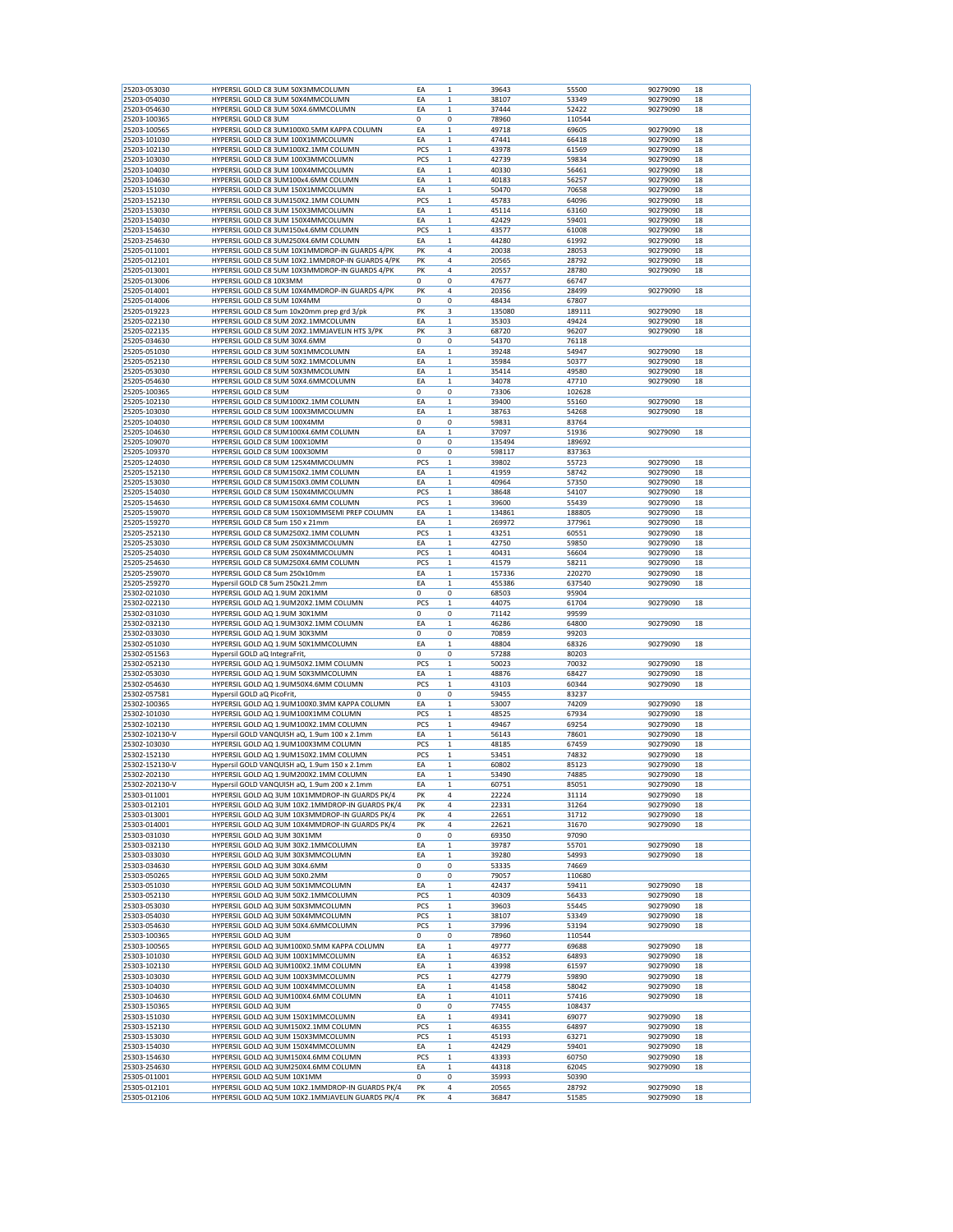| 25203-053030                 | HYPERSIL GOLD C8 3UM 50X3MMCOLUMN                                               | EA         | $\mathbf{1}$               | 39643          | 55500          | 90279090             | 18       |
|------------------------------|---------------------------------------------------------------------------------|------------|----------------------------|----------------|----------------|----------------------|----------|
| 25203-054030                 | HYPERSIL GOLD C8 3UM 50X4MMCOLUMN                                               | ΕA         | 1                          | 38107          | 53349          | 90279090             | 18       |
| 25203-054630                 | HYPERSIL GOLD C8 3UM 50X4.6MMCOLUMN                                             | EA         | $\mathbf 1$                | 37444          | 52422          | 90279090             | 18       |
| 25203-100365                 | HYPERSIL GOLD C8 3UM                                                            | 0          | 0                          | 78960          | 110544         |                      |          |
| 25203-100565                 | HYPERSIL GOLD C8 3UM100X0.5MM KAPPA COLUMN                                      | ΕA         | $\mathbf 1$                | 49718          | 69605          | 90279090             | 18       |
| 25203-101030                 | HYPERSIL GOLD C8 3UM 100X1MMCOLUMN                                              | EA         | $\mathbf{1}$               | 47441          | 66418          | 90279090             | 18       |
| 25203-102130                 | HYPERSIL GOLD C8 3UM100X2.1MM COLUMN<br>HYPERSIL GOLD C8 3UM 100X3MMCOLUMN      | PCS        | $\mathbf 1$                | 43978          | 61569          | 90279090             | 18       |
| 25203-103030<br>25203-104030 | HYPERSIL GOLD C8 3UM 100X4MMCOLUMN                                              | PCS<br>ΕA  | $\mathbf 1$<br>1           | 42739<br>40330 | 59834<br>56461 | 90279090<br>90279090 | 18<br>18 |
| 25203-104630                 | HYPERSIL GOLD C8 3UM100x4.6MM COLUMN                                            | EA         | $\mathbf 1$                | 40183          | 56257          | 90279090             | 18       |
| 25203-151030                 | HYPERSIL GOLD C8 3UM 150X1MMCOLUMN                                              | EA         | 1                          | 50470          | 70658          | 90279090             | 18       |
| 25203-152130                 | HYPERSIL GOLD C8 3UM150X2.1MM COLUMN                                            | PCS        | $\mathbf{1}$               | 45783          | 64096          | 90279090             | 18       |
| 25203-153030                 | HYPERSIL GOLD C8 3UM 150X3MMCOLUMN                                              | EA         | $\mathbf 1$                | 45114          | 63160          | 90279090             | 18       |
| 25203-154030                 | HYPERSIL GOLD C8 3UM 150X4MMCOLUMN                                              | ΕA         | $\mathbf 1$                | 42429          | 59401          | 90279090             | 18       |
| 25203-154630                 | HYPERSIL GOLD C8 3UM150x4.6MM COLUMN                                            | PCS        | 1                          | 43577          | 61008          | 90279090             | 18       |
| 25203-254630                 | HYPERSIL GOLD C8 3UM250X4.6MM COLUMN                                            | EA         | $\mathbf 1$                | 44280          | 61992          | 90279090             | 18       |
| 25205-011001                 | HYPERSIL GOLD C8 5UM 10X1MMDROP-IN GUARDS 4/PK                                  | PK         | 4                          | 20038          | 28053          | 90279090             | 18       |
| 25205-012101                 | HYPERSIL GOLD C8 5UM 10X2.1MMDROP-IN GUARDS 4/PK                                | PK         | 4                          | 20565          | 28792          | 90279090             | 18       |
| 25205-013001                 | HYPERSIL GOLD C8 5UM 10X3MMDROP-IN GUARDS 4/PK                                  | PK         | 4                          | 20557          | 28780          | 90279090             | 18       |
| 25205-013006                 | HYPERSIL GOLD C8 10X3MM                                                         | $\Omega$   | 0                          | 47677          | 66747          |                      |          |
| 25205-014001                 | HYPERSIL GOLD C8 5UM 10X4MMDROP-IN GUARDS 4/PK                                  | PK         | 4                          | 20356          | 28499          | 90279090             | 18       |
| 25205-014006                 | HYPERSIL GOLD C8 5UM 10X4MM                                                     | 0          | 0                          | 48434          | 67807          |                      |          |
| 25205-019223                 | HYPERSIL GOLD C8 5um 10x20mm prep grd 3/pk                                      | PK         | 3                          | 135080         | 189111         | 90279090             | 18       |
| 25205-022130                 | HYPERSIL GOLD C8 5UM 20X2.1MMCOLUMN                                             | ΕA         | 1                          | 35303          | 49424          | 90279090             | 18       |
| 25205-022135                 | HYPERSIL GOLD C8 5UM 20X2.1MMJAVELIN HTS 3/PK                                   | PK         | 3                          | 68720          | 96207          | 90279090             | 18       |
| 25205-034630                 | HYPERSIL GOLD C8 5UM 30X4.6MM                                                   | 0          | 0                          | 54370          | 76118          |                      |          |
| 25205-051030                 | HYPERSIL GOLD C8 3UM 50X1MMCOLUMN<br>HYPERSIL GOLD C8 5UM 50X2.1MMCOLUMN        | ΕA<br>EA   | 1<br>$\mathbf 1$           | 39248<br>35984 | 54947<br>50377 | 90279090<br>90279090 | 18<br>18 |
| 25205-052130                 |                                                                                 |            |                            |                |                |                      |          |
| 25205-053030<br>25205-054630 | HYPERSIL GOLD C8 5UM 50X3MMCOLUMN<br>HYPERSIL GOLD C8 5UM 50X4.6MMCOLUMN        | EA<br>ΕA   | 1<br>$\mathbf 1$           | 35414<br>34078 | 49580<br>47710 | 90279090<br>90279090 | 18<br>18 |
| 25205-100365                 | <b>HYPERSIL GOLD C8 5UM</b>                                                     | 0          | 0                          | 73306          | 102628         |                      |          |
| 25205-102130                 | HYPERSIL GOLD C8 5UM100X2.1MM COLUMN                                            | EA         | $\mathbf 1$                | 39400          | 55160          | 90279090             | 18       |
| 25205-103030                 | HYPERSIL GOLD C8 5UM 100X3MMCOLUMN                                              | ΕA         | $\mathbf 1$                | 38763          | 54268          | 90279090             | 18       |
| 25205-104030                 | HYPERSIL GOLD C8 5UM 100X4MM                                                    | 0          | 0                          | 59831          | 83764          |                      |          |
| 25205-104630                 | HYPERSIL GOLD C8 5UM100X4.6MM COLUMN                                            | EA         | $\mathbf 1$                | 37097          | 51936          | 90279090             | 18       |
| 25205-109070                 | HYPERSIL GOLD C8 5UM 100X10MM                                                   | 0          | 0                          | 135494         | 189692         |                      |          |
| 25205-109370                 | HYPERSIL GOLD C8 5UM 100X30MM                                                   | 0          | 0                          | 598117         | 837363         |                      |          |
| 25205-124030                 | HYPERSIL GOLD C8 5UM 125X4MMCOLUMN                                              | PCS        | $\mathbf 1$                | 39802          | 55723          | 90279090             | 18       |
| 25205-152130                 | HYPERSIL GOLD C8 5UM150X2.1MM COLUMN                                            | ΕA         | $\mathbf 1$                | 41959          | 58742          | 90279090             | 18       |
| 25205-153030                 | HYPERSIL GOLD C8 5UM150X3.0MM COLUMN                                            | EA         | 1                          | 40964          | 57350          | 90279090             | 18       |
| 25205-154030                 | HYPERSIL GOLD C8 5UM 150X4MMCOLUMN                                              | PCS        | $\mathbf 1$                | 38648          | 54107          | 90279090             | 18       |
| 25205-154630                 | HYPERSIL GOLD C8 5UM150X4.6MM COLUMN                                            | PCS        | 1                          | 39600          | 55439          | 90279090             | 18       |
| 25205-159070                 | HYPERSIL GOLD C8 5UM 150X10MMSEMI PREP COLUMN                                   | EA         | 1                          | 134861         | 188805         | 90279090             | 18       |
| 25205-159270                 | HYPERSIL GOLD C8 5um 150 x 21mm                                                 | EA         | $\mathbf 1$                | 269972         | 377961         | 90279090             | 18       |
| 25205-252130                 | HYPERSIL GOLD C8 5UM250X2.1MM COLUMN                                            | PCS        | $\mathbf 1$                | 43251          | 60551          | 90279090             | 18       |
| 25205-253030                 | HYPERSIL GOLD C8 5UM 250X3MMCOLUMN                                              | EA         | $\mathbf 1$                | 42750          | 59850          | 90279090             | 18       |
| 25205-254030                 | HYPERSIL GOLD C8 5UM 250X4MMCOLUMN                                              | PCS        | $\mathbf 1$                | 40431          | 56604          | 90279090             | 18       |
| 25205-254630                 | HYPERSIL GOLD C8 5UM250X4.6MM COLUMN                                            | PCS        | 1                          | 41579          | 58211          | 90279090             | 18       |
| 25205-259070                 | HYPERSIL GOLD C8 5um 250x10mm                                                   | EA         | $\mathbf 1$                | 157336         | 220270         | 90279090             | 18       |
| 25205-259270                 | Hypersil GOLD C8 5um 250x21.2mm                                                 | EA         | $\mathbf{1}$               | 455386         | 637540         | 90279090             | 18       |
|                              | HYPERSIL GOLD AQ 1.9UM 20X1MM                                                   | $\Omega$   |                            |                |                |                      |          |
| 25302-021030                 |                                                                                 |            | 0                          | 68503          | 95904          |                      |          |
| 25302-022130                 | HYPERSIL GOLD AQ 1.9UM20X2.1MM COLUMN                                           | PCS        | 1                          | 44075          | 61704          | 90279090             | 18       |
| 25302-031030                 | HYPERSIL GOLD AQ 1.9UM 30X1MM                                                   | 0          | 0                          | 71142          | 99599          |                      |          |
| 25302-032130                 | HYPERSIL GOLD AQ 1.9UM30X2.1MM COLUMN                                           | ΕA         | 1                          | 46286          | 64800          | 90279090             | 18       |
| 25302-033030                 | HYPERSIL GOLD AQ 1.9UM 30X3MM                                                   | 0          | 0                          | 70859          | 99203          |                      |          |
| 25302-051030                 | HYPERSIL GOLD AQ 1.9UM 50X1MMCOLUMN                                             | EA         | $\mathbf{1}$               | 48804          | 68326          | 90279090             | 18       |
| 25302-051563                 | Hypersil GOLD aQ IntegraFrit,                                                   | 0          | 0                          | 57288          | 80203          |                      |          |
| 25302-052130                 | HYPERSIL GOLD AQ 1.9UM50X2.1MM COLUMN                                           | PCS        | $\mathbf 1$                | 50023          | 70032          | 90279090             | 18       |
| 25302-053030                 | HYPERSIL GOLD AQ 1.9UM 50X3MMCOLUMN                                             | EA         | 1                          | 48876          | 68427<br>60344 | 90279090             | 18       |
| 25302-054630                 | HYPERSIL GOLD AQ 1.9UM50X4.6MM COLUMN                                           | PCS<br>0   | $\mathbf 1$                | 43103          |                | 90279090             | 18       |
| 25302-057581                 | Hypersil GOLD aQ PicoFrit,                                                      | EA         | 0                          | 59455          | 83237          | 90279090             | 18       |
| 25302-100365<br>25302-101030 | HYPERSIL GOLD AQ 1.9UM100X0.3MM KAPPA COLUMN                                    |            | 1<br>$\mathbf 1$           | 53007<br>48525 | 74209<br>67934 | 90279090             | 18       |
| 25302-102130                 | HYPERSIL GOLD AQ 1.9UM100X1MM COLUMN<br>HYPERSIL GOLD AQ 1.9UM100X2.1MM COLUMN  | PCS<br>PCS | 1                          | 49467          | 69254          | 90279090             | 18       |
| 25302-102130-V               | Hypersil GOLD VANQUISH aQ, 1.9um 100 x 2.1mm                                    | EA         | 1                          | 56143          | 78601          | 90279090             | 18       |
| 25302-103030                 | HYPERSIL GOLD AQ 1.9UM100X3MM COLUMN                                            | PCS        | $\mathbf 1$                | 48185          | 67459          | 90279090             | 18       |
| 25302-152130                 | HYPERSIL GOLD AQ 1.9UM150X2.1MM COLUMN                                          | PCS        | 1                          | 53451          | 74832          | 90279090             | 18       |
| 25302-152130-V               | Hypersil GOLD VANQUISH aQ, 1.9um 150 x 2.1mm                                    | EA         | 1                          | 60802          | 85123          | 90279090             | 18       |
| 25302-202130                 | HYPERSIL GOLD AQ 1.9UM200X2.1MM COLUMN                                          | EA         | $\mathbf 1$                | 53490          | 74885          | 90279090             | 18       |
| 25302-202130-V               | Hypersil GOLD VANQUISH aQ, 1.9um 200 x 2.1mm                                    | EA         | 1                          | 60751          | 85051          | 90279090             | 18       |
| 25303-011001                 | HYPERSIL GOLD AQ 3UM 10X1MMDROP-IN GUARDS PK/4                                  | PΚ         | 4                          | 22224          | 31114          | 90279090             | 18       |
| 25303-012101                 | HYPERSIL GOLD AQ 3UM 10X2.1MMDROP-IN GUARDS PK/4                                | PK         | 4                          | 22331          | 31264          | 90279090             | 18       |
| 25303-013001                 | HYPERSIL GOLD AQ 3UM 10X3MMDROP-IN GUARDS PK/4                                  | PK         | 4                          | 22651          | 31712          | 90279090             | 18       |
| 25303-014001                 | HYPERSIL GOLD AQ 3UM 10X4MMDROP-IN GUARDS PK/4                                  | PK         | 4                          | 22621          | 31670          | 90279090             | 18       |
| 25303-031030                 | HYPERSIL GOLD AQ 3UM 30X1MM                                                     | 0          | 0                          | 69350          | 97090          |                      |          |
| 25303-032130                 | HYPERSIL GOLD AQ 3UM 30X2.1MMCOLUMN                                             | ΕA         | $\mathbf 1$                | 39787          | 55701          | 90279090             | 18       |
| 25303-033030                 | HYPERSIL GOLD AQ 3UM 30X3MMCOLUMN                                               | ΕA         | $\mathbf 1$                | 39280          | 54993          | 90279090             | 18       |
| 25303-034630                 | HYPERSIL GOLD AQ 3UM 30X4.6MM                                                   | 0          | 0                          | 53335          | 74669          |                      |          |
| 25303-050265                 | HYPERSIL GOLD AQ 3UM 50X0.2MM                                                   | 0          | 0                          | 79057          | 110680         |                      |          |
| 25303-051030                 | HYPERSIL GOLD AQ 3UM 50X1MMCOLUMN                                               | EA         | 1                          | 42437          | 59411          | 90279090             | 18       |
| 25303-052130                 | HYPERSIL GOLD AQ 3UM 50X2.1MMCOLUMN                                             | PCS        | 1                          | 40309          | 56433          | 90279090             | 18       |
| 25303-053030<br>25303-054030 | HYPERSIL GOLD AQ 3UM 50X3MMCOLUMN<br>HYPERSIL GOLD AQ 3UM 50X4MMCOLUMN          | PCS<br>PCS | $\mathbf 1$<br>$\mathbf 1$ | 39603<br>38107 | 55445<br>53349 | 90279090<br>90279090 | 18<br>18 |
| 25303-054630                 | HYPERSIL GOLD AQ 3UM 50X4.6MMCOLUMN                                             | PCS        | 1                          | 37996          | 53194          | 90279090             | 18       |
| 25303-100365                 | HYPERSIL GOLD AQ 3UM                                                            | 0          | 0                          | 78960          | 110544         |                      |          |
| 25303-100565                 | HYPERSIL GOLD AQ 3UM100X0.5MM KAPPA COLUMN                                      | EA         | 1                          | 49777          | 69688          | 90279090             | 18       |
| 25303-101030                 | HYPERSIL GOLD AQ 3UM 100X1MMCOLUMN                                              | EA         | 1                          | 46352          | 64893          | 90279090             | 18       |
| 25303-102130                 | HYPERSIL GOLD AQ 3UM100X2.1MM COLUMN                                            | ΕA         | $\,1$                      | 43998          | 61597          | 90279090             | 18       |
| 25303-103030                 | HYPERSIL GOLD AQ 3UM 100X3MMCOLUMN                                              | PCS        | $\mathbf 1$                | 42779          | 59890          | 90279090             | 18       |
| 25303-104030                 | HYPERSIL GOLD AQ 3UM 100X4MMCOLUMN                                              | EA         | 1                          | 41458          | 58042          | 90279090             | 18       |
| 25303-104630                 | HYPERSIL GOLD AQ 3UM100X4.6MM COLUMN                                            | EA         | $\,1$                      | 41011          | 57416          | 90279090             | 18       |
| 25303-150365                 | HYPERSIL GOLD AQ 3UM                                                            | 0          | 0                          | 77455          | 108437         |                      |          |
| 25303-151030                 | HYPERSIL GOLD AQ 3UM 150X1MMCOLUMN                                              | EA         | 1                          | 49341          | 69077          | 90279090             | 18       |
| 25303-152130                 | HYPERSIL GOLD AQ 3UM150X2.1MM COLUMN                                            | PCS        | $\mathbf 1$                | 46355          | 64897          | 90279090             | 18       |
| 25303-153030                 | HYPERSIL GOLD AQ 3UM 150X3MMCOLUMN                                              | PCS        | $\mathbf 1$                | 45193          | 63271          | 90279090             | 18       |
| 25303-154030                 | HYPERSIL GOLD AQ 3UM 150X4MMCOLUMN                                              | EA         | 1                          | 42429          | 59401          | 90279090             | 18       |
| 25303-154630                 | HYPERSIL GOLD AQ 3UM150X4.6MM COLUMN                                            | PCS        | $\,1$                      | 43393          | 60750          | 90279090             | 18       |
| 25303-254630                 | HYPERSIL GOLD AQ 3UM250X4.6MM COLUMN                                            | EA         | 1                          | 44318          | 62045          | 90279090             | 18       |
| 25305-011001<br>25305-012101 | HYPERSIL GOLD AQ 5UM 10X1MM<br>HYPERSIL GOLD AQ 5UM 10X2.1MMDROP-IN GUARDS PK/4 | 0<br>PK    | 0<br>4                     | 35993<br>20565 | 50390<br>28792 | 90279090             | 18       |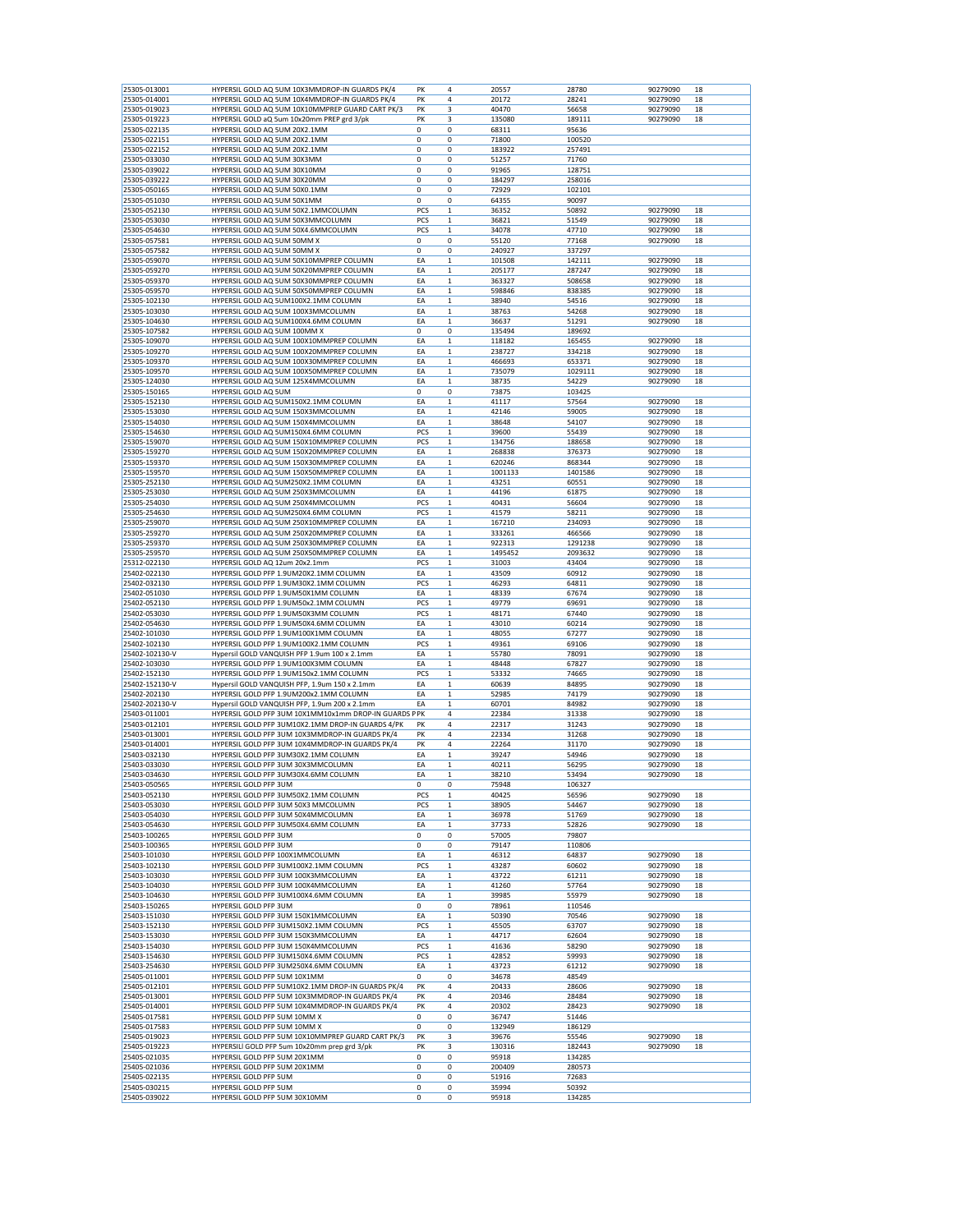| 25305-013001<br>25305-014001<br>25305-019023 |                                                                                                  | PK               | 4           | 20557          |                |                      | 18 |
|----------------------------------------------|--------------------------------------------------------------------------------------------------|------------------|-------------|----------------|----------------|----------------------|----|
|                                              | HYPERSIL GOLD AQ 5UM 10X3MMDROP-IN GUARDS PK/4<br>HYPERSIL GOLD AQ 5UM 10X4MMDROP-IN GUARDS PK/4 | PK               | 4           | 20172          | 28780<br>28241 | 90279090<br>90279090 | 18 |
|                                              | HYPERSIL GOLD AQ 5UM 10X10MMPREP GUARD CART PK/3                                                 | PK               | 3           | 40470          | 56658          | 90279090             | 18 |
| 25305-019223                                 | HYPERSIL GOLD aQ 5um 10x20mm PREP grd 3/pk                                                       | PK               | 3           | 135080         | 189111         | 90279090             | 18 |
| 25305-022135                                 | HYPERSIL GOLD AQ 5UM 20X2.1MM                                                                    | 0                | 0           | 68311          | 95636          |                      |    |
|                                              |                                                                                                  |                  |             |                |                |                      |    |
| 25305-022151                                 | HYPERSIL GOLD AQ 5UM 20X2.1MM                                                                    | $\mathbf 0$      | $\mathbf 0$ | 71800          | 100520         |                      |    |
| 25305-022152                                 | HYPERSIL GOLD AQ 5UM 20X2.1MM                                                                    | 0                | 0           | 183922         | 257491         |                      |    |
| 25305-033030                                 | HYPERSIL GOLD AQ 5UM 30X3MM                                                                      | 0                | 0           | 51257          | 71760          |                      |    |
| 25305-039022                                 | HYPERSIL GOLD AQ 5UM 30X10MM                                                                     | 0                | 0           | 91965          | 128751         |                      |    |
| 25305-039222                                 | HYPERSIL GOLD AQ 5UM 30X20MM                                                                     | $\mathbf 0$      | 0           | 184297         | 258016         |                      |    |
| 25305-050165                                 | HYPERSIL GOLD AQ 5UM 50X0.1MM                                                                    | $\mathbf 0$      | 0           | 72929          | 102101         |                      |    |
| 25305-051030                                 | HYPERSIL GOLD AQ 5UM 50X1MM                                                                      | 0                | 0           | 64355          | 90097          |                      |    |
| 25305-052130                                 | HYPERSIL GOLD AQ 5UM 50X2.1MMCOLUMN                                                              | PCS              | $\mathbf 1$ | 36352          | 50892          | 90279090             | 18 |
|                                              |                                                                                                  | PCS              |             |                | 51549          |                      |    |
| 25305-053030                                 | HYPERSIL GOLD AQ 5UM 50X3MMCOLUMN                                                                |                  | $\mathbf 1$ | 36821          |                | 90279090             | 18 |
| 25305-054630                                 | HYPERSIL GOLD AQ 5UM 50X4.6MMCOLUMN                                                              | PCS              | $\mathbf 1$ | 34078          | 47710          | 90279090             | 18 |
| 25305-057581                                 | HYPERSIL GOLD AQ 5UM 50MM X                                                                      | $\mathbf 0$      | 0           | 55120          | 77168          | 90279090             | 18 |
| 25305-057582                                 | HYPERSIL GOLD AQ 5UM 50MM X                                                                      | $\mathbf 0$      | 0           | 240927         | 337297         |                      |    |
| 25305-059070                                 | HYPERSIL GOLD AQ 5UM 50X10MMPREP COLUMN                                                          | EA               | $\mathbf 1$ | 101508         | 142111         | 90279090             | 18 |
| 25305-059270                                 | HYPERSIL GOLD AQ 5UM 50X20MMPREP COLUMN                                                          | EA               | $\mathbf 1$ | 205177         | 287247         | 90279090             | 18 |
| 25305-059370                                 | HYPERSIL GOLD AQ 5UM 50X30MMPREP COLUMN                                                          | EA               | $\mathbf 1$ | 363327         | 508658         | 90279090             | 18 |
| 25305-059570                                 | HYPERSIL GOLD AQ 5UM 50X50MMPREP COLUMN                                                          | EA               | $\mathbf 1$ | 598846         | 838385         | 90279090             | 18 |
| 25305-102130                                 | HYPERSIL GOLD AQ 5UM100X2.1MM COLUMN                                                             | EA               | $\mathbf 1$ | 38940          | 54516          | 90279090             | 18 |
|                                              | HYPERSIL GOLD AQ 5UM 100X3MMCOLUMN                                                               | EA               |             |                |                |                      |    |
| 25305-103030                                 |                                                                                                  |                  | 1           | 38763          | 54268          | 90279090             | 18 |
| 25305-104630                                 | HYPERSIL GOLD AQ 5UM100X4.6MM COLUMN                                                             | EA               | $\mathbf 1$ | 36637          | 51291          | 90279090             | 18 |
| 25305-107582                                 | HYPERSIL GOLD AQ 5UM 100MM X                                                                     | 0                | 0           | 135494         | 189692         |                      |    |
| 25305-109070                                 | HYPERSIL GOLD AQ 5UM 100X10MMPREP COLUMN                                                         | EA               | $\mathbf 1$ | 118182         | 165455         | 90279090             | 18 |
| 25305-109270                                 | HYPERSIL GOLD AQ 5UM 100X20MMPREP COLUMN                                                         | EA               | $\mathbf 1$ | 238727         | 334218         | 90279090             | 18 |
| 25305-109370                                 | HYPERSIL GOLD AQ 5UM 100X30MMPREP COLUMN                                                         | EA               | $\mathbf 1$ | 466693         | 653371         | 90279090             | 18 |
| 25305-109570                                 | HYPERSIL GOLD AQ 5UM 100X50MMPREP COLUMN                                                         | EA               | $\mathbf 1$ | 735079         | 1029111        | 90279090             | 18 |
| 25305-124030                                 | HYPERSIL GOLD AQ 5UM 125X4MMCOLUMN                                                               | EA               | $\mathbf 1$ | 38735          | 54229          | 90279090             | 18 |
|                                              |                                                                                                  | 0                | 0           |                |                |                      |    |
| 25305-150165                                 | HYPERSIL GOLD AQ 5UM                                                                             |                  |             | 73875          | 103425         |                      |    |
| 25305-152130                                 | HYPERSIL GOLD AQ 5UM150X2.1MM COLUMN                                                             | EA               | $\mathbf 1$ | 41117          | 57564          | 90279090             | 18 |
| 25305-153030                                 | HYPERSIL GOLD AQ 5UM 150X3MMCOLUMN                                                               | EA               | $\mathbf 1$ | 42146          | 59005          | 90279090             | 18 |
| 25305-154030                                 | HYPERSIL GOLD AQ 5UM 150X4MMCOLUMN                                                               | EA               | $\mathbf 1$ | 38648          | 54107          | 90279090             | 18 |
| 25305-154630                                 | HYPERSIL GOLD AQ 5UM150X4.6MM COLUMN                                                             | PCS              | $\mathbf 1$ | 39600          | 55439          | 90279090             | 18 |
| 25305-159070                                 | HYPERSIL GOLD AQ 5UM 150X10MMPREP COLUMN                                                         | PCS              | $\mathbf 1$ | 134756         | 188658         | 90279090             | 18 |
| 25305-159270                                 | HYPERSIL GOLD AQ 5UM 150X20MMPREP COLUMN                                                         | EA               | $\mathbf 1$ | 268838         | 376373         | 90279090             | 18 |
| 25305-159370                                 | HYPERSIL GOLD AQ 5UM 150X30MMPREP COLUMN                                                         | EA               | $\mathbf 1$ | 620246         | 868344         | 90279090             | 18 |
| 25305-159570                                 | HYPERSIL GOLD AQ 5UM 150X50MMPREP COLUMN                                                         | EA               | $\mathbf 1$ | 1001133        | 1401586        | 90279090             | 18 |
| 25305-252130                                 | HYPERSIL GOLD AQ 5UM250X2.1MM COLUMN                                                             | EA               | $\mathbf 1$ | 43251          | 60551          | 90279090             | 18 |
|                                              |                                                                                                  |                  |             |                |                |                      |    |
| 25305-253030                                 | HYPERSIL GOLD AQ 5UM 250X3MMCOLUMN                                                               | EA               | $\mathbf 1$ | 44196          | 61875          | 90279090             | 18 |
| 25305-254030                                 | HYPERSIL GOLD AQ 5UM 250X4MMCOLUMN                                                               | PCS              | $\mathbf 1$ | 40431          | 56604          | 90279090             | 18 |
| 25305-254630                                 | HYPERSIL GOLD AQ 5UM250X4.6MM COLUMN                                                             | PCS              | $\mathbf 1$ | 41579          | 58211          | 90279090             | 18 |
| 25305-259070                                 | HYPERSIL GOLD AQ 5UM 250X10MMPREP COLUMN                                                         | EA               | $\mathbf 1$ | 167210         | 234093         | 90279090             | 18 |
| 25305-259270                                 | HYPERSIL GOLD AQ 5UM 250X20MMPREP COLUMN                                                         | EA               | $\mathbf 1$ | 333261         | 466566         | 90279090             | 18 |
| 25305-259370                                 | HYPERSIL GOLD AQ 5UM 250X30MMPREP COLUMN                                                         | EA               | $\mathbf 1$ | 922313         | 1291238        | 90279090             | 18 |
| 25305-259570                                 | HYPERSIL GOLD AQ 5UM 250X50MMPREP COLUMN                                                         | EA               | $\mathbf 1$ | 1495452        | 2093632        | 90279090             | 18 |
| 25312-022130                                 | HYPERSIL GOLD AQ 12um 20x2.1mm                                                                   | PCS              | 1           | 31003          | 43404          | 90279090             | 18 |
|                                              |                                                                                                  |                  |             |                |                |                      |    |
| 25402-022130                                 | HYPERSIL GOLD PFP 1.9UM20X2.1MM COLUMN                                                           | EA               | $\mathbf 1$ | 43509          | 60912          | 90279090             | 18 |
| 25402-032130                                 | HYPERSIL GOLD PFP 1.9UM30X2.1MM COLUMN                                                           | PCS              | $\mathbf 1$ | 46293          | 64811          | 90279090             | 18 |
| 25402-051030                                 | HYPERSIL GOLD PFP 1.9UM50X1MM COLUMN                                                             | EA               | $\mathbf 1$ | 48339          | 67674          | 90279090             | 18 |
| 25402-052130                                 | HYPERSIL GOLD PFP 1.9UM50x2.1MM COLUMN                                                           | PCS              | $\mathbf 1$ | 49779          | 69691          | 90279090             | 18 |
| 25402-053030                                 | HYPERSIL GOLD PFP 1.9UM50X3MM COLUMN                                                             | PCS              | $\mathbf 1$ | 48171          | 67440          | 90279090             | 18 |
| 25402-054630                                 | HYPERSIL GOLD PFP 1.9UM50X4.6MM COLUMN                                                           | EA               | $\mathbf 1$ | 43010          | 60214          | 90279090             | 18 |
| 25402-101030                                 | HYPERSIL GOLD PFP 1.9UM100X1MM COLUMN                                                            | EA               | $\mathbf 1$ | 48055          | 67277          | 90279090             | 18 |
| 25402-102130                                 | HYPERSIL GOLD PFP 1.9UM100X2.1MM COLUMN                                                          | PCS              | $\mathbf 1$ | 49361          | 69106          | 90279090             | 18 |
| 25402-102130-V                               | Hypersil GOLD VANQUISH PFP 1.9um 100 x 2.1mm                                                     | EA               | $\mathbf 1$ | 55780          | 78091          | 90279090             | 18 |
| 25402-103030                                 | HYPERSIL GOLD PFP 1.9UM100X3MM COLUMN                                                            | EA               | $\mathbf 1$ | 48448          | 67827          | 90279090             | 18 |
| 25402-152130                                 | HYPERSIL GOLD PFP 1.9UM150x2.1MM COLUMN                                                          | PCS              | $\mathbf 1$ |                |                |                      | 18 |
|                                              |                                                                                                  |                  |             | 53332          | 74665          | 90279090             |    |
| 25402-152130-V                               | Hypersil GOLD VANQUISH PFP, 1.9um 150 x 2.1mm                                                    | EA               | $\mathbf 1$ | 60639          | 84895          | 90279090             | 18 |
| 25402-202130                                 | HYPERSIL GOLD PFP 1.9UM200x2.1MM COLUMN                                                          | EA               | $\mathbf 1$ | 52985          | 74179          | 90279090             | 18 |
| 25402-202130-V                               | Hypersil GOLD VANQUISH PFP, 1.9um 200 x 2.1mm                                                    | EA               | $\mathbf 1$ | 60701          | 84982          | 90279090             | 18 |
| 25403-011001                                 | HYPERSIL GOLD PFP 3UM 10X1MM10x1mm DROP-IN GUARDS PPK                                            |                  | 4           | 22384          | 31338          |                      | 18 |
| 25403-012101                                 | HYPERSIL GOLD PFP 3UM10X2.1MM DROP-IN GUARDS 4/PK                                                | PK               | 4           |                |                | 90279090             |    |
| 25403-013001                                 |                                                                                                  |                  |             | 22317          |                |                      |    |
| 25403-014001                                 |                                                                                                  | PK               |             | 22334          | 31243          | 90279090             | 18 |
|                                              | HYPERSIL GOLD PFP 3UM 10X3MMDROP-IN GUARDS PK/4                                                  |                  | 4           |                | 31268          | 90279090<br>90279090 | 18 |
|                                              | HYPERSIL GOLD PFP 3UM 10X4MMDROP-IN GUARDS PK/4                                                  | PK               | 4           | 22264          | 31170          |                      | 18 |
| 25403-032130                                 | HYPERSIL GOLD PFP 3UM30X2.1MM COLUMN                                                             | EA               | 1           | 39247          | 54946          | 90279090             | 18 |
| 25403-033030                                 | HYPERSIL GOLD PFP 3UM 30X3MMCOLUMN                                                               | EA               | $\mathbf 1$ | 40211          | 56295          | 90279090             | 18 |
| 25403-034630                                 | HYPERSIL GOLD PFP 3UM30X4.6MM COLUMN                                                             | EA               | $\mathbf 1$ | 38210          | 53494          | 90279090             | 18 |
| 25403-050565                                 | HYPERSIL GOLD PFP 3UM                                                                            | 0                | 0           | 75948          | 106327         |                      |    |
| 25403-052130                                 | HYPERSIL GOLD PFP 3UM50X2.1MM COLUMN                                                             | PCS              | $\mathbf 1$ | 40425          | 56596          | 90279090             | 18 |
| 25403-053030                                 | HYPERSIL GOLD PFP 3UM 50X3 MMCOLUMN                                                              | PCS              | $\mathbf 1$ | 38905          | 54467          | 90279090             | 18 |
| 25403-054030                                 | HYPERSIL GOLD PFP 3UM 50X4MMCOLUMN                                                               | EA               | 1           | 36978          | 51769          | 90279090             | 18 |
| 25403-054630                                 | HYPERSIL GOLD PFP 3UM50X4.6MM COLUMN                                                             | EA               | $\mathbf 1$ | 37733          | 52826          | 90279090             | 18 |
|                                              |                                                                                                  | 0                |             |                |                |                      |    |
| 25403-100265                                 | HYPERSIL GOLD PFP 3UM                                                                            |                  | 0           | 57005          | 79807          |                      |    |
| 25403-100365                                 | HYPERSIL GOLD PFP 3UM                                                                            | 0                | 0           | 79147          | 110806         |                      |    |
| 25403-101030                                 | HYPERSIL GOLD PFP 100X1MMCOLUMN                                                                  | EA               | $\mathbf 1$ | 46312          | 64837          | 90279090             | 18 |
| 25403-102130                                 | HYPERSIL GOLD PFP 3UM100X2.1MM COLUMN                                                            | PCS              | $\mathbf 1$ | 43287          | 60602          | 90279090             | 18 |
| 25403-103030                                 | HYPERSIL GOLD PFP 3UM 100X3MMCOLUMN                                                              | EA               | $\mathbf 1$ | 43722          | 61211          | 90279090             | 18 |
| 25403-104030                                 | HYPERSIL GOLD PFP 3UM 100X4MMCOLUMN                                                              | EA               | $\mathbf 1$ | 41260          | 57764          | 90279090             | 18 |
| 25403-104630                                 | HYPERSIL GOLD PFP 3UM100X4.6MM COLUMN                                                            | EA               | $\mathbf 1$ | 39985          | 55979          | 90279090             | 18 |
| 25403-150265                                 | HYPERSIL GOLD PFP 3UM                                                                            | 0                | 0           | 78961          | 110546         |                      |    |
|                                              |                                                                                                  |                  |             |                |                |                      |    |
| 25403-151030                                 | HYPERSIL GOLD PFP 3UM 150X1MMCOLUMN                                                              | EA               | $\mathbf 1$ | 50390          | 70546          | 90279090             | 18 |
| 25403-152130                                 | HYPERSIL GOLD PFP 3UM150X2.1MM COLUMN                                                            | PCS              | $\mathbf 1$ | 45505          | 63707          | 90279090             | 18 |
| 25403-153030                                 | HYPERSIL GOLD PFP 3UM 150X3MMCOLUMN                                                              | EA               | $\mathbf 1$ | 44717          | 62604          | 90279090             | 18 |
| 25403-154030                                 | HYPERSIL GOLD PFP 3UM 150X4MMCOLUMN                                                              | PCS              | $\mathbf 1$ | 41636          | 58290          | 90279090             | 18 |
| 25403-154630                                 | HYPERSIL GOLD PFP 3UM150X4.6MM COLUMN                                                            | PCS              | $\mathbf 1$ | 42852          | 59993          | 90279090             | 18 |
| 25403-254630                                 | HYPERSIL GOLD PFP 3UM250X4.6MM COLUMN                                                            | EA               | $\mathbf 1$ | 43723          | 61212          | 90279090             | 18 |
|                                              |                                                                                                  | $\mathbf 0$      | 0           |                | 48549          |                      |    |
| 25405-011001                                 | HYPERSIL GOLD PFP 5UM 10X1MM                                                                     |                  |             | 34678          |                |                      |    |
| 25405-012101                                 | HYPERSIL GOLD PFP 5UM10X2.1MM DROP-IN GUARDS PK/4                                                | PK               | 4           | 20433          | 28606          | 90279090             | 18 |
| 25405-013001                                 | HYPERSIL GOLD PFP 5UM 10X3MMDROP-IN GUARDS PK/4                                                  | PK               | 4           | 20346          | 28484          | 90279090             | 18 |
| 25405-014001                                 | HYPERSIL GOLD PFP 5UM 10X4MMDROP-IN GUARDS PK/4                                                  | PK               | 4           | 20302          | 28423          | 90279090             | 18 |
| 25405-017581                                 | HYPERSIL GOLD PFP 5UM 10MM X                                                                     | 0                | 0           | 36747          | 51446          |                      |    |
| 25405-017583                                 | HYPERSIL GOLD PFP 5UM 10MM X                                                                     | 0                | 0           | 132949         | 186129         |                      |    |
| 25405-019023                                 | HYPERSIL GOLD PFP 5UM 10X10MMPREP GUARD CART PK/3                                                | PK               | 3           | 39676          | 55546          | 90279090             | 18 |
| 25405-019223                                 | HYPERSILI GOLD PFP 5um 10x20mm prep grd 3/pk                                                     | PK               | 3           | 130316         | 182443         | 90279090             | 18 |
|                                              |                                                                                                  |                  |             |                |                |                      |    |
| 25405-021035                                 | HYPERSIL GOLD PFP 5UM 20X1MM                                                                     | 0                | 0           | 95918          | 134285         |                      |    |
| 25405-021036                                 | HYPERSIL GOLD PFP 5UM 20X1MM                                                                     | 0                | 0           | 200409         | 280573         |                      |    |
| 25405-022135<br>25405-030215                 | HYPERSIL GOLD PFP 5UM<br>HYPERSIL GOLD PFP 5UM                                                   | 0<br>$\mathbf 0$ | 0<br>0      | 51916<br>35994 | 72683<br>50392 |                      |    |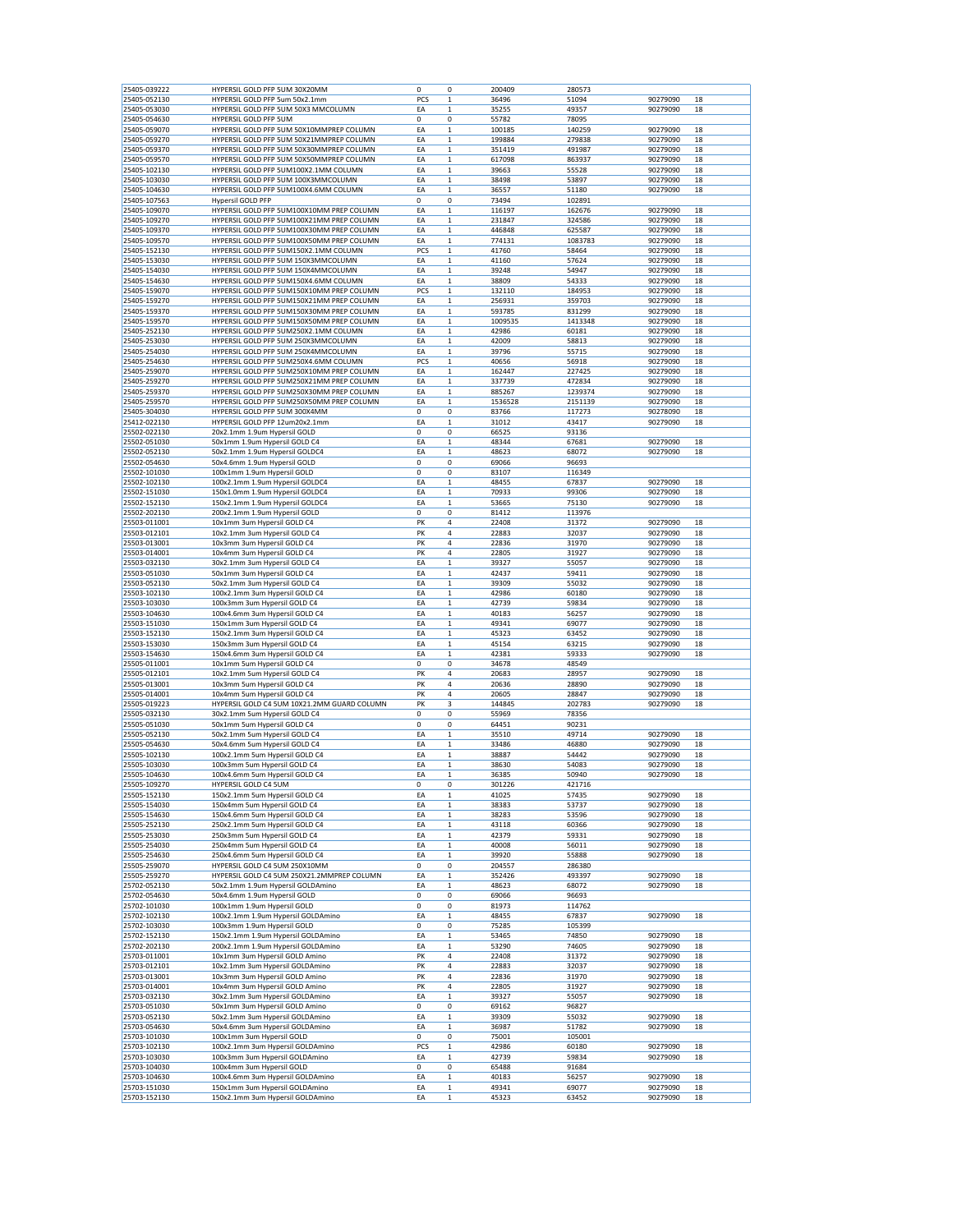| 25405-039222<br>25405-052130 |                                             |     | 0           |         |         |          |    |
|------------------------------|---------------------------------------------|-----|-------------|---------|---------|----------|----|
|                              | HYPERSIL GOLD PFP 5UM 30X20MM               | 0   |             | 200409  | 280573  |          |    |
|                              | HYPERSIL GOLD PFP 5um 50x2.1mm              | PCS | $\mathbf 1$ | 36496   | 51094   | 90279090 | 18 |
| 25405-053030                 | HYPERSIL GOLD PFP 5UM 50X3 MMCOLUMN         | ΕA  | $\mathbf 1$ | 35255   | 49357   | 90279090 | 18 |
| 25405-054630                 | HYPERSIL GOLD PFP 5UM                       | 0   | 0           | 55782   | 78095   |          |    |
| 25405-059070                 | HYPERSIL GOLD PFP 5UM 50X10MMPREP COLUMN    | EA  | 1           | 100185  | 140259  | 90279090 | 18 |
|                              |                                             |     |             |         |         |          |    |
| 25405-059270                 | HYPERSIL GOLD PFP 5UM 50X21MMPREP COLUMN    | EA  | $\mathbf 1$ | 199884  | 279838  | 90279090 | 18 |
| 25405-059370                 | HYPERSIL GOLD PFP 5UM 50X30MMPREP COLUMN    | EA  | $\mathbf 1$ | 351419  | 491987  | 90279090 | 18 |
| 25405-059570                 | HYPERSIL GOLD PFP 5UM 50X50MMPREP COLUMN    | EA  | $\mathbf 1$ | 617098  | 863937  | 90279090 | 18 |
| 25405-102130                 | HYPERSIL GOLD PFP 5UM100X2.1MM COLUMN       | EA  | $\mathbf 1$ | 39663   | 55528   | 90279090 | 18 |
|                              |                                             |     |             |         |         |          |    |
| 25405-103030                 | HYPERSIL GOLD PFP 5UM 100X3MMCOLUMN         | ΕA  | 1           | 38498   | 53897   | 90279090 | 18 |
| 25405-104630                 | HYPERSIL GOLD PFP 5UM100X4.6MM COLUMN       | ΕA  | 1           | 36557   | 51180   | 90279090 | 18 |
| 25405-107563                 | <b>Hypersil GOLD PFP</b>                    | 0   | 0           | 73494   | 102891  |          |    |
|                              |                                             |     | $\mathbf 1$ |         |         |          |    |
| 25405-109070                 | HYPERSIL GOLD PFP 5UM100X10MM PREP COLUMN   | EA  |             | 116197  | 162676  | 90279090 | 18 |
| 25405-109270                 | HYPERSIL GOLD PFP 5UM100X21MM PREP COLUMN   | ΕA  | $\mathbf 1$ | 231847  | 324586  | 90279090 | 18 |
| 25405-109370                 | HYPERSIL GOLD PFP 5UM100X30MM PREP COLUMN   | EA  | $\mathbf 1$ | 446848  | 625587  | 90279090 | 18 |
| 25405-109570                 | HYPERSIL GOLD PFP 5UM100X50MM PREP COLUMN   | ΕA  | 1           | 774131  | 1083783 | 90279090 | 18 |
|                              |                                             |     |             |         |         |          |    |
| 25405-152130                 | HYPERSIL GOLD PFP 5UM150X2.1MM COLUMN       | PCS | $\mathbf 1$ | 41760   | 58464   | 90279090 | 18 |
| 25405-153030                 | HYPERSIL GOLD PFP 5UM 150X3MMCOLUMN         | EA  | $\mathbf 1$ | 41160   | 57624   | 90279090 | 18 |
| 25405-154030                 | HYPERSIL GOLD PFP 5UM 150X4MMCOLUMN         | ΕA  | $\mathbf 1$ | 39248   | 54947   | 90279090 | 18 |
| 25405-154630                 | HYPERSIL GOLD PFP 5UM150X4.6MM COLUMN       | ΕA  | $\mathbf 1$ | 38809   | 54333   | 90279090 | 18 |
|                              |                                             |     |             |         |         |          |    |
| 25405-159070                 | HYPERSIL GOLD PFP 5UM150X10MM PREP COLUMN   | PCS | $\mathbf 1$ | 132110  | 184953  | 90279090 | 18 |
| 25405-159270                 | HYPERSIL GOLD PFP 5UM150X21MM PREP COLUMN   | EA  | $\mathbf 1$ | 256931  | 359703  | 90279090 | 18 |
| 25405-159370                 | HYPERSIL GOLD PFP 5UM150X30MM PREP COLUMN   | ΕA  | 1           | 593785  | 831299  | 90279090 | 18 |
| 25405-159570                 | HYPERSIL GOLD PFP 5UM150X50MM PREP COLUMN   | EA  | 1           | 1009535 | 1413348 | 90279090 | 18 |
|                              |                                             |     |             |         |         |          |    |
| 25405-252130                 | HYPERSIL GOLD PFP 5UM250X2.1MM COLUMN       | EA  | $\mathbf 1$ | 42986   | 60181   | 90279090 | 18 |
| 25405-253030                 | HYPERSIL GOLD PFP 5UM 250X3MMCOLUMN         | ΕA  | $\mathbf 1$ | 42009   | 58813   | 90279090 | 18 |
| 25405-254030                 | HYPERSIL GOLD PFP 5UM 250X4MMCOLUMN         | EA  | $\mathbf 1$ | 39796   | 55715   | 90279090 | 18 |
| 25405-254630                 | HYPERSIL GOLD PFP 5UM250X4.6MM COLUMN       | PCS | $\mathbf 1$ | 40656   | 56918   | 90279090 | 18 |
|                              |                                             |     |             |         |         |          |    |
| 25405-259070                 | HYPERSIL GOLD PFP 5UM250X10MM PREP COLUMN   | ΕA  | $\mathbf 1$ | 162447  | 227425  | 90279090 | 18 |
| 25405-259270                 | HYPERSIL GOLD PFP 5UM250X21MM PREP COLUMN   | EA  | 1           | 337739  | 472834  | 90279090 | 18 |
| 25405-259370                 | HYPERSIL GOLD PFP 5UM250X30MM PREP COLUMN   | EA  | $\mathbf 1$ | 885267  | 1239374 | 90279090 | 18 |
| 25405-259570                 | HYPERSIL GOLD PFP 5UM250X50MM PREP COLUMN   | EA  | $\mathbf 1$ | 1536528 | 2151139 | 90279090 | 18 |
|                              |                                             |     |             |         |         |          |    |
| 25405-304030                 | HYPERSIL GOLD PFP 5UM 300X4MM               | 0   | 0           | 83766   | 117273  | 90278090 | 18 |
| 25412-022130                 | HYPERSIL GOLD PFP 12um20x2.1mm              | EA  | $\mathbf 1$ | 31012   | 43417   | 90279090 | 18 |
| 25502-022130                 | 20x2.1mm 1.9um Hypersil GOLD                | 0   | 0           | 66525   | 93136   |          |    |
|                              | 50x1mm 1.9um Hypersil GOLD C4               | EA  |             |         |         | 90279090 |    |
| 25502-051030                 |                                             |     | 1           | 48344   | 67681   |          | 18 |
| 25502-052130                 | 50x2.1mm 1.9um Hypersil GOLDC4              | EA  | $\mathbf 1$ | 48623   | 68072   | 90279090 | 18 |
| 25502-054630                 | 50x4.6mm 1.9um Hypersil GOLD                | 0   | 0           | 69066   | 96693   |          |    |
| 25502-101030                 | 100x1mm 1.9um Hypersil GOLD                 | 0   | 0           | 83107   | 116349  |          |    |
|                              |                                             |     |             |         |         |          |    |
| 25502-102130                 | 100x2.1mm 1.9um Hypersil GOLDC4             | EA  | $\mathbf 1$ | 48455   | 67837   | 90279090 | 18 |
| 25502-151030                 | 150x1.0mm 1.9um Hypersil GOLDC4             | ΕA  | 1           | 70933   | 99306   | 90279090 | 18 |
| 25502-152130                 | 150x2.1mm 1.9um Hypersil GOLDC4             | ΕA  | 1           | 53665   | 75130   | 90279090 | 18 |
| 25502-202130                 | 200x2.1mm 1.9um Hypersil GOLD               | 0   | 0           | 81412   | 113976  |          |    |
|                              |                                             |     |             |         |         |          |    |
| 25503-011001                 | 10x1mm 3um Hypersil GOLD C4                 | PK  | 4           | 22408   | 31372   | 90279090 | 18 |
| 25503-012101                 | 10x2.1mm 3um Hypersil GOLD C4               | PK  | 4           | 22883   | 32037   | 90279090 | 18 |
| 25503-013001                 | 10x3mm 3um Hypersil GOLD C4                 | PK  | 4           | 22836   | 31970   | 90279090 | 18 |
| 25503-014001                 | 10x4mm 3um Hypersil GOLD C4                 | PK  | 4           | 22805   | 31927   | 90279090 | 18 |
|                              |                                             |     |             |         |         |          |    |
| 25503-032130                 | 30x2.1mm 3um Hypersil GOLD C4               | ΕA  | 1           | 39327   | 55057   | 90279090 | 18 |
| 25503-051030                 | 50x1mm 3um Hypersil GOLD C4                 | EA  | 1           | 42437   | 59411   | 90279090 | 18 |
| 25503-052130                 | 50x2.1mm 3um Hypersil GOLD C4               | EA  | $\mathbf 1$ | 39309   | 55032   | 90279090 | 18 |
| 25503-102130                 | 100x2.1mm 3um Hypersil GOLD C4              | ΕA  | $\mathbf 1$ | 42986   | 60180   | 90279090 | 18 |
|                              |                                             |     |             |         |         |          |    |
| 25503-103030                 | 100x3mm 3um Hypersil GOLD C4                | ΕA  | $\mathbf 1$ | 42739   | 59834   | 90279090 | 18 |
| 25503-104630                 | 100x4.6mm 3um Hypersil GOLD C4              | EA  | $\mathbf 1$ | 40183   | 56257   | 90279090 | 18 |
| 25503-151030                 | 150x1mm 3um Hypersil GOLD C4                | ΕA  | $\mathbf 1$ | 49341   | 69077   | 90279090 | 18 |
| 25503-152130                 | 150x2.1mm 3um Hypersil GOLD C4              | EA  | 1           | 45323   | 63452   | 90279090 | 18 |
|                              |                                             |     |             |         |         |          |    |
| 25503-153030                 | 150x3mm 3um Hypersil GOLD C4                | EA  | $\mathbf 1$ | 45154   | 63215   | 90279090 | 18 |
| 25503-154630                 | 150x4.6mm 3um Hypersil GOLD C4              | ΕA  | $\mathbf 1$ | 42381   | 59333   | 90279090 | 18 |
| 25505-011001                 | 10x1mm 5um Hypersil GOLD C4                 | 0   | 0           | 34678   | 48549   |          |    |
| 25505-012101                 | 10x2.1mm 5um Hypersil GOLD C4               | PK  | 4           | 20683   | 28957   | 90279090 | 18 |
|                              |                                             |     |             |         |         |          |    |
| 25505-013001                 | 10x3mm 5um Hypersil GOLD C4                 | PK  | 4           |         |         |          |    |
| 25505-014001                 | 10x4mm 5um Hypersil GOLD C4                 |     |             | 20636   | 28890   | 90279090 | 18 |
| 25505-019223                 |                                             | PK  | 4           |         |         |          |    |
|                              |                                             |     |             | 20605   | 28847   | 90279090 | 18 |
|                              | HYPERSIL GOLD C4 5UM 10X21.2MM GUARD COLUMN | PK  | 3           | 144845  | 202783  | 90279090 | 18 |
| 25505-032130                 | 30x2.1mm 5um Hypersil GOLD C4               | 0   | 0           | 55969   | 78356   |          |    |
| 25505-051030                 | 50x1mm 5um Hypersil GOLD C4                 | 0   | 0           | 64451   | 90231   |          |    |
| 25505-052130                 |                                             | EA  | $\mathbf 1$ | 35510   | 49714   | 90279090 | 18 |
|                              | 50x2.1mm 5um Hypersil GOLD C4               |     |             |         |         |          |    |
| 25505-054630                 | 50x4.6mm 5um Hypersil GOLD C4               | ΕA  | 1           | 33486   | 46880   | 90279090 | 18 |
| 25505-102130                 | 100x2.1mm 5um Hypersil GOLD C4              | ΕA  | 1           | 38887   | 54442   | 90279090 | 18 |
| 25505-103030                 | 100x3mm 5um Hypersil GOLD C4                | EA  | $\mathbf 1$ | 38630   | 54083   | 90279090 | 18 |
|                              | 100x4.6mm 5um Hypersil GOLD C4              | EA  | $\mathbf 1$ | 36385   | 50940   | 90279090 | 18 |
| 25505-104630                 |                                             |     |             |         |         |          |    |
| 25505-109270                 | HYPERSIL GOLD C4 5UM                        | 0   | 0           | 301226  | 421716  |          |    |
| 25505-152130                 | 150x2.1mm 5um Hypersil GOLD C4              | ΕA  | $\mathbf 1$ | 41025   | 57435   | 90279090 | 18 |
| 25505-154030                 | 150x4mm 5um Hypersil GOLD C4                | EA  | 1           | 38383   | 53737   | 90279090 | 18 |
| 25505-154630                 | 150x4.6mm 5um Hypersil GOLD C4              | ΕA  | 1           | 38283   | 53596   | 90279090 | 18 |
|                              |                                             |     |             |         |         |          |    |
| 25505-252130                 | 250x2.1mm 5um Hypersil GOLD C4              | ΕA  | 1           | 43118   | 60366   | 90279090 | 18 |
| 25505-253030                 | 250x3mm 5um Hypersil GOLD C4                | EA  | $\mathbf 1$ | 42379   | 59331   | 90279090 | 18 |
| 25505-254030                 | 250x4mm 5um Hypersil GOLD C4                | EA  | $\mathbf 1$ | 40008   | 56011   | 90279090 | 18 |
| 25505-254630                 | 250x4.6mm 5um Hypersil GOLD C4              | ΕA  | $\mathbf 1$ | 39920   | 55888   | 90279090 | 18 |
|                              |                                             |     |             |         |         |          |    |
| 25505-259070                 | HYPERSIL GOLD C4 5UM 250X10MM               | 0   | 0           | 204557  | 286380  |          |    |
| 25505-259270                 | HYPERSIL GOLD C4 5UM 250X21.2MMPREP COLUMN  | EA  | $\mathbf 1$ | 352426  | 493397  | 90279090 | 18 |
| 25702-052130                 | 50x2.1mm 1.9um Hypersil GOLDAmino           | ΕA  | 1           | 48623   | 68072   | 90279090 | 18 |
|                              |                                             | 0   | 0           |         | 96693   |          |    |
| 25702-054630                 | 50x4.6mm 1.9um Hypersil GOLD                |     |             | 69066   |         |          |    |
| 25702-101030                 | 100x1mm 1.9um Hypersil GOLD                 | 0   | 0           | 81973   | 114762  |          |    |
| 25702-102130                 | 100x2.1mm 1.9um Hypersil GOLDAmino          | ΕA  | $\mathbf 1$ | 48455   | 67837   | 90279090 | 18 |
| 25702-103030                 | 100x3mm 1.9um Hypersil GOLD                 | 0   | 0           | 75285   | 105399  |          |    |
|                              |                                             | ΕA  |             |         | 74850   | 90279090 | 18 |
| 25702-152130                 | 150x2.1mm 1.9um Hypersil GOLDAmino          |     | 1           | 53465   |         |          |    |
| 25702-202130                 | 200x2.1mm 1.9um Hypersil GOLDAmino          | ΕA  | 1           | 53290   | 74605   | 90279090 | 18 |
| 25703-011001                 | 10x1mm 3um Hypersil GOLD Amino              | PK  | 4           | 22408   | 31372   | 90279090 | 18 |
| 25703-012101                 | 10x2.1mm 3um Hypersil GOLDAmino             | PK  | 4           | 22883   | 32037   | 90279090 | 18 |
|                              |                                             |     |             |         |         |          |    |
| 25703-013001                 | 10x3mm 3um Hypersil GOLD Amino              | PK  | 4           | 22836   | 31970   | 90279090 | 18 |
| 25703-014001                 | 10x4mm 3um Hypersil GOLD Amino              | PK  | 4           | 22805   | 31927   | 90279090 | 18 |
| 25703-032130                 | 30x2.1mm 3um Hypersil GOLDAmino             | ΕA  | $\mathbf 1$ | 39327   | 55057   | 90279090 | 18 |
| 25703-051030                 | 50x1mm 3um Hypersil GOLD Amino              | 0   | 0           | 69162   | 96827   |          |    |
|                              |                                             |     |             |         |         |          |    |
| 25703-052130                 | 50x2.1mm 3um Hypersil GOLDAmino             | EA  | $\mathbf 1$ | 39309   | 55032   | 90279090 | 18 |
| 25703-054630                 | 50x4.6mm 3um Hypersil GOLDAmino             | ΕA  | $\mathbf 1$ | 36987   | 51782   | 90279090 | 18 |
| 25703-101030                 | 100x1mm 3um Hypersil GOLD                   | 0   | 0           | 75001   | 105001  |          |    |
| 25703-102130                 | 100x2.1mm 3um Hypersil GOLDAmino            | PCS | $\mathbf 1$ | 42986   | 60180   | 90279090 | 18 |
|                              |                                             |     |             |         |         |          |    |
| 25703-103030                 | 100x3mm 3um Hypersil GOLDAmino              | ΕA  | 1           | 42739   | 59834   | 90279090 | 18 |
| 25703-104030                 | 100x4mm 3um Hypersil GOLD                   | 0   | 0           | 65488   | 91684   |          |    |
| 25703-104630                 | 100x4.6mm 3um Hypersil GOLDAmino            | EA  | 1           | 40183   | 56257   | 90279090 | 18 |
| 25703-151030                 | 150x1mm 3um Hypersil GOLDAmino              | ΕA  | $\mathbf 1$ | 49341   | 69077   | 90279090 | 18 |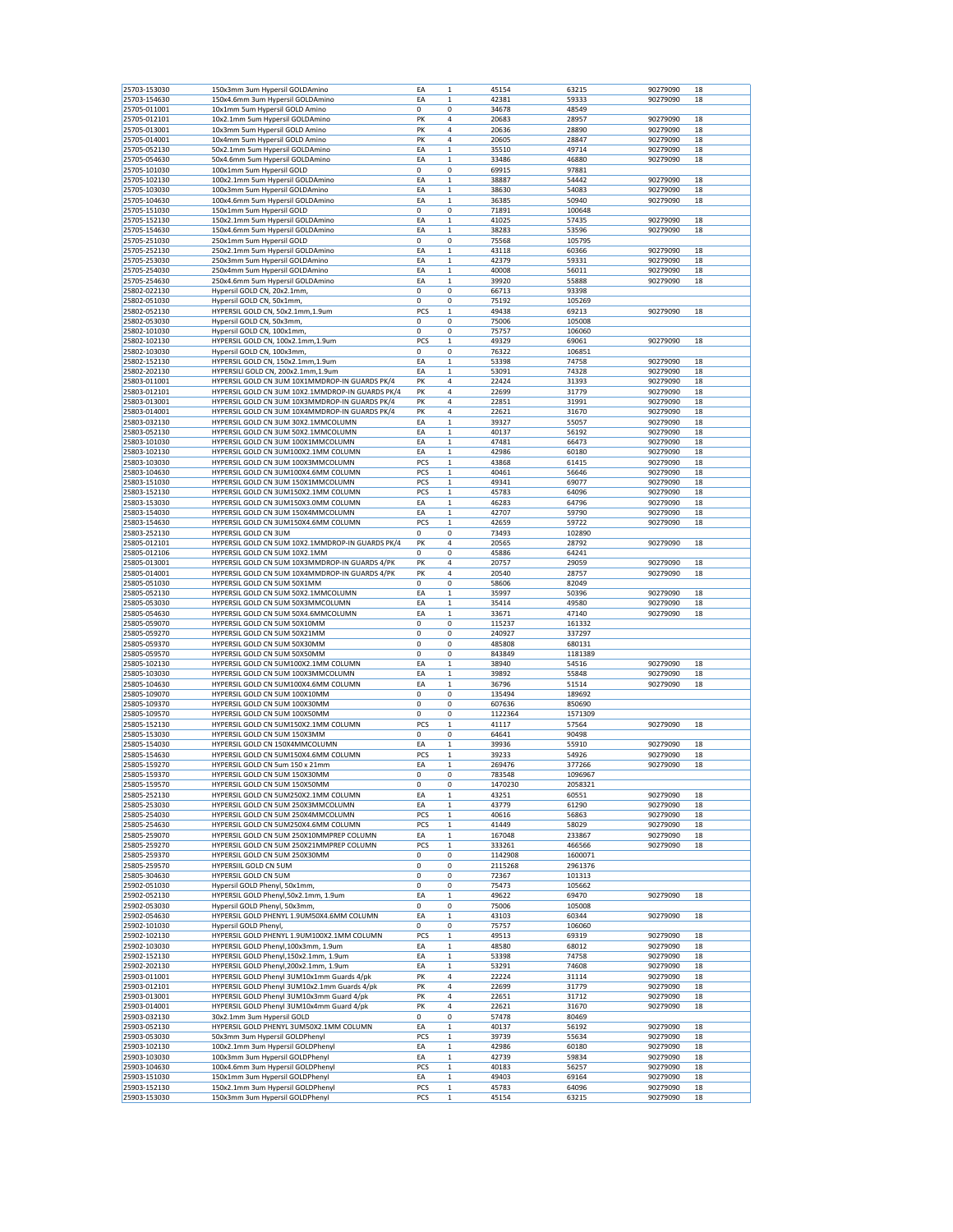| 25703-153030 | 150x3mm 3um Hypersil GOLDAmino                   | EA  | 1           | 45154   | 63215   | 90279090 | 18 |
|--------------|--------------------------------------------------|-----|-------------|---------|---------|----------|----|
| 25703-154630 | 150x4.6mm 3um Hypersil GOLDAmino                 | EA  | $\mathbf 1$ | 42381   | 59333   | 90279090 | 18 |
| 25705-011001 | 10x1mm 5um Hypersil GOLD Amino                   | 0   | 0           | 34678   | 48549   |          |    |
| 25705-012101 | 10x2.1mm 5um Hypersil GOLDAmino                  | PK  | 4           | 20683   | 28957   | 90279090 | 18 |
|              |                                                  |     |             |         |         | 90279090 |    |
| 25705-013001 | 10x3mm 5um Hypersil GOLD Amino                   | PK  | 4           | 20636   | 28890   |          | 18 |
| 25705-014001 | 10x4mm 5um Hypersil GOLD Amino                   | PK  | 4           | 20605   | 28847   | 90279090 | 18 |
| 25705-052130 | 50x2.1mm 5um Hypersil GOLDAmino                  | ΕA  | $\mathbf 1$ | 35510   | 49714   | 90279090 | 18 |
| 25705-054630 | 50x4.6mm 5um Hypersil GOLDAmino                  | EA  | $\mathbf 1$ | 33486   | 46880   | 90279090 | 18 |
|              |                                                  |     | 0           |         |         |          |    |
| 25705-101030 | 100x1mm 5um Hypersil GOLD                        | 0   |             | 69915   | 97881   |          |    |
| 25705-102130 | 100x2.1mm 5um Hypersil GOLDAmino                 | ΕA  | 1           | 38887   | 54442   | 90279090 | 18 |
| 25705-103030 | 100x3mm 5um Hypersil GOLDAmino                   | EA  | $\mathbf 1$ | 38630   | 54083   | 90279090 | 18 |
| 25705-104630 | 100x4.6mm 5um Hypersil GOLDAmino                 | ΕA  | $\mathbf 1$ | 36385   | 50940   | 90279090 | 18 |
|              |                                                  |     |             |         |         |          |    |
| 25705-151030 | 150x1mm 5um Hypersil GOLD                        | 0   | 0           | 71891   | 100648  |          |    |
| 25705-152130 | 150x2.1mm 5um Hypersil GOLDAmino                 | ΕA  | $\mathbf 1$ | 41025   | 57435   | 90279090 | 18 |
| 25705-154630 | 150x4.6mm 5um Hypersil GOLDAmino                 | ΕA  | 1           | 38283   | 53596   | 90279090 | 18 |
| 25705-251030 | 250x1mm 5um Hypersil GOLD                        | 0   | 0           | 75568   | 105795  |          |    |
|              |                                                  |     |             |         |         |          |    |
| 25705-252130 | 250x2.1mm 5um Hypersil GOLDAmino                 | EA  | 1           | 43118   | 60366   | 90279090 | 18 |
| 25705-253030 | 250x3mm 5um Hypersil GOLDAmino                   | ΕA  | $\mathbf 1$ | 42379   | 59331   | 90279090 | 18 |
| 25705-254030 | 250x4mm 5um Hypersil GOLDAmino                   | ΕA  | 1           | 40008   | 56011   | 90279090 | 18 |
| 25705-254630 | 250x4.6mm 5um Hypersil GOLDAmino                 | ΕA  | $\mathbf 1$ | 39920   | 55888   | 90279090 | 18 |
|              |                                                  |     |             |         |         |          |    |
| 25802-022130 | Hypersil GOLD CN, 20x2.1mm                       | 0   | 0           | 66713   | 93398   |          |    |
| 25802-051030 | Hypersil GOLD CN, 50x1mm,                        | 0   | 0           | 75192   | 105269  |          |    |
| 25802-052130 | HYPERSIL GOLD CN, 50x2.1mm,1.9um                 | PCS | 1           | 49438   | 69213   | 90279090 | 18 |
| 25802-053030 |                                                  | 0   | 0           | 75006   |         |          |    |
|              | Hypersil GOLD CN, 50x3mm,                        |     |             |         | 105008  |          |    |
| 25802-101030 | Hypersil GOLD CN, 100x1mm,                       | 0   | 0           | 75757   | 106060  |          |    |
| 25802-102130 | HYPERSIL GOLD CN, 100x2.1mm,1.9um                | PCS | 1           | 49329   | 69061   | 90279090 | 18 |
| 25802-103030 | Hypersil GOLD CN, 100x3mm,                       | 0   | 0           | 76322   | 106851  |          |    |
|              |                                                  |     |             |         |         | 90279090 |    |
| 25802-152130 | HYPERSIL GOLD CN, 150x2.1mm,1.9um                | ΕA  | 1           | 53398   | 74758   |          | 18 |
| 25802-202130 | HYPERSILI GOLD CN, 200x2.1mm,1.9um               | EA  | 1           | 53091   | 74328   | 90279090 | 18 |
| 25803-011001 | HYPERSIL GOLD CN 3UM 10X1MMDROP-IN GUARDS PK/4   | PK  | 4           | 22424   | 31393   | 90279090 | 18 |
| 25803-012101 | HYPERSIL GOLD CN 3UM 10X2.1MMDROP-IN GUARDS PK/4 | PK  | 4           | 22699   | 31779   | 90279090 | 18 |
|              |                                                  |     |             |         |         |          |    |
| 25803-013001 | HYPERSIL GOLD CN 3UM 10X3MMDROP-IN GUARDS PK/4   | PΚ  | 4           | 22851   | 31991   | 90279090 | 18 |
| 25803-014001 | HYPERSIL GOLD CN 3UM 10X4MMDROP-IN GUARDS PK/4   | PK  | 4           | 22621   | 31670   | 90279090 | 18 |
| 25803-032130 | HYPERSIL GOLD CN 3UM 30X2.1MMCOLUMN              | ΕA  | 1           | 39327   | 55057   | 90279090 | 18 |
| 25803-052130 | HYPERSIL GOLD CN 3UM 50X2.1MMCOLUMN              | ΕA  | 1           | 40137   | 56192   | 90279090 | 18 |
|              |                                                  |     |             |         |         |          |    |
| 25803-101030 | HYPERSIL GOLD CN 3UM 100X1MMCOLUMN               | EA  | $\mathbf 1$ | 47481   | 66473   | 90279090 | 18 |
| 25803-102130 | HYPERSIL GOLD CN 3UM100X2.1MM COLUMN             | EA  | $\mathbf 1$ | 42986   | 60180   | 90279090 | 18 |
| 25803-103030 | HYPERSIL GOLD CN 3UM 100X3MMCOLUMN               | PCS | 1           | 43868   | 61415   | 90279090 | 18 |
| 25803-104630 | HYPERSIL GOLD CN 3UM100X4.6MM COLUMN             | PCS | $\mathbf 1$ | 40461   | 56646   | 90279090 | 18 |
|              |                                                  |     |             |         |         |          |    |
| 25803-151030 | HYPERSIL GOLD CN 3UM 150X1MMCOLUMN               | PCS | 1           | 49341   | 69077   | 90279090 | 18 |
| 25803-152130 | HYPERSIL GOLD CN 3UM150X2.1MM COLUMN             | PCS | 1           | 45783   | 64096   | 90279090 | 18 |
| 25803-153030 | HYPERSIL GOLD CN 3UM150X3.0MM COLUMN             | EA  | 1           | 46283   | 64796   | 90279090 | 18 |
|              |                                                  |     |             |         |         |          |    |
| 25803-154030 | HYPERSIL GOLD CN 3UM 150X4MMCOLUMN               | EA  | $\mathbf 1$ | 42707   | 59790   | 90279090 | 18 |
| 25803-154630 | HYPERSIL GOLD CN 3UM150X4.6MM COLUMN             | PCS | 1           | 42659   | 59722   | 90279090 | 18 |
| 25803-252130 | HYPERSIL GOLD CN 3UM                             | 0   | 0           | 73493   | 102890  |          |    |
| 25805-012101 | HYPERSIL GOLD CN 5UM 10X2.1MMDROP-IN GUARDS PK/4 | PK  | 4           | 20565   | 28792   | 90279090 | 18 |
|              |                                                  |     |             |         |         |          |    |
| 25805-012106 | HYPERSIL GOLD CN 5UM 10X2.1MM                    | 0   | 0           | 45886   | 64241   |          |    |
| 25805-013001 | HYPERSIL GOLD CN 5UM 10X3MMDROP-IN GUARDS 4/PK   | PK  | 4           | 20757   | 29059   | 90279090 | 18 |
| 25805-014001 | HYPERSIL GOLD CN 5UM 10X4MMDROP-IN GUARDS 4/PK   | PK  | 4           | 20540   | 28757   | 90279090 | 18 |
| 25805-051030 | HYPERSIL GOLD CN 5UM 50X1MM                      | 0   |             |         |         |          |    |
|              |                                                  |     |             |         |         |          |    |
|              |                                                  |     | 0           | 58606   | 82049   |          |    |
| 25805-052130 | HYPERSIL GOLD CN 5UM 50X2.1MMCOLUMN              | EA  | $\mathbf 1$ | 35997   | 50396   | 90279090 | 18 |
| 25805-053030 | HYPERSIL GOLD CN 5UM 50X3MMCOLUMN                | EA  | $\mathbf 1$ | 35414   | 49580   | 90279090 | 18 |
| 25805-054630 |                                                  | ΕA  | 1           | 33671   | 47140   | 90279090 | 18 |
|              | HYPERSIL GOLD CN 5UM 50X4.6MMCOLUMN              |     |             |         |         |          |    |
| 25805-059070 | HYPERSIL GOLD CN 5UM 50X10MM                     | 0   | 0           | 115237  | 161332  |          |    |
| 25805-059270 | HYPERSIL GOLD CN 5UM 50X21MM                     | 0   | 0           | 240927  | 337297  |          |    |
| 25805-059370 | HYPERSIL GOLD CN 5UM 50X30MM                     | 0   | 0           | 485808  | 680131  |          |    |
| 25805-059570 | HYPERSIL GOLD CN 5UM 50X50MM                     | 0   | 0           | 843849  | 1181389 |          |    |
|              |                                                  |     |             |         |         |          |    |
| 25805-102130 | HYPERSIL GOLD CN 5UM100X2.1MM COLUMN             | EA  | $\mathbf 1$ | 38940   | 54516   | 90279090 | 18 |
| 25805-103030 | HYPERSIL GOLD CN 5UM 100X3MMCOLUMN               | ΕA  | 1           | 39892   | 55848   | 90279090 | 18 |
| 25805-104630 | HYPERSIL GOLD CN 5UM100X4.6MM COLUMN             | ΕA  | 1           | 36796   | 51514   | 90279090 | 18 |
|              |                                                  |     |             | 135494  |         |          |    |
| 25805-109070 | HYPERSIL GOLD CN 5UM 100X10MM                    | 0   | 0           |         | 189692  |          |    |
| 25805-109370 | HYPERSIL GOLD CN 5UM 100X30MM                    | 0   | 0           | 607636  | 850690  |          |    |
| 25805-109570 | HYPERSIL GOLD CN 5UM 100X50MM                    | 0   | 0           | 1122364 | 1571309 |          |    |
| 25805-152130 | HYPERSIL GOLD CN 5UM150X2.1MM COLUMN             | PCS | $\mathbf 1$ | 41117   | 57564   | 90279090 | 18 |
| 25805-153030 | HYPERSIL GOLD CN 5UM 150X3MM                     | 0   | 0           | 64641   | 90498   |          |    |
|              |                                                  |     |             |         |         |          |    |
| 25805-154030 | HYPERSIL GOLD CN 150X4MMCOLUMN                   | ΕA  | 1           | 39936   | 55910   | 90279090 | 18 |
| 25805-154630 | HYPERSIL GOLD CN 5UM150X4.6MM COLUMN             | PCS | 1           | 39233   | 54926   | 90279090 | 18 |
| 25805-159270 | HYPERSIL GOLD CN 5um 150 x 21mm                  | ΕA  | $\mathbf 1$ | 269476  | 377266  | 90279090 | 18 |
| 25805-159370 | HYPERSIL GOLD CN 5UM 150X30MM                    | 0   | 0           | 783548  | 1096967 |          |    |
|              |                                                  |     |             |         |         |          |    |
| 25805-159570 | HYPERSIL GOLD CN 5UM 150X50MM                    | 0   | 0           | 1470230 | 2058321 |          |    |
| 25805-252130 | HYPERSIL GOLD CN 5UM250X2.1MM COLUMN             | ΕA  | $\mathbf 1$ | 43251   | 60551   | 90279090 | 18 |
| 25805-253030 | HYPERSIL GOLD CN 5UM 250X3MMCOLUMN               | EA  | 1           | 43779   | 61290   | 90279090 | 18 |
| 25805-254030 | HYPERSIL GOLD CN 5UM 250X4MMCOLUMN               | PCS | 1           | 40616   | 56863   | 90279090 | 18 |
|              |                                                  |     |             |         |         |          |    |
| 25805-254630 | HYPERSIL GOLD CN 5UM250X4.6MM COLUMN             | PCS | $\mathbf 1$ | 41449   | 58029   | 90279090 | 18 |
| 25805-259070 | HYPERSIL GOLD CN 5UM 250X10MMPREP COLUMN         | ΕA  | $\mathbf 1$ | 167048  | 233867  | 90279090 | 18 |
| 25805-259270 | HYPERSIL GOLD CN 5UM 250X21MMPREP COLUMN         | PCS | $\mathbf 1$ | 333261  | 466566  | 90279090 | 18 |
| 25805-259370 | HYPERSIL GOLD CN 5UM 250X30MM                    | 0   | 0           | 1142908 | 1600071 |          |    |
|              |                                                  |     |             |         |         |          |    |
| 25805-259570 | HYPERSIIL GOLD CN 5UM                            | 0   | 0           | 2115268 | 2961376 |          |    |
| 25805-304630 | HYPERSIL GOLD CN 5UM                             | 0   | 0           | 72367   | 101313  |          |    |
| 25902-051030 | Hypersil GOLD Phenyl, 50x1mm,                    | 0   | 0           | 75473   | 105662  |          |    |
| 25902-052130 | HYPERSIL GOLD Phenyl,50x2.1mm, 1.9um             | ΕA  |             |         |         |          |    |
|              |                                                  |     | $\mathbf 1$ | 49622   | 69470   | 90279090 | 18 |
| 25902-053030 | Hypersil GOLD Phenyl, 50x3mm,                    | 0   | 0           | 75006   | 105008  |          |    |
| 25902-054630 | HYPERSIL GOLD PHENYL 1.9UM50X4.6MM COLUMN        | EA  | $\mathbf 1$ | 43103   | 60344   | 90279090 | 18 |
| 25902-101030 | Hypersil GOLD Phenyl,                            | 0   | 0           | 75757   | 106060  |          |    |
| 25902-102130 | HYPERSIL GOLD PHENYL 1.9UM100X2.1MM COLUMN       | PCS | 1           | 49513   | 69319   | 90279090 | 18 |
|              |                                                  |     |             |         |         |          |    |
| 25902-103030 | HYPERSIL GOLD Phenyl, 100x3mm, 1.9um             | EA  | $\mathbf 1$ | 48580   | 68012   | 90279090 | 18 |
| 25902-152130 | HYPERSIL GOLD Phenyl,150x2.1mm, 1.9um            | ΕA  | $\mathbf 1$ | 53398   | 74758   | 90279090 | 18 |
| 25902-202130 | HYPERSIL GOLD Phenyl, 200x2.1mm, 1.9um           | ΕA  | $\mathbf 1$ | 53291   | 74608   | 90279090 | 18 |
| 25903-011001 | HYPERSIL GOLD Phenyl 3UM10x1mm Guards 4/pk       | PK  | 4           | 22224   | 31114   | 90279090 | 18 |
|              |                                                  |     |             |         |         |          |    |
| 25903-012101 | HYPERSIL GOLD Phenyl 3UM10x2.1mm Guards 4/pk     | PK  | 4           | 22699   | 31779   | 90279090 | 18 |
| 25903-013001 | HYPERSIL GOLD Phenyl 3UM10x3mm Guard 4/pk        | PK  | 4           | 22651   | 31712   | 90279090 | 18 |
| 25903-014001 | HYPERSIL GOLD Phenyl 3UM10x4mm Guard 4/pk        | PK  | 4           | 22621   | 31670   | 90279090 | 18 |
|              |                                                  |     |             |         |         |          |    |
| 25903-032130 | 30x2.1mm 3um Hypersil GOLD                       | 0   | 0           | 57478   | 80469   |          |    |
| 25903-052130 | HYPERSIL GOLD PHENYL 3UM50X2.1MM COLUMN          | ΕA  | 1           | 40137   | 56192   | 90279090 | 18 |
| 25903-053030 | 50x3mm 3um Hypersil GOLDPhenyl                   | PCS | $\mathbf 1$ | 39739   | 55634   | 90279090 | 18 |
| 25903-102130 | 100x2.1mm 3um Hypersil GOLDPhenyl                | ΕA  | $\mathbf 1$ | 42986   | 60180   | 90279090 | 18 |
|              |                                                  |     |             |         |         |          |    |
| 25903-103030 | 100x3mm 3um Hypersil GOLDPhenyl                  | ΕA  | 1           | 42739   | 59834   | 90279090 | 18 |
| 25903-104630 | 100x4.6mm 3um Hypersil GOLDPhenyl                | PCS | 1           | 40183   | 56257   | 90279090 | 18 |
| 25903-151030 | 150x1mm 3um Hypersil GOLDPhenyl                  | ΕA  | $\,1$       | 49403   | 69164   | 90279090 | 18 |
| 25903-152130 | 150x2.1mm 3um Hypersil GOLDPhenyl                | PCS | $\mathbf 1$ | 45783   | 64096   | 90279090 | 18 |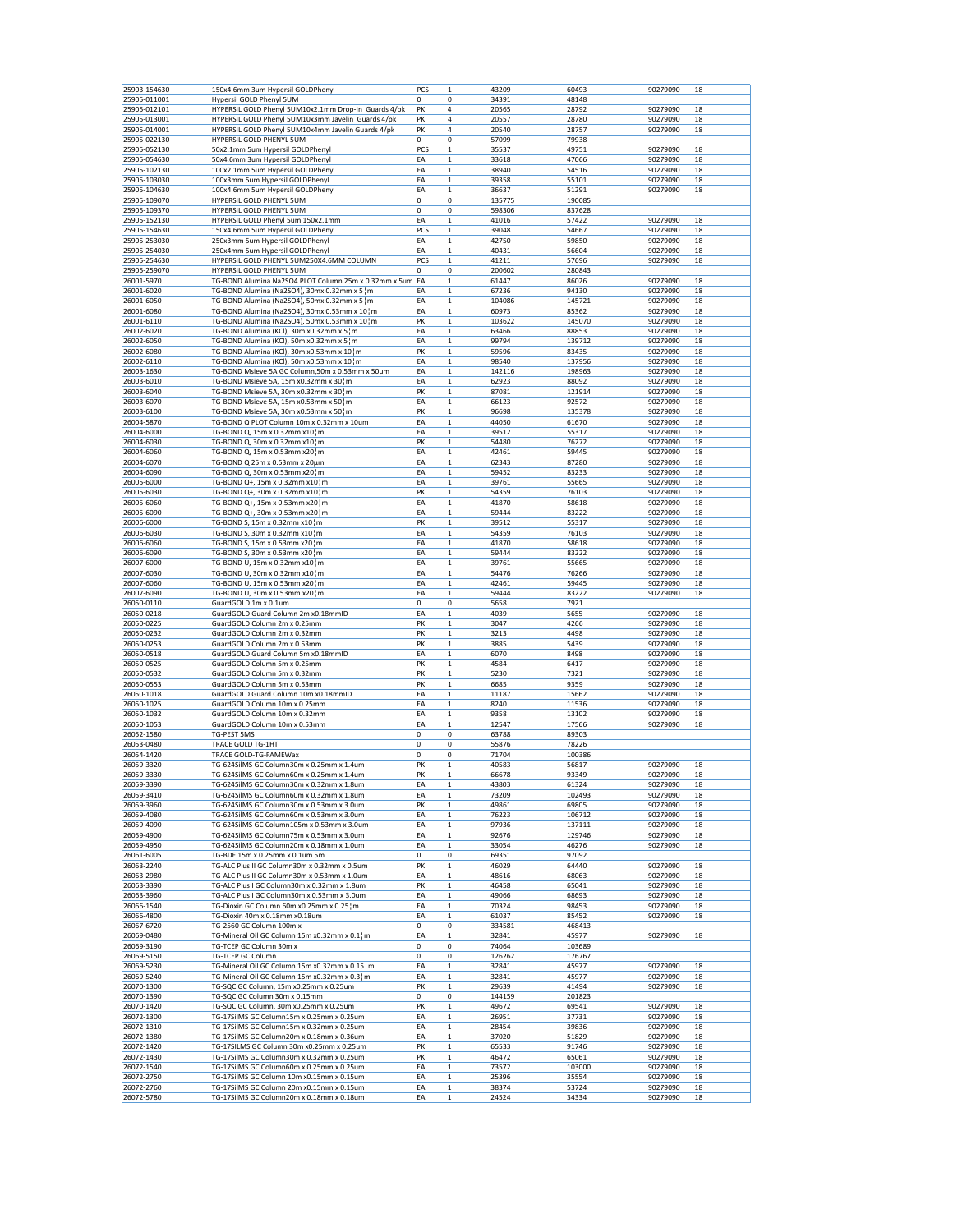| 25903-154630 | 150x4.6mm 3um Hypersil GOLDPhenyl                            | PCS      | 1                | 43209        | 60493        | 90279090             | 18       |
|--------------|--------------------------------------------------------------|----------|------------------|--------------|--------------|----------------------|----------|
| 25905-011001 | Hypersil GOLD Phenyl 5UM                                     | 0        | 0                | 34391        | 48148        |                      |          |
| 25905-012101 | HYPERSIL GOLD Phenyl 5UM10x2.1mm Drop-In Guards 4/pk         | PK       | 4                | 20565        | 28792        | 90279090             | 18       |
| 25905-013001 | HYPERSIL GOLD Phenyl 5UM10x3mm Javelin Guards 4/pk           | PK       | 4                | 20557        | 28780        | 90279090             | 18       |
| 25905-014001 | HYPERSIL GOLD Phenyl 5UM10x4mm Javelin Guards 4/pk           | PK       | 4                | 20540        | 28757        | 90279090             | 18       |
| 25905-022130 | HYPERSIL GOLD PHENYL 5UM                                     | 0        | 0                | 57099        | 79938        |                      |          |
| 25905-052130 | 50x2.1mm 5um Hypersil GOLDPhenyl                             | PCS      | $\mathbf 1$      | 35537        | 49751        | 90279090             | 18       |
| 25905-054630 | 50x4.6mm 3um Hypersil GOLDPhenyl                             | ΕA       | $\mathbf 1$      | 33618        | 47066        | 90279090             | 18       |
| 25905-102130 | 100x2.1mm 5um Hypersil GOLDPhenyl                            | ΕA       | 1                | 38940        | 54516        | 90279090             | 18       |
| 25905-103030 | 100x3mm 5um Hypersil GOLDPhenyl                              | EA       | $\mathbf 1$      | 39358        | 55101        | 90279090             | 18       |
| 25905-104630 | 100x4.6mm 5um Hypersil GOLDPhenyl                            | ΕA       | 1                | 36637        | 51291        | 90279090             | 18       |
| 25905-109070 | HYPERSIL GOLD PHENYL 5UM                                     | 0        | 0                | 135775       | 190085       |                      |          |
| 25905-109370 | HYPERSIL GOLD PHENYL 5UM                                     | 0        | 0                | 598306       | 837628       |                      |          |
| 25905-152130 | HYPERSIL GOLD Phenyl 5um 150x2.1mm                           | EA       | $\mathbf 1$      | 41016        | 57422        | 90279090             | 18       |
| 25905-154630 | 150x4.6mm 5um Hypersil GOLDPhenyl                            | PCS      | 1                | 39048        | 54667        | 90279090             | 18       |
| 25905-253030 | 250x3mm 5um Hypersil GOLDPhenyl                              | EA       | $\mathbf 1$      | 42750        | 59850        | 90279090             | 18       |
| 25905-254030 | 250x4mm 5um Hypersil GOLDPhenyl                              | ΕA       | 1                | 40431        | 56604        | 90279090             | 18       |
| 25905-254630 | HYPERSIL GOLD PHENYL 5UM250X4.6MM COLUMN                     | PCS      | 1                | 41211        | 57696        | 90279090             | 18       |
| 25905-259070 | HYPERSIL GOLD PHENYL 5UM                                     | 0        | 0                | 200602       | 280843       |                      |          |
| 26001-5970   | TG-BOND Alumina Na2SO4 PLOT Column 25m x 0.32mm x 5um EA     |          | $\mathbf 1$      | 61447        | 86026        | 90279090             | 18       |
| 26001-6020   | TG-BOND Alumina (Na2SO4), 30mx 0.32mm x 5 m                  | ΕA       | $\mathbf 1$      | 67236        | 94130        | 90279090             | 18       |
| 26001-6050   | TG-BOND Alumina (Na2SO4), 50mx 0.32mm x 5 ¦ m                | EA       | $\mathbf 1$      | 104086       | 145721       | 90279090             | 18       |
| 26001-6080   | TG-BOND Alumina (Na2SO4), 30mx 0.53mm x 10 m                 | ΕA       | 1                | 60973        | 85362        | 90279090             | 18       |
| 26001-6110   | TG-BOND Alumina (Na2SO4), 50mx 0.53mm x 10 m                 | PK       | 1                | 103622       | 145070       | 90279090             | 18       |
| 26002-6020   | TG-BOND Alumina (KCl), 30m x0.32mm x 5 m                     | ΕA       | 1                | 63466        | 88853        | 90279090             | 18       |
| 26002-6050   | TG-BOND Alumina (KCl), 50m x0.32mm x 5 m                     | ΕA       | $\mathbf 1$      | 99794        | 139712       | 90279090             | 18       |
| 26002-6080   | TG-BOND Alumina (KCl), 30m x0.53mm x 10¦m                    | PK       | $\mathbf 1$      | 59596        | 83435        | 90279090             | 18       |
| 26002-6110   | TG-BOND Alumina (KCI), 50m x0.53mm x 101m                    | EA       | $\mathbf 1$      | 98540        | 137956       | 90279090             | 18       |
| 26003-1630   | TG-BOND Msieve 5A GC Column,50m x 0.53mm x 50um              | ΕA       | 1                | 142116       | 198963       | 90279090             | 18       |
| 26003-6010   | TG-BOND Msieve 5A, 15m x0.32mm x 30¦m                        | ΕA       | 1                | 62923        | 88092        | 90279090             | 18       |
| 26003-6040   | TG-BOND Msieve 5A, 30m x0.32mm x 30¦m                        | PK       | 1                | 87081        | 121914       | 90279090             | 18       |
| 26003-6070   | TG-BOND Msieve 5A, 15m x0.53mm x 50¦m                        | EA       | $\mathbf 1$      | 66123        | 92572        | 90279090             | 18       |
| 26003-6100   | TG-BOND Msieve 5A, 30m x0.53mm x 50¦m                        | PK       | $\mathbf 1$      | 96698        | 135378       | 90279090             | 18       |
| 26004-5870   | TG-BOND Q PLOT Column 10m x 0.32mm x 10um                    | EA       | 1                | 44050        | 61670        | 90279090             | 18       |
| 26004-6000   | TG-BOND Q, 15m x 0.32mm x10 m                                | EA       | $\mathbf 1$      | 39512        | 55317        | 90279090             | 18       |
| 26004-6030   | TG-BOND Q, 30m x 0.32mm x10 } m                              | PK       | 1                | 54480        | 76272        | 90279090             | 18       |
| 26004-6060   | TG-BOND Q, 15m x 0.53mm x20 } m                              | ΕA       | 1                | 42461        | 59445        | 90279090             | 18       |
| 26004-6070   | TG-BOND Q 25m x 0.53mm x 20μm                                | EA       | $\mathbf 1$      | 62343        | 87280        | 90279090             | 18       |
| 26004-6090   | TG-BOND Q, 30m x 0.53mm x20 m                                | EA       | $\mathbf 1$      | 59452        | 83233        | 90279090             | 18       |
| 26005-6000   | TG-BOND Q+, 15m x 0.32mm x10 m                               | EA       | $\mathbf 1$      | 39761        | 55665        | 90279090             | 18       |
| 26005-6030   | TG-BOND Q+, 30m x 0.32mm x10¦m                               | PK       | $\mathbf 1$      | 54359        | 76103        | 90279090             | 18       |
| 26005-6060   | TG-BOND Q+, 15m x 0.53mm x20 m                               | ΕA       | 1                | 41870        | 58618        | 90279090             | 18       |
| 26005-6090   | TG-BOND Q+, 30m x 0.53mm x20 m                               | ΕA       | 1                | 59444        | 83222        | 90279090             | 18       |
| 26006-6000   | TG-BOND S, 15m x 0.32mm x10 m                                | PK       | $\mathbf 1$      | 39512        | 55317        | 90279090             | 18       |
| 26006-6030   | TG-BOND S, 30m x 0.32mm x10 m                                | ΕA       | $\mathbf 1$      | 54359        | 76103        | 90279090             | 18       |
| 26006-6060   | TG-BOND S, 15m x 0.53mm x20 m                                | ΕA       | $\mathbf 1$      | 41870        | 58618        | 90279090             | 18       |
| 26006-6090   | TG-BOND S, 30m x 0.53mm x20 m                                | EA       | $\mathbf 1$      | 59444        | 83222        | 90279090             | 18       |
| 26007-6000   | TG-BOND U, 15m x 0.32mm x10 m                                | ΕA       | 1                | 39761        | 55665        | 90279090             | 18       |
| 26007-6030   | TG-BOND U, 30m x 0.32mm x10 m                                | ΕA       | 1                | 54476        | 76266        | 90279090             | 18       |
| 26007-6060   | TG-BOND U, 15m x 0.53mm x20 m                                | EA       | 1                | 42461        | 59445        | 90279090             | 18       |
| 26007-6090   | TG-BOND U, 30m x 0.53mm x20 m                                | ΕA       | $\mathbf 1$      | 59444        | 83222        | 90279090             | 18       |
| 26050-0110   | GuardGOLD 1m x 0.1um                                         | 0        | 0                | 5658         | 7921         |                      |          |
| 26050-0218   | GuardGOLD Guard Column 2m x0.18mmID                          | EA       | $\mathbf 1$      | 4039         | 5655         | 90279090             | 18       |
| 26050-0225   | GuardGOLD Column 2m x 0.25mm                                 | PK       | 1                | 3047         | 4266         | 90279090             | 18       |
|              |                                                              |          |                  |              |              |                      |          |
| 26050-0232   | GuardGOLD Column 2m x 0.32mm                                 | PK<br>PK | $\mathbf 1$      | 3213         | 4498<br>5439 | 90279090             | 18       |
| 26050-0253   | GuardGOLD Column 2m x 0.53mm                                 | EA       | 1<br>$\mathbf 1$ | 3885<br>6070 | 8498         | 90279090             | 18<br>18 |
| 26050-0518   | GuardGOLD Guard Column 5m x0.18mmID                          |          |                  |              |              | 90279090             |          |
| 26050-0525   | GuardGOLD Column 5m x 0.25mm                                 | PK       | $\mathbf 1$      | 4584         | 6417         | 90279090             | 18       |
| 26050-0532   | GuardGOLD Column 5m x 0.32mm<br>GuardGOLD Column 5m x 0.53mm | PK<br>PK | 1                | 5230         | 7321<br>9359 | 90279090<br>90279090 | 18<br>18 |
| 26050-0553   |                                                              |          | $\mathbf 1$      | 6685         |              |                      |          |
| 26050-1018   | GuardGOLD Guard Column 10m x0.18mmID                         | ΕA       | 1                | 11187        | 15662        | 90279090             | 18       |
| 26050-1025   | GuardGOLD Column 10m x 0.25mm                                | ΕA       | 1                | 8240         | 11536        | 90279090             | 18       |
| 26050-1032   | GuardGOLD Column 10m x 0.32mm                                | EA       | $\mathbf 1$      | 9358         | 13102        | 90279090             | 18       |
| 26050-1053   | GuardGOLD Column 10m x 0.53mm                                | EA       | 1                | 12547        | 17566        | 90279090             | 18       |
| 26052-1580   | TG-PEST 5MS<br><b>TRACE GOLD TG-1HT</b>                      | 0        | 0                | 63788        | 89303        |                      |          |
| 26053-0480   |                                                              | 0        | 0                | 55876        | 78226        |                      |          |
| 26054-1420   | TRACE GOLD-TG-FAMEWax                                        | 0        | 0                | 71704        | 100386       |                      |          |
| 26059-3320   | TG-624SilMS GC Column30m x 0.25mm x 1.4um                    | PK       | 1                | 40583        | 56817        | 90279090             | 18       |
| 26059-3330   | TG-624SilMS GC Column60m x 0.25mm x 1.4um                    | PK       | $\mathbf 1$      | 66678        | 93349        | 90279090             | 18       |
| 26059-3390   | TG-624SilMS GC Column30m x 0.32mm x 1.8um                    | EA       | 1                | 43803        | 61324        | 90279090             | 18       |
| 26059-3410   | TG-624SilMS GC Column60m x 0.32mm x 1.8um                    | EA       | $\mathbf 1$      | 73209        | 102493       | 90279090             | 18       |
| 26059-3960   | TG-624SilMS GC Column30m x 0.53mm x 3.0um                    | PK       | $\,1$            | 49861        | 69805        | 90279090             | 18       |
| 26059-4080   | TG-624SilMS GC Column60m x 0.53mm x 3.0um                    | ΕA       | 1                | 76223        | 106712       | 90279090             | 18       |
| 26059-4090   | TG-624SilMS GC Column105m x 0.53mm x 3.0um                   | ΕA       | 1                | 97936        | 137111       | 90279090             | 18       |
| 26059-4900   | TG-624SilMS GC Column75m x 0.53mm x 3.0um                    | EA       | $\mathbf 1$      | 92676        | 129746       | 90279090             | 18       |
| 26059-4950   | TG-624SilMS GC Column20m x 0.18mm x 1.0um                    | ΕA       | $\mathbf 1$      | 33054        | 46276        | 90279090             | 18       |
| 26061-6005   | TG-BDE 15m x 0.25mm x 0.1um 5m                               | 0        | 0                | 69351        | 97092        |                      |          |
| 26063-2240   | TG-ALC Plus II GC Column30m x 0.32mm x 0.5um                 | PΚ       | 1                | 46029        | 64440        | 90279090             | 18       |
| 26063-2980   | TG-ALC Plus II GC Column30m x 0.53mm x 1.0um                 | ΕA       | 1                | 48616        | 68063        | 90279090             | 18       |
| 26063-3390   | TG-ALC Plus I GC Column30m x 0.32mm x 1.8um                  | PK       | 1                | 46458        | 65041        | 90279090             | 18       |
| 26063-3960   | TG-ALC Plus I GC Column30m x 0.53mm x 3.0um                  | EA       | 1                | 49066        | 68693        | 90279090             | 18       |
| 26066-1540   | TG-Dioxin GC Column 60m x0.25mm x 0.25 m                     | ΕA       | $\mathbf 1$      | 70324        | 98453        | 90279090             | 18       |
| 26066-4800   | TG-Dioxin 40m x 0.18mm x0.18um                               | ΕA       | 1                | 61037        | 85452        | 90279090             | 18       |
| 26067-6720   | TG-2560 GC Column 100m x                                     | 0        | 0                | 334581       | 468413       |                      |          |
| 26069-0480   | TG-Mineral Oil GC Column 15m x0.32mm x 0.1 m                 | EA       | $\mathbf{1}$     | 32841        | 45977        | 90279090             | 18       |
| 26069-3190   | TG-TCEP GC Column 30m x                                      | 0        | 0                | 74064        | 103689       |                      |          |
| 26069-5150   | TG-TCEP GC Column                                            | 0        | 0                | 126262       | 176767       |                      |          |
| 26069-5230   | TG-Mineral Oil GC Column 15m x0.32mm x 0.15 m                | EA       | $\mathbf 1$      | 32841        | 45977        | 90279090             | 18       |
| 26069-5240   | TG-Mineral Oil GC Column 15m x0.32mm x 0.3 m                 | EA       | 1                | 32841        | 45977        | 90279090             | 18       |
| 26070-1300   | TG-SQC GC Column, 15m x0.25mm x 0.25um                       | PΚ       | 1                | 29639        | 41494        | 90279090             | 18       |
| 26070-1390   | TG-SQC GC Column 30m x 0.15mm                                | 0        | 0                | 144159       | 201823       |                      |          |
| 26070-1420   | TG-SQC GC Column, 30m x0.25mm x 0.25um                       | PK       | 1                | 49672        | 69541        | 90279090             | 18       |
| 26072-1300   | TG-17SilMS GC Column15m x 0.25mm x 0.25um                    | ΕA       | $\mathbf 1$      | 26951        | 37731        | 90279090             | 18       |
| 26072-1310   | TG-17SilMS GC Column15m x 0.32mm x 0.25um                    | ΕA       | $\,1\,$          | 28454        | 39836        | 90279090             | 18       |
| 26072-1380   | TG-17SilMS GC Column20m x 0.18mm x 0.36um                    | ΕA       | $\mathbf 1$      | 37020        | 51829        | 90279090             | 18       |
| 26072-1420   | TG-17SILMS GC Column 30m x0.25mm x 0.25um                    | PK       | 1                | 65533        | 91746        | 90279090             | 18       |
| 26072-1430   | TG-17SilMS GC Column30m x 0.32mm x 0.25um                    | PK       | $\,1$            | 46472        | 65061        | 90279090             | 18       |
| 26072-1540   | TG-17SilMS GC Column60m x 0.25mm x 0.25um                    | EA       | 1                | 73572        | 103000       | 90279090             | 18       |
| 26072-2750   | TG-17SilMS GC Column 10m x0.15mm x 0.15um                    | ΕA       | $\mathbf 1$      | 25396        | 35554        | 90279090             | 18       |
| 26072-2760   | TG-17SilMS GC Column 20m x0.15mm x 0.15um                    | ΕA       | $\mathbf 1$      | 38374        | 53724        | 90279090             | 18       |
| 26072-5780   | TG-17SilMS GC Column20m x 0.18mm x 0.18um                    | ΕA       | $\,1\,$          | 24524        | 34334        | 90279090             | 18       |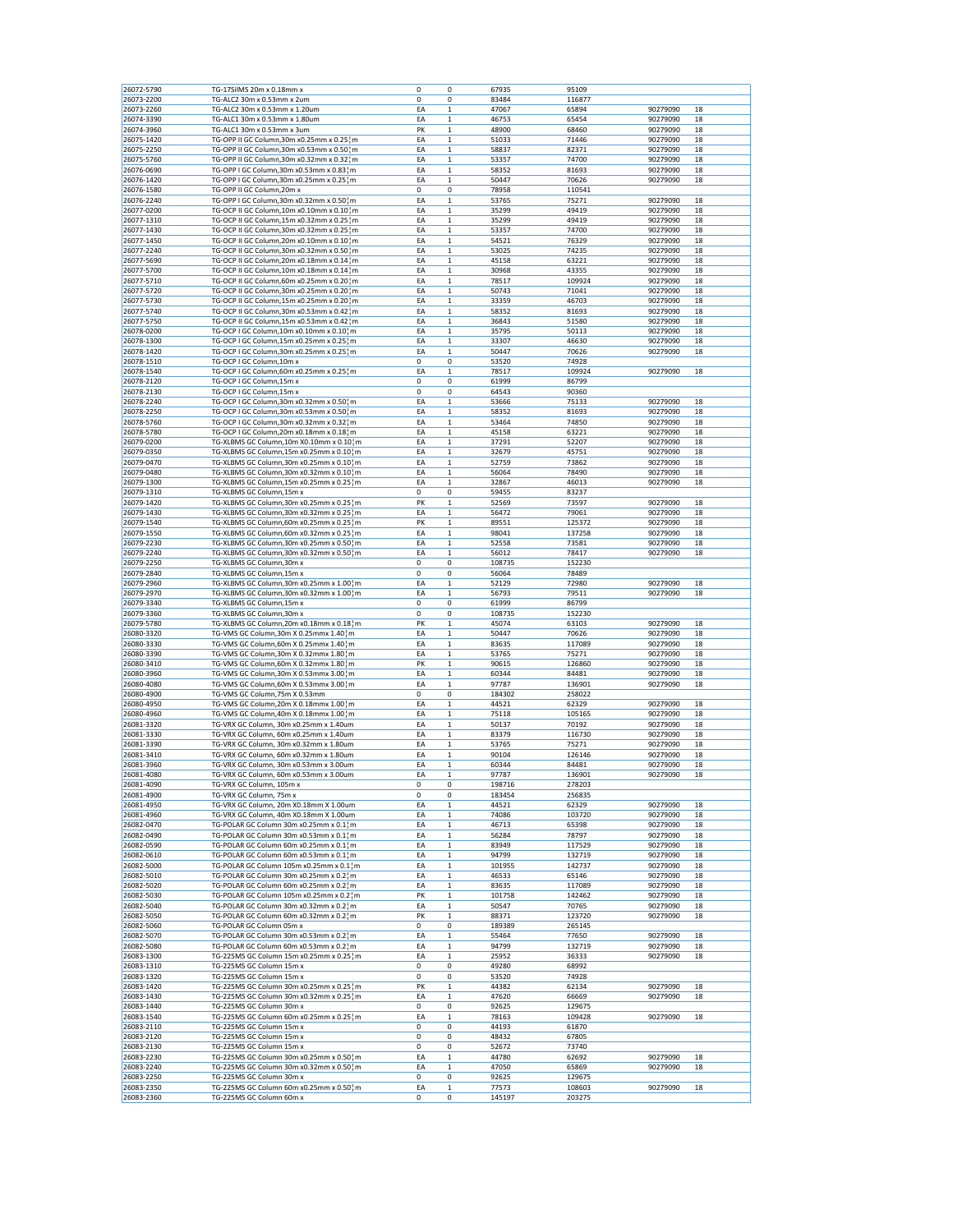| 26072-5790               | TG-17SilMS 20m x 0.18mm x                                           | 0       | 0            | 67935           | 95109            |          |    |
|--------------------------|---------------------------------------------------------------------|---------|--------------|-----------------|------------------|----------|----|
| 26073-2200               | TG-ALC2 30m x 0.53mm x 2um                                          | 0       | 0            | 83484           | 116877           |          |    |
| 26073-2260               | TG-ALC2 30m x 0.53mm x 1.20um                                       | EA      | $\mathbf{1}$ | 47067           | 65894            | 90279090 | 18 |
| 26074-3390               | TG-ALC1 30m x 0.53mm x 1.80um                                       | EA      | 1            | 46753           | 65454            | 90279090 | 18 |
| 26074-3960               | TG-ALC1 30m x 0.53mm x 3um                                          | PK      | $\mathbf 1$  | 48900           | 68460            | 90279090 | 18 |
| 26075-1420               | TG-OPP II GC Column, 30m x0.25mm x 0.25 m                           | EA      | 1            | 51033           | 71446            | 90279090 | 18 |
| 26075-2250               | TG-OPP II GC Column, 30m x0.53mm x 0.50 m                           | EA      | 1            | 58837           | 82371            | 90279090 | 18 |
| 26075-5760               | TG-OPP II GC Column, 30m x0.32mm x 0.32 m                           | EA      | $\mathbf 1$  | 53357           | 74700            | 90279090 | 18 |
| 26076-0690               | TG-OPP I GC Column, 30m x0.53mm x 0.83 m                            | EA      | $\mathbf{1}$ | 58352           | 81693            | 90279090 | 18 |
| 26076-1420               | TG-OPP I GC Column, 30m x0.25mm x 0.25 m                            | EA      | $\mathbf{1}$ | 50447           | 70626            | 90279090 | 18 |
| 26076-1580               | TG-OPP II GC Column, 20m x                                          | 0       | 0            | 78958           | 110541           |          |    |
| 26076-2240               | TG-OPP I GC Column, 30m x0.32mm x 0.50 m                            | EA      | 1            | 53765           | 75271            | 90279090 | 18 |
| 26077-0200               | TG-OCP II GC Column, 10m x0.10mm x 0.10 m                           | EA      | 1            | 35299           | 49419            | 90279090 | 18 |
| 26077-1310               | TG-OCP II GC Column,15m x0.32mm x 0.25 m                            | EA      | 1            | 35299           | 49419            | 90279090 | 18 |
| 26077-1430               | TG-OCP II GC Column, 30m x0.32mm x 0.25 m                           | EA      | 1            | 53357           | 74700            | 90279090 | 18 |
| 26077-1450               | TG-OCP II GC Column, 20m x0.10mm x 0.10 m                           | ΕA      | 1            | 54521           | 76329            | 90279090 | 18 |
| 26077-2240               | TG-OCP II GC Column, 30m x0.32mm x 0.50 m                           | EA      | $\mathbf 1$  | 53025           | 74235            | 90279090 | 18 |
| 26077-5690               | TG-OCP II GC Column, 20m x0.18mm x 0.14 m                           | EA      | 1            | 45158           | 63221            | 90279090 | 18 |
| 26077-5700               | TG-OCP II GC Column, 10m x0.18mm x 0.14 m                           | EA      | 1            | 30968           | 43355            | 90279090 | 18 |
| 26077-5710               | TG-OCP II GC Column,60m x0.25mm x 0.20 m                            | EA      | 1            | 78517           | 109924           | 90279090 | 18 |
| 26077-5720               | TG-OCP II GC Column, 30m x0.25mm x 0.20 m                           | EA      | $\mathbf 1$  | 50743           | 71041            | 90279090 | 18 |
| 26077-5730               | TG-OCP II GC Column, 15m x0.25mm x 0.20 ¦ m                         | EA      | 1            | 33359           | 46703            | 90279090 | 18 |
| 26077-5740               | TG-OCP II GC Column, 30m x0.53mm x 0.42 m                           | EA      | 1            | 58352           | 81693            | 90279090 | 18 |
| 26077-5750               | TG-OCP II GC Column, 15m x0.53mm x 0.42 m                           | EA      | $\mathbf 1$  | 36843           | 51580            | 90279090 | 18 |
| 26078-0200               | TG-OCP I GC Column, 10m x0.10mm x 0.10 m                            | EA      | 1            | 35795           | 50113            | 90279090 | 18 |
| 26078-1300               | TG-OCP I GC Column, 15m x0.25mm x 0.25 m                            | EA      | 1            | 33307           | 46630            | 90279090 | 18 |
| 26078-1420               | TG-OCP I GC Column, 30m x0.25mm x 0.25 m                            | EA      | $\mathbf 1$  | 50447           | 70626            | 90279090 | 18 |
| 26078-1510               | TG-OCP I GC Column, 10m x                                           | 0       | 0            | 53520           | 74928            |          |    |
| 26078-1540               | TG-OCP I GC Column, 60m x0.25mm x 0.25 m                            | EA      | 1            | 78517           | 109924           | 90279090 | 18 |
| 26078-2120               | TG-OCP I GC Column, 15m x                                           | 0       | 0            | 61999           | 86799            |          |    |
| 26078-2130               | TG-OCP I GC Column, 15m x                                           | 0       | 0            | 64543           | 90360            |          |    |
| 26078-2240               | TG-OCP I GC Column, 30m x0.32mm x 0.50 } m                          | EA      | 1            | 53666           | 75133            | 90279090 | 18 |
| 26078-2250               | TG-OCP I GC Column, 30m x0.53mm x 0.50 m                            | EA      | $\mathbf 1$  | 58352           | 81693            | 90279090 | 18 |
| 26078-5760               | TG-OCP I GC Column, 30m x0.32mm x 0.32 m                            | EA      | $\mathbf{1}$ | 53464           | 74850            | 90279090 | 18 |
| 26078-5780               | TG-OCP I GC Column, 20m x0.18mm x 0.18 m                            | EA      | 1            | 45158           | 63221            | 90279090 | 18 |
| 26079-0200               | TG-XLBMS GC Column, 10m X0.10mm x 0.10 m                            | EA      | $\mathbf 1$  | 37291           | 52207            | 90279090 | 18 |
| 26079-0350               | TG-XLBMS GC Column,15m x0.25mm x 0.10 m                             | EA      | 1            | 32679           | 45751            | 90279090 | 18 |
| 26079-0470               | TG-XLBMS GC Column, 30m x0.25mm x 0.10 m                            | EA      | 1            | 52759           | 73862            | 90279090 | 18 |
| 26079-0480               | TG-XLBMS GC Column, 30m x0.32mm x 0.10 m                            | EA      | 1            | 56064           | 78490            | 90279090 | 18 |
| 26079-1300               | TG-XLBMS GC Column,15m x0.25mm x 0.25 m                             | EA      | $\mathbf{1}$ | 32867           | 46013            | 90279090 | 18 |
| 26079-1310               | TG-XLBMS GC Column,15m x                                            | 0       | 0            | 59455           | 83237            |          |    |
| 26079-1420               | TG-XLBMS GC Column, 30m x0.25mm x 0.25 ¦ m                          | PK      | 1            | 52569           | 73597            | 90279090 | 18 |
| 26079-1430               | TG-XLBMS GC Column, 30m x0.32mm x 0.25 m                            | EA      | 1            | 56472           | 79061            | 90279090 | 18 |
| 26079-1540               | TG-XLBMS GC Column,60m x0.25mm x 0.25 m                             | PK      | 1            | 89551           | 125372           | 90279090 | 18 |
| 26079-1550               | TG-XLBMS GC Column,60m x0.32mm x 0.25 m                             | EA      | 1            | 98041           | 137258           | 90279090 | 18 |
| 26079-2230               | TG-XLBMS GC Column, 30m x0.25mm x 0.50 m                            | EA      | $\mathbf 1$  | 52558           | 73581            | 90279090 | 18 |
| 26079-2240               | TG-XLBMS GC Column, 30m x0.32mm x 0.50 m                            | EA      | 1            | 56012           | 78417            | 90279090 | 18 |
| 26079-2250               | TG-XLBMS GC Column, 30m x                                           | 0       | 0            | 108735          | 152230           |          |    |
| 26079-2840               | TG-XLBMS GC Column,15m x                                            | 0       | 0            | 56064           | 78489            |          |    |
| 26079-2960               | TG-XLBMS GC Column,30m x0.25mm x 1.00 m                             | EA      | 1            | 52129           | 72980            | 90279090 | 18 |
| 26079-2970               | TG-XLBMS GC Column, 30m x0.32mm x 1.00 m                            | EA      | 1            | 56793           | 79511            | 90279090 | 18 |
| 26079-3340               | TG-XLBMS GC Column,15m x                                            | 0       | 0            | 61999           | 86799            |          |    |
| 26079-3360               | TG-XLBMS GC Column,30m x                                            | 0       | 0            | 108735          | 152230           |          |    |
| 26079-5780               | TG-XLBMS GC Column, 20m x0.18mm x 0.18 m                            | PK      | 1            | 45074           | 63103            | 90279090 | 18 |
| 26080-3320               | TG-VMS GC Column, 30m X 0.25mmx 1.40 m                              | EA      | $\mathbf 1$  | 50447           | 70626            | 90279090 | 18 |
| 26080-3330               | TG-VMS GC Column,60m X 0.25mmx 1.40 m                               | EA      | 1            | 83635           | 117089           | 90279090 | 18 |
| 26080-3390               | TG-VMS GC Column, 30m X 0.32mmx 1.80 m                              | EA      | 1            | 53765           | 75271            | 90279090 | 18 |
| 26080-3410               | TG-VMS GC Column,60m X 0.32mmx 1.80 m                               | PK      | $\mathbf 1$  | 90615           | 126860           | 90279090 | 18 |
| 26080-3960               | TG-VMS GC Column, 30m X 0.53mmx 3.00 m                              | EA      | $\mathbf{1}$ | 60344           | 84481            | 90279090 | 18 |
| 26080-4080               | TG-VMS GC Column, 60m X 0.53mmx 3.00 m                              | EA      | 1            | 97787           | 136901           | 90279090 | 18 |
| 26080-4900               | TG-VMS GC Column, 75m X 0.53mm                                      | 0       | 0            | 184302          | 258022           |          |    |
| 26080-4950               | TG-VMS GC Column, 20m X 0.18mmx 1.00 m                              | EA      | 1            | 44521           | 62329            | 90279090 | 18 |
| 26080-4960               | TG-VMS GC Column,40m X 0.18mmx 1.00 m                               | EA      | 1            | 75118           | 105165           | 90279090 | 18 |
| 26081-3320               | TG-VRX GC Column, 30m x0.25mm x 1.40um                              | EA      | 1            | 50137           | 70192            | 90279090 | 18 |
| 26081-3330               | TG-VRX GC Column, 60m x0.25mm x 1.40um                              | EA      | 1            | 83379           | 116730           | 90279090 | 18 |
| 26081-3390               | TG-VRX GC Column, 30m x0.32mm x 1.80um                              | ΕA      | 1            | 53765           | 75271            | 90279090 | 18 |
| 26081-3410               | TG-VRX GC Column, 60m x0.32mm x 1.80um                              | EA      | 1            | 90104           | 126146           | 90279090 | 18 |
| 26081-3960               | TG-VRX GC Column, 30m x0.53mm x 3.00um                              | EA      | 1            | 60344           | 84481            | 90279090 | 18 |
| 26081-4080               | TG-VRX GC Column, 60m x0.53mm x 3.00um                              | EA      | 1            | 97787           | 136901           | 90279090 | 18 |
| 26081-4090               | TG-VRX GC Column, 105m x                                            | 0       | 0            | 198716          | 278203           |          |    |
| 26081-4900               | TG-VRX GC Column, 75m x                                             | 0       | 0            | 183454          | 256835           |          |    |
| 26081-4950               | TG-VRX GC Column, 20m X0.18mm X 1.00um                              | EA      | 1            | 44521           | 62329            | 90279090 | 18 |
| 26081-4960               | TG-VRX GC Column, 40m X0.18mm X 1.00um                              | EA      | 1            | 74086           | 103720           | 90279090 | 18 |
| 26082-0470               | TG-POLAR GC Column 30m x0.25mm x 0.1 m                              | EA      | $\mathbf{1}$ | 46713           | 65398            | 90279090 | 18 |
| 26082-0490               | TG-POLAR GC Column 30m x0.53mm x 0.1 m                              | EA      | 1            | 56284           | 78797            | 90279090 | 18 |
| 26082-0590               | TG-POLAR GC Column 60m x0.25mm x 0.1 m                              | EA      | $\mathbf 1$  | 83949           | 117529           | 90279090 | 18 |
| 26082-0610               | TG-POLAR GC Column 60m x0.53mm x 0.1¦m                              | ΕA      | $\mathbf 1$  | 94799           | 132719           | 90279090 | 18 |
| 26082-5000               |                                                                     |         |              |                 |                  |          | 18 |
| 26082-5010               |                                                                     |         |              |                 |                  |          |    |
| 26082-5020               | TG-POLAR GC Column 105m x0.25mm x 0.1 m                             | EA      | 1            | 101955          | 142737           | 90279090 |    |
|                          | TG-POLAR GC Column 30m x0.25mm x 0.21m                              | EA      | 1            | 46533           | 65146            | 90279090 | 18 |
|                          | TG-POLAR GC Column 60m x0.25mm x 0.21m                              | EA      | $\,1$        | 83635           | 117089           | 90279090 | 18 |
| 26082-5030               | TG-POLAR GC Column 105m x0.25mm x 0.2 m                             | PK      | 1            | 101758          | 142462           | 90279090 | 18 |
| 26082-5040               | TG-POLAR GC Column 30m x0.32mm x 0.2 m                              | EA      | $\mathbf 1$  | 50547           | 70765            | 90279090 | 18 |
| 26082-5050               | TG-POLAR GC Column 60m x0.32mm x 0.2 m                              | PK      | $\mathbf 1$  | 88371           | 123720           | 90279090 | 18 |
| 26082-5060               | TG-POLAR GC Column 05m x                                            | 0       | 0            | 189389          | 265145           |          |    |
| 26082-5070               | TG-POLAR GC Column 30m x0.53mm x 0.2 m                              | EA      | 1            | 55464           | 77650            | 90279090 | 18 |
| 26082-5080               | TG-POLAR GC Column 60m x0.53mm x 0.2 m                              | EA      | $\,1$        | 94799           | 132719           | 90279090 | 18 |
| 26083-1300               | TG-225MS GC Column 15m x0.25mm x 0.25 m                             | EA      | 1            | 25952           | 36333            | 90279090 | 18 |
| 26083-1310               | TG-225MS GC Column 15m x                                            | 0       | 0            | 49280           | 68992            |          |    |
| 26083-1320               | TG-225MS GC Column 15m x                                            | 0       | 0            | 53520           | 74928            |          |    |
| 26083-1420               | TG-225MS GC Column 30m x0.25mm x 0.25 m                             | PK      | $\mathbf 1$  | 44382           | 62134            | 90279090 | 18 |
| 26083-1430               | TG-225MS GC Column 30m x0.32mm x 0.25 m                             | EA      | 1            | 47620           | 66669            | 90279090 | 18 |
| 26083-1440               | TG-225MS GC Column 30m x                                            | 0       | 0            | 92625           | 129675           |          |    |
| 26083-1540               | TG-225MS GC Column 60m x0.25mm x 0.25 m                             | EA      | 1            | 78163           | 109428           | 90279090 | 18 |
| 26083-2110               | TG-225MS GC Column 15m x                                            | 0       | 0            | 44193           | 61870            |          |    |
| 26083-2120               | TG-225MS GC Column 15m x                                            | 0       | 0            | 48432           | 67805            |          |    |
| 26083-2130               | TG-225MS GC Column 15m x                                            | 0       | 0            | 52672           | 73740            |          |    |
| 26083-2230               | TG-225MS GC Column 30m x0.25mm x 0.50 m                             | EA      | 1            | 44780           | 62692            | 90279090 | 18 |
| 26083-2240               | TG-225MS GC Column 30m x0.32mm x 0.50 m                             | EA      | 1            | 47050           | 65869            | 90279090 | 18 |
| 26083-2250               | TG-225MS GC Column 30m x                                            | 0       | 0            | 92625           | 129675           |          |    |
| 26083-2350<br>26083-2360 | TG-225MS GC Column 60m x0.25mm x 0.50 m<br>TG-225MS GC Column 60m x | EA<br>0 | 1<br>0       | 77573<br>145197 | 108603<br>203275 | 90279090 | 18 |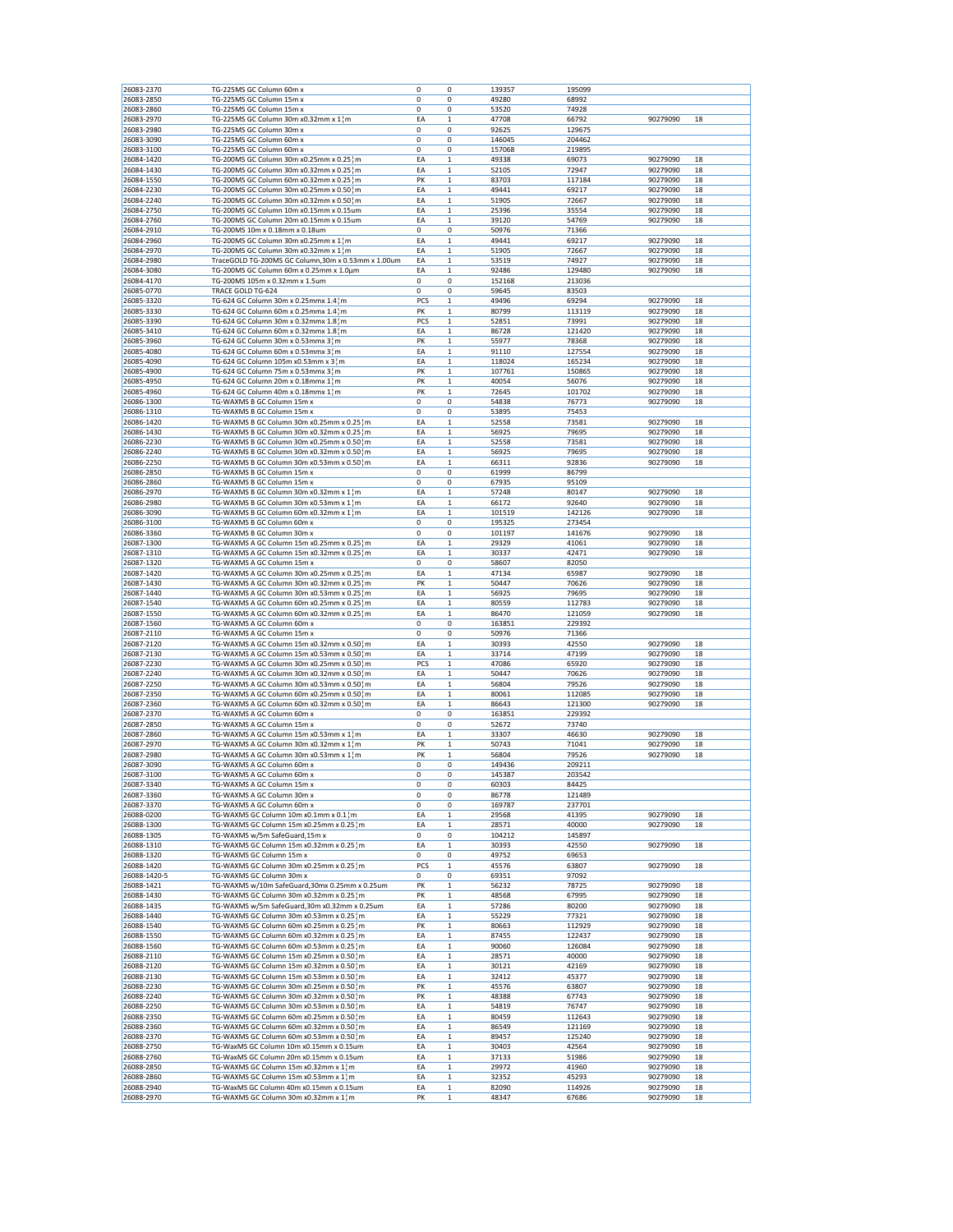| 26083-2370                 | TG-225MS GC Column 60m x                                                               | 0              | 0                          | 139357           | 195099           |                      |          |
|----------------------------|----------------------------------------------------------------------------------------|----------------|----------------------------|------------------|------------------|----------------------|----------|
| 26083-2850                 | TG-225MS GC Column 15m x                                                               | 0              | 0                          | 49280            | 68992            |                      |          |
| 26083-2860                 | TG-225MS GC Column 15m x                                                               | 0              | 0                          | 53520            | 74928            |                      |          |
| 26083-2970                 | TG-225MS GC Column 30m x0.32mm x 1¦m                                                   | EA             | 1                          | 47708            | 66792            | 90279090             | 18       |
| 26083-2980                 | TG-225MS GC Column 30m x                                                               | 0              | 0                          | 92625            | 129675           |                      |          |
| 26083-3090<br>26083-3100   | TG-225MS GC Column 60m x<br>TG-225MS GC Column 60m x                                   | 0<br>0         | 0<br>0                     | 146045<br>157068 | 204462<br>219895 |                      |          |
| 26084-1420                 | TG-200MS GC Column 30m x0.25mm x 0.25 m                                                | EA             | 1                          | 49338            | 69073            | 90279090             | 18       |
| 26084-1430                 | TG-200MS GC Column 30m x0.32mm x 0.25 m                                                | EA             | 1                          | 52105            | 72947            | 90279090             | 18       |
| 26084-1550                 | TG-200MS GC Column 60m x0.32mm x 0.25 m                                                | PK             | $\mathbf 1$                | 83703            | 117184           | 90279090             | 18       |
| 26084-2230                 | TG-200MS GC Column 30m x0.25mm x 0.50 m                                                | EA             | 1                          | 49441            | 69217            | 90279090             | 18       |
| 26084-2240                 | TG-200MS GC Column 30m x0.32mm x 0.50 m                                                | EA             | $\mathbf 1$                | 51905            | 72667            | 90279090             | 18       |
| 26084-2750                 | TG-200MS GC Column 10m x0.15mm x 0.15um                                                | EA             | $\mathbf 1$                | 25396            | 35554            | 90279090             | 18       |
| 26084-2760                 | TG-200MS GC Column 20m x0.15mm x 0.15um                                                | EA<br>0        | 1                          | 39120            | 54769            | 90279090             | 18       |
| 26084-2910<br>26084-2960   | TG-200MS 10m x 0.18mm x 0.18um<br>TG-200MS GC Column 30m x0.25mm x 1¦m                 | EA             | 0<br>$\mathbf 1$           | 50976<br>49441   | 71366<br>69217   | 90279090             | 18       |
| 26084-2970                 | TG-200MS GC Column 30m x0.32mm x 1 m                                                   | EA             | 1                          | 51905            | 72667            | 90279090             | 18       |
| 26084-2980                 | TraceGOLD TG-200MS GC Column,30m x 0.53mm x 1.00um                                     | EA             | $\mathbf 1$                | 53519            | 74927            | 90279090             | 18       |
| 26084-3080                 | TG-200MS GC Column 60m x 0.25mm x 1.0um                                                | EA             | $\mathbf 1$                | 92486            | 129480           | 90279090             | 18       |
| 26084-4170                 | TG-200MS 105m x 0.32mm x 1.5um                                                         | 0              | 0                          | 152168           | 213036           |                      |          |
| 26085-0770                 | TRACE GOLD TG-624                                                                      | 0              | 0                          | 59645            | 83503            |                      |          |
| 26085-3320                 | TG-624 GC Column 30m x 0.25mmx 1.4 m                                                   | PCS            | $\mathbf 1$                | 49496            | 69294            | 90279090             | 18       |
| 26085-3330<br>26085-3390   | TG-624 GC Column 60m x 0.25mmx 1.4 m<br>TG-624 GC Column 30m x 0.32mmx 1.8 m           | PK<br>PCS      | 1<br>$\mathbf 1$           | 80799<br>52851   | 113119<br>73991  | 90279090<br>90279090 | 18<br>18 |
| 26085-3410                 | TG-624 GC Column 60m x 0.32mmx 1.8 m                                                   | EA             | $\mathbf{1}$               | 86728            | 121420           | 90279090             | 18       |
| 26085-3960                 | TG-624 GC Column 30m x 0.53mmx 3¦m                                                     | PK             | $\mathbf 1$                | 55977            | 78368            | 90279090             | 18       |
| 26085-4080                 | TG-624 GC Column 60m x 0.53mmx 31m                                                     | EA             | 1                          | 91110            | 127554           | 90279090             | 18       |
| 26085-4090                 | TG-624 GC Column 105m x0.53mm x 3 m                                                    | EA             | $\mathbf 1$                | 118024           | 165234           | 90279090             | 18       |
| 26085-4900                 | TG-624 GC Column 75m x 0.53mmx 31m                                                     | PK             | 1                          | 107761           | 150865           | 90279090             | 18       |
| 26085-4950                 | TG-624 GC Column 20m x 0.18mmx 1 m                                                     | PK             | 1                          | 40054            | 56076            | 90279090             | 18       |
| 26085-4960                 | TG-624 GC Column 40m x 0.18mmx 1 m<br>TG-WAXMS B GC Column 15m x                       | PK             | $\mathbf{1}$               | 72645            | 101702           | 90279090             | 18       |
| 26086-1300                 |                                                                                        | 0              | 0                          | 54838            | 76773            | 90279090             | 18       |
| 26086-1310<br>26086-1420   | TG-WAXMS B GC Column 15m x<br>TG-WAXMS B GC Column 30m x0.25mm x 0.25 m                | 0<br>EA        | 0<br>1                     | 53895<br>52558   | 75453<br>73581   | 90279090             | 18       |
| 26086-1430                 | TG-WAXMS B GC Column 30m x0.32mm x 0.25 m                                              | EA             | $\mathbf 1$                | 56925            | 79695            | 90279090             | 18       |
| 26086-2230                 | TG-WAXMS B GC Column 30m x0.25mm x 0.50 m                                              | EA             | 1                          | 52558            | 73581            | 90279090             | 18       |
| 26086-2240                 | TG-WAXMS B GC Column 30m x0.32mm x 0.50 m                                              | EA             | $\mathbf 1$                | 56925            | 79695            | 90279090             | 18       |
| 26086-2250                 | TG-WAXMS B GC Column 30m x0.53mm x 0.50 m                                              | EA             | $\mathbf 1$                | 66311            | 92836            | 90279090             | 18       |
| 26086-2850                 | TG-WAXMS B GC Column 15m x                                                             | 0              | 0                          | 61999            | 86799            |                      |          |
| 26086-2860                 | TG-WAXMS B GC Column 15m x                                                             | 0              | 0                          | 67935            | 95109            |                      |          |
| 26086-2970                 | TG-WAXMS B GC Column 30m x0.32mm x 1 m                                                 | EA             | $\mathbf 1$                | 57248            | 80147            | 90279090             | 18       |
| 26086-2980<br>26086-3090   | TG-WAXMS B GC Column 30m x0.53mm x 1 m<br>TG-WAXMS B GC Column 60m x0.32mm x 1¦m       | EA             | 1                          | 66172<br>101519  | 92640<br>142126  | 90279090             | 18       |
| 26086-3100                 | TG-WAXMS B GC Column 60m x                                                             | EA<br>0        | 1<br>0                     | 195325           | 273454           | 90279090             | 18       |
| 26086-3360                 | TG-WAXMS B GC Column 30m x                                                             | 0              | 0                          | 101197           | 141676           | 90279090             | 18       |
| 26087-1300                 | TG-WAXMS A GC Column 15m x0.25mm x 0.25 m                                              | EA             | 1                          | 29329            | 41061            | 90279090             | 18       |
| 26087-1310                 | TG-WAXMS A GC Column 15m x0.32mm x 0.25 m                                              | EA             | $\mathbf 1$                | 30337            | 42471            | 90279090             | 18       |
| 26087-1320                 | TG-WAXMS A GC Column 15m x                                                             | 0              | 0                          | 58607            | 82050            |                      |          |
| 26087-1420                 | TG-WAXMS A GC Column 30m x0.25mm x 0.25 m                                              | EA             | 1                          | 47134            | 65987            | 90279090             | 18       |
| 26087-1430                 | TG-WAXMS A GC Column 30m x0.32mm x 0.25 m                                              | PK             | $\mathbf{1}$               | 50447            | 70626            | 90279090             | 18       |
| 26087-1440                 | TG-WAXMS A GC Column 30m x0.53mm x 0.25 m                                              | EA             | $\mathbf 1$                | 56925            | 79695            | 90279090             | 18       |
| 26087-1540<br>26087-1550   | TG-WAXMS A GC Column 60m x0.25mm x 0.25 m<br>TG-WAXMS A GC Column 60m x0.32mm x 0.25 m | EA<br>EA       | 1<br>$\mathbf 1$           | 80559<br>86470   | 112783<br>121059 | 90279090<br>90279090 | 18<br>18 |
| 26087-1560                 | TG-WAXMS A GC Column 60m x                                                             | 0              | 0                          | 163851           | 229392           |                      |          |
| 26087-2110                 | TG-WAXMS A GC Column 15m x                                                             | 0              | 0                          | 50976            | 71366            |                      |          |
| 26087-2120                 | TG-WAXMS A GC Column 15m x0.32mm x 0.50 m                                              | EA             | $\mathbf{1}$               | 30393            | 42550            | 90279090             | 18       |
| 26087-2130                 | TG-WAXMS A GC Column 15m x0.53mm x 0.50 m                                              | EA             | $\mathbf 1$                | 33714            | 47199            | 90279090             | 18       |
| 26087-2230                 | TG-WAXMS A GC Column 30m x0.25mm x 0.50 m                                              | PCS            | 1                          | 47086            | 65920            | 90279090             | 18       |
| 26087-2240                 | TG-WAXMS A GC Column 30m x0.32mm x 0.50 m                                              | EA             | $\mathbf 1$                | 50447            | 70626            | 90279090             | 18       |
| 26087-2250                 | TG-WAXMS A GC Column 30m x0.53mm x 0.50 ¦ m                                            | EA             | $\mathbf 1$                | 56804            | 79526            | 90279090             | 18       |
| 26087-2350<br>26087-2360   | TG-WAXMS A GC Column 60m x0.25mm x 0.50 m<br>TG-WAXMS A GC Column 60m x0.32mm x 0.50 m | EA<br>EA       | $\mathbf 1$<br>1           | 80061<br>86643   | 112085<br>121300 | 90279090<br>90279090 | 18<br>18 |
| 26087-2370                 | TG-WAXMS A GC Column 60m x                                                             | 0              | 0                          | 163851           | 229392           |                      |          |
| 26087-2850                 | TG-WAXMS A GC Column 15m x                                                             | 0              | 0                          | 52672            | 73740            |                      |          |
| 26087-2860                 | TG-WAXMS A GC Column 15m x0.53mm x 1 m                                                 | EA             | 1                          | 33307            | 46630            | 90279090             | 18       |
| 26087-2970                 | TG-WAXMS A GC Column 30m x0.32mm x 1 m                                                 | PK             | $\mathbf 1$                | 50743            | 71041            | 90279090             | 18       |
| 26087-2980                 | TG-WAXMS A GC Column 30m x0.53mm x 1 m                                                 | PK             | 1                          | 56804            | 79526            | 90279090             | 18       |
| 26087-3090                 | TG-WAXMS A GC Column 60m x                                                             | 0              | 0                          | 149436           | 209211           |                      |          |
| 26087-3100<br>26087-3340   | TG-WAXMS A GC Column 60m x                                                             | 0<br>$\pmb{0}$ | 0<br>0                     | 145387           | 203542           |                      |          |
| 26087-3360                 | TG-WAXMS A GC Column 15m x<br>TG-WAXMS A GC Column 30m x                               | 0              | 0                          | 60303<br>86778   | 84425<br>121489  |                      |          |
| 26087-3370                 | TG-WAXMS A GC Column 60m x                                                             | 0              | 0                          | 169787           | 237701           |                      |          |
| 26088-0200                 | TG-WAXMS GC Column 10m x0.1mm x 0.1 m                                                  | EA             | 1                          | 29568            | 41395            | 90279090             | 18       |
| 26088-1300                 | TG-WAXMS GC Column 15m x0.25mm x 0.25 m                                                | EA             | 1                          | 28571            | 40000            | 90279090             | 18       |
| 26088-1305                 | TG-WAXMS w/5m SafeGuard,15m x                                                          | 0              | 0                          | 104212           | 145897           |                      |          |
| 26088-1310                 | TG-WAXMS GC Column 15m x0.32mm x 0.25 m                                                | EA             | $\mathbf{1}$               | 30393            | 42550            | 90279090             | 18       |
| 26088-1320                 | TG-WAXMS GC Column 15m x<br>TG-WAXMS GC Column 30m x0.25mm x 0.25 m                    | 0              | 0                          | 49752            | 69653            |                      |          |
| 26088-1420                 |                                                                                        | PCS            | $\mathbf 1$                | 45576            | 63807            | 90279090             | 18       |
| 26088-1420-5<br>26088-1421 | TG-WAXMS GC Column 30m x<br>TG-WAXMS w/10m SafeGuard,30mx 0.25mm x 0.25um              | 0<br>PK        | 0<br>1                     | 69351<br>56232   | 97092<br>78725   | 90279090             | 18       |
| 26088-1430                 | TG-WAXMS GC Column 30m x0.32mm x 0.25 m                                                | PK             | $\mathbf 1$                | 48568            | 67995            | 90279090             | 18       |
| 26088-1435                 | TG-WAXMS w/5m SafeGuard,30m x0.32mm x 0.25um                                           | EA             | $\mathbf 1$                | 57286            | 80200            | 90279090             | 18       |
| 26088-1440                 | TG-WAXMS GC Column 30m x0.53mm x 0.25 ¦ m                                              | EA             | 1                          | 55229            | 77321            | 90279090             | 18       |
| 26088-1540                 | TG-WAXMS GC Column 60m x0.25mm x 0.25 m                                                | PK             | 1                          | 80663            | 112929           | 90279090             | 18       |
| 26088-1550                 | TG-WAXMS GC Column 60m x0.32mm x 0.25 m                                                | EA             | $\mathbf{1}$               | 87455            | 122437           | 90279090             | 18       |
| 26088-1560                 | TG-WAXMS GC Column 60m x0.53mm x 0.25 m                                                | EA             | $\mathbf 1$                | 90060            | 126084           | 90279090             | 18       |
| 26088-2110<br>26088-2120   | TG-WAXMS GC Column 15m x0.25mm x 0.50 m<br>TG-WAXMS GC Column 15m x0.32mm x 0.50¦m     | EA<br>EA       | $\mathbf 1$<br>$\mathbf 1$ | 28571<br>30121   | 40000<br>42169   | 90279090<br>90279090 | 18       |
| 26088-2130                 | TG-WAXMS GC Column 15m x0.53mm x 0.50¦m                                                | EA             | 1                          | 32412            | 45377            | 90279090             | 18<br>18 |
| 26088-2230                 | TG-WAXMS GC Column 30m x0.25mm x 0.50 m                                                | PK             | $\mathbf 1$                | 45576            | 63807            | 90279090             | 18       |
| 26088-2240                 | TG-WAXMS GC Column 30m x0.32mm x 0.50 m                                                | PK             | $\mathbf 1$                | 48388            | 67743            | 90279090             | 18       |
| 26088-2250                 | TG-WAXMS GC Column 30m x0.53mm x 0.50 m                                                | EA             | 1                          | 54819            | 76747            | 90279090             | 18       |
| 26088-2350                 | TG-WAXMS GC Column 60m x0.25mm x 0.50 m                                                | EA             | $\mathbf 1$                | 80459            | 112643           | 90279090             | 18       |
| 26088-2360                 | TG-WAXMS GC Column 60m x0.32mm x 0.50 m                                                | EA             | $\mathbf 1$                | 86549            | 121169           | 90279090             | 18       |
| 26088-2370                 | TG-WAXMS GC Column 60m x0.53mm x 0.50¦m                                                | EA             | 1                          | 89457            | 125240           | 90279090             | 18       |
| 26088-2750<br>26088-2760   | TG-WaxMS GC Column 10m x0.15mm x 0.15um<br>TG-WaxMS GC Column 20m x0.15mm x 0.15um     | EA<br>EA       | 1<br>$\mathbf 1$           | 30403<br>37133   | 42564<br>51986   | 90279090<br>90279090 | 18<br>18 |
| 26088-2850                 | TG-WAXMS GC Column 15m x0.32mm x 1 m                                                   | EA             | 1                          | 29972            | 41960            | 90279090             | 18       |
| 26088-2860                 | TG-WAXMS GC Column 15m x0.53mm x 1 m                                                   | EA             | $\mathbf 1$                | 32352            | 45293            | 90279090             | 18       |
| 26088-2940                 | TG-WaxMS GC Column 40m x0.15mm x 0.15um                                                | EA             | $\mathbf 1$                | 82090            | 114926           | 90279090             | 18       |
| 26088-2970                 | TG-WAXMS GC Column 30m x0.32mm x 1¦m                                                   | PK             | 1                          | 48347            | 67686            | 90279090             | 18       |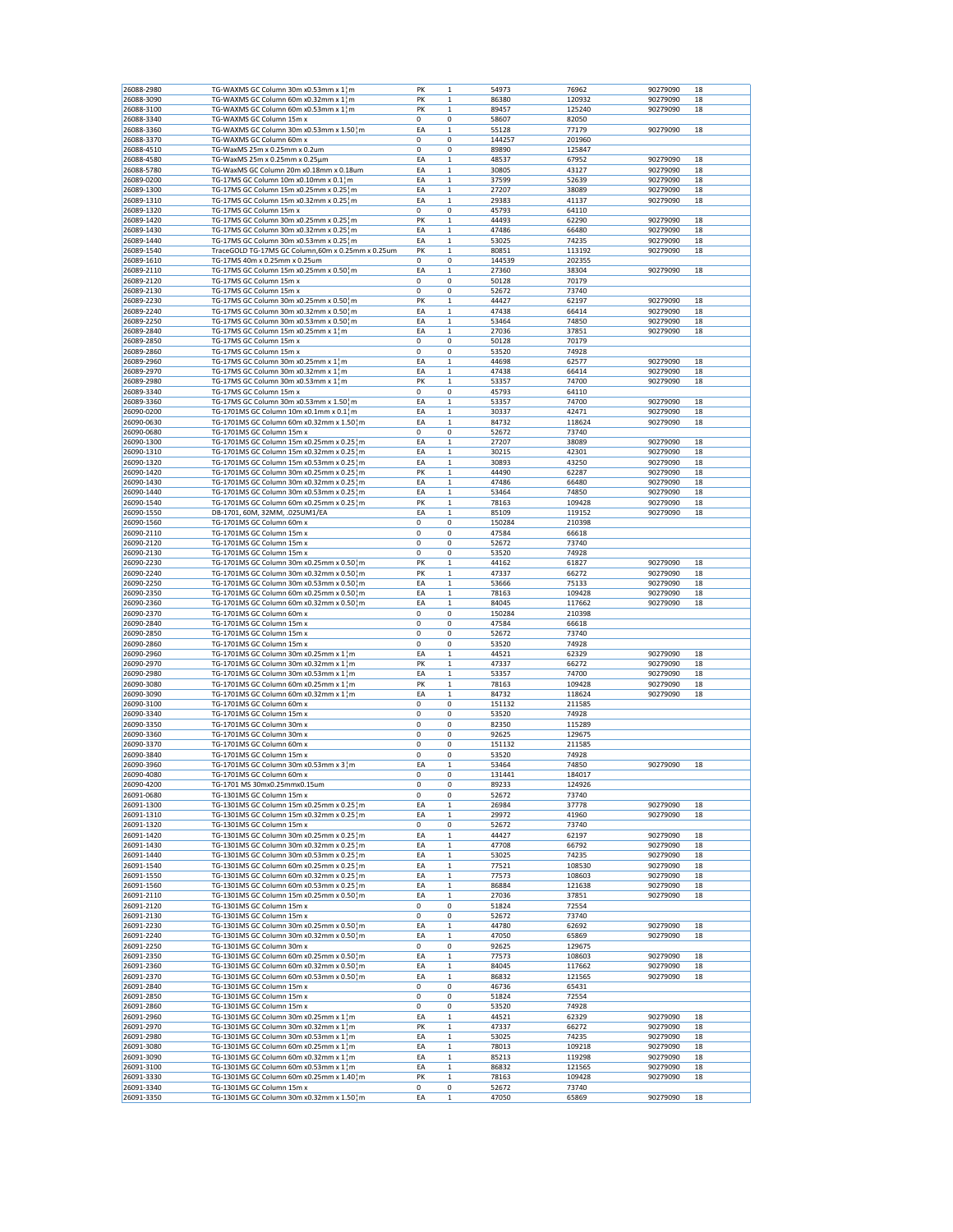|                          | TG-WAXMS GC Column 30m x0.53mm x 1 m                                  | PK          | 1                | 54973          | 76962          | 90279090 | 18 |
|--------------------------|-----------------------------------------------------------------------|-------------|------------------|----------------|----------------|----------|----|
| 26088-3090               | TG-WAXMS GC Column 60m x0.32mm x 1 m                                  | PK          | 1                | 86380          | 120932         | 90279090 | 18 |
| 26088-3100               | TG-WAXMS GC Column 60m x0.53mm x 1¦m                                  | PK          | $\mathbf 1$      | 89457          | 125240         | 90279090 | 18 |
| 26088-3340               | TG-WAXMS GC Column 15m x                                              | 0           | 0                | 58607          | 82050          |          |    |
|                          | TG-WAXMS GC Column 30m x0.53mm x 1.50; m                              |             |                  |                |                |          |    |
| 26088-3360               |                                                                       | EA          | $\mathbf 1$      | 55128          | 77179          | 90279090 | 18 |
| 26088-3370               | TG-WAXMS GC Column 60m x                                              | 0           | 0                | 144257         | 201960         |          |    |
| 26088-4510               | TG-WaxMS 25m x 0.25mm x 0.2um                                         | 0           | 0                | 89890          | 125847         |          |    |
| 26088-4580               | TG-WaxMS 25m x 0.25mm x 0.25μm                                        | EA          | $\mathbf 1$      | 48537          | 67952          | 90279090 | 18 |
| 26088-5780               | TG-WaxMS GC Column 20m x0.18mm x 0.18um                               | EA          | $\mathbf 1$      | 30805          | 43127          | 90279090 | 18 |
| 26089-0200               | TG-17MS GC Column 10m x0.10mm x 0.1 m                                 | EA          | $\mathbf 1$      | 37599          | 52639          | 90279090 | 18 |
| 26089-1300               | TG-17MS GC Column 15m x0.25mm x 0.25 m                                | EA          | $\mathbf 1$      | 27207          | 38089          | 90279090 | 18 |
| 26089-1310               | TG-17MS GC Column 15m x0.32mm x 0.25 m                                | EA          | $\mathbf 1$      | 29383          | 41137          | 90279090 | 18 |
|                          |                                                                       | 0           |                  |                |                |          |    |
| 26089-1320               | TG-17MS GC Column 15m x                                               |             | 0                | 45793          | 64110          |          |    |
| 26089-1420               | TG-17MS GC Column 30m x0.25mm x 0.25 m                                | PK          | $\mathbf 1$      | 44493          | 62290          | 90279090 | 18 |
| 26089-1430               | TG-17MS GC Column 30m x0.32mm x 0.25 m                                | EA          | $\mathbf 1$      | 47486          | 66480          | 90279090 | 18 |
| 26089-1440               | TG-17MS GC Column 30m x0.53mm x 0.25 m                                | EA          | $\mathbf{1}$     | 53025          | 74235          | 90279090 | 18 |
| 26089-1540               | TraceGOLD TG-17MS GC Column,60m x 0.25mm x 0.25um                     | PK          | 1                | 80851          | 113192         | 90279090 | 18 |
| 26089-1610               | TG-17MS 40m x 0.25mm x 0.25um                                         | 0           | 0                | 144539         | 202355         |          |    |
| 26089-2110               | TG-17MS GC Column 15m x0.25mm x 0.50 m                                | EA          | 1                | 27360          | 38304          | 90279090 | 18 |
| 26089-2120               | TG-17MS GC Column 15m x                                               | 0           | 0                | 50128          | 70179          |          |    |
|                          |                                                                       |             |                  |                |                |          |    |
| 26089-2130               | TG-17MS GC Column 15m x                                               | $\mathbf 0$ | 0                | 52672          | 73740          |          |    |
| 26089-2230               | TG-17MS GC Column 30m x0.25mm x 0.50¦m                                | PK          | $\mathbf{1}$     | 44427          | 62197          | 90279090 | 18 |
| 26089-2240               | TG-17MS GC Column 30m x0.32mm x 0.50 m                                | EA          | 1                | 47438          | 66414          | 90279090 | 18 |
| 26089-2250               | TG-17MS GC Column 30m x0.53mm x 0.50 m                                | EA          | $\mathbf 1$      | 53464          | 74850          | 90279090 | 18 |
| 26089-2840               | TG-17MS GC Column 15m x0.25mm x 1¦m                                   | EA          | $\mathbf 1$      | 27036          | 37851          | 90279090 | 18 |
| 26089-2850               | TG-17MS GC Column 15m x                                               | 0           | 0                | 50128          | 70179          |          |    |
| 26089-2860               | TG-17MS GC Column 15m x                                               | 0           | 0                | 53520          | 74928          |          |    |
|                          |                                                                       |             |                  |                |                |          |    |
| 26089-2960               | TG-17MS GC Column 30m x0.25mm x 1¦m                                   | EA          | $\mathbf 1$      | 44698          | 62577          | 90279090 | 18 |
| 26089-2970               | TG-17MS GC Column 30m x0.32mm x 1¦m                                   | EA          | 1                | 47438          | 66414          | 90279090 | 18 |
| 26089-2980               | TG-17MS GC Column 30m x0.53mm x 1 m                                   | PK          | 1                | 53357          | 74700          | 90279090 | 18 |
| 26089-3340               | TG-17MS GC Column 15m x                                               | 0           | 0                | 45793          | 64110          |          |    |
| 26089-3360               | TG-17MS GC Column 30m x0.53mm x 1.50 m                                | EA          | $\mathbf 1$      | 53357          | 74700          | 90279090 | 18 |
| 26090-0200               | TG-1701MS GC Column 10m x0.1mm x 0.1¦m                                | EA          |                  |                |                | 90279090 | 18 |
|                          |                                                                       |             | $\mathbf 1$      | 30337          | 42471          |          |    |
| 26090-0630               | TG-1701MS GC Column 60m x0.32mm x 1.50 m                              | EA          | $\mathbf 1$      | 84732          | 118624         | 90279090 | 18 |
| 26090-0680               | TG-1701MS GC Column 15m x                                             | 0           | 0                | 52672          | 73740          |          |    |
| 26090-1300               | TG-1701MS GC Column 15m x0.25mm x 0.25 m                              | EA          | 1                | 27207          | 38089          | 90279090 | 18 |
| 26090-1310               | TG-1701MS GC Column 15m x0.32mm x 0.25 ¦ m                            | EA          | $\mathbf 1$      | 30215          | 42301          | 90279090 | 18 |
| 26090-1320               | TG-1701MS GC Column 15m x0.53mm x 0.25 m                              | EA          | 1                | 30893          | 43250          | 90279090 | 18 |
|                          |                                                                       |             |                  |                |                |          |    |
| 26090-1420               | TG-1701MS GC Column 30m x0.25mm x 0.25 m                              | PK          | $\mathbf 1$      | 44490          | 62287          | 90279090 | 18 |
| 26090-1430               | TG-1701MS GC Column 30m x0.32mm x 0.25 m                              | EA          | $\mathbf 1$      | 47486          | 66480          | 90279090 | 18 |
| 26090-1440               | TG-1701MS GC Column 30m x0.53mm x 0.25 m                              | EA          | $\mathbf{1}$     | 53464          | 74850          | 90279090 | 18 |
| 26090-1540               | TG-1701MS GC Column 60m x0.25mm x 0.25 m                              | PK          | 1                | 78163          | 109428         | 90279090 | 18 |
| 26090-1550               | DB-1701, 60M, 32MM, .025UM1/EA                                        | EA          | $\mathbf 1$      | 85109          | 119152         | 90279090 | 18 |
| 26090-1560               | TG-1701MS GC Column 60m x                                             | 0           | 0                | 150284         | 210398         |          |    |
| 26090-2110               | TG-1701MS GC Column 15m x                                             | 0           | $\mathbf 0$      | 47584          | 66618          |          |    |
|                          |                                                                       |             |                  |                |                |          |    |
| 26090-2120               | TG-1701MS GC Column 15m x                                             | $\mathbf 0$ | 0                | 52672          | 73740          |          |    |
| 26090-2130               | TG-1701MS GC Column 15m x                                             | 0           | 0                | 53520          | 74928          |          |    |
| 26090-2230               | TG-1701MS GC Column 30m x0.25mm x 0.50 m                              | PK          | 1                | 44162          | 61827          | 90279090 | 18 |
| 26090-2240               | TG-1701MS GC Column 30m x0.32mm x 0.50 m                              | PK          | $\mathbf 1$      | 47337          | 66272          | 90279090 | 18 |
| 26090-2250               | TG-1701MS GC Column 30m x0.53mm x 0.50 m                              | EA          | $\mathbf 1$      | 53666          | 75133          | 90279090 | 18 |
| 26090-2350               | TG-1701MS GC Column 60m x0.25mm x 0.50 m                              | EA          | 1                | 78163          | 109428         | 90279090 | 18 |
|                          |                                                                       |             |                  |                | 117662         |          | 18 |
| 26090-2360               | TG-1701MS GC Column 60m x0.32mm x 0.50 m                              | EA          | $\mathbf 1$      |                |                | 90279090 |    |
|                          |                                                                       |             |                  | 84045          |                |          |    |
| 26090-2370               | TG-1701MS GC Column 60m x                                             | 0           | 0                | 150284         | 210398         |          |    |
| 26090-2840               | TG-1701MS GC Column 15m x                                             | 0           | 0                | 47584          | 66618          |          |    |
| 26090-2850               | TG-1701MS GC Column 15m x                                             | 0           | 0                | 52672          | 73740          |          |    |
| 26090-2860               | TG-1701MS GC Column 15m x                                             | $\mathbf 0$ | 0                |                | 74928          |          |    |
|                          |                                                                       |             |                  | 53520          |                |          |    |
| 26090-2960               | TG-1701MS GC Column 30m x0.25mm x 1 m                                 | EA          | $\mathbf 1$      | 44521          | 62329          | 90279090 | 18 |
| 26090-2970               | TG-1701MS GC Column 30m x0.32mm x 1 m                                 | PK          | $\mathbf 1$      | 47337          | 66272          | 90279090 | 18 |
| 26090-2980               | TG-1701MS GC Column 30m x0.53mm x 1 m                                 | EA          | $\mathbf 1$      | 53357          | 74700          | 90279090 | 18 |
| 26090-3080               | TG-1701MS GC Column 60m x0.25mm x 1¦m                                 | PK          | $\mathbf 1$      | 78163          | 109428         | 90279090 | 18 |
| 26090-3090               | TG-1701MS GC Column 60m x0.32mm x 1¦m                                 | EA          | $\mathbf 1$      | 84732          | 118624         | 90279090 | 18 |
| 26090-3100               | TG-1701MS GC Column 60m x                                             | 0           | 0                | 151132         | 211585         |          |    |
|                          |                                                                       |             |                  |                |                |          |    |
| 26090-3340               | TG-1701MS GC Column 15m x                                             | 0           | 0                | 53520          | 74928          |          |    |
| 26090-3350               | TG-1701MS GC Column 30m x                                             | 0           | 0                | 82350          | 115289         |          |    |
| 26090-3360               | TG-1701MS GC Column 30m x                                             | 0           | 0                | 92625          | 129675         |          |    |
| 26090-3370               | TG-1701MS GC Column 60m x                                             | 0           | 0                | 151132         | 211585         |          |    |
| 26090-3840               | TG-1701MS GC Column 15m x                                             | 0           | 0                | 53520          | 74928          |          |    |
| 26090-3960               | TG-1701MS GC Column 30m x0.53mm x 3 m                                 | EA          | $\mathbf 1$      | 53464          | 74850          | 90279090 | 18 |
| 26090-4080               | TG-1701MS GC Column 60m x                                             | 0           | 0                | 131441         | 184017         |          |    |
| 26090-4200               | TG-1701 MS 30mx0.25mmx0.15um                                          | 0           | 0                | 89233          | 124926         |          |    |
|                          |                                                                       | 0           |                  |                |                |          |    |
| 26091-0680               | TG-1301MS GC Column 15m x                                             |             | 0                | 52672          | 73740          |          |    |
| 26091-1300               | TG-1301MS GC Column 15m x0.25mm x 0.25 m                              | EA          | $\mathbf{1}$     | 26984          | 37778          | 90279090 | 18 |
| 26091-1310               | TG-1301MS GC Column 15m x0.32mm x 0.25 ¦ m                            | EA          | 1                | 29972          | 41960          | 90279090 | 18 |
| 26091-1320               | TG-1301MS GC Column 15m x                                             | 0           | 0                | 52672          | 73740          |          |    |
| 26091-1420               | TG-1301MS GC Column 30m x0.25mm x 0.25 m                              | EA          | $\mathbf 1$      | 44427          | 62197          | 90279090 | 18 |
| 26091-1430               | TG-1301MS GC Column 30m x0.32mm x 0.25 m                              | EA          | 1                | 47708          | 66792          | 90279090 | 18 |
| 26091-1440               | TG-1301MS GC Column 30m x0.53mm x 0.25 ¦ m                            | EA          | $\mathbf 1$      | 53025          | 74235          | 90279090 | 18 |
|                          |                                                                       |             |                  |                |                | 90279090 | 18 |
| 26091-1540               | TG-1301MS GC Column 60m x0.25mm x 0.25 m                              | EA          | $\mathbf 1$      | 77521          | 108530         |          |    |
| 26091-1550               | TG-1301MS GC Column 60m x0.32mm x 0.25 m                              | EA          | $\mathbf 1$      | 77573          | 108603         | 90279090 | 18 |
| 26091-1560               | TG-1301MS GC Column 60m x0.53mm x 0.25 m                              | EA          | 1                | 86884          | 121638         | 90279090 | 18 |
| 26091-2110               | TG-1301MS GC Column 15m x0.25mm x 0.50 } m                            | EA          | $\mathbf 1$      | 27036          | 37851          | 90279090 | 18 |
| 26091-2120               | TG-1301MS GC Column 15m x                                             | 0           | 0                | 51824          | 72554          |          |    |
| 26091-2130               | TG-1301MS GC Column 15m x                                             | 0           | 0                | 52672          | 73740          |          |    |
| 26091-2230               | TG-1301MS GC Column 30m x0.25mm x 0.50 } m                            | EA          | $\mathbf 1$      | 44780          | 62692          | 90279090 | 18 |
| 26091-2240               | TG-1301MS GC Column 30m x0.32mm x 0.50 m                              | EA          | $\mathbf{1}$     | 47050          | 65869          | 90279090 | 18 |
|                          |                                                                       |             |                  |                |                |          |    |
| 26091-2250               | TG-1301MS GC Column 30m x                                             | 0           | 0                | 92625          | 129675         |          |    |
| 26091-2350               | TG-1301MS GC Column 60m x0.25mm x 0.50 m                              | EA          | $\mathbf 1$      | 77573          | 108603         | 90279090 | 18 |
| 26091-2360               | TG-1301MS GC Column 60m x0.32mm x 0.50 m                              | EA          | 1                | 84045          | 117662         | 90279090 | 18 |
| 26091-2370               | TG-1301MS GC Column 60m x0.53mm x 0.50 m                              | EA          | $\mathbf 1$      | 86832          | 121565         | 90279090 | 18 |
| 26091-2840               | TG-1301MS GC Column 15m x                                             | 0           | 0                | 46736          | 65431          |          |    |
| 26091-2850               | TG-1301MS GC Column 15m x                                             | 0           | 0                | 51824          | 72554          |          |    |
|                          |                                                                       |             |                  |                |                |          |    |
| 26091-2860               | TG-1301MS GC Column 15m x                                             | 0           | 0                | 53520          | 74928          |          |    |
| 26091-2960               | TG-1301MS GC Column 30m x0.25mm x 1 m                                 | EA          | $\mathbf 1$      | 44521          | 62329          | 90279090 | 18 |
| 26091-2970               | TG-1301MS GC Column 30m x0.32mm x 1 m                                 | PK          | $\mathbf{1}$     | 47337          | 66272          | 90279090 | 18 |
| 26091-2980               | TG-1301MS GC Column 30m x0.53mm x 1 m                                 | EA          | $\mathbf 1$      | 53025          | 74235          | 90279090 | 18 |
| 26091-3080               | TG-1301MS GC Column 60m x0.25mm x 1 m                                 | EA          | $\mathbf 1$      | 78013          | 109218         | 90279090 | 18 |
| 26091-3090               | TG-1301MS GC Column 60m x0.32mm x 1 m                                 | EA          | $\mathbf 1$      | 85213          | 119298         | 90279090 | 18 |
|                          |                                                                       |             |                  |                |                |          |    |
| 26091-3100               | TG-1301MS GC Column 60m x0.53mm x 1 m                                 | EA          | 1                | 86832          | 121565         | 90279090 | 18 |
| 26091-3330               | TG-1301MS GC Column 60m x0.25mm x 1.40 m                              | PK          | $\mathbf 1$      | 78163          | 109428         | 90279090 | 18 |
| 26091-3340<br>26091-3350 | TG-1301MS GC Column 15m x<br>TG-1301MS GC Column 30m x0.32mm x 1.50 m | 0<br>EA     | 0<br>$\mathbf 1$ | 52672<br>47050 | 73740<br>65869 | 90279090 | 18 |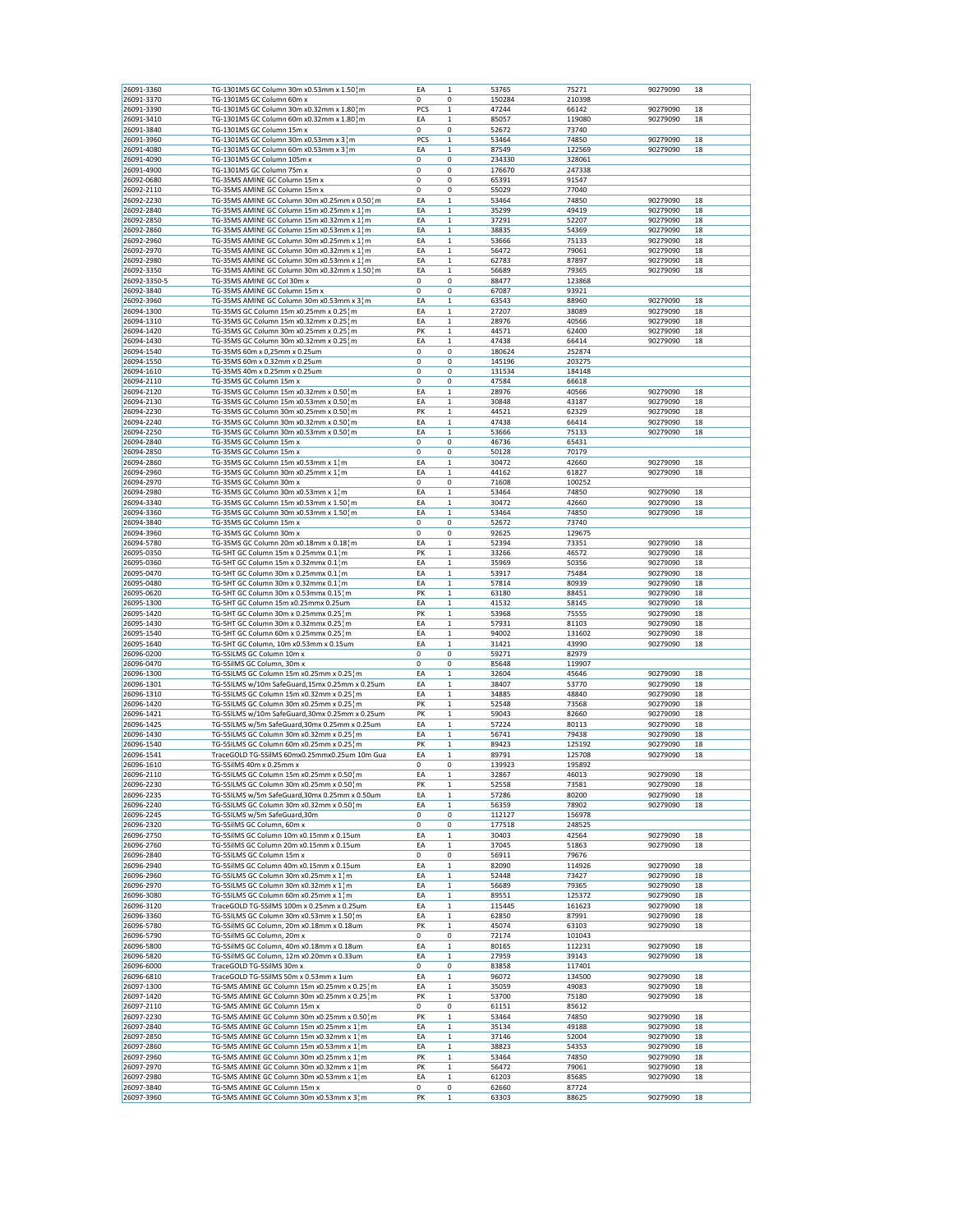| 26091-3360               | TG-1301MS GC Column 30m x0.53mm x 1.50 } m                                                | EA          | $\mathbf{1}$ | 53765          | 75271          | 90279090             | 18       |
|--------------------------|-------------------------------------------------------------------------------------------|-------------|--------------|----------------|----------------|----------------------|----------|
| 26091-3370               | TG-1301MS GC Column 60m x                                                                 | 0           | 0            | 150284         | 210398         |                      |          |
| 26091-3390               | TG-1301MS GC Column 30m x0.32mm x 1.80 m                                                  | PCS         | 1            | 47244          | 66142          | 90279090             | 18       |
| 26091-3410               | TG-1301MS GC Column 60m x0.32mm x 1.80 m                                                  | EA          | 1            | 85057          | 119080         | 90279090             | 18       |
| 26091-3840               | TG-1301MS GC Column 15m x                                                                 | $\mathbf 0$ | 0            | 52672          | 73740          |                      |          |
| 26091-3960               | TG-1301MS GC Column 30m x0.53mm x 3 m                                                     | PCS         | $\mathbf{1}$ | 53464          | 74850          | 90279090             | 18       |
| 26091-4080               | TG-1301MS GC Column 60m x0.53mm x 3 m                                                     | EA          | 1            | 87549          | 122569         | 90279090             | 18       |
| 26091-4090               | TG-1301MS GC Column 105m x                                                                | 0           | 0            | 234330         | 328061         |                      |          |
| 26091-4900               | TG-1301MS GC Column 75m x                                                                 | 0           | 0            | 176670         | 247338         |                      |          |
| 26092-0680               | TG-35MS AMINE GC Column 15m x                                                             | 0           | 0            | 65391          | 91547          |                      |          |
| 26092-2110               | TG-35MS AMINE GC Column 15m x                                                             | 0           | 0            | 55029          | 77040          |                      |          |
| 26092-2230               | TG-35MS AMINE GC Column 30m x0.25mm x 0.50 m                                              | EA          | 1            | 53464          | 74850          | 90279090             | 18       |
| 26092-2840               | TG-35MS AMINE GC Column 15m x0.25mm x 1 m                                                 | EA          | 1            | 35299          | 49419          | 90279090             | 18       |
| 26092-2850               | TG-35MS AMINE GC Column 15m x0.32mm x 1 ¦ m                                               | EA          | $\mathbf{1}$ | 37291          | 52207          | 90279090             | 18       |
| 26092-2860               | TG-35MS AMINE GC Column 15m x0.53mm x 1 m                                                 | EA          | 1            | 38835          | 54369          | 90279090             | 18       |
| 26092-2960               | TG-35MS AMINE GC Column 30m x0.25mm x 1 m                                                 | EA          | 1            | 53666          | 75133          | 90279090             | 18       |
| 26092-2970               | TG-35MS AMINE GC Column 30m x0.32mm x 1 m                                                 | EA          | 1            | 56472          | 79061          | 90279090             | 18       |
| 26092-2980               | TG-35MS AMINE GC Column 30m x0.53mm x 1 m                                                 | EA          | 1            | 62783          | 87897          | 90279090             | 18       |
| 26092-3350               | TG-35MS AMINE GC Column 30m x0.32mm x 1.50 m                                              | EA          | 1            | 56689          | 79365          | 90279090             | 18       |
|                          | TG-35MS AMINE GC Col 30m x                                                                | $\mathbf 0$ | 0            |                |                |                      |          |
| 26092-3350-5             |                                                                                           |             |              | 88477          | 123868         |                      |          |
| 26092-3840               | TG-35MS AMINE GC Column 15m x                                                             | 0           | 0            | 67087          | 93921          |                      |          |
| 26092-3960               | TG-35MS AMINE GC Column 30m x0.53mm x 3 m                                                 | EA          | 1            | 63543          | 88960          | 90279090             | 18       |
| 26094-1300               | TG-35MS GC Column 15m x0.25mm x 0.25 m                                                    | EA          | 1            | 27207          | 38089          | 90279090             | 18       |
| 26094-1310               | TG-35MS GC Column 15m x0.32mm x 0.25 m                                                    | EA          | $\mathbf{1}$ | 28976          | 40566          | 90279090             | 18       |
| 26094-1420               | TG-35MS GC Column 30m x0.25mm x 0.25 m                                                    | PK          | 1            | 44571          | 62400          | 90279090             | 18       |
| 26094-1430               | TG-35MS GC Column 30m x0.32mm x 0.25 m                                                    | EA          | 1            | 47438          | 66414          | 90279090             | 18       |
| 26094-1540               | TG-35MS 60m x 0,25mm x 0.25um                                                             | 0           | 0            | 180624         | 252874         |                      |          |
| 26094-1550               | TG-35MS 60m x 0.32mm x 0.25um                                                             | 0           | 0            | 145196         | 203275         |                      |          |
| 26094-1610               | TG-35MS 40m x 0.25mm x 0.25um                                                             | 0           | 0            | 131534         | 184148         |                      |          |
| 26094-2110               | TG-35MS GC Column 15m x                                                                   | $\mathbf 0$ | 0            | 47584          | 66618          |                      |          |
| 26094-2120               | TG-35MS GC Column 15m x0.32mm x 0.50 m                                                    | EA          | $\mathbf{1}$ | 28976          | 40566          | 90279090             | 18       |
| 26094-2130               | TG-35MS GC Column 15m x0.53mm x 0.50 m                                                    | EA          | 1            | 30848          | 43187          | 90279090             | 18       |
| 26094-2230               | TG-35MS GC Column 30m x0.25mm x 0.50 m                                                    | PK          | $\mathbf 1$  | 44521          | 62329          | 90279090             | 18       |
| 26094-2240               | TG-35MS GC Column 30m x0.32mm x 0.50¦m                                                    | EA          | $\mathbf{1}$ | 47438          | 66414          | 90279090             | 18       |
| 26094-2250               | TG-35MS GC Column 30m x0.53mm x 0.50 m                                                    | EA          | 1            | 53666          | 75133          | 90279090             | 18       |
| 26094-2840               | TG-35MS GC Column 15m x                                                                   | 0           | 0            | 46736          | 65431          |                      |          |
|                          |                                                                                           |             |              |                |                |                      |          |
| 26094-2850               | TG-35MS GC Column 15m x                                                                   | 0           | 0            | 50128          | 70179          |                      |          |
| 26094-2860               | TG-35MS GC Column 15m x0.53mm x 1¦m                                                       | EA          | 1            | 30472          | 42660          | 90279090             | 18       |
| 26094-2960               | TG-35MS GC Column 30m x0.25mm x 1¦m                                                       | EA          | 1            | 44162          | 61827          | 90279090             | 18       |
| 26094-2970               | TG-35MS GC Column 30m x                                                                   | 0           | 0            | 71608          | 100252         |                      |          |
| 26094-2980               | TG-35MS GC Column 30m x0.53mm x 1¦m                                                       | EA          | 1            | 53464          | 74850          | 90279090             | 18       |
| 26094-3340               | TG-35MS GC Column 15m x0.53mm x 1.50 m                                                    | EA          | 1            | 30472          | 42660          | 90279090             | 18       |
| 26094-3360               | TG-35MS GC Column 30m x0.53mm x 1.50 m                                                    | EA          | 1            | 53464          | 74850          | 90279090             | 18       |
| 26094-3840               | TG-35MS GC Column 15m x                                                                   | 0           | 0            | 52672          | 73740          |                      |          |
| 26094-3960               | TG-35MS GC Column 30m x                                                                   | $\mathbf 0$ | 0            | 92625          | 129675         |                      |          |
| 26094-5780               | TG-35MS GC Column 20m x0.18mm x 0.18 m                                                    | EA          | $\mathbf 1$  | 52394          | 73351          | 90279090             | 18       |
| 26095-0350               | TG-5HT GC Column 15m x 0.25mmx 0.1 m                                                      | PK          | 1            | 33266          | 46572          | 90279090             | 18       |
| 26095-0360               | TG-5HT GC Column 15m x 0.32mmx 0.1 m                                                      | EA          | 1            | 35969          | 50356          | 90279090             | 18       |
| 26095-0470               | TG-5HT GC Column 30m x 0.25mmx 0.1 m                                                      | EA          | $\mathbf{1}$ | 53917          | 75484          | 90279090             | 18       |
| 26095-0480               | TG-5HT GC Column 30m x 0.32mmx 0.1 m                                                      | EA          | 1            | 57814          | 80939          | 90279090             | 18       |
| 26095-0620               | TG-5HT GC Column 30m x 0.53mmx 0.15 m                                                     | PK          | 1            | 63180          | 88451          | 90279090             | 18       |
| 26095-1300               | TG-5HT GC Column 15m x0.25mmx 0.25um                                                      | EA          | $\mathbf 1$  | 41532          | 58145          | 90279090             | 18       |
|                          |                                                                                           | PK          |              |                |                |                      |          |
| 26095-1420               | TG-5HT GC Column 30m x 0.25mmx 0.25 m                                                     |             | 1            | 53968          | 75555          | 90279090             | 18       |
| 26095-1430               | TG-5HT GC Column 30m x 0.32mmx 0.25 m                                                     | EA          | 1            | 57931          | 81103          | 90279090             | 18       |
| 26095-1540               | TG-5HT GC Column 60m x 0.25mmx 0.25 m                                                     | EA          | $\mathbf 1$  | 94002          | 131602         | 90279090             | 18       |
| 26095-1640               | TG-5HT GC Column, 10m x0.53mm x 0.15um                                                    | EA          | 1            | 31421          | 43990          | 90279090             | 18       |
| 26096-0200               | TG-5SILMS GC Column 10m x                                                                 | 0           | 0            | 59271          | 82979          |                      |          |
| 26096-0470               | TG-5SilMS GC Column, 30m x                                                                | 0           | 0            | 85648          | 119907         |                      |          |
| 26096-1300               | TG-5SILMS GC Column 15m x0.25mm x 0.25 m                                                  | EA          | $\mathbf{1}$ | 32604          | 45646          | 90279090             | 18       |
| 26096-1301               | TG-5SILMS w/10m SafeGuard,15mx 0.25mm x 0.25um                                            | EA          | 1            | 38407          | 53770          | 90279090             | 18       |
| 26096-1310               | TG-5SILMS GC Column 15m x0.32mm x 0.25 m                                                  | EA          | $\mathbf 1$  | 34885          | 48840          | 90279090             | 18       |
| 26096-1420               | TG-5SILMS GC Column 30m x0.25mm x 0.25 m                                                  | PK          | 1            | 52548          | 73568          | 90279090             | 18       |
| 26096-1421               | TG-5SILMS w/10m SafeGuard,30mx 0.25mm x 0.25um                                            | PK          | 1            | 59043          | 82660          | 90279090             | 18       |
| 26096-1425               | TG-5SILMS w/5m SafeGuard,30mx 0.25mm x 0.25um                                             | EA          | $\mathbf{1}$ | 57224          | 80113          | 90279090             | 18       |
| 26096-1430               | TG-5SILMS GC Column 30m x0.32mm x 0.25 m                                                  | EA          | 1            | 56741          | 79438          | 90279090             | 18       |
| 26096-1540               | TG-5SILMS GC Column 60m x0.25mm x 0.25 m                                                  | PK          | 1            | 89423          | 125192         | 90279090             | 18       |
| 26096-1541               | TraceGOLD TG-5SilMS 60mx0.25mmx0.25um 10m Gua                                             | EA          | 1            | 89791          | 125708         | 90279090             | 18       |
| 26096-1610               | TG-5SilMS 40m x 0.25mm x                                                                  | $\mathbf 0$ | 0            | 139923         | 195892         |                      |          |
| 26096-2110               | TG-5SILMS GC Column 15m x0.25mm x 0.50 m                                                  | EA          | 1            | 32867          | 46013          | 90279090             | 18       |
|                          | TG-5SILMS GC Column 30m x0.25mm x 0.50 m                                                  | PK          | $\mathbf{1}$ |                |                |                      |          |
| 26096-2230<br>26096-2235 |                                                                                           | EA          | $\mathbf 1$  | 52558          | 73581<br>80200 | 90279090<br>90279090 | 18<br>18 |
|                          | TG-5SILMS w/5m SafeGuard,30mx 0.25mm x 0.50um<br>TG-5SILMS GC Column 30m x0.32mm x 0.50 m |             |              | 57286          |                |                      |          |
| 26096-2240               |                                                                                           | EA          | 1            | 56359          | 78902          | 90279090             | 18       |
| 26096-2245               | TG-5SILMS w/5m SafeGuard,30m<br>TG-5SilMS GC Column, 60m x                                | 0           | 0            | 112127         | 156978         |                      |          |
| 26096-2320               |                                                                                           | 0           | 0            | 177518         | 248525         |                      |          |
| 26096-2750               | TG-5SilMS GC Column 10m x0.15mm x 0.15um                                                  | EA          | 1            | 30403          | 42564          | 90279090             | 18       |
| 26096-2760               | TG-5SilMS GC Column 20m x0.15mm x 0.15um                                                  | EA          | 1            | 37045          | 51863          | 90279090             | 18       |
| 26096-2840               | TG-5SILMS GC Column 15m x                                                                 | 0           | 0            | 56911          | 79676          |                      |          |
| 26096-2940               | TG-5SilMS GC Column 40m x0.15mm x 0.15um                                                  | EA          | 1            | 82090          | 114926         | 90279090             | 18       |
| 26096-2960               | TG-5SILMS GC Column 30m x0.25mm x 1¦m                                                     | EA          | 1            | 52448          | 73427          | 90279090             | 18       |
| 26096-2970               | TG-5SILMS GC Column 30m x0.32mm x 1 m                                                     | EA          | $\mathbf 1$  | 56689          | 79365          | 90279090             | 18       |
| 26096-3080               | TG-5SILMS GC Column 60m x0.25mm x 1¦m                                                     | EA          | 1            | 89551          | 125372         | 90279090             | 18       |
| 26096-3120               | TraceGOLD TG-5SilMS 100m x 0.25mm x 0.25um                                                | EA          | 1            | 115445         | 161623         | 90279090             | 18       |
| 26096-3360               | TG-5SILMS GC Column 30m x0.53mm x 1.50 m                                                  | EA          | $\mathbf 1$  | 62850          | 87991          | 90279090             | 18       |
| 26096-5780               | TG-5SilMS GC Column, 20m x0.18mm x 0.18um                                                 | PK          | 1            | 45074          | 63103          | 90279090             | 18       |
| 26096-5790               | TG-5SilMS GC Column, 20m x                                                                | 0           | 0            | 72174          | 101043         |                      |          |
| 26096-5800               | TG-5SilMS GC Column, 40m x0.18mm x 0.18um                                                 | EA          | 1            | 80165          | 112231         | 90279090             | 18       |
| 26096-5820               | TG-5SilMS GC Column, 12m x0.20mm x 0.33um                                                 | EA          | 1            | 27959          | 39143          | 90279090             | 18       |
| 26096-6000               | TraceGOLD TG-5SilMS 30m x                                                                 | 0           | 0            | 83858          | 117401         |                      |          |
| 26096-6810               | TraceGOLD TG-5SilMS 50m x 0.53mm x 1um                                                    | EA          | 1            | 96072          | 134500         | 90279090             | 18       |
| 26097-1300               | TG-5MS AMINE GC Column 15m x0.25mm x 0.25 m                                               | EA          | $\mathbf{1}$ | 35059          | 49083          | 90279090             | 18       |
| 26097-1420               | TG-5MS AMINE GC Column 30m x0.25mm x 0.25 m                                               | PK          | 1            | 53700          | 75180          | 90279090             | 18       |
| 26097-2110               | TG-5MS AMINE GC Column 15m x                                                              | 0           | 0            | 61151          | 85612          |                      |          |
|                          |                                                                                           |             |              |                |                |                      |          |
| 26097-2230               | TG-5MS AMINE GC Column 30m x0.25mm x 0.50 m                                               | PK          | 1            | 53464          | 74850          | 90279090             | 18       |
| 26097-2840               | TG-5MS AMINE GC Column 15m x0.25mm x 1 m                                                  | EA          | 1            | 35134          | 49188          | 90279090             | 18       |
| 26097-2850               | TG-5MS AMINE GC Column 15m x0.32mm x 1¦m                                                  | EA          | 1            | 37146          | 52004          | 90279090             | 18       |
| 26097-2860               | TG-5MS AMINE GC Column 15m x0.53mm x 1¦m                                                  | EA          | $\mathbf 1$  | 38823          | 54353          | 90279090             | 18       |
| 26097-2960               | TG-5MS AMINE GC Column 30m x0.25mm x 1¦m                                                  | PK          | 1            | 53464          | 74850          | 90279090             | 18       |
| 26097-2970               | TG-5MS AMINE GC Column 30m x0.32mm x 1¦m                                                  | PK          | 1            | 56472          | 79061          | 90279090             | 18       |
| 26097-2980               |                                                                                           |             |              |                |                |                      |          |
|                          | TG-5MS AMINE GC Column 30m x0.53mm x 1¦m                                                  | EA          | 1            | 61203          | 85685          | 90279090             | 18       |
| 26097-3840<br>26097-3960 | TG-5MS AMINE GC Column 15m x<br>TG-5MS AMINE GC Column 30m x0.53mm x 31m                  | 0<br>PK     | 0            | 62660<br>63303 | 87724<br>88625 | 90279090             |          |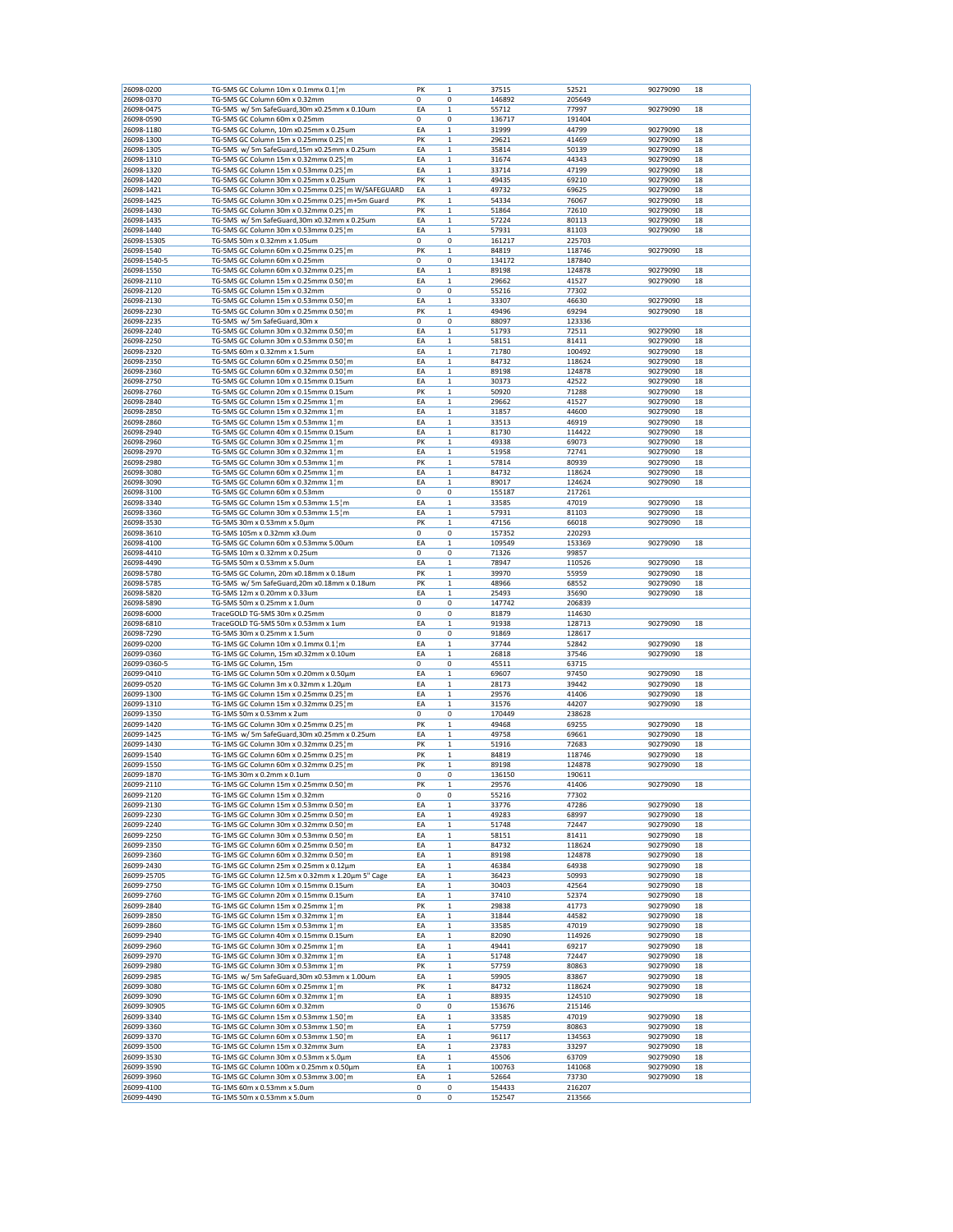| 26098-0200               | TG-5MS GC Column 10m x 0.1mmx 0.1 m                                  | PK      | 37515<br>$\mathbf{1}$               | 52521           | 90279090<br>18 |
|--------------------------|----------------------------------------------------------------------|---------|-------------------------------------|-----------------|----------------|
| 26098-0370               | TG-5MS GC Column 60m x 0.32mm                                        | 0       | 0<br>146892                         | 205649          |                |
| 26098-0475               | TG-5MS w/ 5m SafeGuard, 30m x0.25mm x 0.10um                         | EA      | 55712<br>$\mathbf 1$                | 77997           | 90279090<br>18 |
| 26098-0590               | TG-5MS GC Column 60m x 0.25mm                                        | 0       | 0<br>136717                         | 191404          |                |
| 26098-1180               | TG-5MS GC Column, 10m x0.25mm x 0.25um                               | EA      | $\mathbf 1$<br>31999                | 44799           | 90279090<br>18 |
| 26098-1300               | TG-5MS GC Column 15m x 0.25mmx 0.25 m                                | PK      | $\mathbf 1$<br>29621                | 41469           | 90279090<br>18 |
| 26098-1305               | TG-5MS w/ 5m SafeGuard,15m x0.25mm x 0.25um                          | EA      | $\mathbf 1$<br>35814                | 50139           | 90279090<br>18 |
| 26098-1310               | TG-5MS GC Column 15m x 0.32mmx 0.25 m                                | EA      | $\mathbf 1$<br>31674                | 44343           | 18<br>90279090 |
| 26098-1320               | TG-5MS GC Column 15m x 0.53mmx 0.25 m                                | EA      | $\mathbf 1$<br>33714                | 47199           | 18<br>90279090 |
| 26098-1420               | TG-5MS GC Column 30m x 0.25mm x 0.25um                               | PK      | $\mathbf 1$<br>49435                | 69210           | 18<br>90279090 |
| 26098-1421               | TG-5MS GC Column 30m x 0.25mmx 0.25 m W/SAFEGUARD                    | EA      | $\mathbf 1$<br>49732                | 69625           | 90279090<br>18 |
| 26098-1425               | TG-5MS GC Column 30m x 0.25mmx 0.25 m+5m Guard                       | PK      | $\mathbf 1$<br>54334                | 76067           | 90279090<br>18 |
| 26098-1430               | TG-5MS GC Column 30m x 0.32mmx 0.25 m                                | PK      | $\mathbf 1$<br>51864                | 72610           | 90279090<br>18 |
| 26098-1435               | TG-5MS w/ 5m SafeGuard,30m x0.32mm x 0.25um                          | EA      | 57224<br>$\mathbf 1$                | 80113           | 90279090<br>18 |
| 26098-1440               | TG-5MS GC Column 30m x 0.53mmx 0.25 m                                | EA      | $\mathbf 1$<br>57931                | 81103           | 90279090<br>18 |
| 26098-15305              | TG-5MS 50m x 0.32mm x 1.05um                                         | 0       | 0<br>161217                         | 225703          |                |
| 26098-1540               | TG-5MS GC Column 60m x 0.25mmx 0.25 m                                | PK      | $\mathbf 1$<br>84819                | 118746          | 90279090<br>18 |
| 26098-1540-5             | TG-5MS GC Column 60m x 0.25mm                                        | 0       | 134172<br>0                         | 187840          |                |
| 26098-1550               | TG-5MS GC Column 60m x 0.32mmx 0.25 m                                | EA      | $\mathbf 1$<br>89198                | 124878          | 90279090<br>18 |
| 26098-2110               | TG-5MS GC Column 15m x 0.25mmx 0.50 m                                | EA      | $\mathbf 1$<br>29662                | 41527           | 90279090<br>18 |
| 26098-2120               | TG-5MS GC Column 15m x 0.32mm                                        | 0       | 0<br>55216                          | 77302           |                |
| 26098-2130               | TG-5MS GC Column 15m x 0.53mmx 0.50 m                                | EA      | $\mathbf 1$<br>33307                | 46630           | 90279090<br>18 |
| 26098-2230               | TG-5MS GC Column 30m x 0.25mmx 0.50 m                                | PK      | 49496<br>1                          | 69294           | 18<br>90279090 |
| 26098-2235               | TG-5MS w/ 5m SafeGuard,30m x                                         | 0       | 0<br>88097                          | 123336          |                |
| 26098-2240               | TG-5MS GC Column 30m x 0.32mmx 0.50 m                                | EA      | $\mathbf 1$<br>51793                | 72511           | 90279090<br>18 |
| 26098-2250               | TG-5MS GC Column 30m x 0.53mmx 0.50 m                                | EA      | $\mathbf 1$<br>58151                | 81411           | 90279090<br>18 |
| 26098-2320               | TG-5MS 60m x 0.32mm x 1.5um                                          | EA      | $\mathbf 1$<br>71780                | 100492          | 90279090<br>18 |
| 26098-2350               | TG-5MS GC Column 60m x 0.25mmx 0.50 m                                | EA      | $\mathbf 1$<br>84732                | 118624          | 90279090<br>18 |
| 26098-2360               | TG-5MS GC Column 60m x 0.32mmx 0.50 m                                | EA      | $\mathbf 1$<br>89198                | 124878          | 90279090<br>18 |
| 26098-2750               | TG-5MS GC Column 10m x 0.15mmx 0.15um                                | EA      | $\mathbf 1$<br>30373                | 42522           | 90279090<br>18 |
| 26098-2760               | TG-5MS GC Column 20m x 0.15mmx 0.15um                                | PK      | $\mathbf 1$<br>50920                | 71288           | 90279090<br>18 |
| 26098-2840               | TG-5MS GC Column 15m x 0.25mmx 1 m                                   | EA      | $\mathbf 1$<br>29662                | 41527           | 90279090<br>18 |
| 26098-2850               | TG-5MS GC Column 15m x 0.32mmx 1 m                                   | EA      | $\mathbf 1$<br>31857                | 44600           | 90279090<br>18 |
| 26098-2860               | TG-5MS GC Column 15m x 0.53mmx 1 m                                   | EA      | $\mathbf 1$<br>33513                | 46919           | 18<br>90279090 |
| 26098-2940               | TG-5MS GC Column 40m x 0.15mmx 0.15um                                | EA      | $\mathbf 1$<br>81730                | 114422          | 18<br>90279090 |
| 26098-2960               | TG-5MS GC Column 30m x 0.25mmx 1 m                                   | PK      | $\mathbf 1$<br>49338                | 69073           | 90279090<br>18 |
| 26098-2970               | TG-5MS GC Column 30m x 0.32mmx 1 m                                   | EA      | $\mathbf 1$<br>51958                | 72741           | 90279090<br>18 |
| 26098-2980               | TG-5MS GC Column 30m x 0.53mmx 1 ¦ m                                 | PK      | $\mathbf 1$<br>57814                | 80939           | 90279090<br>18 |
| 26098-3080               | TG-5MS GC Column 60m x 0.25mmx 1 m                                   | EA      | 84732<br>$\mathbf 1$                | 118624          | 90279090<br>18 |
| 26098-3090               | TG-5MS GC Column 60m x 0.32mmx 1 m                                   | EA      | $\mathbf 1$<br>89017                | 124624          | 90279090<br>18 |
| 26098-3100               | TG-5MS GC Column 60m x 0.53mm                                        | 0       | 0<br>155187                         | 217261          |                |
| 26098-3340               | TG-5MS GC Column 15m x 0.53mmx 1.5 m                                 | EA      | $\mathbf 1$<br>33585                | 47019           | 90279090<br>18 |
| 26098-3360               | TG-5MS GC Column 30m x 0.53mmx 1.5 m                                 | EA      | 57931<br>$\mathbf 1$                | 81103           | 90279090<br>18 |
| 26098-3530               | TG-5MS 30m x 0.53mm x 5.0um                                          | PK      | $\mathbf 1$<br>47156                | 66018           | 90279090<br>18 |
| 26098-3610               | TG-5MS 105m x 0.32mm x3.0um                                          | 0       | 0<br>157352                         | 220293          |                |
| 26098-4100               | TG-5MS GC Column 60m x 0.53mmx 5.00um                                | EA      | $\mathbf 1$<br>109549               | 153369          | 90279090<br>18 |
| 26098-4410               | TG-5MS 10m x 0.32mm x 0.25um                                         | 0       | 0<br>71326                          | 99857           |                |
| 26098-4490               | TG-5MS 50m x 0.53mm x 5.0um                                          | EA      | 78947<br>1                          | 110526          | 90279090<br>18 |
| 26098-5780               | TG-5MS GC Column, 20m x0.18mm x 0.18um                               | PK      | $\mathbf 1$<br>39970                | 55959           | 90279090<br>18 |
| 26098-5785               | TG-5MS w/ 5m SafeGuard, 20m x0.18mm x 0.18um                         | PK      | $\mathbf 1$<br>48966                | 68552           | 90279090<br>18 |
| 26098-5820               | TG-5MS 12m x 0.20mm x 0.33um                                         | EA      | $\mathbf 1$<br>25493                | 35690           | 90279090<br>18 |
| 26098-5890               | TG-5MS 50m x 0.25mm x 1.0um                                          | 0       | 0<br>147742                         | 206839          |                |
| 26098-6000               | TraceGOLD TG-5MS 30m x 0.25mm                                        | 0       | 0<br>81879                          | 114630          |                |
| 26098-6810               | TraceGOLD TG-5MS 50m x 0.53mm x 1um                                  | EA      | $\mathbf 1$<br>91938                | 128713          | 18<br>90279090 |
| 26098-7290               | TG-5MS 30m x 0.25mm x 1.5um                                          | 0       | 0<br>91869                          | 128617          |                |
| 26099-0200               | TG-1MS GC Column 10m x 0.1mmx 0.1 m                                  | EA      | $\mathbf 1$<br>37744                | 52842           | 90279090<br>18 |
| 26099-0360               | TG-1MS GC Column, 15m x0.32mm x 0.10um                               | EA      | $\mathbf 1$<br>26818                | 37546           | 90279090<br>18 |
| 26099-0360-5             | TG-1MS GC Column, 15m                                                | 0       | 0<br>45511                          | 63715           |                |
| 26099-0410               | TG-1MS GC Column 50m x 0.20mm x 0.50µm                               | EA      | $\mathbf 1$<br>69607                | 97450           | 90279090<br>18 |
| 26099-0520               | TG-1MS GC Column 3m x 0.32mm x 1.20um                                | EA      | $\mathbf 1$<br>28173                | 39442           | 18<br>90279090 |
| 26099-1300               | TG-1MS GC Column 15m x 0.25mmx 0.25 m                                | EA      | $\mathbf 1$<br>29576                | 41406           | 90279090<br>18 |
| 26099-1310               | TG-1MS GC Column 15m x 0.32mmx 0.25 m                                | EA      | $\mathbf 1$<br>31576                | 44207           | 90279090<br>18 |
| 26099-1350               | TG-1MS 50m x 0.53mm x 2um                                            | 0       | 0<br>170449                         | 238628          |                |
| 26099-1420               | TG-1MS GC Column 30m x 0.25mmx 0.25 m                                | PK      | $\mathbf 1$<br>49468                | 69255           | 90279090<br>18 |
| 26099-1425               | TG-1MS w/ 5m SafeGuard, 30m x0.25mm x 0.25um                         | EA      | 49758<br>$\mathbf 1$                | 69661           | 90279090<br>18 |
| 26099-1430               | TG-1MS GC Column 30m x 0.32mmx 0.25 m                                | PK      | $\mathbf 1$<br>51916                | 72683           | 90279090<br>18 |
| 26099-1540               | TG-1MS GC Column 60m x 0.25mmx 0.25 m                                | PK      | $\mathbf 1$<br>84819                | 118746          | 90279090<br>18 |
| 26099-1550               | TG-1MS GC Column 60m x 0.32mmx 0.25 m                                | PK      | 89198<br>$\mathbf 1$                | 124878          | 90279090<br>18 |
| 26099-1870               | TG-1MS 30m x 0.2mm x 0.1um                                           | 0       | 0<br>136150                         | 190611          |                |
| 26099-2110               | TG-1MS GC Column 15m x 0.25mmx 0.50¦m                                | PK      | $\mathbf 1$<br>29576                | 41406           | 90279090<br>18 |
| 26099-2120               | TG-1MS GC Column 15m x 0.32mm                                        | 0       | 0<br>55216                          | 77302           |                |
| 26099-2130               | TG-1MS GC Column 15m x 0.53mmx 0.50 m                                | EA      | $\mathbf 1$<br>33776                | 47286           | 90279090<br>18 |
| 26099-2230               | TG-1MS GC Column 30m x 0.25mmx 0.50 m                                | EA      | 49283<br>1                          | 68997           | 18<br>90279090 |
| 26099-2240               | TG-1MS GC Column 30m x 0.32mmx 0.50 m                                | EA      | $\mathbf 1$<br>51748                | 72447           | 90279090<br>18 |
| 26099-2250               | TG-1MS GC Column 30m x 0.53mmx 0.50 m                                | EA      | $\mathbf 1$<br>58151                | 81411           | 90279090<br>18 |
| 26099-2350               | TG-1MS GC Column 60m x 0.25mmx 0.50 m                                | EA      | $\mathbf 1$<br>84732                | 118624          | 90279090<br>18 |
| 26099-2360               | TG-1MS GC Column 60m x 0.32mmx 0.50 m                                | EA      | $\mathbf 1$<br>89198                | 124878          | 90279090<br>18 |
| 26099-2430               | TG-1MS GC Column 25m x 0.25mm x 0.12μm                               | EA      | $\mathbf 1$<br>46384                | 64938           | 90279090<br>18 |
| 26099-25705              | TG-1MS GC Column 12.5m x 0.32mm x 1.20µm 5" Cage                     | EA      | 1<br>36423                          | 50993           | 90279090<br>18 |
| 26099-2750               | TG-1MS GC Column 10m x 0.15mmx 0.15um                                | EA      | $\mathbf 1$<br>30403                | 42564           | 90279090<br>18 |
| 26099-2760               | TG-1MS GC Column 20m x 0.15mmx 0.15um                                | EA      | $\mathbf 1$<br>37410                | 52374           | 90279090<br>18 |
| 26099-2840               | TG-1MS GC Column 15m x 0.25mmx 1 m                                   | PK      | $\mathbf 1$<br>29838                | 41773           | 90279090<br>18 |
| 26099-2850               | TG-1MS GC Column 15m x 0.32mmx 1 m                                   | EA      | $\mathbf 1$<br>31844                | 44582           | 90279090<br>18 |
| 26099-2860               | TG-1MS GC Column 15m x 0.53mmx 1 m                                   | EA      | $\mathbf 1$<br>33585                | 47019           | 18<br>90279090 |
| 26099-2940               | TG-1MS GC Column 40m x 0.15mmx 0.15um                                | EA      | $\mathbf 1$<br>82090                | 114926          | 18<br>90279090 |
| 26099-2960               | TG-1MS GC Column 30m x 0.25mmx 1 m                                   | EA      | $\mathbf 1$<br>49441                | 69217           | 90279090<br>18 |
| 26099-2970               | TG-1MS GC Column 30m x 0.32mmx 1 m                                   | EA      | $\mathbf 1$<br>51748                | 72447           | 90279090<br>18 |
| 26099-2980               | TG-1MS GC Column 30m x 0.53mmx 1 m                                   | PK      | $\mathbf 1$<br>57759                | 80863           | 90279090<br>18 |
| 26099-2985               | TG-1MS w/ 5m SafeGuard, 30m x0.53mm x 1.00um                         | EA      | $\mathbf 1$<br>59905                | 83867           | 90279090<br>18 |
| 26099-3080               | TG-1MS GC Column 60m x 0.25mmx 1 m                                   | PK      | $\mathbf 1$<br>84732                | 118624          | 90279090<br>18 |
| 26099-3090               | TG-1MS GC Column 60m x 0.32mmx 1 m                                   | EA      | $\mathbf 1$<br>88935                | 124510          | 90279090<br>18 |
| 26099-30905              | TG-1MS GC Column 60m x 0.32mm                                        | 0       | 0<br>153676                         | 215146          |                |
| 26099-3340               | TG-1MS GC Column 15m x 0.53mmx 1.50 m                                | EA      | $\mathbf 1$<br>33585                | 47019           | 90279090<br>18 |
|                          | TG-1MS GC Column 30m x 0.53mmx 1.50 m                                | EA      | $\mathbf 1$<br>57759                | 80863           | 90279090<br>18 |
|                          |                                                                      | EA      | $\mathbf 1$<br>96117                | 134563          | 90279090<br>18 |
|                          |                                                                      |         | $\mathbf 1$<br>23783                | 33297           | 90279090<br>18 |
| 26099-3360<br>26099-3370 | TG-1MS GC Column 60m x 0.53mmx 1.50 m                                |         |                                     |                 |                |
| 26099-3500               | TG-1MS GC Column 15m x 0.32mmx 3um                                   | EA      |                                     |                 |                |
| 26099-3530               | TG-1MS GC Column 30m x 0.53mm x 5.0um                                | EA      | $\mathbf 1$<br>45506                | 63709           | 90279090<br>18 |
| 26099-3590               | TG-1MS GC Column 100m x 0.25mm x 0.50μm                              | EA      | 100763<br>1                         | 141068          | 18<br>90279090 |
| 26099-3960<br>26099-4100 | TG-1MS GC Column 30m x 0.53mmx 3.00 m<br>TG-1MS 60m x 0.53mm x 5.0um | EA<br>0 | $\mathbf 1$<br>52664<br>0<br>154433 | 73730<br>216207 | 90279090<br>18 |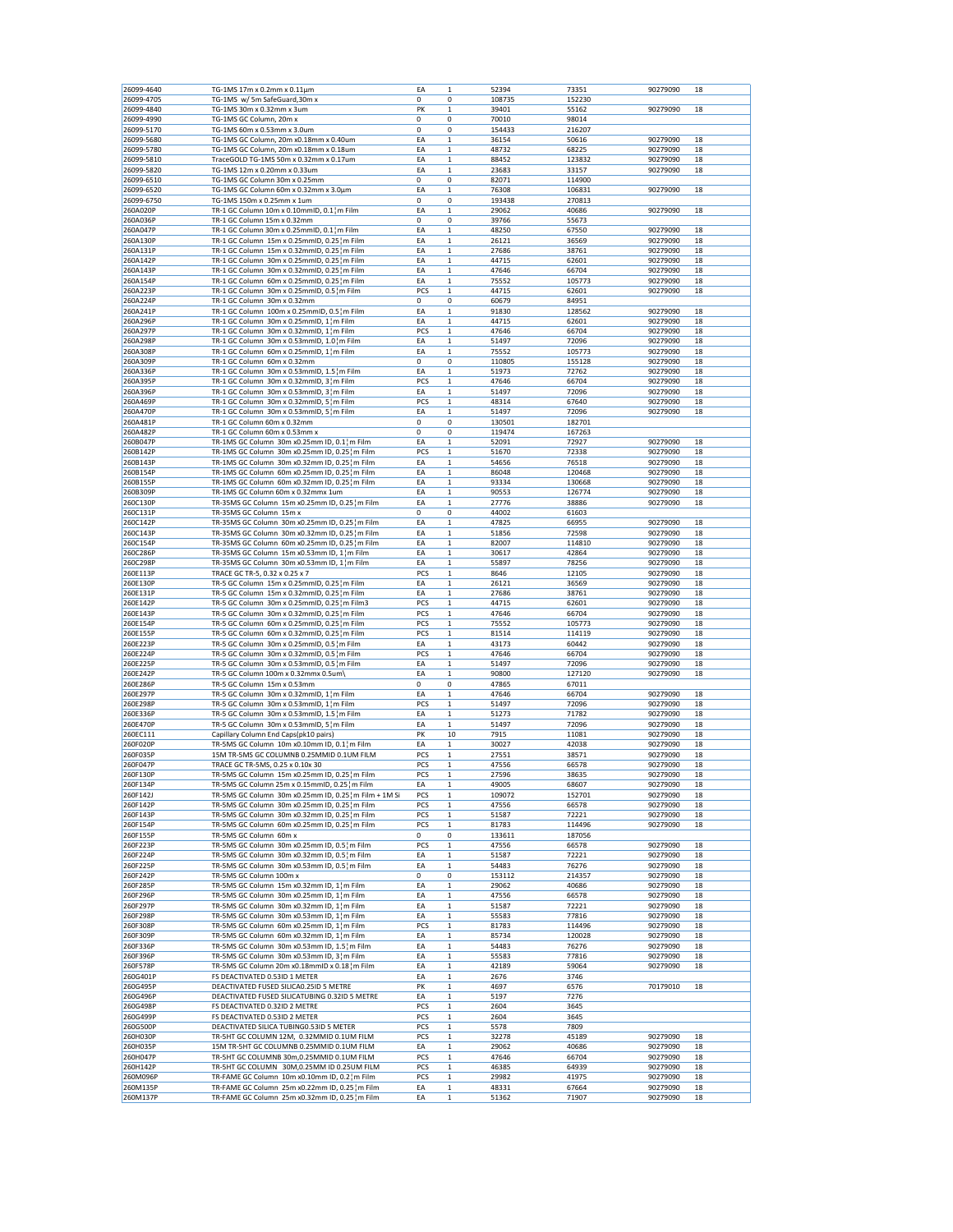| 26099-4640 | TG-1MS 17m x 0.2mm x 0.11um                              |     | 1            |        |        |          |    |
|------------|----------------------------------------------------------|-----|--------------|--------|--------|----------|----|
|            |                                                          | ΕA  |              | 52394  | 73351  | 90279090 | 18 |
| 26099-4705 | TG-1MS w/ 5m SafeGuard, 30m x                            | 0   | 0            | 108735 | 152230 |          |    |
| 26099-4840 | TG-1MS 30m x 0.32mm x 3um                                | PK  | $\mathbf 1$  | 39401  | 55162  | 90279090 | 18 |
| 26099-4990 | TG-1MS GC Column, 20m x                                  | 0   | 0            | 70010  | 98014  |          |    |
| 26099-5170 | TG-1MS 60m x 0.53mm x 3.0um                              | 0   | 0            | 154433 | 216207 |          |    |
|            |                                                          |     |              |        |        |          |    |
| 26099-5680 | TG-1MS GC Column, 20m x0.18mm x 0.40um                   | EA  | $\mathbf 1$  | 36154  | 50616  | 90279090 | 18 |
| 26099-5780 | TG-1MS GC Column, 20m x0.18mm x 0.18um                   | ΕA  | $\mathbf 1$  | 48732  | 68225  | 90279090 | 18 |
| 26099-5810 | TraceGOLD TG-1MS 50m x 0.32mm x 0.17um                   | ΕA  | 1            | 88452  | 123832 | 90279090 | 18 |
| 26099-5820 | TG-1MS 12m x 0.20mm x 0.33um                             | EA  | $\mathbf 1$  | 23683  | 33157  | 90279090 | 18 |
|            |                                                          |     |              |        |        |          |    |
| 26099-6510 | TG-1MS GC Column 30m x 0.25mm                            | 0   | 0            | 82071  | 114900 |          |    |
| 26099-6520 | TG-1MS GC Column 60m x 0.32mm x 3.0µm                    | ΕA  | 1            | 76308  | 106831 | 90279090 | 18 |
| 26099-6750 | TG-1MS 150m x 0.25mm x 1um                               | 0   | 0            | 193438 | 270813 |          |    |
|            |                                                          |     |              |        |        |          |    |
| 260A020P   | TR-1 GC Column 10m x 0.10mmID, $0.1$ <sup>1</sup> m Film | ΕA  | $\mathbf 1$  | 29062  | 40686  | 90279090 | 18 |
| 260A036P   | TR-1 GC Column 15m x 0.32mm                              | 0   | 0            | 39766  | 55673  |          |    |
| 260A047P   | TR-1 GC Column 30m x 0.25mmID, 0.1¦m Film                | EA  | $\mathbf 1$  | 48250  | 67550  | 90279090 | 18 |
| 260A130P   | TR-1 GC Column 15m x 0.25mmID, 0.25 m Film               | ΕA  | 1            | 26121  | 36569  | 90279090 | 18 |
|            |                                                          |     |              |        |        | 90279090 |    |
| 260A131P   | TR-1 GC Column 15m x 0.32mmID, 0.25 m Film               | ΕA  | 1            | 27686  | 38761  |          | 18 |
| 260A142P   | TR-1 GC Column 30m x 0.25mmID, 0.25 m Film               | EA  | $\mathbf 1$  | 44715  | 62601  | 90279090 | 18 |
| 260A143P   | TR-1 GC Column 30m x 0.32mmID, 0.25 m Film               | ΕA  | $\mathbf 1$  | 47646  | 66704  | 90279090 | 18 |
| 260A154P   | TR-1 GC Column 60m x 0.25mmID, 0.25 m Film               | ΕA  | 1            | 75552  | 105773 | 90279090 | 18 |
|            |                                                          |     |              |        |        |          |    |
| 260A223P   | TR-1 GC Column 30m x 0.25mmID, 0.5 m Film                | PCS | $\mathbf 1$  | 44715  | 62601  | 90279090 | 18 |
| 260A224P   | TR-1 GC Column 30m x 0.32mm                              | 0   | 0            | 60679  | 84951  |          |    |
| 260A241P   | TR-1 GC Column 100m x 0.25mmID, 0.5 m Film               | ΕA  | 1            | 91830  | 128562 | 90279090 | 18 |
| 260A296P   | TR-1 GC Column 30m x 0.25mmID, 1 m Film                  | ΕA  | 1            | 44715  | 62601  | 90279090 | 18 |
| 260A297P   |                                                          | PCS | $\mathbf 1$  | 47646  | 66704  | 90279090 |    |
|            | TR-1 GC Column 30m x 0.32mmID, 1 m Film                  |     |              |        |        |          | 18 |
| 260A298P   | TR-1 GC Column 30m x 0.53mmID, 1.01m Film                | ΕA  | 1            | 51497  | 72096  | 90279090 | 18 |
| 260A308P   | TR-1 GC Column 60m x 0.25mmID, 1 m Film                  | ΕA  | $\mathbf 1$  | 75552  | 105773 | 90279090 | 18 |
| 260A309P   | TR-1 GC Column 60m x 0.32mm                              | 0   | 0            | 110805 | 155128 | 90279090 | 18 |
|            |                                                          |     |              |        |        |          |    |
| 260A336P   | TR-1 GC Column 30m x 0.53mmID, 1.5 m Film                | ΕA  | 1            | 51973  | 72762  | 90279090 | 18 |
| 260A395P   | TR-1 GC Column 30m x 0.32mmID, 3 m Film                  | PCS | 1            | 47646  | 66704  | 90279090 | 18 |
| 260A396P   | TR-1 GC Column 30m x 0.53mmID, 31m Film                  | EA  | $\mathbf 1$  | 51497  | 72096  | 90279090 | 18 |
| 260A469P   | TR-1 GC Column 30m x 0.32mmID, 5 m Film                  | PCS | $\mathbf 1$  | 48314  | 67640  | 90279090 | 18 |
|            |                                                          |     |              |        |        |          |    |
| 260A470P   | TR-1 GC Column 30m x 0.53mmID, 5 m Film                  | ΕA  | 1            | 51497  | 72096  | 90279090 | 18 |
| 260A481P   | TR-1 GC Column 60m x 0.32mm                              | 0   | 0            | 130501 | 182701 |          |    |
| 260A482F   | TR-1 GC Column 60m x 0.53mm x                            | 0   | 0            | 119474 | 167263 |          |    |
| 260B047P   | TR-1MS GC Column 30m x0.25mm ID, 0.1¦m Film              | ΕA  | 1            | 52091  | 72927  | 90279090 | 18 |
|            |                                                          |     |              |        |        |          |    |
| 260B142P   | TR-1MS GC Column 30m x0.25mm ID, 0.25 ¦m Film            | PCS | $\mathbf 1$  | 51670  | 72338  | 90279090 | 18 |
| 260B143P   | TR-1MS GC Column 30m x0.32mm ID, 0.25 m Film             | ΕA  | $\mathbf 1$  | 54656  | 76518  | 90279090 | 18 |
| 260B154P   | TR-1MS GC Column 60m x0.25mm ID, 0.25 m Film             | ΕA  | $\mathbf 1$  | 86048  | 120468 | 90279090 | 18 |
| 260B155P   | TR-1MS GC Column 60m x0.32mm ID, 0.25 m Film             | EA  | $\mathbf 1$  | 93334  | 130668 | 90279090 | 18 |
|            |                                                          |     |              |        |        |          |    |
| 260B309P   | TR-1MS GC Column 60m x 0.32mmx 1um                       | ΕA  | 1            | 90553  | 126774 | 90279090 | 18 |
| 260C130P   | TR-35MS GC Column 15m x0.25mm ID, 0.25 m Film            | ΕA  | 1            | 27776  | 38886  | 90279090 | 18 |
| 260C131P   | TR-35MS GC Column 15m x                                  | 0   | 0            | 44002  | 61603  |          |    |
|            |                                                          |     | $\mathbf 1$  |        |        | 90279090 |    |
| 260C142P   | TR-35MS GC Column 30m x0.25mm ID, 0.25 m Film            | ΕA  |              | 47825  | 66955  |          | 18 |
| 260C143P   | TR-35MS GC Column 30m x0.32mm ID, 0.25 m Film            | ΕA  | $\mathbf 1$  | 51856  | 72598  | 90279090 | 18 |
| 260C154P   | TR-35MS GC Column 60m x0.25mm ID, 0.25 m Film            | ΕA  | $\mathbf 1$  | 82007  | 114810 | 90279090 | 18 |
| 260C286P   | TR-35MS GC Column 15m x0.53mm ID, 1 m Film               | ΕA  | 1            | 30617  | 42864  | 90279090 | 18 |
|            |                                                          |     |              |        |        |          |    |
| 260C298P   | TR-35MS GC Column 30m x0.53mm ID, 1 m Film               | ΕA  | 1            | 55897  | 78256  | 90279090 | 18 |
| 260E113P   | TRACE GC TR-5, 0.32 x 0.25 x 7                           | PCS | 1            | 8646   | 12105  | 90279090 | 18 |
| 260E130P   | TR-5 GC Column 15m x 0.25mmID, 0.25 m Film               | EA  | $\mathbf 1$  | 26121  | 36569  | 90279090 | 18 |
| 260E131P   | TR-5 GC Column 15m x 0.32mmID, 0.25 m Film               | ΕA  | 1            | 27686  | 38761  | 90279090 | 18 |
|            |                                                          |     |              |        |        |          |    |
| 260E142P   | TR-5 GC Column 30m x 0.25mmID, 0.25 m Film3              | PCS | $\mathbf 1$  | 44715  | 62601  | 90279090 | 18 |
| 260E143P   | TR-5 GC Column 30m x 0.32mmID, 0.25 m Film               | PCS | $\mathbf 1$  | 47646  | 66704  | 90279090 | 18 |
| 260E154P   | TR-5 GC Column 60m x 0.25mmID, 0.25 m Film               | PCS | 1            | 75552  | 105773 | 90279090 | 18 |
| 260E155P   | TR-5 GC Column 60m x 0.32mmID, 0.25 m Film               | PCS | 1            | 81514  | 114119 | 90279090 | 18 |
|            |                                                          |     |              |        |        |          |    |
| 260E223P   | TR-5 GC Column 30m x 0.25mmID, 0.5 m Film                | EA  | $\mathbf 1$  | 43173  | 60442  | 90279090 | 18 |
| 260E224P   | TR-5 GC Column 30m x 0.32mmID, 0.5 m Film                | PCS | $\mathbf 1$  | 47646  | 66704  | 90279090 | 18 |
| 260E225P   | TR-5 GC Column 30m x 0.53mmID, 0.5 m Film                | EA  | $\mathbf 1$  | 51497  | 72096  | 90279090 | 18 |
| 260E242P   | TR-5 GC Column 100m x 0.32mmx 0.5um\                     | EA  | $\mathbf 1$  | 90800  | 127120 | 90279090 | 18 |
|            |                                                          |     |              |        |        |          |    |
| 260E286P   | TR-5 GC Column 15m x 0.53mm                              | 0   | 0            | 47865  | 67011  |          |    |
| 260E297P   | TR-5 GC Column 30m x 0.32mmID, 1 m Film                  | EA  | 1            | 47646  | 66704  | 90279090 | 18 |
| 260E298P   | TR-5 GC Column 30m x 0.53mmID, 1 m Film                  | PCS | $\mathbf 1$  | 51497  | 72096  | 90279090 | 18 |
| 260E336P   | TR-5 GC Column 30m x 0.53mmID, 1.5 m Film                | ΕA  | $\mathbf 1$  | 51273  | 71782  | 90279090 | 18 |
|            |                                                          |     |              |        |        |          |    |
| 260E470P   | TR-5 GC Column 30m x 0.53mmID, 5 m Film                  | ΕA  | 1            | 51497  | 72096  | 90279090 | 18 |
| 260EC111   | Capillary Column End Caps(pk10 pairs)                    | PK  | 10           | 7915   | 11081  | 90279090 | 18 |
| 260F020F   | TR-5MS GC Column 10m x0.10mm ID, 0.1 m Film              | EA  | 1            | 30027  | 42038  | 90279090 | 18 |
| 260F035P   | 15M TR-5MS GC COLUMNB 0.25MMID 0.1UM FILM                | PCS | 1            | 27551  | 38571  | 90279090 | 18 |
| 260F047P   |                                                          |     |              |        |        |          |    |
|            | TRACE GC TR-5MS, 0.25 x 0.10x 30                         | PCS | $\mathbf 1$  | 47556  | 66578  | 90279090 | 18 |
| 260F130P   | TR-5MS GC Column 15m x0.25mm ID, 0.25 m Film             | PCS | $\mathbf{1}$ | 27596  | 38635  | 90279090 | 18 |
| 260F134P   | TR-5MS GC Column 25m x 0.15mmID, 0.25 m Film             | EA  | 1            | 49005  | 68607  | 90279090 | 18 |
| 260F142J   | TR-5MS GC Column 30m x0.25mm ID, 0.25 m Film + 1M Si     | PCS | $\mathbf 1$  | 109072 | 152701 | 90279090 | 18 |
| 260F142P   | TR-5MS GC Column 30m x0.25mm ID, 0.25 m Film             | PCS |              |        |        |          |    |
|            |                                                          |     | 1            | 47556  | 66578  | 90279090 | 18 |
| 260F143P   | TR-5MS GC Column 30m x0.32mm ID, 0.25 ¦m Film            | PCS | 1            | 51587  | 72221  | 90279090 | 18 |
| 260F154P   | TR-5MS GC Column 60m x0.25mm ID, 0.25 m Film             | PCS | $\mathbf 1$  | 81783  | 114496 | 90279090 | 18 |
| 260F155P   | TR-5MS GC Column 60m x                                   | 0   | 0            | 133611 | 187056 |          |    |
|            |                                                          |     |              |        |        |          |    |
| 260F223P   | TR-5MS GC Column 30m x0.25mm ID, 0.5 m Film              | PCS | 1            | 47556  | 66578  | 90279090 | 18 |
| 260F224P   | TR-5MS GC Column 30m x0.32mm ID, 0.5 m Film              | ΕA  | $\mathbf 1$  | 51587  | 72221  | 90279090 | 18 |
| 260F225P   | TR-5MS GC Column 30m x0.53mm ID, 0.5 m Film              | EA  | $\,1\,$      | 54483  | 76276  | 90279090 | 18 |
| 260F242P   | TR-5MS GC Column 100m x                                  | 0   | 0            | 153112 | 214357 | 90279090 | 18 |
|            |                                                          |     |              |        |        |          |    |
| 260F285P   | TR-5MS GC Column 15m x0.32mm ID, 1 m Film                | EA  | 1            | 29062  | 40686  | 90279090 | 18 |
| 260F296P   | TR-5MS GC Column 30m x0.25mm ID, 1 m Film                | EA  | $\mathbf 1$  | 47556  | 66578  | 90279090 | 18 |
| 260F297P   | TR-5MS GC Column 30m x0.32mm ID, 1 m Film                | ΕA  | $\mathbf 1$  | 51587  | 72221  | 90279090 | 18 |
| 260F298P   | TR-5MS GC Column 30m x0.53mm ID, 1 m Film                | EA  | 1            | 55583  | 77816  | 90279090 | 18 |
| 260F308P   | TR-5MS GC Column 60m x0.25mm ID, 1 m Film                | PCS | $\mathbf{1}$ | 81783  | 114496 | 90279090 | 18 |
|            |                                                          |     |              |        |        |          |    |
| 260F309P   | TR-5MS GC Column 60m x0.32mm ID, 1 m Film                | EA  | 1            | 85734  | 120028 | 90279090 | 18 |
| 260F336P   | TR-5MS GC Column 30m x0.53mm ID, 1.5 m Film              | EA  | 1            | 54483  | 76276  | 90279090 | 18 |
| 260F396P   | TR-5MS GC Column 30m x0.53mm ID, 3 m Film                | EA  | $\mathbf 1$  | 55583  | 77816  | 90279090 | 18 |
|            | TR-5MS GC Column 20m x0.18mmID x 0.18 m Film             |     |              |        |        |          |    |
| 260F578P   |                                                          | ΕA  | $\mathbf 1$  | 42189  | 59064  | 90279090 | 18 |
| 260G401P   | FS DEACTIVATED 0.53ID 1 METER                            | EA  | $\mathbf 1$  | 2676   | 3746   |          |    |
| 260G495P   | DEACTIVATED FUSED SILICA0.25ID 5 METRE                   | PK  | $\,1$        | 4697   | 6576   | 70179010 | 18 |
| 260G496P   | DEACTIVATED FUSED SILICATUBING 0.32ID 5 METRE            | EA  | 1            | 5197   | 7276   |          |    |
|            |                                                          |     |              |        |        |          |    |
| 260G498P   | FS DEACTIVATED 0.32ID 2 METRE                            | PCS | $\mathbf 1$  | 2604   | 3645   |          |    |
| 260G499P   | FS DEACTIVATED 0.53ID 2 METER                            | PCS | $\mathbf 1$  | 2604   | 3645   |          |    |
| 260G500P   | DEACTIVATED SILICA TUBING0.53ID 5 METER                  | PCS | $\mathbf 1$  | 5578   | 7809   |          |    |
| 260H030P   | TR-5HT GC COLUMN 12M, 0.32MMID 0.1UM FILM                | PCS | 1            | 32278  | 45189  | 90279090 | 18 |
|            |                                                          |     |              |        |        |          |    |
| 260H035P   | 15M TR-5HT GC COLUMNB 0.25MMID 0.1UM FILM                | EA  | 1            | 29062  | 40686  | 90279090 | 18 |
| 260H047P   | TR-5HT GC COLUMNB 30m, 0.25MMID 0.1UM FILM               | PCS | 1            | 47646  | 66704  | 90279090 | 18 |
| 260H142P   | TR-5HT GC COLUMN 30M,0.25MM ID 0.25UM FILM               | PCS | 1            | 46385  | 64939  | 90279090 | 18 |
| 260M096P   | TR-FAME GC Column 10m x0.10mm ID, 0.2 m Film             | PCS | $\mathbf 1$  | 29982  | 41975  | 90279090 | 18 |
|            |                                                          |     |              |        |        |          |    |
| 260M135P   | TR-FAME GC Column 25m x0.22mm ID, 0.25 m Film            | ΕA  | $\mathbf 1$  | 48331  | 67664  | 90279090 | 18 |
| 260M137P   | TR-FAME GC Column 25m x0.32mm ID, 0.25 m Film            | ΕA  | $\mathbf 1$  | 51362  | 71907  | 90279090 | 18 |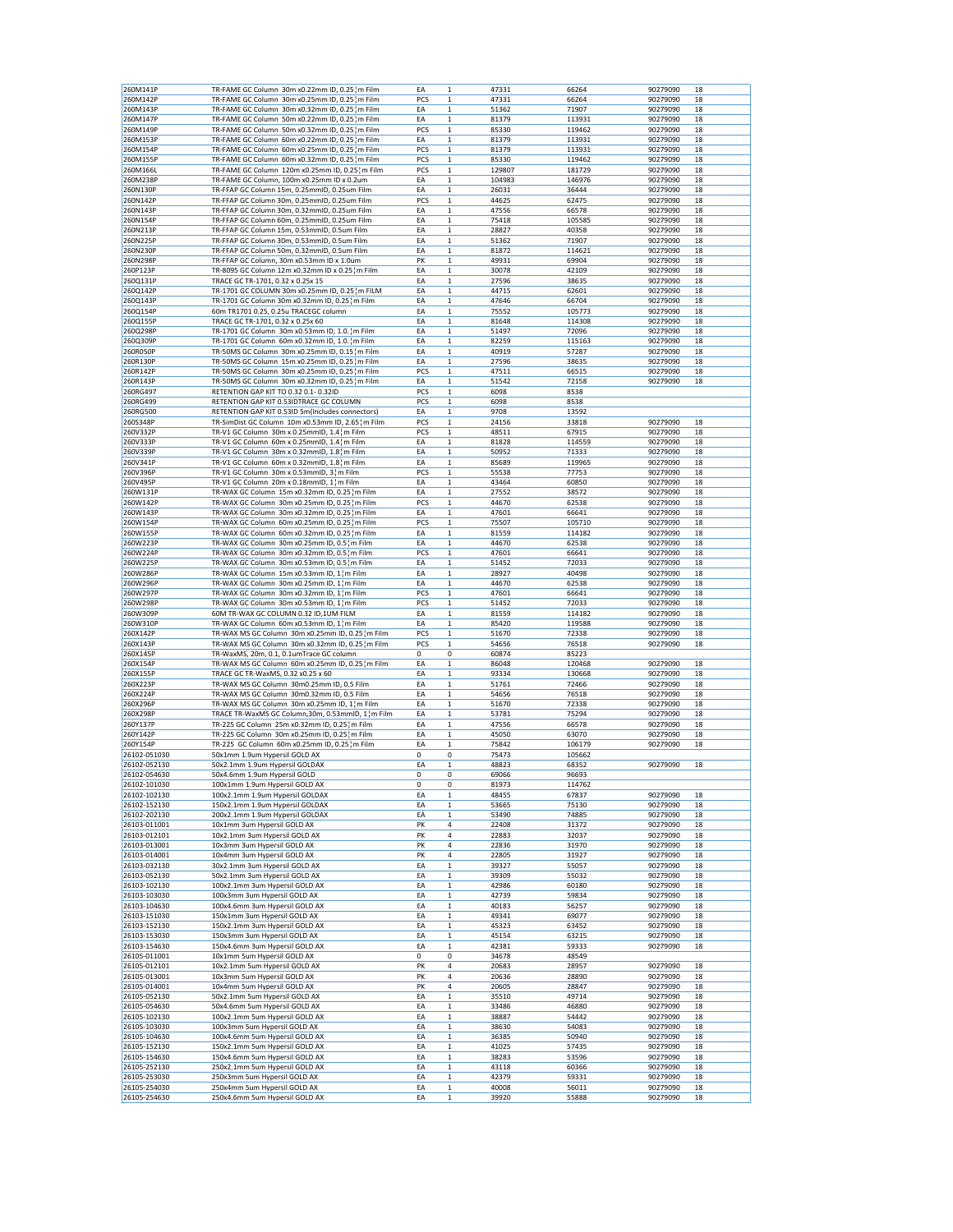|              |                                                   |             | $\mathbf{1}$ |        |
|--------------|---------------------------------------------------|-------------|--------------|--------|
| 260M141P     | TR-FAME GC Column 30m x0.22mm ID, 0.25 m Film     | EA          |              | 47331  |
| 260M142P     | TR-FAME GC Column 30m x0.25mm ID, 0.25 m Film     | PCS         | $\mathbf 1$  | 47331  |
| 260M143P     | TR-FAME GC Column 30m x0.32mm ID, 0.25 m Film     | EA          | $\mathbf 1$  | 51362  |
|              |                                                   |             |              |        |
| 260M147P     | TR-FAME GC Column 50m x0.22mm ID, 0.25 m Film     | EA          | 1            | 81379  |
| 260M149P     | TR-FAME GC Column 50m x0.32mm ID, 0.25 m Film     | PCS         | $\mathbf 1$  | 85330  |
| 260M153P     | TR-FAME GC Column 60m x0.22mm ID, 0.25 m Film     | EA          | $\mathbf 1$  | 81379  |
|              |                                                   |             |              |        |
| 260M154P     | TR-FAME GC Column 60m x0.25mm ID, 0.25 m Film     | PCS         | $\mathbf 1$  | 81379  |
| 260M155P     | TR-FAME GC Column 60m x0.32mm ID, 0.25 m Film     | PCS         | $\mathbf 1$  | 85330  |
| 260M166L     | TR-FAME GC Column 120m x0.25mm ID, 0.25 m Film    | PCS         | $\mathbf{1}$ | 129807 |
|              |                                                   |             |              |        |
| 260M238P     | TR-FAME GC Column, 100m x0.25mm ID x 0.2um        | EA          | 1            | 104983 |
| 260N130P     | TR-FFAP GC Column 15m, 0.25mmID, 0.25um Film      | EA          | $\mathbf 1$  | 26031  |
|              |                                                   |             |              |        |
| 260N142P     | TR-FFAP GC Column 30m, 0.25mmID, 0.25um Film      | PCS         | $\mathbf{1}$ | 44625  |
| 260N143P     | TR-FFAP GC Column 30m, 0.32mmID, 0.25um Film      | EA          | 1            | 47556  |
| 260N154P     | TR-FFAP GC Column 60m, 0.25mmID, 0.25um Film      | EA          | $\mathbf 1$  | 75418  |
|              |                                                   |             |              |        |
| 260N213P     | TR-FFAP GC Column 15m, 0.53mmID, 0.5um Film       | EA          | $\mathbf 1$  | 28827  |
| 260N225P     | TR-FFAP GC Column 30m, 0.53mmID, 0.5um Film       | EA          | 1            | 51362  |
|              |                                                   |             |              |        |
| 260N230P     | TR-FFAP GC Column 50m, 0.32mmID, 0.5um Film       | EA          | $\mathbf 1$  | 81872  |
| 260N298P     | TR-FFAP GC Column, 30m x0.53mm ID x 1.0um         | PK          | $\mathbf 1$  | 49931  |
|              |                                                   | EA          | $\mathbf 1$  |        |
| 260P123P     | TR-8095 GC Column 12m x0.32mm ID x 0.25 m Film    |             |              | 30078  |
| 260Q131P     | TRACE GC TR-1701, 0.32 x 0.25x 15                 | EA          | 1            | 27596  |
| 260Q142P     | TR-1701 GC COLUMN 30m x0.25mm ID, 0.25 m FILM     | EA          | $\mathbf 1$  | 44715  |
|              | TR-1701 GC Column 30m x0.32mm ID, 0.25 m Film     |             |              |        |
| 260Q143P     |                                                   | EA          | 1            | 47646  |
| 260Q154P     | 60m TR1701 0.25, 0.25u TRACEGC column             | EA          | 1            | 75552  |
| 260Q155P     | TRACE GC TR-1701, 0.32 x 0.25x 60                 | EA          | $\mathbf 1$  | 81648  |
|              |                                                   |             |              |        |
| 260Q298P     | TR-1701 GC Column 30m x0.53mm ID, 1.0.1m Film     | EA          | $\mathbf 1$  | 51497  |
| 260Q309P     | TR-1701 GC Column 60m x0.32mm ID, 1.0.1m Film     | ΕA          | 1            | 82259  |
| 260R050P     | TR-50MS GC Column 30m x0.25mm ID, 0.15 m Film     | EA          | $\mathbf 1$  | 40919  |
|              |                                                   |             |              |        |
| 260R130P     | TR-50MS GC Column 15m x0.25mm ID, 0.25 m Film     | EA          | $\mathbf 1$  | 27596  |
| 260R142P     | TR-50MS GC Column 30m x0.25mm ID, 0.25 m Film     | PCS         | 1            | 47511  |
|              |                                                   |             |              |        |
| 260R143P     | TR-50MS GC Column 30m x0.32mm ID, 0.25 m Film     | EA          | $\mathbf 1$  | 51542  |
| 260RG497     | RETENTION GAP KIT TO 0.32 0.1-0.32ID              | PCS         | $\mathbf 1$  | 6098   |
| 260RG499     | RETENTION GAP KIT 0.53IDTRACE GC COLUMN           | PCS         | $\mathbf 1$  | 6098   |
|              |                                                   |             |              |        |
| 260RG500     | RETENTION GAP KIT 0.53ID 5m(Includes connectors)  | EA          | $\mathbf 1$  | 9708   |
| 260S348P     | TR-SimDist GC Column 10m x0.53mm ID, 2.65 m Film  | PCS         | $\mathbf{1}$ | 24156  |
|              |                                                   |             |              |        |
| 260V332P     | TR-V1 GC Column 30m x 0.25mmID, 1.4 m Film        | PCS         | 1            | 48511  |
| 260V333P     | TR-V1 GC Column 60m x 0.25mmID, 1.4 m Film        | EA          | $\mathbf 1$  | 81828  |
|              |                                                   |             |              |        |
| 260V339P     | TR-V1 GC Column 30m x 0.32mmID, 1.8 m Film        | EA          | $\mathbf{1}$ | 50952  |
| 260V341P     | TR-V1 GC Column 60m x 0.32mmID, 1.8 m Film        | EA          | 1            | 85689  |
| 260V396P     | TR-V1 GC Column 30m x 0.53mmID, 3 m Film          | PCS         | $\mathbf 1$  | 55538  |
|              |                                                   |             |              |        |
| 260V495P     | TR-V1 GC Column 20m x 0.18mmID, 1 m Film          | EA          | $\mathbf 1$  | 43464  |
| 260W131P     | TR-WAX GC Column 15m x0.32mm ID, 0.25 m Film      | EA          | 1            | 27552  |
|              |                                                   |             |              |        |
| 260W142P     | TR-WAX GC Column 30m x0.25mm ID, 0.25 m Film      | PCS         | 1            | 44670  |
| 260W143P     | TR-WAX GC Column 30m x0.32mm ID, 0.25 m Film      | EA          | $\mathbf 1$  | 47601  |
|              |                                                   |             |              |        |
| 260W154P     | TR-WAX GC Column 60m x0.25mm ID, 0.25 m Film      | PCS         | 1            | 75507  |
| 260W155P     | TR-WAX GC Column 60m x0.32mm ID, 0.25 m Film      | EA          | 1            | 81559  |
| 260W223P     | TR-WAX GC Column 30m x0.25mm ID, 0.5 m Film       | EA          | $\mathbf 1$  | 44670  |
|              |                                                   |             |              |        |
| 260W224P     | TR-WAX GC Column 30m x0.32mm ID, 0.5 m Film       | PCS         | 1            | 47601  |
| 260W225P     | TR-WAX GC Column 30m x0.53mm ID, 0.5 m Film       | EA          | 1            | 51452  |
|              |                                                   |             |              |        |
| 260W286P     | TR-WAX GC Column 15m x0.53mm ID, 1¦m Film         | EA          | $\mathbf 1$  | 28927  |
| 260W296P     | TR-WAX GC Column 30m x0.25mm ID, 1¦m Film         | EA          | $\mathbf 1$  | 44670  |
| 260W297P     | TR-WAX GC Column 30m x0.32mm ID, 1 m Film         | PCS         | 1            | 47601  |
|              |                                                   |             |              |        |
| 260W298P     | TR-WAX GC Column 30m x0.53mm ID, 1 m Film         | PCS         | $\mathbf 1$  | 51452  |
| 260W309P     | 60M TR-WAX GC COLUMN 0.32 ID,1UM FILM             | EA          | $\mathbf 1$  | 81559  |
|              |                                                   |             |              |        |
| 260W310P     | TR-WAX GC Column 60m x0.53mm ID, 1 m Film         | EA          | 1            | 85420  |
| 260X142P     | TR-WAX MS GC Column 30m x0.25mm ID, 0.25 m Film   | PCS         | $\mathbf 1$  | 51670  |
| 260X143P     | TR-WAX MS GC Column 30m x0.32mm ID, 0.25 m Film   | PCS         | $\mathbf 1$  | 54656  |
|              |                                                   |             |              |        |
| 260X145P     | TR-WaxMS, 20m, 0.1, 0.1umTrace GC column          | $\mathbf 0$ | 0            | 60874  |
| 260X154P     | TR-WAX MS GC Column 60m x0.25mm ID, 0.25 m Film   | EA          | $\mathbf 1$  | 86048  |
|              |                                                   |             |              |        |
| 260X155P     | TRACE GC TR-WaxMS, 0.32 x0.25 x 60                | EA          | $\mathbf 1$  | 93334  |
| 260X223P     | TR-WAX MS GC Column 30m0.25mm ID, 0.5 Film        | EA          | 1            |        |
|              | TR-WAX MS GC Column 30m0.32mm ID, 0.5 Film        |             |              |        |
| 260X224P     |                                                   | EA          | $\mathbf 1$  | 51761  |
| 260X296P     | TR-WAX MS GC Column 30m x0.25mm ID, 1¦m Film      |             |              | 54656  |
| 260X298P     |                                                   | EA          | $\mathbf{1}$ | 51670  |
|              |                                                   |             |              |        |
| 260Y137P     | TRACE TR-WaxMS GC Column, 30m, 0.53mmID, 1 m Film | EA          | 1            | 53781  |
|              | TR-225 GC Column 25m x0.32mm ID, 0.25 m Film      | EA          | $\mathbf 1$  | 47556  |
| 260Y142P     | TR-225 GC Column 30m x0.25mm ID, 0.25 m Film      | EA          | $\mathbf 1$  | 45050  |
|              |                                                   |             |              |        |
| 260Y154P     | TR-225 GC Column 60m x0.25mm ID, 0.25 m Film      | EA          | 1            | 75842  |
| 26102-051030 | 50x1mm 1.9um Hypersil GOLD AX                     | 0           | 0            | 75473  |
|              |                                                   |             |              |        |
| 26102-052130 | 50x2.1mm 1.9um Hypersil GOLDAX                    | EA          | $\mathbf 1$  | 48823  |
| 26102-054630 | 50x4.6mm 1.9um Hypersil GOLD                      | 0           | 0            | 69066  |
| 26102-101030 | 100x1mm 1.9um Hypersil GOLD AX                    | 0           | 0            | 81973  |
|              |                                                   |             |              |        |
| 26102-102130 | 100x2.1mm 1.9um Hypersil GOLDAX                   | EA          | $\mathbf 1$  | 48455  |
| 26102-152130 | 150x2.1mm 1.9um Hypersil GOLDAX                   | EA          | 1            | 53665  |
|              |                                                   |             |              |        |
| 26102-202130 | 200x2.1mm 1.9um Hypersil GOLDAX                   | EA          | $\mathbf 1$  | 53490  |
| 26103-011001 | 10x1mm 3um Hypersil GOLD AX                       | PK          | 4            | 22408  |
| 26103-012101 | 10x2.1mm 3um Hypersil GOLD AX                     | PK          | 4            | 22883  |
|              |                                                   |             |              |        |
| 26103-013001 | 10x3mm 3um Hypersil GOLD AX                       | PK          | 4            | 22836  |
| 26103-014001 | 10x4mm 3um Hypersil GOLD AX                       | PK          | 4            | 22805  |
|              |                                                   |             |              |        |
| 26103-032130 | 30x2.1mm 3um Hypersil GOLD AX                     | EA          | $\mathbf 1$  | 39327  |
| 26103-052130 | 50x2.1mm 3um Hypersil GOLD AX                     | EA          | $\mathbf 1$  | 39309  |
| 26103-102130 | 100x2.1mm 3um Hypersil GOLD AX                    | EA          | $\mathbf 1$  | 42986  |
|              |                                                   |             |              |        |
| 26103-103030 | 100x3mm 3um Hypersil GOLD AX                      | EA          | $\mathbf 1$  | 42739  |
| 26103-104630 | 100x4.6mm 3um Hypersil GOLD AX                    | EA          | $\mathbf 1$  | 40183  |
|              |                                                   |             |              |        |
| 26103-151030 | 150x1mm 3um Hypersil GOLD AX                      | EA          | $\mathbf 1$  | 49341  |
| 26103-152130 | 150x2.1mm 3um Hypersil GOLD AX                    | EA          | $\mathbf 1$  | 45323  |
|              |                                                   |             |              |        |
| 26103-153030 | 150x3mm 3um Hypersil GOLD AX                      | EA          | 1            | 45154  |
| 26103-154630 | 150x4.6mm 3um Hypersil GOLD AX                    | EA          | $\mathbf 1$  | 42381  |
| 26105-011001 | 10x1mm 5um Hypersil GOLD AX                       | 0           | 0            | 34678  |
|              |                                                   |             |              |        |
| 26105-012101 | 10x2.1mm 5um Hypersil GOLD AX                     | PK          | 4            | 20683  |
| 26105-013001 | 10x3mm 5um Hypersil GOLD AX                       | PK          | 4            | 20636  |
|              |                                                   |             |              |        |
| 26105-014001 | 10x4mm 5um Hypersil GOLD AX                       | PK          | 4            | 20605  |
| 26105-052130 | 50x2.1mm 5um Hypersil GOLD AX                     | EA          | 1            | 35510  |
| 26105-054630 | 50x4.6mm 5um Hypersil GOLD AX                     | EA          | $\mathbf 1$  | 33486  |
|              |                                                   |             |              |        |
| 26105-102130 | 100x2.1mm 5um Hypersil GOLD AX                    | EA          | $\mathbf 1$  | 38887  |
| 26105-103030 | 100x3mm 5um Hypersil GOLD AX                      | ΕA          | $\mathbf 1$  | 38630  |
|              |                                                   |             |              |        |
| 26105-104630 | 100x4.6mm 5um Hypersil GOLD AX                    | ΕA          | $\mathbf 1$  | 36385  |
| 26105-152130 | 150x2.1mm 5um Hypersil GOLD AX                    | EA          | $\mathbf 1$  | 41025  |
| 26105-154630 | 150x4.6mm 5um Hypersil GOLD AX                    | EA          | 1            | 38283  |
|              |                                                   |             |              |        |
| 26105-252130 | 250x2.1mm 5um Hypersil GOLD AX                    | EA          | $\mathbf 1$  | 43118  |
| 26105-253030 | 250x3mm 5um Hypersil GOLD AX                      | EA          | $\mathbf 1$  | 42379  |
| 26105-254030 | 250x4mm 5um Hypersil GOLD AX                      | EA          | $\mathbf 1$  | 40008  |
| 26105-254630 | 250x4.6mm 5um Hypersil GOLD AX                    | EA          | $\mathbf 1$  | 39920  |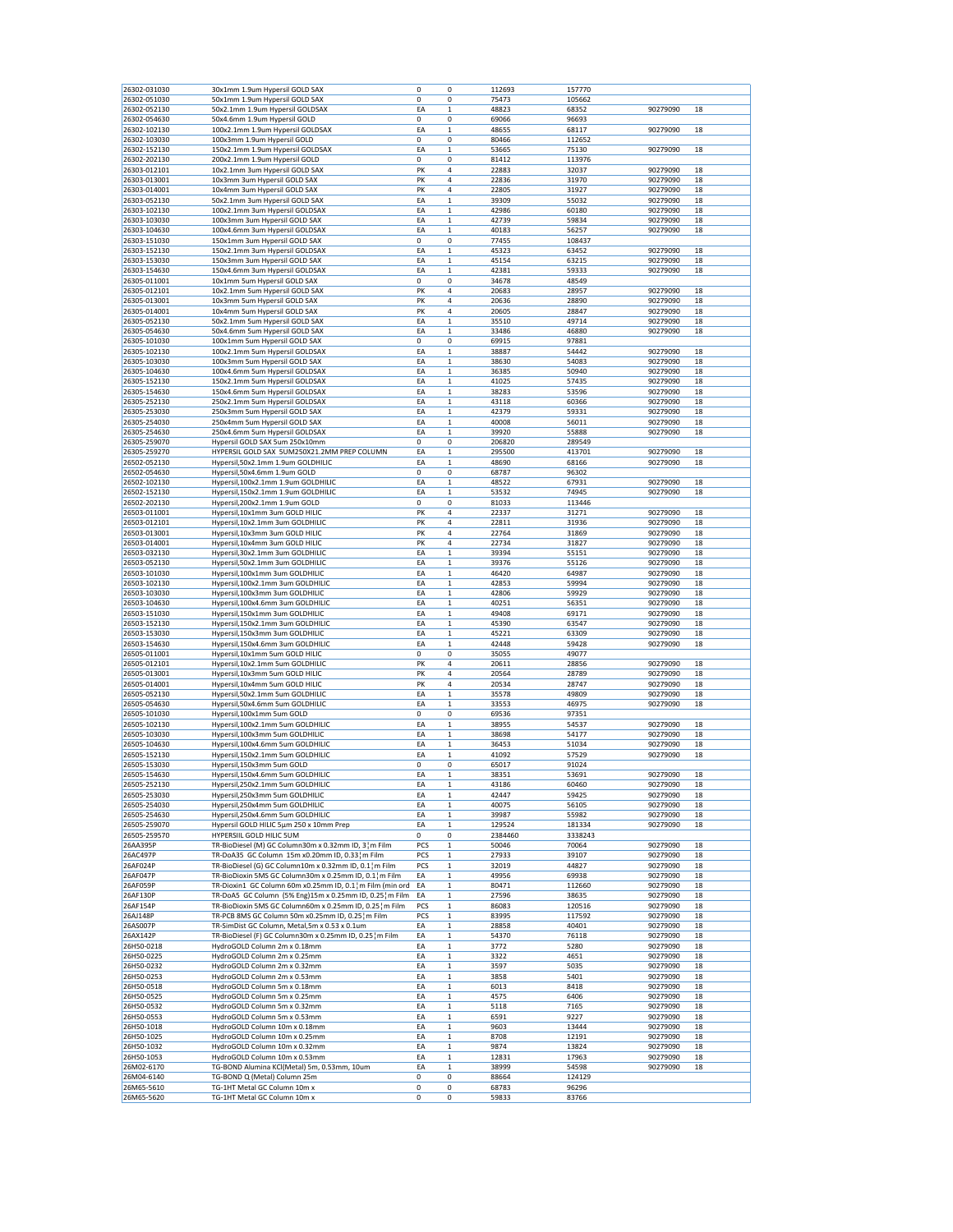| 26302-051030             | 30x1mm 1.9um Hypersil GOLD SAX                               | 0      | 0           | 112693         | 157770         |          |    |
|--------------------------|--------------------------------------------------------------|--------|-------------|----------------|----------------|----------|----|
|                          | 50x1mm 1.9um Hypersil GOLD SAX                               | 0      | 0           | 75473          | 105662         |          |    |
| 26302-052130             | 50x2.1mm 1.9um Hypersil GOLDSAX                              | EA     | $\mathbf 1$ | 48823          | 68352          | 90279090 | 18 |
| 26302-054630             | 50x4.6mm 1.9um Hypersil GOLD                                 | 0      | 0           | 69066          | 96693          |          |    |
| 26302-102130             | 100x2.1mm 1.9um Hypersil GOLDSAX                             | ΕA     | 1           | 48655          | 68117          | 90279090 | 18 |
|                          |                                                              |        |             |                |                |          |    |
| 26302-103030             | 100x3mm 1.9um Hypersil GOLD                                  | 0      | 0           | 80466          | 112652         |          |    |
| 26302-152130             | 150x2.1mm 1.9um Hypersil GOLDSAX                             | ΕA     | 1           | 53665          | 75130          | 90279090 | 18 |
| 26302-202130             | 200x2.1mm 1.9um Hypersil GOLD                                | 0      | 0           | 81412          | 113976         |          |    |
| 26303-012101             | 10x2.1mm 3um Hypersil GOLD SAX                               | PK     | 4           | 22883          | 32037          | 90279090 | 18 |
| 26303-013001             | 10x3mm 3um Hypersil GOLD SAX                                 | PK     | 4           | 22836          | 31970          | 90279090 | 18 |
| 26303-014001             | 10x4mm 3um Hypersil GOLD SAX                                 | PK     | 4           | 22805          | 31927          | 90279090 | 18 |
| 26303-052130             | 50x2.1mm 3um Hypersil GOLD SAX                               | EA     | $\mathbf 1$ | 39309          | 55032          |          | 18 |
|                          |                                                              |        |             |                |                | 90279090 |    |
| 26303-102130             | 100x2.1mm 3um Hypersil GOLDSAX                               | ΕA     | 1           | 42986          | 60180          | 90279090 | 18 |
| 26303-103030             | 100x3mm 3um Hypersil GOLD SAX                                | ΕA     | 1           | 42739          | 59834          | 90279090 | 18 |
| 26303-104630             | 100x4.6mm 3um Hypersil GOLDSAX                               | EA     | $\mathbf 1$ | 40183          | 56257          | 90279090 | 18 |
| 26303-151030             | 150x1mm 3um Hypersil GOLD SAX                                | 0      | 0           | 77455          | 108437         |          |    |
| 26303-152130             | 150x2.1mm 3um Hypersil GOLDSAX                               | ΕA     | $\mathbf 1$ | 45323          | 63452          | 90279090 | 18 |
|                          |                                                              |        |             |                |                |          |    |
| 26303-153030             | 150x3mm 3um Hypersil GOLD SAX                                | EA     | $\mathbf 1$ | 45154          | 63215          | 90279090 | 18 |
| 26303-154630             | 150x4.6mm 3um Hypersil GOLDSAX                               | ΕA     | 1           | 42381          | 59333          | 90279090 | 18 |
| 26305-011001             | 10x1mm 5um Hypersil GOLD SAX                                 | 0      | 0           | 34678          | 48549          |          |    |
| 26305-012101             | 10x2.1mm 5um Hypersil GOLD SAX                               | PK     | 4           | 20683          | 28957          | 90279090 | 18 |
|                          | 10x3mm 5um Hypersil GOLD SAX                                 | PK     | 4           |                |                | 90279090 | 18 |
| 26305-013001             |                                                              |        |             | 20636          | 28890          |          |    |
| 26305-014001             | 10x4mm 5um Hypersil GOLD SAX                                 | PK     | 4           | 20605          | 28847          | 90279090 | 18 |
| 26305-052130             | 50x2.1mm 5um Hypersil GOLD SAX                               | ΕA     | $\mathbf 1$ | 35510          | 49714          | 90279090 | 18 |
| 26305-054630             | 50x4.6mm 5um Hypersil GOLD SAX                               | EA     | $\mathbf 1$ | 33486          | 46880          | 90279090 | 18 |
| 26305-101030             | 100x1mm 5um Hypersil GOLD SAX                                | 0      | 0           | 69915          | 97881          |          |    |
| 26305-102130             | 100x2.1mm 5um Hypersil GOLDSAX                               | ΕA     | 1           | 38887          | 54442          | 90279090 | 18 |
|                          |                                                              |        |             |                |                |          |    |
| 26305-103030             | 100x3mm 5um Hypersil GOLD SAX                                | EA     | $\mathbf 1$ | 38630          | 54083          | 90279090 | 18 |
| 26305-104630             | 100x4.6mm 5um Hypersil GOLDSAX                               | ΕA     | $\mathbf 1$ | 36385          | 50940          | 90279090 | 18 |
| 26305-152130             | 150x2.1mm 5um Hypersil GOLDSAX                               | ΕA     | $\mathbf 1$ | 41025          | 57435          | 90279090 | 18 |
| 26305-154630             | 150x4.6mm 5um Hypersil GOLDSAX                               | ΕA     | $\,1$       | 38283          | 53596          | 90279090 | 18 |
| 26305-252130             | 250x2.1mm 5um Hypersil GOLDSAX                               | ΕA     | 1           | 43118          | 60366          | 90279090 | 18 |
| 26305-253030             | 250x3mm 5um Hypersil GOLD SAX                                |        |             |                |                |          |    |
|                          |                                                              | ΕA     | 1           | 42379          | 59331          | 90279090 | 18 |
| 26305-254030             | 250x4mm 5um Hypersil GOLD SAX                                | EA     | $\mathbf 1$ | 40008          | 56011          | 90279090 | 18 |
| 26305-254630             | 250x4.6mm 5um Hypersil GOLDSAX                               | ΕA     | $\mathbf 1$ | 39920          | 55888          | 90279090 | 18 |
| 26305-259070             | Hypersil GOLD SAX 5um 250x10mm                               | 0      | 0           | 206820         | 289549         |          |    |
| 26305-259270             | HYPERSIL GOLD SAX 5UM250X21.2MM PREP COLUMN                  | EA     | $\mathbf 1$ | 295500         | 413701         | 90279090 | 18 |
|                          |                                                              |        |             |                |                |          |    |
| 26502-052130             | Hypersil,50x2.1mm 1.9um GOLDHILIC                            | ΕA     | 1           | 48690          | 68166          | 90279090 | 18 |
| 26502-054630             | Hypersil,50x4.6mm 1.9um GOLD                                 | 0      | 0           | 68787          | 96302          |          |    |
| 26502-102130             | Hypersil,100x2.1mm 1.9um GOLDHILIC                           | EA     | $\mathbf 1$ | 48522          | 67931          | 90279090 | 18 |
| 26502-152130             | Hypersil,150x2.1mm 1.9um GOLDHILIC                           | ΕA     | $\mathbf 1$ | 53532          | 74945          | 90279090 | 18 |
| 26502-202130             |                                                              | 0      | 0           | 81033          | 113446         |          |    |
|                          | Hypersil, 200x2.1mm 1.9um GOLD                               |        |             |                |                |          |    |
| 26503-011001             | Hypersil, 10x1mm 3um GOLD HILIC                              | PK     | 4           | 22337          | 31271          | 90279090 | 18 |
| 26503-012101             | Hypersil,10x2.1mm 3um GOLDHILIC                              | PK     | 4           | 22811          | 31936          | 90279090 | 18 |
| 26503-013001             | Hypersil, 10x3mm 3um GOLD HILIC                              | PK     | 4           | 22764          | 31869          | 90279090 | 18 |
| 26503-014001             | Hypersil,10x4mm 3um GOLD HILIC                               | PK     | 4           | 22734          | 31827          | 90279090 | 18 |
|                          |                                                              |        |             |                |                |          |    |
| 26503-032130             | Hypersil, 30x2.1mm 3um GOLDHILIC                             | EA     | $\mathbf 1$ | 39394          | 55151          | 90279090 | 18 |
| 26503-052130             | Hypersil,50x2.1mm 3um GOLDHILIC                              | ΕA     | 1           | 39376          | 55126          | 90279090 | 18 |
| 26503-101030             | Hypersil, 100x1mm 3um GOLDHILIC                              | ΕA     | $\mathbf 1$ | 46420          | 64987          | 90279090 | 18 |
| 26503-102130             | Hypersil,100x2.1mm 3um GOLDHILIC                             | EA     | $\mathbf 1$ | 42853          | 59994          | 90279090 | 18 |
| 26503-103030             | Hypersil,100x3mm 3um GOLDHILIC                               | ΕA     | 1           | 42806          | 59929          | 90279090 | 18 |
| 26503-104630             | Hypersil, 100x4.6mm 3um GOLDHILIC                            | EA     | 1           | 40251          | 56351          | 90279090 | 18 |
|                          |                                                              |        |             |                |                |          |    |
| 26503-151030             | Hypersil,150x1mm 3um GOLDHILIC                               | EA     | $\mathbf 1$ | 49408          | 69171          | 90279090 | 18 |
| 26503-152130             | Hypersil,150x2.1mm 3um GOLDHILIC                             | EA     | $\mathbf 1$ | 45390          | 63547          | 90279090 | 18 |
| 26503-153030             | Hypersil,150x3mm 3um GOLDHILIC                               | EA     | $\mathbf 1$ | 45221          | 63309          | 90279090 | 18 |
| 26503-154630             | Hypersil,150x4.6mm 3um GOLDHILIC                             | ΕA     | $\mathbf 1$ |                | 59428          |          |    |
|                          |                                                              |        |             |                |                |          |    |
|                          |                                                              |        |             | 42448          |                | 90279090 | 18 |
| 26505-011001             | Hypersil, 10x1mm 5um GOLD HILIC                              | 0      | 0           | 35055          | 49077          |          |    |
| 26505-012101             | Hypersil,10x2.1mm 5um GOLDHILIC                              | PK     | 4           | 20611          | 28856          | 90279090 | 18 |
| 26505-013001             | Hypersil, 10x3mm 5um GOLD HILIC                              | PK     | 4           | 20564          | 28789          | 90279090 | 18 |
| 26505-014001             | Hypersil, 10x4mm 5um GOLD HILIC                              | PK     | 4           | 20534          | 28747          | 90279090 | 18 |
|                          |                                                              |        |             |                |                |          |    |
| 26505-052130             | Hypersil,50x2.1mm 5um GOLDHILIC                              | EA     | $\mathbf 1$ | 35578          | 49809          | 90279090 | 18 |
| 26505-054630             | Hypersil,50x4.6mm 5um GOLDHILIC                              | EA     | $\mathbf 1$ | 33553          | 46975          | 90279090 | 18 |
| 26505-101030             | Hypersil,100x1mm 5um GOLD                                    | 0      | 0           | 69536          | 97351          |          |    |
| 26505-102130             | Hypersil,100x2.1mm 5um GOLDHILIC                             | ΕA     | 1           | 38955          | 54537          | 90279090 | 18 |
| 26505-103030             | Hypersil,100x3mm 5um GOLDHILIC                               | EA     | $\mathbf 1$ | 38698          | 54177          | 90279090 | 18 |
| 26505-104630             | Hypersil,100x4.6mm 5um GOLDHILIC                             | ΕA     | $\mathbf 1$ | 36453          | 51034          | 90279090 | 18 |
|                          |                                                              |        |             |                |                | 90279090 |    |
| 26505-152130             | Hypersil,150x2.1mm 5um GOLDHILIC                             | ΕA     | 1           | 41092          | 57529          |          | 18 |
| 26505-153030             | Hypersil,150x3mm 5um GOLD                                    | 0      | 0           | 65017          | 91024          |          |    |
| 26505-154630             | Hypersil,150x4.6mm 5um GOLDHILIC                             | ΕA     | 1           | 38351          | 53691          | 90279090 | 18 |
| 26505-252130             | Hypersil,250x2.1mm 5um GOLDHILIC                             | EA     | 1           | 43186          | 60460          | 90279090 | 18 |
| 26505-253030             | Hypersil,250x3mm 5um GOLDHILIC                               | EA     | $\mathbf 1$ | 42447          | 59425          | 90279090 | 18 |
|                          |                                                              |        |             |                |                |          |    |
| 26505-254030             | Hypersil,250x4mm 5um GOLDHILIC                               | ΕA     | $\mathbf 1$ | 40075          | 56105          | 90279090 | 18 |
| 26505-254630             | Hypersil,250x4.6mm 5um GOLDHILIC                             | EA     | 1           | 39987          | 55982          | 90279090 | 18 |
| 26505-259070             | Hypersil GOLD HILIC 5µm 250 x 10mm Prep                      | EA     | $\mathbf 1$ | 129524         | 181334         | 90279090 | 18 |
| 26505-259570             | HYPERSIIL GOLD HILIC 5UM                                     | 0      | 0           | 2384460        | 3338243        |          |    |
| 26AA395P                 | TR-BioDiesel (M) GC Column30m x 0.32mm ID, 3 ¦m Film         | PCS    | 1           | 50046          | 70064          | 90279090 | 18 |
| 26AC497P                 | TR-DoA35 GC Column 15m x0.20mm ID, 0.33 m Film               | PCS    | 1           | 27933          | 39107          | 90279090 | 18 |
|                          |                                                              |        |             |                |                |          |    |
| 26AF024P                 | TR-BioDiesel (G) GC Column10m x 0.32mm ID, 0.1¦m Film        | PCS    | $\mathbf 1$ | 32019          | 44827          | 90279090 | 18 |
| 26AF047P                 | TR-BioDioxin 5MS GC Column30m x 0.25mm ID, 0.1 ¦ m Film      | EA     | $\mathbf 1$ | 49956          | 69938          | 90279090 | 18 |
| 26AF059P                 | TR-Dioxin1 GC Column 60m x0.25mm ID, 0.1 m Film (min ord     | EA     | $\mathbf 1$ | 80471          | 112660         | 90279090 | 18 |
| 26AF130P                 | TR-DoA5 GC Column (5% Eng)15m x 0.25mm ID, 0.25 m Film       | EA     | $\,1\,$     | 27596          | 38635          | 90279090 | 18 |
| 26AF154P                 | TR-BioDioxin 5MS GC Column60m x 0.25mm ID, 0.25 m Film       | PCS    | 1           | 86083          | 120516         | 90279090 | 18 |
|                          |                                                              |        |             |                |                |          |    |
| 26AJ148P                 | TR-PCB 8MS GC Column 50m x0.25mm ID, 0.25 m Film             | PCS    | 1           | 83995          | 117592         | 90279090 | 18 |
| 26AS007P                 | TR-SimDist GC Column, Metal,5m x 0.53 x 0.1um                | EA     | $\mathbf 1$ | 28858          | 40401          | 90279090 | 18 |
| 26AX142P                 | TR-BioDiesel (F) GC Column30m x 0.25mm ID, 0.25 m Film       | ΕA     | $\mathbf 1$ | 54370          | 76118          | 90279090 | 18 |
| 26H50-0218               | HydroGOLD Column 2m x 0.18mm                                 | EA     | 1           | 3772           | 5280           | 90279090 | 18 |
| 26H50-0225               | HydroGOLD Column 2m x 0.25mm                                 | EA     | $\mathbf 1$ | 3322           | 4651           | 90279090 | 18 |
|                          |                                                              |        |             |                |                |          |    |
| 26H50-0232               | HydroGOLD Column 2m x 0.32mm                                 | ΕA     | 1           | 3597           | 5035           | 90279090 | 18 |
| 26H50-0253               | HydroGOLD Column 2m x 0.53mm                                 | EA     | 1           | 3858           | 5401           | 90279090 | 18 |
| 26H50-0518               | HydroGOLD Column 5m x 0.18mm                                 | EA     | $\mathbf 1$ | 6013           | 8418           | 90279090 | 18 |
| 26H50-0525               | HydroGOLD Column 5m x 0.25mm                                 | ΕA     | $\mathbf 1$ | 4575           | 6406           | 90279090 | 18 |
| 26H50-0532               | HydroGOLD Column 5m x 0.32mm                                 | EA     | $\mathbf 1$ | 5118           | 7165           | 90279090 | 18 |
|                          |                                                              |        |             |                |                |          |    |
| 26H50-0553               | HydroGOLD Column 5m x 0.53mm                                 | EA     | $\,1$       | 6591           | 9227           | 90279090 | 18 |
| 26H50-1018               | HydroGOLD Column 10m x 0.18mm                                | ΕA     | 1           | 9603           | 13444          | 90279090 | 18 |
| 26H50-1025               | HydroGOLD Column 10m x 0.25mm                                | EA     | 1           | 8708           | 12191          | 90279090 | 18 |
| 26H50-1032               | HydroGOLD Column 10m x 0.32mm                                | EA     | 1           | 9874           | 13824          | 90279090 | 18 |
|                          |                                                              |        |             |                |                |          |    |
| 26H50-1053               | HydroGOLD Column 10m x 0.53mm                                | ΕA     | $\mathbf 1$ | 12831          | 17963          | 90279090 | 18 |
| 26M02-6170               | TG-BOND Alumina KCl(Metal) 5m, 0.53mm, 10um                  | ΕA     | 1           | 38999          | 54598          | 90279090 | 18 |
| 26M04-6140               | TG-BOND Q (Metal) Column 25m                                 | 0      | 0           | 88664          | 124129         |          |    |
| 26M65-5610<br>26M65-5620 | TG-1HT Metal GC Column 10m x<br>TG-1HT Metal GC Column 10m x | 0<br>0 | 0<br>0      | 68783<br>59833 | 96296<br>83766 |          |    |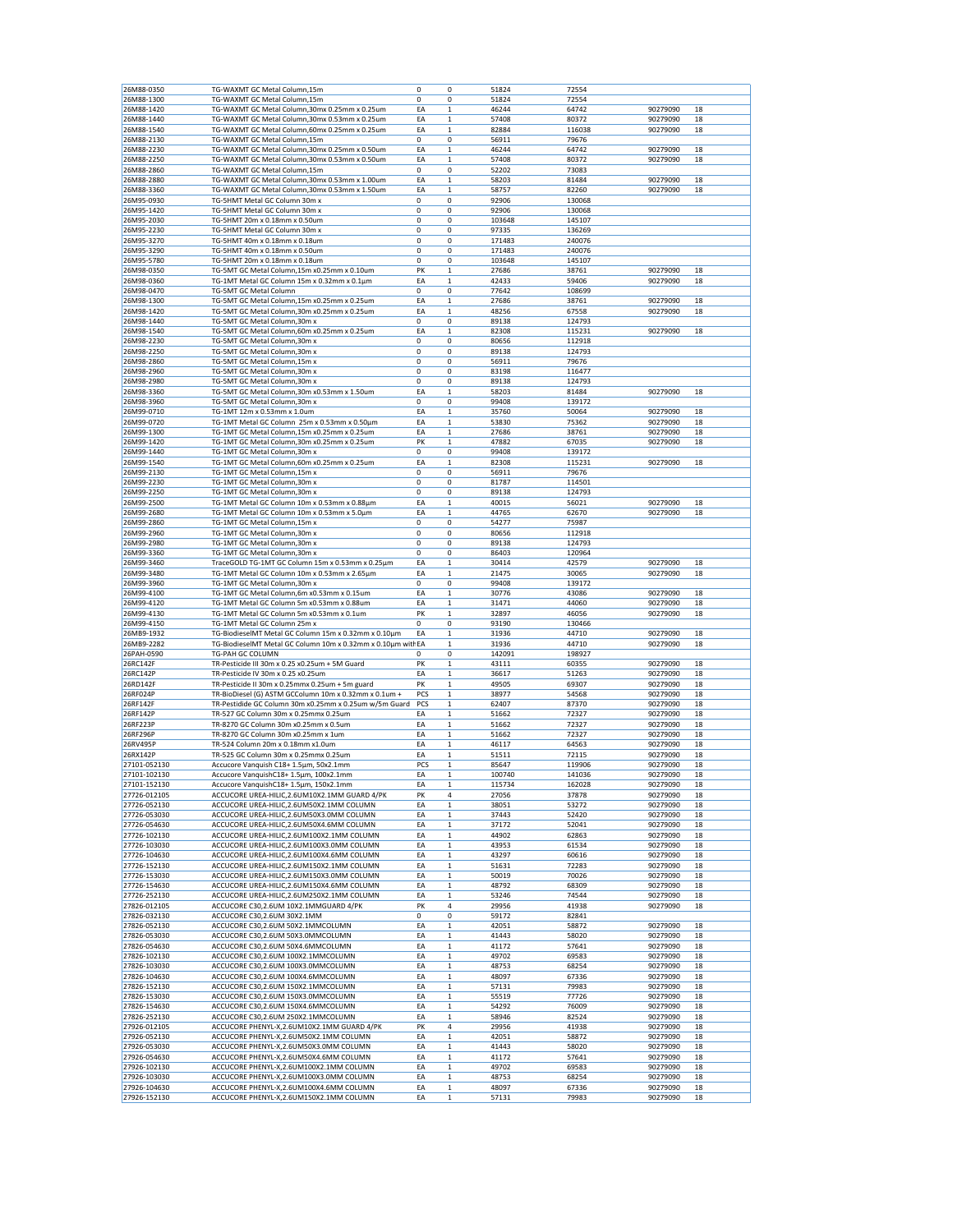| 26M88-0350   | TG-WAXMT GC Metal Column,15m                                 | 0   | 0            | 51824  | 72554  |          |    |
|--------------|--------------------------------------------------------------|-----|--------------|--------|--------|----------|----|
| 26M88-1300   | TG-WAXMT GC Metal Column,15m                                 | 0   | 0            | 51824  | 72554  |          |    |
| 26M88-1420   | TG-WAXMT GC Metal Column, 30mx 0.25mm x 0.25um               | ΕA  | 1            | 46244  | 64742  | 90279090 | 18 |
| 26M88-1440   | TG-WAXMT GC Metal Column, 30mx 0.53mm x 0.25um               | EA  | 1            | 57408  | 80372  | 90279090 | 18 |
| 26M88-1540   |                                                              |     | $\mathbf 1$  | 82884  |        |          | 18 |
|              | TG-WAXMT GC Metal Column, 60mx 0.25mm x 0.25um               | EA  |              |        | 116038 | 90279090 |    |
| 26M88-2130   | TG-WAXMT GC Metal Column,15m                                 | 0   | 0            | 56911  | 79676  |          |    |
| 26M88-2230   | TG-WAXMT GC Metal Column, 30mx 0.25mm x 0.50um               | ΕA  | 1            | 46244  | 64742  | 90279090 | 18 |
| 26M88-2250   | TG-WAXMT GC Metal Column, 30mx 0.53mm x 0.50um               | EA  | $\mathbf 1$  | 57408  | 80372  | 90279090 | 18 |
| 26M88-2860   | TG-WAXMT GC Metal Column,15m                                 | 0   | 0            | 52202  | 73083  |          |    |
| 26M88-2880   | TG-WAXMT GC Metal Column,30mx 0.53mm x 1.00um                | ΕA  | 1            | 58203  | 81484  | 90279090 | 18 |
| 26M88-3360   | TG-WAXMT GC Metal Column, 30mx 0.53mm x 1.50um               | EA  | $\mathbf 1$  | 58757  | 82260  | 90279090 | 18 |
| 26M95-0930   | TG-5HMT Metal GC Column 30m x                                | 0   | 0            | 92906  | 130068 |          |    |
|              |                                                              |     |              |        |        |          |    |
| 26M95-1420   | TG-5HMT Metal GC Column 30m x                                | 0   | 0            | 92906  | 130068 |          |    |
| 26M95-2030   | TG-5HMT 20m x 0.18mm x 0.50um                                | 0   | 0            | 103648 | 145107 |          |    |
| 26M95-2230   | TG-5HMT Metal GC Column 30m x                                | 0   | 0            | 97335  | 136269 |          |    |
| 26M95-3270   | TG-5HMT 40m x 0.18mm x 0.18um                                | 0   | 0            | 171483 | 240076 |          |    |
| 26M95-3290   | TG-5HMT 40m x 0.18mm x 0.50um                                | 0   | 0            | 171483 | 240076 |          |    |
| 26M95-5780   | TG-5HMT 20m x 0.18mm x 0.18um                                | 0   | 0            | 103648 | 145107 |          |    |
| 26M98-0350   | TG-5MT GC Metal Column,15m x0.25mm x 0.10um                  | PK  | 1            | 27686  | 38761  | 90279090 | 18 |
| 26M98-0360   | TG-1MT Metal GC Column 15m x 0.32mm x 0.1µm                  | ΕA  | 1            | 42433  | 59406  | 90279090 | 18 |
| 26M98-0470   |                                                              | 0   | 0            | 77642  | 108699 |          |    |
|              | TG-5MT GC Metal Column                                       |     |              |        |        |          |    |
| 26M98-1300   | TG-5MT GC Metal Column,15m x0.25mm x 0.25um                  | ΕA  | 1            | 27686  | 38761  | 90279090 | 18 |
| 26M98-1420   | TG-5MT GC Metal Column, 30m x0.25mm x 0.25um                 | ΕA  | 1            | 48256  | 67558  | 90279090 | 18 |
| 26M98-1440   | TG-5MT GC Metal Column, 30m x                                | 0   | 0            | 89138  | 124793 |          |    |
| 26M98-1540   | TG-5MT GC Metal Column,60m x0.25mm x 0.25um                  | EA  | 1            | 82308  | 115231 | 90279090 | 18 |
| 26M98-2230   | TG-5MT GC Metal Column, 30m x                                | 0   | 0            | 80656  | 112918 |          |    |
| 26M98-2250   | TG-5MT GC Metal Column, 30m x                                | 0   | 0            | 89138  | 124793 |          |    |
| 26M98-2860   | TG-5MT GC Metal Column, 15m x                                | 0   | 0            | 56911  | 79676  |          |    |
|              |                                                              |     |              |        |        |          |    |
| 26M98-2960   | TG-5MT GC Metal Column, 30m x                                | 0   | 0            | 83198  | 116477 |          |    |
| 26M98-2980   | TG-5MT GC Metal Column, 30m x                                | 0   | 0            | 89138  | 124793 |          |    |
| 26M98-3360   | TG-5MT GC Metal Column, 30m x0.53mm x 1.50um                 | ΕA  | 1            | 58203  | 81484  | 90279090 | 18 |
| 26M98-3960   | TG-5MT GC Metal Column, 30m x                                | 0   | 0            | 99408  | 139172 |          |    |
| 26M99-0710   | TG-1MT 12m x 0.53mm x 1.0um                                  | EA  | $\mathbf 1$  | 35760  | 50064  | 90279090 | 18 |
| 26M99-0720   | TG-1MT Metal GC Column 25m x 0.53mm x 0.50µm                 | ΕA  | $\mathbf 1$  | 53830  | 75362  | 90279090 | 18 |
| 26M99-1300   | TG-1MT GC Metal Column, 15m x0.25mm x 0.25um                 | ΕA  | 1            | 27686  | 38761  | 90279090 | 18 |
| 26M99-1420   | TG-1MT GC Metal Column, 30m x0.25mm x 0.25um                 | PK  | $\mathbf 1$  | 47882  | 67035  | 90279090 | 18 |
| 26M99-1440   |                                                              | 0   | 0            | 99408  |        |          |    |
|              | TG-1MT GC Metal Column, 30m x                                |     |              |        | 139172 |          |    |
| 26M99-1540   | TG-1MT GC Metal Column,60m x0.25mm x 0.25um                  | ΕA  | 1            | 82308  | 115231 | 90279090 | 18 |
| 26M99-2130   | TG-1MT GC Metal Column, 15m x                                | 0   | 0            | 56911  | 79676  |          |    |
| 26M99-2230   | TG-1MT GC Metal Column, 30m x                                | 0   | 0            | 81787  | 114501 |          |    |
| 26M99-2250   | TG-1MT GC Metal Column,30m x                                 | 0   | 0            | 89138  | 124793 |          |    |
| 26M99-2500   | TG-1MT Metal GC Column 10m x 0.53mm x 0.88µm                 | EA  | 1            | 40015  | 56021  | 90279090 | 18 |
| 26M99-2680   | TG-1MT Metal GC Column 10m x 0.53mm x 5.0µm                  | ΕA  | 1            | 44765  | 62670  | 90279090 | 18 |
| 26M99-2860   | TG-1MT GC Metal Column, 15m x                                | 0   | 0            | 54277  | 75987  |          |    |
| 26M99-2960   | TG-1MT GC Metal Column, 30m x                                | 0   | 0            | 80656  | 112918 |          |    |
|              |                                                              |     |              |        |        |          |    |
| 26M99-2980   | TG-1MT GC Metal Column, 30m x                                | 0   | 0            | 89138  | 124793 |          |    |
| 26M99-3360   | TG-1MT GC Metal Column, 30m x                                | 0   | 0            | 86403  | 120964 |          |    |
| 26M99-3460   | TraceGOLD TG-1MT GC Column 15m x 0.53mm x 0.25µm             | ΕA  | 1            | 30414  | 42579  | 90279090 | 18 |
| 26M99-3480   | TG-1MT Metal GC Column 10m x 0.53mm x 2.65µm                 | ΕA  | 1            | 21475  | 30065  | 90279090 | 18 |
| 26M99-3960   | TG-1MT GC Metal Column, 30m x                                | 0   | 0            | 99408  | 139172 |          |    |
| 26M99-4100   | TG-1MT GC Metal Column,6m x0.53mm x 0.15um                   | ΕA  | 1            | 30776  | 43086  | 90279090 | 18 |
| 26M99-4120   | TG-1MT Metal GC Column 5m x0.53mm x 0.88um                   | EA  | $\mathbf 1$  | 31471  | 44060  | 90279090 | 18 |
| 26M99-4130   | TG-1MT Metal GC Column 5m x0.53mm x 0.1um                    | PK  | $\mathbf 1$  | 32897  | 46056  | 90279090 | 18 |
|              |                                                              | 0   |              |        |        |          |    |
| 26M99-4150   | TG-1MT Metal GC Column 25m x                                 |     | 0            | 93190  | 130466 |          |    |
| 26MB9-1932   | TG-BiodieselMT Metal GC Column 15m x 0.32mm x 0.10µm         | EA  | $\mathbf{1}$ | 31936  | 44710  | 90279090 | 18 |
| 26MB9-2282   | TG-BiodieselMT Metal GC Column 10m x 0.32mm x 0.10µm with EA |     | 1            | 31936  | 44710  | 90279090 | 18 |
| 26PAH-0590   | TG-PAH GC COLUMN                                             | 0   | 0            | 142091 | 198927 |          |    |
| 26RC142F     | TR-Pesticide III 30m x 0.25 x0.25um + 5M Guard               | PK  | $\mathbf 1$  | 43111  | 60355  | 90279090 | 18 |
| 26RC142P     | TR-Pesticide IV 30m x 0.25 x0.25um                           | ΕA  | $\mathbf 1$  | 36617  | 51263  | 90279090 | 18 |
| 26RD142F     | TR-Pesticide II 30m x 0.25mmx 0.25um + 5m guard              | PK  | 1            | 49505  | 69307  | 90279090 | 18 |
| 26RF024P     | TR-BioDiesel (G) ASTM GCColumn 10m x 0.32mm x 0.1um +        | PCS | $\mathbf{1}$ | 38977  | 54568  | 90279090 | 18 |
| 26RF142F     |                                                              | PCS | 1            |        |        |          |    |
|              | TR-Pestidide GC Column 30m x0.25mm x 0.25um w/5m Guard       |     |              |        |        |          |    |
| 26RF142P     |                                                              |     |              | 62407  | 87370  | 90279090 | 18 |
| 26RF223P     | TR-527 GC Column 30m x 0.25mmx 0.25um                        | ΕA  | 1            | 51662  | 72327  | 90279090 | 18 |
|              | TR-8270 GC Column 30m x0.25mm x 0.5um                        | EA  | 1            | 51662  | 72327  | 90279090 | 18 |
| 26RF296P     | TR-8270 GC Column 30m x0.25mm x 1um                          | EA  | $\mathbf 1$  | 51662  | 72327  | 90279090 | 18 |
| 26RV495P     | TR-524 Column 20m x 0.18mm x1.0um                            | ΕA  | 1            | 46117  | 64563  | 90279090 | 18 |
|              |                                                              | EA  |              |        |        |          |    |
| 26RX142P     | TR-525 GC Column 30m x 0.25mmx 0.25um                        | PCS | 1            | 51511  | 72115  | 90279090 | 18 |
| 27101-052130 | Accucore Vanquish C18+ 1.5µm, 50x2.1mm                       |     | 1            | 85647  | 119906 | 90279090 | 18 |
| 27101-102130 | Accucore VanquishC18+ 1.5µm, 100x2.1mm                       | ΕA  | 1            | 100740 | 141036 | 90279090 | 18 |
| 27101-152130 | Accucore VanquishC18+ 1.5µm, 150x2.1mm                       | EA  | $\mathbf{1}$ | 115734 | 162028 | 90279090 | 18 |
| 27726-012105 | ACCUCORE UREA-HILIC, 2.6UM10X2.1MM GUARD 4/PK                | PK  | 4            | 27056  | 37878  | 90279090 | 18 |
| 27726-052130 | ACCUCORE UREA-HILIC, 2.6UM50X2.1MM COLUMN                    | ΕA  | $\mathbf 1$  | 38051  | 53272  | 90279090 | 18 |
| 27726-053030 | ACCUCORE UREA-HILIC, 2.6UM50X3.0MM COLUMN                    | EA  | 1            | 37443  | 52420  | 90279090 | 18 |
| 27726-054630 | ACCUCORE UREA-HILIC, 2.6UM50X4.6MM COLUMN                    | EA  | $\mathbf{1}$ | 37172  | 52041  | 90279090 | 18 |
| 27726-102130 | ACCUCORE UREA-HILIC, 2.6UM100X2.1MM COLUMN                   | EA  | 1            | 44902  | 62863  | 90279090 | 18 |
| 27726-103030 | ACCUCORE UREA-HILIC, 2.6UM100X3.0MM COLUMN                   | ΕA  | 1            | 43953  | 61534  | 90279090 | 18 |
| 27726-104630 | ACCUCORE UREA-HILIC, 2.6UM100X4.6MM COLUMN                   |     | $\,1$        | 43297  |        | 90279090 | 18 |
|              |                                                              | ΕA  |              |        | 60616  |          |    |
| 27726-152130 | ACCUCORE UREA-HILIC, 2.6UM150X2.1MM COLUMN                   | ΕA  | $\mathbf 1$  | 51631  | 72283  | 90279090 | 18 |
| 27726-153030 | ACCUCORE UREA-HILIC, 2.6UM150X3.0MM COLUMN                   | ΕA  | 1            | 50019  | 70026  | 90279090 | 18 |
| 27726-154630 | ACCUCORE UREA-HILIC, 2.6UM150X4.6MM COLUMN                   | ΕA  | $\,1$        | 48792  | 68309  | 90279090 | 18 |
| 27726-252130 | ACCUCORE UREA-HILIC, 2.6UM250X2.1MM COLUMN                   | ΕA  | 1            | 53246  | 74544  | 90279090 | 18 |
| 27826-012105 | ACCUCORE C30,2.6UM 10X2.1MMGUARD 4/PK                        | PK  | 4            | 29956  | 41938  | 90279090 | 18 |
| 27826-032130 | ACCUCORE C30,2.6UM 30X2.1MM                                  | 0   | 0            | 59172  | 82841  |          |    |
| 27826-052130 | ACCUCORE C30,2.6UM 50X2.1MMCOLUMN                            | ΕA  | 1            | 42051  | 58872  | 90279090 | 18 |
| 27826-053030 | ACCUCORE C30,2.6UM 50X3.0MMCOLUMN                            | ΕA  | 1            | 41443  | 58020  | 90279090 | 18 |
|              |                                                              |     |              |        |        |          |    |
| 27826-054630 | ACCUCORE C30,2.6UM 50X4.6MMCOLUMN                            | EA  | $\,1$        | 41172  | 57641  | 90279090 | 18 |
| 27826-102130 | ACCUCORE C30,2.6UM 100X2.1MMCOLUMN                           | ΕA  | 1            | 49702  | 69583  | 90279090 | 18 |
| 27826-103030 | ACCUCORE C30,2.6UM 100X3.0MMCOLUMN                           | ΕA  | 1            | 48753  | 68254  | 90279090 | 18 |
| 27826-104630 | ACCUCORE C30,2.6UM 100X4.6MMCOLUMN                           | ΕA  | 1            | 48097  | 67336  | 90279090 | 18 |
| 27826-152130 | ACCUCORE C30,2.6UM 150X2.1MMCOLUMN                           | ΕA  | $\mathbf 1$  | 57131  | 79983  | 90279090 | 18 |
| 27826-153030 | ACCUCORE C30,2.6UM 150X3.0MMCOLUMN                           | ΕA  | 1            | 55519  | 77726  | 90279090 | 18 |
| 27826-154630 | ACCUCORE C30,2.6UM 150X4.6MMCOLUMN                           | ΕA  | $\,1$        | 54292  | 76009  | 90279090 | 18 |
|              |                                                              |     |              |        |        |          |    |
| 27826-252130 | ACCUCORE C30,2.6UM 250X2.1MMCOLUMN                           | ΕA  | 1            | 58946  | 82524  | 90279090 | 18 |
| 27926-012105 | ACCUCORE PHENYL-X,2.6UM10X2.1MM GUARD 4/PK                   | PK  | 4            | 29956  | 41938  | 90279090 | 18 |
| 27926-052130 | ACCUCORE PHENYL-X, 2.6UM50X2.1MM COLUMN                      | ΕA  | 1            | 42051  | 58872  | 90279090 | 18 |
| 27926-053030 | ACCUCORE PHENYL-X, 2.6UM50X3.0MM COLUMN                      | EA  | $\mathbf 1$  | 41443  | 58020  | 90279090 | 18 |
| 27926-054630 | ACCUCORE PHENYL-X, 2.6UM50X4.6MM COLUMN                      | ΕA  | $\mathbf 1$  | 41172  | 57641  | 90279090 | 18 |
| 27926-102130 | ACCUCORE PHENYL-X, 2.6UM100X2.1MM COLUMN                     | ΕA  | 1            | 49702  | 69583  | 90279090 | 18 |
| 27926-103030 | ACCUCORE PHENYL-X, 2.6UM100X3.0MM COLUMN                     | ΕA  | $\mathbf{1}$ | 48753  | 68254  | 90279090 | 18 |
| 27926-104630 | ACCUCORE PHENYL-X, 2.6UM100X4.6MM COLUMN                     | EA  | 1            | 48097  | 67336  | 90279090 | 18 |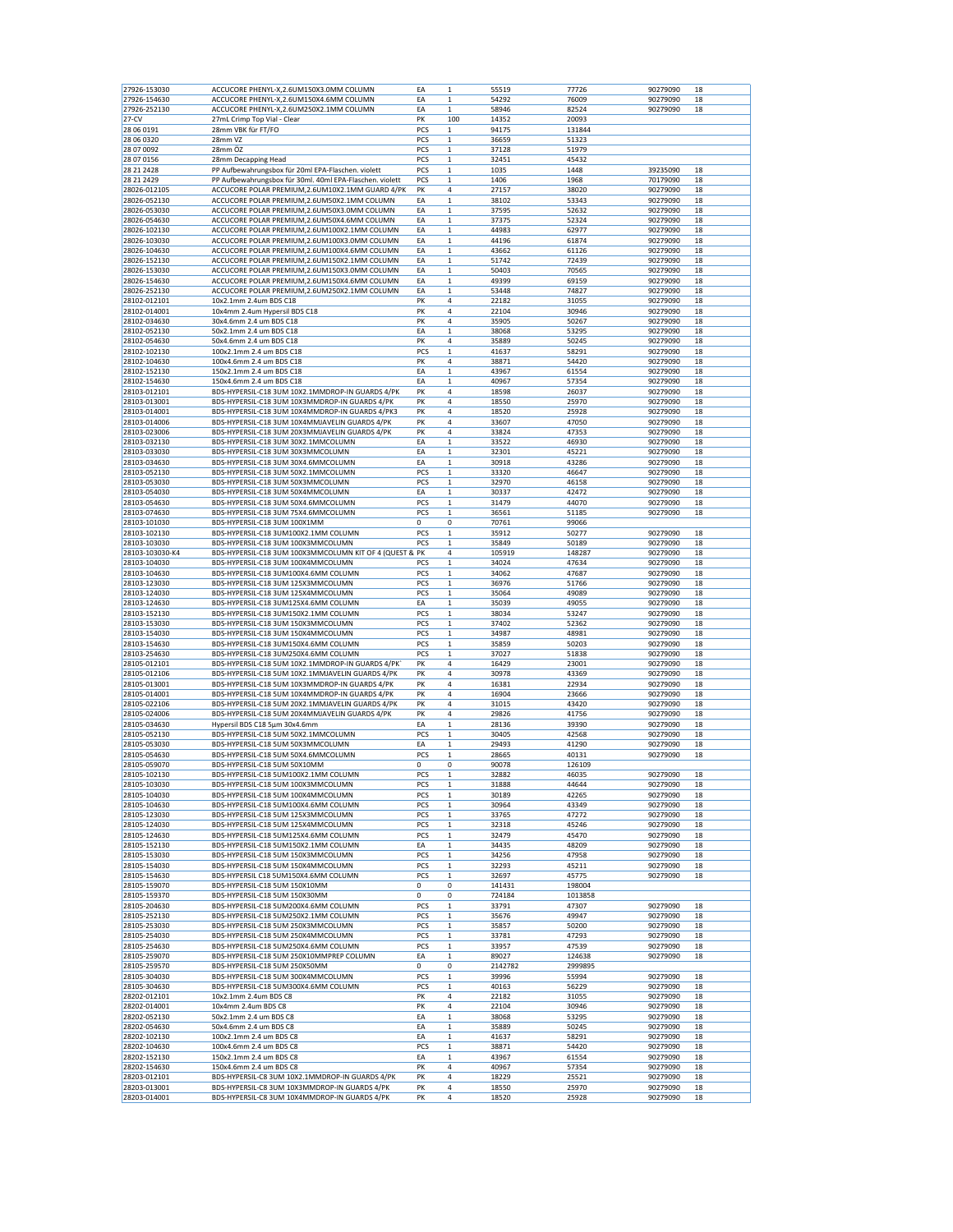| 27926-153030              | ACCUCORE PHENYL-X,2.6UM150X3.0MM COLUMN                  | EA         | $\mathbf 1$       | 55519   | 77726          | 90279090 | 18 |
|---------------------------|----------------------------------------------------------|------------|-------------------|---------|----------------|----------|----|
| 27926-154630              | ACCUCORE PHENYL-X, 2.6UM150X4.6MM COLUMN                 | ΕA         | $\mathbf 1$       | 54292   | 76009          | 90279090 | 18 |
| 27926-252130              | ACCUCORE PHENYL-X,2.6UM250X2.1MM COLUMN                  | ΕA         | $\mathbf 1$       | 58946   | 82524          | 90279090 | 18 |
| $27-CV$                   | 27mL Crimp Top Vial - Clear                              | PK         | 100               | 14352   | 20093          |          |    |
| 28 06 0191                | 28mm VBK für FT/FO                                       | PCS        | 1                 | 94175   | 131844         |          |    |
|                           |                                                          |            |                   |         |                |          |    |
| 28 06 03 20<br>28 07 0092 | 28mm VZ<br>28mm ÖZ                                       | PCS<br>PCS | 1<br>$\mathbf{1}$ | 36659   | 51323<br>51979 |          |    |
|                           |                                                          |            |                   | 37128   |                |          |    |
| 28 07 0156                | 28mm Decapping Head                                      | PCS        | $\mathbf 1$       | 32451   | 45432          |          |    |
| 28 21 24 28               | PP Aufbewahrungsbox für 20ml EPA-Flaschen. violett       | PCS        | 1                 | 1035    | 1448           | 39235090 | 18 |
| 28 21 24 29               | PP Aufbewahrungsbox für 30ml. 40ml EPA-Flaschen. violett | PCS        | $\mathbf 1$       | 1406    | 1968           | 70179090 | 18 |
| 28026-012105              | ACCUCORE POLAR PREMIUM, 2.6UM10X2.1MM GUARD 4/PK         | PK         | 4                 | 27157   | 38020          | 90279090 | 18 |
| 28026-052130              | ACCUCORE POLAR PREMIUM, 2.6UM50X2.1MM COLUMN             | ΕA         | 1                 | 38102   | 53343          | 90279090 | 18 |
| 28026-053030              | ACCUCORE POLAR PREMIUM, 2.6UM50X3.0MM COLUMN             | EA         | 1                 | 37595   | 52632          | 90279090 | 18 |
| 28026-054630              | ACCUCORE POLAR PREMIUM, 2.6UM50X4.6MM COLUMN             | EA         | $\mathbf 1$       | 37375   | 52324          | 90279090 | 18 |
| 28026-102130              | ACCUCORE POLAR PREMIUM, 2.6UM100X2.1MM COLUMN            | ΕA         | $\mathbf 1$       | 44983   | 62977          | 90279090 | 18 |
| 28026-103030              | ACCUCORE POLAR PREMIUM, 2.6UM100X3.0MM COLUMN            | ΕA         | $\mathbf 1$       | 44196   | 61874          | 90279090 | 18 |
| 28026-104630              | ACCUCORE POLAR PREMIUM, 2.6UM100X4.6MM COLUMN            | EA         | $\mathbf 1$       | 43662   | 61126          | 90279090 | 18 |
| 28026-152130              | ACCUCORE POLAR PREMIUM, 2.6UM150X2.1MM COLUMN            | ΕA         | 1                 | 51742   | 72439          | 90279090 | 18 |
| 28026-153030              | ACCUCORE POLAR PREMIUM, 2.6UM150X3.0MM COLUMN            | EA         | 1                 | 50403   | 70565          | 90279090 | 18 |
| 28026-154630              | ACCUCORE POLAR PREMIUM, 2.6UM150X4.6MM COLUMN            | EA         | $\mathbf 1$       | 49399   | 69159          | 90279090 | 18 |
| 28026-252130              | ACCUCORE POLAR PREMIUM, 2.6UM250X2.1MM COLUMN            | EA         | $\mathbf 1$       | 53448   | 74827          | 90279090 | 18 |
| 28102-012101              | 10x2.1mm 2.4um BDS C18                                   | PK         | 4                 | 22182   | 31055          | 90279090 | 18 |
| 28102-014001              | 10x4mm 2.4um Hypersil BDS C18                            | PK         | 4                 | 22104   | 30946          | 90279090 | 18 |
|                           |                                                          | PK         | 4                 |         |                |          | 18 |
| 28102-034630              | 30x4.6mm 2.4 um BDS C18                                  |            |                   | 35905   | 50267          | 90279090 |    |
| 28102-052130              | 50x2.1mm 2.4 um BDS C18                                  | ΕA         | 1                 | 38068   | 53295          | 90279090 | 18 |
| 28102-054630              | 50x4.6mm 2.4 um BDS C18                                  | PK         | 4                 | 35889   | 50245          | 90279090 | 18 |
| 28102-102130              | 100x2.1mm 2.4 um BDS C18                                 | PCS        | $\mathbf 1$       | 41637   | 58291          | 90279090 | 18 |
| 28102-104630              | 100x4.6mm 2.4 um BDS C18                                 | PK         | 4                 | 38871   | 54420          | 90279090 | 18 |
| 28102-152130              | 150x2.1mm 2.4 um BDS C18                                 | EA         | $\mathbf 1$       | 43967   | 61554          | 90279090 | 18 |
| 28102-154630              | 150x4.6mm 2.4 um BDS C18                                 | EA         | 1                 | 40967   | 57354          | 90279090 | 18 |
| 28103-012101              | BDS-HYPERSIL-C18 3UM 10X2.1MMDROP-IN GUARDS 4/PK         | PK         | 4                 | 18598   | 26037          | 90279090 | 18 |
| 28103-013001              | BDS-HYPERSIL-C18 3UM 10X3MMDROP-IN GUARDS 4/PK           | PK         | 4                 | 18550   | 25970          | 90279090 | 18 |
| 28103-014001              | BDS-HYPERSIL-C18 3UM 10X4MMDROP-IN GUARDS 4/PK3          | PK         | 4                 | 18520   | 25928          | 90279090 | 18 |
| 28103-014006              | BDS-HYPERSIL-C18 3UM 10X4MMJAVELIN GUARDS 4/PK           | PK         | 4                 | 33607   | 47050          | 90279090 | 18 |
| 28103-023006              | BDS-HYPERSIL-C18 3UM 20X3MMJAVELIN GUARDS 4/PK           | PK         | 4                 | 33824   | 47353          | 90279090 | 18 |
| 28103-032130              | BDS-HYPERSIL-C18 3UM 30X2.1MMCOLUMN                      | ΕA         | $\mathbf 1$       | 33522   | 46930          | 90279090 | 18 |
| 28103-033030              | BDS-HYPERSIL-C18 3UM 30X3MMCOLUMN                        | ΕA         | 1                 | 32301   | 45221          | 90279090 | 18 |
| 28103-034630              | BDS-HYPERSIL-C18 3UM 30X4.6MMCOLUMN                      | EA         | 1                 | 30918   | 43286          | 90279090 | 18 |
|                           | BDS-HYPERSIL-C18 3UM 50X2.1MMCOLUMN                      | PCS        | $\mathbf 1$       | 33320   | 46647          | 90279090 | 18 |
| 28103-052130              |                                                          |            |                   |         |                |          |    |
| 28103-053030              | BDS-HYPERSIL-C18 3UM 50X3MMCOLUMN                        | PCS        | 1                 | 32970   | 46158          | 90279090 | 18 |
| 28103-054030              | BDS-HYPERSIL-C18 3UM 50X4MMCOLUMN                        | EA         | 1                 | 30337   | 42472          | 90279090 | 18 |
| 28103-054630              | BDS-HYPERSIL-C18 3UM 50X4.6MMCOLUMN                      | PCS        | $\,1$             | 31479   | 44070          | 90279090 | 18 |
| 28103-074630              | BDS-HYPERSIL-C18 3UM 75X4.6MMCOLUMN                      | PCS        | 1                 | 36561   | 51185          | 90279090 | 18 |
| 28103-101030              | BDS-HYPERSIL-C18 3UM 100X1MM                             | 0          | 0                 | 70761   | 99066          |          |    |
| 28103-102130              | BDS-HYPERSIL-C18 3UM100X2.1MM COLUMN                     | PCS        | $\mathbf 1$       | 35912   | 50277          | 90279090 | 18 |
| 28103-103030              | BDS-HYPERSIL-C18 3UM 100X3MMCOLUMN                       | PCS        | $\mathbf 1$       | 35849   | 50189          | 90279090 | 18 |
| 28103-103030-K4           | BDS-HYPERSIL-C18 3UM 100X3MMCOLUMN KIT OF 4 (QUEST & PK  |            | 4                 | 105919  | 148287         | 90279090 | 18 |
| 28103-104030              | BDS-HYPERSIL-C18 3UM 100X4MMCOLUMN                       | PCS        | $\mathbf 1$       | 34024   | 47634          | 90279090 | 18 |
| 28103-104630              | BDS-HYPERSIL-C18 3UM100X4.6MM COLUMN                     | PCS        | 1                 | 34062   | 47687          | 90279090 | 18 |
| 28103-123030              | BDS-HYPERSIL-C18 3UM 125X3MMCOLUMN                       | PCS        | 1                 | 36976   | 51766          | 90279090 | 18 |
| 28103-124030              | BDS-HYPERSIL-C18 3UM 125X4MMCOLUMN                       | PCS        | $\mathbf 1$       | 35064   | 49089          | 90279090 | 18 |
|                           |                                                          |            |                   |         |                |          |    |
|                           |                                                          |            |                   |         |                |          |    |
| 28103-124630              | BDS-HYPERSIL-C18 3UM125X4.6MM COLUMN                     | EA         | $\mathbf 1$       | 35039   | 49055          | 90279090 | 18 |
| 28103-152130              | BDS-HYPERSIL-C18 3UM150X2.1MM COLUMN                     | PCS        | 1                 | 38034   | 53247          | 90279090 | 18 |
| 28103-153030              | BDS-HYPERSIL-C18 3UM 150X3MMCOLUMN                       | PCS        | $\mathbf 1$       | 37402   | 52362          | 90279090 | 18 |
| 28103-154030              | BDS-HYPERSIL-C18 3UM 150X4MMCOLUMN                       | PCS        | 1                 | 34987   | 48981          | 90279090 | 18 |
| 28103-154630              | BDS-HYPERSIL-C18 3UM150X4.6MM COLUMN                     | PCS        | 1                 | 35859   | 50203          | 90279090 | 18 |
| 28103-254630              | BDS-HYPERSIL-C18 3UM250X4.6MM COLUMN                     | PCS        | $\mathbf{1}$      | 37027   | 51838          | 90279090 | 18 |
| 28105-012101              | BDS-HYPERSIL-C18 5UM 10X2.1MMDROP-IN GUARDS 4/PK         | PK         | 4                 | 16429   | 23001          | 90279090 | 18 |
| 28105-012106              | BDS-HYPERSIL-C18 5UM 10X2.1MMJAVELIN GUARDS 4/PK         | PK         | 4                 | 30978   | 43369          | 90279090 | 18 |
| 28105-013001              | BDS-HYPERSIL-C18 5UM 10X3MMDROP-IN GUARDS 4/PK           | PK         | 4                 | 16381   | 22934          | 90279090 | 18 |
| 28105-014001              | BDS-HYPERSIL-C18 5UM 10X4MMDROP-IN GUARDS 4/PK           | PK         | 4                 | 16904   | 23666          | 90279090 | 18 |
| 28105-022106              | BDS-HYPERSIL-C18 5UM 20X2.1MMJAVELIN GUARDS 4/PK         | PK         | 4                 | 31015   | 43420          | 90279090 | 18 |
| 28105-024006              | BDS-HYPERSIL-C18 5UM 20X4MMJAVELIN GUARDS 4/PK           | PK         | 4                 | 29826   | 41756          | 90279090 | 18 |
| 28105-034630              | Hypersil BDS C18 5µm 30x4.6mm                            | EA         | $\mathbf 1$       | 28136   | 39390          | 90279090 | 18 |
| 28105-052130              | BDS-HYPERSIL-C18 5UM 50X2.1MMCOLUMN                      | PCS        | 1                 | 30405   | 42568          | 90279090 | 18 |
| 28105-053030              | BDS-HYPERSIL-C18 5UM 50X3MMCOLUMN                        | ΕA         | 1                 | 29493   | 41290          | 90279090 | 18 |
| 28105-054630              | BDS-HYPERSIL-C18 5UM 50X4.6MMCOLUMN                      | PCS        | $\mathbf 1$       | 28665   | 40131          | 90279090 | 18 |
|                           |                                                          | 0          |                   |         |                |          |    |
| 28105-059070              | BDS-HYPERSIL-C18 5UM 50X10MM                             |            | 0                 | 90078   | 126109         |          |    |
| 28105-102130              | BDS-HYPERSIL-C18 5UM100X2.1MM COLUMN                     | PCS        | 1                 | 32882   | 46035          | 90279090 | 18 |
| 28105-103030              | BDS-HYPERSIL-C18 5UM 100X3MMCOLUMN                       | PCS        | $\mathbf 1$       | 31888   | 44644          | 90279090 | 18 |
| 28105-104030              | BDS-HYPERSIL-C18 5UM 100X4MMCOLUMN                       | PCS        | $\mathbf 1$       | 30189   | 42265          | 90279090 | 18 |
| 28105-104630              | BDS-HYPERSIL-C18 5UM100X4.6MM COLUMN                     | PCS        | 1                 | 30964   | 43349          | 90279090 | 18 |
| 28105-123030              | BDS-HYPERSIL-C18 5UM 125X3MMCOLUMN                       | PCS        | $\mathbf 1$       | 33765   | 47272          | 90279090 | 18 |
| 28105-124030              | BDS-HYPERSIL-C18 5UM 125X4MMCOLUMN                       | PCS        | 1                 | 32318   | 45246          | 90279090 | 18 |
| 28105-124630              | BDS-HYPERSIL-C18 5UM125X4.6MM COLUMN                     | PCS        | 1                 | 32479   | 45470          | 90279090 | 18 |
| 28105-152130              | BDS-HYPERSIL-C18 5UM150X2.1MM COLUMN                     | ΕA         | $\mathbf 1$       | 34435   | 48209          | 90279090 | 18 |
| 28105-153030              | BDS-HYPERSIL-C18 5UM 150X3MMCOLUMN                       | PCS        | $\mathbf 1$       | 34256   | 47958          | 90279090 | 18 |
| 28105-154030              | BDS-HYPERSIL-C18 5UM 150X4MMCOLUMN                       | PCS        | $\mathbf 1$       | 32293   | 45211          | 90279090 | 18 |
| 28105-154630              | BDS-HYPERSIL C18 5UM150X4.6MM COLUMN                     | PCS        | $\,1$             | 32697   | 45775          | 90279090 | 18 |
| 28105-159070              | BDS-HYPERSIL-C18 5UM 150X10MM                            | 0          | 0                 | 141431  | 198004         |          |    |
| 28105-159370              | BDS-HYPERSIL-C18 5UM 150X30MM                            | 0          | 0                 | 724184  | 1013858        |          |    |
| 28105-204630              | BDS-HYPERSIL-C18 5UM200X4.6MM COLUMN                     | PCS        | 1                 | 33791   | 47307          | 90279090 | 18 |
| 28105-252130              | BDS-HYPERSIL-C18 5UM250X2.1MM COLUMN                     | PCS        | $\mathbf 1$       | 35676   | 49947          | 90279090 | 18 |
| 28105-253030              | BDS-HYPERSIL-C18 5UM 250X3MMCOLUMN                       | PCS        | 1                 | 35857   | 50200          | 90279090 | 18 |
| 28105-254030              | BDS-HYPERSIL-C18 5UM 250X4MMCOLUMN                       | PCS        | $\mathbf 1$       | 33781   | 47293          | 90279090 | 18 |
|                           |                                                          |            |                   |         |                |          |    |
| 28105-254630              | BDS-HYPERSIL-C18 5UM250X4.6MM COLUMN                     | PCS        | 1                 | 33957   | 47539          | 90279090 | 18 |
| 28105-259070              | BDS-HYPERSIL-C18 5UM 250X10MMPREP COLUMN                 | EA         | 1                 | 89027   | 124638         | 90279090 | 18 |
| 28105-259570              | BDS-HYPERSIL-C18 5UM 250X50MM                            | 0          | 0                 | 2142782 | 2999895        |          |    |
| 28105-304030              | BDS-HYPERSIL-C18 5UM 300X4MMCOLUMN                       | PCS        | $\mathbf 1$       | 39996   | 55994          | 90279090 | 18 |
| 28105-304630              | BDS-HYPERSIL-C18 5UM300X4.6MM COLUMN                     | PCS        | 1                 | 40163   | 56229          | 90279090 | 18 |
| 28202-012101              | 10x2.1mm 2.4um BDS C8                                    | PK         | 4                 | 22182   | 31055          | 90279090 | 18 |
| 28202-014001              | 10x4mm 2.4um BDS C8                                      | PΚ         | 4                 | 22104   | 30946          | 90279090 | 18 |
| 28202-052130              | 50x2.1mm 2.4 um BDS C8                                   | ΕA         | 1                 | 38068   | 53295          | 90279090 | 18 |
| 28202-054630              | 50x4.6mm 2.4 um BDS C8                                   | EA         | 1                 | 35889   | 50245          | 90279090 | 18 |
| 28202-102130              | 100x2.1mm 2.4 um BDS C8                                  | EA         | $\mathbf 1$       | 41637   | 58291          | 90279090 | 18 |
| 28202-104630              | 100x4.6mm 2.4 um BDS C8                                  | PCS        | $\mathbf 1$       | 38871   | 54420          | 90279090 | 18 |
| 28202-152130              | 150x2.1mm 2.4 um BDS C8                                  | EA         | 1                 | 43967   | 61554          | 90279090 | 18 |
| 28202-154630              | 150x4.6mm 2.4 um BDS C8                                  | PΚ         | 4                 | 40967   | 57354          | 90279090 | 18 |
| 28203-012101              | BDS-HYPERSIL-C8 3UM 10X2.1MMDROP-IN GUARDS 4/PK          | PK         | 4                 | 18229   | 25521          | 90279090 | 18 |
| 28203-013001              | BDS-HYPERSIL-C8 3UM 10X3MMDROP-IN GUARDS 4/PK            | PK         | 4                 | 18550   | 25970          | 90279090 | 18 |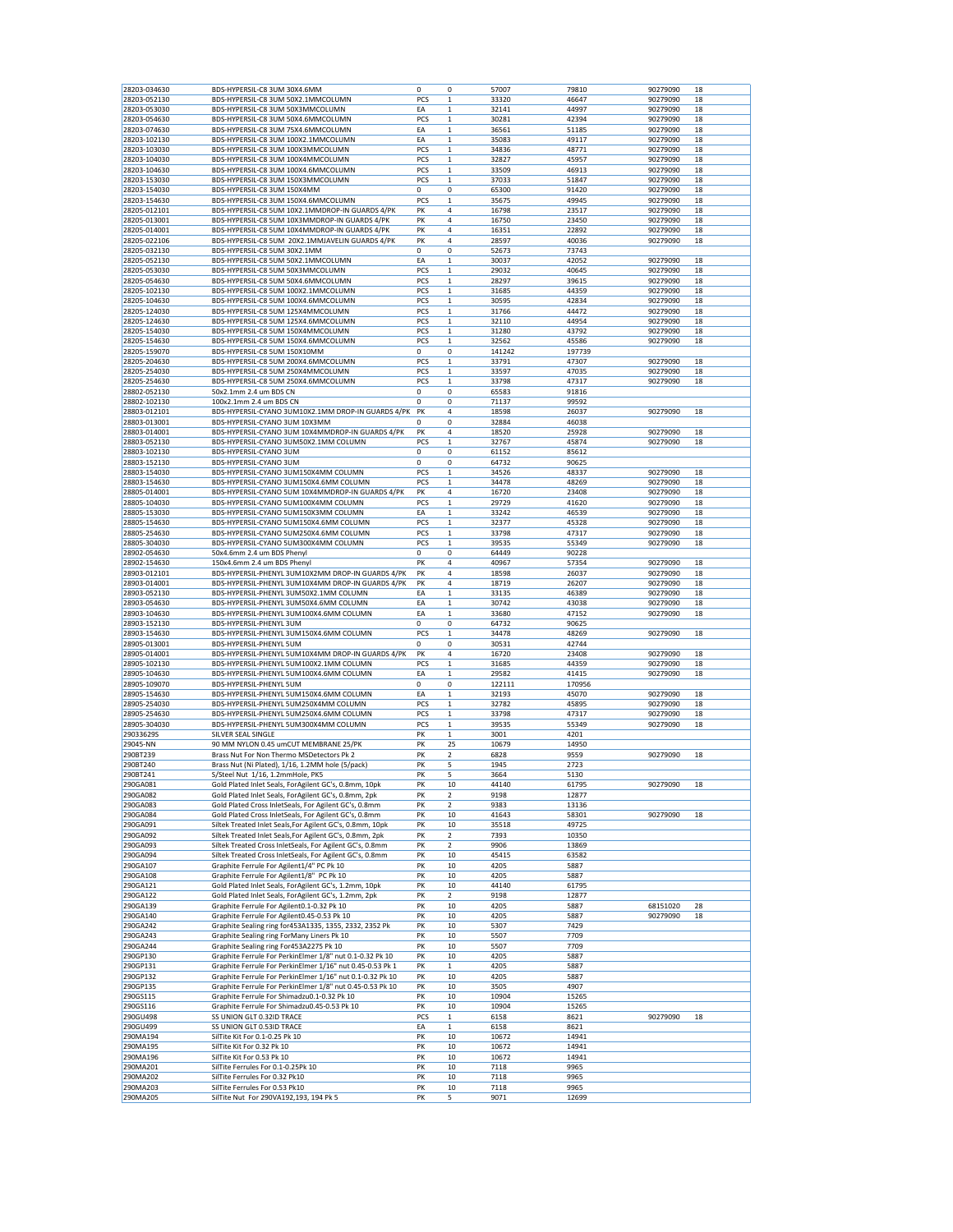| 28203-034630<br>28203-052130<br>28203-053030 | BDS-HYPERSIL-C8 3UM 30X4.6MM                                             | 0        | 0            | 57007        | 79810         | 90279090 | 18 |
|----------------------------------------------|--------------------------------------------------------------------------|----------|--------------|--------------|---------------|----------|----|
|                                              |                                                                          |          |              |              |               |          |    |
|                                              | BDS-HYPERSIL-C8 3UM 50X2.1MMCOLUMN                                       | PCS      | 1            | 33320        | 46647         | 90279090 | 18 |
|                                              | BDS-HYPERSIL-C8 3UM 50X3MMCOLUMN                                         | EA       | $\mathbf 1$  | 32141        | 44997         | 90279090 | 18 |
|                                              |                                                                          | PCS      |              |              |               |          |    |
| 28203-054630                                 | BDS-HYPERSIL-C8 3UM 50X4.6MMCOLUMN                                       |          | $\mathbf 1$  | 30281        | 42394         | 90279090 | 18 |
| 28203-074630                                 | BDS-HYPERSIL-C8 3UM 75X4.6MMCOLUMN                                       | EA       | 1            | 36561        | 51185         | 90279090 | 18 |
| 28203-102130                                 | BDS-HYPERSIL-C8 3UM 100X2.1MMCOLUMN                                      | EA       | $\mathbf 1$  | 35083        | 49117         | 90279090 | 18 |
| 28203-103030                                 | BDS-HYPERSIL-C8 3UM 100X3MMCOLUMN                                        | PCS      | $\mathbf 1$  | 34836        | 48771         | 90279090 | 18 |
|                                              |                                                                          |          |              |              |               |          |    |
| 28203-104030                                 | BDS-HYPERSIL-C8 3UM 100X4MMCOLUMN                                        | PCS      | 1            | 32827        | 45957         | 90279090 | 18 |
| 28203-104630                                 | BDS-HYPERSIL-C8 3UM 100X4.6MMCOLUMN                                      | PCS      | $\mathbf 1$  | 33509        | 46913         | 90279090 | 18 |
| 28203-153030                                 | BDS-HYPERSIL-C8 3UM 150X3MMCOLUMN                                        | PCS      | 1            | 37033        | 51847         | 90279090 | 18 |
|                                              |                                                                          |          |              |              |               |          |    |
| 28203-154030                                 | BDS-HYPERSIL-C8 3UM 150X4MM                                              | 0        | 0            | 65300        | 91420         | 90279090 | 18 |
| 28203-154630                                 | BDS-HYPERSIL-C8 3UM 150X4.6MMCOLUMN                                      | PCS      | $\mathbf 1$  | 35675        | 49945         | 90279090 | 18 |
| 28205-012101                                 | BDS-HYPERSIL-C8 5UM 10X2.1MMDROP-IN GUARDS 4/PK                          | PK       | 4            | 16798        | 23517         | 90279090 | 18 |
|                                              |                                                                          |          |              |              |               |          |    |
| 28205-013001                                 | BDS-HYPERSIL-C8 5UM 10X3MMDROP-IN GUARDS 4/PK                            | PΚ       | 4            | 16750        | 23450         | 90279090 | 18 |
| 28205-014001                                 | BDS-HYPERSIL-C8 5UM 10X4MMDROP-IN GUARDS 4/PK                            | PK       | 4            | 16351        | 22892         | 90279090 | 18 |
| 28205-022106                                 | BDS-HYPERSIL-C8 5UM 20X2.1MMJAVELIN GUARDS 4/PK                          | PK       | 4            | 28597        | 40036         | 90279090 | 18 |
| 28205-032130                                 |                                                                          |          | 0            |              |               |          |    |
|                                              | BDS-HYPERSIL-C8 5UM 30X2.1MM                                             | 0        |              | 52673        | 73743         |          |    |
| 28205-052130                                 | BDS-HYPERSIL-C8 5UM 50X2.1MMCOLUMN                                       | EA       | $\mathbf 1$  | 30037        | 42052         | 90279090 | 18 |
| 28205-053030                                 | BDS-HYPERSIL-C8 5UM 50X3MMCOLUMN                                         | PCS      | $\mathbf 1$  | 29032        | 40645         | 90279090 | 18 |
| 28205-054630                                 | BDS-HYPERSIL-C8 5UM 50X4.6MMCOLUMN                                       | PCS      | 1            | 28297        | 39615         | 90279090 | 18 |
|                                              |                                                                          |          |              |              |               |          |    |
| 28205-102130                                 | BDS-HYPERSIL-C8 5UM 100X2.1MMCOLUMN                                      | PCS      | $\mathbf 1$  | 31685        | 44359         | 90279090 | 18 |
| 28205-104630                                 | BDS-HYPERSIL-C8 5UM 100X4.6MMCOLUMN                                      | PCS      | 1            | 30595        | 42834         | 90279090 | 18 |
| 28205-124030                                 | BDS-HYPERSIL-C8 5UM 125X4MMCOLUMN                                        | PCS      | 1            | 31766        | 44472         | 90279090 | 18 |
|                                              |                                                                          |          |              |              |               |          |    |
| 28205-124630                                 | BDS-HYPERSIL-C8 5UM 125X4.6MMCOLUMN                                      | PCS      | $\mathbf{1}$ | 32110        | 44954         | 90279090 | 18 |
| 28205-154030                                 | BDS-HYPERSIL-C8 5UM 150X4MMCOLUMN                                        | PCS      | $\mathbf 1$  | 31280        | 43792         | 90279090 | 18 |
| 28205-154630                                 | BDS-HYPERSIL-C8 5UM 150X4.6MMCOLUMN                                      | PCS      | 1            | 32562        | 45586         | 90279090 | 18 |
|                                              |                                                                          | 0        |              |              |               |          |    |
| 28205-159070                                 | BDS-HYPERSIL-C8 5UM 150X10MM                                             |          | 0            | 141242       | 197739        |          |    |
| 28205-204630                                 | BDS-HYPERSIL-C8 5UM 200X4.6MMCOLUMN                                      | PCS      | $\mathbf 1$  | 33791        | 47307         | 90279090 | 18 |
| 28205-254030                                 | BDS-HYPERSIL-C8 5UM 250X4MMCOLUMN                                        | PCS      | 1            | 33597        | 47035         | 90279090 | 18 |
|                                              | BDS-HYPERSIL-C8 5UM 250X4.6MMCOLUMN                                      |          |              | 33798        |               |          |    |
| 28205-254630                                 |                                                                          | PCS      | 1            |              | 47317         | 90279090 | 18 |
| 28802-052130                                 | 50x2.1mm 2.4 um BDS CN                                                   | 0        | 0            | 65583        | 91816         |          |    |
| 28802-102130                                 | 100x2.1mm 2.4 um BDS CN                                                  | 0        | 0            | 71137        | 99592         |          |    |
|                                              | BDS-HYPERSIL-CYANO 3UM10X2.1MM DROP-IN GUARDS 4/PK                       | PK       | 4            |              |               |          |    |
| 28803-012101                                 |                                                                          |          |              | 18598        | 26037         | 90279090 | 18 |
| 28803-013001                                 | BDS-HYPERSIL-CYANO 3UM 10X3MM                                            | 0        | 0            | 32884        | 46038         |          |    |
| 28803-014001                                 | BDS-HYPERSIL-CYANO 3UM 10X4MMDROP-IN GUARDS 4/PK                         | PK       | 4            | 18520        | 25928         | 90279090 | 18 |
|                                              |                                                                          |          |              |              |               |          |    |
| 28803-052130                                 | BDS-HYPERSIL-CYANO 3UM50X2.1MM COLUMN                                    | PCS      | $\mathbf 1$  | 32767        | 45874         | 90279090 | 18 |
| 28803-102130                                 | BDS-HYPERSIL-CYANO 3UM                                                   | 0        | 0            | 61152        | 85612         |          |    |
| 28803-152130                                 | BDS-HYPERSIL-CYANO 3UM                                                   | 0        | 0            | 64732        | 90625         |          |    |
|                                              |                                                                          |          |              |              |               |          |    |
| 28803-154030                                 | BDS-HYPERSIL-CYANO 3UM150X4MM COLUMN                                     | PCS      | 1            | 34526        | 48337         | 90279090 | 18 |
| 28803-154630                                 | BDS-HYPERSIL-CYANO 3UM150X4.6MM COLUMN                                   | PCS      | $\mathbf 1$  | 34478        | 48269         | 90279090 | 18 |
| 28805-014001                                 | BDS-HYPERSIL-CYANO 5UM 10X4MMDROP-IN GUARDS 4/PK                         | PK       | 4            | 16720        | 23408         | 90279090 | 18 |
|                                              |                                                                          |          |              |              |               |          |    |
| 28805-104030                                 | BDS-HYPERSIL-CYANO 5UM100X4MM COLUMN                                     | PCS      | 1            | 29729        | 41620         | 90279090 | 18 |
| 28805-153030                                 | BDS-HYPERSIL-CYANO 5UM150X3MM COLUMN                                     | EA       | $\mathbf 1$  | 33242        | 46539         | 90279090 | 18 |
| 28805-154630                                 | BDS-HYPERSIL-CYANO 5UM150X4.6MM COLUMN                                   | PCS      | $\mathbf 1$  | 32377        | 45328         | 90279090 | 18 |
|                                              |                                                                          |          |              |              |               |          |    |
| 28805-254630                                 | BDS-HYPERSIL-CYANO 5UM250X4.6MM COLUMN                                   | PCS      | 1            | 33798        | 47317         | 90279090 | 18 |
| 28805-304030                                 | BDS-HYPERSIL-CYANO 5UM300X4MM COLUMN                                     | PCS      | $\mathbf 1$  | 39535        | 55349         | 90279090 | 18 |
| 28902-054630                                 | 50x4.6mm 2.4 um BDS Phenyl                                               | 0        | 0            | 64449        | 90228         |          |    |
|                                              |                                                                          |          |              |              |               |          |    |
| 28902-154630                                 | 150x4.6mm 2.4 um BDS Phenyl                                              | PK       | 4            | 40967        | 57354         | 90279090 | 18 |
| 28903-012101                                 | BDS-HYPERSIL-PHENYL 3UM10X2MM DROP-IN GUARDS 4/PK                        | PK       | 4            | 18598        | 26037         | 90279090 | 18 |
| 28903-014001                                 | BDS-HYPERSIL-PHENYL 3UM10X4MM DROP-IN GUARDS 4/PK                        | PK       | 4            | 18719        | 26207         | 90279090 | 18 |
|                                              |                                                                          |          |              |              |               |          |    |
| 28903-052130                                 | BDS-HYPERSIL-PHENYL 3UM50X2.1MM COLUMN                                   | ΕA       | $\mathbf 1$  | 33135        | 46389         | 90279090 | 18 |
| 28903-054630                                 | BDS-HYPERSIL-PHENYL 3UM50X4.6MM COLUMN                                   | EA       | 1            | 30742        | 43038         | 90279090 | 18 |
| 28903-104630                                 | BDS-HYPERSIL-PHENYL 3UM100X4.6MM COLUMN                                  | EA       | $\mathbf 1$  | 33680        | 47152         | 90279090 | 18 |
|                                              |                                                                          |          |              |              |               |          |    |
| 28903-152130                                 | BDS-HYPERSIL-PHENYL 3UM                                                  | 0        | 0            | 64732        | 90625         |          |    |
| 28903-154630                                 | BDS-HYPERSIL-PHENYL 3UM150X4.6MM COLUMN                                  | PCS      | 1            | 34478        | 48269         | 90279090 | 18 |
| 28905-013001                                 | BDS-HYPERSIL-PHENYL 5UM                                                  | 0        | 0            | 30531        | 42744         |          |    |
|                                              |                                                                          | PK       | 4            |              |               |          |    |
| 28905-014001                                 | BDS-HYPERSIL-PHENYL 5UM10X4MM DROP-IN GUARDS 4/PK                        |          |              |              |               |          |    |
|                                              | BDS-HYPERSIL-PHENYL 5UM100X2.1MM COLUMN                                  |          |              | 16720        | 23408         | 90279090 | 18 |
| 28905-102130                                 |                                                                          | PCS      | $\mathbf 1$  | 31685        | 44359         | 90279090 | 18 |
|                                              |                                                                          |          |              |              |               |          |    |
| 28905-104630                                 | BDS-HYPERSIL-PHENYL 5UM100X4.6MM COLUMN                                  | EA       | $\mathbf 1$  | 29582        | 41415         | 90279090 | 18 |
| 28905-109070                                 | BDS-HYPERSIL-PHENYL 5UM                                                  | 0        | 0            | 122111       | 170956        |          |    |
| 28905-154630                                 | BDS-HYPERSIL-PHENYL 5UM150X4.6MM COLUMN                                  | EA       | 1            | 32193        | 45070         | 90279090 | 18 |
| 28905-254030                                 |                                                                          |          |              |              |               |          |    |
|                                              | BDS-HYPERSIL-PHENYL 5UM250X4MM COLUMN                                    | PCS      | $\mathbf 1$  | 32782        | 45895         | 90279090 | 18 |
| 28905-254630                                 | BDS-HYPERSIL-PHENYL 5UM250X4.6MM COLUMN                                  | PCS      | 1            | 33798        | 47317         | 90279090 | 18 |
| 28905-304030                                 | BDS-HYPERSIL-PHENYL 5UM300X4MM COLUMN                                    | PCS      | 1            | 39535        | 55349         | 90279090 | 18 |
|                                              |                                                                          |          |              |              |               |          |    |
| 29033629S                                    | SILVER SEAL SINGLE                                                       | PK       | $\mathbf 1$  | 3001         | 4201          |          |    |
| 29045-NN                                     | 90 MM NYLON 0.45 umCUT MEMBRANE 25/PK                                    | PK       | 25           | 10679        | 14950         |          |    |
| 290BT239                                     | Brass Nut For Non Thermo MSDetectors Pk 2                                | PK       | 2            | 6828         | 9559          | 90279090 | 18 |
| 290BT240                                     |                                                                          | PK       | 5            | 1945         | 2723          |          |    |
|                                              | Brass Nut (Ni Plated), 1/16, 1.2MM hole (5/pack)                         |          |              |              |               |          |    |
| 290BT241                                     | S/Steel Nut 1/16, 1.2mmHole, PK5                                         | PK       | 5            | 3664         | 5130          |          |    |
| 290GA081                                     | Gold Plated Inlet Seals, ForAgilent GC's, 0.8mm, 10pk                    | PΚ       | 10           | 44140        | 61795         | 90279090 | 18 |
| 290GA082                                     | Gold Plated Inlet Seals, ForAgilent GC's, 0.8mm, 2pk                     | PK       | 2            | 9198         | 12877         |          |    |
|                                              |                                                                          |          |              |              |               |          |    |
| 290GA083                                     | Gold Plated Cross InletSeals, For Agilent GC's, 0.8mm                    | PK       | 2            | 9383         | 13136         |          |    |
| 290GA084                                     | Gold Plated Cross InletSeals, For Agilent GC's, 0.8mm                    | PK       | 10           | 41643        | 58301         | 90279090 | 18 |
| 290GA091                                     | Siltek Treated Inlet Seals, For Agilent GC's, 0.8mm, 10pk                | PK       | 10           | 35518        | 49725         |          |    |
| 290GA092                                     |                                                                          |          |              |              |               |          |    |
|                                              | Siltek Treated Inlet Seals, For Agilent GC's, 0.8mm, 2pk                 | PK       | 2            | 7393         | 10350         |          |    |
| 290GA093                                     | Siltek Treated Cross InletSeals, For Agilent GC's, 0.8mm                 | PK       | 2            | 9906         | 13869         |          |    |
| 290GA094                                     | Siltek Treated Cross InletSeals, For Agilent GC's, 0.8mm                 | PΚ       | 10           | 45415        | 63582         |          |    |
| 290GA107                                     |                                                                          | PK       | 10           | 4205         | 5887          |          |    |
|                                              | Graphite Ferrule For Agilent1/4" PC Pk 10                                |          |              |              |               |          |    |
| 290GA108                                     | Graphite Ferrule For Agilent1/8" PC Pk 10                                | PK       | 10           | 4205         | 5887          |          |    |
| 290GA121                                     | Gold Plated Inlet Seals, ForAgilent GC's, 1.2mm, 10pk                    | PK       | 10           | 44140        | 61795         |          |    |
| 290GA122                                     | Gold Plated Inlet Seals, ForAgilent GC's, 1.2mm, 2pk                     | PK       | 2            | 9198         | 12877         |          |    |
|                                              |                                                                          | PK       |              | 4205         | 5887          |          | 28 |
| 290GA139                                     | Graphite Ferrule For Agilent0.1-0.32 Pk 10                               |          | 10           |              |               | 68151020 |    |
| 290GA140                                     | Graphite Ferrule For Agilent0.45-0.53 Pk 10                              | PK       | 10           | 4205         | 5887          | 90279090 | 18 |
| 290GA242                                     | Graphite Sealing ring for 453A1335, 1355, 2332, 2352 Pk                  | PK       | 10           | 5307         | 7429          |          |    |
| 290GA243                                     | Graphite Sealing ring ForMany Liners Pk 10                               | PK       | 10           | 5507         | 7709          |          |    |
|                                              |                                                                          |          |              |              |               |          |    |
| 290GA244                                     | Graphite Sealing ring For453A2275 Pk 10                                  | PK       | 10           | 5507         | 7709          |          |    |
| 290GP130                                     | Graphite Ferrule For PerkinElmer 1/8" nut 0.1-0.32 Pk 10                 | PK       | 10           | 4205         | 5887          |          |    |
| 290GP131                                     | Graphite Ferrule For PerkinElmer 1/16" nut 0.45-0.53 Pk 1                | PK       | 1            | 4205         | 5887          |          |    |
|                                              |                                                                          |          |              |              |               |          |    |
| 290GP132                                     | Graphite Ferrule For PerkinElmer 1/16" nut 0.1-0.32 Pk 10                | PΚ       | 10           | 4205         | 5887          |          |    |
| 290GP135                                     | Graphite Ferrule For PerkinElmer 1/8" nut 0.45-0.53 Pk 10                | PK       | 10           | 3505         | 4907          |          |    |
| 290GS115                                     | Graphite Ferrule For Shimadzu0.1-0.32 Pk 10                              | PK       | 10           | 10904        | 15265         |          |    |
| 290GS116                                     | Graphite Ferrule For Shimadzu0.45-0.53 Pk 10                             | PΚ       | 10           | 10904        | 15265         |          |    |
|                                              |                                                                          |          |              |              |               |          |    |
| 290GU498                                     | SS UNION GLT 0.32ID TRACE                                                | PCS      | $\mathbf{1}$ | 6158         | 8621          | 90279090 | 18 |
| 290GU499                                     | SS UNION GLT 0.53ID TRACE                                                | ΕA       | $\mathbf 1$  | 6158         | 8621          |          |    |
| 290MA194                                     | SilTite Kit For 0.1-0.25 Pk 10                                           | PK       | 10           | 10672        | 14941         |          |    |
|                                              |                                                                          |          |              |              |               |          |    |
| 290MA195                                     | SilTite Kit For 0.32 Pk 10                                               | PΚ       | 10           | 10672        | 14941         |          |    |
| 290MA196                                     | SilTite Kit For 0.53 Pk 10                                               | PK       | 10           | 10672        | 14941         |          |    |
| 290MA201                                     | SilTite Ferrules For 0.1-0.25Pk 10                                       | PK       | 10           | 7118         | 9965          |          |    |
| 290MA202                                     | SilTite Ferrules For 0.32 Pk10                                           | PK       | 10           | 7118         | 9965          |          |    |
|                                              |                                                                          |          |              |              |               |          |    |
| 290MA203<br>290MA205                         | SilTite Ferrules For 0.53 Pk10<br>SilTite Nut For 290VA192,193, 194 Pk 5 | PK<br>PΚ | 10<br>5      | 7118<br>9071 | 9965<br>12699 |          |    |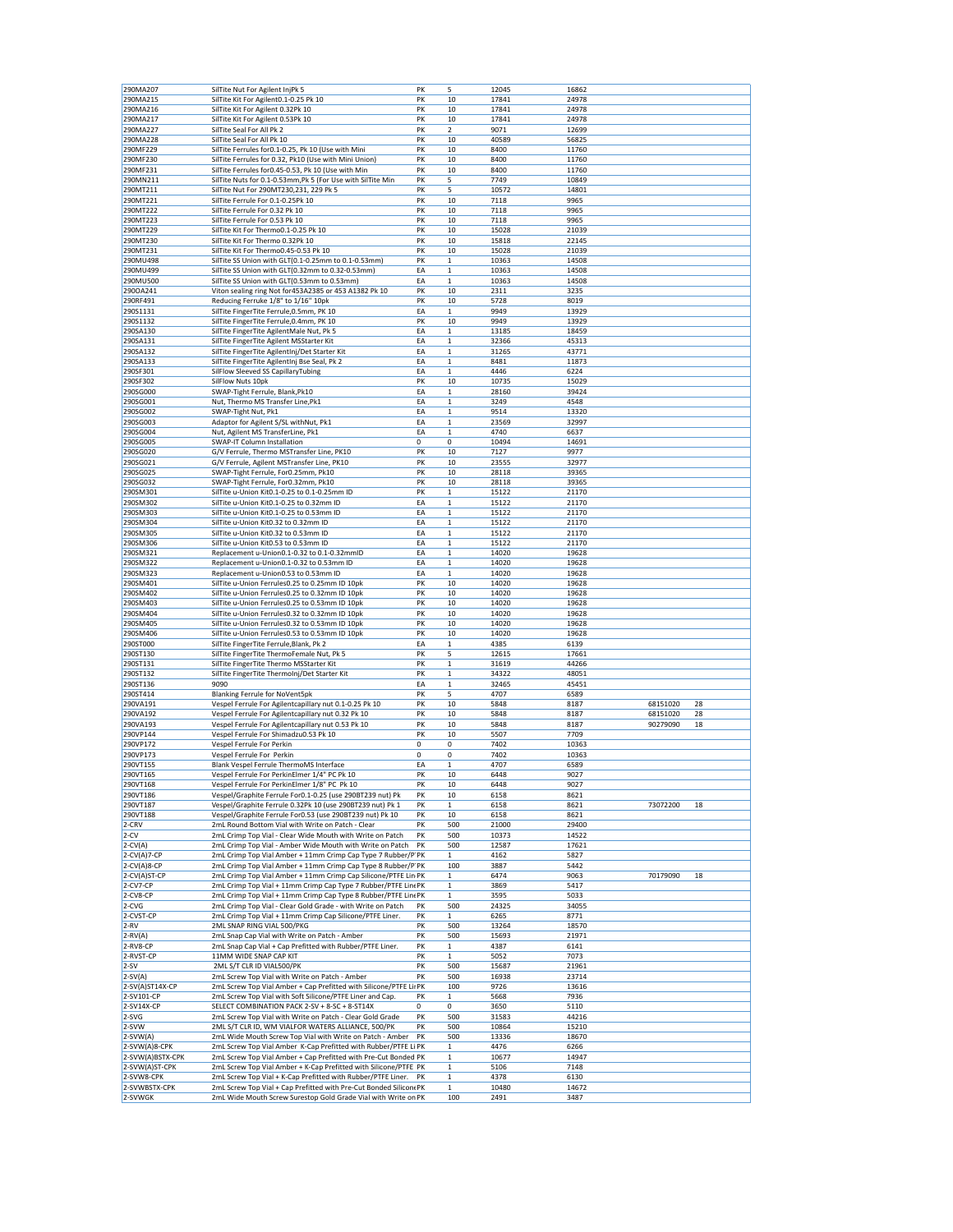| 290MA207                                      | SilTite Nut For Agilent InjPk 5                                                                                                      | PK       | 5                            | 12045         | 16862         |          |    |
|-----------------------------------------------|--------------------------------------------------------------------------------------------------------------------------------------|----------|------------------------------|---------------|---------------|----------|----|
| 290MA215                                      | SilTite Kit For Agilent0.1-0.25 Pk 10                                                                                                | PK       | 10                           | 17841         | 24978         |          |    |
| 290MA216                                      | SilTite Kit For Agilent 0.32Pk 10                                                                                                    | PK       | 10                           | 17841         | 24978         |          |    |
| 290MA217                                      | SilTite Kit For Agilent 0.53Pk 10                                                                                                    | PK       | 10                           | 17841         | 24978         |          |    |
| 290MA227                                      | SilTite Seal For All Pk 2                                                                                                            | PK       | 2                            | 9071          | 12699         |          |    |
| 290MA228                                      | SilTite Seal For All Pk 10                                                                                                           | PK       | 10                           | 40589         | 56825         |          |    |
| 290MF229                                      | SilTite Ferrules for 0.1-0.25, Pk 10 (Use with Mini                                                                                  | PK       | 10                           | 8400          | 11760         |          |    |
| 290MF230                                      | SilTite Ferrules for 0.32, Pk10 (Use with Mini Union)                                                                                | PK       | 10                           | 8400          | 11760         |          |    |
| 290MF231                                      | SilTite Ferrules for0.45-0.53, Pk 10 (Use with Min                                                                                   | PK       | 10                           | 8400          | 11760         |          |    |
| 290MN211                                      | SilTite Nuts for 0.1-0.53mm,Pk 5 (For Use with SilTite Min                                                                           | PK       | 5                            | 7749          | 10849         |          |    |
| 290MT211                                      | SilTite Nut For 290MT230,231, 229 Pk 5                                                                                               | PK       | 5                            | 10572         | 14801         |          |    |
| 290MT221                                      | SilTite Ferrule For 0.1-0.25Pk 10                                                                                                    | PK       | 10                           | 7118          | 9965          |          |    |
| 290MT222                                      | SilTite Ferrule For 0.32 Pk 10                                                                                                       | PK       | 10                           | 7118          | 9965          |          |    |
| 290MT223                                      | SilTite Ferrule For 0.53 Pk 10                                                                                                       | PK       | 10                           | 7118          | 9965          |          |    |
| 290MT229                                      | SilTite Kit For Thermo0.1-0.25 Pk 10                                                                                                 | PK       | 10                           | 15028         | 21039         |          |    |
| 290MT230                                      | SilTite Kit For Thermo 0.32Pk 10                                                                                                     | PK       | 10                           | 15818         | 22145         |          |    |
| 290MT231                                      | SilTite Kit For Thermo0.45-0.53 Pk 10                                                                                                | PK       | 10                           | 15028         | 21039         |          |    |
| 290MU498                                      | SilTite SS Union with GLT(0.1-0.25mm to 0.1-0.53mm)                                                                                  | PK       | $\mathbf{1}$                 | 10363         | 14508         |          |    |
| 290MU499                                      | SilTite SS Union with GLT(0.32mm to 0.32-0.53mm)                                                                                     | EA       | $\mathbf{1}$                 | 10363         | 14508         |          |    |
| 290MU500                                      | SilTite SS Union with GLT(0.53mm to 0.53mm)                                                                                          | EA       | $\mathbf 1$                  | 10363         | 14508         |          |    |
| 290OA241                                      | Viton sealing ring Not for 453A2385 or 453 A1382 Pk 10                                                                               | PK       | 10                           | 2311          | 3235          |          |    |
| 290RF491                                      | Reducing Ferruke 1/8" to 1/16" 10pk                                                                                                  | PK       | 10                           | 5728          | 8019          |          |    |
| 290S1131                                      | SilTite FingerTite Ferrule, 0.5mm, PK 10                                                                                             | EA       | $\mathbf{1}$                 | 9949          | 13929         |          |    |
| 290S1132                                      | SilTite FingerTite Ferrule, 0.4mm, PK 10                                                                                             | PK       | 10                           | 9949          | 13929         |          |    |
| 290SA130                                      | SilTite FingerTite AgilentMale Nut, Pk 5                                                                                             | EA       | $\mathbf{1}$                 | 13185         | 18459         |          |    |
| 290SA131                                      | SilTite FingerTite Agilent MSStarter Kit                                                                                             | EA       | $\,1$                        | 32366         | 45313         |          |    |
| 290SA132                                      | SilTite FingerTite AgilentInj/Det Starter Kit                                                                                        | EA       | $\mathbf 1$                  | 31265         | 43771         |          |    |
| 290SA133                                      | SilTite FingerTite AgilentInj Bse Seal, Pk 2                                                                                         | EA       | $\mathbf 1$                  | 8481          | 11873         |          |    |
| 290SF301                                      | SilFlow Sleeved SS CapillaryTubing                                                                                                   | EA       | $\mathbf{1}$                 | 4446          | 6224          |          |    |
| 290SF302                                      | SilFlow Nuts 10pk                                                                                                                    | PK       | 10                           | 10735         | 15029         |          |    |
| 290SG000                                      | SWAP-Tight Ferrule, Blank, Pk10                                                                                                      | EA       | $\mathbf{1}$                 | 28160         | 39424         |          |    |
| 290SG001                                      | Nut, Thermo MS Transfer Line, Pk1                                                                                                    | EA       | $\mathbf 1$                  | 3249          | 4548          |          |    |
| 290SG002                                      | SWAP-Tight Nut, Pk1                                                                                                                  | EA       | $\,$ 1 $\,$                  | 9514          | 13320         |          |    |
| 290SG003                                      | Adaptor for Agilent S/SL withNut, Pk1                                                                                                | EA       | $\mathbf 1$                  | 23569         | 32997         |          |    |
| 290SG004                                      | Nut, Agilent MS TransferLine, Pk1                                                                                                    | EA       | $\mathbf 1$                  | 4740          | 6637          |          |    |
| 290SG005                                      | SWAP-IT Column Installation                                                                                                          | 0        | 0                            | 10494         | 14691         |          |    |
| 290SG020                                      | G/V Ferrule, Thermo MSTransfer Line, PK10                                                                                            | PK       | 10                           | 7127          | 9977          |          |    |
| 290SG021                                      | G/V Ferrule, Agilent MSTransfer Line, PK10                                                                                           | PK       | 10                           | 23555         | 32977         |          |    |
| 290SG025                                      | SWAP-Tight Ferrule, For0.25mm, Pk10                                                                                                  | PK       | 10                           | 28118         | 39365         |          |    |
| 290SG032                                      | SWAP-Tight Ferrule, For0.32mm, Pk10                                                                                                  | PK       | 10                           | 28118         | 39365         |          |    |
| 290SM301                                      | SilTite u-Union Kit0.1-0.25 to 0.1-0.25mm ID                                                                                         | PK       | $\mathbf{1}$                 | 15122         | 21170         |          |    |
| 290SM302                                      | SilTite u-Union Kit0.1-0.25 to 0.32mm ID                                                                                             | EA       | $\mathbf 1$                  | 15122         | 21170         |          |    |
| 290SM303                                      | SilTite u-Union Kit0.1-0.25 to 0.53mm ID                                                                                             | EA       | $\mathbf 1$                  | 15122         | 21170         |          |    |
| 290SM304                                      | SilTite u-Union Kit0.32 to 0.32mm ID                                                                                                 | EA       | $\mathbf{1}$                 | 15122         | 21170         |          |    |
| 290SM305                                      | SilTite u-Union Kit0.32 to 0.53mm ID                                                                                                 | EA       | $\,$ 1 $\,$                  | 15122         | 21170         |          |    |
| 290SM306                                      | SilTite u-Union Kit0.53 to 0.53mm ID                                                                                                 | EA       | $\mathbf 1$                  | 15122         | 21170         |          |    |
| 290SM321                                      | Replacement u-Union0.1-0.32 to 0.1-0.32mmID                                                                                          | EA       | $\mathbf 1$                  | 14020         | 19628         |          |    |
| 290SM322                                      | Replacement u-Union0.1-0.32 to 0.53mm ID                                                                                             | EA       | $\mathbf{1}$                 | 14020         | 19628         |          |    |
| 290SM323                                      | Replacement u-Union0.53 to 0.53mm ID                                                                                                 | EA       | $\mathbf{1}$                 | 14020         | 19628         |          |    |
| 290SM401                                      | SilTite u-Union Ferrules0.25 to 0.25mm ID 10pk                                                                                       | PK       | 10                           | 14020         | 19628         |          |    |
| 290SM402                                      | SilTite u-Union Ferrules0.25 to 0.32mm ID 10pk                                                                                       | PK       | 10                           | 14020         | 19628         |          |    |
| 290SM403                                      | SilTite u-Union Ferrules0.25 to 0.53mm ID 10pk                                                                                       | PK       | 10                           | 14020         | 19628         |          |    |
| 290SM404                                      | SilTite u-Union Ferrules0.32 to 0.32mm ID 10pk                                                                                       | PK       | 10                           | 14020         | 19628         |          |    |
| 290SM405                                      | SilTite u-Union Ferrules0.32 to 0.53mm ID 10pk                                                                                       | PK       | 10                           | 14020         | 19628         |          |    |
| 290SM406                                      | SilTite u-Union Ferrules0.53 to 0.53mm ID 10pk                                                                                       | PK       | 10                           | 14020         | 19628         |          |    |
| 290ST000                                      | SilTite FingerTite Ferrule, Blank, Pk 2                                                                                              | EA       | $\mathbf{1}$                 | 4385          | 6139          |          |    |
| 290ST130                                      | SilTite FingerTite ThermoFemale Nut, Pk 5                                                                                            | PK       | 5                            | 12615         | 17661         |          |    |
| 290ST131                                      | SilTite FingerTite Thermo MSStarter Kit                                                                                              | PK       | $\,$ 1 $\,$                  | 31619         | 44266         |          |    |
| 290ST132                                      | SilTite FingerTite Thermolnj/Det Starter Kit                                                                                         | PK       | $\,1$                        | 34322         | 48051         |          |    |
| 290ST136                                      | 9090                                                                                                                                 | EA       | $\mathbf 1$                  | 32465         | 45451         |          |    |
| 290ST414                                      | Blanking Ferrule for NoVent5pk                                                                                                       | PK       | 5                            | 4707          | 6589          |          |    |
| 290VA191                                      | Vespel Ferrule For Agilentcapillary nut 0.1-0.25 Pk 10                                                                               | PK       | 10                           | 5848          | 8187          | 68151020 | 28 |
| 290VA192                                      | Vespel Ferrule For Agilentcapillary nut 0.32 Pk 10                                                                                   | PK       | 10                           | 5848          | 8187          | 68151020 | 28 |
| 290VA193                                      | Vespel Ferrule For Agilentcapillary nut 0.53 Pk 10                                                                                   | PK       | 10                           | 5848          | 8187          | 90279090 | 18 |
| 290VP144                                      | Vespel Ferrule For Shimadzu0.53 Pk 10                                                                                                | PK       | 10                           | 5507          | 7709          |          |    |
| 290VP172                                      | Vespel Ferrule For Perkin                                                                                                            | 0        | 0                            | 7402          | 10363         |          |    |
| 290VP173                                      | Vespel Ferrule For Perkin                                                                                                            | 0        | 0                            | 7402          | 10363         |          |    |
| 290VT155                                      | Blank Vespel Ferrule ThermoMS Interface                                                                                              | EA       | $\mathbf{1}$                 | 4707          | 6589          |          |    |
| 290VT165                                      | Vespel Ferrule For PerkinElmer 1/4" PC Pk 10                                                                                         | PK       | 10                           | 6448          | 9027          |          |    |
| 290VT168                                      | Vespel Ferrule For PerkinElmer 1/8" PC Pk 10                                                                                         | PK       | 10                           | 6448          | 9027          |          |    |
| 290VT186                                      | Vespel/Graphite Ferrule For0.1-0.25 (use 290BT239 nut) Pk                                                                            | PK       | 10                           | 6158          | 8621          |          |    |
| 290VT187                                      | Vespel/Graphite Ferrule 0.32Pk 10 (use 290BT239 nut) Pk 1                                                                            | PK       | $\mathbf{1}$                 | 6158          | 8621          | 73072200 | 18 |
| 290VT188                                      | Vespel/Graphite Ferrule For0.53 (use 290BT239 nut) Pk 10                                                                             | PK       | 10                           | 6158          | 8621          |          |    |
| 2-CRV                                         | 2mL Round Bottom Vial with Write on Patch - Clear                                                                                    | PK       | 500                          | 21000         | 29400         |          |    |
| $2-CV$                                        | 2mL Crimp Top Vial - Clear Wide Mouth with Write on Patch                                                                            | PK       | 500                          | 10373         | 14522         |          |    |
| $2$ -CV(A)                                    | 2mL Crimp Top Vial - Amber Wide Mouth with Write on Patch                                                                            | PK       | 500                          | 12587         | 17621         |          |    |
| 2-CV(A)7-CP                                   | 2mL Crimp Top Vial Amber + 11mm Crimp Cap Type 7 Rubber/P PK                                                                         |          | $\mathbf{1}$                 | 4162          | 5827          |          |    |
| 2-CV(A)8-CP                                   | 2mL Crimp Top Vial Amber + 11mm Crimp Cap Type 8 Rubber/P PK                                                                         |          | 100                          | 3887          | 5442          |          |    |
| 2-CV(A)ST-CP                                  | 2mL Crimp Top Vial Amber + 11mm Crimp Cap Silicone/PTFE Lin PK                                                                       |          | $\mathbf{1}$                 | 6474          | 9063          | 70179090 | 18 |
| 2-CV7-CP                                      | 2mL Crimp Top Vial + 11mm Crimp Cap Type 7 Rubber/PTFE LinePK<br>2mL Crimp Top Vial + 11mm Crimp Cap Type 8 Rubber/PTFE LinePK       |          | $\mathbf{1}$                 | 3869          | 5417          |          |    |
| 2-CV8-CP                                      |                                                                                                                                      | PK       | $\mathbf 1$                  | 3595          | 5033          |          |    |
| $2-CVG$                                       | 2mL Crimp Top Vial - Clear Gold Grade - with Write on Patch<br>2mL Crimp Top Vial + 11mm Crimp Cap Silicone/PTFE Liner.              |          | 500                          | 24325         | 34055         |          |    |
| 2-CVST-CP<br>$2 - RV$                         | 2ML SNAP RING VIAL 500/PKG                                                                                                           | PK<br>PK | $\mathbf 1$<br>500           | 6265<br>13264 | 8771<br>18570 |          |    |
| $2-RV(A)$                                     | 2mL Snap Cap Vial with Write on Patch - Amber                                                                                        | PK       | 500                          | 15693         | 21971         |          |    |
| 2-RV8-CP                                      | 2mL Snap Cap Vial + Cap Prefitted with Rubber/PTFE Liner.                                                                            | PK       | $\mathbf{1}$                 | 4387          | 6141          |          |    |
| 2-RVST-CP                                     | 11MM WIDE SNAP CAP KIT                                                                                                               | PK       | $\mathbf{1}$                 | 5052          | 7073          |          |    |
| $2-SV$                                        | 2ML S/T CLR ID VIAL500/PK                                                                                                            | PK       | 500                          | 15687         | 21961         |          |    |
| $2-SV(A)$                                     | 2mL Screw Top Vial with Write on Patch - Amber                                                                                       | PK       | 500                          | 16938         | 23714         |          |    |
| 2-SV(A)ST14X-CP                               | 2mL Screw Top Vial Amber + Cap Prefitted with Silicone/PTFE LirPK                                                                    |          | 100                          | 9726          | 13616         |          |    |
| 2-SV101-CP                                    | 2mL Screw Top Vial with Soft Silicone/PTFE Liner and Cap.                                                                            | PK       | $\mathbf{1}$                 | 5668          | 7936          |          |    |
| 2-SV14X-CP                                    | SELECT COMBINATION PACK 2-SV + 8-SC + 8-ST14X                                                                                        | 0        | 0                            | 3650          | 5110          |          |    |
| $2-SVG$                                       | 2mL Screw Top Vial with Write on Patch - Clear Gold Grade                                                                            | PK       | 500                          | 31583         | 44216         |          |    |
| 2-SVW                                         | 2ML S/T CLR ID, WM VIALFOR WATERS ALLIANCE, 500/PK                                                                                   | PK       | 500                          | 10864         | 15210         |          |    |
| $2-SVW(A)$                                    | 2mL Wide Mouth Screw Top Vial with Write on Patch - Amber                                                                            | PK       | 500                          | 13336         | 18670         |          |    |
| 2-SVW(A)8-CPK                                 | 2mL Screw Top Vial Amber K-Cap Prefitted with Rubber/PTFE Li PK                                                                      |          | $\mathbf{1}$                 | 4476          | 6266          |          |    |
|                                               | 2mL Screw Top Vial Amber + Cap Prefitted with Pre-Cut Bonded PK                                                                      |          | $\mathbf{1}$                 | 10677         | 14947         |          |    |
|                                               |                                                                                                                                      |          | $\mathbf{1}$                 | 5106          | 7148          |          |    |
| 2-SVW(A)BSTX-CPK                              |                                                                                                                                      |          |                              |               |               |          |    |
|                                               | 2mL Screw Top Vial Amber + K-Cap Prefitted with Silicone/PTFE PK                                                                     |          |                              |               |               |          |    |
| 2-SVW(A)ST-CPK<br>2-SVW8-CPK<br>2-SVWBSTX-CPK | 2mL Screw Top Vial + K-Cap Prefitted with Rubber/PTFE Liner. PK<br>2mL Screw Top Vial + Cap Prefitted with Pre-Cut Bonded Silicon(PK |          | $\mathbf{1}$<br>$\mathbf{1}$ | 4378<br>10480 | 6130<br>14672 |          |    |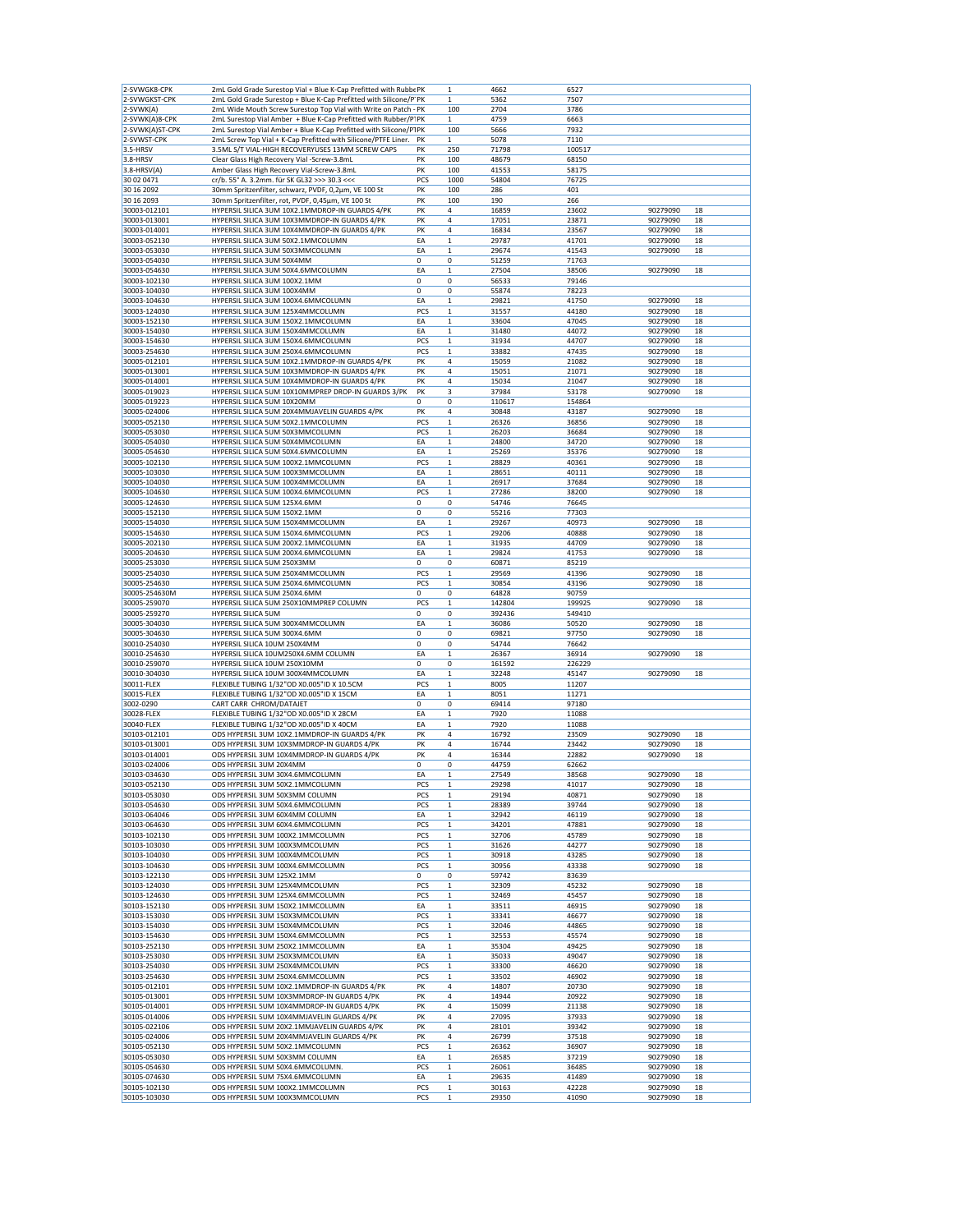| 2-SVWGK8-CPK    | 2mL Gold Grade Surestop Vial + Blue K-Cap Prefitted with Rubbe PK  |             | 1            | 4662   | 6527   |          |    |
|-----------------|--------------------------------------------------------------------|-------------|--------------|--------|--------|----------|----|
| 2-SVWGKST-CPK   | 2mL Gold Grade Surestop + Blue K-Cap Prefitted with Silicone/P' PK |             | $\mathbf 1$  | 5362   | 7507   |          |    |
| 2-SVWK(A)       |                                                                    |             | 100          | 2704   | 3786   |          |    |
|                 | 2mL Wide Mouth Screw Surestop Top Vial with Write on Patch - PK    |             |              |        |        |          |    |
| 2-SVWK(A)8-CPK  | 2mL Surestop Vial Amber + Blue K-Cap Prefitted with Rubber/P' PK   |             | 1            | 4759   | 6663   |          |    |
| 2-SVWK(A)ST-CPK | 2mL Surestop Vial Amber + Blue K-Cap Prefitted with Silicone/P1PK  |             | 100          | 5666   | 7932   |          |    |
| 2-SVWST-CPK     | 2mL Screw Top Vial + K-Cap Prefitted with Silicone/PTFE Liner.     | PK          | $\mathbf 1$  | 5078   | 7110   |          |    |
| 3.5-HRSV        | 3.5ML S/T VIAL-HIGH RECOVERYUSES 13MM SCREW CAPS                   | PΚ          | 250          | 71798  | 100517 |          |    |
| 3.8-HRSV        | Clear Glass High Recovery Vial -Screw-3.8mL                        | PK          | 100          | 48679  | 68150  |          |    |
| 3.8-HRSV(A)     | Amber Glass High Recovery Vial-Screw-3.8mL                         | PK          | 100          | 41553  | 58175  |          |    |
| 30 02 0471      | cr/b. 55° A. 3.2mm. für SK GL32 >>> 30.3 <<<                       | PCS         | 1000         | 54804  | 76725  |          |    |
|                 |                                                                    |             |              |        |        |          |    |
| 30 16 2092      | 30mm Spritzenfilter, schwarz, PVDF, 0,2µm, VE 100 St               | PK          | 100          | 286    | 401    |          |    |
| 30 16 2093      | 30mm Spritzenfilter, rot, PVDF, 0,45µm, VE 100 St                  | PK          | 100          | 190    | 266    |          |    |
| 30003-012101    | HYPERSIL SILICA 3UM 10X2.1MMDROP-IN GUARDS 4/PK                    | PK          | 4            | 16859  | 23602  | 90279090 | 18 |
| 30003-013001    | HYPERSIL SILICA 3UM 10X3MMDROP-IN GUARDS 4/PK                      | PK          | 4            | 17051  | 23871  | 90279090 | 18 |
| 30003-014001    | HYPERSIL SILICA 3UM 10X4MMDROP-IN GUARDS 4/PK                      | PK          | 4            | 16834  | 23567  | 90279090 | 18 |
|                 | HYPERSIL SILICA 3UM 50X2.1MMCOLUMN                                 | EA          |              |        |        | 90279090 |    |
| 30003-052130    |                                                                    |             | 1            | 29787  | 41701  |          | 18 |
| 30003-053030    | HYPERSIL SILICA 3UM 50X3MMCOLUMN                                   | EA          | 1            | 29674  | 41543  | 90279090 | 18 |
| 30003-054030    | HYPERSIL SILICA 3UM 50X4MM                                         | 0           | 0            | 51259  | 71763  |          |    |
| 30003-054630    | HYPERSIL SILICA 3UM 50X4.6MMCOLUMN                                 | EA          | 1            | 27504  | 38506  | 90279090 | 18 |
| 30003-102130    | HYPERSIL SILICA 3UM 100X2.1MM                                      | 0           | 0            | 56533  | 79146  |          |    |
| 30003-104030    | HYPERSIL SILICA 3UM 100X4MM                                        | 0           | 0            | 55874  | 78223  |          |    |
|                 |                                                                    |             |              |        |        |          |    |
| 30003-104630    | HYPERSIL SILICA 3UM 100X4.6MMCOLUMN                                | EA          | 1            | 29821  | 41750  | 90279090 | 18 |
| 30003-124030    | HYPERSIL SILICA 3UM 125X4MMCOLUMN                                  | PCS         | 1            | 31557  | 44180  | 90279090 | 18 |
| 30003-152130    | HYPERSIL SILICA 3UM 150X2.1MMCOLUMN                                | EA          | $\mathbf 1$  | 33604  | 47045  | 90279090 | 18 |
| 30003-154030    | HYPERSIL SILICA 3UM 150X4MMCOLUMN                                  | EA          | $\mathbf 1$  | 31480  | 44072  | 90279090 | 18 |
| 30003-154630    | HYPERSIL SILICA 3UM 150X4.6MMCOLUMN                                | PCS         | 1            | 31934  | 44707  | 90279090 | 18 |
|                 |                                                                    |             |              |        |        |          |    |
| 30003-254630    | HYPERSIL SILICA 3UM 250X4.6MMCOLUMN                                | PCS         | $\mathbf 1$  | 33882  | 47435  | 90279090 | 18 |
| 30005-012101    | HYPERSIL SILICA 5UM 10X2.1MMDROP-IN GUARDS 4/PK                    | PK          | 4            | 15059  | 21082  | 90279090 | 18 |
| 30005-013001    | HYPERSIL SILICA 5UM 10X3MMDROP-IN GUARDS 4/PK                      | PK          | 4            | 15051  | 21071  | 90279090 | 18 |
| 30005-014001    | HYPERSIL SILICA 5UM 10X4MMDROP-IN GUARDS 4/PK                      | PK          | 4            | 15034  | 21047  | 90279090 | 18 |
| 30005-019023    | HYPERSIL SILICA 5UM 10X10MMPREP DROP-IN GUARDS 3/PK                | PK          | 3            | 37984  | 53178  | 90279090 | 18 |
|                 | HYPERSIL SILICA 5UM 10X20MM                                        | 0           |              |        |        |          |    |
| 30005-019223    |                                                                    |             | 0            | 110617 | 154864 |          |    |
| 30005-024006    | HYPERSIL SILICA 5UM 20X4MMJAVELIN GUARDS 4/PK                      | PK          | 4            | 30848  | 43187  | 90279090 | 18 |
| 30005-052130    | HYPERSIL SILICA 5UM 50X2.1MMCOLUMN                                 | PCS         | $\mathbf 1$  | 26326  | 36856  | 90279090 | 18 |
| 30005-053030    | HYPERSIL SILICA 5UM 50X3MMCOLUMN                                   | PCS         | 1            | 26203  | 36684  | 90279090 | 18 |
| 30005-054030    | HYPERSIL SILICA 5UM 50X4MMCOLUMN                                   | EA          | $\mathbf 1$  | 24800  | 34720  | 90279090 | 18 |
|                 |                                                                    |             |              |        |        |          |    |
| 30005-054630    | HYPERSIL SILICA 5UM 50X4.6MMCOLUMN                                 | EA          | $\mathbf 1$  | 25269  | 35376  | 90279090 | 18 |
| 30005-102130    | HYPERSIL SILICA 5UM 100X2.1MMCOLUMN                                | PCS         | $\mathbf 1$  | 28829  | 40361  | 90279090 | 18 |
| 30005-103030    | HYPERSIL SILICA 5UM 100X3MMCOLUMN                                  | EA          | 1            | 28651  | 40111  | 90279090 | 18 |
| 30005-104030    | HYPERSIL SILICA 5UM 100X4MMCOLUMN                                  | EA          | $\mathbf 1$  | 26917  | 37684  | 90279090 | 18 |
| 30005-104630    | HYPERSIL SILICA 5UM 100X4.6MMCOLUMN                                | PCS         | 1            | 27286  | 38200  | 90279090 | 18 |
|                 |                                                                    |             |              |        |        |          |    |
| 30005-124630    | HYPERSIL SILICA 5UM 125X4.6MM                                      | 0           | 0            | 54746  | 76645  |          |    |
| 30005-152130    | HYPERSIL SILICA 5UM 150X2.1MM                                      | 0           | 0            | 55216  | 77303  |          |    |
| 30005-154030    | HYPERSIL SILICA 5UM 150X4MMCOLUMN                                  | EA          | 1            | 29267  | 40973  | 90279090 | 18 |
| 30005-154630    | HYPERSIL SILICA 5UM 150X4.6MMCOLUMN                                | PCS         | 1            | 29206  | 40888  | 90279090 | 18 |
| 30005-202130    | HYPERSIL SILICA 5UM 200X2.1MMCOLUMN                                | EA          | $\mathbf 1$  | 31935  | 44709  | 90279090 | 18 |
|                 |                                                                    |             |              |        |        |          |    |
| 30005-204630    | HYPERSIL SILICA 5UM 200X4.6MMCOLUMN                                | EA          | 1            | 29824  | 41753  | 90279090 | 18 |
| 30005-253030    | HYPERSIL SILICA 5UM 250X3MM                                        | $\mathbf 0$ | 0            | 60871  | 85219  |          |    |
| 30005-254030    | HYPERSIL SILICA 5UM 250X4MMCOLUMN                                  | PCS         | $\mathbf 1$  | 29569  | 41396  | 90279090 | 18 |
|                 |                                                                    |             |              |        |        |          |    |
| 30005-254630    | HYPERSIL SILICA 5UM 250X4.6MMCOLUMN                                | PCS         | $\mathbf 1$  | 30854  | 43196  | 90279090 | 18 |
|                 |                                                                    |             |              |        |        |          |    |
| 30005-254630M   | HYPERSIL SILICA 5UM 250X4.6MM                                      | 0           | 0            | 64828  | 90759  |          |    |
| 30005-259070    | HYPERSIL SILICA 5UM 250X10MMPREP COLUMN                            | PCS         | $\mathbf 1$  | 142804 | 199925 | 90279090 | 18 |
| 30005-259270    | <b>HYPERSIL SILICA 5UM</b>                                         | 0           | 0            | 392436 | 549410 |          |    |
| 30005-304030    | HYPERSIL SILICA 5UM 300X4MMCOLUMN                                  | EA          | 1            | 36086  | 50520  | 90279090 | 18 |
| 30005-304630    | HYPERSIL SILICA 5UM 300X4.6MM                                      | $\mathbf 0$ | 0            | 69821  | 97750  | 90279090 | 18 |
|                 |                                                                    | 0           | 0            | 54744  | 76642  |          |    |
| 30010-254030    | HYPERSIL SILICA 10UM 250X4MM                                       |             |              |        |        |          |    |
| 30010-254630    | HYPERSIL SILICA 10UM250X4.6MM COLUMN                               | EA          | 1            | 26367  | 36914  | 90279090 | 18 |
| 30010-259070    | HYPERSIL SILICA 10UM 250X10MM                                      | 0           | 0            | 161592 | 226229 |          |    |
| 30010-304030    | HYPERSIL SILICA 10UM 300X4MMCOLUMN                                 | EA          | $\mathbf 1$  | 32248  | 45147  | 90279090 | 18 |
| 30011-FLEX      | FLEXIBLE TUBING 1/32"OD X0.005"ID X 10.5CM                         | PCS         | 1            | 8005   | 11207  |          |    |
| 30015-FLEX      | FLEXIBLE TUBING 1/32"OD X0.005"ID X 15CM                           | EA          | $\mathbf 1$  | 8051   | 11271  |          |    |
|                 |                                                                    |             |              |        |        |          |    |
| 3002-0290       | CART CARR CHROM/DATAJET                                            | 0           | 0            | 69414  | 97180  |          |    |
| 30028-FLEX      | FLEXIBLE TUBING 1/32"OD X0.005"ID X 28CM                           | EA          | 1            | 7920   | 11088  |          |    |
| 30040-FLEX      | FLEXIBLE TUBING 1/32"OD X0.005"ID X 40CM                           | EA          | 1            | 7920   | 11088  |          |    |
| 30103-012101    | ODS HYPERSIL 3UM 10X2.1MMDROP-IN GUARDS 4/PK                       | PK          | 4            | 16792  | 23509  | 90279090 | 18 |
| 30103-013001    | ODS HYPERSIL 3UM 10X3MMDROP-IN GUARDS 4/PK                         | PK          | 4            | 16744  | 23442  | 90279090 | 18 |
| 30103-014001    | ODS HYPERSIL 3UM 10X4MMDROP-IN GUARDS 4/PK                         | PK          | 4            | 16344  | 22882  | 90279090 | 18 |
|                 | ODS HYPERSIL 3UM 20X4MM                                            |             |              |        |        |          |    |
| 30103-024006    |                                                                    | 0           | 0            | 44759  | 62662  |          |    |
| 30103-034630    | ODS HYPERSIL 3UM 30X4.6MMCOLUMN                                    | EA          | $\mathbf{1}$ | 27549  | 38568  | 90279090 | 18 |
| 30103-052130    | ODS HYPERSIL 3UM 50X2.1MMCOLUMN                                    | PCS         | 1            | 29298  | 41017  | 90279090 | 18 |
| 30103-053030    | ODS HYPERSIL 3UM 50X3MM COLUMN                                     | PCS         | $\mathbf 1$  | 29194  | 40871  | 90279090 | 18 |
| 30103-054630    | ODS HYPERSIL 3UM 50X4.6MMCOLUMN                                    | PCS         | $\mathbf 1$  | 28389  | 39744  | 90279090 | 18 |
| 30103-064046    | ODS HYPERSIL 3UM 60X4MM COLUMN                                     | EA          | $\mathbf 1$  | 32942  | 46119  | 90279090 | 18 |
| 30103-064630    | ODS HYPERSIL 3UM 60X4.6MMCOLUMN                                    | PCS         | $\mathbf 1$  | 34201  | 47881  | 90279090 | 18 |
|                 |                                                                    |             |              |        |        |          |    |
| 30103-102130    | ODS HYPERSIL 3UM 100X2.1MMCOLUMN                                   | PCS         | $\mathbf 1$  | 32706  | 45789  | 90279090 | 18 |
| 30103-103030    | ODS HYPERSIL 3UM 100X3MMCOLUMN                                     | PCS         | $\mathbf 1$  | 31626  | 44277  | 90279090 | 18 |
| 30103-104030    | ODS HYPERSIL 3UM 100X4MMCOLUMN                                     | PCS         | $\mathbf{1}$ | 30918  | 43285  | 90279090 | 18 |
| 30103-104630    | ODS HYPERSIL 3UM 100X4.6MMCOLUMN                                   | PCS         | $\mathbf 1$  | 30956  | 43338  | 90279090 | 18 |
| 30103-122130    | ODS HYPERSIL 3UM 125X2.1MM                                         | 0           | 0            | 59742  | 83639  |          |    |
|                 |                                                                    |             |              |        |        |          |    |
| 30103-124030    | ODS HYPERSIL 3UM 125X4MMCOLUMN                                     | PCS         | $\mathbf 1$  | 32309  | 45232  | 90279090 | 18 |
| 30103-124630    | ODS HYPERSIL 3UM 125X4.6MMCOLUMN                                   | PCS         | $\mathbf 1$  | 32469  | 45457  | 90279090 | 18 |
| 30103-152130    | ODS HYPERSIL 3UM 150X2.1MMCOLUMN                                   | EA          | $\mathbf 1$  | 33511  | 46915  | 90279090 | 18 |
| 30103-153030    | ODS HYPERSIL 3UM 150X3MMCOLUMN                                     | PCS         | $\mathbf 1$  | 33341  | 46677  | 90279090 | 18 |
| 30103-154030    | ODS HYPERSIL 3UM 150X4MMCOLUMN                                     | PCS         | $\mathbf 1$  | 32046  | 44865  | 90279090 | 18 |
|                 |                                                                    |             |              |        |        |          |    |
| 30103-154630    | ODS HYPERSIL 3UM 150X4.6MMCOLUMN                                   | PCS         | 1            | 32553  | 45574  | 90279090 | 18 |
| 30103-252130    | ODS HYPERSIL 3UM 250X2.1MMCOLUMN                                   | EA          | $\mathbf 1$  | 35304  | 49425  | 90279090 | 18 |
| 30103-253030    | ODS HYPERSIL 3UM 250X3MMCOLUMN                                     | EA          | $\mathbf 1$  | 35033  | 49047  | 90279090 | 18 |
| 30103-254030    | ODS HYPERSIL 3UM 250X4MMCOLUMN                                     | PCS         | 1            | 33300  | 46620  | 90279090 | 18 |
| 30103-254630    | ODS HYPERSIL 3UM 250X4.6MMCOLUMN                                   | PCS         | $\mathbf 1$  | 33502  | 46902  | 90279090 | 18 |
|                 |                                                                    |             |              |        |        |          |    |
| 30105-012101    | ODS HYPERSIL 5UM 10X2.1MMDROP-IN GUARDS 4/PK                       | PK          | 4            | 14807  | 20730  | 90279090 | 18 |
| 30105-013001    | ODS HYPERSIL 5UM 10X3MMDROP-IN GUARDS 4/PK                         | PK          | 4            | 14944  | 20922  | 90279090 | 18 |
| 30105-014001    | ODS HYPERSIL 5UM 10X4MMDROP-IN GUARDS 4/PK                         | PK          | 4            | 15099  | 21138  | 90279090 | 18 |
| 30105-014006    | ODS HYPERSIL 5UM 10X4MMJAVELIN GUARDS 4/PK                         | PK          | 4            | 27095  | 37933  | 90279090 | 18 |
|                 | ODS HYPERSIL 5UM 20X2.1MMJAVELIN GUARDS 4/PK                       | PK          | 4            |        |        |          | 18 |
| 30105-022106    |                                                                    |             |              | 28101  | 39342  | 90279090 |    |
| 30105-024006    | ODS HYPERSIL 5UM 20X4MMJAVELIN GUARDS 4/PK                         | PK          | 4            | 26799  | 37518  | 90279090 | 18 |
| 30105-052130    | ODS HYPERSIL 5UM 50X2.1MMCOLUMN                                    | PCS         | $\mathbf 1$  | 26362  | 36907  | 90279090 | 18 |
| 30105-053030    | ODS HYPERSIL 5UM 50X3MM COLUMN                                     | EA          | 1            | 26585  | 37219  | 90279090 | 18 |
| 30105-054630    | ODS HYPERSIL 5UM 50X4.6MMCOLUMN.                                   | PCS         | $\mathbf 1$  | 26061  | 36485  | 90279090 | 18 |
| 30105-074630    | ODS HYPERSIL 5UM 75X4.6MMCOLUMN                                    | EA          | $\mathbf 1$  | 29635  | 41489  | 90279090 | 18 |
| 30105-102130    | ODS HYPERSIL 5UM 100X2.1MMCOLUMN                                   | PCS         | $\mathbf 1$  | 30163  | 42228  | 90279090 | 18 |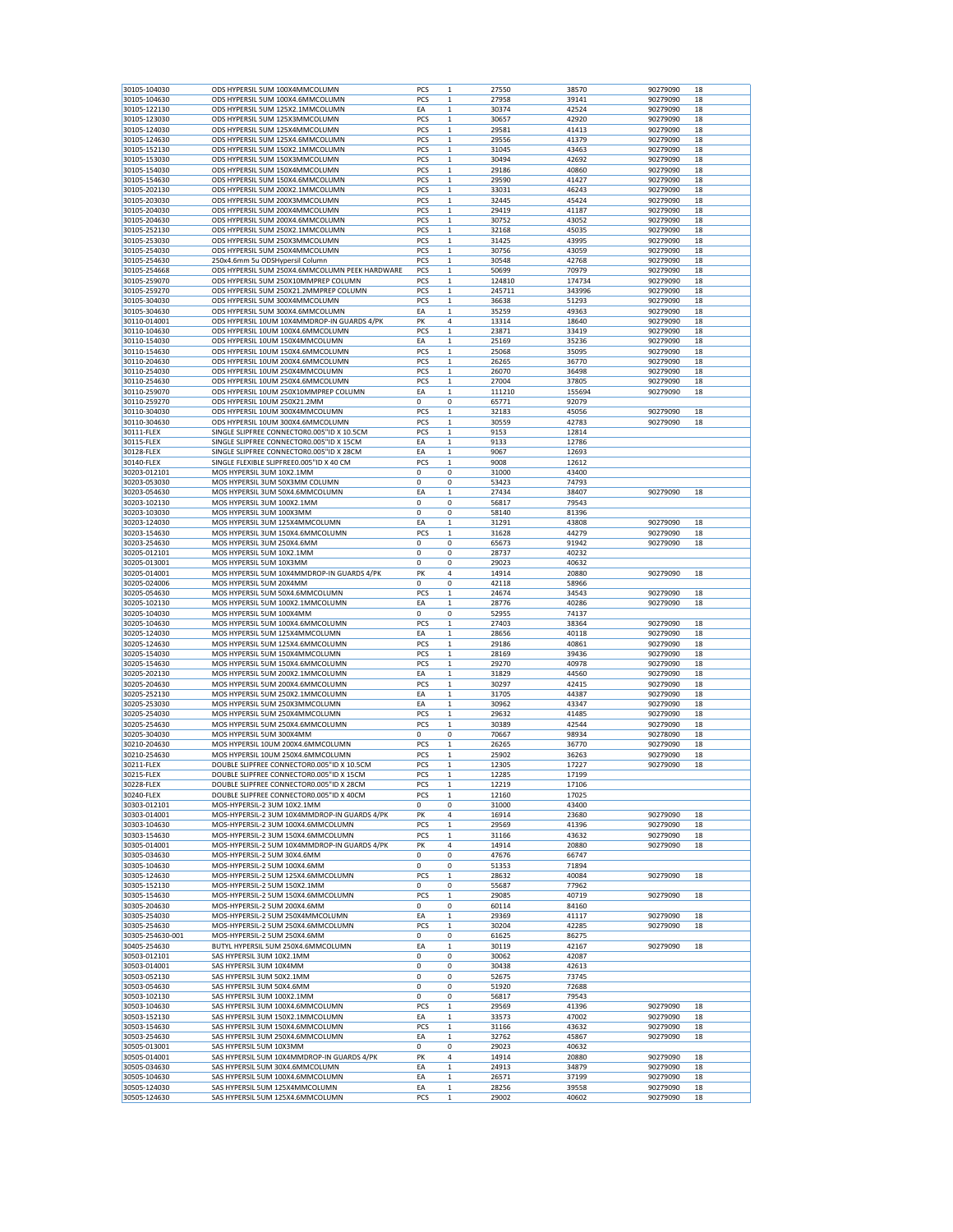| 30105-104030<br>30105-104630<br>30105-122130 |                                                                    | PCS         |                            |                |                |                      |          |
|----------------------------------------------|--------------------------------------------------------------------|-------------|----------------------------|----------------|----------------|----------------------|----------|
|                                              | ODS HYPERSIL 5UM 100X4MMCOLUMN                                     |             | 1                          | 27550          | 38570          | 90279090             | 18       |
|                                              | ODS HYPERSIL 5UM 100X4.6MMCOLUMN                                   | PCS         | 1                          | 27958          | 39141          | 90279090             | 18       |
|                                              | ODS HYPERSIL 5UM 125X2.1MMCOLUMN                                   | EA          | $\mathbf 1$                | 30374          | 42524          | 90279090             | 18       |
|                                              |                                                                    | PCS         |                            |                |                |                      |          |
| 30105-123030                                 | ODS HYPERSIL 5UM 125X3MMCOLUMN                                     |             | $\mathbf 1$                | 30657          | 42920          | 90279090             | 18       |
| 30105-124030                                 | ODS HYPERSIL 5UM 125X4MMCOLUMN                                     | <b>PCS</b>  | $\mathbf 1$                | 29581          | 41413          | 90279090             | 18       |
| 30105-124630                                 | ODS HYPERSIL 5UM 125X4.6MMCOLUMN                                   | PCS         | $\mathbf 1$                | 29556          | 41379          | 90279090             | 18       |
|                                              | ODS HYPERSIL 5UM 150X2.1MMCOLUMN                                   | PCS         | 1                          | 31045          |                | 90279090             | 18       |
| 30105-152130                                 |                                                                    |             |                            |                | 43463          |                      |          |
| 30105-153030                                 | ODS HYPERSIL 5UM 150X3MMCOLUMN                                     | PCS         | $\mathbf 1$                | 30494          | 42692          | 90279090             | 18       |
| 30105-154030                                 | ODS HYPERSIL 5UM 150X4MMCOLUMN                                     | PCS         | $\mathbf 1$                | 29186          | 40860          | 90279090             | 18       |
| 30105-154630                                 | ODS HYPERSIL 5UM 150X4.6MMCOLUMN                                   | PCS         | 1                          | 29590          | 41427          | 90279090             | 18       |
|                                              |                                                                    |             |                            |                |                |                      |          |
| 30105-202130                                 | ODS HYPERSIL 5UM 200X2.1MMCOLUMN                                   | PCS         | $\mathbf 1$                | 33031          | 46243          | 90279090             | 18       |
| 30105-203030                                 | ODS HYPERSIL 5UM 200X3MMCOLUMN                                     | PCS         | $\mathbf 1$                | 32445          | 45424          | 90279090             | 18       |
| 30105-204030                                 | ODS HYPERSIL 5UM 200X4MMCOLUMN                                     | <b>PCS</b>  | 1                          | 29419          | 41187          | 90279090             | 18       |
|                                              |                                                                    |             |                            |                |                |                      |          |
| 30105-204630                                 | ODS HYPERSIL 5UM 200X4.6MMCOLUMN                                   | PCS         | 1                          | 30752          | 43052          | 90279090             | 18       |
| 30105-252130                                 | ODS HYPERSIL 5UM 250X2.1MMCOLUMN                                   | PCS         | $\mathbf 1$                | 32168          | 45035          | 90279090             | 18       |
| 30105-253030                                 | ODS HYPERSIL 5UM 250X3MMCOLUMN                                     | <b>PCS</b>  | 1                          | 31425          | 43995          | 90279090             | 18       |
|                                              | ODS HYPERSIL 5UM 250X4MMCOLUMN                                     |             |                            |                |                |                      |          |
| 30105-254030                                 |                                                                    | PCS         | $\mathbf 1$                | 30756          | 43059          | 90279090             | 18       |
| 30105-254630                                 | 250x4.6mm 5u ODSHypersil Column                                    | PCS         | $\mathbf 1$                | 30548          | 42768          | 90279090             | 18       |
| 30105-254668                                 | ODS HYPERSIL 5UM 250X4.6MMCOLUMN PEEK HARDWARE                     | PCS         | $\mathbf{1}$               | 50699          | 70979          | 90279090             | 18       |
| 30105-259070                                 | ODS HYPERSIL 5UM 250X10MMPREP COLUMN                               | PCS         | 1                          | 124810         | 174734         | 90279090             | 18       |
|                                              |                                                                    |             |                            |                |                |                      |          |
| 30105-259270                                 | ODS HYPERSIL 5UM 250X21.2MMPREP COLUMN                             | <b>PCS</b>  | $\mathbf 1$                | 245711         | 343996         | 90279090             | 18       |
| 30105-304030                                 | ODS HYPERSIL 5UM 300X4MMCOLUMN                                     | PCS         | 1                          | 36638          | 51293          | 90279090             | 18       |
| 30105-304630                                 | ODS HYPERSIL 5UM 300X4.6MMCOLUMN                                   | EA          | 1                          | 35259          | 49363          | 90279090             | 18       |
|                                              |                                                                    |             |                            |                |                |                      |          |
| 30110-014001                                 | ODS HYPERSIL 10UM 10X4MMDROP-IN GUARDS 4/PK                        | PK          | 4                          | 13314          | 18640          | 90279090             | 18       |
| 30110-104630                                 | ODS HYPERSIL 10UM 100X4.6MMCOLUMN                                  | PCS         | $\mathbf 1$                | 23871          | 33419          | 90279090             | 18       |
| 30110-154030                                 | ODS HYPERSIL 10UM 150X4MMCOLUMN                                    | EA          | 1                          | 25169          | 35236          | 90279090             | 18       |
|                                              |                                                                    | <b>PCS</b>  |                            |                |                |                      |          |
| 30110-154630                                 | ODS HYPERSIL 10UM 150X4.6MMCOLUMN                                  |             | $\mathbf 1$                | 25068          | 35095          | 90279090             | 18       |
| 30110-204630                                 | ODS HYPERSIL 10UM 200X4.6MMCOLUMN                                  | PCS         | $\mathbf 1$                | 26265          | 36770          | 90279090             | 18       |
| 30110-254030                                 | ODS HYPERSIL 10UM 250X4MMCOLUMN                                    | <b>PCS</b>  | 1                          | 26070          | 36498          | 90279090             | 18       |
| 30110-254630                                 | ODS HYPERSIL 10UM 250X4.6MMCOLUMN                                  | <b>PCS</b>  |                            | 27004          |                |                      | 18       |
|                                              |                                                                    |             | $\mathbf 1$                |                | 37805          | 90279090             |          |
| 30110-259070                                 | ODS HYPERSIL 10UM 250X10MMPREP COLUMN                              | EA          | $\mathbf 1$                | 111210         | 155694         | 90279090             | 18       |
| 30110-259270                                 | ODS HYPERSIL 10UM 250X21.2MM                                       | 0           | 0                          | 65771          | 92079          |                      |          |
| 30110-304030                                 | ODS HYPERSIL 10UM 300X4MMCOLUMN                                    |             |                            |                | 45056          | 90279090             |          |
|                                              |                                                                    | PCS         | $\mathbf 1$                | 32183          |                |                      | 18       |
| 30110-304630                                 | ODS HYPERSIL 10UM 300X4.6MMCOLUMN                                  | PCS         | $\mathbf 1$                | 30559          | 42783          | 90279090             | 18       |
| 30111-FLEX                                   | SINGLE SLIPFREE CONNECTOR0.005"ID X 10.5CM                         | PCS         | $\mathbf 1$                | 9153           | 12814          |                      |          |
|                                              |                                                                    | EA          |                            |                |                |                      |          |
| 30115-FLEX                                   | SINGLE SLIPFREE CONNECTOR0.005"ID X 15CM                           |             | $\mathbf 1$                | 9133           | 12786          |                      |          |
| 30128-FLEX                                   | SINGLE SLIPFREE CONNECTOR0.005"ID X 28CM                           | EA          | $\mathbf 1$                | 9067           | 12693          |                      |          |
| 30140-FLEX                                   | SINGLE FLEXIBLE SLIPFREE0.005"ID X 40 CM                           | PCS         | $\mathbf 1$                | 9008           | 12612          |                      |          |
| 30203-012101                                 | MOS HYPERSIL 3UM 10X2.1MM                                          | 0           | 0                          | 31000          | 43400          |                      |          |
|                                              |                                                                    |             |                            |                |                |                      |          |
| 30203-053030                                 | MOS HYPERSIL 3UM 50X3MM COLUMN                                     | $\mathbf 0$ | 0                          | 53423          | 74793          |                      |          |
| 30203-054630                                 | MOS HYPERSIL 3UM 50X4.6MMCOLUMN                                    | EA          | 1                          | 27434          | 38407          | 90279090             | 18       |
|                                              |                                                                    |             |                            |                |                |                      |          |
| 30203-102130                                 | MOS HYPERSIL 3UM 100X2.1MM                                         | 0           | $\mathbf 0$                | 56817          | 79543          |                      |          |
| 30203-103030                                 | MOS HYPERSIL 3UM 100X3MM                                           | 0           | 0                          | 58140          | 81396          |                      |          |
| 30203-124030                                 | MOS HYPERSIL 3UM 125X4MMCOLUMN                                     | EA          | 1                          | 31291          | 43808          | 90279090             | 18       |
| 30203-154630                                 | MOS HYPERSIL 3UM 150X4.6MMCOLUMN                                   | PCS         | 1                          | 31628          | 44279          | 90279090             | 18       |
|                                              |                                                                    |             |                            |                |                |                      |          |
| 30203-254630                                 | MOS HYPERSIL 3UM 250X4.6MM                                         | 0           | 0                          | 65673          | 91942          | 90279090             | 18       |
| 30205-012101                                 | MOS HYPERSIL 5UM 10X2.1MM                                          | $\mathbf 0$ | 0                          | 28737          | 40232          |                      |          |
|                                              |                                                                    | $\mathbf 0$ |                            |                |                |                      |          |
| 30205-013001                                 | MOS HYPERSIL 5UM 10X3MM                                            |             | 0                          | 29023          | 40632          |                      |          |
| 30205-014001                                 | MOS HYPERSIL 5UM 10X4MMDROP-IN GUARDS 4/PK                         | PK          | 4                          | 14914          | 20880          | 90279090             | 18       |
| 30205-024006                                 | MOS HYPERSIL 5UM 20X4MM                                            | 0           | 0                          | 42118          | 58966          |                      |          |
| 30205-054630                                 | MOS HYPERSIL 5UM 50X4.6MMCOLUMN                                    | PCS         | 1                          | 24674          | 34543          | 90279090             | 18       |
|                                              |                                                                    |             |                            |                |                |                      |          |
| 30205-102130                                 | MOS HYPERSIL 5UM 100X2.1MMCOLUMN                                   | EA          | $\mathbf 1$                | 28776          | 40286          | 90279090             | 18       |
| 30205-104030                                 | MOS HYPERSIL 5UM 100X4MM                                           | 0           | 0                          | 52955          | 74137          |                      |          |
| 30205-104630                                 | MOS HYPERSIL 5UM 100X4.6MMCOLUMN                                   | PCS         | 1                          | 27403          | 38364          | 90279090             | 18       |
|                                              | MOS HYPERSIL 5UM 125X4MMCOLUMN                                     | EA          |                            |                |                |                      | 18       |
| 30205-124030                                 |                                                                    |             | $\mathbf 1$                | 28656          | 40118          | 90279090             |          |
| 30205-124630                                 | MOS HYPERSIL 5UM 125X4.6MMCOLUMN                                   | PCS         | $\mathbf 1$                | 29186          | 40861          | 90279090             | 18       |
|                                              | MOS HYPERSIL 5UM 150X4MMCOLUMN                                     | <b>PCS</b>  | $\mathbf 1$                | 28169          | 39436          | 90279090             | 18       |
|                                              |                                                                    | PCS         | $\mathbf 1$                |                | 40978          |                      |          |
| 30205-154030                                 |                                                                    |             |                            |                |                |                      |          |
| 30205-154630                                 | MOS HYPERSIL 5UM 150X4.6MMCOLUMN                                   |             |                            | 29270          |                | 90279090             | 18       |
| 30205-202130                                 | MOS HYPERSIL 5UM 200X2.1MMCOLUMN                                   | EA          | $\mathbf 1$                | 31829          | 44560          | 90279090             | 18       |
| 30205-204630                                 | MOS HYPERSIL 5UM 200X4.6MMCOLUMN                                   | <b>PCS</b>  | 1                          | 30297          | 42415          | 90279090             | 18       |
|                                              |                                                                    |             |                            |                |                |                      |          |
| 30205-252130                                 | MOS HYPERSIL 5UM 250X2.1MMCOLUMN                                   | EA          | $\mathbf 1$                | 31705          | 44387          | 90279090             | 18       |
| 30205-253030                                 | MOS HYPERSIL 5UM 250X3MMCOLUMN                                     | EA          | $\mathbf 1$                | 30962          | 43347          | 90279090             | 18       |
| 30205-254030                                 | MOS HYPERSIL 5UM 250X4MMCOLUMN                                     | <b>PCS</b>  | 1                          | 29632          | 41485          | 90279090             | 18       |
|                                              |                                                                    |             |                            |                |                |                      |          |
| 30205-254630                                 | MOS HYPERSIL 5UM 250X4.6MMCOLUMN                                   | PCS         | 1                          | 30389          | 42544          | 90279090             | 18       |
| 30205-304030                                 | MOS HYPERSIL 5UM 300X4MM                                           | 0           | 0                          | 70667          | 98934          | 90278090             | 18       |
| 30210-204630                                 | MOS HYPERSIL 10UM 200X4.6MMCOLUMN                                  | <b>PCS</b>  | 1                          | 26265          | 36770          | 90279090             | 18       |
| 30210-254630                                 | MOS HYPERSIL 10UM 250X4.6MMCOLUMN                                  | <b>PCS</b>  | 1                          | 25902          | 36263          | 90279090             | 18       |
|                                              |                                                                    |             |                            |                |                |                      |          |
| 30211-FLEX                                   | DOUBLE SLIPFREE CONNECTOR0.005"ID X 10.5CM                         | PCS         | $\mathbf 1$                | 12305          | 17227          | 90279090             | 18       |
| 30215-FLEX                                   | DOUBLE SLIPFREE CONNECTOR0.005"ID X 15CM                           | PCS         | $\mathbf 1$                | 12285          | 17199          |                      |          |
| 30228-FLEX                                   | DOUBLE SLIPFREE CONNECTOR0.005"ID X 28CM                           | PCS         | $\mathbf 1$                | 12219          | 17106          |                      |          |
| 30240-FLEX                                   | DOUBLE SLIPFREE CONNECTOR0.005"ID X 40CM                           | PCS         | $\mathbf 1$                | 12160          | 17025          |                      |          |
|                                              |                                                                    |             |                            |                |                |                      |          |
| 30303-012101                                 | MOS-HYPERSIL-2 3UM 10X2.1MM                                        | 0           | 0                          | 31000          | 43400          |                      |          |
| 30303-014001                                 | MOS-HYPERSIL-2 3UM 10X4MMDROP-IN GUARDS 4/PK                       | PK          | 4                          | 16914          | 23680          | 90279090             | 18       |
| 30303-104630                                 | MOS-HYPERSIL-2 3UM 100X4.6MMCOLUMN                                 | PCS         | $\mathbf 1$                | 29569          | 41396          | 90279090             | 18       |
|                                              |                                                                    |             |                            |                |                |                      |          |
| 30303-154630                                 | MOS-HYPERSIL-2 3UM 150X4.6MMCOLUMN                                 | PCS         | $\mathbf 1$                | 31166          | 43632          | 90279090             | 18       |
| 30305-014001                                 | MOS-HYPERSIL-2 5UM 10X4MMDROP-IN GUARDS 4/PK                       | PK          | 4                          | 14914          | 20880          | 90279090             | 18       |
| 30305-034630                                 | MOS-HYPERSIL-2 5UM 30X4.6MM                                        | 0           | 0                          | 47676          | 66747          |                      |          |
| 30305-104630                                 | MOS-HYPERSIL-2 5UM 100X4.6MM                                       | 0           | 0                          | 51353          | 71894          |                      |          |
|                                              |                                                                    |             |                            |                |                |                      |          |
| 30305-124630                                 | MOS-HYPERSIL-2 5UM 125X4.6MMCOLUMN                                 | PCS         | $\mathbf 1$                | 28632          | 40084          | 90279090             | 18       |
| 30305-152130                                 | MOS-HYPERSIL-2 5UM 150X2.1MM                                       | 0           | 0                          | 55687          | 77962          |                      |          |
| 30305-154630                                 | MOS-HYPERSIL-2 5UM 150X4.6MMCOLUMN                                 | PCS         | $\mathbf 1$                | 29085          | 40719          | 90279090             | 18       |
|                                              | MOS-HYPERSIL-2 5UM 200X4.6MM                                       | 0           | 0                          |                |                |                      |          |
| 30305-204630                                 |                                                                    |             |                            | 60114          | 84160          |                      |          |
| 30305-254030                                 | MOS-HYPERSIL-2 5UM 250X4MMCOLUMN                                   | EA          | $\mathbf 1$                | 29369          | 41117          | 90279090             | 18       |
| 30305-254630                                 | MOS-HYPERSIL-2 5UM 250X4.6MMCOLUMN                                 | PCS         | $\mathbf 1$                | 30204          | 42285          | 90279090             | 18       |
| 30305-254630-001                             | MOS-HYPERSIL-2 5UM 250X4.6MM                                       | 0           | 0                          | 61625          | 86275          |                      |          |
|                                              |                                                                    |             |                            |                |                |                      |          |
| 30405-254630                                 | BUTYL HYPERSIL 5UM 250X4.6MMCOLUMN                                 | EA          | $\mathbf 1$                | 30119          | 42167          | 90279090             | 18       |
| 30503-012101                                 | SAS HYPERSIL 3UM 10X2.1MM                                          | 0           | 0                          | 30062          | 42087          |                      |          |
| 30503-014001                                 | SAS HYPERSIL 3UM 10X4MM                                            | 0           | 0                          | 30438          | 42613          |                      |          |
|                                              |                                                                    |             |                            |                |                |                      |          |
| 30503-052130                                 | SAS HYPERSIL 3UM 50X2.1MM                                          | 0           | 0                          | 52675          | 73745          |                      |          |
| 30503-054630                                 | SAS HYPERSIL 3UM 50X4.6MM                                          | 0           | 0                          | 51920          | 72688          |                      |          |
| 30503-102130                                 | SAS HYPERSIL 3UM 100X2.1MM                                         | 0           | 0                          | 56817          | 79543          |                      |          |
| 30503-104630                                 | SAS HYPERSIL 3UM 100X4.6MMCOLUMN                                   | PCS         | 1                          | 29569          | 41396          | 90279090             | 18       |
|                                              |                                                                    |             |                            |                |                |                      |          |
| 30503-152130                                 | SAS HYPERSIL 3UM 150X2.1MMCOLUMN                                   | EA          | $\mathbf 1$                | 33573          | 47002          | 90279090             | 18       |
| 30503-154630                                 | SAS HYPERSIL 3UM 150X4.6MMCOLUMN                                   | PCS         | $\mathbf{1}$               | 31166          | 43632          | 90279090             | 18       |
| 30503-254630                                 | SAS HYPERSIL 3UM 250X4.6MMCOLUMN                                   | EA          | 1                          | 32762          | 45867          | 90279090             | 18       |
|                                              |                                                                    |             |                            |                |                |                      |          |
| 30505-013001                                 | SAS HYPERSIL 5UM 10X3MM                                            | 0           | 0                          | 29023          | 40632          |                      |          |
| 30505-014001                                 | SAS HYPERSIL 5UM 10X4MMDROP-IN GUARDS 4/PK                         | PK          | 4                          | 14914          | 20880          | 90279090             | 18       |
| 30505-034630                                 | SAS HYPERSIL 5UM 30X4.6MMCOLUMN                                    | EA          | 1                          | 24913          | 34879          | 90279090             | 18       |
| 30505-104630                                 | SAS HYPERSIL 5UM 100X4.6MMCOLUMN                                   | EA          | $\mathbf 1$                | 26571          | 37199          | 90279090             | 18       |
|                                              |                                                                    |             |                            |                |                |                      |          |
| 30505-124030<br>30505-124630                 | SAS HYPERSIL 5UM 125X4MMCOLUMN<br>SAS HYPERSIL 5UM 125X4.6MMCOLUMN | EA<br>PCS   | $\mathbf 1$<br>$\mathbf 1$ | 28256<br>29002 | 39558<br>40602 | 90279090<br>90279090 | 18<br>18 |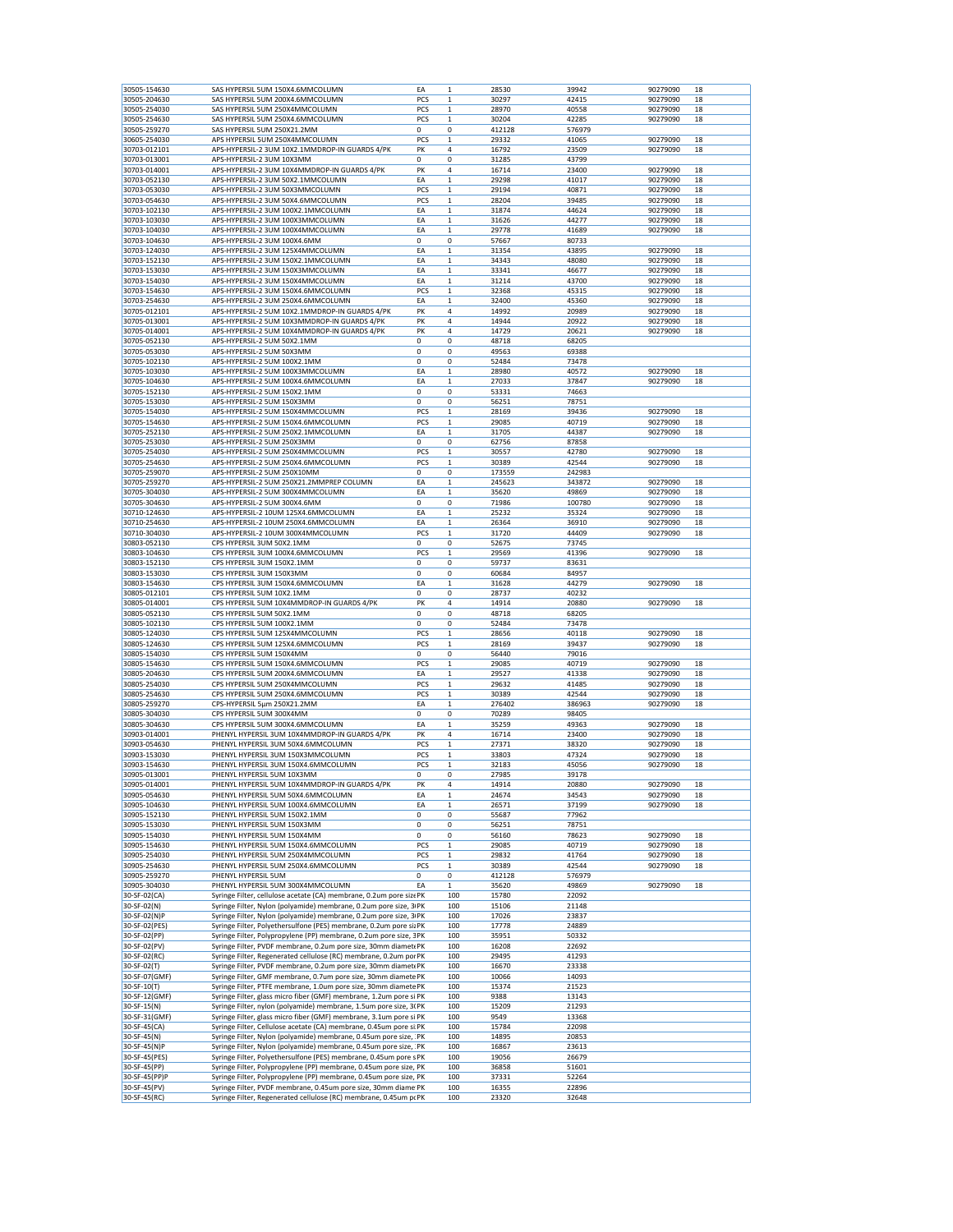| 30505-154630<br>30505-204630                  | SAS HYPERSIL 5UM 150X4.6MMCOLUMN                                                                                                    | EA          | $\mathbf{1}$ | 28530  | 39942  | 90279090 | 18 |
|-----------------------------------------------|-------------------------------------------------------------------------------------------------------------------------------------|-------------|--------------|--------|--------|----------|----|
|                                               | SAS HYPERSIL 5UM 200X4.6MMCOLUMN                                                                                                    | PCS         | 1            | 30297  | 42415  | 90279090 | 18 |
| 30505-254030                                  | SAS HYPERSIL 5UM 250X4MMCOLUMN                                                                                                      | PCS         | $\mathbf 1$  | 28970  | 40558  | 90279090 | 18 |
| 30505-254630                                  | SAS HYPERSIL 5UM 250X4.6MMCOLUMN                                                                                                    |             | $\mathbf 1$  | 30204  | 42285  | 90279090 | 18 |
|                                               |                                                                                                                                     | PCS         |              |        |        |          |    |
| 30505-259270                                  | SAS HYPERSIL 5UM 250X21.2MM                                                                                                         | 0           | 0            | 412128 | 576979 |          |    |
| 30605-254030                                  | APS HYPERSIL 5UM 250X4MMCOLUMN                                                                                                      | PCS         | 1            | 29332  | 41065  | 90279090 | 18 |
| 30703-012101                                  | APS-HYPERSIL-2 3UM 10X2.1MMDROP-IN GUARDS 4/PK                                                                                      | PK          | 4            | 16792  | 23509  | 90279090 | 18 |
| 30703-013001                                  | APS-HYPERSIL-2 3UM 10X3MM                                                                                                           | 0           | 0            | 31285  | 43799  |          |    |
| 30703-014001                                  | APS-HYPERSIL-2 3UM 10X4MMDROP-IN GUARDS 4/PK                                                                                        | PK          | 4            | 16714  | 23400  | 90279090 | 18 |
| 30703-052130                                  | APS-HYPERSIL-2 3UM 50X2.1MMCOLUMN                                                                                                   | EA          | $\mathbf 1$  | 29298  | 41017  | 90279090 | 18 |
| 30703-053030                                  | APS-HYPERSIL-2 3UM 50X3MMCOLUMN                                                                                                     | PCS         | $\mathbf{1}$ | 29194  | 40871  | 90279090 | 18 |
|                                               |                                                                                                                                     |             |              |        |        |          |    |
| 30703-054630                                  | APS-HYPERSIL-2 3UM 50X4.6MMCOLUMN                                                                                                   | PCS         | 1            | 28204  | 39485  | 90279090 | 18 |
| 30703-102130                                  | APS-HYPERSIL-2 3UM 100X2.1MMCOLUMN                                                                                                  | EA          | $\mathbf{1}$ | 31874  | 44624  | 90279090 | 18 |
| 30703-103030                                  | APS-HYPERSIL-2 3UM 100X3MMCOLUMN                                                                                                    | EA          | $\mathbf 1$  | 31626  | 44277  | 90279090 | 18 |
| 30703-104030                                  | APS-HYPERSIL-2 3UM 100X4MMCOLUMN                                                                                                    | EA          | 1            | 29778  | 41689  | 90279090 | 18 |
| 30703-104630                                  | APS-HYPERSIL-2 3UM 100X4.6MM                                                                                                        | $\mathbf 0$ | 0            | 57667  | 80733  |          |    |
|                                               |                                                                                                                                     |             |              |        |        | 90279090 |    |
| 30703-124030                                  | APS-HYPERSIL-2 3UM 125X4MMCOLUMN                                                                                                    | EA          | $\mathbf 1$  | 31354  | 43895  |          | 18 |
| 30703-152130                                  | APS-HYPERSIL-2 3UM 150X2.1MMCOLUMN                                                                                                  | EA          | 1            | 34343  | 48080  | 90279090 | 18 |
| 30703-153030                                  | APS-HYPERSIL-2 3UM 150X3MMCOLUMN                                                                                                    | EA          | $\mathbf{1}$ | 33341  | 46677  | 90279090 | 18 |
| 30703-154030                                  | APS-HYPERSIL-2 3UM 150X4MMCOLUMN                                                                                                    | EA          | $\mathbf 1$  | 31214  | 43700  | 90279090 | 18 |
| 30703-154630                                  | APS-HYPERSIL-2 3UM 150X4.6MMCOLUMN                                                                                                  | PCS         | $\mathbf 1$  | 32368  | 45315  | 90279090 | 18 |
|                                               |                                                                                                                                     |             |              |        |        |          |    |
| 30703-254630                                  | APS-HYPERSIL-2 3UM 250X4.6MMCOLUMN                                                                                                  | EA          | 1            | 32400  | 45360  | 90279090 | 18 |
| 30705-012101                                  | APS-HYPERSIL-2 5UM 10X2.1MMDROP-IN GUARDS 4/PK                                                                                      | PK          | 4            | 14992  | 20989  | 90279090 | 18 |
| 30705-013001                                  | APS-HYPERSIL-2 5UM 10X3MMDROP-IN GUARDS 4/PK                                                                                        | PK          | 4            | 14944  | 20922  | 90279090 | 18 |
| 30705-014001                                  | APS-HYPERSIL-2 5UM 10X4MMDROP-IN GUARDS 4/PK                                                                                        | PK          | 4            | 14729  | 20621  | 90279090 | 18 |
| 30705-052130                                  | APS-HYPERSIL-2 5UM 50X2.1MM                                                                                                         | 0           | 0            | 48718  | 68205  |          |    |
|                                               | APS-HYPERSIL-2 5UM 50X3MM                                                                                                           |             |              |        |        |          |    |
| 30705-053030                                  |                                                                                                                                     | 0           | 0            | 49563  | 69388  |          |    |
| 30705-102130                                  | APS-HYPERSIL-2 5UM 100X2.1MM                                                                                                        | 0           | 0            | 52484  | 73478  |          |    |
| 30705-103030                                  | APS-HYPERSIL-2 5UM 100X3MMCOLUMN                                                                                                    | EA          | $\mathbf 1$  | 28980  | 40572  | 90279090 | 18 |
| 30705-104630                                  | APS-HYPERSIL-2 5UM 100X4.6MMCOLUMN                                                                                                  | EA          | $\mathbf{1}$ | 27033  | 37847  | 90279090 | 18 |
| 30705-152130                                  | APS-HYPERSIL-2 5UM 150X2.1MM                                                                                                        | 0           | 0            | 53331  | 74663  |          |    |
|                                               |                                                                                                                                     |             |              |        |        |          |    |
| 30705-153030                                  | APS-HYPERSIL-2 5UM 150X3MM                                                                                                          | $\mathbf 0$ | 0            | 56251  | 78751  |          |    |
| 30705-154030                                  | APS-HYPERSIL-2 5UM 150X4MMCOLUMN                                                                                                    | PCS         | $\mathbf 1$  | 28169  | 39436  | 90279090 | 18 |
| 30705-154630                                  | APS-HYPERSIL-2 5UM 150X4.6MMCOLUMN                                                                                                  | PCS         | 1            | 29085  | 40719  | 90279090 | 18 |
| 30705-252130                                  | APS-HYPERSIL-2 5UM 250X2.1MMCOLUMN                                                                                                  | EA          | $\mathbf 1$  | 31705  | 44387  | 90279090 | 18 |
|                                               |                                                                                                                                     |             |              |        |        |          |    |
| 30705-253030                                  | APS-HYPERSIL-2 5UM 250X3MM                                                                                                          | 0           | 0            | 62756  | 87858  |          |    |
| 30705-254030                                  | APS-HYPERSIL-2 5UM 250X4MMCOLUMN                                                                                                    | PCS         | 1            | 30557  | 42780  | 90279090 | 18 |
| 30705-254630                                  | APS-HYPERSIL-2 5UM 250X4.6MMCOLUMN                                                                                                  | PCS         | $\mathbf{1}$ | 30389  | 42544  | 90279090 | 18 |
| 30705-259070                                  | APS-HYPERSIL-2 5UM 250X10MM                                                                                                         | 0           | 0            | 173559 | 242983 |          |    |
| 30705-259270                                  | APS-HYPERSIL-2 5UM 250X21.2MMPREP COLUMN                                                                                            | EA          | 1            | 245623 | 343872 | 90279090 | 18 |
|                                               |                                                                                                                                     |             |              |        |        |          |    |
| 30705-304030                                  | APS-HYPERSIL-2 5UM 300X4MMCOLUMN                                                                                                    | EA          | 1            | 35620  | 49869  | 90279090 | 18 |
| 30705-304630                                  | APS-HYPERSIL-2 5UM 300X4.6MM                                                                                                        | 0           | 0            | 71986  | 100780 | 90279090 | 18 |
| 30710-124630                                  | APS-HYPERSIL-2 10UM 125X4.6MMCOLUMN                                                                                                 | EA          | $\mathbf 1$  | 25232  | 35324  | 90279090 | 18 |
| 30710-254630                                  | APS-HYPERSIL-2 10UM 250X4.6MMCOLUMN                                                                                                 | EA          | $\mathbf{1}$ | 26364  | 36910  | 90279090 | 18 |
| 30710-304030                                  | APS-HYPERSIL-2 10UM 300X4MMCOLUMN                                                                                                   | PCS         | $\mathbf 1$  | 31720  | 44409  | 90279090 | 18 |
|                                               |                                                                                                                                     |             |              |        |        |          |    |
| 30803-052130                                  | CPS HYPERSIL 3UM 50X2.1MM                                                                                                           | 0           | 0            | 52675  | 73745  |          |    |
| 30803-104630                                  | CPS HYPERSIL 3UM 100X4.6MMCOLUMN                                                                                                    | PCS         | 1            | 29569  | 41396  | 90279090 | 18 |
| 30803-152130                                  | CPS HYPERSIL 3UM 150X2.1MM                                                                                                          | 0           | 0            | 59737  | 83631  |          |    |
| 30803-153030                                  | CPS HYPERSIL 3UM 150X3MM                                                                                                            | $\mathbf 0$ | 0            | 60684  | 84957  |          |    |
|                                               |                                                                                                                                     |             |              |        |        |          |    |
| 30803-154630                                  | CPS HYPERSIL 3UM 150X4.6MMCOLUMN                                                                                                    | EA          | 1            | 31628  | 44279  | 90279090 | 18 |
| 30805-012101                                  | CPS HYPERSIL 5UM 10X2.1MM                                                                                                           | 0           | 0            | 28737  | 40232  |          |    |
| 30805-014001                                  | CPS HYPERSIL 5UM 10X4MMDROP-IN GUARDS 4/PK                                                                                          | PK          | 4            | 14914  | 20880  | 90279090 | 18 |
| 30805-052130                                  | CPS HYPERSIL 5UM 50X2.1MM                                                                                                           | 0           | 0            | 48718  | 68205  |          |    |
| 30805-102130                                  | CPS HYPERSIL 5UM 100X2.1MM                                                                                                          | 0           | 0            | 52484  | 73478  |          |    |
|                                               |                                                                                                                                     |             |              |        |        |          |    |
| 30805-124030                                  | CPS HYPERSIL 5UM 125X4MMCOLUMN                                                                                                      | PCS         | $\mathbf{1}$ | 28656  | 40118  | 90279090 | 18 |
| 30805-124630                                  | CPS HYPERSIL 5UM 125X4.6MMCOLUMN                                                                                                    | PCS         | 1            | 28169  | 39437  | 90279090 | 18 |
| 30805-154030                                  | CPS HYPERSIL 5UM 150X4MM                                                                                                            | 0           | 0            | 56440  | 79016  |          |    |
| 30805-154630                                  | CPS HYPERSIL 5UM 150X4.6MMCOLUMN                                                                                                    | PCS         | $\mathbf 1$  | 29085  | 40719  | 90279090 | 18 |
| 30805-204630                                  | CPS HYPERSIL 5UM 200X4.6MMCOLUMN                                                                                                    | EA          | 1            | 29527  | 41338  | 90279090 | 18 |
| 30805-254030                                  | CPS HYPERSIL 5UM 250X4MMCOLUMN                                                                                                      | PCS         | $\mathbf 1$  |        | 41485  |          | 18 |
|                                               |                                                                                                                                     |             |              | 29632  |        | 90279090 |    |
| 30805-254630                                  | CPS HYPERSIL 5UM 250X4.6MMCOLUMN                                                                                                    | PCS         | 1            | 30389  | 42544  | 90279090 | 18 |
| 30805-259270                                  | CPS-HYPERSIL 5µm 250X21.2MM                                                                                                         | EA          | 1            | 276402 | 386963 | 90279090 | 18 |
| 30805-304030                                  | CPS HYPERSIL 5UM 300X4MM                                                                                                            | 0           | 0            | 70289  | 98405  |          |    |
| 30805-304630                                  | CPS HYPERSIL 5UM 300X4.6MMCOLUMN                                                                                                    | EA          | $\mathbf 1$  |        |        |          | 18 |
|                                               |                                                                                                                                     |             |              |        |        |          |    |
| 30903-014001                                  |                                                                                                                                     |             |              | 35259  | 49363  | 90279090 |    |
|                                               | PHENYL HYPERSIL 3UM 10X4MMDROP-IN GUARDS 4/PK                                                                                       | PK          | 4            | 16714  | 23400  | 90279090 | 18 |
| 30903-054630                                  | PHENYL HYPERSIL 3UM 50X4.6MMCOLUMN                                                                                                  | PCS         | 1            | 27371  | 38320  | 90279090 | 18 |
|                                               |                                                                                                                                     |             |              |        |        |          |    |
| 30903-153030                                  | PHENYL HYPERSIL 3UM 150X3MMCOLUMN                                                                                                   | PCS         | $\mathbf 1$  | 33803  | 47324  | 90279090 | 18 |
| 30903-154630                                  | PHENYL HYPERSIL 3UM 150X4.6MMCOLUMN                                                                                                 | PCS         | $\mathbf{1}$ | 32183  | 45056  | 90279090 | 18 |
| 30905-013001                                  | PHENYL HYPERSIL 5UM 10X3MM                                                                                                          | 0           | 0            | 27985  | 39178  |          |    |
| 30905-014001                                  | PHENYL HYPERSIL 5UM 10X4MMDROP-IN GUARDS 4/PK                                                                                       | PK          | 4            | 14914  | 20880  | 90279090 | 18 |
| 30905-054630                                  | PHENYL HYPERSIL 5UM 50X4.6MMCOLUMN                                                                                                  | EA          | $\mathbf 1$  | 24674  | 34543  | 90279090 | 18 |
|                                               |                                                                                                                                     |             |              |        |        |          |    |
| 30905-104630                                  | PHENYL HYPERSIL 5UM 100X4.6MMCOLUMN                                                                                                 | EA          | $\mathbf 1$  | 26571  | 37199  | 90279090 | 18 |
| 30905-152130                                  | PHENYL HYPERSIL 5UM 150X2.1MM                                                                                                       | 0           | 0            | 55687  | 77962  |          |    |
| 30905-153030                                  | PHENYL HYPERSIL 5UM 150X3MM                                                                                                         | 0           | 0            | 56251  | 78751  |          |    |
| 30905-154030                                  | PHENYL HYPERSIL 5UM 150X4MM                                                                                                         | 0           | 0            | 56160  | 78623  | 90279090 | 18 |
| 30905-154630                                  | PHENYL HYPERSIL 5UM 150X4.6MMCOLUMN                                                                                                 | PCS         | $\mathbf 1$  | 29085  | 40719  | 90279090 | 18 |
|                                               |                                                                                                                                     |             |              |        |        |          |    |
| 30905-254030                                  | PHENYL HYPERSIL 5UM 250X4MMCOLUMN                                                                                                   | PCS         | $\mathbf 1$  | 29832  | 41764  | 90279090 | 18 |
| 30905-254630                                  | PHENYL HYPERSIL 5UM 250X4.6MMCOLUMN                                                                                                 | PCS         | $\mathbf 1$  | 30389  | 42544  | 90279090 | 18 |
| 30905-259270                                  | PHENYL HYPERSIL 5UM                                                                                                                 | 0           | 0            | 412128 | 576979 |          |    |
| 30905-304030                                  | PHENYL HYPERSIL 5UM 300X4MMCOLUMN                                                                                                   | EA          | 1            | 35620  | 49869  | 90279090 | 18 |
| 30-SF-02(CA)                                  | Syringe Filter, cellulose acetate (CA) membrane, 0.2um pore sizePK                                                                  |             | 100          | 15780  | 22092  |          |    |
| 30-SF-02(N)                                   |                                                                                                                                     |             | 100          |        |        |          |    |
|                                               | Syringe Filter, Nylon (polyamide) membrane, 0.2um pore size, 3/PK                                                                   |             |              | 15106  | 21148  |          |    |
| 30-SF-02(N)P                                  | Syringe Filter, Nylon (polyamide) membrane, 0.2um pore size, 3/PK                                                                   |             | 100          | 17026  | 23837  |          |    |
| 30-SF-02(PES)                                 | Syringe Filter, Polyethersulfone (PES) membrane, 0.2um pore siz PK                                                                  |             | 100          | 17778  | 24889  |          |    |
| 30-SF-02(PP)                                  | Syringe Filter, Polypropylene (PP) membrane, 0.2um pore size, 3PK                                                                   |             | 100          | 35951  | 50332  |          |    |
| 30-SF-02(PV)                                  |                                                                                                                                     |             | 100          | 16208  | 22692  |          |    |
|                                               | Syringe Filter, PVDF membrane, 0.2um pore size, 30mm diamet PK                                                                      |             |              |        |        |          |    |
| 30-SF-02(RC)                                  | Syringe Filter, Regenerated cellulose (RC) membrane, 0.2um por PK                                                                   |             | 100          | 29495  | 41293  |          |    |
| 30-SF-02(T)                                   | Syringe Filter, PVDF membrane, 0.2um pore size, 30mm diamet PK                                                                      |             | 100          | 16670  | 23338  |          |    |
| 30-SF-07(GMF)                                 | Syringe Filter, GMF membrane, 0.7um pore size, 30mm diamete PK                                                                      |             | 100          | 10066  | 14093  |          |    |
|                                               |                                                                                                                                     |             |              |        |        |          |    |
| 30-SF-10(T)                                   | Syringe Filter, PTFE membrane, 1.0um pore size, 30mm diamete PK                                                                     |             | 100          | 15374  | 21523  |          |    |
|                                               | Syringe Filter, glass micro fiber (GMF) membrane, 1.2um pore si PK                                                                  |             | 100          | 9388   | 13143  |          |    |
|                                               | Syringe Filter, nylon (polyamide) membrane, 1.5um pore size, 3(PK                                                                   |             | 100          | 15209  | 21293  |          |    |
| 30-SF-12(GMF)<br>30-SF-15(N)<br>30-SF-31(GMF) | Syringe Filter, glass micro fiber (GMF) membrane, 3.1um pore si PK                                                                  |             | 100          | 9549   | 13368  |          |    |
| 30-SF-45(CA)                                  | Syringe Filter, Cellulose acetate (CA) membrane, 0.45um pore si PK                                                                  |             | 100          | 15784  | 22098  |          |    |
|                                               |                                                                                                                                     |             |              |        |        |          |    |
|                                               | Syringe Filter, Nylon (polyamide) membrane, 0.45um pore size, PK                                                                    |             | 100          | 14895  | 20853  |          |    |
| 30-SF-45(N)<br>30-SF-45(N)P                   | Syringe Filter, Nylon (polyamide) membrane, 0.45um pore size, PK                                                                    |             | 100          | 16867  | 23613  |          |    |
| 30-SF-45(PES)                                 | Syringe Filter, Polyethersulfone (PES) membrane, 0.45um pore s PK                                                                   |             | 100          | 19056  | 26679  |          |    |
| 30-SF-45(PP)                                  | Syringe Filter, Polypropylene (PP) membrane, 0.45um pore size, PK                                                                   |             | 100          | 36858  | 51601  |          |    |
| 30-SF-45(PP)P                                 |                                                                                                                                     |             | 100          | 37331  | 52264  |          |    |
| 30-SF-45(PV)                                  | Syringe Filter, Polypropylene (PP) membrane, 0.45um pore size, PK<br>Syringe Filter, PVDF membrane, 0.45um pore size, 30mm diame PK |             | 100          | 16355  | 22896  |          |    |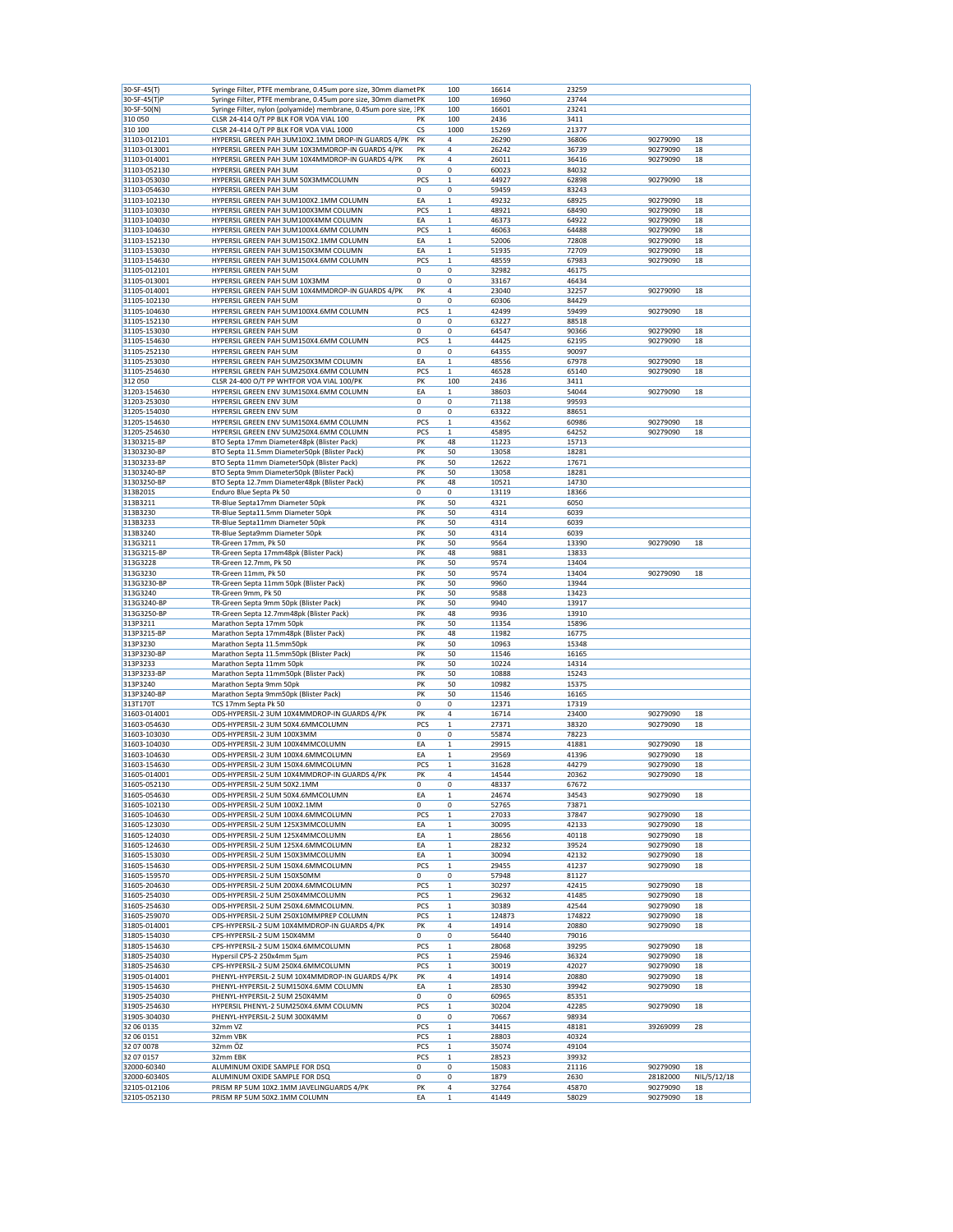| 30-SF-45(T)                  | Syringe Filter, PTFE membrane, 0.45um pore size, 30mm diamet PK           |             | 100          | 16614         | 23259         |                      |                   |
|------------------------------|---------------------------------------------------------------------------|-------------|--------------|---------------|---------------|----------------------|-------------------|
| 30-SF-45(T)F                 | Syringe Filter, PTFE membrane, 0.45um pore size, 30mm diamet PK           |             | 100          | 16960         | 23744         |                      |                   |
| 30-SF-50(N)                  | Syringe Filter, nylon (polyamide) membrane, 0.45um pore size, : PK        |             | 100          | 16601         | 23241         |                      |                   |
| 310050                       | CLSR 24-414 O/T PP BLK FOR VOA VIAL 100                                   | PK          | 100          | 2436          | 3411          |                      |                   |
| 310 100                      | CLSR 24-414 O/T PP BLK FOR VOA VIAL 1000                                  | CS          | 1000         | 15269         | 21377         |                      |                   |
| 31103-012101                 | HYPERSIL GREEN PAH 3UM10X2.1MM DROP-IN GUARDS 4/PK                        | PK          | 4            | 26290         | 36806         | 90279090             | 18                |
| 31103-013001                 | HYPERSIL GREEN PAH 3UM 10X3MMDROP-IN GUARDS 4/PK                          | PK          | 4            | 26242         | 36739         | 90279090             | 18                |
| 31103-014001                 | HYPERSIL GREEN PAH 3UM 10X4MMDROP-IN GUARDS 4/PK                          | PK          | 4            | 26011         | 36416         | 90279090             | 18                |
| 31103-052130                 | HYPERSIL GREEN PAH 3UM                                                    | 0           | 0            | 60023         | 84032         |                      |                   |
| 31103-053030                 | HYPERSIL GREEN PAH 3UM 50X3MMCOLUMN                                       | PCS         | $\mathbf{1}$ | 44927         | 62898         | 90279090             | 18                |
| 31103-054630                 | HYPERSIL GREEN PAH 3UM                                                    | 0           | 0            | 59459         | 83243         |                      |                   |
| 31103-102130                 | HYPERSIL GREEN PAH 3UM100X2.1MM COLUMN                                    | EA          | 1            | 49232         | 68925         | 90279090             | 18                |
| 31103-103030                 | HYPERSIL GREEN PAH 3UM100X3MM COLUMN                                      |             | $\mathbf 1$  |               | 68490         | 90279090             | 18                |
|                              |                                                                           | PCS         |              | 48921         |               |                      |                   |
| 31103-104030                 | HYPERSIL GREEN PAH 3UM100X4MM COLUMN                                      | EA          | 1            | 46373         | 64922         | 90279090             | 18                |
| 31103-104630                 | HYPERSIL GREEN PAH 3UM100X4.6MM COLUMN                                    | PCS         | 1            | 46063         | 64488         | 90279090             | 18                |
| 31103-152130                 | HYPERSIL GREEN PAH 3UM150X2.1MM COLUMN                                    | EA          | $\mathbf 1$  | 52006         | 72808         | 90279090             | 18                |
| 31103-153030                 | HYPERSIL GREEN PAH 3UM150X3MM COLUMN                                      | EA          | $\mathbf{1}$ | 51935         | 72709         | 90279090             | 18                |
| 31103-154630                 | HYPERSIL GREEN PAH 3UM150X4.6MM COLUMN                                    | PCS         | $\mathbf{1}$ | 48559         | 67983         | 90279090             | 18                |
| 31105-012101                 | HYPERSIL GREEN PAH 5UM                                                    | 0           | 0            | 32982         | 46175         |                      |                   |
| 31105-013001                 | HYPERSIL GREEN PAH 5UM 10X3MM                                             | 0           | 0            | 33167         | 46434         |                      |                   |
| 31105-014001                 | HYPERSIL GREEN PAH 5UM 10X4MMDROP-IN GUARDS 4/PK                          | PK          | 4            | 23040         | 32257         | 90279090             | 18                |
| 31105-102130                 | HYPERSIL GREEN PAH 5UM                                                    | 0           | 0            | 60306         | 84429         |                      |                   |
| 31105-104630                 | HYPERSIL GREEN PAH 5UM100X4.6MM COLUMN                                    | PCS         | 1            | 42499         | 59499         | 90279090             | 18                |
| 31105-152130                 | HYPERSIL GREEN PAH 5UM                                                    | 0           | 0            | 63227         | 88518         |                      |                   |
| 31105-153030                 | HYPERSIL GREEN PAH 5UM                                                    | 0           | 0            | 64547         | 90366         | 90279090             | 18                |
| 31105-154630                 | HYPERSIL GREEN PAH 5UM150X4.6MM COLUMN                                    | PCS         | 1            | 44425         | 62195         | 90279090             | 18                |
| 31105-252130                 | HYPERSIL GREEN PAH 5UM                                                    | 0           | 0            | 64355         | 90097         |                      |                   |
| 31105-253030                 | HYPERSIL GREEN PAH 5UM250X3MM COLUMN                                      | EA          | $\mathbf 1$  | 48556         | 67978         | 90279090             | 18                |
|                              |                                                                           |             |              |               |               |                      |                   |
| 31105-254630                 | HYPERSIL GREEN PAH 5UM250X4.6MM COLUMN                                    | PCS         | $\mathbf{1}$ | 46528         | 65140         | 90279090             | 18                |
| 312050                       | CLSR 24-400 O/T PP WHTFOR VOA VIAL 100/PK                                 | PK          | 100          | 2436          | 3411          |                      |                   |
| 31203-154630                 | HYPERSIL GREEN ENV 3UM150X4.6MM COLUMN                                    | EA          | $\mathbf{1}$ | 38603         | 54044         | 90279090             | 18                |
| 31203-253030                 | HYPERSIL GREEN ENV 3UM                                                    | 0           | 0            | 71138         | 99593         |                      |                   |
| 31205-154030                 | HYPERSIL GREEN ENV 5UM                                                    | 0           | 0            | 63322         | 88651         |                      |                   |
| 31205-154630                 | HYPERSIL GREEN ENV 5UM150X4.6MM COLUMN                                    | PCS         | 1            | 43562         | 60986         | 90279090             | 18                |
| 31205-254630                 | HYPERSIL GREEN ENV 5UM250X4.6MM COLUMN                                    | PCS         | $\mathbf{1}$ | 45895         | 64252         | 90279090             | 18                |
| 31303215-BP                  | BTO Septa 17mm Diameter48pk (Blister Pack)                                | PK          | 48           | 11223         | 15713         |                      |                   |
| 31303230-BP                  | BTO Septa 11.5mm Diameter50pk (Blister Pack)                              | PK          | 50           | 13058         | 18281         |                      |                   |
| 31303233-BP                  | BTO Septa 11mm Diameter50pk (Blister Pack)                                | PK          | 50           | 12622         | 17671         |                      |                   |
| 31303240-BP                  | BTO Septa 9mm Diameter50pk (Blister Pack)                                 | PK          | 50           | 13058         | 18281         |                      |                   |
| 31303250-BP                  | BTO Septa 12.7mm Diameter48pk (Blister Pack)                              | PK          | 48           | 10521         | 14730         |                      |                   |
| 313B201S                     | Enduro Blue Septa Pk 50                                                   | $\mathbf 0$ | 0            | 13119         | 18366         |                      |                   |
|                              |                                                                           |             |              |               |               |                      |                   |
| 313B3211                     | TR-Blue Septa17mm Diameter 50pk                                           | PK          | 50           | 4321          | 6050          |                      |                   |
| 313B3230                     | TR-Blue Septa11.5mm Diameter 50pk                                         | PK          | 50           | 4314          | 6039          |                      |                   |
| 313B3233                     | TR-Blue Septa11mm Diameter 50pk                                           | PK          | 50           | 4314          | 6039          |                      |                   |
| 313B3240                     | TR-Blue Septa9mm Diameter 50pk                                            | PK          | 50           | 4314          | 6039          |                      |                   |
| 313G3211                     | TR-Green 17mm, Pk 50                                                      | PK          | 50           | 9564          | 13390         | 90279090             | 18                |
| 313G3215-BP                  | TR-Green Septa 17mm48pk (Blister Pack)                                    | PK          | 48           | 9881          | 13833         |                      |                   |
| 313G3228                     | TR-Green 12.7mm, Pk 50                                                    | PK          | 50           | 9574          | 13404         |                      |                   |
| 313G3230                     | TR-Green 11mm, Pk 50                                                      | PK          | 50           | 9574          | 13404         | 90279090             | 18                |
| 313G3230-BP                  | TR-Green Septa 11mm 50pk (Blister Pack)                                   | PK          | 50           | 9960          | 13944         |                      |                   |
| 313G3240                     | TR-Green 9mm, Pk 50                                                       | PK          | 50           | 9588          | 13423         |                      |                   |
| 313G3240-BP                  | TR-Green Septa 9mm 50pk (Blister Pack)                                    | PK          | 50           | 9940          | 13917         |                      |                   |
| 313G3250-BP                  | TR-Green Septa 12.7mm48pk (Blister Pack)                                  | PK          | 48           | 9936          | 13910         |                      |                   |
|                              |                                                                           | PK          | 50           |               |               |                      |                   |
| 313P3211                     | Marathon Septa 17mm 50pk                                                  |             |              | 11354         | 15896         |                      |                   |
| 313P3215-BP                  | Marathon Septa 17mm48pk (Blister Pack)                                    | PK          | 48           | 11982         | 16775         |                      |                   |
| 313P3230                     | Marathon Septa 11.5mm50pk                                                 | PK          | 50           | 10963         | 15348         |                      |                   |
| 313P3230-BP                  | Marathon Septa 11.5mm50pk (Blister Pack)                                  | PK          | 50           | 11546         | 16165         |                      |                   |
| 313P3233                     | Marathon Septa 11mm 50pk                                                  | PK          | 50           | 10224         | 14314         |                      |                   |
| 313P3233-BP                  | Marathon Septa 11mm50pk (Blister Pack)                                    | PK          | 50           | 10888         | 15243         |                      |                   |
| 313P3240                     | Marathon Septa 9mm 50pk                                                   | PK          | 50           | 10982         | 15375         |                      |                   |
| 313P3240-BP                  | Marathon Septa 9mm50pk (Blister Pack)                                     | PK          | 50           | 11546         | 16165         |                      |                   |
| 313T170T                     | TCS 17mm Septa Pk 50                                                      | 0           | 0            | 12371         | 17319         |                      |                   |
| 31603-014001                 | ODS-HYPERSIL-2 3UM 10X4MMDROP-IN GUARDS 4/PK                              | PK          | 4            | 16714         | 23400         | 90279090             | 18                |
| 31603-054630                 | ODS-HYPERSIL-2 3UM 50X4.6MMCOLUMN                                         | PCS         | 1            | 27371         | 38320         | 90279090             | 18                |
| 31603-103030                 | ODS-HYPERSIL-2 3UM 100X3MM                                                | $\mathbf 0$ | 0            | 55874         | 78223         |                      |                   |
| 31603-104030                 | ODS-HYPERSIL-2 3UM 100X4MMCOLUMN                                          | EA          | $\mathbf{1}$ | 29915         | 41881         | 90279090             | 18                |
| 31603-104630                 | ODS-HYPERSIL-2 3UM 100X4.6MMCOLUMN                                        | EA          | $\mathbf{1}$ | 29569         | 41396         | 90279090             | 18                |
| 31603-154630                 | ODS-HYPERSIL-2 3UM 150X4.6MMCOLUMN                                        | PCS         | $\mathbf{1}$ | 31628         | 44279         | 90279090             | 18                |
|                              | ODS-HYPERSIL-2 5UM 10X4MMDROP-IN GUARDS 4/PK                              | PK          | 4            | 14544         | 20362         | 90279090             | 18                |
| 31605-014001                 |                                                                           | 0           |              |               |               |                      |                   |
| 31605-052130                 | ODS-HYPERSIL-2 5UM 50X2.1MM                                               |             | 0            | 48337         | 67672         |                      |                   |
| 31605-054630                 | ODS-HYPERSIL-2 5UM 50X4.6MMCOLUMN                                         | EA          | 1            | 24674         | 34543         | 90279090             | 18                |
| 31605-102130                 | ODS-HYPERSIL-2 5UM 100X2.1MM                                              | 0           | 0            | 52765         | 73871         |                      |                   |
| 31605-104630                 | ODS-HYPERSIL-2 5UM 100X4.6MMCOLUMN                                        | PCS         | 1            | 27033         | 37847         | 90279090             | 18                |
| 31605-123030                 | ODS-HYPERSIL-2 5UM 125X3MMCOLUMN                                          | EA          | 1            | 30095         | 42133         | 90279090             | 18                |
| 31605-124030                 | ODS-HYPERSIL-2 5UM 125X4MMCOLUMN                                          | EA          | 1            | 28656         | 40118         | 90279090             | 18                |
| 31605-124630                 | ODS-HYPERSIL-2 5UM 125X4.6MMCOLUMN                                        | EA          | $\mathbf 1$  | 28232         | 39524         | 90279090             | 18                |
| 31605-153030                 | ODS-HYPERSIL-2 5UM 150X3MMCOLUMN                                          | EA          | 1            | 30094         | 42132         | 90279090             | 18                |
| 31605-154630                 | ODS-HYPERSIL-2 5UM 150X4.6MMCOLUMN                                        | PCS         | $\mathbf 1$  | 29455         | 41237         | 90279090             | 18                |
| 31605-159570                 | ODS-HYPERSIL-2 5UM 150X50MM                                               | 0           | 0            | 57948         | 81127         |                      |                   |
| 31605-204630                 | ODS-HYPERSIL-2 5UM 200X4.6MMCOLUMN                                        | PCS         | 1            | 30297         | 42415         | 90279090             | 18                |
| 31605-254030                 | ODS-HYPERSIL-2 5UM 250X4MMCOLUMN                                          | PCS         | 1            | 29632         | 41485         | 90279090             | 18                |
| 31605-254630                 | ODS-HYPERSIL-2 5UM 250X4.6MMCOLUMN.                                       | PCS         | $\mathbf 1$  | 30389         | 42544         | 90279090             | 18                |
| 31605-259070                 | ODS-HYPERSIL-2 5UM 250X10MMPREP COLUMN                                    | PCS         | 1            | 124873        | 174822        | 90279090             | 18                |
| 31805-014001                 | CPS-HYPERSIL-2 5UM 10X4MMDROP-IN GUARDS 4/PK                              | PK          | 4            | 14914         | 20880         | 90279090             | 18                |
| 31805-154030                 | CPS-HYPERSIL-2 5UM 150X4MM                                                | 0           | 0            | 56440         | 79016         |                      |                   |
|                              | CPS-HYPERSIL-2 5UM 150X4.6MMCOLUMN                                        |             |              |               |               |                      |                   |
| 31805-154630                 |                                                                           | PCS         | 1            | 28068         | 39295         | 90279090             | 18<br>18          |
| 31805-254030                 | Hypersil CPS-2 250x4mm 5µm                                                | PCS         | 1            | 25946         | 36324         | 90279090             |                   |
| 31805-254630                 | CPS-HYPERSIL-2 5UM 250X4.6MMCOLUMN                                        | PCS         | $\mathbf 1$  | 30019         | 42027         | 90279090             | 18                |
| 31905-014001                 | PHENYL-HYPERSIL-2 5UM 10X4MMDROP-IN GUARDS 4/PK                           | PK          | 4            | 14914         | 20880         | 90279090             | 18                |
| 31905-154630                 | PHENYL-HYPERSIL-2 5UM150X4.6MM COLUMN                                     | EA          | $\mathbf 1$  | 28530         | 39942         | 90279090             | 18                |
| 31905-254030                 | PHENYL-HYPERSIL-2 5UM 250X4MM                                             | 0           | 0            | 60965         | 85351         |                      |                   |
| 31905-254630                 | HYPERSIL PHENYL-2 5UM250X4.6MM COLUMN                                     | PCS         | 1            | 30204         | 42285         | 90279090             | 18                |
| 31905-304030                 | PHENYL-HYPERSIL-2 5UM 300X4MM                                             | 0           | 0            | 70667         | 98934         |                      |                   |
| 32 06 0135                   | 32mm VZ                                                                   | PCS         | $\mathbf 1$  | 34415         | 48181         | 39269099             | 28                |
| 32 06 0151                   | 32mm VBK                                                                  | PCS         | 1            | 28803         | 40324         |                      |                   |
| 32 07 0078                   | 32mm ÖZ                                                                   | PCS         | 1            | 35074         | 49104         |                      |                   |
| 32 07 0157                   | 32mm EBK                                                                  | PCS         | $\mathbf 1$  | 28523         | 39932         |                      |                   |
| 32000-60340                  | ALUMINUM OXIDE SAMPLE FOR DSQ                                             | 0           | 0            | 15083         | 21116         | 90279090             | 18                |
|                              |                                                                           |             |              |               |               |                      |                   |
|                              |                                                                           |             |              |               |               |                      |                   |
| 32000-60340S<br>32105-012106 | ALUMINUM OXIDE SAMPLE FOR DSQ<br>PRISM RP 5UM 10X2.1MM JAVELINGUARDS 4/PK | 0<br>PK     | 0<br>4       | 1879<br>32764 | 2630<br>45870 | 28182000<br>90279090 | NIL/5/12/18<br>18 |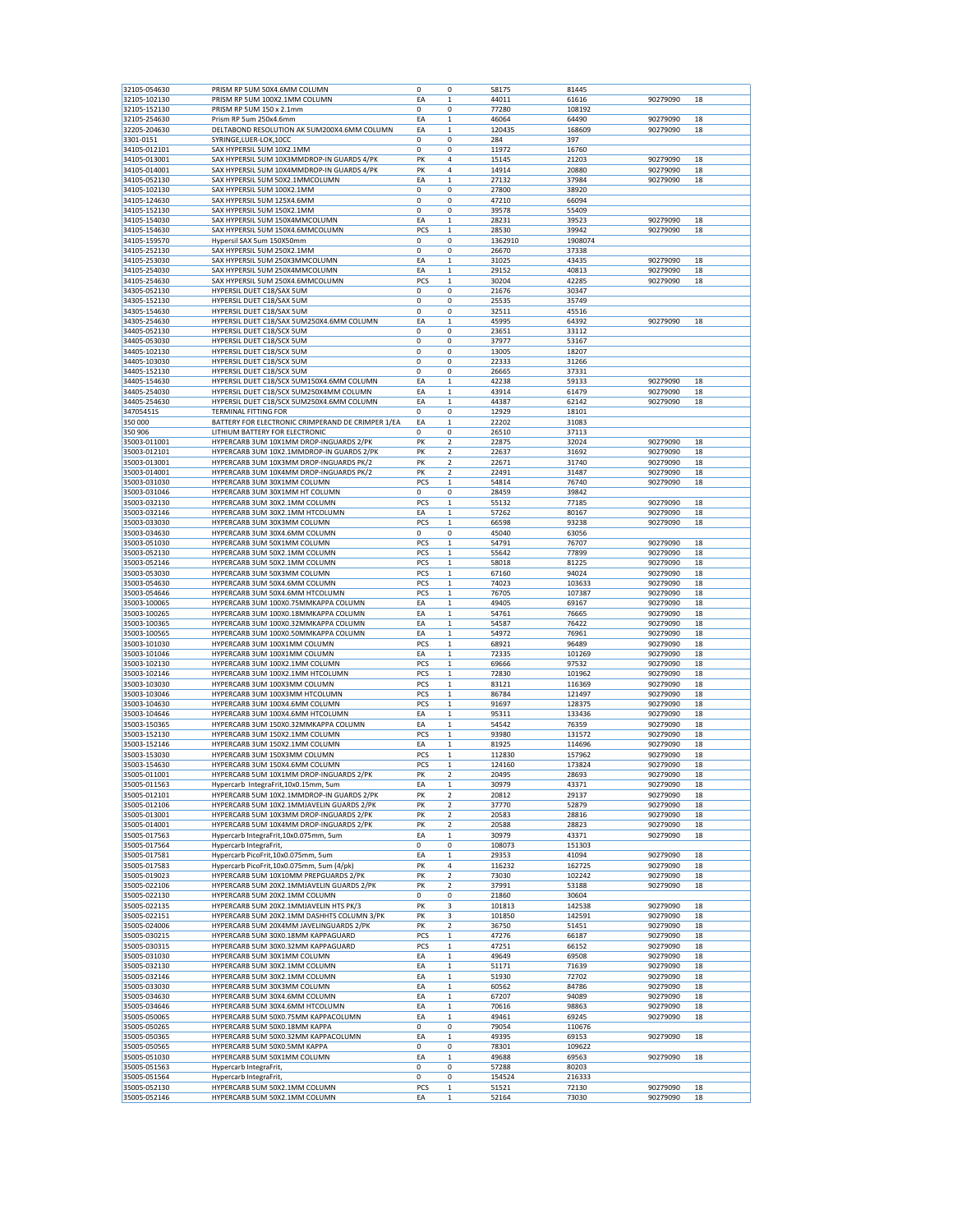| 32105-054630 | PRISM RP 5UM 50X4.6MM COLUMN                      | 0           | 0                       | 58175   | 81445   |          |    |
|--------------|---------------------------------------------------|-------------|-------------------------|---------|---------|----------|----|
| 32105-102130 | PRISM RP 5UM 100X2.1MM COLUMN                     | EA          | $\mathbf{1}$            | 44011   | 61616   | 90279090 | 18 |
| 32105-152130 | PRISM RP 5UM 150 x 2.1mm                          | 0           | 0                       | 77280   | 108192  |          |    |
|              |                                                   |             |                         |         |         |          |    |
| 32105-254630 | Prism RP 5um 250x4.6mm                            | EA          | $\mathbf 1$             | 46064   | 64490   | 90279090 | 18 |
| 32205-204630 | DELTABOND RESOLUTION AK 5UM200X4.6MM COLUMN       | EA          | $\mathbf{1}$            | 120435  | 168609  | 90279090 | 18 |
| 3301-0151    | SYRINGE, LUER-LOK, 10CC                           | 0           | $\mathbf 0$             | 284     | 397     |          |    |
| 34105-012101 | SAX HYPERSIL 5UM 10X2.1MM                         | $\mathbf 0$ | 0                       | 11972   | 16760   |          |    |
| 34105-013001 | SAX HYPERSIL 5UM 10X3MMDROP-IN GUARDS 4/PK        | PK          | 4                       | 15145   |         |          | 18 |
|              |                                                   |             |                         |         | 21203   | 90279090 |    |
| 34105-014001 | SAX HYPERSIL 5UM 10X4MMDROP-IN GUARDS 4/PK        | PK          | 4                       | 14914   | 20880   | 90279090 | 18 |
| 34105-052130 | SAX HYPERSIL 5UM 50X2.1MMCOLUMN                   | EA          | $\mathbf 1$             | 27132   | 37984   | 90279090 | 18 |
| 34105-102130 | SAX HYPERSIL 5UM 100X2.1MM                        | 0           | 0                       | 27800   | 38920   |          |    |
| 34105-124630 | SAX HYPERSIL 5UM 125X4.6MM                        | 0           | 0                       | 47210   | 66094   |          |    |
| 34105-152130 | SAX HYPERSIL 5UM 150X2.1MM                        | 0           | 0                       | 39578   | 55409   |          |    |
| 34105-154030 | SAX HYPERSIL 5UM 150X4MMCOLUMN                    | EA          | $\mathbf 1$             | 28231   | 39523   | 90279090 | 18 |
|              |                                                   |             |                         |         |         |          |    |
| 34105-154630 | SAX HYPERSIL 5UM 150X4.6MMCOLUMN                  | PCS         | 1                       | 28530   | 39942   | 90279090 | 18 |
| 34105-159570 | Hypersil SAX 5um 150X50mm                         | $\mathbf 0$ | 0                       | 1362910 | 1908074 |          |    |
| 34105-252130 | SAX HYPERSIL 5UM 250X2.1MM                        | $\mathbf 0$ | 0                       | 26670   | 37338   |          |    |
| 34105-253030 | SAX HYPERSIL 5UM 250X3MMCOLUMN                    | EA          | 1                       | 31025   | 43435   | 90279090 | 18 |
| 34105-254030 | SAX HYPERSIL 5UM 250X4MMCOLUMN                    | EA          | $\mathbf 1$             | 29152   | 40813   | 90279090 | 18 |
| 34105-254630 | SAX HYPERSIL 5UM 250X4.6MMCOLUMN                  | PCS         | $\mathbf 1$             | 30204   | 42285   | 90279090 | 18 |
|              |                                                   |             |                         |         |         |          |    |
| 34305-052130 | HYPERSIL DUET C18/SAX 5UM                         | $\mathbf 0$ | 0                       | 21676   | 30347   |          |    |
| 34305-152130 | HYPERSIL DUET C18/SAX 5UM                         | 0           | 0                       | 25535   | 35749   |          |    |
| 34305-154630 | HYPERSIL DUET C18/SAX 5UM                         | 0           | 0                       | 32511   | 45516   |          |    |
| 34305-254630 | HYPERSIL DUET C18/SAX 5UM250X4.6MM COLUMN         | EA          | 1                       | 45995   | 64392   | 90279090 | 18 |
| 34405-052130 | HYPERSIL DUET C18/SCX 5UM                         | 0           | 0                       | 23651   | 33112   |          |    |
| 34405-053030 | HYPERSIL DUET C18/SCX 5UM                         | 0           | 0                       | 37977   | 53167   |          |    |
|              |                                                   | 0           |                         |         |         |          |    |
| 34405-102130 | HYPERSIL DUET C18/SCX 5UM                         |             | 0                       | 13005   | 18207   |          |    |
| 34405-103030 | HYPERSIL DUET C18/SCX 5UM                         | 0           | 0                       | 22333   | 31266   |          |    |
| 34405-152130 | HYPERSIL DUET C18/SCX 5UM                         | 0           | 0                       | 26665   | 37331   |          |    |
| 34405-154630 | HYPERSIL DUET C18/SCX 5UM150X4.6MM COLUMN         | EA          | 1                       | 42238   | 59133   | 90279090 | 18 |
| 34405-254030 | HYPERSIL DUET C18/SCX 5UM250X4MM COLUMN           | EA          | 1                       | 43914   | 61479   | 90279090 | 18 |
| 34405-254630 | HYPERSIL DUET C18/SCX 5UM250X4.6MM COLUMN         | EA          | $\mathbf{1}$            | 44387   | 62142   | 90279090 | 18 |
|              |                                                   |             |                         |         |         |          |    |
| 34705451S    | TERMINAL FITTING FOR                              | 0           | 0                       | 12929   | 18101   |          |    |
| 350 000      | BATTERY FOR ELECTRONIC CRIMPERAND DE CRIMPER 1/EA | EA          | 1                       | 22202   | 31083   |          |    |
| 350 906      | LITHIUM BATTERY FOR ELECTRONIC                    | 0           | 0                       | 26510   | 37113   |          |    |
| 35003-011001 | HYPERCARB 3UM 10X1MM DROP-INGUARDS 2/PK           | PK          | $\overline{c}$          | 22875   | 32024   | 90279090 | 18 |
| 35003-012101 | HYPERCARB 3UM 10X2.1MMDROP-IN GUARDS 2/PK         | PK          | 2                       | 22637   | 31692   | 90279090 | 18 |
|              |                                                   |             |                         |         |         |          |    |
| 35003-013001 | HYPERCARB 3UM 10X3MM DROP-INGUARDS PK/2           | PK          | 2                       | 22671   | 31740   | 90279090 | 18 |
| 35003-014001 | HYPERCARB 3UM 10X4MM DROP-INGUARDS PK/2           | PK          | $\overline{\mathbf{2}}$ | 22491   | 31487   | 90279090 | 18 |
| 35003-031030 | HYPERCARB 3UM 30X1MM COLUMN                       | PCS         | 1                       | 54814   | 76740   | 90279090 | 18 |
| 35003-031046 | HYPERCARB 3UM 30X1MM HT COLUMN                    | $\mathbf 0$ | 0                       | 28459   | 39842   |          |    |
| 35003-032130 | HYPERCARB 3UM 30X2.1MM COLUMN                     | PCS         | $\mathbf 1$             | 55132   | 77185   | 90279090 | 18 |
|              |                                                   |             |                         |         |         |          |    |
| 35003-032146 | HYPERCARB 3UM 30X2.1MM HTCOLUMN                   | EA          | 1                       | 57262   | 80167   | 90279090 | 18 |
| 35003-033030 | HYPERCARB 3UM 30X3MM COLUMN                       | PCS         | 1                       | 66598   | 93238   | 90279090 | 18 |
| 35003-034630 | HYPERCARB 3UM 30X4.6MM COLUMN                     | 0           | 0                       | 45040   | 63056   |          |    |
| 35003-051030 | HYPERCARB 3UM 50X1MM COLUMN                       | PCS         | 1                       | 54791   | 76707   | 90279090 | 18 |
| 35003-052130 | HYPERCARB 3UM 50X2.1MM COLUMN                     | PCS         | 1                       | 55642   | 77899   | 90279090 | 18 |
| 35003-052146 | HYPERCARB 3UM 50X2.1MM COLUMN                     | PCS         | $\mathbf 1$             | 58018   | 81225   | 90279090 | 18 |
|              |                                                   |             |                         |         |         |          |    |
| 35003-053030 | HYPERCARB 3UM 50X3MM COLUMN                       | PCS         | 1                       | 67160   | 94024   | 90279090 | 18 |
| 35003-054630 | HYPERCARB 3UM 50X4.6MM COLUMN                     | PCS         | $\mathbf 1$             | 74023   | 103633  | 90279090 | 18 |
| 35003-054646 | HYPERCARB 3UM 50X4.6MM HTCOLUMN                   | PCS         | $\mathbf 1$             | 76705   | 107387  | 90279090 | 18 |
| 35003-100065 | HYPERCARB 3UM 100X0.75MMKAPPA COLUMN              | EA          |                         |         |         |          |    |
|              |                                                   |             |                         |         |         |          |    |
|              |                                                   |             | $\mathbf{1}$            | 49405   | 69167   | 90279090 | 18 |
| 35003-100265 | HYPERCARB 3UM 100X0.18MMKAPPA COLUMN              | EA          | $\mathbf 1$             | 54761   | 76665   | 90279090 | 18 |
| 35003-100365 | HYPERCARB 3UM 100X0.32MMKAPPA COLUMN              | EA          | $\mathbf 1$             | 54587   | 76422   | 90279090 | 18 |
| 35003-100565 | HYPERCARB 3UM 100X0.50MMKAPPA COLUMN              | EA          | 1                       | 54972   | 76961   | 90279090 | 18 |
| 35003-101030 | HYPERCARB 3UM 100X1MM COLUMN                      | PCS         | 1                       | 68921   | 96489   | 90279090 | 18 |
| 35003-101046 | HYPERCARB 3UM 100X1MM COLUMN                      | EA          | $\mathbf{1}$            | 72335   | 101269  | 90279090 | 18 |
| 35003-102130 | HYPERCARB 3UM 100X2.1MM COLUMN                    | PCS         | $\mathbf{1}$            |         | 97532   | 90279090 | 18 |
|              |                                                   |             |                         | 69666   |         |          |    |
| 35003-102146 | HYPERCARB 3UM 100X2.1MM HTCOLUMN                  | PCS         | 1                       | 72830   | 101962  | 90279090 | 18 |
| 35003-103030 | HYPERCARB 3UM 100X3MM COLUMN                      | PCS         | $\mathbf 1$             | 83121   | 116369  | 90279090 | 18 |
| 35003-103046 | HYPERCARB 3UM 100X3MM HTCOLUMN                    | PCS         | 1                       | 86784   | 121497  | 90279090 | 18 |
| 35003-104630 | HYPERCARB 3UM 100X4.6MM COLUMN                    | PCS         | 1                       | 91697   | 128375  | 90279090 | 18 |
| 35003-104646 | HYPERCARB 3UM 100X4.6MM HTCOLUMN                  | EA          | $\mathbf 1$             | 95311   | 133436  | 90279090 | 18 |
| 35003-150365 | HYPERCARB 3UM 150X0.32MMKAPPA COLUMN              | EA          | $\mathbf 1$             | 54542   | 76359   | 90279090 | 18 |
|              |                                                   |             |                         |         |         |          |    |
| 35003-152130 | HYPERCARB 3UM 150X2.1MM COLUMN                    | PCS         | 1                       | 93980   | 131572  | 90279090 | 18 |
| 35003-152146 | HYPERCARB 3UM 150X2.1MM COLUMN                    | EA          | 1                       | 81925   | 114696  | 90279090 | 18 |
| 35003-153030 | HYPERCARB 3UM 150X3MM COLUMN                      | PCS         | $\mathbf 1$             | 112830  | 157962  | 90279090 | 18 |
| 35003-154630 | HYPERCARB 3UM 150X4.6MM COLUMN                    | PCS         | 1                       | 124160  | 173824  | 90279090 | 18 |
| 35005-011001 | HYPERCARB 5UM 10X1MM DROP-INGUARDS 2/PK           | PK          | 2                       | 20495   | 28693   | 90279090 | 18 |
| 35005-011563 | Hypercarb IntegraFrit, 10x0.15mm, 5um             | EA          | $\mathbf 1$             | 30979   | 43371   | 90279090 | 18 |
|              |                                                   | PK          | $\mathbf 2$             |         |         |          | 18 |
| 35005-012101 | HYPERCARB 5UM 10X2.1MMDROP-IN GUARDS 2/PK         |             |                         | 20812   | 29137   | 90279090 |    |
| 35005-012106 | HYPERCARB 5UM 10X2.1MMJAVELIN GUARDS 2/PK         | PK          | 2                       | 37770   | 52879   | 90279090 | 18 |
| 35005-013001 | HYPERCARB 5UM 10X3MM DROP-INGUARDS 2/PK           | PK          | 2                       | 20583   | 28816   | 90279090 | 18 |
| 35005-014001 | HYPERCARB 5UM 10X4MM DROP-INGUARDS 2/PK           | PK          | 2                       | 20588   | 28823   | 90279090 | 18 |
| 35005-017563 | Hypercarb IntegraFrit,10x0.075mm, 5um             | EA          | $\mathbf 1$             | 30979   | 43371   | 90279090 | 18 |
| 35005-017564 | Hypercarb IntegraFrit,                            | 0           | 0                       | 108073  | 151303  |          |    |
|              |                                                   |             | $\mathbf{1}$            |         | 41094   | 90279090 | 18 |
| 35005-017581 | Hypercarb PicoFrit,10x0.075mm, 5um                | EA          |                         | 29353   |         |          |    |
| 35005-017583 | Hypercarb PicoFrit,10x0.075mm, 5um (4/pk)         | PK          | 4                       | 116232  | 162725  | 90279090 | 18 |
| 35005-019023 | HYPERCARB 5UM 10X10MM PREPGUARDS 2/PK             | PK          | $\overline{\mathbf{2}}$ | 73030   | 102242  | 90279090 | 18 |
| 35005-022106 | HYPERCARB 5UM 20X2.1MMJAVELIN GUARDS 2/PK         | PK          | $\overline{c}$          | 37991   | 53188   | 90279090 | 18 |
| 35005-022130 | HYPERCARB 5UM 20X2.1MM COLUMN                     | 0           | 0                       | 21860   | 30604   |          |    |
| 35005-022135 | HYPERCARB 5UM 20X2.1MMJAVELIN HTS PK/3            | PK          | 3                       | 101813  | 142538  | 90279090 | 18 |
|              | HYPERCARB 5UM 20X2.1MM DASHHTS COLUMN 3/PK        | PK          | 3                       |         |         | 90279090 | 18 |
| 35005-022151 |                                                   |             |                         | 101850  | 142591  |          |    |
| 35005-024006 | HYPERCARB 5UM 20X4MM JAVELINGUARDS 2/PK           | PK          | 2                       | 36750   | 51451   | 90279090 | 18 |
| 35005-030215 | HYPERCARB 5UM 30X0.18MM KAPPAGUARD                | PCS         | $\mathbf 1$             | 47276   | 66187   | 90279090 | 18 |
| 35005-030315 | HYPERCARB 5UM 30X0.32MM KAPPAGUARD                | PCS         | $\mathbf 1$             | 47251   | 66152   | 90279090 | 18 |
| 35005-031030 | HYPERCARB 5UM 30X1MM COLUMN                       | EA          | 1                       | 49649   | 69508   | 90279090 | 18 |
| 35005-032130 | HYPERCARB 5UM 30X2.1MM COLUMN                     | EA          | $\mathbf 1$             | 51171   | 71639   | 90279090 | 18 |
|              | HYPERCARB 5UM 30X2.1MM COLUMN                     |             |                         |         |         |          |    |
| 35005-032146 |                                                   | EA          | $\mathbf 1$             | 51930   | 72702   | 90279090 | 18 |
| 35005-033030 | HYPERCARB 5UM 30X3MM COLUMN                       | EA          | $\mathbf 1$             | 60562   | 84786   | 90279090 | 18 |
| 35005-034630 | HYPERCARB 5UM 30X4.6MM COLUMN                     | EA          | $\mathbf 1$             | 67207   | 94089   | 90279090 | 18 |
| 35005-034646 | HYPERCARB 5UM 30X4.6MM HTCOLUMN                   | EA          | $\mathbf 1$             | 70616   | 98863   | 90279090 | 18 |
| 35005-050065 | HYPERCARB 5UM 50X0.75MM KAPPACOLUMN               | EA          | $\mathbf 1$             | 49461   | 69245   | 90279090 | 18 |
| 35005-050265 | HYPERCARB 5UM 50X0.18MM KAPPA                     | 0           | 0                       | 79054   | 110676  |          |    |
|              |                                                   |             |                         |         |         |          |    |
| 35005-050365 | HYPERCARB 5UM 50X0.32MM KAPPACOLUMN               | EA          | $\mathbf 1$             | 49395   | 69153   | 90279090 | 18 |
| 35005-050565 | HYPERCARB 5UM 50X0.5MM KAPPA                      | 0           | 0                       | 78301   | 109622  |          |    |
| 35005-051030 | HYPERCARB 5UM 50X1MM COLUMN                       | EA          | $\mathbf 1$             | 49688   | 69563   | 90279090 | 18 |
| 35005-051563 | Hypercarb IntegraFrit,                            | 0           | 0                       | 57288   | 80203   |          |    |
| 35005-051564 | Hypercarb IntegraFrit,                            | 0           | 0                       | 154524  | 216333  |          |    |
| 35005-052130 | HYPERCARB 5UM 50X2.1MM COLUMN                     | PCS         | $\mathbf 1$             | 51521   | 72130   | 90279090 | 18 |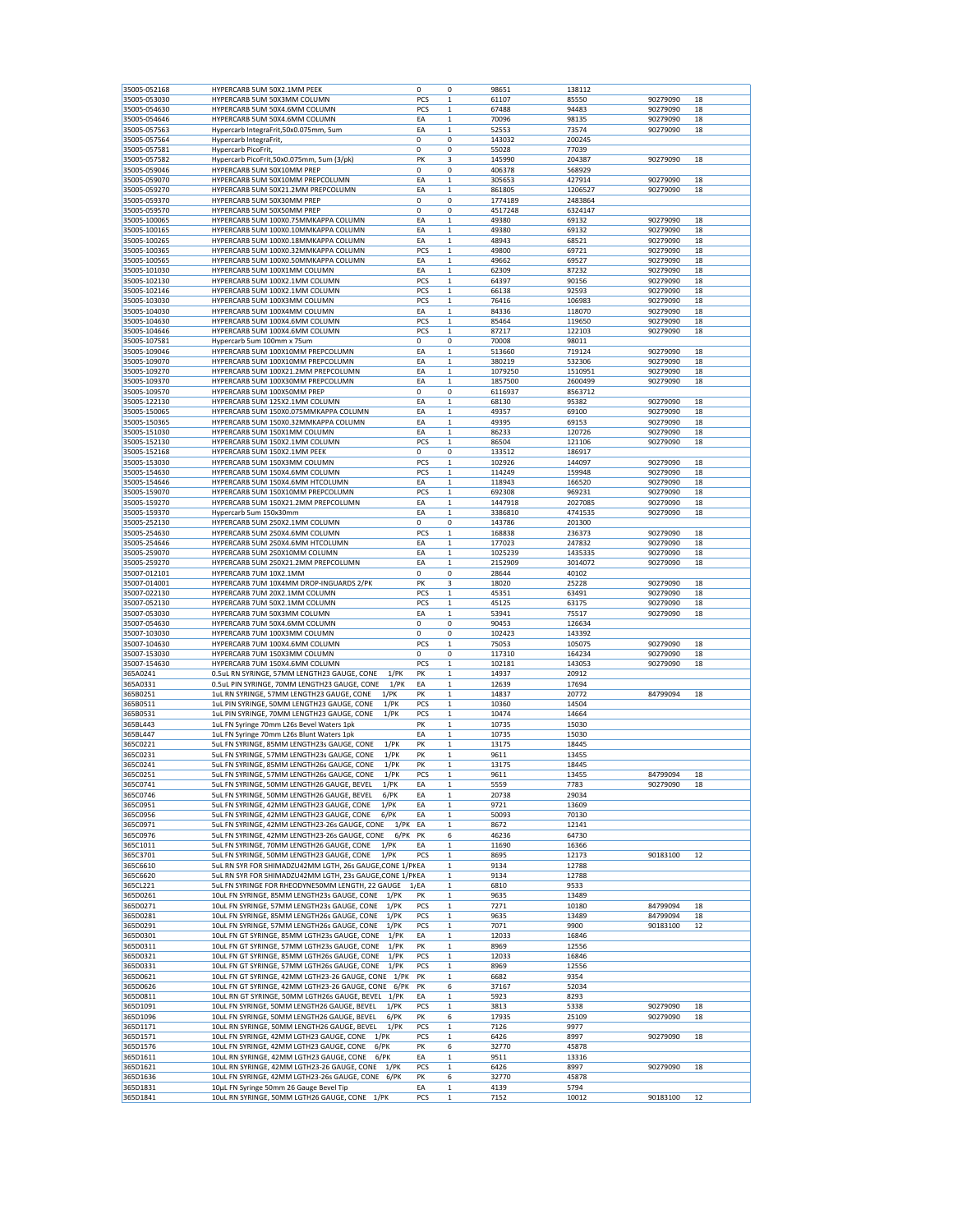| 35005-052168 | HYPERCARB 5UM 50X2.1MM PEEK                              |         | 0   | 0            | 98651   | 138112  |          |    |
|--------------|----------------------------------------------------------|---------|-----|--------------|---------|---------|----------|----|
| 35005-053030 | HYPERCARB 5UM 50X3MM COLUMN                              |         | PCS | 1            | 61107   | 85550   | 90279090 | 18 |
| 35005-054630 | HYPERCARB 5UM 50X4.6MM COLUMN                            |         | PCS | $\mathbf 1$  | 67488   | 94483   | 90279090 | 18 |
|              |                                                          |         |     |              |         |         |          |    |
| 35005-054646 | HYPERCARB 5UM 50X4.6MM COLUMN                            |         | EA  | 1            | 70096   | 98135   | 90279090 | 18 |
| 35005-057563 | Hypercarb IntegraFrit,50x0.075mm, 5um                    |         | EA  | 1            | 52553   | 73574   | 90279090 | 18 |
| 35005-057564 | Hypercarb IntegraFrit,                                   |         | 0   | 0            | 143032  | 200245  |          |    |
| 35005-057581 | Hypercarb PicoFrit,                                      |         | 0   | 0            | 55028   | 77039   |          |    |
| 35005-057582 | Hypercarb PicoFrit,50x0.075mm, 5um (3/pk)                |         | PK  | 3            | 145990  | 204387  | 90279090 | 18 |
| 35005-059046 | HYPERCARB 5UM 50X10MM PREP                               |         | 0   | 0            | 406378  | 568929  |          |    |
| 35005-059070 | HYPERCARB 5UM 50X10MM PREPCOLUMN                         |         | EA  | 1            | 305653  | 427914  | 90279090 | 18 |
| 35005-059270 | HYPERCARB 5UM 50X21.2MM PREPCOLUMN                       |         | ΕA  | 1            | 861805  | 1206527 | 90279090 | 18 |
|              |                                                          |         |     |              |         |         |          |    |
| 35005-059370 | HYPERCARB 5UM 50X30MM PREP                               |         | 0   | 0            | 1774189 | 2483864 |          |    |
| 35005-059570 | HYPERCARB 5UM 50X50MM PREP                               |         | 0   | 0            | 4517248 | 6324147 |          |    |
| 35005-100065 | HYPERCARB 5UM 100X0.75MMKAPPA COLUMN                     |         | ΕA  | $\mathbf 1$  | 49380   | 69132   | 90279090 | 18 |
| 35005-100165 | HYPERCARB 5UM 100X0.10MMKAPPA COLUMN                     |         | EA  | $\mathbf 1$  | 49380   | 69132   | 90279090 | 18 |
| 35005-100265 | HYPERCARB 5UM 100X0.18MMKAPPA COLUMN                     |         | EA  | 1            | 48943   | 68521   | 90279090 | 18 |
| 35005-100365 | HYPERCARB 5UM 100X0.32MMKAPPA COLUMN                     |         | PCS | $\mathbf 1$  | 49800   | 69721   | 90279090 | 18 |
| 35005-100565 | HYPERCARB 5UM 100X0.50MMKAPPA COLUMN                     |         | EA  | $\mathbf{1}$ | 49662   | 69527   | 90279090 | 18 |
| 35005-101030 | HYPERCARB 5UM 100X1MM COLUMN                             |         | ΕA  | $\mathbf 1$  | 62309   | 87232   | 90279090 | 18 |
| 35005-102130 |                                                          |         |     | $\mathbf 1$  |         |         | 90279090 |    |
|              | HYPERCARB 5UM 100X2.1MM COLUMN                           |         | PCS |              | 64397   | 90156   |          | 18 |
| 35005-102146 | HYPERCARB 5UM 100X2.1MM COLUMN                           |         | PCS | $\mathbf 1$  | 66138   | 92593   | 90279090 | 18 |
| 35005-103030 | HYPERCARB 5UM 100X3MM COLUMN                             |         | PCS | $\mathbf 1$  | 76416   | 106983  | 90279090 | 18 |
| 35005-104030 | HYPERCARB 5UM 100X4MM COLUMN                             |         | ΕA  | 1            | 84336   | 118070  | 90279090 | 18 |
| 35005-104630 | HYPERCARB 5UM 100X4.6MM COLUMN                           |         | PCS | 1            | 85464   | 119650  | 90279090 | 18 |
| 35005-104646 | HYPERCARB 5UM 100X4.6MM COLUMN                           |         | PCS | $\mathbf 1$  | 87217   | 122103  | 90279090 | 18 |
| 35005-107581 | Hypercarb 5um 100mm x 75um                               |         | 0   | 0            | 70008   | 98011   |          |    |
| 35005-109046 | HYPERCARB 5UM 100X10MM PREPCOLUMN                        |         | ΕA  | $\mathbf 1$  | 513660  | 719124  | 90279090 | 18 |
| 35005-109070 | HYPERCARB 5UM 100X10MM PREPCOLUMN                        |         | EA  | $\mathbf 1$  | 380219  | 532306  | 90279090 | 18 |
|              |                                                          |         |     |              |         |         |          |    |
| 35005-109270 | HYPERCARB 5UM 100X21.2MM PREPCOLUMN                      |         | EA  | $\mathbf 1$  | 1079250 | 1510951 | 90279090 | 18 |
| 35005-109370 | HYPERCARB 5UM 100X30MM PREPCOLUMN                        |         | EA  | 1            | 1857500 | 2600499 | 90279090 | 18 |
| 35005-109570 | HYPERCARB 5UM 100X50MM PREP                              |         | 0   | 0            | 6116937 | 8563712 |          |    |
| 35005-122130 | HYPERCARB 5UM 125X2.1MM COLUMN                           |         | EA  | $\mathbf 1$  | 68130   | 95382   | 90279090 | 18 |
| 35005-150065 | HYPERCARB 5UM 150X0.075MMKAPPA COLUMN                    |         | ΕA  | $\mathbf 1$  | 49357   | 69100   | 90279090 | 18 |
| 35005-150365 | HYPERCARB 5UM 150X0.32MMKAPPA COLUMN                     |         | EA  | $\mathbf 1$  | 49395   | 69153   | 90279090 | 18 |
| 35005-151030 | HYPERCARB 5UM 150X1MM COLUMN                             |         | EA  | 1            | 86233   | 120726  | 90279090 | 18 |
| 35005-152130 | HYPERCARB 5UM 150X2.1MM COLUMN                           |         | PCS | 1            | 86504   | 121106  | 90279090 | 18 |
| 35005-152168 | HYPERCARB 5UM 150X2.1MM PEEK                             |         | 0   | 0            | 133512  | 186917  |          |    |
|              |                                                          |         |     |              |         |         |          |    |
| 35005-153030 | HYPERCARB 5UM 150X3MM COLUMN                             |         | PCS | $\mathbf 1$  | 102926  | 144097  | 90279090 | 18 |
| 35005-154630 | HYPERCARB 5UM 150X4.6MM COLUMN                           |         | PCS | $\mathbf 1$  | 114249  | 159948  | 90279090 | 18 |
| 35005-154646 | HYPERCARB 5UM 150X4.6MM HTCOLUMN                         |         | EA  | $\mathbf 1$  | 118943  | 166520  | 90279090 | 18 |
| 35005-159070 | HYPERCARB 5UM 150X10MM PREPCOLUMN                        |         | PCS | 1            | 692308  | 969231  | 90279090 | 18 |
| 35005-159270 | HYPERCARB 5UM 150X21.2MM PREPCOLUMN                      |         | ΕA  | $\mathbf 1$  | 1447918 | 2027085 | 90279090 | 18 |
| 35005-159370 | Hypercarb 5um 150x30mm                                   |         | EA  | $\mathbf 1$  | 3386810 | 4741535 | 90279090 | 18 |
| 35005-252130 | HYPERCARB 5UM 250X2.1MM COLUMN                           |         | 0   | 0            | 143786  | 201300  |          |    |
| 35005-254630 | HYPERCARB 5UM 250X4.6MM COLUMN                           |         | PCS | 1            | 168838  | 236373  | 90279090 | 18 |
|              |                                                          |         |     |              |         |         |          |    |
| 35005-254646 | HYPERCARB 5UM 250X4.6MM HTCOLUMN                         |         | ΕA  | $\mathbf 1$  | 177023  | 247832  | 90279090 | 18 |
| 35005-259070 | HYPERCARB 5UM 250X10MM COLUMN                            |         | EA  | 1            | 1025239 | 1435335 | 90279090 | 18 |
| 35005-259270 | HYPERCARB 5UM 250X21.2MM PREPCOLUMN                      |         | ΕA  | 1            | 2152909 | 3014072 | 90279090 | 18 |
| 35007-012101 | HYPERCARB 7UM 10X2.1MM                                   |         | 0   | 0            | 28644   | 40102   |          |    |
| 35007-014001 | HYPERCARB 7UM 10X4MM DROP-INGUARDS 2/PK                  |         | PK  | 3            | 18020   | 25228   | 90279090 | 18 |
| 35007-022130 | HYPERCARB 7UM 20X2.1MM COLUMN                            |         | PCS | $\mathbf 1$  | 45351   | 63491   | 90279090 | 18 |
| 35007-052130 | HYPERCARB 7UM 50X2.1MM COLUMN                            |         | PCS | $\mathbf 1$  | 45125   | 63175   | 90279090 | 18 |
| 35007-053030 | HYPERCARB 7UM 50X3MM COLUMN                              |         | EA  | $\mathbf 1$  | 53941   | 75517   | 90279090 | 18 |
|              |                                                          |         |     |              |         |         |          |    |
| 35007-054630 | HYPERCARB 7UM 50X4.6MM COLUMN                            |         | 0   | 0            | 90453   | 126634  |          |    |
| 35007-103030 | HYPERCARB 7UM 100X3MM COLUMN                             |         | 0   | 0            | 102423  | 143392  |          |    |
| 35007-104630 | HYPERCARB 7UM 100X4.6MM COLUMN                           |         | PCS | $\mathbf 1$  | 75053   | 105075  | 90279090 | 18 |
| 35007-153030 | HYPERCARB 7UM 150X3MM COLUMN                             |         | 0   | 0            | 117310  | 164234  | 90279090 | 18 |
| 35007-154630 | HYPERCARB 7UM 150X4.6MM COLUMN                           |         | PCS | $\mathbf 1$  | 102181  | 143053  | 90279090 | 18 |
| 365A0241     | 0.5uL RN SYRINGE, 57MM LENGTH23 GAUGE, CONE              | 1/PK    | PK  | $\mathbf 1$  | 14937   | 20912   |          |    |
| 365A0331     | 0.5uL PIN SYRINGE, 70MM LENGTH23 GAUGE, CONE             | $1$ /PK | EA  | 1            | 12639   | 17694   |          |    |
| 365B0251     | 1uL RN SYRINGE, 57MM LENGTH23 GAUGE, CONE<br>$1$ /PK     |         | PK  | 1            | 14837   | 20772   | 84799094 | 18 |
|              | $1$ /PK                                                  |         | PCS | $\mathbf 1$  |         | 14504   |          |    |
| 365B0511     | 1uL PIN SYRINGE, 50MM LENGTH23 GAUGE, CONE               |         |     |              | 10360   |         |          |    |
| 365B0531     | $1$ /PK<br>1uL PIN SYRINGE, 70MM LENGTH23 GAUGE, CONE    |         | PCS | $\mathbf 1$  | 10474   | 14664   |          |    |
| 365BL443     | 1uL FN Syringe 70mm L26s Bevel Waters 1pk                |         | PΚ  | $\mathbf 1$  | 10735   | 15030   |          |    |
| 365BL447     | 1uL FN Syringe 70mm L26s Blunt Waters 1pk                |         | EA  | $\mathbf 1$  | 10735   | 15030   |          |    |
| 365C0221     | $1$ /PK<br>5uL FN SYRINGE, 85MM LENGTH23s GAUGE, CONE    |         | PK  | 1            | 13175   | 18445   |          |    |
| 365C0231     | 5uL FN SYRINGE, 57MM LENGTH23s GAUGE, CONE<br>$1$ /PK    |         | PK  | 1            | 9611    | 13455   |          |    |
| 365C0241     | 5uL FN SYRINGE, 85MM LENGTH26s GAUGE, CONE<br>$1$ /PK    |         | PK  | $\mathbf{1}$ | 13175   | 18445   |          |    |
| 365C0251     | 5uL FN SYRINGE, 57MM LENGTH26s GAUGE, CONE<br>1/PK       |         | PCS | $\mathbf 1$  | 9611    | 13455   | 84799094 | 18 |
| 365C0741     | 5uL FN SYRINGE, 50MM LENGTH26 GAUGE, BEVEL<br>$1$ /PK    |         | ΕA  | 1            | 5559    | 7783    | 90279090 | 18 |
| 365C0746     | 5uL FN SYRINGE, 50MM LENGTH26 GAUGE, BEVEL               |         |     | $\mathbf 1$  | 20738   | 29034   |          |    |
|              | $6$ /PK                                                  |         | ΕA  |              |         |         |          |    |
| 365C0951     | 5uL FN SYRINGE, 42MM LENGTH23 GAUGE, CONE<br>1/PK        |         | ΕA  | 1            | 9721    | 13609   |          |    |
| 365C0956     | $6$ /PK<br>5uL FN SYRINGE, 42MM LENGTH23 GAUGE, CONE     |         | ΕA  | 1            | 50093   | 70130   |          |    |
| 365C0971     | 5uL FN SYRINGE, 42MM LENGTH23-26s GAUGE, CONE            | 1/PK    | EA  | 1            | 8672    | 12141   |          |    |
| 365C0976     | 5uL FN SYRINGE, 42MM LENGTH23-26s GAUGE, CONE            | 6/PK    | PK  | 6            | 46236   | 64730   |          |    |
| 365C1011     | 5uL FN SYRINGE, 70MM LENGTH26 GAUGE, CONE<br>1/PK        |         | ΕA  | $\mathbf{1}$ | 11690   | 16366   |          |    |
| 365C3701     | 5uL FN SYRINGE, 50MM LENGTH23 GAUGE, CONE<br>1/PK        |         | PCS | $\mathbf 1$  | 8695    | 12173   | 90183100 | 12 |
| 365C6610     | 5uL RN SYR FOR SHIMADZU42MM LGTH, 26s GAUGE, CONE 1/PKEA |         |     | $\mathbf 1$  | 9134    | 12788   |          |    |
| 365C6620     | 5uL RN SYR FOR SHIMADZU42MM LGTH, 23s GAUGE, CONE 1/PKEA |         |     | $\mathbf 1$  | 9134    | 12788   |          |    |
| 365CL221     |                                                          |         |     |              |         |         |          |    |
|              | 5uL FN SYRINGE FOR RHEODYNE50MM LENGTH, 22 GAUGE         | 1/EA    |     | 1            | 6810    | 9533    |          |    |
| 365D0261     | 10uL FN SYRINGE, 85MM LENGTH23s GAUGE, CONE<br>$1$ /PK   |         | PK  | $\mathbf 1$  | 9635    | 13489   |          |    |
| 365D0271     | 10uL FN SYRINGE, 57MM LENGTH23s GAUGE, CONE<br>1/PK      |         | PCS | $\mathbf 1$  | 7271    | 10180   | 84799094 | 18 |
| 365D0281     | 10uL FN SYRINGE, 85MM LENGTH26s GAUGE, CONE<br>$1$ /PK   |         | PCS | $\mathbf 1$  | 9635    | 13489   | 84799094 | 18 |
| 365D0291     | 10uL FN SYRINGE, 57MM LENGTH26s GAUGE, CONE<br>$1$ /PK   |         | PCS | $\mathbf 1$  | 7071    | 9900    | 90183100 | 12 |
| 365D0301     | 10uL FN GT SYRINGE, 85MM LGTH23s GAUGE, CONE             | 1/PK    | EA  | 1            | 12033   | 16846   |          |    |
| 365D0311     | 10uL FN GT SYRINGE, 57MM LGTH23s GAUGE, CONE             | 1/PK    | PΚ  | 1            | 8969    | 12556   |          |    |
| 365D0321     | 10uL FN GT SYRINGE, 85MM LGTH26s GAUGE, CONE             | 1/PK    | PCS | $\mathbf 1$  | 12033   | 16846   |          |    |
|              |                                                          | 1/PK    | PCS |              |         |         |          |    |
| 365D0331     | 10uL FN GT SYRINGE, 57MM LGTH26s GAUGE, CONE             |         |     | $\mathbf 1$  | 8969    | 12556   |          |    |
| 365D0621     | 10uL FN GT SYRINGE, 42MM LGTH23-26 GAUGE, CONE           | 1/PK    | PK  | $\mathbf 1$  | 6682    | 9354    |          |    |
| 365D0626     | 10uL FN GT SYRINGE, 42MM LGTH23-26 GAUGE, CONE           | $6$ /PK | PK  | 6            | 37167   | 52034   |          |    |
| 365D0811     | 10uL RN GT SYRINGE, 50MM LGTH26s GAUGE, BEVEL            | 1/PK    | EA  | 1            | 5923    | 8293    |          |    |
| 365D1091     | 10uL FN SYRINGE, 50MM LENGTH26 GAUGE, BEVEL              | $1$ /PK | PCS | 1            | 3813    | 5338    | 90279090 | 18 |
| 365D1096     | 10uL FN SYRINGE, 50MM LENGTH26 GAUGE, BEVEL              | $6$ /PK | PK  | 6            | 17935   | 25109   | 90279090 | 18 |
| 365D1171     |                                                          |         | PCS | $\mathbf 1$  | 7126    | 9977    |          |    |
|              |                                                          |         |     |              |         |         |          | 18 |
|              | 10uL RN SYRINGE, 50MM LENGTH26 GAUGE, BEVEL<br>1/PK      |         |     |              |         |         |          |    |
| 365D1571     | 10uL FN SYRINGE, 42MM LGTH23 GAUGE, CONE<br>$1$ /PK      |         | PCS | 1            | 6426    | 8997    | 90279090 |    |
| 365D1576     | 10uL FN SYRINGE, 42MM LGTH23 GAUGE, CONE<br>$6$ / $PK$   |         | PK  | 6            | 32770   | 45878   |          |    |
| 365D1611     | 10uL RN SYRINGE, 42MM LGTH23 GAUGE, CONE<br>$6$ /PK      |         | EA  | 1            | 9511    | 13316   |          |    |
| 365D1621     | 10uL RN SYRINGE, 42MM LGTH23-26 GAUGE, CONE<br>$1$ /PK   |         | PCS | 1            | 6426    | 8997    | 90279090 | 18 |
| 365D1636     | 10uL FN SYRINGE, 42MM LGTH23-26s GAUGE, CONE<br>6/PK     |         | PK  | 6            | 32770   | 45878   |          |    |
| 365D1831     | 10µL FN Syringe 50mm 26 Gauge Bevel Tip                  |         | EA  | $\mathbf 1$  | 4139    | 5794    |          |    |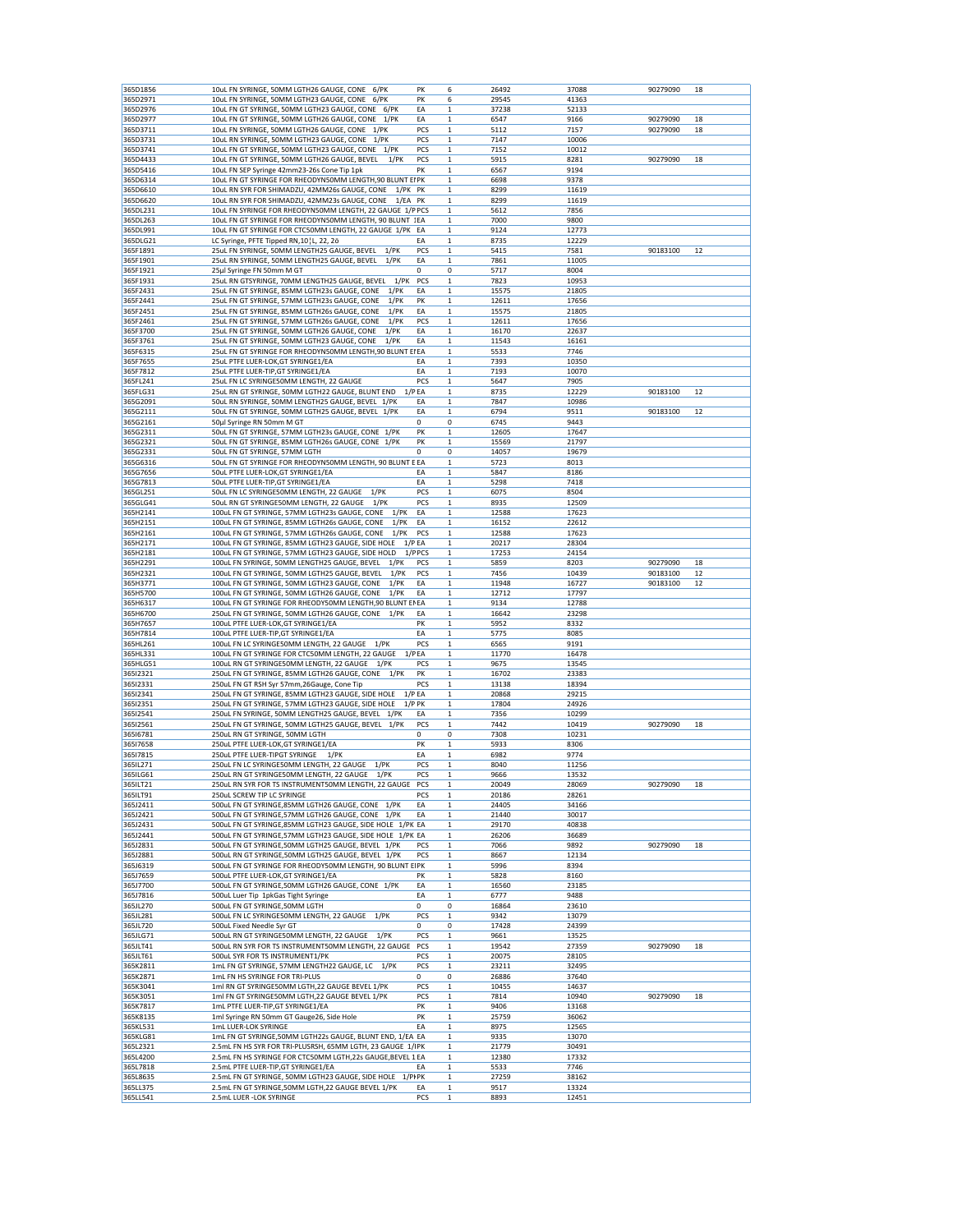| 365D1856<br>365D2971 |                                                               |                          |       |       |          |    |
|----------------------|---------------------------------------------------------------|--------------------------|-------|-------|----------|----|
|                      | 10uL FN SYRINGE, 50MM LGTH26 GAUGE, CONE 6/PK                 | PK<br>6                  | 26492 | 37088 | 90279090 | 18 |
|                      | 10uL FN SYRINGE, 50MM LGTH23 GAUGE, CONE<br>6/PK              | PK<br>6                  | 29545 | 41363 |          |    |
| 365D2976             | 10uL FN GT SYRINGE, 50MM LGTH23 GAUGE, CONE<br>6/PK           | EA<br>1                  | 37238 | 52133 |          |    |
| 365D2977             | 10uL FN GT SYRINGE, 50MM LGTH26 GAUGE, CONE<br>$1$ /PK        | EA<br>1                  | 6547  | 9166  | 90279090 | 18 |
|                      |                                                               |                          |       |       |          |    |
| 365D3711             | 10uL FN SYRINGE, 50MM LGTH26 GAUGE, CONE 1/PK                 | PCS<br>$\mathbf 1$       | 5112  | 7157  | 90279090 | 18 |
| 365D3731             | 10uL RN SYRINGE, 50MM LGTH23 GAUGE, CONE 1/PK                 | PCS<br>1                 | 7147  | 10006 |          |    |
| 365D3741             | 10uL FN GT SYRINGE, 50MM LGTH23 GAUGE, CONE 1/PK              | PCS<br>$\mathbf{1}$      | 7152  | 10012 |          |    |
| 365D4433             | 10uL FN GT SYRINGE, 50MM LGTH26 GAUGE, BEVEL 1/PK             | PCS<br>$\mathbf{1}$      | 5915  | 8281  | 90279090 | 18 |
| 365D5416             | 10uL FN SEP Syringe 42mm23-26s Cone Tip 1pk                   | PK<br>1                  | 6567  | 9194  |          |    |
| 365D6314             | 10uL FN GT SYRINGE FOR RHEODYN50MM LENGTH,90 BLUNT EIPK       |                          |       |       |          |    |
|                      |                                                               | 1                        | 6698  | 9378  |          |    |
| 365D6610             | 10uL RN SYR FOR SHIMADZU, 42MM26s GAUGE, CONE<br>1/PK         | PK<br>$\mathbf 1$        | 8299  | 11619 |          |    |
| 365D6620             | 10uL RN SYR FOR SHIMADZU, 42MM23s GAUGE, CONE<br>1/EA         | PK<br>1                  | 8299  | 11619 |          |    |
| 365DL231             | 10uL FN SYRINGE FOR RHEODYN50MM LENGTH, 22 GAUGE 1/P PCS      | 1                        | 5612  | 7856  |          |    |
| 365DL263             | 10uL FN GT SYRINGE FOR RHEODYN50MM LENGTH, 90 BLUNT 1EA       | 1                        | 7000  | 9800  |          |    |
|                      |                                                               |                          |       |       |          |    |
| 365DL991             | 10uL FN GT SYRINGE FOR CTC50MM LENGTH, 22 GAUGE 1/PK          | EA<br>1                  | 9124  | 12773 |          |    |
| 365DLG21             | LC Syringe, PFTE Tipped RN, 10   L, 22, 2ö                    | EA<br>$\mathbf{1}$       | 8735  | 12229 |          |    |
| 365F1891             | 25uL FN SYRINGE, 50MM LENGTH25 GAUGE, BEVEL<br>$1$ /PK        | PCS<br>1                 | 5415  | 7581  | 90183100 | 12 |
| 365F1901             | 25uL RN SYRINGE, 50MM LENGTH25 GAUGE, BEVEL<br>1/PK           | EA<br>$\mathbf{1}$       | 7861  | 11005 |          |    |
| 365F1921             | 25µl Syringe FN 50mm M GT                                     | 0<br>0                   | 5717  | 8004  |          |    |
| 365F1931             | 25uL RN GTSYRINGE, 70MM LENGTH25 GAUGE, BEVEL<br>1/PK         | PCS<br>1                 | 7823  | 10953 |          |    |
|                      |                                                               |                          |       |       |          |    |
| 365F2431             | 25uL FN GT SYRINGE, 85MM LGTH23s GAUGE, CONE<br>1/PK          | EA<br>$\mathbf{1}$       | 15575 | 21805 |          |    |
| 365F2441             | 25uL FN GT SYRINGE, 57MM LGTH23s GAUGE, CONE<br>$1$ /PK       | PK<br>1                  | 12611 | 17656 |          |    |
| 365F2451             | 25uL FN GT SYRINGE, 85MM LGTH26s GAUGE, CONE<br>1/PK          | EA<br>1                  | 15575 | 21805 |          |    |
| 365F2461             | 25uL FN GT SYRINGE, 57MM LGTH26s GAUGE, CONE<br>1/PK          | PCS<br>$\mathbf 1$       | 12611 | 17656 |          |    |
| 365F3700             | 1/PK<br>25uL FN GT SYRINGE, 50MM LGTH26 GAUGE, CONE           | EA<br>1                  | 16170 | 22637 |          |    |
|                      |                                                               |                          |       |       |          |    |
| 365F3761             | 25uL FN GT SYRINGE, 50MM LGTH23 GAUGE, CONE<br>$1$ /PK        | EA<br>1                  | 11543 | 16161 |          |    |
| 365F6315             | 25uL FN GT SYRINGE FOR RHEODYN50MM LENGTH,90 BLUNT EI EA      | $\mathbf 1$              | 5533  | 7746  |          |    |
| 365F7655             | 25uL PTFE LUER-LOK, GT SYRINGE1/EA                            | EA<br>1                  | 7393  | 10350 |          |    |
| 365F7812             | 25uL PTFE LUER-TIP, GT SYRINGE1/EA                            | EA<br>1                  | 7193  | 10070 |          |    |
| 365FL241             | 25uL FN LC SYRINGE50MM LENGTH, 22 GAUGE                       | PCS<br>$\mathbf 1$       | 5647  | 7905  |          |    |
|                      |                                                               |                          |       |       |          |    |
| 365FLG31             | 25uL RN GT SYRINGE, 50MM LGTH22 GAUGE, BLUNT END              | 1/PEA<br>1               | 8735  | 12229 | 90183100 | 12 |
| 365G2091             | 50uL RN SYRINGE, 50MM LENGTH25 GAUGE, BEVEL 1/PK              | EA<br>1                  | 7847  | 10986 |          |    |
| 365G2111             | 50uL FN GT SYRINGE, 50MM LGTH25 GAUGE, BEVEL 1/PK             | EA<br>$\mathbf{1}$       | 6794  | 9511  | 90183100 | 12 |
| 365G2161             | 50µl Syringe RN 50mm M GT                                     | 0<br>0                   | 6745  | 9443  |          |    |
| 365G2311             | 50uL FN GT SYRINGE, 57MM LGTH23s GAUGE, CONE 1/PK             | PK<br>1                  | 12605 | 17647 |          |    |
|                      |                                                               |                          |       |       |          |    |
| 365G2321             | 50uL FN GT SYRINGE, 85MM LGTH26s GAUGE, CONE 1/PK             | PK<br>$\mathbf 1$        | 15569 | 21797 |          |    |
| 365G2331             | 50uL FN GT SYRINGE, 57MM LGTH                                 | 0<br>0                   | 14057 | 19679 |          |    |
| 365G6316             | 50uL FN GT SYRINGE FOR RHEODYN50MM LENGTH, 90 BLUNT E EA      | $\mathbf{1}$             | 5723  | 8013  |          |    |
| 365G7656             | 50uL PTFE LUER-LOK, GT SYRINGE1/EA                            | EA<br>1                  | 5847  | 8186  |          |    |
|                      |                                                               |                          |       |       |          |    |
| 365G7813             | 50uL PTFE LUER-TIP, GT SYRINGE1/EA                            | EA<br>$\mathbf{1}$       | 5298  | 7418  |          |    |
| 365GL251             | 50uL FN LC SYRINGE50MM LENGTH, 22 GAUGE<br>1/PK               | PCS<br>$\mathbf{1}$      | 6075  | 8504  |          |    |
| 365GLG41             | 50uL RN GT SYRINGE50MM LENGTH, 22 GAUGE<br>$1$ /PK            | PCS<br>$\mathbf{1}$      | 8935  | 12509 |          |    |
| 365H2141             | 100uL FN GT SYRINGE, 57MM LGTH23s GAUGE, CONE<br>1/PK         | EA<br>1                  | 12588 | 17623 |          |    |
| 365H2151             | 100uL FN GT SYRINGE, 85MM LGTH26s GAUGE, CONE<br>1/PK         | EA<br>$\mathbf{1}$       | 16152 | 22612 |          |    |
|                      |                                                               |                          |       |       |          |    |
| 365H2161             | 100uL FN GT SYRINGE, 57MM LGTH26s GAUGE, CONE<br>1/PK         | PCS<br>1                 | 12588 | 17623 |          |    |
| 365H2171             | 100uL FN GT SYRINGE, 85MM LGTH23 GAUGE, SIDE HOLE<br>$1/P$ EA | $\mathbf{1}$             | 20217 | 28304 |          |    |
| 365H2181             | 100uL FN GT SYRINGE, 57MM LGTH23 GAUGE, SIDE HOLD             | 1/PPCS<br>1              | 17253 | 24154 |          |    |
| 365H2291             | 100uL FN SYRINGE, 50MM LENGTH25 GAUGE, BEVEL<br>$1$ / $PK$    | PCS<br>1                 | 5859  | 8203  | 90279090 | 18 |
| 365H2321             | 100uL FN GT SYRINGE, 50MM LGTH25 GAUGE, BEVEL<br>1/PK         | PCS<br>$\mathbf{1}$      | 7456  | 10439 | 90183100 | 12 |
|                      |                                                               |                          |       |       |          |    |
| 365H3771             | 100uL FN GT SYRINGE, 50MM LGTH23 GAUGE, CONE<br>$1$ /PK       | EA<br>1                  | 11948 | 16727 | 90183100 | 12 |
| 365H5700             | 100uL FN GT SYRINGE, 50MM LGTH26 GAUGE, CONE<br>$1$ / $PK$    | EA<br>1                  | 12712 | 17797 |          |    |
| 365H6317             | 100uL FN GT SYRINGE FOR RHEODY50MM LENGTH,90 BLUNT ENEA       | $\mathbf 1$              | 9134  | 12788 |          |    |
| 365H6700             | 250uL FN GT SYRINGE, 50MM LGTH26 GAUGE, CONE<br>$1$ /PK       | EA<br>1                  | 16642 | 23298 |          |    |
| 365H7657             | 100uL PTFE LUER-LOK, GT SYRINGE1/EA                           | PK<br>1                  | 5952  | 8332  |          |    |
| 365H7814             |                                                               |                          |       |       |          |    |
|                      |                                                               |                          |       |       |          |    |
|                      | 100uL PTFE LUER-TIP, GT SYRINGE1/EA                           | EA<br>$\mathbf 1$        | 5775  | 8085  |          |    |
| 365HL261             | 100uL FN LC SYRINGE50MM LENGTH, 22 GAUGE<br>$1$ / $PK$        | PCS<br>1                 | 6565  | 9191  |          |    |
| 365HL331             | 100uL FN GT SYRINGE FOR CTC50MM LENGTH, 22 GAUGE<br>1/PEA     | 1                        | 11770 | 16478 |          |    |
|                      |                                                               | $\mathbf{1}$             |       |       |          |    |
| 365HLG51             | 100uL RN GT SYRINGE50MM LENGTH, 22 GAUGE<br>$1$ /PK           | PCS                      | 9675  | 13545 |          |    |
| 36512321             | 250uL FN GT SYRINGE, 85MM LGTH26 GAUGE, CONE<br>$1$ /PK       | PK<br>1                  | 16702 | 23383 |          |    |
| 36512331             | 250uL FN GT RSH Syr 57mm, 26Gauge, Cone Tip                   | PCS<br>1                 | 13138 | 18394 |          |    |
| 36512341             | 250uL FN GT SYRINGE, 85MM LGTH23 GAUGE, SIDE HOLE<br>$1/P$ EA | $\mathbf 1$              | 20868 | 29215 |          |    |
| 36512351             | 250uL FN GT SYRINGE, 57MM LGTH23 GAUGE, SIDE HOLE             | $1/P$ PK<br>$\mathbf{1}$ | 17804 | 24926 |          |    |
|                      |                                                               |                          |       |       |          |    |
| 36512541             | 250uL FN SYRINGE, 50MM LENGTH25 GAUGE, BEVEL 1/PK             | EA<br>1                  | 7356  | 10299 |          |    |
| 36512561             | 250uL FN GT SYRINGE, 50MM LGTH25 GAUGE, BEVEL 1/PK            | PCS<br>1                 | 7442  | 10419 | 90279090 | 18 |
| 36516781             | 250uL RN GT SYRINGE, 50MM LGTH                                | 0<br>0                   | 7308  | 10231 |          |    |
| 36517658             | 250uL PTFE LUER-LOK, GT SYRINGE1/EA                           | PK<br>$\mathbf{1}$       | 5933  | 8306  |          |    |
| 36517815             | 250uL PTFE LUER-TIPGT SYRINGE<br>$1$ /PK                      | EA<br>$\mathbf{1}$       | 6982  | 9774  |          |    |
|                      |                                                               | $\mathbf{1}$             |       |       |          |    |
| 365IL271             | 250uL FN LC SYRINGE50MM LENGTH, 22 GAUGE<br>1/PK              | PCS                      | 8040  | 11256 |          |    |
| 365ILG61             | 250uL RN GT SYRINGE50MM LENGTH, 22 GAUGE<br>$1$ /PK           | PCS<br>$\mathbf{1}$      | 9666  | 13532 |          |    |
| 365ILT21             | 250uL RN SYR FOR TS INSTRUMENT50MM LENGTH, 22 GAUGE PCS       | $\mathbf{1}$             | 20049 | 28069 | 90279090 | 18 |
| 365ILT91             | 250uL SCREW TIP LC SYRINGE                                    | $\,1\,$<br>PCS           | 20186 | 28261 |          |    |
| 365J2411             | 500uL FN GT SYRINGE, 85MM LGTH26 GAUGE, CONE 1/PK             | EA<br>1                  | 24405 | 34166 |          |    |
| 365J2421             | 500uL FN GT SYRINGE, 57MM LGTH26 GAUGE, CONE 1/PK             | EA<br>$\mathbf 1$        | 21440 | 30017 |          |    |
| 365J2431             | 500uL FN GT SYRINGE,85MM LGTH23 GAUGE, SIDE HOLE 1/PK EA      | $\mathbf 1$              | 29170 | 40838 |          |    |
|                      |                                                               |                          |       |       |          |    |
| 365J2441             | 500uL FN GT SYRINGE,57MM LGTH23 GAUGE, SIDE HOLE 1/PK EA      | 1                        | 26206 | 36689 |          |    |
| 365J2831             | 500uL FN GT SYRINGE, 50MM LGTH25 GAUGE, BEVEL 1/PK            | PCS<br>$\mathbf{1}$      | 7066  | 9892  | 90279090 | 18 |
| 365J2881             | 500uL RN GT SYRINGE, 50MM LGTH25 GAUGE, BEVEL 1/PK            | PCS<br>$\,$ 1            | 8667  | 12134 |          |    |
| 365J6319             | 500uL FN GT SYRINGE FOR RHEODY50MM LENGTH, 90 BLUNT EIPK      | $\mathbf{1}$             | 5996  | 8394  |          |    |
| 365J7659             | 500uL PTFE LUER-LOK, GT SYRINGE1/EA                           | PK<br>1                  | 5828  | 8160  |          |    |
|                      | 500uL FN GT SYRINGE,50MM LGTH26 GAUGE, CONE 1/PK              | $\mathbf 1$              |       | 23185 |          |    |
| 365J7700             |                                                               | EA                       | 16560 |       |          |    |
| 365J7816             | 500uL Luer Tip 1pkGas Tight Syringe                           | EA<br>1                  | 6777  | 9488  |          |    |
| 365JL270             | 500uL FN GT SYRINGE,50MM LGTH                                 | 0<br>0                   | 16864 | 23610 |          |    |
| 365JL281             | 500uL FN LC SYRINGE50MM LENGTH, 22 GAUGE<br>$1$ /PK           | PCS<br>$\mathbf 1$       | 9342  | 13079 |          |    |
| 365JL720             | 500uL Fixed Needle Syr GT                                     | 0<br>0                   | 17428 | 24399 |          |    |
| 365JLG71             | 500uL RN GT SYRINGE50MM LENGTH, 22 GAUGE<br>$1$ /PK           | PCS<br>1                 | 9661  | 13525 |          |    |
|                      |                                                               |                          |       |       |          |    |
| 365JLT41             | 500uL RN SYR FOR TS INSTRUMENT50MM LENGTH, 22 GAUGE           | PCS<br>$\mathbf 1$       | 19542 | 27359 | 90279090 | 18 |
| 365JLT61             | 500uL SYR FOR TS INSTRUMENT1/PK                               | PCS<br>1                 | 20075 | 28105 |          |    |
| 365K2811             | 1mL FN GT SYRINGE, 57MM LENGTH22 GAUGE, LC<br>$1$ /PK         | PCS<br>1                 | 23211 | 32495 |          |    |
| 365K2871             | 1mL FN HS SYRINGE FOR TRI-PLUS                                | 0<br>0                   | 26886 | 37640 |          |    |
| 365K3041             | 1ml RN GT SYRINGE50MM LGTH,22 GAUGE BEVEL 1/PK                | PCS<br>$\mathbf{1}$      |       | 14637 |          |    |
|                      |                                                               |                          | 10455 |       |          |    |
| 365K3051             | 1ml FN GT SYRINGE50MM LGTH, 22 GAUGE BEVEL 1/PK               | PCS<br>1                 | 7814  | 10940 | 90279090 | 18 |
| 365K7817             | 1mL PTFE LUER-TIP, GT SYRINGE1/EA                             | PK<br>$\mathbf{1}$       | 9406  | 13168 |          |    |
| 365K8135             | 1ml Syringe RN 50mm GT Gauge26, Side Hole                     | PK<br>$\mathbf 1$        | 25759 | 36062 |          |    |
| 365KL531             | 1mL LUER-LOK SYRINGE                                          | EA<br>$\mathbf{1}$       | 8975  | 12565 |          |    |
| 365KLG81             | 1mL FN GT SYRINGE,50MM LGTH22s GAUGE, BLUNT END, 1/EA EA      | $\mathbf{1}$             | 9335  | 13070 |          |    |
|                      |                                                               |                          |       | 30491 |          |    |
| 365L2321             | 2.5mL FN HS SYR FOR TRI-PLUSRSH, 65MM LGTH, 23 GAUGE 1/IPK    | $\,$ 1                   | 21779 |       |          |    |
| 365L4200             | 2.5mL FN HS SYRINGE FOR CTC50MM LGTH,22s GAUGE,BEVEL 1 EA     | 1                        | 12380 | 17332 |          |    |
| 365L7818             | 2.5mL PTFE LUER-TIP, GT SYRINGE1/EA                           | EA<br>$\mathbf{1}$       | 5533  | 7746  |          |    |
| 365L8635             | 2.5mL FN GT SYRINGE, 50MM LGTH23 GAUGE, SIDE HOLE<br>1/PIPK   | $\mathbf 1$              | 27259 | 38162 |          |    |
| 365LL375             | 2.5mL FN GT SYRINGE, 50MM LGTH, 22 GAUGE BEVEL 1/PK           | EA<br>$\mathbf 1$        | 9517  | 13324 |          |    |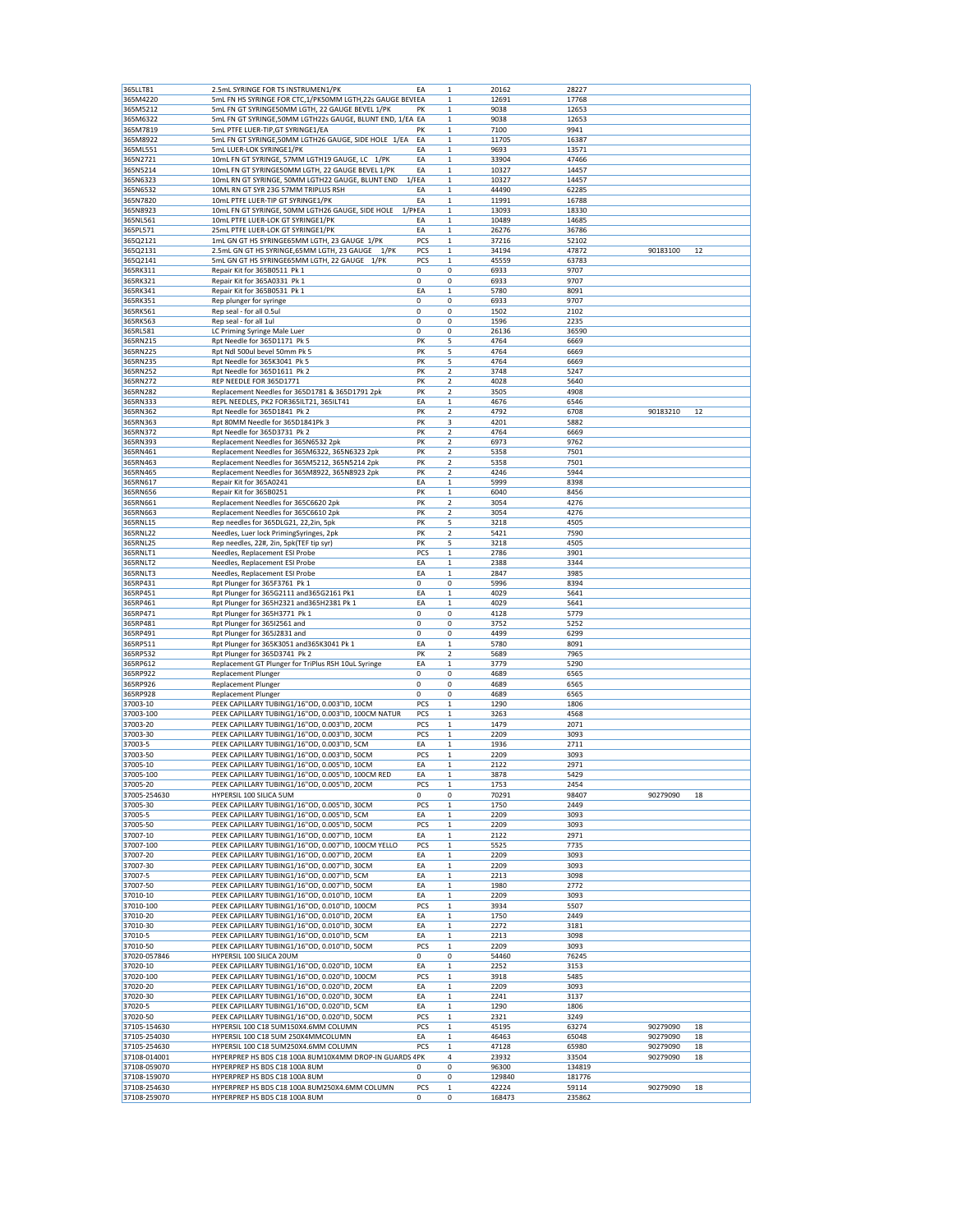| 365LLT81                     | 2.5mL SYRINGE FOR TS INSTRUMEN1/PK                                             | EA       | $\mathbf 1$             | 20162           | 28227           |          |    |
|------------------------------|--------------------------------------------------------------------------------|----------|-------------------------|-----------------|-----------------|----------|----|
| 365M4220                     | 5mL FN HS SYRINGE FOR CTC,1/PK50MM LGTH,22s GAUGE BEVIEA                       |          | $\mathbf 1$             | 12691           | 17768           |          |    |
| 365M5212                     | 5mL FN GT SYRINGE50MM LGTH, 22 GAUGE BEVEL 1/PK                                | PK       | 1                       | 9038            | 12653           |          |    |
|                              |                                                                                |          |                         |                 |                 |          |    |
| 365M6322                     | 5mL FN GT SYRINGE,50MM LGTH22s GAUGE, BLUNT END, 1/EA EA                       |          | $\mathbf 1$             | 9038            | 12653           |          |    |
| 365M7819                     | 5mL PTFE LUER-TIP, GT SYRINGE1/EA                                              | PK       | $\mathbf 1$             | 7100            | 9941            |          |    |
| 365M8922                     | 5mL FN GT SYRINGE, 50MM LGTH26 GAUGE, SIDE HOLE 1/EA                           | EA       | 1                       | 11705           | 16387           |          |    |
| 365ML551                     | 5mL LUER-LOK SYRINGE1/PK                                                       | EA       | $\mathbf 1$             | 9693            | 13571           |          |    |
| 365N2721                     | 10mL FN GT SYRINGE, 57MM LGTH19 GAUGE, LC 1/PK                                 | EA       | $\mathbf 1$             | 33904           | 47466           |          |    |
| 365N5214                     | 10mL FN GT SYRINGE50MM LGTH, 22 GAUGE BEVEL 1/PK                               | ΕA       | $\mathbf 1$             | 10327           | 14457           |          |    |
| 365N6323                     | 10mL RN GT SYRINGE, 50MM LGTH22 GAUGE, BLUNT END                               | $1$ / FA | 1                       | 10327           | 14457           |          |    |
| 365N6532                     | 10ML RN GT SYR 23G 57MM TRIPLUS RSH                                            | EA       | $\mathbf 1$             | 44490           | 62285           |          |    |
| 365N7820                     | 10mL PTFE LUER-TIP GT SYRINGE1/PK                                              | EA       | 1                       | 11991           | 16788           |          |    |
| 365N8923                     | 10mL FN GT SYRINGE, 50MM LGTH26 GAUGE, SIDE HOLE<br>1/PIEA                     |          | $\mathbf 1$             | 13093           | 18330           |          |    |
|                              |                                                                                |          |                         |                 |                 |          |    |
| 365NL561                     | 10mL PTFE LUER-LOK GT SYRINGE1/PK                                              | EA       | $\mathbf{1}$            | 10489           | 14685           |          |    |
| 365PL571                     | 25mL PTFE LUER-LOK GT SYRINGE1/PK                                              | ΕA       | 1                       | 26276           | 36786           |          |    |
| 365Q2121                     | 1mL GN GT HS SYRINGE65MM LGTH, 23 GAUGE 1/PK                                   | PCS      | 1                       | 37216           | 52102           |          |    |
| 365Q2131                     | 2.5mL GN GT HS SYRINGE, 65MM LGTH, 23 GAUGE 1/PK                               | PCS      | $\mathbf 1$             | 34194           | 47872           | 90183100 | 12 |
| 365Q2141                     | 5mL GN GT HS SYRINGE65MM LGTH, 22 GAUGE 1/PK                                   | PCS      | 1                       | 45559           | 63783           |          |    |
| 365RK311                     | Repair Kit for 365B0511 Pk 1                                                   | 0        | 0                       | 6933            | 9707            |          |    |
| 365RK321                     | Repair Kit for 365A0331 Pk 1                                                   | 0        | 0                       | 6933            | 9707            |          |    |
| 365RK341                     | Repair Kit for 365B0531 Pk 1                                                   | EA       | $\mathbf 1$             | 5780            | 8091            |          |    |
| 365RK351                     | Rep plunger for syringe                                                        | 0        | 0                       | 6933            | 9707            |          |    |
|                              |                                                                                | 0        |                         | 1502            | 2102            |          |    |
| 365RK561                     | Rep seal - for all 0.5ul                                                       |          | 0                       |                 |                 |          |    |
| 365RK563                     | Rep seal - for all 1ul                                                         | 0        | 0                       | 1596            | 2235            |          |    |
| 365RL581                     | LC Priming Syringe Male Luer                                                   | 0        | 0                       | 26136           | 36590           |          |    |
| 365RN215                     | Rpt Needle for 365D1171 Pk 5                                                   | PK       | 5                       | 4764            | 6669            |          |    |
| 365RN225                     | Rpt Ndl 500ul bevel 50mm Pk 5                                                  | PK       | 5                       | 4764            | 6669            |          |    |
| 365RN235                     | Rpt Needle for 365K3041 Pk 5                                                   | PK       | 5                       | 4764            | 6669            |          |    |
| 365RN252                     | Rpt Needle for 365D1611 Pk 2                                                   | PK       | $\overline{\mathbf{c}}$ | 3748            | 5247            |          |    |
| 365RN272                     | REP NEEDLE FOR 365D1771                                                        | PK       | $\overline{\mathbf{2}}$ | 4028            | 5640            |          |    |
| 365RN282                     | Replacement Needles for 365D1781 & 365D1791 2pk                                | PK       | $\overline{\mathbf{c}}$ | 3505            | 4908            |          |    |
| 365RN333                     | REPL NEEDLES, PK2 FOR365ILT21, 365ILT41                                        | EA       | 1                       | 4676            | 6546            |          |    |
| 365RN362                     | Rpt Needle for 365D1841 Pk 2                                                   | PK       | $\overline{\mathbf{2}}$ | 4792            | 6708            | 90183210 | 12 |
|                              |                                                                                |          |                         |                 |                 |          |    |
| 365RN363                     | Rpt 80MM Needle for 365D1841Pk 3                                               | PK       | 3                       | 4201            | 5882            |          |    |
| 365RN372                     | Rpt Needle for 365D3731 Pk 2                                                   | PK       | 2                       | 4764            | 6669            |          |    |
| 365RN393                     | Replacement Needles for 365N6532 2pk                                           | PK       | $\overline{\mathbf{2}}$ | 6973            | 9762            |          |    |
| 365RN461                     | Replacement Needles for 365M6322, 365N6323 2pk                                 | PK       | 2                       | 5358            | 7501            |          |    |
| 365RN463                     | Replacement Needles for 365M5212, 365N5214 2pk                                 | PK       | 2                       | 5358            | 7501            |          |    |
| 365RN465                     | Replacement Needles for 365M8922, 365N8923 2pk                                 | PK       | $\overline{\mathbf{2}}$ | 4246            | 5944            |          |    |
| 365RN617                     | Repair Kit for 365A0241                                                        | EA       | $\mathbf 1$             | 5999            | 8398            |          |    |
|                              |                                                                                |          |                         |                 |                 |          |    |
| 365RN656                     | Repair Kit for 365B0251                                                        | PK       | 1                       | 6040            | 8456            |          |    |
| 365RN661                     | Replacement Needles for 365C6620 2pk                                           | PK       | $\mathbf 2$             | 3054            | 4276            |          |    |
| 365RN663                     | Replacement Needles for 365C6610 2pk                                           | PK       | $\overline{\mathbf{2}}$ | 3054            | 4276            |          |    |
| 365RNL15                     | Rep needles for 365DLG21, 22,2in, 5pk                                          | PΚ       | 5                       | 3218            | 4505            |          |    |
| 365RNL22                     | Needles, Luer lock PrimingSyringes, 2pk                                        | PK       | $\overline{\mathbf{2}}$ | 5421            | 7590            |          |    |
| 365RNL25                     | Rep needles, 22#, 2in, 5pk(TEF tip syr)                                        | PK       | 5                       | 3218            | 4505            |          |    |
| 365RNLT1                     | Needles, Replacement ESI Probe                                                 | PCS      | $\mathbf 1$             | 2786            | 3901            |          |    |
| 365RNLT2                     | Needles, Replacement ESI Probe                                                 | EA       | $\mathbf 1$             | 2388            | 3344            |          |    |
| 365RNLT3                     | Needles, Replacement ESI Probe                                                 | EA       | $\mathbf 1$             | 2847            | 3985            |          |    |
|                              |                                                                                | 0        |                         | 5996            | 8394            |          |    |
| 365RP431                     | Rpt Plunger for 365F3761 Pk 1                                                  |          | 0                       |                 |                 |          |    |
| 365RP451                     | Rpt Plunger for 365G2111 and 365G2161 Pk1                                      | EA       | $\mathbf 1$             | 4029            | 5641            |          |    |
| 365RP461                     | Rpt Plunger for 365H2321 and365H2381 Pk 1                                      | EA       | $\mathbf 1$             | 4029            | 5641            |          |    |
| 365RP471                     | Rpt Plunger for 365H3771 Pk 1                                                  | 0        | 0                       | 4128            | 5779            |          |    |
| 365RP481                     | Rpt Plunger for 36512561 and                                                   | 0        | 0                       | 3752            | 5252            |          |    |
| 365RP491                     | Rpt Plunger for 365J2831 and                                                   | 0        | 0                       | 4499            | 6299            |          |    |
| 365RP511                     | Rpt Plunger for 365K3051 and 365K3041 Pk 1                                     | EA       | 1                       | 5780            | 8091            |          |    |
| 365RP532                     | Rpt Plunger for 365D3741 Pk 2                                                  | PK       | 2                       | 5689            | 7965            |          |    |
| 365RP612                     | Replacement GT Plunger for TriPlus RSH 10uL Syringe                            | EA       | $\mathbf 1$             | 3779            | 5290            |          |    |
|                              |                                                                                | 0        |                         |                 |                 |          |    |
| 365RP922                     | Replacement Plunger                                                            |          | 0                       | 4689            | 6565            |          |    |
| 365RP926                     | <b>Replacement Plunger</b>                                                     | 0        | 0                       | 4689            | 6565            |          |    |
| 365RP928                     | Replacement Plunger                                                            | 0        | 0                       | 4689            | 6565            |          |    |
| 37003-10                     | PEEK CAPILLARY TUBING1/16"OD, 0.003"ID, 10CM                                   | PCS      | 1                       | 1290            | 1806            |          |    |
| 37003-100                    | PEEK CAPILLARY TUBING1/16"OD, 0.003"ID, 100CM NATUR                            | PCS      | $\mathbf 1$             | 3263            | 4568            |          |    |
| 37003-20                     | PEEK CAPILLARY TUBING1/16"OD, 0.003"ID, 20CM                                   | PCS      | $\mathbf{1}$            | 1479            | 2071            |          |    |
| 37003-30                     | PEEK CAPILLARY TUBING1/16"OD, 0.003"ID, 30CM                                   | PCS      | $\mathbf 1$             | 2209            | 3093            |          |    |
| 37003-5                      | PEEK CAPILLARY TUBING1/16"OD, 0.003"ID, 5CM                                    | EA       | 1                       | 1936            | 2711            |          |    |
| 37003-50                     | PEEK CAPILLARY TUBING1/16"OD, 0.003"ID, 50CM                                   | PCS      | $\mathbf 1$             | 2209            | 3093            |          |    |
|                              |                                                                                |          |                         |                 |                 |          |    |
| 37005-10                     | PEEK CAPILLARY TUBING1/16"OD, 0.005"ID, 10CM                                   | EA       | 1                       | 2122            | 2971            |          |    |
| 37005-100                    | PEEK CAPILLARY TUBING1/16"OD, 0.005"ID, 100CM RED                              | EA       | $\mathbf{1}$            | 3878            | 5429            |          |    |
| 37005-20                     | PEEK CAPILLARY TUBING1/16"OD, 0.005"ID, 20CM                                   | PCS      | $\mathbf{1}$            | 1753            | 2454            |          |    |
| 37005-254630                 | HYPERSIL 100 SILICA 5UM                                                        | 0        | 0                       | 70291           | 98407           | 90279090 | 18 |
| 37005-30                     | PEEK CAPILLARY TUBING1/16"OD, 0.005"ID, 30CM                                   | PCS      | 1                       | 1750            | 2449            |          |    |
| 37005-5                      | PEEK CAPILLARY TUBING1/16"OD, 0.005"ID, 5CM                                    | EA       | $\mathbf 1$             | 2209            | 3093            |          |    |
| 37005-50                     | PEEK CAPILLARY TUBING1/16"OD, 0.005"ID, 50CM                                   | PCS      | $\mathbf 1$             | 2209            | 3093            |          |    |
| 37007-10                     | PEEK CAPILLARY TUBING1/16"OD, 0.007"ID, 10CM                                   | EA       | 1                       | 2122            | 2971            |          |    |
| 37007-100                    | PEEK CAPILLARY TUBING1/16"OD, 0.007"ID, 100CM YELLO                            | PCS      | $\mathbf 1$             | 5525            | 7735            |          |    |
| 37007-20                     | PEEK CAPILLARY TUBING1/16"OD, 0.007"ID, 20CM                                   | ΕA       | $\mathbf 1$             | 2209            | 3093            |          |    |
| 37007-30                     | PEEK CAPILLARY TUBING1/16"OD, 0.007"ID, 30CM                                   | ΕA       | 1                       | 2209            | 3093            |          |    |
|                              |                                                                                |          |                         |                 |                 |          |    |
| 37007-5                      | PEEK CAPILLARY TUBING1/16"OD, 0.007"ID, 5CM                                    | ΕA       | $\mathbf 1$             | 2213            | 3098            |          |    |
| 37007-50                     | PEEK CAPILLARY TUBING1/16"OD, 0.007"ID, 50CM                                   | ΕA       | $\mathbf 1$             | 1980            | 2772            |          |    |
| 37010-10                     | PEEK CAPILLARY TUBING1/16"OD, 0.010"ID, 10CM                                   | EA       | $\mathbf 1$             | 2209            | 3093            |          |    |
| 37010-100                    | PEEK CAPILLARY TUBING1/16"OD, 0.010"ID, 100CM                                  | PCS      | $\mathbf 1$             | 3934            | 5507            |          |    |
| 37010-20                     | PEEK CAPILLARY TUBING1/16"OD, 0.010"ID, 20CM                                   | ΕA       | $\mathbf 1$             | 1750            | 2449            |          |    |
| 37010-30                     | PEEK CAPILLARY TUBING1/16"OD, 0.010"ID, 30CM                                   | ΕA       | 1                       | 2272            | 3181            |          |    |
| 37010-5                      |                                                                                | EA       | 1                       | 2213            | 3098            |          |    |
| 37010-50                     |                                                                                |          |                         |                 | 3093            |          |    |
| 37020-057846                 | PEEK CAPILLARY TUBING1/16"OD, 0.010"ID, 5CM                                    |          |                         |                 |                 |          |    |
|                              | PEEK CAPILLARY TUBING1/16"OD, 0.010"ID, 50CM                                   | PCS      | $\mathbf 1$             | 2209            |                 |          |    |
|                              | HYPERSIL 100 SILICA 20UM                                                       | 0        | 0                       | 54460           | 76245           |          |    |
| 37020-10                     | PEEK CAPILLARY TUBING1/16"OD, 0.020"ID, 10CM                                   | EA       | $\mathbf 1$             | 2252            | 3153            |          |    |
| 37020-100                    | PEEK CAPILLARY TUBING1/16"OD, 0.020"ID, 100CM                                  | PCS      | $\mathbf{1}$            | 3918            | 5485            |          |    |
| 37020-20                     | PEEK CAPILLARY TUBING1/16"OD, 0.020"ID, 20CM                                   | ΕA       | $\mathbf 1$             | 2209            | 3093            |          |    |
| 37020-30                     | PEEK CAPILLARY TUBING1/16"OD, 0.020"ID, 30CM                                   | EA       | 1                       | 2241            | 3137            |          |    |
| 37020-5                      | PEEK CAPILLARY TUBING1/16"OD, 0.020"ID, 5CM                                    | EA       | $\mathbf{1}$            | 1290            | 1806            |          |    |
| 37020-50                     | PEEK CAPILLARY TUBING1/16"OD, 0.020"ID, 50CM                                   | PCS      |                         | 2321            | 3249            |          |    |
|                              |                                                                                |          | 1                       |                 |                 |          | 18 |
| 37105-154630                 | HYPERSIL 100 C18 5UM150X4.6MM COLUMN                                           | PCS      | 1                       | 45195           | 63274           | 90279090 |    |
| 37105-254030                 | HYPERSIL 100 C18 5UM 250X4MMCOLUMN                                             | EA       | $\mathbf 1$             | 46463           | 65048           | 90279090 | 18 |
| 37105-254630                 | HYPERSIL 100 C18 5UM250X4.6MM COLUMN                                           | PCS      | $\mathbf 1$             | 47128           | 65980           | 90279090 | 18 |
| 37108-014001                 | HYPERPREP HS BDS C18 100A 8UM10X4MM DROP-IN GUARDS 4 PK                        |          | 4                       | 23932           | 33504           | 90279090 | 18 |
| 37108-059070                 | HYPERPREP HS BDS C18 100A 8UM                                                  | 0        | 0                       | 96300           | 134819          |          |    |
| 37108-159070                 | HYPERPREP HS BDS C18 100A 8UM                                                  | 0        | 0                       | 129840          | 181776          |          |    |
| 37108-254630<br>37108-259070 | HYPERPREP HS BDS C18 100A 8UM250X4.6MM COLUMN<br>HYPERPREP HS BDS C18 100A 8UM | PCS      | 1                       | 42224<br>168473 | 59114<br>235862 | 90279090 | 18 |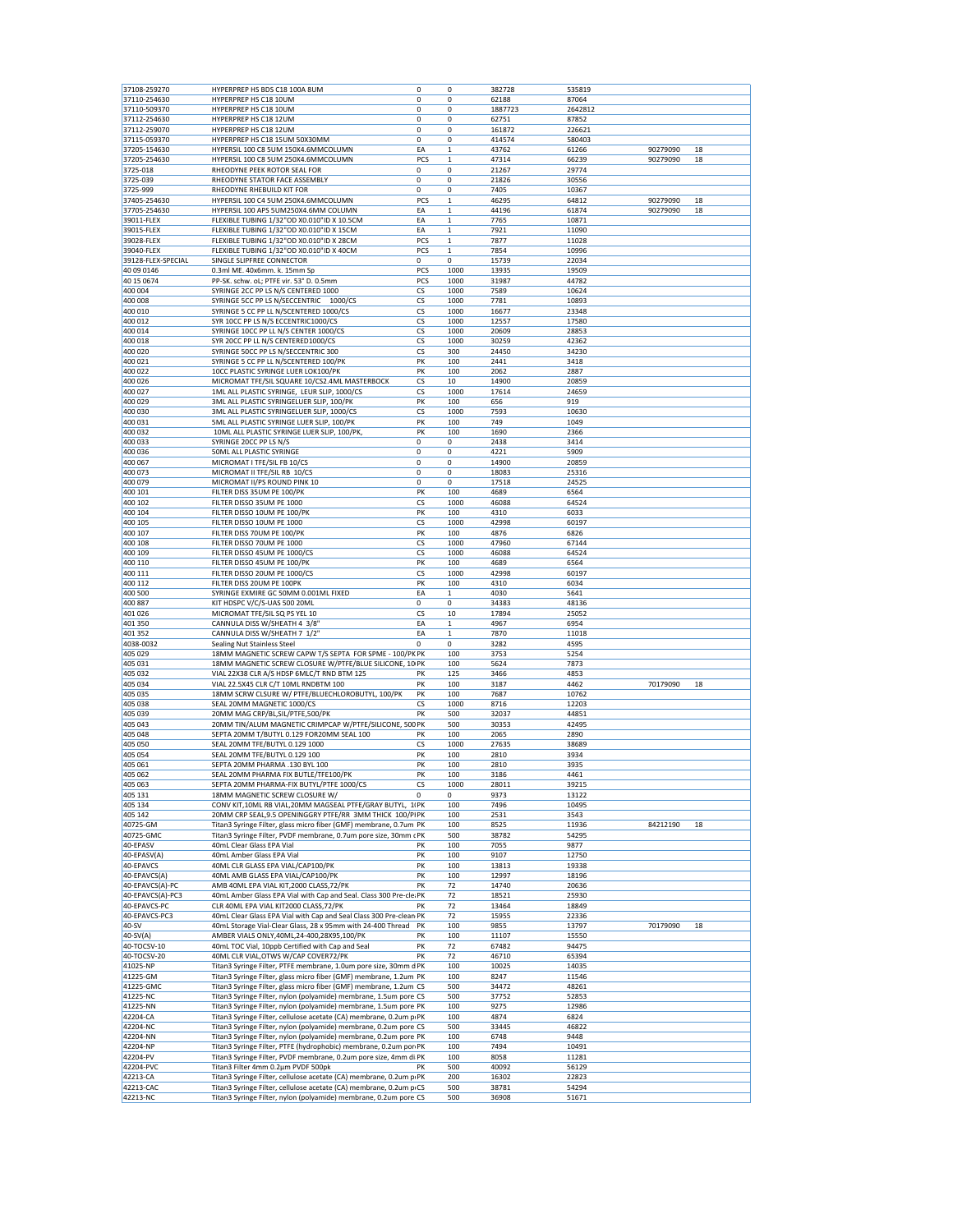| 37108-259270                     | HYPERPREP HS BDS C18 100A 8UM                                                                                                          | 0   | 0            | 382728  | 535819  |          |    |
|----------------------------------|----------------------------------------------------------------------------------------------------------------------------------------|-----|--------------|---------|---------|----------|----|
| 37110-254630                     | HYPERPREP HS C18 10UM                                                                                                                  | 0   | 0            | 62188   | 87064   |          |    |
| 37110-509370                     | HYPERPREP HS C18 10UM                                                                                                                  | 0   | 0            | 1887723 | 2642812 |          |    |
| 37112-254630                     | HYPERPREP HS C18 12UM                                                                                                                  | 0   | 0            | 62751   | 87852   |          |    |
| 37112-259070                     | HYPERPREP HS C18 12UM                                                                                                                  | 0   | 0            | 161872  | 226621  |          |    |
| 37115-059370                     | HYPERPREP HS C18 15UM 50X30MM                                                                                                          | 0   | 0            | 414574  | 580403  |          |    |
| 37205-154630                     | HYPERSIL 100 C8 5UM 150X4.6MMCOLUMN                                                                                                    | EA  | $\mathbf{1}$ | 43762   | 61266   | 90279090 | 18 |
| 37205-254630                     | HYPERSIL 100 C8 5UM 250X4.6MMCOLUMN                                                                                                    | PCS | $\mathbf 1$  | 47314   | 66239   | 90279090 | 18 |
| 3725-018                         | RHEODYNE PEEK ROTOR SEAL FOR                                                                                                           | 0   | 0            | 21267   | 29774   |          |    |
| 3725-039                         | RHEODYNE STATOR FACE ASSEMBLY                                                                                                          | 0   | 0            | 21826   | 30556   |          |    |
| 3725-999                         | RHEODYNE RHEBUILD KIT FOR                                                                                                              | 0   | 0            | 7405    | 10367   |          |    |
| 37405-254630                     | HYPERSIL 100 C4 5UM 250X4.6MMCOLUMN                                                                                                    | PCS | $\mathbf 1$  | 46295   | 64812   | 90279090 | 18 |
| 37705-254630                     | HYPERSIL 100 APS 5UM250X4.6MM COLUMN                                                                                                   | EA  | $\mathbf 1$  | 44196   | 61874   | 90279090 | 18 |
| 39011-FLEX                       | FLEXIBLE TUBING 1/32"OD X0.010"ID X 10.5CM                                                                                             | EA  | $\mathbf{1}$ | 7765    | 10871   |          |    |
| 39015-FLEX                       | FLEXIBLE TUBING 1/32"OD X0.010"ID X 15CM                                                                                               | EA  | $\,1$        | 7921    | 11090   |          |    |
| 39028-FLEX                       | FLEXIBLE TUBING 1/32"OD X0.010"ID X 28CM                                                                                               | PCS | $\mathbf 1$  | 7877    | 11028   |          |    |
| 39040-FLEX                       | FLEXIBLE TUBING 1/32"OD X0.010"ID X 40CM                                                                                               | PCS | $\mathbf 1$  | 7854    | 10996   |          |    |
| 39128-FLEX-SPECIAL               | SINGLE SLIPFREE CONNECTOR                                                                                                              | 0   | 0            | 15739   | 22034   |          |    |
| 40 09 0146                       | 0.3ml ME. 40x6mm. k. 15mm Sp                                                                                                           | PCS | 1000         | 13935   | 19509   |          |    |
| 40 15 06 74                      | PP-SK. schw. oL; PTFE vir. 53° D. 0.5mm                                                                                                | PCS | 1000         | 31987   | 44782   |          |    |
| 400 004                          | SYRINGE 2CC PP LS N/S CENTERED 1000                                                                                                    | CS  | 1000         | 7589    | 10624   |          |    |
| 400 008                          | SYRINGE 5CC PP LS N/SECCENTRIC 1000/CS                                                                                                 | CS  | 1000         | 7781    | 10893   |          |    |
| 400 010                          | SYRINGE 5 CC PP LL N/SCENTERED 1000/CS                                                                                                 | CS  | 1000         | 16677   | 23348   |          |    |
| 400 012                          | SYR 10CC PP LS N/S ECCENTRIC1000/CS                                                                                                    | CS  | 1000         | 12557   | 17580   |          |    |
| 400 014                          | SYRINGE 10CC PP LL N/S CENTER 1000/CS                                                                                                  | CS  | 1000         | 20609   | 28853   |          |    |
| 400 018                          | SYR 20CC PP LL N/S CENTERED1000/CS                                                                                                     | CS  | 1000         | 30259   | 42362   |          |    |
| 400 020                          | SYRINGE 50CC PP LS N/SECCENTRIC 300                                                                                                    | CS  | 300          | 24450   | 34230   |          |    |
| 400 021                          | SYRINGE 5 CC PP LL N/SCENTERED 100/PK                                                                                                  | PK  | 100          | 2441    | 3418    |          |    |
| 400 022                          | 10CC PLASTIC SYRINGE LUER LOK100/PK                                                                                                    | PK  | 100          | 2062    | 2887    |          |    |
| 400 026                          | MICROMAT TFE/SIL SQUARE 10/CS2.4ML MASTERBOCK                                                                                          | CS  | 10           | 14900   | 20859   |          |    |
| 400 027                          | 1ML ALL PLASTIC SYRINGE, LEUR SLIP, 1000/CS                                                                                            | CS  | 1000         | 17614   | 24659   |          |    |
| 400 029                          | 3ML ALL PLASTIC SYRINGELUER SLIP, 100/PK                                                                                               | PK  | 100          | 656     | 919     |          |    |
| 400 030                          | 3ML ALL PLASTIC SYRINGELUER SLIP, 1000/CS                                                                                              | CS  | 1000         | 7593    | 10630   |          |    |
| 400 031                          | 5ML ALL PLASTIC SYRINGE LUER SLIP, 100/PK                                                                                              | PK  | 100          | 749     | 1049    |          |    |
| 400 032                          | 10ML ALL PLASTIC SYRINGE LUER SLIP, 100/PK                                                                                             | PK  | 100          | 1690    | 2366    |          |    |
| 400 033                          | SYRINGE 20CC PP LS N/S                                                                                                                 | 0   | 0            | 2438    | 3414    |          |    |
| 400 036                          | 50ML ALL PLASTIC SYRINGE                                                                                                               | 0   | 0            | 4221    | 5909    |          |    |
| 400 067                          | MICROMAT I TFE/SIL FB 10/CS                                                                                                            | 0   | 0            | 14900   | 20859   |          |    |
| 400 073                          | MICROMAT II TFE/SIL RB 10/CS                                                                                                           | 0   | 0            | 18083   | 25316   |          |    |
| 400 079                          | MICROMAT II/PS ROUND PINK 10                                                                                                           | 0   | 0            | 17518   | 24525   |          |    |
| 400 101                          | FILTER DISS 35UM PE 100/PK                                                                                                             | PK  | 100          | 4689    | 6564    |          |    |
| 400 102                          | FILTER DISSO 35UM PE 1000                                                                                                              | CS  | 1000         | 46088   | 64524   |          |    |
| 400 104                          | FILTER DISSO 10UM PE 100/PK                                                                                                            | PK  | 100          | 4310    | 6033    |          |    |
| 400 105                          | FILTER DISSO 10UM PE 1000                                                                                                              | CS  | 1000         | 42998   | 60197   |          |    |
| 400 107                          | FILTER DISS 70UM PE 100/PK                                                                                                             | PK  | 100          | 4876    | 6826    |          |    |
| 400 108                          | FILTER DISSO 70UM PE 1000                                                                                                              | CS  | 1000         | 47960   | 67144   |          |    |
| 400 109                          | FILTER DISSO 45UM PE 1000/CS                                                                                                           | CS  | 1000         | 46088   | 64524   |          |    |
| 400 110                          | FILTER DISSO 45UM PE 100/PK                                                                                                            | PK  | 100          | 4689    | 6564    |          |    |
| 400 111                          | FILTER DISSO 20UM PE 1000/CS                                                                                                           | CS  | 1000         | 42998   | 60197   |          |    |
| 400 112                          | FILTER DISS 20UM PE 100PK                                                                                                              | PK  | 100          | 4310    | 6034    |          |    |
| 400 500                          | SYRINGE EXMIRE GC 50MM 0.001ML FIXED                                                                                                   | EA  | $\mathbf{1}$ | 4030    | 5641    |          |    |
| 400 887                          | KIT HDSPC V/C/S-UAS 500 20ML                                                                                                           | 0   | 0            | 34383   | 48136   |          |    |
| 401 026                          | MICROMAT TFE/SIL SQ PS YEL 10                                                                                                          | CS  | 10           | 17894   | 25052   |          |    |
| 401 350                          | CANNULA DISS W/SHEATH 4 3/8'                                                                                                           | EA  | $\mathbf{1}$ | 4967    | 6954    |          |    |
| 401 352                          | CANNULA DISS W/SHEATH 7 1/2"                                                                                                           | EA  | $\mathbf 1$  | 7870    | 11018   |          |    |
| 4038-0032                        | Sealing Nut Stainless Steel                                                                                                            | 0   | 0            | 3282    | 4595    |          |    |
| 405 029                          | 18MM MAGNETIC SCREW CAPW T/S SEPTA FOR SPME - 100/PK PK                                                                                |     | 100          | 3753    | 5254    |          |    |
| 405 031                          | 18MM MAGNETIC SCREW CLOSURE W/PTFE/BLUE SILICONE, 10 PK                                                                                |     | 100          | 5624    | 7873    |          |    |
| 405 032                          | VIAL 22X38 CLR A/S HDSP 6MLC/T RND BTM 125                                                                                             | PK  | 125          | 3466    | 4853    |          |    |
| 405 034                          | VIAL 22.5X45 CLR C/T 10ML RNDBTM 100                                                                                                   | PK  | 100          | 3187    | 4462    | 70179090 | 18 |
| 405 035                          | 18MM SCRW CLSURE W/ PTFE/BLUECHLOROBUTYL, 100/PK                                                                                       | PK  | 100          | 7687    | 10762   |          |    |
| 405 038                          | SEAL 20MM MAGNETIC 1000/CS                                                                                                             | CS  | 1000         | 8716    | 12203   |          |    |
| 405 039                          | 20MM MAG CRP/BL, SIL/PTFE, 500/PK                                                                                                      | PK  | 500          | 32037   | 44851   |          |    |
| 405 043                          | 20MM TIN/ALUM MAGNETIC CRIMPCAP W/PTFE/SILICONE, 500 PK                                                                                |     | 500          | 30353   | 42495   |          |    |
| 405 048                          | SEPTA 20MM T/BUTYL 0.129 FOR20MM SEAL 100                                                                                              | PK  | 100          | 2065    | 2890    |          |    |
| 405 050                          | SEAL 20MM TFE/BUTYL 0.129 1000                                                                                                         | CS  | 1000         | 27635   | 38689   |          |    |
| 405 054                          | SEAL 20MM TFE/BUTYL 0.129 100                                                                                                          | PK  | 100          | 2810    | 3934    |          |    |
| 405 061                          | SEPTA 20MM PHARMA .130 BYL 100                                                                                                         | PK  | 100          | 2810    | 3935    |          |    |
| 405 062                          | SEAL 20MM PHARMA FIX BUTLE/TFE100/PK                                                                                                   | PK  | 100          | 3186    | 4461    |          |    |
| 405 063                          | SEPTA 20MM PHARMA-FIX BUTYL/PTFE 1000/CS                                                                                               | CS  | 1000         | 28011   | 39215   |          |    |
| 405 131                          | 18MM MAGNETIC SCREW CLOSURE W/                                                                                                         | 0   | 0            | 9373    | 13122   |          |    |
| 405 134                          | CONV KIT, 10ML RB VIAL, 20MM MAGSEAL PTFE/GRAY BUTYL, 11PK                                                                             |     | 100          | 7496    | 10495   |          |    |
| 405 142                          | 20MM CRP SEAL, 9.5 OPENINGGRY PTFE/RR 3MM THICK 100/PIPK                                                                               |     | 100          | 2531    | 3543    |          |    |
| 40725-GM                         | Titan3 Syringe Filter, glass micro fiber (GMF) membrane, 0.7um PK                                                                      |     | 100          | 8525    | 11936   | 84212190 | 18 |
| 40725-GMC                        | Titan3 Syringe Filter, PVDF membrane, 0.7um pore size, 30mm cPK                                                                        |     | 500          | 38782   | 54295   |          |    |
| 40-EPASV                         | 40mL Clear Glass EPA Vial                                                                                                              | PK  | 100          | 7055    | 9877    |          |    |
| 40-EPASV(A)                      | 40mL Amber Glass EPA Vial                                                                                                              | PK  | 100          | 9107    | 12750   |          |    |
| 40-EPAVCS                        | 40ML CLR GLASS EPA VIAL/CAP100/PK                                                                                                      | PK  | 100          | 13813   | 19338   |          |    |
| 40-EPAVCS(A)                     | 40ML AMB GLASS EPA VIAL/CAP100/PK                                                                                                      | PK  | 100          | 12997   | 18196   |          |    |
| 40-EPAVCS(A)-PC                  | AMB 40ML EPA VIAL KIT, 2000 CLASS, 72/PK                                                                                               | PK  | 72           | 14740   | 20636   |          |    |
| 40-EPAVCS(A)-PC3                 | 40mL Amber Glass EPA Vial with Cap and Seal. Class 300 Pre-cle: PK                                                                     |     | 72           | 18521   | 25930   |          |    |
| 40-EPAVCS-PC                     | CLR 40ML EPA VIAL KIT2000 CLASS, 72/PK                                                                                                 | PK  | 72           | 13464   | 18849   |          |    |
| 40-EPAVCS-PC3                    | 40mL Clear Glass EPA Vial with Cap and Seal Class 300 Pre-clean PK                                                                     |     | 72           | 15955   | 22336   |          |    |
| 40-SV                            | 40mL Storage Vial-Clear Glass, 28 x 95mm with 24-400 Thread PK                                                                         |     | 100          | 9855    | 13797   | 70179090 | 18 |
| $40-SV(A)$                       | AMBER VIALS ONLY, 40ML, 24-400, 28X95, 100/PK                                                                                          | PK  | 100          | 11107   | 15550   |          |    |
| 40-TOCSV-10                      | 40mL TOC Vial, 10ppb Certified with Cap and Seal                                                                                       | PK  | 72           | 67482   | 94475   |          |    |
|                                  | 40ML CLR VIAL, OTWS W/CAP COVER72/PK                                                                                                   | PK  | 72           | 46710   | 65394   |          |    |
| 40-TOCSV-20                      |                                                                                                                                        |     | 100          | 10025   | 14035   |          |    |
| 41025-NP                         | Titan3 Syringe Filter, PTFE membrane, 1.0um pore size, 30mm d PK                                                                       |     | 100          | 8247    | 11546   |          |    |
| 41225-GM                         | Titan3 Syringe Filter, glass micro fiber (GMF) membrane, 1.2um PK                                                                      |     |              |         |         |          |    |
| 41225-GMC                        | Titan3 Syringe Filter, glass micro fiber (GMF) membrane, 1.2um CS                                                                      |     | 500          | 34472   | 48261   |          |    |
| 41225-NC                         | Titan3 Syringe Filter, nylon (polyamide) membrane, 1.5um pore CS                                                                       |     | 500          | 37752   | 52853   |          |    |
| 41225-NN                         | Titan3 Syringe Filter, nylon (polyamide) membrane, 1.5um pore PK                                                                       |     | 100          | 9275    | 12986   |          |    |
| 42204-CA                         |                                                                                                                                        |     | 100          | 4874    | 6824    |          |    |
|                                  | Titan3 Syringe Filter, cellulose acetate (CA) membrane, 0.2um p.PK<br>Titan3 Syringe Filter, nylon (polyamide) membrane, 0.2um pore CS |     | 500          | 33445   | 46822   |          |    |
|                                  | Titan3 Syringe Filter, nylon (polyamide) membrane, 0.2um pore PK                                                                       |     | 100          | 6748    | 9448    |          |    |
| 42204-NC<br>42204-NN<br>42204-NP | Titan3 Syringe Filter, PTFE (hydrophobic) membrane, 0.2um por PK                                                                       |     | 100          | 7494    | 10491   |          |    |
| 42204-PV                         | Titan3 Syringe Filter, PVDF membrane, 0.2um pore size, 4mm di PK                                                                       |     | 100          | 8058    | 11281   |          |    |
| 42204-PVC                        | Titan3 Filter 4mm 0.2µm PVDF 500pk                                                                                                     | PK  | 500          | 40092   | 56129   |          |    |
| 42213-CA                         | Titan3 Syringe Filter, cellulose acetate (CA) membrane, 0.2um p.PK                                                                     |     | 200          | 16302   | 22823   |          |    |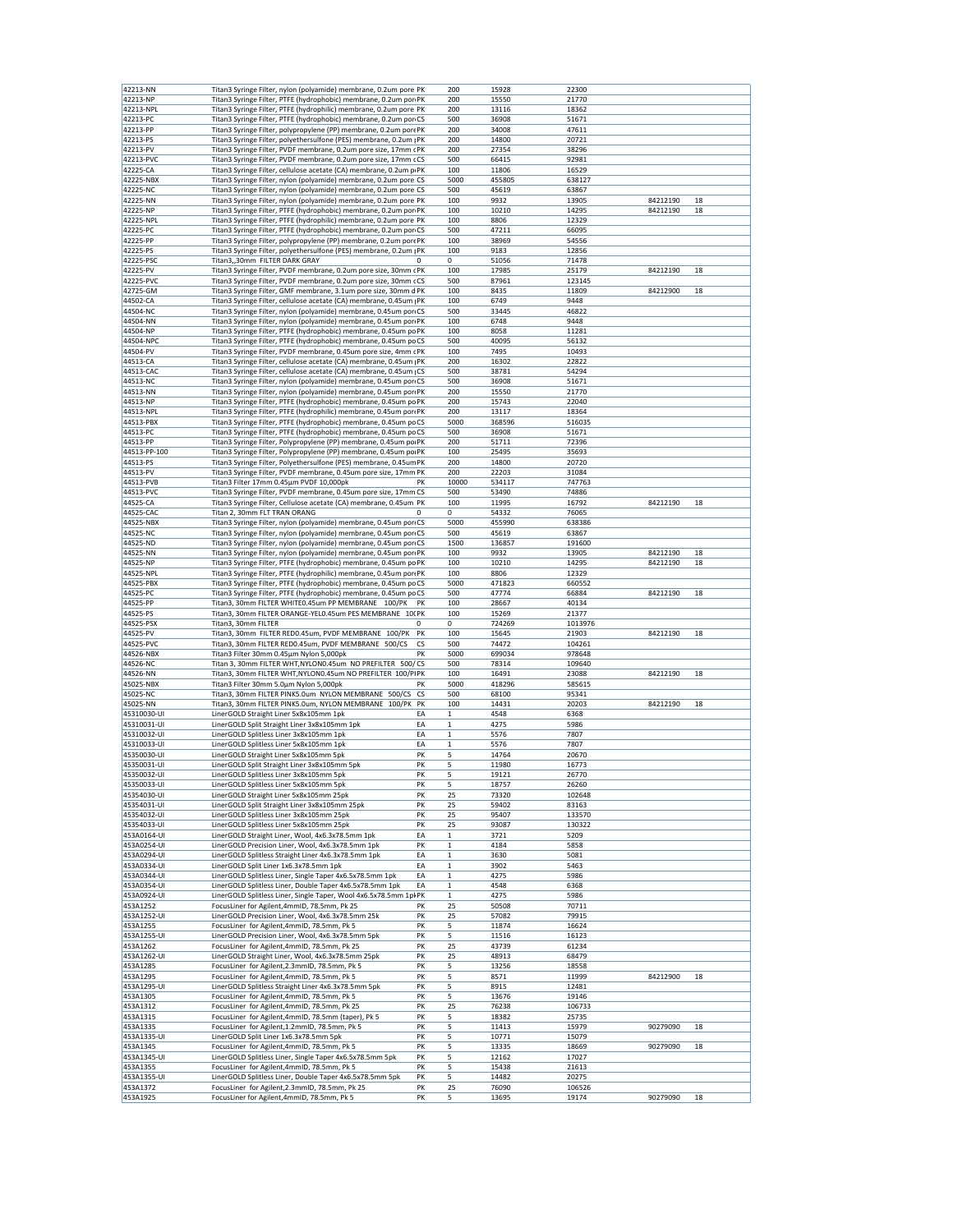| 42213-NN                   | Titan3 Syringe Filter, nylon (polyamide) membrane, 0.2um pore PK                                                                      |          | 200                          | 15928           | 22300           |          |    |
|----------------------------|---------------------------------------------------------------------------------------------------------------------------------------|----------|------------------------------|-----------------|-----------------|----------|----|
| 42213-NP                   | Titan3 Syringe Filter, PTFE (hydrophobic) membrane, 0.2um por PK                                                                      |          | 200                          | 15550           | 21770           |          |    |
| 42213-NPL                  | Titan3 Syringe Filter, PTFE (hydrophilic) membrane, 0.2um pore PK                                                                     |          | 200                          | 13116           | 18362           |          |    |
| 42213-PC                   | Titan3 Syringe Filter, PTFE (hydrophobic) membrane, 0.2um por CS                                                                      |          | 500                          | 36908           | 51671           |          |    |
| 42213-PP                   | Titan3 Syringe Filter, polypropylene (PP) membrane, 0.2um porePK                                                                      |          | 200                          | 34008           | 47611           |          |    |
| 42213-PS                   | Titan3 Syringe Filter, polyethersulfone (PES) membrane, 0.2um   PK                                                                    |          | 200                          | 14800           | 20721           |          |    |
| 42213-PV                   | Titan3 Syringe Filter, PVDF membrane, 0.2um pore size, 17mm cPK                                                                       |          | 200                          | 27354           | 38296           |          |    |
| 42213-PVC<br>42225-CA      | Titan3 Syringe Filter, PVDF membrane, 0.2um pore size, 17mm cCS<br>Titan3 Syringe Filter, cellulose acetate (CA) membrane, 0.2um p PK |          | 500<br>100                   | 66415<br>11806  | 92981<br>16529  |          |    |
| 42225-NBX                  | Titan3 Syringe Filter, nylon (polyamide) membrane, 0.2um pore CS                                                                      |          | 5000                         | 455805          | 638127          |          |    |
| 42225-NC                   | Titan3 Syringe Filter, nylon (polyamide) membrane, 0.2um pore CS                                                                      |          | 500                          | 45619           | 63867           |          |    |
| 42225-NN                   | Titan3 Syringe Filter, nylon (polyamide) membrane, 0.2um pore PK                                                                      |          | 100                          | 9932            | 13905           | 84212190 | 18 |
| 42225-NP                   | Titan3 Syringe Filter, PTFE (hydrophobic) membrane, 0.2um por PK                                                                      |          | 100                          | 10210           | 14295           | 84212190 | 18 |
| 42225-NPL                  | Titan3 Syringe Filter, PTFE (hydrophilic) membrane, 0.2um pore PK                                                                     |          | 100                          | 8806            | 12329           |          |    |
| 42225-PC                   | Titan3 Syringe Filter, PTFE (hydrophobic) membrane, 0.2um por CS                                                                      |          | 500                          | 47211           | 66095           |          |    |
| 42225-PP                   | Titan3 Syringe Filter, polypropylene (PP) membrane, 0.2um porePK                                                                      |          | 100                          | 38969           | 54556           |          |    |
| 42225-PS                   | Titan3 Syringe Filter, polyethersulfone (PES) membrane, 0.2um   PK                                                                    |          | 100                          | 9183            | 12856           |          |    |
| 42225-PSC                  | Titan3,,30mm FILTER DARK GRAY                                                                                                         |          | 0                            | 51056           | 71478           |          |    |
| 42225-PV                   | Titan3 Syringe Filter, PVDF membrane, 0.2um pore size, 30mm cPK                                                                       |          | 100                          | 17985           | 25179           | 84212190 | 18 |
| 42225-PVC                  | Titan3 Syringe Filter, PVDF membrane, 0.2um pore size, 30mm cCS                                                                       |          | 500                          | 87961           | 123145          |          |    |
| 42725-GM                   | Titan3 Syringe Filter, GMF membrane, 3.1um pore size, 30mm d PK                                                                       |          | 100                          | 8435            | 11809           | 84212900 | 18 |
| 44502-CA                   | Titan3 Syringe Filter, cellulose acetate (CA) membrane, 0.45um   PK                                                                   |          | 100                          | 6749            | 9448            |          |    |
| 44504-NC<br>44504-NN       | Titan3 Syringe Filter, nylon (polyamide) membrane, 0.45um por CS<br>Titan3 Syringe Filter, nylon (polyamide) membrane, 0.45um por PK  |          | 500<br>100                   | 33445<br>6748   | 46822<br>9448   |          |    |
| 44504-NP                   | Titan3 Syringe Filter, PTFE (hydrophobic) membrane, 0.45um po PK                                                                      |          | 100                          | 8058            | 11281           |          |    |
| 44504-NPC                  | Titan3 Syringe Filter, PTFE (hydrophobic) membrane, 0.45um po CS                                                                      |          | 500                          | 40095           | 56132           |          |    |
| 44504-PV                   | Titan3 Syringe Filter, PVDF membrane, 0.45um pore size, 4mm cPK                                                                       |          | 100                          | 7495            | 10493           |          |    |
| 44513-CA                   | Titan3 Syringe Filter, cellulose acetate (CA) membrane, 0.45um   PK                                                                   |          | 200                          | 16302           | 22822           |          |    |
| 44513-CAC                  | Titan3 Syringe Filter, cellulose acetate (CA) membrane, 0.45um   CS                                                                   |          | 500                          | 38781           | 54294           |          |    |
| 44513-NC                   | Titan3 Syringe Filter, nylon (polyamide) membrane, 0.45um por CS                                                                      |          | 500                          | 36908           | 51671           |          |    |
| 44513-NN                   | Titan3 Syringe Filter, nylon (polyamide) membrane, 0.45um por PK                                                                      |          | 200                          | 15550           | 21770           |          |    |
| 44513-NP                   | Titan3 Syringe Filter, PTFE (hydrophobic) membrane, 0.45um po PK                                                                      |          | 200                          | 15743           | 22040           |          |    |
| 44513-NPL                  | Titan3 Syringe Filter, PTFE (hydrophilic) membrane, 0.45um por PK                                                                     |          | 200                          | 13117           | 18364           |          |    |
| 44513-PBX                  | Titan3 Syringe Filter, PTFE (hydrophobic) membrane, 0.45um poCS                                                                       |          | 5000                         | 368596          | 516035          |          |    |
| 44513-PC                   | Titan3 Syringe Filter, PTFE (hydrophobic) membrane, 0.45um poCS                                                                       |          | 500                          | 36908           | 51671           |          |    |
| 44513-PP                   | Titan3 Syringe Filter, Polypropylene (PP) membrane, 0.45um por PK                                                                     |          | 200                          | 51711           | 72396           |          |    |
| 44513-PP-100<br>44513-PS   | Titan3 Syringe Filter, Polypropylene (PP) membrane, 0.45um porPK<br>Titan3 Syringe Filter, Polyethersulfone (PES) membrane, 0.45um PK |          | 100<br>200                   | 25495<br>14800  | 35693<br>20720  |          |    |
| 44513-PV                   | Titan3 Syringe Filter, PVDF membrane, 0.45um pore size, 17mm PK                                                                       |          | 200                          | 22203           | 31084           |          |    |
| 44513-PVB                  | Titan3 Filter 17mm 0.45µm PVDF 10,000pk                                                                                               | PK       | 10000                        | 534117          | 747763          |          |    |
| 44513-PVC                  | Titan3 Syringe Filter, PVDF membrane, 0.45um pore size, 17mm CS                                                                       |          | 500                          | 53490           | 74886           |          |    |
| 44525-CA                   | Titan3 Syringe Filter, Cellulose acetate (CA) membrane, 0.45um PK                                                                     |          | 100                          | 11995           | 16792           | 84212190 | 18 |
| 44525-CAC                  | Titan 2, 30mm FLT TRAN ORANG                                                                                                          | 0        | 0                            | 54332           | 76065           |          |    |
| 44525-NBX                  | Titan3 Syringe Filter, nylon (polyamide) membrane, 0.45um por CS                                                                      |          | 5000                         | 455990          | 638386          |          |    |
| 44525-NC                   | Titan3 Syringe Filter, nylon (polyamide) membrane, 0.45um por CS                                                                      |          | 500                          | 45619           | 63867           |          |    |
| 44525-ND                   | Titan3 Syringe Filter, nylon (polyamide) membrane, 0.45um por CS                                                                      |          | 1500                         | 136857          | 191600          |          |    |
| 44525-NN                   | Titan3 Syringe Filter, nylon (polyamide) membrane, 0.45um por PK                                                                      |          | 100                          | 9932            | 13905           | 84212190 | 18 |
| 44525-NP                   | Titan3 Syringe Filter, PTFE (hydrophobic) membrane, 0.45um po PK                                                                      |          | 100                          | 10210           | 14295           | 84212190 | 18 |
| 44525-NPL<br>44525-PBX     | Titan3 Syringe Filter, PTFE (hydrophilic) membrane, 0.45um por PK<br>Titan3 Syringe Filter, PTFE (hydrophobic) membrane, 0.45um po CS |          | 100<br>5000                  | 8806<br>471823  | 12329<br>660552 |          |    |
| 44525-PC                   | Titan3 Syringe Filter, PTFE (hydrophobic) membrane, 0.45um poCS                                                                       |          | 500                          | 47774           | 66884           | 84212190 | 18 |
| 44525-PP                   | Titan3, 30mm FILTER WHITE0.45um PP MEMBRANE 100/PK                                                                                    | PK       | 100                          | 28667           | 40134           |          |    |
| 44525-PS                   | Titan3, 30mm FILTER ORANGE-YEL0.45um PES MEMBRANE 10( PK                                                                              |          | 100                          | 15269           | 21377           |          |    |
| 44525-PSX                  | Titan3, 30mm FILTER                                                                                                                   | 0        | 0                            | 724269          | 1013976         |          |    |
| 44525-PV                   | Titan3, 30mm FILTER RED0.45um, PVDF MEMBRANE 100/PK                                                                                   | PK       | 100                          | 15645           | 21903           | 84212190 | 18 |
| 44525-PVC                  | Titan3, 30mm FILTER RED0.45um, PVDF MEMBRANE 500/CS                                                                                   | cs       | 500                          | 74472           | 104261          |          |    |
| 44526-NBX                  | Titan3 Filter 30mm 0.45µm Nylon 5,000pk                                                                                               | PK       | 5000                         | 699034          | 978648          |          |    |
| 44526-NC                   | Titan 3, 30mm FILTER WHT, NYLONO.45um NO PREFILTER 500/CS                                                                             |          | 500                          | 78314           | 109640          |          |    |
| 44526-NN<br>45025-NBX      | Titan3, 30mm FILTER WHT, NYLON0.45um NO PREFILTER 100/PIPK<br>Titan3 Filter 30mm 5.0um Nylon 5,000pk                                  | PK       | 100<br>5000                  | 16491<br>418296 | 23088<br>585615 | 84212190 | 18 |
| 45025-NC                   | Titan3, 30mm FILTER PINK5.0um NYLON MEMBRANE 500/CS CS                                                                                |          | 500                          | 68100           | 95341           |          |    |
|                            | Titan3, 30mm FILTER PINK5.0um, NYLON MEMBRANE 100/PK                                                                                  | PK       | 100                          | 14431           | 20203           | 84212190 | 18 |
|                            |                                                                                                                                       | EA       | $\mathbf{1}$                 |                 |                 |          |    |
| 45025-NN                   |                                                                                                                                       |          |                              |                 |                 |          |    |
| 45310030-UI                | LinerGOLD Straight Liner 5x8x105mm 1pk                                                                                                |          |                              | 4548            | 6368<br>5986    |          |    |
| 45310031-UI<br>45310032-UI | LinerGOLD Split Straight Liner 3x8x105mm 1pk<br>LinerGOLD Splitless Liner 3x8x105mm 1pk                                               | EA<br>EA | $\mathbf{1}$<br>$\mathbf{1}$ | 4275<br>5576    | 7807            |          |    |
| 45310033-UI                | LinerGOLD Splitless Liner 5x8x105mm 1pk                                                                                               | EA       | $\mathbf 1$                  | 5576            | 7807            |          |    |
| 45350030-UI                | LinerGOLD Straight Liner 5x8x105mm 5pk                                                                                                | PK       | 5                            | 14764           | 20670           |          |    |
| 45350031-UI                | LinerGOLD Split Straight Liner 3x8x105mm 5pk                                                                                          | PK       | 5                            | 11980           | 16773           |          |    |
| 45350032-UI                | LinerGOLD Splitless Liner 3x8x105mm 5pk                                                                                               | PK       | 5                            | 19121           | 26770           |          |    |
| 45350033-UI                | LinerGOLD Splitless Liner 5x8x105mm 5pk                                                                                               | PK       | 5                            | 18757           | 26260           |          |    |
| 45354030-UI                | LinerGOLD Straight Liner 5x8x105mm 25pk                                                                                               | PK       | 25                           | 73320           | 102648          |          |    |
| 45354031-UI                | LinerGOLD Split Straight Liner 3x8x105mm 25pk                                                                                         | PK       | 25                           | 59402           | 83163           |          |    |
| 45354032-UI                | LinerGOLD Splitless Liner 3x8x105mm 25pk                                                                                              | PK       | 25                           | 95407           | 133570          |          |    |
| 45354033-UI<br>453A0164-UI | LinerGOLD Splitless Liner 5x8x105mm 25pk<br>LinerGOLD Straight Liner, Wool, 4x6.3x78.5mm 1pk                                          | PK<br>EA | 25<br>$\mathbf{1}$           | 93087<br>3721   | 130322<br>5209  |          |    |
| 453A0254-UI                |                                                                                                                                       | PK       | $\mathbf{1}$                 | 4184            | 5858            |          |    |
| 453A0294-UI                | LinerGOLD Precision Liner, Wool, 4x6.3x78.5mm 1pk<br>LinerGOLD Splitless Straight Liner 4x6.3x78.5mm 1pk                              | EA       | $\,1\,$                      | 3630            | 5081            |          |    |
| 453A0334-UI                | LinerGOLD Split Liner 1x6.3x78.5mm 1pk                                                                                                | EA       | $\,$ 1                       | 3902            | 5463            |          |    |
| 453A0344-UI                | LinerGOLD Splitless Liner, Single Taper 4x6.5x78.5mm 1pk                                                                              | EA       | $\,1\,$                      | 4275            | 5986            |          |    |
| 453A0354-UI                | LinerGOLD Splitless Liner, Double Taper 4x6.5x78.5mm 1pk                                                                              | ΕA       | $\,1\,$                      | 4548            | 6368            |          |    |
| 453A0924-UI                | LinerGOLD Splitless Liner, Single Taper, Wool 4x6.5x78.5mm 1pl PK                                                                     |          | $\mathbf{1}$                 | 4275            | 5986            |          |    |
| 453A1252                   | FocusLiner for Agilent, 4mmID, 78.5mm, Pk 25                                                                                          | PΚ       | 25                           | 50508           | 70711           |          |    |
| 453A1252-UI                | LinerGOLD Precision Liner, Wool, 4x6.3x78.5mm 25k                                                                                     | PK       | 25                           | 57082           | 79915           |          |    |
| 453A1255                   | FocusLiner for Agilent, 4mmID, 78.5mm, Pk 5                                                                                           | PK       | 5                            | 11874           | 16624           |          |    |
| 453A1255-UI<br>453A1262    | LinerGOLD Precision Liner, Wool, 4x6.3x78.5mm 5pk<br>FocusLiner for Agilent, 4mmID, 78.5mm, Pk 25                                     | PK<br>PK | 5<br>25                      | 11516<br>43739  | 16123<br>61234  |          |    |
| 453A1262-UI                | LinerGOLD Straight Liner, Wool, 4x6.3x78.5mm 25pk                                                                                     | PК       | 25                           | 48913           | 68479           |          |    |
| 453A1285                   | FocusLiner for Agilent, 2.3mmID, 78.5mm, Pk 5                                                                                         | PK       | 5                            | 13256           | 18558           |          |    |
| 453A1295                   | FocusLiner for Agilent, 4mmID, 78.5mm, Pk 5                                                                                           | PK       | 5                            | 8571            | 11999           | 84212900 | 18 |
| 453A1295-UI                | LinerGOLD Splitless Straight Liner 4x6.3x78.5mm 5pk                                                                                   | PK       | 5                            | 8915            | 12481           |          |    |
| 453A1305                   | FocusLiner for Agilent, 4mmID, 78.5mm, Pk 5                                                                                           | PK       | 5                            | 13676           | 19146           |          |    |
| 453A1312                   | FocusLiner for Agilent, 4mmID, 78.5mm, Pk 25                                                                                          | PK       | 25                           | 76238           | 106733          |          |    |
| 453A1315                   | FocusLiner for Agilent, 4mmID, 78.5mm (taper), Pk 5                                                                                   | PK       | 5                            | 18382           | 25735           |          |    |
| 453A1335                   | FocusLiner for Agilent, 1.2mmID, 78.5mm, Pk 5                                                                                         | PK       | 5                            | 11413           | 15979           | 90279090 | 18 |
| 453A1335-UI<br>453A1345    | LinerGOLD Split Liner 1x6.3x78.5mm 5pk                                                                                                | PK<br>PK | 5<br>5                       | 10771<br>13335  | 15079<br>18669  | 90279090 | 18 |
| 453A1345-UI                | FocusLiner for Agilent, 4mmID, 78.5mm, Pk 5<br>LinerGOLD Splitless Liner, Single Taper 4x6.5x78.5mm 5pk                               | PK       | 5                            | 12162           | 17027           |          |    |
| 453A1355                   | FocusLiner for Agilent, 4mmID, 78.5mm, Pk 5                                                                                           | PK       | 5                            | 15438           | 21613           |          |    |
| 453A1355-UI                | LinerGOLD Splitless Liner, Double Taper 4x6.5x78.5mm 5pk                                                                              | PΚ       | 5                            | 14482           | 20275           |          |    |
| 453A1372<br>453A1925       | FocusLiner for Agilent, 2.3mmID, 78.5mm, Pk 25<br>FocusLiner for Agilent, 4mmID, 78.5mm, Pk 5                                         | PK<br>PK | 25<br>5                      | 76090           | 106526<br>19174 | 90279090 |    |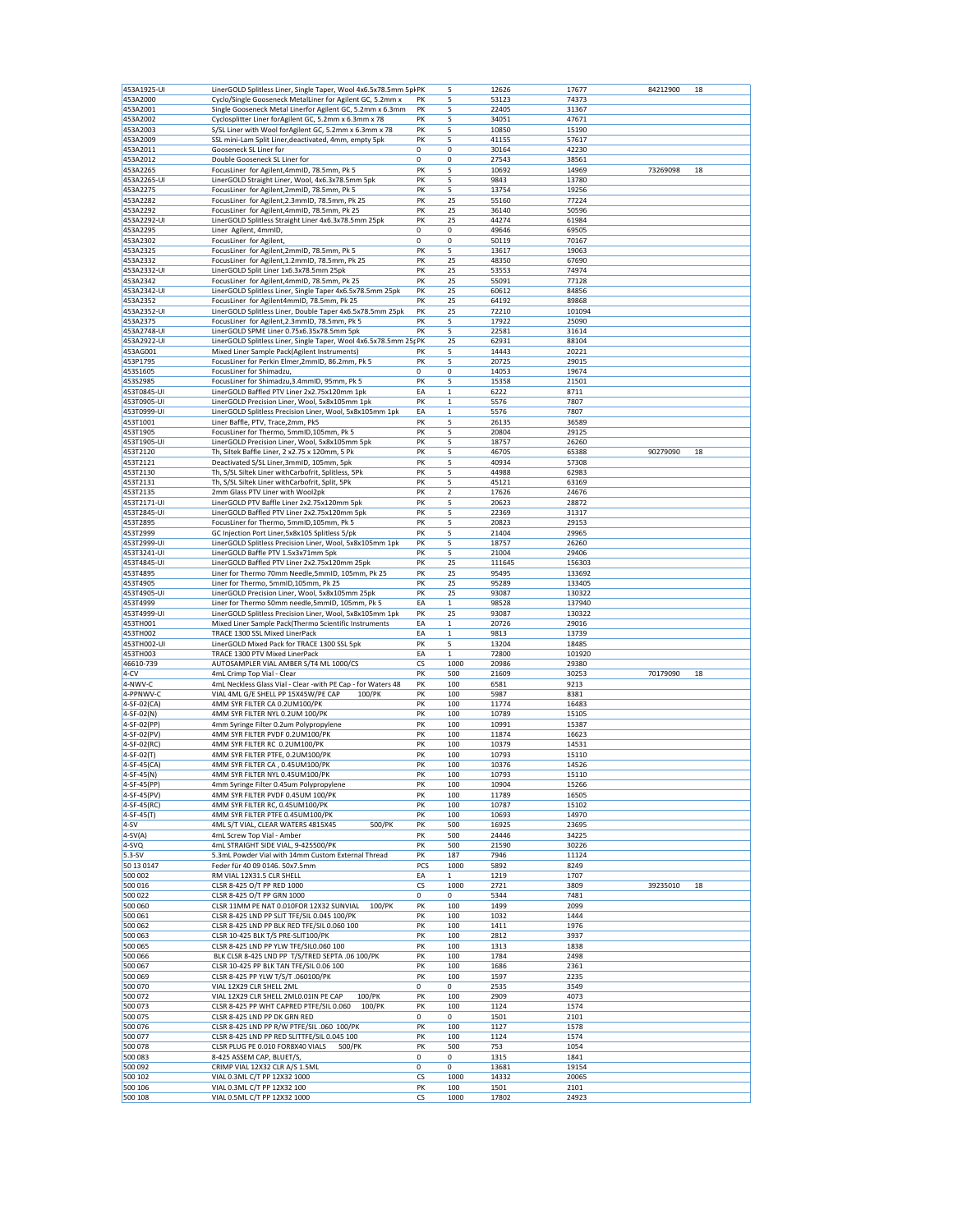| 453A1925-UI                | LinerGOLD Splitless Liner, Single Taper, Wool 4x6.5x78.5mm 5pl PK                                       |             | 5                 | 12626           | 17677           | 84212900 | 18 |
|----------------------------|---------------------------------------------------------------------------------------------------------|-------------|-------------------|-----------------|-----------------|----------|----|
| 453A2000                   | Cyclo/Single Gooseneck MetalLiner for Agilent GC, 5.2mm x                                               | PK          | 5                 | 53123           | 74373           |          |    |
| 453A2001                   | Single Gooseneck Metal Linerfor Agilent GC, 5.2mm x 6.3mm                                               | PK          | 5                 | 22405           | 31367           |          |    |
| 453A2002                   | Cyclosplitter Liner forAgilent GC, 5.2mm x 6.3mm x 78                                                   | PK          | 5                 | 34051           | 47671           |          |    |
| 453A2003                   | S/SL Liner with Wool forAgilent GC, 5.2mm x 6.3mm x 78                                                  | PK          | 5                 | 10850           | 15190           |          |    |
| 453A2009<br>453A2011       | SSL mini-Lam Split Liner, deactivated, 4mm, empty 5pk<br>Gooseneck SL Liner for                         | PK<br>0     | 5<br>0            | 41155<br>30164  | 57617<br>42230  |          |    |
| 453A2012                   | Double Gooseneck SL Liner for                                                                           | 0           | 0                 | 27543           | 38561           |          |    |
| 453A2265                   | FocusLiner for Agilent, 4mmID, 78.5mm, Pk 5                                                             | PK          | 5                 | 10692           | 14969           | 73269098 | 18 |
| 453A2265-UI                | LinerGOLD Straight Liner, Wool, 4x6.3x78.5mm 5pk                                                        | PK          | 5                 | 9843            | 13780           |          |    |
| 453A2275                   | FocusLiner for Agilent, 2mmID, 78.5mm, Pk 5                                                             | PK          | 5                 | 13754           | 19256           |          |    |
| 453A2282                   | FocusLiner for Agilent, 2.3mmID, 78.5mm, Pk 25                                                          | PK          | 25                | 55160           | 77224           |          |    |
| 453A2292                   | FocusLiner for Agilent, 4mmID, 78.5mm, Pk 25                                                            | PK          | 25                | 36140           | 50596           |          |    |
| 453A2292-UI<br>453A2295    | LinerGOLD Splitless Straight Liner 4x6.3x78.5mm 25pk<br>Liner Agilent, 4mmID,                           | PK<br>0     | 25<br>0           | 44274<br>49646  | 61984<br>69505  |          |    |
| 453A2302                   | FocusLiner for Agilent,                                                                                 | 0           | 0                 | 50119           | 70167           |          |    |
| 453A2325                   | FocusLiner for Agilent, 2mmID, 78.5mm, Pk 5                                                             | PK          | 5                 | 13617           | 19063           |          |    |
| 453A2332                   | FocusLiner for Agilent, 1.2mmID, 78.5mm, Pk 25                                                          | PK          | 25                | 48350           | 67690           |          |    |
| 453A2332-UI                | LinerGOLD Split Liner 1x6.3x78.5mm 25pk                                                                 | PK          | 25                | 53553           | 74974           |          |    |
| 453A2342                   | FocusLiner for Agilent, 4mmID, 78.5mm, Pk 25                                                            | PK          | 25                | 55091           | 77128           |          |    |
| 453A2342-UI                | LinerGOLD Splitless Liner, Single Taper 4x6.5x78.5mm 25pk                                               | PK          | 25                | 60612           | 84856           |          |    |
| 453A2352<br>453A2352-UI    | FocusLiner for Agilent4mmID, 78.5mm, Pk 25<br>LinerGOLD Splitless Liner, Double Taper 4x6.5x78.5mm 25pk | PK<br>PK    | 25<br>25          | 64192<br>72210  | 89868<br>101094 |          |    |
| 453A2375                   | FocusLiner for Agilent, 2.3mmID, 78.5mm, Pk 5                                                           | PK          | 5                 | 17922           | 25090           |          |    |
| 453A2748-UI                | LinerGOLD SPME Liner 0.75x6.35x78.5mm 5pk                                                               | PK          | 5                 | 22581           | 31614           |          |    |
| 453A2922-UI                | LinerGOLD Splitless Liner, Single Taper, Wool 4x6.5x78.5mm 25; PK                                       |             | 25                | 62931           | 88104           |          |    |
| 453AG001                   | Mixed Liner Sample Pack(Agilent Instruments)                                                            | PK          | 5                 | 14443           | 20221           |          |    |
| 453P1795                   | FocusLiner for Perkin Elmer,2mmID, 86.2mm, Pk 5                                                         | PK          | 5                 | 20725           | 29015           |          |    |
| 453S1605                   | FocusLiner for Shimadzu,                                                                                | 0           | 0                 | 14053           | 19674           |          |    |
| 453S2985<br>453T0845-UI    | FocusLiner for Shimadzu, 3.4mmID, 95mm, Pk 5<br>LinerGOLD Baffled PTV Liner 2x2.75x120mm 1pk            | PK<br>EA    | 5<br>$\,$ 1       | 15358<br>6222   | 21501<br>8711   |          |    |
| 453T0905-UI                | LinerGOLD Precision Liner, Wool, 5x8x105mm 1pk                                                          | PK          | $\mathbf 1$       | 5576            | 7807            |          |    |
| 453T0999-UI                | LinerGOLD Splitless Precision Liner, Wool, 5x8x105mm 1pk                                                | EA          | $\,1\,$           | 5576            | 7807            |          |    |
| 453T1001                   | Liner Baffle, PTV, Trace, 2mm, Pk5                                                                      | PK          | 5                 | 26135           | 36589           |          |    |
| 453T1905                   | FocusLiner for Thermo, 5mmID,105mm, Pk 5                                                                | PK          | 5                 | 20804           | 29125           |          |    |
| 453T1905-UI                | LinerGOLD Precision Liner, Wool, 5x8x105mm 5pk                                                          | PK          | 5                 | 18757           | 26260           |          |    |
| 453T2120                   | Th, Siltek Baffle Liner, 2 x2.75 x 120mm, 5 Pk                                                          | PK          | 5                 | 46705           | 65388           | 90279090 | 18 |
| 453T2121<br>453T2130       | Deactivated S/SL Liner, 3mmID, 105mm, 5pk<br>Th, S/SL Siltek Liner withCarbofrit, Splitless, 5Pk        | PK<br>PK    | 5<br>5            | 40934<br>44988  | 57308<br>62983  |          |    |
| 453T2131                   | Th, S/SL Siltek Liner withCarbofrit, Split, 5Pk                                                         | PK          | 5                 | 45121           | 63169           |          |    |
| 453T2135                   | 2mm Glass PTV Liner with Wool2pk                                                                        | PK          | $\overline{2}$    | 17626           | 24676           |          |    |
| 453T2171-UI                | LinerGOLD PTV Baffle Liner 2x2.75x120mm 5pk                                                             | PK          | 5                 | 20623           | 28872           |          |    |
| 453T2845-UI                | LinerGOLD Baffled PTV Liner 2x2.75x120mm 5pk                                                            | PK          | 5                 | 22369           | 31317           |          |    |
| 453T2895                   | FocusLiner for Thermo, 5mmID,105mm, Pk 5                                                                | PK          | 5                 | 20823           | 29153           |          |    |
| 453T2999                   | GC Injection Port Liner, 5x8x105 Splitless 5/pk                                                         | PK          | 5                 | 21404           | 29965           |          |    |
| 453T2999-UI                | LinerGOLD Splitless Precision Liner, Wool, 5x8x105mm 1pk                                                | PK          | 5                 | 18757           | 26260           |          |    |
| 453T3241-UI<br>453T4845-UI | LinerGOLD Baffle PTV 1.5x3x71mm 5pk<br>LinerGOLD Baffled PTV Liner 2x2.75x120mm 25pk                    | PK<br>PK    | 5<br>25           | 21004<br>111645 | 29406<br>156303 |          |    |
| 453T4895                   | Liner for Thermo 70mm Needle,5mmID, 105mm, Pk 25                                                        | PK          | 25                | 95495           | 133692          |          |    |
| 453T4905                   | Liner for Thermo, 5mmID,105mm, Pk 25                                                                    | PK          | 25                | 95289           | 133405          |          |    |
| 453T4905-UI                | LinerGOLD Precision Liner, Wool, 5x8x105mm 25pk                                                         | PK          | 25                | 93087           | 130322          |          |    |
| 453T4999                   | Liner for Thermo 50mm needle,5mmID, 105mm, Pk 5                                                         | EA          | $\mathbf{1}$      | 98528           | 137940          |          |    |
| 453T4999-UI                | LinerGOLD Splitless Precision Liner, Wool, 5x8x105mm 1pk                                                | PK          | 25                | 93087           | 130322          |          |    |
| 453TH001                   | Mixed Liner Sample Pack(Thermo Scientific Instruments                                                   | EA          | $\mathbf{1}$      | 20726           | 29016           |          |    |
| 453TH002<br>453TH002-UI    | TRACE 1300 SSL Mixed LinerPack<br>LinerGOLD Mixed Pack for TRACE 1300 SSL 5pk                           | EA<br>PK    | $\mathbf{1}$<br>5 | 9813<br>13204   | 13739<br>18485  |          |    |
| 453TH003                   | TRACE 1300 PTV Mixed LinerPack                                                                          | EA          | $\mathbf 1$       | 72800           | 101920          |          |    |
| 46610-739                  | AUTOSAMPLER VIAL AMBER S/T4 ML 1000/CS                                                                  | CS          | 1000              | 20986           | 29380           |          |    |
| 4-CV                       | 4mL Crimp Top Vial - Clear                                                                              | PK          | 500               | 21609           | 30253           | 70179090 | 18 |
| 4-NWV-C                    | 4mL Neckless Glass Vial - Clear -with PE Cap - for Waters 48                                            | PK          | 100               | 6581            | 9213            |          |    |
| 4-PPNWV-C                  | VIAL 4ML G/E SHELL PP 15X45W/PE CAP<br>100/PK                                                           | PK          | 100               | 5987            | 8381            |          |    |
| 4-SF-02(CA)                | 4MM SYR FILTER CA 0.2UM100/PK                                                                           | PK          | 100               | 11774           | 16483           |          |    |
| 4-SF-02(N)<br>4-SF-02(PP)  | 4MM SYR FILTER NYL 0.2UM 100/PK<br>4mm Syringe Filter 0.2um Polypropylene                               | PK<br>PK    | 100<br>100        | 10789<br>10991  | 15105<br>15387  |          |    |
| 4-SF-02(PV)                | 4MM SYR FILTER PVDF 0.2UM100/PK                                                                         | PK          | 100               | 11874           | 16623           |          |    |
| 4-SF-02(RC)                | 4MM SYR FILTER RC 0.2UM100/PK                                                                           | PK          | 100               | 10379           | 14531           |          |    |
| 4-SF-02(T)                 | 4MM SYR FILTER PTFE, 0.2UM100/PK                                                                        | PK          | 100               | 10793           | 15110           |          |    |
| 4-SF-45(CA)                | 4MM SYR FILTER CA, 0.45UM100/PK                                                                         | PK          | 100               | 10376           | 14526           |          |    |
| 4-SF-45(N)                 | 4MM SYR FILTER NYL 0.45UM100/PK                                                                         | PK          | 100               | 10793           | 15110           |          |    |
| 4-SF-45(PP)<br>4-SF-45(PV) | 4mm Syringe Filter 0.45um Polypropylene                                                                 | PK<br>PK    | 100               | 10904           | 15266           |          |    |
| 4-SF-45(RC)                | 4MM SYR FILTER PVDF 0.45UM 100/PK<br>4MM SYR FILTER RC, 0.45UM100/PK                                    | PK          | 100<br>100        | 11789<br>10787  | 16505<br>15102  |          |    |
| 4-SF-45(T)                 | 4MM SYR FILTER PTFE 0.45UM100/PK                                                                        | PK          | 100               | 10693           | 14970           |          |    |
| $4-SV$                     | 500/PK<br>4ML S/T VIAL, CLEAR WATERS 4815X45                                                            | PK          | 500               | 16925           | 23695           |          |    |
| $4-SV(A)$                  | 4mL Screw Top Vial - Amber                                                                              | PK          | 500               | 24446           | 34225           |          |    |
| 4-SVQ                      | 4mL STRAIGHT SIDE VIAL, 9-425500/PK                                                                     | PK          | 500               | 21590           | 30226           |          |    |
| $5.3-SV$                   | 5.3mL Powder Vial with 14mm Custom External Thread                                                      | PK          | 187               | 7946            | 11124           |          |    |
| 50 13 0147<br>500 002      | Feder für 40 09 0146. 50x7.5mm<br>RM VIAL 12X31.5 CLR SHELL                                             | PCS<br>EA   | 1000              | 5892<br>1219    | 8249<br>1707    |          |    |
| 500 016                    | CLSR 8-425 O/T PP RED 1000                                                                              | CS          | 1<br>1000         | 2721            | 3809            | 39235010 | 18 |
| 500 022                    | CLSR 8-425 O/T PP GRN 1000                                                                              | $\mathbf 0$ | 0                 | 5344            | 7481            |          |    |
| 500 060                    | CLSR 11MM PE NAT 0.010FOR 12X32 SUNVIAL<br>100/PK                                                       | PK          | 100               | 1499            | 2099            |          |    |
| 500 061                    | CLSR 8-425 LND PP SLIT TFE/SIL 0.045 100/PK                                                             | PK          | 100               | 1032            | 1444            |          |    |
| 500 062                    | CLSR 8-425 LND PP BLK RED TFE/SIL 0.060 100                                                             | PK          | 100               | 1411            | 1976            |          |    |
| 500 063                    | CLSR 10-425 BLK T/S PRE-SLIT100/PK                                                                      | PK          | 100               | 2812            | 3937            |          |    |
| 500 065<br>500 066         | CLSR 8-425 LND PP YLW TFE/SIL0.060 100<br>BLK CLSR 8-425 LND PP T/S/TRED SEPTA .06 100/PK               | PK<br>PK    | 100<br>100        | 1313<br>1784    | 1838<br>2498    |          |    |
| 500 067                    | CLSR 10-425 PP BLK TAN TFE/SIL 0.06 100                                                                 | PK          | 100               | 1686            | 2361            |          |    |
| 500 069                    | CLSR 8-425 PP YLW T/S/T .060100/PK                                                                      | PK          | 100               | 1597            | 2235            |          |    |
| 500 070                    | VIAL 12X29 CLR SHELL 2ML                                                                                | 0           | 0                 | 2535            | 3549            |          |    |
| 500 072                    | VIAL 12X29 CLR SHELL 2ML0.01IN PE CAP<br>100/PK                                                         | PK          | 100               | 2909            | 4073            |          |    |
| 500 073                    | CLSR 8-425 PP WHT CAPRED PTFE/SIL 0.060<br>100/PK                                                       | PK          | 100               | 1124            | 1574            |          |    |
| 500 075                    | CLSR 8-425 LND PP DK GRN RED                                                                            | 0<br>PK     | 0                 | 1501<br>1127    | 2101<br>1578    |          |    |
| 500 076<br>500 077         | CLSR 8-425 LND PP R/W PTFE/SIL .060 100/PK<br>CLSR 8-425 LND PP RED SLITTFE/SIL 0.045 100               | PK          | 100<br>100        | 1124            | 1574            |          |    |
| 500 078                    | CLSR PLUG PE 0.010 FOR8X40 VIALS<br>500/PK                                                              | PK          | 500               | 753             | 1054            |          |    |
| 500 083                    | 8-425 ASSEM CAP, BLUET/S,                                                                               | 0           | 0                 | 1315            | 1841            |          |    |
| 500 092                    | CRIMP VIAL 12X32 CLR A/S 1.5ML                                                                          | 0           | 0                 | 13681           | 19154           |          |    |
| 500 102                    | VIAL 0.3ML C/T PP 12X32 1000                                                                            | CS          | 1000              | 14332           | 20065           |          |    |
| 500 106                    | VIAL 0.3ML C/T PP 12X32 100                                                                             | PK          | 100               | 1501            | 2101            |          |    |
| 500 108                    | VIAL 0.5ML C/T PP 12X32 1000                                                                            | СS          | 1000              | 17802           | 24923           |          |    |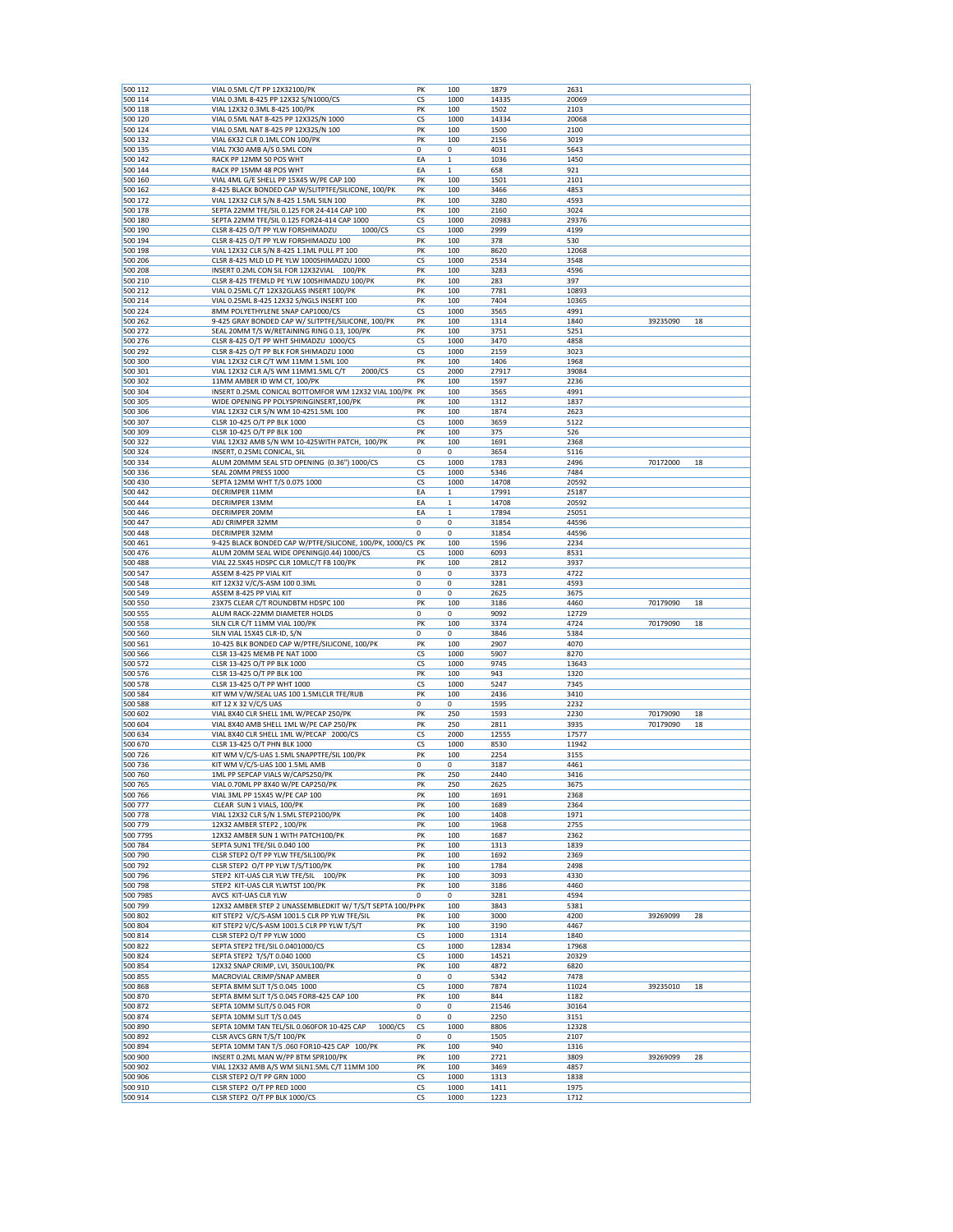| 500 112             | VIAL 0.5ML C/T PP 12X32100/PK                                                     | PK       | 100          | 1879         | 2631         |          |    |
|---------------------|-----------------------------------------------------------------------------------|----------|--------------|--------------|--------------|----------|----|
| 500 114             | VIAL 0.3ML 8-425 PP 12X32 S/N1000/CS                                              | CS       | 1000         | 14335        | 20069        |          |    |
| 500 118             | VIAL 12X32 0.3ML 8-425 100/PK                                                     | PK       | 100          | 1502         | 2103         |          |    |
| 500 120             | VIAL 0.5ML NAT 8-425 PP 12X32S/N 1000                                             | CS       | 1000         | 14334        | 20068        |          |    |
| 500 124             | VIAL 0.5ML NAT 8-425 PP 12X32S/N 100                                              | PK       | 100          | 1500         | 2100         |          |    |
| 500 132             | VIAL 6X32 CLR 0.1ML CON 100/PK                                                    | PK       | 100          | 2156         | 3019         |          |    |
| 500 135             | VIAL 7X30 AMB A/S 0.5ML CON                                                       | 0        | 0            | 4031         | 5643         |          |    |
| 500 142             | RACK PP 12MM 50 POS WHT                                                           | EA       | $\mathbf{1}$ | 1036         | 1450         |          |    |
| 500 144             | RACK PP 15MM 48 POS WHT                                                           | EA       | $\mathbf 1$  | 658          | 921          |          |    |
| 500 160             | VIAL 4ML G/E SHELL PP 15X45 W/PE CAP 100                                          | PK       | 100          | 1501         | 2101         |          |    |
| 500 162             | 8-425 BLACK BONDED CAP W/SLITPTFE/SILICONE, 100/PK                                | PK       | 100          | 3466         | 4853         |          |    |
| 500 172             | VIAL 12X32 CLR S/N 8-425 1.5ML SILN 100                                           | PK       | 100          | 3280         | 4593         |          |    |
| 500 178             | SEPTA 22MM TFE/SIL 0.125 FOR 24-414 CAP 100                                       | PK       | 100          | 2160         | 3024         |          |    |
| 500 180             | SEPTA 22MM TFE/SIL 0.125 FOR24-414 CAP 1000                                       | CS       | 1000         | 20983        | 29376        |          |    |
| 500 190             | CLSR 8-425 O/T PP YLW FORSHIMADZU<br>1000/CS                                      | CS       | 1000         | 2999         | 4199         |          |    |
| 500 194             | CLSR 8-425 O/T PP YLW FORSHIMADZU 100                                             | PK       | 100          | 378          | 530          |          |    |
| 500 198             | VIAL 12X32 CLR S/N 8-425 1.1ML PULL PT 100                                        | PK       | 100          | 8620         | 12068        |          |    |
| 500 206             | CLSR 8-425 MLD LD PE YLW 1000SHIMADZU 1000                                        | CS       | 1000         | 2534         | 3548         |          |    |
| 500 208             | INSERT 0.2ML CON SIL FOR 12X32VIAL<br>100/PK                                      | PK       | 100          | 3283         | 4596         |          |    |
| 500 210             | CLSR 8-425 TFEMLD PE YLW 100SHIMADZU 100/PK                                       | PK       | 100          | 283          | 397          |          |    |
| 500 212             | VIAL 0.25ML C/T 12X32GLASS INSERT 100/PK                                          | PK       | 100          | 7781         | 10893        |          |    |
| 500 214             | VIAL 0.25ML 8-425 12X32 S/NGLS INSERT 100                                         | PK       | 100          | 7404         | 10365        |          |    |
| 500 224             | 8MM POLYETHYLENE SNAP CAP1000/CS                                                  | CS       | 1000         | 3565         | 4991         |          |    |
| 500 262             | 9-425 GRAY BONDED CAP W/ SLITPTFE/SILICONE, 100/PK                                | PK       | 100          | 1314         | 1840         | 39235090 | 18 |
| 500 272             | SEAL 20MM T/S W/RETAINING RING 0.13, 100/PK                                       | PK       | 100          | 3751         | 5251         |          |    |
| 500 276             | CLSR 8-425 O/T PP WHT SHIMADZU 1000/CS                                            | CS       | 1000         | 3470         | 4858         |          |    |
| 500 292             | CLSR 8-425 O/T PP BLK FOR SHIMADZU 1000                                           | CS       | 1000         | 2159         | 3023         |          |    |
| 500 300             | VIAL 12X32 CLR C/T WM 11MM 1.5ML 100                                              | PK       | 100          | 1406         | 1968         |          |    |
| 500 301             | VIAL 12X32 CLR A/S WM 11MM1.5ML C/T<br>2000/CS                                    | CS       | 2000         | 27917        | 39084        |          |    |
| 500 302             | 11MM AMBER ID WM CT, 100/PK                                                       | PK       | 100          | 1597         | 2236         |          |    |
| 500 304             | INSERT 0.25ML CONICAL BOTTOMFOR WM 12X32 VIAL 100/PK                              | PK       | 100          | 3565         | 4991         |          |    |
| 500 305             | WIDE OPENING PP POLYSPRINGINSERT, 100/PK                                          | PK       | 100          | 1312         | 1837         |          |    |
| 500 306             | VIAL 12X32 CLR S/N WM 10-4251.5ML 100                                             | PK       | 100          | 1874         | 2623         |          |    |
| 500 307             | CLSR 10-425 O/T PP BLK 1000                                                       | CS       | 1000         | 3659         | 5122         |          |    |
| 500 309             | CLSR 10-425 O/T PP BLK 100                                                        | PK       | 100          | 375          | 526          |          |    |
| 500 322             | VIAL 12X32 AMB S/N WM 10-425WITH PATCH, 100/PK                                    | PK       | 100          | 1691         | 2368         |          |    |
| 500 324             | INSERT, 0.25ML CONICAL, SIL                                                       | 0        | 0            | 3654         | 5116         |          |    |
| 500 334             | ALUM 20MMM SEAL STD OPENING (0.36") 1000/CS                                       | CS       | 1000         | 1783         | 2496         | 70172000 | 18 |
| 500 336             | SEAL 20MM PRESS 1000                                                              | CS       | 1000         | 5346         | 7484         |          |    |
| 500 430             | SEPTA 12MM WHT T/S 0.075 1000                                                     | CS       | 1000         | 14708        | 20592        |          |    |
| 500 442             | DECRIMPER 11MM                                                                    | EA       | 1            | 17991        | 25187        |          |    |
| 500 444             | DECRIMPER 13MM                                                                    | EA       | $\mathbf{1}$ | 14708        | 20592        |          |    |
| 500 446             | DECRIMPER 20MM                                                                    | EA       | $\mathbf 1$  | 17894        | 25051        |          |    |
| 500 447             | ADJ CRIMPER 32MM                                                                  | 0        | 0            | 31854        | 44596        |          |    |
| 500 448             | DECRIMPER 32MM                                                                    | 0        | 0            | 31854        | 44596        |          |    |
| 500 461             | 9-425 BLACK BONDED CAP W/PTFE/SILICONE, 100/PK, 1000/CS PK                        |          | 100          | 1596         | 2234         |          |    |
| 500 476             | ALUM 20MM SEAL WIDE OPENING(0.44) 1000/CS                                         | CS       | 1000         | 6093         | 8531         |          |    |
| 500 488             | VIAL 22.5X45 HDSPC CLR 10MLC/T FB 100/PK                                          | PK       | 100          | 2812         | 3937         |          |    |
| 500 547             | ASSEM 8-425 PP VIAL KIT                                                           | 0        | 0            | 3373         | 4722         |          |    |
| 500 548             | KIT 12X32 V/C/S-ASM 100 0.3ML                                                     | 0        | 0            | 3281         | 4593         |          |    |
| 500 549             | ASSEM 8-425 PP VIAL KIT                                                           | 0        | 0            | 2625         | 3675         |          |    |
| 500 550             | 23X75 CLEAR C/T ROUNDBTM HDSPC 100                                                | PK       | 100          | 3186         | 4460         | 70179090 | 18 |
| 500 555             | ALUM RACK-22MM DIAMETER HOLDS                                                     | 0        | 0            | 9092         | 12729        |          |    |
| 500 558             | SILN CLR C/T 11MM VIAL 100/PK                                                     | PK       | 100          | 3374         | 4724         | 70179090 | 18 |
| 500 560             | SILN VIAL 15X45 CLR-ID, S/N                                                       | 0        | 0            | 3846         | 5384         |          |    |
| 500 561             | 10-425 BLK BONDED CAP W/PTFE/SILICONE, 100/PK                                     | PK       | 100          | 2907         | 4070         |          |    |
| 500 566             | CLSR 13-425 MEMB PE NAT 1000                                                      | CS       | 1000         | 5907         | 8270         |          |    |
| 500 572             | CLSR 13-425 O/T PP BLK 1000                                                       | CS       | 1000         | 9745         | 13643        |          |    |
| 500 576             | CLSR 13-425 O/T PP BLK 100                                                        | PK       | 100          | 943          | 1320         |          |    |
| 500 578             | CLSR 13-425 O/T PP WHT 1000                                                       | CS       | 1000         | 5247         | 7345         |          |    |
| 500 584             | KIT WM V/W/SEAL UAS 100 1.5MLCLR TFE/RUB                                          | PK       | 100          | 2436         | 3410         |          |    |
| 500 588             | KIT 12 X 32 V/C/S UAS                                                             | 0        | 0            | 1595         | 2232         |          |    |
| 500 602             | VIAL 8X40 CLR SHELL 1ML W/PECAP 250/PK                                            | PK       | 250          | 1593         | 2230         | 70179090 | 18 |
| 500 604             | VIAL 8X40 AMB SHELL 1ML W/PE CAP 250/PK                                           | PK       | 250          | 2811         | 3935         | 70179090 | 18 |
| 500 634             | VIAL 8X40 CLR SHELL 1ML W/PECAP 2000/CS                                           | CS       | 2000         | 12555        | 17577        |          |    |
| 500 670             | CLSR 13-425 O/T PHN BLK 1000                                                      | CS       | 1000         | 8530         | 11942        |          |    |
| 500726              | KIT WM V/C/S-UAS 1.5ML SNAPPTFE/SIL 100/PK                                        | PK       | 100          | 2254         | 3155         |          |    |
| 500 736             | KIT WM V/C/S-UAS 100 1.5ML AMB                                                    | 0        | 0            | 3187         | 4461         |          |    |
| 500 760             | 1ML PP SEPCAP VIALS W/CAPS250/PK                                                  | PK       | 250          | 2440         | 3416         |          |    |
| 500 765             | VIAL 0.70ML PP 8X40 W/PE CAP250/PK                                                | РΚ       | 250          | 2625         | 3675         |          |    |
| 500 766             | VIAL 3ML PP 15X45 W/PE CAP 100                                                    | PK       | 100          | 1691         | 2368         |          |    |
| 500 777             | CLEAR SUN 1 VIALS, 100/PK                                                         | PK       | 100          | 1689         | 2364         |          |    |
| 500 778             | VIAL 12X32 CLR S/N 1.5ML STEP2100/PK                                              | PK       | 100          | 1408         | 1971         |          |    |
| 500 779             | 12X32 AMBER STEP2, 100/PK                                                         | PK       | 100          | 1968         | 2755         |          |    |
| 500 779S            | 12X32 AMBER SUN 1 WITH PATCH100/PK                                                | PK       | 100          | 1687         | 2362         |          |    |
| 500 784             | SEPTA SUN1 TFE/SIL 0.040 100                                                      | PK       | 100          | 1313         | 1839         |          |    |
| 500 790             | CLSR STEP2 O/T PP YLW TFE/SIL100/PK                                               | PK       | 100          | 1692         | 2369         |          |    |
| 500 792             | CLSR STEP2 O/T PP YLW T/S/T100/PK                                                 | PK       | 100          | 1784         | 2498         |          |    |
| 500 796             | STEP2 KIT-UAS CLR YLW TFE/SIL 100/PK                                              | PК<br>PK | 100          | 3093         | 4330         |          |    |
| 500 798             | STEP2 KIT-UAS CLR YLWTST 100/PK                                                   |          | 100          | 3186         | 4460         |          |    |
| 500 798S<br>500 799 | AVCS KIT-UAS CLR YLW<br>12X32 AMBER STEP 2 UNASSEMBLEDKIT W/ T/S/T SEPTA 100/PIPK | 0        | 0<br>100     | 3281<br>3843 | 4594<br>5381 |          |    |
|                     |                                                                                   | PK       |              |              |              |          |    |
| 500 802<br>500 804  | KIT STEP2 V/C/S-ASM 1001.5 CLR PP YLW TFE/SIL                                     | PK       | 100<br>100   | 3000<br>3190 | 4200<br>4467 | 39269099 | 28 |
|                     |                                                                                   | CS       | 1000         | 1314         | 1840         |          |    |
|                     | KIT STEP2 V/C/S-ASM 1001.5 CLR PP YLW T/S/T                                       |          | 1000         | 12834        | 17968        |          |    |
| 500 814             | CLSR STEP2 O/T PP YLW 1000                                                        |          |              |              | 20329        |          |    |
| 500 822             | SEPTA STEP2 TFE/SIL 0.0401000/CS                                                  | CS       |              |              |              |          |    |
| 500 824             | SEPTA STEP2 T/S/T 0.040 1000                                                      | CS       | 1000         | 14521        |              |          |    |
| 500 854             | 12X32 SNAP CRIMP, LVI, 350UL100/PK                                                | PK       | 100          | 4872         | 6820         |          |    |
| 500 855             | MACROVIAL CRIMP/SNAP AMBER                                                        | 0        | 0            | 5342         | 7478         |          |    |
| 500 868             | SEPTA 8MM SLIT T/S 0.045 1000                                                     | CS       | 1000         | 7874         | 11024        | 39235010 | 18 |
| 500 870             | SEPTA 8MM SLIT T/S 0.045 FOR8-425 CAP 100                                         | PK       | 100          | 844          | 1182         |          |    |
|                     | SEPTA 10MM SLIT/S 0.045 FOR                                                       | 0        | 0            | 21546        | 30164        |          |    |
| 500 872<br>500 874  | SEPTA 10MM SLIT T/S 0.045                                                         | 0        | 0            | 2250         | 3151         |          |    |
| 500 890             | SEPTA 10MM TAN TEL/SIL 0.060FOR 10-425 CAP<br>1000/CS                             | CS       | 1000         | 8806         | 12328        |          |    |
|                     | CLSR AVCS GRN T/S/T 100/PK                                                        | 0        | 0            | 1505         | 2107         |          |    |
| 500 892<br>500 894  | SEPTA 10MM TAN T/S .060 FOR10-425 CAP 100/PK                                      | PK       | 100          | 940          | 1316         |          |    |
| 500 900             | INSERT 0.2ML MAN W/PP BTM SPR100/PK                                               | PK       | 100          | 2721         | 3809         | 39269099 | 28 |
| 500 902             | VIAL 12X32 AMB A/S WM SILN1.5ML C/T 11MM 100                                      | PK       | 100          | 3469         | 4857         |          |    |
| 500 906<br>500 910  | CLSR STEP2 O/T PP GRN 1000<br>CLSR STEP2 O/T PP RED 1000                          | CS<br>CS | 1000<br>1000 | 1313<br>1411 | 1838<br>1975 |          |    |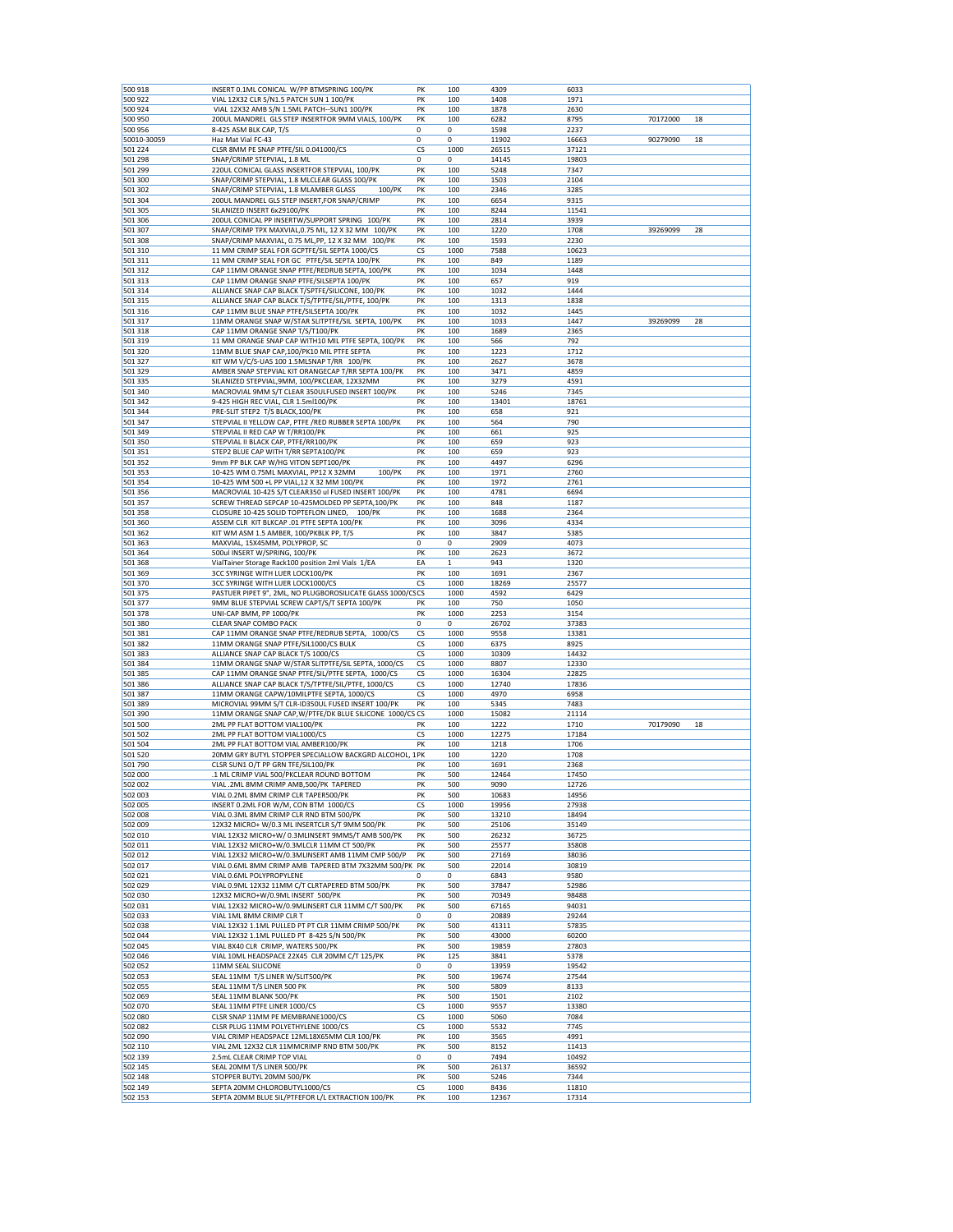| 500 918            | INSERT 0.1ML CONICAL W/PP BTMSPRING 100/PK                                         | PK          | 100         | 4309          | 6033           |          |    |
|--------------------|------------------------------------------------------------------------------------|-------------|-------------|---------------|----------------|----------|----|
| 500 922            | VIAL 12X32 CLR S/N1.5 PATCH SUN 1 100/PK                                           | PK          | 100         | 1408          | 1971           |          |    |
| 500 924            | VIAL 12X32 AMB S/N 1.5ML PATCH--SUN1 100/PK                                        | PK          | 100         | 1878          | 2630           |          |    |
| 500 950            | 200UL MANDREL GLS STEP INSERTFOR 9MM VIALS, 100/PK                                 | PK          | 100         | 6282          | 8795           | 70172000 | 18 |
| 500 956            | 8-425 ASM BLK CAP, T/S                                                             | $\mathbf 0$ | 0           | 1598          | 2237           |          |    |
| 50010-30059        | Haz Mat Vial FC-43                                                                 | 0           | 0           | 11902         | 16663          | 90279090 | 18 |
| 501 224            | CLSR 8MM PE SNAP PTFE/SIL 0.041000/CS                                              | CS          | 1000        | 26515         | 37121          |          |    |
|                    | SNAP/CRIMP STEPVIAL, 1.8 ML                                                        |             |             |               |                |          |    |
| 501 298            |                                                                                    | 0           | 0           | 14145         | 19803          |          |    |
| 501 299            | 220UL CONICAL GLASS INSERTFOR STEPVIAL, 100/PK                                     | PK          | 100         | 5248          | 7347           |          |    |
| 501 300            | SNAP/CRIMP STEPVIAL, 1.8 MLCLEAR GLASS 100/PK                                      | PK          | 100         | 1503          | 2104           |          |    |
| 501 302            | SNAP/CRIMP STEPVIAL, 1.8 MLAMBER GLASS<br>100/PK                                   | PK          | 100         | 2346          | 3285           |          |    |
| 501 304            | 200UL MANDREL GLS STEP INSERT, FOR SNAP/CRIMP                                      | PK          | 100         | 6654          | 9315           |          |    |
| 501 305            | SILANIZED INSERT 6x29100/PK                                                        | PK          | 100         | 8244          | 11541          |          |    |
|                    |                                                                                    |             |             |               |                |          |    |
| 501 306            | 200UL CONICAL PP INSERTW/SUPPORT SPRING 100/PK                                     | PK          | 100         | 2814          | 3939           |          |    |
| 501 307            | SNAP/CRIMP TPX MAXVIAL, 0.75 ML, 12 X 32 MM 100/PK                                 | PK          | 100         | 1220          | 1708           | 39269099 | 28 |
| 501 308            | SNAP/CRIMP MAXVIAL, 0.75 ML,PP, 12 X 32 MM 100/PK                                  | PK          | 100         | 1593          | 2230           |          |    |
| 501 310            | 11 MM CRIMP SEAL FOR GCPTFE/SIL SEPTA 1000/CS                                      | cs          | 1000        | 7588          | 10623          |          |    |
| 501 311            | 11 MM CRIMP SEAL FOR GC PTFE/SIL SEPTA 100/PK                                      | PK          | 100         | 849           | 1189           |          |    |
| 501 312            | CAP 11MM ORANGE SNAP PTFE/REDRUB SEPTA, 100/PK                                     | PK          | 100         | 1034          | 1448           |          |    |
|                    |                                                                                    |             |             |               |                |          |    |
| 501 313            | CAP 11MM ORANGE SNAP PTFE/SILSEPTA 100/PK                                          | PK          | 100         | 657           | 919            |          |    |
| 501 314            | ALLIANCE SNAP CAP BLACK T/SPTFE/SILICONE, 100/PK                                   | PK          | 100         | 1032          | 1444           |          |    |
| 501 315            | ALLIANCE SNAP CAP BLACK T/S/TPTFE/SIL/PTFE, 100/PK                                 | PK          | 100         | 1313          | 1838           |          |    |
| 501 316            | CAP 11MM BLUE SNAP PTFE/SILSEPTA 100/PK                                            | PK          | 100         | 1032          | 1445           |          |    |
| 501 317            | 11MM ORANGE SNAP W/STAR SLITPTFE/SIL SEPTA, 100/PK                                 | PK          | 100         | 1033          | 1447           | 39269099 | 28 |
| 501 318            | CAP 11MM ORANGE SNAP T/S/T100/PK                                                   | PK          | 100         | 1689          | 2365           |          |    |
|                    |                                                                                    |             |             |               |                |          |    |
| 501 319            | 11 MM ORANGE SNAP CAP WITH10 MIL PTFE SEPTA, 100/PK                                | PK          | 100         | 566           | 792            |          |    |
| 501 320            | 11MM BLUE SNAP CAP, 100/PK10 MIL PTFE SEPTA                                        | PK          | 100         | 1223          | 1712           |          |    |
| 501 327            | KIT WM V/C/S-UAS 100 1.5MLSNAP T/RR 100/PK                                         | PK          | 100         | 2627          | 3678           |          |    |
| 501 329            | AMBER SNAP STEPVIAL KIT ORANGECAP T/RR SEPTA 100/PK                                | PK          | 100         | 3471          | 4859           |          |    |
| 501 335            | SILANIZED STEPVIAL, 9MM, 100/PKCLEAR, 12X32MM                                      | PK          | 100         | 3279          | 4591           |          |    |
| 501 340            | MACROVIAL 9MM S/T CLEAR 350ULFUSED INSERT 100/PK                                   | PK          | 100         | 5246          | 7345           |          |    |
|                    |                                                                                    |             |             |               |                |          |    |
| 501 342            | 9-425 HIGH REC VIAL, CLR 1.5ml100/PK                                               | PK          | 100         | 13401         | 18761          |          |    |
| 501 344            | PRE-SLIT STEP2 T/S BLACK, 100/PK                                                   | PK          | 100         | 658           | 921            |          |    |
| 501 347            | STEPVIAL II YELLOW CAP, PTFE /RED RUBBER SEPTA 100/PK                              | PK          | 100         | 564           | 790            |          |    |
| 501 349            | STEPVIAL II RED CAP W T/RR100/PK                                                   | PK          | 100         | 661           | 925            |          |    |
| 501 350            | STEPVIAL II BLACK CAP, PTFE/RR100/PK                                               | PK          | 100         | 659           | 923            |          |    |
| 501 351            | STEP2 BLUE CAP WITH T/RR SEPTA100/PK                                               | PK          | 100         | 659           | 923            |          |    |
|                    |                                                                                    |             |             |               |                |          |    |
| 501 352            | 9mm PP BLK CAP W/HG VITON SEPT100/PK                                               | PK          | 100         | 4497          | 6296           |          |    |
| 501 353            | 10-425 WM 0.75ML MAXVIAL, PP12 X 32MM<br>100/PK                                    | PK          | 100         | 1971          | 2760           |          |    |
| 501 354            | 10-425 WM 500 +L PP VIAL.12 X 32 MM 100/PK                                         | PK          | 100         | 1972          | 2761           |          |    |
| 501 356            | MACROVIAL 10-425 S/T CLEAR350 ul FUSED INSERT 100/PK                               | PK          | 100         | 4781          | 6694           |          |    |
| 501 357            | SCREW THREAD SEPCAP 10-425MOLDED PP SEPTA,100/PK                                   | PK          | 100         | 848           | 1187           |          |    |
| 501358             | CLOSURE 10-425 SOLID TOPTEFLON LINED,<br>100/PK                                    | PK          | 100         | 1688          | 2364           |          |    |
|                    |                                                                                    |             |             |               |                |          |    |
| 501 360            | ASSEM CLR KIT BLKCAP .01 PTFE SEPTA 100/PK                                         | PK          | 100         | 3096          | 4334           |          |    |
| 501 362            | KIT WM ASM 1.5 AMBER, 100/PKBLK PP, T/S                                            | PK          | 100         | 3847          | 5385           |          |    |
| 501 363            | MAXVIAL, 15X45MM, POLYPROP, SC                                                     | $\mathbf 0$ | 0           | 2909          | 4073           |          |    |
| 501 364            | 500ul INSERT W/SPRING, 100/PK                                                      | PK          | 100         | 2623          | 3672           |          |    |
| 501 368            | VialTainer Storage Rack100 position 2ml Vials 1/EA                                 | EA          | 1           | 943           | 1320           |          |    |
|                    |                                                                                    | PK          | 100         |               |                |          |    |
| 501 369            | 3CC SYRINGE WITH LUER LOCK100/PK                                                   |             |             | 1691          | 2367           |          |    |
| 501 370            | 3CC SYRINGE WITH LUER LOCK1000/CS                                                  | <b>CS</b>   | 1000        | 18269         | 25577          |          |    |
| 501 375            | PASTUER PIPET 9", 2ML, NO PLUGBOROSILICATE GLASS 1000/CSCS                         |             | 1000        | 4592          | 6429           |          |    |
| 501 377            | 9MM BLUE STEPVIAL SCREW CAPT/S/T SEPTA 100/PK                                      | PK          | 100         | 750           | 1050           |          |    |
| 501 378            | UNI-CAP 8MM, PP 1000/PK                                                            | PK          | 1000        | 2253          | 3154           |          |    |
| 501 380            | CLEAR SNAP COMBO PACK                                                              | 0           | 0           | 26702         | 37383          |          |    |
|                    |                                                                                    |             |             |               |                |          |    |
| 501 381            | CAP 11MM ORANGE SNAP PTFE/REDRUB SEPTA, 1000/CS                                    | cs          | 1000        | 9558          | 13381          |          |    |
| 501 382            | 11MM ORANGE SNAP PTFE/SIL1000/CS BULK                                              | СS          | 1000        | 6375          | 8925           |          |    |
| 501 383            | ALLIANCE SNAP CAP BLACK T/S 1000/CS                                                | СS          | 1000        | 10309         | 14432          |          |    |
| 501 384            | 11MM ORANGE SNAP W/STAR SLITPTFE/SIL SEPTA, 1000/CS                                | СS          | 1000        | 8807          | 12330          |          |    |
| 501 385            | CAP 11MM ORANGE SNAP PTFE/SIL/PTFE SEPTA, 1000/CS                                  | CS          | 1000        | 16304         | 22825          |          |    |
| 501 386            | ALLIANCE SNAP CAP BLACK T/S/TPTFE/SIL/PTFE, 1000/CS                                | cs          | 1000        | 12740         | 17836          |          |    |
|                    |                                                                                    |             |             |               |                |          |    |
| 501 387            | 11MM ORANGE CAPW/10MILPTFE SEPTA, 1000/CS                                          | СS          | 1000        | 4970          | 6958           |          |    |
| 501 389            | MICROVIAL 99MM S/T CLR-ID350UL FUSED INSERT 100/PK                                 | PK          | 100         | 5345          | 7483           |          |    |
| 501 390            | 11MM ORANGE SNAP CAP, W/PTFE/DK BLUE SILICONE 1000/CS CS                           |             | 1000        | 15082         | 21114          |          |    |
| 501 500            | 2ML PP FLAT BOTTOM VIAL100/PK                                                      | PΚ          | 100         | 1222          | 1710           | 70179090 | 18 |
| 501 502            | 2ML PP FLAT BOTTOM VIAL1000/CS                                                     | <b>CS</b>   | 1000        | 12275         | 17184          |          |    |
| 501 504            | 2ML PP FLAT BOTTOM VIAL AMBER100/PK                                                | PK          | 100         | 1218          | 1706           |          |    |
|                    | 20MM GRY BUTYL STOPPER SPECIALLOW BACKGRD ALCOHOL, 1PK                             |             |             |               |                |          |    |
| 501 520            |                                                                                    |             | 100         | 1220          | 1708           |          |    |
| 501790             | CLSR SUN1 O/T PP GRN TFE/SIL100/PK                                                 | PK          | 100         | 1691          | 2368           |          |    |
| 502 000            | 1 ML CRIMP VIAL 500/PKCLEAR ROUND BOTTOM                                           | PK          | 500         | 12464         | 17450          |          |    |
| 502 002            | VIAL .2ML 8MM CRIMP AMB,500/PK TAPERED                                             | PK          | 500         | 9090          | 12726          |          |    |
| 502 003            | VIAL 0.2ML 8MM CRIMP CLR TAPER500/PK                                               | PK          | 500         | 10683         | 14956          |          |    |
| 502 005            | INSERT 0.2ML FOR W/M, CON BTM 1000/CS                                              | СS          | 1000        | 19956         | 27938          |          |    |
| 502 008            | VIAL 0.3ML 8MM CRIMP CLR RND BTM 500/PK                                            | PK          | 500         | 13210         | 18494          |          |    |
| 502 009            | 12X32 MICRO+ W/0.3 ML INSERTCLR S/T 9MM 500/PK                                     | PK          |             | 25106         |                |          |    |
|                    |                                                                                    |             | 500         |               | 35149          |          |    |
| 502 010            | VIAL 12X32 MICRO+W/ 0.3MLINSERT 9MMS/T AMB 500/PK                                  | PK          | 500         | 26232         | 36725          |          |    |
| 502 011            | VIAL 12X32 MICRO+W/0.3MLCLR 11MM CT 500/PK                                         | PK          | 500         | 25577         | 35808          |          |    |
| 502 012            |                                                                                    | PK          | 500         | 27169         | 38036          |          |    |
| 502 017            | VIAL 12X32 MICRO+W/0.3MLINSERT AMB 11MM CMP 500/P                                  |             |             |               |                |          |    |
| 502 021            | VIAL 0.6ML 8MM CRIMP AMB TAPERED BTM 7X32MM 500/PK PK                              |             | 500         | 22014         | 30819          |          |    |
| 502 029            |                                                                                    |             |             |               |                |          |    |
|                    | VIAL 0.6ML POLYPROPYLENE                                                           | $\mathbf 0$ | 0           | 6843          | 9580           |          |    |
| 502 030            | VIAL 0.9ML 12X32 11MM C/T CLRTAPERED BTM 500/PK                                    | PK          | 500         | 37847         | 52986          |          |    |
| 502 031            | 12X32 MICRO+W/0.9ML INSERT 500/PK                                                  | PK          | 500         | 70349         | 98488          |          |    |
|                    | VIAL 12X32 MICRO+W/0.9MLINSERT CLR 11MM C/T 500/PK                                 | PK          | 500         | 67165         | 94031          |          |    |
| 502 033            | VIAL 1ML 8MM CRIMP CLR T                                                           | 0           | 0           | 20889         | 29244          |          |    |
| 502 038            | VIAL 12X32 1.1ML PULLED PT PT CLR 11MM CRIMP 500/PK                                | PK          | 500         | 41311         | 57835          |          |    |
|                    |                                                                                    |             |             |               |                |          |    |
| 502 044            | VIAL 12X32 1.1ML PULLED PT 8-425 S/N 500/PK                                        | PK          | 500         | 43000         | 60200          |          |    |
| 502 045            | VIAL 8X40 CLR CRIMP, WATERS 500/PK                                                 | PK          | 500         | 19859         | 27803          |          |    |
| 502 046            | VIAL 10ML HEADSPACE 22X45 CLR 20MM C/T 125/PK                                      | PK          | 125         | 3841          | 5378           |          |    |
| 502 052            | 11MM SEAL SILICONE                                                                 | 0           | 0           | 13959         | 19542          |          |    |
| 502 053            | SEAL 11MM T/S LINER W/SLIT500/PK                                                   | PK          | 500         | 19674         | 27544          |          |    |
|                    |                                                                                    |             |             |               |                |          |    |
| 502 055            | SEAL 11MM T/S LINER 500 PK                                                         | PK          | 500         | 5809          | 8133           |          |    |
| 502 069            | SEAL 11MM BLANK 500/PK                                                             | PK          | 500         | 1501          | 2102           |          |    |
| 502 070            | SEAL 11MM PTFE LINER 1000/CS                                                       | CS          | 1000        | 9557          | 13380          |          |    |
| 502 080            | CLSR SNAP 11MM PE MEMBRANE1000/CS                                                  | <b>CS</b>   | 1000        | 5060          | 7084           |          |    |
| 502 082            | CLSR PLUG 11MM POLYETHYLENE 1000/CS                                                | СS          | 1000        | 5532          | 7745           |          |    |
| 502 090            | VIAL CRIMP HEADSPACE 12ML18X65MM CLR 100/PK                                        | PK          | 100         | 3565          | 4991           |          |    |
| 502 110            | VIAL 2ML 12X32 CLR 11MMCRIMP RND BTM 500/PK                                        | PK          | 500         | 8152          | 11413          |          |    |
|                    |                                                                                    |             |             |               |                |          |    |
| 502 139            | 2.5mL CLEAR CRIMP TOP VIAL                                                         | 0           | 0           | 7494          | 10492          |          |    |
| 502 145            | SEAL 20MM T/S LINER 500/PK                                                         | PK          | 500         | 26137         | 36592          |          |    |
| 502 148            | STOPPER BUTYL 20MM 500/PK                                                          | PK          | 500         | 5246          | 7344           |          |    |
| 502 149<br>502 153 | SEPTA 20MM CHLOROBUTYL1000/CS<br>SEPTA 20MM BLUE SIL/PTFEFOR L/L EXTRACTION 100/PK | СS<br>PK    | 1000<br>100 | 8436<br>12367 | 11810<br>17314 |          |    |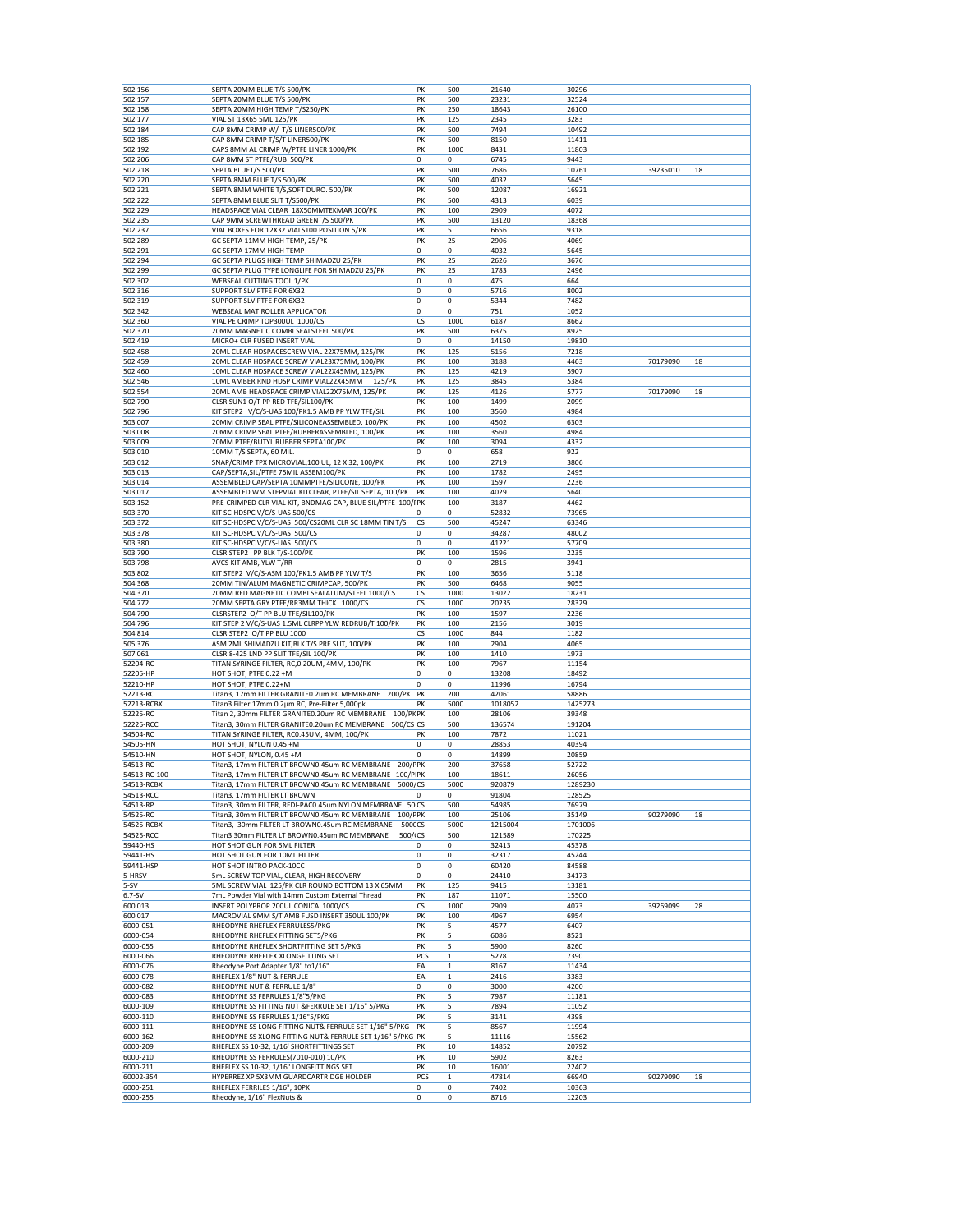|                       | SEPTA 20MM BLUE T/S 500/PK                                                                                            | PK          | 500               | 21640          | 30296            |          |    |
|-----------------------|-----------------------------------------------------------------------------------------------------------------------|-------------|-------------------|----------------|------------------|----------|----|
| 502 157               | SEPTA 20MM BLUE T/S 500/PK                                                                                            | PK          | 500               | 23231          | 32524            |          |    |
| 502 158               | SEPTA 20MM HIGH TEMP T/S250/PK                                                                                        | PK          | 250               | 18643          | 26100            |          |    |
| 502 177               | VIAL ST 13X65 5ML 125/PK                                                                                              | PK          | 125               | 2345           | 3283             |          |    |
| 502 184               | CAP 8MM CRIMP W/ T/S LINER500/PK                                                                                      | PK          | 500               | 7494           | 10492            |          |    |
| 502 185               | CAP 8MM CRIMP T/S/T LINER500/PK                                                                                       | PK          | 500               | 8150           | 11411            |          |    |
| 502 192               | CAPS 8MM AL CRIMP W/PTFE LINER 1000/PK                                                                                | PK          | 1000              | 8431           | 11803            |          |    |
| 502 206<br>502 218    | CAP 8MM ST PTFE/RUB 500/PK<br>SEPTA BLUET/S 500/PK                                                                    | 0<br>PK     | 0<br>500          | 6745<br>7686   | 9443<br>10761    | 39235010 | 18 |
| 502 220               | SEPTA 8MM BLUE T/S 500/PK                                                                                             | PK          | 500               | 4032           | 5645             |          |    |
| 502 221               | SEPTA 8MM WHITE T/S, SOFT DURO. 500/PK                                                                                | PK          | 500               | 12087          | 16921            |          |    |
| 502 222               | SEPTA 8MM BLUE SLIT T/S500/PK                                                                                         | PK          | 500               | 4313           | 6039             |          |    |
| 502 229               | HEADSPACE VIAL CLEAR 18X50MMTEKMAR 100/PK                                                                             | PK          | 100               | 2909           | 4072             |          |    |
| 502 235               | CAP 9MM SCREWTHREAD GREENT/S 500/PK                                                                                   | PK          | 500               | 13120          | 18368            |          |    |
| 502 237               | VIAL BOXES FOR 12X32 VIALS100 POSITION 5/PK                                                                           | PK          | 5                 | 6656           | 9318             |          |    |
| 502 289               | GC SEPTA 11MM HIGH TEMP, 25/PK                                                                                        | PK          | 25                | 2906           | 4069             |          |    |
| 502 291               | GC SEPTA 17MM HIGH TEMP                                                                                               | 0           | $\mathbf 0$       | 4032           | 5645             |          |    |
| 502 294               | GC SEPTA PLUGS HIGH TEMP SHIMADZU 25/PK                                                                               | PK          | 25                | 2626           | 3676             |          |    |
| 502 299               | GC SEPTA PLUG TYPE LONGLIFE FOR SHIMADZU 25/PK                                                                        | PK          | 25                | 1783           | 2496             |          |    |
| 502 302               | WEBSEAL CUTTING TOOL 1/PK                                                                                             | 0           | 0                 | 475            | 664              |          |    |
| 502 316               | SUPPORT SLV PTFE FOR 6X32                                                                                             | 0           | 0                 | 5716           | 8002             |          |    |
| 502 319               | SUPPORT SLV PTFE FOR 6X32                                                                                             | 0           | 0                 | 5344           | 7482             |          |    |
| 502 342               | WEBSEAL MAT ROLLER APPLICATOR                                                                                         | $\mathbf 0$ | 0                 | 751            | 1052             |          |    |
| 502 360               | VIAL PE CRIMP TOP300UL 1000/CS                                                                                        | CS          | 1000              | 6187           | 8662             |          |    |
| 502 370               | 20MM MAGNETIC COMBI SEALSTEEL 500/PK                                                                                  | PK          | 500               | 6375           | 8925             |          |    |
| 502 419               | MICRO+ CLR FUSED INSERT VIAL                                                                                          | 0           | 0                 | 14150          | 19810            |          |    |
| 502 458               | 20ML CLEAR HDSPACESCREW VIAL 22X75MM, 125/PK                                                                          | PK          | 125               | 5156           | 7218             |          |    |
| 502 459               | 20ML CLEAR HDSPACE SCREW VIAL23X75MM, 100/PK                                                                          | PK          | 100               | 3188           | 4463             | 70179090 | 18 |
| 502 460               | 10ML CLEAR HDSPACE SCREW VIAL22X45MM, 125/PK                                                                          | PK          | 125               | 4219           | 5907             |          |    |
| 502 546               | 10ML AMBER RND HDSP CRIMP VIAL22X45MM 125/PK                                                                          | PK          | 125               | 3845           | 5384             |          |    |
| 502 554               | 20ML AMB HEADSPACE CRIMP VIAL22X75MM, 125/PK                                                                          | PK          | 125               | 4126           | 5777             | 70179090 | 18 |
| 502 790               | CLSR SUN1 O/T PP RED TFE/SIL100/PK                                                                                    | PK          | 100               | 1499           | 2099             |          |    |
| 502 796               | KIT STEP2 V/C/S-UAS 100/PK1.5 AMB PP YLW TFE/SIL                                                                      | PK          | 100               | 3560           | 4984             |          |    |
| 503 007               | 20MM CRIMP SEAL PTFE/SILICONEASSEMBLED, 100/PK                                                                        | PK          | 100               | 4502           | 6303             |          |    |
| 503 008               | 20MM CRIMP SEAL PTFE/RUBBERASSEMBLED, 100/PK                                                                          | PK          | 100               | 3560           | 4984             |          |    |
| 503 009               | 20MM PTFE/BUTYL RUBBER SEPTA100/PK                                                                                    | PK          | 100               | 3094           | 4332             |          |    |
| 503 010               | 10MM T/S SEPTA, 60 MIL.                                                                                               | 0           | 0                 | 658            | 922              |          |    |
| 503 012               | SNAP/CRIMP TPX MICROVIAL, 100 UL, 12 X 32, 100/PK                                                                     | PK          | 100               | 2719           | 3806             |          |    |
| 503 013               | CAP/SEPTA, SIL/PTFE 75MIL ASSEM100/PK                                                                                 | PK          | 100               | 1782           | 2495             |          |    |
| 503 014<br>503 017    | ASSEMBLED CAP/SEPTA 10MMPTFE/SILICONE, 100/PK                                                                         | PK<br>PK    | 100<br>100        | 1597<br>4029   | 2236<br>5640     |          |    |
| 503 152               | ASSEMBLED WM STEPVIAL KITCLEAR, PTFE/SIL SEPTA, 100/PK<br>PRE-CRIMPED CLR VIAL KIT, BNDMAG CAP, BLUE SIL/PTFE 100/IPK |             | 100               | 3187           | 4462             |          |    |
| 503 370               | KIT SC-HDSPC V/C/S-UAS 500/CS                                                                                         | 0           | 0                 | 52832          | 73965            |          |    |
| 503 372               | KIT SC-HDSPC V/C/S-UAS 500/CS20ML CLR SC 18MM TIN T/S                                                                 | CS          | 500               | 45247          | 63346            |          |    |
| 503 378               | KIT SC-HDSPC V/C/S-UAS 500/CS                                                                                         | 0           | 0                 | 34287          | 48002            |          |    |
| 503 380               | KIT SC-HDSPC V/C/S-UAS 500/CS                                                                                         | 0           | 0                 | 41221          | 57709            |          |    |
| 503 790               | CLSR STEP2 PP BLK T/S-100/PK                                                                                          | PK          | 100               | 1596           | 2235             |          |    |
| 503 798               | AVCS KIT AMB, YLW T/RR                                                                                                | 0           | 0                 | 2815           | 3941             |          |    |
| 503 802               | KIT STEP2 V/C/S-ASM 100/PK1.5 AMB PP YLW T/S                                                                          | PK          | 100               | 3656           | 5118             |          |    |
| 504 368               | 20MM TIN/ALUM MAGNETIC CRIMPCAP, 500/PK                                                                               | PK          | 500               | 6468           | 9055             |          |    |
| 504 370               | 20MM RED MAGNETIC COMBI SEALALUM/STEEL 1000/CS                                                                        | CS          | 1000              | 13022          | 18231            |          |    |
| 504 772               | 20MM SEPTA GRY PTFE/RR3MM THICK 1000/CS                                                                               | CS          | 1000              | 20235          | 28329            |          |    |
| 504 790               | CLSRSTEP2 O/T PP BLU TFE/SIL100/PK                                                                                    | PK          | 100               | 1597           | 2236             |          |    |
|                       |                                                                                                                       | PK          |                   |                |                  |          |    |
| 504 796               | KIT STEP 2 V/C/S-UAS 1.5ML CLRPP YLW REDRUB/T 100/PK                                                                  |             | 100               | 2156           | 3019             |          |    |
| 504 814               | CLSR STEP2 O/T PP BLU 1000                                                                                            | CS          | 1000              | 844            | 1182             |          |    |
| 505 376               | ASM 2ML SHIMADZU KIT, BLK T/S PRE SLIT, 100/PK                                                                        | PK          | 100               | 2904           | 4065             |          |    |
| 507 061               | CLSR 8-425 LND PP SLIT TFE/SIL 100/PK                                                                                 | PK          | 100               | 1410           | 1973             |          |    |
| 52204-RC              | TITAN SYRINGE FILTER, RC, 0.20UM, 4MM, 100/PK                                                                         | PK          | 100               | 7967           | 11154            |          |    |
| 52205-HP              | HOT SHOT, PTFE 0.22 +M                                                                                                | 0           | 0                 | 13208          | 18492            |          |    |
| 52210-HP              | HOT SHOT, PTFE 0.22+M                                                                                                 | 0           | 0                 | 11996          | 16794            |          |    |
| 52213-RC              | Titan3, 17mm FILTER GRANITEO.2um RC MEMBRANE 200/PK                                                                   | PK          | 200               | 42061          | 58886            |          |    |
| 52213-RCBX            | Titan3 Filter 17mm 0.2um RC, Pre-Filter 5,000pk                                                                       | PK          | 5000              | 1018052        | 1425273          |          |    |
| 52225-RC              | Titan 2, 30mm FILTER GRANITEO.20um RC MEMBRANE<br>100/PK PK                                                           |             | 100               | 28106          | 39348            |          |    |
| 52225-RCC             | Titan3, 30mm FILTER GRANITE0.20um RC MEMBRANE<br>500/CS CS                                                            |             | 500               | 136574         | 191204           |          |    |
| 54504-RC              | TITAN SYRINGE FILTER, RC0.45UM, 4MM, 100/PK                                                                           | PK          | 100               | 7872           | 11021            |          |    |
| 54505-HN              | HOT SHOT, NYLON 0.45 +M                                                                                               | 0           | 0                 | 28853          | 40394            |          |    |
| 54510-HN              | HOT SHOT, NYLON, 0.45 +M                                                                                              | 0           | 0                 | 14899          | 20859            |          |    |
| 54513-RC              | Titan3, 17mm FILTER LT BROWN0.45um RC MEMBRANE<br>200/FPK                                                             |             | 200               | 37658          | 52722            |          |    |
| 54513-RC-100          | Titan3, 17mm FILTER LT BROWN0.45um RC MEMBRANE 100/P PK                                                               |             | 100               | 18611          | 26056            |          |    |
| 54513-RCBX            | 5000/CS<br>Titan3, 17mm FILTER LT BROWN0.45um RC MEMBRANE                                                             |             | 5000              | 920879         | 1289230          |          |    |
| 54513-RCC             | Titan3, 17mm FILTER LT BROWN                                                                                          | 0           | 0                 | 91804          | 128525           |          |    |
| 54513-RP              | Titan3, 30mm FILTER, REDI-PAC0.45um NYLON MEMBRANE 50 CS                                                              |             | 500               | 54985          | 76979            |          |    |
| 54525-RC              | Titan3, 30mm FILTER LT BROWN0.45um RC MEMBRANE<br>100/FPK<br>5000CS                                                   |             | 100               | 25106          | 35149<br>1701006 | 90279090 | 18 |
| 54525-RCBX            | Titan3, 30mm FILTER LT BROWN0.45um RC MEMBRANE                                                                        |             | 5000              | 1215004        |                  |          |    |
| 54525-RCC             | Titan3 30mm FILTER LT BROWN0.45um RC MEMBRANE<br>500/ <sub>1</sub> CS                                                 |             | 500               | 121589         | 170225           |          |    |
| 59440-HS              | HOT SHOT GUN FOR 5ML FILTER                                                                                           | 0           | 0                 | 32413          | 45378            |          |    |
| 59441-HS<br>59441-HSP | HOT SHOT GUN FOR 10ML FILTER<br>HOT SHOT INTRO PACK-10CC                                                              | 0<br>0      | 0<br>0            | 32317<br>60420 | 45244<br>84588   |          |    |
| 5-HRSV                | 5mL SCREW TOP VIAL, CLEAR, HIGH RECOVERY                                                                              | 0           | 0                 | 24410          | 34173            |          |    |
| $5-SV$                | 5ML SCREW VIAL 125/PK CLR ROUND BOTTOM 13 X 65MM                                                                      | PK          | 125               | 9415           | 13181            |          |    |
| $6.7-SV$              | 7mL Powder Vial with 14mm Custom External Thread                                                                      | PK          | 187               | 11071          | 15500            |          |    |
| 600 013               | INSERT POLYPROP 200UL CONICAL1000/CS                                                                                  | CS          | 1000              | 2909           | 4073             | 39269099 | 28 |
| 600 017               | MACROVIAL 9MM S/T AMB FUSD INSERT 350UL 100/PK                                                                        | PK          | 100               | 4967           | 6954             |          |    |
| 6000-051              | RHEODYNE RHEFLEX FERRULES5/PKG                                                                                        | PK          | 5                 | 4577           | 6407             |          |    |
| 6000-054              | RHEODYNE RHEFLEX FITTING SET5/PKG                                                                                     | PK          | 5                 | 6086           | 8521             |          |    |
| 6000-055              | RHEODYNE RHEFLEX SHORTFITTING SET 5/PKG                                                                               | PK          | 5                 | 5900           | 8260             |          |    |
| 6000-066              | RHEODYNE RHEFLEX XLONGFITTING SET                                                                                     | PCS         | $\mathbf 1$       | 5278           | 7390             |          |    |
| 6000-076              | Rheodyne Port Adapter 1/8" to1/16"                                                                                    | EA          | $\mathbf 1$       | 8167           | 11434            |          |    |
| 6000-078              | RHEFLEX 1/8" NUT & FERRULE                                                                                            | EA          | $\mathbf 1$       | 2416           | 3383             |          |    |
| 6000-082              | RHEODYNE NUT & FERRULE 1/8"                                                                                           | 0           | 0                 | 3000           | 4200             |          |    |
| 6000-083              | RHEODYNE SS FERRULES 1/8"5/PKG                                                                                        | PK          | 5                 | 7987           | 11181            |          |    |
| 6000-109              | RHEODYNE SS FITTING NUT &FERRULE SET 1/16" 5/PKG                                                                      | PK          | 5                 | 7894           | 11052            |          |    |
| 6000-110              | RHEODYNE SS FERRULES 1/16"5/PKG                                                                                       | PK          | 5                 | 3141           | 4398             |          |    |
| 6000-111              | RHEODYNE SS LONG FITTING NUT& FERRULE SET 1/16" 5/PKG                                                                 | PK          | 5                 | 8567           | 11994            |          |    |
| 6000-162              | RHEODYNE SS XLONG FITTING NUT& FERRULE SET 1/16" 5/PKG PK                                                             |             | 5                 | 11116          | 15562            |          |    |
| 6000-209              | RHEFLEX SS 10-32, 1/16' SHORTFITTINGS SET                                                                             | PK          | 10                | 14852          | 20792            |          |    |
| 6000-210              | RHEODYNE SS FERRULES(7010-010) 10/PK                                                                                  | PK          | 10                | 5902           | 8263             |          |    |
| 6000-211              | RHEFLEX SS 10-32, 1/16" LONGFITTINGS SET                                                                              | PK          | 10                | 16001          | 22402            |          |    |
| 60002-354<br>6000-251 | HYPERREZ XP 5X3MM GUARDCARTRIDGE HOLDER<br>RHEFLEX FERRILES 1/16", 10PK                                               | PCS<br>0    | $\mathbf{1}$<br>0 | 47814<br>7402  | 66940<br>10363   | 90279090 | 18 |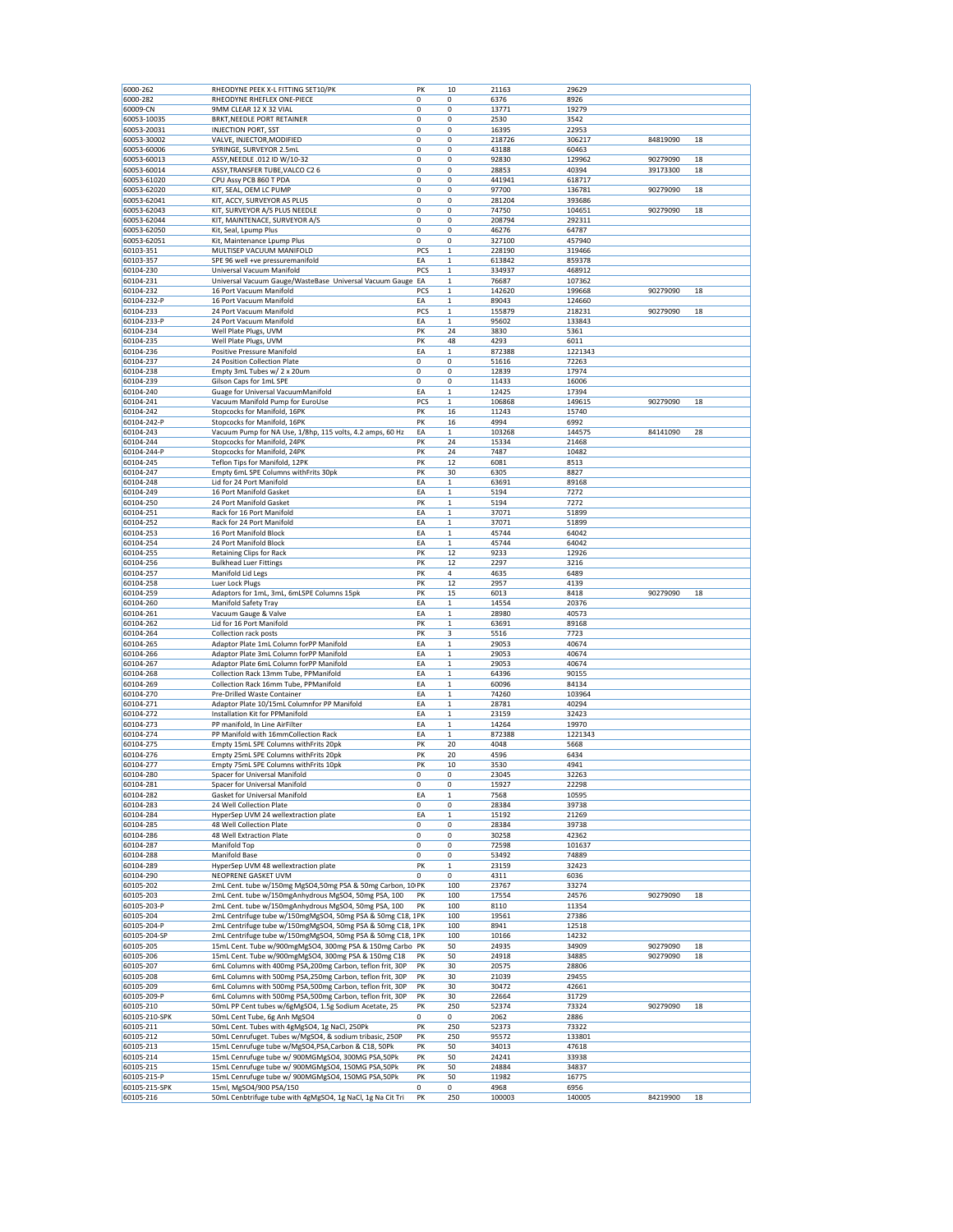| 6000-262                   | RHEODYNE PEEK X-L FITTING SET10/PK                                                    | PK          | 10           | 21163          | 29629          |          |    |
|----------------------------|---------------------------------------------------------------------------------------|-------------|--------------|----------------|----------------|----------|----|
| 6000-282                   | RHEODYNE RHEFLEX ONE-PIECE                                                            | 0           | 0            | 6376           | 8926           |          |    |
| 60009-CN                   | 9MM CLEAR 12 X 32 VIAL                                                                | 0           | 0            | 13771          | 19279          |          |    |
| 60053-10035                | BRKT, NEEDLE PORT RETAINER                                                            | 0           | 0            | 2530           | 3542           |          |    |
|                            |                                                                                       |             |              |                |                |          |    |
| 60053-20031                | <b>INJECTION PORT, SST</b>                                                            | 0           | 0            | 16395          | 22953          |          |    |
| 60053-30002                | VALVE, INJECTOR, MODIFIED                                                             | 0           | 0            | 218726         | 306217         | 84819090 | 18 |
| 60053-60006                | SYRINGE, SURVEYOR 2.5mL                                                               | 0           | 0            | 43188          | 60463          |          |    |
| 60053-60013                | ASSY, NEEDLE .012 ID W/10-32                                                          | 0           | $\pmb{0}$    | 92830          | 129962         | 90279090 | 18 |
| 60053-60014                | ASSY, TRANSFER TUBE, VALCO C2 6                                                       | 0           | 0            | 28853          | 40394          | 39173300 | 18 |
| 60053-61020                | CPU Assy PCB 860 T PDA                                                                | 0           | 0            | 441941         | 618717         |          |    |
| 60053-62020                | KIT, SEAL, OEM LC PUMP                                                                | 0           | 0            | 97700          | 136781         | 90279090 | 18 |
| 60053-62041                | KIT, ACCY, SURVEYOR AS PLUS                                                           | 0           | 0            | 281204         | 393686         |          |    |
|                            |                                                                                       |             |              |                |                |          |    |
| 60053-62043                | KIT, SURVEYOR A/S PLUS NEEDLE                                                         | $\mathbf 0$ | 0            | 74750          | 104651         | 90279090 | 18 |
| 60053-62044                | KIT, MAINTENACE, SURVEYOR A/S                                                         | 0           | 0            | 208794         | 292311         |          |    |
| 60053-62050                | Kit, Seal, Lpump Plus                                                                 | 0           | 0            | 46276          | 64787          |          |    |
| 60053-62051                | Kit, Maintenance Lpump Plus                                                           | $\mathbf 0$ | 0            | 327100         | 457940         |          |    |
| 60103-351                  | MULTISEP VACUUM MANIFOLD                                                              | PCS         | $\mathbf 1$  | 228190         | 319466         |          |    |
| 60103-357                  | SPE 96 well +ve pressuremanifold                                                      | EA          | $\mathbf 1$  | 613842         | 859378         |          |    |
| 60104-230                  | Universal Vacuum Manifold                                                             | PCS         | $\mathbf 1$  | 334937         | 468912         |          |    |
|                            |                                                                                       |             |              |                |                |          |    |
| 60104-231                  | Universal Vacuum Gauge/WasteBase Universal Vacuum Gauge EA                            |             | $\mathbf 1$  | 76687          | 107362         |          |    |
| 60104-232                  | 16 Port Vacuum Manifold                                                               | PCS         | $\mathbf 1$  | 142620         | 199668         | 90279090 | 18 |
| 60104-232-P                | 16 Port Vacuum Manifold                                                               | EA          | $\mathbf 1$  | 89043          | 124660         |          |    |
| 60104-233                  | 24 Port Vacuum Manifold                                                               | PCS         | $\mathbf 1$  | 155879         | 218231         | 90279090 | 18 |
| 60104-233-P                | 24 Port Vacuum Manifold                                                               | EA          | $\mathbf 1$  | 95602          | 133843         |          |    |
| 60104-234                  | Well Plate Plugs, UVM                                                                 | PK          | 24           | 3830           | 5361           |          |    |
| 60104-235                  | Well Plate Plugs, UVM                                                                 | PK          | 48           | 4293           | 6011           |          |    |
|                            |                                                                                       |             |              |                |                |          |    |
| 60104-236                  | Positive Pressure Manifold                                                            | EA          | $\mathbf 1$  | 872388         | 1221343        |          |    |
| 60104-237                  | 24 Position Collection Plate                                                          | 0           | 0            | 51616          | 72263          |          |    |
| 60104-238                  | Empty 3mL Tubes w/ 2 x 20um                                                           | 0           | 0            | 12839          | 17974          |          |    |
| 60104-239                  | Gilson Caps for 1mL SPE                                                               | 0           | 0            | 11433          | 16006          |          |    |
| 60104-240                  | Guage for Universal VacuumManifold                                                    | EA          | $\mathbf 1$  | 12425          | 17394          |          |    |
| 60104-241                  | Vacuum Manifold Pump for EuroUse                                                      | PCS         | $\mathbf{1}$ | 106868         | 149615         | 90279090 | 18 |
|                            |                                                                                       |             |              |                |                |          |    |
| 60104-242                  | Stopcocks for Manifold, 16PK                                                          | PK          | 16           | 11243          | 15740          |          |    |
| 60104-242-P                | Stopcocks for Manifold, 16PK                                                          | PK          | 16           | 4994           | 6992           |          |    |
| 60104-243                  | Vacuum Pump for NA Use, 1/8hp, 115 volts, 4.2 amps, 60 Hz                             | EA          | $\mathbf 1$  | 103268         | 144575         | 84141090 | 28 |
| 60104-244                  | Stopcocks for Manifold, 24PK                                                          | PK          | 24           | 15334          | 21468          |          |    |
| 60104-244-P                | Stopcocks for Manifold, 24PK                                                          | PK          | 24           | 7487           | 10482          |          |    |
| 60104-245                  |                                                                                       | PK          |              |                |                |          |    |
|                            | Teflon Tips for Manifold, 12PK                                                        |             | 12           | 6081           | 8513           |          |    |
| 60104-247                  | Empty 6mL SPE Columns withFrits 30pk                                                  | PK          | 30           | 6305           | 8827           |          |    |
| 60104-248                  | Lid for 24 Port Manifold                                                              | ΕA          | $\mathbf 1$  | 63691          | 89168          |          |    |
| 60104-249                  | 16 Port Manifold Gasket                                                               | ΕA          | $\mathbf 1$  | 5194           | 7272           |          |    |
| 60104-250                  | 24 Port Manifold Gasket                                                               | PK          | $\mathbf 1$  | 5194           | 7272           |          |    |
| 60104-251                  | Rack for 16 Port Manifold                                                             | EA          | $\mathbf 1$  | 37071          | 51899          |          |    |
|                            |                                                                                       |             |              |                |                |          |    |
| 60104-252                  | Rack for 24 Port Manifold                                                             | EA          | $\mathbf 1$  | 37071          | 51899          |          |    |
| 60104-253                  | 16 Port Manifold Block                                                                | EA          | $\mathbf 1$  | 45744          | 64042          |          |    |
| 60104-254                  | 24 Port Manifold Block                                                                | EA          | $\mathbf 1$  | 45744          | 64042          |          |    |
| 60104-255                  | Retaining Clips for Rack                                                              | PK          | 12           | 9233           | 12926          |          |    |
| 60104-256                  | <b>Bulkhead Luer Fittings</b>                                                         | PK          | 12           | 2297           | 3216           |          |    |
| 60104-257                  | Manifold Lid Legs                                                                     | PK          | 4            | 4635           | 6489           |          |    |
|                            |                                                                                       |             |              |                |                |          |    |
| 60104-258                  | Luer Lock Plugs                                                                       | PK          | 12           | 2957           | 4139           |          |    |
| 60104-259                  | Adaptors for 1mL, 3mL, 6mLSPE Columns 15pk                                            | PK          | 15           | 6013           | 8418           | 90279090 | 18 |
| 60104-260                  | Manifold Safety Tray                                                                  | EA          | $\mathbf 1$  | 14554          | 20376          |          |    |
| 60104-261                  | Vacuum Gauge & Valve                                                                  | EA          | $\mathbf 1$  | 28980          | 40573          |          |    |
| 60104-262                  | Lid for 16 Port Manifold                                                              | PK          | $\mathbf 1$  | 63691          | 89168          |          |    |
| 60104-264                  |                                                                                       | PK          | 3            |                | 7723           |          |    |
|                            | Collection rack posts                                                                 |             |              | 5516           |                |          |    |
| 60104-265                  | Adaptor Plate 1mL Column forPP Manifold                                               | EA          | $\mathbf 1$  | 29053          | 40674          |          |    |
| 60104-266                  | Adaptor Plate 3mL Column forPP Manifold                                               | EA          | $\mathbf 1$  | 29053          | 40674          |          |    |
| 60104-267                  | Adaptor Plate 6mL Column forPP Manifold                                               | EA          | $\mathbf 1$  | 29053          | 40674          |          |    |
| 60104-268                  | Collection Rack 13mm Tube, PPManifold                                                 | ΕA          | $\mathbf 1$  | 64396          | 90155          |          |    |
| 60104-269                  | Collection Rack 16mm Tube, PPManifold                                                 | EA          | $\mathbf 1$  | 60096          | 84134          |          |    |
| 60104-270                  | Pre-Drilled Waste Container                                                           | EA          | $\mathbf 1$  | 74260          | 103964         |          |    |
|                            |                                                                                       |             |              |                |                |          |    |
| 60104-271                  | Adaptor Plate 10/15mL Columnfor PP Manifold                                           | EA          | $\mathbf 1$  | 28781          | 40294          |          |    |
| 60104-272                  | Installation Kit for PPManifold                                                       | EA          | $\mathbf 1$  | 23159          | 32423          |          |    |
| 60104-273                  | PP manifold, In Line AirFilter                                                        | EA          | $\mathbf 1$  | 14264          | 19970          |          |    |
| 60104-274                  | PP Manifold with 16mmCollection Rack                                                  | ΕA          | $\mathbf 1$  | 872388         | 1221343        |          |    |
| 60104-275                  | Empty 15mL SPE Columns with Frits 20pk                                                | PK          | 20           | 4048           | 5668           |          |    |
| 60104-276                  | Empty 25mL SPE Columns withFrits 20pk                                                 | PK          | 20           | 4596           | 6434           |          |    |
|                            |                                                                                       |             |              |                |                |          |    |
| 60104-277                  | Empty 75mL SPE Columns with Frits 10pk                                                | PK          | 10           | 3530           | 4941           |          |    |
| 60104-280                  | Spacer for Universal Manifold                                                         | $\mathbf 0$ | 0            | 23045          | 32263          |          |    |
| 60104-281                  | Spacer for Universal Manifold                                                         | 0           | 0            | 15927          | 22298          |          |    |
| 60104-282                  | Gasket for Universal Manifold                                                         | EA          | $\mathbf 1$  | 7568           | 10595          |          |    |
| 60104-283                  | 24 Well Collection Plate                                                              | 0           | 0            | 28384          | 39738          |          |    |
| 60104-284                  | HyperSep UVM 24 wellextraction plate                                                  | EA          | $\mathbf 1$  | 15192          | 21269          |          |    |
| 60104-285                  | 48 Well Collection Plate                                                              | $\mathbf 0$ | 0            | 28384          | 39738          |          |    |
| 60104-286                  | 48 Well Extraction Plate                                                              | 0           | 0            | 30258          | 42362          |          |    |
|                            |                                                                                       |             |              |                |                |          |    |
| 60104-287                  | Manifold Top                                                                          | 0           | 0            | 72598          | 101637         |          |    |
| 60104-288                  | Manifold Base                                                                         | 0           | 0            | 53492          | 74889          |          |    |
| 60104-289                  | HyperSep UVM 48 wellextraction plate                                                  | PK          | $\mathbf 1$  | 23159          | 32423          |          |    |
| 60104-290                  |                                                                                       | 0           | 0            | 4311           | 6036           |          |    |
| 60105-202                  | NEOPRENE GASKET UVM                                                                   |             |              |                |                |          |    |
| 60105-203                  |                                                                                       |             |              |                |                |          |    |
|                            | 2mL Cent. tube w/150mg MgSO4,50mg PSA & 50mg Carbon, 10 PK                            |             | 100          | 23767          | 33274          |          |    |
| 60105-203-P                | 2mL Cent. tube w/150mgAnhydrous MgSO4, 50mg PSA, 100                                  | PK          | 100          | 17554          | 24576          | 90279090 | 18 |
|                            | 2mL Cent. tube w/150mgAnhydrous MgSO4, 50mg PSA, 100                                  | PK          | 100          | 8110           | 11354          |          |    |
| 60105-204                  | 2mL Centrifuge tube w/150mgMgSO4, 50mg PSA & 50mg C18, 1PK                            |             | 100          | 19561          | 27386          |          |    |
| 60105-204-P                | 2mL Centrifuge tube w/150mgMgSO4, 50mg PSA & 50mg C18, 1PK                            |             | 100          | 8941           | 12518          |          |    |
| 60105-204-SP               | 2mL Centrifuge tube w/150mgMgSO4, 50mg PSA & 50mg C18, 1PK                            |             | 100          | 10166          | 14232          |          |    |
|                            |                                                                                       |             |              |                |                |          |    |
| 60105-205                  | 15mL Cent. Tube w/900mgMgSO4, 300mg PSA & 150mg Carbo PK                              |             | 50           | 24935          | 34909          | 90279090 | 18 |
| 60105-206                  | 15mL Cent. Tube w/900mgMgSO4, 300mg PSA & 150mg C18                                   | PK          | 50           | 24918          | 34885          | 90279090 | 18 |
| 60105-207                  | 6mL Columns with 400mg PSA, 200mg Carbon, teflon frit, 30P                            | PK          | 30           | 20575          | 28806          |          |    |
| 60105-208                  | 6mL Columns with 500mg PSA, 250mg Carbon, teflon frit, 30P                            | PK          | 30           | 21039          | 29455          |          |    |
| 60105-209                  | 6mL Columns with 500mg PSA,500mg Carbon, teflon frit, 30P                             | PK          | 30           | 30472          | 42661          |          |    |
|                            |                                                                                       |             |              |                |                |          |    |
| 60105-209-P                | 6mL Columns with 500mg PSA,500mg Carbon, teflon frit, 30P                             | PK          | 30           | 22664          | 31729          |          |    |
| 60105-210                  | 50mL PP Cent tubes w/6gMgSO4, 1.5g Sodium Acetate, 25                                 | PK          | 250          | 52374          | 73324          | 90279090 | 18 |
| 60105-210-SPK              | 50mL Cent Tube, 6g Anh MgSO4                                                          | 0           | 0            | 2062           | 2886           |          |    |
| 60105-211                  | 50mL Cent. Tubes with 4gMgSO4, 1g NaCl, 250Pk                                         | PK          | 250          | 52373          | 73322          |          |    |
| 60105-212                  | 50mL Cenrufuget. Tubes w/MgSO4, & sodium tribasic, 250P                               | PK          | 250          | 95572          | 133801         |          |    |
| 60105-213                  | 15mL Cenrufuge tube w/MgSO4,PSA,Carbon & C18, 50Pk                                    | PK          | 50           | 34013          | 47618          |          |    |
|                            |                                                                                       |             |              |                |                |          |    |
| 60105-214                  | 15mL Cenrufuge tube w/ 900MGMgSO4, 300MG PSA,50Pk                                     | PK          | 50           | 24241          | 33938          |          |    |
| 60105-215                  | 15mL Cenrufuge tube w/ 900MGMgSO4, 150MG PSA,50Pk                                     | PK          | 50           | 24884          | 34837          |          |    |
| 60105-215-P                | 15mL Cenrufuge tube w/ 900MGMgSO4, 150MG PSA,50Pk                                     | PK          | 50           | 11982          | 16775          |          |    |
| 60105-215-SPK<br>60105-216 | 15ml, MgSO4/900 PSA/150<br>50mL Cenbtrifuge tube with 4gMgSO4, 1g NaCl, 1g Na Cit Tri | 0<br>PK     | 0<br>250     | 4968<br>100003 | 6956<br>140005 | 84219900 | 18 |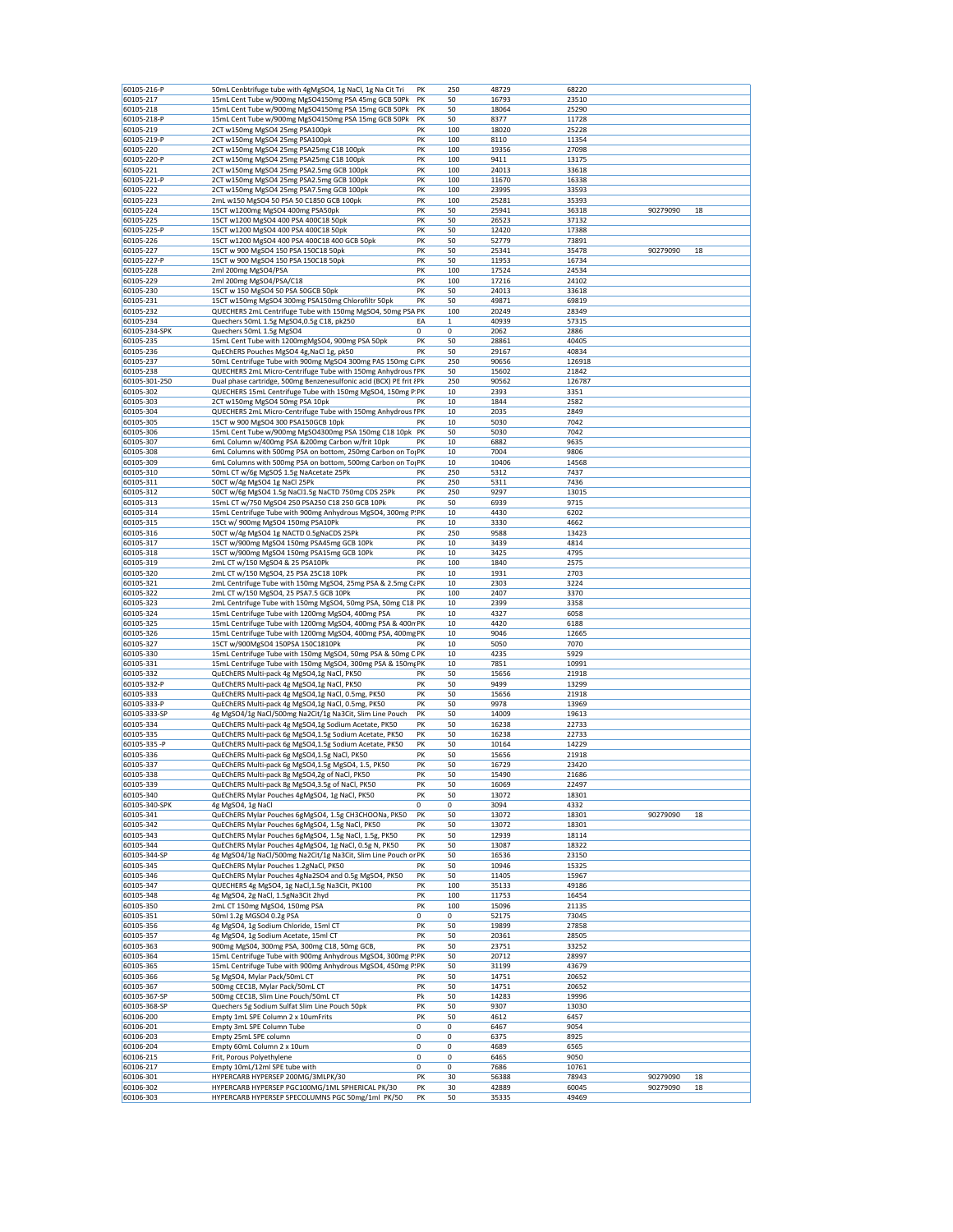| 60105-216-P            | 50mL Cenbtrifuge tube with 4gMgSO4, 1g NaCl, 1g Na Cit Tri                                             | PK       | 250       | 48729          | 68220          |          |          |
|------------------------|--------------------------------------------------------------------------------------------------------|----------|-----------|----------------|----------------|----------|----------|
| 60105-217              | 15mL Cent Tube w/900mg MgSO4150mg PSA 45mg GCB 50Pk                                                    | PK       | 50        | 16793          | 23510          |          |          |
| 60105-218              | 15mL Cent Tube w/900mg MgSO4150mg PSA 15mg GCB 50Pk                                                    | PK       | 50        | 18064          | 25290          |          |          |
| 60105-218-P            | 15mL Cent Tube w/900mg MgSO4150mg PSA 15mg GCB 50Pk                                                    | PK       | 50        | 8377           | 11728          |          |          |
| 60105-219              | 2CT w150mg MgSO4 25mg PSA100pk                                                                         | PK       | 100       | 18020          | 25228          |          |          |
| 60105-219-P            | 2CT w150mg MgSO4 25mg PSA100pk                                                                         | PK       | 100       | 8110           | 11354          |          |          |
| 60105-220              | 2CT w150mg MgSO4 25mg PSA25mg C18 100pk                                                                | PK       | 100       | 19356          | 27098          |          |          |
| 60105-220-P            | 2CT w150mg MgSO4 25mg PSA25mg C18 100pk                                                                | PK       | 100       | 9411           | 13175          |          |          |
| 60105-221              | 2CT w150mg MgSO4 25mg PSA2.5mg GCB 100pk                                                               | PK       | 100       | 24013          | 33618          |          |          |
| 60105-221-P            | 2CT w150mg MgSO4 25mg PSA2.5mg GCB 100pk                                                               | PK       | 100       | 11670          | 16338          |          |          |
| 60105-222              | 2CT w150mg MgSO4 25mg PSA7.5mg GCB 100pk                                                               | PK       | 100       | 23995          | 33593          |          |          |
| 60105-223              | 2mL w150 MgSO4 50 PSA 50 C1850 GCB 100pk                                                               | PK       | 100       | 25281          | 35393          |          |          |
| 60105-224              | 15CT w1200mg MgSO4 400mg PSA50pk                                                                       | PK       | 50        | 25941          | 36318          | 90279090 | 18       |
| 60105-225              | 15CT w1200 MgSO4 400 PSA 400C18 50pk                                                                   | PK       | 50        | 26523          | 37132          |          |          |
| 60105-225-P            | 15CT w1200 MgSO4 400 PSA 400C18 50pk                                                                   | PK       | 50        | 12420          | 17388          |          |          |
| 60105-226              | 15CT w1200 MgSO4 400 PSA 400C18 400 GCB 50pk                                                           | PK       | 50        | 52779          | 73891          |          |          |
| 60105-227              | 15CT w 900 MgSO4 150 PSA 150C18 50pk                                                                   | PK       | 50        | 25341          | 35478          | 90279090 | 18       |
|                        |                                                                                                        |          |           |                |                |          |          |
| 60105-227-P            | 15CT w 900 MgSO4 150 PSA 150C18 50pk                                                                   | PK       | 50        | 11953          | 16734          |          |          |
| 60105-228              | 2ml 200mg MgSO4/PSA                                                                                    | PK       | 100       | 17524          | 24534          |          |          |
| 60105-229              | 2ml 200mg MgSO4/PSA/C18                                                                                | PK       | 100       | 17216          | 24102          |          |          |
| 60105-230              | 15CT w 150 MgSO4 50 PSA 50GCB 50pk                                                                     | PK       | 50        | 24013          | 33618          |          |          |
| 60105-231              | 15CT w150mg MgSO4 300mg PSA150mg Chlorofiltr 50pk                                                      | PK       | 50        | 49871          | 69819          |          |          |
| 60105-232              | QUECHERS 2mL Centrifuge Tube with 150mg MgSO4, 50mg PSA PK                                             |          | 100       | 20249          | 28349          |          |          |
| 60105-234              | Quechers 50mL 1.5g MgSO4,0.5g C18, pk250                                                               | EA       | 1         | 40939          | 57315          |          |          |
| 60105-234-SPK          | Quechers 50mL 1.5g MgSO4                                                                               | 0        | 0         | 2062           | 2886           |          |          |
| 60105-235              | 15mL Cent Tube with 1200mgMgSO4, 900mg PSA 50pk                                                        | PK       | 50        | 28861          | 40405          |          |          |
| 60105-236              | QuEChERS Pouches MgSO4 4g, NaCl 1g, pk50                                                               | PK       | 50        | 29167          | 40834          |          |          |
| 60105-237              | 50mL Centrifuge Tube with 900mg MgSO4 300mg PAS 150mg C. PK                                            |          | 250       | 90656          | 126918         |          |          |
| 60105-238              | QUECHERS 2mL Micro-Centrifuge Tube with 150mg Anhydrous IPK                                            |          | 50        | 15602          | 21842          |          |          |
| 60105-301-250          | Dual phase cartridge, 500mg Benzenesulfonic acid (BCX) PE frit { Pk                                    |          | 250       | 90562          | 126787         |          |          |
| 60105-302              | QUECHERS 15mL Centrifuge Tube with 150mg MgSO4, 150mg P.PK                                             |          | 10        | 2393           | 3351           |          |          |
| 60105-303              | 2CT w150mg MgSO4 50mg PSA 10pk                                                                         | PK       | 10        | 1844           | 2582           |          |          |
| 60105-304              | QUECHERS 2mL Micro-Centrifuge Tube with 150mg Anhydrous IPK                                            |          | 10        | 2035           | 2849           |          |          |
| 60105-305              | 15CT w 900 MgSO4 300 PSA150GCB 10pk                                                                    | PK       | 10        | 5030           | 7042           |          |          |
| 60105-306              | 15mL Cent Tube w/900mg MgSO4300mg PSA 150mg C18 10pk PK                                                |          | 50        | 5030           | 7042           |          |          |
|                        |                                                                                                        |          |           |                |                |          |          |
| 60105-307              | 6mL Column w/400mg PSA &200mg Carbon w/frit 10pk                                                       | PK       | 10        | 6882           | 9635           |          |          |
| 60105-308              | 6mL Columns with 500mg PSA on bottom, 250mg Carbon on To <sub>l</sub> PK                               |          | 10        | 7004           | 9806           |          |          |
| 60105-309              | 6mL Columns with 500mg PSA on bottom, 500mg Carbon on To <sub>l</sub> PK                               |          | 10        | 10406          | 14568          |          |          |
| 60105-310              | 50mL CT w/6g MgSO\$ 1.5g NaAcetate 25Pk                                                                | PK       | 250       | 5312           | 7437           |          |          |
| 60105-311              | 50CT w/4g MgSO4 1g NaCl 25Pk                                                                           | PK       | 250       | 5311           | 7436           |          |          |
| 60105-312              | 50CT w/6g MgSO4 1.5g NaCl1.5g NaCTD 750mg CDS 25Pk                                                     | PK       | 250       | 9297           | 13015          |          |          |
| 60105-313              | 15mL CT w/750 MgSO4 250 PSA250 C18 250 GCB 10Pk                                                        | PK       | 50        | 6939           | 9715           |          |          |
| 60105-314              | 15mL Centrifuge Tube with 900mg Anhydrous MgSO4, 300mg P.PK                                            |          | 10        | 4430           | 6202           |          |          |
| 60105-315              | 15Ct w/ 900mg MgSO4 150mg PSA10Pk                                                                      | PK       | 10        | 3330           | 4662           |          |          |
| 60105-316              | 50CT w/4g MgSO4 1g NACTD 0.5gNaCDS 25Pk                                                                | PK       | 250       | 9588           | 13423          |          |          |
| 60105-317              | 15CT w/900mg MgSO4 150mg PSA45mg GCB 10Pk                                                              | PK       | 10        | 3439           | 4814           |          |          |
| 60105-318              | 15CT w/900mg MgSO4 150mg PSA15mg GCB 10Pk                                                              | PK       | 10        | 3425           | 4795           |          |          |
| 60105-319              | 2mL CT w/150 MgSO4 & 25 PSA10Pk                                                                        | PK       | 100       | 1840           | 2575           |          |          |
| 60105-320              | 2mL CT w/150 MgSO4, 25 PSA 25C18 10Pk                                                                  | PK       | 10        | 1931           | 2703           |          |          |
| 60105-321              | 2mL Centrifuge Tube with 150mg MgSO4, 25mg PSA & 2.5mg CaPK                                            |          | 10        | 2303           | 3224           |          |          |
| 60105-322              | 2mL CT w/150 MgSO4, 25 PSA7.5 GCB 10Pk                                                                 | PK       | 100       | 2407           | 3370           |          |          |
| 60105-323              | 2mL Centrifuge Tube with 150mg MgSO4, 50mg PSA, 50mg C18 PK                                            |          | 10        | 2399           | 3358           |          |          |
| 60105-324              | 15mL Centrifuge Tube with 1200mg MgSO4, 400mg PSA                                                      | PK       | 10        | 4327           | 6058           |          |          |
| 60105-325              | 15mL Centrifuge Tube with 1200mg MgSO4, 400mg PSA & 400n PK                                            |          | 10        | 4420           | 6188           |          |          |
|                        |                                                                                                        |          |           |                |                |          |          |
| 60105-326              | 15mL Centrifuge Tube with 1200mg MgSO4, 400mg PSA, 400mg PK                                            |          | 10        | 9046           | 12665          |          |          |
| 60105-327              | 15CT w/900MgSO4 150PSA 150C1810Pk                                                                      | PK       | 10        | 5050           | 7070           |          |          |
| 60105-330              | 15mL Centrifuge Tube with 150mg MgSO4, 50mg PSA & 50mg C PK                                            |          | 10        | 4235           | 5929           |          |          |
| 60105-331              | 15mL Centrifuge Tube with 150mg MgSO4, 300mg PSA & 150mg PK                                            |          | 10        | 7851           | 10991          |          |          |
| 60105-332              | QuEChERS Multi-pack 4g MgSO4,1g NaCl, PK50                                                             | PK       | 50        | 15656          | 21918          |          |          |
| 60105-332-P            | QuEChERS Multi-pack 4g MgSO4,1g NaCl, PK50                                                             | PK       | 50        | 9499           | 13299          |          |          |
| 60105-333              | QuEChERS Multi-pack 4g MgSO4,1g NaCl, 0.5mg, PK50                                                      | PK       | 50        | 15656          | 21918          |          |          |
| 60105-333-P            | QuEChERS Multi-pack 4g MgSO4,1g NaCl, 0.5mg, PK50                                                      | PK       | 50        | 9978           | 13969          |          |          |
| 60105-333-SP           | 4g MgSO4/1g NaCl/500mg Na2Cit/1g Na3Cit, Slim Line Pouch                                               | PK       | 50        | 14009          | 19613          |          |          |
| 60105-334              | QuEChERS Multi-pack 4g MgSO4,1g Sodium Acetate, PK50                                                   | PK       | 50        | 16238          | 22733          |          |          |
| 60105-335              | QuEChERS Multi-pack 6g MgSO4,1.5g Sodium Acetate, PK50                                                 | PK       | 50        | 16238          | 22733          |          |          |
| 60105-335 -P           | QuEChERS Multi-pack 6g MgSO4,1.5g Sodium Acetate, PK50                                                 | PK       | 50        | 10164          | 14229          |          |          |
| 60105-336              | QuEChERS Multi-pack 6g MgSO4,1.5g NaCl, PK50                                                           | PK       | 50        | 15656          | 21918          |          |          |
| 60105-337              | QuEChERS Multi-pack 6g MgSO4,1.5g MgSO4, 1.5, PK50                                                     | PK       | 50        | 16729          | 23420          |          |          |
| 60105-338              | QuEChERS Multi-pack 8g MgSO4,2g of NaCl, PK50                                                          | PK       | 50        | 15490          | 21686          |          |          |
| 60105-339              | QuEChERS Multi-pack 8g MgSO4,3.5g of NaCl, PK50                                                        | PK       | 50        | 16069          | 22497          |          |          |
| 60105-340              | QuEChERS Mylar Pouches 4gMgSO4, 1g NaCl, PK50                                                          | PK       | 50        | 13072          | 18301          |          |          |
| 60105-340-SPK          | 4g MgSO4, 1g NaCl                                                                                      | 0        | 0         | 3094           | 4332           |          |          |
| 60105-341              | QuEChERS Mylar Pouches 6gMgSO4, 1.5g CH3CHOONa, PK50                                                   | PK       | 50        | 13072          | 18301          | 90279090 | 18       |
| 60105-342              | QuEChERS Mylar Pouches 6gMgSO4, 1.5g NaCl, PK50                                                        | PK       | 50        | 13072          | 18301          |          |          |
| 60105-343              | QuEChERS Mylar Pouches 6gMgSO4, 1.5g NaCl, 1.5g, PK50                                                  | PK       | 50        | 12939          | 18114          |          |          |
| 60105-344              | QuEChERS Mylar Pouches 4gMgSO4, 1g NaCl, 0.5g N, PK50                                                  | PK       | 50        | 13087          | 18322          |          |          |
| 60105-344-SP           | 4g MgSO4/1g NaCl/500mg Na2Cit/1g Na3Cit, Slim Line Pouch or PK                                         |          | 50        | 16536          | 23150          |          |          |
| 60105-345              | QuEChERS Mylar Pouches 1.2gNaCl, PK50                                                                  | PK       | 50        | 10946          | 15325          |          |          |
|                        |                                                                                                        |          |           |                |                |          |          |
| 60105-346<br>60105-347 | QuEChERS Mylar Pouches 4gNa2SO4 and 0.5g MgSO4, PK50<br>QUECHERS 4g MgSO4, 1g NaCl, 1.5g Na3Cit, PK100 | PK<br>PK | 50<br>100 | 11405<br>35133 | 15967          |          |          |
|                        |                                                                                                        |          |           |                | 49186          |          |          |
| 60105-348              | 4g MgSO4, 2g NaCl, 1.5gNa3Cit 2hyd                                                                     | PK       | 100       | 11753          | 16454          |          |          |
| 60105-350              | 2mL CT 150mg MgSO4, 150mg PSA                                                                          | PK       | 100       | 15096          | 21135          |          |          |
| 60105-351              | 50ml 1.2g MGSO4 0.2g PSA                                                                               | 0        | 0         | 52175          | 73045          |          |          |
| 60105-356              | 4g MgSO4, 1g Sodium Chloride, 15ml CT                                                                  | PK       | 50        | 19899          | 27858          |          |          |
| 60105-357              | 4g MgSO4, 1g Sodium Acetate, 15ml CT                                                                   | PK       | 50        | 20361          | 28505          |          |          |
| 60105-363              | 900mg MgS04, 300mg PSA, 300mg C18, 50mg GCB,                                                           | PK       | 50        | 23751          | 33252          |          |          |
| 60105-364              | 15mL Centrifuge Tube with 900mg Anhydrous MgSO4, 300mg P.PK                                            |          | 50        | 20712          | 28997          |          |          |
| 60105-365              | 15mL Centrifuge Tube with 900mg Anhydrous MgSO4, 450mg P.PK                                            |          | 50        | 31199          | 43679          |          |          |
| 60105-366              | 5g MgSO4, Mylar Pack/50mL CT                                                                           | PK       | 50        | 14751          | 20652          |          |          |
| 60105-367              | 500mg CEC18, Mylar Pack/50mL CT                                                                        | PK       | 50        | 14751          | 20652          |          |          |
| 60105-367-SP           | 500mg CEC18, Slim Line Pouch/50mL CT                                                                   | Pk       | 50        | 14283          | 19996          |          |          |
|                        |                                                                                                        | PK       | 50        | 9307           | 13030          |          |          |
| 60105-368-SP           | Quechers 5g Sodium Sulfat Slim Line Pouch 50pk                                                         |          |           |                |                |          |          |
| 60106-200              | Empty 1mL SPE Column 2 x 10umFrits                                                                     | PK       | 50        | 4612           | 6457           |          |          |
| 60106-201              | Empty 3mL SPE Column Tube                                                                              | 0        | 0         | 6467           | 9054           |          |          |
| 60106-203              | Empty 25mL SPE column                                                                                  | 0        | 0         | 6375           | 8925           |          |          |
| 60106-204              | Empty 60mL Column 2 x 10um                                                                             | 0        | 0         | 4689           | 6565           |          |          |
| 60106-215              | Frit, Porous Polyethylene                                                                              | 0        | 0         | 6465           | 9050           |          |          |
| 60106-217              | Empty 10mL/12ml SPE tube with                                                                          | 0        | 0         | 7686           | 10761          |          |          |
|                        |                                                                                                        |          |           |                |                | 90279090 |          |
| 60106-301<br>60106-302 | HYPERCARB HYPERSEP 200MG/3MLPK/30<br>HYPERCARB HYPERSEP PGC100MG/1ML SPHERICAL PK/30                   | PK<br>PK | 30<br>30  | 56388<br>42889 | 78943<br>60045 | 90279090 | 18<br>18 |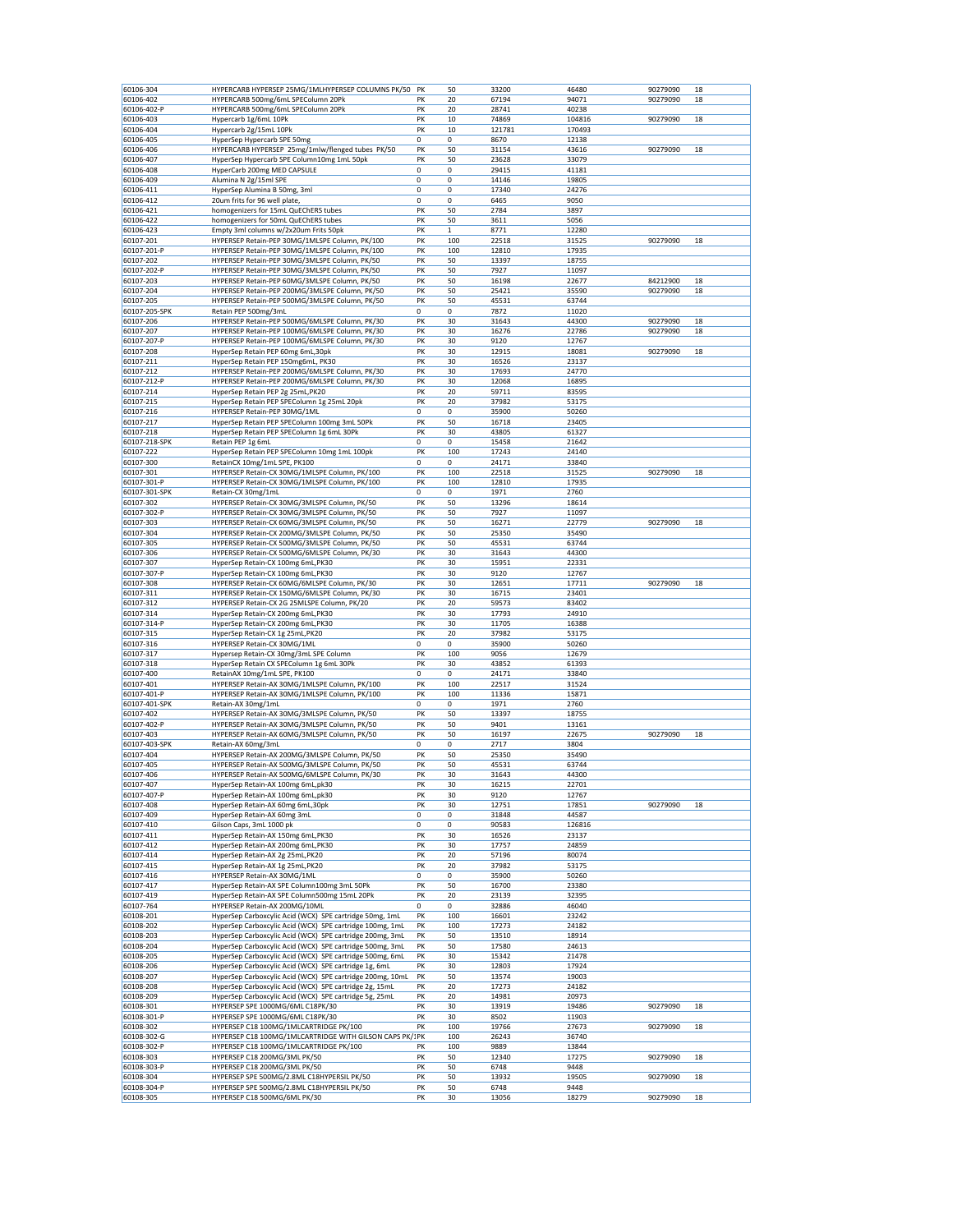| 60106-304     | HYPERCARB HYPERSEP 25MG/1MLHYPERSEP COLUMNS PK/50 PK                                          |    | 50  | 33200  | 46480  | 90279090 | 18 |
|---------------|-----------------------------------------------------------------------------------------------|----|-----|--------|--------|----------|----|
| 60106-402     | HYPERCARB 500mg/6mL SPEColumn 20Pk                                                            | PK | 20  | 67194  | 94071  | 90279090 | 18 |
| 60106-402-P   | HYPERCARB 500mg/6mL SPEColumn 20Pk                                                            | PK | 20  | 28741  | 40238  |          |    |
| 60106-403     | Hypercarb 1g/6mL 10Pk                                                                         | PK | 10  | 74869  | 104816 | 90279090 | 18 |
| 60106-404     | Hypercarb 2g/15mL 10Pk                                                                        | PK | 10  | 121781 | 170493 |          |    |
| 60106-405     | HyperSep Hypercarb SPE 50mg                                                                   | 0  | 0   | 8670   | 12138  |          |    |
| 60106-406     | HYPERCARB HYPERSEP 25mg/1mlw/flenged tubes PK/50                                              | PK | 50  | 31154  | 43616  | 90279090 | 18 |
|               |                                                                                               |    |     |        |        |          |    |
| 60106-407     | HyperSep Hypercarb SPE Column10mg 1mL 50pk                                                    | PK | 50  | 23628  | 33079  |          |    |
| 60106-408     | HyperCarb 200mg MED CAPSULE                                                                   | 0  | 0   | 29415  | 41181  |          |    |
| 60106-409     | Alumina N 2g/15ml SPE                                                                         | 0  | 0   | 14146  | 19805  |          |    |
| 60106-411     | HyperSep Alumina B 50mg, 3ml                                                                  | 0  | 0   | 17340  | 24276  |          |    |
| 60106-412     | 20um frits for 96 well plate                                                                  | 0  | 0   | 6465   | 9050   |          |    |
| 60106-421     | homogenizers for 15mL QuEChERS tubes                                                          | PK | 50  | 2784   | 3897   |          |    |
| 60106-422     | homogenizers for 50mL QuEChERS tubes                                                          | PK | 50  | 3611   | 5056   |          |    |
| 60106-423     | Empty 3ml columns w/2x20um Frits 50pk                                                         | PK | 1   | 8771   | 12280  |          |    |
| 60107-201     | HYPERSEP Retain-PEP 30MG/1MLSPE Column, PK/100                                                | PK | 100 | 22518  | 31525  | 90279090 | 18 |
| 60107-201-P   | HYPERSEP Retain-PEP 30MG/1MLSPE Column, PK/100                                                | PK | 100 | 12810  | 17935  |          |    |
| 60107-202     | HYPERSEP Retain-PEP 30MG/3MLSPE Column, PK/50                                                 | PK | 50  | 13397  | 18755  |          |    |
| 60107-202-P   | HYPERSEP Retain-PEP 30MG/3MLSPE Column, PK/50                                                 | PK | 50  | 7927   | 11097  |          |    |
| 60107-203     | HYPERSEP Retain-PEP 60MG/3MLSPE Column, PK/50                                                 | PK | 50  | 16198  | 22677  | 84212900 | 18 |
| 60107-204     | HYPERSEP Retain-PEP 200MG/3MLSPE Column, PK/50                                                | PK | 50  | 25421  | 35590  | 90279090 | 18 |
|               |                                                                                               |    |     |        |        |          |    |
| 60107-205     | HYPERSEP Retain-PEP 500MG/3MLSPE Column, PK/50                                                | PK | 50  | 45531  | 63744  |          |    |
| 60107-205-SPK | Retain PEP 500mg/3mL                                                                          | 0  | 0   | 7872   | 11020  |          |    |
| 60107-206     | HYPERSEP Retain-PEP 500MG/6MLSPE Column, PK/30                                                | PK | 30  | 31643  | 44300  | 90279090 | 18 |
| 60107-207     | HYPERSEP Retain-PEP 100MG/6MLSPE Column, PK/30                                                | PK | 30  | 16276  | 22786  | 90279090 | 18 |
| 60107-207-P   | HYPERSEP Retain-PEP 100MG/6MLSPE Column, PK/30                                                | PK | 30  | 9120   | 12767  |          |    |
| 60107-208     | HyperSep Retain PEP 60mg 6mL,30pk                                                             | PK | 30  | 12915  | 18081  | 90279090 | 18 |
| 60107-211     | HyperSep Retain PEP 150mg6mL, PK30                                                            | PK | 30  | 16526  | 23137  |          |    |
| 60107-212     | HYPERSEP Retain-PEP 200MG/6MLSPE Column, PK/30                                                | PK | 30  | 17693  | 24770  |          |    |
| 60107-212-P   | HYPERSEP Retain-PEP 200MG/6MLSPE Column, PK/30                                                | PK | 30  | 12068  | 16895  |          |    |
| 60107-214     | HyperSep Retain PEP 2g 25mL, PK20                                                             | PK | 20  | 59711  | 83595  |          |    |
| 60107-215     | HyperSep Retain PEP SPEColumn 1g 25mL 20pk                                                    | PK | 20  | 37982  | 53175  |          |    |
| 60107-216     | HYPERSEP Retain-PEP 30MG/1ML                                                                  | 0  | 0   | 35900  | 50260  |          |    |
|               |                                                                                               |    |     |        |        |          |    |
| 60107-217     | HyperSep Retain PEP SPEColumn 100mg 3mL 50Pk                                                  | PK | 50  | 16718  | 23405  |          |    |
| 60107-218     | HyperSep Retain PEP SPEColumn 1g 6mL 30Pk                                                     | PK | 30  | 43805  | 61327  |          |    |
| 60107-218-SPK | Retain PEP 1g 6mL                                                                             | 0  | 0   | 15458  | 21642  |          |    |
| 60107-222     | HyperSep Retain PEP SPEColumn 10mg 1mL 100pk                                                  | PK | 100 | 17243  | 24140  |          |    |
| 60107-300     | RetainCX 10mg/1mL SPE, PK100                                                                  | 0  | 0   | 24171  | 33840  |          |    |
| 60107-301     | HYPERSEP Retain-CX 30MG/1MLSPE Column, PK/100                                                 | PK | 100 | 22518  | 31525  | 90279090 | 18 |
| 60107-301-P   | HYPERSEP Retain-CX 30MG/1MLSPE Column, PK/100                                                 | PK | 100 | 12810  | 17935  |          |    |
| 60107-301-SPK | Retain-CX 30mg/1mL                                                                            | 0  | 0   | 1971   | 2760   |          |    |
| 60107-302     | HYPERSEP Retain-CX 30MG/3MLSPE Column, PK/50                                                  | PK | 50  | 13296  | 18614  |          |    |
| 60107-302-P   | HYPERSEP Retain-CX 30MG/3MLSPE Column, PK/50                                                  | PK | 50  | 7927   | 11097  |          |    |
| 60107-303     |                                                                                               |    |     |        |        | 90279090 |    |
|               | HYPERSEP Retain-CX 60MG/3MLSPE Column, PK/50<br>HYPERSEP Retain-CX 200MG/3MLSPE Column, PK/50 | PK | 50  | 16271  | 22779  |          | 18 |
| 60107-304     |                                                                                               | PK | 50  | 25350  | 35490  |          |    |
| 60107-305     | HYPERSEP Retain-CX 500MG/3MLSPE Column, PK/50                                                 | PK | 50  | 45531  | 63744  |          |    |
| 60107-306     | HYPERSEP Retain-CX 500MG/6MLSPE Column, PK/30                                                 | PK | 30  | 31643  | 44300  |          |    |
| 60107-307     | HyperSep Retain-CX 100mg 6mL, PK30                                                            | PK | 30  | 15951  | 22331  |          |    |
| 60107-307-P   | HyperSep Retain-CX 100mg 6mL, PK30                                                            | PK | 30  | 9120   | 12767  |          |    |
| 60107-308     | HYPERSEP Retain-CX 60MG/6MLSPE Column, PK/30                                                  | PK | 30  | 12651  | 17711  | 90279090 | 18 |
| 60107-311     | HYPERSEP Retain-CX 150MG/6MLSPE Column, PK/30                                                 | PK | 30  | 16715  | 23401  |          |    |
| 60107-312     | HYPERSEP Retain-CX 2G 25MLSPE Column, PK/20                                                   | PK | 20  | 59573  | 83402  |          |    |
| 60107-314     | HyperSep Retain-CX 200mg 6mL, PK30                                                            | PK | 30  | 17793  | 24910  |          |    |
| 60107-314-P   | HyperSep Retain-CX 200mg 6mL, PK30                                                            | PK | 30  | 11705  | 16388  |          |    |
| 60107-315     | HyperSep Retain-CX 1g 25mL, PK20                                                              | PK | 20  | 37982  | 53175  |          |    |
| 60107-316     |                                                                                               | 0  | 0   | 35900  | 50260  |          |    |
|               | HYPERSEP Retain-CX 30MG/1ML                                                                   |    |     |        |        |          |    |
| 60107-317     | Hypersep Retain-CX 30mg/3mL SPE Column                                                        | PK | 100 | 9056   | 12679  |          |    |
| 60107-318     | HyperSep Retain CX SPEColumn 1g 6mL 30Pk                                                      | PK | 30  | 43852  | 61393  |          |    |
| 60107-400     | RetainAX 10mg/1mL SPE, PK100                                                                  | 0  | 0   | 24171  | 33840  |          |    |
| 60107-401     | HYPERSEP Retain-AX 30MG/1MLSPE Column, PK/100                                                 | PK | 100 | 22517  | 31524  |          |    |
| 60107-401-P   | HYPERSEP Retain-AX 30MG/1MLSPE Column, PK/100                                                 | PK | 100 | 11336  | 15871  |          |    |
| 60107-401-SPK | Retain-AX 30mg/1mL                                                                            | 0  | 0   | 1971   | 2760   |          |    |
| 60107-402     | HYPERSEP Retain-AX 30MG/3MLSPE Column, PK/50                                                  | PK | 50  | 13397  | 18755  |          |    |
| 60107-402-P   | HYPERSEP Retain-AX 30MG/3MLSPE Column, PK/50                                                  | PK | 50  | 9401   | 13161  |          |    |
| 60107-403     | HYPERSEP Retain-AX 60MG/3MLSPE Column, PK/50                                                  | PK | 50  | 16197  | 22675  | 90279090 | 18 |
| 60107-403-SPK | Retain-AX 60mg/3mL                                                                            | 0  | 0   | 2717   | 3804   |          |    |
| 60107-404     | HYPERSEP Retain-AX 200MG/3MLSPE Column, PK/50                                                 | PK | 50  | 25350  | 35490  |          |    |
| 60107-405     | HYPERSEP Retain-AX 500MG/3MLSPE Column, PK/50                                                 | PK | 50  | 45531  | 63744  |          |    |
|               |                                                                                               |    |     |        |        |          |    |
| 60107-406     | HYPERSEP Retain-AX 500MG/6MLSPE Column, PK/30                                                 | PK | 30  | 31643  | 44300  |          |    |
| 60107-407     | HyperSep Retain-AX 100mg 6mL,pk30                                                             | PK | 30  | 16215  | 22701  |          |    |
| 60107-407-P   | HyperSep Retain-AX 100mg 6mL, pk30                                                            | PK | 30  | 9120   | 12767  |          |    |
| 60107-408     | HyperSep Retain-AX 60mg 6mL,30pk                                                              | PK | 30  | 12751  | 17851  | 90279090 | 18 |
| 60107-409     | HyperSep Retain-AX 60mg 3mL                                                                   | 0  | 0   | 31848  | 44587  |          |    |
| 60107-410     | Gilson Caps, 3mL 1000 pk                                                                      | 0  | 0   | 90583  | 126816 |          |    |
| 60107-411     | HyperSep Retain-AX 150mg 6mL, PK30                                                            | PK | 30  | 16526  | 23137  |          |    |
| 60107-412     | HyperSep Retain-AX 200mg 6mL, PK30                                                            | PK | 30  | 17757  | 24859  |          |    |
| 60107-414     | HyperSep Retain-AX 2g 25mL, PK20                                                              | PK | 20  | 57196  | 80074  |          |    |
| 60107-415     | HyperSep Retain-AX 1g 25mL, PK20                                                              | PK | 20  | 37982  | 53175  |          |    |
| 60107-416     | HYPERSEP Retain-AX 30MG/1ML                                                                   | 0  | 0   | 35900  | 50260  |          |    |
| 60107-417     | HyperSep Retain-AX SPE Column100mg 3mL 50Pk                                                   | PK | 50  | 16700  | 23380  |          |    |
| 60107-419     | HyperSep Retain-AX SPE Column500mg 15mL 20Pk                                                  | PK | 20  | 23139  | 32395  |          |    |
| 60107-764     | HYPERSEP Retain-AX 200MG/10ML                                                                 | 0  | 0   | 32886  | 46040  |          |    |
| 60108-201     | HyperSep Carboxcylic Acid (WCX) SPE cartridge 50mg, 1mL                                       | PK | 100 | 16601  | 23242  |          |    |
| 60108-202     | HyperSep Carboxcylic Acid (WCX) SPE cartridge 100mg, 1mL                                      | PK | 100 | 17273  | 24182  |          |    |
| 60108-203     | HyperSep Carboxcylic Acid (WCX) SPE cartridge 200mg, 3mL                                      | PΚ | 50  | 13510  | 18914  |          |    |
|               |                                                                                               |    |     |        |        |          |    |
| 60108-204     | HyperSep Carboxcylic Acid (WCX) SPE cartridge 500mg, 3mL                                      | PK | 50  | 17580  | 24613  |          |    |
| 60108-205     | HyperSep Carboxcylic Acid (WCX) SPE cartridge 500mg, 6mL                                      | PK | 30  | 15342  | 21478  |          |    |
| 60108-206     | HyperSep Carboxcylic Acid (WCX) SPE cartridge 1g, 6mL                                         | PK | 30  | 12803  | 17924  |          |    |
| 60108-207     | HyperSep Carboxcylic Acid (WCX) SPE cartridge 200mg, 10mL                                     | PK | 50  | 13574  | 19003  |          |    |
| 60108-208     | HyperSep Carboxcylic Acid (WCX) SPE cartridge 2g, 15mL                                        | PK | 20  | 17273  | 24182  |          |    |
| 60108-209     | HyperSep Carboxcylic Acid (WCX) SPE cartridge 5g, 25mL                                        | PΚ | 20  | 14981  | 20973  |          |    |
| 60108-301     | HYPERSEP SPE 1000MG/6ML C18PK/30                                                              | PK | 30  | 13919  | 19486  | 90279090 | 18 |
| 60108-301-P   | HYPERSEP SPE 1000MG/6ML C18PK/30                                                              | PK | 30  | 8502   | 11903  |          |    |
| 60108-302     | HYPERSEP C18 100MG/1MLCARTRIDGE PK/100                                                        | PK | 100 | 19766  | 27673  | 90279090 | 18 |
| 60108-302-G   | HYPERSEP C18 100MG/1MLCARTRIDGE WITH GILSON CAPS PK/1PK                                       |    | 100 | 26243  | 36740  |          |    |
| 60108-302-P   | HYPERSEP C18 100MG/1MLCARTRIDGE PK/100                                                        | PK | 100 | 9889   | 13844  |          |    |
| 60108-303     | HYPERSEP C18 200MG/3ML PK/50                                                                  | PK | 50  | 12340  | 17275  | 90279090 | 18 |
| 60108-303-P   | HYPERSEP C18 200MG/3ML PK/50                                                                  | PK | 50  | 6748   | 9448   |          |    |
| 60108-304     |                                                                                               |    |     |        |        |          |    |
|               | HYPERSEP SPE 500MG/2.8ML C18HYPERSIL PK/50                                                    | PK | 50  | 13932  | 19505  | 90279090 | 18 |
| 60108-304-P   | HYPERSEP SPE 500MG/2.8ML C18HYPERSIL PK/50                                                    | PK | 50  | 6748   | 9448   |          |    |
| 60108-305     | HYPERSEP C18 500MG/6ML PK/30                                                                  | PK | 30  | 13056  | 18279  | 90279090 | 18 |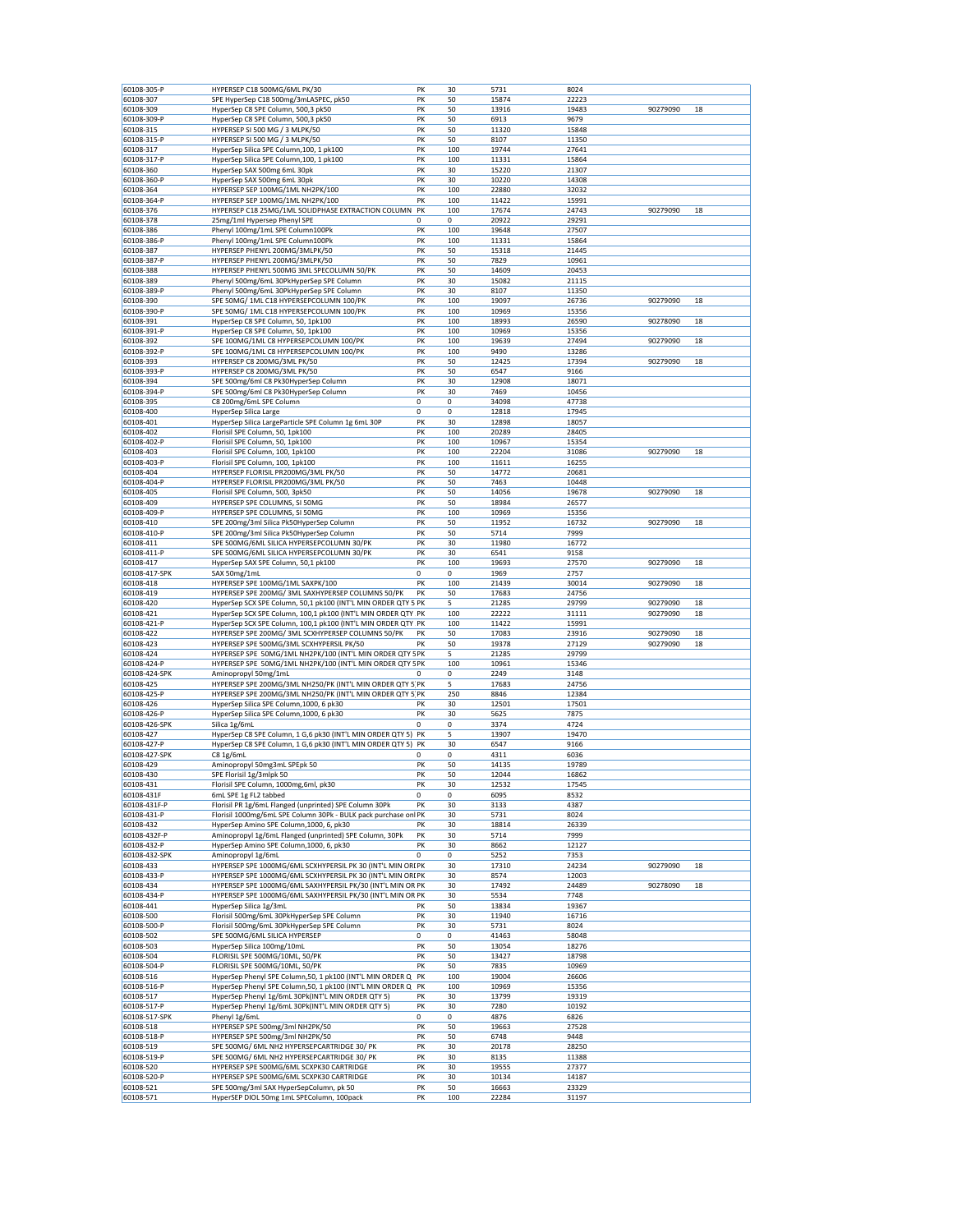| 60108-305-P                 | HYPERSEP C18 500MG/6ML PK/30                                                                                                 | PK       | 30         | 5731           | 8024           |          |    |
|-----------------------------|------------------------------------------------------------------------------------------------------------------------------|----------|------------|----------------|----------------|----------|----|
| 60108-307                   | SPE HyperSep C18 500mg/3mLASPEC, pk50                                                                                        | PK       | 50         | 15874          | 22223          |          |    |
| 60108-309                   | HyperSep C8 SPE Column, 500,3 pk50                                                                                           | PK       | 50         | 13916          | 19483          | 90279090 | 18 |
| 60108-309-P                 | HyperSep C8 SPE Column, 500,3 pk50                                                                                           | PK       | 50         | 6913           | 9679           |          |    |
| 60108-315                   | HYPERSEP SI 500 MG / 3 MLPK/50                                                                                               | PK       | 50         | 11320          | 15848          |          |    |
| 60108-315-P                 | HYPERSEP SI 500 MG / 3 MLPK/50                                                                                               | PK       | 50         | 8107           | 11350          |          |    |
| 60108-317                   | HyperSep Silica SPE Column, 100, 1 pk100                                                                                     | PK       | 100        | 19744          | 27641          |          |    |
| 60108-317-P                 | HyperSep Silica SPE Column, 100, 1 pk100                                                                                     | PK       | 100        | 11331          | 15864          |          |    |
| 60108-360                   | HyperSep SAX 500mg 6mL 30pk                                                                                                  | PK       | 30         | 15220          | 21307          |          |    |
| 60108-360-P                 | HyperSep SAX 500mg 6mL 30pk                                                                                                  | PK       | 30         | 10220          | 14308          |          |    |
| 60108-364                   | HYPERSEP SEP 100MG/1ML NH2PK/100                                                                                             | PK       | 100        | 22880          | 32032          |          |    |
| 60108-364-P                 | HYPERSEP SEP 100MG/1ML NH2PK/100                                                                                             | PK       | 100        | 11422          | 15991          |          |    |
| 60108-376<br>60108-378      | HYPERSEP C18 25MG/1ML SOLIDPHASE EXTRACTION COLUMN PK<br>25mg/1ml Hypersep Phenyl SPE                                        | 0        | 100<br>0   | 17674<br>20922 | 24743<br>29291 | 90279090 | 18 |
|                             |                                                                                                                              | PK       | 100        |                | 27507          |          |    |
| 60108-386<br>60108-386-P    | Phenyl 100mg/1mL SPE Column100Pk<br>Phenyl 100mg/1mL SPE Column100Pk                                                         | PK       | 100        | 19648<br>11331 | 15864          |          |    |
| 60108-387                   | HYPERSEP PHENYL 200MG/3MLPK/50                                                                                               | PK       | 50         | 15318          | 21445          |          |    |
| 60108-387-P                 | HYPERSEP PHENYL 200MG/3MLPK/50                                                                                               | PK       | 50         | 7829           | 10961          |          |    |
| 60108-388                   | HYPERSEP PHENYL 500MG 3ML SPECOLUMN 50/PK                                                                                    | PK       | 50         | 14609          | 20453          |          |    |
| 60108-389                   | Phenyl 500mg/6mL 30PkHyperSep SPE Column                                                                                     | PK       | 30         | 15082          | 21115          |          |    |
| 60108-389-P                 | Phenyl 500mg/6mL 30PkHyperSep SPE Column                                                                                     | PK       | 30         | 8107           | 11350          |          |    |
| 60108-390                   | SPE 50MG/ 1ML C18 HYPERSEPCOLUMN 100/PK                                                                                      | PK       | 100        | 19097          | 26736          | 90279090 | 18 |
| 60108-390-P                 | SPE 50MG/ 1ML C18 HYPERSEPCOLUMN 100/PK                                                                                      | PK       | 100        | 10969          | 15356          |          |    |
| 60108-391                   | HyperSep C8 SPE Column, 50, 1pk100                                                                                           | PK       | 100        | 18993          | 26590          | 90278090 | 18 |
| 60108-391-P                 | HyperSep C8 SPE Column, 50, 1pk100                                                                                           | PK       | 100        | 10969          | 15356          |          |    |
| 60108-392                   | SPE 100MG/1ML C8 HYPERSEPCOLUMN 100/PK                                                                                       | PK       | 100        | 19639          | 27494          | 90279090 | 18 |
| 60108-392-P                 | SPE 100MG/1ML C8 HYPERSEPCOLUMN 100/PK                                                                                       | PK       | 100        | 9490           | 13286          |          |    |
| 60108-393                   | HYPERSEP C8 200MG/3ML PK/50                                                                                                  | PK       | 50         | 12425          | 17394          | 90279090 | 18 |
| 60108-393-P                 | HYPERSEP C8 200MG/3ML PK/50                                                                                                  | PK       | 50         | 6547           | 9166           |          |    |
| 60108-394                   | SPE 500mg/6ml C8 Pk30HyperSep Column                                                                                         | PK       | 30         | 12908          | 18071          |          |    |
| 60108-394-P<br>60108-395    | SPE 500mg/6ml C8 Pk30HyperSep Column<br>C8 200mg/6mL SPE Column                                                              | PK<br>0  | 30<br>0    | 7469<br>34098  | 10456<br>47738 |          |    |
| 60108-400                   | HyperSep Silica Large                                                                                                        | 0        | 0          | 12818          | 17945          |          |    |
| 60108-401                   | HyperSep Silica LargeParticle SPE Column 1g 6mL 30P                                                                          | PK       | 30         | 12898          | 18057          |          |    |
| 60108-402                   | Florisil SPE Column, 50, 1pk100                                                                                              | PK       | 100        | 20289          | 28405          |          |    |
| 60108-402-P                 | Florisil SPE Column, 50, 1pk100                                                                                              | PK       | 100        | 10967          | 15354          |          |    |
| 60108-403                   | Florisil SPE Column, 100, 1pk100                                                                                             | PK       | 100        | 22204          | 31086          | 90279090 | 18 |
| 60108-403-P                 | Florisil SPE Column, 100, 1pk100                                                                                             | PK       | 100        | 11611          | 16255          |          |    |
| 60108-404                   | HYPERSEP FLORISIL PR200MG/3ML PK/50                                                                                          | PK       | 50         | 14772          | 20681          |          |    |
| 60108-404-P                 | HYPERSEP FLORISIL PR200MG/3ML PK/50                                                                                          | PK       | 50         | 7463           | 10448          |          |    |
| 60108-405                   | Florisil SPE Column, 500, 3pk50                                                                                              | PK       | 50         | 14056          | 19678          | 90279090 | 18 |
| 60108-409                   | HYPERSEP SPE COLUMNS, SI 50MG                                                                                                | PK       | 50         | 18984          | 26577          |          |    |
| 60108-409-P                 | HYPERSEP SPE COLUMNS, SI 50MG                                                                                                | PK       | 100        | 10969          | 15356          |          |    |
| 60108-410                   | SPE 200mg/3ml Silica Pk50HyperSep Column                                                                                     | PK       | 50         | 11952          | 16732          | 90279090 | 18 |
| 60108-410-P                 | SPE 200mg/3ml Silica Pk50HyperSep Column                                                                                     | PK       | 50         | 5714           | 7999           |          |    |
| 60108-411                   | SPE 500MG/6ML SILICA HYPERSEPCOLUMN 30/PK                                                                                    | PK       | 30         | 11980          | 16772          |          |    |
| 60108-411-P                 | SPE 500MG/6ML SILICA HYPERSEPCOLUMN 30/PK                                                                                    | PK       | 30         | 6541           | 9158           |          |    |
| 60108-417                   | HyperSep SAX SPE Column, 50,1 pk100                                                                                          | PK       | 100        | 19693          | 27570          | 90279090 | 18 |
| 60108-417-SPK               | SAX 50mg/1mL                                                                                                                 | 0        | 0          | 1969           | 2757           |          |    |
| 60108-418                   | HYPERSEP SPE 100MG/1ML SAXPK/100                                                                                             | PK       | 100        | 21439          | 30014          | 90279090 | 18 |
| 60108-419<br>60108-420      | HYPERSEP SPE 200MG/ 3ML SAXHYPERSEP COLUMNS 50/PK                                                                            | PK       | 50<br>5    | 17683          | 24756<br>29799 | 90279090 | 18 |
|                             | HyperSep SCX SPE Column, 50,1 pk100 (INT'L MIN ORDER QTY 5 PK                                                                |          |            | 21285<br>22222 |                | 90279090 |    |
| 60108-421<br>60108-421-P    | HyperSep SCX SPE Column, 100,1 pk100 (INT'L MIN ORDER QTY PK<br>HyperSep SCX SPE Column, 100,1 pk100 (INT'L MIN ORDER QTY PK |          | 100<br>100 | 11422          | 31111<br>15991 |          | 18 |
| 60108-422                   | HYPERSEP SPE 200MG/ 3ML SCXHYPERSEP COLUMNS 50/PK                                                                            | PK       | 50         | 17083          | 23916          | 90279090 | 18 |
| 60108-423                   | HYPERSEP SPE 500MG/3ML SCXHYPERSIL PK/50                                                                                     | PK       | 50         | 19378          | 27129          | 90279090 | 18 |
| 60108-424                   | HYPERSEP SPE 50MG/1ML NH2PK/100 (INT'L MIN ORDER QTY 5PK                                                                     |          | 5          | 21285          | 29799          |          |    |
| 60108-424-P                 | HYPERSEP SPE 50MG/1ML NH2PK/100 (INT'L MIN ORDER QTY 5PK                                                                     |          | 100        | 10961          | 15346          |          |    |
| 60108-424-SPK               | Aminopropyl 50mg/1mL                                                                                                         |          | 0          | 2249           | 3148           |          |    |
| 60108-425                   | HYPERSEP SPE 200MG/3ML NH250/PK (INT'L MIN ORDER QTY 5 PK                                                                    |          | 5          | 17683          | 24756          |          |    |
| 60108-425-P                 | HYPERSEP SPE 200MG/3ML NH250/PK (INT'L MIN ORDER QTY 5 PK                                                                    |          | 250        | 8846           | 12384          |          |    |
| 60108-426                   | HyperSep Silica SPE Column, 1000, 6 pk30                                                                                     | PK       | 30         | 12501          | 17501          |          |    |
| 60108-426-P                 | HyperSep Silica SPE Column, 1000, 6 pk30                                                                                     | PK       | 30         | 5625           | 7875           |          |    |
| 60108-426-SPK               | Silica 1g/6mL                                                                                                                | 0        | 0          | 3374           | 4724           |          |    |
| 60108-427                   | HyperSep C8 SPE Column, 1 G,6 pk30 (INT'L MIN ORDER QTY 5) PK                                                                |          | 5          | 13907          | 19470          |          |    |
| 60108-427-P                 | HyperSep C8 SPE Column, 1 G,6 pk30 (INT'L MIN ORDER QTY 5)                                                                   | PK       | 30         | 6547           | 9166           |          |    |
| 60108-427-SPK               | C8 1g/6mL                                                                                                                    | 0        | 0          | 4311           | 6036           |          |    |
| 60108-429                   | Aminopropyl 50mg3mL SPEpk 50                                                                                                 | PK       | 50         | 14135          | 19789          |          |    |
| 60108-430                   | SPE Florisil 1g/3mlpk 50                                                                                                     | PK       | 50         | 12044          | 16862          |          |    |
| 60108-431<br>60108-431F     | Florisil SPE Column, 1000mg,6ml, pk30<br>6mL SPE 1g FL2 tabbed                                                               | PK<br>0  | 30<br>0    | 12532<br>6095  | 17545<br>8532  |          |    |
| 60108-431F-P                |                                                                                                                              |          |            |                |                |          |    |
| 60108-431-P                 |                                                                                                                              |          |            |                |                |          |    |
| 60108-432                   | Florisil PR 1g/6mL Flanged (unprinted) SPE Column 30Pk<br>Florisil 1000mg/6mL SPE Column 30Pk - BULK pack purchase onl PK    | PK       | 30         | 3133           | 4387           |          |    |
|                             | HyperSep Amino SPE Column, 1000, 6, pk30                                                                                     | PK       | 30<br>30   | 5731<br>18814  | 8024<br>26339  |          |    |
|                             |                                                                                                                              |          |            |                |                |          |    |
| 60108-432F-P<br>60108-432-P | Aminopropyl 1g/6mL Flanged (unprinted) SPE Column, 30Pk<br>HyperSep Amino SPE Column, 1000, 6, pk30                          | PK<br>PK | 30<br>30   | 5714<br>8662   | 7999<br>12127  |          |    |
| 60108-432-SPK               | Aminopropyl 1g/6mL                                                                                                           | 0        | 0          | 5252           | 7353           |          |    |
| 60108-433                   | HYPERSEP SPE 1000MG/6ML SCXHYPERSIL PK 30 (INT'L MIN ORI PK                                                                  |          | 30         | 17310          | 24234          | 90279090 | 18 |
| 60108-433-P                 | HYPERSEP SPE 1000MG/6ML SCXHYPERSIL PK 30 (INT'L MIN ORI PK                                                                  |          | 30         | 8574           | 12003          |          |    |
| 60108-434                   | HYPERSEP SPE 1000MG/6ML SAXHYPERSIL PK/30 (INT'L MIN OR PK                                                                   |          | 30         | 17492          | 24489          | 90278090 | 18 |
| 60108-434-P                 | HYPERSEP SPE 1000MG/6ML SAXHYPERSIL PK/30 (INT'L MIN OR PK                                                                   |          | 30         | 5534           | 7748           |          |    |
| 60108-441                   | HyperSep Silica 1g/3mL                                                                                                       | PK       | 50         | 13834          | 19367          |          |    |
| 60108-500                   | Florisil 500mg/6mL 30PkHyperSep SPE Column                                                                                   | PK       | 30         | 11940          | 16716          |          |    |
| 60108-500-P                 | Florisil 500mg/6mL 30PkHyperSep SPE Column                                                                                   | PK       | 30         | 5731           | 8024           |          |    |
| 60108-502                   | SPE 500MG/6ML SILICA HYPERSEP                                                                                                | 0        | 0          | 41463          | 58048          |          |    |
| 60108-503                   | HyperSep Silica 100mg/10mL                                                                                                   | PK       | 50         | 13054          | 18276          |          |    |
| 60108-504                   | FLORISIL SPE 500MG/10ML, 50/PK                                                                                               | PK       | 50         | 13427          | 18798          |          |    |
| 60108-504-P                 | FLORISIL SPE 500MG/10ML, 50/PK                                                                                               | PK       | 50         | 7835           | 10969          |          |    |
| 60108-516                   | HyperSep Phenyl SPE Column, 50, 1 pk100 (INT'L MIN ORDER Q PK                                                                |          | 100        | 19004          | 26606          |          |    |
| 60108-516-P                 | HyperSep Phenyl SPE Column, 50, 1 pk100 (INT'L MIN ORDER Q                                                                   | PK       | 100        | 10969          | 15356          |          |    |
| 60108-517<br>60108-517-P    | HyperSep Phenyl 1g/6mL 30Pk(INT'L MIN ORDER QTY 5)<br>HyperSep Phenyl 1g/6mL 30Pk(INT'L MIN ORDER QTY 5)                     | PK<br>PK | 30<br>30   | 13799<br>7280  | 19319<br>10192 |          |    |
| 60108-517-SPK               | Phenyl 1g/6mL                                                                                                                | 0        | 0          | 4876           | 6826           |          |    |
| 60108-518                   | HYPERSEP SPE 500mg/3ml NH2PK/50                                                                                              | PK       | 50         | 19663          | 27528          |          |    |
| 60108-518-P                 | HYPERSEP SPE 500mg/3ml NH2PK/50                                                                                              | PK       | 50         | 6748           | 9448           |          |    |
| 60108-519                   | SPE 500MG/ 6ML NH2 HYPERSEPCARTRIDGE 30/ PK                                                                                  | PK       | 30         | 20178          | 28250          |          |    |
| 60108-519-P                 | SPE 500MG/ 6ML NH2 HYPERSEPCARTRIDGE 30/ PK                                                                                  | PK       | 30         | 8135           | 11388          |          |    |
| 60108-520                   | HYPERSEP SPE 500MG/6ML SCXPK30 CARTRIDGE                                                                                     | PK       | 30         | 19555          | 27377          |          |    |
| 60108-520-P                 | HYPERSEP SPE 500MG/6ML SCXPK30 CARTRIDGE                                                                                     | PK       | 30         | 10134          | 14187          |          |    |
| 60108-521<br>60108-571      | SPE 500mg/3ml SAX HyperSepColumn, pk 50<br>HyperSEP DIOL 50mg 1mL SPEColumn, 100pack                                         | PK<br>PK | 50<br>100  | 16663<br>22284 | 23329<br>31197 |          |    |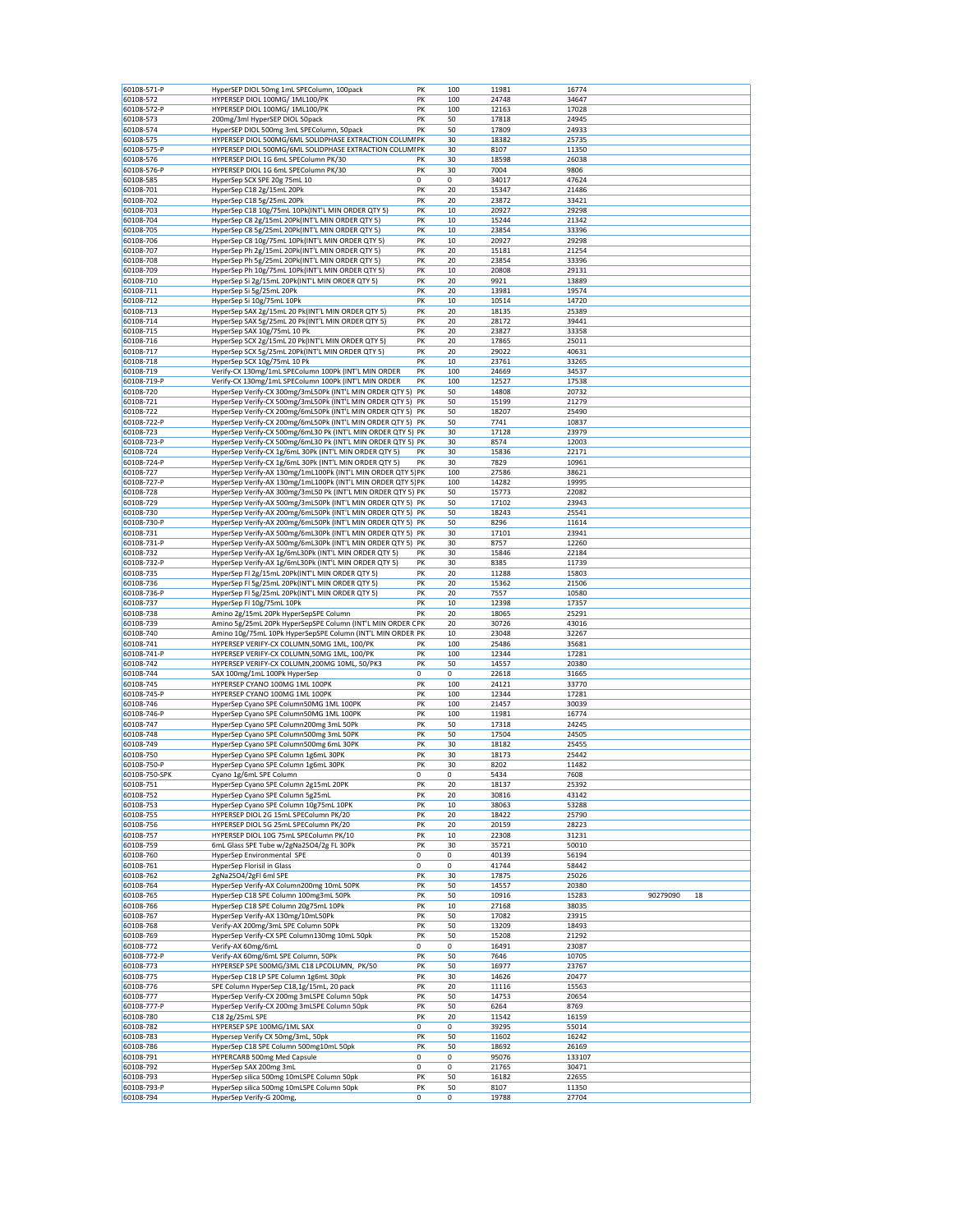|               | HyperSEP DIOL 50mg 1mL SPEColumn, 100pack                    | PK | 100 | 11981 | 16774  |          |    |
|---------------|--------------------------------------------------------------|----|-----|-------|--------|----------|----|
| 60108-571-P   |                                                              |    |     |       |        |          |    |
| 60108-572     | HYPERSEP DIOL 100MG/ 1ML100/PK                               | PK | 100 | 24748 | 34647  |          |    |
| 60108-572-P   | HYPERSEP DIOL 100MG/ 1ML100/PK                               | PK | 100 | 12163 | 17028  |          |    |
| 60108-573     | 200mg/3ml HyperSEP DIOL 50pack                               | PK | 50  | 17818 | 24945  |          |    |
| 60108-574     | HyperSEP DIOL 500mg 3mL SPEColumn, 50pack                    | PK | 50  | 17809 | 24933  |          |    |
| 60108-575     | HYPERSEP DIOL 500MG/6ML SOLIDPHASE EXTRACTION COLUMIPK       |    | 30  | 18382 | 25735  |          |    |
| 60108-575-P   | HYPERSEP DIOL 500MG/6ML SOLIDPHASE EXTRACTION COLUMIPK       |    | 30  | 8107  | 11350  |          |    |
|               |                                                              |    |     |       |        |          |    |
| 60108-576     | HYPERSEP DIOL 1G 6mL SPEColumn PK/30                         | PK | 30  | 18598 | 26038  |          |    |
| 60108-576-P   | HYPERSEP DIOL 1G 6mL SPEColumn PK/30                         | PK | 30  | 7004  | 9806   |          |    |
| 60108-585     | HyperSep SCX SPE 20g 75mL 10                                 | 0  | 0   | 34017 | 47624  |          |    |
| 60108-701     | HyperSep C18 2g/15mL 20Pk                                    | PK | 20  | 15347 | 21486  |          |    |
| 60108-702     | HyperSep C18 5g/25mL 20Pk                                    | PK | 20  | 23872 | 33421  |          |    |
|               |                                                              |    |     |       |        |          |    |
| 60108-703     | HyperSep C18 10g/75mL 10Pk(INT'L MIN ORDER QTY 5)            | PK | 10  | 20927 | 29298  |          |    |
| 60108-704     | HyperSep C8 2g/15mL 20Pk(INT'L MIN ORDER QTY 5)              | PK | 10  | 15244 | 21342  |          |    |
| 60108-705     | HyperSep C8 5g/25mL 20Pk(INT'L MIN ORDER QTY 5)              | PK | 10  | 23854 | 33396  |          |    |
| 60108-706     | HyperSep C8 10g/75mL 10Pk(INT'L MIN ORDER QTY 5)             | PK | 10  | 20927 | 29298  |          |    |
| 60108-707     | HyperSep Ph 2g/15mL 20Pk(INT'L MIN ORDER QTY 5)              | PK | 20  | 15181 | 21254  |          |    |
|               | HyperSep Ph 5g/25mL 20Pk(INT'L MIN ORDER QTY 5)              |    |     |       |        |          |    |
| 60108-708     |                                                              | PK | 20  | 23854 | 33396  |          |    |
| 60108-709     | HyperSep Ph 10g/75mL 10Pk(INT'L MIN ORDER QTY 5)             | PK | 10  | 20808 | 29131  |          |    |
| 60108-710     | HyperSep Si 2g/15mL 20Pk(INT'L MIN ORDER QTY 5)              | PK | 20  | 9921  | 13889  |          |    |
| 60108-711     | HyperSep Si 5g/25mL 20Pk                                     | PK | 20  | 13981 | 19574  |          |    |
| 60108-712     | HyperSep Si 10g/75mL 10Pk                                    | PK | 10  | 10514 | 14720  |          |    |
| 60108-713     | HyperSep SAX 2g/15mL 20 Pk(INT'L MIN ORDER QTY 5)            | PK | 20  | 18135 | 25389  |          |    |
| 60108-714     | HyperSep SAX 5g/25mL 20 Pk(INT'L MIN ORDER QTY 5)            | PK | 20  | 28172 | 39441  |          |    |
|               |                                                              |    |     |       |        |          |    |
| 60108-715     | HyperSep SAX 10g/75mL 10 Pk                                  | PK | 20  | 23827 | 33358  |          |    |
| 60108-716     | HyperSep SCX 2g/15mL 20 Pk(INT'L MIN ORDER QTY 5)            | PK | 20  | 17865 | 25011  |          |    |
| 60108-717     | HyperSep SCX 5g/25mL 20Pk(INT'L MIN ORDER QTY 5)             | PK | 20  | 29022 | 40631  |          |    |
| 60108-718     | HyperSep SCX 10g/75mL 10 Pk                                  | PK | 10  | 23761 | 33265  |          |    |
| 60108-719     | Verify-CX 130mg/1mL SPEColumn 100Pk (INT'L MIN ORDER         | PK | 100 | 24669 | 34537  |          |    |
|               |                                                              |    |     |       |        |          |    |
| 60108-719-P   | Verify-CX 130mg/1mL SPEColumn 100Pk (INT'L MIN ORDER         | PK | 100 | 12527 | 17538  |          |    |
| 60108-720     | HyperSep Verify-CX 300mg/3mL50Pk (INT'L MIN ORDER QTY 5) PK  |    | 50  | 14808 | 20732  |          |    |
| 60108-721     | HyperSep Verify-CX 500mg/3mL50Pk (INT'L MIN ORDER QTY 5) PK  |    | 50  | 15199 | 21279  |          |    |
| 60108-722     | HyperSep Verify-CX 200mg/6mL50Pk (INT'L MIN ORDER QTY 5) PK  |    | 50  | 18207 | 25490  |          |    |
| 60108-722-P   | HyperSep Verify-CX 200mg/6mL50Pk (INT'L MIN ORDER QTY 5) PK  |    | 50  | 7741  | 10837  |          |    |
|               |                                                              |    |     |       |        |          |    |
| 60108-723     | HyperSep Verify-CX 500mg/6mL30 Pk (INT'L MIN ORDER QTY 5) PK |    | 30  | 17128 | 23979  |          |    |
| 60108-723-P   | HyperSep Verify-CX 500mg/6mL30 Pk (INT'L MIN ORDER QTY 5) PK |    | 30  | 8574  | 12003  |          |    |
| 60108-724     | HyperSep Verify-CX 1g/6mL 30Pk (INT'L MIN ORDER QTY 5)       | PK | 30  | 15836 | 22171  |          |    |
| 60108-724-P   | HyperSep Verify-CX 1g/6mL 30Pk (INT'L MIN ORDER QTY 5)       | PK | 30  | 7829  | 10961  |          |    |
| 60108-727     | HyperSep Verify-AX 130mg/1mL100Pk (INT'L MIN ORDER QTY 5) PK |    | 100 | 27586 | 38621  |          |    |
|               |                                                              |    |     |       |        |          |    |
| 60108-727-P   | HyperSep Verify-AX 130mg/1mL100Pk (INT'L MIN ORDER QTY 5) PK |    | 100 | 14282 | 19995  |          |    |
| 60108-728     | HyperSep Verify-AX 300mg/3mL50 Pk (INT'L MIN ORDER QTY 5) PK |    | 50  | 15773 | 22082  |          |    |
| 60108-729     | HyperSep Verify-AX 500mg/3mL50Pk (INT'L MIN ORDER QTY 5) PK  |    | 50  | 17102 | 23943  |          |    |
| 60108-730     | HyperSep Verify-AX 200mg/6mL50Pk (INT'L MIN ORDER QTY 5) PK  |    | 50  | 18243 | 25541  |          |    |
| 60108-730-P   | HyperSep Verify-AX 200mg/6mL50Pk (INT'L MIN ORDER QTY 5) PK  |    | 50  | 8296  | 11614  |          |    |
|               | HyperSep Verify-AX 500mg/6mL30Pk (INT'L MIN ORDER QTY 5) PK  |    | 30  |       |        |          |    |
| 60108-731     |                                                              |    |     | 17101 | 23941  |          |    |
| 60108-731-P   | HyperSep Verify-AX 500mg/6mL30Pk (INT'L MIN ORDER QTY 5) PK  |    | 30  | 8757  | 12260  |          |    |
| 60108-732     | HyperSep Verify-AX 1g/6mL30Pk (INT'L MIN ORDER QTY 5)        | PK | 30  | 15846 | 22184  |          |    |
| 60108-732-P   | HyperSep Verify-AX 1g/6mL30Pk (INT'L MIN ORDER QTY 5)        | PK | 30  | 8385  | 11739  |          |    |
| 60108-735     | HyperSep FI 2g/15mL 20Pk(INT'L MIN ORDER QTY 5)              | PK | 20  | 11288 | 15803  |          |    |
| 60108-736     | HyperSep FI 5g/25mL 20Pk(INT'L MIN ORDER QTY 5)              | PK | 20  | 15362 | 21506  |          |    |
|               |                                                              |    |     |       |        |          |    |
| 60108-736-P   | HyperSep FI 5g/25mL 20Pk(INT'L MIN ORDER QTY 5)              | PK | 20  | 7557  | 10580  |          |    |
| 60108-737     | HyperSep Fl 10g/75mL 10Pk                                    | PK | 10  | 12398 | 17357  |          |    |
| 60108-738     | Amino 2g/15mL 20Pk HyperSepSPE Column                        | PK | 20  | 18065 | 25291  |          |    |
| 60108-739     | Amino 5g/25mL 20Pk HyperSepSPE Column (INT'L MIN ORDER CPK   |    | 20  | 30726 | 43016  |          |    |
| 60108-740     | Amino 10g/75mL 10Pk HyperSepSPE Column (INT'L MIN ORDER PK   |    | 10  | 23048 | 32267  |          |    |
|               |                                                              |    |     |       |        |          |    |
| 60108-741     | HYPERSEP VERIFY-CX COLUMN,50MG 1ML, 100/PK                   | PK | 100 | 25486 | 35681  |          |    |
| 60108-741-P   | HYPERSEP VERIFY-CX COLUMN,50MG 1ML, 100/PK                   | PK | 100 | 12344 | 17281  |          |    |
| 60108-742     | HYPERSEP VERIFY-CX COLUMN, 200MG 10ML, 50/PK3                | PK | 50  | 14557 | 20380  |          |    |
| 60108-744     | SAX 100mg/1mL 100Pk HyperSep                                 | 0  | 0   | 22618 | 31665  |          |    |
| 60108-745     | HYPERSEP CYANO 100MG 1ML 100PK                               | PK | 100 | 24121 | 33770  |          |    |
| 60108-745-P   | HYPERSEP CYANO 100MG 1ML 100PK                               | PK | 100 | 12344 | 17281  |          |    |
|               |                                                              |    |     |       |        |          |    |
| 60108-746     | HyperSep Cyano SPE Column50MG 1ML 100PK                      | PK | 100 | 21457 | 30039  |          |    |
| 60108-746-P   | HyperSep Cyano SPE Column50MG 1ML 100PK                      | PK | 100 | 11981 | 16774  |          |    |
| 60108-747     | HyperSep Cyano SPE Column200mg 3mL 50Pk                      | PK |     |       |        |          |    |
| 60108-748     | HyperSep Cyano SPE Column500mg 3mL 50PK                      |    | 50  | 17318 | 24245  |          |    |
| 60108-749     |                                                              |    |     |       |        |          |    |
|               |                                                              | PK | 50  | 17504 | 24505  |          |    |
|               | HyperSep Cyano SPE Column500mg 6mL 30PK                      | PK | 30  | 18182 | 25455  |          |    |
| 60108-750     | HyperSep Cyano SPE Column 1g6mL 30PK                         | PK | 30  | 18173 | 25442  |          |    |
| 60108-750-P   | HyperSep Cyano SPE Column 1g6mL 30PK                         | PK | 30  | 8202  | 11482  |          |    |
| 60108-750-SPK | Cyano 1g/6mL SPE Column                                      | 0  | 0   | 5434  | 7608   |          |    |
| 60108-751     | HyperSep Cyano SPE Column 2g15mL 20PK                        | PK | 20  | 18137 | 25392  |          |    |
| 60108-752     | HyperSep Cyano SPE Column 5g25mL                             | PK | 20  | 30816 | 43142  |          |    |
|               |                                                              |    |     |       |        |          |    |
| 60108-753     | HyperSep Cyano SPE Column 10g75mL 10PK                       | PK | 10  | 38063 | 53288  |          |    |
| 60108-755     | HYPERSEP DIOL 2G 15mL SPEColumn PK/20                        | PK | 20  | 18422 | 25790  |          |    |
| 60108-756     | HYPERSEP DIOL 5G 25mL SPEColumn PK/20                        | PK | 20  | 20159 | 28223  |          |    |
| 60108-757     | HYPERSEP DIOL 10G 75mL SPEColumn PK/10                       | PK | 10  | 22308 | 31231  |          |    |
| 60108-759     | 6mL Glass SPE Tube w/2gNa2SO4/2g FL 30Pk                     | PK | 30  | 35721 | 50010  |          |    |
| 60108-760     | HyperSep Environmental SPE                                   | 0  | 0   | 40139 | 56194  |          |    |
|               |                                                              |    |     |       |        |          |    |
| 60108-761     | HyperSep Florisil in Glass                                   | 0  | 0   | 41744 | 58442  |          |    |
| 60108-762     | 2gNa2SO4/2gFI 6ml SPE                                        | PK | 30  | 17875 | 25026  |          |    |
| 60108-764     | HyperSep Verify-AX Column200mg 10mL 50PK                     | PK | 50  | 14557 | 20380  |          |    |
| 60108-765     | HyperSep C18 SPE Column 100mg3mL 50Pk                        | PK | 50  | 10916 | 15283  | 90279090 | 18 |
| 60108-766     | HyperSep C18 SPE Column 20g75mL 10Pk                         | PK | 10  | 27168 | 38035  |          |    |
| 60108-767     | HyperSep Verify-AX 130mg/10mL50Pk                            | PK | 50  | 17082 | 23915  |          |    |
|               |                                                              |    |     |       |        |          |    |
| 60108-768     | Verify-AX 200mg/3mL SPE Column 50Pk                          | PK | 50  | 13209 | 18493  |          |    |
| 60108-769     | HyperSep Verify-CX SPE Column130mg 10mL 50pk                 | PK | 50  | 15208 | 21292  |          |    |
| 60108-772     | Verify-AX 60mg/6mL                                           | 0  | 0   | 16491 | 23087  |          |    |
| 60108-772-P   | Verify-AX 60mg/6mL SPE Column, 50Pk                          | PK | 50  | 7646  | 10705  |          |    |
| 60108-773     | HYPERSEP SPE 500MG/3ML C18 LPCOLUMN, PK/50                   | PK | 50  | 16977 | 23767  |          |    |
| 60108-775     | HyperSep C18 LP SPE Column 1g6mL 30pk                        | PK | 30  | 14626 | 20477  |          |    |
|               |                                                              |    |     |       |        |          |    |
| 60108-776     | SPE Column HyperSep C18,1g/15mL, 20 pack                     | PK | 20  | 11116 | 15563  |          |    |
| 60108-777     | HyperSep Verify-CX 200mg 3mLSPE Column 50pk                  | PK | 50  | 14753 | 20654  |          |    |
| 60108-777-P   | HyperSep Verify-CX 200mg 3mLSPE Column 50pk                  | PK | 50  | 6264  | 8769   |          |    |
| 60108-780     | C18 2g/25mL SPE                                              | PK | 20  | 11542 | 16159  |          |    |
| 60108-782     | HYPERSEP SPE 100MG/1ML SAX                                   | 0  | 0   | 39295 | 55014  |          |    |
| 60108-783     | Hypersep Verify CX 50mg/3mL, 50pk                            | PK | 50  | 11602 | 16242  |          |    |
|               |                                                              |    |     |       |        |          |    |
| 60108-786     | HyperSep C18 SPE Column 500mg10mL 50pk                       | PK | 50  | 18692 | 26169  |          |    |
| 60108-791     | HYPERCARB 500mg Med Capsule                                  | 0  | 0   | 95076 | 133107 |          |    |
| 60108-792     | HyperSep SAX 200mg 3mL                                       | 0  | 0   | 21765 | 30471  |          |    |
| 60108-793     | HyperSep silica 500mg 10mLSPE Column 50pk                    | PK | 50  | 16182 | 22655  |          |    |
| 60108-793-P   | HyperSep silica 500mg 10mLSPE Column 50pk                    | PK | 50  | 8107  | 11350  |          |    |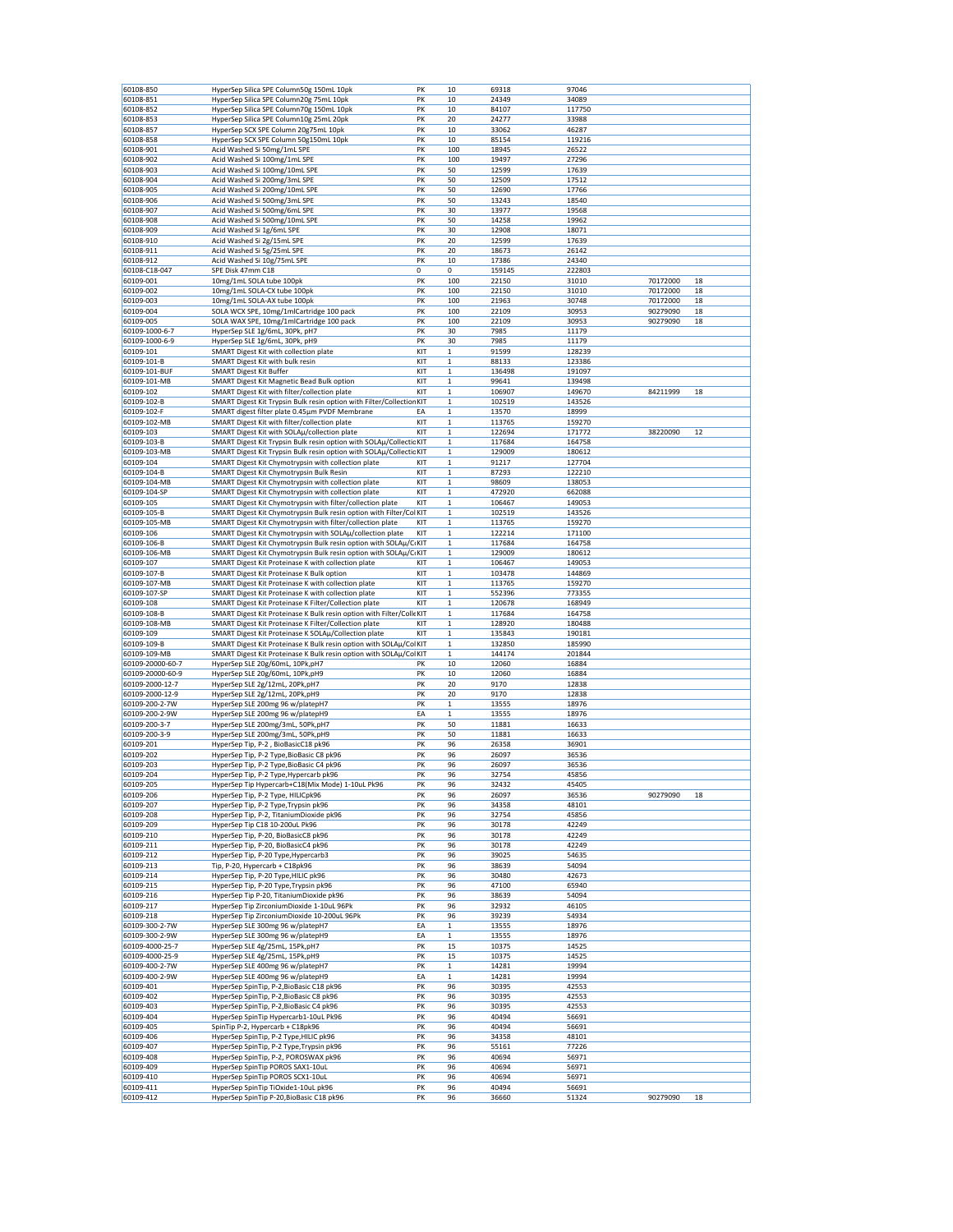| 60108-850<br>60108-851 | HyperSep Silica SPE Column50g 150mL 10pk                                         | PK  | 10           | 69318  | 97046  |          |    |
|------------------------|----------------------------------------------------------------------------------|-----|--------------|--------|--------|----------|----|
|                        |                                                                                  |     |              |        |        |          |    |
|                        | HyperSep Silica SPE Column20g 75mL 10pk                                          | PK  | 10           | 24349  | 34089  |          |    |
| 60108-852              | HyperSep Silica SPE Column70g 150mL 10pk                                         | PK  | 10           | 84107  | 117750 |          |    |
| 60108-853              | HyperSep Silica SPE Column10g 25mL 20pk                                          | PK  | 20           | 24277  | 33988  |          |    |
| 60108-857              | HyperSep SCX SPE Column 20g75mL 10pk                                             | PK  | 10           | 33062  | 46287  |          |    |
|                        |                                                                                  |     |              |        |        |          |    |
| 60108-858              | HyperSep SCX SPE Column 50g150mL 10pk                                            | PK  | 10           | 85154  | 119216 |          |    |
| 60108-901              | Acid Washed Si 50mg/1mL SPE                                                      | PK  | 100          | 18945  | 26522  |          |    |
| 60108-902              | Acid Washed Si 100mg/1mL SPE                                                     | PK  | 100          | 19497  | 27296  |          |    |
| 60108-903              | Acid Washed Si 100mg/10mL SPE                                                    | PK  | 50           | 12599  | 17639  |          |    |
| 60108-904              | Acid Washed Si 200mg/3mL SPE                                                     | PK  | 50           | 12509  | 17512  |          |    |
|                        |                                                                                  |     |              |        |        |          |    |
| 60108-905              | Acid Washed Si 200mg/10mL SPE                                                    | PK  | 50           | 12690  | 17766  |          |    |
| 60108-906              | Acid Washed Si 500mg/3mL SPE                                                     | PK  | 50           | 13243  | 18540  |          |    |
| 60108-907              | Acid Washed Si 500mg/6mL SPE                                                     | PK  | 30           | 13977  | 19568  |          |    |
| 60108-908              | Acid Washed Si 500mg/10mL SPE                                                    | PK  | 50           | 14258  | 19962  |          |    |
| 60108-909              | Acid Washed Si 1g/6mL SPE                                                        | PK  | 30           | 12908  | 18071  |          |    |
|                        |                                                                                  |     |              |        |        |          |    |
| 60108-910              | Acid Washed Si 2g/15mL SPE                                                       | PK  | 20           | 12599  | 17639  |          |    |
| 60108-911              | Acid Washed Si 5g/25mL SPE                                                       | PK  | 20           | 18673  | 26142  |          |    |
| 60108-912              | Acid Washed Si 10g/75mL SPE                                                      | PK  | 10           | 17386  | 24340  |          |    |
| 60108-C18-047          | SPE Disk 47mm C18                                                                | 0   | 0            | 159145 | 222803 |          |    |
| 60109-001              | 10mg/1mL SOLA tube 100pk                                                         | PK  | 100          | 22150  | 31010  | 70172000 | 18 |
|                        |                                                                                  |     | 100          |        |        |          |    |
| 60109-002              | 10mg/1mL SOLA-CX tube 100pk                                                      | PK  |              | 22150  | 31010  | 70172000 | 18 |
| 60109-003              | 10mg/1mL SOLA-AX tube 100pk                                                      | PK  | 100          | 21963  | 30748  | 70172000 | 18 |
| 60109-004              | SOLA WCX SPE, 10mg/1mlCartridge 100 pack                                         | PK  | 100          | 22109  | 30953  | 90279090 | 18 |
| 60109-005              | SOLA WAX SPE, 10mg/1mlCartridge 100 pack                                         | PK  | 100          | 22109  | 30953  | 90279090 | 18 |
| 60109-1000-6-7         | HyperSep SLE 1g/6mL, 30Pk, pH7                                                   | PK  | 30           | 7985   | 11179  |          |    |
|                        |                                                                                  |     |              |        |        |          |    |
| 60109-1000-6-9         | HyperSep SLE 1g/6mL, 30Pk, pH9                                                   | PK  | 30           | 7985   | 11179  |          |    |
| 60109-101              | SMART Digest Kit with collection plate                                           | KIT | $\mathbf 1$  | 91599  | 128239 |          |    |
| 60109-101-B            | SMART Digest Kit with bulk resin                                                 | KIT | 1            | 88133  | 123386 |          |    |
| 60109-101-BUF          | <b>SMART Digest Kit Buffer</b>                                                   | KIT | 1            | 136498 | 191097 |          |    |
| 60109-101-MB           | SMART Digest Kit Magnetic Bead Bulk option                                       | KIT | $\mathbf 1$  | 99641  | 139498 |          |    |
|                        |                                                                                  |     |              |        |        |          |    |
| 60109-102              | SMART Digest Kit with filter/collection plate                                    | KIT | 1            | 106907 | 149670 | 84211999 | 18 |
| 60109-102-B            | SMART Digest Kit Trypsin Bulk resin option with Filter/Collection KIT            |     | 1            | 102519 | 143526 |          |    |
| 60109-102-F            | SMART digest filter plate 0.45µm PVDF Membrane                                   | EA  | $\mathbf 1$  | 13570  | 18999  |          |    |
| 60109-102-MB           | SMART Digest Kit with filter/collection plate                                    | KIT | $\mathbf{1}$ | 113765 | 159270 |          |    |
|                        |                                                                                  |     | $\mathbf{1}$ |        |        |          |    |
| 60109-103              | SMART Digest Kit with SOLAµ/collection plate                                     | KIT |              | 122694 | 171772 | 38220090 | 12 |
| 60109-103-B            | SMART Digest Kit Trypsin Bulk resin option with SOLAµ/Collectic KIT              |     | $\mathbf 1$  | 117684 | 164758 |          |    |
| 60109-103-MB           | SMART Digest Kit Trypsin Bulk resin option with SOLAµ/Collectic KIT              |     | 1            | 129009 | 180612 |          |    |
| 60109-104              | SMART Digest Kit Chymotrypsin with collection plate                              | KIT | 1            | 91217  | 127704 |          |    |
| 60109-104-B            | SMART Digest Kit Chymotrypsin Bulk Resin                                         | KIT | 1            | 87293  | 122210 |          |    |
|                        |                                                                                  |     |              |        |        |          |    |
| 60109-104-MB           | SMART Digest Kit Chymotrypsin with collection plate                              | KIT | $\mathbf{1}$ | 98609  | 138053 |          |    |
| 60109-104-SP           | SMART Digest Kit Chymotrypsin with collection plate                              | KIT | 1            | 472920 | 662088 |          |    |
| 60109-105              | SMART Digest Kit Chymotrypsin with filter/collection plate                       | KIT | $\mathbf 1$  | 106467 | 149053 |          |    |
| 60109-105-B            | SMART Digest Kit Chymotrypsin Bulk resin option with Filter/Col KIT              |     | 1            | 102519 | 143526 |          |    |
| 60109-105-MB           | SMART Digest Kit Chymotrypsin with filter/collection plate                       | KIT | 1            | 113765 | 159270 |          |    |
|                        |                                                                                  |     |              |        |        |          |    |
| 60109-106              | SMART Digest Kit Chymotrypsin with SOLAµ/collection plate                        | KIT | 1            | 122214 | 171100 |          |    |
| 60109-106-B            | SMART Digest Kit Chymotrypsin Bulk resin option with SOLAµ/CIKIT                 |     | $\mathbf 1$  | 117684 | 164758 |          |    |
| 60109-106-MB           | SMART Digest Kit Chymotrypsin Bulk resin option with SOLAµ/CIKIT                 |     | $\mathbf 1$  | 129009 | 180612 |          |    |
| 60109-107              | SMART Digest Kit Proteinase K with collection plate                              | KIT | 1            | 106467 | 149053 |          |    |
| 60109-107-B            | SMART Digest Kit Proteinase K Bulk option                                        | KIT | $\mathbf 1$  | 103478 | 144869 |          |    |
|                        |                                                                                  |     |              |        |        |          |    |
| 60109-107-MB           | SMART Digest Kit Proteinase K with collection plate                              | KIT | 1            | 113765 | 159270 |          |    |
| 60109-107-SP           | SMART Digest Kit Proteinase K with collection plate                              | KIT | 1            | 552396 | 773355 |          |    |
| 60109-108              | SMART Digest Kit Proteinase K Filter/Collection plate                            | KIT | $\mathbf 1$  | 120678 | 168949 |          |    |
| 60109-108-B            | SMART Digest Kit Proteinase K Bulk resin option with Filter/Colle KIT            |     | 1            | 117684 | 164758 |          |    |
| 60109-108-MB           | SMART Digest Kit Proteinase K Filter/Collection plate                            | KIT | $\mathbf 1$  | 128920 | 180488 |          |    |
| 60109-109              |                                                                                  |     |              |        |        |          |    |
|                        |                                                                                  |     |              |        |        |          |    |
|                        | SMART Digest Kit Proteinase K SOLAµ/Collection plate                             | KIT | $\mathbf 1$  | 135843 | 190181 |          |    |
| 60109-109-B            | SMART Digest Kit Proteinase K Bulk resin option with SOLAµ/Col KIT               |     | 1            | 132850 | 185990 |          |    |
| 60109-109-MB           | SMART Digest Kit Proteinase K Bulk resin option with SOLAµ/ColKIT                |     | 1            | 144174 | 201844 |          |    |
|                        |                                                                                  |     |              |        |        |          |    |
| 60109-20000-60-7       | HyperSep SLE 20g/60mL, 10Pk,pH7                                                  | PK  | 10           | 12060  | 16884  |          |    |
| 60109-20000-60-9       | HyperSep SLE 20g/60mL, 10Pk,pH9                                                  | PK  | 10           | 12060  | 16884  |          |    |
| 60109-2000-12-7        | HyperSep SLE 2g/12mL, 20Pk,pH7                                                   | PK  | 20           | 9170   | 12838  |          |    |
| 60109-2000-12-9        | HyperSep SLE 2g/12mL, 20Pk,pH9                                                   | PK  | 20           | 9170   | 12838  |          |    |
| 60109-200-2-7W         | HyperSep SLE 200mg 96 w/platepH7                                                 | PK  | 1            | 13555  | 18976  |          |    |
| 60109-200-2-9W         |                                                                                  |     |              |        |        |          |    |
|                        | HyperSep SLE 200mg 96 w/platepH9                                                 | EA  | 1            | 13555  | 18976  |          |    |
| 60109-200-3-7          | HyperSep SLE 200mg/3mL, 50Pk,pH7                                                 | PK  | 50           | 11881  | 16633  |          |    |
| 60109-200-3-9          | HyperSep SLE 200mg/3mL, 50Pk,pH9                                                 | PK  | 50           | 11881  | 16633  |          |    |
| 60109-201              | HyperSep Tip, P-2, BioBasicC18 pk96                                              | PK  | 96           | 26358  | 36901  |          |    |
| 60109-202              | HyperSep Tip, P-2 Type, BioBasic C8 pk96                                         | PK  | 96           | 26097  | 36536  |          |    |
|                        |                                                                                  | PK  |              |        |        |          |    |
| 60109-203              | HyperSep Tip, P-2 Type, BioBasic C4 pk96                                         |     | 96           | 26097  | 36536  |          |    |
| 60109-204              | HyperSep Tip, P-2 Type, Hypercarb pk96                                           | PK  | 96           | 32754  | 45856  |          |    |
| 60109-205              | HyperSep Tip Hypercarb+C18(Mix Mode) 1-10uL Pk96                                 | PK  | 96           | 32432  | 45405  |          |    |
| 60109-206              | HyperSep Tip, P-2 Type, HILICpk96                                                | PK  | 96           | 26097  | 36536  | 90279090 | 18 |
| 60109-207              | HyperSep Tip, P-2 Type, Trypsin pk96                                             | PK  | 96           | 34358  | 48101  |          |    |
| 60109-208              | HyperSep Tip, P-2, TitaniumDioxide pk96                                          | PK  | 96           | 32754  | 45856  |          |    |
|                        |                                                                                  |     | 96           |        | 42249  |          |    |
| 60109-209              | HyperSep Tip C18 10-200uL Pk96                                                   | PK  |              | 30178  |        |          |    |
| 60109-210              | HyperSep Tip, P-20, BioBasicC8 pk96                                              | PK  | 96           | 30178  | 42249  |          |    |
| 60109-211              | HyperSep Tip, P-20, BioBasicC4 pk96                                              | PK  | 96           | 30178  | 42249  |          |    |
| 60109-212              | HyperSep Tip, P-20 Type, Hypercarb3                                              | PK  | 96           | 39025  | 54635  |          |    |
| 60109-213              | Tip, P-20, Hypercarb + C18pk96                                                   | PK  | 96           | 38639  | 54094  |          |    |
| 60109-214              | HyperSep Tip, P-20 Type, HILIC pk96                                              | PK  | 96           | 30480  | 42673  |          |    |
|                        |                                                                                  |     |              |        |        |          |    |
| 60109-215              | HyperSep Tip, P-20 Type, Trypsin pk96                                            | PK  | 96           | 47100  | 65940  |          |    |
| 60109-216              | HyperSep Tip P-20, TitaniumDioxide pk96                                          | PK  | 96           | 38639  | 54094  |          |    |
| 60109-217              | HyperSep Tip ZirconiumDioxide 1-10uL 96Pk                                        | PK  | 96           | 32932  | 46105  |          |    |
| 60109-218              | HyperSep Tip ZirconiumDioxide 10-200uL 96Pk                                      | PK  | 96           | 39239  | 54934  |          |    |
| 60109-300-2-7W         | HyperSep SLE 300mg 96 w/platepH7                                                 | EA  | 1            | 13555  | 18976  |          |    |
|                        |                                                                                  |     |              |        |        |          |    |
| 60109-300-2-9W         | HyperSep SLE 300mg 96 w/platepH9                                                 | EA  | 1            | 13555  | 18976  |          |    |
| 60109-4000-25-7        | HyperSep SLE 4g/25mL, 15Pk,pH7                                                   | PK  | 15           | 10375  | 14525  |          |    |
| 60109-4000-25-9        | HyperSep SLE 4g/25mL, 15Pk,pH9                                                   | PK  | 15           | 10375  | 14525  |          |    |
| 60109-400-2-7W         | HyperSep SLE 400mg 96 w/platepH7                                                 | PK  | 1            | 14281  | 19994  |          |    |
| 60109-400-2-9W         | HyperSep SLE 400mg 96 w/platepH9                                                 | EA  | $\mathbf 1$  | 14281  | 19994  |          |    |
|                        |                                                                                  |     |              |        |        |          |    |
| 60109-401              | HyperSep SpinTip, P-2, BioBasic C18 pk96                                         | PK  | 96           | 30395  | 42553  |          |    |
| 60109-402              | HyperSep SpinTip, P-2, BioBasic C8 pk96                                          | PK  | 96           | 30395  | 42553  |          |    |
| 60109-403              | HyperSep SpinTip, P-2, BioBasic C4 pk96                                          | PK  | 96           | 30395  | 42553  |          |    |
| 60109-404              | HyperSep SpinTip Hypercarb1-10uL Pk96                                            | PK  | 96           | 40494  | 56691  |          |    |
| 60109-405              | SpinTip P-2, Hypercarb + C18pk96                                                 | PK  | 96           | 40494  | 56691  |          |    |
|                        |                                                                                  |     |              |        |        |          |    |
| 60109-406              | HyperSep SpinTip, P-2 Type, HILIC pk96                                           | PK  | 96           | 34358  | 48101  |          |    |
| 60109-407              | HyperSep SpinTip, P-2 Type, Trypsin pk96                                         | PK  | 96           | 55161  | 77226  |          |    |
| 60109-408              | HyperSep SpinTip, P-2, POROSWAX pk96                                             | PK  | 96           | 40694  | 56971  |          |    |
| 60109-409              | HyperSep SpinTip POROS SAX1-10uL                                                 | PK  | 96           | 40694  | 56971  |          |    |
| 60109-410              | HyperSep SpinTip POROS SCX1-10uL                                                 | PK  | 96           | 40694  | 56971  |          |    |
| 60109-411              |                                                                                  | PK  | 96           | 40494  | 56691  |          |    |
| 60109-412              | HyperSep SpinTip TiOxide1-10uL pk96<br>HyperSep SpinTip P-20, Bio Basic C18 pk96 | PK  | 96           | 36660  | 51324  | 90279090 | 18 |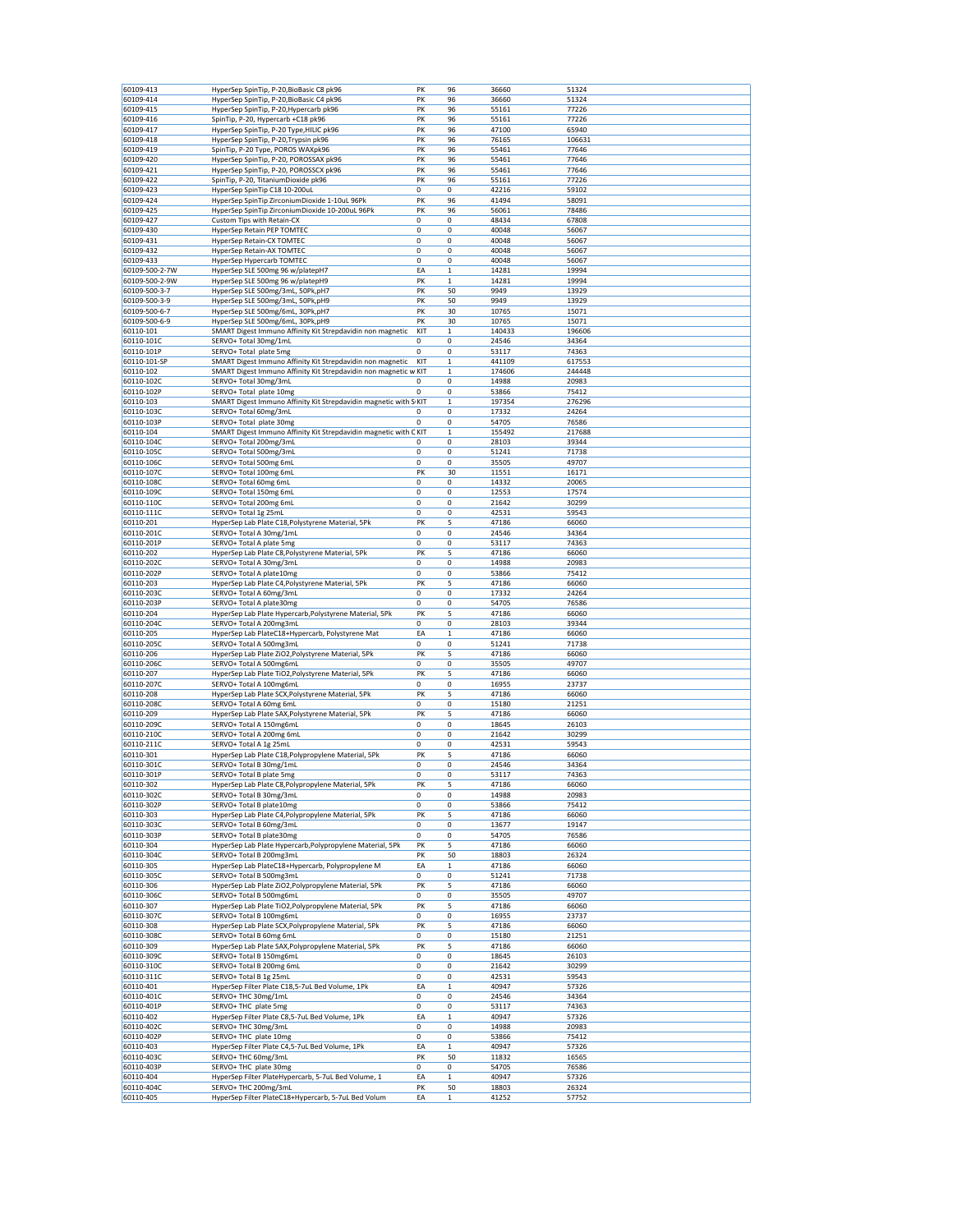| 60109-413      | HyperSep SpinTip, P-20, BioBasic C8 pk96                          | PK  | 96           | 36660  | 51324  |
|----------------|-------------------------------------------------------------------|-----|--------------|--------|--------|
| 60109-414      | HyperSep SpinTip, P-20,BioBasic C4 pk96                           | PK  | 96           | 36660  | 51324  |
| 60109-415      | HyperSep SpinTip, P-20, Hypercarb pk96                            | PK  | 96           | 55161  | 77226  |
| 60109-416      | SpinTip, P-20, Hypercarb +C18 pk96                                | PK  | 96           | 55161  | 77226  |
| 60109-417      | HyperSep SpinTip, P-20 Type, HILIC pk96                           | PK  | 96           | 47100  | 65940  |
| 60109-418      |                                                                   | PK  | 96           |        |        |
|                | HyperSep SpinTip, P-20, Trypsin pk96                              |     |              | 76165  | 106631 |
| 60109-419      | SpinTip, P-20 Type, POROS WAXpk96                                 | PK  | 96           | 55461  | 77646  |
| 60109-420      | HyperSep SpinTip, P-20, POROSSAX pk96                             | PK  | 96           | 55461  | 77646  |
| 60109-421      | HyperSep SpinTip, P-20, POROSSCX pk96                             | PK  | 96           | 55461  | 77646  |
| 60109-422      | SpinTip, P-20, TitaniumDioxide pk96                               | PK  | 96           | 55161  | 77226  |
| 60109-423      |                                                                   | 0   | 0            | 42216  | 59102  |
|                | HyperSep SpinTip C18 10-200uL                                     |     |              |        |        |
| 60109-424      | HyperSep SpinTip ZirconiumDioxide 1-10uL 96Pk                     | PK  | 96           | 41494  | 58091  |
| 60109-425      | HyperSep SpinTip ZirconiumDioxide 10-200uL 96Pk                   | PK  | 96           | 56061  | 78486  |
| 60109-427      | Custom Tips with Retain-CX                                        | 0   | 0            | 48434  | 67808  |
| 60109-430      | HyperSep Retain PEP TOMTEC                                        | 0   | 0            | 40048  | 56067  |
| 60109-431      | HyperSep Retain-CX TOMTEC                                         | 0   | 0            | 40048  | 56067  |
|                |                                                                   | 0   |              |        |        |
| 60109-432      | HyperSep Retain-AX TOMTEC                                         |     | 0            | 40048  | 56067  |
| 60109-433      | HyperSep Hypercarb TOMTEC                                         | 0   | 0            | 40048  | 56067  |
| 60109-500-2-7W | HyperSep SLE 500mg 96 w/platepH7                                  | EA  | 1            | 14281  | 19994  |
| 60109-500-2-9W | HyperSep SLE 500mg 96 w/platepH9                                  | PK  | $\mathbf{1}$ | 14281  | 19994  |
| 60109-500-3-7  | HyperSep SLE 500mg/3mL, 50Pk,pH7                                  | PK  | 50           | 9949   | 13929  |
| 60109-500-3-9  | HyperSep SLE 500mg/3mL, 50Pk,pH9                                  | PK  | 50           | 9949   | 13929  |
|                |                                                                   |     |              |        |        |
| 60109-500-6-7  | HyperSep SLE 500mg/6mL, 30Pk,pH7                                  | PK  | 30           | 10765  | 15071  |
| 60109-500-6-9  | HyperSep SLE 500mg/6mL, 30Pk,pH9                                  | PK  | 30           | 10765  | 15071  |
| 60110-101      | SMART Digest Immuno Affinity Kit Strepdavidin non magnetic        | KIT | 1            | 140433 | 196606 |
| 60110-101C     | SERVO+ Total 30mg/1mL                                             | 0   | 0            | 24546  | 34364  |
| 60110-101P     | SERVO+ Total plate 5mg                                            | 0   | 0            | 53117  | 74363  |
| 60110-101-SP   | SMART Digest Immuno Affinity Kit Strepdavidin non magnetic        | KIT | 1            | 441109 | 617553 |
|                |                                                                   |     |              |        |        |
| 60110-102      | SMART Digest Immuno Affinity Kit Strepdavidin non magnetic w KIT  |     | 1            | 174606 | 244448 |
| 60110-102C     | SERVO+ Total 30mg/3mL                                             | 0   | 0            | 14988  | 20983  |
| 60110-102P     | SERVO+ Total plate 10mg                                           | 0   | 0            | 53866  | 75412  |
| 60110-103      | SMART Digest Immuno Affinity Kit Strepdavidin magnetic with S KIT |     | 1            | 197354 | 276296 |
| 60110-103C     | SERVO+ Total 60mg/3mL                                             | 0   | 0            | 17332  | 24264  |
|                |                                                                   | 0   | 0            | 54705  |        |
| 60110-103P     | SERVO+ Total plate 30mg                                           |     |              |        | 76586  |
| 60110-104      | SMART Digest Immuno Affinity Kit Strepdavidin magnetic with C KIT |     | 1            | 155492 | 217688 |
| 60110-104C     | SERVO+ Total 200mg/3mL                                            | 0   | 0            | 28103  | 39344  |
| 60110-105C     | SERVO+ Total 500mg/3mL                                            | 0   | 0            | 51241  | 71738  |
| 60110-106C     | SERVO+ Total 500mg 6mL                                            | 0   | 0            | 35505  | 49707  |
| 60110-107C     | SERVO+ Total 100mg 6mL                                            | PK  | 30           | 11551  | 16171  |
|                |                                                                   |     |              |        |        |
| 60110-108C     | SERVO+ Total 60mg 6mL                                             | 0   | 0            | 14332  | 20065  |
| 60110-109C     | SERVO+ Total 150mg 6mL                                            | 0   | 0            | 12553  | 17574  |
| 60110-110C     | SERVO+ Total 200mg 6mL                                            | 0   | 0            | 21642  | 30299  |
| 60110-111C     | SERVO+ Total 1g 25mL                                              | 0   | 0            | 42531  | 59543  |
| 60110-201      | HyperSep Lab Plate C18, Polystyrene Material, 5Pk                 | PK  | 5            | 47186  | 66060  |
| 60110-201C     | SERVO+ Total A 30mg/1mL                                           | 0   | 0            | 24546  |        |
|                |                                                                   |     |              |        | 34364  |
| 60110-201P     | SERVO+ Total A plate 5mg                                          | 0   | 0            | 53117  | 74363  |
| 60110-202      | HyperSep Lab Plate C8, Polystyrene Material, 5Pk                  | PK  | 5            | 47186  | 66060  |
| 60110-202C     | SERVO+ Total A 30mg/3mL                                           | 0   | 0            | 14988  | 20983  |
| 60110-202P     | SERVO+ Total A plate10mg                                          | 0   | 0            | 53866  | 75412  |
| 60110-203      | HyperSep Lab Plate C4, Polystyrene Material, 5Pk                  | PK  | 5            | 47186  | 66060  |
|                |                                                                   |     |              |        |        |
| 60110-203C     | SERVO+ Total A 60mg/3mL                                           | 0   | 0            | 17332  | 24264  |
| 60110-203P     | SERVO+ Total A plate30mg                                          | 0   | 0            | 54705  | 76586  |
| 60110-204      | HyperSep Lab Plate Hypercarb, Polystyrene Material, 5Pk           | PK  | 5            | 47186  | 66060  |
| 60110-204C     | SERVO+ Total A 200mg3mL                                           | 0   | 0            | 28103  | 39344  |
| 60110-205      | HyperSep Lab PlateC18+Hypercarb, Polystyrene Mat                  | EA  | $\mathbf 1$  | 47186  | 66060  |
| 60110-205C     |                                                                   | 0   | 0            | 51241  |        |
|                | SERVO+ Total A 500mg3mL                                           |     |              |        | 71738  |
| 60110-206      | HyperSep Lab Plate ZiO2, Polystyrene Material, 5Pk                | PK  | 5            | 47186  | 66060  |
| 60110-206C     | SERVO+ Total A 500mg6mL                                           | 0   | 0            | 35505  | 49707  |
| 60110-207      | HyperSep Lab Plate TiO2, Polystyrene Material, 5Pk                | PK  | 5            | 47186  | 66060  |
| 60110-207C     | SERVO+ Total A 100mg6mL                                           | 0   | 0            | 16955  | 23737  |
| 60110-208      | HyperSep Lab Plate SCX, Polystyrene Material, 5Pk                 | PK  | 5            | 47186  | 66060  |
|                |                                                                   |     |              |        |        |
| 60110-208C     | SERVO+ Total A 60mg 6mL                                           | 0   | 0            | 15180  | 21251  |
| 60110-209      | HyperSep Lab Plate SAX, Polystyrene Material, 5Pk                 | PK  | 5            | 47186  | 66060  |
| 60110-209C     | SERVO+ Total A 150mg6mL                                           | 0   | 0            | 18645  | 26103  |
| 60110-210C     | SERVO+ Total A 200mg 6mL                                          | 0   | 0            | 21642  | 30299  |
| 60110-211C     | SERVO+ Total A 1g 25mL                                            | 0   | 0            | 42531  | 59543  |
| 60110-301      | HyperSep Lab Plate C18, Polypropylene Material, 5Pk               | PK  | 5            | 47186  | 66060  |
| 60110-301C     | SERVO+ Total B 30mg/1mL                                           |     |              |        | 34364  |
|                |                                                                   | 0   | 0            | 24546  |        |
| 60110-301P     | SERVO+ Total B plate 5mg                                          | 0   | 0            | 53117  | 74363  |
| 60110-302      | HyperSep Lab Plate C8, Polypropylene Material, 5Pk                | PK  | 5            | 47186  | 66060  |
| 60110-302C     | SERVO+ Total B 30mg/3mL                                           | 0   | 0            | 14988  | 20983  |
| 60110-302P     | SERVO+ Total B plate10mg                                          | 0   | 0            | 53866  | 75412  |
| 60110-303      | HyperSep Lab Plate C4, Polypropylene Material, 5Pk                | PK  | 5            | 47186  | 66060  |
| 60110-303C     | SERVO+ Total B 60mg/3mL                                           | 0   | 0            | 13677  | 19147  |
| 60110-303P     | SERVO+ Total B plate30mg                                          | 0   | 0            | 54705  | 76586  |
|                |                                                                   |     |              |        |        |
| 60110-304      | HyperSep Lab Plate Hypercarb, Polypropylene Material, 5Pk         | PK  | 5            | 47186  | 66060  |
| 60110-304C     | SERVO+ Total B 200mg3mL                                           | PK  | 50           | 18803  | 26324  |
| 60110-305      | HyperSep Lab PlateC18+Hypercarb, Polypropylene M                  | EA  | 1            | 47186  | 66060  |
| 60110-305C     | SERVO+ Total B 500mg3mL                                           | 0   | 0            | 51241  | 71738  |
| 60110-306      | HyperSep Lab Plate ZiO2, Polypropylene Material, 5Pk              | PK  | 5            | 47186  | 66060  |
| 60110-306C     | SERVO+ Total B 500mg6mL                                           | 0   | 0            | 35505  | 49707  |
|                | HyperSep Lab Plate TiO2, Polypropylene Material, 5Pk              |     |              |        |        |
| 60110-307      |                                                                   | PK  | 5            | 47186  | 66060  |
| 60110-307C     | SERVO+ Total B 100mg6mL                                           | 0   | 0            | 16955  | 23737  |
| 60110-308      | HyperSep Lab Plate SCX, Polypropylene Material, 5Pk               | PK  | 5            | 47186  | 66060  |
| 60110-308C     | SERVO+ Total B 60mg 6mL                                           | 0   | 0            | 15180  | 21251  |
| 60110-309      | HyperSep Lab Plate SAX, Polypropylene Material, 5Pk               | PK  | 5            | 47186  | 66060  |
| 60110-309C     | SERVO+ Total B 150mg6mL                                           | 0   | 0            | 18645  | 26103  |
| 60110-310C     | SERVO+ Total B 200mg 6mL                                          | 0   | 0            | 21642  | 30299  |
|                |                                                                   |     |              |        |        |
| 60110-311C     | SERVO+ Total B 1g 25mL                                            | 0   | 0            | 42531  | 59543  |
| 60110-401      | HyperSep Filter Plate C18,5-7uL Bed Volume, 1Pk                   | EA  | $\mathbf 1$  | 40947  | 57326  |
| 60110-401C     | SERVO+ THC 30mg/1mL                                               | 0   | 0            | 24546  | 34364  |
| 60110-401P     | SERVO+ THC plate 5mg                                              | 0   | 0            | 53117  | 74363  |
| 60110-402      | HyperSep Filter Plate C8,5-7uL Bed Volume, 1Pk                    | EA  | $\mathbf 1$  | 40947  | 57326  |
| 60110-402C     | SERVO+ THC 30mg/3mL                                               | 0   | 0            | 14988  | 20983  |
| 60110-402P     | SERVO+ THC plate 10mg                                             | 0   | 0            |        | 75412  |
|                |                                                                   |     |              | 53866  |        |
| 60110-403      | HyperSep Filter Plate C4,5-7uL Bed Volume, 1Pk                    | EA  | $\mathbf 1$  | 40947  | 57326  |
| 60110-403C     | SERVO+ THC 60mg/3mL                                               | PK  | 50           | 11832  | 16565  |
| 60110-403P     | SERVO+ THC plate 30mg                                             | 0   | 0            | 54705  | 76586  |
| 60110-404      | HyperSep Filter PlateHypercarb, 5-7uL Bed Volume, 1               | EA  | $\mathbf 1$  | 40947  | 57326  |
|                |                                                                   |     |              |        |        |
| 60110-404C     | SERVO+ THC 200mg/3mL                                              | PK  | 50           | 18803  | 26324  |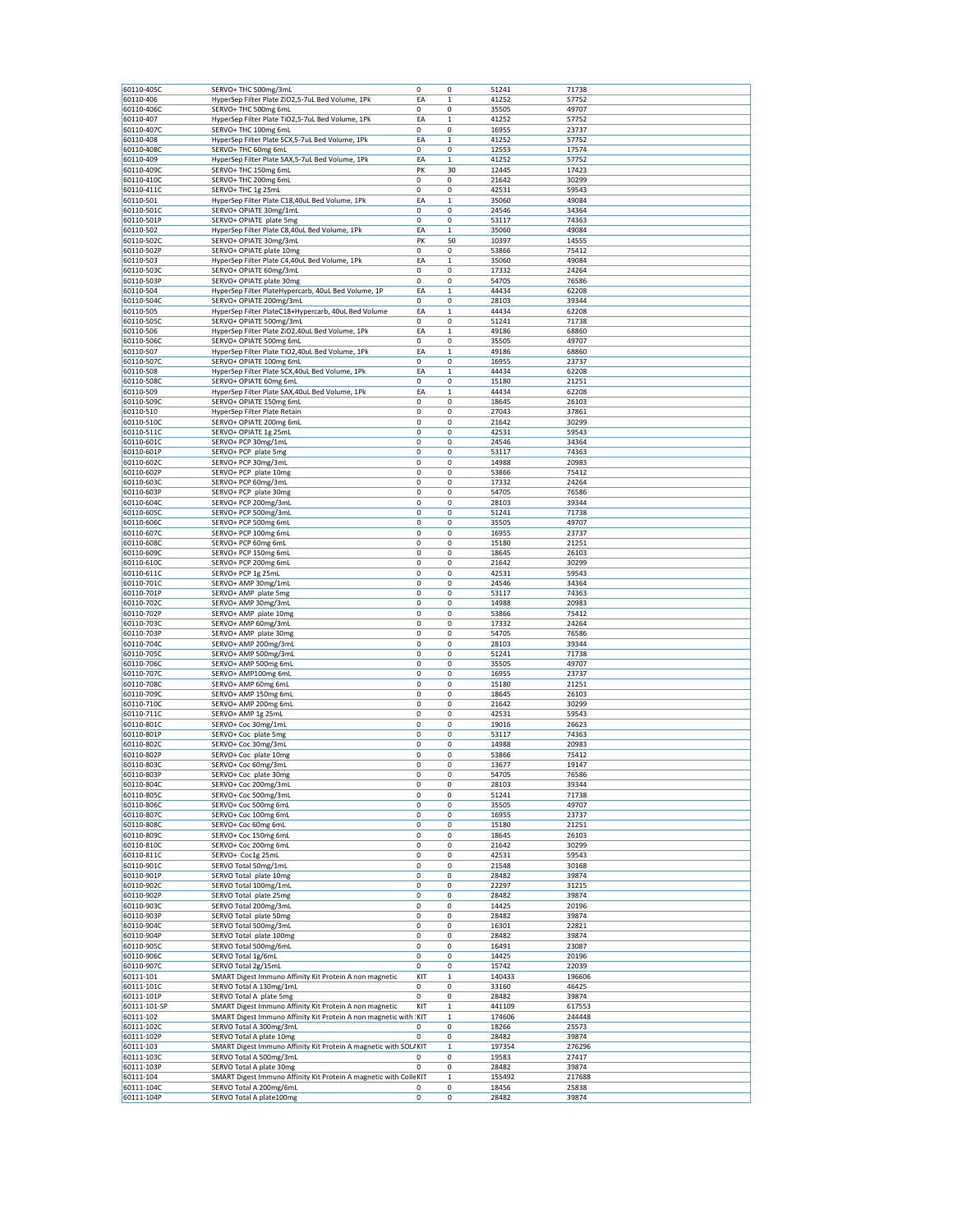| 60110-405C                                                                                                                                                                         |                                                                    |     |              | 51241  | 71738  |  |
|------------------------------------------------------------------------------------------------------------------------------------------------------------------------------------|--------------------------------------------------------------------|-----|--------------|--------|--------|--|
|                                                                                                                                                                                    | SERVO+ THC 500mg/3mL                                               | 0   | 0            |        |        |  |
| 60110-406                                                                                                                                                                          | HyperSep Filter Plate ZiO2,5-7uL Bed Volume, 1Pk                   | EA  | $\mathbf 1$  | 41252  | 57752  |  |
| 60110-406C                                                                                                                                                                         | SERVO+ THC 500mg 6mL                                               | 0   | 0            | 35505  | 49707  |  |
| 60110-407                                                                                                                                                                          | HyperSep Filter Plate TiO2,5-7uL Bed Volume, 1Pk                   | EA  | $\,1$        | 41252  | 57752  |  |
| 60110-407C                                                                                                                                                                         |                                                                    |     |              |        |        |  |
|                                                                                                                                                                                    | SERVO+ THC 100mg 6mL                                               | 0   | 0            | 16955  | 23737  |  |
| 60110-408                                                                                                                                                                          | HyperSep Filter Plate SCX, 5-7uL Bed Volume, 1Pk                   | EA  | $\mathbf 1$  | 41252  | 57752  |  |
| 60110-408C                                                                                                                                                                         | SERVO+ THC 60mg 6mL                                                | 0   | 0            | 12553  | 17574  |  |
| 60110-409                                                                                                                                                                          | HyperSep Filter Plate SAX, 5-7uL Bed Volume, 1Pk                   | EA  | $\mathbf 1$  | 41252  | 57752  |  |
| 60110-409C                                                                                                                                                                         | SERVO+ THC 150mg 6mL                                               | PK  | 30           | 12445  | 17423  |  |
|                                                                                                                                                                                    |                                                                    |     |              |        |        |  |
| 60110-410C                                                                                                                                                                         | SERVO+ THC 200mg 6mL                                               | 0   | 0            | 21642  | 30299  |  |
| 60110-411C                                                                                                                                                                         | SERVO+ THC 1g 25mL                                                 | 0   | 0            | 42531  | 59543  |  |
| 60110-501                                                                                                                                                                          | HyperSep Filter Plate C18,40uL Bed Volume, 1Pk                     | EA  | $\mathbf 1$  | 35060  | 49084  |  |
| 60110-501C                                                                                                                                                                         | SERVO+ OPIATE 30mg/1mL                                             | 0   | 0            | 24546  | 34364  |  |
|                                                                                                                                                                                    |                                                                    |     |              |        |        |  |
| 60110-501P                                                                                                                                                                         | SERVO+ OPIATE plate 5mg                                            | 0   | 0            | 53117  | 74363  |  |
| 60110-502                                                                                                                                                                          | HyperSep Filter Plate C8,40uL Bed Volume, 1Pk                      | EA  | $\,1$        | 35060  | 49084  |  |
| 60110-502C                                                                                                                                                                         | SERVO+ OPIATE 30mg/3mL                                             | PK  | 50           | 10397  | 14555  |  |
| 60110-502P                                                                                                                                                                         | SERVO+ OPIATE plate 10mg                                           | 0   | 0            | 53866  | 75412  |  |
|                                                                                                                                                                                    |                                                                    |     |              |        |        |  |
| 60110-503                                                                                                                                                                          | HyperSep Filter Plate C4,40uL Bed Volume, 1Pk                      | EA  | $\mathbf 1$  | 35060  | 49084  |  |
| 60110-503C                                                                                                                                                                         | SERVO+ OPIATE 60mg/3mL                                             | 0   | 0            | 17332  | 24264  |  |
| 60110-503P                                                                                                                                                                         | SERVO+ OPIATE plate 30mg                                           | 0   | 0            | 54705  | 76586  |  |
| 60110-504                                                                                                                                                                          | HyperSep Filter PlateHypercarb, 40uL Bed Volume, 1P                | EA  | $\,1$        | 44434  | 62208  |  |
| 60110-504C                                                                                                                                                                         | SERVO+ OPIATE 200mg/3mL                                            | 0   | 0            | 28103  | 39344  |  |
|                                                                                                                                                                                    |                                                                    |     |              |        |        |  |
| 60110-505                                                                                                                                                                          | HyperSep Filter PlateC18+Hypercarb, 40uL Bed Volume                | EA  | $\mathbf 1$  | 44434  | 62208  |  |
| 60110-505C                                                                                                                                                                         | SERVO+ OPIATE 500mg/3mL                                            | 0   | 0            | 51241  | 71738  |  |
| 60110-506                                                                                                                                                                          | HyperSep Filter Plate ZiO2,40uL Bed Volume, 1Pk                    | EA  | $\mathbf{1}$ | 49186  | 68860  |  |
| 60110-506C                                                                                                                                                                         | SERVO+ OPIATE 500mg 6mL                                            | 0   | 0            | 35505  | 49707  |  |
|                                                                                                                                                                                    |                                                                    |     |              |        |        |  |
| 60110-507                                                                                                                                                                          | HyperSep Filter Plate TiO2,40uL Bed Volume, 1Pk                    | EA  | $\mathbf 1$  | 49186  | 68860  |  |
| 60110-507C                                                                                                                                                                         | SERVO+ OPIATE 100mg 6mL                                            | 0   | 0            | 16955  | 23737  |  |
| 60110-508                                                                                                                                                                          | HyperSep Filter Plate SCX, 40uL Bed Volume, 1Pk                    | EA  | $\,1$        | 44434  | 62208  |  |
| 60110-508C                                                                                                                                                                         | SERVO+ OPIATE 60mg 6mL                                             | 0   | 0            | 15180  | 21251  |  |
|                                                                                                                                                                                    |                                                                    |     |              |        |        |  |
| 60110-509                                                                                                                                                                          | HyperSep Filter Plate SAX, 40uL Bed Volume, 1Pk                    | EA  | $\mathbf{1}$ | 44434  | 62208  |  |
| 60110-509C                                                                                                                                                                         | SERVO+ OPIATE 150mg 6mL                                            | 0   | 0            | 18645  | 26103  |  |
| 60110-510                                                                                                                                                                          | HyperSep Filter Plate Retain                                       | 0   | 0            | 27043  | 37861  |  |
| 60110-510C                                                                                                                                                                         | SERVO+ OPIATE 200mg 6mL                                            | 0   | 0            | 21642  | 30299  |  |
|                                                                                                                                                                                    |                                                                    |     |              |        |        |  |
| 60110-511C                                                                                                                                                                         | SERVO+ OPIATE 1g 25mL                                              | 0   | 0            | 42531  | 59543  |  |
| 60110-601C                                                                                                                                                                         | SERVO+ PCP 30mg/1mL                                                | 0   | 0            | 24546  | 34364  |  |
| 60110-601P                                                                                                                                                                         | SERVO+ PCP plate 5mg                                               | 0   | 0            | 53117  | 74363  |  |
| 60110-602C                                                                                                                                                                         | SERVO+ PCP 30mg/3mL                                                | 0   | 0            | 14988  | 20983  |  |
|                                                                                                                                                                                    |                                                                    |     |              |        |        |  |
| 60110-602P                                                                                                                                                                         | SERVO+ PCP plate 10mg                                              | 0   | 0            | 53866  | 75412  |  |
| 60110-603C                                                                                                                                                                         | SERVO+ PCP 60mg/3mL                                                | 0   | 0            | 17332  | 24264  |  |
| 60110-603P                                                                                                                                                                         | SERVO+ PCP plate 30mg                                              | 0   | 0            | 54705  | 76586  |  |
| 60110-604C                                                                                                                                                                         | SERVO+ PCP 200mg/3mL                                               | 0   | 0            | 28103  | 39344  |  |
|                                                                                                                                                                                    |                                                                    |     |              |        |        |  |
| 60110-605C                                                                                                                                                                         | SERVO+ PCP 500mg/3mL                                               | 0   | 0            | 51241  | 71738  |  |
| 60110-606C                                                                                                                                                                         | SERVO+ PCP 500mg 6mL                                               | 0   | 0            | 35505  | 49707  |  |
| 60110-607C                                                                                                                                                                         | SERVO+ PCP 100mg 6mL                                               | 0   | 0            | 16955  | 23737  |  |
| 60110-608C                                                                                                                                                                         | SERVO+ PCP 60mg 6mL                                                | 0   | 0            | 15180  | 21251  |  |
|                                                                                                                                                                                    |                                                                    |     |              |        |        |  |
| 60110-609C                                                                                                                                                                         | SERVO+ PCP 150mg 6mL                                               | 0   | 0            | 18645  | 26103  |  |
| 60110-610C                                                                                                                                                                         | SERVO+ PCP 200mg 6mL                                               | 0   | 0            | 21642  | 30299  |  |
| 60110-611C                                                                                                                                                                         | SERVO+ PCP 1g 25mL                                                 | 0   | 0            | 42531  | 59543  |  |
| 60110-701C                                                                                                                                                                         | SERVO+ AMP 30mg/1mL                                                | 0   | 0            | 24546  | 34364  |  |
|                                                                                                                                                                                    |                                                                    |     |              |        |        |  |
| 60110-701P                                                                                                                                                                         | SERVO+ AMP plate 5mg                                               | 0   | 0            | 53117  | 74363  |  |
| 60110-702C                                                                                                                                                                         | SERVO+ AMP 30mg/3mL                                                | 0   | 0            | 14988  | 20983  |  |
| 60110-702P                                                                                                                                                                         | SERVO+ AMP plate 10mg                                              | 0   | 0            | 53866  | 75412  |  |
| 60110-703C                                                                                                                                                                         | SERVO+ AMP 60mg/3mL                                                | 0   | 0            | 17332  | 24264  |  |
| 60110-703P                                                                                                                                                                         | SERVO+ AMP plate 30mg                                              | 0   | 0            | 54705  | 76586  |  |
|                                                                                                                                                                                    |                                                                    |     |              |        |        |  |
| 60110-704C                                                                                                                                                                         | SERVO+ AMP 200mg/3mL                                               | 0   | 0            | 28103  | 39344  |  |
| 60110-705C                                                                                                                                                                         | SERVO+ AMP 500mg/3mL                                               | 0   | 0            | 51241  | 71738  |  |
| 60110-706C                                                                                                                                                                         | SERVO+ AMP 500mg 6mL                                               | 0   | 0            | 35505  | 49707  |  |
| 60110-707C                                                                                                                                                                         | SERVO+ AMP100mg 6mL                                                | 0   | 0            | 16955  | 23737  |  |
| 60110-708C                                                                                                                                                                         | SERVO+ AMP 60mg 6mL                                                | 0   | 0            |        | 21251  |  |
|                                                                                                                                                                                    |                                                                    |     |              | 15180  |        |  |
| 60110-709C                                                                                                                                                                         | SERVO+ AMP 150mg 6mL                                               | 0   | 0            | 18645  | 26103  |  |
| 60110-710C                                                                                                                                                                         | SERVO+ AMP 200mg 6mL                                               | 0   | 0            | 21642  | 30299  |  |
| 60110-711C                                                                                                                                                                         | SERVO+ AMP 1g 25mL                                                 | 0   | 0            | 42531  | 59543  |  |
| 60110-801C                                                                                                                                                                         | SERVO+ Coc 30mg/1mL                                                | 0   | 0            | 19016  | 26623  |  |
|                                                                                                                                                                                    |                                                                    |     |              |        |        |  |
| 60110-801P                                                                                                                                                                         | SERVO+ Coc plate 5mg                                               | 0   | 0            | 53117  | 74363  |  |
| 60110-802C                                                                                                                                                                         | SERVO+ Coc 30mg/3mL                                                | 0   | 0            | 14988  | 20983  |  |
| 60110-802P                                                                                                                                                                         | SERVO+ Coc plate 10mg                                              | 0   | 0            | 53866  | 75412  |  |
|                                                                                                                                                                                    |                                                                    |     |              |        |        |  |
| 60110-803C                                                                                                                                                                         | SERVO+ Coc 60mg/3mL                                                | 0   | 0            | 13677  | 19147  |  |
| 60110-803P                                                                                                                                                                         | SERVO+ Coc_plate 30mg                                              | 0   | 0            | 54705  | 76586  |  |
| 60110-804C                                                                                                                                                                         | SERVO+ Coc 200mg/3mL                                               | 0   | 0            | 28103  | 39344  |  |
| 60110-805C                                                                                                                                                                         | SERVO+ Coc 500mg/3mL                                               | 0   | 0            | 51241  | 71738  |  |
| 60110-806C                                                                                                                                                                         | SERVO+ Coc 500mg 6mL                                               | 0   | 0            | 35505  | 49707  |  |
|                                                                                                                                                                                    | SERVO+ Coc 100mg 6mL                                               |     |              |        |        |  |
| 60110-807C                                                                                                                                                                         |                                                                    | 0   | 0            | 16955  | 23737  |  |
| 60110-808C                                                                                                                                                                         | SERVO+ Coc 60mg 6mL                                                | 0   | 0            | 15180  | 21251  |  |
| 60110-809C                                                                                                                                                                         | SERVO+ Coc 150mg 6mL                                               | 0   | 0            | 18645  | 26103  |  |
| 60110-810C                                                                                                                                                                         | SERVO+ Coc 200mg 6mL                                               | 0   | 0            | 21642  | 30299  |  |
|                                                                                                                                                                                    |                                                                    | 0   |              |        | 59543  |  |
| 60110-811C                                                                                                                                                                         | SERVO+ Coc1g 25mL                                                  |     | 0            | 42531  |        |  |
|                                                                                                                                                                                    |                                                                    | 0   | 0            | 21548  | 30168  |  |
|                                                                                                                                                                                    | SERVO Total 50mg/1mL                                               |     | 0            | 28482  | 39874  |  |
|                                                                                                                                                                                    |                                                                    |     |              |        |        |  |
|                                                                                                                                                                                    | SERVO Total plate 10mg                                             | 0   |              |        |        |  |
|                                                                                                                                                                                    | SERVO Total 100mg/1mL                                              | 0   | 0            | 22297  | 31215  |  |
|                                                                                                                                                                                    | SERVO Total plate 25mg                                             | 0   | 0            | 28482  | 39874  |  |
| 60110-901C<br>60110-901P<br>60110-902C<br>60110-902P<br>60110-903C                                                                                                                 | SERVO Total 200mg/3mL                                              | 0   | 0            | 14425  | 20196  |  |
|                                                                                                                                                                                    | SERVO Total plate 50mg                                             | 0   | 0            | 28482  | 39874  |  |
|                                                                                                                                                                                    |                                                                    | 0   | 0            |        |        |  |
|                                                                                                                                                                                    | SERVO Total 500mg/3mL                                              |     |              | 16301  | 22821  |  |
|                                                                                                                                                                                    | SERVO Total plate 100mg                                            | 0   | 0            | 28482  | 39874  |  |
|                                                                                                                                                                                    | SERVO Total 500mg/6mL                                              | 0   | 0            | 16491  | 23087  |  |
|                                                                                                                                                                                    | SERVO Total 1g/6mL                                                 | 0   | 0            | 14425  | 20196  |  |
|                                                                                                                                                                                    |                                                                    |     |              |        |        |  |
|                                                                                                                                                                                    | SERVO Total 2g/15mL                                                | 0   | 0            | 15742  | 22039  |  |
|                                                                                                                                                                                    | SMART Digest Immuno Affinity Kit Protein A non magnetic            | KIT | $\,1$        | 140433 | 196606 |  |
|                                                                                                                                                                                    | SERVO Total A 130mg/1mL                                            | 0   | 0            | 33160  | 46425  |  |
|                                                                                                                                                                                    | SERVO Total A plate 5mg                                            | 0   | 0            | 28482  | 39874  |  |
|                                                                                                                                                                                    |                                                                    |     |              |        |        |  |
|                                                                                                                                                                                    | SMART Digest Immuno Affinity Kit Protein A non magnetic            | KIT | $\mathbf 1$  | 441109 | 617553 |  |
|                                                                                                                                                                                    | SMART Digest Immuno Affinity Kit Protein A non magnetic with KIT   |     | $\,$ 1       | 174606 | 244448 |  |
|                                                                                                                                                                                    | SERVO Total A 300mg/3mL                                            | 0   | 0            | 18266  | 25573  |  |
|                                                                                                                                                                                    | SERVO Total A plate 10mg                                           | 0   | 0            | 28482  | 39874  |  |
| 60110-903P<br>60110-904C<br>60110-904P<br>60110-905C<br>60110-906C<br>60110-907C<br>60111-101<br>60111-101C<br>60111-101P<br>60111-101-SP<br>60111-102<br>60111-102C<br>60111-102P |                                                                    |     |              |        |        |  |
| 60111-103                                                                                                                                                                          | SMART Digest Immuno Affinity Kit Protein A magnetic with SOL/KIT   |     | $\,1$        | 197354 | 276296 |  |
| 60111-103C                                                                                                                                                                         | SERVO Total A 500mg/3mL                                            | 0   | 0            | 19583  | 27417  |  |
| 60111-103P                                                                                                                                                                         | SERVO Total A plate 30mg                                           | 0   | 0            | 28482  | 39874  |  |
| 60111-104                                                                                                                                                                          | SMART Digest Immuno Affinity Kit Protein A magnetic with Colle KIT |     | $\mathbf 1$  | 155492 | 217688 |  |
| 60111-104C                                                                                                                                                                         | SERVO Total A 200mg/6mL                                            | 0   | 0            | 18456  | 25838  |  |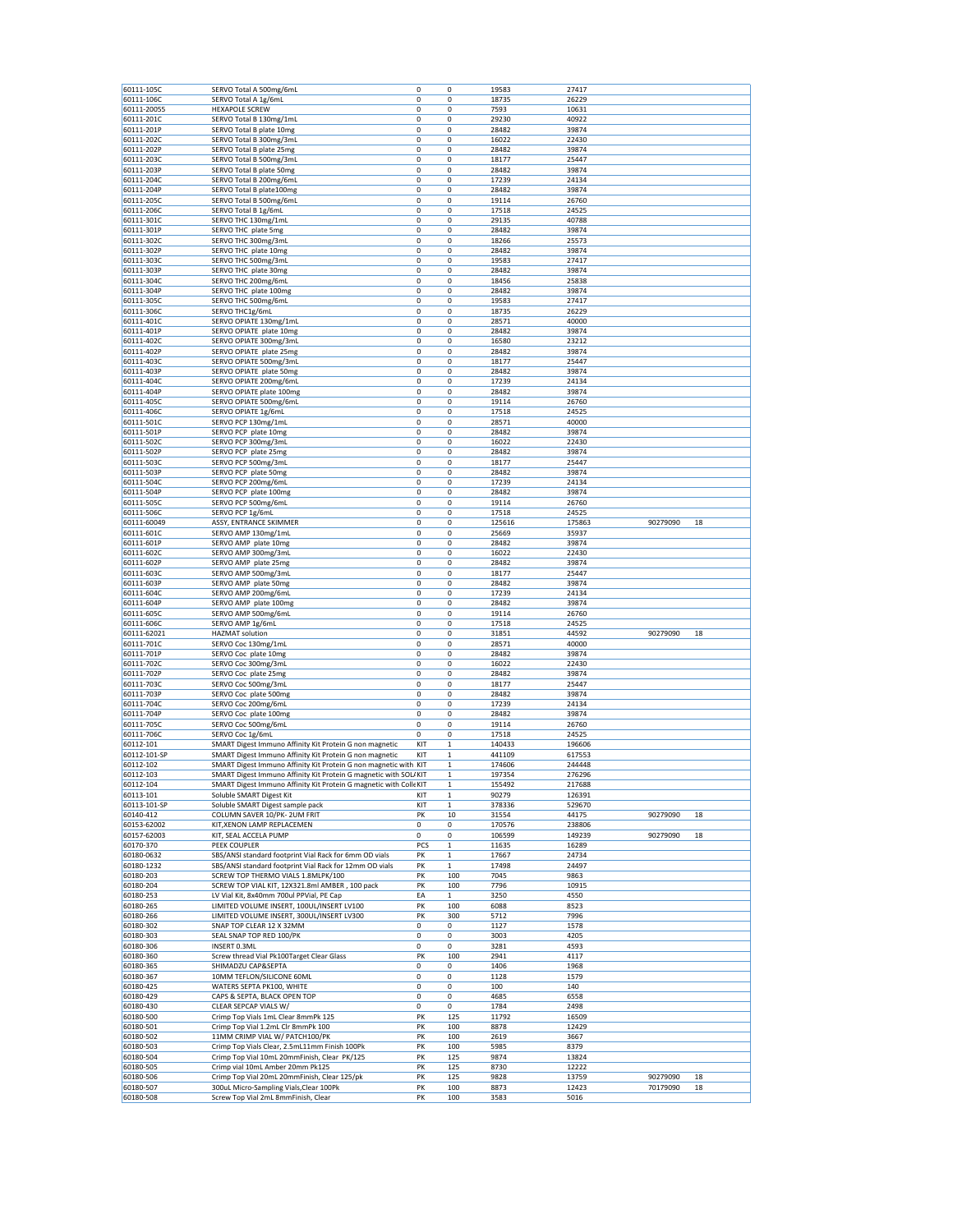| 60111-105C<br>60111-106C                                                                             | SERVO Total A 500mg/6mL                                            | 0   | 0            | 19583  | 27417  |          |    |
|------------------------------------------------------------------------------------------------------|--------------------------------------------------------------------|-----|--------------|--------|--------|----------|----|
|                                                                                                      | SERVO Total A 1g/6mL                                               | 0   | 0            | 18735  | 26229  |          |    |
| 60111-20055                                                                                          | <b>HEXAPOLE SCREW</b>                                              | 0   | 0            | 7593   | 10631  |          |    |
| 60111-201C                                                                                           | SERVO Total B 130mg/1mL                                            | 0   | 0            | 29230  | 40922  |          |    |
| 60111-201P                                                                                           | SERVO Total B plate 10mg                                           | 0   | 0            | 28482  | 39874  |          |    |
| 60111-202C                                                                                           | SERVO Total B 300mg/3mL                                            | 0   | 0            | 16022  | 22430  |          |    |
| 60111-202P                                                                                           | SERVO Total B plate 25mg                                           | 0   | 0            | 28482  | 39874  |          |    |
| 60111-203C                                                                                           | SERVO Total B 500mg/3mL                                            | 0   | 0            | 18177  | 25447  |          |    |
| 60111-203P                                                                                           | SERVO Total B plate 50mg                                           | 0   | 0            | 28482  | 39874  |          |    |
| 60111-204C                                                                                           | SERVO Total B 200mg/6mL                                            | 0   | 0            | 17239  | 24134  |          |    |
| 60111-204P                                                                                           | SERVO Total B plate100mg                                           | 0   | 0            | 28482  | 39874  |          |    |
| 60111-205C                                                                                           | SERVO Total B 500mg/6mL                                            | 0   | 0            | 19114  | 26760  |          |    |
| 60111-206C                                                                                           | SERVO Total B 1g/6mL                                               | 0   | 0            | 17518  | 24525  |          |    |
| 60111-301C                                                                                           | SERVO THC 130mg/1mL                                                | 0   | 0            | 29135  | 40788  |          |    |
| 60111-301P                                                                                           | SERVO THC plate 5mg                                                | 0   | 0            | 28482  | 39874  |          |    |
| 60111-302C                                                                                           | SERVO THC 300mg/3mL                                                | 0   | 0            | 18266  | 25573  |          |    |
| 60111-302P                                                                                           | SERVO THC plate 10mg                                               | 0   | 0            | 28482  | 39874  |          |    |
| 60111-303C                                                                                           | SERVO THC 500mg/3mL                                                | 0   | 0            | 19583  | 27417  |          |    |
| 60111-303P                                                                                           | SERVO THC plate 30mg                                               | 0   | 0            | 28482  | 39874  |          |    |
| 60111-304C                                                                                           | SERVO THC 200mg/6mL                                                | 0   | 0            | 18456  | 25838  |          |    |
| 60111-304P                                                                                           | SERVO THC plate 100mg                                              | 0   | 0            | 28482  | 39874  |          |    |
| 60111-305C                                                                                           | SERVO THC 500mg/6mL                                                | 0   | 0            | 19583  | 27417  |          |    |
| 60111-306C                                                                                           | SERVO THC1g/6mL                                                    | 0   | 0            | 18735  | 26229  |          |    |
| 60111-401C                                                                                           | SERVO OPIATE 130mg/1mL                                             | 0   | 0            | 28571  | 40000  |          |    |
| 60111-401P                                                                                           | SERVO OPIATE plate 10mg                                            | 0   | 0            | 28482  | 39874  |          |    |
| 60111-402C                                                                                           | SERVO OPIATE 300mg/3mL                                             | 0   | 0            | 16580  | 23212  |          |    |
| 60111-402P                                                                                           | SERVO OPIATE plate 25mg                                            | 0   | 0            | 28482  | 39874  |          |    |
| 60111-403C                                                                                           | SERVO OPIATE 500mg/3mL                                             | 0   | 0            | 18177  | 25447  |          |    |
| 60111-403P                                                                                           | SERVO OPIATE plate 50mg                                            | 0   | 0            | 28482  | 39874  |          |    |
| 60111-404C                                                                                           | SERVO OPIATE 200mg/6mL                                             | 0   | 0            | 17239  | 24134  |          |    |
| 60111-404P                                                                                           | SERVO OPIATE plate 100mg                                           | 0   | 0            | 28482  | 39874  |          |    |
| 60111-405C                                                                                           | SERVO OPIATE 500mg/6mL                                             | 0   | 0            | 19114  | 26760  |          |    |
| 60111-406C                                                                                           | SERVO OPIATE 1g/6mL                                                | 0   | 0            | 17518  | 24525  |          |    |
| 60111-501C                                                                                           | SERVO PCP 130mg/1mL                                                | 0   | 0            | 28571  | 40000  |          |    |
| 60111-501P                                                                                           | SERVO PCP plate 10mg                                               | 0   | 0            | 28482  | 39874  |          |    |
| 60111-502C                                                                                           | SERVO PCP 300mg/3mL                                                | 0   | 0            | 16022  | 22430  |          |    |
| 60111-502P                                                                                           | SERVO PCP plate 25mg                                               | 0   | 0            | 28482  | 39874  |          |    |
| 60111-503C                                                                                           | SERVO PCP 500mg/3mL                                                | 0   | 0            | 18177  | 25447  |          |    |
| 60111-503P                                                                                           | SERVO PCP plate 50mg                                               | 0   | 0            | 28482  | 39874  |          |    |
| 60111-504C                                                                                           | SERVO PCP 200mg/6mL                                                | 0   | 0            | 17239  | 24134  |          |    |
| 60111-504P                                                                                           | SERVO PCP plate 100mg                                              | 0   | 0            | 28482  | 39874  |          |    |
| 60111-505C                                                                                           | SERVO PCP 500mg/6mL                                                | 0   | 0            | 19114  | 26760  |          |    |
| 60111-506C                                                                                           | SERVO PCP 1g/6mL                                                   | 0   | 0            | 17518  | 24525  |          |    |
| 60111-60049                                                                                          | ASSY, ENTRANCE SKIMMER                                             | 0   | 0            | 125616 | 175863 | 90279090 | 18 |
| 60111-601C                                                                                           | SERVO AMP 130mg/1mL                                                | 0   | 0            | 25669  | 35937  |          |    |
| 60111-601P                                                                                           | SERVO AMP plate 10mg                                               | 0   | 0            | 28482  | 39874  |          |    |
| 60111-602C                                                                                           | SERVO AMP 300mg/3mL                                                | 0   | 0            | 16022  | 22430  |          |    |
| 60111-602P                                                                                           | SERVO AMP plate 25mg                                               | 0   | 0            | 28482  | 39874  |          |    |
| 60111-603C                                                                                           | SERVO AMP 500mg/3mL                                                | 0   | 0            | 18177  | 25447  |          |    |
| 60111-603P                                                                                           | SERVO AMP plate 50mg                                               | 0   | 0            | 28482  | 39874  |          |    |
| 60111-604C                                                                                           | SERVO AMP 200mg/6mL                                                | 0   | 0            | 17239  | 24134  |          |    |
| 60111-604P                                                                                           | SERVO AMP plate 100mg                                              | 0   | 0            | 28482  | 39874  |          |    |
| 60111-605C                                                                                           | SERVO AMP 500mg/6mL                                                | 0   | 0            | 19114  | 26760  |          |    |
| 60111-606C                                                                                           | SERVO AMP 1g/6mL                                                   | 0   | 0            | 17518  | 24525  |          |    |
| 60111-62021                                                                                          | <b>HAZMAT solution</b>                                             | 0   | 0            | 31851  | 44592  | 90279090 | 18 |
| 60111-701C                                                                                           | SERVO Coc 130mg/1mL                                                | 0   | 0            | 28571  | 40000  |          |    |
| 60111-701P                                                                                           | SERVO Coc plate 10mg                                               | 0   | 0            | 28482  | 39874  |          |    |
| 60111-702C                                                                                           | SERVO Coc 300mg/3mL                                                | 0   | 0            | 16022  | 22430  |          |    |
| 60111-702P                                                                                           | SERVO Coc plate 25mg                                               | 0   | 0            | 28482  | 39874  |          |    |
| 60111-703C                                                                                           | SERVO Coc 500mg/3mL                                                | 0   | 0            | 18177  | 25447  |          |    |
| 60111-703P                                                                                           | SERVO Coc plate 500mg                                              | 0   | 0            | 28482  | 39874  |          |    |
| 60111-704C                                                                                           | SERVO Coc 200mg/6mL                                                | 0   | 0            | 17239  | 24134  |          |    |
| 60111-704P                                                                                           | SERVO Coc plate 100mg                                              | 0   | 0            | 28482  | 39874  |          |    |
| 60111-705C                                                                                           | SERVO Coc 500mg/6mL                                                | 0   | 0            | 19114  | 26760  |          |    |
| 60111-706C                                                                                           | SERVO Coc 1g/6mL                                                   | 0   | 0            | 17518  | 24525  |          |    |
| 60112-101                                                                                            | SMART Digest Immuno Affinity Kit Protein G non magnetic            | KIT | $\mathbf 1$  | 140433 | 196606 |          |    |
| 60112-101-SP                                                                                         | SMART Digest Immuno Affinity Kit Protein G non magnetic            | KIT | $\mathbf{1}$ | 441109 | 617553 |          |    |
| 60112-102                                                                                            |                                                                    |     | $\mathbf 1$  |        |        |          |    |
|                                                                                                      | SMART Digest Immuno Affinity Kit Protein G non magnetic with KIT   |     |              | 174606 | 244448 |          |    |
|                                                                                                      | SMART Digest Immuno Affinity Kit Protein G magnetic with SOL/KIT   |     | $\mathbf 1$  | 197354 | 276296 |          |    |
|                                                                                                      | SMART Digest Immuno Affinity Kit Protein G magnetic with Colle KIT |     | $\,$ 1 $\,$  | 155492 | 217688 |          |    |
| 60112-103<br>60112-104<br>60113-101                                                                  | Soluble SMART Digest Kit                                           | KIT | $\mathbf 1$  | 90279  | 126391 |          |    |
| 60113-101-SP                                                                                         | Soluble SMART Digest sample pack                                   | KIT | $\mathbf 1$  | 378336 | 529670 |          |    |
| 60140-412                                                                                            | COLUMN SAVER 10/PK-2UM FRIT                                        | PK  | 10           | 31554  | 44175  | 90279090 | 18 |
| 60153-62002                                                                                          | KIT, XENON LAMP REPLACEMEN                                         | 0   | 0            | 170576 | 238806 |          |    |
| 60157-62003                                                                                          | KIT, SEAL ACCELA PUMP                                              | 0   | 0            | 106599 | 149239 | 90279090 | 18 |
| 60170-370                                                                                            | PEEK COUPLER                                                       | PCS | $\,1$        | 11635  | 16289  |          |    |
| 60180-0632                                                                                           | SBS/ANSI standard footprint Vial Rack for 6mm OD vials             | PK  | $\mathbf 1$  | 17667  | 24734  |          |    |
|                                                                                                      | SBS/ANSI standard footprint Vial Rack for 12mm OD vials            | PK  | $\mathbf 1$  | 17498  | 24497  |          |    |
| 60180-1232<br>60180-203                                                                              | SCREW TOP THERMO VIALS 1.8MLPK/100                                 | PK  | 100          | 7045   | 9863   |          |    |
| 60180-204                                                                                            | SCREW TOP VIAL KIT, 12X321.8ml AMBER, 100 pack                     | PK  | 100          | 7796   | 10915  |          |    |
| 60180-253                                                                                            | LV Vial Kit, 8x40mm 700ul PPVial, PE Cap                           | EA  | $\mathbf{1}$ | 3250   | 4550   |          |    |
| 60180-265                                                                                            | LIMITED VOLUME INSERT, 100UL/INSERT LV100                          | PK  | 100          | 6088   | 8523   |          |    |
| 60180-266                                                                                            | LIMITED VOLUME INSERT, 300UL/INSERT LV300                          | PK  | 300          | 5712   | 7996   |          |    |
|                                                                                                      | SNAP TOP CLEAR 12 X 32MM                                           | 0   | 0            | 1127   | 1578   |          |    |
|                                                                                                      | SEAL SNAP TOP RED 100/PK                                           | 0   | 0            | 3003   | 4205   |          |    |
| 60180-302<br>60180-303<br>60180-306                                                                  | INSERT 0.3ML                                                       | 0   | 0            | 3281   | 4593   |          |    |
| 60180-360                                                                                            | Screw thread Vial Pk100Target Clear Glass                          | PK  | 100          | 2941   | 4117   |          |    |
|                                                                                                      | SHIMADZU CAP&SEPTA                                                 | 0   | 0            | 1406   | 1968   |          |    |
|                                                                                                      | 10MM TEFLON/SILICONE 60ML                                          | 0   | 0            | 1128   | 1579   |          |    |
|                                                                                                      | WATERS SEPTA PK100, WHITE                                          | 0   | 0            | 100    | 140    |          |    |
|                                                                                                      | CAPS & SEPTA, BLACK OPEN TOP                                       | 0   | 0            | 4685   | 6558   |          |    |
|                                                                                                      | CLEAR SEPCAP VIALS W/                                              | 0   | 0            | 1784   | 2498   |          |    |
|                                                                                                      | Crimp Top Vials 1mL Clear 8mmPk 125                                | PK  | 125          | 11792  | 16509  |          |    |
|                                                                                                      | Crimp Top Vial 1.2mL Clr 8mmPk 100                                 | PK  | 100          | 8878   | 12429  |          |    |
| 60180-365<br>60180-367<br>60180-425<br>60180-429<br>60180-430<br>60180-500<br>60180-501<br>60180-502 | 11MM CRIMP VIAL W/ PATCH100/PK                                     | PK  | 100          | 2619   | 3667   |          |    |
| 60180-503                                                                                            | Crimp Top Vials Clear, 2.5mL11mm Finish 100Pk                      | PK  | 100          | 5985   | 8379   |          |    |
| 60180-504                                                                                            | Crimp Top Vial 10mL 20mmFinish, Clear PK/125                       | PK  | 125          | 9874   | 13824  |          |    |
| 60180-505                                                                                            | Crimp vial 10mL Amber 20mm Pk125                                   | PK  | 125          | 8730   | 12222  |          |    |
| 60180-506                                                                                            | Crimp Top Vial 20mL 20mmFinish, Clear 125/pk                       | PK  | 125          | 9828   | 13759  | 90279090 | 18 |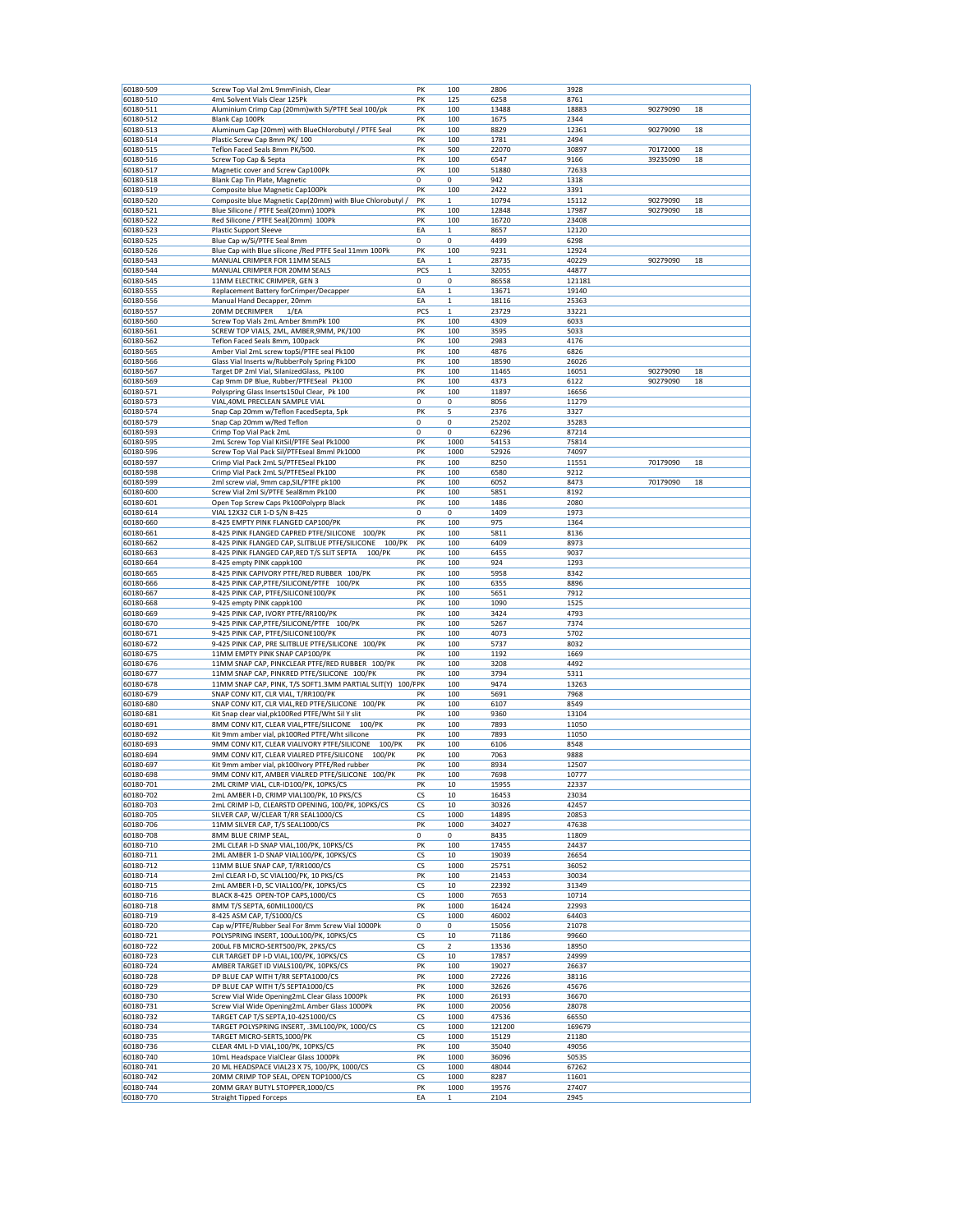| 60180-509              | Screw Top Vial 2mL 9mmFinish, Clear                                                            | PK       | 100          | 2806           | 3928           |          |    |
|------------------------|------------------------------------------------------------------------------------------------|----------|--------------|----------------|----------------|----------|----|
| 60180-510              | 4mL Solvent Vials Clear 125Pk                                                                  | PΚ       | 125          | 6258           | 8761           |          |    |
| 60180-511              | Aluminium Crimp Cap (20mm) with Si/PTFE Seal 100/pk                                            | PK       | 100          | 13488          | 18883          | 90279090 | 18 |
| 60180-512              | Blank Cap 100Pk                                                                                | PK       | 100          | 1675           | 2344           |          |    |
| 60180-513              | Aluminum Cap (20mm) with BlueChlorobutyl / PTFE Seal                                           | PK       | 100          | 8829           | 12361          | 90279090 | 18 |
| 60180-514              | Plastic Screw Cap 8mm PK/100                                                                   | PK       | 100          | 1781           | 2494           |          |    |
| 60180-515              | Teflon Faced Seals 8mm PK/500                                                                  | PK       | 500          | 22070          | 30897          | 70172000 | 18 |
| 60180-516              | Screw Top Cap & Septa                                                                          | PK       | 100          | 6547           | 9166           | 39235090 | 18 |
| 60180-517              | Magnetic cover and Screw Cap100Pk                                                              | PK       | 100          | 51880          | 72633          |          |    |
| 60180-518              | Blank Cap Tin Plate, Magnetic                                                                  | 0        | 0            | 942            | 1318           |          |    |
| 60180-519              | Composite blue Magnetic Cap100Pk                                                               | PK       | 100          | 2422           | 3391           |          |    |
| 60180-520              | Composite blue Magnetic Cap(20mm) with Blue Chlorobutyl                                        | PK       | 1            | 10794          | 15112          | 90279090 | 18 |
| 60180-521              | Blue Silicone / PTFE Seal(20mm) 100Pk                                                          | PK       | 100          | 12848          | 17987          | 90279090 | 18 |
| 60180-522              | Red Silicone / PTFE Seal(20mm) 100Pk                                                           | PK       | 100          | 16720          | 23408          |          |    |
| 60180-523<br>60180-525 | <b>Plastic Support Sleeve</b>                                                                  | ΕA<br>0  | 1<br>0       | 8657<br>4499   | 12120<br>6298  |          |    |
| 60180-526              | Blue Cap w/Si/PTFE Seal 8mm<br>Blue Cap with Blue silicone / Red PTFE Seal 11mm 100Pk          | PK       | 100          | 9231           | 12924          |          |    |
| 60180-543              | MANUAL CRIMPER FOR 11MM SEALS                                                                  | ΕA       | 1            | 28735          | 40229          | 90279090 | 18 |
| 60180-544              | MANUAL CRIMPER FOR 20MM SEALS                                                                  | PCS      | $\mathbf 1$  | 32055          | 44877          |          |    |
| 60180-545              | 11MM ELECTRIC CRIMPER, GEN 3                                                                   | 0        | 0            | 86558          | 121181         |          |    |
| 60180-555              | Replacement Battery forCrimper/Decapper                                                        | ΕA       | $\mathbf 1$  | 13671          | 19140          |          |    |
| 60180-556              | Manual Hand Decapper, 20mm                                                                     | EA       | $\mathbf{1}$ | 18116          | 25363          |          |    |
| 60180-557              | 20MM DECRIMPER<br>1/EA                                                                         | PCS      | 1            | 23729          | 33221          |          |    |
| 60180-560              | Screw Top Vials 2mL Amber 8mmPk 100                                                            | PK       | 100          | 4309           | 6033           |          |    |
| 60180-561              | SCREW TOP VIALS, 2ML, AMBER, 9MM, PK/100                                                       | PK       | 100          | 3595           | 5033           |          |    |
| 60180-562              | Teflon Faced Seals 8mm, 100pack                                                                | PK       | 100          | 2983           | 4176           |          |    |
| 60180-565              | Amber Vial 2mL screw topSi/PTFE seal Pk100                                                     | PK       | 100          | 4876           | 6826           |          |    |
| 60180-566              | Glass Vial Inserts w/RubberPoly Spring Pk100                                                   | PK       | 100          | 18590          | 26026          |          |    |
| 60180-567              | Target DP 2ml Vial, SilanizedGlass, Pk100                                                      | PK       | 100          | 11465          | 16051          | 90279090 | 18 |
| 60180-569              | Cap 9mm DP Blue, Rubber/PTFESeal Pk100                                                         | PK       | 100          | 4373           | 6122           | 90279090 | 18 |
| 60180-571              | Polyspring Glass Inserts150ul Clear, Pk 100                                                    | PK       | 100          | 11897          | 16656          |          |    |
| 60180-573              | VIAL, 40ML PRECLEAN SAMPLE VIAL                                                                | 0        | 0            | 8056           | 11279          |          |    |
| 60180-574              | Snap Cap 20mm w/Teflon FacedSepta, 5pk                                                         | PK       | 5            | 2376           | 3327           |          |    |
| 60180-579<br>60180-593 | Snap Cap 20mm w/Red Teflon<br>Crimp Top Vial Pack 2mL                                          | 0<br>0   | 0<br>0       | 25202<br>62296 | 35283<br>87214 |          |    |
|                        | 2mL Screw Top Vial KitSil/PTFE Seal Pk1000                                                     |          |              |                |                |          |    |
| 60180-595<br>60180-596 | Screw Top Vial Pack Sil/PTFEseal 8mml Pk1000                                                   | PK<br>PK | 1000         | 54153          | 75814<br>74097 |          |    |
| 60180-597              | Crimp Vial Pack 2mL Si/PTFESeal Pk100                                                          | PK       | 1000<br>100  | 52926<br>8250  | 11551          | 70179090 | 18 |
| 60180-598              | Crimp Vial Pack 2mL Si/PTFESeal Pk100                                                          | PK       | 100          | 6580           | 9212           |          |    |
| 60180-599              | 2ml screw vial, 9mm cap, SIL/PTFE pk100                                                        | PK       | 100          | 6052           | 8473           | 70179090 | 18 |
| 60180-600              | Screw Vial 2ml Si/PTFE Seal8mm Pk100                                                           | PK       | 100          | 5851           | 8192           |          |    |
| 60180-601              | Open Top Screw Caps Pk100Polyprp Black                                                         | PK       | 100          | 1486           | 2080           |          |    |
| 60180-614              | VIAL 12X32 CLR 1-D S/N 8-425                                                                   | 0        | 0            | 1409           | 1973           |          |    |
| 60180-660              | 8-425 EMPTY PINK FLANGED CAP100/PK                                                             | PK       | 100          | 975            | 1364           |          |    |
| 60180-661              | 8-425 PINK FLANGED CAPRED PTFE/SILICONE 100/PK                                                 | PK       | 100          | 5811           | 8136           |          |    |
| 60180-662              | 100/PK<br>8-425 PINK FLANGED CAP, SLITBLUE PTFE/SILICONE                                       | PK       | 100          | 6409           | 8973           |          |    |
| 60180-663              | 8-425 PINK FLANGED CAP, RED T/S SLIT SEPTA<br>100/PK                                           | PK       | 100          | 6455           | 9037           |          |    |
| 60180-664              | 8-425 empty PINK cappk100                                                                      | PK       | 100          | 924            | 1293           |          |    |
| 60180-665              | 8-425 PINK CAPIVORY PTFE/RED RUBBER 100/PK                                                     | PK       | 100          | 5958           | 8342           |          |    |
| 60180-666              | 8-425 PINK CAP, PTFE/SILICONE/PTFE 100/PK                                                      | PK       | 100          | 6355           | 8896           |          |    |
| 60180-667              | 8-425 PINK CAP, PTFE/SILICONE100/PK                                                            | PK       | 100          | 5651           | 7912           |          |    |
| 60180-668              | 9-425 empty PINK cappk100                                                                      | PK       | 100          | 1090           | 1525           |          |    |
| 60180-669              | 9-425 PINK CAP, IVORY PTFE/RR100/PK                                                            | PK       | 100          | 3424           | 4793           |          |    |
| 60180-670              | 9-425 PINK CAP, PTFE/SILICONE/PTFE 100/PK                                                      | PK       | 100          | 5267           | 7374           |          |    |
| 60180-671              | 9-425 PINK CAP, PTFE/SILICONE100/PK                                                            | PK       | 100          | 4073           | 5702           |          |    |
| 60180-672              | 9-425 PINK CAP, PRE SLITBLUE PTFE/SILICONE 100/PK                                              | PK       | 100          | 5737           | 8032           |          |    |
| 60180-675              | 11MM EMPTY PINK SNAP CAP100/PK                                                                 | PK       | 100          | 1192           | 1669           |          |    |
| 60180-676              | 11MM SNAP CAP, PINKCLEAR PTFE/RED RUBBER 100/PK<br>11MM SNAP CAP, PINKRED PTFE/SILICONE 100/PK | PK<br>PK | 100          | 3208<br>3794   | 4492           |          |    |
| 60180-677<br>60180-678 | 11MM SNAP CAP, PINK, T/S SOFT1.3MM PARTIAL SLIT(Y) 100/FPK                                     |          | 100<br>100   | 9474           | 5311<br>13263  |          |    |
| 60180-679              | SNAP CONV KIT, CLR VIAL, T/RR100/PK                                                            | PK       | 100          | 5691           | 7968           |          |    |
| 60180-680              | SNAP CONV KIT, CLR VIAL, RED PTFE/SILICONE 100/PK                                              | PK       | 100          | 6107           | 8549           |          |    |
| 60180-681              | Kit Snap clear vial, pk100Red PTFE/Wht Sil Y slit                                              | PK       | 100          | 9360           | 13104          |          |    |
| 60180-691              | 8MM CONV KIT, CLEAR VIAL, PTFE/SILICONE 100/PK                                                 | PK       | 100          | 7893           | 11050          |          |    |
| 60180-692              | Kit 9mm amber vial, pk100Red PTFE/Wht silicone                                                 | PK       | 100          | 7893           | 11050          |          |    |
| 60180-693              | 9MM CONV KIT, CLEAR VIALIVORY PTFE/SILICONE<br>100/PK                                          | PK       | 100          | 6106           | 8548           |          |    |
| 60180-694              | 9MM CONV KIT, CLEAR VIALRED PTFE/SILICONE<br>100/PK                                            | PK       | 100          | 7063           | 9888           |          |    |
| 60180-697              | Kit 9mm amber vial, pk100Ivory PTFE/Red rubber                                                 | PK       | 100          | 8934           | 12507          |          |    |
| 60180-698              | 9MM CONV KIT, AMBER VIALRED PTFE/SILICONE 100/PK                                               | PK       | 100          | 7698           | 10777          |          |    |
| 60180-701              | 2ML CRIMP VIAL, CLR-ID100/PK, 10PKS/CS                                                         | PK       | 10           | 15955          | 22337          |          |    |
| 60180-702              | 2mL AMBER I-D, CRIMP VIAL100/PK, 10 PKS/CS                                                     | CS       | 10           | 16453          | 23034          |          |    |
| 60180-703              | 2mL CRIMP I-D, CLEARSTD OPENING, 100/PK, 10PKS/CS                                              | CS       | 10           | 30326          | 42457          |          |    |
| 60180-705              | SILVER CAP, W/CLEAR T/RR SEAL1000/CS                                                           | CS       | 1000         | 14895          | 20853          |          |    |
| 60180-706              | 11MM SILVER CAP, T/S SEAL1000/CS                                                               | PK       | 1000         | 34027          | 47638          |          |    |
| 60180-708              | 8MM BLUE CRIMP SEAL,                                                                           | 0        | 0            | 8435           | 11809          |          |    |
| 60180-710<br>60180-711 | 2ML CLEAR I-D SNAP VIAL, 100/PK, 10PKS/CS<br>2ML AMBER 1-D SNAP VIAL100/PK, 10PKS/CS           | PK<br>СS | 100<br>10    | 17455<br>19039 | 24437<br>26654 |          |    |
| 60180-712              | 11MM BLUE SNAP CAP, T/RR1000/CS                                                                | CS       | 1000         | 25751          | 36052          |          |    |
| 60180-714              | 2ml CLEAR I-D, SC VIAL100/PK, 10 PKS/CS                                                        | PK       | 100          | 21453          | 30034          |          |    |
| 60180-715              | 2mL AMBER I-D, SC VIAL100/PK, 10PKS/CS                                                         | СS       | 10           | 22392          | 31349          |          |    |
| 60180-716              | BLACK 8-425 OPEN-TOP CAPS,1000/CS                                                              | СS       | 1000         | 7653           | 10714          |          |    |
| 60180-718              | 8MM T/S SEPTA, 60MIL1000/CS                                                                    | PK       | 1000         | 16424          | 22993          |          |    |
| 60180-719              | 8-425 ASM CAP, T/S1000/CS                                                                      | СS       | 1000         | 46002          | 64403          |          |    |
| 60180-720              | Cap w/PTFE/Rubber Seal For 8mm Screw Vial 1000Pk                                               | 0        | 0            | 15056          | 21078          |          |    |
| 60180-721              | POLYSPRING INSERT, 100uL100/PK, 10PKS/CS                                                       | CS       | 10           | 71186          | 99660          |          |    |
| 60180-722              | 200uL FB MICRO-SERT500/PK, 2PKS/CS                                                             | СS       | 2            | 13536          | 18950          |          |    |
| 60180-723              | CLR TARGET DP I-D VIAL, 100/PK, 10PKS/CS                                                       | СS       | 10           | 17857          | 24999          |          |    |
| 60180-724              | AMBER TARGET ID VIALS100/PK, 10PKS/CS                                                          | PK       | 100          | 19027          | 26637          |          |    |
| 60180-728              | DP BLUE CAP WITH T/RR SEPTA1000/CS                                                             | PK       | 1000         | 27226          | 38116          |          |    |
| 60180-729              | DP BLUE CAP WITH T/S SEPTA1000/CS                                                              | PK       | 1000         | 32626          | 45676          |          |    |
| 60180-730              | Screw Vial Wide Opening2mL Clear Glass 1000Pk                                                  | PK       | 1000         | 26193          | 36670          |          |    |
| 60180-731              | Screw Vial Wide Opening2mL Amber Glass 1000Pk                                                  | PK       | 1000         | 20056          | 28078          |          |    |
| 60180-732              | TARGET CAP T/S SEPTA, 10-4251000/CS                                                            | CS       | 1000         | 47536          | 66550          |          |    |
| 60180-734              | TARGET POLYSPRING INSERT, .3ML100/PK, 1000/CS                                                  | CS       | 1000         | 121200         | 169679         |          |    |
| 60180-735<br>60180-736 | TARGET MICRO-SERTS, 1000/PK<br>CLEAR 4ML I-D VIAL, 100/PK, 10PKS/CS                            | CS<br>PK | 1000<br>100  | 15129<br>35040 | 21180<br>49056 |          |    |
| 60180-740              | 10mL Headspace VialClear Glass 1000Pk                                                          | PK       | 1000         | 36096          | 50535          |          |    |
| 60180-741              | 20 ML HEADSPACE VIAL23 X 75, 100/PK, 1000/CS                                                   | СS       | 1000         | 48044          | 67262          |          |    |
| 60180-742              | 20MM CRIMP TOP SEAL, OPEN TOP1000/CS                                                           | СS       | 1000         | 8287           | 11601          |          |    |
| 60180-744              | 20MM GRAY BUTYL STOPPER, 1000/CS                                                               | PK       | 1000         | 19576          | 27407          |          |    |
| 60180-770              | <b>Straight Tipped Forceps</b>                                                                 | EA       | $\mathbf{1}$ | 2104           | 2945           |          |    |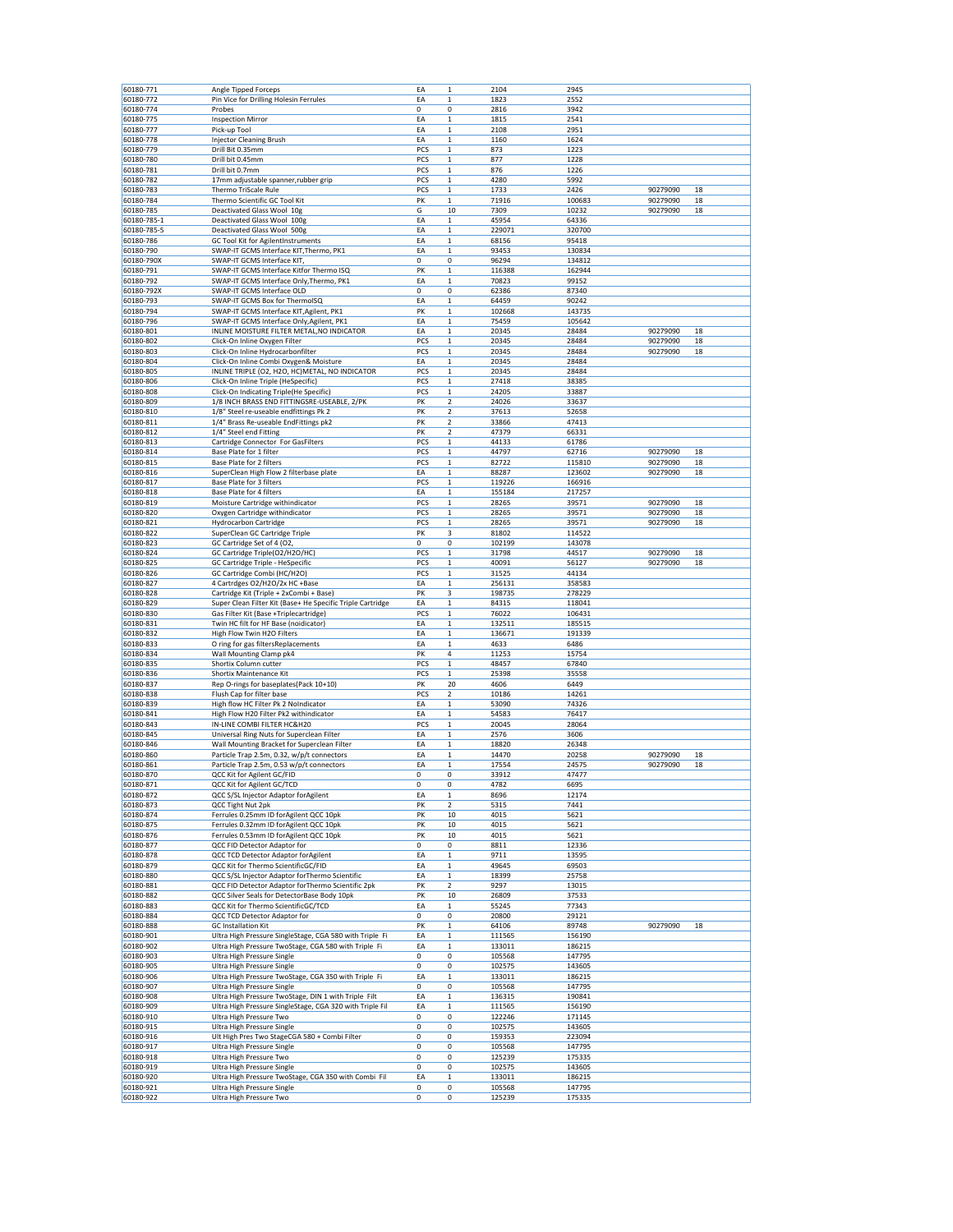| 60180-771                | Angle Tipped Forceps                                                                                 | EA          | $\mathbf 1$                            | 2104             | 2945             |                      |          |
|--------------------------|------------------------------------------------------------------------------------------------------|-------------|----------------------------------------|------------------|------------------|----------------------|----------|
| 60180-772                | Pin Vice for Drilling Holesin Ferrules                                                               | EA          | $\mathbf{1}$                           | 1823             | 2552             |                      |          |
| 60180-774                | Probes                                                                                               | 0           | 0                                      | 2816             | 3942             |                      |          |
| 60180-775                | <b>Inspection Mirror</b>                                                                             | EA          | $\mathbf 1$                            | 1815             | 2541             |                      |          |
| 60180-777                | Pick-up Tool                                                                                         | EA<br>EA    | 1<br>$\mathbf 1$                       | 2108             | 2951             |                      |          |
| 60180-778<br>60180-779   | <b>Injector Cleaning Brush</b><br>Drill Bit 0.35mm                                                   | PCS         | $\mathbf 1$                            | 1160<br>873      | 1624<br>1223     |                      |          |
| 60180-780                | Drill bit 0.45mm                                                                                     | PCS         | $\mathbf 1$                            | 877              | 1228             |                      |          |
| 60180-781                | Drill bit 0.7mm                                                                                      | PCS         | $\mathbf 1$                            | 876              | 1226             |                      |          |
| 60180-782                | 17mm adjustable spanner, rubber grip                                                                 | PCS         | $\mathbf 1$                            | 4280             | 5992             |                      |          |
| 60180-783                | Thermo TriScale Rule                                                                                 | PCS         | $\mathbf 1$                            | 1733             | 2426             | 90279090             | 18       |
| 60180-784                | Thermo Scientific GC Tool Kit                                                                        | PK          | $\mathbf 1$                            | 71916            | 100683           | 90279090             | 18       |
| 60180-785                | Deactivated Glass Wool 10g                                                                           | G           | 10                                     | 7309             | 10232            | 90279090             | 18       |
| 60180-785-1              | Deactivated Glass Wool 100g                                                                          | EA          | $\mathbf 1$                            | 45954            | 64336<br>320700  |                      |          |
| 60180-785-5<br>60180-786 | Deactivated Glass Wool 500g<br><b>GC Tool Kit for AgilentInstruments</b>                             | EA<br>EA    | $\mathbf 1$<br>$\mathbf 1$             | 229071<br>68156  | 95418            |                      |          |
| 60180-790                | SWAP-IT GCMS Interface KIT, Thermo, PK1                                                              | EA          | 1                                      | 93453            | 130834           |                      |          |
| 60180-790X               | SWAP-IT GCMS Interface KIT                                                                           | 0           | 0                                      | 96294            | 134812           |                      |          |
| 60180-791                | SWAP-IT GCMS Interface Kitfor Thermo ISQ                                                             | PK          | $\mathbf 1$                            | 116388           | 162944           |                      |          |
| 60180-792                | SWAP-IT GCMS Interface Only, Thermo, PK1                                                             | EA          | $\mathbf 1$                            | 70823            | 99152            |                      |          |
| 60180-792X               | SWAP-IT GCMS Interface OLD                                                                           | 0           | 0                                      | 62386            | 87340            |                      |          |
| 60180-793                | SWAP-IT GCMS Box for ThermoISQ                                                                       | EA          | $\mathbf 1$                            | 64459            | 90242            |                      |          |
| 60180-794<br>60180-796   | SWAP-IT GCMS Interface KIT, Agilent, PK1<br>SWAP-IT GCMS Interface Only, Agilent, PK1                | PK<br>EA    | 1<br>1                                 | 102668<br>75459  | 143735<br>105642 |                      |          |
| 60180-801                | INLINE MOISTURE FILTER METAL, NO INDICATOR                                                           | EA          | $\mathbf 1$                            | 20345            | 28484            | 90279090             | 18       |
| 60180-802                | Click-On Inline Oxygen Filter                                                                        | PCS         | $\mathbf 1$                            | 20345            | 28484            | 90279090             | 18       |
| 60180-803                | Click-On Inline Hydrocarbonfilter                                                                    | PCS         | $\mathbf 1$                            | 20345            | 28484            | 90279090             | 18       |
| 60180-804                | Click-On Inline Combi Oxygen& Moisture                                                               | EA          | $\mathbf 1$                            | 20345            | 28484            |                      |          |
| 60180-805                | INLINE TRIPLE (O2, H2O, HC)METAL, NO INDICATOR                                                       | PCS         | $\mathbf 1$                            | 20345            | 28484            |                      |          |
| 60180-806                | Click-On Inline Triple (HeSpecific)                                                                  | PCS         | $\mathbf 1$                            | 27418            | 38385            |                      |          |
| 60180-808                | Click-On Indicating Triple(He Specific)                                                              | PCS         | $\mathbf 1$                            | 24205            | 33887            |                      |          |
| 60180-809                | 1/8 INCH BRASS END FITTINGSRE-USEABLE, 2/PK                                                          | PK          | $\overline{\mathbf{2}}$                | 24026            | 33637            |                      |          |
| 60180-810<br>60180-811   | 1/8" Steel re-useable endfittings Pk 2<br>1/4" Brass Re-useable EndFittings pk2                      | PK<br>PK    | $\mathbf 2$<br>$\overline{\mathbf{2}}$ | 37613<br>33866   | 52658<br>47413   |                      |          |
| 60180-812                | 1/4" Steel end Fitting                                                                               | PK          | $\mathbf 2$                            | 47379            | 66331            |                      |          |
| 60180-813                | Cartridge Connector For GasFilters                                                                   | PCS         | $\mathbf 1$                            | 44133            | 61786            |                      |          |
| 60180-814                | Base Plate for 1 filter                                                                              | PCS         | $\mathbf 1$                            | 44797            | 62716            | 90279090             | 18       |
| 60180-815                | Base Plate for 2 filters                                                                             | PCS         | $\mathbf 1$                            | 82722            | 115810           | 90279090             | 18       |
| 60180-816                | SuperClean High Flow 2 filterbase plate                                                              | EA          | $\mathbf 1$                            | 88287            | 123602           | 90279090             | 18       |
| 60180-817                | Base Plate for 3 filters                                                                             | PCS         | $\mathbf 1$                            | 119226           | 166916           |                      |          |
| 60180-818                | Base Plate for 4 filters                                                                             | EA          | $\mathbf 1$                            | 155184           | 217257           |                      |          |
| 60180-819                | Moisture Cartridge withindicator                                                                     | PCS         | $\mathbf 1$                            | 28265            | 39571            | 90279090             | 18       |
| 60180-820<br>60180-821   | Oxygen Cartridge withindicator<br><b>Hydrocarbon Cartridge</b>                                       | PCS<br>PCS  | $\mathbf 1$<br>$\mathbf 1$             | 28265<br>28265   | 39571<br>39571   | 90279090<br>90279090 | 18<br>18 |
| 60180-822                | SuperClean GC Cartridge Triple                                                                       | PK          | 3                                      | 81802            | 114522           |                      |          |
| 60180-823                | GC Cartridge Set of 4 (O2,                                                                           | 0           | $\pmb{0}$                              | 102199           | 143078           |                      |          |
| 60180-824                | GC Cartridge Triple(O2/H2O/HC)                                                                       | PCS         | $\mathbf 1$                            | 31798            | 44517            | 90279090             | 18       |
| 60180-825                | GC Cartridge Triple - HeSpecific                                                                     | PCS         | 1                                      | 40091            | 56127            | 90279090             | 18       |
| 60180-826                | GC Cartridge Combi (HC/H2O)                                                                          | PCS         | $\mathbf 1$                            | 31525            | 44134            |                      |          |
| 60180-827                | 4 Cartrdges O2/H2O/2x HC +Base                                                                       | EA          | $\mathbf 1$                            | 256131           | 358583           |                      |          |
| 60180-828                | Cartridge Kit (Triple + 2xCombi + Base)                                                              | PK          | 3                                      | 198735           | 278229           |                      |          |
| 60180-829<br>60180-830   | Super Clean Filter Kit (Base+ He Specific Triple Cartridge<br>Gas Filter Kit (Base +Triplecartridge) | EA<br>PCS   | $\mathbf 1$<br>$\mathbf 1$             | 84315<br>76022   | 118041<br>106431 |                      |          |
| 60180-831                | Twin HC filt for HF Base (noidicator)                                                                | EA          | $\mathbf 1$                            | 132511           | 185515           |                      |          |
| 60180-832                | High Flow Twin H2O Filters                                                                           | EA          | $\mathbf 1$                            | 136671           | 191339           |                      |          |
| 60180-833                | O ring for gas filtersReplacements                                                                   | EA          | $\mathbf 1$                            | 4633             | 6486             |                      |          |
|                          |                                                                                                      | PK          | 4                                      | 11253            | 15754            |                      |          |
| 60180-834                | Wall Mounting Clamp pk4                                                                              |             |                                        |                  |                  |                      |          |
| 60180-835                | Shortix Column cutter                                                                                | PCS         | $\mathbf 1$                            | 48457            | 67840            |                      |          |
| 60180-836                | <b>Shortix Maintenance Kit</b>                                                                       | PCS         | $\mathbf 1$                            | 25398            | 35558            |                      |          |
| 60180-837                | Rep O-rings for baseplates(Pack 10+10)                                                               | PK          | 20                                     | 4606             | 6449             |                      |          |
| 60180-838                | Flush Cap for filter base                                                                            | PCS         | $\overline{\mathbf{2}}$                | 10186            | 14261            |                      |          |
| 60180-839                | High flow HC Filter Pk 2 NoIndicator                                                                 | EA          | $\mathbf 1$                            | 53090            | 74326            |                      |          |
| 60180-841                | High Flow H20 Filter Pk2 withindicator                                                               | EA          | $\mathbf 1$                            | 54583            | 76417            |                      |          |
| 60180-843                | IN-LINE COMBI FILTER HC&H20                                                                          | PCS<br>EA   | $\mathbf 1$                            | 20045            | 28064            |                      |          |
| 60180-845<br>60180-846   | Universal Ring Nuts for Superclean Filter<br>Wall Mounting Bracket for Superclean Filter             | EA          | $\mathbf 1$<br>$\mathbf 1$             | 2576<br>18820    | 3606<br>26348    |                      |          |
| 60180-860                | Particle Trap 2.5m, 0.32, w/p/t connectors                                                           | EA          | 1                                      | 14470            | 20258            | 90279090             | 18       |
| 60180-861                | Particle Trap 2.5m, 0.53 w/p/t connectors                                                            | EA          | $\mathbf 1$                            | 17554            | 24575            | 90279090             | 18       |
| 60180-870                | QCC Kit for Agilent GC/FID                                                                           | 0           | 0                                      | 33912            | 47477            |                      |          |
| 60180-871                | QCC Kit for Agilent GC/TCD                                                                           | $\mathbf 0$ | $\pmb{0}$                              | 4782             | 6695             |                      |          |
| 60180-872                | QCC S/SL Injector Adaptor forAgilent<br><b>OCC Tight Nut 2pk</b>                                     | EA          | 1                                      | 8696             | 12174            |                      |          |
| 60180-873<br>60180-874   | Ferrules 0.25mm ID forAgilent QCC 10pk                                                               | PK<br>PK    | $\overline{2}$<br>10                   | 5315<br>4015     | 7441<br>5621     |                      |          |
| 60180-875                | Ferrules 0.32mm ID forAgilent QCC 10pk                                                               | PK          | 10                                     | 4015             | 5621             |                      |          |
| 60180-876                | Ferrules 0.53mm ID forAgilent QCC 10pk                                                               | PK          | 10                                     | 4015             | 5621             |                      |          |
| 60180-877                | QCC FID Detector Adaptor for                                                                         | 0           | 0                                      | 8811             | 12336            |                      |          |
| 60180-878                | QCC TCD Detector Adaptor forAgilent                                                                  | EA          | $\mathbf 1$                            | 9711             | 13595            |                      |          |
| 60180-879                | QCC Kit for Thermo ScientificGC/FID                                                                  | EA          | $\mathbf 1$                            | 49645            | 69503            |                      |          |
| 60180-880                | QCC S/SL Injector Adaptor forThermo Scientific                                                       | EA          | $\mathbf 1$                            | 18399            | 25758            |                      |          |
| 60180-881                | QCC FID Detector Adaptor forThermo Scientific 2pk                                                    | PK          | $\mathbf 2$                            | 9297             | 13015            |                      |          |
| 60180-882<br>60180-883   | QCC Silver Seals for DetectorBase Body 10pk<br>QCC Kit for Thermo ScientificGC/TCD                   | PK<br>EA    | 10<br>$\mathbf 1$                      | 26809<br>55245   | 37533<br>77343   |                      |          |
| 60180-884                | QCC TCD Detector Adaptor for                                                                         | 0           | 0                                      | 20800            | 29121            |                      |          |
| 60180-888                | <b>GC Installation Kit</b>                                                                           | PK          | 1                                      | 64106            | 89748            | 90279090             | 18       |
| 60180-901                | Ultra High Pressure SingleStage, CGA 580 with Triple Fi                                              | EA          | $\mathbf 1$                            | 111565           | 156190           |                      |          |
| 60180-902                | Ultra High Pressure TwoStage, CGA 580 with Triple Fi                                                 | EA          | 1                                      | 133011           | 186215           |                      |          |
| 60180-903                | Ultra High Pressure Single                                                                           | 0           | 0                                      | 105568           | 147795           |                      |          |
| 60180-905                | Ultra High Pressure Single                                                                           | 0           | 0                                      | 102575           | 143605           |                      |          |
| 60180-906                | Ultra High Pressure TwoStage, CGA 350 with Triple Fi                                                 | EA          | $\mathbf 1$                            | 133011           | 186215           |                      |          |
| 60180-907<br>60180-908   | Ultra High Pressure Single<br>Ultra High Pressure TwoStage, DIN 1 with Triple Filt                   | 0<br>EA     | 0<br>$\mathbf 1$                       | 105568<br>136315 | 147795<br>190841 |                      |          |
| 60180-909                | Ultra High Pressure SingleStage, CGA 320 with Triple Fil                                             | EA          | 1                                      | 111565           | 156190           |                      |          |
| 60180-910                | Ultra High Pressure Two                                                                              | 0           | 0                                      | 122246           | 171145           |                      |          |
| 60180-915                | Ultra High Pressure Single                                                                           | 0           | 0                                      | 102575           | 143605           |                      |          |
| 60180-916                | Ult High Pres Two StageCGA 580 + Combi Filter                                                        | 0           | 0                                      | 159353           | 223094           |                      |          |
| 60180-917                | Ultra High Pressure Single                                                                           | 0           | 0                                      | 105568           | 147795           |                      |          |
| 60180-918                | Ultra High Pressure Two                                                                              | 0           | 0                                      | 125239           | 175335           |                      |          |
| 60180-919                | Ultra High Pressure Single                                                                           | 0           | 0                                      | 102575           | 143605           |                      |          |
| 60180-920<br>60180-921   | Ultra High Pressure TwoStage, CGA 350 with Combi Fil<br>Ultra High Pressure Single                   | EA<br>0     | $\mathbf 1$<br>0                       | 133011<br>105568 | 186215<br>147795 |                      |          |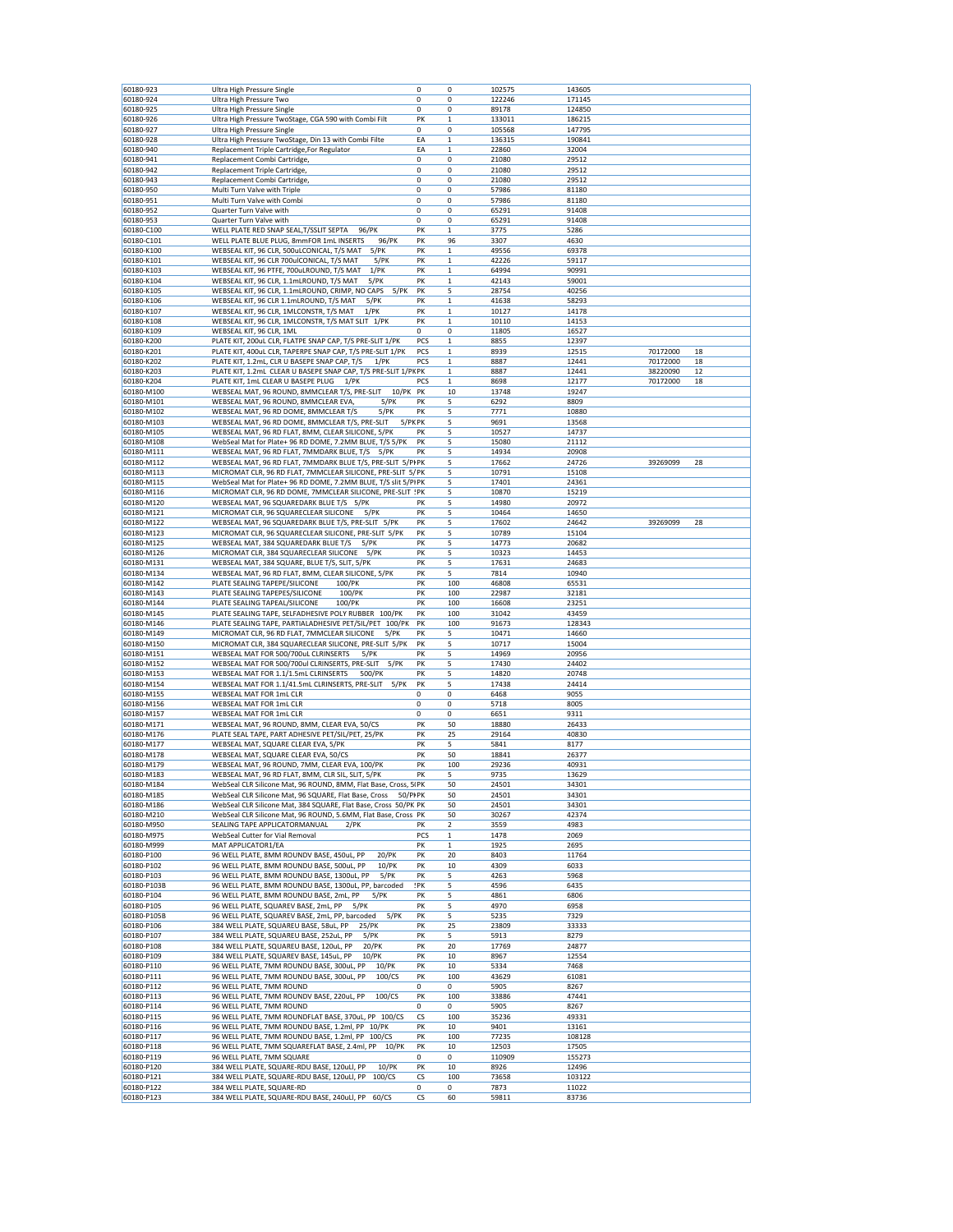| 60180-923                | Ultra High Pressure Single                                                     | 0          | 0            | 102575        | 143605         |          |    |
|--------------------------|--------------------------------------------------------------------------------|------------|--------------|---------------|----------------|----------|----|
| 60180-924                |                                                                                | 0          | 0            | 122246        | 171145         |          |    |
|                          | Ultra High Pressure Two                                                        |            |              |               |                |          |    |
| 60180-925                | Ultra High Pressure Single                                                     | 0          | 0            | 89178         | 124850         |          |    |
| 60180-926                | Ultra High Pressure TwoStage, CGA 590 with Combi Filt                          | PK         | $\mathbf 1$  | 133011        | 186215         |          |    |
| 60180-927                | Ultra High Pressure Single                                                     | 0          | 0            | 105568        | 147795         |          |    |
| 60180-928                | Ultra High Pressure TwoStage, Din 13 with Combi Filte                          | EA         | 1            | 136315        | 190841         |          |    |
| 60180-940                | Replacement Triple Cartridge, For Regulator                                    | EA         | $\mathbf 1$  | 22860         | 32004          |          |    |
|                          |                                                                                |            |              |               |                |          |    |
| 60180-941                | Replacement Combi Cartridge                                                    | 0          | 0            | 21080         | 29512          |          |    |
| 60180-942                | Replacement Triple Cartridge                                                   | 0          | 0            | 21080         | 29512          |          |    |
| 60180-943                | Replacement Combi Cartridge,                                                   | 0          | 0            | 21080         | 29512          |          |    |
| 60180-950                | Multi Turn Valve with Triple                                                   | 0          | 0            | 57986         | 81180          |          |    |
| 60180-951                | Multi Turn Valve with Combi                                                    | 0          | 0            | 57986         | 81180          |          |    |
| 60180-952                | Quarter Turn Valve with                                                        | $^{\circ}$ | 0            | 65291         | 91408          |          |    |
|                          |                                                                                |            |              |               |                |          |    |
| 60180-953                | Quarter Turn Valve with                                                        | 0          | 0            | 65291         | 91408          |          |    |
| 60180-C100               | WELL PLATE RED SNAP SEAL, T/SSLIT SEPTA<br>96/PK                               | PK         | $\mathbf{1}$ | 3775          | 5286           |          |    |
| 60180-C101               | WELL PLATE BLUE PLUG, 8mmFOR 1mL INSERTS<br>96/PK                              | PK         | 96           | 3307          | 4630           |          |    |
| 60180-K100               | WEBSEAL KIT, 96 CLR, 500uLCONICAL, T/S MAT<br>5/PK                             | PK         | $\mathbf 1$  | 49556         | 69378          |          |    |
| 60180-K101               | WEBSEAL KIT, 96 CLR 700ulCONICAL, T/S MAT<br>5/PK                              | PK         | 1            | 42226         | 59117          |          |    |
| 60180-K103               | WEBSEAL KIT, 96 PTFE, 700uLROUND, T/S MAT<br>1/PK                              | PK         | $\mathbf 1$  | 64994         | 90991          |          |    |
| 60180-K104               | WEBSEAL KIT, 96 CLR, 1.1mLROUND, T/S MAT<br>$5$ / $PK$                         | PK         | $\mathbf 1$  | 42143         | 59001          |          |    |
|                          |                                                                                |            |              |               |                |          |    |
| 60180-K105               | WEBSEAL KIT, 96 CLR, 1.1mLROUND, CRIMP, NO CAPS<br>5/PK                        | PK         | 5            | 28754         | 40256          |          |    |
| 60180-K106               | WEBSEAL KIT, 96 CLR 1.1mLROUND, T/S MAT<br>$5$ / $PK$                          | PK         | $\mathbf 1$  | 41638         | 58293          |          |    |
| 60180-K107               | WEBSEAL KIT, 96 CLR, 1MLCONSTR, T/S MAT<br>$1$ /PK                             | PK         | $\mathbf 1$  | 10127         | 14178          |          |    |
| 60180-K108               | WEBSEAL KIT, 96 CLR, 1MLCONSTR, T/S MAT SLIT 1/PK                              | PK         | 1            | 10110         | 14153          |          |    |
| 60180-K109               | WEBSEAL KIT, 96 CLR, 1ML                                                       | 0          | 0            | 11805         | 16527          |          |    |
| 60180-K200               | PLATE KIT, 200uL CLR, FLATPE SNAP CAP, T/S PRE-SLIT 1/PK                       | PCS        | $\mathbf 1$  | 8855          | 12397          |          |    |
|                          |                                                                                |            |              |               |                |          |    |
| 60180-K201               | PLATE KIT, 400uL CLR, TAPERPE SNAP CAP, T/S PRE-SLIT 1/PK                      | PCS        | 1            | 8939          | 12515          | 70172000 | 18 |
| 60180-K202               | PLATE KIT, 1.2mL, CLR U BASEPE SNAP CAP, T/S<br>$1$ /PK                        | PCS        | 1            | 8887          | 12441          | 70172000 | 18 |
| 60180-K203               | PLATE KIT, 1.2mL CLEAR U BASEPE SNAP CAP, T/S PRE-SLIT 1/PK PK                 |            | $\mathbf 1$  | 8887          | 12441          | 38220090 | 12 |
| 60180-K204               | PLATE KIT, 1mL CLEAR U BASEPE PLUG<br>1/PK                                     | PCS        | 1            | 8698          | 12177          | 70172000 | 18 |
| 60180-M100               | 10/PK PK<br>WEBSEAL MAT, 96 ROUND, 8MMCLEAR T/S, PRE-SLIT                      |            | 10           | 13748         | 19247          |          |    |
| 60180-M101               | WEBSEAL MAT, 96 ROUND, 8MMCLEAR EVA,<br>5/PK                                   | PK         | 5            | 6292          | 8809           |          |    |
|                          |                                                                                |            |              |               |                |          |    |
| 60180-M102               | WEBSEAL MAT, 96 RD DOME, 8MMCLEAR T/S<br>5/PK                                  | PK         | 5            | 7771          | 10880          |          |    |
| 60180-M103               | 5/PKPK<br>WEBSEAL MAT, 96 RD DOME, 8MMCLEAR T/S, PRE-SLIT                      |            | 5            | 9691          | 13568          |          |    |
| 60180-M105               | WEBSEAL MAT, 96 RD FLAT, 8MM, CLEAR SILICONE, 5/PK                             | PK         | 5            | 10527         | 14737          |          |    |
| 60180-M108               | WebSeal Mat for Plate+ 96 RD DOME, 7.2MM BLUE, T/S 5/PK                        | PK         | 5            | 15080         | 21112          |          |    |
| 60180-M111               | WEBSEAL MAT, 96 RD FLAT, 7MMDARK BLUE, T/S 5/PK                                | PK         | 5            | 14934         | 20908          |          |    |
| 60180-M112               | WEBSEAL MAT, 96 RD FLAT, 7MMDARK BLUE T/S, PRE-SLIT 5/PI PK                    |            | 5            | 17662         | 24726          | 39269099 | 28 |
|                          |                                                                                |            |              |               |                |          |    |
| 60180-M113               | MICROMAT CLR, 96 RD FLAT, 7MMCLEAR SILICONE, PRE-SLIT 5/ PK                    |            | 5            | 10791         | 15108          |          |    |
| 60180-M115               | WebSeal Mat for Plate+ 96 RD DOME, 7.2MM BLUE, T/S slit 5/PIPK                 |            | 5            | 17401         | 24361          |          |    |
| 60180-M116               | MICROMAT CLR, 96 RD DOME, 7MMCLEAR SILICONE, PRE-SLIT !PK                      |            | 5            | 10870         | 15219          |          |    |
| 60180-M120               | WEBSEAL MAT, 96 SQUAREDARK BLUE T/S 5/PK                                       | PK         | 5            | 14980         | 20972          |          |    |
| 60180-M121               | MICROMAT CLR, 96 SQUARECLEAR SILICONE<br>5/PK                                  | PK         | 5            | 10464         | 14650          |          |    |
| 60180-M122               | WEBSEAL MAT, 96 SQUAREDARK BLUE T/S, PRE-SLIT 5/PK                             | PK         | 5            | 17602         |                | 39269099 | 28 |
|                          |                                                                                |            |              |               | 24642          |          |    |
| 60180-M123               | MICROMAT CLR, 96 SQUARECLEAR SILICONE, PRE-SLIT 5/PK                           | PK         | 5            | 10789         | 15104          |          |    |
| 60180-M125               | WEBSEAL MAT, 384 SQUAREDARK BLUE T/S<br>5/PK                                   | PK         | 5            | 14773         | 20682          |          |    |
| 60180-M126               | MICROMAT CLR, 384 SQUARECLEAR SILICONE<br>5/PK                                 | PK         | 5            | 10323         | 14453          |          |    |
| 60180-M131               | WEBSEAL MAT, 384 SQUARE, BLUE T/S, SLIT, 5/PK                                  | PK         | 5            | 17631         | 24683          |          |    |
| 60180-M134               | WEBSEAL MAT, 96 RD FLAT, 8MM, CLEAR SILICONE, 5/PK                             | PK         | 5            | 7814          | 10940          |          |    |
| 60180-M142               | PLATE SEALING TAPEPE/SILICONE<br>100/PK                                        | PK         | 100          | 46808         | 65531          |          |    |
|                          |                                                                                |            |              |               |                |          |    |
| 60180-M143               | PLATE SEALING TAPEPES/SILICONE<br>100/PK                                       | PK         | 100          | 22987         | 32181          |          |    |
| 60180-M144               | 100/PK<br>PLATE SEALING TAPEAL/SILICONE                                        | PK         | 100          | 16608         | 23251          |          |    |
| 60180-M145               | PLATE SEALING TAPE, SELFADHESIVE POLY RUBBER 100/PK                            | PK         | 100          | 31042         | 43459          |          |    |
| 60180-M146               | PLATE SEALING TAPE, PARTIALADHESIVE PET/SIL/PET 100/PK                         | PK         | 100          | 91673         | 128343         |          |    |
| 60180-M149               | MICROMAT CLR, 96 RD FLAT, 7MMCLEAR SILICONE<br>5/PK                            | PK         | 5            | 10471         | 14660          |          |    |
| 60180-M150               | MICROMAT CLR, 384 SQUARECLEAR SILICONE, PRE-SLIT 5/PK                          | PK         | 5            | 10717         | 15004          |          |    |
|                          |                                                                                |            |              |               |                |          |    |
| 60180-M151               | WEBSEAL MAT FOR 500/700uL CLRINSERTS<br>$5$ / $PK$                             | PK         | 5            | 14969         | 20956          |          |    |
| 60180-M152               | WEBSEAL MAT FOR 500/700ul CLRINSERTS, PRE-SLIT<br>5/PK                         | PK         | 5            | 17430         | 24402          |          |    |
| 60180-M153               | WEBSEAL MAT FOR 1.1/1.5mL CLRINSERTS<br>500/PK                                 | PK         | 5            | 14820         | 20748          |          |    |
| 60180-M154               | 5/PK<br>WEBSEAL MAT FOR 1.1/41.5mL CLRINSERTS, PRE-SLIT                        | PK         | 5            | 17438         | 24414          |          |    |
| 60180-M155               | WEBSEAL MAT FOR 1mL CLR                                                        | 0          | 0            | 6468          | 9055           |          |    |
| 60180-M156               | WEBSEAL MAT FOR 1mL CLR                                                        | 0          | 0            | 5718          | 8005           |          |    |
|                          |                                                                                | 0          | $\mathbf 0$  |               |                |          |    |
| 60180-M157               | WEBSEAL MAT FOR 1mL CLR                                                        |            |              | 6651          | 9311           |          |    |
| 60180-M171               | WEBSEAL MAT, 96 ROUND, 8MM, CLEAR EVA, 50/CS                                   | PK         | 50           | 18880         | 26433          |          |    |
| 60180-M176               | PLATE SEAL TAPE, PART ADHESIVE PET/SIL/PET, 25/PK                              | PK         | 25           | 29164         | 40830          |          |    |
| 60180-M177               | WEBSEAL MAT, SQUARE CLEAR EVA, 5/PK                                            | PK         | 5            | 5841          | 8177           |          |    |
| 60180-M178               | WEBSEAL MAT, SQUARE CLEAR EVA, 50/CS                                           | PK         | 50           | 18841         | 26377          |          |    |
| 60180-M179               | WEBSEAL MAT, 96 ROUND, 7MM, CLEAR EVA, 100/PK                                  | PK         | 100          | 29236         | 40931          |          |    |
| 60180-M183               | WEBSEAL MAT, 96 RD FLAT, 8MM, CLR SIL, SLIT, 5/PK                              | PK         | 5            | 9735          | 13629          |          |    |
|                          |                                                                                |            |              |               |                |          |    |
| 60180-M184               | WebSeal CLR Silicone Mat, 96 ROUND, 8MM, Flat Base, Cross, 5IPK                |            | 50           | 24501         | 34301          |          |    |
| 60180-M185               | WebSeal CLR Silicone Mat, 96 SQUARE, Flat Base, Cross<br>50/PI PK              |            | 50           | 24501         | 34301          |          |    |
| 60180-M186               | WebSeal CLR Silicone Mat, 384 SQUARE, Flat Base, Cross 50/PK PK                |            | 50           | 24501         | 34301          |          |    |
| 60180-M210               | WebSeal CLR Silicone Mat, 96 ROUND, 5.6MM, Flat Base, Cross PK                 |            | 50           | 30267         | 42374          |          |    |
| 60180-M950               | SEALING TAPE APPLICATORMANUAL<br>$2$ /PK                                       | PК         | 2            | 3559          | 4983           |          |    |
| 60180-M975               | WebSeal Cutter for Vial Removal                                                | PCS        | $\mathbf{1}$ | 1478          | 2069           |          |    |
| 60180-M999               | MAT APPLICATOR1/EA                                                             | PK         |              |               |                |          |    |
| 60180-P100               |                                                                                |            |              |               |                |          |    |
|                          |                                                                                |            | $\mathbf 1$  | 1925          | 2695           |          |    |
| 60180-P102               | 96 WELL PLATE, 8MM ROUNDV BASE, 450uL, PP<br>20/PK                             | PK         | 20           | 8403          | 11764          |          |    |
| 60180-P103               | 96 WELL PLATE, 8MM ROUNDU BASE, 500uL, PP<br>10/PK                             | PK         | 10           | 4309          | 6033           |          |    |
| 60180-P103B              | 96 WELL PLATE, 8MM ROUNDU BASE, 1300uL, PP<br>5/PK                             | PK         | 5            | 4263          | 5968           |          |    |
| 60180-P104               | 96 WELL PLATE, 8MM ROUNDU BASE, 1300uL, PP, barcoded                           | !PK        | 5            | 4596          | 6435           |          |    |
|                          | 96 WELL PLATE, 8MM ROUNDU BASE, 2mL, PP<br>5/PK                                | PK         | 5            | 4861          | 6806           |          |    |
| 60180-P105               | 96 WELL PLATE, SQUAREV BASE, 2mL, PP<br>5/PK                                   | PK         | 5            | 4970          | 6958           |          |    |
|                          |                                                                                |            |              |               |                |          |    |
| 60180-P105B              | 96 WELL PLATE, SQUAREV BASE, 2mL, PP, barcoded<br>5/PK                         | PK         | 5            | 5235          | 7329           |          |    |
| 60180-P106               | 384 WELL PLATE, SQUAREU BASE, 58uL, PP<br>25/PK                                | PK         | 25           | 23809         | 33333          |          |    |
| 60180-P107               | 384 WELL PLATE, SQUAREU BASE, 252uL, PP<br>5/PK                                | PK         | 5            | 5913          | 8279           |          |    |
| 60180-P108               | 384 WELL PLATE, SQUAREU BASE, 120uL, PP<br>20/PK                               | PK         | 20           | 17769         | 24877          |          |    |
| 60180-P109               | 384 WELL PLATE, SQUAREV BASE, 145uL, PP<br>10/PK                               | PK         | 10           | 8967          | 12554          |          |    |
| 60180-P110               | 96 WELL PLATE, 7MM ROUNDU BASE, 300uL, PP<br>10/PK                             | PK         | 10           | 5334          | 7468           |          |    |
|                          | 100/CS                                                                         |            |              |               | 61081          |          |    |
| 60180-P111               | 96 WELL PLATE, 7MM ROUNDU BASE, 300uL, PP                                      | PK         | 100          | 43629         |                |          |    |
| 60180-P112               | 96 WELL PLATE, 7MM ROUND                                                       | 0          | 0            | 5905          | 8267           |          |    |
| 60180-P113               | 96 WELL PLATE, 7MM ROUNDV BASE, 220uL, PP<br>100/CS                            | PK         | 100          | 33886         | 47441          |          |    |
| 60180-P114               | 96 WELL PLATE, 7MM ROUND                                                       | 0          | 0            | 5905          | 8267           |          |    |
| 60180-P115               | 96 WELL PLATE, 7MM ROUNDFLAT BASE, 370uL, PP 100/CS                            | CS         | 100          | 35236         | 49331          |          |    |
| 60180-P116               | 96 WELL PLATE, 7MM ROUNDU BASE, 1.2ml, PP 10/PK                                | PK         | 10           | 9401          | 13161          |          |    |
| 60180-P117               | 96 WELL PLATE, 7MM ROUNDU BASE, 1.2ml, PP 100/CS                               | PK         | 100          | 77235         | 108128         |          |    |
| 60180-P118               | 96 WELL PLATE, 7MM SQUAREFLAT BASE, 2.4ml, PP<br>$10$ /PK                      | PK         | 10           | 12503         | 17505          |          |    |
| 60180-P119               | 96 WELL PLATE, 7MM SQUARE                                                      | 0          | 0            | 110909        | 155273         |          |    |
|                          | 10/PK                                                                          |            |              |               | 12496          |          |    |
| 60180-P120               | 384 WELL PLATE, SQUARE-RDU BASE, 120uLl, PP                                    | PK         | 10           | 8926          |                |          |    |
| 60180-P121               | 384 WELL PLATE, SQUARE-RDU BASE, 120uLl, PP<br>100/CS                          | CS         | 100          | 73658         | 103122         |          |    |
| 60180-P122<br>60180-P123 | 384 WELL PLATE, SQUARE-RD<br>384 WELL PLATE, SQUARE-RDU BASE, 240uLI, PP 60/CS | 0<br>CS    | 0<br>60      | 7873<br>59811 | 11022<br>83736 |          |    |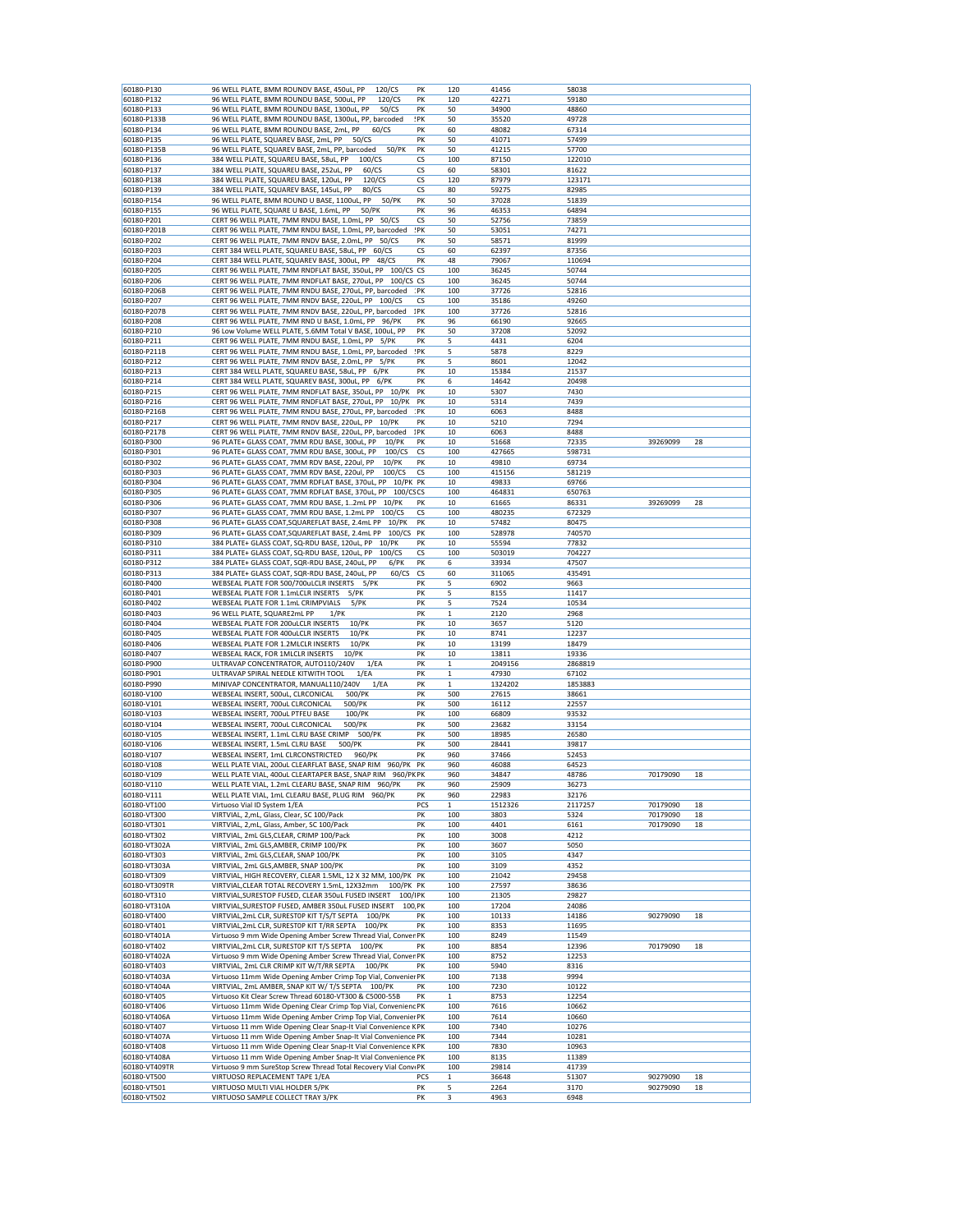| 60180-P130                 |                                                                      |          |              |              |              |          |    |
|----------------------------|----------------------------------------------------------------------|----------|--------------|--------------|--------------|----------|----|
|                            | 120/CS<br>96 WELL PLATE, 8MM ROUNDV BASE, 450uL, PP                  | PK       | 120          | 41456        | 58038        |          |    |
| 60180-P132                 | 96 WELL PLATE, 8MM ROUNDU BASE, 500uL, PP<br>120/CS                  | PK       | 120          | 42271        | 59180        |          |    |
| 60180-P133                 | 96 WELL PLATE, 8MM ROUNDU BASE, 1300uL, PP<br>50/CS                  | PK       | 50           | 34900        | 48860        |          |    |
| 60180-P133B                | 96 WELL PLATE, 8MM ROUNDU BASE, 1300uL, PP, barcoded                 | !PK      | 50           | 35520        | 49728        |          |    |
|                            |                                                                      |          |              |              |              |          |    |
| 60180-P134                 | 96 WELL PLATE, 8MM ROUNDU BASE, 2mL, PP<br>60/CS                     | PK       | 60           | 48082        | 67314        |          |    |
| 60180-P135                 | 96 WELL PLATE, SQUAREV BASE, 2mL, PP<br>50/CS                        | PK       | 50           | 41071        | 57499        |          |    |
| 60180-P135B                | 50/PK<br>96 WELL PLATE, SQUAREV BASE, 2mL, PP, barcoded              | PK       | 50           | 41215        | 57700        |          |    |
| 60180-P136                 | 384 WELL PLATE, SQUAREU BASE, 58uL, PP<br>100/CS                     | CS       | 100          | 87150        | 122010       |          |    |
| 60180-P137                 | 384 WELL PLATE, SQUAREU BASE, 252uL, PP<br>60/CS                     | CS       | 60           | 58301        | 81622        |          |    |
|                            |                                                                      |          |              |              |              |          |    |
| 60180-P138                 | 384 WELL PLATE, SQUAREU BASE, 120uL, PP<br>120/CS                    | СS       | 120          | 87979        | 123171       |          |    |
| 60180-P139                 | 384 WELL PLATE, SQUAREV BASE, 145uL, PP<br>80/CS                     | CS       | 80           | 59275        | 82985        |          |    |
| 60180-P154                 | 96 WELL PLATE, 8MM ROUND U BASE, 1100uL, PP<br>50/PK                 | PK       | 50           | 37028        | 51839        |          |    |
| 60180-P155                 | 50/PK<br>96 WELL PLATE, SQUARE U BASE, 1.6mL, PP                     | PK       | 96           | 46353        | 64894        |          |    |
| 60180-P201                 | CERT 96 WELL PLATE, 7MM RNDU BASE, 1.0mL, PP<br>50/CS                | CS       | 50           | 52756        | 73859        |          |    |
|                            |                                                                      |          |              |              |              |          |    |
| 60180-P201B                | CERT 96 WELL PLATE, 7MM RNDU BASE, 1.0mL, PP, barcoded               | :PK      | 50           | 53051        | 74271        |          |    |
| 60180-P202                 | CERT 96 WELL PLATE, 7MM RNDV BASE, 2.0mL, PP<br>50/CS                | PK       | 50           | 58571        | 81999        |          |    |
| 60180-P203                 | CERT 384 WELL PLATE, SQUAREU BASE, 58uL, PP 60/CS                    | CS       | 60           | 62397        | 87356        |          |    |
| 60180-P204                 | CERT 384 WELL PLATE, SQUAREV BASE, 300uL, PP<br>48/CS                | PK       | 48           | 79067        | 110694       |          |    |
| 60180-P205                 | CERT 96 WELL PLATE, 7MM RNDFLAT BASE, 350uL, PP 100/CS CS            |          | 100          | 36245        | 50744        |          |    |
|                            |                                                                      |          |              |              |              |          |    |
| 60180-P206                 | CERT 96 WELL PLATE, 7MM RNDFLAT BASE, 270uL, PP<br>$100/CS$ CS       |          | 100          | 36245        | 50744        |          |    |
| 60180-P206B                | CERT 96 WELL PLATE, 7MM RNDU BASE, 270uL, PP, barcoded               | :PK      | 100          | 37726        | 52816        |          |    |
| 60180-P207                 | CERT 96 WELL PLATE, 7MM RNDV BASE, 220uL, PP<br>100/CS               | СS       | 100          | 35186        | 49260        |          |    |
| 60180-P207B                | CERT 96 WELL PLATE, 7MM RNDV BASE, 220uL, PP, barcoded               | 1PK      | 100          | 37726        | 52816        |          |    |
| 60180-P208                 | CERT 96 WELL PLATE, 7MM RND U BASE, 1.0mL, PP 96/PK                  | PK       | 96           | 66190        | 92665        |          |    |
| 60180-P210                 |                                                                      | PK       | 50           | 37208        | 52092        |          |    |
|                            | 96 Low Volume WELL PLATE, 5.6MM Total V BASE, 100uL, PP              |          |              |              |              |          |    |
| 60180-P211                 | CERT 96 WELL PLATE, 7MM RNDU BASE, 1.0mL, PP<br>5/PK                 | PK       | 5            | 4431         | 6204         |          |    |
| 60180-P211B                | CERT 96 WELL PLATE, 7MM RNDU BASE, 1.0mL, PP, barcoded               | :PK      | 5            | 5878         | 8229         |          |    |
| 60180-P212                 | CERT 96 WELL PLATE, 7MM RNDV BASE, 2.0mL, PP<br>5/PK                 | PK       | 5            | 8601         | 12042        |          |    |
| 60180-P213                 | CERT 384 WELL PLATE, SQUAREU BASE, 58uL, PP 6/PK                     | PK       | 10           | 15384        | 21537        |          |    |
| 60180-P214                 | CERT 384 WELL PLATE, SQUAREV BASE, 300uL, PP 6/PK                    | PK       |              |              |              |          |    |
|                            |                                                                      |          | 6            | 14642        | 20498        |          |    |
| 60180-P215                 | CERT 96 WELL PLATE, 7MM RNDFLAT BASE, 350uL, PP 10/PK                | PK       | 10           | 5307         | 7430         |          |    |
| 60180-P216                 | CERT 96 WELL PLATE, 7MM RNDFLAT BASE, 270uL, PP<br>10/PK             | PK       | 10           | 5314         | 7439         |          |    |
| 60180-P216B                | CERT 96 WELL PLATE, 7MM RNDU BASE, 270uL, PP, barcoded               | :PK      | 10           | 6063         | 8488         |          |    |
| 60180-P217                 | CERT 96 WELL PLATE, 7MM RNDV BASE, 220uL, PP 10/PK                   | PK       | 10           | 5210         | 7294         |          |    |
|                            |                                                                      |          |              |              |              |          |    |
| 60180-P217B                | CERT 96 WELL PLATE, 7MM RNDV BASE, 220uL, PP, barcoded               | 1PK      | 10           | 6063         | 8488         |          |    |
| 60180-P300                 | 96 PLATE+ GLASS COAT, 7MM RDU BASE, 300uL, PP<br>10/PK               | PK       | 10           | 51668        | 72335        | 39269099 | 28 |
| 60180-P301                 | 96 PLATE+ GLASS COAT, 7MM RDU BASE, 300uL, PP<br>100/CS              | CS       | 100          | 427665       | 598731       |          |    |
| 60180-P302                 | 96 PLATE+ GLASS COAT, 7MM RDV BASE, 220ul, PP<br>10/PK               | PΚ       | 10           | 49810        | 69734        |          |    |
| 60180-P303                 | 96 PLATE+ GLASS COAT, 7MM RDV BASE, 220ul, PP<br>100/CS              | CS       | 100          | 415156       | 581219       |          |    |
|                            |                                                                      |          |              |              |              |          |    |
| 60180-P304                 | 96 PLATE+ GLASS COAT, 7MM RDFLAT BASE, 370uL, PP<br>10/PK PK         |          | 10           | 49833        | 69766        |          |    |
| 60180-P305                 | 100/CSCS<br>96 PLATE+ GLASS COAT, 7MM RDFLAT BASE, 370uL, PP         |          | 100          | 464831       | 650763       |          |    |
| 60180-P306                 | 96 PLATE+ GLASS COAT, 7MM RDU BASE, 12mL PP<br>10/PK                 | PK       | 10           | 61665        | 86331        | 39269099 | 28 |
| 60180-P307                 | 96 PLATE+ GLASS COAT, 7MM RDU BASE, 1.2mL PP<br>100/CS               | CS       | 100          | 480235       | 672329       |          |    |
|                            | 10/PK                                                                | PK       |              | 57482        |              |          |    |
| 60180-P308                 | 96 PLATE+ GLASS COAT, SQUAREFLAT BASE, 2.4mL PP                      |          | 10           |              | 80475        |          |    |
| 60180-P309                 | 96 PLATE+ GLASS COAT, SQUAREFLAT BASE, 2.4mL PP<br>100/CS            | PK       | 100          | 528978       | 740570       |          |    |
| 60180-P310                 | 384 PLATE+ GLASS COAT, SQ-RDU BASE, 120uL, PP<br>10/PK               | PK       | 10           | 55594        | 77832        |          |    |
| 60180-P311                 | 384 PLATE+ GLASS COAT, SQ-RDU BASE, 120uL, PP<br>100/CS              | CS       | 100          | 503019       | 704227       |          |    |
| 60180-P312                 | 384 PLATE+ GLASS COAT, SQR-RDU BASE, 240uL, PP<br>$6$ /PK            | PK       | 6            | 33934        | 47507        |          |    |
| 60180-P313                 | 384 PLATE+ GLASS COAT, SQR-RDU BASE, 240uL, PP<br>60/CS              | CS       | 60           | 311065       | 435491       |          |    |
|                            |                                                                      |          |              |              |              |          |    |
| 60180-P400                 | WEBSEAL PLATE FOR 500/700uLCLR INSERTS<br>5/PK                       | PK       | 5            | 6902         | 9663         |          |    |
| 60180-P401                 | WEBSEAL PLATE FOR 1.1mLCLR INSERTS<br>5/PK                           | PK       | 5            | 8155         | 11417        |          |    |
|                            |                                                                      |          |              |              |              |          |    |
| 60180-P402                 | WEBSEAL PLATE FOR 1.1mL CRIMPVIALS<br>5/PK                           | PK       | 5            | 7524         | 10534        |          |    |
| 60180-P403                 | $1$ / $PK$                                                           | PK       | $\mathbf 1$  | 2120         | 2968         |          |    |
|                            | 96 WELL PLATE, SQUARE2mL PP                                          |          |              |              |              |          |    |
| 60180-P404                 | WEBSEAL PLATE FOR 200uLCLR INSERTS<br>$10$ /PK                       | PK       | 10           | 3657         | 5120         |          |    |
| 60180-P405                 | WEBSEAL PLATE FOR 400uLCLR INSERTS<br>10/PK                          | PK       | 10           | 8741         | 12237        |          |    |
| 60180-P406                 | WEBSEAL PLATE FOR 1.2MLCLR INSERTS<br>10/PK                          | PK       | 10           | 13199        | 18479        |          |    |
| 60180-P407                 | 10/PK<br>WEBSEAL RACK, FOR 1MLCLR INSERTS                            | PK       | 10           | 13811        | 19336        |          |    |
| 60180-P900                 | ULTRAVAP CONCENTRATOR, AUTO110/240V<br>1/EA                          | PK       | $\mathbf{1}$ | 2049156      | 2868819      |          |    |
|                            |                                                                      |          |              |              |              |          |    |
| 60180-P901                 | ULTRAVAP SPIRAL NEEDLE KITWITH TOOL<br>1/EA                          | PK       | $\mathbf{1}$ | 47930        | 67102        |          |    |
| 60180-P990                 | MINIVAP CONCENTRATOR, MANUAL110/240V<br>1/EA                         | PK       | 1            | 1324202      | 1853883      |          |    |
| 60180-V100                 | WEBSEAL INSERT, 500uL, CLRCONICAL<br>500/PK                          | PK       | 500          | 27615        | 38661        |          |    |
| 60180-V101                 | WEBSEAL INSERT, 700uL CLRCONICAL<br>500/PK                           | PK       | 500          | 16112        | 22557        |          |    |
| 60180-V103                 | 100/PK                                                               | PK       | 100          | 66809        | 93532        |          |    |
|                            | WEBSEAL INSERT, 700uL PTFEU BASE                                     |          |              |              |              |          |    |
| 60180-V104                 | WEBSEAL INSERT, 700uL CLRCONICAL<br>500/PK                           | PK       | 500          | 23682        | 33154        |          |    |
| 60180-V105                 | WEBSEAL INSERT, 1.1mL CLRU BASE CRIMP<br>500/PK                      | PK       | 500          | 18985        | 26580        |          |    |
| 60180-V106                 | WEBSEAL INSERT, 1.5mL CLRU BASE<br>500/PK                            | PK       | 500          | 28441        | 39817        |          |    |
| 60180-V107                 | WEBSEAL INSERT, 1mL CLRCONSTRICTED<br>960/PK                         | PK       | 960          | 37466        | 52453        |          |    |
| 60180-V108                 | WELL PLATE VIAL, 200uL CLEARFLAT BASE, SNAP RIM 960/PK PK            |          | 960          | 46088        | 64523        |          |    |
|                            |                                                                      |          | 960          |              |              | 70179090 | 18 |
| 60180-V109                 | WELL PLATE VIAL, 400uL CLEARTAPER BASE, SNAP RIM<br>960/PK PK        |          |              | 34847        | 48786        |          |    |
| 60180-V110                 | WELL PLATE VIAL, 1.2mL CLEARU BASE, SNAP RIM 960/PK                  | PK       | 960          | 25909        | 36273        |          |    |
| 60180-V111                 | WELL PLATE VIAL, 1mL CLEARU BASE, PLUG RIM 960/PK                    | PK       | 960          | 22983        | 32176        |          |    |
| 60180-VT100                | Virtuoso Vial ID System 1/EA                                         | PCS      | 1            | 1512326      | 2117257      | 70179090 | 18 |
| 60180-VT300                | VIRTVIAL, 2,mL, Glass, Clear, SC 100/Pack                            | PK       | 100          | 3803         | 5324         | 70179090 | 18 |
| 60180-VT301                | VIRTVIAL, 2,mL, Glass, Amber, SC 100/Pack                            | PK       | 100          | 4401         | 6161         | 70179090 | 18 |
| 60180-VT302                | VIRTVIAL, 2mL GLS, CLEAR, CRIMP 100/Pack                             | PK       | 100          | 3008         | 4212         |          |    |
|                            |                                                                      |          |              |              |              |          |    |
| 60180-VT302A               | VIRTVIAL, 2mL GLS, AMBER, CRIMP 100/PK                               | PK       | 100          | 3607         | 5050         |          |    |
| 60180-VT303                | VIRTVIAL, 2mL GLS, CLEAR, SNAP 100/PK                                | PK       | 100          | 3105         | 4347         |          |    |
| 60180-VT303A               | VIRTVIAL, 2mL GLS, AMBER, SNAP 100/PK                                | PK       | 100          | 3109         | 4352         |          |    |
| 60180-VT309                | VIRTVIAL, HIGH RECOVERY, CLEAR 1.5ML, 12 X 32 MM, 100/PK PK          |          | 100          | 21042        | 29458        |          |    |
| 60180-VT309TR              | VIRTVIAL, CLEAR TOTAL RECOVERY 1.5mL, 12X32mm<br>100/PK PK           |          | 100          | 27597        | 38636        |          |    |
|                            | 100/IPK                                                              |          |              |              |              |          |    |
| 60180-VT310                | VIRTVIAL, SURESTOP FUSED, CLEAR 350uL FUSED INSERT                   |          | 100          | 21305        | 29827        |          |    |
| 60180-VT310A               | VIRTVIAL, SURESTOP FUSED, AMBER 350uL FUSED INSERT<br>100 PK         |          | 100          | 17204        | 24086        |          |    |
| 60180-VT400                | VIRTVIAL, 2mL CLR, SURESTOP KIT T/S/T SEPTA 100/PK                   | PK       | 100          | 10133        | 14186        | 90279090 | 18 |
| 60180-VT401                | VIRTVIAL, 2mL CLR, SURESTOP KIT T/RR SEPTA<br>100/PK                 | PK       | 100          | 8353         | 11695        |          |    |
| 60180-VT401A               | Virtuoso 9 mm Wide Opening Amber Screw Thread Vial, Conver PK        |          | 100          | 8249         | 11549        |          |    |
| 60180-VT402                | VIRTVIAL, 2mL CLR, SURESTOP KIT T/S SEPTA<br>100/PK                  | PK       | 100          | 8854         | 12396        | 70179090 | 18 |
|                            |                                                                      |          |              |              |              |          |    |
| 60180-VT402A               | Virtuoso 9 mm Wide Opening Amber Screw Thread Vial, Conver PK        |          | 100          | 8752         | 12253        |          |    |
| 60180-VT403                | VIRTVIAL, 2mL CLR CRIMP KIT W/T/RR SEPTA<br>100/PK                   | PK       | 100          | 5940         | 8316         |          |    |
| 60180-VT403A               | Virtuoso 11mm Wide Opening Amber Crimp Top Vial, Convenier PK        |          | 100          | 7138         | 9994         |          |    |
| 60180-VT404A               | VIRTVIAL, 2mL AMBER, SNAP KIT W/ T/S SEPTA 100/PK                    | PK       | 100          | 7230         | 10122        |          |    |
| 60180-VT405                | Virtuoso Kit Clear Screw Thread 60180-VT300 & C5000-55B              | PK       | 1            | 8753         | 12254        |          |    |
| 60180-VT406                | Virtuoso 11mm Wide Opening Clear Crimp Top Vial, Convenienc PK       |          | 100          | 7616         | 10662        |          |    |
|                            |                                                                      |          |              |              |              |          |    |
| 60180-VT406A               | Virtuoso 11mm Wide Opening Amber Crimp Top Vial, Convenier PK        |          | 100          | 7614         | 10660        |          |    |
| 60180-VT407                | Virtuoso 11 mm Wide Opening Clear Snap-It Vial Convenience KPK       |          | 100          | 7340         | 10276        |          |    |
| 60180-VT407A               | Virtuoso 11 mm Wide Opening Amber Snap-It Vial Convenience PK        |          | 100          | 7344         | 10281        |          |    |
| 60180-VT408                | Virtuoso 11 mm Wide Opening Clear Snap-It Vial Convenience KPK       |          | 100          | 7830         | 10963        |          |    |
| 60180-VT408A               |                                                                      |          | 100          | 8135         | 11389        |          |    |
|                            | Virtuoso 11 mm Wide Opening Amber Snap-It Vial Convenience PK        |          |              |              |              |          |    |
| 60180-VT409TR              | Virtuoso 9 mm SureStop Screw Thread Total Recovery Vial ConviPK      |          | 100          | 29814        | 41739        |          |    |
| 60180-VT500                | VIRTUOSO REPLACEMENT TAPE 1/EA                                       | PCS      | $\mathbf{1}$ | 36648        | 51307        | 90279090 | 18 |
| 60180-VT501<br>60180-VT502 | VIRTUOSO MULTI VIAL HOLDER 5/PK<br>VIRTUOSO SAMPLE COLLECT TRAY 3/PK | PK<br>PK | 5<br>3       | 2264<br>4963 | 3170<br>6948 | 90279090 | 18 |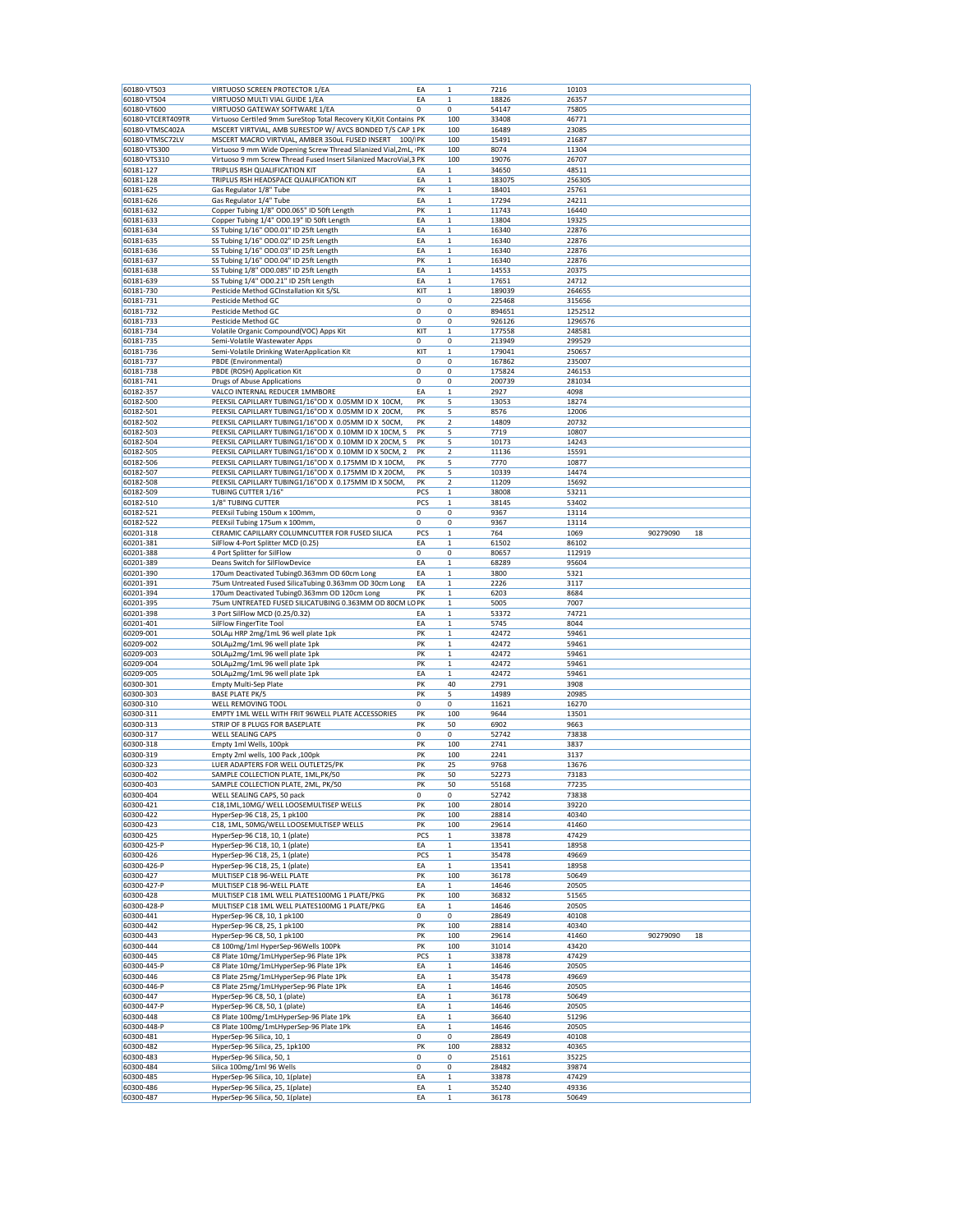| 60180-VT503       | VIRTUOSO SCREEN PROTECTOR 1/EA                                       | EA       | 1                | 7216           | 10103   |          |    |
|-------------------|----------------------------------------------------------------------|----------|------------------|----------------|---------|----------|----|
|                   |                                                                      |          |                  |                |         |          |    |
| 60180-VT504       | VIRTUOSO MULTI VIAL GUIDE 1/EA                                       | EA       | $\mathbf 1$      | 18826          | 26357   |          |    |
| 60180-VT600       | VIRTUOSO GATEWAY SOFTWARE 1/EA                                       | $\Omega$ | 0                | 54147          | 75805   |          |    |
| 60180-VTCERT409TR | Virtuoso Certiled 9mm SureStop Total Recovery Kit, Kit Contains PK   |          | 100              | 33408          | 46771   |          |    |
| 60180-VTMSC402A   | MSCERT VIRTVIAL, AMB SURESTOP W/ AVCS BONDED T/S CAP 1 PK            |          | 100              | 16489          | 23085   |          |    |
|                   | MSCERT MACRO VIRTVIAL, AMBER 350uL FUSED INSERT                      |          |                  |                |         |          |    |
| 60180-VTMSC72LV   | 100/ PK                                                              |          | 100              | 15491          | 21687   |          |    |
| 60180-VTS300      | Virtuoso 9 mm Wide Opening Screw Thread Silanized Vial,2mL, PK       |          | 100              | 8074           | 11304   |          |    |
| 60180-VTS310      | Virtuoso 9 mm Screw Thread Fused Insert Silanized MacroVial,3 PK     |          | 100              | 19076          | 26707   |          |    |
| 60181-127         | TRIPLUS RSH QUALIFICATION KIT                                        | ΕA       | $\mathbf{1}$     | 34650          | 48511   |          |    |
| 60181-128         | TRIPLUS RSH HEADSPACE QUALIFICATION KIT                              | EA       | 1                | 183075         | 256305  |          |    |
|                   |                                                                      |          |                  |                |         |          |    |
| 60181-625         | Gas Regulator 1/8" Tube                                              | PK       | $\mathbf 1$      | 18401          | 25761   |          |    |
| 60181-626         | Gas Regulator 1/4" Tube                                              | EA       | $\mathbf{1}$     | 17294          | 24211   |          |    |
| 60181-632         | Copper Tubing 1/8" OD0.065" ID 50ft Length                           | PK       | 1                | 11743          | 16440   |          |    |
| 60181-633         | Copper Tubing 1/4" OD0.19" ID 50ft Length                            | EA       | $\mathbf{1}$     | 13804          | 19325   |          |    |
|                   |                                                                      |          |                  |                |         |          |    |
| 60181-634         | SS Tubing 1/16" OD0.01" ID 25ft Length                               | EA       | $\mathbf 1$      | 16340          | 22876   |          |    |
| 60181-635         | SS Tubing 1/16" OD0.02" ID 25ft Length                               | EA       | 1                | 16340          | 22876   |          |    |
| 60181-636         | SS Tubing 1/16" OD0.03" ID 25ft Length                               | EA       | $\mathbf 1$      | 16340          | 22876   |          |    |
| 60181-637         | SS Tubing 1/16" OD0.04" ID 25ft Length                               | PK       | 1                | 16340          | 22876   |          |    |
| 60181-638         | SS Tubing 1/8" OD0.085" ID 25ft Length                               | EA       | 1                | 14553          | 20375   |          |    |
| 60181-639         | SS Tubing 1/4" OD0.21" ID 25ft Length                                |          |                  |                | 24712   |          |    |
|                   |                                                                      | EA       | 1                | 17651          |         |          |    |
| 60181-730         | Pesticide Method GCInstallation Kit S/SL                             | KIT      | $\mathbf 1$      | 189039         | 264655  |          |    |
| 60181-731         | Pesticide Method GC                                                  | 0        | 0                | 225468         | 315656  |          |    |
| 60181-732         | Pesticide Method GC                                                  | 0        | 0                | 894651         | 1252512 |          |    |
| 60181-733         | Pesticide Method GC                                                  | 0        | 0                | 926126         | 1296576 |          |    |
| 60181-734         |                                                                      | KIT      |                  |                |         |          |    |
|                   | Volatile Organic Compound(VOC) Apps Kit                              |          | 1                | 177558         | 248581  |          |    |
| 60181-735         | Semi-Volatile Wastewater Apps                                        | 0        | 0                | 213949         | 299529  |          |    |
| 60181-736         | Semi-Volatile Drinking WaterApplication Kit                          | KIT      | $\mathbf 1$      | 179041         | 250657  |          |    |
| 60181-737         | PBDE (Environmental)                                                 | 0        | 0                | 167862         | 235007  |          |    |
| 60181-738         | PBDE (ROSH) Application Kit                                          | 0        | 0                | 175824         | 246153  |          |    |
|                   |                                                                      |          |                  |                |         |          |    |
| 60181-741         | Drugs of Abuse Applications                                          | 0        | 0                | 200739         | 281034  |          |    |
| 60182-357         | VALCO INTERNAL REDUCER 1MMBORE                                       | EA       | $\mathbf{1}$     | 2927           | 4098    |          |    |
| 60182-500         | PEEKSIL CAPILLARY TUBING1/16"OD X 0.05MM ID X 10CM                   | PK       | 5                | 13053          | 18274   |          |    |
| 60182-501         | PEEKSIL CAPILLARY TUBING1/16"OD X 0.05MM ID X 20CM,                  | PK       | 5                | 8576           | 12006   |          |    |
|                   |                                                                      |          |                  |                |         |          |    |
| 60182-502         | PEEKSIL CAPILLARY TUBING1/16"OD X 0.05MM ID X 50CM,                  | PK       | 2                | 14809          | 20732   |          |    |
| 60182-503         | PEEKSIL CAPILLARY TUBING1/16"OD X 0.10MM ID X 10CM, 5                | PK       | 5                | 7719           | 10807   |          |    |
| 60182-504         | PEEKSIL CAPILLARY TUBING1/16"OD X 0.10MM ID X 20CM, 5                | PK       | 5                | 10173          | 14243   |          |    |
| 60182-505         | PEEKSIL CAPILLARY TUBING1/16"OD X 0.10MM ID X 50CM, 2                | PK       | 2                | 11136          | 15591   |          |    |
| 60182-506         | PEEKSIL CAPILLARY TUBING1/16"OD X 0.175MM ID X 10CM,                 | PK       | 5                | 7770           | 10877   |          |    |
|                   |                                                                      |          |                  |                |         |          |    |
| 60182-507         | PEEKSIL CAPILLARY TUBING1/16"OD X 0.175MM ID X 20CM,                 | PK       | 5                | 10339          | 14474   |          |    |
| 60182-508         | PEEKSIL CAPILLARY TUBING1/16"OD X 0.175MM ID X 50CM,                 | PK       | 2                | 11209          | 15692   |          |    |
| 60182-509         | TUBING CUTTER 1/16'                                                  | PCS      | 1                | 38008          | 53211   |          |    |
| 60182-510         | 1/8" TUBING CUTTER                                                   | PCS      | $\mathbf 1$      | 38145          | 53402   |          |    |
|                   |                                                                      |          |                  |                |         |          |    |
| 60182-521         | PEEKsil Tubing 150um x 100mm,                                        | 0        | 0                | 9367           | 13114   |          |    |
| 60182-522         | PEEKsil Tubing 175um x 100mm,                                        | 0        | 0                | 9367           | 13114   |          |    |
| 60201-318         | CERAMIC CAPILLARY COLUMNCUTTER FOR FUSED SILICA                      | PCS      | 1                | 764            | 1069    | 90279090 | 18 |
| 60201-381         | SilFlow 4-Port Splitter MCD (0.25)                                   | EA       | $\mathbf 1$      | 61502          | 86102   |          |    |
|                   | 4 Port Splitter for SilFlow                                          | 0        | 0                | 80657          |         |          |    |
| 60201-388         |                                                                      |          |                  |                | 112919  |          |    |
| 60201-389         | Deans Switch for SilFlowDevice                                       | EA       | 1                | 68289          | 95604   |          |    |
| 60201-390         | 170um Deactivated Tubing0.363mm OD 60cm Long                         | EA       | $\mathbf 1$      | 3800           | 5321    |          |    |
| 60201-391         | 75um Untreated Fused SilicaTubing 0.363mm OD 30cm Long               | EA       | 1                | 2226           | 3117    |          |    |
| 60201-394         | 170um Deactivated Tubing0.363mm OD 120cm Long                        | PK       | 1                | 6203           | 8684    |          |    |
| 60201-395         | 75um UNTREATED FUSED SILICATUBING 0.363MM OD 80CM LO PK              |          | $\mathbf 1$      | 5005           | 7007    |          |    |
|                   |                                                                      |          |                  |                |         |          |    |
| 60201-398         | 3 Port SilFlow MCD (0.25/0.32)                                       | EA       | $\mathbf 1$      | 53372          | 74721   |          |    |
| 60201-401         | SilFlow FingerTite Tool                                              | EA       | $\mathbf 1$      | 5745           | 8044    |          |    |
| 60209-001         | SOLAµ HRP 2mg/1mL 96 well plate 1pk                                  | PK       | $\mathbf 1$      | 42472          | 59461   |          |    |
| 60209-002         | SOLAµ2mg/1mL 96 well plate 1pk                                       | PK       | $\mathbf{1}$     | 42472          | 59461   |          |    |
|                   |                                                                      | PK       |                  |                |         |          |    |
| 60209-003         | SOLAµ2mg/1mL 96 well plate 1pk                                       |          | 1                | 42472          | 59461   |          |    |
| 60209-004         | SOLAµ2mg/1mL 96 well plate 1pk                                       | PK       | $\mathbf 1$      | 42472          | 59461   |          |    |
| 60209-005         | SOLAµ2mg/1mL 96 well plate 1pk                                       | EA       | $\mathbf{1}$     | 42472          | 59461   |          |    |
| 60300-301         | <b>Empty Multi-Sep Plate</b>                                         | PK       | 40               | 2791           | 3908    |          |    |
| 60300-303         | <b>BASE PLATE PK/5</b>                                               | PK       | 5                | 14989          | 20985   |          |    |
|                   |                                                                      |          |                  |                |         |          |    |
| 60300-310         | WELL REMOVING TOOL                                                   | 0        | 0                | 11621          | 16270   |          |    |
| 60300-311         | EMPTY 1ML WELL WITH FRIT 96WELL PLATE ACCESSORIES                    | PK       | 100              | 9644           | 13501   |          |    |
| 60300-313         | STRIP OF 8 PLUGS FOR BASEPLATE                                       | PK       | 50               | 6902           | 9663    |          |    |
| 60300-317         | WELL SEALING CAPS                                                    | 0        | 0                | 52742          | 73838   |          |    |
| 60300-318         | Empty 1ml Wells, 100pk                                               | PK       | 100              | 2741           | 3837    |          |    |
|                   |                                                                      |          |                  |                |         |          |    |
| 60300-319         | Empty 2ml wells, 100 Pack, 100pk                                     | PK       | 100              | 2241           | 3137    |          |    |
| 60300-323         | LUER ADAPTERS FOR WELL OUTLET25/PK                                   | PK       | 25               | 9768           | 13676   |          |    |
| 60300-402         | SAMPLE COLLECTION PLATE, 1ML, PK/50                                  | PK       | 50               | 52273          | 73183   |          |    |
| 60300-403         | SAMPLE COLLECTION PLATE, 2ML, PK/50                                  | PK       | 50               | 55168          | 77235   |          |    |
| 60300-404         | WELL SEALING CAPS, 50 pack                                           | 0        | 0                | 52742          | 73838   |          |    |
|                   | C18,1ML,10MG/ WELL LOOSEMULTISEP WELLS                               |          |                  |                |         |          |    |
| 60300-421         |                                                                      | PK       | 100              | 28014          | 39220   |          |    |
| 60300-422         | HyperSep-96 C18, 25, 1 pk100                                         | PK       | 100              | 28814          | 40340   |          |    |
| 60300-423         | C18, 1ML, 50MG/WELL LOOSEMULTISEP WELLS                              | PK       | 100              | 29614          | 41460   |          |    |
| 60300-425         | HyperSep-96 C18, 10, 1 (plate)                                       | PCS      | 1                |                | 47429   |          |    |
| 60300-425-P       |                                                                      |          |                  | 33878          |         |          |    |
|                   |                                                                      |          |                  |                |         |          |    |
| 60300-426         | HyperSep-96 C18, 10, 1 (plate)                                       | EA       | 1                | 13541          | 18958   |          |    |
| 60300-426-P       | HyperSep-96 C18, 25, 1 (plate)                                       | PCS      | $\mathbf 1$      | 35478          | 49669   |          |    |
|                   | HyperSep-96 C18, 25, 1 (plate)                                       | EA       | $\mathbf 1$      | 13541          | 18958   |          |    |
| 60300-427         | MULTISEP C18 96-WELL PLATE                                           | PK       | 100              | 36178          | 50649   |          |    |
|                   |                                                                      | EA       | $\mathbf{1}$     |                |         |          |    |
| 60300-427-P       | MULTISEP C18 96-WELL PLATE                                           |          |                  | 14646          | 20505   |          |    |
| 60300-428         | MULTISEP C18 1ML WELL PLATES100MG 1 PLATE/PKG                        | PK       | 100              | 36832          | 51565   |          |    |
| 60300-428-P       | MULTISEP C18 1ML WELL PLATES100MG 1 PLATE/PKG                        | EA       | 1                | 14646          | 20505   |          |    |
| 60300-441         | HyperSep-96 C8, 10, 1 pk100                                          | 0        | 0                | 28649          | 40108   |          |    |
| 60300-442         | HyperSep-96 C8, 25, 1 pk100                                          | PK       | 100              | 28814          | 40340   |          |    |
| 60300-443         | HyperSep-96 C8, 50, 1 pk100                                          | PK       | 100              | 29614          | 41460   | 90279090 | 18 |
|                   |                                                                      |          |                  |                |         |          |    |
| 60300-444         | C8 100mg/1ml HyperSep-96Wells 100Pk                                  | PK       | 100              | 31014          | 43420   |          |    |
| 60300-445         | C8 Plate 10mg/1mLHyperSep-96 Plate 1Pk                               | PCS      | 1                | 33878          | 47429   |          |    |
| 60300-445-P       | C8 Plate 10mg/1mLHyperSep-96 Plate 1Pk                               | EA       | 1                | 14646          | 20505   |          |    |
| 60300-446         | C8 Plate 25mg/1mLHyperSep-96 Plate 1Pk                               | EA       | $\mathbf 1$      | 35478          | 49669   |          |    |
|                   |                                                                      |          |                  |                |         |          |    |
| 60300-446-P       | C8 Plate 25mg/1mLHyperSep-96 Plate 1Pk                               | EA       | $\mathbf 1$      | 14646          | 20505   |          |    |
| 60300-447         | HyperSep-96 C8, 50, 1 (plate)                                        | EA       | 1                | 36178          | 50649   |          |    |
| 60300-447-P       | HyperSep-96 C8, 50, 1 (plate)                                        | EA       | $\mathbf 1$      | 14646          | 20505   |          |    |
| 60300-448         | C8 Plate 100mg/1mLHyperSep-96 Plate 1Pk                              | EA       | 1                | 36640          | 51296   |          |    |
| 60300-448-P       | C8 Plate 100mg/1mLHyperSep-96 Plate 1Pk                              | EA       | 1                | 14646          | 20505   |          |    |
|                   |                                                                      |          |                  |                |         |          |    |
| 60300-481         | HyperSep-96 Silica, 10, 1                                            | 0        | 0                | 28649          | 40108   |          |    |
| 60300-482         | HyperSep-96 Silica, 25, 1pk100                                       | PK       | 100              | 28832          | 40365   |          |    |
| 60300-483         | HyperSep-96 Silica, 50, 1                                            | 0        | 0                | 25161          | 35225   |          |    |
| 60300-484         | Silica 100mg/1ml 96 Wells                                            | 0        | 0                | 28482          | 39874   |          |    |
| 60300-485         | HyperSep-96 Silica, 10, 1(plate)                                     | EA       | $\mathbf 1$      | 33878          | 47429   |          |    |
| 60300-486         |                                                                      | EA       |                  |                | 49336   |          |    |
| 60300-487         | HyperSep-96 Silica, 25, 1(plate)<br>HyperSep-96 Silica, 50, 1(plate) | EA       | 1<br>$\mathbf 1$ | 35240<br>36178 | 50649   |          |    |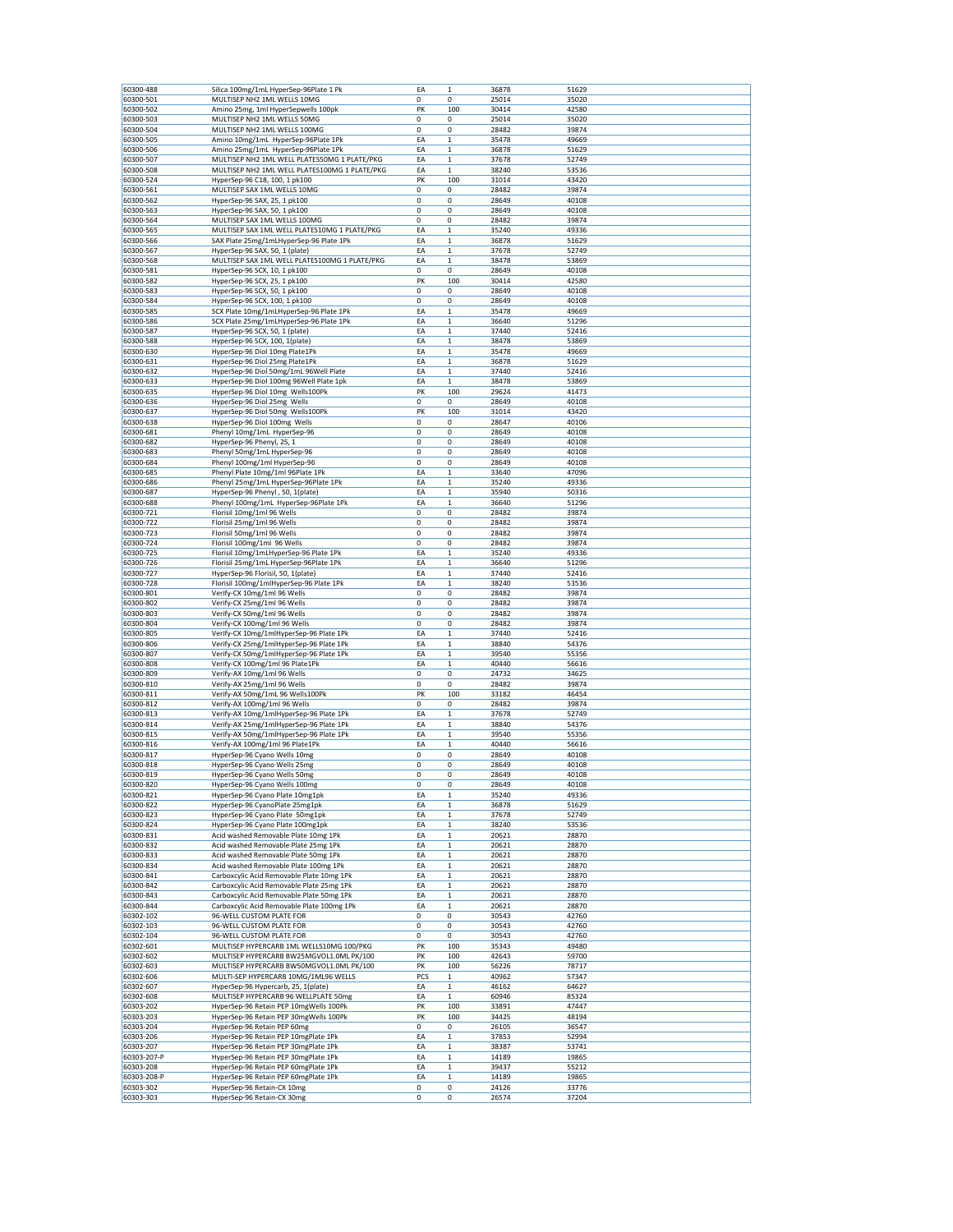| 60300-488<br>60300-501                                                                                                                                                                                                                                                                                                                                                     | Silica 100mg/1mL HyperSep-96Plate 1 Pk                             |             |                  |                | 51629          |  |
|----------------------------------------------------------------------------------------------------------------------------------------------------------------------------------------------------------------------------------------------------------------------------------------------------------------------------------------------------------------------------|--------------------------------------------------------------------|-------------|------------------|----------------|----------------|--|
|                                                                                                                                                                                                                                                                                                                                                                            |                                                                    | EA          | $\mathbf 1$      | 36878          |                |  |
|                                                                                                                                                                                                                                                                                                                                                                            | MULTISEP NH2 1ML WELLS 10MG                                        | 0           | 0                | 25014          | 35020          |  |
| 60300-502                                                                                                                                                                                                                                                                                                                                                                  | Amino 25mg, 1ml HyperSepwells 100pk                                | PK          | 100              | 30414          | 42580          |  |
| 60300-503                                                                                                                                                                                                                                                                                                                                                                  | MULTISEP NH2 1ML WELLS 50MG                                        | 0           | 0                | 25014          | 35020          |  |
| 60300-504                                                                                                                                                                                                                                                                                                                                                                  | MULTISEP NH2 1ML WELLS 100MG                                       | 0           | 0                | 28482          | 39874          |  |
| 60300-505                                                                                                                                                                                                                                                                                                                                                                  | Amino 10mg/1mL HyperSep-96Plate 1Pk                                | EA          | $\,1$            | 35478          | 49669          |  |
| 60300-506                                                                                                                                                                                                                                                                                                                                                                  | Amino 25mg/1mL HyperSep-96Plate 1Pk                                | EA          | $\mathbf{1}$     | 36878          | 51629          |  |
| 60300-507                                                                                                                                                                                                                                                                                                                                                                  | MULTISEP NH2 1ML WELL PLATES50MG 1 PLATE/PKG                       | EA          | $\mathbf 1$      | 37678          | 52749          |  |
| 60300-508                                                                                                                                                                                                                                                                                                                                                                  | MULTISEP NH2 1ML WELL PLATES100MG 1 PLATE/PKG                      | EA          | $\,1$            | 38240          | 53536          |  |
| 60300-524                                                                                                                                                                                                                                                                                                                                                                  | HyperSep-96 C18, 100, 1 pk100                                      | PK          | 100              | 31014          | 43420          |  |
| 60300-561                                                                                                                                                                                                                                                                                                                                                                  | MULTISEP SAX 1ML WELLS 10MG                                        | $\mathbf 0$ | 0                | 28482          | 39874          |  |
|                                                                                                                                                                                                                                                                                                                                                                            |                                                                    | 0           |                  |                |                |  |
| 60300-562                                                                                                                                                                                                                                                                                                                                                                  | HyperSep-96 SAX, 25, 1 pk100                                       |             | 0                | 28649          | 40108          |  |
| 60300-563                                                                                                                                                                                                                                                                                                                                                                  | HyperSep-96 SAX, 50, 1 pk100                                       | 0           | 0                | 28649          | 40108          |  |
| 60300-564                                                                                                                                                                                                                                                                                                                                                                  | MULTISEP SAX 1ML WELLS 100MG                                       | 0           | 0                | 28482          | 39874          |  |
| 60300-565                                                                                                                                                                                                                                                                                                                                                                  | MULTISEP SAX 1ML WELL PLATES10MG 1 PLATE/PKG                       | EA          | $\,1$            | 35240          | 49336          |  |
| 60300-566                                                                                                                                                                                                                                                                                                                                                                  | SAX Plate 25mg/1mLHyperSep-96 Plate 1Pk                            | EA          | $\mathbf 1$      | 36878          | 51629          |  |
| 60300-567                                                                                                                                                                                                                                                                                                                                                                  | HyperSep-96 SAX, 50, 1 (plate)                                     | EA          | $\,1$            | 37678          | 52749          |  |
| 60300-568                                                                                                                                                                                                                                                                                                                                                                  | MULTISEP SAX 1ML WELL PLATES100MG 1 PLATE/PKG                      | EA          | $\,1$            | 38478          | 53869          |  |
| 60300-581                                                                                                                                                                                                                                                                                                                                                                  | HyperSep-96 SCX, 10, 1 pk100                                       | 0           | 0                | 28649          | 40108          |  |
| 60300-582                                                                                                                                                                                                                                                                                                                                                                  | HyperSep-96 SCX, 25, 1 pk100                                       | PK          | 100              | 30414          | 42580          |  |
| 60300-583                                                                                                                                                                                                                                                                                                                                                                  | HyperSep-96 SCX, 50, 1 pk100                                       | 0           | 0                | 28649          | 40108          |  |
| 60300-584                                                                                                                                                                                                                                                                                                                                                                  | HyperSep-96 SCX, 100, 1 pk100                                      | 0           | 0                | 28649          | 40108          |  |
| 60300-585                                                                                                                                                                                                                                                                                                                                                                  | SCX Plate 10mg/1mLHyperSep-96 Plate 1Pk                            | EA          | $\,1$            | 35478          | 49669          |  |
|                                                                                                                                                                                                                                                                                                                                                                            |                                                                    |             |                  | 36640          |                |  |
| 60300-586                                                                                                                                                                                                                                                                                                                                                                  | SCX Plate 25mg/1mLHyperSep-96 Plate 1Pk                            | EA          | $\mathbf 1$      |                | 51296          |  |
| 60300-587                                                                                                                                                                                                                                                                                                                                                                  | HyperSep-96 SCX, 50, 1 (plate)                                     | EA          | $\mathbf{1}$     | 37440          | 52416          |  |
| 60300-588                                                                                                                                                                                                                                                                                                                                                                  | HyperSep-96 SCX, 100, 1(plate)                                     | EA          | $\,1$            | 38478          | 53869          |  |
| 60300-630                                                                                                                                                                                                                                                                                                                                                                  | HyperSep-96 Diol 10mg Plate1Pk                                     | EA          | $\mathbf 1$      | 35478          | 49669          |  |
| 60300-631                                                                                                                                                                                                                                                                                                                                                                  | HyperSep-96 Diol 25mg Plate1Pk                                     | ΕA          | $\mathbf 1$      | 36878          | 51629          |  |
| 60300-632                                                                                                                                                                                                                                                                                                                                                                  | HyperSep-96 Diol 50mg/1mL 96Well Plate                             | EA          | $\,1$            | 37440          | 52416          |  |
| 60300-633                                                                                                                                                                                                                                                                                                                                                                  | HyperSep-96 Diol 100mg 96Well Plate 1pk                            | EA          | $\mathbf 1$      | 38478          | 53869          |  |
| 60300-635                                                                                                                                                                                                                                                                                                                                                                  | HyperSep-96 Diol 10mg Wells100Pk                                   | PK          | 100              | 29624          | 41473          |  |
| 60300-636                                                                                                                                                                                                                                                                                                                                                                  | HyperSep-96 Diol 25mg Wells                                        | 0           | 0                | 28649          | 40108          |  |
| 60300-637                                                                                                                                                                                                                                                                                                                                                                  | HyperSep-96 Diol 50mg Wells100Pk                                   | PK          | 100              | 31014          | 43420          |  |
| 60300-638                                                                                                                                                                                                                                                                                                                                                                  | HyperSep-96 Diol 100mg Wells                                       | 0           | 0                | 28647          | 40106          |  |
|                                                                                                                                                                                                                                                                                                                                                                            |                                                                    | 0           | 0                |                |                |  |
| 60300-681                                                                                                                                                                                                                                                                                                                                                                  | Phenyl 10mg/1mL HyperSep-96                                        |             |                  | 28649          | 40108          |  |
| 60300-682                                                                                                                                                                                                                                                                                                                                                                  | HyperSep-96 Phenyl, 25, 1                                          | 0           | 0                | 28649          | 40108          |  |
| 60300-683                                                                                                                                                                                                                                                                                                                                                                  | Phenyl 50mg/1mL HyperSep-96                                        | 0           | 0                | 28649          | 40108          |  |
| 60300-684                                                                                                                                                                                                                                                                                                                                                                  | Phenyl 100mg/1ml HyperSep-96                                       | 0           | 0                | 28649          | 40108          |  |
| 60300-685                                                                                                                                                                                                                                                                                                                                                                  | Phenyl Plate 10mg/1ml 96Plate 1Pk                                  | EA          | $\,1$            | 33640          | 47096          |  |
| 60300-686                                                                                                                                                                                                                                                                                                                                                                  | Phenyl 25mg/1mL HyperSep-96Plate 1Pk                               | EA          | $\,1$            | 35240          | 49336          |  |
| 60300-687                                                                                                                                                                                                                                                                                                                                                                  | HyperSep-96 Phenyl, 50, 1(plate)                                   | EA          | $\mathbf 1$      | 35940          | 50316          |  |
| 60300-688                                                                                                                                                                                                                                                                                                                                                                  | Phenyl 100mg/1mL HyperSep-96Plate 1Pk                              | EA          | $\,1$            | 36640          | 51296          |  |
| 60300-721                                                                                                                                                                                                                                                                                                                                                                  | Florisil 10mg/1ml 96 Wells                                         | 0           | 0                | 28482          | 39874          |  |
|                                                                                                                                                                                                                                                                                                                                                                            | Florisil 25mg/1ml 96 Wells                                         | 0           | 0                |                | 39874          |  |
| 60300-722                                                                                                                                                                                                                                                                                                                                                                  |                                                                    |             |                  | 28482          |                |  |
| 60300-723                                                                                                                                                                                                                                                                                                                                                                  | Florisil 50mg/1ml 96 Wells                                         | 0           | 0                | 28482          | 39874          |  |
| 60300-724                                                                                                                                                                                                                                                                                                                                                                  | Florisil 100mg/1ml 96 Wells                                        | 0           | 0                | 28482          | 39874          |  |
| 60300-725                                                                                                                                                                                                                                                                                                                                                                  | Florisil 10mg/1mLHyperSep-96 Plate 1Pk                             | EA          | $\,$ 1 $\,$      | 35240          | 49336          |  |
| 60300-726                                                                                                                                                                                                                                                                                                                                                                  | Florisil 25mg/1mL HyperSep-96Plate 1Pk                             | EA          | $\,1$            | 36640          | 51296          |  |
| 60300-727                                                                                                                                                                                                                                                                                                                                                                  | HyperSep-96 Florisil, 50, 1(plate)                                 | EA          | $\mathbf 1$      | 37440          | 52416          |  |
| 60300-728                                                                                                                                                                                                                                                                                                                                                                  | Florisil 100mg/1mlHyperSep-96 Plate 1Pk                            | EA          | $\mathbf{1}$     | 38240          | 53536          |  |
| 60300-801                                                                                                                                                                                                                                                                                                                                                                  | Verify-CX 10mg/1ml 96 Wells                                        | 0           | 0                | 28482          | 39874          |  |
| 60300-802                                                                                                                                                                                                                                                                                                                                                                  | Verify-CX 25mg/1ml 96 Wells                                        | 0           | 0                | 28482          | 39874          |  |
| 60300-803                                                                                                                                                                                                                                                                                                                                                                  | Verify-CX 50mg/1ml 96 Wells                                        | 0           | 0                | 28482          | 39874          |  |
| 60300-804                                                                                                                                                                                                                                                                                                                                                                  | Verify-CX 100mg/1ml 96 Wells                                       | 0           | 0                | 28482          | 39874          |  |
| 60300-805                                                                                                                                                                                                                                                                                                                                                                  | Verify-CX 10mg/1mlHyperSep-96 Plate 1Pk                            | EA          | $\mathbf 1$      | 37440          | 52416          |  |
|                                                                                                                                                                                                                                                                                                                                                                            |                                                                    |             |                  | 38840          |                |  |
| 60300-806                                                                                                                                                                                                                                                                                                                                                                  | Verify-CX 25mg/1mlHyperSep-96 Plate 1Pk                            | EA          | $\,1$            |                | 54376          |  |
| 60300-807                                                                                                                                                                                                                                                                                                                                                                  | Verify-CX 50mg/1mlHyperSep-96 Plate 1Pk                            | EA          | $\mathbf{1}$     | 39540          | 55356          |  |
| 60300-808                                                                                                                                                                                                                                                                                                                                                                  | Verify-CX 100mg/1ml 96 Plate1Pk                                    | EA          | $\mathbf 1$      | 40440          | 56616          |  |
| 60300-809                                                                                                                                                                                                                                                                                                                                                                  | Verify-AX 10mg/1ml 96 Wells                                        | 0           | 0                | 24732          | 34625          |  |
| 60300-810                                                                                                                                                                                                                                                                                                                                                                  | Verify-AX 25mg/1ml 96 Wells                                        | 0           | 0                | 28482          | 39874          |  |
| 60300-811                                                                                                                                                                                                                                                                                                                                                                  | Verify-AX 50mg/1mL 96 Wells100Pk                                   | PK          | 100              | 33182          | 46454          |  |
| 60300-812                                                                                                                                                                                                                                                                                                                                                                  | Verify-AX 100mg/1ml 96 Wells                                       | 0           | 0                | 28482          | 39874          |  |
| 60300-813                                                                                                                                                                                                                                                                                                                                                                  | Verify-AX 10mg/1mlHyperSep-96 Plate 1Pk                            | EA          | $\mathbf{1}$     | 37678          | 52749          |  |
| 60300-814                                                                                                                                                                                                                                                                                                                                                                  | Verify-AX 25mg/1mlHyperSep-96 Plate 1Pk                            | EA          | $\,1$            | 38840          | 54376          |  |
|                                                                                                                                                                                                                                                                                                                                                                            |                                                                    | EA          | $\,1$            | 39540          | 55356          |  |
| 60300-815                                                                                                                                                                                                                                                                                                                                                                  | Verify-AX 50mg/1mlHyperSep-96 Plate 1Pk                            |             |                  |                |                |  |
| 60300-816                                                                                                                                                                                                                                                                                                                                                                  | Verify-AX 100mg/1ml 96 Plate1Pk                                    | EA          | $\mathbf 1$      | 40440          | 56616          |  |
| 60300-817                                                                                                                                                                                                                                                                                                                                                                  | HyperSep-96 Cyano Wells 10mg                                       | 0           | 0                | 28649          | 40108          |  |
| 60300-818                                                                                                                                                                                                                                                                                                                                                                  | HyperSep-96 Cyano Wells 25mg                                       | 0           | 0                | 28649          | 40108          |  |
| 60300-819                                                                                                                                                                                                                                                                                                                                                                  |                                                                    | 0           | 0                | 28649          | 40108          |  |
|                                                                                                                                                                                                                                                                                                                                                                            | HyperSep-96 Cyano Wells 50mg                                       |             |                  |                |                |  |
|                                                                                                                                                                                                                                                                                                                                                                            | HyperSep-96 Cyano Wells 100mg                                      | 0           | 0                | 28649          | 40108          |  |
|                                                                                                                                                                                                                                                                                                                                                                            | HyperSep-96 Cyano Plate 10mg1pk                                    | EA          | $\mathbf 1$      | 35240          | 49336          |  |
|                                                                                                                                                                                                                                                                                                                                                                            | HyperSep-96 CyanoPlate 25mg1pk                                     | EA          | $\,$ 1 $\,$      | 36878          | 51629          |  |
|                                                                                                                                                                                                                                                                                                                                                                            | HyperSep-96 Cyano Plate 50mg1pk                                    | EA          | $\,1$            | 37678          | 52749          |  |
|                                                                                                                                                                                                                                                                                                                                                                            | HyperSep-96 Cyano Plate 100mg1pk                                   | EA          | $\mathbf 1$      | 38240          | 53536          |  |
|                                                                                                                                                                                                                                                                                                                                                                            |                                                                    |             |                  |                |                |  |
|                                                                                                                                                                                                                                                                                                                                                                            | Acid washed Removable Plate 10mg 1Pk                               | EA          | $\mathbf{1}$     | 20621          | 28870          |  |
|                                                                                                                                                                                                                                                                                                                                                                            | Acid washed Removable Plate 25mg 1Pk                               | EA          | $\,1$            | 20621          | 28870          |  |
|                                                                                                                                                                                                                                                                                                                                                                            | Acid washed Removable Plate 50mg 1Pk                               | EA          | $\mathbf 1$      | 20621          | 28870          |  |
|                                                                                                                                                                                                                                                                                                                                                                            | Acid washed Removable Plate 100mg 1Pk                              | EA          | $\mathbf 1$      | 20621          | 28870          |  |
|                                                                                                                                                                                                                                                                                                                                                                            | Carboxcylic Acid Removable Plate 10mg 1Pk                          | EA          | $\,1$            | 20621          | 28870          |  |
|                                                                                                                                                                                                                                                                                                                                                                            | Carboxcylic Acid Removable Plate 25mg 1Pk                          | EA          | $\mathbf 1$      | 20621          | 28870          |  |
|                                                                                                                                                                                                                                                                                                                                                                            | Carboxcylic Acid Removable Plate 50mg 1Pk                          | EA          | $\mathbf 1$      | 20621          | 28870          |  |
|                                                                                                                                                                                                                                                                                                                                                                            | Carboxcylic Acid Removable Plate 100mg 1Pk                         | EA          | $\mathbf{1}$     | 20621          | 28870          |  |
|                                                                                                                                                                                                                                                                                                                                                                            | 96-WELL CUSTOM PLATE FOR                                           | 0           | 0                | 30543          | 42760          |  |
|                                                                                                                                                                                                                                                                                                                                                                            | 96-WELL CUSTOM PLATE FOR                                           | 0           | 0                | 30543          | 42760          |  |
|                                                                                                                                                                                                                                                                                                                                                                            | 96-WELL CUSTOM PLATE FOR                                           | 0           | 0                | 30543          | 42760          |  |
|                                                                                                                                                                                                                                                                                                                                                                            | MULTISEP HYPERCARB 1ML WELLS10MG 100/PKG                           |             |                  | 35343          | 49480          |  |
|                                                                                                                                                                                                                                                                                                                                                                            |                                                                    | PK          | 100              |                |                |  |
|                                                                                                                                                                                                                                                                                                                                                                            | MULTISEP HYPERCARB BW25MGVOL1.0ML PK/100                           | PK          | 100              | 42643          | 59700          |  |
|                                                                                                                                                                                                                                                                                                                                                                            | MULTISEP HYPERCARB BW50MGVOL1.0ML PK/100                           | PK          | 100              | 56226          | 78717          |  |
|                                                                                                                                                                                                                                                                                                                                                                            | MULTI-SEP HYPERCARB 10MG/1ML96 WELLS                               | PCS         | $\mathbf{1}$     | 40962          | 57347          |  |
|                                                                                                                                                                                                                                                                                                                                                                            | HyperSep-96 Hypercarb, 25, 1(plate)                                | EA          | $\mathbf 1$      | 46162          | 64627          |  |
|                                                                                                                                                                                                                                                                                                                                                                            | MULTISEP HYPERCARB 96 WELLPLATE 50mg                               | EA          | $\,1$            | 60946          | 85324          |  |
|                                                                                                                                                                                                                                                                                                                                                                            | HyperSep-96 Retain PEP 10mgWells 100Pk                             | PK          | 100              | 33891          | 47447          |  |
|                                                                                                                                                                                                                                                                                                                                                                            | HyperSep-96 Retain PEP 30mgWells 100Pk                             | PK          | 100              | 34425          | 48194          |  |
|                                                                                                                                                                                                                                                                                                                                                                            | HyperSep-96 Retain PEP 60mg                                        | 0           | 0                | 26105          | 36547          |  |
|                                                                                                                                                                                                                                                                                                                                                                            |                                                                    |             |                  |                |                |  |
|                                                                                                                                                                                                                                                                                                                                                                            | HyperSep-96 Retain PEP 10mgPlate 1Pk                               | EA          | $\,1$            | 37853          | 52994          |  |
|                                                                                                                                                                                                                                                                                                                                                                            | HyperSep-96 Retain PEP 30mgPlate 1Pk                               | EA          | $\mathbf 1$      | 38387          | 53741          |  |
| 60300-820<br>60300-821<br>60300-822<br>60300-823<br>60300-824<br>60300-831<br>60300-832<br>60300-833<br>60300-834<br>60300-841<br>60300-842<br>60300-843<br>60300-844<br>60302-102<br>60302-103<br>60302-104<br>60302-601<br>60302-602<br>60302-603<br>60302-606<br>60302-607<br>60302-608<br>60303-202<br>60303-203<br>60303-204<br>60303-206<br>60303-207<br>60303-207-P | HyperSep-96 Retain PEP 30mgPlate 1Pk                               | EA          | $\,$ 1 $\,$      | 14189          | 19865          |  |
| 60303-208                                                                                                                                                                                                                                                                                                                                                                  | HyperSep-96 Retain PEP 60mgPlate 1Pk                               | EA          | $\,1$            | 39437          | 55212          |  |
| 60303-208-P<br>60303-302                                                                                                                                                                                                                                                                                                                                                   | HyperSep-96 Retain PEP 60mgPlate 1Pk<br>HyperSep-96 Retain-CX 10mg | EA<br>0     | $\mathbf 1$<br>0 | 14189<br>24126 | 19865<br>33776 |  |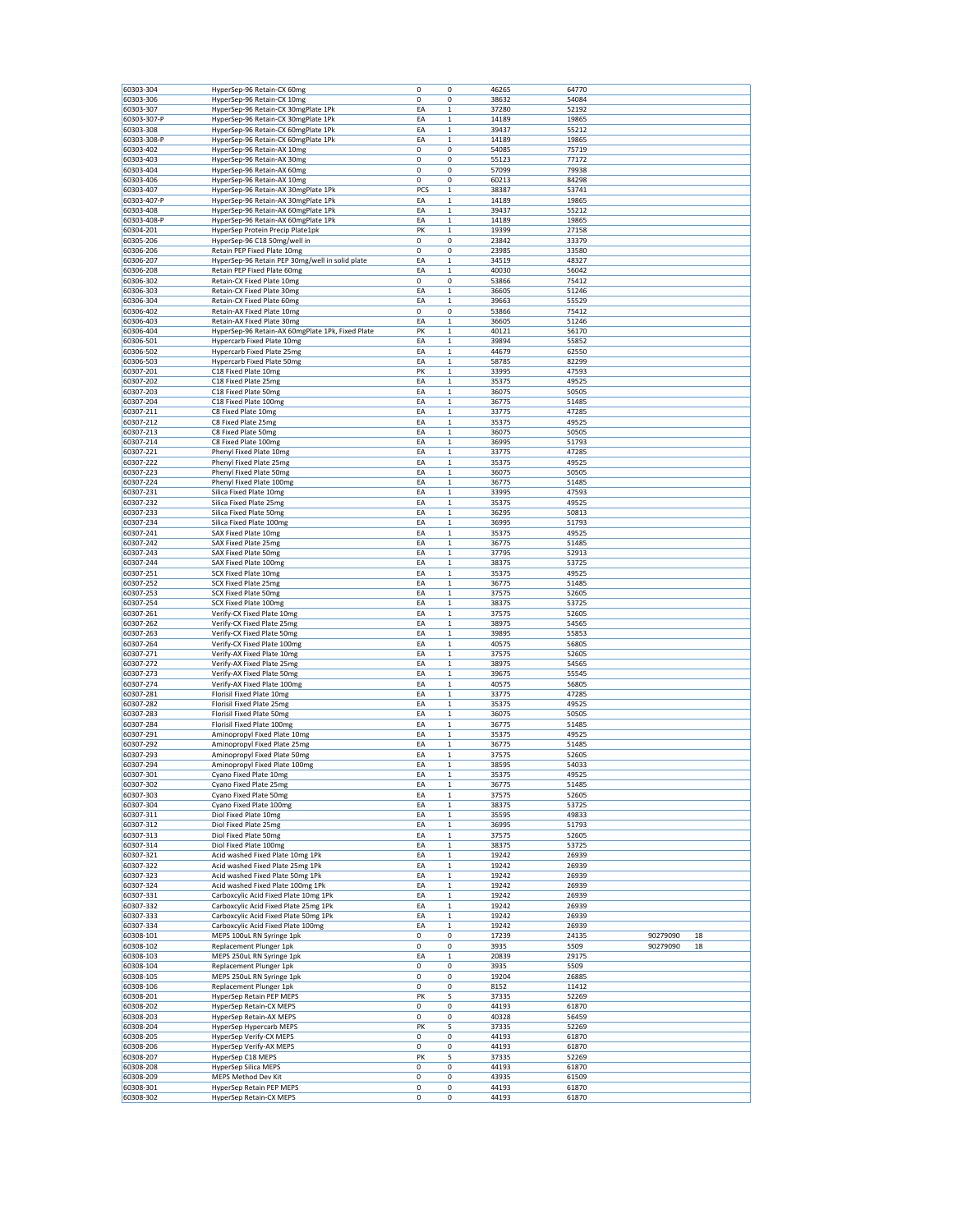| 60303-304   | HyperSep-96 Retain-CX 60mg                       | 0   | 0            | 46265 | 64770 |          |    |
|-------------|--------------------------------------------------|-----|--------------|-------|-------|----------|----|
| 60303-306   | HyperSep-96 Retain-CX 10mg                       | 0   | 0            | 38632 | 54084 |          |    |
| 60303-307   | HyperSep-96 Retain-CX 30mgPlate 1Pk              | EA  | $\mathbf 1$  | 37280 | 52192 |          |    |
| 60303-307-P | HyperSep-96 Retain-CX 30mgPlate 1Pk              | EA  | 1            | 14189 | 19865 |          |    |
| 60303-308   | HyperSep-96 Retain-CX 60mgPlate 1Pk              | ΕA  | $\mathbf 1$  | 39437 | 55212 |          |    |
| 60303-308-P | HyperSep-96 Retain-CX 60mgPlate 1Pk              | EA  | $\mathbf 1$  | 14189 | 19865 |          |    |
| 60303-402   | HyperSep-96 Retain-AX 10mg                       | 0   | 0            | 54085 | 75719 |          |    |
| 60303-403   | HyperSep-96 Retain-AX 30mg                       | 0   | 0            | 55123 | 77172 |          |    |
| 60303-404   | HyperSep-96 Retain-AX 60mg                       | 0   | 0            | 57099 | 79938 |          |    |
| 60303-406   | HyperSep-96 Retain-AX 10mg                       | 0   | 0            | 60213 | 84298 |          |    |
|             |                                                  |     |              |       |       |          |    |
| 60303-407   | HyperSep-96 Retain-AX 30mgPlate 1Pk              | PCS | $\mathbf 1$  | 38387 | 53741 |          |    |
| 60303-407-P | HyperSep-96 Retain-AX 30mgPlate 1Pk              | EA  | $\mathbf 1$  | 14189 | 19865 |          |    |
| 60303-408   | HyperSep-96 Retain-AX 60mgPlate 1Pk              | ΕA  | 1            | 39437 | 55212 |          |    |
| 60303-408-P | HyperSep-96 Retain-AX 60mgPlate 1Pk              | ΕA  | 1            | 14189 | 19865 |          |    |
| 60304-201   | HyperSep Protein Precip Plate1pk                 | PK  | $\mathbf 1$  | 19399 | 27158 |          |    |
| 60305-206   | HyperSep-96 C18 50mg/well in                     | 0   | 0            | 23842 | 33379 |          |    |
| 60306-206   | Retain PEP Fixed Plate 10mg                      | 0   | 0            | 23985 | 33580 |          |    |
| 60306-207   | HyperSep-96 Retain PEP 30mg/well in solid plate  | EA  | $\mathbf 1$  | 34519 | 48327 |          |    |
| 60306-208   | Retain PEP Fixed Plate 60mg                      | EA  | 1            | 40030 | 56042 |          |    |
| 60306-302   | Retain-CX Fixed Plate 10mg                       | 0   | 0            | 53866 | 75412 |          |    |
| 60306-303   | Retain-CX Fixed Plate 30mg                       | EA  | $\mathbf 1$  | 36605 | 51246 |          |    |
| 60306-304   | Retain-CX Fixed Plate 60mg                       | EA  | 1            | 39663 | 55529 |          |    |
| 60306-402   | Retain-AX Fixed Plate 10mg                       | 0   | 0            | 53866 | 75412 |          |    |
| 60306-403   | Retain-AX Fixed Plate 30mg                       | EA  | $\mathbf 1$  | 36605 | 51246 |          |    |
| 60306-404   | HyperSep-96 Retain-AX 60mgPlate 1Pk, Fixed Plate | PK  | $\mathbf 1$  | 40121 | 56170 |          |    |
| 60306-501   | <b>Hypercarb Fixed Plate 10mg</b>                | EA  | 1            | 39894 | 55852 |          |    |
| 60306-502   | <b>Hypercarb Fixed Plate 25mg</b>                | ΕA  | $\mathbf 1$  | 44679 | 62550 |          |    |
| 60306-503   | <b>Hypercarb Fixed Plate 50mg</b>                | EA  | $\mathbf 1$  | 58785 | 82299 |          |    |
|             |                                                  |     |              |       |       |          |    |
| 60307-201   | C18 Fixed Plate 10mg                             | PK  | $\mathbf 1$  | 33995 | 47593 |          |    |
| 60307-202   | C18 Fixed Plate 25mg                             | EA  | $\mathbf 1$  | 35375 | 49525 |          |    |
| 60307-203   | C18 Fixed Plate 50mg                             | EA  | $\mathbf 1$  | 36075 | 50505 |          |    |
| 60307-204   | C18 Fixed Plate 100mg                            | EA  | $\mathbf 1$  | 36775 | 51485 |          |    |
| 60307-211   | C8 Fixed Plate 10mg                              | EA  | $\mathbf 1$  | 33775 | 47285 |          |    |
| 60307-212   | C8 Fixed Plate 25mg                              | EA  | $\mathbf 1$  | 35375 | 49525 |          |    |
| 60307-213   | C8 Fixed Plate 50mg                              | EA  | $\mathbf 1$  | 36075 | 50505 |          |    |
| 60307-214   | C8 Fixed Plate 100mg                             | EA  | $\mathbf 1$  | 36995 | 51793 |          |    |
| 60307-221   | Phenyl Fixed Plate 10mg                          | EA  | $\mathbf 1$  | 33775 | 47285 |          |    |
| 60307-222   | Phenyl Fixed Plate 25mg                          | ΕA  | 1            | 35375 | 49525 |          |    |
| 60307-223   | Phenyl Fixed Plate 50mg                          | ΕA  | 1            | 36075 | 50505 |          |    |
| 60307-224   |                                                  | EA  | $\mathbf 1$  | 36775 | 51485 |          |    |
|             | Phenyl Fixed Plate 100mg                         |     |              |       |       |          |    |
| 60307-231   | Silica Fixed Plate 10mg                          | EA  | 1            | 33995 | 47593 |          |    |
| 60307-232   | Silica Fixed Plate 25mg                          | EA  | 1            | 35375 | 49525 |          |    |
| 60307-233   | Silica Fixed Plate 50mg                          | EA  | $\mathbf 1$  | 36295 | 50813 |          |    |
| 60307-234   | Silica Fixed Plate 100mg                         | ΕA  | $\mathbf 1$  | 36995 | 51793 |          |    |
| 60307-241   | SAX Fixed Plate 10mg                             | ΕA  | 1            | 35375 | 49525 |          |    |
| 60307-242   | SAX Fixed Plate 25mg                             | EA  | $\mathbf 1$  | 36775 | 51485 |          |    |
| 60307-243   | SAX Fixed Plate 50mg                             | EA  | 1            | 37795 | 52913 |          |    |
| 60307-244   | SAX Fixed Plate 100mg                            | EA  | 1            | 38375 | 53725 |          |    |
| 60307-251   | <b>SCX Fixed Plate 10mg</b>                      | EA  | $\mathbf 1$  | 35375 | 49525 |          |    |
| 60307-252   | <b>SCX Fixed Plate 25mg</b>                      | ΕA  | $\mathbf 1$  | 36775 | 51485 |          |    |
| 60307-253   | <b>SCX Fixed Plate 50mg</b>                      | ΕA  | 1            | 37575 | 52605 |          |    |
| 60307-254   | SCX Fixed Plate 100mg                            | ΕA  | $\mathbf 1$  | 38375 | 53725 |          |    |
| 60307-261   | Verify-CX Fixed Plate 10mg                       | EA  | $\mathbf 1$  | 37575 | 52605 |          |    |
| 60307-262   | Verify-CX Fixed Plate 25mg                       | ΕA  | $\mathbf 1$  | 38975 |       |          |    |
|             |                                                  |     |              |       | 54565 |          |    |
| 60307-263   | Verify-CX Fixed Plate 50mg                       | EA  | $\mathbf 1$  | 39895 | 55853 |          |    |
| 60307-264   | Verify-CX Fixed Plate 100mg                      | EA  | $\mathbf 1$  | 40575 | 56805 |          |    |
| 60307-271   | Verify-AX Fixed Plate 10mg                       | EA  | 1            | 37575 | 52605 |          |    |
| 60307-272   | Verify-AX Fixed Plate 25mg                       | EA  | 1            | 38975 | 54565 |          |    |
| 60307-273   | Verify-AX Fixed Plate 50mg                       | EA  | $\mathbf 1$  | 39675 | 55545 |          |    |
| 60307-274   | Verify-AX Fixed Plate 100mg                      | EA  | $\mathbf 1$  | 40575 | 56805 |          |    |
| 60307-281   | Florisil Fixed Plate 10mg                        | EA  | $\mathbf 1$  | 33775 | 47285 |          |    |
| 60307-282   | Florisil Fixed Plate 25mg                        | EA  | $\mathbf 1$  | 35375 | 49525 |          |    |
| 60307-283   | Florisil Fixed Plate 50mg                        | ΕA  | 1            | 36075 | 50505 |          |    |
| 60307-284   | Florisil Fixed Plate 100mg                       | ΕA  | 1            | 36775 | 51485 |          |    |
| 60307-291   | Aminopropyl Fixed Plate 10mg                     | EA  | $\mathbf 1$  | 35375 | 49525 |          |    |
| 60307-292   | Aminopropyl Fixed Plate 25mg                     | EA  | 1            | 36775 | 51485 |          |    |
| 60307-293   | Aminopropyl Fixed Plate 50mg                     | EA  | 1            | 37575 | 52605 |          |    |
| 60307-294   | Aminopropyl Fixed Plate 100mg                    | EA  | $\mathbf 1$  | 38595 | 54033 |          |    |
| 60307-301   | Cyano Fixed Plate 10mg                           |     |              |       |       |          |    |
|             |                                                  | EA  | 1            | 35375 | 49525 |          |    |
| 60307-302   | Cyano Fixed Plate 25mg                           | EA  | 1            | 36775 | 51485 |          |    |
| 60307-303   | Cyano Fixed Plate 50mg                           | EA  | $\mathbf 1$  | 37575 | 52605 |          |    |
| 60307-304   | Cyano Fixed Plate 100mg                          | EA  | 1            | 38375 | 53725 |          |    |
| 60307-311   | Diol Fixed Plate 10mg                            | EA  | $\mathbf 1$  | 35595 | 49833 |          |    |
| 60307-312   | Diol Fixed Plate 25mg                            | EA  | $\mathbf{1}$ | 36995 | 51793 |          |    |
| 60307-313   | Diol Fixed Plate 50mg                            | ΕA  | $\mathbf 1$  | 37575 | 52605 |          |    |
| 60307-314   | Diol Fixed Plate 100mg                           | ΕA  | $\mathbf 1$  | 38375 | 53725 |          |    |
| 60307-321   | Acid washed Fixed Plate 10mg 1Pk                 | ΕA  | $\mathbf 1$  | 19242 | 26939 |          |    |
| 60307-322   |                                                  | EA  |              |       | 26939 |          |    |
| 60307-323   | Acid washed Fixed Plate 25mg 1Pk                 |     | $\mathbf 1$  | 19242 |       |          |    |
| 60307-324   | Acid washed Fixed Plate 50mg 1Pk                 | ΕA  | $\mathbf 1$  | 19242 | 26939 |          |    |
|             | Acid washed Fixed Plate 100mg 1Pk                | ΕA  | $\mathbf 1$  | 19242 | 26939 |          |    |
| 60307-331   | Carboxcylic Acid Fixed Plate 10mg 1Pk            | ΕA  | $\mathbf 1$  | 19242 | 26939 |          |    |
| 60307-332   | Carboxcylic Acid Fixed Plate 25mg 1Pk            | EA  | $\mathbf 1$  | 19242 | 26939 |          |    |
| 60307-333   | Carboxcylic Acid Fixed Plate 50mg 1Pk            | EA  | $\mathbf 1$  | 19242 | 26939 |          |    |
|             | Carboxcylic Acid Fixed Plate 100mg               |     |              |       | 26939 |          |    |
| 60307-334   |                                                  | EA  | $\mathbf 1$  | 19242 |       | 90279090 |    |
| 60308-101   | MEPS 100uL RN Syringe 1pk                        | 0   | 0            | 17239 | 24135 |          | 18 |
| 60308-102   | Replacement Plunger 1pk                          | 0   | 0            | 3935  | 5509  | 90279090 | 18 |
| 60308-103   | MEPS 250uL RN Syringe 1pk                        | EA  | $\mathbf 1$  | 20839 | 29175 |          |    |
| 60308-104   | Replacement Plunger 1pk                          | 0   | 0            | 3935  | 5509  |          |    |
| 60308-105   | MEPS 250uL RN Syringe 1pk                        | 0   | 0            | 19204 | 26885 |          |    |
| 60308-106   | Replacement Plunger 1pk                          | 0   | 0            | 8152  | 11412 |          |    |
| 60308-201   | HyperSep Retain PEP MEPS                         | PK  | 5            | 37335 | 52269 |          |    |
| 60308-202   | HyperSep Retain-CX MEPS                          | 0   | 0            | 44193 | 61870 |          |    |
| 60308-203   | HyperSep Retain-AX MEPS                          | 0   | 0            | 40328 | 56459 |          |    |
| 60308-204   | HyperSep Hypercarb MEPS                          | PK  | 5            | 37335 | 52269 |          |    |
| 60308-205   | HyperSep Verify-CX MEPS                          | 0   | 0            | 44193 | 61870 |          |    |
| 60308-206   | HyperSep Verify-AX MEPS                          | 0   | 0            | 44193 | 61870 |          |    |
| 60308-207   | HyperSep C18 MEPS                                | PK  | 5            | 37335 | 52269 |          |    |
| 60308-208   | HyperSep Silica MEPS                             | 0   | 0            | 44193 | 61870 |          |    |
| 60308-209   | MEPS Method Dev Kit                              | 0   | 0            | 43935 | 61509 |          |    |
| 60308-301   | HyperSep Retain PEP MEPS                         | 0   | 0            | 44193 | 61870 |          |    |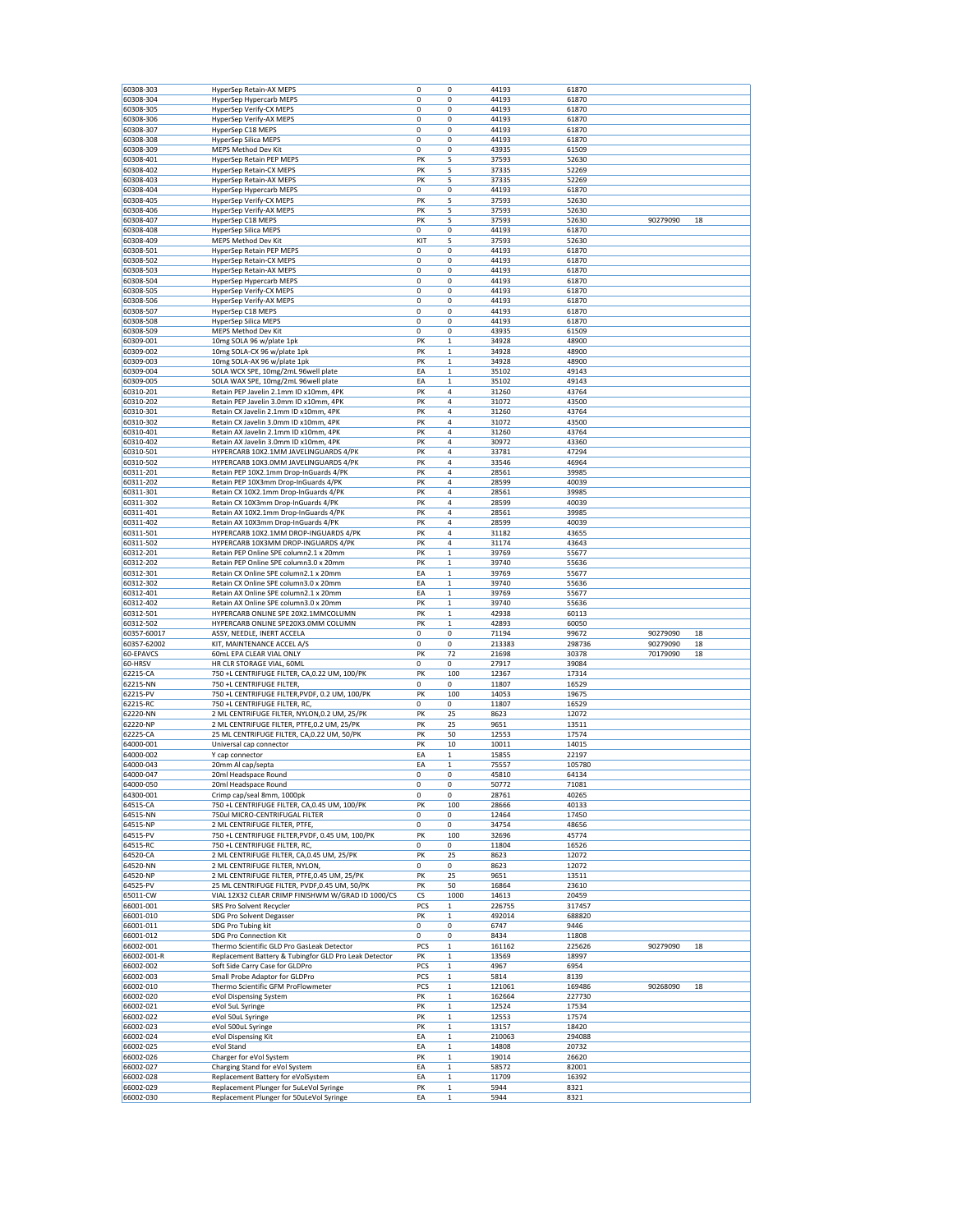| 60308-303                                                     | HyperSep Retain-AX MEPS                                                                            | 0         | 0                           | 44193           | 61870           |                      |          |
|---------------------------------------------------------------|----------------------------------------------------------------------------------------------------|-----------|-----------------------------|-----------------|-----------------|----------------------|----------|
| 60308-304                                                     | HyperSep Hypercarb MEPS                                                                            | 0         | 0                           | 44193           | 61870           |                      |          |
| 60308-305                                                     | HyperSep Verify-CX MEPS                                                                            | 0         | 0                           | 44193           | 61870           |                      |          |
| 60308-306                                                     | HyperSep Verify-AX MEPS                                                                            | 0         | 0                           | 44193           | 61870           |                      |          |
| 60308-307                                                     | HyperSep C18 MEPS                                                                                  | 0         | 0                           | 44193           | 61870           |                      |          |
| 60308-308                                                     | <b>HyperSep Silica MEPS</b>                                                                        | 0         | 0                           | 44193           | 61870           |                      |          |
| 60308-309                                                     | MEPS Method Dev Kit                                                                                | 0         | 0                           | 43935           | 61509           |                      |          |
| 60308-401<br>60308-402                                        | HyperSep Retain PEP MEPS<br>HyperSep Retain-CX MEPS                                                | PK<br>PK  | 5<br>5                      | 37593<br>37335  | 52630<br>52269  |                      |          |
| 60308-403                                                     | HyperSep Retain-AX MEPS                                                                            | PK        | 5                           | 37335           | 52269           |                      |          |
| 60308-404                                                     | HyperSep Hypercarb MEPS                                                                            | 0         | 0                           | 44193           | 61870           |                      |          |
| 60308-405                                                     | HyperSep Verify-CX MEPS                                                                            | PK        | 5                           | 37593           | 52630           |                      |          |
| 60308-406                                                     | HyperSep Verify-AX MEPS                                                                            | PK        | 5                           | 37593           | 52630           |                      |          |
| 60308-407                                                     | HyperSep C18 MEPS                                                                                  | PK        | 5                           | 37593           | 52630           | 90279090             | 18       |
| 60308-408                                                     | HyperSep Silica MEPS                                                                               | 0         | 0                           | 44193           | 61870           |                      |          |
| 60308-409                                                     | MEPS Method Dev Kit                                                                                | KIT       | 5                           | 37593           | 52630           |                      |          |
| 60308-501                                                     | HyperSep Retain PEP MEPS                                                                           | 0         | 0                           | 44193           | 61870           |                      |          |
| 60308-502                                                     | <b>HyperSep Retain-CX MEPS</b>                                                                     | 0         | 0                           | 44193           | 61870           |                      |          |
| 60308-503                                                     | HyperSep Retain-AX MEPS                                                                            | 0<br>0    | 0<br>0                      | 44193<br>44193  | 61870<br>61870  |                      |          |
| 60308-504<br>60308-505                                        | HyperSep Hypercarb MEPS<br>HyperSep Verify-CX MEPS                                                 | 0         | 0                           | 44193           | 61870           |                      |          |
| 60308-506                                                     | HyperSep Verify-AX MEPS                                                                            | 0         | 0                           | 44193           | 61870           |                      |          |
| 60308-507                                                     | HyperSep C18 MEPS                                                                                  | 0         | 0                           | 44193           | 61870           |                      |          |
| 60308-508                                                     | HyperSep Silica MEPS                                                                               | 0         | 0                           | 44193           | 61870           |                      |          |
| 60308-509                                                     | MEPS Method Dev Kit                                                                                | 0         | 0                           | 43935           | 61509           |                      |          |
| 60309-001                                                     | 10mg SOLA 96 w/plate 1pk                                                                           | PK        | $\,1$                       | 34928           | 48900           |                      |          |
| 60309-002                                                     | 10mg SOLA-CX 96 w/plate 1pk                                                                        | PK        | $\,1$                       | 34928           | 48900           |                      |          |
| 60309-003                                                     | 10mg SOLA-AX 96 w/plate 1pk                                                                        | PK        | $\,1$                       | 34928           | 48900           |                      |          |
| 60309-004                                                     | SOLA WCX SPE, 10mg/2mL 96well plate                                                                | EA        | $\mathbf 1$                 | 35102           | 49143           |                      |          |
| 60309-005                                                     | SOLA WAX SPE, 10mg/2mL 96well plate                                                                | EA        | $\mathbf 1$                 | 35102           | 49143           |                      |          |
| 60310-201<br>60310-202                                        | Retain PEP Javelin 2.1mm ID x10mm, 4PK<br>Retain PEP Javelin 3.0mm ID x10mm, 4PK                   | PK<br>PK  | 4<br>4                      | 31260<br>31072  | 43764<br>43500  |                      |          |
| 60310-301                                                     | Retain CX Javelin 2.1mm ID x10mm, 4PK                                                              | PK        | 4                           | 31260           | 43764           |                      |          |
| 60310-302                                                     | Retain CX Javelin 3.0mm ID x10mm, 4PK                                                              | PK        | 4                           | 31072           | 43500           |                      |          |
| 60310-401                                                     | Retain AX Javelin 2.1mm ID x10mm, 4PK                                                              | PK        | 4                           | 31260           | 43764           |                      |          |
| 60310-402                                                     | Retain AX Javelin 3.0mm ID x10mm, 4PK                                                              | PK        | 4                           | 30972           | 43360           |                      |          |
| 60310-501                                                     | HYPERCARB 10X2.1MM JAVELINGUARDS 4/PK                                                              | PK        | 4                           | 33781           | 47294           |                      |          |
| 60310-502                                                     | HYPERCARB 10X3.0MM JAVELINGUARDS 4/PK                                                              | PK        | 4                           | 33546           | 46964           |                      |          |
| 60311-201                                                     | Retain PEP 10X2.1mm Drop-InGuards 4/PK                                                             | PK        | 4                           | 28561           | 39985           |                      |          |
| 60311-202                                                     | Retain PEP 10X3mm Drop-InGuards 4/PK                                                               | PK        | 4                           | 28599           | 40039           |                      |          |
| 60311-301                                                     | Retain CX 10X2.1mm Drop-InGuards 4/PK                                                              | PK        | 4                           | 28561           | 39985           |                      |          |
| 60311-302                                                     | Retain CX 10X3mm Drop-InGuards 4/PK                                                                | PK        | 4                           | 28599           | 40039           |                      |          |
| 60311-401<br>60311-402                                        | Retain AX 10X2.1mm Drop-InGuards 4/PK<br>Retain AX 10X3mm Drop-InGuards 4/PK                       | PK<br>PK  | 4<br>4                      | 28561<br>28599  | 39985<br>40039  |                      |          |
| 60311-501                                                     | HYPERCARB 10X2.1MM DROP-INGUARDS 4/PK                                                              | PK        | 4                           | 31182           | 43655           |                      |          |
| 60311-502                                                     | HYPERCARB 10X3MM DROP-INGUARDS 4/PK                                                                | PK        | 4                           | 31174           | 43643           |                      |          |
| 60312-201                                                     | Retain PEP Online SPE column2.1 x 20mm                                                             | PK        | $\mathbf 1$                 | 39769           | 55677           |                      |          |
| 60312-202                                                     | Retain PEP Online SPE column3.0 x 20mm                                                             | PK        | $\mathbf 1$                 | 39740           | 55636           |                      |          |
| 60312-301                                                     | Retain CX Online SPE column2.1 x 20mm                                                              | EA        | $\mathbf{1}$                | 39769           | 55677           |                      |          |
| 60312-302                                                     | Retain CX Online SPE column3.0 x 20mm                                                              | EA        | $\mathbf 1$                 | 39740           | 55636           |                      |          |
| 60312-401                                                     | Retain AX Online SPE column2.1 x 20mm                                                              | EA        | $\,1$                       | 39769           | 55677           |                      |          |
| 60312-402                                                     | Retain AX Online SPE column3.0 x 20mm                                                              | PK        | $\,1$                       | 39740           | 55636           |                      |          |
| 60312-501                                                     | HYPERCARB ONLINE SPE 20X2.1MMCOLUMN                                                                | PK        | $\,1$                       | 42938           | 60113           |                      |          |
| 60312-502                                                     | HYPERCARB ONLINE SPE20X3.0MM COLUMN                                                                | PK        | $\mathbf 1$                 | 42893           | 60050           |                      |          |
| 60357-60017<br>60357-62002                                    | ASSY, NEEDLE, INERT ACCELA<br>KIT, MAINTENANCE ACCEL A/S                                           | 0<br>0    | 0<br>0                      | 71194<br>213383 | 99672<br>298736 | 90279090<br>90279090 | 18<br>18 |
| 60-EPAVCS                                                     | 60mL EPA CLEAR VIAL ONLY                                                                           | PK        | 72                          | 21698           | 30378           | 70179090             | 18       |
| 60-HRSV                                                       | HR CLR STORAGE VIAL, 60ML                                                                          | 0         | $\pmb{0}$                   | 27917           | 39084           |                      |          |
| 62215-CA                                                      | 750 +L CENTRIFUGE FILTER, CA, 0.22 UM, 100/PK                                                      | PK        | 100                         | 12367           | 17314           |                      |          |
| 62215-NN                                                      | 750 +L CENTRIFUGE FILTER,                                                                          | 0         | 0                           | 11807           | 16529           |                      |          |
| 62215-PV                                                      | 750 +L CENTRIFUGE FILTER, PVDF, 0.2 UM, 100/PK                                                     | PK        | 100                         | 14053           | 19675           |                      |          |
| 62215-RC                                                      | 750 +L CENTRIFUGE FILTER, RC,                                                                      | 0         | 0                           | 11807           | 16529           |                      |          |
| 62220-NN                                                      | 2 ML CENTRIFUGE FILTER, NYLON, 0.2 UM, 25/PK                                                       | PK        | 25                          | 8623            | 12072           |                      |          |
| 62220-NP                                                      | 2 ML CENTRIFUGE FILTER, PTFE, 0.2 UM, 25/PK                                                        | PK        | 25                          | 9651            | 13511           |                      |          |
| 62225-CA                                                      | 25 ML CENTRIFUGE FILTER, CA, 0.22 UM, 50/PK                                                        | PK        | 50                          | 12553           | 17574           |                      |          |
| 64000-001                                                     | Universal cap connector                                                                            | PK        | 10                          | 10011           | 14015           |                      |          |
| 64000-002                                                     | Y cap connector                                                                                    | EA        | $\mathbf{1}$                | 15855           | 22197           |                      |          |
| 64000-043<br>64000-047                                        | 20mm Al cap/septa<br>20ml Headspace Round                                                          | EA<br>0   | $\mathbf{1}$<br>0           | 75557<br>45810  | 105780<br>64134 |                      |          |
| 64000-050                                                     | 20ml Headspace Round                                                                               | $\pmb{0}$ | 0                           | 50772           | 71081           |                      |          |
| 64300-001                                                     | Crimp cap/seal 8mm, 1000pk                                                                         | 0         | 0                           | 28761           | 40265           |                      |          |
| 64515-CA                                                      | 750 +L CENTRIFUGE FILTER, CA, 0.45 UM, 100/PK                                                      | PK        | 100                         | 28666           | 40133           |                      |          |
| 64515-NN                                                      | 750ul MICRO-CENTRIFUGAL FILTER                                                                     | 0         | 0                           | 12464           | 17450           |                      |          |
| 64515-NP                                                      | 2 ML CENTRIFUGE FILTER, PTFE,                                                                      | 0         | 0                           | 34754           | 48656           |                      |          |
| 64515-PV                                                      | 750 +L CENTRIFUGE FILTER, PVDF, 0.45 UM, 100/PK                                                    | PK        | 100                         | 32696           | 45774           |                      |          |
| 64515-RC                                                      | 750 +L CENTRIFUGE FILTER, RC,                                                                      | 0         | 0                           | 11804           | 16526           |                      |          |
| 64520-CA                                                      | 2 ML CENTRIFUGE FILTER, CA, 0.45 UM, 25/PK                                                         | PK        | 25                          | 8623            | 12072           |                      |          |
| 64520-NN                                                      | 2 ML CENTRIFUGE FILTER, NYLON,                                                                     | 0         | 0                           | 8623            | 12072           |                      |          |
| 64520-NP                                                      | 2 ML CENTRIFUGE FILTER, PTFE, 0.45 UM, 25/PK                                                       | PK        | 25                          | 9651            | 13511           |                      |          |
| 64525-PV<br>65011-CW                                          | 25 ML CENTRIFUGE FILTER, PVDF, 0.45 UM, 50/PK<br>VIAL 12X32 CLEAR CRIMP FINISHWM W/GRAD ID 1000/CS | PK<br>CS  | 50<br>1000                  | 16864<br>14613  | 23610<br>20459  |                      |          |
| 66001-001                                                     | SRS Pro Solvent Recycler                                                                           | PCS       | $\,1$                       | 226755          | 317457          |                      |          |
| 66001-010                                                     | SDG Pro Solvent Degasser                                                                           | PK        | $\,1$                       | 492014          | 688820          |                      |          |
| 66001-011                                                     | SDG Pro Tubing kit                                                                                 | 0         | 0                           | 6747            | 9446            |                      |          |
| 66001-012                                                     | SDG Pro Connection Kit                                                                             | 0         | 0                           | 8434            | 11808           |                      |          |
| 66002-001                                                     | Thermo Scientific GLD Pro GasLeak Detector                                                         | PCS       | $\,1$                       | 161162          | 225626          | 90279090             | 18       |
| 66002-001-R                                                   | Replacement Battery & Tubingfor GLD Pro Leak Detector                                              | PK        | $\,1$                       | 13569           | 18997           |                      |          |
| 66002-002                                                     | Soft Side Carry Case for GLDPro                                                                    | PCS       | $\mathbf 1$                 | 4967            | 6954            |                      |          |
| 66002-003                                                     | Small Probe Adaptor for GLDPro                                                                     | PCS       | $\mathbf 1$                 | 5814            | 8139            |                      |          |
| 66002-010                                                     | Thermo Scientific GFM ProFlowmeter                                                                 | PCS       | $\,1$                       | 121061          | 169486          | 90268090             | 18       |
|                                                               | eVol Dispensing System                                                                             | PK        | $\mathbf 1$                 | 162664          | 227730          |                      |          |
|                                                               | eVol 5uL Syringe                                                                                   | PK        | $\mathbf 1$                 | 12524           | 17534           |                      |          |
|                                                               |                                                                                                    | PK        | $\mathbf 1$                 | 12553           | 17574           |                      |          |
|                                                               | eVol 50uL Syringe                                                                                  |           | $\mathbf{1}$                | 13157           | 18420           |                      |          |
|                                                               | eVol 500uL Syringe                                                                                 | PK        |                             |                 |                 |                      |          |
| 66002-020<br>66002-021<br>66002-022<br>66002-023<br>66002-024 | eVol Dispensing Kit                                                                                | EA        | $\mathbf 1$                 | 210063          | 294088          |                      |          |
|                                                               | eVol Stand                                                                                         | EA        | $\mathbf 1$                 | 14808           | 20732           |                      |          |
| 66002-025<br>66002-026                                        | Charger for eVol System                                                                            | PK        | $\mathbf 1$                 | 19014           | 26620           |                      |          |
| 66002-027                                                     | Charging Stand for eVol System                                                                     | EA        | $\mathbf{1}$                | 58572           | 82001           |                      |          |
| 66002-028<br>66002-029                                        | Replacement Battery for eVolSystem<br>Replacement Plunger for 5uLeVol Syringe                      | EA<br>PK  | $\mathbf{1}$<br>$\mathbf 1$ | 11709<br>5944   | 16392<br>8321   |                      |          |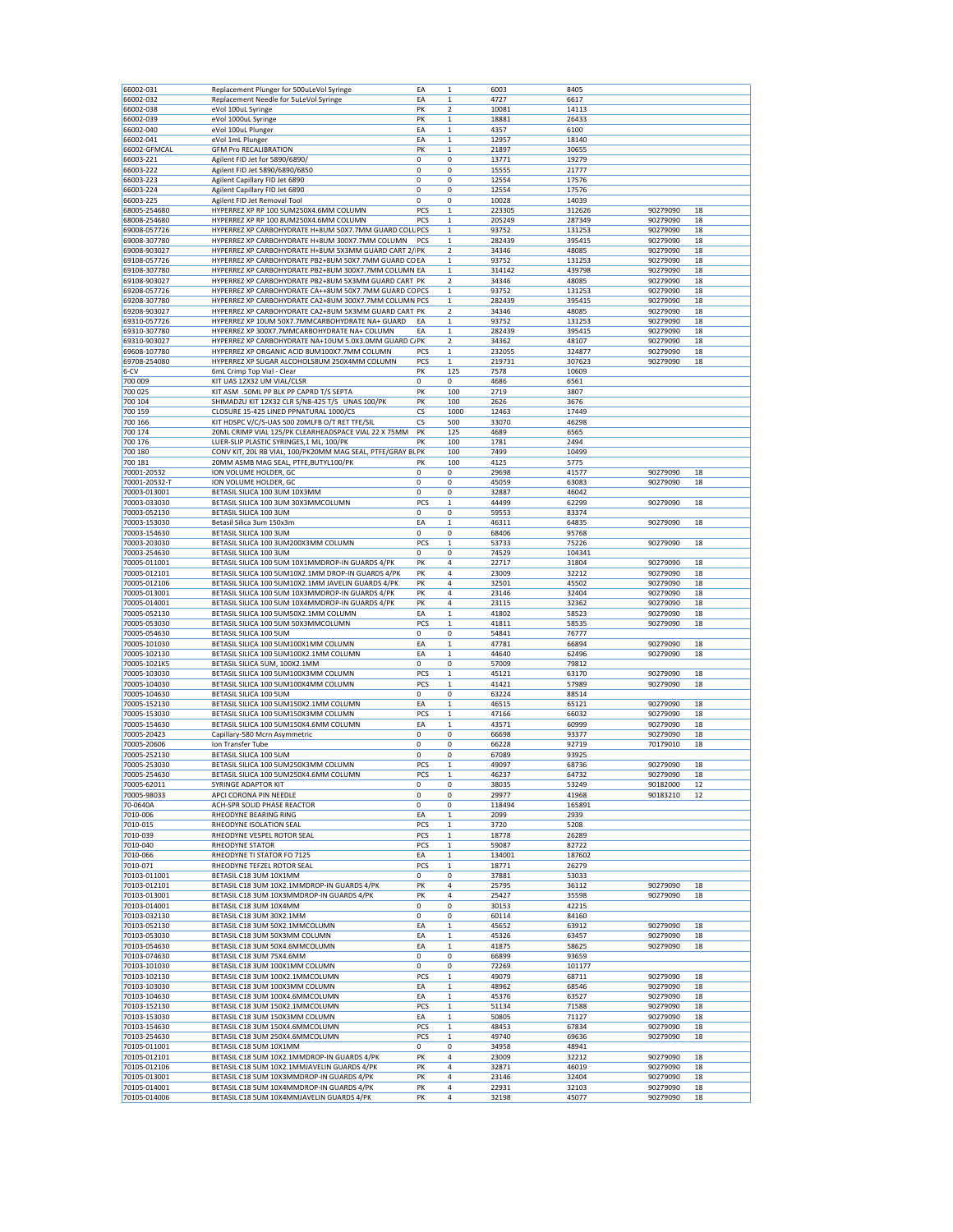| 66002-031                     | Replacement Plunger for 500uLeVol Syringe                                                       | EA                 | $\mathbf 1$                 | 6003            | 8405             |                      |          |
|-------------------------------|-------------------------------------------------------------------------------------------------|--------------------|-----------------------------|-----------------|------------------|----------------------|----------|
| 66002-032                     | Replacement Needle for 5uLeVol Syringe                                                          | EA                 | 1                           | 4727            | 6617             |                      |          |
| 66002-038                     | eVol 100uL Syringe                                                                              | PK                 | $\mathbf 2$                 | 10081           | 14113            |                      |          |
| 66002-039                     | eVol 1000uL Syringe                                                                             | PK                 | 1                           | 18881           | 26433            |                      |          |
| 66002-040                     | eVol 100uL Plunger                                                                              | EA                 | 1                           | 4357            | 6100             |                      |          |
| 66002-041                     | eVol 1mL Plunger                                                                                | EA                 | $\mathbf{1}$                | 12957           | 18140            |                      |          |
| 66002-GFMCAL                  | <b>GFM Pro RECALIBRATION</b>                                                                    | PK                 | $\mathbf 1$                 | 21897           | 30655            |                      |          |
| 66003-221                     | Agilent FID Jet for 5890/6890/                                                                  | 0                  | 0                           | 13771           | 19279            |                      |          |
| 66003-222<br>66003-223        | Agilent FID Jet 5890/6890/6850                                                                  | 0<br>0             | 0<br>0                      | 15555           | 21777<br>17576   |                      |          |
| 66003-224                     | Agilent Capillary FID Jet 6890                                                                  | 0                  | 0                           | 12554<br>12554  | 17576            |                      |          |
| 66003-225                     | Agilent Capillary FID Jet 6890<br>Agilent FID Jet Removal Tool                                  | 0                  | 0                           | 10028           | 14039            |                      |          |
| 68005-254680                  | HYPERREZ XP RP 100 5UM250X4.6MM COLUMN                                                          | PCS                | $\mathbf 1$                 | 223305          | 312626           | 90279090             | 18       |
| 68008-254680                  | HYPERREZ XP RP 100 8UM250X4.6MM COLUMN                                                          | PCS                | 1                           | 205249          | 287349           | 90279090             | 18       |
| 69008-057726                  | HYPERREZ XP CARBOHYDRATE H+8UM 50X7.7MM GUARD COLL PCS                                          |                    | $\mathbf 1$                 | 93752           | 131253           | 90279090             | 18       |
| 69008-307780                  | HYPERREZ XP CARBOHYDRATE H+8UM 300X7.7MM COLUMN                                                 | PCS                | $\mathbf 1$                 | 282439          | 395415           | 90279090             | 18       |
| 69008-903027                  | HYPERREZ XP CARBOHYDRATE H+8UM 5X3MM GUARD CART 2/ PK                                           |                    | $\mathbf 2$                 | 34346           | 48085            | 90279090             | 18       |
| 69108-057726                  | HYPERREZ XP CARBOHYDRATE PB2+8UM 50X7.7MM GUARD CO EA                                           |                    | $\mathbf 1$                 | 93752           | 131253           | 90279090             | 18       |
| 69108-307780                  | HYPERREZ XP CARBOHYDRATE PB2+8UM 300X7.7MM COLUMN EA                                            |                    | $\mathbf 1$                 | 314142          | 439798           | 90279090             | 18       |
| 69108-903027                  | HYPERREZ XP CARBOHYDRATE PB2+8UM 5X3MM GUARD CART PK                                            |                    | $\overline{\mathbf{2}}$     | 34346           | 48085            | 90279090             | 18       |
| 69208-057726                  | HYPERREZ XP CARBOHYDRATE CA++8UM 50X7.7MM GUARD COPCS                                           |                    | $\mathbf 1$                 | 93752           | 131253           | 90279090             | 18       |
| 69208-307780                  | HYPERREZ XP CARBOHYDRATE CA2+8UM 300X7.7MM COLUMN PCS                                           |                    | $\mathbf 1$                 | 282439          | 395415           | 90279090             | 18       |
| 69208-903027                  | HYPERREZ XP CARBOHYDRATE CA2+8UM 5X3MM GUARD CART PK                                            |                    | $\overline{\mathbf{2}}$     | 34346           | 48085            | 90279090             | 18       |
| 69310-057726<br>69310-307780  | HYPERREZ XP 10UM 50X7.7MMCARBOHYDRATE NA+ GUARD<br>HYPERREZ XP 300X7.7MMCARBOHYDRATE NA+ COLUMN | EA<br>EA           | 1<br>$\mathbf 1$            | 93752<br>282439 | 131253<br>395415 | 90279090<br>90279090 | 18<br>18 |
| 69310-903027                  | HYPERREZ XP CARBOHYDRATE NA+10UM 5.0X3.0MM GUARD C/PK                                           |                    | $\overline{\mathbf{2}}$     | 34362           | 48107            | 90279090             | 18       |
| 69608-107780                  | HYPERREZ XP ORGANIC ACID 8UM100X7.7MM COLUMN                                                    | PCS                | 1                           | 232055          | 324877           | 90279090             | 18       |
| 69708-254080                  | HYPERREZ XP SUGAR ALCOHOLS8UM 250X4MM COLUMN                                                    | PCS                | $\mathbf 1$                 | 219731          | 307623           | 90279090             | 18       |
| $6 - CV$                      | 6mL Crimp Top Vial - Clear                                                                      | PK                 | 125                         | 7578            | 10609            |                      |          |
| 700 009                       | KIT UAS 12X32 UM VIAL/CLSR                                                                      | 0                  | 0                           | 4686            | 6561             |                      |          |
| 700 025                       | KIT ASM .50ML PP BLK PP CAPRD T/S SEPTA                                                         | PK                 | 100                         | 2719            | 3807             |                      |          |
| 700 104                       | SHIMADZU KIT 12X32 CLR S/N8-425 T/S UNAS 100/PK                                                 | PK                 | 100                         | 2626            | 3676             |                      |          |
| 700 159                       | CLOSURE 15-425 LINED PPNATURAL 1000/CS                                                          | CS                 | 1000                        | 12463           | 17449            |                      |          |
| 700 166                       | KIT HDSPC V/C/S-UAS 500 20MLFB O/T RET TFE/SIL                                                  | CS                 | 500                         | 33070           | 46298            |                      |          |
| 700 174                       | 20ML CRIMP VIAL 125/PK CLEARHEADSPACE VIAL 22 X 75MM                                            | PK                 | 125                         | 4689            | 6565             |                      |          |
| 700 176                       | LUER-SLIP PLASTIC SYRINGES, 1 ML, 100/PK                                                        | PK                 | 100                         | 1781            | 2494             |                      |          |
| 700 180                       | CONV KIT, 20L RB VIAL, 100/PK20MM MAG SEAL, PTFE/GRAY BLPK                                      |                    | 100                         | 7499            | 10499            |                      |          |
| 700 181                       | 20MM ASMB MAG SEAL, PTFE, BUTYL100/PK                                                           | PK                 | 100                         | 4125            | 5775             |                      |          |
| 70001-20532                   | ION VOLUME HOLDER, GC                                                                           | 0                  | 0                           | 29698           | 41577            | 90279090             | 18       |
| 70001-20532-T<br>70003-013001 | ION VOLUME HOLDER, GC<br>BETASIL SILICA 100 3UM 10X3MM                                          | 0<br>0             | 0<br>0                      | 45059<br>32887  | 63083<br>46042   | 90279090             | 18       |
| 70003-033030                  | BETASIL SILICA 100 3UM 30X3MMCOLUMN                                                             | PCS                | 1                           | 44499           | 62299            | 90279090             | 18       |
| 70003-052130                  | BETASIL SILICA 100 3UM                                                                          | 0                  | 0                           | 59553           | 83374            |                      |          |
| 70003-153030                  | Betasil Silica 3um 150x3m                                                                       | EA                 | $\mathbf 1$                 | 46311           | 64835            | 90279090             | 18       |
| 70003-154630                  | BETASIL SILICA 100 3UM                                                                          | $\Omega$           | 0                           | 68406           | 95768            |                      |          |
| 70003-203030                  | BETASIL SILICA 100 3UM200X3MM COLUMN                                                            | PCS                | $\mathbf{1}$                | 53733           | 75226            | 90279090             | 18       |
| 70003-254630                  | BETASIL SILICA 100 3UM                                                                          | 0                  | 0                           | 74529           | 104341           |                      |          |
| 70005-011001                  | BETASIL SILICA 100 5UM 10X1MMDROP-IN GUARDS 4/PK                                                | PK                 | 4                           | 22717           | 31804            | 90279090             | 18       |
| 70005-012101                  | BETASIL SILICA 100 5UM10X2.1MM DROP-IN GUARDS 4/PK                                              | PK                 | 4                           | 23009           | 32212            | 90279090             | 18       |
| 70005-012106                  | BETASIL SILICA 100 5UM10X2.1MM JAVELIN GUARDS 4/PK                                              | PK                 | 4                           | 32501           | 45502            | 90279090             | 18       |
| 70005-013001                  | BETASIL SILICA 100 5UM 10X3MMDROP-IN GUARDS 4/PK                                                | PK                 | 4                           | 23146           | 32404            | 90279090             | 18       |
| 70005-014001                  | BETASIL SILICA 100 5UM 10X4MMDROP-IN GUARDS 4/PK                                                | PK                 | 4                           | 23115           | 32362            | 90279090             | 18       |
| 70005-052130                  | BETASIL SILICA 100 5UM50X2.1MM COLUMN                                                           | EA                 | $\mathbf 1$                 | 41802           | 58523            | 90279090             | 18       |
| 70005-053030                  | BETASIL SILICA 100 5UM 50X3MMCOLUMN                                                             | PCS                | 1                           | 41811           | 58535            | 90279090             | 18       |
| 70005-054630                  | BETASIL SILICA 100 5UM                                                                          | 0                  | 0                           | 54841           | 76777            |                      |          |
| 70005-101030<br>70005-102130  | BETASIL SILICA 100 5UM100X1MM COLUMN<br>BETASIL SILICA 100 5UM100X2.1MM COLUMN                  | EA<br>EA           | $\mathbf{1}$<br>$\mathbf 1$ | 47781<br>44640  | 66894<br>62496   | 90279090<br>90279090 | 18<br>18 |
| 70005-1021K5                  | BETASIL SILICA 5UM, 100X2.1MM                                                                   | 0                  | 0                           | 57009           | 79812            |                      |          |
| 70005-103030                  | BETASIL SILICA 100 5UM100X3MM COLUMN                                                            | PCS                | 1                           | 45121           | 63170            | 90279090             | 18       |
| 70005-104030                  | BETASIL SILICA 100 5UM100X4MM COLUMN                                                            | PCS                | $\mathbf 1$                 | 41421           | 57989            | 90279090             | 18       |
| 70005-104630                  | BETASIL SILICA 100 5UM                                                                          | 0                  | 0                           | 63224           | 88514            |                      |          |
| 70005-152130                  | BETASIL SILICA 100 5UM150X2.1MM COLUMN                                                          | EA                 | $\mathbf 1$                 | 46515           | 65121            | 90279090             | 18       |
| 70005-153030                  | BETASIL SILICA 100 5UM150X3MM COLUMN                                                            | PCS                | $\mathbf 1$                 | 47166           | 66032            | 90279090             | 18       |
| 70005-154630                  | BETASIL SILICA 100 5UM150X4.6MM COLUMN                                                          | EA                 | 1                           | 43571           | 60999            | 90279090             | 18       |
| 70005-20423                   | Capillary-580 Mcrn Asymmetric                                                                   | $\mathbf 0$        | 0                           | 66698           | 93377            | 90279090             | 18       |
| 70005-20606                   | Ion Transfer Tube                                                                               | 0                  | 0                           | 66228           | 92719            | 70179010             | 18       |
| 70005-252130                  | BETASIL SILICA 100 5UM                                                                          | $\mathbf 0$        | 0                           | 67089           | 93925            |                      |          |
| 70005-253030                  | BETASIL SILICA 100 5UM250X3MM COLUMN                                                            | PCS                | 1<br>$\mathbf{1}$           | 49097           | 68736            | 90279090             | 18       |
| 70005-254630<br>70005-62011   | BETASIL SILICA 100 5UM250X4.6MM COLUMN<br>SYRINGE ADAPTOR KIT                                   | PCS<br>$\mathbf 0$ | 0                           | 46237<br>38035  | 64732<br>53249   | 90279090<br>90182000 | 18<br>12 |
| 70005-98033                   | APCI CORONA PIN NEEDLE                                                                          | 0                  | 0                           | 29977           | 41968            | 90183210             | 12       |
| 70-0640A                      | ACH-SPR SOLID PHASE REACTOR                                                                     | 0                  | 0                           | 118494          | 165891           |                      |          |
| 7010-006                      | RHEODYNE BEARING RING                                                                           | EA                 | 1                           | 2099            | 2939             |                      |          |
| 7010-015                      | RHEODYNE ISOLATION SEAL                                                                         | PCS                | 1                           | 3720            | 5208             |                      |          |
| 7010-039                      | RHEODYNE VESPEL ROTOR SEAL                                                                      | PCS                | $\mathbf 1$                 | 18778           | 26289            |                      |          |
| 7010-040                      | RHEODYNE STATOR                                                                                 | PCS                | $\mathbf 1$                 | 59087           | 82722            |                      |          |
| 7010-066                      | RHEODYNE TI STATOR FO 7125                                                                      | EA                 | 1                           | 134001          | 187602           |                      |          |
| 7010-071                      | RHEODYNE TEFZEL ROTOR SEAL                                                                      | PCS                | $\mathbf 1$                 | 18771           | 26279            |                      |          |
| 70103-011001                  | BETASIL C18 3UM 10X1MM                                                                          | 0                  | 0                           | 37881           | 53033            |                      |          |
| 70103-012101                  | BETASIL C18 3UM 10X2.1MMDROP-IN GUARDS 4/PK<br>BETASIL C18 3UM 10X3MMDROP-IN GUARDS 4/PK        | PK                 | 4                           | 25795           | 36112            | 90279090             | 18       |
| 70103-013001<br>70103-014001  | BETASIL C18 3UM 10X4MM                                                                          | PK<br>0            | 4<br>0                      | 25427<br>30153  | 35598<br>42215   | 90279090             | 18       |
| 70103-032130                  | BETASIL C18 3UM 30X2.1MM                                                                        | 0                  | 0                           | 60114           | 84160            |                      |          |
| 70103-052130                  | BETASIL C18 3UM 50X2.1MMCOLUMN                                                                  | EA                 | 1                           | 45652           | 63912            | 90279090             | 18       |
| 70103-053030                  | BETASIL C18 3UM 50X3MM COLUMN                                                                   | EA                 | $\mathbf 1$                 | 45326           | 63457            | 90279090             | 18       |
| 70103-054630                  | BETASIL C18 3UM 50X4.6MMCOLUMN                                                                  | EA                 | 1                           | 41875           | 58625            | 90279090             | 18       |
| 70103-074630                  | BETASIL C18 3UM 75X4.6MM                                                                        | 0                  | 0                           | 66899           | 93659            |                      |          |
| 70103-101030                  | BETASIL C18 3UM 100X1MM COLUMN                                                                  | 0                  | 0                           | 72269           | 101177           |                      |          |
| 70103-102130                  | BETASIL C18 3UM 100X2.1MMCOLUMN                                                                 | PCS                | 1                           | 49079           | 68711            | 90279090             | 18       |
| 70103-103030                  | BETASIL C18 3UM 100X3MM COLUMN                                                                  | EA                 | $\mathbf 1$                 | 48962           | 68546            | 90279090             | 18       |
| 70103-104630                  | BETASIL C18 3UM 100X4.6MMCOLUMN                                                                 | EA                 | $\mathbf 1$                 | 45376           | 63527            | 90279090             | 18       |
| 70103-152130                  | BETASIL C18 3UM 150X2.1MMCOLUMN                                                                 | PCS                | $\mathbf 1$                 | 51134           | 71588            | 90279090             | 18       |
| 70103-153030                  | BETASIL C18 3UM 150X3MM COLUMN<br>BETASIL C18 3UM 150X4.6MMCOLUMN                               | EA                 | $\mathbf 1$<br>$\mathbf 1$  | 50805           | 71127            | 90279090             | 18<br>18 |
| 70103-154630<br>70103-254630  | BETASIL C18 3UM 250X4.6MMCOLUMN                                                                 | PCS<br>PCS         | 1                           | 48453<br>49740  | 67834<br>69636   | 90279090<br>90279090 | 18       |
| 70105-011001                  | BETASIL C18 5UM 10X1MM                                                                          | 0                  | 0                           | 34958           | 48941            |                      |          |
| 70105-012101                  | BETASIL C18 5UM 10X2.1MMDROP-IN GUARDS 4/PK                                                     | PK                 | 4                           | 23009           | 32212            | 90279090             | 18       |
| 70105-012106                  | BETASIL C18 5UM 10X2.1MMJAVELIN GUARDS 4/PK                                                     | PK                 | 4                           | 32871           | 46019            | 90279090             | 18       |
| 70105-013001                  | BETASIL C18 5UM 10X3MMDROP-IN GUARDS 4/PK                                                       | PK                 | 4                           | 23146           | 32404            | 90279090             | 18       |
| 70105-014001                  | BETASIL C18 5UM 10X4MMDROP-IN GUARDS 4/PK                                                       | PK                 | 4                           | 22931           | 32103            | 90279090             | 18       |
| 70105-014006                  | BETASIL C18 5UM 10X4MMJAVELIN GUARDS 4/PK                                                       | PK                 | 4                           | 32198           | 45077            | 90279090             | 18       |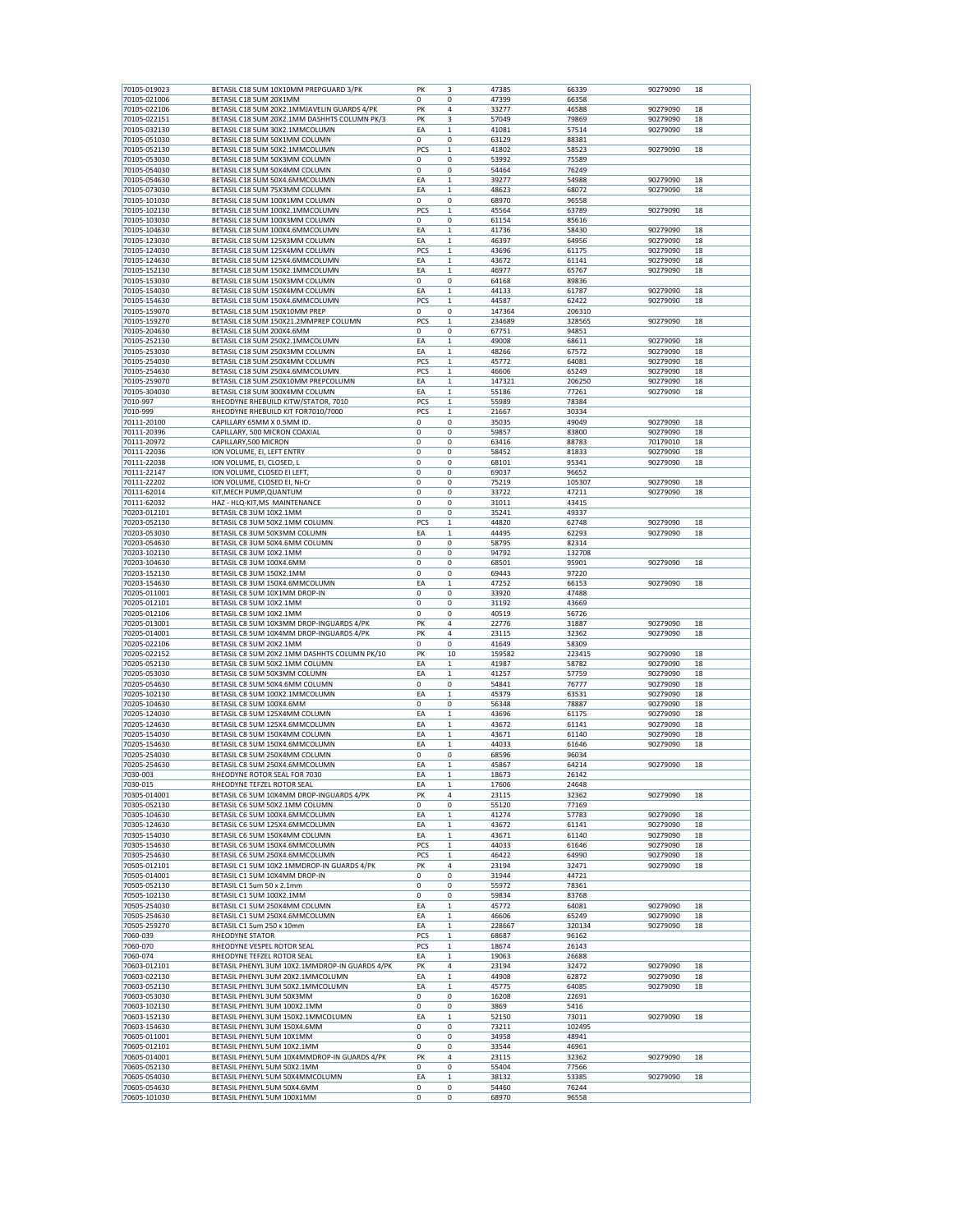|                              | BETASIL C18 5UM 10X10MM PREPGUARD 3/PK                         | PK          | 3            | 47385          | 66339          | 90279090 | 18 |
|------------------------------|----------------------------------------------------------------|-------------|--------------|----------------|----------------|----------|----|
| 70105-021006                 | BETASIL C18 5UM 20X1MM                                         | 0           | 0            | 47399          | 66358          |          |    |
| 70105-022106                 | BETASIL C18 5UM 20X2.1MMJAVELIN GUARDS 4/PK                    | PK          | 4            | 33277          | 46588          | 90279090 | 18 |
| 70105-022151                 | BETASIL C18 5UM 20X2.1MM DASHHTS COLUMN PK/3                   | PK          | 3            | 57049          | 79869          | 90279090 | 18 |
| 70105-032130                 | BETASIL C18 5UM 30X2.1MMCOLUMN                                 | ΕA          | 1            | 41081          | 57514          | 90279090 | 18 |
| 70105-051030                 | BETASIL C18 5UM 50X1MM COLUMN                                  | 0           | 0            | 63129          | 88381          |          |    |
| 70105-052130                 | BETASIL C18 5UM 50X2.1MMCOLUMN                                 | PCS         | $\mathbf 1$  | 41802          | 58523          | 90279090 | 18 |
| 70105-053030                 | BETASIL C18 5UM 50X3MM COLUMN                                  | 0           | 0            | 53992          | 75589          |          |    |
| 70105-054030                 | BETASIL C18 5UM 50X4MM COLUMN                                  | 0           | 0            | 54464          | 76249          |          |    |
| 70105-054630                 | BETASIL C18 5UM 50X4.6MMCOLUMN                                 | EA          | $\mathbf 1$  | 39277          | 54988          | 90279090 | 18 |
| 70105-073030                 | BETASIL C18 5UM 75X3MM COLUMN                                  | ΕA          | 1            | 48623          | 68072          | 90279090 | 18 |
| 70105-101030                 | BETASIL C18 5UM 100X1MM COLUMN                                 | 0           | 0            | 68970          | 96558          |          |    |
| 70105-102130                 | BETASIL C18 5UM 100X2.1MMCOLUMN                                | PCS         | $\mathbf 1$  | 45564          | 63789          | 90279090 | 18 |
| 70105-103030                 | BETASIL C18 5UM 100X3MM COLUMN                                 | 0           | 0            | 61154          | 85616          |          |    |
| 70105-104630                 | BETASIL C18 5UM 100X4.6MMCOLUMN                                | ΕA          | $\mathbf 1$  | 41736          | 58430          | 90279090 | 18 |
| 70105-123030                 | BETASIL C18 5UM 125X3MM COLUMN                                 | EA          | $\mathbf 1$  | 46397          | 64956          | 90279090 | 18 |
| 70105-124030                 | BETASIL C18 5UM 125X4MM COLUMN                                 | PCS         | 1            | 43696          | 61175          | 90279090 | 18 |
| 70105-124630                 | BETASIL C18 5UM 125X4.6MMCOLUMN                                | EA          | 1            | 43672          | 61141          | 90279090 | 18 |
| 70105-152130                 | BETASIL C18 5UM 150X2.1MMCOLUMN                                | EA          | $\mathbf 1$  | 46977          | 65767          | 90279090 | 18 |
| 70105-153030                 | BETASIL C18 5UM 150X3MM COLUMN                                 | 0           | 0            | 64168          | 89836          |          |    |
| 70105-154030                 | BETASIL C18 5UM 150X4MM COLUMN                                 | ΕA          | $\mathbf 1$  | 44133          | 61787          | 90279090 | 18 |
| 70105-154630                 | BETASIL C18 5UM 150X4.6MMCOLUMN                                | PCS         | $\mathbf 1$  | 44587          | 62422          | 90279090 | 18 |
| 70105-159070                 | BETASIL C18 5UM 150X10MM PREP                                  | 0           | 0            | 147364         | 206310         |          |    |
| 70105-159270                 | BETASIL C18 5UM 150X21.2MMPREP COLUMN                          | PCS         | $\mathbf 1$  | 234689         | 328565         | 90279090 | 18 |
| 70105-204630                 | BETASIL C18 5UM 200X4.6MM                                      | 0           | 0            | 67751          | 94851          |          |    |
| 70105-252130                 | BETASIL C18 5UM 250X2.1MMCOLUMN                                | EA          | $\mathbf 1$  | 49008          | 68611          | 90279090 | 18 |
| 70105-253030                 | BETASIL C18 5UM 250X3MM COLUMN                                 | ΕA          | 1            | 48266          | 67572          | 90279090 | 18 |
| 70105-254030                 | BETASIL C18 5UM 250X4MM COLUMN                                 | PCS         | $\mathbf 1$  | 45772          | 64081          | 90279090 | 18 |
| 70105-254630                 | BETASIL C18 5UM 250X4.6MMCOLUMN                                | PCS         | 1            | 46606          | 65249          | 90279090 | 18 |
| 70105-259070                 | BETASIL C18 5UM 250X10MM PREPCOLUMN                            | ΕA          | 1            | 147321         | 206250         | 90279090 | 18 |
| 70105-304030                 | BETASIL C18 5UM 300X4MM COLUMN                                 | EA          | 1            | 55186          | 77261          | 90279090 | 18 |
| 7010-997                     | RHEODYNE RHEBUILD KITW/STATOR, 7010                            | PCS         | $\mathbf 1$  | 55989          | 78384          |          |    |
| 7010-999                     | RHEODYNE RHEBUILD KIT FOR7010/7000                             | PCS         | $\mathbf 1$  | 21667          | 30334          |          |    |
| 70111-20100                  | CAPILLARY 65MM X 0.5MM ID.                                     | 0           | 0            | 35035          | 49049          | 90279090 | 18 |
| 70111-20396                  | CAPILLARY, 500 MICRON COAXIAL                                  | $\mathbf 0$ | 0            | 59857          | 83800          | 90279090 | 18 |
| 70111-20972                  | CAPILLARY, 500 MICRON                                          | 0           | 0            | 63416          | 88783          | 70179010 | 18 |
| 70111-22036                  | ION VOLUME, EI, LEFT ENTRY                                     | 0           | 0            | 58452          |                |          | 18 |
|                              |                                                                | 0           | 0            |                | 81833<br>95341 | 90279090 | 18 |
| 70111-22038                  | ION VOLUME, EI, CLOSED, L                                      |             |              | 68101          |                | 90279090 |    |
| 70111-22147                  | ION VOLUME, CLOSED EI LEFT,                                    | 0           | 0            | 69037          | 96652          |          |    |
| 70111-22202                  | ION VOLUME, CLOSED EI, Ni-Cr                                   | 0           | 0            | 75219          | 105307         | 90279090 | 18 |
| 70111-62014                  | KIT, MECH PUMP, QUANTUM                                        | 0           | 0            | 33722          | 47211          | 90279090 | 18 |
| 70111-62032                  | HAZ - HLQ-KIT, MS MAINTENANCE                                  | 0           | 0            | 31011          | 43415          |          |    |
| 70203-012101                 | BETASIL C8 3UM 10X2.1MM                                        | 0           | 0            | 35241          | 49337          |          |    |
| 70203-052130                 | BETASIL C8 3UM 50X2.1MM COLUMN                                 | PCS         | $\mathbf 1$  | 44820          | 62748          | 90279090 | 18 |
| 70203-053030                 | BETASIL C8 3UM 50X3MM COLUMN                                   | EA          | $\mathbf 1$  | 44495          | 62293          | 90279090 | 18 |
| 70203-054630                 | BETASIL C8 3UM 50X4.6MM COLUMN                                 | 0           | 0            | 58795          | 82314          |          |    |
| 70203-102130                 | BETASIL C8 3UM 10X2.1MM                                        | 0           | 0            | 94792          | 132708         |          |    |
| 70203-104630                 | BETASIL C8 3UM 100X4.6MM                                       | 0           | 0            | 68501          | 95901          | 90279090 | 18 |
| 70203-152130                 | BETASIL C8 3UM 150X2.1MM                                       | 0           | 0            | 69443          | 97220          |          |    |
| 70203-154630                 | BETASIL C8 3UM 150X4.6MMCOLUMN                                 | EA          | $\mathbf{1}$ | 47252          | 66153          | 90279090 | 18 |
| 70205-011001                 | BETASIL C8 5UM 10X1MM DROP-IN                                  | 0           | 0            | 33920          | 47488          |          |    |
| 70205-012101                 | BETASIL C8 5UM 10X2.1MM                                        | 0           | 0            | 31192          | 43669          |          |    |
| 70205-012106                 | BETASIL C8 5UM 10X2.1MM                                        | 0           | 0            | 40519          | 56726          |          |    |
| 70205-013001                 | BETASIL C8 5UM 10X3MM DROP-INGUARDS 4/PK                       | PK          | 4            | 22776          | 31887          | 90279090 | 18 |
| 70205-014001                 | BETASIL C8 5UM 10X4MM DROP-INGUARDS 4/PK                       | PK          | 4            | 23115          | 32362          | 90279090 | 18 |
| 70205-022106                 | BETASIL C8 5UM 20X2.1MM                                        | 0           | 0            | 41649          | 58309          |          |    |
| 70205-022152                 | BETASIL C8 5UM 20X2.1MM DASHHTS COLUMN PK/10                   | PK          | 10           | 159582         | 223415         | 90279090 | 18 |
| 70205-052130                 | BETASIL C8 5UM 50X2.1MM COLUMN                                 | ΕA          | 1            | 41987          | 58782          | 90279090 | 18 |
| 70205-053030                 | BETASIL C8 5UM 50X3MM COLUMN                                   | ΕA          | 1            | 41257          | 57759          | 90279090 | 18 |
| 70205-054630                 | BETASIL C8 5UM 50X4.6MM COLUMN                                 | $\mathbf 0$ | 0            | 54841          | 76777          | 90279090 | 18 |
| 70205-102130                 | BETASIL C8 5UM 100X2.1MMCOLUMN                                 | ΕA          | 1            | 45379          | 63531          | 90279090 | 18 |
| 70205-104630                 | BETASIL C8 5UM 100X4.6MM                                       | 0           | 0            | 56348          | 78887          | 90279090 | 18 |
| 70205-124030                 | BETASIL C8 5UM 125X4MM COLUMN                                  | EA          | $\mathbf 1$  | 43696          | 61175          | 90279090 | 18 |
| 70205-124630                 | BETASIL C8 5UM 125X4.6MMCOLUMN                                 | EA          | $\mathbf 1$  | 43672          | 61141          |          | 18 |
| 70205-154030                 | BETASIL C8 5UM 150X4MM COLUMN                                  | ΕA          | 1            |                |                |          |    |
| 70205-154630                 | BETASIL C8 5UM 150X4.6MMCOLUMN                                 |             |              |                |                | 90279090 |    |
|                              |                                                                |             |              | 43671          | 61140          | 90279090 | 18 |
| 70205-254030                 |                                                                | EA          | $\mathbf 1$  | 44033          | 61646          | 90279090 | 18 |
|                              | BETASIL C8 5UM 250X4MM COLUMN                                  | 0           | 0            | 68596          | 96034          |          |    |
| 70205-254630                 | BETASIL C8 5UM 250X4.6MMCOLUMN                                 | EA          | 1            | 45867          | 64214          | 90279090 | 18 |
| 7030-003                     | RHEODYNE ROTOR SEAL FOR 7030                                   | EA          | $\mathbf 1$  | 18673          | 26142          |          |    |
| 7030-015                     | RHEODYNE TEFZEL ROTOR SEAL                                     | ΕA          | $\mathbf 1$  | 17606          | 24648          |          |    |
| 70305-014001                 | BETASIL C6 5UM 10X4MM DROP-INGUARDS 4/PK                       | PΚ          | 4            | 23115          | 32362          | 90279090 | 18 |
| 70305-052130                 | BETASIL C6 5UM 50X2.1MM COLUMN                                 | 0           | 0            | 55120          | 77169          |          |    |
| 70305-104630                 | BETASIL C6 5UM 100X4.6MMCOLUMN                                 | EA          | 1            | 41274          | 57783          | 90279090 | 18 |
| 70305-124630                 | BETASIL C6 5UM 125X4.6MMCOLUMN                                 | ΕA          | 1            | 43672          | 61141          | 90279090 | 18 |
| 70305-154030                 | BETASIL C6 5UM 150X4MM COLUMN                                  | EA          | 1            | 43671          | 61140          | 90279090 | 18 |
| 70305-154630                 | BETASIL C6 5UM 150X4.6MMCOLUMN                                 | PCS         | $\mathbf 1$  | 44033          | 61646          | 90279090 | 18 |
| 70305-254630                 | BETASIL C6 5UM 250X4.6MMCOLUMN                                 | PCS         | 1            | 46422          | 64990          | 90279090 | 18 |
| 70505-012101                 | BETASIL C1 5UM 10X2.1MMDROP-IN GUARDS 4/PK                     | PK          | 4            | 23194          | 32471          | 90279090 | 18 |
| 70505-014001                 | BETASIL C1 5UM 10X4MM DROP-IN                                  | 0           | 0            | 31944          | 44721          |          |    |
| 70505-052130                 | BETASIL C1 5um 50 x 2.1mm                                      | 0           | 0            | 55972          | 78361          |          |    |
| 70505-102130                 | BETASIL C1 5UM 100X2.1MM                                       | 0           | 0            | 59834          | 83768          |          |    |
| 70505-254030                 | BETASIL C1 5UM 250X4MM COLUMN                                  | EA          | $\mathbf 1$  | 45772          | 64081          | 90279090 | 18 |
| 70505-254630                 | BETASIL C1 5UM 250X4.6MMCOLUMN                                 | EA          | $\mathbf 1$  | 46606          | 65249          | 90279090 | 18 |
| 70505-259270                 | BETASIL C1 5um 250 x 10mm                                      | EA          | $\mathbf 1$  | 228667         | 320134         | 90279090 | 18 |
| 7060-039                     | RHEODYNE STATOR                                                | PCS         | $\mathbf 1$  | 68687          | 96162          |          |    |
| 7060-070                     | RHEODYNE VESPEL ROTOR SEAL                                     | PCS         | $\mathbf 1$  | 18674          | 26143          |          |    |
| 7060-074                     | RHEODYNE TEFZEL ROTOR SEAL                                     | EA          | 1            | 19063          | 26688          |          |    |
| 70603-012101                 | BETASIL PHENYL 3UM 10X2.1MMDROP-IN GUARDS 4/PK                 | PK          | 4            | 23194          | 32472          | 90279090 | 18 |
| 70603-022130                 | BETASIL PHENYL 3UM 20X2.1MMCOLUMN                              | EA          | $\mathbf 1$  | 44908          | 62872          | 90279090 | 18 |
| 70603-052130                 | BETASIL PHENYL 3UM 50X2.1MMCOLUMN                              | EA          | $\mathbf 1$  | 45775          | 64085          | 90279090 | 18 |
| 70603-053030                 | BETASIL PHENYL 3UM 50X3MM                                      | 0           | 0            | 16208          | 22691          |          |    |
| 70603-102130                 | BETASIL PHENYL 3UM 100X2.1MM                                   | 0           | 0            | 3869           | 5416           |          |    |
| 70603-152130                 | BETASIL PHENYL 3UM 150X2.1MMCOLUMN                             | ΕA          | 1            | 52150          | 73011          | 90279090 | 18 |
| 70603-154630                 | BETASIL PHENYL 3UM 150X4.6MM                                   | 0           | 0            | 73211          | 102495         |          |    |
| 70605-011001                 | BETASIL PHENYL 5UM 10X1MM                                      | 0           | 0            | 34958          | 48941          |          |    |
| 70605-012101                 | BETASIL PHENYL 5UM 10X2.1MM                                    | 0           | 0            | 33544          | 46961          |          |    |
| 70605-014001                 | BETASIL PHENYL 5UM 10X4MMDROP-IN GUARDS 4/PK                   |             | 4            | 23115          | 32362          |          | 18 |
|                              |                                                                | PK          |              |                |                | 90279090 |    |
| 70605-052130                 | BETASIL PHENYL 5UM 50X2.1MM                                    | 0           | 0            | 55404          | 77566          |          |    |
| 70605-054030<br>70605-054630 | BETASIL PHENYL 5UM 50X4MMCOLUMN<br>BETASIL PHENYL 5UM 50X4.6MM | ΕA<br>0     | 1<br>0       | 38132<br>54460 | 53385<br>76244 | 90279090 | 18 |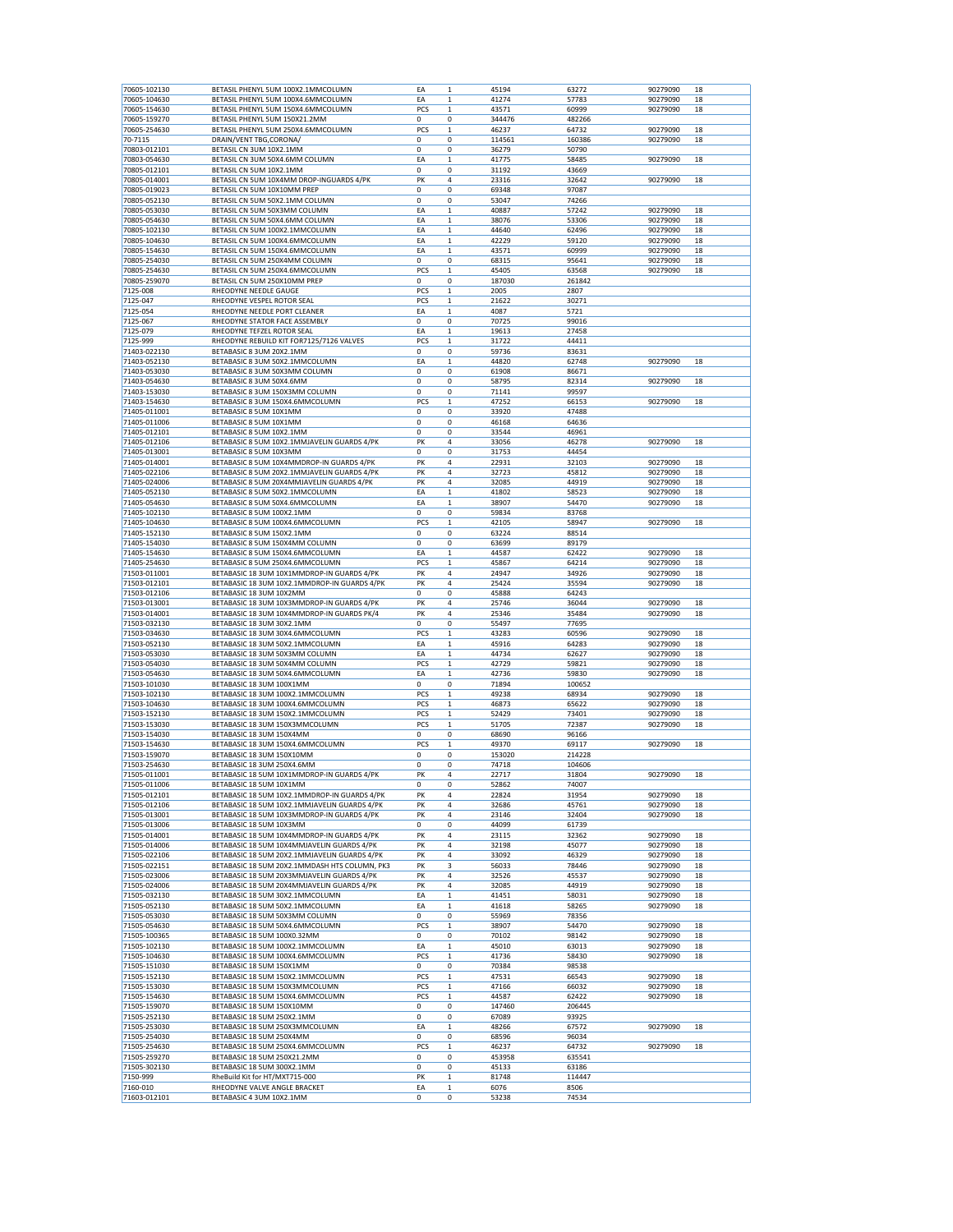|                              | BETASIL PHENYL 5UM 100X2.1MMCOLUMN                                   | EA          | $\mathbf 1$      | 45194          | 63272         | 90279090 | 18       |
|------------------------------|----------------------------------------------------------------------|-------------|------------------|----------------|---------------|----------|----------|
| 70605-104630                 | BETASIL PHENYL 5UM 100X4.6MMCOLUMN                                   | EA          | 1                | 41274          | 57783         | 90279090 | 18       |
| 70605-154630                 | BETASIL PHENYL 5UM 150X4.6MMCOLUMN                                   | PCS         | 1                | 43571          | 60999         | 90279090 | 18       |
|                              |                                                                      |             |                  |                |               |          |          |
| 70605-159270                 | BETASIL PHENYL 5UM 150X21.2MM                                        | $\mathbf 0$ | 0                | 344476         | 482266        |          |          |
| 70605-254630                 | BETASIL PHENYL 5UM 250X4.6MMCOLUMN                                   | PCS         | $\mathbf{1}$     | 46237          | 64732         | 90279090 | 18       |
| 70-7115                      | DRAIN/VENT TBG,CORONA/                                               | 0           | $\mathbf 0$      | 114561         | 160386        | 90279090 | 18       |
| 70803-012101                 | BETASIL CN 3UM 10X2.1MM                                              | $\mathbf 0$ | 0                | 36279          | 50790         |          |          |
| 70803-054630                 | BETASIL CN 3UM 50X4.6MM COLUMN                                       | EA          | $\mathbf{1}$     | 41775          | 58485         | 90279090 | 18       |
| 70805-012101                 | BETASIL CN 5UM 10X2.1MM                                              | 0           | 0                | 31192          | 43669         |          |          |
| 70805-014001                 | BETASIL CN 5UM 10X4MM DROP-INGUARDS 4/PK                             | PK          | 4                | 23316          | 32642         | 90279090 | 18       |
| 70805-019023                 | BETASIL CN 5UM 10X10MM PREP                                          | 0           | 0                | 69348          | 97087         |          |          |
|                              |                                                                      |             |                  |                |               |          |          |
| 70805-052130                 | BETASIL CN 5UM 50X2.1MM COLUMN                                       | 0           | 0                | 53047          | 74266         |          |          |
| 70805-053030                 | BETASIL CN 5UM 50X3MM COLUMN                                         | EA          | 1                | 40887          | 57242         | 90279090 | 18       |
| 70805-054630                 | BETASIL CN 5UM 50X4.6MM COLUMN                                       | EA          | $\mathbf 1$      | 38076          | 53306         | 90279090 | 18       |
| 70805-102130                 | BETASIL CN 5UM 100X2.1MMCOLUMN                                       | EA          | $\mathbf 1$      | 44640          | 62496         | 90279090 | 18       |
| 70805-104630                 | BETASIL CN 5UM 100X4.6MMCOLUMN                                       | EA          | 1                | 42229          | 59120         | 90279090 | 18       |
| 70805-154630                 | BETASIL CN 5UM 150X4.6MMCOLUMN                                       | EA          | $\mathbf 1$      | 43571          | 60999         | 90279090 | 18       |
| 70805-254030                 | BETASIL CN 5UM 250X4MM COLUMN                                        | 0           | 0                | 68315          | 95641         | 90279090 | 18       |
|                              |                                                                      |             |                  |                |               |          |          |
| 70805-254630                 | BETASIL CN 5UM 250X4.6MMCOLUMN                                       | PCS         | 1                | 45405          | 63568         | 90279090 | 18       |
| 70805-259070                 | BETASIL CN 5UM 250X10MM PREP                                         | 0           | 0                | 187030         | 261842        |          |          |
| 7125-008                     | RHEODYNE NEEDLE GAUGE                                                | PCS         | $\mathbf 1$      | 2005           | 2807          |          |          |
| 7125-047                     | RHEODYNE VESPEL ROTOR SEAL                                           | PCS         | $\mathbf 1$      | 21622          | 30271         |          |          |
| 7125-054                     | RHEODYNE NEEDLE PORT CLEANER                                         | EA          | $\mathbf 1$      | 4087           | 5721          |          |          |
| 7125-067                     | RHEODYNE STATOR FACE ASSEMBLY                                        | 0           | 0                | 70725          | 99016         |          |          |
| 7125-079                     | RHEODYNE TEFZEL ROTOR SEAL                                           | EA          | $\mathbf 1$      | 19613          | 27458         |          |          |
|                              |                                                                      |             |                  |                |               |          |          |
| 7125-999                     | RHEODYNE REBUILD KIT FOR7125/7126 VALVES                             | PCS         | $\mathbf 1$      | 31722          | 44411         |          |          |
| 71403-022130                 | BETABASIC 8 3UM 20X2.1MM                                             | 0           | 0                | 59736          | 83631         |          |          |
| 71403-052130                 | BETABASIC 8 3UM 50X2.1MMCOLUMN                                       | EA          | $\mathbf 1$      | 44820          | 62748         | 90279090 | 18       |
| 71403-053030                 | BETABASIC 8 3UM 50X3MM COLUMN                                        | 0           | 0                | 61908          | 86671         |          |          |
| 71403-054630                 | BETABASIC 8 3UM 50X4.6MM                                             | $\mathbf 0$ | 0                | 58795          | 82314         | 90279090 | 18       |
| 71403-153030                 | BETABASIC 8 3UM 150X3MM COLUMN                                       | $\mathbf 0$ | $\mathbf 0$      | 71141          | 99597         |          |          |
| 71403-154630                 | BETABASIC 8 3UM 150X4.6MMCOLUMN                                      | PCS         | $\mathbf{1}$     | 47252          | 66153         | 90279090 | 18       |
|                              |                                                                      |             |                  |                |               |          |          |
| 71405-011001                 | BETABASIC 8 5UM 10X1MM                                               | 0           | 0                | 33920          | 47488         |          |          |
| 71405-011006                 | BETABASIC 8 5UM 10X1MM                                               | 0           | 0                | 46168          | 64636         |          |          |
| 71405-012101                 | BETABASIC 8 5UM 10X2.1MM                                             | $\mathbf 0$ | 0                | 33544          | 46961         |          |          |
| 71405-012106                 | BETABASIC 8 5UM 10X2.1MMJAVELIN GUARDS 4/PK                          | PK          | 4                | 33056          | 46278         | 90279090 | 18       |
| 71405-013001                 | BETABASIC 8 5UM 10X3MM                                               | 0           | 0                | 31753          | 44454         |          |          |
|                              | BETABASIC 8 5UM 10X4MMDROP-IN GUARDS 4/PK                            | PK          | 4                |                |               |          | 18       |
| 71405-014001                 |                                                                      |             |                  | 22931          | 32103         | 90279090 |          |
| 71405-022106                 | BETABASIC 8 5UM 20X2.1MMJAVELIN GUARDS 4/PK                          | PK          | 4                | 32723          | 45812         | 90279090 | 18       |
| 71405-024006                 | BETABASIC 8 5UM 20X4MMJAVELIN GUARDS 4/PK                            | PK          | 4                | 32085          | 44919         | 90279090 | 18       |
| 71405-052130                 | BETABASIC 8 5UM 50X2.1MMCOLUMN                                       | EA          | 1                | 41802          | 58523         | 90279090 | 18       |
| 71405-054630                 | BETABASIC 8 5UM 50X4.6MMCOLUMN                                       | EA          | $\mathbf 1$      | 38907          | 54470         | 90279090 | 18       |
| 71405-102130                 | BETABASIC 8 5UM 100X2.1MM                                            | 0           | 0                | 59834          | 83768         |          |          |
| 71405-104630                 | BETABASIC 8 5UM 100X4.6MMCOLUMN                                      | PCS         |                  |                |               |          |          |
|                              |                                                                      |             | 1                | 42105          | 58947         | 90279090 | 18       |
| 71405-152130                 | BETABASIC 8 5UM 150X2.1MM                                            | 0           | 0                | 63224          | 88514         |          |          |
| 71405-154030                 | BETABASIC 8 5UM 150X4MM COLUMN                                       | 0           | 0                | 63699          | 89179         |          |          |
| 71405-154630                 | BETABASIC 8 5UM 150X4.6MMCOLUMN                                      | EA          | 1                | 44587          | 62422         | 90279090 | 18       |
| 71405-254630                 | BETABASIC 8 5UM 250X4.6MMCOLUMN                                      | PCS         | $\mathbf 1$      | 45867          | 64214         | 90279090 | 18       |
| 71503-011001                 | BETABASIC 18 3UM 10X1MMDROP-IN GUARDS 4/PK                           | PK          | 4                | 24947          | 34926         | 90279090 | 18       |
|                              |                                                                      |             | 4                |                |               |          |          |
| 71503-012101                 | BETABASIC 18 3UM 10X2.1MMDROP-IN GUARDS 4/PK                         | PK          |                  | 25424          | 35594         | 90279090 | 18       |
| 71503-012106                 | BETABASIC 18 3UM 10X2MM                                              | 0           | 0                | 45888          | 64243         |          |          |
|                              |                                                                      |             |                  |                |               |          |          |
| 71503-013001                 | BETABASIC 18 3UM 10X3MMDROP-IN GUARDS 4/PK                           | PK          | 4                | 25746          | 36044         | 90279090 | 18       |
| 71503-014001                 | BETABASIC 18 3UM 10X4MMDROP-IN GUARDS PK/4                           | PK          | 4                | 25346          | 35484         | 90279090 | 18       |
| 71503-032130                 | BETABASIC 18 3UM 30X2.1MM                                            | 0           | 0                | 55497          | 77695         |          |          |
|                              |                                                                      |             |                  |                |               |          |          |
| 71503-034630                 | BETABASIC 18 3UM 30X4.6MMCOLUMN                                      | PCS         | 1                | 43283          | 60596         | 90279090 | 18       |
| 71503-052130                 | BETABASIC 18 3UM 50X2.1MMCOLUMN                                      | EA          | 1                | 45916          | 64283         | 90279090 | 18       |
| 71503-053030                 | BETABASIC 18 3UM 50X3MM COLUMN                                       | EA          | $\mathbf{1}$     | 44734          | 62627         | 90279090 | 18       |
| 71503-054030                 | BETABASIC 18 3UM 50X4MM COLUMN                                       | PCS         | $\mathbf{1}$     | 42729          | 59821         | 90279090 | 18       |
| 71503-054630                 | BETABASIC 18 3UM 50X4.6MMCOLUMN                                      | EA          | 1                | 42736          | 59830         | 90279090 | 18       |
| 71503-101030                 | BETABASIC 18 3UM 100X1MM                                             | 0           | 0                | 71894          | 100652        |          |          |
|                              |                                                                      |             | 1                |                | 68934         | 90279090 |          |
| 71503-102130<br>71503-104630 | BETABASIC 18 3UM 100X2.1MMCOLUMN<br>BETABASIC 18 3UM 100X4.6MMCOLUMN | PCS<br>PCS  | 1                | 49238<br>46873 | 65622         | 90279090 | 18<br>18 |
|                              |                                                                      |             |                  |                |               |          |          |
| 71503-152130                 | BETABASIC 18 3UM 150X2.1MMCOLUMN                                     | PCS         | $\mathbf 1$      | 52429          | 73401         | 90279090 | 18       |
| 71503-153030                 | BETABASIC 18 3UM 150X3MMCOLUMN                                       | PCS         | $\mathbf 1$      | 51705          | 72387         | 90279090 | 18       |
| 71503-154030                 | BETABASIC 18 3UM 150X4MM                                             | 0           | 0                | 68690          | 96166         |          |          |
| 71503-154630                 | BETABASIC 18 3UM 150X4.6MMCOLUMN                                     | PCS         | 1                | 49370          | 69117         | 90279090 | 18       |
| 71503-159070                 | BETABASIC 18 3UM 150X10MM                                            | 0           | 0                | 153020         | 214228        |          |          |
| 71503-254630                 | BETABASIC 18 3UM 250X4.6MM                                           | 0           | 0                | 74718          | 104606        |          |          |
| 71505-011001                 | BETABASIC 18 5UM 10X1MMDROP-IN GUARDS 4/PK                           | PK          | 4                | 22717          | 31804         | 90279090 | 18       |
|                              | BETABASIC 18 5UM 10X1MM                                              | 0           | 0                |                | 74007         |          |          |
| 71505-011006                 |                                                                      |             |                  | 52862          |               |          |          |
| 71505-012101                 | BETABASIC 18 5UM 10X2.1MMDROP-IN GUARDS 4/PK                         | PK          | 4                | 22824          | 31954         | 90279090 | 18       |
| 71505-012106                 | BETABASIC 18 5UM 10X2.1MMJAVELIN GUARDS 4/PK                         | PK          | 4                | 32686          | 45761         | 90279090 | 18       |
| 71505-013001                 | BETABASIC 18 5UM 10X3MMDROP-IN GUARDS 4/PK                           | PK          | 4                | 23146          | 32404         | 90279090 | 18       |
| 71505-013006                 | BETABASIC 18 5UM 10X3MM                                              | 0           | 0                | 44099          | 61739         |          |          |
| 71505-014001                 | BETABASIC 18 5UM 10X4MMDROP-IN GUARDS 4/PK                           | PK          | 4                | 23115          | 32362         | 90279090 | 18       |
| 71505-014006                 | BETABASIC 18 5UM 10X4MMJAVELIN GUARDS 4/PK                           | PK          | 4                | 32198          | 45077         | 90279090 | 18       |
|                              |                                                                      |             |                  |                |               |          |          |
| 71505-022106                 | BETABASIC 18 5UM 20X2.1MMJAVELIN GUARDS 4/PK                         | PK          | 4                | 33092          | 46329         | 90279090 | 18       |
| 71505-022151                 | BETABASIC 18 5UM 20X2.1MMDASH HTS COLUMN, PK3                        | PK          | 3                | 56033          | 78446         | 90279090 | 18       |
| 71505-023006                 | BETABASIC 18 5UM 20X3MMJAVELIN GUARDS 4/PK                           | PK          | 4                | 32526          | 45537         | 90279090 | 18       |
| 71505-024006                 | BETABASIC 18 5UM 20X4MMJAVELIN GUARDS 4/PK                           | PK          | 4                | 32085          | 44919         | 90279090 | 18       |
| 71505-032130                 | BETABASIC 18 5UM 30X2.1MMCOLUMN                                      | EA          | 1                | 41451          | 58031         | 90279090 | 18       |
| 71505-052130                 | BETABASIC 18 5UM 50X2.1MMCOLUMN                                      | EA          | 1                | 41618          | 58265         | 90279090 | 18       |
| 71505-053030                 | BETABASIC 18 5UM 50X3MM COLUMN                                       | 0           | 0                | 55969          | 78356         |          |          |
| 71505-054630                 |                                                                      |             | 1                |                |               |          |          |
|                              | BETABASIC 18 5UM 50X4.6MMCOLUMN                                      | PCS         |                  | 38907          | 54470         | 90279090 | 18       |
| 71505-100365                 | BETABASIC 18 5UM 100X0.32MM                                          | 0           | 0                | 70102          | 98142         | 90279090 | 18       |
| 71505-102130                 | BETABASIC 18 5UM 100X2.1MMCOLUMN                                     | EA          | $\mathbf{1}$     | 45010          | 63013         | 90279090 | 18       |
| 71505-104630                 | BETABASIC 18 5UM 100X4.6MMCOLUMN                                     | PCS         | 1                | 41736          | 58430         | 90279090 | 18       |
| 71505-151030                 | BETABASIC 18 5UM 150X1MM                                             | 0           | 0                | 70384          | 98538         |          |          |
| 71505-152130                 | BETABASIC 18 5UM 150X2.1MMCOLUMN                                     | PCS         | $\mathbf 1$      | 47531          | 66543         | 90279090 | 18       |
|                              |                                                                      |             |                  |                |               |          |          |
| 71505-153030                 | BETABASIC 18 5UM 150X3MMCOLUMN                                       | PCS         | 1                | 47166          | 66032         | 90279090 | 18       |
| 71505-154630                 | BETABASIC 18 5UM 150X4.6MMCOLUMN                                     | PCS         | 1                | 44587          | 62422         | 90279090 | 18       |
| 71505-159070                 | BETABASIC 18 5UM 150X10MM                                            | 0           | 0                | 147460         | 206445        |          |          |
| 71505-252130                 | BETABASIC 18 5UM 250X2.1MM                                           | 0           | 0                | 67089          | 93925         |          |          |
| 71505-253030                 | BETABASIC 18 5UM 250X3MMCOLUMN                                       | EA          | 1                | 48266          | 67572         | 90279090 | 18       |
| 71505-254030                 | BETABASIC 18 5UM 250X4MM                                             | 0           | 0                | 68596          | 96034         |          |          |
| 71505-254630                 | BETABASIC 18 5UM 250X4.6MMCOLUMN                                     | PCS         | $\mathbf{1}$     | 46237          | 64732         | 90279090 | 18       |
|                              |                                                                      |             |                  |                |               |          |          |
| 71505-259270                 | BETABASIC 18 5UM 250X21.2MM                                          | 0           | 0                | 453958         | 635541        |          |          |
| 71505-302130                 | BETABASIC 18 5UM 300X2.1MM                                           | 0           | 0                | 45133          | 63186         |          |          |
| 7150-999                     | RheBuild Kit for HT/MXT715-000                                       | PK          | $\mathbf{1}$     | 81748          | 114447        |          |          |
| 7160-010<br>71603-012101     | RHEODYNE VALVE ANGLE BRACKET<br>BETABASIC 4 3UM 10X2.1MM             | EA<br>0     | $\mathbf 1$<br>0 | 6076<br>53238  | 8506<br>74534 |          |          |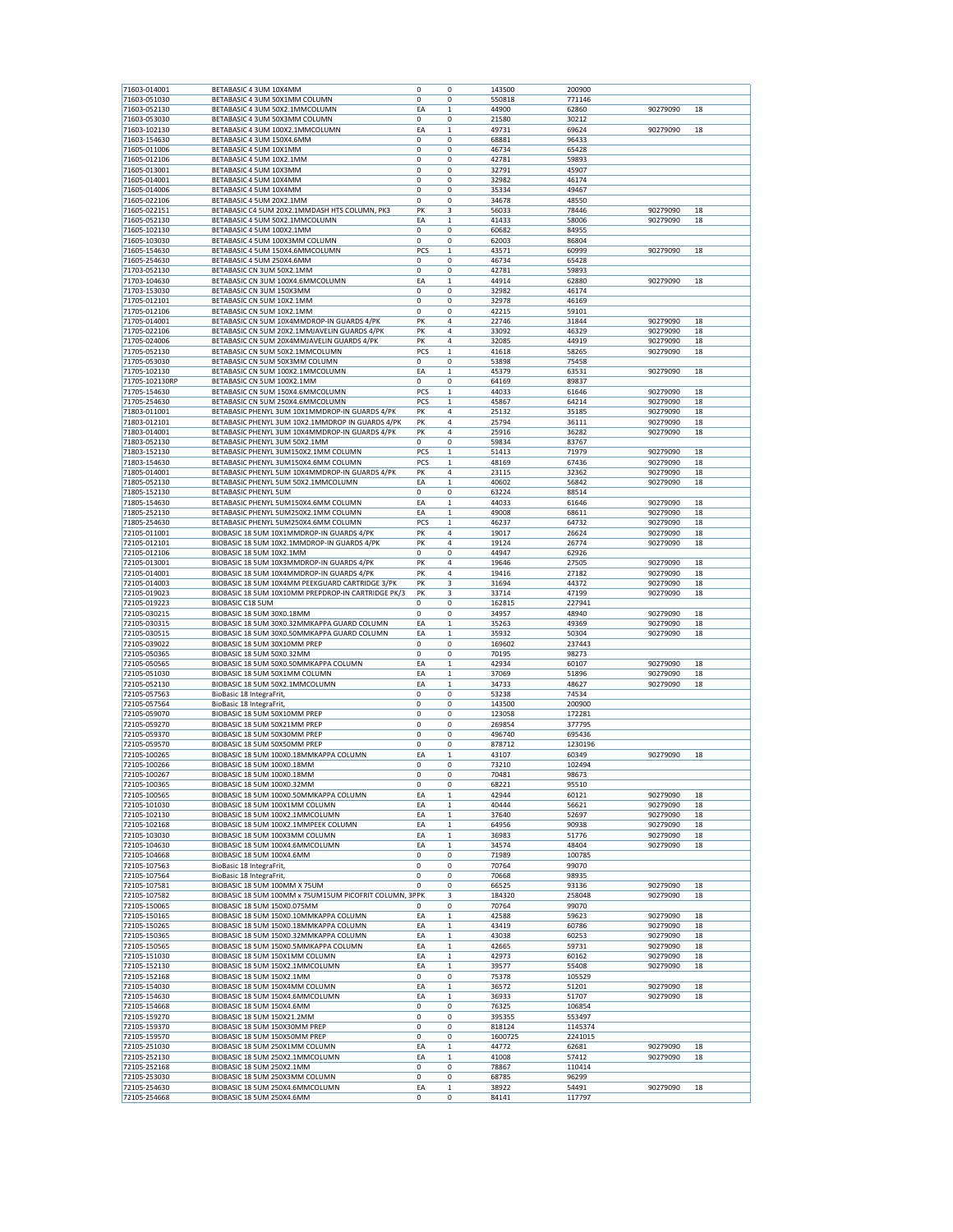| 71603-014001<br>71603-051030<br>71603-052130                                                                                                                                                                                                                                                                                                                                                                                                                 | BETABASIC 4 3UM 10X4MM                                  | 0           | 0            | 143500  | 200900  |                      |    |
|--------------------------------------------------------------------------------------------------------------------------------------------------------------------------------------------------------------------------------------------------------------------------------------------------------------------------------------------------------------------------------------------------------------------------------------------------------------|---------------------------------------------------------|-------------|--------------|---------|---------|----------------------|----|
|                                                                                                                                                                                                                                                                                                                                                                                                                                                              | BETABASIC 4 3UM 50X1MM COLUMN                           | 0           | 0            | 550818  | 771146  |                      |    |
|                                                                                                                                                                                                                                                                                                                                                                                                                                                              | BETABASIC 4 3UM 50X2.1MMCOLUMN                          | EA          | $\mathbf{1}$ | 44900   | 62860   | 90279090             | 18 |
| 71603-053030                                                                                                                                                                                                                                                                                                                                                                                                                                                 | BETABASIC 4 3UM 50X3MM COLUMN                           | 0           | 0            | 21580   | 30212   |                      |    |
|                                                                                                                                                                                                                                                                                                                                                                                                                                                              |                                                         |             |              |         |         |                      |    |
| 71603-102130                                                                                                                                                                                                                                                                                                                                                                                                                                                 | BETABASIC 4 3UM 100X2.1MMCOLUMN                         | EA          | $\mathbf{1}$ | 49731   | 69624   | 90279090             | 18 |
| 71603-154630                                                                                                                                                                                                                                                                                                                                                                                                                                                 | BETABASIC 4 3UM 150X4.6MM                               | 0           | 0            | 68881   | 96433   |                      |    |
| 71605-011006                                                                                                                                                                                                                                                                                                                                                                                                                                                 | BETABASIC 4 5UM 10X1MM                                  | 0           | 0            | 46734   | 65428   |                      |    |
| 71605-012106                                                                                                                                                                                                                                                                                                                                                                                                                                                 | BETABASIC 4 5UM 10X2.1MM                                | 0           | 0            | 42781   | 59893   |                      |    |
| 71605-013001                                                                                                                                                                                                                                                                                                                                                                                                                                                 | BETABASIC 4 5UM 10X3MM                                  | 0           | 0            | 32791   | 45907   |                      |    |
| 71605-014001                                                                                                                                                                                                                                                                                                                                                                                                                                                 | BETABASIC 4 5UM 10X4MM                                  | $\mathbf 0$ | 0            | 32982   | 46174   |                      |    |
| 71605-014006                                                                                                                                                                                                                                                                                                                                                                                                                                                 | BETABASIC 4 5UM 10X4MM                                  | 0           | 0            | 35334   | 49467   |                      |    |
| 71605-022106                                                                                                                                                                                                                                                                                                                                                                                                                                                 | BETABASIC 4 5UM 20X2.1MM                                | 0           | 0            | 34678   | 48550   |                      |    |
| 71605-022151                                                                                                                                                                                                                                                                                                                                                                                                                                                 | BETABASIC C4 5UM 20X2.1MMDASH HTS COLUMN, PK3           | PK          | 3            | 56033   | 78446   | 90279090             | 18 |
|                                                                                                                                                                                                                                                                                                                                                                                                                                                              |                                                         | EA          |              |         |         |                      |    |
| 71605-052130                                                                                                                                                                                                                                                                                                                                                                                                                                                 | BETABASIC 4 5UM 50X2.1MMCOLUMN                          |             | $\mathbf 1$  | 41433   | 58006   | 90279090             | 18 |
| 71605-102130                                                                                                                                                                                                                                                                                                                                                                                                                                                 | BETABASIC 4 5UM 100X2.1MM                               | 0           | 0            | 60682   | 84955   |                      |    |
| 71605-103030                                                                                                                                                                                                                                                                                                                                                                                                                                                 | BETABASIC 4 5UM 100X3MM COLUMN                          | 0           | 0            | 62003   | 86804   |                      |    |
| 71605-154630                                                                                                                                                                                                                                                                                                                                                                                                                                                 | BETABASIC 4 5UM 150X4.6MMCOLUMN                         | PCS         | $\mathbf 1$  | 43571   | 60999   | 90279090             | 18 |
| 71605-254630                                                                                                                                                                                                                                                                                                                                                                                                                                                 | BETABASIC 4 5UM 250X4.6MM                               | 0           | $\mathbf 0$  | 46734   | 65428   |                      |    |
| 71703-052130                                                                                                                                                                                                                                                                                                                                                                                                                                                 | BETABASIC CN 3UM 50X2.1MM                               | 0           | 0            | 42781   | 59893   |                      |    |
| 71703-104630                                                                                                                                                                                                                                                                                                                                                                                                                                                 | BETABASIC CN 3UM 100X4.6MMCOLUMN                        | EA          | $\mathbf 1$  | 44914   | 62880   | 90279090             | 18 |
| 71703-153030                                                                                                                                                                                                                                                                                                                                                                                                                                                 | BETABASIC CN 3UM 150X3MM                                | 0           | 0            | 32982   | 46174   |                      |    |
| 71705-012101                                                                                                                                                                                                                                                                                                                                                                                                                                                 | BETABASIC CN 5UM 10X2.1MM                               | 0           | 0            | 32978   | 46169   |                      |    |
| 71705-012106                                                                                                                                                                                                                                                                                                                                                                                                                                                 | BETABASIC CN 5UM 10X2.1MM                               | 0           | $\bf 0$      | 42215   | 59101   |                      |    |
|                                                                                                                                                                                                                                                                                                                                                                                                                                                              |                                                         |             |              |         |         |                      |    |
| 71705-014001                                                                                                                                                                                                                                                                                                                                                                                                                                                 | BETABASIC CN 5UM 10X4MMDROP-IN GUARDS 4/PK              | PK          | 4            | 22746   | 31844   | 90279090             | 18 |
| 71705-022106                                                                                                                                                                                                                                                                                                                                                                                                                                                 | BETABASIC CN 5UM 20X2.1MMJAVELIN GUARDS 4/PK            | PK          | 4            | 33092   | 46329   | 90279090             | 18 |
| 71705-024006                                                                                                                                                                                                                                                                                                                                                                                                                                                 | BETABASIC CN 5UM 20X4MMJAVELIN GUARDS 4/PK              | PK          | 4            | 32085   | 44919   | 90279090             | 18 |
| 71705-052130                                                                                                                                                                                                                                                                                                                                                                                                                                                 | BETABASIC CN 5UM 50X2.1MMCOLUMN                         | PCS         | $\mathbf 1$  | 41618   | 58265   | 90279090             | 18 |
| 71705-053030                                                                                                                                                                                                                                                                                                                                                                                                                                                 | BETABASIC CN 5UM 50X3MM COLUMN                          | 0           | 0            | 53898   | 75458   |                      |    |
| 71705-102130                                                                                                                                                                                                                                                                                                                                                                                                                                                 | BETABASIC CN 5UM 100X2.1MMCOLUMN                        | EA          | $\mathbf 1$  | 45379   | 63531   | 90279090             | 18 |
| 71705-102130RP                                                                                                                                                                                                                                                                                                                                                                                                                                               | BETABASIC CN 5UM 100X2.1MM                              | 0           | 0            | 64169   | 89837   |                      |    |
| 71705-154630                                                                                                                                                                                                                                                                                                                                                                                                                                                 | BETABASIC CN 5UM 150X4.6MMCOLUMN                        | <b>PCS</b>  | 1            | 44033   | 61646   | 90279090             | 18 |
| 71705-254630                                                                                                                                                                                                                                                                                                                                                                                                                                                 | BETABASIC CN 5UM 250X4.6MMCOLUMN                        | PCS         | $\mathbf{1}$ | 45867   | 64214   | 90279090             | 18 |
|                                                                                                                                                                                                                                                                                                                                                                                                                                                              |                                                         |             |              |         |         |                      |    |
| 71803-011001                                                                                                                                                                                                                                                                                                                                                                                                                                                 | BETABASIC PHENYL 3UM 10X1MMDROP-IN GUARDS 4/PK          | PK          | 4            | 25132   | 35185   | 90279090             | 18 |
| 71803-012101                                                                                                                                                                                                                                                                                                                                                                                                                                                 | BETABASIC PHENYL 3UM 10X2.1MMDROP IN GUARDS 4/PK        | PK          | 4            | 25794   | 36111   | 90279090             | 18 |
| 71803-014001                                                                                                                                                                                                                                                                                                                                                                                                                                                 | BETABASIC PHENYL 3UM 10X4MMDROP-IN GUARDS 4/PK          | PK          | 4            | 25916   | 36282   | 90279090             | 18 |
| 71803-052130                                                                                                                                                                                                                                                                                                                                                                                                                                                 | BETABASIC PHENYL 3UM 50X2.1MM                           | 0           | 0            | 59834   | 83767   |                      |    |
| 71803-152130                                                                                                                                                                                                                                                                                                                                                                                                                                                 | BETABASIC PHENYL 3UM150X2.1MM COLUMN                    | PCS         | 1            | 51413   | 71979   | 90279090             | 18 |
| 71803-154630                                                                                                                                                                                                                                                                                                                                                                                                                                                 | BETABASIC PHENYL 3UM150X4.6MM COLUMN                    | PCS         | $\mathbf 1$  | 48169   | 67436   | 90279090             | 18 |
| 71805-014001                                                                                                                                                                                                                                                                                                                                                                                                                                                 | BETABASIC PHENYL 5UM 10X4MMDROP-IN GUARDS 4/PK          | PK          | 4            | 23115   | 32362   | 90279090             | 18 |
| 71805-052130                                                                                                                                                                                                                                                                                                                                                                                                                                                 | BETABASIC PHENYL 5UM 50X2.1MMCOLUMN                     | EΑ          | $\mathbf 1$  | 40602   | 56842   | 90279090             | 18 |
| 71805-152130                                                                                                                                                                                                                                                                                                                                                                                                                                                 | <b>BETABASIC PHENYL 5UM</b>                             | 0           |              |         |         |                      |    |
|                                                                                                                                                                                                                                                                                                                                                                                                                                                              |                                                         |             | 0            | 63224   | 88514   |                      |    |
| 71805-154630                                                                                                                                                                                                                                                                                                                                                                                                                                                 | BETABASIC PHENYL 5UM150X4.6MM COLUMN                    | EA          | $\mathbf 1$  | 44033   | 61646   | 90279090             | 18 |
| 71805-252130                                                                                                                                                                                                                                                                                                                                                                                                                                                 | BETABASIC PHENYL 5UM250X2.1MM COLUMN                    | EA          | $\mathbf{1}$ | 49008   | 68611   | 90279090             | 18 |
| 71805-254630                                                                                                                                                                                                                                                                                                                                                                                                                                                 | BETABASIC PHENYL 5UM250X4.6MM COLUMN                    | PCS         | $\mathbf 1$  | 46237   | 64732   | 90279090             | 18 |
| 72105-011001                                                                                                                                                                                                                                                                                                                                                                                                                                                 | BIOBASIC 18 5UM 10X1MMDROP-IN GUARDS 4/PK               | PK          | 4            | 19017   | 26624   | 90279090             | 18 |
| 72105-012101                                                                                                                                                                                                                                                                                                                                                                                                                                                 | BIOBASIC 18 5UM 10X2.1MMDROP-IN GUARDS 4/PK             | PK          | 4            | 19124   | 26774   | 90279090             | 18 |
| 72105-012106                                                                                                                                                                                                                                                                                                                                                                                                                                                 | BIOBASIC 18 5UM 10X2.1MM                                | 0           | 0            | 44947   | 62926   |                      |    |
| 72105-013001                                                                                                                                                                                                                                                                                                                                                                                                                                                 | BIOBASIC 18 5UM 10X3MMDROP-IN GUARDS 4/PK               | PK          | 4            | 19646   | 27505   | 90279090             | 18 |
| 72105-014001                                                                                                                                                                                                                                                                                                                                                                                                                                                 | BIOBASIC 18 5UM 10X4MMDROP-IN GUARDS 4/PK               | PK          | 4            | 19416   | 27182   | 90279090             | 18 |
|                                                                                                                                                                                                                                                                                                                                                                                                                                                              |                                                         |             |              |         |         |                      |    |
| 72105-014003                                                                                                                                                                                                                                                                                                                                                                                                                                                 | BIOBASIC 18 5UM 10X4MM PEEKGUARD CARTRIDGE 3/PK         | PK          | 3            | 31694   | 44372   | 90279090             | 18 |
| 72105-019023                                                                                                                                                                                                                                                                                                                                                                                                                                                 | BIOBASIC 18 5UM 10X10MM PREPDROP-IN CARTRIDGE PK/3      | PK          | 3            | 33714   | 47199   | 90279090             | 18 |
| 72105-019223                                                                                                                                                                                                                                                                                                                                                                                                                                                 | BIOBASIC C18 5UM                                        | 0           | 0            | 162815  | 227941  |                      |    |
| 72105-030215                                                                                                                                                                                                                                                                                                                                                                                                                                                 | BIOBASIC 18 5UM 30X0.18MM                               | 0           | 0            | 34957   | 48940   | 90279090             | 18 |
| 72105-030315                                                                                                                                                                                                                                                                                                                                                                                                                                                 | BIOBASIC 18 5UM 30X0.32MMKAPPA GUARD COLUMN             | EA          | $\mathbf 1$  | 35263   | 49369   | 90279090             | 18 |
| 72105-030515                                                                                                                                                                                                                                                                                                                                                                                                                                                 | BIOBASIC 18 5UM 30X0.50MMKAPPA GUARD COLUMN             | EA          | 1            | 35932   | 50304   | 90279090             | 18 |
| 72105-039022                                                                                                                                                                                                                                                                                                                                                                                                                                                 | BIOBASIC 18 5UM 30X10MM PREP                            | 0           | 0            | 169602  | 237443  |                      |    |
| 72105-050365                                                                                                                                                                                                                                                                                                                                                                                                                                                 | BIOBASIC 18 5UM 50X0.32MM                               | 0           | 0            | 70195   | 98273   |                      |    |
| 72105-050565                                                                                                                                                                                                                                                                                                                                                                                                                                                 | BIOBASIC 18 5UM 50X0.50MMKAPPA COLUMN                   | EA          | $\mathbf 1$  |         | 60107   |                      | 18 |
|                                                                                                                                                                                                                                                                                                                                                                                                                                                              |                                                         |             |              | 42934   |         | 90279090             |    |
| 72105-051030                                                                                                                                                                                                                                                                                                                                                                                                                                                 | BIOBASIC 18 5UM 50X1MM COLUMN                           | EA          | $\mathbf{1}$ | 37069   | 51896   | 90279090             | 18 |
| 72105-052130                                                                                                                                                                                                                                                                                                                                                                                                                                                 | BIOBASIC 18 5UM 50X2.1MMCOLUMN                          | EA          | $\mathbf 1$  | 34733   | 48627   | 90279090             | 18 |
| 72105-057563                                                                                                                                                                                                                                                                                                                                                                                                                                                 | BioBasic 18 IntegraFrit,                                | 0           | 0            | 53238   | 74534   |                      |    |
| 72105-057564                                                                                                                                                                                                                                                                                                                                                                                                                                                 | BioBasic 18 IntegraFrit,                                | 0           | 0            | 143500  | 200900  |                      |    |
| 72105-059070                                                                                                                                                                                                                                                                                                                                                                                                                                                 | BIOBASIC 18 5UM 50X10MM PREP                            | $\mathbf 0$ | $\mathbf 0$  | 123058  | 172281  |                      |    |
| 72105-059270                                                                                                                                                                                                                                                                                                                                                                                                                                                 | BIOBASIC 18 5UM 50X21MM PREP                            | 0           | 0            |         | 377795  |                      |    |
| 72105-059370                                                                                                                                                                                                                                                                                                                                                                                                                                                 |                                                         |             |              | 269854  |         |                      |    |
|                                                                                                                                                                                                                                                                                                                                                                                                                                                              | BIOBASIC 18 5UM 50X30MM PREP                            | 0           | 0            | 496740  | 695436  |                      |    |
|                                                                                                                                                                                                                                                                                                                                                                                                                                                              |                                                         | 0           |              |         |         |                      |    |
|                                                                                                                                                                                                                                                                                                                                                                                                                                                              | BIOBASIC 18 5UM 50X50MM PREP                            |             | 0            | 878712  | 1230196 |                      |    |
|                                                                                                                                                                                                                                                                                                                                                                                                                                                              | BIOBASIC 18 5UM 100X0.18MMKAPPA COLUMN                  | EA          | $\mathbf{1}$ | 43107   | 60349   | 90279090             | 18 |
|                                                                                                                                                                                                                                                                                                                                                                                                                                                              | BIOBASIC 18 5UM 100X0.18MM                              | 0           | $\mathbf 0$  | 73210   | 102494  |                      |    |
|                                                                                                                                                                                                                                                                                                                                                                                                                                                              | BIOBASIC 18 5UM 100X0.18MM                              | 0           | 0            | 70481   | 98673   |                      |    |
|                                                                                                                                                                                                                                                                                                                                                                                                                                                              | BIOBASIC 18 5UM 100X0.32MM                              | 0           | 0            | 68221   | 95510   |                      |    |
|                                                                                                                                                                                                                                                                                                                                                                                                                                                              | BIOBASIC 18 5UM 100X0.50MMKAPPA COLUMN                  | EA          | $\,$ 1       | 42944   | 60121   | 90279090             | 18 |
|                                                                                                                                                                                                                                                                                                                                                                                                                                                              | BIOBASIC 18 5UM 100X1MM COLUMN                          | EA          | $\,1$        | 40444   | 56621   | 90279090             | 18 |
|                                                                                                                                                                                                                                                                                                                                                                                                                                                              | BIOBASIC 18 5UM 100X2.1MMCOLUMN                         | EA          | $\,$ 1       | 37640   | 52697   | 90279090             | 18 |
|                                                                                                                                                                                                                                                                                                                                                                                                                                                              | BIOBASIC 18 5UM 100X2.1MMPEEK COLUMN                    | EA          | 1            | 64956   | 90938   | 90279090             | 18 |
|                                                                                                                                                                                                                                                                                                                                                                                                                                                              | BIOBASIC 18 5UM 100X3MM COLUMN                          | EA          | $\mathbf 1$  | 36983   | 51776   | 90279090             | 18 |
|                                                                                                                                                                                                                                                                                                                                                                                                                                                              |                                                         |             |              |         |         |                      |    |
|                                                                                                                                                                                                                                                                                                                                                                                                                                                              | BIOBASIC 18 5UM 100X4.6MMCOLUMN                         | EA          | $\mathbf 1$  | 34574   | 48404   | 90279090             | 18 |
|                                                                                                                                                                                                                                                                                                                                                                                                                                                              | BIOBASIC 18 5UM 100X4.6MM                               | 0           | 0            | 71989   | 100785  |                      |    |
|                                                                                                                                                                                                                                                                                                                                                                                                                                                              | BioBasic 18 IntegraFrit,                                | 0           | 0            | 70764   | 99070   |                      |    |
|                                                                                                                                                                                                                                                                                                                                                                                                                                                              | BioBasic 18 IntegraFrit,                                | 0           | 0            | 70668   | 98935   |                      |    |
|                                                                                                                                                                                                                                                                                                                                                                                                                                                              | BIOBASIC 18 5UM 100MM X 75UM                            | 0           | 0            | 66525   | 93136   | 90279090             | 18 |
|                                                                                                                                                                                                                                                                                                                                                                                                                                                              | BIOBASIC 18 5UM 100MM x 75UM15UM PICOFRIT COLUMN, 3P PK |             | 3            | 184320  | 258048  | 90279090             | 18 |
|                                                                                                                                                                                                                                                                                                                                                                                                                                                              | BIOBASIC 18 5UM 150X0.075MM                             | $\mathbf 0$ | 0            | 70764   | 99070   |                      |    |
|                                                                                                                                                                                                                                                                                                                                                                                                                                                              | BIOBASIC 18 5UM 150X0.10MMKAPPA COLUMN                  | EA          | $\mathbf 1$  | 42588   | 59623   |                      | 18 |
|                                                                                                                                                                                                                                                                                                                                                                                                                                                              | BIOBASIC 18 5UM 150X0.18MMKAPPA COLUMN                  | EA          | $\,$ 1       | 43419   | 60786   | 90279090<br>90279090 | 18 |
|                                                                                                                                                                                                                                                                                                                                                                                                                                                              |                                                         |             |              |         |         |                      |    |
|                                                                                                                                                                                                                                                                                                                                                                                                                                                              | BIOBASIC 18 5UM 150X0.32MMKAPPA COLUMN                  | EA          | $\mathbf 1$  | 43038   | 60253   | 90279090             | 18 |
|                                                                                                                                                                                                                                                                                                                                                                                                                                                              | BIOBASIC 18 5UM 150X0.5MMKAPPA COLUMN                   | EA          | $\mathbf 1$  | 42665   | 59731   | 90279090             | 18 |
|                                                                                                                                                                                                                                                                                                                                                                                                                                                              | BIOBASIC 18 5UM 150X1MM COLUMN                          | EA          | 1            | 42973   | 60162   | 90279090             | 18 |
|                                                                                                                                                                                                                                                                                                                                                                                                                                                              | BIOBASIC 18 5UM 150X2.1MMCOLUMN                         | EA          | $\mathbf 1$  | 39577   | 55408   | 90279090             | 18 |
|                                                                                                                                                                                                                                                                                                                                                                                                                                                              | BIOBASIC 18 5UM 150X2.1MM                               | 0           | 0            | 75378   | 105529  |                      |    |
|                                                                                                                                                                                                                                                                                                                                                                                                                                                              | BIOBASIC 18 5UM 150X4MM COLUMN                          | EA          | $\mathbf 1$  | 36572   | 51201   | 90279090             | 18 |
|                                                                                                                                                                                                                                                                                                                                                                                                                                                              | BIOBASIC 18 5UM 150X4.6MMCOLUMN                         | EΑ          | $\mathbf 1$  | 36933   | 51707   | 90279090             | 18 |
|                                                                                                                                                                                                                                                                                                                                                                                                                                                              | BIOBASIC 18 5UM 150X4.6MM                               | 0           | 0            | 76325   | 106854  |                      |    |
|                                                                                                                                                                                                                                                                                                                                                                                                                                                              |                                                         |             |              |         |         |                      |    |
| 72105-059570<br>72105-100265<br>72105-100266<br>72105-100267<br>72105-100365<br>72105-100565<br>72105-101030<br>72105-102130<br>72105-102168<br>72105-103030<br>72105-104630<br>72105-104668<br>72105-107563<br>72105-107564<br>72105-107581<br>72105-107582<br>72105-150065<br>72105-150165<br>72105-150265<br>72105-150365<br>72105-150565<br>72105-151030<br>72105-152130<br>72105-152168<br>72105-154030<br>72105-154630<br>72105-154668<br>72105-159270 | BIOBASIC 18 5UM 150X21.2MM                              | 0           | 0            | 395355  | 553497  |                      |    |
| 72105-159370                                                                                                                                                                                                                                                                                                                                                                                                                                                 | BIOBASIC 18 5UM 150X30MM PREP                           | 0           | 0            | 818124  | 1145374 |                      |    |
| 72105-159570                                                                                                                                                                                                                                                                                                                                                                                                                                                 | BIOBASIC 18 5UM 150X50MM PREP                           | 0           | 0            | 1600725 | 2241015 |                      |    |
| 72105-251030                                                                                                                                                                                                                                                                                                                                                                                                                                                 | BIOBASIC 18 5UM 250X1MM COLUMN                          | EA          | $\,$ 1 $\,$  | 44772   | 62681   | 90279090             | 18 |
| 72105-252130                                                                                                                                                                                                                                                                                                                                                                                                                                                 | BIOBASIC 18 5UM 250X2.1MMCOLUMN                         | EA          | $\,1$        | 41008   | 57412   | 90279090             | 18 |
| 72105-252168                                                                                                                                                                                                                                                                                                                                                                                                                                                 | BIOBASIC 18 5UM 250X2.1MM                               | 0           | 0            | 78867   | 110414  |                      |    |
| 72105-253030                                                                                                                                                                                                                                                                                                                                                                                                                                                 | BIOBASIC 18 5UM 250X3MM COLUMN                          | 0           | 0            | 68785   | 96299   |                      |    |
| 72105-254630                                                                                                                                                                                                                                                                                                                                                                                                                                                 | BIOBASIC 18 5UM 250X4.6MMCOLUMN                         | EA          | $\mathbf 1$  | 38922   | 54491   | 90279090             | 18 |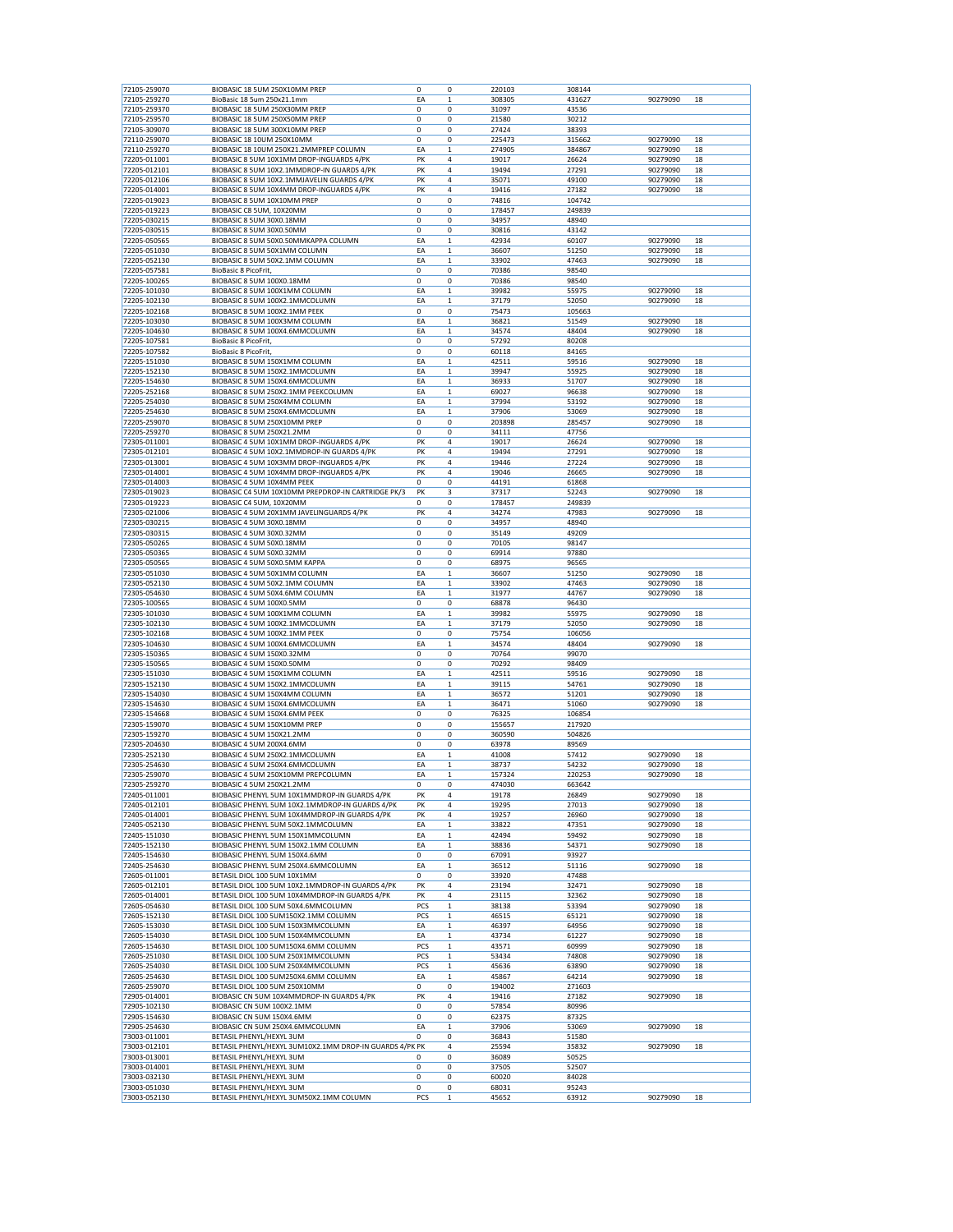| 72105-259070<br>72105-259270 | BIOBASIC 18 5UM 250X10MM PREP                           | 0                 | 0            | 220103 | 308144 |          |    |
|------------------------------|---------------------------------------------------------|-------------------|--------------|--------|--------|----------|----|
|                              | BioBasic 18 5um 250x21.1mm                              | EA                | 1            | 308305 | 431627 | 90279090 | 18 |
| 72105-259370                 | BIOBASIC 18 5UM 250X30MM PREP                           | 0                 | 0            | 31097  | 43536  |          |    |
|                              |                                                         |                   |              |        |        |          |    |
| 72105-259570                 | BIOBASIC 18 5UM 250X50MM PREP                           | 0                 | 0            | 21580  | 30212  |          |    |
| 72105-309070                 | BIOBASIC 18 5UM 300X10MM PREP                           | 0                 | 0            | 27424  | 38393  |          |    |
| 72110-259070                 | BIOBASIC 18 10UM 250X10MM                               | $\mathbf 0$       | $\mathbf 0$  | 225473 | 315662 | 90279090 | 18 |
| 72110-259270                 | BIOBASIC 18 10UM 250X21.2MMPREP COLUMN                  | EA                | $\mathbf{1}$ | 274905 | 384867 | 90279090 | 18 |
| 72205-011001                 | BIOBASIC 8 5UM 10X1MM DROP-INGUARDS 4/PK                | PK                | 4            | 19017  | 26624  | 90279090 | 18 |
| 72205-012101                 | BIOBASIC 8 5UM 10X2.1MMDROP-IN GUARDS 4/PK              | PK                | 4            | 19494  | 27291  | 90279090 | 18 |
| 72205-012106                 | BIOBASIC 8 5UM 10X2.1MMJAVELIN GUARDS 4/PK              | PK                | 4            | 35071  | 49100  | 90279090 | 18 |
| 72205-014001                 | BIOBASIC 8 5UM 10X4MM DROP-INGUARDS 4/PK                | PK                | 4            | 19416  | 27182  | 90279090 | 18 |
|                              |                                                         |                   |              |        |        |          |    |
| 72205-019023                 | BIOBASIC 8 5UM 10X10MM PREP                             | 0                 | 0            | 74816  | 104742 |          |    |
| 72205-019223                 | BIOBASIC C8 5UM, 10X20MM                                | $\mathbf 0$       | 0            | 178457 | 249839 |          |    |
| 72205-030215                 | BIOBASIC 8 5UM 30X0.18MM                                | 0                 | 0            | 34957  | 48940  |          |    |
| 72205-030515                 | BIOBASIC 8 5UM 30X0.50MM                                | 0                 | 0            | 30816  | 43142  |          |    |
| 72205-050565                 | BIOBASIC 8 5UM 50X0.50MMKAPPA COLUMN                    | EA                | 1            | 42934  | 60107  | 90279090 | 18 |
| 72205-051030                 | BIOBASIC 8 5UM 50X1MM COLUMN                            | EA                | $\mathbf 1$  | 36607  | 51250  | 90279090 | 18 |
|                              |                                                         | EA                |              |        |        |          | 18 |
| 72205-052130                 | BIOBASIC 8 5UM 50X2.1MM COLUMN                          |                   | 1            | 33902  | 47463  | 90279090 |    |
| 72205-057581                 | BioBasic 8 PicoFrit,                                    | 0                 | 0            | 70386  | 98540  |          |    |
| 72205-100265                 | BIOBASIC 8 5UM 100X0.18MM                               | 0                 | 0            | 70386  | 98540  |          |    |
| 72205-101030                 | BIOBASIC 8 5UM 100X1MM COLUMN                           | EA                | $\mathbf{1}$ | 39982  | 55975  | 90279090 | 18 |
| 72205-102130                 | BIOBASIC 8 5UM 100X2.1MMCOLUMN                          | EA                | 1            | 37179  | 52050  | 90279090 | 18 |
| 72205-102168                 | BIOBASIC 8 5UM 100X2.1MM PEEK                           | 0                 | 0            | 75473  | 105663 |          |    |
| 72205-103030                 | BIOBASIC 8 5UM 100X3MM COLUMN                           | EA                | 1            | 36821  | 51549  | 90279090 | 18 |
|                              |                                                         |                   |              |        |        |          |    |
| 72205-104630                 | BIOBASIC 8 5UM 100X4.6MMCOLUMN                          | EA                | $\mathbf 1$  | 34574  | 48404  | 90279090 | 18 |
| 72205-107581                 | BioBasic 8 PicoFrit,                                    | 0                 | 0            | 57292  | 80208  |          |    |
| 72205-107582                 | BioBasic 8 PicoFrit,                                    | 0                 | 0            | 60118  | 84165  |          |    |
| 72205-151030                 | BIOBASIC 8 5UM 150X1MM COLUMN                           | EA                | 1            | 42511  | 59516  | 90279090 | 18 |
| 72205-152130                 | BIOBASIC 8 5UM 150X2.1MMCOLUMN                          | EA                | $\mathbf 1$  | 39947  | 55925  | 90279090 | 18 |
| 72205-154630                 | BIOBASIC 8 5UM 150X4.6MMCOLUMN                          | EA                | 1            | 36933  | 51707  | 90279090 | 18 |
|                              |                                                         |                   |              |        |        | 90279090 |    |
| 72205-252168                 | BIOBASIC 8 5UM 250X2.1MM PEEKCOLUMN                     | EA                | 1            | 69027  | 96638  |          | 18 |
| 72205-254030                 | BIOBASIC 8 5UM 250X4MM COLUMN                           | EA                | $\mathbf{1}$ | 37994  | 53192  | 90279090 | 18 |
| 72205-254630                 | BIOBASIC 8 5UM 250X4.6MMCOLUMN                          | EA                | $\mathbf{1}$ | 37906  | 53069  | 90279090 | 18 |
| 72205-259070                 | BIOBASIC 8 5UM 250X10MM PREP                            | 0                 | 0            | 203898 | 285457 | 90279090 | 18 |
| 72205-259270                 | BIOBASIC 8 5UM 250X21.2MM                               | $\mathbf 0$       | 0            | 34111  | 47756  |          |    |
|                              |                                                         | PK                |              |        |        | 90279090 |    |
| 72305-011001                 | BIOBASIC 4 5UM 10X1MM DROP-INGUARDS 4/PK                |                   | 4            | 19017  | 26624  |          | 18 |
| 72305-012101                 | BIOBASIC 4 5UM 10X2.1MMDROP-IN GUARDS 4/PK              | PK                | 4            | 19494  | 27291  | 90279090 | 18 |
| 72305-013001                 | BIOBASIC 4 5UM 10X3MM DROP-INGUARDS 4/PK                | PK                | 4            | 19446  | 27224  | 90279090 | 18 |
| 72305-014001                 | BIOBASIC 4 5UM 10X4MM DROP-INGUARDS 4/PK                | PK                | 4            | 19046  | 26665  | 90279090 | 18 |
| 72305-014003                 | BIOBASIC 4 5UM 10X4MM PEEK                              | $\mathbf 0$       | 0            | 44191  | 61868  |          |    |
| 72305-019023                 | BIOBASIC C4 5UM 10X10MM PREPDROP-IN CARTRIDGE PK/3      | PK                | 3            | 37317  | 52243  | 90279090 | 18 |
|                              |                                                         |                   |              |        | 249839 |          |    |
| 72305-019223                 | BIOBASIC C4 5UM, 10X20MM                                | $\mathbf 0$       | 0            | 178457 |        |          |    |
| 72305-021006                 | BIOBASIC 4 5UM 20X1MM JAVELINGUARDS 4/PK                | PK                | 4            | 34274  | 47983  | 90279090 | 18 |
| 72305-030215                 | BIOBASIC 4 5UM 30X0.18MM                                | $\mathbf 0$       | 0            | 34957  | 48940  |          |    |
| 72305-030315                 | BIOBASIC 4 5UM 30X0.32MM                                | 0                 | 0            | 35149  | 49209  |          |    |
| 72305-050265                 | BIOBASIC 4 5UM 50X0.18MM                                | 0                 | 0            | 70105  | 98147  |          |    |
|                              |                                                         |                   |              |        |        |          |    |
| 72305-050365                 | BIOBASIC 4 5UM 50X0.32MM                                | $\mathbf 0$       | 0            | 69914  | 97880  |          |    |
| 72305-050565                 | BIOBASIC 4 5UM 50X0.5MM KAPPA                           | 0                 | 0            | 68975  | 96565  |          |    |
| 72305-051030                 | BIOBASIC 4 5UM 50X1MM COLUMN                            | EA                | 1            | 36607  | 51250  | 90279090 | 18 |
| 72305-052130                 | BIOBASIC 4 5UM 50X2.1MM COLUMN                          | EA                | $\mathbf 1$  | 33902  | 47463  | 90279090 | 18 |
| 72305-054630                 | BIOBASIC 4 5UM 50X4.6MM COLUMN                          | EA                | $\mathbf 1$  | 31977  | 44767  | 90279090 | 18 |
| 72305-100565                 | BIOBASIC 4 5UM 100X0.5MM                                | 0                 | 0            | 68878  | 96430  |          |    |
|                              |                                                         |                   |              |        |        |          |    |
| 72305-101030                 | BIOBASIC 4 5UM 100X1MM COLUMN                           | EA                | 1            | 39982  | 55975  | 90279090 | 18 |
| 72305-102130                 | BIOBASIC 4 5UM 100X2.1MMCOLUMN                          | EA                | $\mathbf 1$  | 37179  | 52050  | 90279090 | 18 |
| 72305-102168                 | BIOBASIC 4 5UM 100X2.1MM PEEK                           | 0                 | 0            | 75754  | 106056 |          |    |
| 72305-104630                 | BIOBASIC 4 5UM 100X4.6MMCOLUMN                          | EA                | 1            | 34574  | 48404  | 90279090 | 18 |
| 72305-150365                 | BIOBASIC 4 5UM 150X0.32MM                               | 0                 | 0            |        |        |          |    |
| 72305-150565                 | BIOBASIC 4 5UM 150X0.50MM                               |                   |              |        |        |          |    |
|                              |                                                         |                   |              | 70764  | 99070  |          |    |
| 72305-151030                 |                                                         | 0                 | 0            | 70292  | 98409  |          |    |
|                              | BIOBASIC 4 5UM 150X1MM COLUMN                           | EA                | 1            | 42511  | 59516  | 90279090 | 18 |
| 72305-152130                 | BIOBASIC 4 5UM 150X2.1MMCOLUMN                          | EA                | $\mathbf 1$  | 39115  | 54761  | 90279090 | 18 |
| 72305-154030                 | BIOBASIC 4 5UM 150X4MM COLUMN                           | EA                | 1            | 36572  | 51201  | 90279090 | 18 |
|                              |                                                         |                   |              |        |        | 90279090 |    |
| 72305-154630                 | BIOBASIC 4 5UM 150X4.6MMCOLUMN                          | EA<br>$\mathbf 0$ | 1<br>0       | 36471  | 51060  |          | 18 |
| 72305-154668                 | BIOBASIC 4 5UM 150X4.6MM PEEK                           |                   |              | 76325  | 106854 |          |    |
| 72305-159070                 | BIOBASIC 4 5UM 150X10MM PREP                            | 0                 | 0            | 155657 | 217920 |          |    |
| 72305-159270                 | BIOBASIC 4 5UM 150X21.2MM                               | 0                 | 0            | 360590 | 504826 |          |    |
| 72305-204630                 | BIOBASIC 4 5UM 200X4.6MM                                | $\mathbf 0$       | 0            | 63978  | 89569  |          |    |
| 72305-252130                 | BIOBASIC 4 5UM 250X2.1MMCOLUMN                          | EA                | $\mathbf 1$  | 41008  | 57412  | 90279090 | 18 |
| 72305-254630                 | BIOBASIC 4 5UM 250X4.6MMCOLUMN                          | EA                | $\mathbf{1}$ | 38737  | 54232  | 90279090 | 18 |
| 72305-259070                 | BIOBASIC 4 5UM 250X10MM PREPCOLUMN                      | EA                | $\mathbf 1$  | 157324 | 220253 | 90279090 | 18 |
|                              |                                                         |                   |              |        |        |          |    |
| 72305-259270                 | BIOBASIC 4 5UM 250X21.2MM                               | 0                 | 0            | 474030 | 663642 |          |    |
| 72405-011001                 | BIOBASIC PHENYL 5UM 10X1MMDROP-IN GUARDS 4/PK           | PK                | 4            | 19178  | 26849  | 90279090 | 18 |
| 72405-012101                 | BIOBASIC PHENYL 5UM 10X2.1MMDROP-IN GUARDS 4/PK         | PK                | 4            | 19295  | 27013  | 90279090 | 18 |
| 72405-014001                 | BIOBASIC PHENYL 5UM 10X4MMDROP-IN GUARDS 4/PK           | PK                | 4            | 19257  | 26960  | 90279090 | 18 |
| 72405-052130                 | BIOBASIC PHENYL 5UM 50X2.1MMCOLUMN                      | EA                | $\mathbf{1}$ | 33822  | 47351  | 90279090 | 18 |
| 72405-151030                 | BIOBASIC PHENYL 5UM 150X1MMCOLUMN                       | EA                | $\mathbf 1$  | 42494  | 59492  | 90279090 | 18 |
|                              |                                                         |                   |              |        |        |          |    |
| 72405-152130                 | BIOBASIC PHENYL 5UM 150X2.1MM COLUMN                    | EA                | $\mathbf 1$  | 38836  | 54371  | 90279090 | 18 |
| 72405-154630                 | BIOBASIC PHENYL 5UM 150X4.6MM                           | 0                 | 0            | 67091  | 93927  |          |    |
| 72405-254630                 | BIOBASIC PHENYL 5UM 250X4.6MMCOLUMN                     | EA                | $\mathbf 1$  | 36512  | 51116  | 90279090 | 18 |
| 72605-011001                 | BETASIL DIOL 100 5UM 10X1MM                             | 0                 | 0            | 33920  | 47488  |          |    |
| 72605-012101                 | BETASIL DIOL 100 5UM 10X2.1MMDROP-IN GUARDS 4/PK        | PK                | 4            | 23194  | 32471  | 90279090 | 18 |
| 72605-014001                 | BETASIL DIOL 100 5UM 10X4MMDROP-IN GUARDS 4/PK          | PK                | 4            | 23115  | 32362  | 90279090 | 18 |
| 72605-054630                 | BETASIL DIOL 100 5UM 50X4.6MMCOLUMN                     | PCS               | 1            | 38138  | 53394  | 90279090 | 18 |
|                              |                                                         |                   |              |        |        |          |    |
| 72605-152130                 | BETASIL DIOL 100 5UM150X2.1MM COLUMN                    | PCS               | $\mathbf{1}$ | 46515  | 65121  | 90279090 | 18 |
| 72605-153030                 | BETASIL DIOL 100 5UM 150X3MMCOLUMN                      | EA                | 1            | 46397  | 64956  | 90279090 | 18 |
| 72605-154030                 | BETASIL DIOL 100 5UM 150X4MMCOLUMN                      | EA                | $\mathbf 1$  | 43734  | 61227  | 90279090 | 18 |
| 72605-154630                 | BETASIL DIOL 100 5UM150X4.6MM COLUMN                    | PCS               | 1            | 43571  | 60999  | 90279090 | 18 |
| 72605-251030                 | BETASIL DIOL 100 5UM 250X1MMCOLUMN                      | PCS               | 1            | 53434  | 74808  | 90279090 | 18 |
| 72605-254030                 | BETASIL DIOL 100 5UM 250X4MMCOLUMN                      | PCS               | $\mathbf 1$  | 45636  | 63890  | 90279090 | 18 |
|                              |                                                         |                   |              |        |        |          |    |
| 72605-254630                 | BETASIL DIOL 100 5UM250X4.6MM COLUMN                    | EA                | $\mathbf 1$  | 45867  | 64214  | 90279090 | 18 |
| 72605-259070                 | BETASIL DIOL 100 5UM 250X10MM                           | 0                 | 0            | 194002 | 271603 |          |    |
| 72905-014001                 | BIOBASIC CN 5UM 10X4MMDROP-IN GUARDS 4/PK               | PK                | 4            | 19416  | 27182  | 90279090 | 18 |
| 72905-102130                 | BIOBASIC CN 5UM 100X2.1MM                               | 0                 | 0            | 57854  | 80996  |          |    |
| 72905-154630                 | BIOBASIC CN 5UM 150X4.6MM                               | 0                 | 0            | 62375  | 87325  |          |    |
|                              |                                                         |                   |              |        |        |          |    |
| 72905-254630                 | BIOBASIC CN 5UM 250X4.6MMCOLUMN                         | EA                | 1            | 37906  | 53069  | 90279090 | 18 |
| 73003-011001                 | BETASIL PHENYL/HEXYL 3UM                                | 0                 | 0            | 36843  | 51580  |          |    |
| 73003-012101                 | BETASIL PHENYL/HEXYL 3UM10X2.1MM DROP-IN GUARDS 4/PK PK |                   | 4            | 25594  | 35832  | 90279090 | 18 |
| 73003-013001                 | BETASIL PHENYL/HEXYL 3UM                                | 0                 | 0            | 36089  | 50525  |          |    |
| 73003-014001                 | BETASIL PHENYL/HEXYL 3UM                                | 0                 | 0            | 37505  | 52507  |          |    |
| 73003-032130                 | BETASIL PHENYL/HEXYL 3UM                                | 0                 | 0            | 60020  | 84028  |          |    |
| 73003-051030                 | BETASIL PHENYL/HEXYL 3UM                                | 0                 | 0            | 68031  | 95243  |          |    |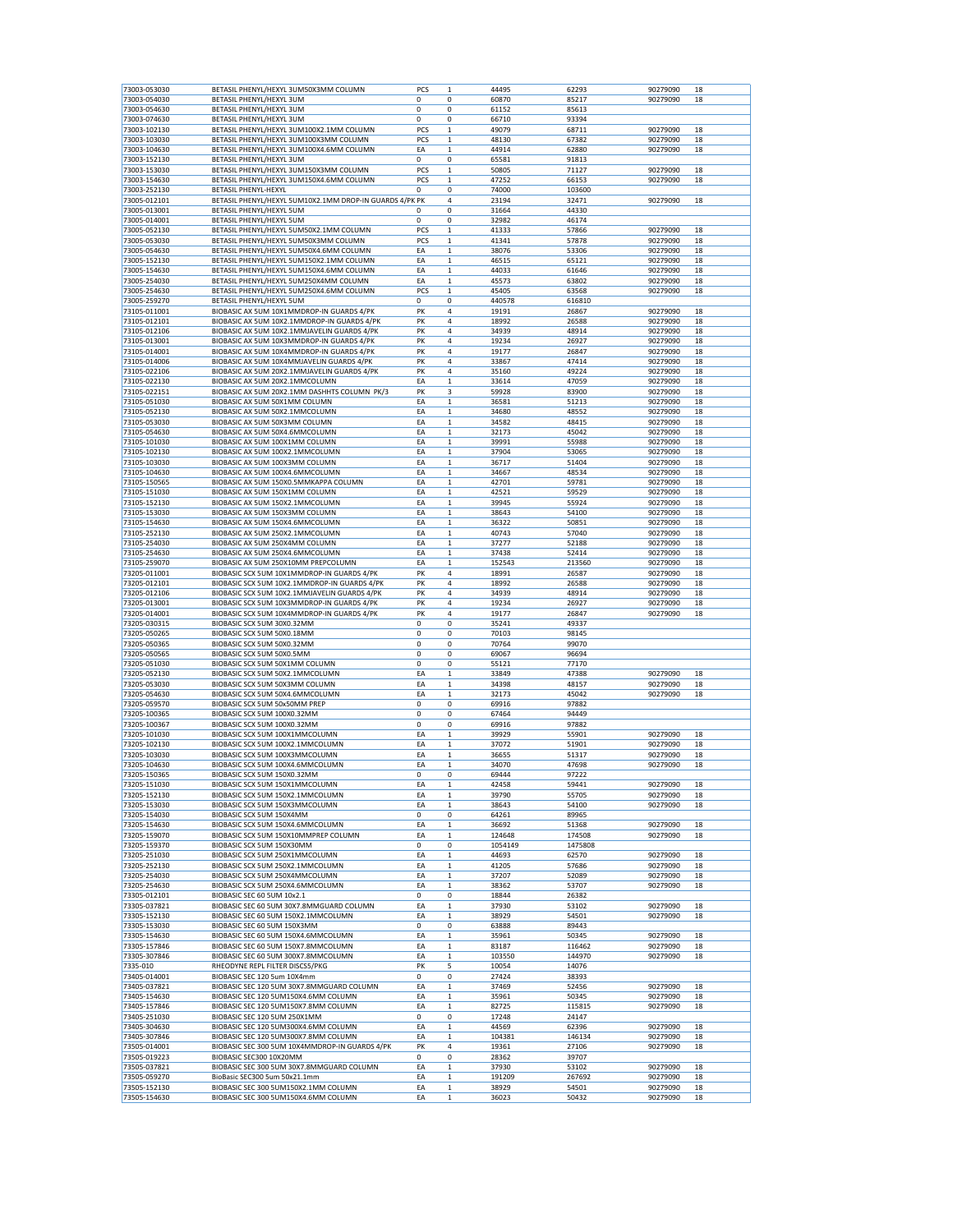| 73003-053030<br>73003-054030<br>73003-054630 |                                                         | PCS         | 1            |         |         |          |    |
|----------------------------------------------|---------------------------------------------------------|-------------|--------------|---------|---------|----------|----|
|                                              | BETASIL PHENYL/HEXYL 3UM50X3MM COLUMN                   |             |              | 44495   | 62293   | 90279090 | 18 |
|                                              | BETASIL PHENYL/HEXYL 3UM                                | $\mathbf 0$ | 0            | 60870   | 85217   | 90279090 | 18 |
|                                              | BETASIL PHENYL/HEXYL 3UM                                | $\mathbf 0$ | 0            | 61152   | 85613   |          |    |
| 73003-074630                                 | BETASIL PHENYL/HEXYL 3UM                                | $\mathbf 0$ | 0            | 66710   | 93394   |          |    |
| 73003-102130                                 | BETASIL PHENYL/HEXYL 3UM100X2.1MM COLUMN                | PCS         | 1            | 49079   | 68711   | 90279090 | 18 |
| 73003-103030                                 | BETASIL PHENYL/HEXYL 3UM100X3MM COLUMN                  | PCS         | $\mathbf 1$  | 48130   | 67382   | 90279090 | 18 |
|                                              |                                                         |             |              |         |         |          |    |
| 73003-104630                                 | BETASIL PHENYL/HEXYL 3UM100X4.6MM COLUMN                | EA          | $\mathbf{1}$ | 44914   | 62880   | 90279090 | 18 |
| 73003-152130                                 | BETASIL PHENYL/HEXYL 3UM                                | 0           | 0            | 65581   | 91813   |          |    |
| 73003-153030                                 | BETASIL PHENYL/HEXYL 3UM150X3MM COLUMN                  | PCS         | $\mathbf 1$  | 50805   | 71127   | 90279090 | 18 |
| 73003-154630                                 | BETASIL PHENYL/HEXYL 3UM150X4.6MM COLUMN                | <b>PCS</b>  | 1            | 47252   | 66153   | 90279090 | 18 |
|                                              |                                                         |             |              |         |         |          |    |
| 73003-252130                                 | BETASIL PHENYL-HEXYL                                    | 0           | 0            | 74000   | 103600  |          |    |
| 73005-012101                                 | BETASIL PHENYL/HEXYL 5UM10X2.1MM DROP-IN GUARDS 4/PK PK |             | 4            | 23194   | 32471   | 90279090 | 18 |
| 73005-013001                                 | BETASIL PHENYL/HEXYL 5UM                                | $\mathbf 0$ | 0            | 31664   | 44330   |          |    |
| 73005-014001                                 | BETASIL PHENYL/HEXYL 5UM                                | 0           | 0            | 32982   | 46174   |          |    |
| 73005-052130                                 |                                                         | PCS         | $\mathbf 1$  | 41333   | 57866   | 90279090 | 18 |
|                                              | BETASIL PHENYL/HEXYL 5UM50X2.1MM COLUMN                 |             |              |         |         |          |    |
| 73005-053030                                 | BETASIL PHENYL/HEXYL 5UM50X3MM COLUMN                   | <b>PCS</b>  | 1            | 41341   | 57878   | 90279090 | 18 |
| 73005-054630                                 | BETASIL PHENYL/HEXYL 5UM50X4.6MM COLUMN                 | EA          | $\mathbf 1$  | 38076   | 53306   | 90279090 | 18 |
| 73005-152130                                 | BETASIL PHENYL/HEXYL 5UM150X2.1MM COLUMN                | EA          | $\mathbf 1$  | 46515   | 65121   | 90279090 | 18 |
| 73005-154630                                 | BETASIL PHENYL/HEXYL 5UM150X4.6MM COLUMN                | EA          | $\mathbf{1}$ | 44033   | 61646   | 90279090 | 18 |
|                                              |                                                         |             |              |         |         |          |    |
| 73005-254030                                 | BETASIL PHENYL/HEXYL 5UM250X4MM COLUMN                  | EA          | 1            | 45573   | 63802   | 90279090 | 18 |
| 73005-254630                                 | BETASIL PHENYL/HEXYL 5UM250X4.6MM COLUMN                | PCS         | $\mathbf 1$  | 45405   | 63568   | 90279090 | 18 |
| 73005-259270                                 | BETASIL PHENYL/HEXYL 5UM                                | 0           | 0            | 440578  | 616810  |          |    |
| 73105-011001                                 | BIOBASIC AX 5UM 10X1MMDROP-IN GUARDS 4/PK               | PK          | 4            | 19191   | 26867   | 90279090 | 18 |
| 73105-012101                                 | BIOBASIC AX 5UM 10X2.1MMDROP-IN GUARDS 4/PK             | PK          | 4            | 18992   | 26588   | 90279090 | 18 |
| 73105-012106                                 | BIOBASIC AX 5UM 10X2.1MMJAVELIN GUARDS 4/PK             | PK          | 4            | 34939   | 48914   | 90279090 | 18 |
|                                              |                                                         |             |              |         |         |          |    |
| 73105-013001                                 | BIOBASIC AX 5UM 10X3MMDROP-IN GUARDS 4/PK               | PK          | 4            | 19234   | 26927   | 90279090 | 18 |
| 73105-014001                                 | BIOBASIC AX 5UM 10X4MMDROP-IN GUARDS 4/PK               | PK          | 4            | 19177   | 26847   | 90279090 | 18 |
| 73105-014006                                 | BIOBASIC AX 5UM 10X4MMJAVELIN GUARDS 4/PK               | PK          | 4            | 33867   | 47414   | 90279090 | 18 |
|                                              |                                                         |             |              |         |         |          |    |
| 73105-022106                                 | BIOBASIC AX 5UM 20X2.1MMJAVELIN GUARDS 4/PK             | PK          | 4            | 35160   | 49224   | 90279090 | 18 |
| 73105-022130                                 | BIOBASIC AX 5UM 20X2.1MMCOLUMN                          | EA          | 1            | 33614   | 47059   | 90279090 | 18 |
| 73105-022151                                 | BIOBASIC AX 5UM 20X2.1MM DASHHTS COLUMN PK/3            | PK          | 3            | 59928   | 83900   | 90279090 | 18 |
| 73105-051030                                 | BIOBASIC AX 5UM 50X1MM COLUMN                           | EA          | $\mathbf{1}$ | 36581   | 51213   | 90279090 | 18 |
|                                              |                                                         |             |              |         |         |          |    |
| 73105-052130                                 | BIOBASIC AX 5UM 50X2.1MMCOLUMN                          | EA          | $\mathbf 1$  | 34680   | 48552   | 90279090 | 18 |
| 73105-053030                                 | BIOBASIC AX 5UM 50X3MM COLUMN                           | EA          | $\mathbf 1$  | 34582   | 48415   | 90279090 | 18 |
| 73105-054630                                 | BIOBASIC AX 5UM 50X4.6MMCOLUMN                          | EA          | 1            | 32173   | 45042   | 90279090 | 18 |
| 73105-101030                                 | BIOBASIC AX 5UM 100X1MM COLUMN                          | EA          | $\mathbf 1$  | 39991   | 55988   | 90279090 | 18 |
|                                              |                                                         |             |              |         |         |          |    |
| 73105-102130                                 | BIOBASIC AX 5UM 100X2.1MMCOLUMN                         | EA          | $\mathbf 1$  | 37904   | 53065   | 90279090 | 18 |
| 73105-103030                                 | BIOBASIC AX 5UM 100X3MM COLUMN                          | EA          | $\mathbf 1$  | 36717   | 51404   | 90279090 | 18 |
| 73105-104630                                 | BIOBASIC AX 5UM 100X4.6MMCOLUMN                         | EA          | 1            | 34667   | 48534   | 90279090 | 18 |
| 73105-150565                                 | BIOBASIC AX 5UM 150X0.5MMKAPPA COLUMN                   | EA          | $\mathbf 1$  | 42701   | 59781   | 90279090 | 18 |
|                                              |                                                         |             |              |         |         |          |    |
| 73105-151030                                 | BIOBASIC AX 5UM 150X1MM COLUMN                          | EA          | 1            | 42521   | 59529   | 90279090 | 18 |
| 73105-152130                                 | BIOBASIC AX 5UM 150X2.1MMCOLUMN                         | EA          | 1            | 39945   | 55924   | 90279090 | 18 |
| 73105-153030                                 | BIOBASIC AX 5UM 150X3MM COLUMN                          | EA          | $\mathbf 1$  | 38643   | 54100   | 90279090 | 18 |
| 73105-154630                                 | BIOBASIC AX 5UM 150X4.6MMCOLUMN                         | EA          | $\mathbf{1}$ | 36322   | 50851   | 90279090 | 18 |
|                                              |                                                         |             |              |         |         |          |    |
| 73105-252130                                 | BIOBASIC AX 5UM 250X2.1MMCOLUMN                         | EA          | 1            | 40743   | 57040   | 90279090 | 18 |
| 73105-254030                                 | BIOBASIC AX 5UM 250X4MM COLUMN                          | EA          | $\mathbf 1$  | 37277   | 52188   | 90279090 | 18 |
| 73105-254630                                 | BIOBASIC AX 5UM 250X4.6MMCOLUMN                         | EA          | 1            | 37438   | 52414   | 90279090 | 18 |
| 73105-259070                                 | BIOBASIC AX 5UM 250X10MM PREPCOLUMN                     | EA          | 1            | 152543  | 213560  | 90279090 | 18 |
|                                              |                                                         |             |              |         |         |          |    |
| 73205-011001                                 | BIOBASIC SCX 5UM 10X1MMDROP-IN GUARDS 4/PK              | PK          | 4            | 18991   | 26587   | 90279090 | 18 |
| 73205-012101                                 | BIOBASIC SCX 5UM 10X2.1MMDROP-IN GUARDS 4/PK            | PK          | 4            | 18992   | 26588   | 90279090 | 18 |
| 73205-012106                                 | BIOBASIC SCX 5UM 10X2.1MMJAVELIN GUARDS 4/PK            | PK          | 4            | 34939   | 48914   | 90279090 | 18 |
| 73205-013001                                 | BIOBASIC SCX 5UM 10X3MMDROP-IN GUARDS 4/PK              | PK          | 4            | 19234   | 26927   | 90279090 | 18 |
| 73205-014001                                 | BIOBASIC SCX 5UM 10X4MMDROP-IN GUARDS 4/PK              | PK          | 4            | 19177   | 26847   | 90279090 | 18 |
|                                              |                                                         |             |              |         |         |          |    |
| 73205-030315                                 | BIOBASIC SCX 5UM 30X0.32MM                              | 0           | 0            | 35241   | 49337   |          |    |
| 73205-050265                                 | BIOBASIC SCX 5UM 50X0.18MM                              | 0           | 0            | 70103   | 98145   |          |    |
| 73205-050365                                 | BIOBASIC SCX 5UM 50X0.32MM                              | 0           | 0            | 70764   | 99070   |          |    |
| 73205-050565                                 | BIOBASIC SCX 5UM 50X0.5MM                               |             |              |         |         |          |    |
|                                              |                                                         |             |              |         |         |          |    |
|                                              |                                                         | 0           | 0            | 69067   | 96694   |          |    |
| 73205-051030                                 | BIOBASIC SCX 5UM 50X1MM COLUMN                          | 0           | 0            | 55121   | 77170   |          |    |
| 73205-052130                                 | BIOBASIC SCX 5UM 50X2.1MMCOLUMN                         | EA          | $\mathbf 1$  | 33849   | 47388   | 90279090 | 18 |
| 73205-053030                                 |                                                         |             |              |         |         | 90279090 | 18 |
|                                              | BIOBASIC SCX 5UM 50X3MM COLUMN                          | EA          | 1            | 34398   | 48157   |          |    |
| 73205-054630                                 | BIOBASIC SCX 5UM 50X4.6MMCOLUMN                         | EA          | $\mathbf 1$  | 32173   | 45042   | 90279090 | 18 |
| 73205-059570                                 | BIOBASIC SCX 5UM 50x50MM PREP                           | 0           | 0            | 69916   | 97882   |          |    |
| 73205-100365                                 | BIOBASIC SCX 5UM 100X0.32MM                             | 0           | 0            | 67464   | 94449   |          |    |
|                                              |                                                         |             |              |         |         |          |    |
| 73205-100367                                 | BIOBASIC SCX 5UM 100X0.32MM                             | 0           | 0            | 69916   | 97882   |          |    |
| 73205-101030                                 | BIOBASIC SCX 5UM 100X1MMCOLUMN                          | EA          | $\mathbf 1$  | 39929   | 55901   | 90279090 | 18 |
| 73205-102130                                 | BIOBASIC SCX 5UM 100X2.1MMCOLUMN                        | EA          | 1            | 37072   | 51901   | 90279090 | 18 |
| 73205-103030                                 | BIOBASIC SCX 5UM 100X3MMCOLUMN                          | EA          | 1            | 36655   | 51317   | 90279090 | 18 |
| 73205-104630                                 | BIOBASIC SCX 5UM 100X4.6MMCOLUMN                        | EA          | $\mathbf 1$  | 34070   | 47698   | 90279090 | 18 |
|                                              |                                                         |             |              |         |         |          |    |
| 73205-150365                                 | BIOBASIC SCX 5UM 150X0.32MM                             | 0           | 0            | 69444   | 97222   |          |    |
| 73205-151030                                 | BIOBASIC SCX 5UM 150X1MMCOLUMN                          | EA          | 1            | 42458   | 59441   | 90279090 | 18 |
| 73205-152130                                 | BIOBASIC SCX 5UM 150X2.1MMCOLUMN                        | EA          | $\mathbf 1$  | 39790   | 55705   | 90279090 | 18 |
| 73205-153030                                 | BIOBASIC SCX 5UM 150X3MMCOLUMN                          | EA          | 1            | 38643   | 54100   | 90279090 | 18 |
|                                              |                                                         |             |              |         |         |          |    |
| 73205-154030                                 | BIOBASIC SCX 5UM 150X4MM                                | 0           | 0            | 64261   | 89965   |          |    |
| 73205-154630                                 | BIOBASIC SCX 5UM 150X4.6MMCOLUMN                        | EA          | $\mathbf 1$  | 36692   | 51368   | 90279090 | 18 |
| 73205-159070                                 | BIOBASIC SCX 5UM 150X10MMPREP COLUMN                    | EA          | $\mathbf 1$  | 124648  | 174508  | 90279090 | 18 |
| 73205-159370                                 | BIOBASIC SCX 5UM 150X30MM                               | 0           | 0            | 1054149 | 1475808 |          |    |
|                                              |                                                         |             |              |         |         |          |    |
| 73205-251030                                 | BIOBASIC SCX 5UM 250X1MMCOLUMN                          | EA          | $\mathbf 1$  | 44693   | 62570   | 90279090 | 18 |
| 73205-252130                                 | BIOBASIC SCX 5UM 250X2.1MMCOLUMN                        | EA          | $\mathbf 1$  | 41205   | 57686   | 90279090 | 18 |
| 73205-254030                                 | BIOBASIC SCX 5UM 250X4MMCOLUMN                          | EA          | $\mathbf 1$  | 37207   | 52089   | 90279090 | 18 |
| 73205-254630                                 | BIOBASIC SCX 5UM 250X4.6MMCOLUMN                        | EA          | $\mathbf 1$  | 38362   | 53707   | 90279090 | 18 |
|                                              |                                                         |             |              |         |         |          |    |
| 73305-012101                                 | BIOBASIC SEC 60 5UM 10x2.1                              | 0           | 0            | 18844   | 26382   |          |    |
| 73305-037821                                 | BIOBASIC SEC 60 5UM 30X7.8MMGUARD COLUMN                | EA          | $\mathbf 1$  | 37930   | 53102   | 90279090 | 18 |
| 73305-152130                                 | BIOBASIC SEC 60 5UM 150X2.1MMCOLUMN                     | EA          | $\mathbf 1$  | 38929   | 54501   | 90279090 | 18 |
| 73305-153030                                 | BIOBASIC SEC 60 5UM 150X3MM                             | 0           | 0            | 63888   | 89443   |          |    |
|                                              |                                                         |             |              |         |         |          |    |
| 73305-154630                                 | BIOBASIC SEC 60 5UM 150X4.6MMCOLUMN                     | EA          | $\mathbf{1}$ | 35961   | 50345   | 90279090 | 18 |
| 73305-157846                                 | BIOBASIC SEC 60 5UM 150X7.8MMCOLUMN                     | EA          | $\mathbf 1$  | 83187   | 116462  | 90279090 | 18 |
| 73305-307846                                 | BIOBASIC SEC 60 5UM 300X7.8MMCOLUMN                     | EA          | $\mathbf 1$  | 103550  | 144970  | 90279090 | 18 |
| 7335-010                                     | RHEODYNE REPL FILTER DISCS5/PKG                         | PK          | 5            | 10054   | 14076   |          |    |
|                                              |                                                         |             |              |         |         |          |    |
| 73405-014001                                 | BIOBASIC SEC 120 5um 10X4mm                             | 0           | 0            | 27424   | 38393   |          |    |
| 73405-037821                                 | BIOBASIC SEC 120 5UM 30X7.8MMGUARD COLUMN               | EA          | $\mathbf 1$  | 37469   | 52456   | 90279090 | 18 |
| 73405-154630                                 | BIOBASIC SEC 120 5UM150X4.6MM COLUMN                    | EA          | 1            | 35961   | 50345   | 90279090 | 18 |
| 73405-157846                                 | BIOBASIC SEC 120 5UM150X7.8MM COLUMN                    | EA          | 1            | 82725   | 115815  | 90279090 | 18 |
|                                              |                                                         |             |              |         |         |          |    |
| 73405-251030                                 | BIOBASIC SEC 120 5UM 250X1MM                            | 0           | 0            | 17248   | 24147   |          |    |
| 73405-304630                                 | BIOBASIC SEC 120 5UM300X4.6MM COLUMN                    | EA          | $\mathbf{1}$ | 44569   | 62396   | 90279090 | 18 |
| 73405-307846                                 | BIOBASIC SEC 120 5UM300X7.8MM COLUMN                    | EA          | 1            | 104381  | 146134  | 90279090 | 18 |
|                                              |                                                         |             |              |         |         |          |    |
| 73505-014001                                 | BIOBASIC SEC 300 5UM 10X4MMDROP-IN GUARDS 4/PK          | PK          | 4            | 19361   | 27106   | 90279090 | 18 |
| 73505-019223                                 | BIOBASIC SEC300 10X20MM                                 | 0           | 0            | 28362   | 39707   |          |    |
| 73505-037821                                 | BIOBASIC SEC 300 5UM 30X7.8MMGUARD COLUMN               | EA          | 1            | 37930   | 53102   | 90279090 | 18 |
| 73505-059270                                 | BioBasic SEC300 5um 50x21.1mm                           | EA          | $\mathbf 1$  | 191209  | 267692  | 90279090 | 18 |
| 73505-152130                                 | BIOBASIC SEC 300 5UM150X2.1MM COLUMN                    | EA          | $\mathbf 1$  | 38929   | 54501   | 90279090 | 18 |
| 73505-154630                                 | BIOBASIC SEC 300 5UM150X4.6MM COLUMN                    | EA          | $\mathbf 1$  | 36023   | 50432   | 90279090 | 18 |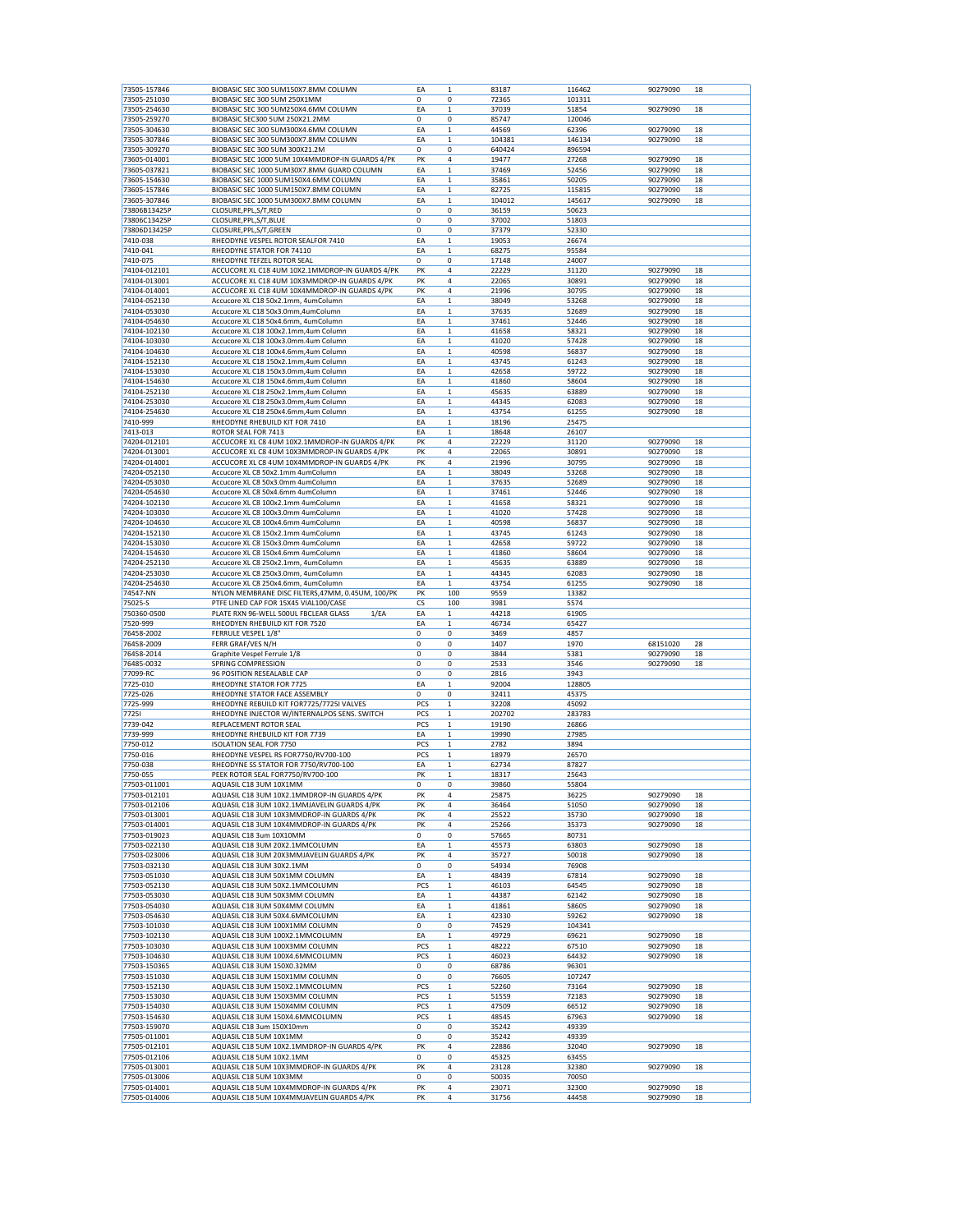| 73505-157846                 | BIOBASIC SEC 300 5UM150X7.8MM COLUMN                                                   | EA       | $\mathbf 1$  | 83187          | 116462         | 90279090             | 18       |
|------------------------------|----------------------------------------------------------------------------------------|----------|--------------|----------------|----------------|----------------------|----------|
| 73505-251030                 | BIOBASIC SEC 300 5UM 250X1MM                                                           | $\Omega$ | 0            | 72365          | 101311         |                      |          |
| 73505-254630                 | BIOBASIC SEC 300 5UM250X4.6MM COLUMN                                                   | EA       | 1            | 37039          | 51854          | 90279090             | 18       |
|                              |                                                                                        |          |              |                |                |                      |          |
| 73505-259270                 | BIOBASIC SEC300 5UM 250X21.2MM                                                         | 0        | 0            | 85747          | 120046         |                      |          |
| 73505-304630                 | BIOBASIC SEC 300 5UM300X4.6MM COLUMN                                                   | EA       | 1            | 44569          | 62396          | 90279090             | 18       |
| 73505-307846                 | BIOBASIC SEC 300 5UM300X7.8MM COLUMN                                                   | EA       | 1            | 104381         | 146134         | 90279090             | 18       |
| 73505-309270                 | BIOBASIC SEC 300 5UM 300X21.2M                                                         | 0        | 0            | 640424         | 896594         |                      |          |
| 73605-014001                 | BIOBASIC SEC 1000 5UM 10X4MMDROP-IN GUARDS 4/PK                                        | PK       | 4            | 19477          | 27268          | 90279090             | 18       |
| 73605-037821                 | BIOBASIC SEC 1000 5UM30X7.8MM GUARD COLUMN                                             | EA       | $\mathbf{1}$ | 37469          | 52456          | 90279090             | 18       |
| 73605-154630                 | BIOBASIC SEC 1000 5UM150X4.6MM COLUMN                                                  | EA       | $\mathbf 1$  | 35861          | 50205          | 90279090             | 18       |
|                              | BIOBASIC SEC 1000 5UM150X7.8MM COLUMN                                                  | EA       | 1            | 82725          | 115815         | 90279090             | 18       |
| 73605-157846                 |                                                                                        |          |              |                |                |                      |          |
| 73605-307846                 | BIOBASIC SEC 1000 5UM300X7.8MM COLUMN                                                  | EA       | 1            | 104012         | 145617         | 90279090             | 18       |
| 73806B13425P                 | CLOSURE, PPL, S/T, RED                                                                 | 0        | 0            | 36159          | 50623          |                      |          |
| 73806C13425P                 | CLOSURE, PPL, S/T, BLUE                                                                | 0        | 0            | 37002          | 51803          |                      |          |
| 73806D13425P                 | CLOSURE, PPL, S/T, GREEN                                                               | 0        | 0            | 37379          | 52330          |                      |          |
| 7410-038                     | RHEODYNE VESPEL ROTOR SEALFOR 7410                                                     | EA       | $\mathbf 1$  | 19053          | 26674          |                      |          |
| 7410-041                     | RHEODYNE STATOR FOR 74110                                                              | EA       | $\mathbf 1$  | 68275          | 95584          |                      |          |
| 7410-075                     | RHEODYNE TEFZEL ROTOR SEAL                                                             | 0        | 0            | 17148          | 24007          |                      |          |
|                              | ACCUCORE XL C18 4UM 10X2.1MMDROP-IN GUARDS 4/PK                                        |          |              |                |                |                      |          |
| 74104-012101                 |                                                                                        | PK       | 4            | 22229          | 31120          | 90279090             | 18       |
| 74104-013001                 | ACCUCORE XL C18 4UM 10X3MMDROP-IN GUARDS 4/PK                                          | PK       | 4            | 22065          | 30891          | 90279090             | 18       |
| 74104-014001                 | ACCUCORE XL C18 4UM 10X4MMDROP-IN GUARDS 4/PK                                          | PK       | 4            | 21996          | 30795          | 90279090             | 18       |
| 74104-052130                 | Accucore XL C18 50x2.1mm, 4umColumn                                                    | EA       | $\mathbf 1$  | 38049          | 53268          | 90279090             | 18       |
| 74104-053030                 | Accucore XL C18 50x3.0mm,4umColumn                                                     | EA       | $\mathbf 1$  | 37635          | 52689          | 90279090             | 18       |
| 74104-054630                 | Accucore XL C18 50x4.6mm, 4umColumn                                                    | EA       | 1            | 37461          | 52446          | 90279090             | 18       |
|                              |                                                                                        |          |              |                |                |                      |          |
| 74104-102130                 | Accucore XL C18 100x2.1mm,4um Column                                                   | EA       | $\mathbf 1$  | 41658          | 58321          | 90279090             | 18       |
| 74104-103030                 | Accucore XL C18 100x3.0mm.4um Column                                                   | EA       | $\mathbf 1$  | 41020          | 57428          | 90279090             | 18       |
| 74104-104630                 | Accucore XL C18 100x4.6mm,4um Column                                                   | EA       | $\mathbf 1$  | 40598          | 56837          | 90279090             | 18       |
| 74104-152130                 | Accucore XL C18 150x2.1mm,4um Column                                                   | EA       | 1            | 43745          | 61243          | 90279090             | 18       |
| 74104-153030                 | Accucore XL C18 150x3.0mm,4um Column                                                   | EA       | $\mathbf 1$  | 42658          | 59722          | 90279090             | 18       |
|                              |                                                                                        |          |              |                |                |                      |          |
| 74104-154630                 | Accucore XL C18 150x4.6mm,4um Column                                                   | EA       | 1            | 41860          | 58604          | 90279090             | 18       |
| 74104-252130                 | Accucore XL C18 250x2.1mm,4um Column                                                   | EA       | 1            | 45635          | 63889          | 90279090             | 18       |
| 74104-253030                 | Accucore XL C18 250x3.0mm,4um Column                                                   | EA       | $\mathbf 1$  | 44345          | 62083          | 90279090             | 18       |
| 74104-254630                 | Accucore XL C18 250x4.6mm,4um Column                                                   | EA       | $\mathbf 1$  | 43754          | 61255          | 90279090             | 18       |
| 7410-999                     | RHEODYNE RHEBUILD KIT FOR 7410                                                         | EA       | 1            | 18196          | 25475          |                      |          |
|                              |                                                                                        |          |              |                |                |                      |          |
| 7413-013                     | ROTOR SEAL FOR 7413                                                                    | EA       | $\mathbf 1$  | 18648          | 26107          |                      |          |
| 74204-012101                 | ACCUCORE XL C8 4UM 10X2.1MMDROP-IN GUARDS 4/PK                                         | PK       | 4            | 22229          | 31120          | 90279090             | 18       |
| 74204-013001                 | ACCUCORE XL C8 4UM 10X3MMDROP-IN GUARDS 4/PK                                           | PK       | 4            | 22065          | 30891          | 90279090             | 18       |
| 74204-014001                 | ACCUCORE XL C8 4UM 10X4MMDROP-IN GUARDS 4/PK                                           | PK       | 4            | 21996          | 30795          | 90279090             | 18       |
| 74204-052130                 |                                                                                        | EA       | $\mathbf 1$  | 38049          | 53268          | 90279090             | 18       |
|                              | Accucore XL C8 50x2.1mm 4umColumn                                                      |          |              |                |                |                      |          |
| 74204-053030                 | Accucore XL C8 50x3.0mm 4umColumn                                                      | EA       | 1            | 37635          | 52689          | 90279090             | 18       |
| 74204-054630                 | Accucore XL C8 50x4.6mm 4umColumn                                                      | EA       | 1            | 37461          | 52446          | 90279090             | 18       |
| 74204-102130                 | Accucore XL C8 100x2.1mm 4umColumn                                                     | EA       | $\mathbf 1$  | 41658          | 58321          | 90279090             | 18       |
| 74204-103030                 | Accucore XL C8 100x3.0mm 4umColumn                                                     | EA       | 1            | 41020          | 57428          | 90279090             | 18       |
| 74204-104630                 | Accucore XL C8 100x4.6mm 4umColumn                                                     | EA       | $\mathbf{1}$ | 40598          | 56837          | 90279090             | 18       |
|                              |                                                                                        |          |              |                |                |                      |          |
| 74204-152130                 | Accucore XL C8 150x2.1mm 4umColumn                                                     | EA       | $\mathbf 1$  | 43745          | 61243          | 90279090             | 18       |
| 74204-153030                 | Accucore XL C8 150x3.0mm 4umColumn                                                     | EA       | 1            | 42658          | 59722          | 90279090             | 18       |
| 74204-154630                 | Accucore XL C8 150x4.6mm 4umColumn                                                     | EA       | $\mathbf 1$  | 41860          | 58604          | 90279090             | 18       |
| 74204-252130                 | Accucore XL C8 250x2.1mm, 4umColumn                                                    | EA       | $\mathbf 1$  | 45635          | 63889          | 90279090             | 18       |
| 74204-253030                 | Accucore XL C8 250x3.0mm, 4umColumn                                                    | EA       | $\mathbf 1$  | 44345          | 62083          | 90279090             | 18       |
|                              |                                                                                        |          | $\mathbf{1}$ |                | 61255          | 90279090             | 18       |
| 74204-254630                 | Accucore XL C8 250x4.6mm, 4umColumn                                                    | EA       |              |                |                |                      |          |
|                              |                                                                                        |          |              | 43754          |                |                      |          |
| 74547-NN                     | NYLON MEMBRANE DISC FILTERS, 47MM, 0.45UM, 100/PK                                      | PK       | 100          | 9559           | 13382          |                      |          |
| 75025-S                      | PTFE LINED CAP FOR 15X45 VIAL100/CASE                                                  | CS       | 100          | 3981           | 5574           |                      |          |
| 750360-0500                  | PLATE RXN 96-WELL 500UL FBCLEAR GLASS<br>1/EA                                          | EA       | 1            | 44218          | 61905          |                      |          |
|                              |                                                                                        |          |              |                |                |                      |          |
| 7520-999                     | RHEODYEN RHEBUILD KIT FOR 7520                                                         | EA       | $\mathbf 1$  | 46734          | 65427          |                      |          |
| 76458-2002                   | FERRULE VESPEL 1/8"                                                                    | 0        | 0            | 3469           | 4857           |                      |          |
| 76458-2009                   | FERR GRAF/VES N/H                                                                      | 0        | 0            | 1407           | 1970           | 68151020             | 28       |
| 76458-2014                   | Graphite Vespel Ferrule 1/8                                                            | 0        | 0            | 3844           | 5381           | 90279090             | 18       |
| 76485-0032                   | SPRING COMPRESSION                                                                     | 0        | 0            | 2533           | 3546           | 90279090             | 18       |
|                              |                                                                                        |          |              |                |                |                      |          |
| 77099-RC                     | 96 POSITION RESEALABLE CAP                                                             | 0        | 0            | 2816           | 3943           |                      |          |
| 7725-010                     | RHEODYNE STATOR FOR 7725                                                               | EA       | 1            | 92004          | 128805         |                      |          |
| 7725-026                     | RHEODYNE STATOR FACE ASSEMBLY                                                          | 0        | 0            | 32411          | 45375          |                      |          |
| 7725-999                     | RHEODYNE REBUILD KIT FOR7725/7725I VALVES                                              | PCS      | 1            | 32208          | 45092          |                      |          |
| 77251                        | RHEODYNE INJECTOR W/INTERNALPOS SENS. SWITCH                                           | PCS      | $\mathbf{1}$ | 202702         | 283783         |                      |          |
| 7739-042                     | REPLACEMENT ROTOR SEAL                                                                 | PCS      | $\mathbf 1$  | 19190          | 26866          |                      |          |
|                              |                                                                                        |          |              |                |                |                      |          |
| 7739-999                     | RHEODYNE RHEBUILD KIT FOR 7739                                                         | EA       | 1            | 19990          | 27985          |                      |          |
| 7750-012                     | ISOLATION SEAL FOR 7750                                                                | PCS      | 1            | 2782           | 3894           |                      |          |
| 7750-016                     | RHEODYNE VESPEL RS FOR7750/RV700-100                                                   | PCS      | $\mathbf 1$  | 18979          | 26570          |                      |          |
| 7750-038                     | RHEODYNE SS STATOR FOR 7750/RV700-100                                                  | EA       | $\mathbf{1}$ | 62734          | 87827          |                      |          |
| 7750-055                     | PEEK ROTOR SEAL FOR7750/RV700-100                                                      | PK       | $\mathbf{1}$ | 18317          | 25643          |                      |          |
| 77503-011001                 | AQUASIL C18 3UM 10X1MM                                                                 | 0        | 0            | 39860          | 55804          |                      |          |
|                              |                                                                                        |          |              |                |                |                      |          |
| 77503-012101                 | AQUASIL C18 3UM 10X2.1MMDROP-IN GUARDS 4/PK                                            | PK       | 4            | 25875          | 36225          | 90279090             | 18       |
| 77503-012106                 | AQUASIL C18 3UM 10X2.1MMJAVELIN GUARDS 4/PK                                            | PK       | 4            | 36464          | 51050          | 90279090             | 18       |
| 77503-013001                 | AQUASIL C18 3UM 10X3MMDROP-IN GUARDS 4/PK                                              | PK       | 4            | 25522          | 35730          | 90279090             | 18       |
| 77503-014001                 | AQUASIL C18 3UM 10X4MMDROP-IN GUARDS 4/PK                                              | PK       | 4            | 25266          | 35373          | 90279090             | 18       |
| 77503-019023                 | AQUASIL C18 3um 10X10MM                                                                | 0        | 0            | 57665          | 80731          |                      |          |
| 77503-022130                 | AQUASIL C18 3UM 20X2.1MMCOLUMN                                                         | EA       | $\mathbf 1$  | 45573          | 63803          | 90279090             | 18       |
|                              |                                                                                        |          |              |                |                |                      |          |
| 77503-023006                 | AQUASIL C18 3UM 20X3MMJAVELIN GUARDS 4/PK                                              | PK       | 4            | 35727          | 50018          | 90279090             | 18       |
| 77503-032130                 | AQUASIL C18 3UM 30X2.1MM                                                               | 0        | 0            | 54934          | 76908          |                      |          |
| 77503-051030                 | AQUASIL C18 3UM 50X1MM COLUMN                                                          | EA       | $\mathbf 1$  | 48439          | 67814          | 90279090             | 18       |
| 77503-052130                 | AQUASIL C18 3UM 50X2.1MMCOLUMN                                                         | PCS      | 1            | 46103          | 64545          | 90279090             | 18       |
| 77503-053030                 | AQUASIL C18 3UM 50X3MM COLUMN                                                          | EA       | $\mathbf 1$  | 44387          | 62142          | 90279090             | 18       |
| 77503-054030                 | AQUASIL C18 3UM 50X4MM COLUMN                                                          | EA       | $\mathbf 1$  | 41861          | 58605          | 90279090             | 18       |
|                              |                                                                                        |          |              |                |                |                      |          |
| 77503-054630                 | AQUASIL C18 3UM 50X4.6MMCOLUMN                                                         | EA       | $\mathbf 1$  | 42330          | 59262          | 90279090             | 18       |
| 77503-101030                 | AQUASIL C18 3UM 100X1MM COLUMN                                                         | 0        | 0            | 74529          | 104341         |                      |          |
| 77503-102130                 | AQUASIL C18 3UM 100X2.1MMCOLUMN                                                        | EA       | $\mathbf 1$  | 49729          | 69621          | 90279090             | 18       |
| 77503-103030                 | AQUASIL C18 3UM 100X3MM COLUMN                                                         | PCS      | 1            | 48222          | 67510          | 90279090             | 18       |
| 77503-104630                 | AQUASIL C18 3UM 100X4.6MMCOLUMN                                                        | PCS      | 1            | 46023          | 64432          | 90279090             | 18       |
|                              |                                                                                        |          |              |                |                |                      |          |
| 77503-150365                 | AQUASIL C18 3UM 150X0.32MM                                                             | 0        | 0            | 68786          | 96301          |                      |          |
| 77503-151030                 | AQUASIL C18 3UM 150X1MM COLUMN                                                         | 0        | 0            | 76605          | 107247         |                      |          |
| 77503-152130                 | AQUASIL C18 3UM 150X2.1MMCOLUMN                                                        | PCS      | 1            | 52260          | 73164          | 90279090             | 18       |
| 77503-153030                 | AQUASIL C18 3UM 150X3MM COLUMN                                                         | PCS      | $\mathbf 1$  | 51559          | 72183          | 90279090             | 18       |
| 77503-154030                 | AQUASIL C18 3UM 150X4MM COLUMN                                                         | PCS      | $\,1$        | 47509          | 66512          | 90279090             | 18       |
|                              |                                                                                        |          |              |                |                |                      |          |
| 77503-154630                 | AQUASIL C18 3UM 150X4.6MMCOLUMN                                                        | PCS      | $\mathbf 1$  | 48545          | 67963          | 90279090             | 18       |
| 77503-159070                 | AQUASIL C18 3um 150X10mm                                                               | 0        | 0            | 35242          | 49339          |                      |          |
| 77505-011001                 | AQUASIL C18 5UM 10X1MM                                                                 | 0        | 0            | 35242          | 49339          |                      |          |
| 77505-012101                 | AQUASIL C18 5UM 10X2.1MMDROP-IN GUARDS 4/PK                                            | PK       | 4            | 22886          | 32040          | 90279090             | 18       |
|                              |                                                                                        |          |              |                |                |                      |          |
| 77505-012106                 | AQUASIL C18 5UM 10X2.1MM                                                               | 0        | 0            | 45325          | 63455          |                      |          |
| 77505-013001                 | AQUASIL C18 5UM 10X3MMDROP-IN GUARDS 4/PK                                              | PK       | 4            | 23128          | 32380          | 90279090             | 18       |
| 77505-013006                 | AQUASIL C18 5UM 10X3MM                                                                 | 0        | 0            | 50035          | 70050          |                      |          |
| 77505-014001<br>77505-014006 | AQUASIL C18 5UM 10X4MMDROP-IN GUARDS 4/PK<br>AQUASIL C18 5UM 10X4MMJAVELIN GUARDS 4/PK | PK<br>PK | 4<br>4       | 23071<br>31756 | 32300<br>44458 | 90279090<br>90279090 | 18<br>18 |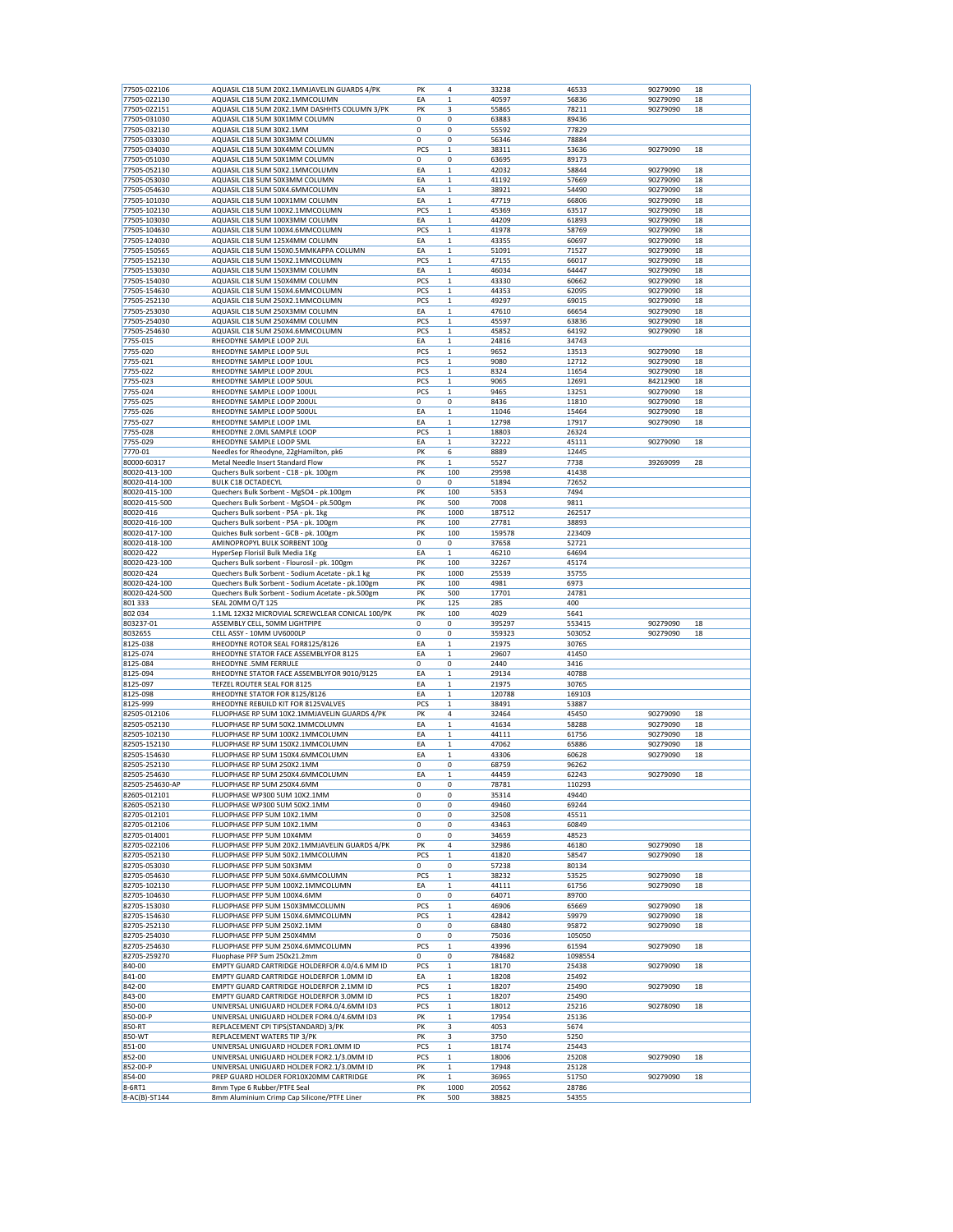| 77505-022106<br>77505-022130<br>77505-022151<br>77505-031030 | AQUASIL C18 5UM 20X2.1MMJAVELIN GUARDS 4/PK       |             | 4            | 33238  |         |                |
|--------------------------------------------------------------|---------------------------------------------------|-------------|--------------|--------|---------|----------------|
|                                                              | AQUASIL C18 5UM 20X2.1MMCOLUMN                    | EA          | $\mathbf 1$  | 40597  | 56836   | 90279090<br>18 |
|                                                              | AQUASIL C18 5UM 20X2.1MM DASHHTS COLUMN 3/PK      | PK          | 3            | 55865  | 78211   | 90279090<br>18 |
|                                                              | AQUASIL C18 5UM 30X1MM COLUMN                     | 0           | 0            | 63883  | 89436   |                |
| 77505-032130                                                 | AQUASIL C18 5UM 30X2.1MM                          | 0           | 0            | 55592  | 77829   |                |
| 77505-033030                                                 | AQUASIL C18 5UM 30X3MM COLUMN                     | $\mathbf 0$ | 0            | 56346  | 78884   |                |
| 77505-034030                                                 | AQUASIL C18 5UM 30X4MM COLUMN                     | PCS         | $\mathbf{1}$ | 38311  | 53636   | 90279090<br>18 |
|                                                              |                                                   |             |              |        |         |                |
| 77505-051030                                                 | AQUASIL C18 5UM 50X1MM COLUMN                     | 0           | 0            | 63695  | 89173   |                |
| 77505-052130                                                 | AQUASIL C18 5UM 50X2.1MMCOLUMN                    | EA          | $\mathbf 1$  | 42032  | 58844   | 90279090<br>18 |
| 77505-053030                                                 | AQUASIL C18 5UM 50X3MM COLUMN                     | EA          | $\mathbf 1$  | 41192  | 57669   | 18<br>90279090 |
| 77505-054630                                                 | AQUASIL C18 5UM 50X4.6MMCOLUMN                    | EA          | $\mathbf 1$  | 38921  | 54490   | 18<br>90279090 |
| 77505-101030                                                 | AQUASIL C18 5UM 100X1MM COLUMN                    | EA          | $\mathbf 1$  | 47719  | 66806   | 90279090<br>18 |
| 77505-102130                                                 | AQUASIL C18 5UM 100X2.1MMCOLUMN                   | PCS         | $\mathbf{1}$ | 45369  | 63517   | 18<br>90279090 |
| 77505-103030                                                 | AQUASIL C18 5UM 100X3MM COLUMN                    | EA          | $\mathbf 1$  | 44209  | 61893   | 90279090<br>18 |
| 77505-104630                                                 | AQUASIL C18 5UM 100X4.6MMCOLUMN                   | PCS         | $\mathbf 1$  | 41978  | 58769   | 90279090<br>18 |
| 77505-124030                                                 | AQUASIL C18 5UM 125X4MM COLUMN                    | EA          | $\mathbf 1$  | 43355  | 60697   | 90279090<br>18 |
| 77505-150565                                                 | AQUASIL C18 5UM 150X0.5MMKAPPA COLUMN             | EA          | $\mathbf 1$  | 51091  | 71527   | 18             |
|                                                              |                                                   |             |              |        |         | 90279090       |
| 77505-152130                                                 | AQUASIL C18 5UM 150X2.1MMCOLUMN                   | PCS         | $\mathbf 1$  | 47155  | 66017   | 18<br>90279090 |
| 77505-153030                                                 | AQUASIL C18 5UM 150X3MM COLUMN                    | EA          | $\mathbf 1$  | 46034  | 64447   | 90279090<br>18 |
| 77505-154030                                                 | AQUASIL C18 5UM 150X4MM COLUMN                    | PCS         | $\mathbf 1$  | 43330  | 60662   | 90279090<br>18 |
| 77505-154630                                                 | AQUASIL C18 5UM 150X4.6MMCOLUMN                   | PCS         | $\mathbf 1$  | 44353  | 62095   | 18<br>90279090 |
| 77505-252130                                                 | AQUASIL C18 5UM 250X2.1MMCOLUMN                   | PCS         | $\mathbf 1$  | 49297  | 69015   | 90279090<br>18 |
| 77505-253030                                                 | AQUASIL C18 5UM 250X3MM COLUMN                    | EA          | $\mathbf 1$  | 47610  | 66654   | 18<br>90279090 |
| 77505-254030                                                 | AQUASIL C18 5UM 250X4MM COLUMN                    | PCS         | $\mathbf 1$  | 45597  | 63836   | 18<br>90279090 |
| 77505-254630                                                 | AQUASIL C18 5UM 250X4.6MMCOLUMN                   | PCS         | $\mathbf 1$  | 45852  | 64192   | 18<br>90279090 |
| 7755-015                                                     | RHEODYNE SAMPLE LOOP 2UL                          | EA          | $\mathbf 1$  | 24816  | 34743   |                |
| 7755-020                                                     | RHEODYNE SAMPLE LOOP 5UL                          | PCS         | $\mathbf 1$  |        | 13513   | 90279090<br>18 |
|                                                              |                                                   |             |              | 9652   |         |                |
| 7755-021                                                     | RHEODYNE SAMPLE LOOP 10UL                         | PCS         | $\mathbf 1$  | 9080   | 12712   | 90279090<br>18 |
| 7755-022                                                     | RHEODYNE SAMPLE LOOP 20UL                         | PCS         | $\mathbf 1$  | 8324   | 11654   | 90279090<br>18 |
| 7755-023                                                     | RHEODYNE SAMPLE LOOP 50UL                         | PCS         | $\mathbf 1$  | 9065   | 12691   | 18<br>84212900 |
| 7755-024                                                     | RHEODYNE SAMPLE LOOP 100UL                        | PCS         | $\mathbf{1}$ | 9465   | 13251   | 90279090<br>18 |
| 7755-025                                                     | RHEODYNE SAMPLE LOOP 200UL                        | 0           | 0            | 8436   | 11810   | 90279090<br>18 |
| 7755-026                                                     | RHEODYNE SAMPLE LOOP 500UL                        | EA          | $\mathbf 1$  | 11046  | 15464   | 18<br>90279090 |
| 7755-027                                                     | RHEODYNE SAMPLE LOOP 1ML                          | EA          | $\mathbf 1$  | 12798  | 17917   | 18<br>90279090 |
| 7755-028                                                     | RHEODYNE 2.0ML SAMPLE LOOP                        | PCS         | $\mathbf 1$  | 18803  | 26324   |                |
|                                                              |                                                   |             |              | 32222  |         |                |
| 7755-029                                                     | RHEODYNE SAMPLE LOOP 5ML                          | EA          | $\mathbf 1$  |        | 45111   | 90279090<br>18 |
| 7770-01                                                      | Needles for Rheodyne, 22gHamilton, pk6            | PK          | 6            | 8889   | 12445   |                |
| 80000-60317                                                  | Metal Needle Insert Standard Flow                 | PK          | $\mathbf{1}$ | 5527   | 7738    | 39269099<br>28 |
| 80020-413-100                                                | Quchers Bulk sorbent - C18 - pk. 100gm            | PK          | 100          | 29598  | 41438   |                |
| 80020-414-100                                                | <b>BULK C18 OCTADECYL</b>                         | 0           | 0            | 51894  | 72652   |                |
| 80020-415-100                                                | Quechers Bulk Sorbent - MgSO4 - pk.100gm          | PK          | 100          | 5353   | 7494    |                |
| 80020-415-500                                                | Quechers Bulk Sorbent - MgSO4 - pk.500gm          | PK          | 500          | 7008   | 9811    |                |
| 80020-416                                                    | Quchers Bulk sorbent - PSA - pk. 1kg              | PK          | 1000         | 187512 | 262517  |                |
| 80020-416-100                                                | Quchers Bulk sorbent - PSA - pk. 100gm            | PK          | 100          | 27781  | 38893   |                |
| 80020-417-100                                                | Quiches Bulk sorbent - GCB - pk. 100gm            | PK          | 100          | 159578 | 223409  |                |
|                                                              |                                                   |             |              |        |         |                |
| 80020-418-100                                                | AMINOPROPYL BULK SORBENT 100g                     | 0           | 0            | 37658  | 52721   |                |
| 80020-422                                                    | HyperSep Florisil Bulk Media 1Kg                  | EA          | $\mathbf 1$  | 46210  | 64694   |                |
| 80020-423-100                                                | Quchers Bulk sorbent - Flourosil - pk. 100gm      | PK          | 100          | 32267  | 45174   |                |
| 80020-424                                                    | Quechers Bulk Sorbent - Sodium Acetate - pk.1 kg  | PK          | 1000         | 25539  | 35755   |                |
| 80020-424-100                                                | Quechers Bulk Sorbent - Sodium Acetate - pk.100gm | PK          | 100          | 4981   | 6973    |                |
| 80020-424-500                                                | Quechers Bulk Sorbent - Sodium Acetate - pk.500gm | PK          | 500          | 17701  | 24781   |                |
| 801 333                                                      | SEAL 20MM O/T 125                                 | PK          | 125          | 285    | 400     |                |
| 802 034                                                      | 1.1ML 12X32 MICROVIAL SCREWCLEAR CONICAL 100/PK   | PK          | 100          | 4029   | 5641    |                |
| 803237-01                                                    | ASSEMBLY CELL, 50MM LIGHTPIPE                     | 0           | 0            | 395297 | 553415  | 90279090<br>18 |
|                                                              | CELL ASSY - 10MM UV6000LP                         | 0           | 0            | 359323 | 503052  | 18<br>90279090 |
|                                                              |                                                   |             | $\mathbf{1}$ | 21975  | 30765   |                |
| 803265S                                                      |                                                   |             |              |        |         |                |
| 8125-038                                                     | RHEODYNE ROTOR SEAL FOR8125/8126                  | EA          |              |        |         |                |
| 8125-074                                                     | RHEODYNE STATOR FACE ASSEMBLYFOR 8125             | EA          | $\mathbf{1}$ | 29607  | 41450   |                |
| 8125-084                                                     | RHEODYNE .5MM FERRULE                             | 0           | $\pmb{0}$    | 2440   | 3416    |                |
| 8125-094                                                     | RHEODYNE STATOR FACE ASSEMBLYFOR 9010/9125        | EA          | $\mathbf 1$  | 29134  | 40788   |                |
| 8125-097                                                     | TEFZEL ROUTER SEAL FOR 8125                       | EA          | $\mathbf 1$  | 21975  | 30765   |                |
| 8125-098                                                     | RHEODYNE STATOR FOR 8125/8126                     | EA          | $\mathbf 1$  | 120788 | 169103  |                |
| 8125-999                                                     | RHEODYNE REBUILD KIT FOR 8125VALVES               | PCS         | $\mathbf 1$  | 38491  | 53887   |                |
|                                                              |                                                   | PK          | 4            |        |         | 18             |
| 82505-012106                                                 | FLUOPHASE RP 5UM 10X2.1MMJAVELIN GUARDS 4/PK      |             |              | 32464  | 45450   | 90279090       |
| 82505-052130                                                 | FLUOPHASE RP 5UM 50X2.1MMCOLUMN                   | EA          | $\mathbf 1$  | 41634  | 58288   | 90279090<br>18 |
| 82505-102130                                                 | FLUOPHASE RP 5UM 100X2.1MMCOLUMN                  | EA          | $\mathbf 1$  | 44111  | 61756   | 90279090<br>18 |
| 82505-152130                                                 | FLUOPHASE RP 5UM 150X2.1MMCOLUMN                  | EA          | $\mathbf 1$  | 47062  | 65886   | 90279090<br>18 |
| 82505-154630                                                 | FLUOPHASE RP 5UM 150X4.6MMCOLUMN                  | EA          | $\mathbf 1$  | 43306  | 60628   | 90279090<br>18 |
| 82505-252130                                                 | FLUOPHASE RP 5UM 250X2.1MM                        | $\mathbf 0$ | 0            | 68759  | 96262   |                |
| 82505-254630                                                 | FLUOPHASE RP 5UM 250X4.6MMCOLUMN                  | EA          | $\mathbf{1}$ | 44459  | 62243   | 90279090<br>18 |
| 82505-254630-AP                                              | FLUOPHASE RP 5UM 250X4.6MM                        | 0           | 0            | 78781  | 110293  |                |
| 82605-012101                                                 | FLUOPHASE WP300 5UM 10X2.1MM                      | 0           | 0            | 35314  | 49440   |                |
| 82605-052130                                                 | FLUOPHASE WP300 5UM 50X2.1MM                      | 0           | 0            | 49460  | 69244   |                |
|                                                              | FLUOPHASE PFP 5UM 10X2.1MM                        | 0           | 0            |        | 45511   |                |
| 82705-012101                                                 |                                                   | 0           |              | 32508  |         |                |
| 82705-012106                                                 | FLUOPHASE PFP 5UM 10X2.1MM                        |             | 0            | 43463  | 60849   |                |
| 82705-014001                                                 | FLUOPHASE PFP 5UM 10X4MM                          | 0           | 0            | 34659  | 48523   |                |
| 82705-022106                                                 | FLUOPHASE PFP 5UM 20X2.1MMJAVELIN GUARDS 4/PK     | PK          | 4            | 32986  | 46180   | 90279090<br>18 |
| 82705-052130                                                 | FLUOPHASE PFP 5UM 50X2.1MMCOLUMN                  | PCS         | $\mathbf 1$  | 41820  | 58547   | 90279090<br>18 |
| 82705-053030                                                 | FLUOPHASE PFP 5UM 50X3MM                          | 0           | 0            | 57238  | 80134   |                |
| 82705-054630                                                 | FLUOPHASE PFP 5UM 50X4.6MMCOLUMN                  | PCS         | $\mathbf 1$  | 38232  | 53525   | 90279090<br>18 |
| 82705-102130                                                 | FLUOPHASE PFP 5UM 100X2.1MMCOLUMN                 | EA          | $\mathbf 1$  | 44111  | 61756   | 90279090<br>18 |
| 82705-104630                                                 | FLUOPHASE PFP 5UM 100X4.6MM                       | 0           | 0            | 64071  | 89700   |                |
| 82705-153030                                                 | FLUOPHASE PFP 5UM 150X3MMCOLUMN                   | PCS         | $\mathbf 1$  | 46906  | 65669   | 90279090<br>18 |
|                                                              | FLUOPHASE PFP 5UM 150X4.6MMCOLUMN                 | PCS         | $\mathbf 1$  | 42842  | 59979   | 90279090<br>18 |
| 82705-154630<br>82705-252130                                 | FLUOPHASE PFP 5UM 250X2.1MM                       | 0           | 0            | 68480  | 95872   | 18<br>90279090 |
|                                                              | FLUOPHASE PFP 5UM 250X4MM                         |             |              |        |         |                |
| 82705-254030                                                 |                                                   | 0           | 0            | 75036  | 105050  |                |
| 82705-254630                                                 | FLUOPHASE PFP 5UM 250X4.6MMCOLUMN                 | PCS         | $\mathbf{1}$ | 43996  | 61594   | 90279090<br>18 |
| 82705-259270                                                 | Fluophase PFP 5um 250x21.2mm                      | 0           | 0            | 784682 | 1098554 |                |
| 840-00                                                       | EMPTY GUARD CARTRIDGE HOLDERFOR 4.0/4.6 MM ID     | PCS         | $\mathbf 1$  | 18170  | 25438   | 90279090<br>18 |
| 841-00                                                       | EMPTY GUARD CARTRIDGE HOLDERFOR 1.0MM ID          | EA          | $\mathbf 1$  | 18208  | 25492   |                |
| 842-00                                                       | EMPTY GUARD CARTRIDGE HOLDERFOR 2.1MM ID          | PCS         | $\mathbf 1$  | 18207  | 25490   | 18<br>90279090 |
| 843-00                                                       | EMPTY GUARD CARTRIDGE HOLDERFOR 3.0MM ID          | PCS         | $\mathbf 1$  | 18207  | 25490   |                |
| 850-00                                                       | UNIVERSAL UNIGUARD HOLDER FOR4.0/4.6MM ID3        | PCS         | $\mathbf 1$  | 18012  | 25216   | 90278090<br>18 |
| 850-00-P                                                     | UNIVERSAL UNIGUARD HOLDER FOR4.0/4.6MM ID3        | PK          | $\mathbf 1$  | 17954  | 25136   |                |
|                                                              |                                                   |             |              |        |         |                |
| 850-RT                                                       | REPLACEMENT CPI TIPS(STANDARD) 3/PK               | PK          | 3            | 4053   | 5674    |                |
| 850-WT                                                       | REPLACEMENT WATERS TIP 3/PK                       | PK          | 3            | 3750   | 5250    |                |
| 851-00                                                       | UNIVERSAL UNIGUARD HOLDER FOR1.0MM ID             | PCS         | $\mathbf 1$  | 18174  | 25443   |                |
| 852-00                                                       | UNIVERSAL UNIGUARD HOLDER FOR2.1/3.0MM ID         | PCS         | $\,1$        | 18006  | 25208   | 90279090<br>18 |
| 852-00-P                                                     | UNIVERSAL UNIGUARD HOLDER FOR2.1/3.0MM ID         | PK          | $\mathbf 1$  | 17948  | 25128   |                |
| 854-00                                                       | PREP GUARD HOLDER FOR10X20MM CARTRIDGE            | PK          | 1            | 36965  | 51750   | 90279090<br>18 |
| 8-6RT1                                                       | 8mm Type 6 Rubber/PTFE Seal                       | PK          | 1000         | 20562  | 28786   |                |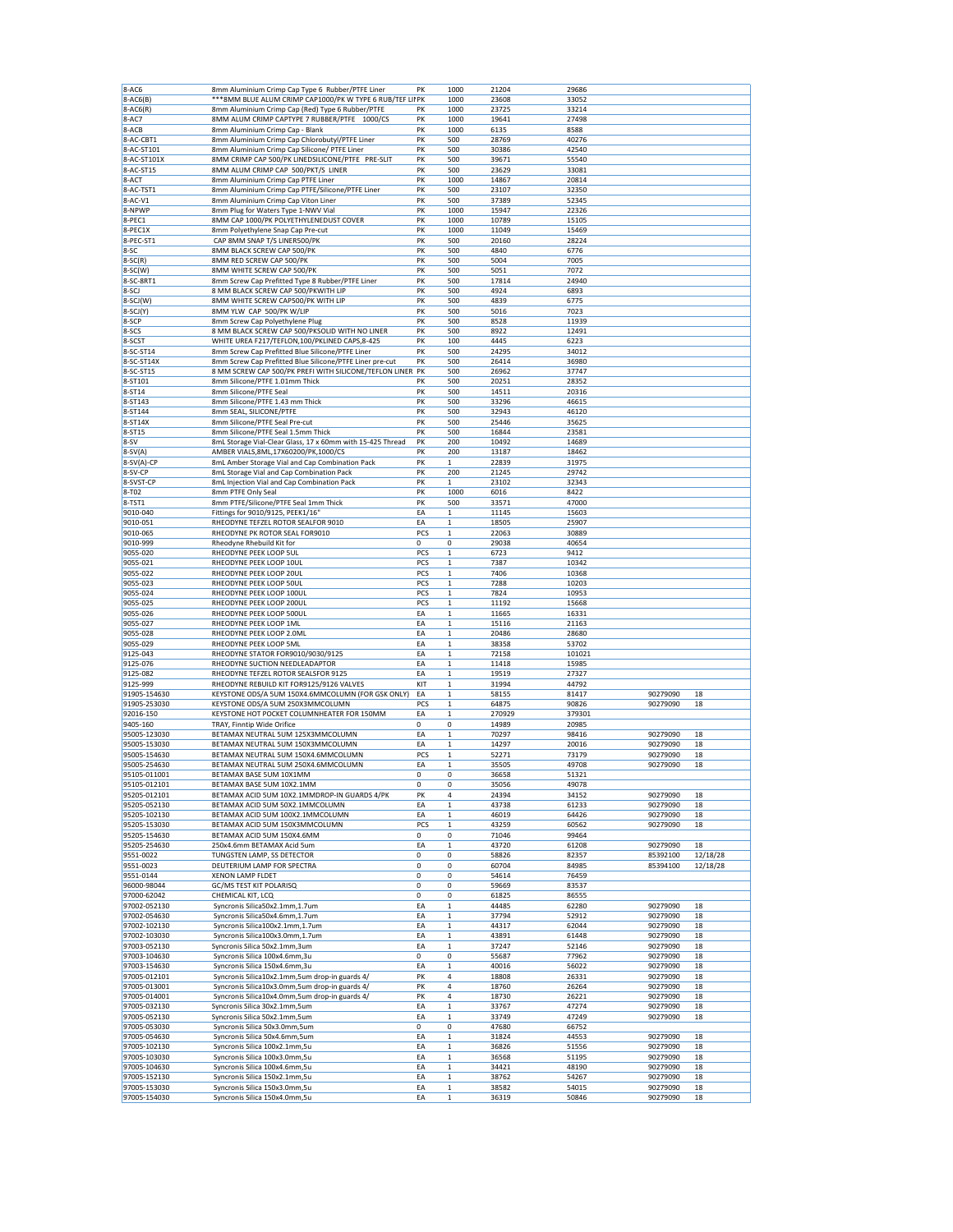| 8-AC6                        | 8mm Aluminium Crimp Cap Type 6 Rubber/PTFE Liner               | PK       | 1000                       | 21204          | 29686          |                      |          |
|------------------------------|----------------------------------------------------------------|----------|----------------------------|----------------|----------------|----------------------|----------|
| 8-AC6(B)                     | *** 8MM BLUE ALUM CRIMP CAP1000/PK W TYPE 6 RUB/TEF LII PK     |          | 1000                       | 23608          | 33052          |                      |          |
| 8-AC6(R)                     | 8mm Aluminium Crimp Cap (Red) Type 6 Rubber/PTFE               | PK       | 1000                       | 23725          | 33214          |                      |          |
| 8-AC7                        | 8MM ALUM CRIMP CAPTYPE 7 RUBBER/PTFE 1000/CS                   | PK       | 1000                       | 19641          | 27498          |                      |          |
| 8-ACB                        | 8mm Aluminium Crimp Cap - Blank                                | PK       | 1000                       | 6135           | 8588           |                      |          |
| 8-AC-CBT1                    | 8mm Aluminium Crimp Cap Chlorobutyl/PTFE Liner                 | PK       | 500                        | 28769          | 40276          |                      |          |
| 8-AC-ST101                   | 8mm Aluminium Crimp Cap Silicone/ PTFE Liner                   | PK       | 500                        | 30386          | 42540          |                      |          |
| 8-AC-ST101X                  | 8MM CRIMP CAP 500/PK LINEDSILICONE/PTFE PRE-SLIT               | PK       | 500                        | 39671          | 55540          |                      |          |
| 8-AC-ST15                    | 8MM ALUM CRIMP CAP 500/PKT/S LINER                             | PK       | 500                        | 23629          | 33081          |                      |          |
| 8-ACT                        | 8mm Aluminium Crimp Cap PTFE Liner                             | PK       | 1000                       | 14867          | 20814          |                      |          |
| 8-AC-TST1                    | 8mm Aluminium Crimp Cap PTFE/Silicone/PTFE Liner               | PK       | 500                        | 23107          | 32350          |                      |          |
| 8-AC-V1                      |                                                                | PK       | 500                        |                | 52345          |                      |          |
|                              | 8mm Aluminium Crimp Cap Viton Liner                            |          |                            | 37389          |                |                      |          |
| 8-NPWP                       | 8mm Plug for Waters Type 1-NWV Vial                            | PK       | 1000                       | 15947          | 22326          |                      |          |
| 8-PEC1                       | 8MM CAP 1000/PK POLYETHYLENEDUST COVER                         | PK       | 1000                       | 10789          | 15105          |                      |          |
| 8-PEC1X                      | 8mm Polyethylene Snap Cap Pre-cut                              | PK       | 1000                       | 11049          | 15469          |                      |          |
| 8-PEC-ST1                    | CAP 8MM SNAP T/S LINER500/PK                                   | PK       | 500                        | 20160          | 28224          |                      |          |
| $8-SC$                       | 8MM BLACK SCREW CAP 500/PK                                     | PK       | 500                        | 4840           | 6776           |                      |          |
| $8-SC(R)$                    | 8MM RED SCREW CAP 500/PK                                       | PK       | 500                        | 5004           | 7005           |                      |          |
| $8-SC(W)$                    | 8MM WHITE SCREW CAP 500/PK                                     | PK       | 500                        | 5051           | 7072           |                      |          |
| 8-SC-8RT1                    | 8mm Screw Cap Prefitted Type 8 Rubber/PTFE Liner               | PK       | 500                        | 17814          | 24940          |                      |          |
| 8-SCJ                        | 8 MM BLACK SCREW CAP 500/PKWITH LIP                            | PK       | 500                        | 4924           | 6893           |                      |          |
| 8-SCJ(W)                     | 8MM WHITE SCREW CAP500/PK WITH LIP                             | PK       | 500                        | 4839           | 6775           |                      |          |
| 8-SCJ(Y)                     | 8MM YLW CAP 500/PK W/LIP                                       | PK       | 500                        | 5016           | 7023           |                      |          |
| 8-SCP                        | 8mm Screw Cap Polyethylene Plug                                | PK       | 500                        | 8528           | 11939          |                      |          |
| 8-SCS                        | 8 MM BLACK SCREW CAP 500/PKSOLID WITH NO LINER                 | PK       | 500                        | 8922           | 12491          |                      |          |
|                              |                                                                |          |                            |                |                |                      |          |
| 8-SCST                       | WHITE UREA F217/TEFLON, 100/PKLINED CAPS, 8-425                | PK       | 100                        | 4445           | 6223           |                      |          |
| 8-SC-ST14                    | 8mm Screw Cap Prefitted Blue Silicone/PTFE Liner               | PK       | 500                        | 24295          | 34012          |                      |          |
| 8-SC-ST14X                   | 8mm Screw Cap Prefitted Blue Silicone/PTFE Liner pre-cut       | PK       | 500                        | 26414          | 36980          |                      |          |
| 8-SC-ST15                    | 8 MM SCREW CAP 500/PK PREFI WITH SILICONE/TEFLON LINER PK      |          | 500                        | 26962          | 37747          |                      |          |
| 8-ST101                      | 8mm Silicone/PTFE 1.01mm Thick                                 | PK       | 500                        | 20251          | 28352          |                      |          |
| 8-ST14                       | 8mm Silicone/PTFE Seal                                         | PK       | 500                        | 14511          | 20316          |                      |          |
| 8-ST143                      | 8mm Silicone/PTFE 1.43 mm Thick                                | PK       | 500                        | 33296          | 46615          |                      |          |
| 8-ST144                      | 8mm SEAL, SILICONE/PTFE                                        | PK       | 500                        | 32943          | 46120          |                      |          |
| 8-ST14X                      | 8mm Silicone/PTFE Seal Pre-cut                                 | PK       | 500                        | 25446          | 35625          |                      |          |
| 8-ST15                       | 8mm Silicone/PTFE Seal 1.5mm Thick                             | PK       | 500                        | 16844          | 23581          |                      |          |
| $8-SV$                       | 8mL Storage Vial-Clear Glass, 17 x 60mm with 15-425 Thread     | PK       |                            | 10492          |                |                      |          |
|                              | AMBER VIALS, 8ML, 17X60200/PK, 1000/CS                         | PK       | 200<br>200                 | 13187          | 14689<br>18462 |                      |          |
| $8-SV(A)$                    |                                                                |          |                            |                |                |                      |          |
| 8-SV(A)-CP                   | 8mL Amber Storage Vial and Cap Combination Pack                | PK       | 1                          | 22839          | 31975          |                      |          |
| 8-SV-CP                      | 8mL Storage Vial and Cap Combination Pack                      | PK       | 200                        | 21245          | 29742          |                      |          |
| 8-SVST-CP                    | 8mL Injection Vial and Cap Combination Pack                    | PK       | $\mathbf 1$                | 23102          | 32343          |                      |          |
| 8-T02                        | 8mm PTFE Only Seal                                             | PK       | 1000                       | 6016           | 8422           |                      |          |
| 8-TST1                       | 8mm PTFE/Silicone/PTFE Seal 1mm Thick                          | PK       | 500                        | 33571          | 47000          |                      |          |
| 9010-040                     | Fittings for 9010/9125, PEEK1/16'                              | EA       | $\mathbf 1$                | 11145          | 15603          |                      |          |
| 9010-051                     | RHEODYNE TEFZEL ROTOR SEALFOR 9010                             | EA       | $\mathbf{1}$               | 18505          | 25907          |                      |          |
| 9010-065                     | RHEODYNE PK ROTOR SEAL FOR9010                                 | PCS      | 1                          | 22063          | 30889          |                      |          |
| 9010-999                     | Rheodyne Rhebuild Kit for                                      | 0        | 0                          | 29038          | 40654          |                      |          |
| 9055-020                     | RHEODYNE PEEK LOOP 5UL                                         | PCS      | 1                          | 6723           | 9412           |                      |          |
|                              |                                                                |          |                            |                |                |                      |          |
| 9055-021                     | RHEODYNE PEEK LOOP 10UL                                        | PCS      | 1                          | 7387           | 10342          |                      |          |
| 9055-022                     | RHEODYNE PEEK LOOP 20UL                                        | PCS      | $\mathbf{1}$               | 7406           | 10368          |                      |          |
| 9055-023                     | RHEODYNE PEEK LOOP 50UL                                        | PCS      | $\mathbf 1$                | 7288           | 10203          |                      |          |
| 9055-024                     | RHEODYNE PEEK LOOP 100UL                                       | PCS      | 1                          | 7824           | 10953          |                      |          |
| 9055-025                     | RHEODYNE PEEK LOOP 200UL                                       | PCS      | 1                          | 11192          | 15668          |                      |          |
| 9055-026                     | RHEODYNE PEEK LOOP 500UL                                       | EA       | $\mathbf 1$                | 11665          | 16331          |                      |          |
| 9055-027                     | RHEODYNE PEEK LOOP 1ML                                         | EA       | 1                          | 15116          | 21163          |                      |          |
| 9055-028                     | RHEODYNE PEEK LOOP 2.0ML                                       | EA       | $\mathbf{1}$               | 20486          | 28680          |                      |          |
| 9055-029                     | RHEODYNE PEEK LOOP 5ML                                         | EA       | $\mathbf 1$                | 38358          | 53702          |                      |          |
| 9125-043                     | RHEODYNE STATOR FOR9010/9030/9125                              | EA       | 1                          | 72158          | 101021         |                      |          |
| 9125-076                     | RHEODYNE SUCTION NEEDLEADAPTOR                                 | EA       | 1                          | 11418          | 15985          |                      |          |
| 9125-082                     | RHEODYNE TEFZEL ROTOR SEALSFOR 9125                            | EA       | $\mathbf{1}$               | 19519          | 27327          |                      |          |
|                              |                                                                | KIT      |                            |                | 44792          |                      |          |
| 9125-999                     | RHEODYNE REBUILD KIT FOR9125/9126 VALVES                       |          | 1                          | 31994          |                |                      |          |
| 91905-154630                 | KEYSTONE ODS/A 5UM 150X4.6MMCOLUMN (FOR GSK ONLY)              | EA       | $\mathbf 1$                | 58155          | 81417          | 90279090             | 18       |
| 91905-253030                 | KEYSTONE ODS/A 5UM 250X3MMCOLUMN                               | PCS      | $\mathbf 1$                | 64875          | 90826          | 90279090             | 18       |
| 92016-150                    | KEYSTONE HOT POCKET COLUMNHEATER FOR 150MM                     | EA       | 1                          | 270929         | 379301         |                      |          |
| 9405-160                     | TRAY, Finntip Wide Orifice                                     | 0        | 0                          | 14989          | 20985          |                      |          |
| 95005-123030                 | BETAMAX NEUTRAL 5UM 125X3MMCOLUMN                              | EA       | $\mathbf 1$                | 70297          | 98416          | 90279090             | 18       |
| 95005-153030                 | BETAMAX NEUTRAL 5UM 150X3MMCOLUMN                              | EA       | 1                          | 14297          | 20016          | 90279090             | 18       |
| 95005-154630                 | BETAMAX NEUTRAL 5UM 150X4.6MMCOLUMN                            | PCS      | 1                          | 52271          | 73179          | 90279090             | 18       |
| 95005-254630                 | BETAMAX NEUTRAL 5UM 250X4.6MMCOLUMN                            | EA       | $\mathbf 1$                | 35505          | 49708          | 90279090             | 18       |
| 95105-011001                 | BETAMAX BASE 5UM 10X1MM                                        | 0        | 0                          | 36658          | 51321          |                      |          |
| 95105-012101                 | BETAMAX BASE 5UM 10X2.1MM                                      | 0        | 0                          | 35056          | 49078          |                      |          |
| 95205-012101                 | BETAMAX ACID 5UM 10X2.1MMDROP-IN GUARDS 4/PK                   | PK       | 4                          | 24394          | 34152          | 90279090             | 18       |
| 95205-052130                 | BETAMAX ACID 5UM 50X2.1MMCOLUMN                                | EA       | 1                          | 43738          | 61233          | 90279090             | 18       |
|                              |                                                                |          |                            |                |                |                      |          |
| 95205-102130                 | BETAMAX ACID 5UM 100X2.1MMCOLUMN                               | EA       | $\mathbf 1$                | 46019          | 64426          | 90279090             | 18       |
| 95205-153030                 | BETAMAX ACID 5UM 150X3MMCOLUMN                                 | PCS      | $\mathbf 1$                | 43259          | 60562          | 90279090             | 18       |
| 95205-154630                 | BETAMAX ACID 5UM 150X4.6MM                                     | 0        | 0                          | 71046          | 99464          |                      |          |
| 95205-254630                 | 250x4.6mm BETAMAX Acid 5um                                     | EA       | 1                          | 43720          | 61208          | 90279090             | 18       |
| 9551-0022                    | TUNGSTEN LAMP, SS DETECTOR                                     | 0        | 0                          | 58826          | 82357          | 85392100             | 12/18/28 |
| 9551-0023                    | DEUTERIUM LAMP FOR SPECTRA                                     | 0        | 0                          | 60704          | 84985          | 85394100             | 12/18/28 |
| 9551-0144                    | XENON LAMP FLDET                                               | 0        | 0                          | 54614          | 76459          |                      |          |
| 96000-98044                  | GC/MS TEST KIT POLARISQ                                        | 0        | 0                          | 59669          | 83537          |                      |          |
| 97000-62042                  | CHEMICAL KIT, LCQ                                              | 0        | 0                          | 61825          | 86555          |                      |          |
| 97002-052130                 | Syncronis Silica50x2.1mm,1.7um                                 | EA       | 1                          | 44485          | 62280          | 90279090             | 18       |
| 97002-054630                 | Syncronis Silica50x4.6mm,1.7um                                 | EA       | $\mathbf 1$                | 37794          | 52912          | 90279090             | 18       |
| 97002-102130                 | Syncronis Silica100x2.1mm,1.7um                                | EA       | $\mathbf 1$                | 44317          | 62044          | 90279090             | 18       |
| 97002-103030                 | Syncronis Silica100x3.0mm,1.7um                                | EA       | 1                          | 43891          | 61448          | 90279090             | 18       |
|                              | Syncronis Silica 50x2.1mm,3um                                  |          |                            |                |                |                      |          |
| 97003-052130                 |                                                                | EA       | $\mathbf 1$                | 37247          | 52146          | 90279090             | 18       |
| 97003-104630                 | Syncronis Silica 100x4.6mm,3u                                  | 0        | 0                          | 55687          | 77962          | 90279090             | 18       |
| 97003-154630                 | Syncronis Silica 150x4.6mm,3u                                  | EA       | $\mathbf 1$                | 40016          | 56022          | 90279090             | 18       |
| 97005-012101                 | Syncronis Silica10x2.1mm,5um drop-in guards 4/                 | PK       | 4                          | 18808          | 26331          | 90279090             | 18       |
| 97005-013001                 | Syncronis Silica10x3.0mm,5um drop-in guards 4/                 | PK       | 4                          | 18760          | 26264          | 90279090             | 18       |
| 97005-014001                 | Syncronis Silica10x4.0mm,5um drop-in guards 4/                 | PK       | 4                          | 18730          | 26221          | 90279090             | 18       |
| 97005-032130                 | Syncronis Silica 30x2.1mm,5um                                  | EA       | $\mathbf 1$                | 33767          | 47274          | 90279090             | 18       |
| 97005-052130                 | Syncronis Silica 50x2.1mm,5um                                  | EA       | $\mathbf 1$                | 33749          | 47249          | 90279090             | 18       |
| 97005-053030                 | Syncronis Silica 50x3.0mm,5um                                  | 0        | 0                          | 47680          | 66752          |                      |          |
| 97005-054630                 | Syncronis Silica 50x4.6mm,5um                                  | EA       | 1                          | 31824          | 44553          | 90279090             | 18       |
| 97005-102130                 | Syncronis Silica 100x2.1mm,5u                                  | EA       | $\mathbf 1$                | 36826          | 51556          | 90279090             | 18       |
| 97005-103030                 | Syncronis Silica 100x3.0mm,5u                                  | EA       | 1                          | 36568          | 51195          | 90279090             | 18       |
| 97005-104630                 | Syncronis Silica 100x4.6mm,5u                                  | EA       | $\mathbf 1$                | 34421          | 48190          | 90279090             | 18       |
| 97005-152130                 |                                                                |          |                            |                |                |                      |          |
|                              |                                                                |          |                            |                |                |                      |          |
|                              | Syncronis Silica 150x2.1mm,5u                                  | EA       | $\mathbf{1}$               | 38762          | 54267          | 90279090             | 18       |
| 97005-153030<br>97005-154030 | Syncronis Silica 150x3.0mm,5u<br>Syncronis Silica 150x4.0mm,5u | EA<br>EA | $\mathbf 1$<br>$\mathbf 1$ | 38582<br>36319 | 54015<br>50846 | 90279090<br>90279090 | 18<br>18 |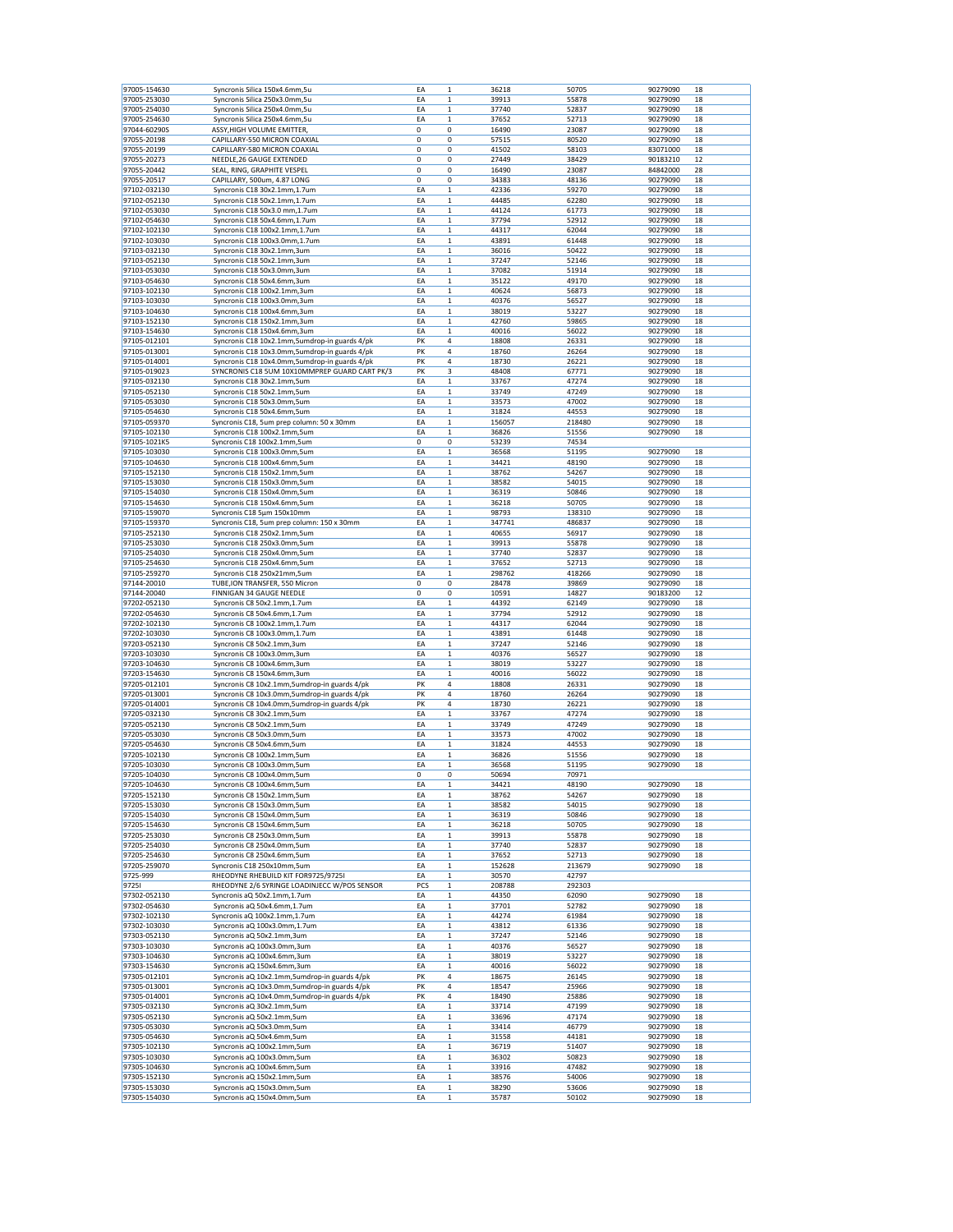| 97005-154630<br>97005-253030<br>97005-254030 | Syncronis Silica 150x4.6mm,5u                            | EA       | $\mathbf 1$                | 36218          | 50705          | 90279090             | 18       |
|----------------------------------------------|----------------------------------------------------------|----------|----------------------------|----------------|----------------|----------------------|----------|
|                                              | Syncronis Silica 250x3.0mm,5u                            | EA       | 1                          | 39913          | 55878          | 90279090             | 18       |
|                                              | Syncronis Silica 250x4.0mm,5u                            | EA       | $\mathbf 1$                | 37740          | 52837          | 90279090             | 18       |
| 97005-254630                                 | Syncronis Silica 250x4.6mm,5u                            | ΕA       | 1                          | 37652          | 52713          | 90279090             | 18       |
|                                              |                                                          |          |                            |                |                |                      |          |
| 97044-60290S                                 | ASSY, HIGH VOLUME EMITTER,                               | 0        | 0                          | 16490          | 23087          | 90279090             | 18       |
| 97055-20198                                  | CAPILLARY-550 MICRON COAXIAL                             | 0        | 0                          | 57515          | 80520          | 90279090             | 18       |
| 97055-20199                                  | CAPILLARY-580 MICRON COAXIAL                             | 0        | 0                          | 41502          | 58103          | 83071000             | 18       |
| 97055-20273                                  | NEEDLE, 26 GAUGE EXTENDED                                | 0        | 0                          | 27449          | 38429          | 90183210             | 12       |
| 97055-20442                                  | SEAL, RING, GRAPHITE VESPEL                              | 0        | 0                          | 16490          | 23087          | 84842000             | 28       |
| 97055-20517                                  | CAPILLARY, 500um, 4.87 LONG                              | 0        | 0                          | 34383          | 48136          | 90279090             | 18       |
| 97102-032130                                 | Syncronis C18 30x2.1mm,1.7um                             | ΕA       | 1                          | 42336          | 59270          | 90279090             | 18       |
| 97102-052130                                 | Syncronis C18 50x2.1mm,1.7um                             | EA       | 1                          | 44485          | 62280          | 90279090             | 18       |
| 97102-053030                                 | Syncronis C18 50x3.0 mm,1.7um                            | EA       | $\mathbf 1$                | 44124          | 61773          | 90279090             | 18       |
| 97102-054630                                 | Syncronis C18 50x4.6mm,1.7um                             | ΕA       | $\mathbf 1$                | 37794          | 52912          | 90279090             | 18       |
| 97102-102130                                 | Syncronis C18 100x2.1mm,1.7um                            | ΕA       | $\mathbf 1$                | 44317          | 62044          | 90279090             | 18       |
| 97102-103030                                 | Syncronis C18 100x3.0mm,1.7um                            | EA       | $\mathbf 1$                | 43891          | 61448          | 90279090             | 18       |
| 97103-032130                                 | Syncronis C18 30x2.1mm,3um                               | ΕA       | $\mathbf 1$                | 36016          | 50422          | 90279090             | 18       |
| 97103-052130                                 | Syncronis C18 50x2.1mm,3um                               | EA       | 1                          | 37247          | 52146          | 90279090             | 18       |
| 97103-053030                                 | Syncronis C18 50x3.0mm,3um                               | EA       | $\mathbf 1$                | 37082          | 51914          | 90279090             | 18       |
| 97103-054630                                 |                                                          | ΕA       | $\mathbf 1$                | 35122          | 49170          | 90279090             | 18       |
|                                              | Syncronis C18 50x4.6mm,3um                               |          | $\mathbf 1$                |                |                |                      |          |
| 97103-102130                                 | Syncronis C18 100x2.1mm,3um                              | ΕA       |                            | 40624          | 56873          | 90279090             | 18       |
| 97103-103030                                 | Syncronis C18 100x3.0mm,3um                              | EA       | $\mathbf 1$                | 40376          | 56527          | 90279090             | 18       |
| 97103-104630                                 | Syncronis C18 100x4.6mm,3um                              | ΕA       | 1                          | 38019          | 53227          | 90279090             | 18       |
| 97103-152130                                 | Syncronis C18 150x2.1mm,3um                              | ΕA       | 1                          | 42760          | 59865          | 90279090             | 18       |
| 97103-154630                                 | Syncronis C18 150x4.6mm,3um                              | EA       | $\mathbf{1}$               | 40016          | 56022          | 90279090             | 18       |
| 97105-012101                                 | Syncronis C18 10x2.1mm,5umdrop-in guards 4/pk            | PK       | 4                          | 18808          | 26331          | 90279090             | 18       |
| 97105-013001                                 | Syncronis C18 10x3.0mm,5umdrop-in guards 4/pk            | PΚ       | 4                          | 18760          | 26264          | 90279090             | 18       |
| 97105-014001                                 | Syncronis C18 10x4.0mm,5umdrop-in guards 4/pk            | PK       | 4                          | 18730          | 26221          | 90279090             | 18       |
| 97105-019023                                 | SYNCRONIS C18 5UM 10X10MMPREP GUARD CART PK/3            | PK       | 3                          | 48408          | 67771          | 90279090             | 18       |
| 97105-032130                                 | Syncronis C18 30x2.1mm,5um                               | ΕA       | 1                          | 33767          | 47274          | 90279090             | 18       |
| 97105-052130                                 | Syncronis C18 50x2.1mm,5um                               | EA       | 1                          | 33749          | 47249          | 90279090             | 18       |
| 97105-053030                                 | Syncronis C18 50x3.0mm,5um                               | EA       | $\mathbf 1$                | 33573          | 47002          | 90279090             | 18       |
| 97105-054630                                 | Syncronis C18 50x4.6mm,5um                               | ΕA       | $\mathbf 1$                | 31824          | 44553          | 90279090             | 18       |
| 97105-059370                                 | Syncronis C18, 5um prep column: 50 x 30mm                | ΕA       | $\mathbf 1$                | 156057         | 218480         | 90279090             | 18       |
| 97105-102130                                 | Syncronis C18 100x2.1mm,5um                              | EA       | $\mathbf 1$                | 36826          | 51556          | 90279090             | 18       |
|                                              |                                                          |          |                            |                |                |                      |          |
| 97105-1021K5                                 | Syncronis C18 100x2.1mm,5um                              | 0        | 0                          | 53239          | 74534          |                      |          |
| 97105-103030                                 | Syncronis C18 100x3.0mm,5um                              | EA       | 1                          | 36568          | 51195          | 90279090             | 18       |
| 97105-104630                                 | Syncronis C18 100x4.6mm,5um                              | EA       | $\,1$                      | 34421          | 48190          | 90279090             | 18       |
| 97105-152130                                 | Syncronis C18 150x2.1mm,5um                              | ΕA       | $\mathbf 1$                | 38762          | 54267          | 90279090             | 18       |
| 97105-153030                                 | Syncronis C18 150x3.0mm,5um                              | ΕA       | $\mathbf 1$                | 38582          | 54015          | 90279090             | 18       |
| 97105-154030                                 | Syncronis C18 150x4.0mm,5um                              | EA       | $\mathbf 1$                | 36319          | 50846          | 90279090             | 18       |
| 97105-154630                                 | Syncronis C18 150x4.6mm,5um                              | ΕA       | $\mathbf 1$                | 36218          | 50705          | 90279090             | 18       |
| 97105-159070                                 | Syncronis C18 5um 150x10mm                               | EA       | 1                          | 98793          | 138310         | 90279090             | 18       |
| 97105-159370                                 | Syncronis C18, 5um prep column: 150 x 30mm               | EA       | $\mathbf 1$                | 347741         | 486837         | 90279090             | 18       |
| 97105-252130                                 | Syncronis C18 250x2.1mm,5um                              | ΕA       | $\mathbf 1$                | 40655          | 56917          | 90279090             | 18       |
| 97105-253030                                 | Syncronis C18 250x3.0mm,5um                              | ΕA       | $\mathbf 1$                | 39913          | 55878          | 90279090             | 18       |
| 97105-254030                                 | Syncronis C18 250x4.0mm,5um                              | EA       | $\mathbf{1}$               | 37740          | 52837          | 90279090             | 18       |
| 97105-254630                                 | Syncronis C18 250x4.6mm,5um                              | ΕA       | 1                          | 37652          | 52713          | 90279090             | 18       |
| 97105-259270                                 | Syncronis C18 250x21mm,5um                               | ΕA       | 1                          | 298762         | 418266         | 90279090             | 18       |
| 97144-20010                                  |                                                          | 0        | 0                          | 28478          | 39869          | 90279090             | 18       |
|                                              | TUBE, ION TRANSFER, 550 Micron                           |          |                            |                |                |                      |          |
| 97144-20040                                  | FINNIGAN 34 GAUGE NEEDLE                                 | 0        | 0                          | 10591          | 14827          | 90183200             | 12       |
| 97202-052130                                 | Syncronis C8 50x2.1mm,1.7um                              | ΕA       | $\mathbf 1$                | 44392          | 62149          | 90279090             | 18       |
| 97202-054630                                 | Syncronis C8 50x4.6mm,1.7um                              | ΕA       | $\mathbf 1$                | 37794          | 52912          | 90279090             | 18       |
| 97202-102130                                 | Syncronis C8 100x2.1mm,1.7um                             | ΕA       | $\mathbf 1$                | 44317          | 62044          | 90279090             | 18       |
| 97202-103030                                 | Syncronis C8 100x3.0mm,1.7um                             | ΕA       | $\mathbf 1$                | 43891          | 61448          | 90279090             | 18       |
| 97203-052130                                 | Syncronis C8 50x2.1mm,3um                                | EA       | 1                          | 37247          | 52146          | 90279090             | 18       |
| 97203-103030                                 | Syncronis C8 100x3.0mm,3um                               | EA       | $\mathbf 1$                | 40376          | 56527          | 90279090             | 18       |
| 97203-104630                                 | Syncronis C8 100x4.6mm,3um                               |          |                            |                |                |                      |          |
|                                              |                                                          | ΕA       | $\mathbf 1$                | 38019          | 53227          | 90279090             | 18       |
|                                              |                                                          |          |                            |                |                |                      |          |
| 97203-154630                                 | Syncronis C8 150x4.6mm,3um                               | ΕA       | 1                          | 40016          | 56022          | 90279090             | 18       |
| 97205-012101                                 | Syncronis C8 10x2.1mm,5umdrop-in guards 4/pk             | PK       | 4                          | 18808          | 26331          | 90279090             | 18       |
| 97205-013001                                 | Syncronis C8 10x3.0mm,5umdrop-in guards 4/pk             | PK       | 4                          | 18760          | 26264          | 90279090             | 18       |
| 97205-014001                                 | Syncronis C8 10x4.0mm,5umdrop-in guards 4/pk             | PK       | 4                          | 18730          | 26221          | 90279090             | 18       |
| 97205-032130                                 | Syncronis C8 30x2.1mm,5um                                | EA       | $\mathbf 1$                | 33767          | 47274          | 90279090             | 18       |
| 97205-052130                                 | Syncronis C8 50x2.1mm,5um                                | ΕA       | $\mathbf 1$                | 33749          | 47249          | 90279090             | 18       |
| 97205-053030                                 | Syncronis C8 50x3.0mm,5um                                | ΕA       | 1                          | 33573          | 47002          | 90279090             | 18       |
| 97205-054630                                 | Syncronis C8 50x4.6mm,5um                                | EA       | $\mathbf 1$                | 31824          | 44553          | 90279090             | 18       |
| 97205-102130                                 | Syncronis C8 100x2.1mm,5um                               | EA       | 1                          | 36826          | 51556          | 90279090             | 18       |
| 97205-103030                                 | Syncronis C8 100x3.0mm,5um                               | EA       | 1                          | 36568          | 51195          | 90279090             | 18       |
| 97205-104030                                 | Syncronis C8 100x4.0mm,5um                               | 0        | 0                          | 50694          | 70971          |                      |          |
| 97205-104630                                 | Syncronis C8 100x4.6mm,5um                               | ΕA       | $\mathbf 1$                | 34421          | 48190          | 90279090             | 18       |
| 97205-152130                                 | Syncronis C8 150x2.1mm,5um                               | ΕA       | $\mathbf 1$                | 38762          | 54267          | 90279090             | 18       |
| 97205-153030                                 | Syncronis C8 150x3.0mm,5um                               | EA       | $\mathbf 1$                | 38582          | 54015          | 90279090             | 18       |
| 97205-154030                                 | Syncronis C8 150x4.0mm,5um                               | EA       | 1                          | 36319          | 50846          | 90279090             | 18       |
| 97205-154630                                 | Syncronis C8 150x4.6mm,5um                               | EA       | 1                          | 36218          | 50705          | 90279090             | 18       |
| 97205-253030                                 | Syncronis C8 250x3.0mm,5um                               | EA       | 1                          | 39913          | 55878          | 90279090             | 18       |
| 97205-254030                                 | Syncronis C8 250x4.0mm,5um                               | ΕA       | $\mathbf 1$                | 37740          | 52837          | 90279090             | 18       |
| 97205-254630                                 | Syncronis C8 250x4.6mm,5um                               | EA       | $\mathbf 1$                | 37652          | 52713          | 90279090             | 18       |
| 97205-259070                                 | Syncronis C18 250x10mm,5um                               | ΕA       | $\mathbf 1$                | 152628         | 213679         | 90279090             | 18       |
|                                              |                                                          |          |                            |                |                |                      |          |
| 9725-999                                     | RHEODYNE RHEBUILD KIT FOR9725/9725I                      | EA       | $\mathbf 1$                | 30570          | 42797          |                      |          |
| 97251                                        | RHEODYNE 2/6 SYRINGE LOADINJECC W/POS SENSOR             | PCS      | $\mathbf 1$                | 208788         | 292303         |                      |          |
| 97302-052130                                 | Syncronis aQ 50x2.1mm,1.7um                              | EA       | $\mathbf 1$                | 44350          | 62090          | 90279090             | 18       |
| 97302-054630                                 | Syncronis aQ 50x4.6mm,1.7um                              | ΕA       | $\mathbf 1$                | 37701          | 52782          | 90279090             | 18       |
| 97302-102130                                 | Syncronis aQ 100x2.1mm,1.7um                             | EA       | $\mathbf 1$                | 44274          | 61984          | 90279090             | 18       |
| 97302-103030                                 | Syncronis aQ 100x3.0mm,1.7um                             | EA       | $\mathbf 1$                | 43812          | 61336          | 90279090             | 18       |
| 97303-052130                                 | Syncronis aQ 50x2.1mm,3um                                | ΕA       | $\,1$                      | 37247          | 52146          | 90279090             | 18       |
| 97303-103030                                 | Syncronis aQ 100x3.0mm,3um                               | EA       | 1                          | 40376          | 56527          | 90279090             | 18       |
| 97303-104630                                 | Syncronis aQ 100x4.6mm,3um                               | EA       | 1                          | 38019          | 53227          | 90279090             | 18       |
| 97303-154630                                 | Syncronis aQ 150x4.6mm,3um                               | EA       | $\,1$                      | 40016          | 56022          | 90279090             | 18       |
| 97305-012101                                 | Syncronis aQ 10x2.1mm,5umdrop-in guards 4/pk             | PK       | 4                          | 18675          | 26145          | 90279090             | 18       |
| 97305-013001                                 | Syncronis aQ 10x3.0mm,5umdrop-in guards 4/pk             | PK       | 4                          | 18547          | 25966          | 90279090             | 18       |
| 97305-014001                                 | Syncronis aQ 10x4.0mm,5umdrop-in guards 4/pk             | PK       | 4                          | 18490          | 25886          | 90279090             | 18       |
| 97305-032130                                 | Syncronis aQ 30x2.1mm,5um                                | EA       | $\mathbf 1$                | 33714          | 47199          | 90279090             | 18       |
| 97305-052130                                 | Syncronis aQ 50x2.1mm,5um                                | EA       | 1                          | 33696          | 47174          | 90279090             | 18       |
|                                              |                                                          |          | $\mathbf 1$                |                | 46779          |                      | 18       |
| 97305-053030                                 | Syncronis aQ 50x3.0mm,5um                                | EA       |                            | 33414          |                | 90279090             |          |
| 97305-054630                                 | Syncronis aQ 50x4.6mm,5um                                | EA       | $\mathbf 1$                | 31558          | 44181          | 90279090             | 18       |
| 97305-102130                                 | Syncronis aQ 100x2.1mm,5um                               | EA       | $\mathbf 1$                | 36719          | 51407          | 90279090             | 18       |
| 97305-103030                                 | Syncronis aQ 100x3.0mm,5um                               | ΕA       | $\,1$                      | 36302          | 50823          | 90279090             | 18       |
| 97305-104630                                 | Syncronis aQ 100x4.6mm,5um                               | EA       | 1                          | 33916          | 47482          | 90279090             | 18       |
| 97305-152130                                 | Syncronis aQ 150x2.1mm,5um                               | EA       | 1                          | 38576          | 54006          | 90279090             | 18       |
| 97305-153030<br>97305-154030                 | Syncronis aQ 150x3.0mm,5um<br>Syncronis aQ 150x4.0mm,5um | ΕA<br>EA | $\mathbf 1$<br>$\mathbf 1$ | 38290<br>35787 | 53606<br>50102 | 90279090<br>90279090 | 18<br>18 |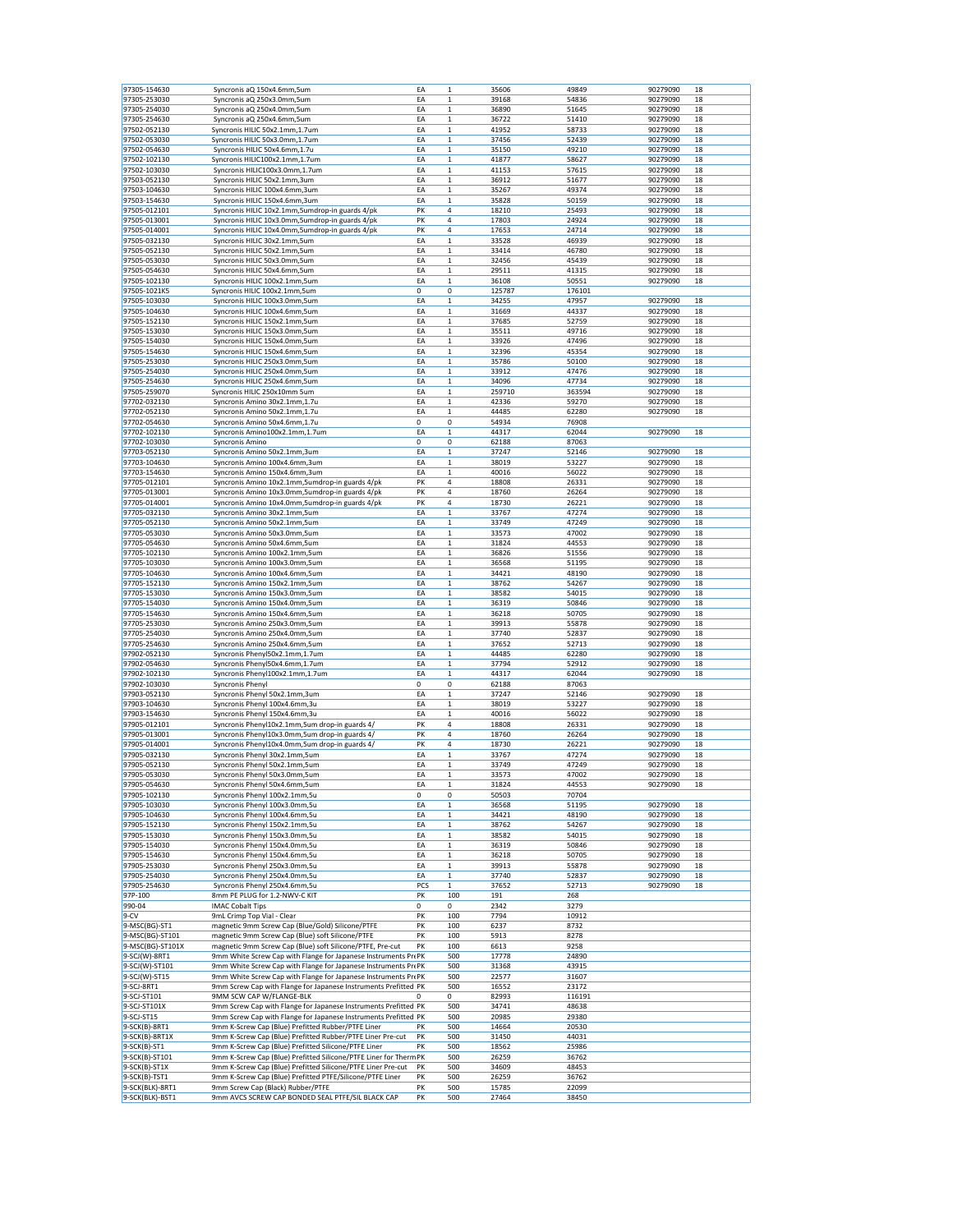| 97305-154630                       | Syncronis aQ 150x4.6mm,5um                                                             | EA       | $\mathbf 1$  | 35606          | 49849          | 90279090 | 18 |
|------------------------------------|----------------------------------------------------------------------------------------|----------|--------------|----------------|----------------|----------|----|
|                                    |                                                                                        |          |              |                |                |          |    |
| 97305-253030                       | Syncronis aQ 250x3.0mm,5um                                                             | EA       | $\mathbf 1$  | 39168          | 54836          | 90279090 | 18 |
| 97305-254030                       | Syncronis aQ 250x4.0mm,5um                                                             | EA       | $\mathbf 1$  | 36890          | 51645          | 90279090 | 18 |
|                                    |                                                                                        |          |              |                |                |          |    |
| 97305-254630                       | Syncronis aQ 250x4.6mm,5um                                                             | ΕA       | $\,1$        | 36722          | 51410          | 90279090 | 18 |
| 97502-052130                       | Syncronis HILIC 50x2.1mm,1.7um                                                         | EA       | 1            | 41952          | 58733          | 90279090 | 18 |
| 97502-053030                       | Syncronis HILIC 50x3.0mm,1.7um                                                         | EA       | $\mathbf 1$  | 37456          | 52439          | 90279090 | 18 |
| 97502-054630                       | Syncronis HILIC 50x4.6mm,1.7u                                                          | EA       | $\mathbf 1$  | 35150          | 49210          | 90279090 | 18 |
|                                    |                                                                                        |          |              |                |                |          |    |
| 97502-102130                       | Syncronis HILIC100x2.1mm,1.7um                                                         | EA       | $\mathbf 1$  | 41877          | 58627          | 90279090 | 18 |
| 97502-103030                       | Syncronis HILIC100x3.0mm,1.7um                                                         | EA       | $\mathbf 1$  | 41153          | 57615          | 90279090 | 18 |
| 97503-052130                       | Syncronis HILIC 50x2.1mm,3um                                                           | EA       | 1            | 36912          | 51677          | 90279090 | 18 |
|                                    |                                                                                        |          |              |                |                |          |    |
| 97503-104630                       | Syncronis HILIC 100x4.6mm,3um                                                          | EA       | 1            | 35267          | 49374          | 90279090 | 18 |
| 97503-154630                       | Syncronis HILIC 150x4.6mm,3um                                                          | EA       | $\mathbf 1$  | 35828          | 50159          | 90279090 | 18 |
| 97505-012101                       | Syncronis HILIC 10x2.1mm,5umdrop-in guards 4/pk                                        | PK       | 4            | 18210          | 25493          | 90279090 | 18 |
|                                    |                                                                                        |          |              |                |                |          |    |
| 97505-013001                       | Syncronis HILIC 10x3.0mm,5umdrop-in guards 4/pk                                        | PΚ       | 4            | 17803          | 24924          | 90279090 | 18 |
| 97505-014001                       | Syncronis HILIC 10x4.0mm,5umdrop-in guards 4/pk                                        | PK       | 4            | 17653          | 24714          | 90279090 | 18 |
| 97505-032130                       | Syncronis HILIC 30x2.1mm,5um                                                           | ΕA       | $\mathbf 1$  | 33528          | 46939          | 90279090 | 18 |
|                                    |                                                                                        |          |              |                |                |          |    |
| 97505-052130                       | Syncronis HILIC 50x2.1mm,5um                                                           | EA       | 1            | 33414          | 46780          | 90279090 | 18 |
| 97505-053030                       | Syncronis HILIC 50x3.0mm,5um                                                           | EA       | $\mathbf{1}$ | 32456          | 45439          | 90279090 | 18 |
| 97505-054630                       | Syncronis HILIC 50x4.6mm,5um                                                           | EA       | $\mathbf 1$  | 29511          | 41315          | 90279090 | 18 |
|                                    |                                                                                        |          |              |                |                |          |    |
| 97505-102130                       | Syncronis HILIC 100x2.1mm,5um                                                          | EA       | $\mathbf 1$  | 36108          | 50551          | 90279090 | 18 |
| 97505-1021K5                       | Syncronis HILIC 100x2.1mm,5um                                                          | 0        | 0            | 125787         | 176101         |          |    |
| 97505-103030                       | Syncronis HILIC 100x3.0mm,5um                                                          | EA       | $\mathbf 1$  | 34255          | 47957          | 90279090 | 18 |
|                                    |                                                                                        |          |              |                |                |          |    |
| 97505-104630                       | Syncronis HILIC 100x4.6mm,5um                                                          | ΕA       | 1            | 31669          | 44337          | 90279090 | 18 |
| 97505-152130                       | Syncronis HILIC 150x2.1mm,5um                                                          | EA       | 1            | 37685          | 52759          | 90279090 | 18 |
| 97505-153030                       | Syncronis HILIC 150x3.0mm,5um                                                          | EA       | $\mathbf 1$  | 35511          | 49716          | 90279090 | 18 |
|                                    |                                                                                        |          |              |                |                |          |    |
| 97505-154030                       | Syncronis HILIC 150x4.0mm,5um                                                          | ΕA       | $\mathbf 1$  | 33926          | 47496          | 90279090 | 18 |
| 97505-154630                       | Syncronis HILIC 150x4.6mm,5um                                                          | ΕA       | $\mathbf 1$  | 32396          | 45354          | 90279090 | 18 |
| 97505-253030                       | Syncronis HILIC 250x3.0mm,5um                                                          | EA       | $\mathbf 1$  | 35786          | 50100          | 90279090 | 18 |
|                                    |                                                                                        |          |              |                |                |          |    |
| 97505-254030                       | Syncronis HILIC 250x4.0mm,5um                                                          | ΕA       | $\mathbf 1$  | 33912          | 47476          | 90279090 | 18 |
| 97505-254630                       | Syncronis HILIC 250x4.6mm,5um                                                          | ΕA       | 1            | 34096          | 47734          | 90279090 | 18 |
| 97505-259070                       | Syncronis HILIC 250x10mm 5um                                                           | EA       | $\mathbf 1$  | 259710         | 363594         | 90279090 | 18 |
|                                    |                                                                                        |          |              |                |                |          |    |
| 97702-032130                       | Syncronis Amino 30x2.1mm,1.7u                                                          | EA       | $\mathbf 1$  | 42336          | 59270          | 90279090 | 18 |
| 97702-052130                       | Syncronis Amino 50x2.1mm,1.7u                                                          | EA       | $\mathbf 1$  | 44485          | 62280          | 90279090 | 18 |
| 97702-054630                       | Syncronis Amino 50x4.6mm,1.7u                                                          | 0        | 0            | 54934          | 76908          |          |    |
|                                    |                                                                                        |          |              |                |                |          |    |
| 97702-102130                       | Syncronis Amino100x2.1mm,1.7um                                                         | ΕA       | 1            | 44317          | 62044          | 90279090 | 18 |
| 97702-103030                       | Syncronis Amino                                                                        | 0        | 0            | 62188          | 87063          |          |    |
| 97703-052130                       | Syncronis Amino 50x2.1mm,3um                                                           | EA       | $\mathbf 1$  | 37247          | 52146          | 90279090 | 18 |
|                                    |                                                                                        |          |              |                |                |          |    |
| 97703-104630                       | Syncronis Amino 100x4.6mm,3um                                                          | EA       | $\mathbf 1$  | 38019          | 53227          | 90279090 | 18 |
| 97703-154630                       | Syncronis Amino 150x4.6mm,3um                                                          | ΕA       | $\mathbf 1$  | 40016          | 56022          | 90279090 | 18 |
| 97705-012101                       |                                                                                        | PK       | 4            | 18808          | 26331          | 90279090 | 18 |
|                                    | Syncronis Amino 10x2.1mm,5umdrop-in guards 4/pk                                        |          |              |                |                |          |    |
| 97705-013001                       | Syncronis Amino 10x3.0mm,5umdrop-in guards 4/pk                                        | PK       | 4            | 18760          | 26264          | 90279090 | 18 |
| 97705-014001                       | Syncronis Amino 10x4.0mm, 5umdrop-in guards 4/pk                                       | PK       | 4            | 18730          | 26221          | 90279090 | 18 |
|                                    |                                                                                        |          |              |                |                |          |    |
| 97705-032130                       | Syncronis Amino 30x2.1mm,5um                                                           | EA       | $\mathbf 1$  | 33767          | 47274          | 90279090 | 18 |
| 97705-052130                       | Syncronis Amino 50x2.1mm,5um                                                           | ΕA       | $\mathbf 1$  | 33749          | 47249          | 90279090 | 18 |
| 97705-053030                       | Syncronis Amino 50x3.0mm,5um                                                           | ΕA       | $\mathbf 1$  | 33573          | 47002          | 90279090 | 18 |
|                                    |                                                                                        |          |              |                |                |          |    |
| 97705-054630                       | Syncronis Amino 50x4.6mm,5um                                                           | EA       | $\mathbf 1$  | 31824          | 44553          | 90279090 | 18 |
| 97705-102130                       | Syncronis Amino 100x2.1mm,5um                                                          | EA       | 1            | 36826          | 51556          | 90279090 | 18 |
| 97705-103030                       | Syncronis Amino 100x3.0mm,5um                                                          | ΕA       | 1            | 36568          | 51195          | 90279090 | 18 |
|                                    |                                                                                        |          |              |                |                |          |    |
| 97705-104630                       | Syncronis Amino 100x4.6mm,5um                                                          | EA       | 1            | 34421          | 48190          | 90279090 | 18 |
| 97705-152130                       | Syncronis Amino 150x2.1mm,5um                                                          | EA       | $\mathbf 1$  | 38762          | 54267          | 90279090 | 18 |
| 97705-153030                       | Syncronis Amino 150x3.0mm,5um                                                          | EA       | $\mathbf 1$  | 38582          | 54015          | 90279090 | 18 |
|                                    |                                                                                        |          |              |                |                |          |    |
| 97705-154030                       | Syncronis Amino 150x4.0mm,5um                                                          | ΕA       | $\mathbf 1$  | 36319          | 50846          | 90279090 | 18 |
| 97705-154630                       | Syncronis Amino 150x4.6mm,5um                                                          | EA       | $\mathbf 1$  | 36218          | 50705          | 90279090 | 18 |
| 97705-253030                       | Syncronis Amino 250x3.0mm,5um                                                          | ΕA       | $\mathbf 1$  | 39913          | 55878          | 90279090 | 18 |
|                                    |                                                                                        |          |              |                |                |          |    |
| 97705-254030                       | Syncronis Amino 250x4.0mm,5um                                                          | ΕA       | 1            | 37740          | 52837          | 90279090 | 18 |
| 97705-254630                       | Syncronis Amino 250x4.6mm,5um                                                          | EA       | $\mathbf 1$  | 37652          | 52713          | 90279090 | 18 |
| 97902-052130                       | Syncronis Phenyl50x2.1mm,1.7um                                                         | ΕA       | $\mathbf 1$  | 44485          | 62280          | 90279090 | 18 |
|                                    |                                                                                        |          |              |                |                |          |    |
| 97902-054630                       | Syncronis Phenyl50x4.6mm,1.7um                                                         | EA       | $\mathbf 1$  | 37794          | 52912          | 90279090 | 18 |
| 97902-102130                       | Syncronis Phenyl100x2.1mm,1.7um                                                        | EA       | $\mathbf 1$  | 44317          | 62044          | 90279090 | 18 |
| 97902-103030                       | <b>Syncronis Phenyl</b>                                                                | 0        | 0            | 62188          | 87063          |          |    |
|                                    |                                                                                        |          |              |                |                |          |    |
| 97903-052130                       | Syncronis Phenyl 50x2.1mm,3um                                                          | EA       | $\mathbf 1$  | 37247          | 52146          | 90279090 | 18 |
| 97903-104630                       | Syncronis Phenyl 100x4.6mm,3u                                                          | EA       | $\mathbf 1$  | 38019          | 53227          | 90279090 | 18 |
| 97903-154630                       | Syncronis Phenyl 150x4.6mm,3u                                                          | ΕA       | $\mathbf 1$  | 40016          | 56022          | 90279090 | 18 |
|                                    |                                                                                        |          |              |                |                |          |    |
| 97905-012101                       | Syncronis Phenyl10x2.1mm,5um drop-in guards 4/                                         | PΚ       | 4            | 18808          | 26331          | 90279090 | 18 |
| 97905-013001                       | Syncronis Phenyl10x3.0mm,5um drop-in guards 4/                                         | PK       | 4            | 18760          | 26264          | 90279090 | 18 |
| 97905-014001                       |                                                                                        | PK       | 4            | 18730          | 26221          | 90279090 | 18 |
|                                    | Syncronis Phenyl10x4.0mm,5um drop-in guards 4/                                         |          |              |                |                |          |    |
| 97905-032130                       | Syncronis Phenyl 30x2.1mm,5um                                                          | ΕA       | 1            | 33767          | 47274          | 90279090 | 18 |
| 97905-052130                       | Syncronis Phenyl 50x2.1mm,5um                                                          | EA       | $\mathbf{1}$ | 33749          | 47249          | 90279090 | 18 |
| 97905-053030                       |                                                                                        | EA       | $\mathbf 1$  |                | 47002          | 90279090 | 18 |
|                                    | Syncronis Phenyl 50x3.0mm,5um                                                          |          |              | 33573          |                |          |    |
| 97905-054630                       | Syncronis Phenyl 50x4.6mm,5um                                                          | EA       | 1            | 31824          | 44553          | 90279090 | 18 |
| 97905-102130                       | Syncronis Phenyl 100x2.1mm,5u                                                          | 0        | 0            | 50503          | 70704          |          |    |
| 97905-103030                       | Syncronis Phenyl 100x3.0mm,5u                                                          | ΕA       | 1            | 36568          | 51195          | 90279090 | 18 |
|                                    |                                                                                        |          |              |                |                |          |    |
| 97905-104630                       | Syncronis Phenyl 100x4.6mm,5u                                                          | ΕA       | 1            | 34421          | 48190          | 90279090 | 18 |
| 97905-152130                       | Syncronis Phenyl 150x2.1mm,5u                                                          | ΕA       | 1            |                |                |          | 18 |
| 97905-153030                       |                                                                                        |          |              | 38762          | 54267          | 90279090 |    |
|                                    |                                                                                        |          |              |                |                |          |    |
| 97905-154030                       | Syncronis Phenyl 150x3.0mm,5u                                                          | EA       | $\mathbf 1$  | 38582          | 54015          | 90279090 | 18 |
|                                    | Syncronis Phenyl 150x4.0mm,5u                                                          | ΕA       | $\mathbf 1$  | 36319          | 50846          | 90279090 | 18 |
| 97905-154630                       | Syncronis Phenyl 150x4.6mm,5u                                                          | ΕA       | $\mathbf 1$  | 36218          | 50705          | 90279090 | 18 |
|                                    |                                                                                        |          |              |                |                |          | 18 |
| 97905-253030                       | Syncronis Phenyl 250x3.0mm,5u                                                          | EA       | $\,1$        | 39913          | 55878          | 90279090 |    |
| 97905-254030                       | Syncronis Phenyl 250x4.0mm,5u                                                          | EA       | $\,1$        | 37740          | 52837          | 90279090 | 18 |
| 97905-254630                       | Syncronis Phenyl 250x4.6mm,5u                                                          | PCS      | 1            | 37652          | 52713          | 90279090 | 18 |
| 97P-100                            |                                                                                        |          |              | 191            |                |          |    |
|                                    | 8mm PE PLUG for 1.2-NWV-C KIT                                                          | PK       | 100          |                | 268            |          |    |
| 990-04                             | <b>IMAC Cobalt Tips</b>                                                                | 0        | 0            | 2342           | 3279           |          |    |
| $9-CV$                             | 9mL Crimp Top Vial - Clear                                                             | PΚ       | 100          | 7794           | 10912          |          |    |
|                                    | magnetic 9mm Screw Cap (Blue/Gold) Silicone/PTFE                                       |          | 100          | 6237           | 8732           |          |    |
| 9-MSC(BG)-ST1                      |                                                                                        | PK       |              |                |                |          |    |
| 9-MSC(BG)-ST101                    | magnetic 9mm Screw Cap (Blue) soft Silicone/PTFE                                       | PK       | 100          | 5913           | 8278           |          |    |
| 9-MSC(BG)-ST101X                   | magnetic 9mm Screw Cap (Blue) soft Silicone/PTFE, Pre-cut                              | PK       | 100          | 6613           | 9258           |          |    |
|                                    |                                                                                        |          |              |                |                |          |    |
| 9-SCJ(W)-8RT1                      | 9mm White Screw Cap with Flange for Japanese Instruments PrePK                         |          | 500          | 17778          | 24890          |          |    |
| 9-SCJ(W)-ST101                     | 9mm White Screw Cap with Flange for Japanese Instruments PrePK                         |          | 500          | 31368          | 43915          |          |    |
| 9-SCJ(W)-ST15                      | 9mm White Screw Cap with Flange for Japanese Instruments PrePK                         |          | 500          | 22577          | 31607          |          |    |
|                                    |                                                                                        |          |              |                |                |          |    |
| 9-SCJ-8RT1                         | 9mm Screw Cap with Flange for Japanese Instruments Prefitted PK                        |          | 500          | 16552          | 23172          |          |    |
| 9-SCJ-ST101                        | 9MM SCW CAP W/FLANGE-BLK                                                               | 0        | 0            | 82993          | 116191         |          |    |
| 9-SCJ-ST101X                       | 9mm Screw Cap with Flange for Japanese Instruments Prefitted PK                        |          | 500          | 34741          | 48638          |          |    |
|                                    |                                                                                        |          |              |                |                |          |    |
| 9-SCJ-ST15                         | 9mm Screw Cap with Flange for Japanese Instruments Prefitted PK                        |          | 500          | 20985          | 29380          |          |    |
| 9-SCK(B)-8RT1                      | 9mm K-Screw Cap (Blue) Prefitted Rubber/PTFE Liner                                     | PK       | 500          | 14664          | 20530          |          |    |
| $9-SCK(B)-8RT1X$                   | 9mm K-Screw Cap (Blue) Prefitted Rubber/PTFE Liner Pre-cut                             | PK       | 500          | 31450          | 44031          |          |    |
|                                    |                                                                                        |          |              |                |                |          |    |
| $9-SCK(B)-ST1$                     | 9mm K-Screw Cap (Blue) Prefitted Silicone/PTFE Liner                                   | PK       | 500          | 18562          | 25986          |          |    |
| 9-SCK(B)-ST101                     | 9mm K-Screw Cap (Blue) Prefitted Silicone/PTFE Liner for Therm PK                      |          | 500          | 26259          | 36762          |          |    |
| 9-SCK(B)-ST1X                      | 9mm K-Screw Cap (Blue) Prefitted Silicone/PTFE Liner Pre-cut                           | PK       | 500          | 34609          | 48453          |          |    |
|                                    |                                                                                        |          |              |                |                |          |    |
| 9-SCK(B)-TST1                      | 9mm K-Screw Cap (Blue) Prefitted PTFE/Silicone/PTFE Liner                              | PΚ       | 500          | 26259          | 36762          |          |    |
| 9-SCK(BLK)-8RT1<br>9-SCK(BLK)-BST1 | 9mm Screw Cap (Black) Rubber/PTFE<br>9mm AVCS SCREW CAP BONDED SEAL PTFE/SIL BLACK CAP | PK<br>PK | 500<br>500   | 15785<br>27464 | 22099<br>38450 |          |    |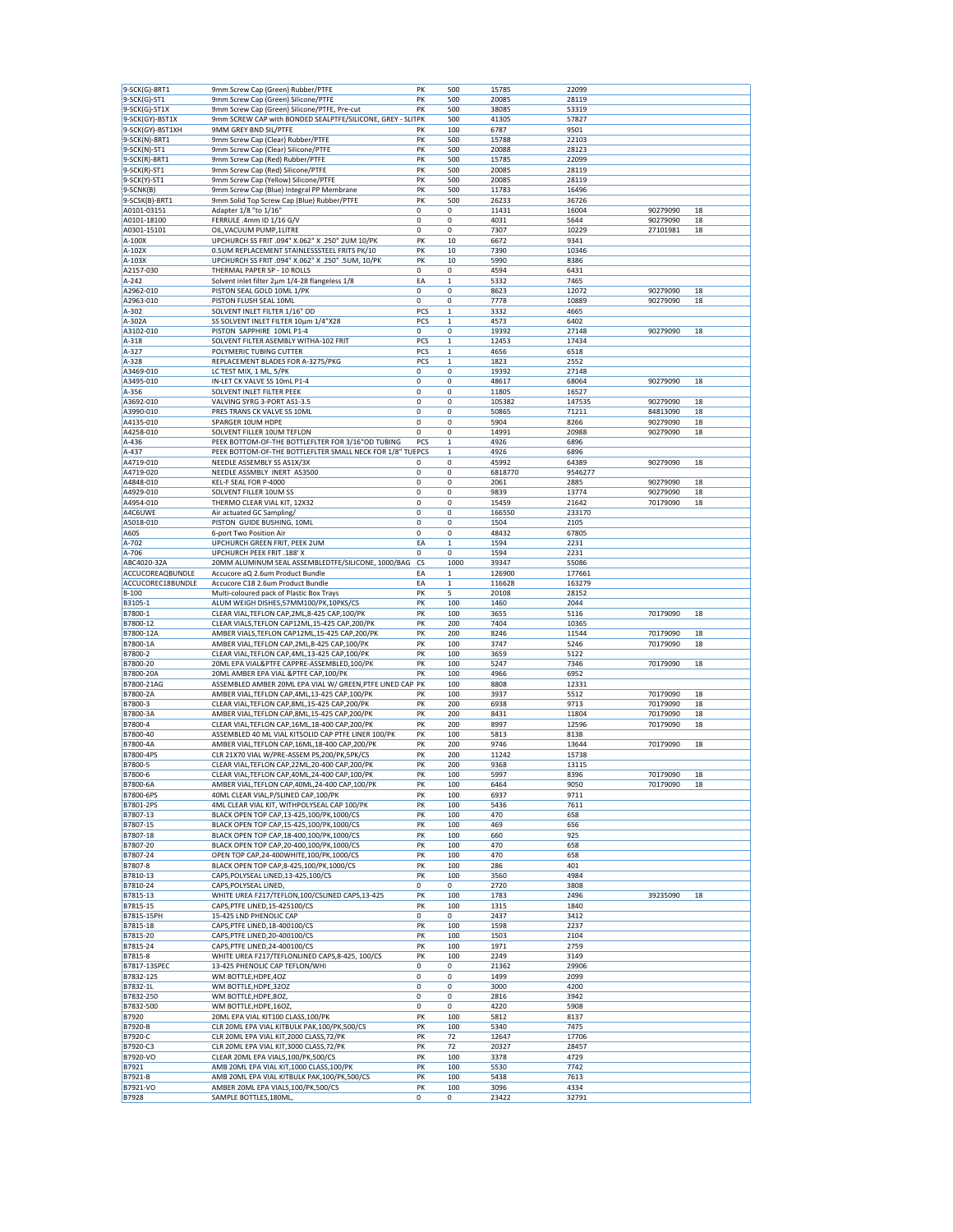| 9-SCK(G)-8RT1     | 9mm Screw Cap (Green) Rubber/PTFE                          | PK          | 500          | 15785   | 22099         |          |    |
|-------------------|------------------------------------------------------------|-------------|--------------|---------|---------------|----------|----|
| 9-SCK(G)-ST1      | 9mm Screw Cap (Green) Silicone/PTFE                        | PK          | 500          | 20085   | 28119         |          |    |
| 9-SCK(G)-ST1X     | 9mm Screw Cap (Green) Silicone/PTFE, Pre-cut               | PK          | 500          | 38085   | 53319         |          |    |
| 9-SCK(GY)-BST1X   | 9mm SCREW CAP with BONDED SEALPTFE/SILICONE, GREY - SLITPK |             | 500          | 41305   | 57827         |          |    |
|                   |                                                            |             |              |         |               |          |    |
| 9-SCK(GY)-BST1XH  | 9MM GREY BND SIL/PTFE                                      | РK          | 100          | 6787    | 9501          |          |    |
| 9-SCK(N)-8RT1     | 9mm Screw Cap (Clear) Rubber/PTFE                          | PK          | 500          | 15788   | 22103         |          |    |
| 9-SCK(N)-ST1      | 9mm Screw Cap (Clear) Silicone/PTFE                        | PK          | 500          | 20088   | 28123         |          |    |
| 9-SCK(R)-8RT1     | 9mm Screw Cap (Red) Rubber/PTFE                            | PK          | 500          | 15785   | 22099         |          |    |
| $9-SCK(R)-ST1$    | 9mm Screw Cap (Red) Silicone/PTFE                          | PK          | 500          | 20085   | 28119         |          |    |
| 9-SCK(Y)-ST1      | 9mm Screw Cap (Yellow) Silicone/PTFE                       | PK          | 500          | 20085   | 28119         |          |    |
| 9-SCNK(B)         | 9mm Screw Cap (Blue) Integral PP Membrane                  | PK          | 500          | 11783   | 16496         |          |    |
| 9-SCSK(B)-8RT1    | 9mm Solid Top Screw Cap (Blue) Rubber/PTFE                 | PK          | 500          | 26233   | 36726         |          |    |
| A0101-03151       | Adapter 1/8 "to 1/16"                                      | 0           | 0            | 11431   | 16004         | 90279090 | 18 |
| A0101-18100       | FERRULE .4mm ID 1/16 G/V                                   | 0           | 0            | 4031    | 5644          | 90279090 | 18 |
|                   |                                                            |             |              |         |               |          |    |
| A0301-15101       | OIL, VACUUM PUMP, 1LITRE                                   | 0           | 0            | 7307    | 10229         | 27101981 | 18 |
| A-100X            | UPCHURCH SS FRIT .094" X.062" X .250" 2UM 10/PK            | PK          | 10           | 6672    | 9341          |          |    |
| A-102X            | 0.5UM REPLACEMENT STAINLESSSTEEL FRITS PK/10               | PK          | 10           | 7390    | 10346         |          |    |
| A-103X            | UPCHURCH SS FRIT .094" X.062" X .250" .5UM, 10/PK          | PK          | 10           | 5990    | 8386          |          |    |
| A2157-030         | THERMAL PAPER SP - 10 ROLLS                                | 0           | 0            | 4594    | 6431          |          |    |
| A-242             | Solvent inlet filter 2µm 1/4-28 flangeless 1/8             | EA          | $\mathbf 1$  | 5332    | 7465          |          |    |
| A2962-010         | PISTON SEAL GOLD 10ML 1/PK                                 | 0           | 0            | 8623    | 12072         | 90279090 | 18 |
| A2963-010         | PISTON FLUSH SEAL 10ML                                     | 0           | 0            | 7778    | 10889         | 90279090 | 18 |
| A-302             | SOLVENT INLET FILTER 1/16" OD                              | PCS         | $\mathbf 1$  | 3332    | 4665          |          |    |
| A-302A            | SS SOLVENT INLET FILTER 10µm 1/4"X28                       | PCS         | 1            | 4573    | 6402          |          |    |
| A3102-010         |                                                            |             | 0            |         |               | 90279090 |    |
|                   | PISTON SAPPHIRE 10ML P1-4                                  | 0           |              | 19392   | 27148         |          | 18 |
| A-318             | SOLVENT FILTER ASEMBLY WITHA-102 FRIT                      | PCS         | $\mathbf 1$  | 12453   | 17434         |          |    |
| A-327             | POLYMERIC TUBING CUTTER                                    | PCS         | 1            | 4656    | 6518          |          |    |
| A-328             | REPLACEMENT BLADES FOR A-3275/PKG                          | PCS         | 1            | 1823    | 2552          |          |    |
| A3469-010         | LC TEST MIX, 1 ML, 5/PK                                    | 0           | 0            | 19392   | 27148         |          |    |
| A3495-010         | IN-LET CK VALVE SS 10mL P1-4                               | 0           | 0            | 48617   | 68064         | 90279090 | 18 |
| A-356             | SOLVENT INLET FILTER PEEK                                  | 0           | 0            | 11805   | 16527         |          |    |
| A3692-010         | VALVING SYRG 3-PORT AS1-3.5                                | 0           | 0            | 105382  | 147535        | 90279090 | 18 |
| A3990-010         |                                                            | 0           |              |         |               |          |    |
|                   | PRES TRANS CK VALVE SS 10ML                                |             | 0            | 50865   | 71211         | 84813090 | 18 |
| A4135-010         | SPARGER 10UM HDPE                                          | 0           | 0            | 5904    | 8266          | 90279090 | 18 |
| A4258-010         | SOLVENT FILLER 10UM TEFLON                                 | 0           | 0            | 14991   | 20988         | 90279090 | 18 |
| A-436             | PEEK BOTTOM-OF-THE BOTTLEFLTER FOR 3/16"OD TUBING          | PCS         | $\mathbf 1$  | 4926    | 6896          |          |    |
| A-437             | PEEK BOTTOM-OF-THE BOTTLEFLTER SMALL NECK FOR 1/8" TUEPCS  |             | 1            | 4926    | 6896          |          |    |
| A4719-010         | NEEDLE ASSEMBLY SS AS1X/3X                                 | $\mathbf 0$ | 0            | 45992   | 64389         | 90279090 | 18 |
| A4719-020         | NEEDLE ASSMBLY INERT AS3500                                | 0           | 0            | 6818770 | 9546277       |          |    |
| A4848-010         | KEL-F SEAL FOR P-4000                                      | 0           | 0            | 2061    | 2885          | 90279090 | 18 |
|                   |                                                            | $\mathbf 0$ |              |         |               |          |    |
| A4929-010         | SOLVENT FILLER 10UM SS                                     |             | 0            | 9839    | 13774         | 90279090 | 18 |
| A4954-010         | THERMO CLEAR VIAL KIT, 12X32                               | 0           | 0            | 15459   | 21642         | 70179090 | 18 |
| A4C6UWE           | Air actuated GC Sampling/                                  | 0           | 0            | 166550  | 233170        |          |    |
| A5018-010         | PISTON GUIDE BUSHING, 10ML                                 | 0           | 0            | 1504    | 2105          |          |    |
| A60S              | 6-port Two Position Air                                    | 0           | 0            | 48432   | 67805         |          |    |
| A-702             | UPCHURCH GREEN FRIT, PEEK 2UM                              | EA          | 1            | 1594    | 2231          |          |    |
| A-706             | <b>UPCHURCH PEEK FRIT .188' X</b>                          | 0           | 0            | 1594    | 2231          |          |    |
| ABC4020-32A       | 20MM ALUMINUM SEAL ASSEMBLEDTFE/SILICONE, 1000/BAG         | CS          | 1000         | 39347   | 55086         |          |    |
| ACCUCOREAQBUNDLE  | Accucore aQ 2.6um Product Bundle                           | EA          | $\mathbf 1$  | 126900  | 177661        |          |    |
|                   |                                                            |             |              |         |               |          |    |
|                   |                                                            |             |              |         |               |          |    |
| ACCUCOREC18BUNDLE | Accucore C18 2.6um Product Bundle                          | EA          | $\mathbf{1}$ | 116628  | 163279        |          |    |
| B-100             | Multi-coloured pack of Plastic Box Trays                   | PK          | 5            | 20108   | 28152         |          |    |
| B3105-1           | ALUM WEIGH DISHES,57MM100/PK,10PKS/CS                      | PK          | 100          | 1460    | 2044          |          |    |
| B7800-1           | CLEAR VIAL, TEFLON CAP, 2ML, 8-425 CAP, 100/PK             | PK          | 100          | 3655    | 5116          | 70179090 | 18 |
| B7800-12          | CLEAR VIALS, TEFLON CAP12ML, 15-425 CAP, 200/PK            | PK          | 200          | 7404    | 10365         |          |    |
| B7800-12A         |                                                            | PK          | 200          | 8246    | 11544         | 70179090 | 18 |
|                   | AMBER VIALS, TEFLON CAP12ML, 15-425 CAP, 200/PK            |             |              |         |               |          |    |
| B7800-1A          | AMBER VIAL, TEFLON CAP, 2ML, 8-425 CAP, 100/PK             | PK          | 100          | 3747    | 5246          | 70179090 | 18 |
| B7800-2           | CLEAR VIAL, TEFLON CAP, 4ML, 13-425 CAP, 100/PK            | PK          | 100          | 3659    | 5122          |          |    |
| B7800-20          | 20ML EPA VIAL&PTFE CAPPRE-ASSEMBLED,100/PK                 | PK          | 100          | 5247    | 7346          | 70179090 | 18 |
| B7800-20A         | 20ML AMBER EPA VIAL & PTFE CAP, 100/PK                     | PK          | 100          | 4966    | 6952          |          |    |
| B7800-21AG        | ASSEMBLED AMBER 20ML EPA VIAL W/ GREEN, PTFE LINED CAP PK  |             | 100          | 8808    | 12331         |          |    |
| B7800-2A          | AMBER VIAL, TEFLON CAP, 4ML, 13-425 CAP, 100/PK            | PK          | 100          | 3937    | 5512          | 70179090 | 18 |
| B7800-3           | CLEAR VIAL, TEFLON CAP, 8ML, 15-425 CAP, 200/PK            | PK          | 200          | 6938    | 9713          | 70179090 | 18 |
| B7800-3A          | AMBER VIAL, TEFLON CAP, 8ML, 15-425 CAP, 200/PK            | PK          | 200          | 8431    | 11804         | 70179090 | 18 |
| B7800-4           | CLEAR VIAL, TEFLON CAP, 16ML, 18-400 CAP, 200/PK           | PK          | 200          | 8997    | 12596         | 70179090 | 18 |
|                   |                                                            |             |              |         |               |          |    |
| B7800-40          | ASSEMBLED 40 ML VIAL KITSOLID CAP PTFE LINER 100/PK        | PK          | 100<br>200   | 5813    | 8138          |          |    |
| B7800-4A          | AMBER VIAL, TEFLON CAP, 16ML, 18-400 CAP, 200/PK           | PK          |              | 9746    | 13644         | 70179090 | 18 |
| B7800-4PS         | CLR 21X70 VIAL W/PRE-ASSEM PS,200/PK,5PK/CS                | PK          | 200          | 11242   | 15738         |          |    |
| B7800-5           | CLEAR VIAL, TEFLON CAP, 22ML, 20-400 CAP, 200/PK           | PK          | 200          | 9368    | 13115         |          |    |
| B7800-6           | CLEAR VIAL, TEFLON CAP, 40ML, 24-400 CAP, 100/PK           | PK          | 100          | 5997    | 8396          | 70179090 | 18 |
| B7800-6A          | AMBER VIAL, TEFLON CAP, 40ML, 24-400 CAP, 100/PK           | PK          | 100          | 6464    | 9050          | 70179090 | 18 |
| B7800-6PS         | 40ML CLEAR VIAL, P/SLINED CAP, 100/PK                      | PK          | 100          | 6937    | 9711          |          |    |
| B7801-2PS         | 4ML CLEAR VIAL KIT, WITHPOLYSEAL CAP 100/PK                | PK          | 100          | 5436    | 7611          |          |    |
| B7807-13          | BLACK OPEN TOP CAP, 13-425, 100/PK, 1000/CS                | PK          | 100          | 470     | 658           |          |    |
| B7807-15          | BLACK OPEN TOP CAP, 15-425, 100/PK, 1000/CS                | PK          | 100          | 469     | 656           |          |    |
| B7807-18          |                                                            |             |              |         |               |          |    |
|                   | BLACK OPEN TOP CAP, 18-400, 100/PK, 1000/CS                | PK          | 100          | 660     | 925           |          |    |
| B7807-20          | BLACK OPEN TOP CAP, 20-400, 100/PK, 1000/CS                | PK          | 100          | 470     | 658           |          |    |
| B7807-24          | OPEN TOP CAP, 24-400WHITE, 100/PK, 1000/CS                 | PK          | 100          | 470     | 658           |          |    |
| B7807-8           | BLACK OPEN TOP CAP, 8-425, 100/PK, 1000/CS                 | PK          | 100          | 286     | 401           |          |    |
| B7810-13          | CAPS, POLYSEAL LINED, 13-425, 100/CS                       | PK          | 100          | 3560    | 4984          |          |    |
| B7810-24          | CAPS, POLYSEAL LINED,                                      | 0           | 0            | 2720    | 3808          |          |    |
| B7815-13          | WHITE UREA F217/TEFLON,100/CSLINED CAPS,13-425             | PK          | 100          | 1783    | 2496          | 39235090 | 18 |
| B7815-15          | CAPS, PTFE LINED, 15-425100/CS                             | PK          | 100          | 1315    | 1840          |          |    |
| B7815-15PH        | 15-425 LND PHENOLIC CAP                                    | 0           | 0            | 2437    | 3412          |          |    |
| B7815-18          | CAPS, PTFE LINED, 18-400100/CS                             | PK          | 100          | 1598    | 2237          |          |    |
|                   |                                                            |             |              |         | 2104          |          |    |
| B7815-20          | CAPS, PTFE LINED, 20-400100/CS                             | PK          | 100          | 1503    |               |          |    |
| B7815-24          | CAPS, PTFE LINED, 24-400100/CS                             | PK          | 100          | 1971    | 2759          |          |    |
| B7815-8           | WHITE UREA F217/TEFLONLINED CAPS,8-425, 100/CS             | PK          | 100          | 2249    | 3149          |          |    |
| B7817-13SPEC      | 13-425 PHENOLIC CAP TEFLON/WHI                             | 0           | 0            | 21362   | 29906         |          |    |
| B7832-125         | WM BOTTLE, HDPE, 40Z                                       | 0           | 0            | 1499    | 2099          |          |    |
| B7832-1L          | WM BOTTLE, HDPE, 32OZ                                      | 0           | 0            | 3000    | 4200          |          |    |
| B7832-250         | WM BOTTLE, HDPE, 80Z,                                      | 0           | 0            | 2816    | 3942          |          |    |
| B7832-500         | WM BOTTLE, HDPE, 16OZ,                                     | 0           | 0            | 4220    | 5908          |          |    |
|                   |                                                            |             |              |         |               |          |    |
| B7920             | 20ML EPA VIAL KIT100 CLASS, 100/PK                         | PK          | 100          | 5812    | 8137          |          |    |
| B7920-B           | CLR 20ML EPA VIAL KITBULK PAK, 100/PK, 500/CS              | PK          | 100          | 5340    | 7475          |          |    |
| B7920-C           | CLR 20ML EPA VIAL KIT, 2000 CLASS, 72/PK                   | PK          | 72           | 12647   | 17706         |          |    |
| B7920-C3          | CLR 20ML EPA VIAL KIT,3000 CLASS,72/PK                     | PK          | 72           | 20327   | 28457         |          |    |
| B7920-VO          | CLEAR 20ML EPA VIALS, 100/PK, 500/CS                       | PK          | 100          | 3378    | 4729          |          |    |
| B7921             | AMB 20ML EPA VIAL KIT, 1000 CLASS, 100/PK                  | PK          | 100          | 5530    | 7742          |          |    |
| B7921-B           | AMB 20ML EPA VIAL KITBULK PAK, 100/PK, 500/CS              | PK          | 100          | 5438    | 7613          |          |    |
| B7921-VO<br>B7928 | AMBER 20ML EPA VIALS, 100/PK, 500/CS                       | PK          | 100          | 3096    | 4334<br>32791 |          |    |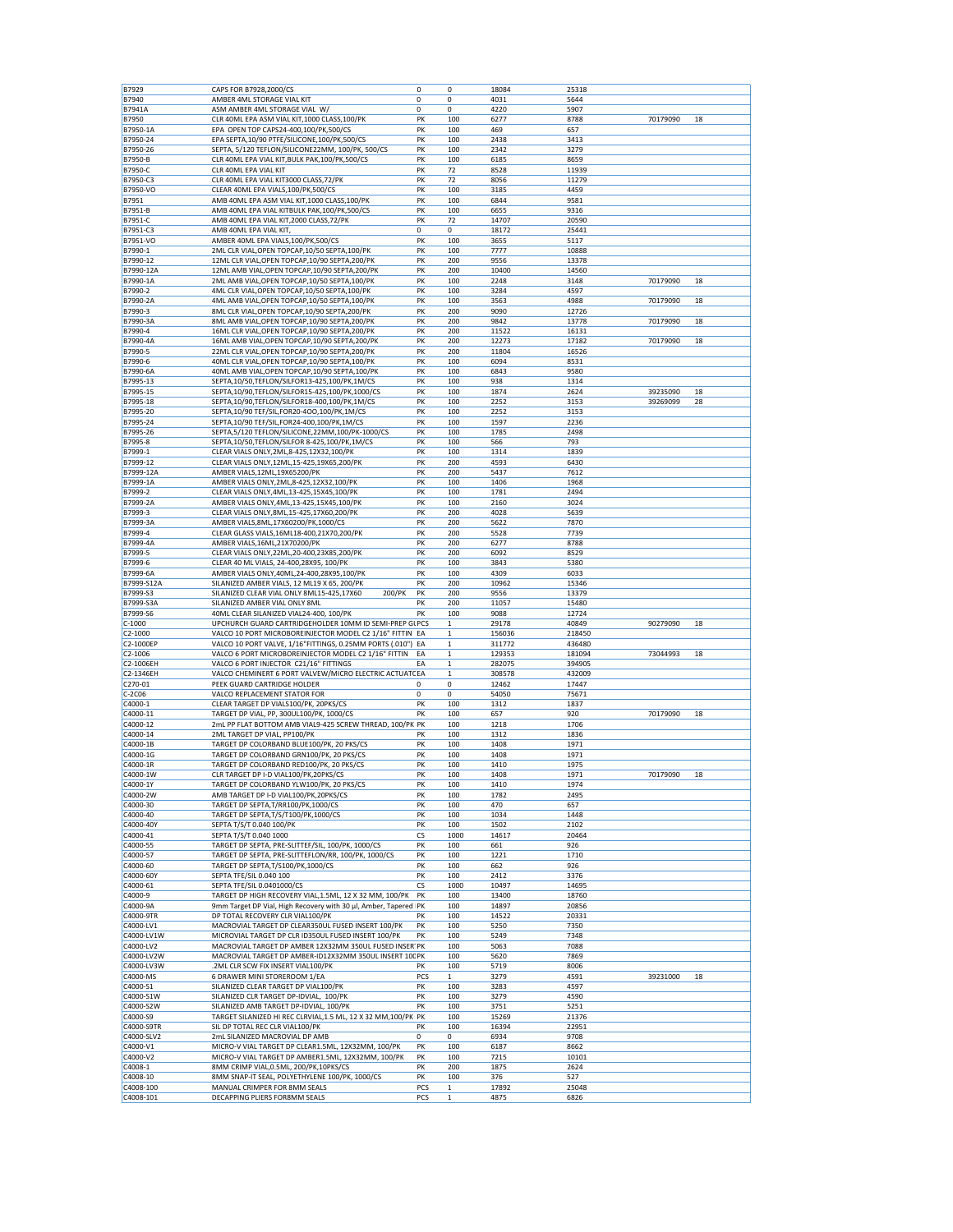| B7929<br>B7940<br><b>B7941A</b><br>B7950<br>B7950-1A                                                                                                               | CAPS FOR B7928,2000/CS<br>AMBER 4ML STORAGE VIAL KIT                           | 0         | 0                   | 18084        | 25318        |          |    |
|--------------------------------------------------------------------------------------------------------------------------------------------------------------------|--------------------------------------------------------------------------------|-----------|---------------------|--------------|--------------|----------|----|
|                                                                                                                                                                    |                                                                                |           |                     |              |              |          |    |
|                                                                                                                                                                    |                                                                                | 0         | 0                   | 4031         | 5644         |          |    |
|                                                                                                                                                                    | ASM AMBER 4ML STORAGE VIAL W/                                                  | 0         | 0                   | 4220         | 5907         |          |    |
|                                                                                                                                                                    | CLR 40ML EPA ASM VIAL KIT, 1000 CLASS, 100/PK                                  | PK        | 100                 | 6277         | 8788         | 70179090 | 18 |
|                                                                                                                                                                    | EPA OPEN TOP CAPS24-400,100/PK,500/CS                                          | PK        | 100                 | 469          | 657          |          |    |
| B7950-24                                                                                                                                                           | EPA SEPTA, 10/90 PTFE/SILICONE, 100/PK, 500/CS                                 | PK        | 100                 | 2438         | 3413         |          |    |
| B7950-26                                                                                                                                                           | SEPTA, 5/120 TEFLON/SILICONE22MM, 100/PK, 500/CS                               | PK        | 100                 | 2342         | 3279         |          |    |
| B7950-B                                                                                                                                                            | CLR 40ML EPA VIAL KIT, BULK PAK, 100/PK, 500/CS                                | PK        | 100                 | 6185         | 8659         |          |    |
| B7950-C                                                                                                                                                            | CLR 40ML EPA VIAL KIT                                                          | PK        | 72                  | 8528         | 11939        |          |    |
|                                                                                                                                                                    |                                                                                |           |                     |              |              |          |    |
| B7950-C3                                                                                                                                                           | CLR 40ML EPA VIAL KIT3000 CLASS, 72/PK                                         | PK        | 72                  | 8056         | 11279        |          |    |
| B7950-VO                                                                                                                                                           | CLEAR 40ML EPA VIALS, 100/PK, 500/CS                                           | PK        | 100                 | 3185         | 4459         |          |    |
| B7951                                                                                                                                                              | AMB 40ML EPA ASM VIAL KIT,1000 CLASS,100/PK                                    | PK        | 100                 | 6844         | 9581         |          |    |
| B7951-B                                                                                                                                                            | AMB 40ML EPA VIAL KITBULK PAK, 100/PK, 500/CS                                  | PK        | 100                 | 6655         | 9316         |          |    |
| B7951-C                                                                                                                                                            | AMB 40ML EPA VIAL KIT, 2000 CLASS, 72/PK                                       | PK        | 72                  | 14707        | 20590        |          |    |
| B7951-C3                                                                                                                                                           | AMB 40ML EPA VIAL KIT,                                                         | 0         | 0                   | 18172        | 25441        |          |    |
|                                                                                                                                                                    |                                                                                |           |                     |              |              |          |    |
| B7951-VO                                                                                                                                                           | AMBER 40ML EPA VIALS, 100/PK, 500/CS                                           | PK        | 100                 | 3655         | 5117         |          |    |
| B7990-1                                                                                                                                                            | 2ML CLR VIAL, OPEN TOPCAP, 10/50 SEPTA, 100/PK                                 | PK        | 100                 | 7777         | 10888        |          |    |
| B7990-12                                                                                                                                                           | 12ML CLR VIAL, OPEN TOPCAP, 10/90 SEPTA, 200/PK                                | PK        | 200                 | 9556         | 13378        |          |    |
| B7990-12A                                                                                                                                                          | 12ML AMB VIAL, OPEN TOPCAP, 10/90 SEPTA, 200/PK                                | PK        | 200                 | 10400        | 14560        |          |    |
| B7990-1A                                                                                                                                                           | 2ML AMB VIAL, OPEN TOPCAP, 10/50 SEPTA, 100/PK                                 | PK        | 100                 | 2248         | 3148         | 70179090 | 18 |
| B7990-2                                                                                                                                                            | 4ML CLR VIAL, OPEN TOPCAP, 10/50 SEPTA, 100/PK                                 | PK        | 100                 | 3284         | 4597         |          |    |
|                                                                                                                                                                    |                                                                                |           |                     |              | 4988         |          |    |
| B7990-2A                                                                                                                                                           | 4ML AMB VIAL, OPEN TOPCAP, 10/50 SEPTA, 100/PK                                 | PK        | 100                 | 3563         |              | 70179090 | 18 |
| B7990-3                                                                                                                                                            | 8ML CLR VIAL, OPEN TOPCAP, 10/90 SEPTA, 200/PK                                 | PK        | 200                 | 9090         | 12726        |          |    |
| B7990-3A                                                                                                                                                           | 8ML AMB VIAL, OPEN TOPCAP, 10/90 SEPTA, 200/PK                                 | PK        | 200                 | 9842         | 13778        | 70179090 | 18 |
| B7990-4                                                                                                                                                            | 16ML CLR VIAL, OPEN TOPCAP, 10/90 SEPTA, 200/PK                                | PK        | 200                 | 11522        | 16131        |          |    |
| B7990-4A                                                                                                                                                           | 16ML AMB VIAL, OPEN TOPCAP, 10/90 SEPTA, 200/PK                                | PK        | 200                 | 12273        | 17182        | 70179090 | 18 |
| B7990-5                                                                                                                                                            | 22ML CLR VIAL, OPEN TOPCAP, 10/90 SEPTA, 200/PK                                | PK        | 200                 | 11804        | 16526        |          |    |
|                                                                                                                                                                    |                                                                                |           |                     |              |              |          |    |
| B7990-6                                                                                                                                                            | 40ML CLR VIAL, OPEN TOPCAP, 10/90 SEPTA, 100/PK                                | PK        | 100                 | 6094         | 8531         |          |    |
| B7990-6A                                                                                                                                                           | 40ML AMB VIAL, OPEN TOPCAP, 10/90 SEPTA, 100/PK                                | PK        | 100                 | 6843         | 9580         |          |    |
| B7995-13                                                                                                                                                           | SEPTA, 10/50, TEFLON/SILFOR13-425, 100/PK, 1M/CS                               | PK        | 100                 | 938          | 1314         |          |    |
| B7995-15                                                                                                                                                           | SEPTA,10/90,TEFLON/SILFOR15-425,100/PK,1000/CS                                 | PK        | 100                 | 1874         | 2624         | 39235090 | 18 |
|                                                                                                                                                                    |                                                                                | PK        |                     | 2252         |              |          |    |
| B7995-18                                                                                                                                                           | SEPTA,10/90,TEFLON/SILFOR18-400,100/PK,1M/CS                                   |           | 100                 |              | 3153         | 39269099 | 28 |
| B7995-20                                                                                                                                                           | SEPTA,10/90 TEF/SIL,FOR20-4OO,100/PK,1M/CS                                     | PK        | 100                 | 2252         | 3153         |          |    |
| B7995-24                                                                                                                                                           | SEPTA, 10/90 TEF/SIL, FOR24-400, 100/PK, 1M/CS                                 | PK        | 100                 | 1597         | 2236         |          |    |
| B7995-26                                                                                                                                                           | SEPTA,5/120 TEFLON/SILICONE,22MM,100/PK-1000/CS                                | PK        | 100                 | 1785         | 2498         |          |    |
| B7995-8                                                                                                                                                            | SEPTA, 10/50, TEFLON/SILFOR 8-425, 100/PK, 1M/CS                               | PK        | 100                 | 566          | 793          |          |    |
|                                                                                                                                                                    |                                                                                |           |                     |              |              |          |    |
| B7999-1                                                                                                                                                            | CLEAR VIALS ONLY, 2ML, 8-425, 12X32, 100/PK                                    | PK        | 100                 | 1314         | 1839         |          |    |
| B7999-12                                                                                                                                                           | CLEAR VIALS ONLY, 12ML, 15-425, 19X65, 200/PK                                  | PK        | 200                 | 4593         | 6430         |          |    |
| B7999-12A                                                                                                                                                          | AMBER VIALS, 12ML, 19X65200/PK                                                 | PK        | 200                 | 5437         | 7612         |          |    |
| B7999-1A                                                                                                                                                           | AMBER VIALS ONLY, 2ML, 8-425, 12X32, 100/PK                                    | PK        | 100                 | 1406         | 1968         |          |    |
| B7999-2                                                                                                                                                            | CLEAR VIALS ONLY, 4ML, 13-425, 15X45, 100/PK                                   | PK        | 100                 | 1781         | 2494         |          |    |
| B7999-2A                                                                                                                                                           | AMBER VIALS ONLY, 4ML, 13-425, 15X45, 100/PK                                   | PK        | 100                 | 2160         | 3024         |          |    |
|                                                                                                                                                                    |                                                                                |           |                     |              |              |          |    |
| B7999-3                                                                                                                                                            | CLEAR VIALS ONLY, 8ML, 15-425, 17X60, 200/PK                                   | PK        | 200                 | 4028         | 5639         |          |    |
| B7999-3A                                                                                                                                                           | AMBER VIALS, 8ML, 17X60200/PK, 1000/CS                                         | PK        | 200                 | 5622         | 7870         |          |    |
| B7999-4                                                                                                                                                            | CLEAR GLASS VIALS, 16ML18-400, 21X70, 200/PK                                   | PK        | 200                 | 5528         | 7739         |          |    |
| B7999-4A                                                                                                                                                           | AMBER VIALS, 16ML, 21X70200/PK                                                 | PK        | 200                 | 6277         | 8788         |          |    |
| B7999-5                                                                                                                                                            | CLEAR VIALS ONLY, 22ML, 20-400, 23X85, 200/PK                                  | PK        | 200                 | 6092         | 8529         |          |    |
|                                                                                                                                                                    |                                                                                |           |                     |              |              |          |    |
| B7999-6                                                                                                                                                            | CLEAR 40 ML VIALS, 24-400,28X95, 100/PK                                        | PK        | 100                 | 3843         | 5380         |          |    |
| B7999-6A                                                                                                                                                           | AMBER VIALS ONLY, 40ML, 24-400, 28X95, 100/PK                                  | PK        | 100                 | 4309         | 6033         |          |    |
| B7999-S12A                                                                                                                                                         | SILANIZED AMBER VIALS, 12 ML19 X 65, 200/PK                                    | PK        | 200                 | 10962        | 15346        |          |    |
| B7999-S3                                                                                                                                                           | SILANIZED CLEAR VIAL ONLY 8ML15-425,17X60<br>200/PK                            | PK        | 200                 | 9556         | 13379        |          |    |
| B7999-S3A                                                                                                                                                          | SILANIZED AMBER VIAL ONLY 8ML                                                  | PK        | 200                 | 11057        | 15480        |          |    |
|                                                                                                                                                                    | 40ML CLEAR SILANIZED VIAL24-400, 100/PK                                        | PK        |                     |              | 12724        |          |    |
| B7999-S6                                                                                                                                                           |                                                                                |           | 100                 | 9088         |              |          |    |
| $C-1000$                                                                                                                                                           | UPCHURCH GUARD CARTRIDGEHOLDER 10MM ID SEMI-PREP GLPCS                         |           | $\mathbf{1}$        | 29178        | 40849        | 90279090 | 18 |
| $C2 - 1000$                                                                                                                                                        | VALCO 10 PORT MICROBOREINJECTOR MODEL C2 1/16" FITTIN EA                       |           | $\mathbf{1}$        | 156036       | 218450       |          |    |
| C2-1000EP                                                                                                                                                          | VALCO 10 PORT VALVE, 1/16"FITTINGS, 0.25MM PORTS (.010") EA                    |           | $\mathbf{1}$        | 311772       | 436480       |          |    |
| C2-1006                                                                                                                                                            | VALCO 6 PORT MICROBOREINJECTOR MODEL C2 1/16" FITTIN                           | EA        | $\mathbf 1$         | 129353       | 181094       | 73044993 | 18 |
| C2-1006EH                                                                                                                                                          | VALCO 6 PORT INJECTOR C21/16" FITTINGS                                         | EA        | $\mathbf 1$         | 282075       | 394905       |          |    |
| C2-1346EH                                                                                                                                                          | VALCO CHEMINERT 6 PORT VALVEW/MICRO ELECTRIC ACTUATCEA                         |           | $\mathbf{1}$        | 308578       |              |          |    |
|                                                                                                                                                                    |                                                                                |           |                     |              |              |          |    |
|                                                                                                                                                                    |                                                                                |           |                     |              | 432009       |          |    |
|                                                                                                                                                                    | PEEK GUARD CARTRIDGE HOLDER                                                    | 0         | 0                   | 12462        | 17447        |          |    |
|                                                                                                                                                                    | VALCO REPLACEMENT STATOR FOR                                                   | 0         | 0                   | 54050        | 75671        |          |    |
|                                                                                                                                                                    |                                                                                |           |                     |              |              |          |    |
|                                                                                                                                                                    | CLEAR TARGET DP VIALS100/PK, 20PKS/CS                                          | PK        | 100                 | 1312         | 1837         |          |    |
|                                                                                                                                                                    | TARGET DP VIAL, PP, 300UL100/PK, 1000/CS                                       | PK        | 100                 | 657          | 920          | 70179090 | 18 |
|                                                                                                                                                                    | 2mL PP FLAT BOTTOM AMB VIAL9-425 SCREW THREAD, 100/PK PK                       |           | 100                 | 1218         | 1706         |          |    |
|                                                                                                                                                                    | 2ML TARGET DP VIAL, PP100/PK                                                   | PK        | 100                 | 1312         | 1836         |          |    |
|                                                                                                                                                                    | TARGET DP COLORBAND BLUE100/PK, 20 PKS/CS                                      | PK        | 100                 | 1408         | 1971         |          |    |
|                                                                                                                                                                    | TARGET DP COLORBAND GRN100/PK, 20 PKS/CS                                       | PK        | 100                 | 1408         | 1971         |          |    |
|                                                                                                                                                                    |                                                                                |           |                     |              |              |          |    |
|                                                                                                                                                                    | TARGET DP COLORBAND RED100/PK, 20 PKS/CS                                       | PK        | 100                 | 1410         | 1975         |          |    |
|                                                                                                                                                                    | CLR TARGET DP I-D VIAL100/PK,20PKS/CS                                          | PK        | 100                 | 1408         | 1971         | 70179090 | 18 |
|                                                                                                                                                                    | TARGET DP COLORBAND YLW100/PK, 20 PKS/CS                                       | PK        | 100                 | 1410         | 1974         |          |    |
|                                                                                                                                                                    | AMB TARGET DP I-D VIAL100/PK,20PKS/CS                                          | PK        | 100                 | 1782         | 2495         |          |    |
|                                                                                                                                                                    | TARGET DP SEPTA, T/RR100/PK, 1000/CS                                           | PK        | 100                 | 470          | 657          |          |    |
|                                                                                                                                                                    | TARGET DP SEPTA, T/S/T100/PK, 1000/CS                                          | PK        | 100                 | 1034         | 1448         |          |    |
| C270-01<br>$C-2CO6$<br>C4000-1<br>C4000-11<br>C4000-12<br>C4000-14<br>C4000-1B<br>C4000-1G<br>C4000-1R<br>C4000-1W<br>C4000-1Y<br>C4000-2W<br>C4000-30<br>C4000-40 |                                                                                |           |                     |              |              |          |    |
| C4000-40Y                                                                                                                                                          | SEPTA T/S/T 0.040 100/PK                                                       | PK        | 100                 | 1502         | 2102         |          |    |
| C4000-41                                                                                                                                                           | SEPTA T/S/T 0.040 1000                                                         | CS        | 1000                | 14617        | 20464        |          |    |
| C4000-55                                                                                                                                                           | TARGET DP SEPTA, PRE-SLITTEF/SIL, 100/PK, 1000/CS                              | PK        | 100                 | 661          | 926          |          |    |
| C4000-57                                                                                                                                                           | TARGET DP SEPTA, PRE-SLITTEFLON/RR, 100/PK, 1000/CS                            | PK        | 100                 | 1221         | 1710         |          |    |
|                                                                                                                                                                    | TARGET DP SEPTA, T/S100/PK, 1000/CS                                            | PK        | 100                 | 662          | 926          |          |    |
| C4000-60<br>C4000-60Y                                                                                                                                              | SEPTA TFE/SIL 0.040 100                                                        | PK        |                     | 2412         | 3376         |          |    |
|                                                                                                                                                                    |                                                                                |           | 100                 |              |              |          |    |
| C4000-61                                                                                                                                                           | SEPTA TFE/SIL 0.0401000/CS                                                     | CS        | 1000                | 10497        | 14695        |          |    |
| C4000-9                                                                                                                                                            | TARGET DP HIGH RECOVERY VIAL, 1.5ML, 12 X 32 MM, 100/PK                        | PK        | 100                 | 13400        | 18760        |          |    |
| C4000-9A                                                                                                                                                           | 9mm Target DP Vial, High Recovery with 30 µl, Amber, Tapered PK                |           | 100                 | 14897        | 20856        |          |    |
| C4000-9TR                                                                                                                                                          | DP TOTAL RECOVERY CLR VIAL100/PK                                               | PK        | 100                 | 14522        | 20331        |          |    |
|                                                                                                                                                                    | MACROVIAL TARGET DP CLEAR350UL FUSED INSERT 100/PK                             | PK        | 100                 | 5250         | 7350         |          |    |
|                                                                                                                                                                    | MICROVIAL TARGET DP CLR ID350UL FUSED INSERT 100/PK                            | PK        |                     |              |              |          |    |
|                                                                                                                                                                    |                                                                                |           | 100                 | 5249         | 7348         |          |    |
| C4000-LV1<br>C4000-LV1W<br>C4000-LV2                                                                                                                               | MACROVIAL TARGET DP AMBER 12X32MM 350UL FUSED INSER PK                         |           | 100                 | 5063         | 7088         |          |    |
|                                                                                                                                                                    | MACROVIAL TARGET DP AMBER-ID12X32MM 350UL INSERT 100 PK                        |           | 100                 | 5620         | 7869         |          |    |
|                                                                                                                                                                    | .2ML CLR SCW FIX INSERT VIAL100/PK                                             | PK        | 100                 | 5719         | 8006         |          |    |
|                                                                                                                                                                    | 6 DRAWER MINI STOREROOM 1/EA                                                   | PCS       | $\mathbf 1$         | 3279         | 4591         | 39231000 | 18 |
|                                                                                                                                                                    |                                                                                |           |                     |              |              |          |    |
|                                                                                                                                                                    | SILANIZED CLEAR TARGET DP VIAL100/PK                                           | PK        | 100                 | 3283         | 4597         |          |    |
|                                                                                                                                                                    | SILANIZED CLR TARGET DP-IDVIAL, 100/PK                                         | PK        | 100                 | 3279         | 4590         |          |    |
|                                                                                                                                                                    | SILANIZED AMB TARGET DP-IDVIAL, 100/PK                                         | PK        | 100                 | 3751         | 5251         |          |    |
|                                                                                                                                                                    | TARGET SILANIZED HI REC CLRVIAL, 1.5 ML, 12 X 32 MM, 100/PK PK                 |           | 100                 | 15269        | 21376        |          |    |
|                                                                                                                                                                    |                                                                                |           |                     |              |              |          |    |
|                                                                                                                                                                    | SIL DP TOTAL REC CLR VIAL100/PK                                                | PK        | 100                 | 16394        | 22951        |          |    |
|                                                                                                                                                                    | 2mL SILANIZED MACROVIAL DP AMB                                                 | 0         | 0                   | 6934         | 9708         |          |    |
|                                                                                                                                                                    | MICRO-V VIAL TARGET DP CLEAR1.5ML, 12X32MM, 100/PK                             | PK        | 100                 | 6187         | 8662         |          |    |
|                                                                                                                                                                    | MICRO-V VIAL TARGET DP AMBER1.5ML, 12X32MM, 100/PK                             | PK        | 100                 | 7215         | 10101        |          |    |
|                                                                                                                                                                    |                                                                                | PK        | 200                 |              |              |          |    |
| C4000-LV2W<br>C4000-LV3W<br>C4000-MS<br>C4000-S1<br>C4000-S1W<br>C4000-S2W<br>C4000-S9<br>C4000-S9TR<br>C4000-SLV2<br>C4000-V1<br>C4000-V2<br>C4008-1              | 8MM CRIMP VIAL, 0.5ML, 200/PK, 10PKS/CS                                        |           |                     | 1875         | 2624         |          |    |
| C4008-10<br>C4008-100                                                                                                                                              | 8MM SNAP-IT SEAL, POLYETHYLENE 100/PK, 1000/CS<br>MANUAL CRIMPER FOR 8MM SEALS | PK<br>PCS | 100<br>$\mathbf{1}$ | 376<br>17892 | 527<br>25048 |          |    |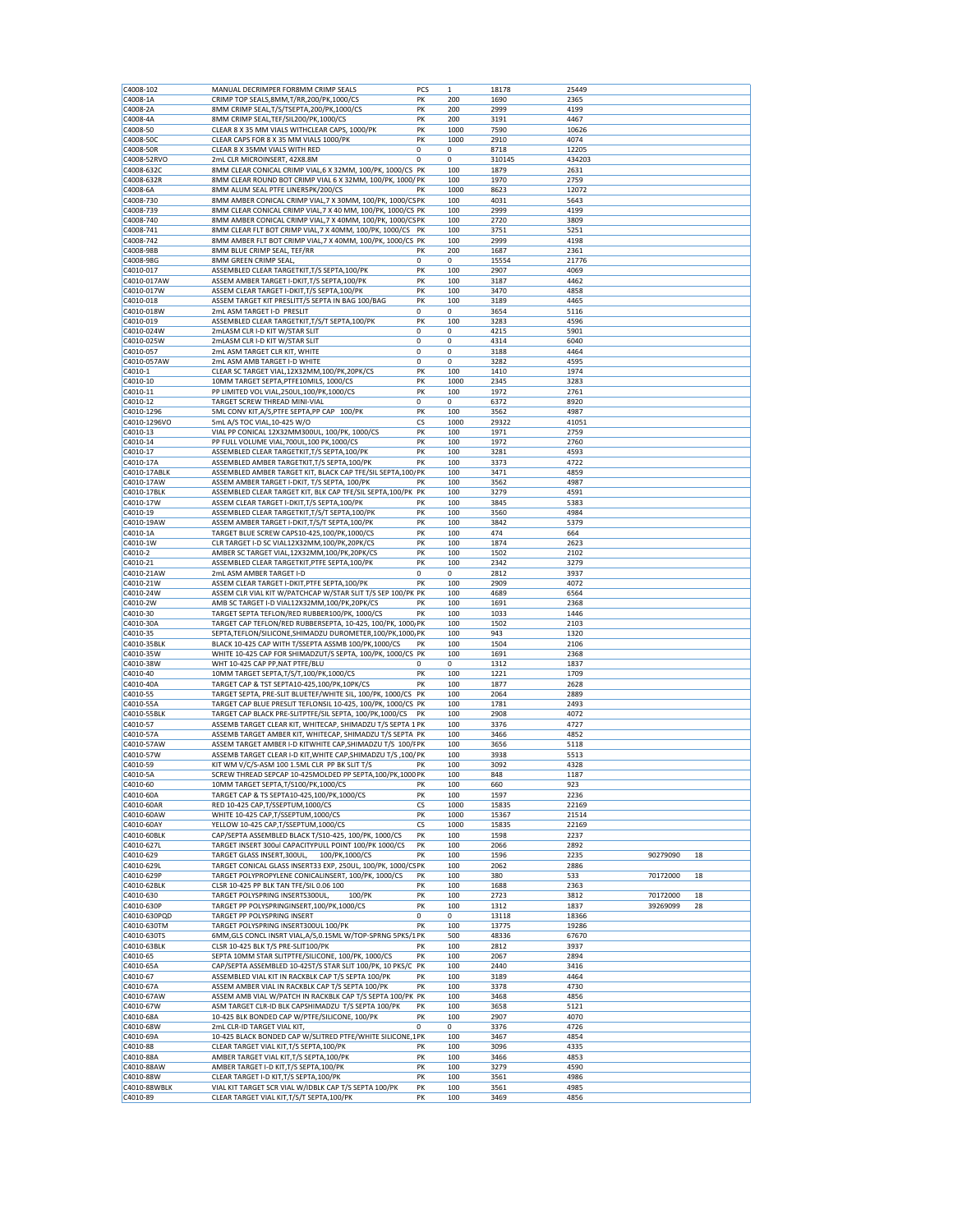| C4008-102                 | MANUAL DECRIMPER FOR8MM CRIMP SEALS                                                                                         | PCS         | $\mathbf{1}$ | 18178          | 25449          |          |    |
|---------------------------|-----------------------------------------------------------------------------------------------------------------------------|-------------|--------------|----------------|----------------|----------|----|
| C4008-1A                  | CRIMP TOP SEALS,8MM,T/RR,200/PK,1000/CS                                                                                     | PK          | 200          | 1690           | 2365           |          |    |
| C4008-2A                  | 8MM CRIMP SEAL, T/S/TSEPTA, 200/PK, 1000/CS                                                                                 | PK          | 200          | 2999           | 4199           |          |    |
| C4008-4A                  | 8MM CRIMP SEAL, TEF/SIL200/PK, 1000/CS                                                                                      | PK          | 200          | 3191           | 4467           |          |    |
| C4008-50                  | CLEAR 8 X 35 MM VIALS WITHCLEAR CAPS, 1000/PK                                                                               | PK<br>PK    | 1000         | 7590           | 10626<br>4074  |          |    |
| C4008-50C<br>C4008-50R    | CLEAR CAPS FOR 8 X 35 MM VIALS 1000/PK<br>CLEAR 8 X 35MM VIALS WITH RED                                                     | 0           | 1000<br>0    | 2910<br>8718   | 12205          |          |    |
| C4008-52RVO               | 2mL CLR MICROINSERT, 42X8.8M                                                                                                | 0           | 0            | 310145         | 434203         |          |    |
| C4008-632C                | 8MM CLEAR CONICAL CRIMP VIAL, 6 X 32MM, 100/PK, 1000/CS PK                                                                  |             | 100          | 1879           | 2631           |          |    |
| C4008-632R                | 8MM CLEAR ROUND BOT CRIMP VIAL 6 X 32MM, 100/PK, 1000/PK                                                                    |             | 100          | 1970           | 2759           |          |    |
| C4008-6A                  | 8MM ALUM SEAL PTFE LINER5PK/200/CS                                                                                          | РΚ          | 1000         | 8623           | 12072          |          |    |
| C4008-730                 | 8MM AMBER CONICAL CRIMP VIAL, 7 X 30MM, 100/PK, 1000/CS PK                                                                  |             | 100          | 4031<br>2999   | 5643<br>4199   |          |    |
| C4008-739<br>C4008-740    | 8MM CLEAR CONICAL CRIMP VIAL, 7 X 40 MM, 100/PK, 1000/CS PK<br>8MM AMBER CONICAL CRIMP VIAL, 7 X 40MM, 100/PK, 1000/CS PK   |             | 100<br>100   | 2720           | 3809           |          |    |
| C4008-741                 | 8MM CLEAR FLT BOT CRIMP VIAL, 7 X 40MM, 100/PK, 1000/CS                                                                     | PK          | 100          | 3751           | 5251           |          |    |
| C4008-742                 | 8MM AMBER FLT BOT CRIMP VIAL, 7 X 40MM, 100/PK, 1000/CS PK                                                                  |             | 100          | 2999           | 4198           |          |    |
| C4008-98B                 | 8MM BLUE CRIMP SEAL, TEF/RR                                                                                                 | PК          | 200          | 1687           | 2361           |          |    |
| C4008-98G                 | 8MM GREEN CRIMP SEAL,                                                                                                       | $\mathbf 0$ | 0            | 15554          | 21776          |          |    |
| C4010-017<br>C4010-017AW  | ASSEMBLED CLEAR TARGETKIT, T/S SEPTA, 100/PK                                                                                | PK<br>PK    | 100          | 2907<br>3187   | 4069           |          |    |
| C4010-017W                | ASSEM AMBER TARGET I-DKIT, T/S SEPTA, 100/PK<br>ASSEM CLEAR TARGET I-DKIT, T/S SEPTA, 100/PK                                | PK          | 100<br>100   | 3470           | 4462<br>4858   |          |    |
| C4010-018                 | ASSEM TARGET KIT PRESLITT/S SEPTA IN BAG 100/BAG                                                                            | PK          | 100          | 3189           | 4465           |          |    |
| C4010-018W                | 2mL ASM TARGET I-D PRESLIT                                                                                                  | 0           | 0            | 3654           | 5116           |          |    |
| C4010-019                 | ASSEMBLED CLEAR TARGETKIT, T/S/T SEPTA, 100/PK                                                                              | PK          | 100          | 3283           | 4596           |          |    |
| C4010-024W                | 2mLASM CLR I-D KIT W/STAR SLIT                                                                                              | $^{\circ}$  | 0            | 4215           | 5901           |          |    |
| C4010-025W<br>C4010-057   | 2mLASM CLR I-D KIT W/STAR SLIT<br>2mL ASM TARGET CLR KIT, WHITE                                                             | 0<br>0      | 0<br>0       | 4314<br>3188   | 6040<br>4464   |          |    |
| C4010-057AW               | 2mL ASM AMB TARGET I-D WHITE                                                                                                | 0           | $\bf 0$      | 3282           | 4595           |          |    |
| C4010-1                   | CLEAR SC TARGET VIAL, 12X32MM, 100/PK, 20PK/CS                                                                              | PK          | 100          | 1410           | 1974           |          |    |
| C4010-10                  | 10MM TARGET SEPTA, PTFE10MILS, 1000/CS                                                                                      | PK          | 1000         | 2345           | 3283           |          |    |
| C4010-11                  | PP LIMITED VOL VIAL, 250UL, 100/PK, 1000/CS                                                                                 | PK          | 100          | 1972           | 2761           |          |    |
| C4010-12                  | TARGET SCREW THREAD MINI-VIAL                                                                                               | 0           | 0            | 6372           | 8920           |          |    |
| C4010-1296                | 5ML CONV KIT, A/S, PTFE SEPTA, PP CAP 100/PK<br>5mL A/S TOC VIAL, 10-425 W/O                                                | PK          | 100          | 3562<br>29322  | 4987           |          |    |
| C4010-1296VO<br>C4010-13  | VIAL PP CONICAL 12X32MM300UL, 100/PK, 1000/CS                                                                               | СS<br>PK    | 1000<br>100  | 1971           | 41051<br>2759  |          |    |
| C4010-14                  | PP FULL VOLUME VIAL, 700UL, 100 PK, 1000/CS                                                                                 | PK          | 100          | 1972           | 2760           |          |    |
| C4010-17                  | ASSEMBLED CLEAR TARGETKIT, T/S SEPTA, 100/PK                                                                                | PK          | 100          | 3281           | 4593           |          |    |
| C4010-17A                 | ASSEMBLED AMBER TARGETKIT, T/S SEPTA, 100/PK                                                                                | PK          | 100          | 3373           | 4722           |          |    |
| C4010-17ABLK              | ASSEMBLED AMBER TARGET KIT, BLACK CAP TFE/SIL SEPTA, 100/ PK                                                                |             | 100          | 3471           | 4859           |          |    |
| C4010-17AW<br>C4010-17BLK | ASSEM AMBER TARGET I-DKIT, T/S SEPTA, 100/PK<br>ASSEMBLED CLEAR TARGET KIT, BLK CAP TFE/SIL SEPTA, 100/PK PK                | PK          | 100<br>100   | 3562<br>3279   | 4987<br>4591   |          |    |
| C4010-17W                 | ASSEM CLEAR TARGET I-DKIT, T/S SEPTA, 100/PK                                                                                | PK          | 100          | 3845           | 5383           |          |    |
| C4010-19                  | ASSEMBLED CLEAR TARGETKIT, T/S/T SEPTA, 100/PK                                                                              | PK          | 100          | 3560           | 4984           |          |    |
| C4010-19AW                | ASSEM AMBER TARGET I-DKIT, T/S/T SEPTA, 100/PK                                                                              | PK          | 100          | 3842           | 5379           |          |    |
| C4010-1A                  | TARGET BLUE SCREW CAPS10-425,100/PK,1000/CS                                                                                 | PK          | 100          | 474            | 664            |          |    |
| C4010-1W                  | CLR TARGET I-D SC VIAL12X32MM,100/PK,20PK/CS                                                                                | PK          | 100          | 1874           | 2623           |          |    |
| C4010-2<br>C4010-21       | AMBER SC TARGET VIAL, 12X32MM, 100/PK, 20PK/CS<br>ASSEMBLED CLEAR TARGETKIT, PTFE SEPTA, 100/PK                             | PK<br>PK    | 100<br>100   | 1502<br>2342   | 2102<br>3279   |          |    |
| C4010-21AW                | 2mL ASM AMBER TARGET I-D                                                                                                    | 0           | 0            | 2812           | 3937           |          |    |
| C4010-21W                 | ASSEM CLEAR TARGET I-DKIT, PTFE SEPTA, 100/PK                                                                               | PK          | 100          | 2909           | 4072           |          |    |
| C4010-24W                 | ASSEM CLR VIAL KIT W/PATCHCAP W/STAR SLIT T/S SEP 100/PK PK                                                                 |             | 100          | 4689           | 6564           |          |    |
| C4010-2W                  | AMB SC TARGET I-D VIAL12X32MM,100/PK,20PK/CS                                                                                | PK          | 100          | 1691           | 2368           |          |    |
| C4010-30                  | TARGET SEPTA TEFLON/RED RUBBER100/PK, 1000/CS                                                                               | PK          | 100          | 1033           | 1446           |          |    |
| C4010-30A<br>C4010-35     | TARGET CAP TEFLON/RED RUBBERSEPTA, 10-425, 100/PK, 1000, PK<br>SEPTA, TEFLON/SILICONE, SHIMADZU DUROMETER, 100/PK, 1000, PK |             | 100<br>100   | 1502<br>943    | 2103<br>1320   |          |    |
| C4010-35BLK               | BLACK 10-425 CAP WITH T/SSEPTA ASSMB 100/PK,1000/CS                                                                         | PK          | 100          | 1504           | 2106           |          |    |
| C4010-35W                 | WHITE 10-425 CAP FOR SHIMADZUT/S SEPTA, 100/PK, 1000/CS PK                                                                  |             | 100          | 1691           | 2368           |          |    |
| C4010-38W                 | WHT 10-425 CAP PP, NAT PTFE/BLU                                                                                             | 0           | 0            | 1312           | 1837           |          |    |
| C4010-40                  | 10MM TARGET SEPTA, T/S/T, 100/PK, 1000/CS<br>TARGET CAP & TST SEPTA10-425,100/PK,10PK/CS                                    | PK          | 100          | 1221           | 1709           |          |    |
| C4010-40A<br>C4010-55     | TARGET SEPTA, PRE-SLIT BLUETEF/WHITE SIL, 100/PK, 1000/CS                                                                   | PK<br>PK    | 100<br>100   | 1877<br>2064   | 2628<br>2889   |          |    |
| C4010-55A                 | TARGET CAP BLUE PRESLIT TEFLONSIL 10-425, 100/PK, 1000/CS PK                                                                |             | 100          | 1781           | 2493           |          |    |
| C4010-55BLK               | TARGET CAP BLACK PRE-SLITPTFE/SIL SEPTA, 100/PK,1000/CS                                                                     | PK          | 100          | 2908           | 4072           |          |    |
| C4010-57                  | ASSEMB TARGET CLEAR KIT, WHITECAP, SHIMADZU T/S SEPTA 1 PK                                                                  |             | 100          | 3376           | 4727           |          |    |
| C4010-57A                 | ASSEMB TARGET AMBER KIT, WHITECAP, SHIMADZU T/S SEPTA PK                                                                    |             | 100          | 3466           | 4852           |          |    |
| C4010-57AW<br>C4010-57W   | ASSEM TARGET AMBER I-D KITWHITE CAP, SHIMADZU T/S 100/FPK                                                                   |             | 100          | 3656<br>3938   | 5118           |          |    |
| C4010-59                  | ASSEMB TARGET CLEAR I-D KIT, WHITE CAP, SHIMADZU T/S , 100/ PK<br>KIT WM V/C/S-ASM 100 1.5ML CLR PP BK SLIT T/S             | PK          | 100<br>100   | 3092           | 5513<br>4328   |          |    |
| C4010-5A                  | SCREW THREAD SEPCAP 10-425MOLDED PP SEPTA, 100/PK, 1000 PK                                                                  |             | 100          | 848            | 1187           |          |    |
| C4010-60                  | 10MM TARGET SEPTA, T/S100/PK, 1000/CS                                                                                       | PK          | 100          | 660            | 923            |          |    |
| C4010-60A                 | TARGET CAP & TS SEPTA10-425,100/PK,1000/CS                                                                                  | PK          | 100          | 1597           | 2236           |          |    |
| C4010-60AR                | RED 10-425 CAP, T/SSEPTUM, 1000/CS                                                                                          | CS          | 1000         | 15835          | 22169          |          |    |
| C4010-60AW<br>C4010-60AY  | WHITE 10-425 CAP, T/SSEPTUM, 1000/CS<br>YELLOW 10-425 CAP, T/SSEPTUM, 1000/CS                                               | PK<br>CS    | 1000<br>1000 | 15367<br>15835 | 21514<br>22169 |          |    |
| C4010-60BLK               | CAP/SEPTA ASSEMBLED BLACK T/S10-425, 100/PK, 1000/CS                                                                        | PK          | 100          | 1598           | 2237           |          |    |
| C4010-627L                | TARGET INSERT 300ul CAPACITYPULL POINT 100/PK 1000/CS                                                                       | PK          | 100          | 2066           | 2892           |          |    |
| C4010-629                 | TARGET GLASS INSERT, 300UL,<br>100/PK,1000/CS                                                                               | PK          | 100          | 1596           | 2235           | 90279090 | 18 |
| C4010-629L                | TARGET CONICAL GLASS INSERT33 EXP, 250UL, 100/PK, 1000/CSPK                                                                 |             | 100          | 2062           | 2886           |          |    |
| C4010-629P                | TARGET POLYPROPYLENE CONICALINSERT, 100/PK, 1000/CS                                                                         | PK          | 100          | 380            | 533            | 70172000 | 18 |
| C4010-62BLK<br>C4010-630  | CLSR 10-425 PP BLK TAN TFE/SIL 0.06 100<br>TARGET POLYSPRING INSERTS300UL,<br>100/PK                                        | PK<br>PK    | 100<br>100   | 1688<br>2723   | 2363<br>3812   | 70172000 | 18 |
| C4010-630P                | TARGET PP POLYSPRINGINSERT, 100/PK, 1000/CS                                                                                 | PK          | 100          | 1312           | 1837           | 39269099 | 28 |
| C4010-630PQD              | TARGET PP POLYSPRING INSERT                                                                                                 | 0           | 0            | 13118          | 18366          |          |    |
| C4010-630TM               | TARGET POLYSPRING INSERT300UL 100/PK                                                                                        | PK          | 100          | 13775          | 19286          |          |    |
| C4010-630TS               | 6MM, GLS CONCL INSRT VIAL, A/S, 0.15ML W/TOP-SPRNG 5PKS/1PK                                                                 |             | 500          | 48336          | 67670          |          |    |
| C4010-63BLK<br>C4010-65   | CLSR 10-425 BLK T/S PRE-SLIT100/PK<br>SEPTA 10MM STAR SLITPTFE/SILICONE, 100/PK, 1000/CS                                    | PK<br>PK    | 100<br>100   | 2812<br>2067   | 3937<br>2894   |          |    |
| C4010-65A                 | CAP/SEPTA ASSEMBLED 10-425T/S STAR SLIT 100/PK, 10 PKS/C PK                                                                 |             | 100          | 2440           | 3416           |          |    |
| C4010-67                  | ASSEMBLED VIAL KIT IN RACKBLK CAP T/S SEPTA 100/PK                                                                          | PK          | 100          | 3189           | 4464           |          |    |
| C4010-67A                 | ASSEM AMBER VIAL IN RACKBLK CAP T/S SEPTA 100/PK                                                                            | PK          | 100          | 3378           | 4730           |          |    |
| C4010-67AW                | ASSEM AMB VIAL W/PATCH IN RACKBLK CAP T/S SEPTA 100/PK PK                                                                   |             | 100          | 3468           | 4856           |          |    |
| C4010-67W<br>C4010-68A    | ASM TARGET CLR-ID BLK CAPSHIMADZU T/S SEPTA 100/PK<br>10-425 BLK BONDED CAP W/PTFE/SILICONE, 100/PK                         | PK<br>PK    | 100<br>100   | 3658<br>2907   | 5121<br>4070   |          |    |
| C4010-68W                 | 2mL CLR-ID TARGET VIAL KIT,                                                                                                 | 0           | 0            | 3376           | 4726           |          |    |
| C4010-69A                 | 10-425 BLACK BONDED CAP W/SLITRED PTFE/WHITE SILICONE,1PK                                                                   |             | 100          | 3467           | 4854           |          |    |
| C4010-88                  | CLEAR TARGET VIAL KIT, T/S SEPTA, 100/PK                                                                                    | PK          | 100          | 3096           | 4335           |          |    |
| C4010-88A                 | AMBER TARGET VIAL KIT, T/S SEPTA, 100/PK                                                                                    | PK          | 100          | 3466           | 4853           |          |    |
| C4010-88AW                | AMBER TARGET I-D KIT, T/S SEPTA, 100/PK                                                                                     | PK          | 100          | 3279           | 4590           |          |    |
| C4010-88W<br>C4010-88WBLK | CLEAR TARGET I-D KIT, T/S SEPTA, 100/PK<br>VIAL KIT TARGET SCR VIAL W/IDBLK CAP T/S SEPTA 100/PK                            | PK<br>PK    | 100<br>100   | 3561<br>3561   | 4986<br>4985   |          |    |
| C4010-89                  | CLEAR TARGET VIAL KIT, T/S/T SEPTA, 100/PK                                                                                  | PK          | 100          | 3469           | 4856           |          |    |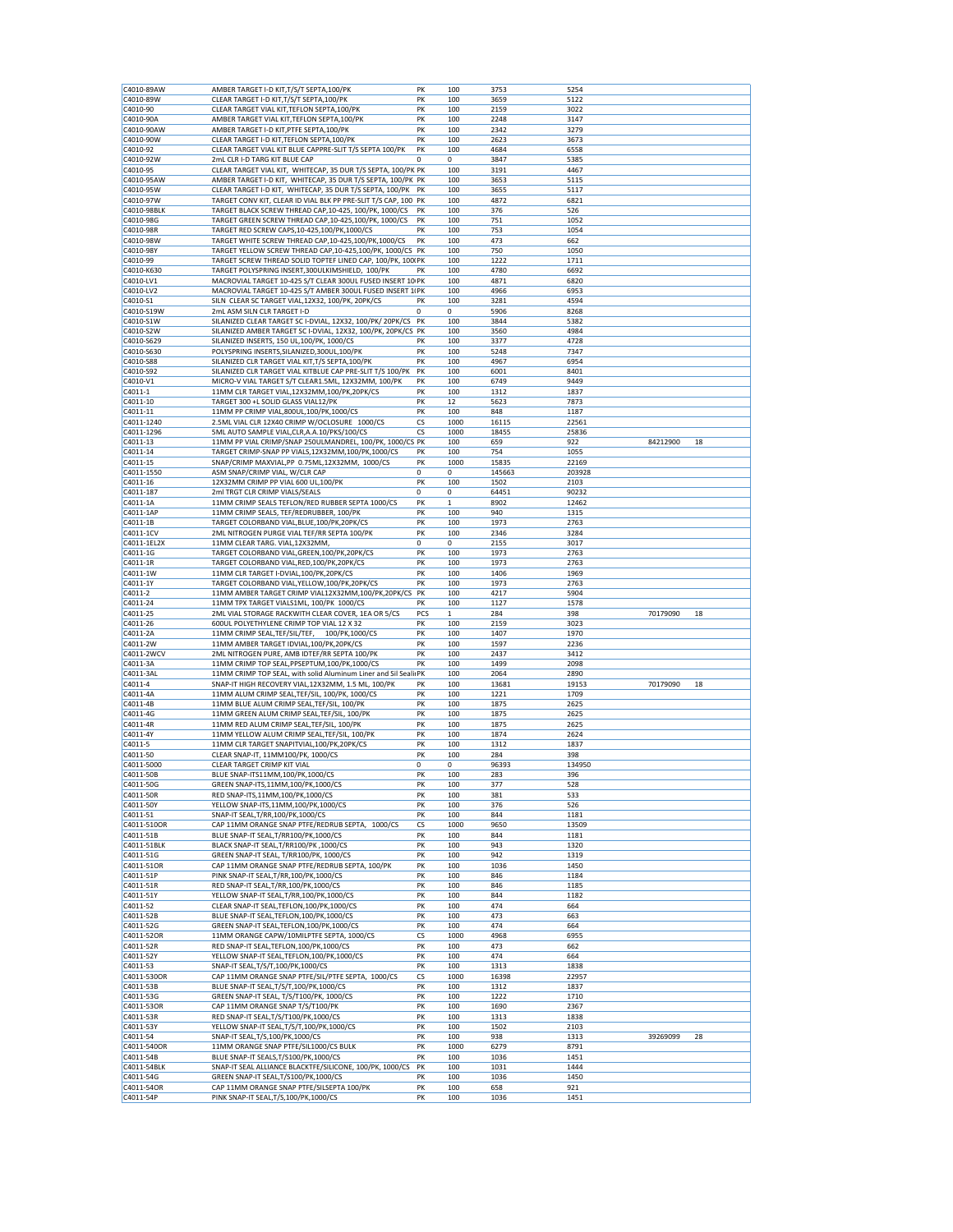| C4010-89AW              | AMBER TARGET I-D KIT, T/S/T SEPTA, 100/PK                                                        | PK       | 100         | 3753         | 5254         |          |    |
|-------------------------|--------------------------------------------------------------------------------------------------|----------|-------------|--------------|--------------|----------|----|
| C4010-89W               | CLEAR TARGET I-D KIT, T/S/T SEPTA, 100/PK                                                        | PK       | 100         | 3659         | 5122         |          |    |
| C4010-90                | CLEAR TARGET VIAL KIT, TEFLON SEPTA, 100/PK                                                      | PK       | 100         | 2159         | 3022         |          |    |
| C4010-90A               | AMBER TARGET VIAL KIT, TEFLON SEPTA, 100/PK                                                      | PK       | 100         | 2248         | 3147         |          |    |
| C4010-90AW              | AMBER TARGET I-D KIT, PTFE SEPTA, 100/PK                                                         | PK       | 100         | 2342         | 3279         |          |    |
| C4010-90W               | CLEAR TARGET I-D KIT, TEFLON SEPTA, 100/PK                                                       | PK       | 100         | 2623         | 3673         |          |    |
| C4010-92<br>C4010-92W   | CLEAR TARGET VIAL KIT BLUE CAPPRE-SLIT T/S SEPTA 100/PK                                          | PK       | 100         | 4684         | 6558         |          |    |
| C4010-95                | 2mL CLR I-D TARG KIT BLUE CAP<br>CLEAR TARGET VIAL KIT, WHITECAP, 35 DUR T/S SEPTA, 100/PK PK    | 0        | 0<br>100    | 3847<br>3191 | 5385<br>4467 |          |    |
| C4010-95AW              | AMBER TARGET I-D KIT, WHITECAP, 35 DUR T/S SEPTA, 100/PK PK                                      |          | 100         | 3653         | 5115         |          |    |
| C4010-95W               | CLEAR TARGET I-D KIT, WHITECAP, 35 DUR T/S SEPTA, 100/PK                                         | PK       | 100         | 3655         | 5117         |          |    |
| C4010-97W               | TARGET CONV KIT, CLEAR ID VIAL BLK PP PRE-SLIT T/S CAP, 100 PK                                   |          | 100         | 4872         | 6821         |          |    |
| C4010-98BLK             | TARGET BLACK SCREW THREAD CAP, 10-425, 100/PK, 1000/CS                                           | PK       | 100         | 376          | 526          |          |    |
| C4010-98G               | TARGET GREEN SCREW THREAD CAP, 10-425, 100/PK, 1000/CS                                           | PK       | 100         | 751          | 1052         |          |    |
| C4010-98R               | TARGET RED SCREW CAPS, 10-425, 100/PK, 1000/CS                                                   | PK       | 100         | 753          | 1054         |          |    |
| C4010-98W               | TARGET WHITE SCREW THREAD CAP, 10-425, 100/PK, 1000/CS                                           | PK       | 100         | 473          | 662          |          |    |
| C4010-98Y               | TARGET YELLOW SCREW THREAD CAP, 10-425, 100/PK, 1000/CS PK                                       |          | 100         | 750          | 1050         |          |    |
| C4010-99                | TARGET SCREW THREAD SOLID TOPTEF LINED CAP, 100/PK, 100/PK                                       |          | 100         | 1222         | 1711         |          |    |
| C4010-K630              | TARGET POLYSPRING INSERT, 300ULKIMSHIELD, 100/PK                                                 | PK       | 100         | 4780         | 6692         |          |    |
| C4010-LV1               | MACROVIAL TARGET 10-425 S/T CLEAR 300UL FUSED INSERT 10 PK                                       |          | 100         | 4871         | 6820         |          |    |
| C4010-LV2               | MACROVIAL TARGET 10-425 S/T AMBER 300UL FUSED INSERT 1IPK                                        |          | 100         | 4966         | 6953         |          |    |
| C4010-S1                | SILN CLEAR SC TARGET VIAL, 12X32, 100/PK, 20PK/CS                                                | PK       | 100         | 3281         | 4594         |          |    |
| C4010-S19W              | 2mL ASM SILN CLR TARGET I-D                                                                      | 0        | 0           | 5906         | 8268         |          |    |
| C4010-S1W               | SILANIZED CLEAR TARGET SC I-DVIAL, 12X32, 100/PK/ 20PK/CS                                        | PK       | 100         | 3844         | 5382         |          |    |
| C4010-S2W               | SILANIZED AMBER TARGET SC I-DVIAL, 12X32, 100/PK, 20PK/CS PK                                     |          | 100         | 3560         | 4984         |          |    |
| C4010-S629              | SILANIZED INSERTS, 150 UL,100/PK, 1000/CS                                                        | PK       | 100         | 3377         | 4728         |          |    |
| C4010-S630<br>C4010-S88 | POLYSPRING INSERTS, SILANIZED, 300UL, 100/PK<br>SILANIZED CLR TARGET VIAL KIT, T/S SEPTA, 100/PK | PK<br>PK | 100<br>100  | 5248<br>4967 | 7347<br>6954 |          |    |
| C4010-S92               | SILANIZED CLR TARGET VIAL KITBLUE CAP PRE-SLIT T/S 100/PK                                        | PK       | 100         | 6001         | 8401         |          |    |
| C4010-V1                | MICRO-V VIAL TARGET S/T CLEAR1.5ML, 12X32MM, 100/PK                                              | PK       | 100         | 6749         | 9449         |          |    |
| C4011-1                 | 11MM CLR TARGET VIAL, 12X32MM, 100/PK, 20PK/CS                                                   | PK       | 100         | 1312         | 1837         |          |    |
| C4011-10                | TARGET 300 +L SOLID GLASS VIAL12/PK                                                              | PK       | 12          | 5623         | 7873         |          |    |
| C4011-11                | 11MM PP CRIMP VIAL,800UL,100/PK,1000/CS                                                          | PK       | 100         | 848          | 1187         |          |    |
| C4011-1240              | 2.5ML VIAL CLR 12X40 CRIMP W/OCLOSURE 1000/CS                                                    | CS       | 1000        | 16115        | 22561        |          |    |
| C4011-1296              | 5ML AUTO SAMPLE VIAL, CLR, A.A.10/PKS/100/CS                                                     | CS       | 1000        | 18455        | 25836        |          |    |
| C4011-13                | 11MM PP VIAL CRIMP/SNAP 250ULMANDREL, 100/PK, 1000/CS PK                                         |          | 100         | 659          | 922          | 84212900 | 18 |
| C4011-14                | TARGET CRIMP-SNAP PP VIALS,12X32MM,100/PK,1000/CS                                                | PK       | 100         | 754          | 1055         |          |    |
| C4011-15                | SNAP/CRIMP MAXVIAL,PP 0.75ML,12X32MM, 1000/CS                                                    | PK       | 1000        | 15835        | 22169        |          |    |
| C4011-1550              | ASM SNAP/CRIMP VIAL, W/CLR CAP                                                                   | 0        | $\mathbf 0$ | 145663       | 203928       |          |    |
| C4011-16                | 12X32MM CRIMP PP VIAL 600 UL,100/PK                                                              | PK       | 100         | 1502         | 2103         |          |    |
| C4011-187               | 2ml TRGT CLR CRIMP VIALS/SEALS                                                                   | 0        | 0           | 64451        | 90232        |          |    |
| C4011-1A                | 11MM CRIMP SEALS TEFLON/RED RUBBER SEPTA 1000/CS                                                 | PK       | 1           | 8902         | 12462        |          |    |
| C4011-1AP               | 11MM CRIMP SEALS, TEF/REDRUBBER, 100/PK                                                          | PK       | 100         | 940          | 1315         |          |    |
| C4011-1B                | TARGET COLORBAND VIAL, BLUE, 100/PK, 20PK/CS                                                     | PK       | 100         | 1973         | 2763         |          |    |
| C4011-1CV               | 2ML NITROGEN PURGE VIAL TEF/RR SEPTA 100/PK                                                      | PK       | 100         | 2346         | 3284         |          |    |
| C4011-1EL2X             | 11MM CLEAR TARG. VIAL, 12X32MM,                                                                  | 0        | 0           | 2155         | 3017         |          |    |
| C4011-1G                | TARGET COLORBAND VIAL, GREEN, 100/PK, 20PK/CS                                                    | PK       | 100         | 1973         | 2763         |          |    |
| C4011-1R                | TARGET COLORBAND VIAL, RED, 100/PK, 20PK/CS                                                      | PK       | 100         | 1973         | 2763         |          |    |
| C4011-1W<br>C4011-1Y    | 11MM CLR TARGET I-DVIAL, 100/PK, 20PK/CS<br>TARGET COLORBAND VIAL, YELLOW, 100/PK, 20PK/CS       | PK<br>PK | 100<br>100  | 1406<br>1973 | 1969<br>2763 |          |    |
| C4011-2                 | 11MM AMBER TARGET CRIMP VIAL12X32MM,100/PK,20PK/CS                                               | PK       | 100         | 4217         | 5904         |          |    |
| C4011-24                | 11MM TPX TARGET VIALS1ML, 100/PK 1000/CS                                                         | PK       | 100         | 1127         | 1578         |          |    |
| C4011-25                | 2ML VIAL STORAGE RACKWITH CLEAR COVER, 1EA OR 5/CS                                               | PCS      | 1           | 284          | 398          | 70179090 | 18 |
| C4011-26                | 600UL POLYETHYLENE CRIMP TOP VIAL 12 X 32                                                        | PK       | 100         | 2159         | 3023         |          |    |
| C4011-2A                | 11MM CRIMP SEAL, TEF/SIL/TEF,<br>100/PK,1000/CS                                                  | PK       | 100         | 1407         | 1970         |          |    |
| C4011-2W                | 11MM AMBER TARGET IDVIAL, 100/PK, 20PK/CS                                                        | PK       | 100         | 1597         | 2236         |          |    |
| C4011-2WCV              | 2ML NITROGEN PURE, AMB IDTEF/RR SEPTA 100/PK                                                     | PK       | 100         | 2437         | 3412         |          |    |
| C4011-3A                | 11MM CRIMP TOP SEAL, PPSEPTUM, 100/PK, 1000/CS                                                   | PK       | 100         | 1499         | 2098         |          |    |
| C4011-3AL               | 11MM CRIMP TOP SEAL, with solid Aluminum Liner and Sil SealirPK                                  |          | 100         | 2064         | 2890         |          |    |
| C4011-4                 | SNAP-IT HIGH RECOVERY VIAL, 12X32MM, 1.5 ML, 100/PK                                              | PK       | 100         | 13681        | 19153        | 70179090 | 18 |
| C4011-4A                | 11MM ALUM CRIMP SEAL, TEF/SIL, 100/PK, 1000/CS                                                   | PK       | 100         | 1221         | 1709         |          |    |
| C4011-4B                | 11MM BLUE ALUM CRIMP SEAL, TEF/SIL, 100/PK                                                       | PK       | 100         | 1875         | 2625         |          |    |
| C4011-4G                | 11MM GREEN ALUM CRIMP SEAL, TEF/SIL, 100/PK                                                      | PK       | 100         | 1875         | 2625         |          |    |
| C4011-4R                | 11MM RED ALUM CRIMP SEAL, TEF/SIL, 100/PK                                                        | PK       | 100         | 1875         | 2625         |          |    |
| C4011-4Y                | 11MM YELLOW ALUM CRIMP SEAL, TEF/SIL, 100/PK                                                     | PK       | 100         | 1874         | 2624         |          |    |
| C4011-5                 | 11MM CLR TARGET SNAPITVIAL, 100/PK, 20PK/CS                                                      | PK       | 100         | 1312         | 1837         |          |    |
| C4011-50                | CLEAR SNAP-IT, 11MM100/PK, 1000/CS                                                               | PK       | 100         | 284          | 398          |          |    |
| C4011-5000              | CLEAR TARGET CRIMP KIT VIAL                                                                      | 0        | 0           | 96393        | 134950       |          |    |
| C4011-50B               | BLUE SNAP-ITS11MM,100/PK,1000/CS<br>GREEN SNAP-ITS, 11MM, 100/PK, 1000/CS                        | PK<br>PK | 100<br>100  | 283<br>377   | 396<br>528   |          |    |
| C4011-50G<br>C4011-50R  | RED SNAP-ITS,11MM,100/PK,1000/CS                                                                 | PK       | 100         | 381          | 533          |          |    |
| C4011-50Y               | YELLOW SNAP-ITS.11MM.100/PK.1000/CS                                                              | PK       | 100         | 376          | 526          |          |    |
| C4011-51                | SNAP-IT SEAL, T/RR, 100/PK, 1000/CS                                                              | PK       | 100         | 844          | 1181         |          |    |
| C4011-510OR             | CAP 11MM ORANGE SNAP PTFE/REDRUB SEPTA, 1000/CS                                                  | СS       | 1000        | 9650         | 13509        |          |    |
| C4011-51B               | BLUE SNAP-IT SEAL, T/RR100/PK, 1000/CS                                                           | PK       | 100         | 844          | 1181         |          |    |
| C4011-51BLK             | BLACK SNAP-IT SEAL, T/RR100/PK, 1000/CS                                                          | PK       | 100         | 943          | 1320         |          |    |
| C4011-51G               | GREEN SNAP-IT SEAL, T/RR100/PK, 1000/CS                                                          | PK       | 100         | 942          | 1319         |          |    |
| C4011-51OR              |                                                                                                  | PK       | 100         |              |              |          |    |
| C4011-51P               | CAP 11MM ORANGE SNAP PTFE/REDRUB SEPTA, 100/PK                                                   |          |             | 1036         | 1450         |          |    |
| C4011-51R               | PINK SNAP-IT SEAL, T/RR, 100/PK, 1000/CS                                                         | PK       | 100         | 846          | 1184         |          |    |
|                         | RED SNAP-IT SEAL, T/RR, 100/PK, 1000/CS                                                          | PK       | 100         | 846          | 1185         |          |    |
| C4011-51Y               | YELLOW SNAP-IT SEAL, T/RR, 100/PK, 1000/CS                                                       | PK       | 100         | 844          | 1182         |          |    |
| C4011-52                | CLEAR SNAP-IT SEAL, TEFLON, 100/PK, 1000/CS                                                      | PK       | 100         | 474          | 664          |          |    |
| C4011-52B               | BLUE SNAP-IT SEAL, TEFLON, 100/PK, 1000/CS                                                       | PK       | 100         | 473          | 663          |          |    |
| C4011-52G               | GREEN SNAP-IT SEAL, TEFLON, 100/PK, 1000/CS                                                      | PK       | 100         | 474          | 664          |          |    |
| C4011-52OR              | 11MM ORANGE CAPW/10MILPTFE SEPTA, 1000/CS                                                        | CS       | 1000        | 4968         | 6955         |          |    |
| C4011-52R               | RED SNAP-IT SEAL, TEFLON, 100/PK, 1000/CS                                                        | PK       | 100         | 473          | 662          |          |    |
| C4011-52Y               | YELLOW SNAP-IT SEAL, TEFLON, 100/PK, 1000/CS                                                     | PK       | 100         | 474          | 664          |          |    |
| C4011-53                | SNAP-IT SEAL, T/S/T, 100/PK, 1000/CS                                                             | PK       | 100         | 1313         | 1838         |          |    |
| C4011-530OR             | CAP 11MM ORANGE SNAP PTFE/SIL/PTFE SEPTA, 1000/CS                                                | CS       | 1000        | 16398        | 22957        |          |    |
| C4011-53B               | BLUE SNAP-IT SEAL, T/S/T, 100/PK, 1000/CS                                                        | PK<br>PK | 100<br>100  | 1312<br>1222 | 1837<br>1710 |          |    |
| C4011-53G<br>C4011-53OR | GREEN SNAP-IT SEAL, T/S/T100/PK, 1000/CS                                                         | PK       | 100         | 1690         | 2367         |          |    |
| C4011-53R               | CAP 11MM ORANGE SNAP T/S/T100/PK<br>RED SNAP-IT SEAL, T/S/T100/PK, 1000/CS                       | PK       | 100         | 1313         | 1838         |          |    |
| C4011-53Y               | YELLOW SNAP-IT SEAL, T/S/T, 100/PK, 1000/CS                                                      | PK       | 100         | 1502         | 2103         |          |    |
| C4011-54                | SNAP-IT SEAL, T/S, 100/PK, 1000/CS                                                               | PK       | 100         | 938          | 1313         | 39269099 | 28 |
| C4011-540OR             | 11MM ORANGE SNAP PTFE/SIL1000/CS BULK                                                            | PK       | 1000        | 6279         | 8791         |          |    |
| C4011-54B               | BLUE SNAP-IT SEALS, T/S100/PK, 1000/CS                                                           | PK       | 100         | 1036         | 1451         |          |    |
| C4011-54BLK             | SNAP-IT SEAL ALLIANCE BLACKTFE/SILICONE, 100/PK, 1000/CS                                         | PK       | 100         | 1031         | 1444         |          |    |
| C4011-54G               | GREEN SNAP-IT SEAL, T/S100/PK, 1000/CS                                                           | PK       | 100         | 1036         | 1450         |          |    |
| C4011-54OR<br>C4011-54P | CAP 11MM ORANGE SNAP PTFE/SILSEPTA 100/PK<br>PINK SNAP-IT SEAL, T/S, 100/PK, 1000/CS             | PK<br>PK | 100<br>100  | 658<br>1036  | 921<br>1451  |          |    |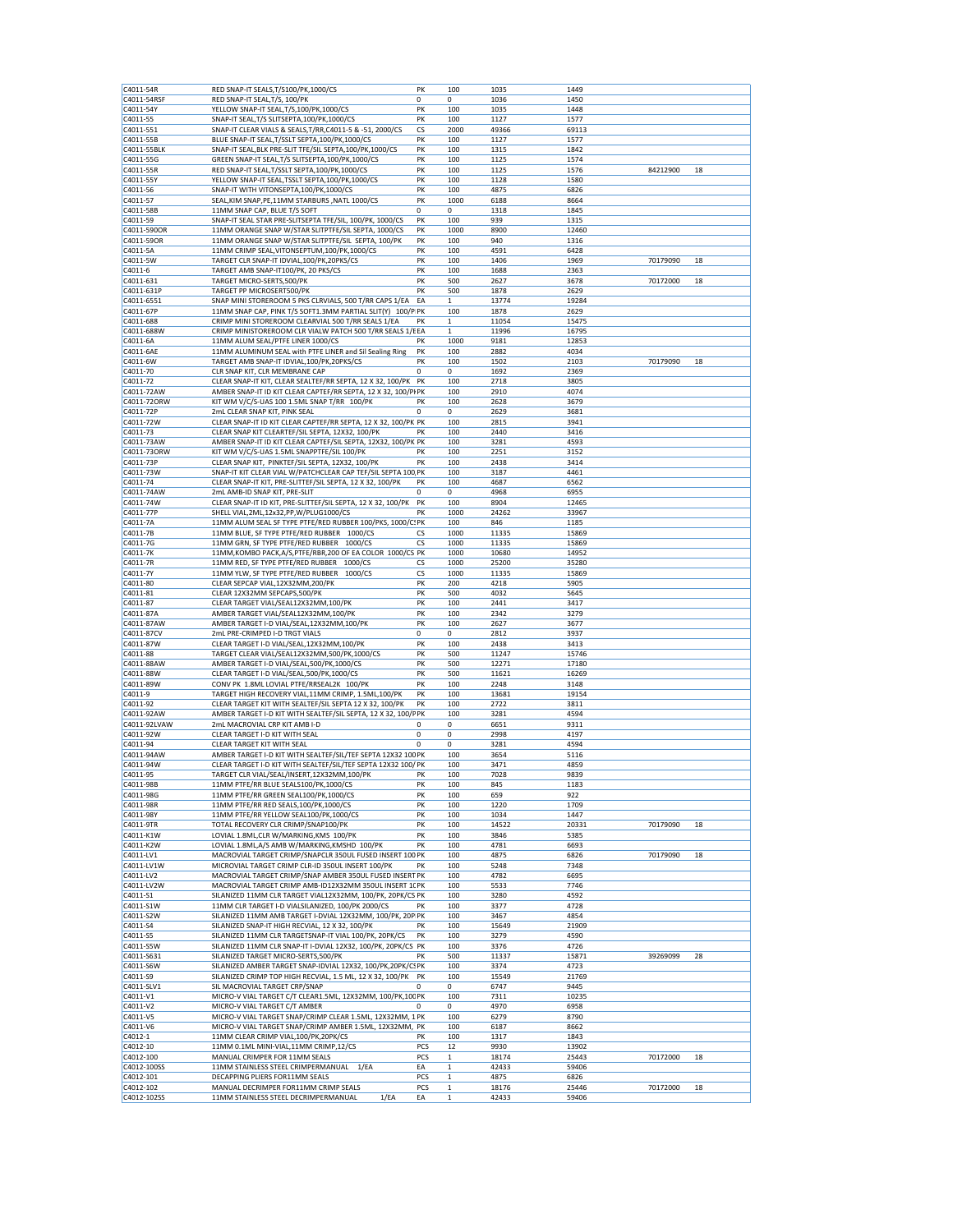| C4011-54R                | RED SNAP-IT SEALS, T/S100/PK, 1000/CS                                                | PK          | 100                         | 1035           | 1449           |          |    |
|--------------------------|--------------------------------------------------------------------------------------|-------------|-----------------------------|----------------|----------------|----------|----|
|                          |                                                                                      |             |                             |                |                |          |    |
| C4011-54RSF              | RED SNAP-IT SEAL, T/S, 100/PK                                                        | $\Omega$    | $\mathbf 0$                 | 1036           | 1450           |          |    |
| C4011-54Y                | YELLOW SNAP-IT SEAL, T/S, 100/PK, 1000/CS                                            | PK          | 100                         | 1035           | 1448           |          |    |
| C4011-55                 | SNAP-IT SEAL, T/S SLITSEPTA, 100/PK, 1000/CS                                         | PK          | 100                         | 1127           | 1577           |          |    |
| C4011-551                | SNAP-IT CLEAR VIALS & SEALS, T/RR, C4011-5 & -51, 2000/CS                            | CS          | 2000                        | 49366          | 69113          |          |    |
|                          |                                                                                      |             |                             |                |                |          |    |
| C4011-55B                | BLUE SNAP-IT SEAL, T/SSLT SEPTA, 100/PK, 1000/CS                                     | PK          | 100                         | 1127           | 1577           |          |    |
| C4011-55BLK              | SNAP-IT SEAL, BLK PRE-SLIT TFE/SIL SEPTA, 100/PK, 1000/CS                            | PK          | 100                         | 1315           | 1842           |          |    |
| C4011-55G                | GREEN SNAP-IT SEAL, T/S SLITSEPTA, 100/PK, 1000/CS                                   | PK          | 100                         | 1125           | 1574           |          |    |
| C4011-55R                | RED SNAP-IT SEAL, T/SSLT SEPTA, 100/PK, 1000/CS                                      | PK          | 100                         | 1125           | 1576           | 84212900 | 18 |
| C4011-55Y                | YELLOW SNAP-IT SEAL, TSSLT SEPTA, 100/PK, 1000/CS                                    | PK          | 100                         | 1128           | 1580           |          |    |
|                          |                                                                                      |             |                             |                |                |          |    |
| C4011-56                 | SNAP-IT WITH VITONSEPTA, 100/PK, 1000/CS                                             | PK          | 100                         | 4875           | 6826           |          |    |
| C4011-57                 | SEAL, KIM SNAP, PE, 11MM STARBURS, NATL 1000/CS                                      | PK          | 1000                        | 6188           | 8664           |          |    |
| C4011-58B                | 11MM SNAP CAP, BLUE T/S SOFT                                                         | $\mathbf 0$ | 0                           | 1318           | 1845           |          |    |
| C4011-59                 | SNAP-IT SEAL STAR PRE-SLITSEPTA TFE/SIL, 100/PK, 1000/CS                             | PK          | 100                         | 939            | 1315           |          |    |
| C4011-590OR              | 11MM ORANGE SNAP W/STAR SLITPTFE/SIL SEPTA, 1000/CS                                  | PK          | 1000                        | 8900           | 12460          |          |    |
| C4011-59OR               | 11MM ORANGE SNAP W/STAR SLITPTFE/SIL SEPTA, 100/PK                                   | PK          | 100                         | 940            | 1316           |          |    |
|                          |                                                                                      |             |                             |                |                |          |    |
| C4011-5A                 | 11MM CRIMP SEAL, VITONSEPTUM, 100/PK, 1000/CS                                        | PK          | 100                         | 4591           | 6428           |          |    |
| C4011-5W                 | TARGET CLR SNAP-IT IDVIAL, 100/PK, 20PKS/CS                                          | PK          | 100                         | 1406           | 1969           | 70179090 | 18 |
| C4011-6                  | TARGET AMB SNAP-IT100/PK, 20 PKS/CS                                                  | PK          | 100                         | 1688           | 2363           |          |    |
| C4011-631                | TARGET MICRO-SERTS,500/PK                                                            | PK          | 500                         | 2627           | 3678           | 70172000 | 18 |
| C4011-631P               | TARGET PP MICROSERT500/PK                                                            | PK          | 500                         | 1878           | 2629           |          |    |
|                          |                                                                                      |             |                             |                |                |          |    |
| C4011-6551               | SNAP MINI STOREROOM 5 PKS CLRVIALS, 500 T/RR CAPS 1/EA                               | EA          | $\mathbf{1}$                | 13774          | 19284          |          |    |
| C4011-67P                | 11MM SNAP CAP, PINK T/S SOFT1.3MM PARTIAL SLIT(Y) 100/P PK                           |             | 100                         | 1878           | 2629           |          |    |
| C4011-688                | CRIMP MINI STOREROOM CLEARVIAL 500 T/RR SEALS 1/EA                                   | PK          | 1                           | 11054          | 15475          |          |    |
| C4011-688W               | CRIMP MINISTOREROOM CLR VIALW PATCH 500 T/RR SEALS 1/EEA                             |             | $\mathbf 1$                 | 11996          | 16795          |          |    |
| C4011-6A                 | 11MM ALUM SEAL/PTFE LINER 1000/CS                                                    | PK          | 1000                        | 9181           | 12853          |          |    |
|                          | 11MM ALUMINUM SEAL with PTFE LINER and Sil Sealing Ring                              | PK          | 100                         | 2882           | 4034           |          |    |
| C4011-6AE                |                                                                                      |             |                             |                |                |          |    |
| C4011-6W                 | TARGET AMB SNAP-IT IDVIAL, 100/PK, 20PKS/CS                                          | PK          | 100                         | 1502           | 2103           | 70179090 | 18 |
| C4011-70                 | CLR SNAP KIT, CLR MEMBRANE CAP                                                       | 0           | 0                           | 1692           | 2369           |          |    |
| C4011-72                 | CLEAR SNAP-IT KIT, CLEAR SEALTEF/RR SEPTA, 12 X 32, 100/PK                           | PK          | 100                         | 2718           | 3805           |          |    |
| C4011-72AW               | AMBER SNAP-IT ID KIT CLEAR CAPTEF/RR SEPTA, 12 X 32, 100/PI PK                       |             | 100                         | 2910           | 4074           |          |    |
| C4011-72ORW              | KIT WM V/C/S-UAS 100 1.5ML SNAP T/RR 100/PK                                          | PK          | 100                         | 2628           | 3679           |          |    |
|                          |                                                                                      |             |                             |                |                |          |    |
| C4011-72P                | 2mL CLEAR SNAP KIT, PINK SEAL                                                        | 0           | 0                           | 2629           | 3681           |          |    |
| C4011-72W                | CLEAR SNAP-IT ID KIT CLEAR CAPTEF/RR SEPTA, 12 X 32, 100/PK PK                       |             | 100                         | 2815           | 3941           |          |    |
| C4011-73                 | CLEAR SNAP KIT CLEARTEF/SIL SEPTA, 12X32, 100/PK                                     | PK          | 100                         | 2440           | 3416           |          |    |
| C4011-73AW               | AMBER SNAP-IT ID KIT CLEAR CAPTEF/SIL SEPTA, 12X32, 100/PK PK                        |             | 100                         | 3281           | 4593           |          |    |
| C4011-73ORW              | KIT WM V/C/S-UAS 1.5ML SNAPPTFE/SIL 100/PK                                           | PK          | 100                         | 2251           | 3152           |          |    |
|                          |                                                                                      |             |                             |                |                |          |    |
| C4011-73P                | CLEAR SNAP KIT, PINKTEF/SIL SEPTA, 12X32, 100/PK                                     | PK          | 100                         | 2438           | 3414           |          |    |
| C4011-73W                | SNAP-IT KIT CLEAR VIAL W/PATCHCLEAR CAP TEF/SIL SEPTA 100 PK                         |             | 100                         | 3187           | 4461           |          |    |
| C4011-74                 | CLEAR SNAP-IT KIT, PRE-SLITTEF/SIL SEPTA, 12 X 32, 100/PK                            | PK          | 100                         | 4687           | 6562           |          |    |
| C4011-74AW               | 2mL AMB-ID SNAP KIT, PRE-SLIT                                                        | 0           | 0                           | 4968           | 6955           |          |    |
| C4011-74W                | CLEAR SNAP-IT ID KIT, PRE-SLITTEF/SIL SEPTA, 12 X 32, 100/PK                         | PK          | 100                         | 8904           | 12465          |          |    |
|                          |                                                                                      |             |                             |                |                |          |    |
| C4011-77P                | SHELL VIAL, 2ML, 12x32, PP, W/PLUG1000/CS                                            | PK          | 1000                        | 24262          | 33967          |          |    |
| C4011-7A                 | 11MM ALUM SEAL SF TYPE PTFE/RED RUBBER 100/PKS, 1000/C! PK                           |             | 100                         | 846            | 1185           |          |    |
| C4011-7B                 | 11MM BLUE, SF TYPE PTFE/RED RUBBER 1000/CS                                           | CS          | 1000                        | 11335          | 15869          |          |    |
| C4011-7G                 | 11MM GRN, SF TYPE PTFE/RED RUBBER 1000/CS                                            | CS          | 1000                        | 11335          | 15869          |          |    |
| C4011-7K                 | 11MM, KOMBO PACK, A/S, PTFE/RBR, 200 OF EA COLOR 1000/CS PK                          |             | 1000                        | 10680          | 14952          |          |    |
| C4011-7R                 | 11MM RED, SF TYPE PTFE/RED RUBBER 1000/CS                                            | СS          | 1000                        | 25200          | 35280          |          |    |
|                          |                                                                                      |             |                             |                |                |          |    |
| C4011-7Y                 | 11MM YLW, SF TYPE PTFE/RED RUBBER 1000/CS                                            | CS          | 1000                        | 11335          | 15869          |          |    |
| C4011-80                 | CLEAR SEPCAP VIAL, 12X32MM, 200/PK                                                   | PK          | 200                         | 4218           | 5905           |          |    |
| C4011-81                 | CLEAR 12X32MM SEPCAPS,500/PK                                                         | PK          | 500                         | 4032           | 5645           |          |    |
| C4011-87                 | CLEAR TARGET VIAL/SEAL12X32MM,100/PK                                                 | PK          | 100                         | 2441           | 3417           |          |    |
| C4011-87A                | AMBER TARGET VIAL/SEAL12X32MM,100/PK                                                 | PK          | 100                         | 2342           | 3279           |          |    |
|                          |                                                                                      |             |                             |                |                |          |    |
| C4011-87AW               | AMBER TARGET I-D VIAL/SEAL,12X32MM,100/PK                                            | PK          | 100                         | 2627           | 3677           |          |    |
| C4011-87CV               | 2mL PRE-CRIMPED I-D TRGT VIALS                                                       | $\mathbf 0$ | 0                           | 2812           | 3937           |          |    |
| C4011-87W                | CLEAR TARGET I-D VIAL/SEAL,12X32MM,100/PK                                            | PK          | 100                         | 2438           | 3413           |          |    |
| C4011-88                 | TARGET CLEAR VIAL/SEAL12X32MM,500/PK,1000/CS                                         | PK          | 500                         | 11247          | 15746          |          |    |
| C4011-88AW               | AMBER TARGET I-D VIAL/SEAL,500/PK,1000/CS                                            | PK          | 500                         | 12271          | 17180          |          |    |
| C4011-88W                | CLEAR TARGET I-D VIAL/SEAL,500/PK,1000/CS                                            | PK          | 500                         | 11621          | 16269          |          |    |
|                          |                                                                                      |             |                             |                |                |          |    |
| C4011-89W                | CONV PK 1.8ML LOVIAL PTFE/RRSEAL2K 100/PK                                            | PK          | 100                         | 2248           | 3148           |          |    |
| C4011-9                  | TARGET HIGH RECOVERY VIAL, 11MM CRIMP, 1.5ML, 100/PK                                 | PK          | 100                         | 13681          | 19154          |          |    |
| C4011-92                 | CLEAR TARGET KIT WITH SEALTEF/SIL SEPTA 12 X 32, 100/PK                              | PK          | 100                         | 2722           | 3811           |          |    |
| C4011-92AW               | AMBER TARGET I-D KIT WITH SEALTEF/SIL SEPTA, 12 X 32, 100/P PK                       |             | 100                         | 3281           | 4594           |          |    |
| C4011-92LVAW             | 2mL MACROVIAL CRP KIT AMB I-D                                                        | 0           | 0                           | 6651           | 9311           |          |    |
|                          |                                                                                      |             |                             |                |                |          |    |
| C4011-92W                | CLEAR TARGET I-D KIT WITH SEAL                                                       | 0           | 0                           | 2998           | 4197           |          |    |
| C4011-94                 | CLEAR TARGET KIT WITH SEAL                                                           | 0           | 0                           | 3281           | 4594           |          |    |
| C4011-94AW               | AMBER TARGET I-D KIT WITH SEALTEF/SIL/TEF SEPTA 12X32 100 PK                         |             | 100                         | 3654           | 5116           |          |    |
| C4011-94W                | CLEAR TARGET I-D KIT WITH SEALTEF/SIL/TEF SEPTA 12X32 100/ PK                        |             | 100                         | 3471           | 4859           |          |    |
| C4011-95                 | TARGET CLR VIAL/SEAL/INSERT,12X32MM,100/PK                                           | PK          | 100                         | 7028           | 9839           |          |    |
| C4011-98B                | 11MM PTFE/RR BLUE SEALS100/PK,1000/CS                                                | PK          | 100                         | 845            | 1183           |          |    |
|                          |                                                                                      | PK          |                             |                |                |          |    |
| C4011-98G                | 11MM PTFE/RR GREEN SEAL100/PK,1000/CS                                                |             | 100                         | 659            | 922            |          |    |
| C4011-98R                | 11MM PTFE/RR RED SEALS, 100/PK, 1000/CS                                              | PK          | 100                         | 1220           | 1709           |          |    |
| C4011-98Y                | 11MM PTFE/RR YELLOW SEAL100/PK,1000/CS                                               | PK          | 100                         | 1034           | 1447           |          |    |
| C4011-9TR                | TOTAL RECOVERY CLR CRIMP/SNAP100/PK                                                  | PK          | 100                         | 14522          | 20331          | 70179090 | 18 |
| C4011-K1W                | LOVIAL 1.8ML, CLR W/MARKING, KMS 100/PK                                              | PK          | 100                         |                | 5385           |          |    |
| C4011-K2W                |                                                                                      |             |                             | 3846           |                |          |    |
|                          |                                                                                      |             |                             |                |                |          |    |
| C4011-LV1                | LOVIAL 1.8ML, A/S AMB W/MARKING, KMSHD 100/PK                                        | PK          | 100                         | 4781           | 6693           |          |    |
| C4011-LV1W               | MACROVIAL TARGET CRIMP/SNAPCLR 350UL FUSED INSERT 100 PK                             |             | 100                         | 4875           | 6826           | 70179090 | 18 |
|                          | MICROVIAL TARGET CRIMP CLR-ID 350UL INSERT 100/PK                                    | PK          | 100                         | 5248           | 7348           |          |    |
| C4011-LV2                | MACROVIAL TARGET CRIMP/SNAP AMBER 350UL FUSED INSERT PK                              |             | 100                         | 4782           | 6695           |          |    |
| C4011-LV2W               | MACROVIAL TARGET CRIMP AMB-ID12X32MM 350UL INSERT 1( PK                              |             | 100                         | 5533           | 7746           |          |    |
|                          |                                                                                      |             |                             |                |                |          |    |
| C4011-S1                 | SILANIZED 11MM CLR TARGET VIAL12X32MM, 100/PK, 20PK/CS PK                            |             | 100                         | 3280           | 4592           |          |    |
| C4011-S1W                | 11MM CLR TARGET I-D VIALSILANIZED, 100/PK 2000/CS                                    | PK          | 100                         | 3377           | 4728           |          |    |
| C4011-S2W                | SILANIZED 11MM AMB TARGET I-DVIAL 12X32MM, 100/PK, 20P PK                            |             | 100                         | 3467           | 4854           |          |    |
| C4011-S4                 | SILANIZED SNAP-IT HIGH RECVIAL, 12 X 32, 100/PK                                      | PK          | 100                         | 15649          | 21909          |          |    |
| C4011-S5                 | SILANIZED 11MM CLR TARGETSNAP-IT VIAL 100/PK, 20PK/CS                                | PK          | 100                         | 3279           | 4590           |          |    |
| C4011-S5W                | SILANIZED 11MM CLR SNAP-IT I-DVIAL 12X32, 100/PK, 20PK/CS PK                         |             |                             | 3376           | 4726           |          |    |
|                          |                                                                                      |             | 100                         |                |                |          |    |
| C4011-S631               | SILANIZED TARGET MICRO-SERTS, 500/PK                                                 | PΚ          | 500                         | 11337          | 15871          | 39269099 | 28 |
| C4011-S6W                | SILANIZED AMBER TARGET SNAP-IDVIAL 12X32, 100/PK,20PK/CSPK                           |             | 100                         | 3374           | 4723           |          |    |
| C4011-S9                 | SILANIZED CRIMP TOP HIGH RECVIAL, 1.5 ML, 12 X 32, 100/PK                            | PK          | 100                         | 15549          | 21769          |          |    |
| C4011-SLV1               | SIL MACROVIAL TARGET CRP/SNAP                                                        | $\mathbf 0$ | 0                           | 6747           | 9445           |          |    |
| C4011-V1                 | MICRO-V VIAL TARGET C/T CLEAR1.5ML, 12X32MM, 100/PK,10CPK                            |             | 100                         | 7311           | 10235          |          |    |
| C4011-V2                 | MICRO-V VIAL TARGET C/T AMBER                                                        | $\mathbf 0$ | 0                           | 4970           | 6958           |          |    |
|                          |                                                                                      |             |                             |                |                |          |    |
| C4011-V5                 | MICRO-V VIAL TARGET SNAP/CRIMP CLEAR 1.5ML, 12X32MM, 1 PK                            |             | 100                         | 6279           | 8790           |          |    |
| C4011-V6                 | MICRO-V VIAL TARGET SNAP/CRIMP AMBER 1.5ML, 12X32MM, PK                              |             | 100                         | 6187           | 8662           |          |    |
| C4012-1                  | 11MM CLEAR CRIMP VIAL, 100/PK, 20PK/CS                                               | PK          | 100                         | 1317           | 1843           |          |    |
| C4012-10                 | 11MM 0.1ML MINI-VIAL, 11MM CRIMP, 12/CS                                              | PCS         | 12                          | 9930           | 13902          |          |    |
| C4012-100                | MANUAL CRIMPER FOR 11MM SEALS                                                        | PCS         | $\mathbf{1}$                | 18174          | 25443          | 70172000 | 18 |
| C4012-100SS              | 11MM STAINLESS STEEL CRIMPERMANUAL 1/EA                                              | EA          | $\mathbf 1$                 | 42433          | 59406          |          |    |
|                          |                                                                                      |             |                             |                |                |          |    |
| C4012-101                | DECAPPING PLIERS FOR11MM SEALS                                                       | PCS         | 1                           | 4875           | 6826           |          |    |
| C4012-102<br>C4012-102SS | MANUAL DECRIMPER FOR11MM CRIMP SEALS<br>1/EA<br>11MM STAINLESS STEEL DECRIMPERMANUAL | PCS<br>EA   | $\mathbf{1}$<br>$\mathbf 1$ | 18176<br>42433 | 25446<br>59406 | 70172000 | 18 |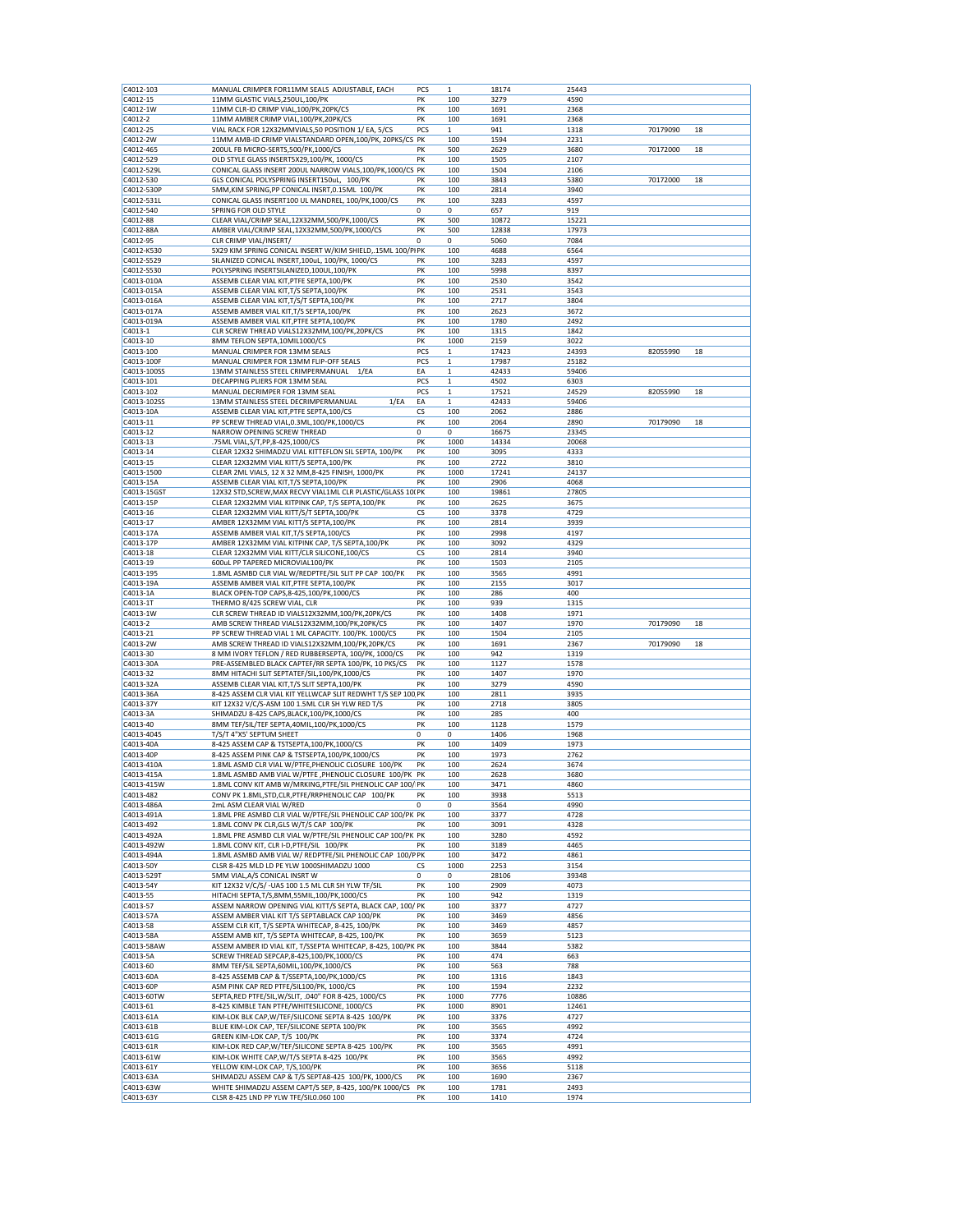| C4012-103                | MANUAL CRIMPER FOR11MM SEALS ADJUSTABLE, EACH                                                                 | PCS       | $\mathbf{1}$                | 18174          | 25443          |          |    |
|--------------------------|---------------------------------------------------------------------------------------------------------------|-----------|-----------------------------|----------------|----------------|----------|----|
| C4012-15                 | 11MM GLASTIC VIALS, 250UL, 100/PK                                                                             | PK        | 100                         | 3279           | 4590           |          |    |
| C4012-1W                 | 11MM CLR-ID CRIMP VIAL, 100/PK, 20PK/CS                                                                       | PK        | 100                         | 1691           | 2368           |          |    |
| C4012-2                  | 11MM AMBER CRIMP VIAL, 100/PK, 20PK/CS                                                                        | PK        | 100                         | 1691           | 2368           |          |    |
| C4012-25                 | VIAL RACK FOR 12X32MMVIALS,50 POSITION 1/ EA, 5/CS                                                            | PCS       | 1                           | 941            | 1318           | 70179090 | 18 |
| C4012-2W                 | 11MM AMB-ID CRIMP VIALSTANDARD OPEN, 100/PK, 20PKS/CS PK                                                      |           | 100                         | 1594           | 2231           |          |    |
| C4012-465                | 200UL FB MICRO-SERTS, 500/PK, 1000/CS                                                                         | PK        | 500                         | 2629           | 3680           | 70172000 | 18 |
| C4012-529<br>C4012-529L  | OLD STYLE GLASS INSERT5X29,100/PK, 1000/CS<br>CONICAL GLASS INSERT 200UL NARROW VIALS, 100/PK, 1000/CS PK     | PK        | 100<br>100                  | 1505<br>1504   | 2107<br>2106   |          |    |
| C4012-530                | GLS CONICAL POLYSPRING INSERT150uL, 100/PK                                                                    | PK        | 100                         | 3843           | 5380           | 70172000 | 18 |
| C4012-530P               | 5MM, KIM SPRING, PP CONICAL INSRT, 0.15ML 100/PK                                                              | PK        | 100                         | 2814           | 3940           |          |    |
| C4012-531L               | CONICAL GLASS INSERT100 UL MANDREL, 100/PK,1000/CS                                                            | PK        | 100                         | 3283           | 4597           |          |    |
| C4012-540                | SPRING FOR OLD STYLE                                                                                          | 0         | 0                           | 657            | 919            |          |    |
| C4012-88                 | CLEAR VIAL/CRIMP SEAL, 12X32MM, 500/PK, 1000/CS                                                               | PK        | 500                         | 10872          | 15221          |          |    |
| C4012-88A                | AMBER VIAL/CRIMP SEAL,12X32MM,500/PK,1000/CS                                                                  | PK        | 500                         | 12838          | 17973          |          |    |
| C4012-95                 | CLR CRIMP VIAL/INSERT/                                                                                        | 0         | 0                           | 5060           | 7084           |          |    |
| C4012-K530               | 5X29 KIM SPRING CONICAL INSERT W/KIM SHIELD, 15ML 100/PIPK                                                    |           | 100                         | 4688           | 6564           |          |    |
| C4012-S529               | SILANIZED CONICAL INSERT, 100uL, 100/PK, 1000/CS                                                              | PK        | 100                         | 3283           | 4597           |          |    |
| C4012-S530               | POLYSPRING INSERTSILANIZED, 100UL, 100/PK                                                                     | PK        | 100                         | 5998           | 8397           |          |    |
| C4013-010A               | ASSEMB CLEAR VIAL KIT, PTFE SEPTA, 100/PK                                                                     | PK        | 100                         | 2530           | 3542           |          |    |
| C4013-015A               | ASSEMB CLEAR VIAL KIT, T/S SEPTA, 100/PK                                                                      | PK        | 100                         | 2531           | 3543           |          |    |
| C4013-016A               | ASSEMB CLEAR VIAL KIT, T/S/T SEPTA, 100/PK                                                                    | PK        | 100                         | 2717           | 3804           |          |    |
| C4013-017A               | ASSEMB AMBER VIAL KIT, T/S SEPTA, 100/PK                                                                      | PK        | 100                         | 2623           | 3672           |          |    |
| C4013-019A               | ASSEMB AMBER VIAL KIT, PTFE SEPTA, 100/PK                                                                     | PK        | 100                         | 1780           | 2492           |          |    |
| C4013-1                  | CLR SCREW THREAD VIALS12X32MM,100/PK,20PK/CS                                                                  | PK        | 100                         | 1315           | 1842           |          |    |
| C4013-10                 | 8MM TEFLON SEPTA, 10MIL1000/CS                                                                                | PK        | 1000                        | 2159           | 3022           |          |    |
| C4013-100                | MANUAL CRIMPER FOR 13MM SEALS                                                                                 | PCS       | 1                           | 17423          | 24393          | 82055990 | 18 |
| C4013-100F               | MANUAL CRIMPER FOR 13MM FLIP-OFF SEALS                                                                        | PCS       | $\mathbf 1$                 | 17987          | 25182          |          |    |
| C4013-100SS              | 13MM STAINLESS STEEL CRIMPERMANUAL 1/EA                                                                       | EA        | $\mathbf 1$                 | 42433          | 59406          |          |    |
| C4013-101                | DECAPPING PLIERS FOR 13MM SEAL                                                                                | PCS       | 1                           | 4502           | 6303           |          |    |
| C4013-102                | MANUAL DECRIMPER FOR 13MM SEAL<br>13MM STAINLESS STEEL DECRIMPERMANUAL                                        | PCS<br>EA | $\mathbf{1}$<br>$\mathbf 1$ | 17521<br>42433 | 24529<br>59406 | 82055990 | 18 |
| C4013-102SS<br>C4013-10A | 1/EA<br>ASSEMB CLEAR VIAL KIT, PTFE SEPTA, 100/CS                                                             | СS        | 100                         | 2062           | 2886           |          |    |
| C4013-11                 | PP SCREW THREAD VIAL, 0.3ML, 100/PK, 1000/CS                                                                  | PK        | 100                         | 2064           | 2890           | 70179090 | 18 |
| C4013-12                 | NARROW OPENING SCREW THREAD                                                                                   | 0         | 0                           | 16675          | 23345          |          |    |
| C4013-13                 | .75ML VIAL, S/T, PP, 8-425, 1000/CS                                                                           | PK        | 1000                        | 14334          | 20068          |          |    |
| C4013-14                 | CLEAR 12X32 SHIMADZU VIAL KITTEFLON SIL SEPTA, 100/PK                                                         | PK        | 100                         | 3095           | 4333           |          |    |
| C4013-15                 | CLEAR 12X32MM VIAL KITT/S SEPTA, 100/PK                                                                       | PK        | 100                         | 2722           | 3810           |          |    |
| C4013-1500               | CLEAR 2ML VIALS, 12 X 32 MM,8-425 FINISH, 1000/PK                                                             | PK        | 1000                        | 17241          | 24137          |          |    |
| C4013-15A                | ASSEMB CLEAR VIAL KIT, T/S SEPTA, 100/PK                                                                      | PK        | 100                         | 2906           | 4068           |          |    |
| C4013-15GST              | 12X32 STD, SCREW, MAX RECVY VIAL1ML CLR PLASTIC/GLASS 10( PK                                                  |           | 100                         | 19861          | 27805          |          |    |
| C4013-15P                | CLEAR 12X32MM VIAL KITPINK CAP, T/S SEPTA, 100/PK                                                             | PK        | 100                         | 2625           | 3675           |          |    |
| C4013-16                 | CLEAR 12X32MM VIAL KITT/S/T SEPTA,100/PK                                                                      | CS        | 100                         | 3378           | 4729           |          |    |
| C4013-17                 | AMBER 12X32MM VIAL KITT/S SEPTA,100/PK                                                                        | PK        | 100                         | 2814           | 3939           |          |    |
| C4013-17A                | ASSEMB AMBER VIAL KIT, T/S SEPTA, 100/CS                                                                      | PK        | 100                         | 2998           | 4197           |          |    |
| C4013-17P                | AMBER 12X32MM VIAL KITPINK CAP, T/S SEPTA, 100/PK                                                             | PK        | 100                         | 3092           | 4329           |          |    |
| C4013-18                 | CLEAR 12X32MM VIAL KITT/CLR SILICONE,100/CS                                                                   | <b>CS</b> | 100                         | 2814           | 3940           |          |    |
| C4013-19                 | 600uL PP TAPERED MICROVIAL100/PK                                                                              | PK        | 100                         | 1503           | 2105           |          |    |
| C4013-195                | 1.8ML ASMBD CLR VIAL W/REDPTFE/SIL SLIT PP CAP 100/PK                                                         | PK        | 100                         | 3565           | 4991           |          |    |
| C4013-19A                | ASSEMB AMBER VIAL KIT, PTFE SEPTA, 100/PK                                                                     | PK        | 100                         | 2155           | 3017           |          |    |
| C4013-1A                 | BLACK OPEN-TOP CAPS, 8-425, 100/PK, 1000/CS                                                                   | PK        | 100                         | 286            | 400            |          |    |
| C4013-1T                 | THERMO 8/425 SCREW VIAL, CLR                                                                                  | PK        | 100                         | 939            | 1315           |          |    |
| C4013-1W                 | CLR SCREW THREAD ID VIALS12X32MM,100/PK,20PK/CS                                                               | PK        | 100                         | 1408           | 1971           |          |    |
| C4013-2                  | AMB SCREW THREAD VIALS12X32MM,100/PK,20PK/CS                                                                  | PK        | 100                         | 1407           | 1970           | 70179090 | 18 |
| C4013-21                 | PP SCREW THREAD VIAL 1 ML CAPACITY. 100/PK. 1000/CS                                                           | PK        | 100                         | 1504           | 2105           |          |    |
| C4013-2W<br>C4013-30     | AMB SCREW THREAD ID VIALS12X32MM,100/PK,20PK/CS<br>8 MM IVORY TEFLON / RED RUBBERSEPTA, 100/PK, 1000/CS       | PK<br>PK  | 100<br>100                  | 1691<br>942    | 2367<br>1319   | 70179090 | 18 |
| C4013-30A                | PRE-ASSEMBLED BLACK CAPTEF/RR SEPTA 100/PK, 10 PKS/CS                                                         | PK        | 100                         | 1127           | 1578           |          |    |
| C4013-32                 | 8MM HITACHI SLIT SEPTATEF/SIL, 100/PK, 1000/CS                                                                | PK        | 100                         | 1407           | 1970           |          |    |
| C4013-32A                | ASSEMB CLEAR VIAL KIT, T/S SLIT SEPTA, 100/PK                                                                 | PK        | 100                         | 3279           | 4590           |          |    |
| C4013-36A                | 8-425 ASSEM CLR VIAL KIT YELLWCAP SLIT REDWHT T/S SEP 100 PK                                                  |           | 100                         | 2811           | 3935           |          |    |
| C4013-37Y                | KIT 12X32 V/C/S-ASM 100 1.5ML CLR SH YLW RED T/S                                                              | PK        | 100                         | 2718           | 3805           |          |    |
| C4013-3A                 | SHIMADZU 8-425 CAPS, BLACK, 100/PK, 1000/CS                                                                   | PK        | 100                         | 285            | 400            |          |    |
| C4013-40                 | 8MM TEF/SIL/TEF SEPTA,40MIL,100/PK,1000/CS                                                                    | PK        | 100                         | 1128           | 1579           |          |    |
| C4013-4045               | T/S/T 4"X5' SEPTUM SHEET                                                                                      | 0         | 0                           | 1406           |                |          |    |
| C4013-40A                | 8-425 ASSEM CAP & TSTSEPTA, 100/PK, 1000/CS                                                                   | PK        |                             |                |                |          |    |
| C4013-40P                | 8-425 ASSEM PINK CAP & TSTSEPTA, 100/PK, 1000/CS                                                              |           | 100                         | 1409           | 1968<br>1973   |          |    |
| C4013-410A               |                                                                                                               | PK        | 100                         | 1973           | 2762           |          |    |
|                          | 1.8ML ASMD CLR VIAL W/PTFE, PHENOLIC CLOSURE 100/PK                                                           | PK        | 100                         | 2624           | 3674           |          |    |
| C4013-415A               | 1.8ML ASMBD AMB VIAL W/PTFE , PHENOLIC CLOSURE 100/PK                                                         | PK        | 100                         | 2628           | 3680           |          |    |
| C4013-415W               | 1.8ML CONV KIT AMB W/MRKING, PTFE/SIL PHENOLIC CAP 100/ PK                                                    |           | 100                         | 3471           | 4860           |          |    |
| C4013-482                | CONV PK 1.8ML, STD, CLR, PTFE/RRPHENOLIC CAP 100/PK                                                           | PK        | 100                         | 3938           | 5513           |          |    |
| C4013-486A               | 2mL ASM CLEAR VIAL W/RED                                                                                      | 0         | 0                           | 3564           | 4990           |          |    |
| C4013-491A               | 1.8ML PRE ASMBD CLR VIAL W/PTFE/SIL PHENOLIC CAP 100/PK PK                                                    |           | 100                         | 3377           | 4728           |          |    |
| C4013-492                | 1.8ML CONV PK CLR, GLS W/T/S CAP 100/PK                                                                       | PK        | 100                         | 3091           | 4328           |          |    |
| C4013-492A               | 1.8ML PRE ASMBD CLR VIAL W/PTFE/SIL PHENOLIC CAP 100/PK PK                                                    |           | 100                         | 3280           | 4592           |          |    |
| C4013-492W               | 1.8ML CONV KIT, CLR I-D, PTFE/SIL 100/PK                                                                      | PK        | 100                         | 3189           | 4465           |          |    |
| C4013-494A               | 1.8ML ASMBD AMB VIAL W/ REDPTFE/SIL PHENOLIC CAP 100/PPK                                                      |           | 100                         | 3472           | 4861           |          |    |
| C4013-50Y                | CLSR 8-425 MLD LD PE YLW 1000SHIMADZU 1000                                                                    | СS        | 1000                        | 2253           | 3154           |          |    |
| C4013-529T               | 5MM VIAL, A/S CONICAL INSRT W                                                                                 | 0         | 0                           | 28106          | 39348          |          |    |
| C4013-54Y                | KIT 12X32 V/C/S/ - UAS 100 1.5 ML CLR SH YLW TF/SIL                                                           | PK<br>PK  | 100                         | 2909<br>942    | 4073           |          |    |
| C4013-55                 | HITACHI SEPTA, T/S, 8MM, 55MIL, 100/PK, 1000/CS                                                               |           | 100                         | 3377           | 1319<br>4727   |          |    |
| C4013-57                 | ASSEM NARROW OPENING VIAL KITT/S SEPTA, BLACK CAP, 100/ PK<br>ASSEM AMBER VIAL KIT T/S SEPTABLACK CAP 100/PK  | PK        | 100                         |                |                |          |    |
| C4013-57A<br>C4013-58    | ASSEM CLR KIT, T/S SEPTA WHITECAP, 8-425, 100/PK                                                              | PK        | 100<br>100                  | 3469<br>3469   | 4856<br>4857   |          |    |
| C4013-58A                | ASSEM AMB KIT, T/S SEPTA WHITECAP, 8-425, 100/PK                                                              | PK        | 100                         | 3659           | 5123           |          |    |
| C4013-58AW               | ASSEM AMBER ID VIAL KIT, T/SSEPTA WHITECAP, 8-425, 100/PK PK                                                  |           | 100                         | 3844           | 5382           |          |    |
| C4013-5A                 | SCREW THREAD SEPCAP,8-425,100/PK,1000/CS                                                                      | PK        | 100                         | 474            | 663            |          |    |
| C4013-60                 | 8MM TEF/SIL SEPTA,60MIL,100/PK,1000/CS                                                                        | PK        | 100                         | 563            | 788            |          |    |
| C4013-60A                | 8-425 ASSEMB CAP & T/SSEPTA, 100/PK, 1000/CS                                                                  | PK        | 100                         | 1316           | 1843           |          |    |
| C4013-60P                | ASM PINK CAP RED PTFE/SIL100/PK, 1000/CS                                                                      | PK        | 100                         | 1594           | 2232           |          |    |
| C4013-60TW               | SEPTA, RED PTFE/SIL, W/SLIT, .040" FOR 8-425, 1000/CS                                                         | PK        | 1000                        | 7776           | 10886          |          |    |
| C4013-61                 | 8-425 KIMBLE TAN PTFE/WHITESILICONE, 1000/CS                                                                  | PK        | 1000                        | 8901           | 12461          |          |    |
| C4013-61A                | KIM-LOK BLK CAP, W/TEF/SILICONE SEPTA 8-425 100/PK                                                            | PK        | 100                         | 3376           | 4727           |          |    |
| C4013-61B                | BLUE KIM-LOK CAP, TEF/SILICONE SEPTA 100/PK                                                                   | PK        | 100                         | 3565           | 4992           |          |    |
| C4013-61G                | GREEN KIM-LOK CAP, T/S 100/PK                                                                                 | PK        | 100                         | 3374           | 4724           |          |    |
| C4013-61R                | KIM-LOK RED CAP, W/TEF/SILICONE SEPTA 8-425 100/PK                                                            | PK        | 100                         | 3565           | 4991           |          |    |
| C4013-61W                | KIM-LOK WHITE CAP, W/T/S SEPTA 8-425 100/PK                                                                   | PK        | 100                         | 3565           | 4992           |          |    |
| C4013-61Y                | YELLOW KIM-LOK CAP, T/S,100/PK                                                                                | PK        | 100                         | 3656           | 5118           |          |    |
| C4013-63A<br>C4013-63W   | SHIMADZU ASSEM CAP & T/S SEPTA8-425 100/PK, 1000/CS<br>WHITE SHIMADZU ASSEM CAPT/S SEP, 8-425, 100/PK 1000/CS | PK<br>PK  | 100<br>100                  | 1690<br>1781   | 2367<br>2493   |          |    |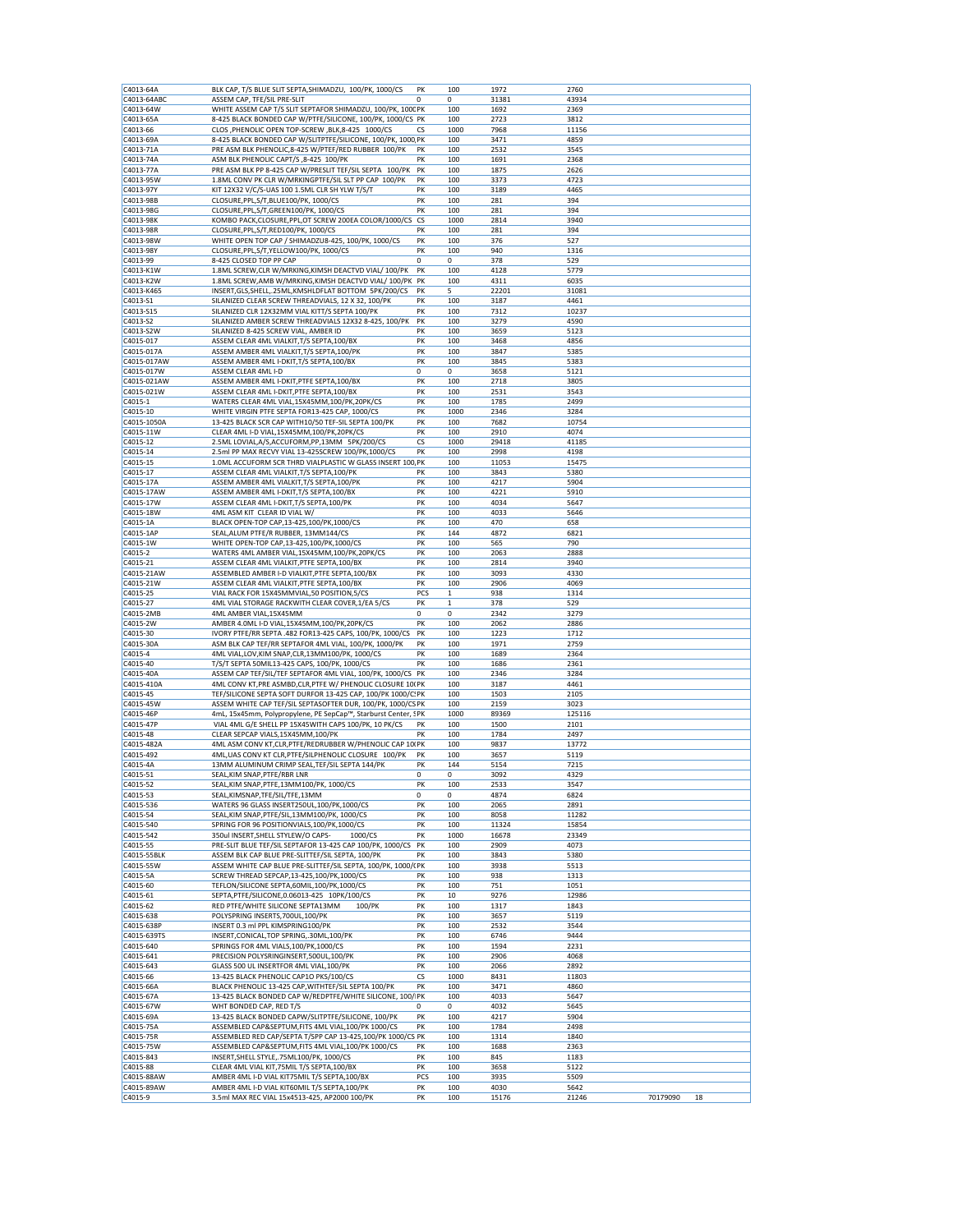| C4013-64A             | BLK CAP, T/S BLUE SLIT SEPTA, SHIMADZU, 100/PK, 1000/CS                                        | PK          | 100         | 1972          | 2760          |          |    |
|-----------------------|------------------------------------------------------------------------------------------------|-------------|-------------|---------------|---------------|----------|----|
| C4013-64ABC           | ASSEM CAP, TFE/SIL PRE-SLIT                                                                    | $\Omega$    | 0           | 31381         | 43934         |          |    |
| C4013-64W             | WHITE ASSEM CAP T/S SLIT SEPTAFOR SHIMADZU, 100/PK, 100CPK                                     |             | 100         | 1692          | 2369          |          |    |
| C4013-65A             | 8-425 BLACK BONDED CAP W/PTFE/SILICONE, 100/PK, 1000/CS PK                                     |             | 100         | 2723          | 3812          |          |    |
| C4013-66              | CLOS , PHENOLIC OPEN TOP-SCREW , BLK, 8-425 1000/CS                                            | cs          | 1000        | 7968          | 11156         |          |    |
| C4013-69A             | 8-425 BLACK BONDED CAP W/SLITPTFE/SILICONE, 100/PK, 1000 PK                                    |             | 100         | 3471          | 4859          |          |    |
| C4013-71A             | PRE ASM BLK PHENOLIC, 8-425 W/PTEF/RED RUBBER 100/PK                                           | PK          | 100         | 2532          | 3545          |          |    |
| C4013-74A             | ASM BLK PHENOLIC CAPT/S ,8-425 100/PK                                                          | PK          | 100         | 1691          | 2368          |          |    |
| C4013-77A             | PRE ASM BLK PP 8-425 CAP W/PRESLIT TEF/SIL SEPTA 100/PK                                        | PK          | 100         | 1875          | 2626          |          |    |
| C4013-95W             | 1.8ML CONV PK CLR W/MRKINGPTFE/SIL SLT PP CAP 100/PK                                           | PK          | 100         | 3373          | 4723          |          |    |
| C4013-97Y             | KIT 12X32 V/C/S-UAS 100 1.5ML CLR SH YLW T/S/T                                                 | PK          | 100         | 3189          | 4465          |          |    |
| C4013-98B             | CLOSURE, PPL, S/T, BLUE100/PK, 1000/CS                                                         | PK          | 100         | 281           | 394           |          |    |
| C4013-98G             | CLOSURE, PPL, S/T, GREEN 100/PK, 1000/CS                                                       | PK          | 100         | 281           | 394           |          |    |
| C4013-98K             | KOMBO PACK, CLOSURE, PPL, OT SCREW 200EA COLOR/1000/CS                                         | CS          | 1000        | 2814          | 3940          |          |    |
| C4013-98R             | CLOSURE, PPL, S/T, RED100/PK, 1000/CS                                                          | PK          | 100         | 281           | 394           |          |    |
| C4013-98W             | WHITE OPEN TOP CAP / SHIMADZU8-425, 100/PK, 1000/CS                                            | PK          | 100         | 376           | 527           |          |    |
| C4013-98Y             | CLOSURE, PPL, S/T, YELLOW100/PK, 1000/CS                                                       | PK          | 100         | 940           | 1316          |          |    |
| C4013-99              | 8-425 CLOSED TOP PP CAP                                                                        | 0           | 0           | 378           | 529           |          |    |
| C4013-K1W             | 1.8ML SCREW, CLR W/MRKING, KIMSH DEACTVD VIAL/ 100/PK                                          | PK          | 100         | 4128          | 5779          |          |    |
| C4013-K2W             | 1.8ML SCREW, AMB W/MRKING, KIMSH DEACTVD VIAL/ 100/PK PK                                       |             | 100         | 4311          | 6035          |          |    |
| C4013-K465            | INSERT, GLS, SHELL, . 25ML, KMSHLDFLAT BOTTOM 5PK/200/CS                                       | PK          | 5           | 22201         | 31081         |          |    |
| C4013-S1              | SILANIZED CLEAR SCREW THREADVIALS, 12 X 32, 100/PK                                             | PK          | 100         | 3187          | 4461          |          |    |
| C4013-S15             | SILANIZED CLR 12X32MM VIAL KITT/S SEPTA 100/PK                                                 | PK          | 100         | 7312          | 10237         |          |    |
| C4013-S2              | SILANIZED AMBER SCREW THREADVIALS 12X32 8-425, 100/PK                                          | PK          | 100         | 3279          | 4590          |          |    |
| C4013-S2W             | SILANIZED 8-425 SCREW VIAL, AMBER ID                                                           | PK          | 100         | 3659          | 5123          |          |    |
|                       |                                                                                                |             |             |               |               |          |    |
| C4015-017             | ASSEM CLEAR 4ML VIALKIT, T/S SEPTA, 100/BX                                                     | PK          | 100         | 3468          | 4856          |          |    |
| C4015-017A            | ASSEM AMBER 4ML VIALKIT, T/S SEPTA, 100/PK                                                     | PK          | 100         | 3847          | 5385          |          |    |
| C4015-017AW           | ASSEM AMBER 4ML I-DKIT, T/S SEPTA, 100/BX                                                      | PK          | 100         | 3845          | 5383          |          |    |
| C4015-017W            | ASSEM CLEAR 4ML I-D                                                                            | 0           | 0           | 3658          | 5121          |          |    |
| C4015-021AW           | ASSEM AMBER 4ML I-DKIT, PTFE SEPTA, 100/BX                                                     | PK          | 100         | 2718          | 3805          |          |    |
| C4015-021W            | ASSEM CLEAR 4ML I-DKIT, PTFE SEPTA, 100/BX                                                     | PK          | 100         | 2531          | 3543          |          |    |
| C4015-1               | WATERS CLEAR 4ML VIAL, 15X45MM, 100/PK, 20PK/CS                                                | PK          | 100         | 1785          | 2499          |          |    |
| C4015-10              | WHITE VIRGIN PTFE SEPTA FOR13-425 CAP, 1000/CS                                                 | PK          | 1000        | 2346          | 3284          |          |    |
| C4015-1050A           | 13-425 BLACK SCR CAP WITH10/50 TEF-SIL SEPTA 100/PK                                            | PK          | 100         | 7682          | 10754         |          |    |
| C4015-11W             | CLEAR 4ML I-D VIAL,15X45MM,100/PK,20PK/CS                                                      | PK          | 100         | 2910          | 4074          |          |    |
| C4015-12              | 2.5ML LOVIAL, A/S, ACCUFORM, PP, 13MM 5PK/200/CS                                               | CS          | 1000        | 29418         | 41185         |          |    |
| C4015-14              | 2.5ml PP MAX RECVY VIAL 13-425SCREW 100/PK,1000/CS                                             | PK          | 100         | 2998          | 4198          |          |    |
| C4015-15              | 1.0ML ACCUFORM SCR THRD VIALPLASTIC W GLASS INSERT 100, PK                                     |             | 100         | 11053         | 15475         |          |    |
| C4015-17              | ASSEM CLEAR 4ML VIALKIT, T/S SEPTA, 100/PK                                                     | PK          | 100         | 3843          | 5380          |          |    |
| C4015-17A             | ASSEM AMBER 4ML VIALKIT, T/S SEPTA, 100/PK                                                     | PK          | 100         | 4217          | 5904          |          |    |
| C4015-17AW            | ASSEM AMBER 4ML I-DKIT, T/S SEPTA, 100/BX                                                      | PK          | 100         | 4221          | 5910          |          |    |
| C4015-17W             | ASSEM CLEAR 4ML I-DKIT, T/S SEPTA, 100/PK                                                      | PK          | 100         | 4034          | 5647          |          |    |
| C4015-18W             | 4ML ASM KIT CLEAR ID VIAL W/                                                                   | PK          | 100         | 4033          | 5646          |          |    |
| C4015-1A              | BLACK OPEN-TOP CAP, 13-425, 100/PK, 1000/CS                                                    | PK          | 100         | 470           | 658           |          |    |
| C4015-1AP             | SEAL, ALUM PTFE/R RUBBER, 13MM144/CS                                                           | PK          | 144         | 4872          | 6821          |          |    |
| C4015-1W              | WHITE OPEN-TOP CAP, 13-425, 100/PK, 1000/CS                                                    | PK          | 100         | 565           | 790           |          |    |
| C4015-2               | WATERS 4ML AMBER VIAL, 15X45MM, 100/PK, 20PK/CS                                                | PK          | 100         | 2063          | 2888          |          |    |
| C4015-21              | ASSEM CLEAR 4ML VIALKIT, PTFE SEPTA, 100/BX                                                    | PK          | 100         | 2814          | 3940          |          |    |
| C4015-21AW            | ASSEMBLED AMBER I-D VIALKIT, PTFE SEPTA, 100/BX                                                | PK          | 100         | 3093          | 4330          |          |    |
| C4015-21W             | ASSEM CLEAR 4ML VIALKIT, PTFE SEPTA, 100/BX                                                    | PK          | 100         | 2906          | 4069          |          |    |
| C4015-25              | VIAL RACK FOR 15X45MMVIAL,50 POSITION,5/CS                                                     | PCS         | $\mathbf 1$ | 938           | 1314          |          |    |
|                       |                                                                                                |             |             |               | 529           |          |    |
| C4015-27              | 4ML VIAL STORAGE RACKWITH CLEAR COVER, 1/EA 5/CS                                               | PK<br>0     | 1           | 378           |               |          |    |
| C4015-2MB             | 4ML AMBER VIAL, 15X45MM                                                                        |             | 0           | 2342          | 3279          |          |    |
| C4015-2W              | AMBER 4.0ML I-D VIAL, 15X45MM, 100/PK, 20PK/CS                                                 | PK          | 100         | 2062          | 2886          |          |    |
| C4015-30              | IVORY PTFE/RR SEPTA .482 FOR13-425 CAPS, 100/PK, 1000/CS                                       | PK          | 100         | 1223          | 1712          |          |    |
| C4015-30A             | ASM BLK CAP TEF/RR SEPTAFOR 4ML VIAL, 100/PK, 1000/PK                                          | PK          | 100         | 1971          | 2759          |          |    |
| C4015-4               | 4ML VIAL, LOV, KIM SNAP, CLR, 13MM100/PK, 1000/CS                                              | PK          | 100         | 1689          | 2364          |          |    |
| C4015-40              | T/S/T SEPTA 50MIL13-425 CAPS, 100/PK, 1000/CS                                                  | PK          | 100         | 1686          | 2361          |          |    |
| C4015-40A             | ASSEM CAP TEF/SIL/TEF SEPTAFOR 4ML VIAL, 100/PK, 1000/CS PK                                    |             | 100         | 2346          | 3284          |          |    |
| C4015-410A            | 4ML CONV KT, PRE ASMBD, CLR, PTFE W/ PHENOLIC CLOSURE 10( PK                                   |             | 100         | 3187          | 4461          |          |    |
| C4015-45              | TEF/SILICONE SEPTA SOFT DURFOR 13-425 CAP, 100/PK 1000/C. PK                                   |             | 100         | 1503          | 2105          |          |    |
| C4015-45W             | ASSEM WHITE CAP TEF/SIL SEPTASOFTER DUR, 100/PK, 1000/CS PK                                    |             | 100         | 2159          | 3023          |          |    |
| C4015-46P             | 4mL, 15x45mm, Polypropylene, PE SepCap™, Starburst Center, SPK                                 |             | 1000        | 89369         | 125116        |          |    |
| C4015-47P             | VIAL 4ML G/E SHELL PP 15X45WITH CAPS 100/PK, 10 PK/CS                                          | PK          | 100         | 1500          | 2101          |          |    |
| C4015-48              | CLEAR SEPCAP VIALS, 15X45MM, 100/PK                                                            | PΚ          | 100         | 1784          | 2497          |          |    |
| C4015-482A            | 4ML ASM CONV KT, CLR, PTFE/REDRUBBER W/PHENOLIC CAP 10(PK                                      |             | 100         | 9837          | 13772         |          |    |
| C4015-492             | 4ML, UAS CONV KT CLR, PTFE/SILPHENOLIC CLOSURE 100/PK                                          | PK          | 100         | 3657          | 5119          |          |    |
| C4015-4A              | 13MM ALUMINUM CRIMP SEAL, TEF/SIL SEPTA 144/PK                                                 | PK          | 144         | 5154          | 7215          |          |    |
| C4015-51              | SEAL, KIM SNAP, PTFE/RBR LNR                                                                   | 0           | 0           | 3092          | 4329          |          |    |
| C4015-52              | SEAL, KIM SNAP, PTFE, 13MM100/PK, 1000/CS                                                      | PK          | 100         | 2533          | 3547          |          |    |
| C4015-53              | SEAL, KIMSNAP, TFE/SIL/TFE, 13MM                                                               | 0           | 0           | 4874          | 6824          |          |    |
| C4015-536             | WATERS 96 GLASS INSERT250UL,100/PK,1000/CS                                                     | PK          | 100         | 2065          | 2891          |          |    |
| C4015-54              | SEAL, KIM SNAP, PTFE/SIL, 13MM100/PK, 1000/CS                                                  | PK          | 100         | 8058          | 11282         |          |    |
| C4015-540             | SPRING FOR 96 POSITIONVIALS, 100/PK, 1000/CS                                                   | PK          | 100         | 11324         | 15854         |          |    |
| C4015-542             | 350ul INSERT, SHELL STYLEW/O CAPS-<br>1000/CS                                                  | PK          | 1000        | 16678         | 23349         |          |    |
| C4015-55              | PRE-SLIT BLUE TEF/SIL SEPTAFOR 13-425 CAP 100/PK, 1000/CS                                      | PK          | 100         | 2909          | 4073          |          |    |
| C4015-55BLK           | ASSEM BLK CAP BLUE PRE-SLITTEF/SIL SEPTA, 100/PK                                               | PK          | 100         | 3843          | 5380          |          |    |
| C4015-55W             | ASSEM WHITE CAP BLUE PRE-SLITTEF/SIL SEPTA, 100/PK, 1000/(PK                                   |             | 100         | 3938          | 5513          |          |    |
| C4015-5A              | SCREW THREAD SEPCAP, 13-425, 100/PK, 1000/CS                                                   | PK          | 100         | 938           | 1313          |          |    |
| C4015-60              | TEFLON/SILICONE SEPTA,60MIL,100/PK,1000/CS                                                     | PK          | 100         | 751           | 1051          |          |    |
| C4015-61              | SEPTA, PTFE/SILICONE, 0.06013-425 10PK/100/CS                                                  | PK          | 10          | 9276          | 12986         |          |    |
| C4015-62              | RED PTFE/WHITE SILICONE SEPTA13MM<br>100/PK                                                    | PK          | 100         | 1317          | 1843          |          |    |
| C4015-638             | POLYSPRING INSERTS, 700UL, 100/PK                                                              | PK          | 100         | 3657          | 5119          |          |    |
| C4015-638P            | INSERT 0.3 ml PPL KIMSPRING100/PK                                                              | PK          | 100         | 2532          | 3544          |          |    |
| C4015-639TS           | INSERT, CONICAL, TOP SPRING, .30ML, 100/PK                                                     | PK          | 100         | 6746          | 9444          |          |    |
| C4015-640             | SPRINGS FOR 4ML VIALS, 100/PK, 1000/CS                                                         | PK          | 100         | 1594          | 2231          |          |    |
| C4015-641             | PRECISION POLYSRINGINSERT,500UL,100/PK                                                         | PK          | 100         | 2906          | 4068          |          |    |
| C4015-643             | GLASS 500 UL INSERTFOR 4ML VIAL, 100/PK                                                        | PK          | 100         | 2066          | 2892          |          |    |
| C4015-66              | 13-425 BLACK PHENOLIC CAP1O PKS/100/CS                                                         | СS          | 1000        | 8431          | 11803         |          |    |
| C4015-66A             | BLACK PHENOLIC 13-425 CAP, WITHTEF/SIL SEPTA 100/PK                                            | PK          | 100         | 3471          | 4860          |          |    |
| C4015-67A             | 13-425 BLACK BONDED CAP W/REDPTFE/WHITE SILICONE, 100/ PK                                      |             | 100         | 4033          | 5647          |          |    |
| C4015-67W             | WHT BONDED CAP, RED T/S                                                                        | $\mathbf 0$ | 0           | 4032          | 5645          |          |    |
| C4015-69A             | 13-425 BLACK BONDED CAPW/SLITPTFE/SILICONE, 100/PK                                             | PK          | 100         | 4217          | 5904          |          |    |
| C4015-75A             | ASSEMBLED CAP&SEPTUM,FITS 4ML VIAL,100/PK 1000/CS                                              | PK          | 100         | 1784          | 2498          |          |    |
| C4015-75R             | ASSEMBLED RED CAP/SEPTA T/SPP CAP 13-425,100/PK 1000/CS PK                                     |             | 100         | 1314          | 1840          |          |    |
| C4015-75W             | ASSEMBLED CAP&SEPTUM,FITS 4ML VIAL,100/PK 1000/CS                                              | PK          | 100         | 1688          | 2363          |          |    |
|                       |                                                                                                | PK          |             |               |               |          |    |
| C4015-843<br>C4015-88 | INSERT, SHELL STYLE,.75ML100/PK, 1000/CS                                                       | PK          | 100<br>100  | 845           | 1183<br>5122  |          |    |
|                       |                                                                                                |             |             | 3658          |               |          |    |
|                       | CLEAR 4ML VIAL KIT, 75MIL T/S SEPTA, 100/BX                                                    |             |             |               |               |          |    |
| C4015-88AW            | AMBER 4ML I-D VIAL KIT75MIL T/S SEPTA, 100/BX                                                  | PCS         | 100         | 3935          | 5509          |          |    |
| C4015-89AW<br>C4015-9 | AMBER 4ML I-D VIAL KIT60MIL T/S SEPTA, 100/PK<br>3.5ml MAX REC VIAL 15x4513-425, AP2000 100/PK | PK<br>PK    | 100<br>100  | 4030<br>15176 | 5642<br>21246 | 70179090 | 18 |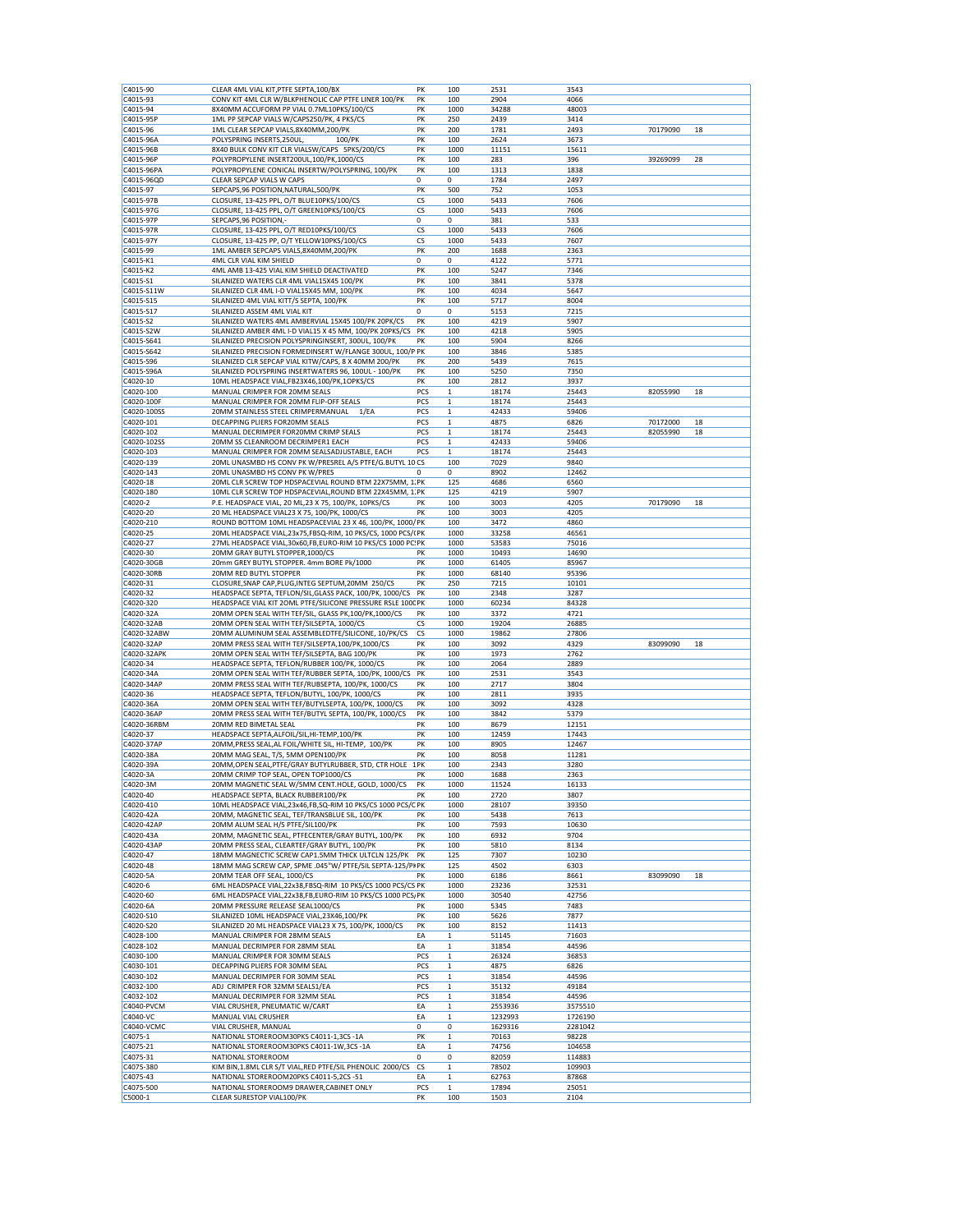| C4015-90             |                                                                       | PK          | 100                | 2531          | 3543          |          |    |
|----------------------|-----------------------------------------------------------------------|-------------|--------------------|---------------|---------------|----------|----|
|                      | CLEAR 4ML VIAL KIT, PTFE SEPTA, 100/BX                                |             |                    |               |               |          |    |
| C4015-93             | CONV KIT 4ML CLR W/BLKPHENOLIC CAP PTFE LINER 100/PK                  | PK          | 100                | 2904          | 4066          |          |    |
| C4015-94             | 8X40MM ACCUFORM PP VIAL 0.7ML10PKS/100/CS                             | PK          | 1000               | 34288         | 48003         |          |    |
| C4015-95P            | 1ML PP SEPCAP VIALS W/CAPS250/PK, 4 PKS/CS                            | PK          | 250                | 2439          | 3414          |          |    |
| C4015-96             | 1ML CLEAR SEPCAP VIALS, 8X40MM, 200/PK                                | PK          |                    |               | 2493          | 70179090 |    |
|                      |                                                                       |             | 200                | 1781          |               |          | 18 |
| C4015-96A            | POLYSPRING INSERTS, 250UL,<br>100/PK                                  | PK          | 100                | 2624          | 3673          |          |    |
| C4015-96B            | 8X40 BULK CONV KIT CLR VIALSW/CAPS 5PKS/200/CS                        | PK          | 1000               | 11151         | 15611         |          |    |
| C4015-96P            | POLYPROPYLENE INSERT200UL,100/PK,1000/CS                              | PK          | 100                | 283           | 396           | 39269099 | 28 |
| C4015-96PA           | POLYPROPYLENE CONICAL INSERTW/POLYSPRING, 100/PK                      | PK          | 100                | 1313          | 1838          |          |    |
|                      |                                                                       |             |                    |               |               |          |    |
| C4015-96QD           | CLEAR SEPCAP VIALS W CAPS                                             | $\mathbf 0$ | 0                  | 1784          | 2497          |          |    |
| C4015-97             | SEPCAPS, 96 POSITION, NATURAL, 500/PK                                 | PK          | 500                | 752           | 1053          |          |    |
| C4015-97B            | CLOSURE, 13-425 PPL, O/T BLUE10PKS/100/CS                             | CS          | 1000               | 5433          | 7606          |          |    |
| C4015-97G            | CLOSURE, 13-425 PPL, O/T GREEN10PKS/100/CS                            | CS          | 1000               | 5433          | 7606          |          |    |
|                      |                                                                       | 0           | 0                  | 381           | 533           |          |    |
| C4015-97P            | SEPCAPS, 96 POSITION,-                                                |             |                    |               |               |          |    |
| C4015-97R            | CLOSURE, 13-425 PPL, O/T RED10PKS/100/CS                              | CS          | 1000               | 5433          | 7606          |          |    |
| C4015-97Y            | CLOSURE, 13-425 PP, O/T YELLOW10PKS/100/CS                            | CS          | 1000               | 5433          | 7607          |          |    |
| C4015-99             | 1ML AMBER SEPCAPS VIALS, 8X40MM, 200/PK                               | PK          | 200                | 1688          | 2363          |          |    |
|                      |                                                                       |             |                    |               |               |          |    |
| C4015-K1             | 4ML CLR VIAL KIM SHIELD                                               | 0           | 0                  | 4122          | 5771          |          |    |
| C4015-K2             | 4ML AMB 13-425 VIAL KIM SHIELD DEACTIVATED                            | PK          | 100                | 5247          | 7346          |          |    |
| C4015-S1             | SILANIZED WATERS CLR 4ML VIAL15X45 100/PK                             | PK          | 100                | 3841          | 5378          |          |    |
| C4015-S11W           | SILANIZED CLR 4ML I-D VIAL15X45 MM, 100/PK                            | PK          | 100                | 4034          | 5647          |          |    |
|                      |                                                                       | PK          |                    |               | 8004          |          |    |
| C4015-S15            | SILANIZED 4ML VIAL KITT/S SEPTA, 100/PK                               |             | 100                | 5717          |               |          |    |
| C4015-S17            | SILANIZED ASSEM 4ML VIAL KIT                                          | 0           | 0                  | 5153          | 7215          |          |    |
| C4015-S2             | SILANIZED WATERS 4ML AMBERVIAL 15X45 100/PK 20PK/CS                   | PK          | 100                | 4219          | 5907          |          |    |
| C4015-S2W            | SILANIZED AMBER 4ML I-D VIAL15 X 45 MM, 100/PK 20PKS/CS               | PK          | 100                | 4218          | 5905          |          |    |
|                      |                                                                       |             |                    |               |               |          |    |
| C4015-S641           | SILANIZED PRECISION POLYSPRINGINSERT, 300UL, 100/PK                   | PK          | 100                | 5904          | 8266          |          |    |
| C4015-S642           | SILANIZED PRECISION FORMEDINSERT W/FLANGE 300UL, 100/P PK             |             | 100                | 3846          | 5385          |          |    |
| C4015-S96            | SILANIZED CLR SEPCAP VIAL KITW/CAPS, 8 X 40MM 200/PK                  | PK          | 200                | 5439          | 7615          |          |    |
| C4015-S96A           | SILANIZED POLYSPRING INSERTWATERS 96, 100UL - 100/PK                  | PK          | 100                | 5250          | 7350          |          |    |
|                      |                                                                       |             |                    |               |               |          |    |
| C4020-10             | 10ML HEADSPACE VIAL, FB23X46, 100/PK, 10PKS/CS                        | PK          | 100                | 2812          | 3937          |          |    |
| C4020-100            | MANUAL CRIMPER FOR 20MM SEALS                                         | PCS         | $\mathbf 1$        | 18174         | 25443         | 82055990 | 18 |
| C4020-100F           | MANUAL CRIMPER FOR 20MM FLIP-OFF SEALS                                | PCS         | $\mathbf{1}$       | 18174         | 25443         |          |    |
| C4020-100SS          | 20MM STAINLESS STEEL CRIMPERMANUAL<br>1/EA                            | PCS         | $\mathbf{1}$       | 42433         | 59406         |          |    |
|                      |                                                                       |             |                    |               |               |          |    |
| C4020-101            | DECAPPING PLIERS FOR20MM SEALS                                        | PCS         | 1                  | 4875          | 6826          | 70172000 | 18 |
| C4020-102            | MANUAL DECRIMPER FOR20MM CRIMP SEALS                                  | PCS         | $\mathbf 1$        | 18174         | 25443         | 82055990 | 18 |
| C4020-102SS          | 20MM SS CLEANROOM DECRIMPER1 EACH                                     | PCS         | 1                  | 42433         | 59406         |          |    |
| C4020-103            | MANUAL CRIMPER FOR 20MM SEALSADJUSTABLE, EACH                         | PCS         | 1                  | 18174         | 25443         |          |    |
|                      |                                                                       |             |                    |               |               |          |    |
| C4020-139            | 20ML UNASMBD HS CONV PK W/PRESREL A/S PTFE/G.BUTYL 10 CS              |             | 100                | 7029          | 9840          |          |    |
| C4020-143            | 20ML UNASMBD HS CONV PK W/PRES                                        | 0           | 0                  | 8902          | 12462         |          |    |
| C4020-18             | 20ML CLR SCREW TOP HDSPACEVIAL ROUND BTM 22X75MM, 1.PK                |             | 125                | 4686          | 6560          |          |    |
| C4020-180            | 10ML CLR SCREW TOP HDSPACEVIAL, ROUND BTM 22X45MM, 1. PK              |             | 125                | 4219          | 5907          |          |    |
|                      |                                                                       |             |                    |               |               |          |    |
| C4020-2              | P.E. HEADSPACE VIAL, 20 ML, 23 X 75, 100/PK, 10PKS/CS                 | PK          | 100                | 3003          | 4205          | 70179090 | 18 |
| C4020-20             | 20 ML HEADSPACE VIAL23 X 75, 100/PK, 1000/CS                          | PK          | 100                | 3003          | 4205          |          |    |
| C4020-210            | ROUND BOTTOM 10ML HEADSPACEVIAL 23 X 46, 100/PK, 1000/ PK             |             | 100                | 3472          | 4860          |          |    |
| C4020-25             | 20ML HEADSPACE VIAL, 23x75, FBSQ-RIM, 10 PKS/CS, 1000 PCS/(PK         |             | 1000               | 33258         | 46561         |          |    |
|                      |                                                                       |             |                    |               |               |          |    |
| C4020-27             | 27ML HEADSPACE VIAL, 30x60, FB, EURO-RIM 10 PKS/CS 1000 PC: PK        |             | 1000               | 53583         | 75016         |          |    |
| C4020-30             | 20MM GRAY BUTYL STOPPER, 1000/CS                                      | PK          | 1000               | 10493         | 14690         |          |    |
| C4020-30GB           | 20mm GREY BUTYL STOPPER. 4mm BORE Pk/1000                             | PK          | 1000               | 61405         | 85967         |          |    |
|                      |                                                                       | PK          |                    |               |               |          |    |
| C4020-30RB           | 20MM RED BUTYL STOPPER                                                |             | 1000               | 68140         | 95396         |          |    |
| C4020-31             | CLOSURE, SNAP CAP, PLUG, INTEG SEPTUM, 20MM 250/CS                    | PK          | 250                | 7215          | 10101         |          |    |
| C4020-32             | HEADSPACE SEPTA, TEFLON/SIL, GLASS PACK, 100/PK, 1000/CS              | PK          | 100                | 2348          | 3287          |          |    |
|                      | HEADSPACE VIAL KIT 2OML PTFE/SILICONE PRESSURE RSLE 1000 PK           |             |                    |               |               |          |    |
|                      |                                                                       |             |                    |               |               |          |    |
| C4020-320            |                                                                       |             | 1000               | 60234         | 84328         |          |    |
| C4020-32A            | 20MM OPEN SEAL WITH TEF/SIL, GLASS PK,100/PK,1000/CS                  | PK          | 100                | 3372          | 4721          |          |    |
| C4020-32AB           | 20MM OPEN SEAL WITH TEF/SILSEPTA, 1000/CS                             | <b>CS</b>   | 1000               | 19204         | 26885         |          |    |
|                      |                                                                       |             |                    |               |               |          |    |
| C4020-32ABW          | 20MM ALUMINUM SEAL ASSEMBLEDTFE/SILICONE, 10/PK/CS                    | CS          | 1000               | 19862         | 27806         |          |    |
| C4020-32AP           | 20MM PRESS SEAL WITH TEF/SILSEPTA, 100/PK, 1000/CS                    | PK          | 100                | 3092          | 4329          | 83099090 | 18 |
| C4020-32APK          | 20MM OPEN SEAL WITH TEF/SILSEPTA, BAG 100/PK                          | PK          | 100                | 1973          | 2762          |          |    |
| C4020-34             | HEADSPACE SEPTA, TEFLON/RUBBER 100/PK, 1000/CS                        | PK          | 100                | 2064          | 2889          |          |    |
|                      |                                                                       |             |                    |               |               |          |    |
| C4020-34A            | 20MM OPEN SEAL WITH TEF/RUBBER SEPTA, 100/PK, 1000/CS                 | PK          | 100                | 2531          | 3543          |          |    |
| C4020-34AF           | 20MM PRESS SEAL WITH TEF/RUBSEPTA, 100/PK, 1000/CS                    | PK          | 100                | 2717          | 3804          |          |    |
| C4020-36             | HEADSPACE SEPTA, TEFLON/BUTYL, 100/PK, 1000/CS                        | PK          | 100                | 2811          | 3935          |          |    |
| C4020-36A            | 20MM OPEN SEAL WITH TEF/BUTYLSEPTA, 100/PK, 1000/CS                   | PK          | 100                | 3092          | 4328          |          |    |
|                      | 20MM PRESS SEAL WITH TEF/BUTYL SEPTA, 100/PK, 1000/CS                 | PK          |                    |               | 5379          |          |    |
| C4020-36AF           |                                                                       |             | 100                | 3842          |               |          |    |
| C4020-36RBM          | 20MM RED BIMETAL SEAL                                                 | PK          | 100                | 8679          | 12151         |          |    |
| C4020-37             | HEADSPACE SEPTA, ALFOIL/SIL, HI-TEMP, 100/PK                          | PK          | 100                | 12459         | 17443         |          |    |
| C4020-37AF           | 20MM, PRESS SEAL, AL FOIL/WHITE SIL, HI-TEMP, 100/PK                  | PK          | 100                | 8905          | 12467         |          |    |
|                      |                                                                       | PK          | 100                | 8058          |               |          |    |
| C4020-38A            | 20MM MAG SEAL, T/S, 5MM OPEN100/PK                                    |             |                    |               | 11281         |          |    |
| C4020-39A            | 20MM, OPEN SEAL, PTFE/GRAY BUTYLRUBBER, STD, CTR HOLE                 | 1PK         | 100                | 2343          | 3280          |          |    |
| C4020-3A             | 20MM CRIMP TOP SEAL, OPEN TOP1000/CS                                  | PK          | 1000               | 1688          | 2363          |          |    |
| C4020-3M             | 20MM MAGNETIC SEAL W/5MM CENT.HOLE, GOLD, 1000/CS                     | PK          | 1000               | 11524         | 16133         |          |    |
| C4020-40             | HEADSPACE SEPTA, BLACK RUBBER100/PK                                   | PK          | 100                | 2720          | 3807          |          |    |
|                      |                                                                       |             |                    |               |               |          |    |
| C4020-410            | 10ML HEADSPACE VIAL, 23x46, FB, SQ-RIM 10 PKS/CS 1000 PCS/C PK        |             | 1000               | 28107         | 39350         |          |    |
| C4020-42A            | 20MM, MAGNETIC SEAL, TEF/TRANSBLUE SIL, 100/PK                        | PK          | 100                | 5438          | 7613          |          |    |
| C4020-42AP           | 20MM ALUM SEAL H/S PTFE/SIL100/PK                                     | PK          | 100                | 7593          | 10630         |          |    |
| C4020-43A            | 20MM, MAGNETIC SEAL, PTFECENTER/GRAY BUTYL, 100/PK                    | PK          | 100                | 6932          | 9704          |          |    |
| C4020-43AP           |                                                                       | PK          |                    |               | 8134          |          |    |
|                      | 20MM PRESS SEAL, CLEARTEF/GRAY BUTYL, 100/PK                          |             | 100                | 5810          |               |          |    |
| C4020-47             | 18MM MAGNECTIC SCREW CAP1.5MM THICK ULTCLN 125/PK                     | PK          | 125                | 7307          | 10230         |          |    |
| C4020-48             | 18MM MAG SCREW CAP, SPME .045"W/ PTFE/SIL SEPTA-125/PI PK             |             | 125                | 4502          | 6303          |          |    |
| C4020-5A             | 20MM TEAR OFF SEAL, 1000/CS                                           | PK          | 1000               | 6186          | 8661          | 83099090 | 18 |
| C4020-6              |                                                                       |             |                    |               |               |          |    |
|                      | 6ML HEADSPACE VIAL, 22x38, FBSQ-RIM 10 PKS/CS 1000 PCS/CS PK          |             | 1000               | 23236         | 32531         |          |    |
| C4020-60             | 6ML HEADSPACE VIAL, 22x38, FB, EURO-RIM 10 PKS/CS 1000 PCS, PK        |             | 1000               | 30540         | 42756         |          |    |
| C4020-6A             | 20MM PRESSURE RELEASE SEAL1000/CS                                     | PK          | 1000               | 5345          | 7483          |          |    |
| C4020-S10            | SILANIZED 10ML HEADSPACE VIAL, 23X46, 100/PK                          | PK          | 100                | 5626          | 7877          |          |    |
| C4020-S20            | SILANIZED 20 ML HEADSPACE VIAL23 X 75, 100/PK, 1000/CS                | PK          | 100                | 8152          | 11413         |          |    |
|                      |                                                                       |             |                    |               |               |          |    |
| C4028-100            | MANUAL CRIMPER FOR 28MM SEALS                                         | EA          | $\mathbf{1}$       | 51145         | 71603         |          |    |
| C4028-102            | MANUAL DECRIMPER FOR 28MM SEAL                                        | EA          | 1                  | 31854         | 44596         |          |    |
| C4030-100            | MANUAL CRIMPER FOR 30MM SEALS                                         | PCS         | $\mathbf 1$        | 26324         | 36853         |          |    |
|                      |                                                                       |             |                    |               |               |          |    |
| C4030-101            | DECAPPING PLIERS FOR 30MM SEAL                                        | PCS         | $\mathbf 1$        | 4875          | 6826          |          |    |
| C4030-102            | MANUAL DECRIMPER FOR 30MM SEAL                                        | PCS         | $\mathbf 1$        | 31854         | 44596         |          |    |
| C4032-100            | ADJ CRIMPER FOR 32MM SEALS1/EA                                        | PCS         | $\mathbf 1$        | 35132         | 49184         |          |    |
| C4032-102            | MANUAL DECRIMPER FOR 32MM SEAL                                        | PCS         | $\mathbf 1$        | 31854         | 44596         |          |    |
|                      |                                                                       |             |                    |               |               |          |    |
| C4040-PVCM           | VIAL CRUSHER, PNEUMATIC W/CART                                        | EA          | $\mathbf 1$        | 2553936       | 3575510       |          |    |
| C4040-VC             | MANUAL VIAL CRUSHER                                                   | EA          | $\mathbf 1$        | 1232993       | 1726190       |          |    |
| C4040-VCMC           | VIAL CRUSHER, MANUAL                                                  | $\mathbf 0$ | 0                  | 1629316       | 2281042       |          |    |
| C4075-1              | NATIONAL STOREROOM30PKS C4011-1,3CS -1A                               | PK          | $\mathbf 1$        | 70163         | 98228         |          |    |
|                      |                                                                       |             |                    |               |               |          |    |
| C4075-21             | NATIONAL STOREROOM30PKS C4011-1W,3CS -1A                              | EA          | 1                  | 74756         | 104658        |          |    |
| C4075-31             | NATIONAL STOREROOM                                                    | 0           | 0                  | 82059         | 114883        |          |    |
| C4075-380            | KIM BIN, 1.8ML CLR S/T VIAL, RED PTFE/SIL PHENOLIC 2000/CS            | CS          | $\mathbf 1$        | 78502         | 109903        |          |    |
| C4075-43             | NATIONAL STOREROOM20PKS C4011-5,2CS -51                               | EA          |                    |               | 87868         |          |    |
|                      |                                                                       |             | 1                  | 62763         |               |          |    |
| C4075-500<br>C5000-1 | NATIONAL STOREROOM9 DRAWER, CABINET ONLY<br>CLEAR SURESTOP VIAL100/PK | PCS<br>PK   | $\mathbf 1$<br>100 | 17894<br>1503 | 25051<br>2104 |          |    |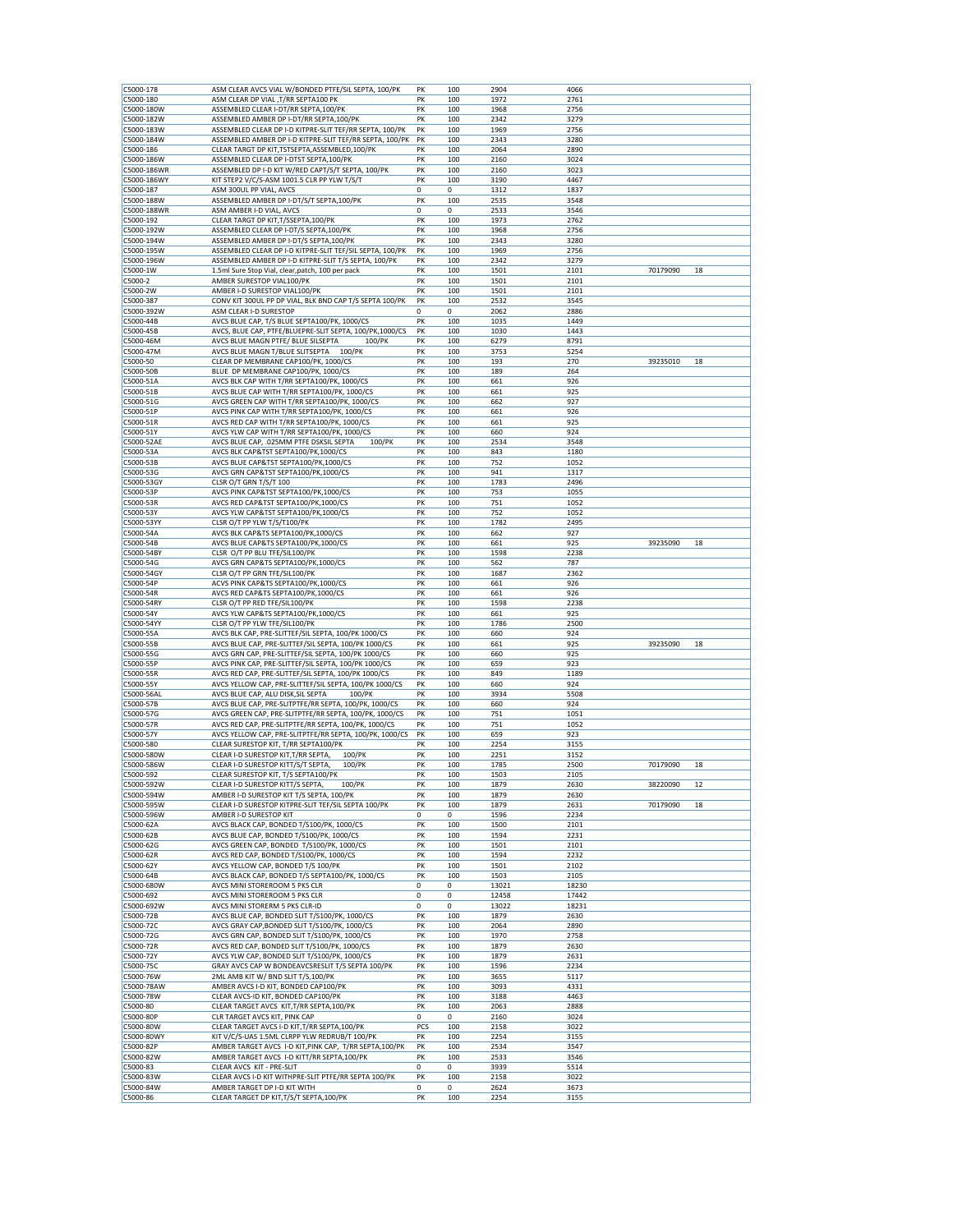| C5000-178<br>C5000-180 | ASM CLEAR AVCS VIAL W/BONDED PTFE/SIL SEPTA, 100/PK                      | PK      |            | 2904         | 4066         |          |    |
|------------------------|--------------------------------------------------------------------------|---------|------------|--------------|--------------|----------|----|
|                        | ASM CLEAR DP VIAL , T/RR SEPTA100 PK                                     | PK      | 100<br>100 | 1972         | 2761         |          |    |
|                        |                                                                          |         |            |              |              |          |    |
| C5000-180W             | ASSEMBLED CLEAR I-DT/RR SEPTA, 100/PK                                    | PK      | 100        | 1968         | 2756         |          |    |
| C5000-182W             | ASSEMBLED AMBER DP I-DT/RR SEPTA,100/PK                                  | PK      | 100        | 2342         | 3279         |          |    |
| C5000-183W             | ASSEMBLED CLEAR DP I-D KITPRE-SLIT TEF/RR SEPTA, 100/PK                  | PK      | 100        | 1969         | 2756         |          |    |
| C5000-184W             | ASSEMBLED AMBER DP I-D KITPRE-SLIT TEF/RR SEPTA, 100/PK                  | PK      | 100        | 2343         |              |          |    |
|                        |                                                                          |         |            |              | 3280         |          |    |
| C5000-186              | CLEAR TARGT DP KIT, TSTSEPTA, ASSEMBLED, 100/PK                          | PK      | 100        | 2064         | 2890         |          |    |
| C5000-186W             | ASSEMBLED CLEAR DP I-DTST SEPTA, 100/PK                                  | PK      | 100        | 2160         | 3024         |          |    |
| C5000-186WR            | ASSEMBLED DP I-D KIT W/RED CAPT/S/T SEPTA, 100/PK                        | PK      | 100        | 2160         | 3023         |          |    |
| C5000-186WY            | KIT STEP2 V/C/S-ASM 1001.5 CLR PP YLW T/S/T                              | PK      | 100        | 3190         | 4467         |          |    |
|                        |                                                                          |         |            |              |              |          |    |
| C5000-187              | ASM 300UL PP VIAL, AVCS                                                  | 0       | 0          | 1312         | 1837         |          |    |
| C5000-188W             | ASSEMBLED AMBER DP I-DT/S/T SEPTA, 100/PK                                | PK      | 100        | 2535         | 3548         |          |    |
| C5000-188WR            | ASM AMBER I-D VIAL, AVCS                                                 | 0       | 0          | 2533         | 3546         |          |    |
| C5000-192              | CLEAR TARGT DP KIT, T/SSEPTA, 100/PK                                     | PK      | 100        | 1973         | 2762         |          |    |
|                        |                                                                          |         |            |              |              |          |    |
| C5000-192W             | ASSEMBLED CLEAR DP I-DT/S SEPTA, 100/PK                                  | PK      | 100        | 1968         | 2756         |          |    |
| C5000-194W             | ASSEMBLED AMBER DP I-DT/S SEPTA, 100/PK                                  | PK      | 100        | 2343         | 3280         |          |    |
| C5000-195W             | ASSEMBLED CLEAR DP I-D KITPRE-SLIT TEF/SIL SEPTA, 100/PK                 | PK      | 100        | 1969         | 2756         |          |    |
| C5000-196W             | ASSEMBLED AMBER DP I-D KITPRE-SLIT T/S SEPTA, 100/PK                     | PK      | 100        | 2342         | 3279         |          |    |
| C5000-1W               | 1.5ml Sure Stop Vial, clear, patch, 100 per pack                         | PK      | 100        | 1501         | 2101         | 70179090 | 18 |
|                        |                                                                          |         |            |              |              |          |    |
| C5000-2                | AMBER SURESTOP VIAL100/PK                                                | PK      | 100        | 1501         | 2101         |          |    |
| C5000-2W               | AMBER I-D SURESTOP VIAL100/PK                                            | PK      | 100        | 1501         | 2101         |          |    |
| C5000-387              | CONV KIT 300UL PP DP VIAL, BLK BND CAP T/S SEPTA 100/PK                  | PK      | 100        | 2532         | 3545         |          |    |
| C5000-392W             | ASM CLEAR I-D SURESTOP                                                   | 0       | 0          | 2062         | 2886         |          |    |
| C5000-44B              | AVCS BLUE CAP, T/S BLUE SEPTA100/PK, 1000/CS                             | PK      | 100        | 1035         | 1449         |          |    |
|                        |                                                                          |         |            |              |              |          |    |
| C5000-45B              | AVCS, BLUE CAP, PTFE/BLUEPRE-SLIT SEPTA, 100/PK,1000/CS                  | PK      | 100        | 1030         | 1443         |          |    |
| C5000-46M              | AVCS BLUE MAGN PTFE/ BLUE SILSEPTA<br>100/PK                             | PK      | 100        | 6279         | 8791         |          |    |
| C5000-47M              | AVCS BLUE MAGN T/BLUE SLITSEPTA<br>100/PK                                | PK      | 100        | 3753         | 5254         |          |    |
| C5000-50               | CLEAR DP MEMBRANE CAP100/PK, 1000/CS                                     | PK      | 100        | 193          | 270          | 39235010 | 18 |
|                        |                                                                          |         |            |              |              |          |    |
| C5000-50B              | BLUE DP MEMBRANE CAP100/PK, 1000/CS                                      | PK      | 100        | 189          | 264          |          |    |
| C5000-51A              | AVCS BLK CAP WITH T/RR SEPTA100/PK, 1000/CS                              | PK      | 100        | 661          | 926          |          |    |
| C5000-51B              | AVCS BLUE CAP WITH T/RR SEPTA100/PK, 1000/CS                             | PK      | 100        | 661          | 925          |          |    |
| C5000-51G              | AVCS GREEN CAP WITH T/RR SEPTA100/PK, 1000/CS                            | PK      | 100        | 662          | 927          |          |    |
|                        |                                                                          |         |            |              |              |          |    |
| C5000-51P              | AVCS PINK CAP WITH T/RR SEPTA100/PK, 1000/CS                             | PK      | 100        | 661          | 926          |          |    |
| C5000-51R              | AVCS RED CAP WITH T/RR SEPTA100/PK, 1000/CS                              | PK      | 100        | 661          | 925          |          |    |
| C5000-51Y              | AVCS YLW CAP WITH T/RR SEPTA100/PK, 1000/CS                              | PK      | 100        | 660          | 924          |          |    |
|                        | AVCS BLUE CAP, .025MM PTFE DSKSIL SEPTA                                  |         | 100        |              | 3548         |          |    |
| C5000-52AE             | 100/PK                                                                   | PK      |            | 2534         |              |          |    |
| C5000-53A              | AVCS BLK CAP&TST SEPTA100/PK,1000/CS                                     | PK      | 100        | 843          | 1180         |          |    |
| C5000-53B              | AVCS BLUE CAP&TST SEPTA100/PK,1000/CS                                    | PK      | 100        | 752          | 1052         |          |    |
| C5000-53G              | AVCS GRN CAP&TST SEPTA100/PK,1000/CS                                     | PK      | 100        | 941          | 1317         |          |    |
|                        |                                                                          |         |            |              |              |          |    |
| C5000-53GY             | CLSR O/T GRN T/S/T 100                                                   | PK      | 100        | 1783         | 2496         |          |    |
| C5000-53P              | AVCS PINK CAP&TST SEPTA100/PK,1000/CS                                    | PK      | 100        | 753          | 1055         |          |    |
| C5000-53R              | AVCS RED CAP&TST SEPTA100/PK,1000/CS                                     | PK      | 100        | 751          | 1052         |          |    |
| C5000-53Y              | AVCS YLW CAP&TST SEPTA100/PK,1000/CS                                     | PK      | 100        | 752          | 1052         |          |    |
|                        |                                                                          |         |            |              |              |          |    |
| C5000-53YY             | CLSR O/T PP YLW T/S/T100/PK                                              | PK      | 100        | 1782         | 2495         |          |    |
| C5000-54A              | AVCS BLK CAP&TS SEPTA100/PK,1000/CS                                      | PK      | 100        | 662          | 927          |          |    |
| C5000-54B              | AVCS BLUE CAP&TS SEPTA100/PK,1000/CS                                     | PK      | 100        | 661          | 925          | 39235090 | 18 |
| C5000-54BY             | CLSR O/T PP BLU TFE/SIL100/PK                                            | PK      | 100        | 1598         | 2238         |          |    |
|                        |                                                                          |         |            |              |              |          |    |
| C5000-54G              | AVCS GRN CAP&TS SEPTA100/PK,1000/CS                                      | PK      | 100        | 562          | 787          |          |    |
| C5000-54GY             | CLSR O/T PP GRN TFE/SIL100/PK                                            | PK      | 100        | 1687         | 2362         |          |    |
| C5000-54P              | ACVS PINK CAP&TS SEPTA100/PK,1000/CS                                     | PK      | 100        | 661          | 926          |          |    |
| C5000-54R              | AVCS RED CAP&TS SEPTA100/PK,1000/CS                                      | PK      | 100        | 661          | 926          |          |    |
| C5000-54RY             | CLSR O/T PP RED TFE/SIL100/PK                                            | PK      | 100        | 1598         | 2238         |          |    |
|                        |                                                                          |         |            |              |              |          |    |
| C5000-54Y              | AVCS YLW CAP&TS SEPTA100/PK,1000/CS                                      | PK      | 100        | 661          | 925          |          |    |
| C5000-54YY             | CLSR O/T PP YLW TFE/SIL100/PK                                            | PK      | 100        | 1786         | 2500         |          |    |
| C5000-55A              | AVCS BLK CAP, PRE-SLITTEF/SIL SEPTA, 100/PK 1000/CS                      | PK      | 100        | 660          | 924          |          |    |
| C5000-55B              | AVCS BLUE CAP, PRE-SLITTEF/SIL SEPTA, 100/PK 1000/CS                     | PK      | 100        | 661          | 925          | 39235090 | 18 |
|                        |                                                                          |         |            |              |              |          |    |
| C5000-55G              | AVCS GRN CAP, PRE-SLITTEF/SIL SEPTA, 100/PK 1000/CS                      | PK      | 100        | 660          | 925          |          |    |
| C5000-55P              | AVCS PINK CAP, PRE-SLITTEF/SIL SEPTA, 100/PK 1000/CS                     | PK      | 100        | 659          | 923          |          |    |
| C5000-55R              | AVCS RED CAP, PRE-SLITTEF/SIL SEPTA, 100/PK 1000/CS                      | PK      | 100        | 849          | 1189         |          |    |
| C5000-55Y              | AVCS YELLOW CAP, PRE-SLITTEF/SIL SEPTA, 100/PK 1000/CS                   | PK      | 100        | 660          |              |          |    |
|                        |                                                                          |         |            |              |              |          |    |
|                        |                                                                          |         |            |              | 924          |          |    |
| C5000-56AL             | AVCS BLUE CAP, ALU DISK, SIL SEPTA<br>100/PK                             | PK      | 100        | 3934         | 5508         |          |    |
| C5000-57B              | AVCS BLUE CAP, PRE-SLITPTFE/RR SEPTA, 100/PK, 1000/CS                    | PK      | 100        | 660          | 924          |          |    |
| C5000-57G              | AVCS GREEN CAP, PRE-SLITPTFE/RR SEPTA, 100/PK, 1000/CS                   | PK      | 100        | 751          | 1051         |          |    |
|                        |                                                                          |         |            |              |              |          |    |
| C5000-57R              | AVCS RED CAP, PRE-SLITPTFE/RR SEPTA, 100/PK, 1000/CS                     | PK      | 100        | 751          | 1052         |          |    |
| C5000-57Y              | AVCS YELLOW CAP, PRE-SLITPTFE/RR SEPTA, 100/PK, 1000/CS                  | PK      | 100        | 659          | 923          |          |    |
| C5000-580              | CLEAR SURESTOP KIT, T/RR SEPTA100/PK                                     | PK      | 100        | 2254         | 3155         |          |    |
| C5000-580W             | 100/PK<br>CLEAR I-D SURESTOP KIT, T/RR SEPTA,                            | PK      | 100        | 2251         | 3152         |          |    |
|                        |                                                                          |         |            |              |              |          |    |
| C5000-586W             | CLEAR I-D SURESTOP KITT/S/T SEPTA,<br>100/PK                             | PK      | 100        | 1785         | 2500         | 70179090 | 18 |
| C5000-592              | CLEAR SURESTOP KIT, T/S SEPTA100/PK                                      | PK      | 100        | 1503         | 2105         |          |    |
| :5000-592W             | CLEAR I-D SURESTOP KITT/S SEPTA,<br>100/PK                               | ΡК      | 100        | 1879         | 2630         | 38220090 | 12 |
| C5000-594W             | AMBER I-D SURESTOP KIT T/S SEPTA, 100/PK                                 | PK      | 100        | 1879         | 2630         |          |    |
| C5000-595W             | CLEAR I-D SURESTOP KITPRE-SLIT TEF/SIL SEPTA 100/PK                      | PK      | 100        | 1879         | 2631         | 70179090 | 18 |
|                        |                                                                          |         |            |              |              |          |    |
| C5000-596W             | AMBER I-D SURESTOP KIT                                                   | 0       | 0          | 1596         | 2234         |          |    |
| C5000-62A              | AVCS BLACK CAP, BONDED T/S100/PK, 1000/CS                                | PK      | 100        | 1500         | 2101         |          |    |
| C5000-62B              | AVCS BLUE CAP, BONDED T/S100/PK, 1000/CS                                 | PK      | 100        | 1594         | 2231         |          |    |
| C5000-62G              | AVCS GREEN CAP, BONDED T/S100/PK, 1000/CS                                | PK      | 100        | 1501         | 2101         |          |    |
| C5000-62R              | AVCS RED CAP, BONDED T/S100/PK, 1000/CS                                  | PK      | 100        | 1594         | 2232         |          |    |
|                        |                                                                          |         |            |              |              |          |    |
| C5000-62Y              | AVCS YELLOW CAP, BONDED T/S 100/PK                                       | PK      | 100        | 1501         | 2102         |          |    |
| C5000-64B              | AVCS BLACK CAP, BONDED T/S SEPTA100/PK, 1000/CS                          | PK      | 100        | 1503         | 2105         |          |    |
| C5000-680W             | AVCS MINI STOREROOM 5 PKS CLR                                            | 0       | 0          | 13021        | 18230        |          |    |
| C5000-692              | AVCS MINI STOREROOM 5 PKS CLR                                            | 0       | 0          | 12458        | 17442        |          |    |
| C5000-692W             | AVCS MINI STORERM 5 PKS CLR-ID                                           | 0       | 0          | 13022        | 18231        |          |    |
|                        |                                                                          |         |            |              |              |          |    |
| C5000-72B              | AVCS BLUE CAP, BONDED SLIT T/S100/PK, 1000/CS                            | PK      | 100        | 1879         | 2630         |          |    |
| C5000-72C              | AVCS GRAY CAP, BONDED SLIT T/S100/PK, 1000/CS                            | PK      | 100        | 2064         | 2890         |          |    |
| C5000-72G              | AVCS GRN CAP, BONDED SLIT T/S100/PK, 1000/CS                             | PK      | 100        | 1970         | 2758         |          |    |
|                        |                                                                          |         |            |              |              |          |    |
| C5000-72R              | AVCS RED CAP, BONDED SLIT T/S100/PK, 1000/CS                             | PK      | 100        | 1879         | 2630         |          |    |
| C5000-72Y              | AVCS YLW CAP, BONDED SLIT T/S100/PK, 1000/CS                             | PK      | 100        | 1879         | 2631         |          |    |
| C5000-75C              | GRAY AVCS CAP W BONDEAVCSRESLIT T/S SEPTA 100/PK                         | PK      | 100        | 1596         | 2234         |          |    |
| C5000-76W              | 2ML AMB KIT W/ BND SLIT T/S,100/PK                                       | PK      | 100        | 3655         | 5117         |          |    |
|                        |                                                                          |         |            |              |              |          |    |
| C5000-78AW             | AMBER AVCS I-D KIT, BONDED CAP100/PK                                     | PK      | 100        | 3093         | 4331         |          |    |
| C5000-78W              | CLEAR AVCS-ID KIT, BONDED CAP100/PK                                      | PK      | 100        | 3188         | 4463         |          |    |
| C5000-80               | CLEAR TARGET AVCS KIT, T/RR SEPTA, 100/PK                                | PK      | 100        | 2063         | 2888         |          |    |
| C5000-80P              | CLR TARGET AVCS KIT, PINK CAP                                            | 0       | 0          | 2160         | 3024         |          |    |
| C5000-80W              |                                                                          |         |            | 2158         | 3022         |          |    |
|                        | CLEAR TARGET AVCS I-D KIT, T/RR SEPTA, 100/PK                            | PCS     | 100        |              |              |          |    |
| C5000-80WY             | KIT V/C/S-UAS 1.5ML CLRPP YLW REDRUB/T 100/PK                            | PK      | 100        | 2254         | 3155         |          |    |
| C5000-82P              | AMBER TARGET AVCS I-D KIT, PINK CAP, T/RR SEPTA, 100/PK                  | PK      | 100        | 2534         | 3547         |          |    |
| C5000-82W              | AMBER TARGET AVCS I-D KITT/RR SEPTA, 100/PK                              | PK      | 100        | 2533         | 3546         |          |    |
|                        |                                                                          | 0       | 0          |              |              |          |    |
| C5000-83               | CLEAR AVCS KIT - PRE-SLIT                                                |         |            | 3939         | 5514         |          |    |
| C5000-83W              | CLEAR AVCS I-D KIT WITHPRE-SLIT PTFE/RR SEPTA 100/PK                     | PK      | 100        | 2158         | 3022         |          |    |
| C5000-84W<br>C5000-86  | AMBER TARGET DP I-D KIT WITH<br>CLEAR TARGET DP KIT, T/S/T SEPTA, 100/PK | 0<br>PK | 0<br>100   | 2624<br>2254 | 3673<br>3155 |          |    |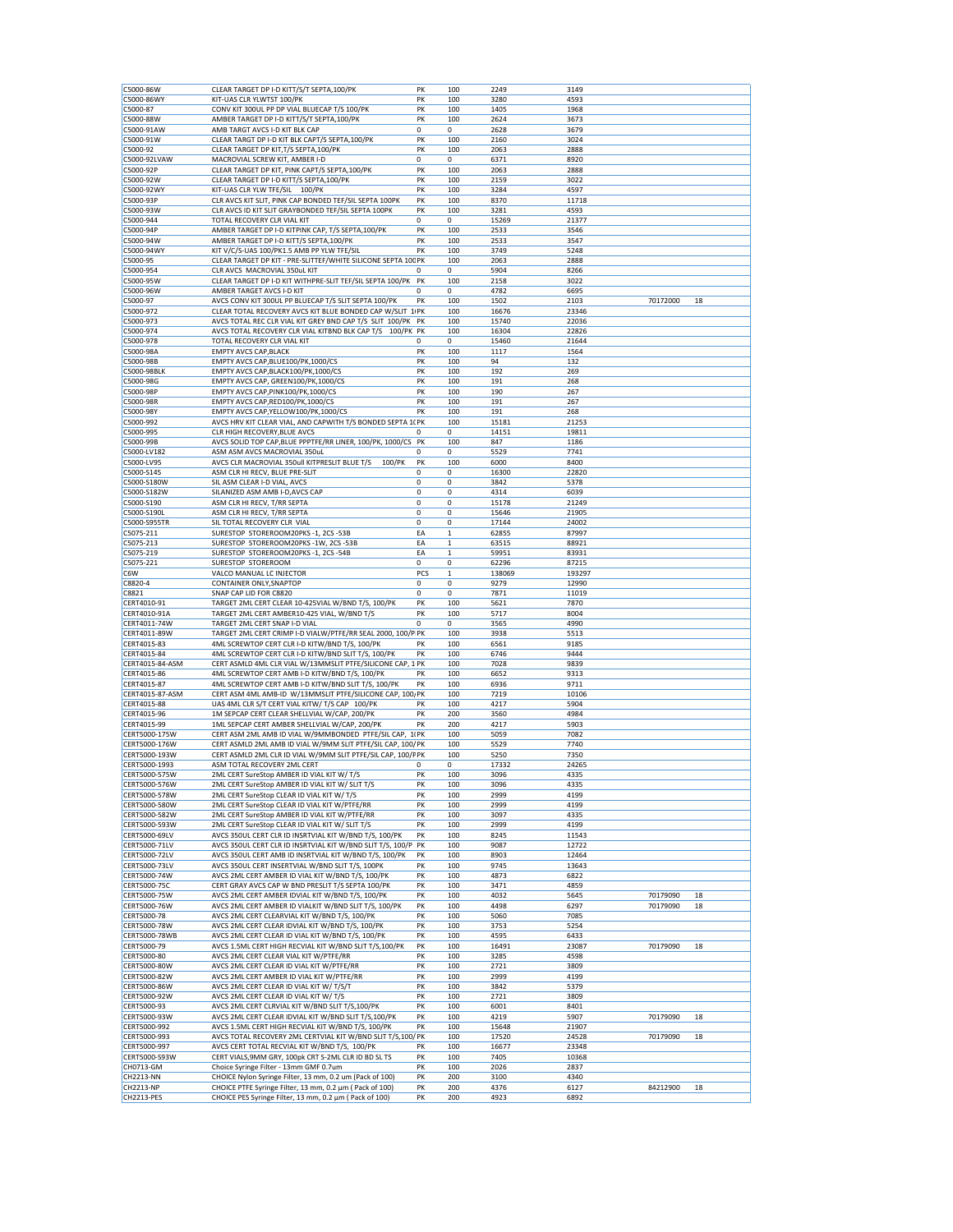| C5000-86W                      | CLEAR TARGET DP I-D KITT/S/T SEPTA,100/PK                                                                           | PK          | 100          | 2249         | 3149         |          |    |
|--------------------------------|---------------------------------------------------------------------------------------------------------------------|-------------|--------------|--------------|--------------|----------|----|
| C5000-86WY                     | KIT-UAS CLR YLWTST 100/PK                                                                                           | PK          | 100          | 3280         | 4593         |          |    |
| C5000-87                       | CONV KIT 300UL PP DP VIAL BLUECAP T/S 100/PK                                                                        | PK          | 100          | 1405         | 1968         |          |    |
| C5000-88W                      | AMBER TARGET DP I-D KITT/S/T SEPTA, 100/PK                                                                          | PK          | 100          | 2624         | 3673         |          |    |
|                                |                                                                                                                     |             |              |              |              |          |    |
| C5000-91AW                     | AMB TARGT AVCS I-D KIT BLK CAP                                                                                      | $\mathbf 0$ | 0            | 2628         | 3679         |          |    |
| C5000-91W                      | CLEAR TARGT DP I-D KIT BLK CAPT/S SEPTA, 100/PK                                                                     | PK          | 100          | 2160         | 3024         |          |    |
| C5000-92                       | CLEAR TARGET DP KIT, T/S SEPTA, 100/PK                                                                              | PK          | 100          | 2063         | 2888         |          |    |
| C5000-92LVAW                   | MACROVIAL SCREW KIT, AMBER I-D                                                                                      | $\mathbf 0$ | 0            | 6371         | 8920         |          |    |
| C5000-92P                      | CLEAR TARGET DP KIT, PINK CAPT/S SEPTA, 100/PK                                                                      | PK          | 100          | 2063         | 2888         |          |    |
| C5000-92W                      | CLEAR TARGET DP I-D KITT/S SEPTA, 100/PK                                                                            | PK          | 100          | 2159         | 3022         |          |    |
| C5000-92WY                     | KIT-UAS CLR YLW TFE/SIL 100/PK                                                                                      | PK          | 100          | 3284         | 4597         |          |    |
| C5000-93P                      | CLR AVCS KIT SLIT, PINK CAP BONDED TEF/SIL SEPTA 100PK                                                              | PK          | 100          | 8370         | 11718        |          |    |
|                                |                                                                                                                     |             |              |              |              |          |    |
| C5000-93W                      | CLR AVCS ID KIT SLIT GRAYBONDED TEF/SIL SEPTA 100PK                                                                 | PK          | 100          | 3281         | 4593         |          |    |
| C5000-944                      | TOTAL RECOVERY CLR VIAL KIT                                                                                         | 0           | 0            | 15269        | 21377        |          |    |
| C5000-94P                      | AMBER TARGET DP I-D KITPINK CAP, T/S SEPTA, 100/PK                                                                  | PK          | 100          | 2533         | 3546         |          |    |
| C5000-94W                      | AMBER TARGET DP I-D KITT/S SEPTA, 100/PK                                                                            | PK          | 100          | 2533         | 3547         |          |    |
| C5000-94WY                     | KIT V/C/S-UAS 100/PK1.5 AMB PP YLW TFE/SIL                                                                          | PK          | 100          | 3749         | 5248         |          |    |
| C5000-95                       | CLEAR TARGET DP KIT - PRE-SLITTEF/WHITE SILICONE SEPTA 100 PK                                                       |             | 100          | 2063         | 2888         |          |    |
| C5000-954                      | CLR AVCS MACROVIAL 350uL KIT                                                                                        | 0           | 0            | 5904         | 8266         |          |    |
|                                |                                                                                                                     |             |              |              |              |          |    |
| C5000-95W                      | CLEAR TARGET DP I-D KIT WITHPRE-SLIT TEF/SIL SEPTA 100/PK                                                           | PK          | 100          | 2158         | 3022         |          |    |
| C5000-96W                      | AMBER TARGET AVCS I-D KIT                                                                                           | $\mathbf 0$ | 0            | 4782         | 6695         |          |    |
| C5000-97                       | AVCS CONV KIT 300UL PP BLUECAP T/S SLIT SEPTA 100/PK                                                                | PK          | 100          | 1502         | 2103         | 70172000 | 18 |
| C5000-972                      | CLEAR TOTAL RECOVERY AVCS KIT BLUE BONDED CAP W/SLIT 1/PK                                                           |             | 100          | 16676        | 23346        |          |    |
| C5000-973                      | AVCS TOTAL REC CLR VIAL KIT GREY BND CAP T/S SLIT 100/PK PK                                                         |             | 100          | 15740        | 22036        |          |    |
| C5000-974                      | AVCS TOTAL RECOVERY CLR VIAL KITBND BLK CAP T/S 100/PK PK                                                           |             | 100          | 16304        | 22826        |          |    |
|                                |                                                                                                                     |             |              |              |              |          |    |
| C5000-978                      | TOTAL RECOVERY CLR VIAL KIT                                                                                         | 0           | 0            | 15460        | 21644        |          |    |
| C5000-98A                      | <b>EMPTY AVCS CAP, BLACK</b>                                                                                        | PK          | 100          | 1117         | 1564         |          |    |
| C5000-98B                      | EMPTY AVCS CAP, BLUE100/PK, 1000/CS                                                                                 | PK          | 100          | 94           | 132          |          |    |
| C5000-98BLK                    | EMPTY AVCS CAP, BLACK100/PK, 1000/CS                                                                                | PK          | 100          | 192          | 269          |          |    |
| C5000-98G                      | EMPTY AVCS CAP, GREEN100/PK,1000/CS                                                                                 | PK          | 100          | 191          | 268          |          |    |
| C5000-98P                      | EMPTY AVCS CAP, PINK100/PK, 1000/CS                                                                                 | PK          | 100          | 190          | 267          |          |    |
|                                |                                                                                                                     |             |              |              |              |          |    |
| C5000-98R                      | EMPTY AVCS CAP, RED100/PK, 1000/CS                                                                                  | PK          | 100          | 191          | 267          |          |    |
| C5000-98Y                      | EMPTY AVCS CAP, YELLOW100/PK, 1000/CS                                                                               | PK          | 100          | 191          | 268          |          |    |
| C5000-992                      | AVCS HRV KIT CLEAR VIAL, AND CAPWITH T/S BONDED SEPTA 1( PK                                                         |             | 100          | 15181        | 21253        |          |    |
| C5000-995                      | CLR HIGH RECOVERY, BLUE AVCS                                                                                        | 0           | 0            | 14151        | 19811        |          |    |
| C5000-99B                      | AVCS SOLID TOP CAP, BLUE PPPTFE/RR LINER, 100/PK, 1000/CS                                                           | PK          | 100          | 847          | 1186         |          |    |
|                                |                                                                                                                     |             |              |              |              |          |    |
| C5000-LV182                    | ASM ASM AVCS MACROVIAL 350uL                                                                                        | 0           | 0            | 5529         | 7741         |          |    |
| C5000-LV95                     | AVCS CLR MACROVIAL 350ull KITPRESLIT BLUE T/S<br>100/PK                                                             | PK          | 100          | 6000         | 8400         |          |    |
| C5000-S145                     | ASM CLR HI RECV, BLUE PRE-SLIT                                                                                      | 0           | 0            | 16300        | 22820        |          |    |
| C5000-S180W                    | SIL ASM CLEAR I-D VIAL, AVCS                                                                                        | 0           | 0            | 3842         | 5378         |          |    |
| C5000-S182W                    | SILANIZED ASM AMB I-D, AVCS CAP                                                                                     | 0           | 0            | 4314         | 6039         |          |    |
| C5000-S190                     | ASM CLR HI RECV, T/RR SEPTA                                                                                         |             |              |              |              |          |    |
|                                |                                                                                                                     | 0           | 0            | 15178        | 21249        |          |    |
| C5000-S190L                    | ASM CLR HI RECV, T/RR SEPTA                                                                                         | 0           | 0            | 15646        | 21905        |          |    |
| C5000-S955TR                   | SIL TOTAL RECOVERY CLR VIAL                                                                                         | $\mathbf 0$ | 0            | 17144        | 24002        |          |    |
| C5075-211                      | SURESTOP STOREROOM20PKS -1, 2CS -53B                                                                                | EA          | 1            | 62855        | 87997        |          |    |
| C5075-213                      | SURESTOP STOREROOM20PKS -1W, 2CS -53B                                                                               | EA          | $\mathbf 1$  | 63515        | 88921        |          |    |
| C5075-219                      | SURESTOP STOREROOM20PKS -1, 2CS -54B                                                                                | EA          | $\mathbf{1}$ | 59951        | 83931        |          |    |
|                                |                                                                                                                     |             |              |              |              |          |    |
| C5075-221                      | SURESTOP STOREROOM                                                                                                  | 0           | 0            | 62296        | 87215        |          |    |
| C6W                            | VALCO MANUAL LC INJECTOR                                                                                            | PCS         | $\mathbf 1$  | 138069       | 193297       |          |    |
| C8820-4                        | CONTAINER ONLY, SNAPTOP                                                                                             | 0           | 0            | 9279         | 12990        |          |    |
| C8821                          | SNAP CAP LID FOR C8820                                                                                              | 0           | 0            | 7871         | 11019        |          |    |
| CERT4010-91                    | TARGET 2ML CERT CLEAR 10-425VIAL W/BND T/S, 100/PK                                                                  | PK          | 100          | 5621         | 7870         |          |    |
| CERT4010-91A                   | TARGET 2ML CERT AMBER10-425 VIAL, W/BND T/S                                                                         | PK          | 100          | 5717         | 8004         |          |    |
|                                |                                                                                                                     |             |              |              |              |          |    |
| CERT4011-74W                   | TARGET 2ML CERT SNAP I-D VIAL                                                                                       | 0           | 0            | 3565         | 4990         |          |    |
| CERT4011-89W                   | TARGET 2ML CERT CRIMP I-D VIALW/PTFE/RR SEAL 2000, 100/P PK                                                         |             | 100          | 3938         | 5513         |          |    |
| CERT4015-83                    | 4ML SCREWTOP CERT CLR I-D KITW/BND T/S, 100/PK                                                                      | PK          | 100          | 6561         | 9185         |          |    |
| CERT4015-84                    | 4ML SCREWTOP CERT CLR I-D KITW/BND SLIT T/S, 100/PK                                                                 | PK          | 100          | 6746         | 9444         |          |    |
| CERT4015-84-ASM                | CERT ASMLD 4ML CLR VIAL W/13MMSLIT PTFE/SILICONE CAP, 1 PK                                                          |             | 100          | 7028         | 9839         |          |    |
| CERT4015-86                    | 4ML SCREWTOP CERT AMB I-D KITW/BND T/S, 100/PK                                                                      | PK          | 100          | 6652         | 9313         |          |    |
|                                |                                                                                                                     |             |              |              |              |          |    |
| CERT4015-87                    | 4ML SCREWTOP CERT AMB I-D KITW/BND SLIT T/S, 100/PK                                                                 | PK          | 100          | 6936         | 9711         |          |    |
| CERT4015-87-ASM                | CERT ASM 4ML AMB-ID W/13MMSLIT PTFE/SILICONE CAP, 100/PK                                                            |             | 100          | 7219         | 10106        |          |    |
| CERT4015-88                    | UAS 4ML CLR S/T CERT VIAL KITW/ T/S CAP 100/PK                                                                      | PK          | 100          | 4217         | 5904         |          |    |
| CERT4015-96                    | 1M SEPCAP CERT CLEAR SHELLVIAL W/CAP, 200/PK                                                                        | PK          | 200          | 3560         | 4984         |          |    |
| CERT4015-99                    | 1ML SEPCAP CERT AMBER SHELLVIAL W/CAP, 200/PK                                                                       | PK          | 200          | 4217         | 5903         |          |    |
| CERT5000-175W                  | CERT ASM 2ML AMB ID VIAL W/9MMBONDED PTFE/SIL CAP, 1(PK                                                             |             | 100          | 5059         | 7082         |          |    |
|                                |                                                                                                                     |             |              |              |              |          |    |
| CERT5000-176W                  | CERT ASMLD 2ML AMB ID VIAL W/9MM SLIT PTFE/SIL CAP, 100/ PK                                                         |             | 100          | 5529         | 7740         |          |    |
| CERT5000-193W                  | CERT ASMLD 2ML CLR ID VIAL W/9MM SLIT PTFE/SIL CAP, 100/FPK                                                         |             | 100          | 5250         | 7350         |          |    |
| CERT5000-1993                  | ASM TOTAL RECOVERY 2ML CERT                                                                                         | 0           | 0            | 17332        | 24265        |          |    |
| CERT5000-575W                  | 2ML CERT SureStop AMBER ID VIAL KIT W/ T/S                                                                          | PK          | 100          | 3096         | 4335         |          |    |
| CERT5000-576W                  | 2ML CERT SureStop AMBER ID VIAL KIT W/ SLIT T/S                                                                     | PK          | 100          | 3096         | 4335         |          |    |
| CERT5000-578W                  | 2ML CERT SureStop CLEAR ID VIAL KIT W/ T/S                                                                          | PK          | 100          | 2999         | 4199         |          |    |
|                                |                                                                                                                     |             |              |              |              |          |    |
| CERT5000-580W                  | 2ML CERT SureStop CLEAR ID VIAL KIT W/PTFE/RR                                                                       | PK          | 100          | 2999         | 4199         |          |    |
| CERT5000-582W                  | 2ML CERT SureStop AMBER ID VIAL KIT W/PTFE/RR                                                                       | PK          | 100          | 3097         | 4335         |          |    |
| CERT5000-593W                  | 2ML CERT SureStop CLEAR ID VIAL KIT W/ SLIT T/S                                                                     | PK          | 100          | 2999         | 4199         |          |    |
| CERT5000-69LV                  | AVCS 350UL CERT CLR ID INSRTVIAL KIT W/BND T/S, 100/PK                                                              | PK          | 100          | 8245         | 11543        |          |    |
| CERT5000-71LV                  | AVCS 350UL CERT CLR ID INSRTVIAL KIT W/BND SLIT T/S, 100/P PK                                                       |             | 100          | 9087         | 12722        |          |    |
| <b>CERT5000-72LV</b>           | AVCS 350UL CERT AMB ID INSRTVIAL KIT W/BND T/S, 100/PK                                                              | PK          | 100          | 8903         | 12464        |          |    |
|                                |                                                                                                                     |             |              |              |              |          |    |
| CERT5000-73LV                  | AVCS 350UL CERT INSERTVIAL W/BND SLIT T/S, 100PK                                                                    | PK          | 100          | 9745         | 13643        |          |    |
| CERT5000-74W                   | AVCS 2ML CERT AMBER ID VIAL KIT W/BND T/S, 100/PK                                                                   | PK          | 100          | 4873         | 6822         |          |    |
| CERT5000-75C                   | CERT GRAY AVCS CAP W BND PRESLIT T/S SEPTA 100/PK                                                                   | PK          | 100          | 3471         | 4859         |          |    |
| CERT5000-75W                   | AVCS 2ML CERT AMBER IDVIAL KIT W/BND T/S, 100/PK                                                                    | PK          | 100          | 4032         | 5645         | 70179090 | 18 |
| CERT5000-76W                   | AVCS 2ML CERT AMBER ID VIALKIT W/BND SLIT T/S, 100/PK                                                               | PK          | 100          | 4498         | 6297         | 70179090 | 18 |
| CERT5000-78                    | AVCS 2ML CERT CLEARVIAL KIT W/BND T/S, 100/PK                                                                       | PK          | 100          | 5060         | 7085         |          |    |
|                                |                                                                                                                     |             |              |              |              |          |    |
| CERT5000-78W                   | AVCS 2ML CERT CLEAR IDVIAL KIT W/BND T/S, 100/PK                                                                    | PK          | 100          | 3753         | 5254         |          |    |
| <b>CERT5000-78WB</b>           | AVCS 2ML CERT CLEAR ID VIAL KIT W/BND T/S, 100/PK                                                                   | PK          | 100          | 4595         | 6433         |          |    |
| CERT5000-79                    | AVCS 1.5ML CERT HIGH RECVIAL KIT W/BND SLIT T/S,100/PK                                                              | PK          | 100          | 16491        | 23087        | 70179090 | 18 |
| CERT5000-80                    | AVCS 2ML CERT CLEAR VIAL KIT W/PTFE/RR                                                                              | PK          | 100          | 3285         | 4598         |          |    |
| CERT5000-80W                   | AVCS 2ML CERT CLEAR ID VIAL KIT W/PTFE/RR                                                                           | PK          | 100          | 2721         | 3809         |          |    |
|                                |                                                                                                                     | PK          |              |              |              |          |    |
| CERT5000-82W                   | AVCS 2ML CERT AMBER ID VIAL KIT W/PTFE/RR                                                                           |             | 100          | 2999         | 4199         |          |    |
| CERT5000-86W                   | AVCS 2ML CERT CLEAR ID VIAL KIT W/ T/S/T                                                                            | PK          | 100          | 3842         | 5379         |          |    |
| CERT5000-92W                   | AVCS 2ML CERT CLEAR ID VIAL KIT W/ T/S                                                                              | PK          | 100          | 2721         | 3809         |          |    |
| CERT5000-93                    | AVCS 2ML CERT CLRVIAL KIT W/BND SLIT T/S,100/PK                                                                     | PK          | 100          | 6001         | 8401         |          |    |
| CERT5000-93W                   | AVCS 2ML CERT CLEAR IDVIAL KIT W/BND SLIT T/S,100/PK                                                                | PK          | 100          | 4219         | 5907         | 70179090 | 18 |
| CERT5000-992                   | AVCS 1.5ML CERT HIGH RECVIAL KIT W/BND T/S, 100/PK                                                                  | PK          | 100          | 15648        | 21907        |          |    |
|                                |                                                                                                                     |             |              |              |              |          |    |
| CERT5000-993                   |                                                                                                                     |             | 100          | 17520        | 24528        | 70179090 | 18 |
|                                | AVCS TOTAL RECOVERY 2ML CERTVIAL KIT W/BND SLIT T/S,100/ PK                                                         |             |              |              |              |          |    |
| CERT5000-997                   | AVCS CERT TOTAL RECVIAL KIT W/BND T/S, 100/PK                                                                       | PK          | 100          | 16677        | 23348        |          |    |
| CERT5000-S93W                  | CERT VIALS, 9MM GRY, 100pk CRT S-2ML CLR ID BD SL TS                                                                | PK          | 100          | 7405         | 10368        |          |    |
| CH0713-GM                      | Choice Syringe Filter - 13mm GMF 0.7um                                                                              | PK          | 100          | 2026         | 2837         |          |    |
|                                |                                                                                                                     |             |              |              |              |          |    |
| <b>CH2213-NN</b>               | CHOICE Nylon Syringe Filter, 13 mm, 0.2 um (Pack of 100)                                                            | PK          | 200          | 3100         | 4340         |          |    |
| <b>CH2213-NP</b><br>CH2213-PES | CHOICE PTFE Syringe Filter, 13 mm, 0.2 µm ( Pack of 100)<br>CHOICE PES Syringe Filter, 13 mm, 0.2 µm ( Pack of 100) | PK<br>PK    | 200<br>200   | 4376<br>4923 | 6127<br>6892 | 84212900 | 18 |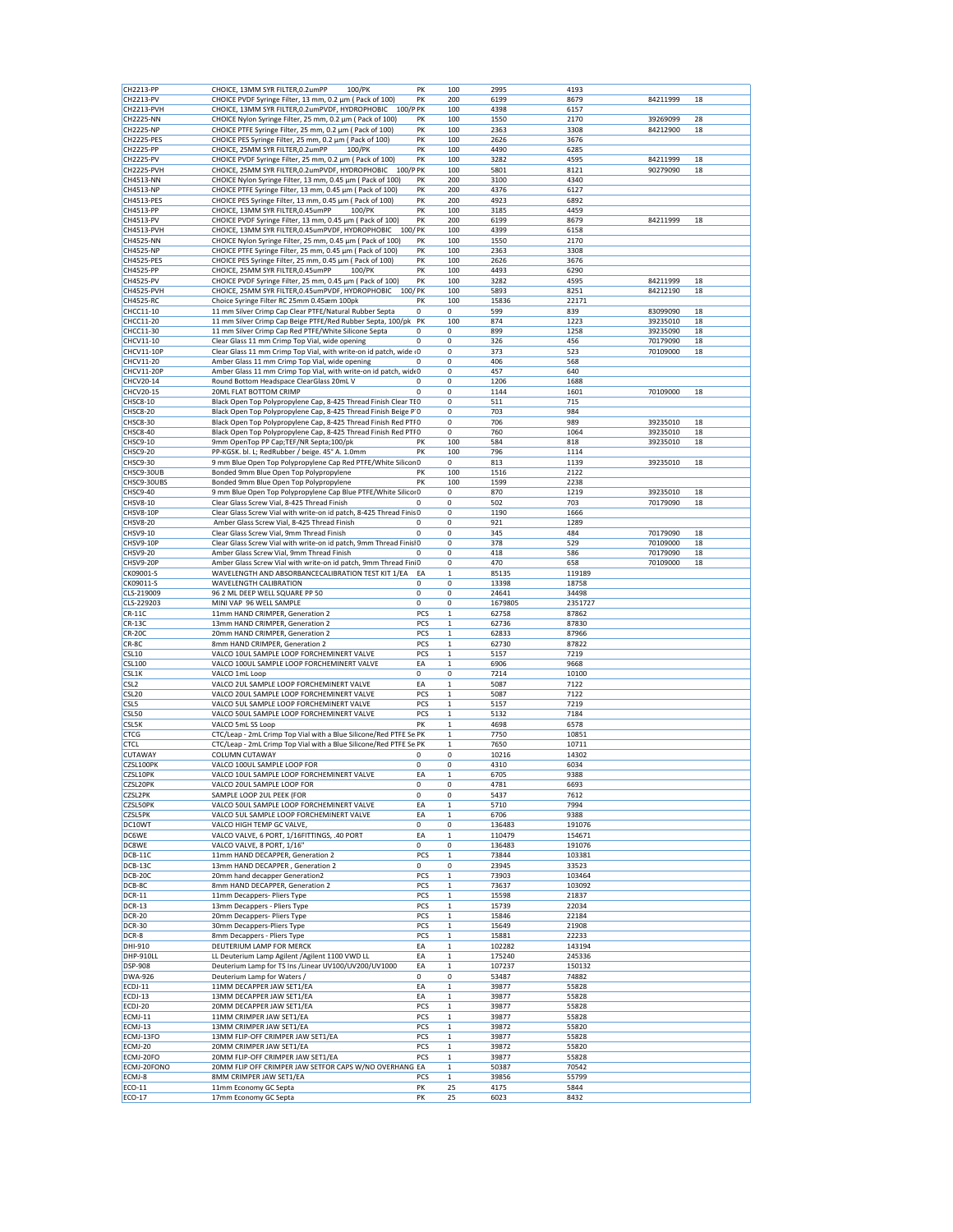| CH2213-PP<br>CH2213-PV<br>CH2213-PVH           | CHOICE, 13MM SYR FILTER, 0.2umPP<br>100/PK                          | PK          | 100          |               | 4193          |          |    |
|------------------------------------------------|---------------------------------------------------------------------|-------------|--------------|---------------|---------------|----------|----|
|                                                |                                                                     |             |              | 2995          |               |          |    |
|                                                | CHOICE PVDF Syringe Filter, 13 mm, 0.2 µm ( Pack of 100)            | PK          | 200          | 6199          | 8679          | 84211999 | 18 |
|                                                | CHOICE, 13MM SYR FILTER, 0.2umPVDF, HYDROPHOBIC 100/P PK            |             | 100          | 4398          | 6157          |          |    |
| <b>CH2225-NN</b>                               | CHOICE Nylon Syringe Filter, 25 mm, 0.2 µm ( Pack of 100)           | PK          | 100          | 1550          | 2170          | 39269099 | 28 |
| <b>CH2225-NP</b>                               | CHOICE PTFE Syringe Filter, 25 mm, 0.2 µm ( Pack of 100)            | PK          | 100          | 2363          | 3308          | 84212900 | 18 |
| CH2225-PES                                     | CHOICE PES Syringe Filter, 25 mm, 0.2 µm ( Pack of 100)             | PK          | 100          | 2626          | 3676          |          |    |
| <b>CH2225-PP</b>                               | CHOICE, 25MM SYR FILTER, 0.2umPP<br>100/PK                          | PK          | 100          | 4490          | 6285          |          |    |
| <b>CH2225-PV</b>                               | CHOICE PVDF Syringe Filter, 25 mm, 0.2 µm ( Pack of 100)            | PK          | 100          | 3282          | 4595          | 84211999 | 18 |
| CH2225-PVH                                     | CHOICE, 25MM SYR FILTER, 0.2umPVDF, HYDROPHOBIC<br>100/P PK         |             | 100          | 5801          | 8121          | 90279090 | 18 |
|                                                |                                                                     |             |              |               |               |          |    |
| <b>CH4513-NN</b>                               | CHOICE Nylon Syringe Filter, 13 mm, 0.45 µm ( Pack of 100)          | PK          | 200          | 3100          | 4340          |          |    |
| CH4513-NP                                      | CHOICE PTFE Syringe Filter, 13 mm, 0.45 µm ( Pack of 100)           | PK          | 200          | 4376          | 6127          |          |    |
| CH4513-PES                                     | CHOICE PES Syringe Filter, 13 mm, 0.45 µm ( Pack of 100)            | PK          | 200          | 4923          | 6892          |          |    |
| CH4513-PP                                      | CHOICE, 13MM SYR FILTER, 0.45umPP<br>100/PK                         | PK          | 100          | 3185          | 4459          |          |    |
| CH4513-PV                                      | CHOICE PVDF Syringe Filter, 13 mm, 0.45 µm ( Pack of 100)           | PK          | 200          | 6199          | 8679          | 84211999 | 18 |
| CH4513-PVH                                     | CHOICE, 13MM SYR FILTER, 0.45umPVDF, HYDROPHOBIC<br>100/PK          |             | 100          | 4399          | 6158          |          |    |
| <b>CH4525-NN</b>                               | CHOICE Nylon Syringe Filter, 25 mm, 0.45 µm ( Pack of 100)          | PK          | 100          | 1550          | 2170          |          |    |
| <b>CH4525-NP</b>                               | CHOICE PTFE Syringe Filter, 25 mm, 0.45 µm ( Pack of 100)           | PK          | 100          | 2363          | 3308          |          |    |
| CH4525-PES                                     | CHOICE PES Syringe Filter, 25 mm, 0.45 µm ( Pack of 100)            | PK          | 100          | 2626          | 3676          |          |    |
|                                                | CHOICE, 25MM SYR FILTER, 0.45umPP<br>100/PK                         | PK          |              |               |               |          |    |
| <b>CH4525-PP</b>                               |                                                                     |             | 100          | 4493          | 6290          |          |    |
| <b>CH4525-PV</b>                               | CHOICE PVDF Syringe Filter, 25 mm, 0.45 µm ( Pack of 100)           | PK          | 100          | 3282          | 4595          | 84211999 | 18 |
| CH4525-PVH                                     | CHOICE, 25MM SYR FILTER, 0.45umPVDF, HYDROPHOBIC 100/PK             |             | 100          | 5893          | 8251          | 84212190 | 18 |
| CH4525-RC                                      | Choice Syringe Filter RC 25mm 0.45æm 100pk                          | PK          | 100          | 15836         | 22171         |          |    |
| CHCC11-10                                      | 11 mm Silver Crimp Cap Clear PTFE/Natural Rubber Septa              | 0           | 0            | 599           | 839           | 83099090 | 18 |
| CHCC11-20                                      | 11 mm Silver Crimp Cap Beige PTFE/Red Rubber Septa, 100/pk          | PK          | 100          | 874           | 1223          | 39235010 | 18 |
| CHCC11-30                                      | 11 mm Silver Crimp Cap Red PTFE/White Silicone Septa                | 0           | 0            | 899           | 1258          | 39235090 | 18 |
| CHCV11-10                                      | Clear Glass 11 mm Crimp Top Vial, wide opening                      | 0           | 0            | 326           | 456           | 70179090 | 18 |
| CHCV11-10P                                     | Clear Glass 11 mm Crimp Top Vial, with write-on id patch, wide (0   |             | 0            | 373           | 523           | 70109000 | 18 |
|                                                |                                                                     |             |              |               |               |          |    |
| CHCV11-20                                      | Amber Glass 11 mm Crimp Top Vial, wide opening                      | 0           | 0            | 406           | 568           |          |    |
| <b>CHCV11-20P</b>                              | Amber Glass 11 mm Crimp Top Vial, with write-on id patch, widt 0    |             | 0            | 457           | 640           |          |    |
| CHCV20-14                                      | Round Bottom Headspace ClearGlass 20mL V                            | 0           | 0            | 1206          | 1688          |          |    |
| CHCV20-15                                      | 20ML FLAT BOTTOM CRIMP                                              | $\Omega$    | 0            | 1144          | 1601          | 70109000 | 18 |
| <b>CHSC8-10</b>                                | Black Open Top Polypropylene Cap, 8-425 Thread Finish Clear TEO     |             | 0            | 511           | 715           |          |    |
| CHSC8-20                                       | Black Open Top Polypropylene Cap, 8-425 Thread Finish Beige P'O     |             | 0            | 703           | 984           |          |    |
| CHSC8-30                                       | Black Open Top Polypropylene Cap, 8-425 Thread Finish Red PTF0      |             | 0            | 706           | 989           | 39235010 | 18 |
| <b>CHSC8-40</b>                                | Black Open Top Polypropylene Cap, 8-425 Thread Finish Red PTI 0     |             | 0            | 760           | 1064          | 39235010 | 18 |
| CHSC9-10                                       |                                                                     |             |              |               |               |          |    |
|                                                | 9mm OpenTop PP Cap;TEF/NR Septa;100/pk                              | PK          | 100          | 584           | 818           | 39235010 | 18 |
| CHSC9-20                                       | PP-KGSK. bl. L; RedRubber / beige. 45° A. 1.0mm                     | PK          | 100          | 796           | 1114          |          |    |
| CHSC9-30                                       | 9 mm Blue Open Top Polypropylene Cap Red PTFE/White Silicon 0       |             | 0            | 813           | 1139          | 39235010 | 18 |
| CHSC9-30UB                                     | Bonded 9mm Blue Open Top Polypropylene                              | PK          | 100          | 1516          | 2122          |          |    |
| CHSC9-30UBS                                    | Bonded 9mm Blue Open Top Polypropylene                              | PK          | 100          | 1599          | 2238          |          |    |
| CHSC9-40                                       | 9 mm Blue Open Top Polypropylene Cap Blue PTFE/White Silicor0       |             | 0            | 870           | 1219          | 39235010 | 18 |
| <b>CHSV8-10</b>                                | Clear Glass Screw Vial, 8-425 Thread Finish                         | 0           | 0            | 502           | 703           | 70179090 | 18 |
| CHSV8-10P                                      | Clear Glass Screw Vial with write-on id patch, 8-425 Thread Finis 0 |             | 0            | 1190          | 1666          |          |    |
| <b>CHSV8-20</b>                                | Amber Glass Screw Vial, 8-425 Thread Finish                         | 0           | 0            | 921           | 1289          |          |    |
|                                                |                                                                     | $\mathbf 0$ |              | 345           | 484           |          | 18 |
| CHSV9-10                                       | Clear Glass Screw Vial, 9mm Thread Finish                           |             | 0            |               |               | 70179090 |    |
| CHSV9-10P                                      | Clear Glass Screw Vial with write-on id patch, 9mm Thread FinislO   |             | 0            | 378           | 529           | 70109000 | 18 |
| <b>CHSV9-20</b>                                | Amber Glass Screw Vial, 9mm Thread Finish                           | 0           | $\mathbf 0$  | 418           | 586           | 70179090 | 18 |
| CHSV9-20P                                      | Amber Glass Screw Vial with write-on id patch, 9mm Thread Fini0     |             | 0            | 470           | 658           | 70109000 | 18 |
| CK09001-S                                      | WAVELENGTH AND ABSORBANCECALIBRATION TEST KIT 1/EA                  | EA          | $\mathbf 1$  | 85135         | 119189        |          |    |
| CK09011-S                                      | WAVELENGTH CALIBRATION                                              | 0           | 0            | 13398         | 18758         |          |    |
| CLS-219009                                     | 96 2 ML DEEP WELL SQUARE PP 50                                      | 0           | 0            | 24641         | 34498         |          |    |
| CLS-229203                                     | MINI VAP 96 WELL SAMPLE                                             | 0           | 0            | 1679805       | 2351727       |          |    |
| <b>CR-11C</b>                                  | 11mm HAND CRIMPER, Generation 2                                     | PCS         | $\mathbf{1}$ | 62758         | 87862         |          |    |
|                                                |                                                                     |             |              |               |               |          |    |
|                                                |                                                                     |             |              |               |               |          |    |
| <b>CR-13C</b>                                  | 13mm HAND CRIMPER, Generation 2                                     | PCS         | $\mathbf{1}$ | 62736         | 87830         |          |    |
|                                                | 20mm HAND CRIMPER, Generation 2                                     | PCS         | $\mathbf 1$  | 62833         | 87966         |          |    |
| <b>CR-20C</b><br>CR-8C                         | 8mm HAND CRIMPER, Generation 2                                      | PCS         | $\mathbf 1$  | 62730         | 87822         |          |    |
|                                                | VALCO 10UL SAMPLE LOOP FORCHEMINERT VALVE                           | PCS         | $\mathbf{1}$ | 5157          | 7219          |          |    |
| CSL <sub>10</sub><br><b>CSL100</b>             | VALCO 100UL SAMPLE LOOP FORCHEMINERT VALVE                          | EA          | $\mathbf{1}$ | 6906          | 9668          |          |    |
|                                                | VALCO 1mL Loop                                                      | 0           | 0            | 7214          | 10100         |          |    |
|                                                | VALCO 2UL SAMPLE LOOP FORCHEMINERT VALVE                            | EA          | $\mathbf 1$  | 5087          | 7122          |          |    |
|                                                | VALCO 20UL SAMPLE LOOP FORCHEMINERT VALVE                           | PCS         | $\mathbf{1}$ | 5087          | 7122          |          |    |
| CSL1K<br>CSL <sub>2</sub><br>CSL <sub>20</sub> |                                                                     |             |              |               |               |          |    |
|                                                | VALCO 5UL SAMPLE LOOP FORCHEMINERT VALVE                            | PCS         | $\,1\,$      | 5157          | 7219          |          |    |
| CSL <sub>5</sub><br>CSL50                      | VALCO 50UL SAMPLE LOOP FORCHEMINERT VALVE                           | PCS         | $\mathbf{1}$ | 5132          | 7184          |          |    |
|                                                | VALCO 5mL SS Loop                                                   | PK          | $\mathbf 1$  | 4698          | 6578          |          |    |
|                                                | CTC/Leap - 2mL Crimp Top Vial with a Blue Silicone/Red PTFE Se PK   |             | $\mathbf{1}$ | 7750          | 10851         |          |    |
| CSL5K<br><b>CTCG</b><br><b>CTCL</b>            | CTC/Leap - 2mL Crimp Top Vial with a Blue Silicone/Red PTFE Se PK   |             | $\mathbf 1$  | 7650          | 10711         |          |    |
| <b>CUTAWAY</b>                                 | COLUMN CUTAWAY                                                      | 0           | 0            | 10216         | 14302         |          |    |
|                                                | VALCO 100UL SAMPLE LOOP FOR                                         | 0           | 0            | 4310          | 6034          |          |    |
| CZSL100PK                                      |                                                                     |             | $\mathbf{1}$ |               |               |          |    |
| CZSL10PK                                       | VALCO 10UL SAMPLE LOOP FORCHEMINERT VALVE                           | EA          |              | 6705          | 9388          |          |    |
| CZSL20PK                                       | VALCO 20UL SAMPLE LOOP FOR                                          | 0           | 0            | 4781          | 6693          |          |    |
| <b>CZSL2PK</b>                                 | SAMPLE LOOP 2UL PEEK (FOR                                           | 0           | 0            | 5437          | 7612          |          |    |
|                                                | VALCO 50UL SAMPLE LOOP FORCHEMINERT VALVE                           | EA          | $\mathbf 1$  | 5710          | 7994          |          |    |
|                                                | VALCO 5UL SAMPLE LOOP FORCHEMINERT VALVE                            | EA          | $\mathbf{1}$ | 6706          | 9388          |          |    |
| <b>CZSL50PK</b><br><b>CZSL5PK</b><br>DC10WT    | VALCO HIGH TEMP GC VALVE,                                           | 0           | 0            | 136483        | 191076        |          |    |
| DC6WE                                          | VALCO VALVE, 6 PORT, 1/16FITTINGS, .40 PORT                         | EA          | $\mathbf 1$  | 110479        | 154671        |          |    |
| DC8WE                                          | VALCO VALVE, 8 PORT, 1/16"                                          | 0           | 0            | 136483        | 191076        |          |    |
| DCB-11C                                        | 11mm HAND DECAPPER, Generation 2                                    | PCS         | $\mathbf 1$  | 73844         | 103381        |          |    |
|                                                |                                                                     |             |              |               |               |          |    |
| DCB-13C                                        | 13mm HAND DECAPPER, Generation 2                                    | 0           | 0            | 23945         | 33523         |          |    |
|                                                | 20mm hand decapper Generation2                                      | PCS         | $\mathbf{1}$ | 73903         | 103464        |          |    |
| DCB-20C<br>DCB-8C                              | 8mm HAND DECAPPER, Generation 2                                     | PCS         | $\mathbf 1$  | 73637         | 103092        |          |    |
| <b>DCR-11</b>                                  | 11mm Decappers- Pliers Type                                         | PCS         | $\mathbf 1$  | 15598         | 21837         |          |    |
| <b>DCR-13</b>                                  | 13mm Decappers - Pliers Type                                        | PCS         | $\mathbf 1$  | 15739         | 22034         |          |    |
| <b>DCR-20</b>                                  | 20mm Decappers- Pliers Type                                         | PCS         | $\mathbf 1$  | 15846         | 22184         |          |    |
| <b>DCR-30</b>                                  | 30mm Decappers-Pliers Type                                          | PCS         | $\mathbf{1}$ | 15649         | 21908         |          |    |
| DCR-8                                          | 8mm Decappers - Pliers Type                                         | PCS         | $\mathbf{1}$ | 15881         | 22233         |          |    |
|                                                |                                                                     |             |              |               |               |          |    |
| DHI-910                                        | DEUTERIUM LAMP FOR MERCK                                            | EA          | $\mathbf 1$  | 102282        | 143194        |          |    |
| DHP-910LL                                      | LL Deuterium Lamp Agilent / Agilent 1100 VWD LL                     | EA          | $\mathbf 1$  | 175240        | 245336        |          |    |
| <b>DSP-908</b>                                 | Deuterium Lamp for TS Ins / Linear UV100/UV200/UV1000               | EA          | $\mathbf 1$  | 107237        | 150132        |          |    |
|                                                | Deuterium Lamp for Waters /                                         | 0           | 0            | 53487         | 74882         |          |    |
| <b>DWA-926</b><br>ECDJ-11                      | 11MM DECAPPER JAW SET1/EA                                           | EA          | $\mathbf 1$  | 39877         | 55828         |          |    |
|                                                | 13MM DECAPPER JAW SET1/EA                                           | EA          | $\mathbf{1}$ | 39877         | 55828         |          |    |
| ECDJ-13<br>ECDJ-20                             | 20MM DECAPPER JAW SET1/EA                                           | PCS         | $\mathbf 1$  | 39877         | 55828         |          |    |
|                                                |                                                                     |             |              |               |               |          |    |
| ECMJ-11                                        | 11MM CRIMPER JAW SET1/EA                                            | PCS         | $\mathbf 1$  | 39877         | 55828         |          |    |
|                                                | 13MM CRIMPER JAW SET1/EA                                            | PCS         | $\mathbf 1$  | 39872         | 55820         |          |    |
|                                                | 13MM FLIP-OFF CRIMPER JAW SET1/EA                                   | PCS         | $\mathbf 1$  | 39877         | 55828         |          |    |
| ECMJ-13<br>ECMJ-13FO<br>ECMJ-20                | 20MM CRIMPER JAW SET1/EA                                            | PCS         | $\mathbf 1$  | 39872         | 55820         |          |    |
|                                                | 20MM FLIP-OFF CRIMPER JAW SET1/EA                                   | PCS         | $\mathbf{1}$ | 39877         | 55828         |          |    |
|                                                | 20MM FLIP OFF CRIMPER JAW SETFOR CAPS W/NO OVERHANG EA              |             | $\mathbf{1}$ | 50387         | 70542         |          |    |
| ECMJ-20FO<br>ECMJ-20FONO                       |                                                                     |             | $\mathbf{1}$ |               |               |          |    |
| ECMJ-8<br>ECO-11                               | 8MM CRIMPER JAW SET1/EA<br>11mm Economy GC Septa                    | PCS<br>PK   | 25           | 39856<br>4175 | 55799<br>5844 |          |    |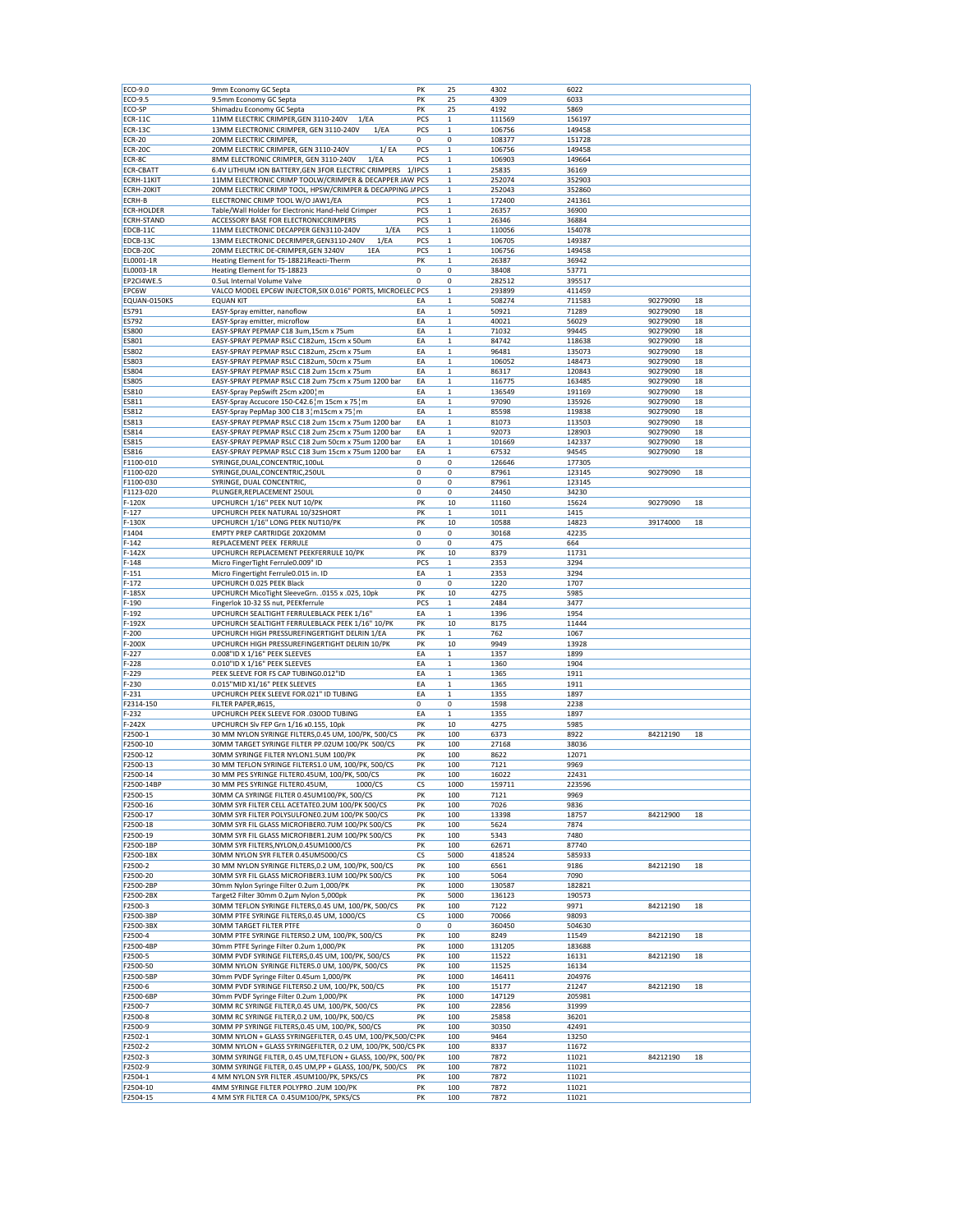| ECO-9.0                                                                                                                                                                                                                 | 9mm Economy GC Septa                                                                              | PK         | 25           | 4302            | 6022   |          |    |
|-------------------------------------------------------------------------------------------------------------------------------------------------------------------------------------------------------------------------|---------------------------------------------------------------------------------------------------|------------|--------------|-----------------|--------|----------|----|
| ECO-9.5                                                                                                                                                                                                                 | 9.5mm Economy GC Septa                                                                            | PK         | 25           | 4309            | 6033   |          |    |
| ECO-SP                                                                                                                                                                                                                  | Shimadzu Economy GC Septa                                                                         | PK         | 25           | 4192            | 5869   |          |    |
|                                                                                                                                                                                                                         |                                                                                                   |            |              |                 |        |          |    |
| <b>ECR-11C</b><br>ECR-13C                                                                                                                                                                                               | 11MM ELECTRIC CRIMPER, GEN 3110-240V<br>1/EA<br>1/EA                                              | PCS<br>PCS | $\mathbf 1$  | 111569          | 156197 |          |    |
|                                                                                                                                                                                                                         | 13MM ELECTRONIC CRIMPER, GEN 3110-240V                                                            |            | $\mathbf{1}$ | 106756          | 149458 |          |    |
| <b>ECR-20</b>                                                                                                                                                                                                           | 20MM ELECTRIC CRIMPER,                                                                            | 0          | 0            | 108377          | 151728 |          |    |
| ECR-20C                                                                                                                                                                                                                 | 20MM ELECTRIC CRIMPER, GEN 3110-240V<br>1/EA                                                      | PCS        | 1            | 106756          | 149458 |          |    |
| ECR-8C                                                                                                                                                                                                                  | 8MM ELECTRONIC CRIMPER, GEN 3110-240V<br>1/EA                                                     | PCS        | $\mathbf 1$  | 106903          | 149664 |          |    |
| <b>ECR-CBATT</b>                                                                                                                                                                                                        | 6.4V LITHIUM ION BATTERY, GEN 3FOR ELECTRIC CRIMPERS                                              | 1/IPCS     | $\mathbf 1$  | 25835           | 36169  |          |    |
| ECRH-11KIT                                                                                                                                                                                                              | 11MM ELECTRONIC CRIMP TOOLW/CRIMPER & DECAPPER JAW PCS                                            |            | $\mathbf 1$  | 252074          | 352903 |          |    |
| ECRH-20KIT                                                                                                                                                                                                              | 20MM ELECTRIC CRIMP TOOL, HPSW/CRIMPER & DECAPPING J/ PCS                                         |            | $\mathbf 1$  | 252043          | 352860 |          |    |
| <b>ECRH-B</b>                                                                                                                                                                                                           | ELECTRONIC CRIMP TOOL W/O JAW1/EA                                                                 | PCS        | $\mathbf{1}$ | 172400          | 241361 |          |    |
| <b>ECR-HOLDER</b>                                                                                                                                                                                                       | Table/Wall Holder for Electronic Hand-held Crimper                                                | PCS        | $\mathbf 1$  | 26357           | 36900  |          |    |
| <b>ECRH-STAND</b>                                                                                                                                                                                                       | ACCESSORY BASE FOR ELECTRONICCRIMPERS                                                             | PCS        | $\mathbf 1$  | 26346           | 36884  |          |    |
| EDCB-11C                                                                                                                                                                                                                | 11MM ELECTRONIC DECAPPER GEN3110-240V<br>1/EA                                                     | PCS        | $\mathbf 1$  | 110056          | 154078 |          |    |
| EDCB-13C                                                                                                                                                                                                                | 13MM ELECTRONIC DECRIMPER, GEN3110-240V<br>1/EA                                                   | PCS        | $\mathbf 1$  | 106705          | 149387 |          |    |
| EDCB-20C                                                                                                                                                                                                                | 20MM ELECTRIC DE-CRIMPER, GEN 3240V<br>1EA                                                        | PCS        | $\mathbf{1}$ | 106756          | 149458 |          |    |
| EL0001-1R                                                                                                                                                                                                               | Heating Element for TS-18821Reacti-Therm                                                          | PK         | $\mathbf 1$  | 26387           | 36942  |          |    |
| EL0003-1R                                                                                                                                                                                                               | Heating Element for TS-18823                                                                      | 0          | 0            | 38408           | 53771  |          |    |
| EP2CI4WE.5                                                                                                                                                                                                              | 0.5uL Internal Volume Valve                                                                       | 0          | 0            | 282512          | 395517 |          |    |
| EPC6W                                                                                                                                                                                                                   | VALCO MODEL EPC6W INJECTOR, SIX 0.016" PORTS, MICROELEC PCS                                       |            | $\mathbf 1$  | 293899          | 411459 |          |    |
| EQUAN-0150KS                                                                                                                                                                                                            | <b>EQUAN KIT</b>                                                                                  | ΕA         | $\mathbf 1$  | 508274          | 711583 | 90279090 | 18 |
| ES791                                                                                                                                                                                                                   | EASY-Spray emitter, nanoflow                                                                      | EA         | $\mathbf 1$  | 50921           | 71289  | 90279090 | 18 |
| <b>ES792</b>                                                                                                                                                                                                            | EASY-Spray emitter, microflow                                                                     | EA         | $\mathbf{1}$ | 40021           | 56029  | 90279090 | 18 |
| <b>ES800</b>                                                                                                                                                                                                            | EASY-SPRAY PEPMAP C18 3um,15cm x 75um                                                             | EA         | $\mathbf{1}$ | 71032           | 99445  | 90279090 | 18 |
| <b>ES801</b>                                                                                                                                                                                                            | EASY-SPRAY PEPMAP RSLC C182um, 15cm x 50um                                                        | EA         | $\mathbf 1$  | 84742           | 118638 | 90279090 | 18 |
| <b>ES802</b>                                                                                                                                                                                                            | EASY-SPRAY PEPMAP RSLC C182um, 25cm x 75um                                                        | EA         | $\mathbf 1$  | 96481           | 135073 | 90279090 | 18 |
| <b>ES803</b>                                                                                                                                                                                                            | EASY-SPRAY PEPMAP RSLC C182um, 50cm x 75um                                                        | EA         | $\mathbf 1$  | 106052          | 148473 | 90279090 | 18 |
| ES804                                                                                                                                                                                                                   | EASY-SPRAY PEPMAP RSLC C18 2um 15cm x 75um                                                        | EA         | $\mathbf 1$  | 86317           | 120843 | 90279090 | 18 |
| <b>ES805</b>                                                                                                                                                                                                            | EASY-SPRAY PEPMAP RSLC C18 2um 75cm x 75um 1200 bar                                               | EA         | $\mathbf{1}$ | 116775          | 163485 | 90279090 | 18 |
| <b>ES810</b>                                                                                                                                                                                                            | EASY-Spray PepSwift 25cm x200 m                                                                   | EA         | $\mathbf{1}$ | 136549          | 191169 | 90279090 | 18 |
| <b>ES811</b>                                                                                                                                                                                                            | EASY-Spray Accucore 150-C42.6 m 15cm x 75 m                                                       | EA         | $\mathbf 1$  | 97090           | 135926 | 90279090 | 18 |
| <b>ES812</b>                                                                                                                                                                                                            | EASY-Spray PepMap 300 C18 3 ¦ m15cm x 75 ¦ m                                                      | EA         | $\mathbf 1$  | 85598           | 119838 | 90279090 | 18 |
| <b>ES813</b>                                                                                                                                                                                                            | EASY-SPRAY PEPMAP RSLC C18 2um 15cm x 75um 1200 bar                                               | EA         | $\mathbf 1$  | 81073           | 113503 | 90279090 | 18 |
| <b>ES814</b>                                                                                                                                                                                                            | EASY-SPRAY PEPMAP RSLC C18 2um 25cm x 75um 1200 bar                                               | EA         | $\mathbf 1$  | 92073           | 128903 | 90279090 | 18 |
| <b>ES815</b>                                                                                                                                                                                                            | EASY-SPRAY PEPMAP RSLC C18 2um 50cm x 75um 1200 bar                                               | EA         | $\mathbf{1}$ | 101669          | 142337 | 90279090 | 18 |
| <b>ES816</b>                                                                                                                                                                                                            | EASY-SPRAY PEPMAP RSLC C18 3um 15cm x 75um 1200 bar                                               | EA         | $\mathbf 1$  | 67532           | 94545  | 90279090 | 18 |
| F1100-010                                                                                                                                                                                                               | SYRINGE, DUAL, CONCENTRIC, 100uL                                                                  | 0          | 0            |                 | 177305 |          |    |
| F1100-020                                                                                                                                                                                                               | SYRINGE, DUAL, CONCENTRIC, 250UL                                                                  | 0          | 0            | 126646<br>87961 | 123145 | 90279090 | 18 |
|                                                                                                                                                                                                                         |                                                                                                   |            |              |                 |        |          |    |
| F1100-030                                                                                                                                                                                                               | SYRINGE, DUAL CONCENTRIC,                                                                         | 0          | 0            | 87961           | 123145 |          |    |
| F1123-020                                                                                                                                                                                                               | PLUNGER, REPLACEMENT 250UL                                                                        | 0          | 0            | 24450           | 34230  | 90279090 |    |
| F-120X                                                                                                                                                                                                                  | UPCHURCH 1/16" PEEK NUT 10/PK                                                                     | PK         | 10           | 11160           | 15624  |          | 18 |
| $F-127$                                                                                                                                                                                                                 | UPCHURCH PEEK NATURAL 10/32SHORT                                                                  | PK         | $\mathbf{1}$ | 1011            | 1415   |          |    |
| F-130X                                                                                                                                                                                                                  | UPCHURCH 1/16" LONG PEEK NUT10/PK                                                                 | PK         | 10           | 10588           | 14823  | 39174000 | 18 |
| F1404                                                                                                                                                                                                                   | <b>EMPTY PREP CARTRIDGE 20X20MM</b>                                                               | 0          | 0            | 30168           | 42235  |          |    |
| $F-142$                                                                                                                                                                                                                 | REPLACEMENT PEEK FERRULE                                                                          | 0          | 0            | 475             | 664    |          |    |
| $F-142X$                                                                                                                                                                                                                | UPCHURCH REPLACEMENT PEEKFERRULE 10/PK                                                            | PK         | 10           | 8379            | 11731  |          |    |
| $F-148$                                                                                                                                                                                                                 | Micro FingerTight Ferrule0.009" ID                                                                | PCS        | $\mathbf{1}$ | 2353            | 3294   |          |    |
| $F-151$                                                                                                                                                                                                                 | Micro Fingertight Ferrule0.015 in. ID                                                             | EA         | $\mathbf{1}$ | 2353            | 3294   |          |    |
| $F-172$                                                                                                                                                                                                                 | UPCHURCH 0.025 PEEK Black                                                                         | 0          | 0            | 1220            | 1707   |          |    |
| $F-185X$                                                                                                                                                                                                                | UPCHURCH MicoTight SleeveGrn. .0155 x .025, 10pk                                                  | PK         | 10           | 4275            | 5985   |          |    |
| $F-190$                                                                                                                                                                                                                 | Fingerlok 10-32 SS nut, PEEKferrule                                                               | PCS        | $\mathbf{1}$ | 2484            | 3477   |          |    |
| $F-192$                                                                                                                                                                                                                 | UPCHURCH SEALTIGHT FERRULEBLACK PEEK 1/16"                                                        | EA         | $\mathbf 1$  | 1396            | 1954   |          |    |
| F-192X                                                                                                                                                                                                                  | UPCHURCH SEALTIGHT FERRULEBLACK PEEK 1/16" 10/PK                                                  | PK         | 10           | 8175            | 11444  |          |    |
| F-200                                                                                                                                                                                                                   | UPCHURCH HIGH PRESSUREFINGERTIGHT DELRIN 1/EA                                                     | PK         | 1            | 762             | 1067   |          |    |
| F-200X                                                                                                                                                                                                                  | UPCHURCH HIGH PRESSUREFINGERTIGHT DELRIN 10/PK                                                    | PK         | 10           | 9949            | 13928  |          |    |
| F-227                                                                                                                                                                                                                   | 0.008"ID X 1/16" PEEK SLEEVES                                                                     | EA         | $\mathbf{1}$ | 1357            | 1899   |          |    |
| $F-228$                                                                                                                                                                                                                 | 0.010"ID X 1/16" PEEK SLEEVES                                                                     | EA         | $\mathbf 1$  | 1360            | 1904   |          |    |
| F-229                                                                                                                                                                                                                   | PEEK SLEEVE FOR FS CAP TUBING0.012"ID                                                             | EA         | $\mathbf 1$  | 1365            | 1911   |          |    |
| $F-230$                                                                                                                                                                                                                 | 0.015"MID X1/16" PEEK SLEEVES                                                                     | EA         | $\mathbf 1$  | 1365            | 1911   |          |    |
| $F-231$                                                                                                                                                                                                                 | UPCHURCH PEEK SLEEVE FOR.021" ID TUBING                                                           | EA         | $\,1$        | 1355            | 1897   |          |    |
| F2314-150                                                                                                                                                                                                               | FILTER PAPER,#615,                                                                                | 0          | 0            | 1598            | 2238   |          |    |
| $F-232$                                                                                                                                                                                                                 | UPCHURCH PEEK SLEEVE FOR .0300D TUBING                                                            | EA         | $\mathbf{1}$ | 1355            | 1897   |          |    |
| F-242X                                                                                                                                                                                                                  | UPCHURCH Slv FEP Grn 1/16 x0.155, 10pk                                                            | PK         | 10           | 4275            | 5985   |          |    |
| F2500-1                                                                                                                                                                                                                 | 30 MM NYLON SYRINGE FILTERS, 0.45 UM, 100/PK, 500/CS                                              | PK         | 100          | 6373            | 8922   | 84212190 | 18 |
| F2500-10                                                                                                                                                                                                                | 30MM TARGET SYRINGE FILTER PP.02UM 100/PK 500/CS                                                  | PK         | 100          | 27168           | 38036  |          |    |
| F2500-12                                                                                                                                                                                                                | 30MM SYRINGE FILTER NYLON1.5UM 100/PK                                                             | PK         | 100          | 8622            | 12071  |          |    |
|                                                                                                                                                                                                                         | 30 MM TEFLON SYRINGE FILTERS1.0 UM, 100/PK, 500/CS                                                | PK         |              |                 | 9969   |          |    |
| F2500-13                                                                                                                                                                                                                | 30 MM PES SYRINGE FILTER0.45UM, 100/PK, 500/CS                                                    | PK         | 100<br>100   | 7121            |        |          |    |
| F2500-14                                                                                                                                                                                                                |                                                                                                   |            |              | 16022           | 22431  |          |    |
| F2500-14BP                                                                                                                                                                                                              | 30 MM PES SYRINGE FILTER0.45UM,<br>1000/CS                                                        | CS         | 1000         | 159711          | 223596 |          |    |
| F2500-15                                                                                                                                                                                                                | 30MM CA SYRINGE FILTER 0.45UM100/PK, 500/CS                                                       | PK         | 100          | 7121            | 9969   |          |    |
| F2500-16                                                                                                                                                                                                                | 30MM SYR FILTER CELL ACETATE0.2UM 100/PK 500/CS<br>30MM SYR FILTER POLYSULFONE0.2UM 100/PK 500/CS | PK         | 100          | 7026            | 9836   |          |    |
| F2500-17<br>F2500-18                                                                                                                                                                                                    |                                                                                                   | PK<br>PK   | 100<br>100   | 13398           | 18757  | 84212900 | 18 |
|                                                                                                                                                                                                                         |                                                                                                   |            |              | 5624            | 7874   |          |    |
|                                                                                                                                                                                                                         | 30MM SYR FIL GLASS MICROFIBER0.7UM 100/PK 500/CS                                                  |            |              |                 |        |          |    |
|                                                                                                                                                                                                                         | 30MM SYR FIL GLASS MICROFIBER1.2UM 100/PK 500/CS                                                  | PK         | 100          | 5343            | 7480   |          |    |
|                                                                                                                                                                                                                         | 30MM SYR FILTERS, NYLON, 0.45UM1000/CS                                                            | PK         | 100          | 62671           | 87740  |          |    |
|                                                                                                                                                                                                                         | 30MM NYLON SYR FILTER 0.45UM5000/CS                                                               | CS         | 5000         | 418524          | 585933 |          |    |
|                                                                                                                                                                                                                         | 30 MM NYLON SYRINGE FILTERS, 0.2 UM, 100/PK, 500/CS                                               | PK         | 100          | 6561            | 9186   | 84212190 | 18 |
|                                                                                                                                                                                                                         | 30MM SYR FIL GLASS MICROFIBER3.1UM 100/PK 500/CS                                                  | PK         | 100          | 5064            | 7090   |          |    |
|                                                                                                                                                                                                                         | 30mm Nylon Syringe Filter 0.2um 1,000/PK                                                          | PK         | 1000         | 130587          | 182821 |          |    |
|                                                                                                                                                                                                                         | Target2 Filter 30mm 0.2um Nylon 5,000pk                                                           | PK         | 5000         | 136123          | 190573 |          |    |
|                                                                                                                                                                                                                         | 30MM TEFLON SYRINGE FILTERS, 0.45 UM, 100/PK, 500/CS                                              | PK         | 100          | 7122            | 9971   | 84212190 | 18 |
|                                                                                                                                                                                                                         | 30MM PTFE SYRINGE FILTERS, 0.45 UM, 1000/CS                                                       | CS         | 1000         | 70066           | 98093  |          |    |
|                                                                                                                                                                                                                         | <b>30MM TARGET FILTER PTFE</b>                                                                    | 0          | 0            | 360450          | 504630 |          |    |
|                                                                                                                                                                                                                         | 30MM PTFE SYRINGE FILTERS0.2 UM, 100/PK, 500/CS                                                   | PK         | 100          | 8249            | 11549  | 84212190 | 18 |
|                                                                                                                                                                                                                         | 30mm PTFE Syringe Filter 0.2um 1,000/PK                                                           | PK         | 1000         | 131205          | 183688 |          |    |
|                                                                                                                                                                                                                         | 30MM PVDF SYRINGE FILTERS, 0.45 UM, 100/PK, 500/CS                                                | PK         | 100          | 11522           | 16131  | 84212190 | 18 |
|                                                                                                                                                                                                                         | 30MM NYLON SYRINGE FILTER5.0 UM, 100/PK, 500/CS                                                   | PK         | 100          | 11525           | 16134  |          |    |
|                                                                                                                                                                                                                         | 30mm PVDF Syringe Filter 0.45um 1,000/PK                                                          | PK         | 1000         | 146411          | 204976 |          |    |
|                                                                                                                                                                                                                         | 30MM PVDF SYRINGE FILTERS0.2 UM, 100/PK, 500/CS                                                   | PK         | 100          | 15177           | 21247  | 84212190 | 18 |
|                                                                                                                                                                                                                         | 30mm PVDF Syringe Filter 0.2um 1,000/PK                                                           | PK         | 1000         | 147129          | 205981 |          |    |
| F2500-19<br>F2500-1BP<br>F2500-1BX<br>F2500-2<br>F2500-20<br>F2500-2BP<br>F2500-2BX<br>F2500-3<br>F2500-3BP<br>F2500-3BX<br>F2500-4<br>F2500-4BP<br>F2500-5<br>F2500-50<br>F2500-5BP<br>F2500-6<br>F2500-6BP<br>F2500-7 | 30MM RC SYRINGE FILTER, 0.45 UM, 100/PK, 500/CS                                                   | PK         | 100          | 22856           | 31999  |          |    |
|                                                                                                                                                                                                                         | 30MM RC SYRINGE FILTER, 0.2 UM, 100/PK, 500/CS                                                    | PK         | 100          | 25858           | 36201  |          |    |
|                                                                                                                                                                                                                         | 30MM PP SYRINGE FILTERS, 0.45 UM, 100/PK, 500/CS                                                  | PK         | 100          | 30350           | 42491  |          |    |
|                                                                                                                                                                                                                         | 30MM NYLON + GLASS SYRINGEFILTER, 0.45 UM, 100/PK,500/C.PK                                        |            | 100          | 9464            | 13250  |          |    |
|                                                                                                                                                                                                                         | 30MM NYLON + GLASS SYRINGEFILTER, 0.2 UM, 100/PK, 500/CS PK                                       |            | 100          | 8337            | 11672  |          |    |
| F2500-8<br>F2500-9<br>F2502-1<br>F2502-2<br>F2502-3                                                                                                                                                                     | 30MM SYRINGE FILTER, 0.45 UM, TEFLON + GLASS, 100/PK, 500/PK                                      |            | 100          | 7872            | 11021  | 84212190 | 18 |
| F2502-9                                                                                                                                                                                                                 | 30MM SYRINGE FILTER, 0.45 UM, PP + GLASS, 100/PK, 500/CS                                          | PK         | 100          | 7872            | 11021  |          |    |
| F2504-1                                                                                                                                                                                                                 | 4 MM NYLON SYR FILTER .45UM100/PK, 5PKS/CS                                                        | PK         | 100          | 7872            | 11021  |          |    |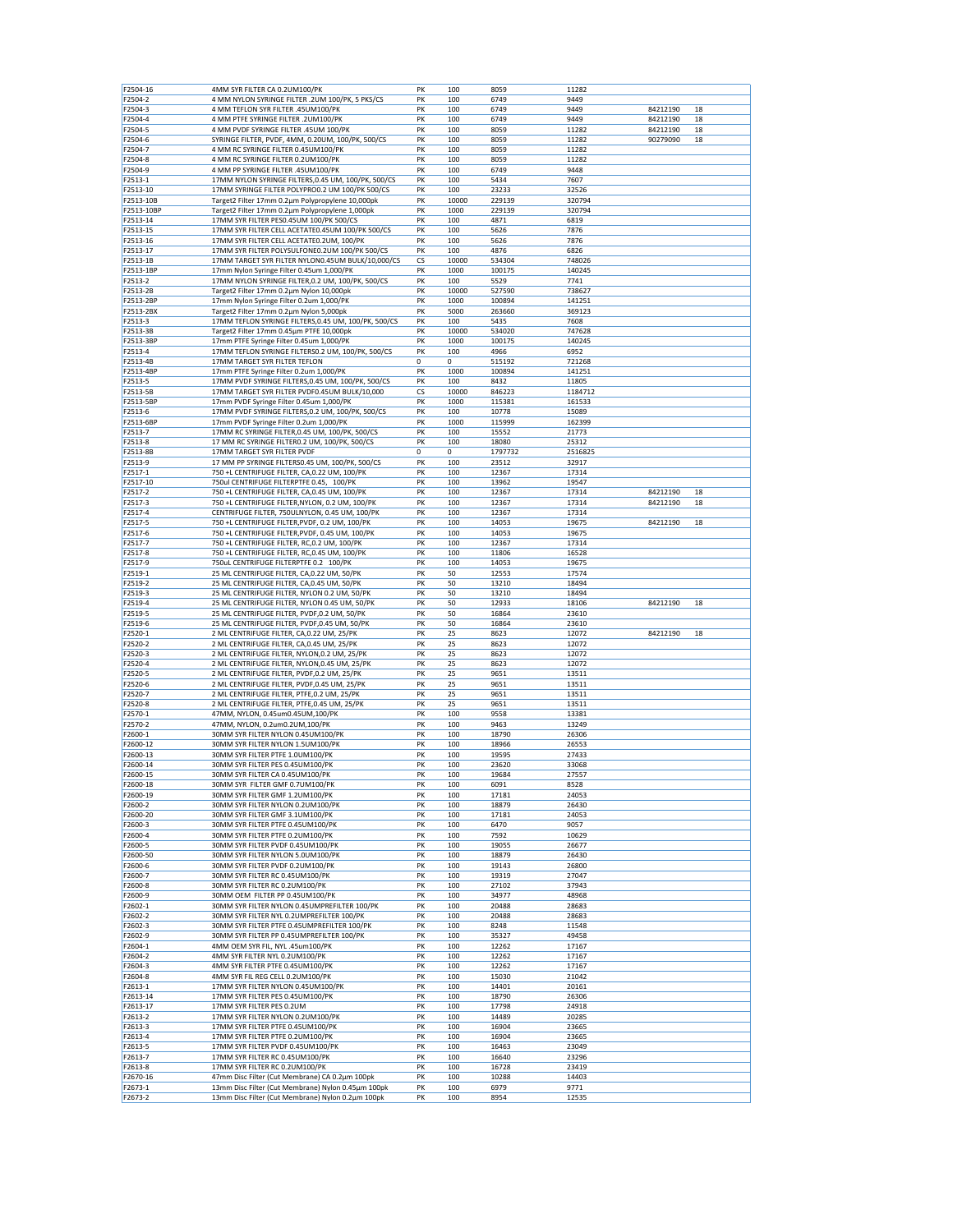| F2504-2<br>F2504-3<br>F2504-4 | 4MM SYR FILTER CA 0.2UM100/PK                                                            | PK | 100   | 8059    | 11282   |                |
|-------------------------------|------------------------------------------------------------------------------------------|----|-------|---------|---------|----------------|
|                               | 4 MM NYLON SYRINGE FILTER .2UM 100/PK, 5 PKS/CS                                          | PK | 100   | 6749    | 9449    |                |
|                               | 4 MM TEFLON SYR FILTER .45UM100/PK                                                       | PK | 100   | 6749    | 9449    | 84212190<br>18 |
|                               | 4 MM PTFE SYRINGE FILTER .2UM100/PK                                                      | PK | 100   | 6749    | 9449    | 84212190<br>18 |
|                               | 4 MM PVDF SYRINGE FILTER .45UM 100/PK                                                    | PK |       |         | 11282   |                |
| F2504-5                       |                                                                                          |    | 100   | 8059    |         | 84212190<br>18 |
| F2504-6                       | SYRINGE FILTER, PVDF, 4MM, 0.20UM, 100/PK, 500/CS                                        | PK | 100   | 8059    | 11282   | 90279090<br>18 |
| F2504-7                       | 4 MM RC SYRINGE FILTER 0.45UM100/PK                                                      | PK | 100   | 8059    | 11282   |                |
| F2504-8                       | 4 MM RC SYRINGE FILTER 0.2UM100/PK                                                       | PK | 100   | 8059    | 11282   |                |
| F2504-9                       | 4 MM PP SYRINGE FILTER .45UM100/PK                                                       | PK | 100   | 6749    | 9448    |                |
| F2513-1                       | 17MM NYLON SYRINGE FILTERS, 0.45 UM, 100/PK, 500/CS                                      | PK | 100   | 5434    | 7607    |                |
| F2513-10                      | 17MM SYRINGE FILTER POLYPRO0.2 UM 100/PK 500/CS                                          | PK | 100   | 23233   | 32526   |                |
| F2513-10B                     | Target2 Filter 17mm 0.2µm Polypropylene 10,000pk                                         | PK | 10000 | 229139  | 320794  |                |
| F2513-10BP                    | Target2 Filter 17mm 0.2um Polypropylene 1,000pk                                          | PK | 1000  | 229139  | 320794  |                |
| F2513-14                      | 17MM SYR FILTER PES0.45UM 100/PK 500/CS                                                  | PK | 100   | 4871    | 6819    |                |
| F2513-15                      | 17MM SYR FILTER CELL ACETATE0.45UM 100/PK 500/CS                                         | PK | 100   | 5626    | 7876    |                |
| F2513-16                      | 17MM SYR FILTER CELL ACETATE0.2UM, 100/PK                                                | PK | 100   | 5626    | 7876    |                |
| F2513-17                      | 17MM SYR FILTER POLYSULFONE0.2UM 100/PK 500/CS                                           | PK | 100   | 4876    | 6826    |                |
| F2513-1B                      | 17MM TARGET SYR FILTER NYLON0.45UM BULK/10,000/CS                                        | CS | 10000 | 534304  | 748026  |                |
| F2513-1BP                     | 17mm Nylon Syringe Filter 0.45um 1,000/PK                                                | PK | 1000  | 100175  | 140245  |                |
| F2513-2                       | 17MM NYLON SYRINGE FILTER, 0.2 UM, 100/PK, 500/CS                                        | PK | 100   | 5529    | 7741    |                |
| F2513-2B                      | Target2 Filter 17mm 0.2µm Nylon 10,000pk                                                 | PK | 10000 | 527590  | 738627  |                |
| F2513-2BP                     | 17mm Nylon Syringe Filter 0.2um 1,000/PK                                                 | PK | 1000  | 100894  | 141251  |                |
| F2513-2BX                     | Target2 Filter 17mm 0.2µm Nylon 5,000pk                                                  | PK | 5000  | 263660  | 369123  |                |
|                               |                                                                                          | PK |       |         |         |                |
| F2513-3                       | 17MM TEFLON SYRINGE FILTERS, 0.45 UM, 100/PK, 500/CS                                     |    | 100   | 5435    | 7608    |                |
| F2513-3B                      | Target2 Filter 17mm 0.45µm PTFE 10,000pk                                                 | PK | 10000 | 534020  | 747628  |                |
| F2513-3BF                     | 17mm PTFE Syringe Filter 0.45um 1,000/PK                                                 | PK | 1000  | 100175  | 140245  |                |
| F2513-4                       | 17MM TEFLON SYRINGE FILTERS0.2 UM, 100/PK, 500/CS                                        | PK | 100   | 4966    | 6952    |                |
| F2513-4B                      | 17MM TARGET SYR FILTER TEFLON                                                            | 0  | 0     | 515192  | 721268  |                |
| F2513-4BP                     | 17mm PTFE Syringe Filter 0.2um 1,000/PK                                                  | PK | 1000  | 100894  | 141251  |                |
| F2513-5                       | 17MM PVDF SYRINGE FILTERS, 0.45 UM, 100/PK, 500/CS                                       | PK | 100   | 8432    | 11805   |                |
| F2513-5B                      | 17MM TARGET SYR FILTER PVDF0.45UM BULK/10,000                                            | CS | 10000 | 846223  | 1184712 |                |
| F2513-5BF                     | 17mm PVDF Syringe Filter 0.45um 1,000/PK                                                 | PK | 1000  | 115381  | 161533  |                |
| F2513-6                       | 17MM PVDF SYRINGE FILTERS, 0.2 UM, 100/PK, 500/CS                                        | PK | 100   | 10778   | 15089   |                |
| F2513-6BP                     | 17mm PVDF Syringe Filter 0.2um 1,000/PK                                                  | PK | 1000  | 115999  | 162399  |                |
| F2513-7                       | 17MM RC SYRINGE FILTER, 0.45 UM, 100/PK, 500/CS                                          | PK | 100   | 15552   | 21773   |                |
| F2513-8                       | 17 MM RC SYRINGE FILTER0.2 UM, 100/PK, 500/CS                                            | PK | 100   | 18080   | 25312   |                |
| F2513-8B                      | 17MM TARGET SYR FILTER PVDF                                                              | 0  | 0     | 1797732 | 2516825 |                |
| F2513-9                       | 17 MM PP SYRINGE FILTERS0.45 UM, 100/PK, 500/CS                                          | PK | 100   | 23512   | 32917   |                |
|                               |                                                                                          |    |       |         |         |                |
| F2517-1                       | 750 +L CENTRIFUGE FILTER, CA, 0.22 UM, 100/PK                                            | PK | 100   | 12367   | 17314   |                |
| F2517-10                      | 750ul CENTRIFUGE FILTERPTFE 0.45, 100/PK                                                 | PK | 100   | 13962   | 19547   |                |
| F2517-2                       | 750 +L CENTRIFUGE FILTER, CA, 0.45 UM, 100/PK                                            | PK | 100   | 12367   | 17314   | 84212190<br>18 |
| F2517-3                       | 750 +L CENTRIFUGE FILTER, NYLON, 0.2 UM, 100/PK                                          | PK | 100   | 12367   | 17314   | 84212190<br>18 |
| F2517-4                       | CENTRIFUGE FILTER, 750ULNYLON, 0.45 UM, 100/PK                                           | PK | 100   | 12367   | 17314   |                |
| F2517-5                       | 750 +L CENTRIFUGE FILTER, PVDF, 0.2 UM, 100/PK                                           | PK | 100   | 14053   | 19675   | 84212190<br>18 |
| F2517-6                       | 750 +L CENTRIFUGE FILTER, PVDF, 0.45 UM, 100/PK                                          | PK | 100   | 14053   | 19675   |                |
| F2517-7                       | 750 +L CENTRIFUGE FILTER, RC, 0.2 UM, 100/PK                                             | PK | 100   | 12367   | 17314   |                |
| F2517-8                       | 750 +L CENTRIFUGE FILTER, RC, 0.45 UM, 100/PK                                            | PK | 100   | 11806   | 16528   |                |
| F2517-9                       | 750uL CENTRIFUGE FILTERPTFE 0.2 100/PK                                                   | PK | 100   | 14053   | 19675   |                |
| F2519-1                       | 25 ML CENTRIFUGE FILTER, CA, 0.22 UM, 50/PK                                              | PK | 50    | 12553   | 17574   |                |
| F2519-2                       | 25 ML CENTRIFUGE FILTER, CA, 0.45 UM, 50/PK                                              | PK | 50    | 13210   | 18494   |                |
| F2519-3                       | 25 ML CENTRIFUGE FILTER, NYLON 0.2 UM, 50/PK                                             | PK | 50    | 13210   | 18494   |                |
| F2519-4                       | 25 ML CENTRIFUGE FILTER, NYLON 0.45 UM, 50/PK                                            | PK | 50    | 12933   | 18106   | 84212190<br>18 |
| F2519-5                       | 25 ML CENTRIFUGE FILTER, PVDF, 0.2 UM, 50/PK                                             | PK | 50    | 16864   | 23610   |                |
| F2519-6                       | 25 ML CENTRIFUGE FILTER, PVDF, 0.45 UM, 50/PK                                            | PK | 50    | 16864   | 23610   |                |
| F2520-1                       |                                                                                          | PK | 25    | 8623    | 12072   | 84212190<br>18 |
| F2520-2                       | 2 ML CENTRIFUGE FILTER, CA, 0.22 UM, 25/PK<br>2 ML CENTRIFUGE FILTER, CA, 0.45 UM, 25/PK | PK | 25    | 8623    | 12072   |                |
|                               |                                                                                          | PK |       |         |         |                |
| F2520-3                       | 2 ML CENTRIFUGE FILTER, NYLON, 0.2 UM, 25/PK                                             |    | 25    | 8623    | 12072   |                |
| F2520-4                       | 2 ML CENTRIFUGE FILTER, NYLON, 0.45 UM, 25/PK                                            | PK | 25    | 8623    | 12072   |                |
| F2520-5                       | 2 ML CENTRIFUGE FILTER, PVDF, 0.2 UM, 25/PK                                              | PK | 25    | 9651    | 13511   |                |
| F2520-6                       | 2 ML CENTRIFUGE FILTER, PVDF, 0.45 UM, 25/PK                                             | PK | 25    | 9651    | 13511   |                |
| F2520-7                       | 2 ML CENTRIFUGE FILTER, PTFE, 0.2 UM, 25/PK                                              | PK | 25    | 9651    | 13511   |                |
| F2520-8                       | 2 ML CENTRIFUGE FILTER, PTFE, 0.45 UM, 25/PK                                             | PK | 25    | 9651    | 13511   |                |
| F2570-1                       | 47MM, NYLON, 0.45um0.45UM,100/PK                                                         | PK | 100   | 9558    | 13381   |                |
| F2570-2                       | 47MM, NYLON, 0.2um0.2UM, 100/PK                                                          | PK | 100   | 9463    | 13249   |                |
| F2600-1                       | 30MM SYR FILTER NYLON 0.45UM100/PK                                                       | PK | 100   | 18790   | 26306   |                |
| F2600-12                      | 30MM SYR FILTER NYLON 1.5UM100/PK                                                        | PK | 100   | 18966   | 26553   |                |
| F2600-13                      | 30MM SYR FILTER PTFE 1.0UM100/PK                                                         | PK | 100   | 19595   | 27433   |                |
| F2600-14                      | 30MM SYR FILTER PES 0.45UM100/PK                                                         | PK | 100   | 23620   | 33068   |                |
| F2600-15                      | 30MM SYR FILTER CA 0.45UM100/PK                                                          | PK | 100   | 19684   | 27557   |                |
| F2600-18                      | 30MM SYR FILTER GMF 0.7UM100/PK                                                          | PK | 100   | 6091    | 8528    |                |
|                               |                                                                                          | PK | 100   | 17181   | 24053   |                |
|                               |                                                                                          |    |       |         |         |                |
| F2600-19                      | 30MM SYR FILTER GMF 1.2UM100/PK                                                          |    |       |         |         |                |
| F2600-2                       | 30MM SYR FILTER NYLON 0.2UM100/PK                                                        | PK | 100   | 18879   | 26430   |                |
| F2600-20                      | 30MM SYR FILTER GMF 3.1UM100/PK                                                          | PK | 100   | 17181   | 24053   |                |
| F2600-3                       | 30MM SYR FILTER PTFE 0.45UM100/PK                                                        | PK | 100   | 6470    | 9057    |                |
| F2600-4                       | 30MM SYR FILTER PTFE 0.2UM100/PK                                                         | PK | 100   | 7592    | 10629   |                |
| F2600-5                       | 30MM SYR FILTER PVDF 0.45UM100/PK                                                        | PK | 100   | 19055   | 26677   |                |
| F2600-50                      | 30MM SYR FILTER NYLON 5.0UM100/PK                                                        | PK | 100   | 18879   | 26430   |                |
| F2600-6                       | 30MM SYR FILTER PVDF 0.2UM100/PK                                                         | PK | 100   | 19143   | 26800   |                |
| F2600-7                       | 30MM SYR FILTER RC 0.45UM100/PK                                                          | PK | 100   | 19319   | 27047   |                |
| F2600-8                       | 30MM SYR FILTER RC 0.2UM100/PK                                                           | PK | 100   | 27102   | 37943   |                |
| F2600-9                       | 30MM OEM FILTER PP 0.45UM100/PK                                                          | PK | 100   | 34977   | 48968   |                |
| F2602-1                       | 30MM SYR FILTER NYLON 0.45UMPREFILTER 100/PK                                             | PK | 100   | 20488   | 28683   |                |
| F2602-2                       | 30MM SYR FILTER NYL 0.2UMPREFILTER 100/PK                                                | PK | 100   | 20488   | 28683   |                |
| F2602-3                       | 30MM SYR FILTER PTFE 0.45UMPREFILTER 100/PK                                              | PK | 100   | 8248    | 11548   |                |
| F2602-9                       | 30MM SYR FILTER PP 0.45UMPREFILTER 100/PK                                                | PK | 100   | 35327   | 49458   |                |
|                               |                                                                                          |    |       |         |         |                |
| F2604-1                       | 4MM OEM SYR FIL, NYL .45um100/PK                                                         | PK | 100   | 12262   | 17167   |                |
| F2604-2                       | 4MM SYR FILTER NYL 0.2UM100/PK                                                           | PK | 100   | 12262   | 17167   |                |
| F2604-3                       | 4MM SYR FILTER PTFE 0.45UM100/PK                                                         | PK | 100   | 12262   | 17167   |                |
| F2604-8                       | 4MM SYR FIL REG CELL 0.2UM100/PK                                                         | PK | 100   | 15030   | 21042   |                |
| F2613-1                       | 17MM SYR FILTER NYLON 0.45UM100/PK                                                       | PK | 100   | 14401   | 20161   |                |
| F2613-14                      | 17MM SYR FILTER PES 0.45UM100/PK                                                         | PK | 100   | 18790   | 26306   |                |
| F2613-17                      | 17MM SYR FILTER PES 0.2UM                                                                | PK | 100   | 17798   | 24918   |                |
| F2613-2                       | 17MM SYR FILTER NYLON 0.2UM100/PK                                                        | PK | 100   | 14489   | 20285   |                |
| F2613-3                       | 17MM SYR FILTER PTFE 0.45UM100/PK                                                        | PK | 100   | 16904   | 23665   |                |
| F2613-4                       | 17MM SYR FILTER PTFE 0.2UM100/PK                                                         | PK | 100   | 16904   | 23665   |                |
| F2613-5                       | 17MM SYR FILTER PVDF 0.45UM100/PK                                                        | PK | 100   | 16463   | 23049   |                |
| F2613-7                       | 17MM SYR FILTER RC 0.45UM100/PK                                                          | PK | 100   | 16640   | 23296   |                |
| F2613-8                       | 17MM SYR FILTER RC 0.2UM100/PK                                                           | PK | 100   | 16728   | 23419   |                |
| F2670-16                      | 47mm Disc Filter (Cut Membrane) CA 0.2µm 100pk                                           | PK | 100   | 10288   | 14403   |                |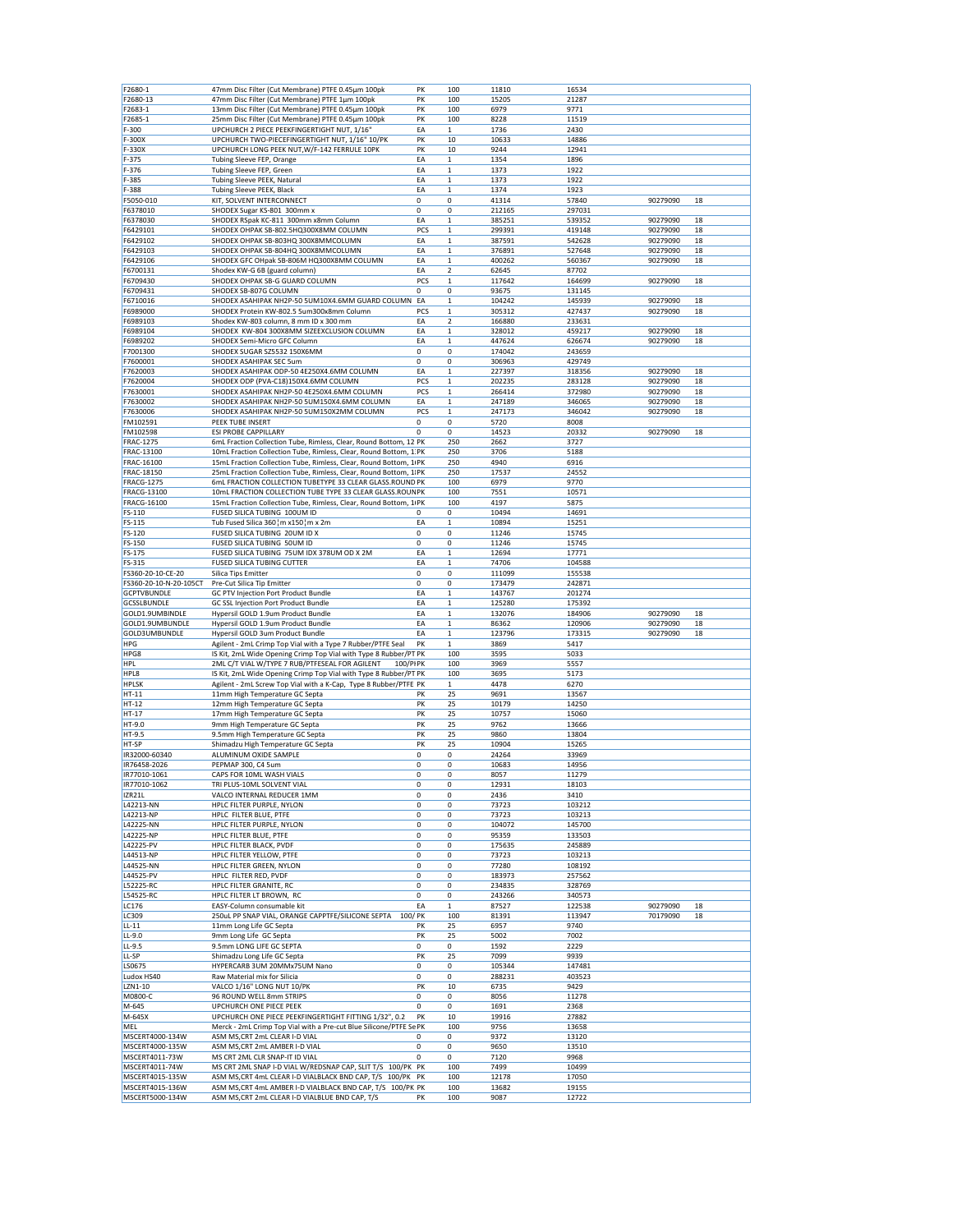| F2680-1                | 47mm Disc Filter (Cut Membrane) PTFE 0.45µm 100pk                  | PK          |
|------------------------|--------------------------------------------------------------------|-------------|
| F2680-13               | 47mm Disc Filter (Cut Membrane) PTFE 1µm 100pk                     | PK          |
| F2683-1                | 13mm Disc Filter (Cut Membrane) PTFE 0.45µm 100pk                  | PK          |
|                        |                                                                    |             |
| F2685-1                | 25mm Disc Filter (Cut Membrane) PTFE 0.45µm 100pk                  | PK          |
| F-300                  | UPCHURCH 2 PIECE PEEKFINGERTIGHT NUT, 1/16"                        | EA          |
|                        | UPCHURCH TWO-PIECEFINGERTIGHT NUT, 1/16" 10/PK                     |             |
| F-300X                 |                                                                    | PK          |
| F-330X                 | UPCHURCH LONG PEEK NUT, W/F-142 FERRULE 10PK                       | PK          |
| F-375                  |                                                                    | EA          |
|                        | Tubing Sleeve FEP, Orange                                          |             |
| $F-376$                | Tubing Sleeve FEP, Green                                           | EA          |
| F-385                  | Tubing Sleeve PEEK, Natural                                        | EA          |
|                        |                                                                    |             |
| F-388                  | Tubing Sleeve PEEK, Black                                          | EA          |
| F5050-010              | KIT, SOLVENT INTERCONNECT                                          | 0           |
|                        |                                                                    |             |
| F6378010               | SHODEX Sugar KS-801 300mm x                                        | 0           |
| F6378030               | SHODEX RSpak KC-811 300mm x8mm Column                              | EA          |
|                        |                                                                    |             |
| F6429101               | SHODEX OHPAK SB-802.5HQ300X8MM COLUMN                              | PCS         |
| F6429102               | SHODEX OHPAK SB-803HQ 300X8MMCOLUMN                                | ΕA          |
| F6429103               | SHODEX OHPAK SB-804HQ 300X8MMCOLUMN                                | EA          |
|                        |                                                                    |             |
| F6429106               | SHODEX GFC OHpak SB-806M HQ300X8MM COLUMN                          | EA          |
| F6700131               | Shodex KW-G 6B (guard column)                                      | ΕA          |
|                        |                                                                    |             |
| F6709430               | SHODEX OHPAK SB-G GUARD COLUMN                                     | PCS         |
| F6709431               | SHODEX SB-807G COLUMN                                              | 0           |
|                        | SHODEX ASAHIPAK NH2P-50 5UM10X4.6MM GUARD COLUMN                   |             |
| F6710016               |                                                                    | EA          |
| F6989000               | SHODEX Protein KW-802.5 5um300x8mm Column                          | PCS         |
| F6989103               | Shodex KW-803 column, 8 mm ID x 300 mm                             | EA          |
|                        |                                                                    |             |
| F6989104               | SHODEX KW-804 300X8MM SIZEEXCLUSION COLUMN                         | EA          |
| F6989202               | SHODEX Semi-Micro GFC Column                                       | ΕA          |
|                        |                                                                    |             |
| F7001300               | SHODEX SUGAR SZ5532 150X6MM                                        | 0           |
| F7600001               | SHODEX ASAHIPAK SEC 5um                                            | 0           |
|                        |                                                                    |             |
| F7620003               | SHODEX ASAHIPAK ODP-50 4E250X4.6MM COLUMN                          | EA          |
| F7620004               | SHODEX ODP (PVA-C18)150X4.6MM COLUMN                               | PCS         |
|                        |                                                                    |             |
| F7630001               | SHODEX ASAHIPAK NH2P-50 4E250X4.6MM COLUMN                         | PCS         |
| F7630002               | SHODEX ASAHIPAK NH2P-50 5UM150X4.6MM COLUMN                        | ΕA          |
|                        |                                                                    |             |
| F7630006               | SHODEX ASAHIPAK NH2P-50 5UM150X2MM COLUMN                          | PCS         |
| FM102591               | PEEK TUBE INSERT                                                   | 0           |
| FM102598               | <b>ESI PROBE CAPPILLARY</b>                                        | 0           |
|                        |                                                                    |             |
| <b>FRAC-1275</b>       | 6mL Fraction Collection Tube, Rimless, Clear, Round Bottom, 12 PK  |             |
| FRAC-13100             | 10mL Fraction Collection Tube, Rimless, Clear, Round Bottom, 1 PK  |             |
|                        |                                                                    |             |
| FRAC-16100             | 15mL Fraction Collection Tube, Rimless, Clear, Round Bottom, 1/PK  |             |
| FRAC-18150             | 25mL Fraction Collection Tube, Rimless, Clear, Round Bottom, 1:PK  |             |
|                        |                                                                    |             |
| <b>FRACG-1275</b>      | 6mL FRACTION COLLECTION TUBETYPE 33 CLEAR GLASS.ROUND PK           |             |
| FRACG-13100            | 10mL FRACTION COLLECTION TUBE TYPE 33 CLEAR GLASS.ROUN PK          |             |
|                        |                                                                    |             |
| FRACG-16100            | 15mL Fraction Collection Tube, Rimless, Clear, Round Bottom, 1/PK  |             |
| FS-110                 | FUSED SILICA TUBING 100UM ID                                       | 0           |
| FS-115                 | Tub Fused Silica 360¦m x150¦m x 2m                                 | EA          |
|                        |                                                                    |             |
| FS-120                 | FUSED SILICA TUBING 20UM ID X                                      | 0           |
| FS-150                 | FUSED SILICA TUBING 50UM ID                                        | 0           |
|                        |                                                                    |             |
| FS-175                 | FUSED SILICA TUBING 75UM IDX 378UM OD X 2M                         | EA          |
| FS-315                 | <b>FUSED SILICA TUBING CUTTER</b>                                  | EA          |
|                        |                                                                    |             |
|                        |                                                                    |             |
| FS360-20-10-CE-20      | Silica Tips Emitter                                                | $\mathbf 0$ |
| FS360-20-10-N-20-105CT | Pre-Cut Silica Tip Emitter                                         | 0           |
|                        |                                                                    |             |
| <b>GCPTVBUNDLE</b>     | GC PTV Injection Port Product Bundle                               | ΕA          |
| <b>GCSSLBUNDLE</b>     | GC SSL Injection Port Product Bundle                               | EA          |
| GOLD1.9UMBINDLE        |                                                                    | EA          |
|                        | Hypersil GOLD 1.9um Product Bundle                                 |             |
| GOLD1.9UMBUNDLE        | Hypersil GOLD 1.9um Product Bundle                                 | EA          |
| GOLD3UMBUNDLE          | Hypersil GOLD 3um Product Bundle                                   | EA          |
|                        |                                                                    |             |
| <b>HPG</b>             | Agilent - 2mL Crimp Top Vial with a Type 7 Rubber/PTFE Seal        | PK          |
| HPG8                   | IS Kit, 2mL Wide Opening Crimp Top Vial with Type 8 Rubber/PT PK   |             |
|                        | 100/PIPK                                                           |             |
| <b>HPL</b>             | 2ML C/T VIAL W/TYPE 7 RUB/PTFESEAL FOR AGILENT                     |             |
| HPL8                   | IS Kit, 2mL Wide Opening Crimp Top Vial with Type 8 Rubber/PT PK   |             |
| <b>HPLSK</b>           |                                                                    |             |
|                        | Agilent - 2mL Screw Top Vial with a K-Cap, Type 8 Rubber/PTFE PK   |             |
| HT-11                  | 11mm High Temperature GC Septa                                     | PK          |
| HT-12                  | 12mm High Temperature GC Septa                                     | PK          |
|                        |                                                                    |             |
| HT-17                  | 17mm High Temperature GC Septa                                     | PK          |
| HT-9.0                 | 9mm High Temperature GC Septa                                      | PK          |
| HT-9.5                 |                                                                    | PK          |
|                        | 9.5mm High Temperature GC Septa                                    |             |
| HT-SP                  | Shimadzu High Temperature GC Septa                                 | PK          |
| IR32000-60340          | ALUMINUM OXIDE SAMPLE                                              | 0           |
|                        |                                                                    |             |
| IR76458-2026           | PEPMAP 300, C4 5um                                                 | 0           |
| IR77010-1061           | CAPS FOR 10ML WASH VIALS                                           | 0           |
| IR77010-1062           | TRI PLUS-10ML SOLVENT VIAL                                         | 0           |
|                        |                                                                    |             |
| IZR21L                 | VALCO INTERNAL REDUCER 1MM                                         | 0           |
| L42213-NN              | HPLC FILTER PURPLE, NYLON                                          | 0           |
|                        |                                                                    |             |
| L42213-NP              | HPLC FILTER BLUE, PTFE                                             | 0           |
| L42225-NN              | HPLC FILTER PURPLE, NYLON                                          | $\mathbf 0$ |
|                        |                                                                    | 0           |
| L42225-NP              | HPLC FILTER BLUE, PTFE                                             |             |
| L42225-PV              | HPLC FILTER BLACK, PVDF                                            | 0           |
| L44513-NP              | HPLC FILTER YELLOW, PTFE                                           | 0           |
|                        |                                                                    |             |
| L44525-NN              | HPLC FILTER GREEN, NYLON                                           | 0           |
| L44525-PV              | HPLC FILTER RED, PVDF                                              | 0           |
|                        |                                                                    |             |
| L52225-RC              | HPLC FILTER GRANITE, RC                                            | 0           |
| L54525-RC              | HPLC FILTER LT BROWN, RC                                           | 0           |
| LC176                  | EASY-Column consumable kit                                         | EA          |
|                        |                                                                    |             |
| LC309                  | 250uL PP SNAP VIAL, ORANGE CAPPTFE/SILICONE SEPTA<br>100/PK        |             |
| $LL-11$                | 11mm Long Life GC Septa                                            | PK          |
|                        |                                                                    |             |
| $LL-9.0$               | 9mm Long Life GC Septa                                             | PK          |
| LL-9.5                 | 9.5mm LONG LIFE GC SEPTA                                           | 0           |
| LL-SP                  | Shimadzu Long Life GC Septa                                        | PK          |
|                        |                                                                    |             |
| LS0675                 | HYPERCARB 3UM 20MMx75UM Nano                                       | 0           |
| Ludox HS40             | Raw Material mix for Silicia                                       | 0           |
|                        |                                                                    |             |
| LZN1-10                | VALCO 1/16" LONG NUT 10/PK                                         | PK          |
| M0800-C                | 96 ROUND WELL 8mm STRIPS                                           | 0           |
|                        |                                                                    |             |
| M-645                  | UPCHURCH ONE PIECE PEEK                                            | 0           |
| M-645X                 | UPCHURCH ONE PIECE PEEKFINGERTIGHT FITTING 1/32", 0.2              | PK          |
|                        |                                                                    |             |
| MEL                    | Merck - 2mL Crimp Top Vial with a Pre-cut Blue Silicone/PTFE Se PK |             |
| MSCERT4000-134W        | ASM MS, CRT 2mL CLEAR I-D VIAL                                     | 0           |
| MSCERT4000-135W        | ASM MS, CRT 2mL AMBER I-D VIAL                                     | 0           |
|                        |                                                                    |             |
| MSCERT4011-73W         | MS CRT 2ML CLR SNAP-IT ID VIAL                                     | 0           |
| MSCERT4011-74W         | MS CRT 2ML SNAP I-D VIAL W/REDSNAP CAP, SLIT T/S 100/PK PK         |             |
|                        |                                                                    |             |
| MSCERT4015-135W        | ASM MS, CRT 4mL CLEAR I-D VIALBLACK BND CAP, T/S 100/PK PK         |             |
| MSCERT4015-136W        | ASM MS, CRT 4mL AMBER I-D VIALBLACK BND CAP, T/S 100/PK PK         |             |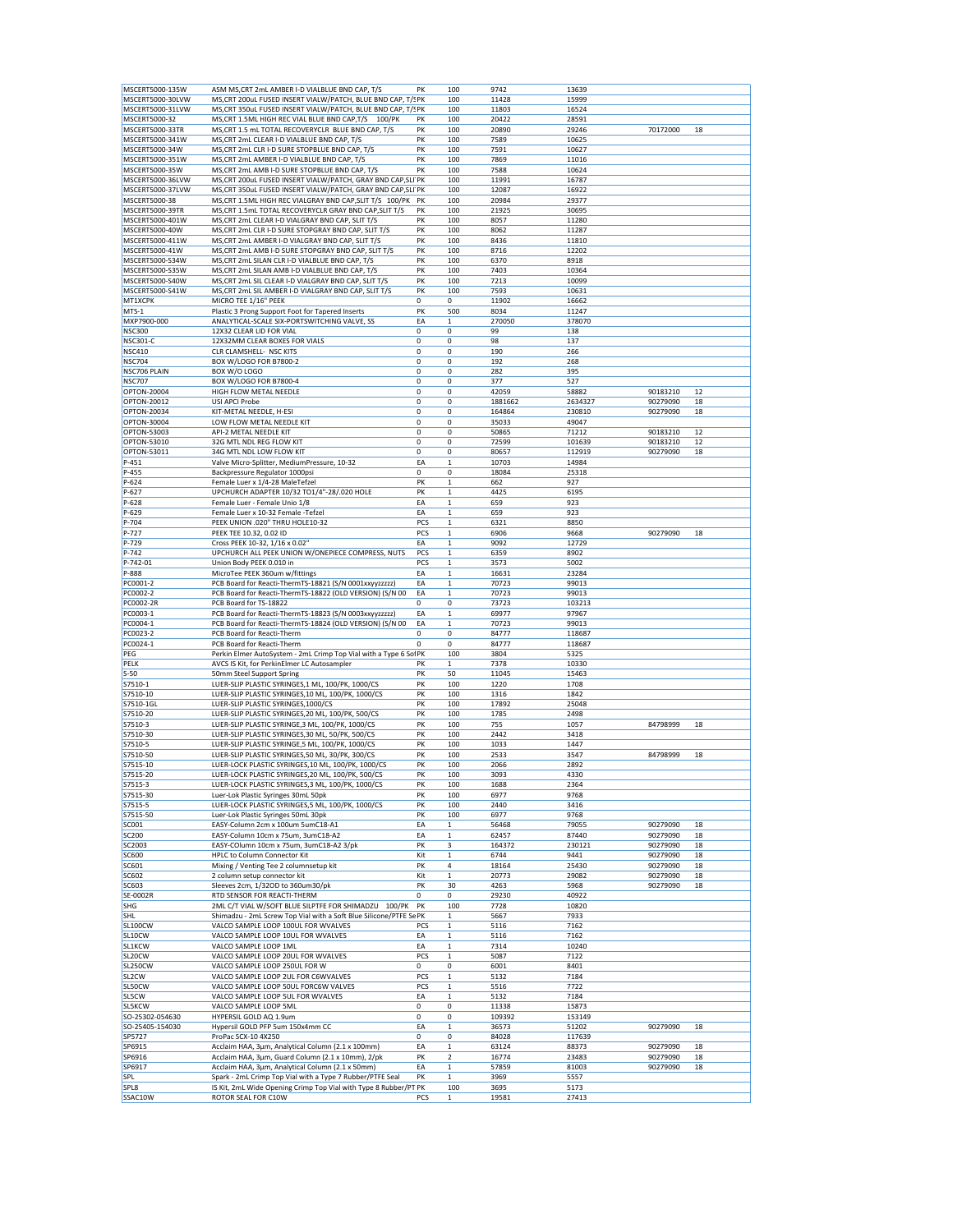|                                   | ASM MS, CRT 2mL AMBER I-D VIALBLUE BND CAP, T/S                    | PK  | 100                     | 9742         | 13639   |          |    |
|-----------------------------------|--------------------------------------------------------------------|-----|-------------------------|--------------|---------|----------|----|
| MSCERT5000-30LVW                  | MS, CRT 200uL FUSED INSERT VIALW/PATCH, BLUE BND CAP, T/SPK        |     | 100                     | 11428        | 15999   |          |    |
| MSCERT5000-31LVW                  | MS, CRT 350uL FUSED INSERT VIALW/PATCH, BLUE BND CAP, T/SPK        |     | 100                     | 11803        | 16524   |          |    |
| MSCERT5000-32                     | MS, CRT 1.5ML HIGH REC VIAL BLUE BND CAP, T/S<br>100/PK            | PK  | 100                     | 20422        | 28591   |          |    |
| MSCERT5000-33TR                   | MS, CRT 1.5 mL TOTAL RECOVERYCLR BLUE BND CAP, T/S                 | PK  | 100                     | 20890        | 29246   | 70172000 | 18 |
|                                   |                                                                    | PK  |                         |              |         |          |    |
| MSCERT5000-341W<br>MSCERT5000-34W | MS, CRT 2mL CLEAR I-D VIALBLUE BND CAP, T/S                        | PK  | 100<br>100              | 7589<br>7591 | 10625   |          |    |
|                                   | MS, CRT 2mL CLR I-D SURE STOPBLUE BND CAP, T/S                     |     |                         |              | 10627   |          |    |
| MSCERT5000-351W                   | MS, CRT 2mL AMBER I-D VIALBLUE BND CAP, T/S                        | PK  | 100                     | 7869         | 11016   |          |    |
| MSCERT5000-35W                    | MS, CRT 2mL AMB I-D SURE STOPBLUE BND CAP, T/S                     | PK  | 100                     | 7588         | 10624   |          |    |
| MSCERT5000-36LVW                  | MS, CRT 200uL FUSED INSERT VIALW/PATCH, GRAY BND CAP, SLI PK       |     | 100                     | 11991        | 16787   |          |    |
| MSCERT5000-37LVW                  | MS, CRT 350uL FUSED INSERT VIALW/PATCH, GRAY BND CAP, SLI' PK      |     | 100                     | 12087        | 16922   |          |    |
| MSCERT5000-38                     | MS, CRT 1.5ML HIGH REC VIALGRAY BND CAP, SLIT T/S 100/PK           | PK  | 100                     | 20984        | 29377   |          |    |
| MSCERT5000-39TR                   | MS, CRT 1.5mL TOTAL RECOVERYCLR GRAY BND CAP, SLIT T/S             | PK  | 100                     | 21925        | 30695   |          |    |
| MSCERT5000-401W                   | MS, CRT 2mL CLEAR I-D VIALGRAY BND CAP, SLIT T/S                   | PK  | 100                     | 8057         | 11280   |          |    |
| MSCERT5000-40W                    | MS, CRT 2mL CLR I-D SURE STOPGRAY BND CAP, SLIT T/S                | PK  | 100                     | 8062         | 11287   |          |    |
| MSCERT5000-411W                   | MS, CRT 2mL AMBER I-D VIALGRAY BND CAP, SLIT T/S                   | PK  | 100                     | 8436         | 11810   |          |    |
| MSCERT5000-41W                    | MS, CRT 2mL AMB I-D SURE STOPGRAY BND CAP, SLIT T/S                | PK  | 100                     | 8716         | 12202   |          |    |
| MSCERT5000-S34W                   | MS, CRT 2mL SILAN CLR I-D VIALBLUE BND CAP, T/S                    | PK  |                         |              |         |          |    |
|                                   |                                                                    |     | 100                     | 6370         | 8918    |          |    |
| MSCERT5000-S35W                   | MS, CRT 2mL SILAN AMB I-D VIALBLUE BND CAP, T/S                    | PK  | 100                     | 7403         | 10364   |          |    |
| MSCERT5000-S40W                   | MS, CRT 2mL SIL CLEAR I-D VIALGRAY BND CAP, SLIT T/S               | PK  | 100                     | 7213         | 10099   |          |    |
| MSCERT5000-S41W                   | MS, CRT 2mL SIL AMBER I-D VIALGRAY BND CAP, SLIT T/S               | PK  | 100                     | 7593         | 10631   |          |    |
| MT1XCPK                           | MICRO TEE 1/16" PEEK                                               | 0   | 0                       | 11902        | 16662   |          |    |
| $MTS-1$                           | Plastic 3 Prong Support Foot for Tapered Inserts                   | PK  | 500                     | 8034         | 11247   |          |    |
| MXP7900-000                       | ANALYTICAL-SCALE SIX-PORTSWITCHING VALVE, SS                       | EA  | 1                       | 270050       | 378070  |          |    |
| <b>NSC300</b>                     | 12X32 CLEAR LID FOR VIAL                                           | 0   | 0                       | 99           | 138     |          |    |
| <b>NSC301-C</b>                   | 12X32MM CLEAR BOXES FOR VIALS                                      | 0   | 0                       | 98           | 137     |          |    |
| <b>NSC410</b>                     | CLR CLAMSHELL- NSC KITS                                            | 0   | 0                       | 190          | 266     |          |    |
| <b>NSC704</b>                     | BOX W/LOGO FOR B7800-2                                             | 0   | 0                       | 192          | 268     |          |    |
| NSC706 PLAIN                      | BOX W/O LOGO                                                       | 0   | 0                       | 282          | 395     |          |    |
| <b>NSC707</b>                     | BOX W/LOGO FOR B7800-4                                             | 0   | 0                       | 377          | 527     |          |    |
| OPTON-20004                       | HIGH FLOW METAL NEEDLE                                             | 0   | 0                       | 42059        | 58882   | 90183210 | 12 |
| OPTON-20012                       | USI APCI Probe                                                     | 0   | 0                       | 1881662      | 2634327 | 90279090 | 18 |
|                                   |                                                                    |     |                         |              |         |          |    |
| OPTON-20034                       | KIT-METAL NEEDLE, H-ESI                                            | 0   | 0                       | 164864       | 230810  | 90279090 | 18 |
| OPTON-30004                       | LOW FLOW METAL NEEDLE KIT                                          | 0   | 0                       | 35033        | 49047   |          |    |
| OPTON-53003                       | API-2 METAL NEEDLE KIT                                             | 0   | 0                       | 50865        | 71212   | 90183210 | 12 |
| OPTON-53010                       | 32G MTL NDL REG FLOW KIT                                           | 0   | 0                       | 72599        | 101639  | 90183210 | 12 |
| OPTON-53011                       | 34G MTL NDL LOW FLOW KIT                                           | 0   | 0                       | 80657        | 112919  | 90279090 | 18 |
| P-451                             | Valve Micro-Splitter, MediumPressure, 10-32                        | EA  | 1                       | 10703        | 14984   |          |    |
| P-455                             | Backpressure Regulator 1000psi                                     | 0   | 0                       | 18084        | 25318   |          |    |
| P-624                             | Female Luer x 1/4-28 MaleTefzel                                    | PK  | 1                       | 662          | 927     |          |    |
| P-627                             | UPCHURCH ADAPTER 10/32 TO1/4"-28/.020 HOLE                         | PK  | 1                       | 4425         | 6195    |          |    |
| P-628                             | Female Luer - Female Unio 1/8                                      | EA  | $\mathbf 1$             | 659          | 923     |          |    |
|                                   |                                                                    |     |                         |              |         |          |    |
| P-629                             | Female Luer x 10-32 Female -Tefzel                                 | EA  | 1                       | 659          | 923     |          |    |
| P-704                             | PEEK UNION .020" THRU HOLE10-32                                    | PCS | $\mathbf{1}$            | 6321         | 8850    |          |    |
| P-727                             | PEEK TEE 10.32, 0.02 ID                                            | PCS | $\mathbf 1$             | 6906         | 9668    | 90279090 | 18 |
| P-729                             | Cross PEEK 10-32, 1/16 x 0.02"                                     | EA  | 1                       | 9092         | 12729   |          |    |
| P-742                             | UPCHURCH ALL PEEK UNION W/ONEPIECE COMPRESS, NUTS                  | PCS | $\mathbf 1$             | 6359         | 8902    |          |    |
| P-742-01                          | Union Body PEEK 0.010 in                                           | PCS | $\mathbf 1$             | 3573         | 5002    |          |    |
| P-888                             | MicroTee PEEK 360um w/fittings                                     | EA  | 1                       | 16631        | 23284   |          |    |
| PC0001-2                          | PCB Board for Reacti-ThermTS-18821 (S/N 0001xxyyzzzzz)             | EA  | $\mathbf 1$             | 70723        | 99013   |          |    |
| PC0002-2                          | PCB Board for Reacti-ThermTS-18822 (OLD VERSION) (S/N 00           | EA  | $\mathbf 1$             | 70723        | 99013   |          |    |
|                                   |                                                                    |     |                         |              |         |          |    |
| PC0002-2R                         | PCB Board for TS-18822                                             | 0   | 0                       | 73723        | 103213  |          |    |
| PC0003-1                          | PCB Board for Reacti-ThermTS-18823 (S/N 0003xxyyzzzzz)             | EA  | 1                       | 69977        | 97967   |          |    |
| PC0004-1                          | PCB Board for Reacti-ThermTS-18824 (OLD VERSION) (S/N 00           |     |                         |              |         |          |    |
|                                   |                                                                    | EA  | $\mathbf 1$             | 70723        | 99013   |          |    |
| PC0023-2                          | PCB Board for Reacti-Therm                                         | 0   | 0                       | 84777        | 118687  |          |    |
| PC0024-1                          | PCB Board for Reacti-Therm                                         | 0   | 0                       | 84777        | 118687  |          |    |
|                                   |                                                                    |     | 100                     | 3804         |         |          |    |
| PEG                               | Perkin Elmer AutoSystem - 2mL Crimp Top Vial with a Type 6 SolPK   |     |                         |              | 5325    |          |    |
| PELK                              | AVCS IS Kit, for PerkinElmer LC Autosampler                        | PK  | $\mathbf 1$             | 7378         | 10330   |          |    |
| $S-50$                            | 50mm Steel Support Spring                                          | PK  | 50                      | 11045        | 15463   |          |    |
| S7510-1                           | LUER-SLIP PLASTIC SYRINGES, 1 ML, 100/PK, 1000/CS                  | PK  | 100                     | 1220         | 1708    |          |    |
| S7510-10                          | LUER-SLIP PLASTIC SYRINGES, 10 ML, 100/PK, 1000/CS                 | PK  | 100                     | 1316         | 1842    |          |    |
| S7510-1GL                         | LUER-SLIP PLASTIC SYRINGES, 1000/CS                                | PK  | 100                     | 17892        | 25048   |          |    |
| S7510-20                          | LUER-SLIP PLASTIC SYRINGES, 20 ML, 100/PK, 500/CS                  | PK  | 100                     | 1785         | 2498    |          |    |
| S7510-3                           | LUER-SLIP PLASTIC SYRINGE, 3 ML, 100/PK, 1000/CS                   | PK  | 100                     | 755          | 1057    | 84798999 | 18 |
| S7510-30                          | LUER-SLIP PLASTIC SYRINGES, 30 ML, 50/PK, 500/CS                   | PK  | 100                     | 2442         | 3418    |          |    |
| S7510-5                           | LUER-SLIP PLASTIC SYRINGE,5 ML, 100/PK, 1000/CS                    | PK  | 100                     | 1033         | 1447    |          |    |
| S7510-50                          | LUER-SLIP PLASTIC SYRINGES,50 ML, 30/PK, 300/CS                    | PK  | 100                     | 2533         | 3547    | 84798999 | 18 |
|                                   |                                                                    | PK  | 100                     |              | 2892    |          |    |
| S7515-10                          | LUER-LOCK PLASTIC SYRINGES, 10 ML, 100/PK, 1000/CS                 | PK  | 100                     | 2066         | 4330    |          |    |
| S7515-20                          | LUER-LOCK PLASTIC SYRINGES, 20 ML, 100/PK, 500/CS                  |     |                         | 3093         |         |          |    |
| S7515-3                           | LUER-LOCK PLASTIC SYRINGES, 3 ML, 100/PK, 1000/CS                  | PK  | 100                     | 1688         | 2364    |          |    |
| S7515-30                          | Luer-Lok Plastic Syringes 30mL 50pk                                | PK  | 100                     | 6977         | 9768    |          |    |
| S7515-5                           | LUER-LOCK PLASTIC SYRINGES,5 ML, 100/PK, 1000/CS                   | PK  | 100                     | 2440         | 3416    |          |    |
| S7515-50                          | Luer-Lok Plastic Syringes 50mL 30pk                                | PK  | 100                     | 6977         | 9768    |          |    |
| SC001                             | EASY-Column 2cm x 100um 5umC18-A1                                  | EA  | 1                       | 56468        | 79055   | 90279090 | 18 |
| SC200                             | EASY-Column 10cm x 75um, 3umC18-A2                                 | EA  | $\mathbf{1}$            | 62457        | 87440   | 90279090 | 18 |
| SC2003                            | EASY-COlumn 10cm x 75um, 3umC18-A2 3/pk                            | PK  | 3                       | 164372       | 230121  | 90279090 | 18 |
| SC600                             | HPLC to Column Connector Kit                                       | Kit | $\mathbf 1$             | 6744         | 9441    | 90279090 | 18 |
| SC601                             | Mixing / Venting Tee 2 columnsetup kit                             | PK  | 4                       | 18164        | 25430   | 90279090 | 18 |
| SC602                             | 2 column setup connector kit                                       | Kit | $\mathbf 1$             | 20773        | 29082   | 90279090 | 18 |
| SC603                             | Sleeves 2cm, 1/32OD to 360um30/pk                                  | PK  | 30                      | 4263         | 5968    | 90279090 | 18 |
| SE-0002R                          | RTD SENSOR FOR REACTI-THERM                                        | 0   | 0                       | 29230        | 40922   |          |    |
|                                   |                                                                    | PK  |                         |              |         |          |    |
| SHG                               | 2ML C/T VIAL W/SOFT BLUE SILPTFE FOR SHIMADZU 100/PK               |     | 100                     | 7728         | 10820   |          |    |
| <b>SHL</b>                        | Shimadzu - 2mL Screw Top Vial with a Soft Blue Silicone/PTFE Se PK |     | $\mathbf 1$             | 5667         | 7933    |          |    |
| <b>SL100CW</b>                    | VALCO SAMPLE LOOP 100UL FOR WVALVES                                | PCS | $\mathbf 1$             | 5116         | 7162    |          |    |
| SL10CW                            | VALCO SAMPLE LOOP 10UL FOR WVALVES                                 | EA  | $\mathbf{1}$            | 5116         | 7162    |          |    |
| SL1KCW                            | VALCO SAMPLE LOOP 1ML                                              | EA  | 1                       | 7314         | 10240   |          |    |
| SL20CW                            | VALCO SAMPLE LOOP 20UL FOR WVALVES                                 | PCS | $\mathbf 1$             | 5087         | 7122    |          |    |
| <b>SL250CW</b>                    | VALCO SAMPLE LOOP 250UL FOR W                                      | 0   | 0                       | 6001         | 8401    |          |    |
| SL <sub>2</sub> CW                | VALCO SAMPLE LOOP 2UL FOR C6WVALVES                                | PCS | $\mathbf 1$             | 5132         | 7184    |          |    |
| SL50CW                            | VALCO SAMPLE LOOP 50UL FORC6W VALVES                               | PCS | $\mathbf 1$             | 5516         | 7722    |          |    |
| SL5CW                             | VALCO SAMPLE LOOP 5UL FOR WVALVES                                  | EA  | $\mathbf 1$             | 5132         | 7184    |          |    |
| <b>SL5KCW</b>                     | VALCO SAMPLE LOOP 5ML                                              | 0   |                         | 11338        | 15873   |          |    |
|                                   |                                                                    |     | 0                       |              |         |          |    |
| SO-25302-054630                   | HYPERSIL GOLD AQ 1.9um                                             | 0   | 0                       | 109392       | 153149  |          |    |
| SO-25405-154030                   | Hypersil GOLD PFP 5um 150x4mm CC                                   | EA  | 1                       | 36573        | 51202   | 90279090 | 18 |
| SP5727                            | ProPac SCX-10 4X250                                                | 0   | 0                       | 84028        | 117639  |          |    |
| SP6915                            | Acclaim HAA, 3µm, Analytical Column (2.1 x 100mm)                  | EA  | 1                       | 63124        | 88373   | 90279090 | 18 |
| SP6916                            | Acclaim HAA, 3µm, Guard Column (2.1 x 10mm), 2/pk                  | PK  | $\overline{\mathbf{2}}$ | 16774        | 23483   | 90279090 | 18 |
| SP6917                            | Acclaim HAA, 3µm, Analytical Column (2.1 x 50mm)                   | EA  | $\,1$                   | 57859        | 81003   | 90279090 | 18 |
| <b>SPL</b>                        | Spark - 2mL Crimp Top Vial with a Type 7 Rubber/PTFE Seal          | PK  | 1                       | 3969         | 5557    |          |    |
| SPL8                              | IS Kit, 2mL Wide Opening Crimp Top Vial with Type 8 Rubber/PT PK   |     | 100                     | 3695         | 5173    |          |    |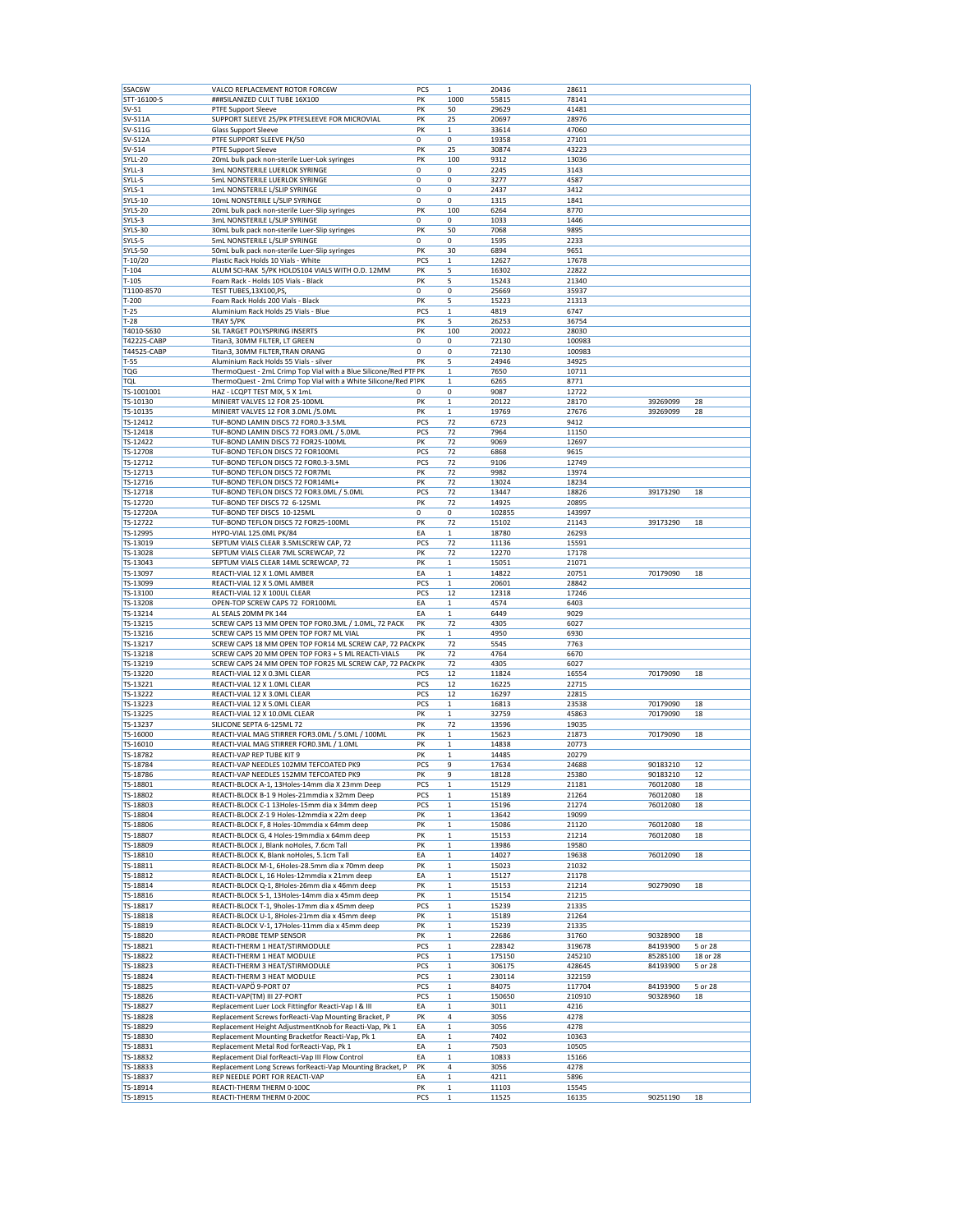| SSAC6W         | VALCO REPLACEMENT ROTOR FORC6W                                   | PCS | $\mathbf 1$  | 20436  | 28611  |          |          |
|----------------|------------------------------------------------------------------|-----|--------------|--------|--------|----------|----------|
| STT-16100-S    | ###SILANIZED CULT TUBE 16X100                                    | PK  | 1000         | 55815  | 78141  |          |          |
|                |                                                                  |     |              |        |        |          |          |
| $SV-S1$        | <b>PTFE Support Sleeve</b>                                       | PK  | 50           | 29629  | 41481  |          |          |
| <b>SV-S11A</b> | SUPPORT SLEEVE 25/PK PTFESLEEVE FOR MICROVIAL                    | PK  | 25           | 20697  | 28976  |          |          |
| <b>SV-S11G</b> | Glass Support Sleeve                                             | PK  | 1            | 33614  | 47060  |          |          |
| <b>SV-S12A</b> | PTFE SUPPORT SLEEVE PK/50                                        | 0   | 0            | 19358  | 27101  |          |          |
| <b>SV-S14</b>  | <b>PTFE Support Sleeve</b>                                       | PK  | 25           | 30874  | 43223  |          |          |
|                |                                                                  | PK  |              |        |        |          |          |
| SYLL-20        | 20mL bulk pack non-sterile Luer-Lok syringes                     |     | 100          | 9312   | 13036  |          |          |
| SYLL-3         | 3mL NONSTERILE LUERLOK SYRINGE                                   | 0   | 0            | 2245   | 3143   |          |          |
| SYLL-5         | 5mL NONSTERILE LUERLOK SYRINGE                                   | 0   | 0            | 3277   | 4587   |          |          |
| SYLS-1         | 1mL NONSTERILE L/SLIP SYRINGE                                    | 0   | 0            | 2437   | 3412   |          |          |
| SYLS-10        | 10mL NONSTERILE L/SLIP SYRINGE                                   | 0   | 0            | 1315   | 1841   |          |          |
| SYLS-20        | 20mL bulk pack non-sterile Luer-Slip syringes                    | PK  | 100          | 6264   | 8770   |          |          |
| SYLS-3         | 3mL NONSTERILE L/SLIP SYRINGE                                    | 0   | 0            | 1033   | 1446   |          |          |
|                |                                                                  |     |              |        |        |          |          |
| SYLS-30        | 30mL bulk pack non-sterile Luer-Slip syringes                    | PK  | 50           | 7068   | 9895   |          |          |
| SYLS-5         | 5mL NONSTERILE L/SLIP SYRINGE                                    | 0   | 0            | 1595   | 2233   |          |          |
| <b>SYLS-50</b> | 50mL bulk pack non-sterile Luer-Slip syringes                    | PK  | 30           | 6894   | 9651   |          |          |
| T-10/20        | Plastic Rack Holds 10 Vials - White                              | PCS | $\mathbf 1$  | 12627  | 17678  |          |          |
| $T - 104$      | ALUM SCI-RAK 5/PK HOLDS104 VIALS WITH O.D. 12MM                  | PK  | 5            | 16302  | 22822  |          |          |
| $T-105$        | Foam Rack - Holds 105 Vials - Black                              | PK  | 5            | 15243  | 21340  |          |          |
| T1100-8570     | TEST TUBES, 13X100, PS                                           | 0   | 0            | 25669  | 35937  |          |          |
|                | Foam Rack Holds 200 Vials - Black                                |     |              |        |        |          |          |
| $T-200$        |                                                                  | PK  | 5            | 15223  | 21313  |          |          |
| $T-25$         | Aluminium Rack Holds 25 Vials - Blue                             | PCS | $\mathbf 1$  | 4819   | 6747   |          |          |
| $T-28$         | TRAY 5/PK                                                        | PK  | 5            | 26253  | 36754  |          |          |
| T4010-S630     | SIL TARGET POLYSPRING INSERTS                                    | PK  | 100          | 20022  | 28030  |          |          |
| T42225-CABP    | Titan3, 30MM FILTER, LT GREEN                                    | 0   | 0            | 72130  | 100983 |          |          |
| T44525-CABP    | Titan3, 30MM FILTER, TRAN ORANG                                  | 0   | 0            | 72130  | 100983 |          |          |
| $T-55$         | Aluminium Rack Holds 55 Vials - silver                           | PK  | 5            | 24946  | 34925  |          |          |
|                |                                                                  |     |              |        |        |          |          |
| TQG            | ThermoQuest - 2mL Crimp Top Vial with a Blue Silicone/Red PTF PK |     | $\mathbf 1$  | 7650   | 10711  |          |          |
| TOL            | ThermoQuest - 2mL Crimp Top Vial with a White Silicone/Red P1PK  |     | 1            | 6265   | 8771   |          |          |
| TS-1001001     | HAZ - LCQPT TEST MIX, 5 X 1mL                                    | 0   | 0            | 9087   | 12722  |          |          |
| TS-10130       | MINIERT VALVES 12 FOR 25-100ML                                   | PK  | $\mathbf 1$  | 20122  | 28170  | 39269099 | 28       |
| TS-10135       | MINIERT VALVES 12 FOR 3.0ML /5.0ML                               | PK  | $\mathbf 1$  | 19769  | 27676  | 39269099 | 28       |
| TS-12412       | TUF-BOND LAMIN DISCS 72 FOR0.3-3.5ML                             | PCS | 72           | 6723   | 9412   |          |          |
|                |                                                                  |     |              |        |        |          |          |
| TS-12418       | TUF-BOND LAMIN DISCS 72 FOR3.0ML / 5.0ML                         | PCS | 72           | 7964   | 11150  |          |          |
| TS-12422       | TUF-BOND LAMIN DISCS 72 FOR25-100ML                              | PK  | 72           | 9069   | 12697  |          |          |
| TS-12708       | TUF-BOND TEFLON DISCS 72 FOR100ML                                | PCS | 72           | 6868   | 9615   |          |          |
| TS-12712       | TUF-BOND TEFLON DISCS 72 FOR0.3-3.5ML                            | PCS | 72           | 9106   | 12749  |          |          |
| TS-12713       | TUF-BOND TEFLON DISCS 72 FOR7ML                                  | PK  | 72           | 9982   | 13974  |          |          |
| TS-12716       | TUF-BOND TEFLON DISCS 72 FOR14ML+                                | PK  | 72           | 13024  | 18234  |          |          |
| TS-12718       | TUF-BOND TEFLON DISCS 72 FOR3.0ML / 5.0ML                        | PCS |              |        |        |          |          |
|                |                                                                  |     | 72           | 13447  | 18826  | 39173290 | 18       |
| TS-12720       | TUF-BOND TEF DISCS 72 6-125ML                                    | PK  | 72           | 14925  | 20895  |          |          |
| TS-12720A      | TUF-BOND TEF DISCS 10-125ML                                      | 0   | 0            | 102855 | 143997 |          |          |
| TS-12722       | TUF-BOND TEFLON DISCS 72 FOR25-100ML                             | PK  | 72           | 15102  | 21143  | 39173290 | 18       |
| TS-12995       | HYPO-VIAL 125.0ML PK/84                                          | EA  | $\mathbf 1$  | 18780  | 26293  |          |          |
| TS-13019       | SEPTUM VIALS CLEAR 3.5MLSCREW CAP, 72                            | PCS | 72           | 11136  | 15591  |          |          |
| TS-13028       | SEPTUM VIALS CLEAR 7ML SCREWCAP, 72                              | PK  | 72           | 12270  | 17178  |          |          |
| TS-13043       | SEPTUM VIALS CLEAR 14ML SCREWCAP, 72                             | PK  | $\mathbf{1}$ | 15051  | 21071  |          |          |
|                |                                                                  |     |              |        |        |          |          |
| TS-13097       | REACTI-VIAL 12 X 1.0ML AMBER                                     | EA  | 1            | 14822  | 20751  | 70179090 | 18       |
| TS-13099       | REACTI-VIAL 12 X 5.0ML AMBER                                     | PCS | $\mathbf 1$  | 20601  | 28842  |          |          |
| TS-13100       | REACTI-VIAL 12 X 100UL CLEAR                                     | PCS | 12           | 12318  | 17246  |          |          |
| TS-13208       | OPEN-TOP SCREW CAPS 72 FOR100ML                                  | EA  | $\mathbf 1$  | 4574   | 6403   |          |          |
| TS-13214       | AL SEALS 20MM PK 144                                             | EA  | 1            | 6449   | 9029   |          |          |
| TS-13215       | SCREW CAPS 13 MM OPEN TOP FOR0.3ML / 1.0ML, 72 PACK              | PK  | 72           | 4305   | 6027   |          |          |
| TS-13216       | SCREW CAPS 15 MM OPEN TOP FOR7 ML VIAL                           | PK  | 1            | 4950   | 6930   |          |          |
|                |                                                                  |     |              |        |        |          |          |
| TS-13217       | SCREW CAPS 18 MM OPEN TOP FOR14 ML SCREW CAP, 72 PACKPK          |     | 72           | 5545   | 7763   |          |          |
| TS-13218       | SCREW CAPS 20 MM OPEN TOP FOR3 + 5 ML REACTI-VIALS               | PK  | 72           | 4764   | 6670   |          |          |
| TS-13219       | SCREW CAPS 24 MM OPEN TOP FOR25 ML SCREW CAP, 72 PACKPK          |     | 72           | 4305   | 6027   |          |          |
| TS-13220       | REACTI-VIAL 12 X 0.3ML CLEAR                                     | PCS | 12           | 11824  | 16554  | 70179090 | 18       |
| TS-13221       | REACTI-VIAL 12 X 1.0ML CLEAR                                     | PCS | 12           | 16225  | 22715  |          |          |
| TS-13222       | REACTI-VIAL 12 X 3.0ML CLEAR                                     | PCS | 12           | 16297  | 22815  |          |          |
| TS-13223       | REACTI-VIAL 12 X 5.0ML CLEAR                                     | PCS | $\mathbf 1$  | 16813  | 23538  | 70179090 | 18       |
|                |                                                                  |     |              |        |        |          |          |
| TS-13225       | REACTI-VIAL 12 X 10.0ML CLEAR                                    | PK  | $\mathbf{1}$ | 32759  | 45863  | 70179090 | 18       |
| TS-13237       | SILICONE SEPTA 6-125ML 72                                        | PK  | 72           | 13596  | 19035  |          |          |
| TS-16000       | REACTI-VIAL MAG STIRRER FOR3.0ML / 5.0ML / 100ML                 | PK  | $\mathbf 1$  | 15623  | 21873  | 70179090 | 18       |
| TS-16010       | REACTI-VIAL MAG STIRRER FOR0.3ML / 1.0ML                         | PK  | $\mathbf 1$  | 14838  | 20773  |          |          |
| TS-18782       | REACTI-VAP REP TUBE KIT 9                                        | PK  | $\mathbf 1$  | 14485  | 20279  |          |          |
| TS-18784       | REACTI-VAP NEEDLES 102MM TEFCOATED PK9                           | PCS | 9            | 17634  | 24688  | 90183210 | 12       |
| TS-18786       | REACTI-VAP NEEDLES 152MM TEFCOATED PK9                           | PK  | 9            | 18128  | 25380  | 90183210 | 12       |
| TS-18801       | REACTI-BLOCK A-1, 13Holes-14mm dia X 23mm Deep                   | PCS | $\mathbf 1$  | 15129  | 21181  | 76012080 | 18       |
|                |                                                                  |     |              |        |        |          |          |
| TS-18802       | REACTI-BLOCK B-1 9 Holes-21mmdia x 32mm Deep                     | PCS | 1            | 15189  | 21264  | 76012080 | 18       |
| TS-18803       | REACTI-BLOCK C-1 13Holes-15mm dia x 34mm deep                    | PCS | $\mathbf 1$  | 15196  | 21274  | 76012080 | 18       |
| TS-18804       | REACTI-BLOCK Z-1 9 Holes-12mmdia x 22m deep                      | PK  | $\mathbf{1}$ | 13642  | 19099  |          |          |
| TS-18806       | REACTI-BLOCK F, 8 Holes-10mmdia x 64mm deep                      | PK  |              |        |        | 76012080 | 18       |
| TS-18807       |                                                                  |     | 1            | 15086  | 21120  |          | 18       |
|                | REACTI-BLOCK G, 4 Holes-19mmdia x 64mm deep                      | PK  | $\mathbf 1$  | 15153  | 21214  | 76012080 |          |
|                |                                                                  |     |              |        |        |          |          |
| TS-18809       | REACTI-BLOCK J, Blank noHoles, 7.6cm Tall                        | PK  | $\mathbf 1$  | 13986  | 19580  |          |          |
| TS-18810       | REACTI-BLOCK K, Blank noHoles, 5.1cm Tall                        | EA  | 1            | 14027  | 19638  | 76012090 | 18       |
| TS-18811       | REACTI-BLOCK M-1, 6Holes-28.5mm dia x 70mm deep                  | PK  | $\mathbf 1$  | 15023  | 21032  |          |          |
| TS-18812       | REACTI-BLOCK L, 16 Holes-12mmdia x 21mm deep                     | EA  | $\mathbf 1$  | 15127  | 21178  |          |          |
| TS-18814       | REACTI-BLOCK Q-1, 8Holes-26mm dia x 46mm deep                    | PK  | 1            | 15153  | 21214  | 90279090 | 18       |
| TS-18816       | REACTI-BLOCK S-1, 13Holes-14mm dia x 45mm deep                   | PK  | $\mathbf 1$  | 15154  | 21215  |          |          |
| TS-18817       | REACTI-BLOCK T-1, 9holes-17mm dia x 45mm deep                    | PCS | $\mathbf 1$  | 15239  | 21335  |          |          |
|                | REACTI-BLOCK U-1, 8Holes-21mm dia x 45mm deep                    | PK  | $\mathbf 1$  |        |        |          |          |
| TS-18818       |                                                                  |     |              | 15189  | 21264  |          |          |
| TS-18819       | REACTI-BLOCK V-1, 17Holes-11mm dia x 45mm deep                   | PΚ  | $\mathbf 1$  | 15239  | 21335  |          |          |
| TS-18820       | REACTI-PROBE TEMP SENSOR                                         | PK  | $\mathbf 1$  | 22686  | 31760  | 90328900 | 18       |
| TS-18821       | REACTI-THERM 1 HEAT/STIRMODULE                                   | PCS | 1            | 228342 | 319678 | 84193900 | 5 or 28  |
| TS-18822       | REACTI-THERM 1 HEAT MODULE                                       | PCS | $\mathbf 1$  | 175150 | 245210 | 85285100 | 18 or 28 |
| TS-18823       | REACTI-THERM 3 HEAT/STIRMODULE                                   | PCS | $\mathbf 1$  | 306175 | 428645 | 84193900 | 5 or 28  |
| TS-18824       | REACTI-THERM 3 HEAT MODULE                                       | PCS | $\mathbf 1$  | 230114 | 322159 |          |          |
| TS-18825       | REACTI-VAPÖ 9-PORT 07                                            | PCS | $\mathbf 1$  | 84075  | 117704 | 84193900 | 5 or 28  |
| TS-18826       | REACTI-VAP(TM) III 27-PORT                                       | PCS | $\mathbf 1$  | 150650 | 210910 | 90328960 | 18       |
| TS-18827       |                                                                  | EA  | $\mathbf 1$  | 3011   | 4216   |          |          |
|                | Replacement Luer Lock Fittingfor Reacti-Vap I & III              |     |              |        |        |          |          |
| TS-18828       | Replacement Screws forReacti-Vap Mounting Bracket, P             | PK  | 4            | 3056   | 4278   |          |          |
| TS-18829       | Replacement Height AdjustmentKnob for Reacti-Vap, Pk 1           | EA  | $\mathbf 1$  | 3056   | 4278   |          |          |
| TS-18830       | Replacement Mounting Bracketfor Reacti-Vap, Pk 1                 | EA  | $\mathbf 1$  | 7402   | 10363  |          |          |
| TS-18831       | Replacement Metal Rod forReacti-Vap, Pk 1                        | EA  | 1            | 7503   | 10505  |          |          |
| TS-18832       | Replacement Dial forReacti-Vap III Flow Control                  | EA  | $\mathbf 1$  | 10833  | 15166  |          |          |
| TS-18833       | Replacement Long Screws forReacti-Vap Mounting Bracket, P        | PK  | 4            | 3056   | 4278   |          |          |
| TS-18837       | REP NEEDLE PORT FOR REACTI-VAP                                   | EA  | $\mathbf 1$  | 4211   | 5896   |          |          |
| TS-18914       | REACTI-THERM THERM 0-100C                                        | PK  | $\mathbf{1}$ | 11103  | 15545  |          |          |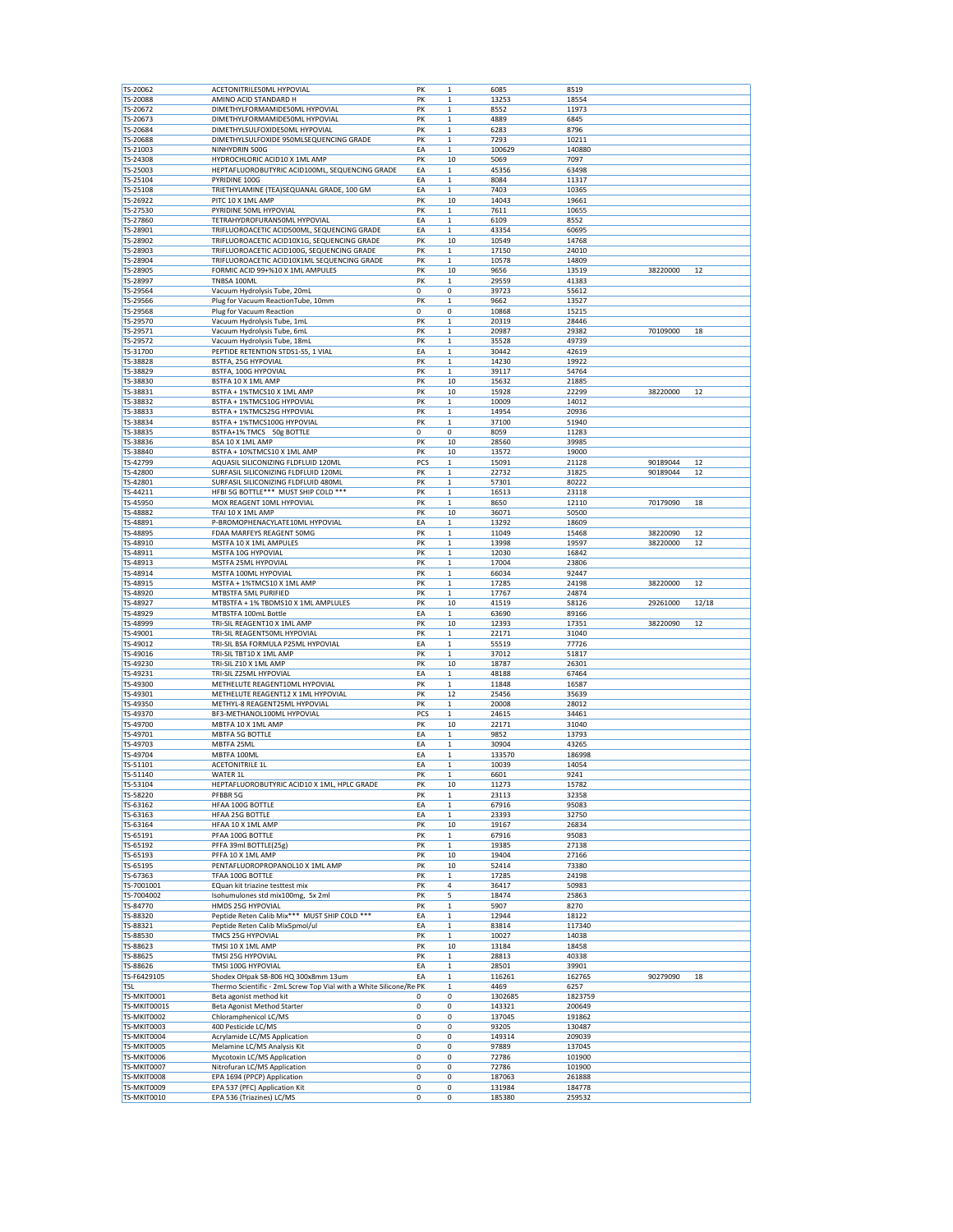| TS-20062<br>TS-20088<br>TS-20672<br>TS-20673<br>TS-20684                                                                                                                                                                                                                                                                                                                                                                                                                                                                                                                             | ACETONITRILE50ML HYPOVIAL<br>AMINO ACID STANDARD H                 | PK     | $\mathbf 1$  | 6085             | 8519             |          |       |
|--------------------------------------------------------------------------------------------------------------------------------------------------------------------------------------------------------------------------------------------------------------------------------------------------------------------------------------------------------------------------------------------------------------------------------------------------------------------------------------------------------------------------------------------------------------------------------------|--------------------------------------------------------------------|--------|--------------|------------------|------------------|----------|-------|
|                                                                                                                                                                                                                                                                                                                                                                                                                                                                                                                                                                                      |                                                                    |        |              |                  |                  |          |       |
|                                                                                                                                                                                                                                                                                                                                                                                                                                                                                                                                                                                      |                                                                    | PK     | $\mathbf 1$  | 13253            | 18554            |          |       |
|                                                                                                                                                                                                                                                                                                                                                                                                                                                                                                                                                                                      | DIMETHYLFORMAMIDE50ML HYPOVIAL                                     | PK     | $\mathbf 1$  | 8552             | 11973            |          |       |
|                                                                                                                                                                                                                                                                                                                                                                                                                                                                                                                                                                                      |                                                                    |        |              |                  |                  |          |       |
|                                                                                                                                                                                                                                                                                                                                                                                                                                                                                                                                                                                      | DIMETHYLFORMAMIDE50ML HYPOVIAL                                     | PK     | $\mathbf 1$  | 4889             | 6845             |          |       |
|                                                                                                                                                                                                                                                                                                                                                                                                                                                                                                                                                                                      | DIMETHYLSULFOXIDE50ML HYPOVIAL                                     | PK     | $\mathbf{1}$ | 6283             | 8796             |          |       |
| TS-20688                                                                                                                                                                                                                                                                                                                                                                                                                                                                                                                                                                             | DIMETHYLSULFOXIDE 950MLSEQUENCING GRADE                            | PK     | $\mathbf{1}$ | 7293             | 10211            |          |       |
| TS-21003                                                                                                                                                                                                                                                                                                                                                                                                                                                                                                                                                                             | NINHYDRIN 500G                                                     | EA     | $\mathbf{1}$ | 100629           | 140880           |          |       |
| TS-24308                                                                                                                                                                                                                                                                                                                                                                                                                                                                                                                                                                             | HYDROCHLORIC ACID10 X 1ML AMP                                      | PK     | 10           | 5069             | 7097             |          |       |
|                                                                                                                                                                                                                                                                                                                                                                                                                                                                                                                                                                                      |                                                                    |        |              |                  |                  |          |       |
| TS-25003                                                                                                                                                                                                                                                                                                                                                                                                                                                                                                                                                                             | HEPTAFLUOROBUTYRIC ACID100ML, SEQUENCING GRADE                     | EA     | $\mathbf 1$  | 45356            | 63498            |          |       |
| TS-25104                                                                                                                                                                                                                                                                                                                                                                                                                                                                                                                                                                             | PYRIDINE 100G                                                      | EA     | $\mathbf 1$  | 8084             | 11317            |          |       |
| TS-25108                                                                                                                                                                                                                                                                                                                                                                                                                                                                                                                                                                             | TRIETHYLAMINE (TEA)SEQUANAL GRADE, 100 GM                          | EA     | $\mathbf 1$  | 7403             | 10365            |          |       |
| TS-26922                                                                                                                                                                                                                                                                                                                                                                                                                                                                                                                                                                             | PITC 10 X 1ML AMP                                                  | PK     | 10           | 14043            | 19661            |          |       |
|                                                                                                                                                                                                                                                                                                                                                                                                                                                                                                                                                                                      |                                                                    |        |              |                  |                  |          |       |
| TS-27530                                                                                                                                                                                                                                                                                                                                                                                                                                                                                                                                                                             | PYRIDINE 50ML HYPOVIAL                                             | PK     | $\mathbf{1}$ | 7611             | 10655            |          |       |
| TS-27860                                                                                                                                                                                                                                                                                                                                                                                                                                                                                                                                                                             | TETRAHYDROFURAN50ML HYPOVIAL                                       | EA     | $\mathbf 1$  | 6109             | 8552             |          |       |
| TS-28901                                                                                                                                                                                                                                                                                                                                                                                                                                                                                                                                                                             | TRIFLUOROACETIC ACID500ML, SEQUENCING GRADE                        | EA     | $\,1$        | 43354            | 60695            |          |       |
| TS-28902                                                                                                                                                                                                                                                                                                                                                                                                                                                                                                                                                                             | TRIFLUOROACETIC ACID10X1G, SEQUENCING GRADE                        | PK     | 10           | 10549            | 14768            |          |       |
|                                                                                                                                                                                                                                                                                                                                                                                                                                                                                                                                                                                      |                                                                    |        |              |                  |                  |          |       |
| TS-28903                                                                                                                                                                                                                                                                                                                                                                                                                                                                                                                                                                             | TRIFLUOROACETIC ACID100G, SEQUENCING GRADE                         | PK     | $\mathbf 1$  | 17150            | 24010            |          |       |
| TS-28904                                                                                                                                                                                                                                                                                                                                                                                                                                                                                                                                                                             | TRIFLUOROACETIC ACID10X1ML SEQUENCING GRADE                        | PK     | $\mathbf 1$  | 10578            | 14809            |          |       |
| TS-28905                                                                                                                                                                                                                                                                                                                                                                                                                                                                                                                                                                             | FORMIC ACID 99+%10 X 1ML AMPULES                                   | PK     | 10           | 9656             | 13519            | 38220000 | 12    |
| TS-28997                                                                                                                                                                                                                                                                                                                                                                                                                                                                                                                                                                             | TNBSA 100ML                                                        | PK     | $\mathbf 1$  | 29559            | 41383            |          |       |
| TS-29564                                                                                                                                                                                                                                                                                                                                                                                                                                                                                                                                                                             | Vacuum Hydrolysis Tube, 20mL                                       | 0      | $\pmb{0}$    | 39723            | 55612            |          |       |
|                                                                                                                                                                                                                                                                                                                                                                                                                                                                                                                                                                                      |                                                                    |        |              |                  |                  |          |       |
| TS-29566                                                                                                                                                                                                                                                                                                                                                                                                                                                                                                                                                                             | Plug for Vacuum ReactionTube, 10mm                                 | PK     | $\,1$        | 9662             | 13527            |          |       |
| TS-29568                                                                                                                                                                                                                                                                                                                                                                                                                                                                                                                                                                             | Plug for Vacuum Reaction                                           | 0      | 0            | 10868            | 15215            |          |       |
| TS-29570                                                                                                                                                                                                                                                                                                                                                                                                                                                                                                                                                                             | Vacuum Hydrolysis Tube, 1mL                                        | PK     | $\mathbf{1}$ | 20319            | 28446            |          |       |
| TS-29571                                                                                                                                                                                                                                                                                                                                                                                                                                                                                                                                                                             | Vacuum Hydrolysis Tube, 6mL                                        | PK     | $\mathbf{1}$ | 20987            | 29382            | 70109000 | 18    |
| TS-29572                                                                                                                                                                                                                                                                                                                                                                                                                                                                                                                                                                             |                                                                    | PK     | $\mathbf 1$  |                  | 49739            |          |       |
|                                                                                                                                                                                                                                                                                                                                                                                                                                                                                                                                                                                      | Vacuum Hydrolysis Tube, 18mL                                       |        |              | 35528            |                  |          |       |
| TS-31700                                                                                                                                                                                                                                                                                                                                                                                                                                                                                                                                                                             | PEPTIDE RETENTION STDS1-S5, 1 VIAL                                 | EA     | $\mathbf 1$  | 30442            | 42619            |          |       |
| TS-38828                                                                                                                                                                                                                                                                                                                                                                                                                                                                                                                                                                             | BSTFA, 25G HYPOVIAL                                                | PK     | $\mathbf 1$  | 14230            | 19922            |          |       |
| TS-38829                                                                                                                                                                                                                                                                                                                                                                                                                                                                                                                                                                             | BSTFA, 100G HYPOVIAL                                               | PK     | $\mathbf 1$  | 39117            | 54764            |          |       |
|                                                                                                                                                                                                                                                                                                                                                                                                                                                                                                                                                                                      |                                                                    | PK     |              |                  |                  |          |       |
| TS-38830                                                                                                                                                                                                                                                                                                                                                                                                                                                                                                                                                                             | BSTFA 10 X 1ML AMP                                                 |        | 10           | 15632            | 21885            |          |       |
| TS-38831                                                                                                                                                                                                                                                                                                                                                                                                                                                                                                                                                                             | BSTFA + 1%TMCS10 X 1ML AMP                                         | PK     | 10           | 15928            | 22299            | 38220000 | 12    |
| TS-38832                                                                                                                                                                                                                                                                                                                                                                                                                                                                                                                                                                             | BSTFA + 1%TMCS10G HYPOVIAL                                         | PK     | $\mathbf{1}$ | 10009            | 14012            |          |       |
| TS-38833                                                                                                                                                                                                                                                                                                                                                                                                                                                                                                                                                                             | BSTFA + 1%TMCS25G HYPOVIAL                                         | PK     | $\mathbf 1$  | 14954            | 20936            |          |       |
| TS-38834                                                                                                                                                                                                                                                                                                                                                                                                                                                                                                                                                                             | BSTFA + 1%TMCS100G HYPOVIAL                                        | PK     | $\mathbf{1}$ | 37100            | 51940            |          |       |
|                                                                                                                                                                                                                                                                                                                                                                                                                                                                                                                                                                                      |                                                                    |        |              |                  |                  |          |       |
| TS-38835                                                                                                                                                                                                                                                                                                                                                                                                                                                                                                                                                                             | BSTFA+1% TMCS 50g BOTTLE                                           | 0      | 0            | 8059             | 11283            |          |       |
| TS-38836                                                                                                                                                                                                                                                                                                                                                                                                                                                                                                                                                                             | BSA 10 X 1ML AMP                                                   | PK     | 10           | 28560            | 39985            |          |       |
| TS-38840                                                                                                                                                                                                                                                                                                                                                                                                                                                                                                                                                                             | BSTFA + 10%TMCS10 X 1ML AMP                                        | PK     | 10           | 13572            | 19000            |          |       |
| TS-42799                                                                                                                                                                                                                                                                                                                                                                                                                                                                                                                                                                             | AQUASIL SILICONIZING FLDFLUID 120ML                                | PCS    | $\mathbf{1}$ | 15091            | 21128            | 90189044 | 12    |
|                                                                                                                                                                                                                                                                                                                                                                                                                                                                                                                                                                                      |                                                                    |        |              |                  |                  |          |       |
| TS-42800                                                                                                                                                                                                                                                                                                                                                                                                                                                                                                                                                                             | SURFASIL SILICONIZING FLDFLUID 120ML                               | PK     | $\mathbf{1}$ | 22732            | 31825            | 90189044 | 12    |
| TS-42801                                                                                                                                                                                                                                                                                                                                                                                                                                                                                                                                                                             | SURFASIL SILICONIZING FLDFLUID 480ML                               | PK     | $\mathbf 1$  | 57301            | 80222            |          |       |
| TS-44211                                                                                                                                                                                                                                                                                                                                                                                                                                                                                                                                                                             | HFBI 5G BOTTLE*** MUST SHIP COLD ***                               | PK     | $\mathbf 1$  | 16513            | 23118            |          |       |
| TS-45950                                                                                                                                                                                                                                                                                                                                                                                                                                                                                                                                                                             | MOX REAGENT 10ML HYPOVIAL                                          | PK     | $\mathbf 1$  | 8650             | 12110            | 70179090 | 18    |
|                                                                                                                                                                                                                                                                                                                                                                                                                                                                                                                                                                                      |                                                                    |        |              |                  |                  |          |       |
| TS-48882                                                                                                                                                                                                                                                                                                                                                                                                                                                                                                                                                                             | TFAI 10 X 1ML AMP                                                  | PK     | 10           | 36071            | 50500            |          |       |
| TS-48891                                                                                                                                                                                                                                                                                                                                                                                                                                                                                                                                                                             | P-BROMOPHENACYLATE10ML HYPOVIAL                                    | EA     | $\mathbf{1}$ | 13292            | 18609            |          |       |
| TS-48895                                                                                                                                                                                                                                                                                                                                                                                                                                                                                                                                                                             | FDAA MARFEYS REAGENT 50MG                                          | PK     | $\mathbf 1$  | 11049            | 15468            | 38220090 | 12    |
| TS-48910                                                                                                                                                                                                                                                                                                                                                                                                                                                                                                                                                                             | MSTFA 10 X 1ML AMPULES                                             | PK     | $\mathbf 1$  | 13998            | 19597            | 38220000 | 12    |
|                                                                                                                                                                                                                                                                                                                                                                                                                                                                                                                                                                                      |                                                                    |        |              |                  |                  |          |       |
| TS-48911                                                                                                                                                                                                                                                                                                                                                                                                                                                                                                                                                                             | MSTFA 10G HYPOVIAL                                                 | PK     | $\,1$        | 12030            | 16842            |          |       |
| TS-48913                                                                                                                                                                                                                                                                                                                                                                                                                                                                                                                                                                             | MSTFA 25ML HYPOVIAL                                                | PK     | $\mathbf 1$  | 17004            | 23806            |          |       |
| TS-48914                                                                                                                                                                                                                                                                                                                                                                                                                                                                                                                                                                             | MSTFA 100ML HYPOVIAL                                               | PK     | $\mathbf{1}$ | 66034            | 92447            |          |       |
| TS-48915                                                                                                                                                                                                                                                                                                                                                                                                                                                                                                                                                                             | MSTFA + 1%TMCS10 X 1ML AMP                                         | PK     | $\mathbf{1}$ | 17285            | 24198            | 38220000 | 12    |
|                                                                                                                                                                                                                                                                                                                                                                                                                                                                                                                                                                                      |                                                                    |        |              |                  |                  |          |       |
| TS-48920                                                                                                                                                                                                                                                                                                                                                                                                                                                                                                                                                                             | MTBSTFA 5ML PURIFIED                                               | PK     | $\mathbf 1$  | 17767            | 24874            |          |       |
|                                                                                                                                                                                                                                                                                                                                                                                                                                                                                                                                                                                      |                                                                    | PK     | 10           |                  |                  |          | 12/18 |
|                                                                                                                                                                                                                                                                                                                                                                                                                                                                                                                                                                                      | MTBSTFA + 1% TBDMS10 X 1ML AMPLULES                                |        |              | 41519            | 58126            | 29261000 |       |
|                                                                                                                                                                                                                                                                                                                                                                                                                                                                                                                                                                                      |                                                                    |        |              |                  |                  |          |       |
|                                                                                                                                                                                                                                                                                                                                                                                                                                                                                                                                                                                      | MTBSTFA 100mL Bottle                                               | EA     | $\mathbf 1$  | 63690            | 89166            |          |       |
|                                                                                                                                                                                                                                                                                                                                                                                                                                                                                                                                                                                      | TRI-SIL REAGENT10 X 1ML AMP                                        | PK     | 10           | 12393            | 17351            | 38220090 | 12    |
|                                                                                                                                                                                                                                                                                                                                                                                                                                                                                                                                                                                      | TRI-SIL REAGENT50ML HYPOVIAL                                       | PK     | $\mathbf{1}$ | 22171            | 31040            |          |       |
|                                                                                                                                                                                                                                                                                                                                                                                                                                                                                                                                                                                      | TRI-SIL BSA FORMULA P25ML HYPOVIAL                                 | EA     | $\mathbf{1}$ | 55519            | 77726            |          |       |
|                                                                                                                                                                                                                                                                                                                                                                                                                                                                                                                                                                                      | TRI-SIL TBT10 X 1ML AMP                                            | PK     | $\mathbf 1$  | 37012            | 51817            |          |       |
|                                                                                                                                                                                                                                                                                                                                                                                                                                                                                                                                                                                      |                                                                    |        |              |                  |                  |          |       |
|                                                                                                                                                                                                                                                                                                                                                                                                                                                                                                                                                                                      | TRI-SIL Z10 X 1ML AMP                                              | PK     | 10           | 18787            | 26301            |          |       |
|                                                                                                                                                                                                                                                                                                                                                                                                                                                                                                                                                                                      | TRI-SIL Z25ML HYPOVIAL                                             | EA     | $\mathbf{1}$ | 48188            | 67464            |          |       |
|                                                                                                                                                                                                                                                                                                                                                                                                                                                                                                                                                                                      | METHELUTE REAGENT10ML HYPOVIAL                                     | PK     | $\mathbf 1$  | 11848            | 16587            |          |       |
|                                                                                                                                                                                                                                                                                                                                                                                                                                                                                                                                                                                      |                                                                    | PK     | 12           | 25456            | 35639            |          |       |
|                                                                                                                                                                                                                                                                                                                                                                                                                                                                                                                                                                                      | METHELUTE REAGENT12 X 1ML HYPOVIAL                                 |        |              |                  |                  |          |       |
|                                                                                                                                                                                                                                                                                                                                                                                                                                                                                                                                                                                      | METHYL-8 REAGENT25ML HYPOVIAL                                      | PK     | $\mathbf{1}$ | 20008            | 28012            |          |       |
|                                                                                                                                                                                                                                                                                                                                                                                                                                                                                                                                                                                      | BF3-METHANOL100ML HYPOVIAL                                         | PCS    | $\mathbf{1}$ | 24615            | 34461            |          |       |
|                                                                                                                                                                                                                                                                                                                                                                                                                                                                                                                                                                                      | MBTFA 10 X 1ML AMP                                                 | PK     | 10           | 22171            | 31040            |          |       |
|                                                                                                                                                                                                                                                                                                                                                                                                                                                                                                                                                                                      | MBTFA 5G BOTTLE                                                    | EA     | $\mathbf{1}$ | 9852             | 13793            |          |       |
|                                                                                                                                                                                                                                                                                                                                                                                                                                                                                                                                                                                      |                                                                    | EA     |              |                  |                  |          |       |
|                                                                                                                                                                                                                                                                                                                                                                                                                                                                                                                                                                                      | MBTFA 25ML                                                         |        | $\mathbf{1}$ | 30904            | 43265            |          |       |
|                                                                                                                                                                                                                                                                                                                                                                                                                                                                                                                                                                                      | MBTFA 100ML                                                        | EA     | $\mathbf 1$  | 133570           | 186998           |          |       |
|                                                                                                                                                                                                                                                                                                                                                                                                                                                                                                                                                                                      | <b>ACETONITRILE 1L</b>                                             | EA     | $\mathbf 1$  | 10039            | 14054            |          |       |
|                                                                                                                                                                                                                                                                                                                                                                                                                                                                                                                                                                                      | WATER 1L                                                           | PK     | $\mathbf{1}$ | 6601             | 9241             |          |       |
|                                                                                                                                                                                                                                                                                                                                                                                                                                                                                                                                                                                      | HEPTAFLUOROBUTYRIC ACID10 X 1ML, HPLC GRADE                        | PK     | 10           | 11273            | 15782            |          |       |
|                                                                                                                                                                                                                                                                                                                                                                                                                                                                                                                                                                                      | PFBBR 5G                                                           |        |              |                  |                  |          |       |
|                                                                                                                                                                                                                                                                                                                                                                                                                                                                                                                                                                                      |                                                                    | PK     | $\mathbf 1$  | 23113            | 32358            |          |       |
|                                                                                                                                                                                                                                                                                                                                                                                                                                                                                                                                                                                      | HFAA 100G BOTTLE                                                   | EA     | $\mathbf 1$  | 67916            | 95083            |          |       |
|                                                                                                                                                                                                                                                                                                                                                                                                                                                                                                                                                                                      | HFAA 25G BOTTLE                                                    | EA     | $\mathbf 1$  | 23393            | 32750            |          |       |
|                                                                                                                                                                                                                                                                                                                                                                                                                                                                                                                                                                                      | HFAA 10 X 1ML AMP                                                  | PK     | 10           | 19167            | 26834            |          |       |
|                                                                                                                                                                                                                                                                                                                                                                                                                                                                                                                                                                                      |                                                                    |        |              |                  |                  |          |       |
|                                                                                                                                                                                                                                                                                                                                                                                                                                                                                                                                                                                      | PFAA 100G BOTTLE                                                   | PK     | $\mathbf{1}$ | 67916            | 95083            |          |       |
|                                                                                                                                                                                                                                                                                                                                                                                                                                                                                                                                                                                      | PFFA 39ml BOTTLE(25g)                                              | PK     | $\mathbf 1$  | 19385            | 27138            |          |       |
|                                                                                                                                                                                                                                                                                                                                                                                                                                                                                                                                                                                      | PFFA 10 X 1ML AMP                                                  | PK     | 10           | 19404            | 27166            |          |       |
|                                                                                                                                                                                                                                                                                                                                                                                                                                                                                                                                                                                      | PENTAFLUOROPROPANOL10 X 1ML AMP                                    | PK     | 10           | 52414            | 73380            |          |       |
|                                                                                                                                                                                                                                                                                                                                                                                                                                                                                                                                                                                      | TFAA 100G BOTTLE                                                   |        |              |                  |                  |          |       |
|                                                                                                                                                                                                                                                                                                                                                                                                                                                                                                                                                                                      |                                                                    | PK     | $\mathbf 1$  | 17285            | 24198            |          |       |
|                                                                                                                                                                                                                                                                                                                                                                                                                                                                                                                                                                                      | EQuan kit triazine testtest mix                                    | PK     | 4            | 36417            | 50983            |          |       |
|                                                                                                                                                                                                                                                                                                                                                                                                                                                                                                                                                                                      | Isohumulones std mix100mg, 5x 2ml                                  | PK     | 5            | 18474            | 25863            |          |       |
|                                                                                                                                                                                                                                                                                                                                                                                                                                                                                                                                                                                      | HMDS 25G HYPOVIAL                                                  | PK     | $\mathbf 1$  | 5907             | 8270             |          |       |
|                                                                                                                                                                                                                                                                                                                                                                                                                                                                                                                                                                                      |                                                                    |        |              |                  |                  |          |       |
|                                                                                                                                                                                                                                                                                                                                                                                                                                                                                                                                                                                      | Peptide Reten Calib Mix*** MUST SHIP COLD ***                      | EA     | $\mathbf 1$  | 12944            | 18122            |          |       |
|                                                                                                                                                                                                                                                                                                                                                                                                                                                                                                                                                                                      | Peptide Reten Calib Mix5pmol/ul                                    | EA     | $\mathbf 1$  | 83814            | 117340           |          |       |
|                                                                                                                                                                                                                                                                                                                                                                                                                                                                                                                                                                                      | TMCS 25G HYPOVIAL                                                  | PK     | $\mathbf 1$  | 10027            | 14038            |          |       |
|                                                                                                                                                                                                                                                                                                                                                                                                                                                                                                                                                                                      | TMSI 10 X 1ML AMP                                                  | PK     | 10           | 13184            | 18458            |          |       |
|                                                                                                                                                                                                                                                                                                                                                                                                                                                                                                                                                                                      | TMSI 25G HYPOVIAL                                                  | PK     | $\mathbf{1}$ | 28813            | 40338            |          |       |
|                                                                                                                                                                                                                                                                                                                                                                                                                                                                                                                                                                                      |                                                                    |        |              |                  |                  |          |       |
|                                                                                                                                                                                                                                                                                                                                                                                                                                                                                                                                                                                      | TMSI 100G HYPOVIAL                                                 | EA     | $\mathbf 1$  | 28501            | 39901            |          |       |
|                                                                                                                                                                                                                                                                                                                                                                                                                                                                                                                                                                                      | Shodex OHpak SB-806 HQ 300x8mm 13um                                | EA     | $\mathbf 1$  | 116261           | 162765           | 90279090 | 18    |
|                                                                                                                                                                                                                                                                                                                                                                                                                                                                                                                                                                                      | Thermo Scientific - 2mL Screw Top Vial with a White Silicone/Re PK |        | $\mathbf 1$  | 4469             | 6257             |          |       |
|                                                                                                                                                                                                                                                                                                                                                                                                                                                                                                                                                                                      | Beta agonist method kit                                            | 0      | 0            | 1302685          | 1823759          |          |       |
|                                                                                                                                                                                                                                                                                                                                                                                                                                                                                                                                                                                      |                                                                    |        |              |                  |                  |          |       |
|                                                                                                                                                                                                                                                                                                                                                                                                                                                                                                                                                                                      | Beta Agonist Method Starter                                        | 0      | 0            | 143321           | 200649           |          |       |
|                                                                                                                                                                                                                                                                                                                                                                                                                                                                                                                                                                                      | Chloramphenicol LC/MS                                              | 0      | 0            | 137045           | 191862           |          |       |
|                                                                                                                                                                                                                                                                                                                                                                                                                                                                                                                                                                                      | 400 Pesticide LC/MS                                                | 0      | 0            | 93205            | 130487           |          |       |
|                                                                                                                                                                                                                                                                                                                                                                                                                                                                                                                                                                                      |                                                                    |        |              |                  |                  |          |       |
|                                                                                                                                                                                                                                                                                                                                                                                                                                                                                                                                                                                      | Acrylamide LC/MS Application                                       | 0      | 0            | 149314           | 209039           |          |       |
| TS-48927<br>TS-48929<br>TS-48999<br>TS-49001<br>TS-49012<br>TS-49016<br>TS-49230<br>TS-49231<br>TS-49300<br>TS-49301<br>TS-49350<br>TS-49370<br>TS-49700<br>TS-49701<br>TS-49703<br>TS-49704<br>TS-51101<br>TS-51140<br>TS-53104<br>TS-58220<br>TS-63162<br>TS-63163<br>TS-63164<br>TS-65191<br>TS-65192<br>TS-65193<br>TS-65195<br>TS-67363<br>TS-7001001<br>TS-7004002<br>TS-84770<br>TS-88320<br>TS-88321<br>TS-88530<br>TS-88623<br>TS-88625<br>TS-88626<br>TS-F6429105<br><b>TSL</b><br>TS-MKIT0001<br>TS-MKIT0001S<br>TS-MKIT0002<br>TS-MKIT0003<br>TS-MKIT0004<br>TS-MKIT0005 | Melamine LC/MS Analysis Kit                                        | 0      | $\pmb{0}$    | 97889            | 137045           |          |       |
|                                                                                                                                                                                                                                                                                                                                                                                                                                                                                                                                                                                      | Mycotoxin LC/MS Application                                        | 0      | 0            | 72786            | 101900           |          |       |
| TS-MKIT0006<br>TS-MKIT0007                                                                                                                                                                                                                                                                                                                                                                                                                                                                                                                                                           | Nitrofuran LC/MS Application                                       | 0      | 0            | 72786            | 101900           |          |       |
|                                                                                                                                                                                                                                                                                                                                                                                                                                                                                                                                                                                      |                                                                    |        |              |                  |                  |          |       |
| TS-MKIT0008<br>TS-MKIT0009                                                                                                                                                                                                                                                                                                                                                                                                                                                                                                                                                           | EPA 1694 (PPCP) Application<br>EPA 537 (PFC) Application Kit       | 0<br>0 | 0<br>0       | 187063<br>131984 | 261888<br>184778 |          |       |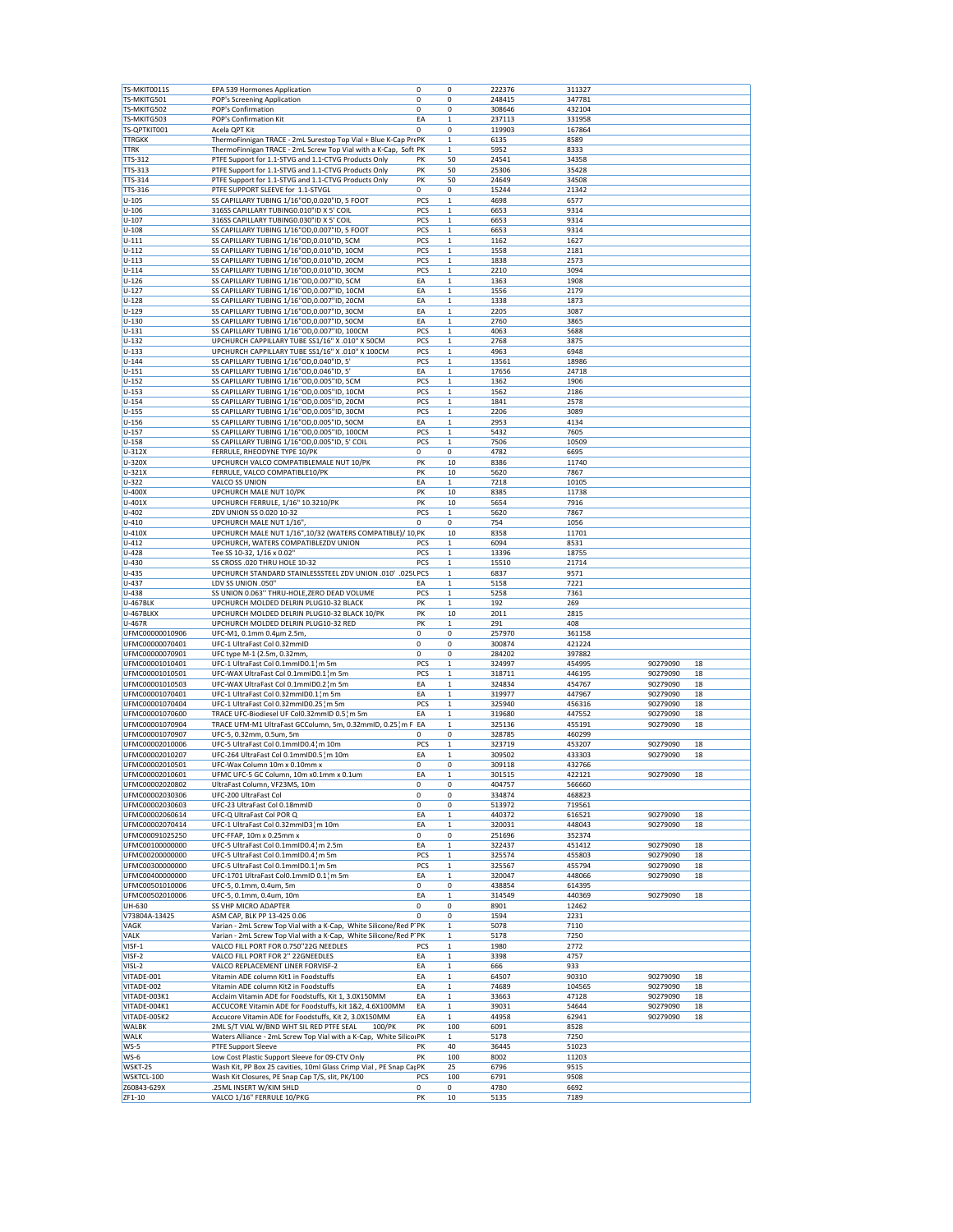| TS-MKIT0011S          | EPA 539 Hormones Application                                        | 0           | 0            | 222376       | 311327       |          |    |
|-----------------------|---------------------------------------------------------------------|-------------|--------------|--------------|--------------|----------|----|
| TS-MKITG501           | POP's Screening Application                                         | 0           | 0            | 248415       | 347781       |          |    |
| TS-MKITG502           | POP's Confirmation                                                  | 0           | 0            | 308646       | 432104       |          |    |
| TS-MKITG503           | POP's Confirmation Kit                                              | EA          | 1            | 237113       | 331958       |          |    |
|                       |                                                                     |             |              |              |              |          |    |
| TS-QPTKIT001          | Acela QPT Kit                                                       | $\mathbf 0$ | 0            | 119903       | 167864       |          |    |
| <b>TTRGKK</b>         | ThermoFinnigan TRACE - 2mL Surestop Top Vial + Blue K-Cap PrePK     |             | $\mathbf 1$  | 6135         | 8589         |          |    |
| <b>TTRK</b>           | ThermoFinnigan TRACE - 2mL Screw Top Vial with a K-Cap, Soft PK     |             | 1            | 5952         | 8333         |          |    |
| TTS-312               | PTFE Support for 1.1-STVG and 1.1-CTVG Products Only                | PK          | 50           | 24541        | 34358        |          |    |
|                       |                                                                     |             |              |              |              |          |    |
| TTS-313               | PTFE Support for 1.1-STVG and 1.1-CTVG Products Only                | PK          | 50           | 25306        | 35428        |          |    |
| TTS-314               | PTFE Support for 1.1-STVG and 1.1-CTVG Products Only                | PK          | 50           | 24649        | 34508        |          |    |
| TTS-316               | PTFE SUPPORT SLEEVE for 1.1-STVGL                                   | 0           | 0            | 15244        | 21342        |          |    |
| $U - 105$             | SS CAPILLARY TUBING 1/16"OD, 0.020"ID, 5 FOOT                       | PCS         | $\mathbf 1$  | 4698         | 6577         |          |    |
|                       |                                                                     |             |              |              |              |          |    |
| $U - 106$             | 316SS CAPILLARY TUBING0.010"ID X 5' COIL                            | PCS         | 1            | 6653         | 9314         |          |    |
| $U - 107$             | 316SS CAPILLARY TUBING0.030"ID X 5' COIL                            | PCS         | 1            | 6653         | 9314         |          |    |
| $U - 108$             | SS CAPILLARY TUBING 1/16"OD, 0.007"ID, 5 FOOT                       | PCS         | $\mathbf 1$  | 6653         | 9314         |          |    |
|                       |                                                                     |             |              |              |              |          |    |
| $U - 111$             | SS CAPILLARY TUBING 1/16"OD,0.010"ID, 5CM                           | PCS         | 1            | 1162         | 1627         |          |    |
| $U - 112$             | SS CAPILLARY TUBING 1/16"OD,0.010"ID, 10CM                          | PCS         | 1            | 1558         | 2181         |          |    |
| $U-113$               | SS CAPILLARY TUBING 1/16"OD,0.010"ID, 20CM                          | PCS         | $\mathbf 1$  | 1838         | 2573         |          |    |
| $U-114$               | SS CAPILLARY TUBING 1/16"OD,0.010"ID, 30CM                          | PCS         | 1            | 2210         | 3094         |          |    |
|                       |                                                                     |             |              |              |              |          |    |
| $U - 126$             | SS CAPILLARY TUBING 1/16"OD,0.007"ID, 5CM                           | EA          | 1            | 1363         | 1908         |          |    |
| $U-127$               | SS CAPILLARY TUBING 1/16"OD,0.007"ID, 10CM                          | EA          | $\mathbf 1$  | 1556         | 2179         |          |    |
| $U-128$               | SS CAPILLARY TUBING 1/16"OD,0.007"ID, 20CM                          | EA          | 1            | 1338         | 1873         |          |    |
| $U - 129$             | SS CAPILLARY TUBING 1/16"OD,0.007"ID, 30CM                          | EA          | 1            | 2205         | 3087         |          |    |
|                       |                                                                     | EA          |              |              |              |          |    |
| $U-130$               | SS CAPILLARY TUBING 1/16"OD,0.007"ID, 50CM                          |             | $\mathbf 1$  | 2760         | 3865         |          |    |
| $U-131$               | SS CAPILLARY TUBING 1/16"OD,0.007"ID, 100CM                         | PCS         | $\mathbf 1$  | 4063         | 5688         |          |    |
| $U - 132$             | UPCHURCH CAPPILLARY TUBE SS1/16" X .010" X 50CM                     | PCS         | 1            | 2768         | 3875         |          |    |
| $U-133$               | UPCHURCH CAPPILLARY TUBE SS1/16" X .010" X 100CM                    | PCS         | $\mathbf 1$  | 4963         | 6948         |          |    |
| $U - 144$             |                                                                     | PCS         | $\mathbf 1$  | 13561        | 18986        |          |    |
|                       | SS CAPILLARY TUBING 1/16"OD,0.040"ID, 5'                            |             |              |              |              |          |    |
| $U - 151$             | SS CAPILLARY TUBING 1/16"OD,0.046"ID, 5'                            | EA          | 1            | 17656        | 24718        |          |    |
| $U - 152$             | SS CAPILLARY TUBING 1/16"OD,0.005"ID, 5CM                           | PCS         | $\mathbf 1$  | 1362         | 1906         |          |    |
| $U-153$               | SS CAPILLARY TUBING 1/16"OD,0.005"ID, 10CM                          | PCS         | $\mathbf 1$  | 1562         | 2186         |          |    |
|                       |                                                                     |             |              |              |              |          |    |
| $U-154$               | SS CAPILLARY TUBING 1/16"OD,0.005"ID, 20CM                          | PCS         | 1            | 1841         | 2578         |          |    |
| $U-155$               | SS CAPILLARY TUBING 1/16"OD,0.005"ID, 30CM                          | PCS         | $\mathbf 1$  | 2206         | 3089         |          |    |
| $U - 156$             | SS CAPILLARY TUBING 1/16"OD,0.005"ID, 50CM                          | EA          | $\mathbf 1$  | 2953         | 4134         |          |    |
| $U-157$               | SS CAPILLARY TUBING 1/16"OD,0.005"ID, 100CM                         | PCS         | 1            | 5432         | 7605         |          |    |
|                       |                                                                     |             |              |              |              |          |    |
| $U-158$               | SS CAPILLARY TUBING 1/16"OD,0.005"ID, 5' COIL                       | PCS         | $\mathbf 1$  | 7506         | 10509        |          |    |
| $U-312X$              | FERRULE, RHEODYNE TYPE 10/PK                                        | 0           | 0            | 4782         | 6695         |          |    |
| U-320X                | UPCHURCH VALCO COMPATIBLEMALE NUT 10/PK                             | PK          | 10           | 8386         | 11740        |          |    |
| $U-321X$              | FERRULE, VALCO COMPATIBLE10/PK                                      | PK          | 10           | 5620         | 7867         |          |    |
|                       |                                                                     |             |              |              |              |          |    |
| $U-322$               | VALCO SS UNION                                                      | EA          | $\mathbf 1$  | 7218         | 10105        |          |    |
| $U-400X$              | UPCHURCH MALE NUT 10/PK                                             | PK          | 10           | 8385         | 11738        |          |    |
| $U-401X$              | UPCHURCH FERRULE, 1/16" 10.3210/PK                                  | PK          | 10           | 5654         | 7916         |          |    |
|                       | ZDV UNION SS 0.020 10-32                                            |             |              |              |              |          |    |
| $U - 402$             |                                                                     | PCS         | $\mathbf 1$  | 5620         | 7867         |          |    |
| $U-410$               | UPCHURCH MALE NUT 1/16"                                             | 0           | 0            | 754          | 1056         |          |    |
| $U-410X$              | UPCHURCH MALE NUT 1/16",10/32 (WATERS COMPATIBLE)/ 10 PK            |             | 10           | 8358         | 11701        |          |    |
| $U-412$               | UPCHURCH, WATERS COMPATIBLEZDV UNION                                | PCS         | $\mathbf 1$  | 6094         | 8531         |          |    |
|                       |                                                                     |             |              |              |              |          |    |
| $U - 428$             | Tee SS 10-32, 1/16 x 0.02"                                          | PCS         | $\mathbf 1$  | 13396        | 18755        |          |    |
| $U - 430$             | SS CROSS .020 THRU HOLE 10-32                                       | PCS         | $\mathbf 1$  | 15510        | 21714        |          |    |
| $U - 435$             | UPCHURCH STANDARD STAINLESSSTEEL ZDV UNION .010' .025L PCS          |             | $\mathbf 1$  | 6837         | 9571         |          |    |
| U-437                 | LDV SS UNION .050"                                                  | EA          | $\mathbf 1$  | 5158         | 7221         |          |    |
|                       |                                                                     |             |              |              |              |          |    |
| $U - 438$             | SS UNION 0.063" THRU-HOLE, ZERO DEAD VOLUME                         | PCS         | 1            | 5258         | 7361         |          |    |
| <b>U-467BLK</b>       | UPCHURCH MOLDED DELRIN PLUG10-32 BLACK                              | PK          | 1            | 192          | 269          |          |    |
| U-467BLKX             | UPCHURCH MOLDED DELRIN PLUG10-32 BLACK 10/PK                        | PK          | 10           | 2011         | 2815         |          |    |
| U-467R                | UPCHURCH MOLDED DELRIN PLUG10-32 RED                                | PK          | 1            | 291          | 408          |          |    |
|                       |                                                                     |             |              |              |              |          |    |
| UFMC00000010906       | UFC-M1, 0.1mm 0.4um 2.5m,                                           | $\mathbf 0$ | $\mathbf 0$  | 257970       | 361158       |          |    |
| UFMC00000070401       | UFC-1 UltraFast Col 0.32mmID                                        | 0           | 0            | 300874       | 421224       |          |    |
| UFMC00000070901       | UFC type M-1 (2.5m, 0.32mm,                                         | 0           | 0            | 284202       | 397882       |          |    |
| UFMC00001010401       | UFC-1 UltraFast Col 0.1mmID0.1 m 5m                                 | PCS         | 1            | 324997       | 454995       | 90279090 | 18 |
|                       |                                                                     |             |              |              |              |          |    |
| UFMC00001010501       | UFC-WAX UltraFast Col 0.1mmID0.1 m 5m                               | PCS         | $\mathbf 1$  | 318711       | 446195       | 90279090 | 18 |
| UFMC00001010503       | UFC-WAX UltraFast Col 0.1mmID0.2 m 5m                               | EA          | 1            | 324834       | 454767       | 90279090 | 18 |
| UFMC00001070401       | UFC-1 UltraFast Col 0.32mmID0.1 m 5m                                | EA          | $\mathbf 1$  | 319977       | 447967       | 90279090 | 18 |
| UFMC00001070404       |                                                                     |             |              |              |              |          |    |
|                       | UFC-1 UltraFast Col 0.32mmID0.25 m 5m                               | PCS         | $\mathbf 1$  | 325940       | 456316       | 90279090 | 18 |
| UFMC00001070600       | TRACE UFC-Biodiesel UF Col0.32mmID 0.5 m 5m                         | EA          | 1            | 319680       | 447552       | 90279090 | 18 |
| UFMC00001070904       | TRACE UFM-M1 UltraFast GCColumn, 5m, 0.32mmID, 0.25 m F EA          |             | 1            | 325136       | 455191       | 90279090 | 18 |
| UFMC00001070907       | UFC-5, 0.32mm, 0.5um, 5m                                            | 0           | 0            | 328785       | 460299       |          |    |
|                       |                                                                     |             |              |              |              |          |    |
| UFMC00002010006       | UFC-5 UltraFast Col 0.1mmID0.4 m 10m                                | PCS         | 1            | 323719       | 453207       | 90279090 | 18 |
| UFMC00002010207       | UFC-264 UltraFast Col 0.1mmID0.5 m 10m                              | EA          | 1            | 309502       | 433303       | 90279090 | 18 |
| UFMC00002010501       | UFC-Wax Column 10m x 0.10mm x                                       | 0           | 0            | 309118       | 432766       |          |    |
| UFMC00002010601       | UFMC UFC-5 GC Column, 10m x0.1mm x 0.1um                            | EA          | $\mathbf{1}$ | 301515       | 422121       | 90279090 | 18 |
|                       |                                                                     |             |              |              |              |          |    |
| UFMC00002020802       | UltraFast Column, VF23MS, 10m                                       | 0           | 0            | 404757       | 566660       |          |    |
| UFMC00002030306       | UFC-200 UltraFast Col                                               | 0           | 0            | 334874       | 468823       |          |    |
| UFMC00002030603       | UFC-23 UltraFast Col 0.18mmID                                       | 0           | 0            | 513972       | 719561       |          |    |
| UFMC00002060614       | UFC-Q UltraFast Col POR Q                                           | EA          | 1            | 440372       | 616521       | 90279090 | 18 |
| UFMC00002070414       | UFC-1 UltraFast Col 0.32mmID3 m 10m                                 |             |              | 320031       |              | 90279090 |    |
|                       |                                                                     | EA          | $\mathbf 1$  |              | 448043       |          | 18 |
| UFMC00091025250       | UFC-FFAP, 10m x 0.25mm x                                            | 0           | 0            | 251696       | 352374       |          |    |
| UFMC00100000000       | UFC-5 UltraFast Col 0.1mmID0.4 m 2.5m                               | ΕA          | 1            | 322437       | 451412       | 90279090 | 18 |
| UFMC00200000000       | UFC-5 UltraFast Col 0.1mmID0.4 ¦m 5m                                | PCS         | $\mathbf 1$  | 325574       | 455803       | 90279090 | 18 |
|                       |                                                                     |             |              |              |              |          |    |
| UFMC00300000000       | UFC-5 UltraFast Col 0.1mmID0.1 m 5m                                 | PCS         | $\mathbf 1$  | 325567       | 455794       | 90279090 | 18 |
| UFMC00400000000       | UFC-1701 UltraFast Col0.1mmID 0.1¦m 5m                              | ΕA          | 1            | 320047       | 448066       | 90279090 | 18 |
| UFMC00501010006       | UFC-5, 0.1mm, 0.4um, 5m                                             | 0           | 0            | 438854       | 614395       |          |    |
| UFMC00502010006       | UFC-5, 0.1mm, 0.4um, 10m                                            | EA          | $\mathbf 1$  | 314549       | 440369       | 90279090 | 18 |
|                       |                                                                     |             |              |              |              |          |    |
| UH-630                | SS VHP MICRO ADAPTER                                                | 0           | 0            | 8901         | 12462        |          |    |
| V73804A-13425         | ASM CAP, BLK PP 13-425 0.06                                         | 0           | 0            | 1594         | 2231         |          |    |
| VAGK                  |                                                                     |             | $\mathbf 1$  | 5078         | 7110         |          |    |
| <b>VALK</b>           |                                                                     |             |              |              |              |          |    |
|                       | Varian - 2mL Screw Top Vial with a K-Cap, White Silicone/Red P' PK  |             |              |              |              |          |    |
| VISF-1                | Varian - 2mL Screw Top Vial with a K-Cap, White Silicone/Red P' PK  |             | 1            | 5178         | 7250         |          |    |
|                       | VALCO FILL PORT FOR 0.750"22G NEEDLES                               | PCS         | $\mathbf 1$  | 1980         | 2772         |          |    |
| VISF-2                | VALCO FILL PORT FOR 2" 22GNEEDLES                                   | EA          | $\mathbf 1$  | 3398         | 4757         |          |    |
|                       |                                                                     |             |              |              |              |          |    |
| VISL-2                | VALCO REPLACEMENT LINER FORVISF-2                                   | EA          | $\mathbf 1$  | 666          | 933          |          |    |
| VITADE-001            | Vitamin ADE column Kit1 in Foodstuffs                               | EA          | $\mathbf 1$  | 64507        | 90310        | 90279090 | 18 |
| VITADE-002            | Vitamin ADE column Kit2 in Foodstuffs                               | EA          | $\mathbf 1$  | 74689        | 104565       | 90279090 | 18 |
| VITADE-003K1          | Acclaim Vitamin ADE for Foodstuffs, Kit 1, 3.0X150MM                | EA          | $\mathbf 1$  | 33663        | 47128        | 90279090 | 18 |
|                       |                                                                     |             |              |              |              |          |    |
| VITADE-004K1          | ACCUCORE Vitamin ADE for Foodstuffs, kit 1&2, 4.6X100MM             | EA          | $\mathbf 1$  | 39031        | 54644        | 90279090 | 18 |
| VITADE-005K2          | Accucore Vitamin ADE for Foodstuffs, Kit 2, 3.0X150MM               | EA          | $\mathbf 1$  | 44958        | 62941        | 90279090 | 18 |
| <b>WALBK</b>          | 2ML S/T VIAL W/BND WHT SIL RED PTFE SEAL<br>100/PK                  | PK          | 100          | 6091         | 8528         |          |    |
| <b>WALK</b>           | Waters Alliance - 2mL Screw Top Vial with a K-Cap, White Silico PK  |             | 1            | 5178         | 7250         |          |    |
|                       |                                                                     | PK          |              |              |              |          |    |
| WS-5                  | PTFE Support Sleeve                                                 |             | 40           | 36445        | 51023        |          |    |
| WS-6                  | Low Cost Plastic Support Sleeve for 09-CTV Only                     | PK          | 100          | 8002         | 11203        |          |    |
| WSKT-25               | Wash Kit, PP Box 25 cavities, 10ml Glass Crimp Vial, PE Snap Car PK |             | 25           | 6796         | 9515         |          |    |
| WSKTCL-100            | Wash Kit Closures, PE Snap Cap T/S, slit, PK/100                    | PCS         | 100          | 6791         | 9508         |          |    |
|                       |                                                                     |             |              |              |              |          |    |
| Z60843-629X<br>ZF1-10 | .25ML INSERT W/KIM SHLD<br>VALCO 1/16" FERRULE 10/PKG               | 0<br>PК     | 0<br>10      | 4780<br>5135 | 6692<br>7189 |          |    |